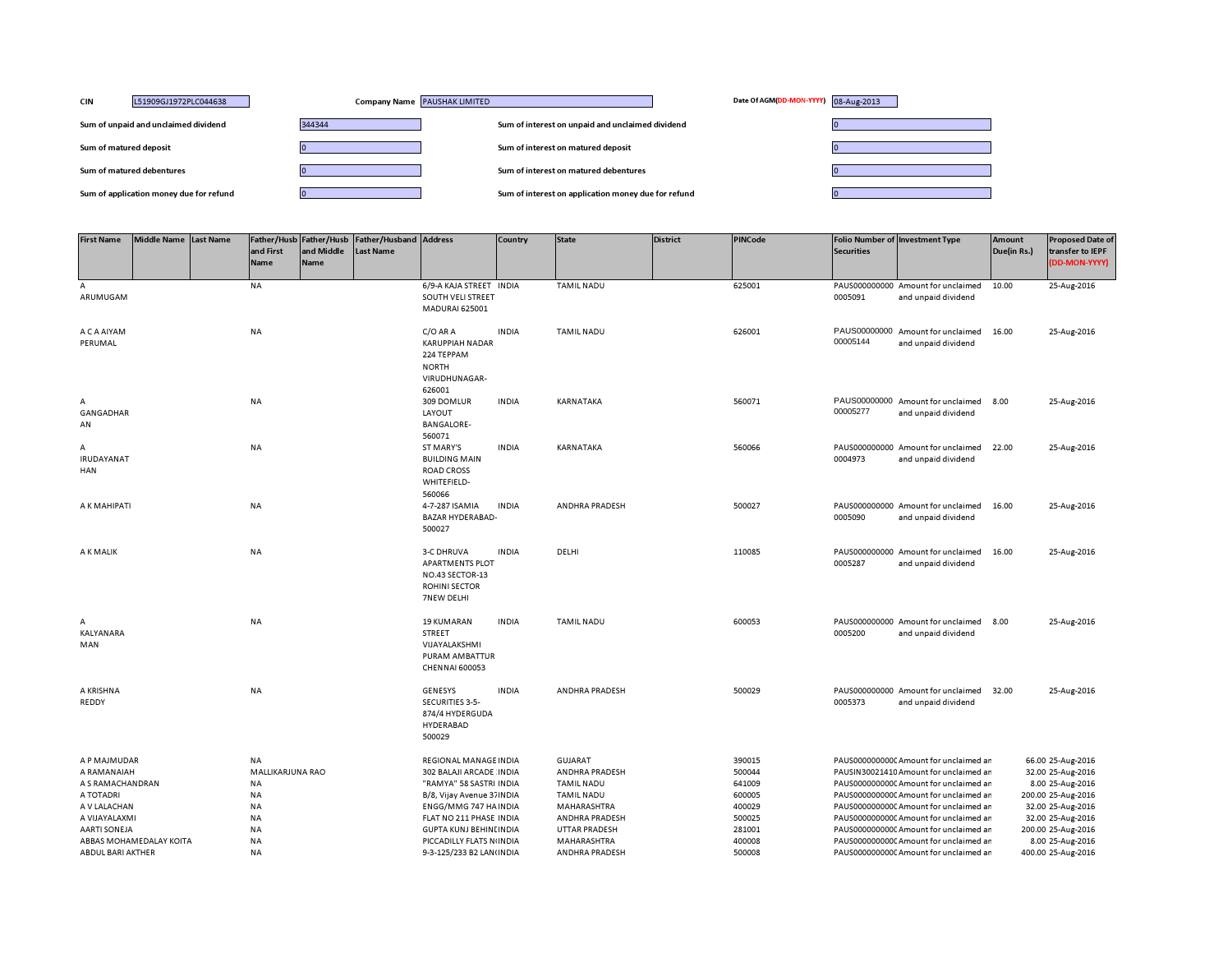| <b>CIN</b><br>L51909GJ1972PLC044638     | Company Name PAUSHAK LIMITED | Date Of AGM(DD-MON-YYYY) 08-Aug-2013                |  |
|-----------------------------------------|------------------------------|-----------------------------------------------------|--|
| Sum of unpaid and unclaimed dividend    | 344344                       | Sum of interest on unpaid and unclaimed dividend    |  |
| Sum of matured deposit                  |                              | Sum of interest on matured deposit                  |  |
| Sum of matured debentures               |                              | Sum of interest on matured debentures               |  |
| Sum of application money due for refund |                              | Sum of interest on application money due for refund |  |

| <b>First Name</b>      | Middle Name Last Name   | and First<br>Name | Father/Husb Father/Husb<br>and Middle<br><b>Name</b> | <b>Father/Husband Address</b><br>Last Name |                                                                                                      | Country      | <b>State</b>          | <b>District</b> | <b>PINCode</b> | <b>Securities</b> | <b>Folio Number of Investment Type</b>                    | <b>Amount</b><br>Due(in Rs.) | <b>Proposed Date of</b><br>transfer to IEPF<br>(DD-MON-YYYY) |
|------------------------|-------------------------|-------------------|------------------------------------------------------|--------------------------------------------|------------------------------------------------------------------------------------------------------|--------------|-----------------------|-----------------|----------------|-------------------|-----------------------------------------------------------|------------------------------|--------------------------------------------------------------|
| A<br>ARUMUGAM          |                         | <b>NA</b>         |                                                      |                                            | 6/9-A KAJA STREET INDIA<br>SOUTH VELI STREET<br>MADURAI 625001                                       |              | <b>TAMIL NADU</b>     |                 | 625001         | 0005091           | PAUS000000000 Amount for unclaimed<br>and unpaid dividend | 10.00                        | 25-Aug-2016                                                  |
| A C A AIYAM<br>PERUMAL |                         | <b>NA</b>         |                                                      |                                            | C/O AR A<br><b>KARUPPIAH NADAR</b><br>224 TEPPAM<br><b>NORTH</b><br>VIRUDHUNAGAR-<br>626001          | <b>INDIA</b> | <b>TAMIL NADU</b>     |                 | 626001         | 00005144          | PAUS00000000 Amount for unclaimed<br>and unpaid dividend  | 16.00                        | 25-Aug-2016                                                  |
| А<br>GANGADHAR<br>AN   |                         | <b>NA</b>         |                                                      |                                            | 309 DOMLUR<br>LAYOUT<br><b>BANGALORE-</b><br>560071                                                  | <b>INDIA</b> | KARNATAKA             |                 | 560071         | 00005277          | PAUS00000000 Amount for unclaimed<br>and unpaid dividend  | 8.00                         | 25-Aug-2016                                                  |
| А<br>IRUDAYANAT<br>HAN |                         | <b>NA</b>         |                                                      |                                            | ST MARY'S<br><b>BUILDING MAIN</b><br><b>ROAD CROSS</b><br>WHITEFIELD-<br>560066                      | <b>INDIA</b> | KARNATAKA             |                 | 560066         | 0004973           | PAUS000000000 Amount for unclaimed<br>and unpaid dividend | 22.00                        | 25-Aug-2016                                                  |
| A K MAHIPATI           |                         | <b>NA</b>         |                                                      |                                            | 4-7-287 ISAMIA<br><b>BAZAR HYDERABAD-</b><br>500027                                                  | <b>INDIA</b> | <b>ANDHRA PRADESH</b> |                 | 500027         | 0005090           | PAUS000000000 Amount for unclaimed<br>and unpaid dividend | 16.00                        | 25-Aug-2016                                                  |
| A K MALIK              |                         | <b>NA</b>         |                                                      |                                            | <b>3-C DHRUVA</b><br><b>APARTMENTS PLOT</b><br>NO.43 SECTOR-13<br><b>ROHINI SECTOR</b><br>7NEW DELHI | <b>INDIA</b> | DELHI                 |                 | 110085         | 0005287           | PAUS000000000 Amount for unclaimed<br>and unpaid dividend | 16.00                        | 25-Aug-2016                                                  |
| Α<br>KALYANARA<br>MAN  |                         | <b>NA</b>         |                                                      |                                            | <b>19 KUMARAN</b><br><b>STREET</b><br>VIJAYALAKSHMI<br>PURAM AMBATTUR<br>CHENNAI 600053              | <b>INDIA</b> | <b>TAMIL NADU</b>     |                 | 600053         | 0005200           | PAUS000000000 Amount for unclaimed<br>and unpaid dividend | 8.00                         | 25-Aug-2016                                                  |
| A KRISHNA<br>REDDY     |                         | <b>NA</b>         |                                                      |                                            | <b>GENESYS</b><br>SECURITIES 3-5-<br>874/4 HYDERGUDA<br>HYDERABAD<br>500029                          | <b>INDIA</b> | ANDHRA PRADESH        |                 | 500029         | 0005373           | PAUS000000000 Amount for unclaimed<br>and unpaid dividend | 32.00                        | 25-Aug-2016                                                  |
| A P MAJMUDAR           |                         | <b>NA</b>         |                                                      |                                            | REGIONAL MANAGE INDIA                                                                                |              | <b>GUJARAT</b>        |                 | 390015         |                   | PAUS0000000000 Amount for unclaimed ar                    |                              | 66.00 25-Aug-2016                                            |
| A RAMANAIAH            |                         | MALLIKARJUNA RAO  |                                                      |                                            | 302 BALAJI ARCADE INDIA                                                                              |              | ANDHRA PRADESH        |                 | 500044         |                   | PAUSIN30021410 Amount for unclaimed ar                    |                              | 32.00 25-Aug-2016                                            |
| A S RAMACHANDRAN       |                         | <b>NA</b>         |                                                      |                                            | "RAMYA" 58 SASTRI INDIA                                                                              |              | <b>TAMIL NADU</b>     |                 | 641009         |                   | PAUS0000000000 Amount for unclaimed ar                    |                              | 8.00 25-Aug-2016                                             |
| A TOTADRI              |                         | NA                |                                                      |                                            | B/8, Vijay Avenue 37 INDIA                                                                           |              | <b>TAMIL NADU</b>     |                 | 600005         |                   | PAUS00000000000Amount for unclaimed ar                    |                              | 200.00 25-Aug-2016                                           |
| A V LALACHAN           |                         | <b>NA</b>         |                                                      |                                            | ENGG/MMG 747 HA INDIA                                                                                |              | MAHARASHTRA           |                 | 400029         |                   | PAUS0000000000 Amount for unclaimed an                    |                              | 32.00 25-Aug-2016                                            |
| A VIJAYALAXMI          |                         | <b>NA</b>         |                                                      |                                            | FLAT NO 211 PHASE INDIA                                                                              |              | ANDHRA PRADESH        |                 | 500025         |                   | PAUS0000000000 Amount for unclaimed ar                    |                              | 32.00 25-Aug-2016                                            |
| <b>AARTI SONEJA</b>    |                         | <b>NA</b>         |                                                      |                                            | <b>GUPTA KUNJ BEHINI INDIA</b>                                                                       |              | <b>UTTAR PRADESH</b>  |                 | 281001         |                   | PAUS0000000000 Amount for unclaimed ar                    |                              | 200.00 25-Aug-2016                                           |
|                        | ABBAS MOHAMEDALAY KOITA | <b>NA</b>         |                                                      |                                            | PICCADILLY FLATS N(INDIA                                                                             |              | MAHARASHTRA           |                 | 400008         |                   | PAUS0000000000 Amount for unclaimed ar                    |                              | 8.00 25-Aug-2016                                             |
| ABDUL BARI AKTHER      |                         | <b>NA</b>         |                                                      |                                            | 9-3-125/233 B2 LAN(INDIA                                                                             |              | <b>ANDHRA PRADESH</b> |                 | 500008         |                   | PAUS0000000000 Amount for unclaimed an                    |                              | 400.00 25-Aug-2016                                           |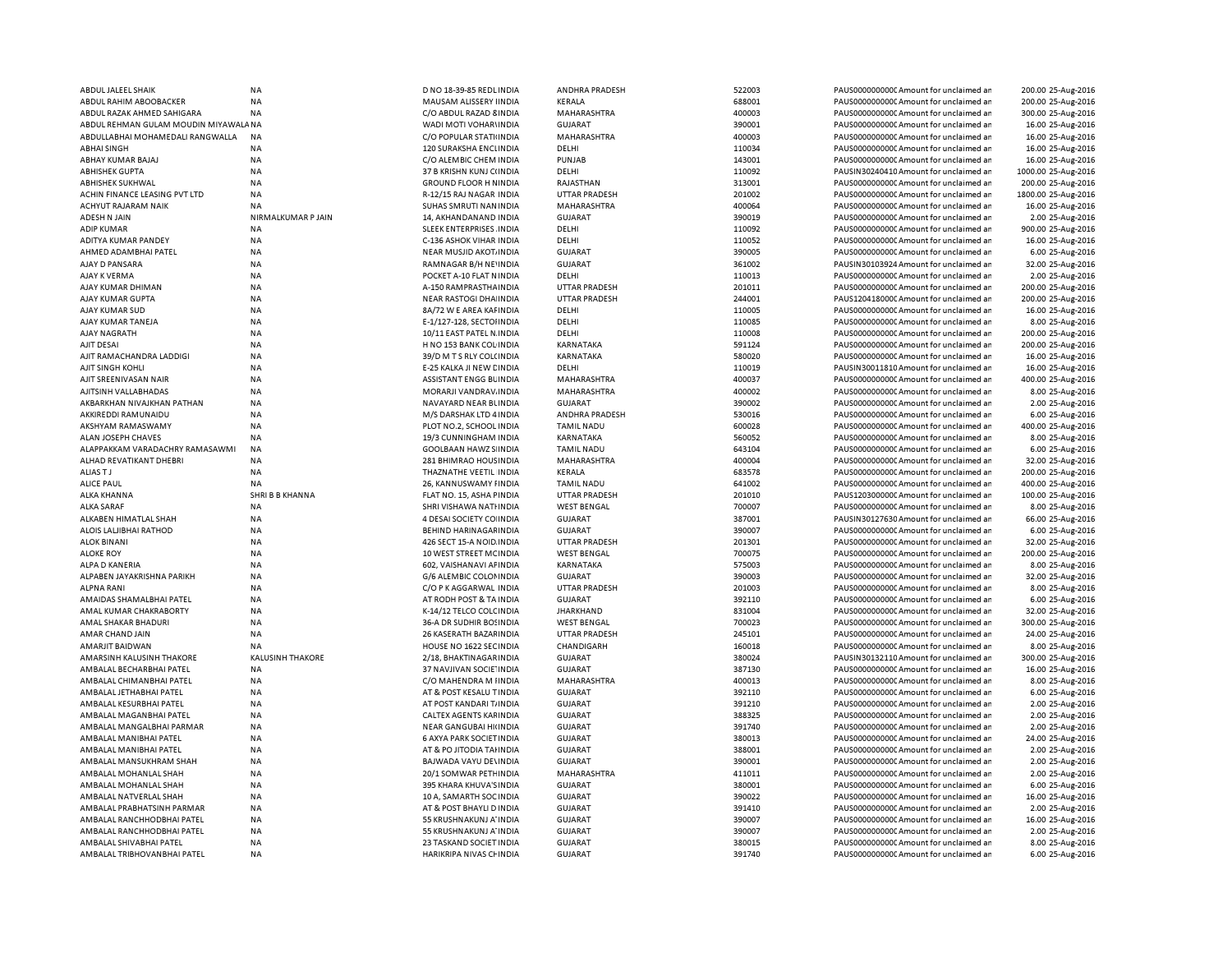| <b>ABDUL JALEEL SHAIK</b>            | <b>NA</b>               | D NO 18-39-85 REDL INDIA     | ANDHRA PRADESH       | 522003 | PAUS0000000000 Amount for unclaimed an  | 200.00 25-Aug-2016  |
|--------------------------------------|-------------------------|------------------------------|----------------------|--------|-----------------------------------------|---------------------|
| ABDUL RAHIM ABOOBACKER               | <b>NA</b>               | MAUSAM ALISSERY IINDIA       | KERALA               | 688001 | PAUS0000000000 Amount for unclaimed an  | 200.00 25-Aug-2016  |
| ABDUL RAZAK AHMED SAHIGARA           | <b>NA</b>               | C/O ABDUL RAZAD 8 INDIA      | MAHARASHTRA          | 400003 | PAUS0000000000 Amount for unclaimed ar  | 300.00 25-Aug-2016  |
| ABDUL REHMAN GULAM MOUDIN MIYAWALANA |                         | WADI MOTI VOHAR\INDIA        | <b>GUJARAT</b>       | 390001 | PAUS0000000000 Amount for unclaimed ar  | 16.00 25-Aug-2016   |
| ABDULLABHAI MOHAMEDALI RANGWALLA     | <b>NA</b>               | C/O POPULAR STATI INDIA      | MAHARASHTRA          | 400003 | PAUS0000000000 Amount for unclaimed ar  | 16.00 25-Aug-2016   |
| ABHAI SINGH                          | <b>NA</b>               | 120 SURAKSHA ENCLINDIA       | DELHI                | 110034 | PAUS0000000000 Amount for unclaimed ar  | 16.00 25-Aug-2016   |
| ABHAY KUMAR BAJAJ                    | <b>NA</b>               | C/O ALEMBIC CHEM INDIA       | PUNJAB               | 143001 | PAUS0000000000 Amount for unclaimed an  | 16.00 25-Aug-2016   |
| ABHISHEK GUPTA                       | <b>NA</b>               | 37 B KRISHN KUNJ C(INDIA     | DELHI                | 110092 | PAUSIN30240410 Amount for unclaimed ar  | 1000.00 25-Aug-2016 |
| ABHISHEK SUKHWAL                     | <b>NA</b>               | <b>GROUND FLOOR H NINDIA</b> | RAJASTHAN            | 313001 | PAUS0000000000 Amount for unclaimed ar  | 200.00 25-Aug-2016  |
| ACHIN FINANCE LEASING PVT LTD        | <b>NA</b>               | R-12/15 RAJ NAGAR INDIA      | <b>UTTAR PRADESH</b> | 201002 | PAUS00000000000Amount for unclaimed ar  | 1800.00 25-Aug-2016 |
| ACHYUT RAJARAM NAIK                  | <b>NA</b>               | SUHAS SMRUTI NAN INDIA       | MAHARASHTRA          | 400064 | PAUS0000000000 Amount for unclaimed ar  | 16.00 25-Aug-2016   |
| ADESH N JAIN                         | NIRMALKUMAR P JAIN      | 14, AKHANDANAND INDIA        | GUJARAT              | 390019 | PAUS0000000000 Amount for unclaimed ar  | 2.00 25-Aug-2016    |
| <b>ADIP KUMAR</b>                    | <b>NA</b>               | SLEEK ENTERPRISES. INDIA     | DELHI                | 110092 | PAUS0000000000 Amount for unclaimed ar  | 900.00 25-Aug-2016  |
| ADITYA KUMAR PANDEY                  | <b>NA</b>               | C-136 ASHOK VIHAR INDIA      | DELHI                | 110052 | PAUS00000000000 Amount for unclaimed ar | 16.00 25-Aug-2016   |
| AHMED ADAMBHAI PATEL                 | <b>NA</b>               | NEAR MUSJID AKOT INDIA       | <b>GUJARAT</b>       | 390005 | PAUS0000000000 Amount for unclaimed an  | 6.00 25-Aug-2016    |
| AJAY D PANSARA                       | <b>NA</b>               | RAMNAGAR B/H NE'INDIA        | GUJARAT              | 361002 | PAUSIN30103924 Amount for unclaimed ar  | 32.00 25-Aug-2016   |
| AJAY K VERMA                         | ΝA                      | POCKET A-10 FLAT N INDIA     | DELHI                | 110013 | PAUS0000000000C Amount for unclaimed ar | 2.00 25-Aug-2016    |
| AJAY KUMAR DHIMAN                    | <b>NA</b>               | A-150 RAMPRASTHA INDIA       | <b>UTTAR PRADESH</b> | 201011 | PAUS0000000000 Amount for unclaimed ar  | 200.00 25-Aug-2016  |
|                                      | <b>NA</b>               |                              | UTTAR PRADESH        | 244001 |                                         | 200.00 25-Aug-2016  |
| AJAY KUMAR GUPTA                     |                         | NEAR RASTOGI DHA INDIA       |                      | 110005 | PAUS1204180000 Amount for unclaimed an  |                     |
| AJAY KUMAR SUD                       | <b>NA</b>               | 8A/72 W E AREA KAI INDIA     | DELHI                |        | PAUS0000000000 Amount for unclaimed ar  | 16.00 25-Aug-2016   |
| AJAY KUMAR TANEJA                    | <b>NA</b>               | E-1/127-128, SECTOHNDIA      | DELHI                | 110085 | PAUS00000000000Amount for unclaimed ar  | 8.00 25-Aug-2016    |
| AJAY NAGRATH                         | <b>NA</b>               | 10/11 EAST PATEL N. INDIA    | DELHI                | 110008 | PAUS0000000000 Amount for unclaimed ar  | 200.00 25-Aug-2016  |
| AJIT DESAI                           | <b>NA</b>               | H NO 153 BANK COL INDIA      | KARNATAKA            | 591124 | PAUS0000000000Amount for unclaimed ar   | 200.00 25-Aug-2016  |
| AJIT RAMACHANDRA LADDIGI             | <b>NA</b>               | 39/D M TS RLY COL(INDIA      | KARNATAKA            | 580020 | PAUS00000000000Amount for unclaimed an  | 16.00 25-Aug-2016   |
| AJIT SINGH KOHLI                     | <b>NA</b>               | E-25 KALKA JI NEW CINDIA     | DELHI                | 110019 | PAUSIN30011810 Amount for unclaimed ar  | 16.00 25-Aug-2016   |
| AJIT SREENIVASAN NAIR                | <b>NA</b>               | ASSISTANT ENGG BLINDIA       | MAHARASHTRA          | 400037 | PAUS0000000000CAmount for unclaimed ar  | 400.00 25-Aug-2016  |
| AJITSINH VALLABHADAS                 | <b>NA</b>               | MORARJI VANDRAV. INDIA       | MAHARASHTRA          | 400002 | PAUS00000000000Amount for unclaimed an  | 8.00 25-Aug-2016    |
| AKBARKHAN NIVAJKHAN PATHAN           | <b>NA</b>               | NAVAYARD NEAR BUNDIA         | <b>GUJARAT</b>       | 390002 | PAUS00000000000Amount for unclaimed an  | 2.00 25-Aug-2016    |
| AKKIREDDI RAMUNAIDU                  | <b>NA</b>               | M/S DARSHAK LTD 4 INDIA      | ANDHRA PRADESH       | 530016 | PAUS0000000000 Amount for unclaimed ar  | 6.00 25-Aug-2016    |
| AKSHYAM RAMASWAMY                    | <b>NA</b>               | PLOT NO.2, SCHOOL INDIA      | <b>TAMIL NADU</b>    | 600028 | PAUS0000000000C Amount for unclaimed ar | 400.00 25-Aug-2016  |
| <b>ALAN JOSEPH CHAVES</b>            | <b>NA</b>               | 19/3 CUNNINGHAM INDIA        | KARNATAKA            | 560052 | PAUS0000000000 Amount for unclaimed ar  | 8.00 25-Aug-2016    |
| ALAPPAKKAM VARADACHRY RAMASAWMI      | <b>NA</b>               | <b>GOOLBAAN HAWZ S INDIA</b> | <b>TAMIL NADU</b>    | 643104 | PAUS0000000000CAmount for unclaimed an  | 6.00 25-Aug-2016    |
| ALHAD REVATIKANT DHEBRI              | <b>NA</b>               | 281 BHIMRAO HOUS INDIA       | MAHARASHTRA          | 400004 | PAUS0000000000 Amount for unclaimed ar  | 32.00 25-Aug-2016   |
| ALIAS T J                            | <b>NA</b>               | THAZNATHE VEETIL INDIA       | KERALA               | 683578 | PAUS0000000000CAmount for unclaimed ar  | 200.00 25-Aug-2016  |
| <b>ALICE PAUL</b>                    | <b>NA</b>               | 26. KANNUSWAMY FINDIA        | <b>TAMIL NADU</b>    | 641002 | PAUS0000000000 Amount for unclaimed ar  | 400.00 25-Aug-2016  |
| ALKA KHANNA                          | SHRI B B KHANNA         | FLAT NO. 15, ASHA FINDIA     | UTTAR PRADESH        | 201010 | PAUS1203000000 Amount for unclaimed ar  | 100.00 25-Aug-2016  |
| <b>ALKA SARAF</b>                    | <b>NA</b>               | SHRI VISHAWA NATHNDIA        | <b>WEST BENGAL</b>   | 700007 | PAUS0000000000 Amount for unclaimed an  | 8.00 25-Aug-2016    |
| ALKABEN HIMATLAL SHAH                | <b>NA</b>               | 4 DESAI SOCIETY CO INDIA     | <b>GUJARAT</b>       | 387001 | PAUSIN30127630 Amount for unclaimed ar  | 66.00 25-Aug-2016   |
| ALOIS LALJIBHAI RATHOD               | <b>NA</b>               | BEHIND HARINAGAF INDIA       | <b>GUJARAT</b>       | 390007 | PAUS00000000000 Amount for unclaimed ar | 6.00 25-Aug-2016    |
| <b>ALOK BINANI</b>                   | <b>NA</b>               | 426 SECT 15-A NOID INDIA     | <b>UTTAR PRADESH</b> | 201301 | PAUS0000000000 Amount for unclaimed an  | 32.00 25-Aug-2016   |
| <b>ALOKE ROY</b>                     | <b>NA</b>               | 10 WEST STREET MC INDIA      | <b>WEST BENGAL</b>   | 700075 | PAUS0000000000 Amount for unclaimed an  | 200.00 25-Aug-2016  |
| ALPA D KANERIA                       | <b>NA</b>               | 602, VAISHANAVI AFINDIA      | KARNATAKA            | 575003 | PAUS0000000000 Amount for unclaimed ar  | 8.00 25-Aug-2016    |
|                                      |                         |                              |                      |        |                                         |                     |
| ALPABEN JAYAKRISHNA PARIKH           | <b>NA</b>               | G/6 ALEMBIC COLONINDIA       | <b>GUJARAT</b>       | 390003 | PAUS0000000000 Amount for unclaimed ar  | 32.00 25-Aug-2016   |
| <b>ALPNA RANI</b>                    | <b>NA</b>               | C/O P K AGGARWAL INDIA       | <b>UTTAR PRADESH</b> | 201003 | PAUS0000000000 Amount for unclaimed ar  | 8.00 25-Aug-2016    |
| AMAIDAS SHAMALBHAI PATEL             | <b>NA</b>               | AT RODH POST & TA INDIA      | <b>GUJARAT</b>       | 392110 | PAUS0000000000 Amount for unclaimed an  | 6.00 25-Aug-2016    |
| AMAL KUMAR CHAKRABORTY               | <b>NA</b>               | K-14/12 TELCO COLC INDIA     | <b>JHARKHAND</b>     | 831004 | PAUS0000000000 Amount for unclaimed ar  | 32.00 25-Aug-2016   |
| AMAL SHAKAR BHADURI                  | <b>NA</b>               | 36-A DR SUDHIR BOSINDIA      | <b>WEST BENGAL</b>   | 700023 | PAUS0000000000 Amount for unclaimed ar  | 300.00 25-Aug-2016  |
| AMAR CHAND JAIN                      | <b>NA</b>               | 26 KASERATH BAZAF INDIA      | <b>UTTAR PRADESH</b> | 245101 | PAUS0000000000 Amount for unclaimed ar  | 24.00 25-Aug-2016   |
| AMARJIT BAIDWAN                      | <b>NA</b>               | HOUSE NO 1622 SECINDIA       | CHANDIGARH           | 160018 | PAUS0000000000 Amount for unclaimed an  | 8.00 25-Aug-2016    |
| AMARSINH KALUSINH THAKORE            | <b>KALUSINH THAKORE</b> | 2/18, BHAKTINAGAR INDIA      | <b>GUJARAT</b>       | 380024 | PAUSIN30132110 Amount for unclaimed an  | 300.00 25-Aug-2016  |
| AMBALAL BECHARBHAI PATEL             | <b>NA</b>               | 37 NAVJIVAN SOCIE INDIA      | <b>GUJARAT</b>       | 387130 | PAUS0000000000 Amount for unclaimed ar  | 16.00 25-Aug-2016   |
| AMBALAL CHIMANBHAI PATEL             | <b>NA</b>               | C/O MAHENDRA M IINDIA        | MAHARASHTRA          | 400013 | PAUS0000000000 Amount for unclaimed ar  | 8.00 25-Aug-2016    |
| AMBALAL JETHABHAI PATEL              | <b>NA</b>               | AT & POST KESALU T INDIA     | <b>GUJARAT</b>       | 392110 | PAUS0000000000 Amount for unclaimed an  | 6.00 25-Aug-2016    |
| AMBALAL KESURBHAI PATEL              | <b>NA</b>               | AT POST KANDARI T/ INDIA     | <b>GUJARAT</b>       | 391210 | PAUS0000000000 Amount for unclaimed an  | 2.00 25-Aug-2016    |
| AMBALAL MAGANBHAI PATEL              | <b>NA</b>               | CALTEX AGENTS KAF INDIA      | <b>GUJARAT</b>       | 388325 | PAUS00000000000 Amount for unclaimed ar | 2.00 25-Aug-2016    |
| AMBALAL MANGALBHAI PARMAR            | <b>NA</b>               | NEAR GANGUBAI HI(INDIA       | <b>GUJARAT</b>       | 391740 | PAUS0000000000 Amount for unclaimed ar  | 2.00 25-Aug-2016    |
| AMBALAL MANIBHAI PATEL               | <b>NA</b>               | 6 AXYA PARK SOCIET INDIA     | <b>GUJARAT</b>       | 380013 | PAUS00000000000Amount for unclaimed an  | 24.00 25-Aug-2016   |
| AMBALAL MANIBHAI PATEL               | <b>NA</b>               | AT & PO JITODIA TAHNDIA      | <b>GUJARAT</b>       | 388001 | PAUS0000000000 Amount for unclaimed an  | 2.00 25-Aug-2016    |
| AMBALAL MANSUKHRAM SHAH              | <b>NA</b>               | BAJWADA VAYU DE\INDIA        | <b>GUJARAT</b>       | 390001 | PAUS00000000000 Amount for unclaimed ar | 2.00 25-Aug-2016    |
| AMBALAL MOHANLAL SHAH                | <b>NA</b>               | 20/1 SOMWAR PETHINDIA        | MAHARASHTRA          | 411011 | PAUS0000000000 Amount for unclaimed ar  | 2.00 25-Aug-2016    |
| AMBALAL MOHANLAL SHAH                | <b>NA</b>               | 395 KHARA KHUVA'S INDIA      | <b>GUJARAT</b>       | 380001 | PAUS0000000000 Amount for unclaimed ar  | 6.00 25-Aug-2016    |
| AMBALAL NATVERLAL SHAH               | <b>NA</b>               | 10 A, SAMARTH SOC INDIA      | <b>GUJARAT</b>       | 390022 | PAUS0000000000 Amount for unclaimed an  | 16.00 25-Aug-2016   |
| AMBALAL PRABHATSINH PARMAR           | NA                      | AT & POST BHAYLI D INDIA     | <b>GUJARAT</b>       | 391410 | PAUS0000000000 Amount for unclaimed an  | 2.00 25-Aug-2016    |
| AMBALAL RANCHHODBHAI PATEL           | NA                      | 55 KRUSHNAKUNJ A' INDIA      | <b>GUJARAT</b>       | 390007 | PAUS0000000000CAmount for unclaimed ar  | 16.00 25-Aug-2016   |
| AMBALAL RANCHHODBHAI PATEL           | <b>NA</b>               | 55 KRUSHNAKUNJ A' INDIA      | <b>GUJARAT</b>       | 390007 | PAUS0000000000 Amount for unclaimed ar  | 2.00 25-Aug-2016    |
|                                      |                         |                              |                      | 380015 |                                         |                     |
| AMBALAL SHIVABHAI PATEL              | <b>NA</b>               | 23 TASKAND SOCIET INDIA      | <b>GUJARAT</b>       |        | PAUS0000000000 Amount for unclaimed an  | 8.00 25-Aug-2016    |
| AMBALAL TRIBHOVANBHAI PATEL          | <b>NA</b>               | HARIKRIPA NIVAS CHINDIA      | <b>GUJARAT</b>       | 391740 | PAUS0000000000 Amount for unclaimed an  | 6.00 25-Aug-2016    |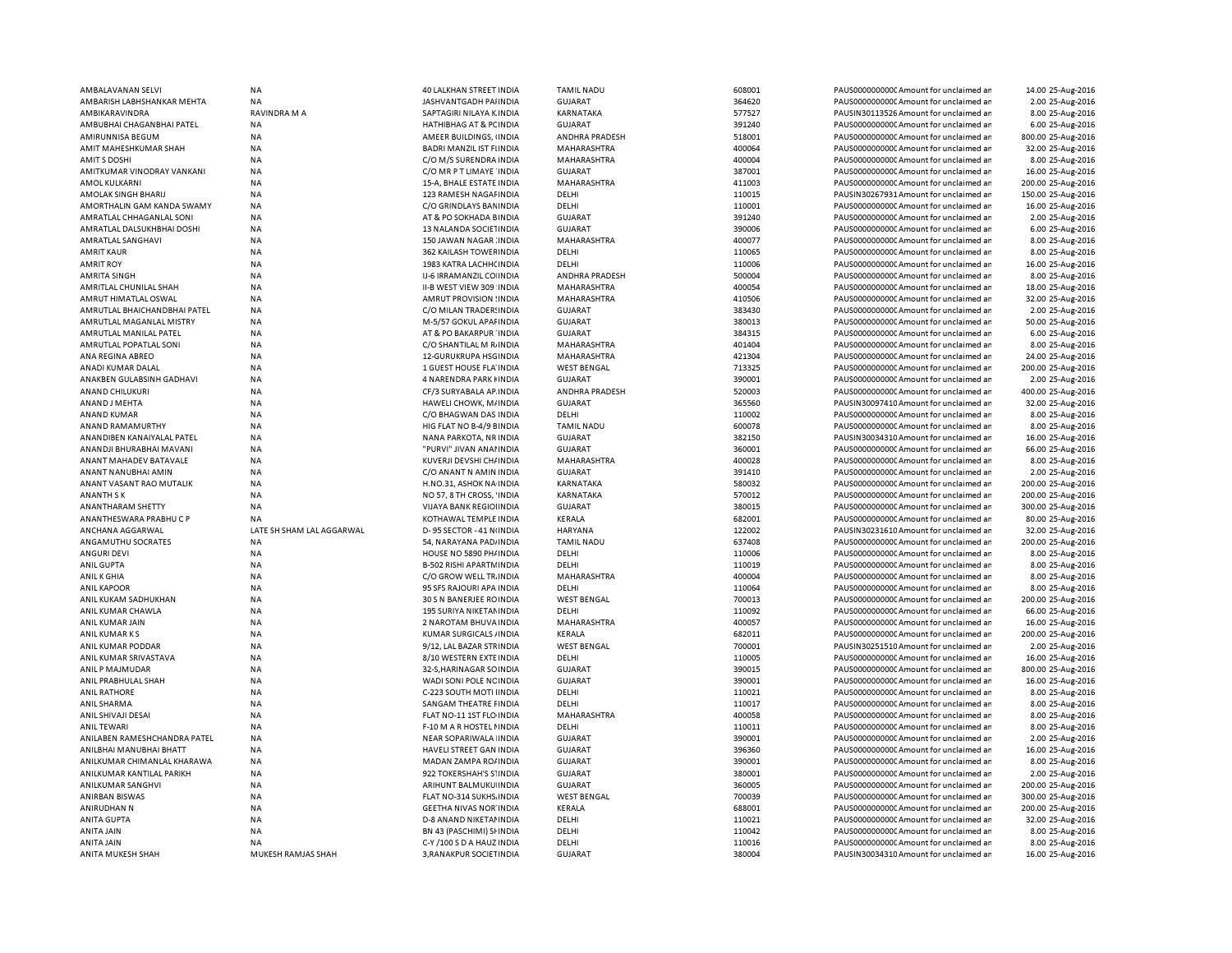| AMBALAVANAN SELVI            | <b>NA</b>                 | 40 LALKHAN STREET INDIA                              | <b>TAMIL NADU</b>       | 608001           | PAUS0000000000 Amount for unclaimed ar                                           | 14.00 25-Aug-2016                     |
|------------------------------|---------------------------|------------------------------------------------------|-------------------------|------------------|----------------------------------------------------------------------------------|---------------------------------------|
| AMBARISH LABHSHANKAR MEHTA   | <b>NA</b>                 | JASHVANTGADH PAI INDIA                               | <b>GUJARAT</b>          | 364620           | PAUS0000000000 Amount for unclaimed ar                                           | 2.00 25-Aug-2016                      |
| AMBIKARAVINDRA               | <b>RAVINDRA M A</b>       | SAPTAGIRI NILAYA K INDIA                             | KARNATAKA               | 577527           | PAUSIN30113526 Amount for unclaimed ar                                           | 8.00 25-Aug-2016                      |
| AMBUBHAI CHAGANBHAI PATEL    | NA                        | HATHIBHAG AT & PC INDIA                              | GUJARAT                 | 391240           | PAUS0000000000 Amount for unclaimed ar                                           | 6.00 25-Aug-2016                      |
| AMIRUNNISA BEGUM             | NA                        | AMEER BUILDINGS, INDIA                               | ANDHRA PRADESH          | 518001           | PAUS0000000000 Amount for unclaimed ar                                           | 800.00 25-Aug-2016                    |
| AMIT MAHESHKUMAR SHAH        | <b>NA</b>                 | BADRI MANZIL IST FIINDIA                             | MAHARASHTRA             | 400064           | PAUS0000000000 Amount for unclaimed ar                                           | 32.00 25-Aug-2016                     |
| <b>AMITS DOSHI</b>           | <b>NA</b>                 | C/O M/S SURENDRA INDIA                               | MAHARASHTRA             | 400004           | PAUS0000000000 Amount for unclaimed ar                                           | 8.00 25-Aug-2016                      |
| AMITKUMAR VINODRAY VANKANI   | <b>NA</b>                 | C/O MR P T LIMAYE INDIA                              | <b>GUJARAT</b>          | 387001           | PAUS0000000000 Amount for unclaimed ar                                           | 16.00 25-Aug-2016                     |
| <b>AMOL KULKARNI</b>         | <b>NA</b>                 | 15-A, BHALE ESTATE INDIA                             | MAHARASHTRA             | 411003           | PAUS0000000000 Amount for unclaimed ar                                           |                                       |
|                              |                           |                                                      |                         |                  |                                                                                  | 200.00 25-Aug-2016                    |
| AMOLAK SINGH BHARIJ          | <b>NA</b>                 | 123 RAMESH NAGAI INDIA                               | DELHI                   | 110015           | PAUSIN30267931 Amount for unclaimed ar                                           | 150.00 25-Aug-2016                    |
| AMORTHALIN GAM KANDA SWAMY   | NA                        | C/O GRINDLAYS BAN INDIA                              | DELHI                   | 110001           | PAUS0000000000 Amount for unclaimed ar                                           | 16.00 25-Aug-2016                     |
| AMRATLAL CHHAGANLAL SONI     | <b>NA</b>                 | AT & PO SOKHADA BINDIA                               | <b>GUJARAT</b>          | 391240           | PAUS0000000000 Amount for unclaimed ar                                           | 2.00 25-Aug-2016                      |
| AMRATLAL DALSUKHBHAI DOSHI   | NA                        | 13 NALANDA SOCIETINDIA                               | <b>GUJARAT</b>          | 390006           | PAUS0000000000C Amount for unclaimed ar                                          | 6.00 25-Aug-2016                      |
| AMRATLAL SANGHAVI            | <b>NA</b>                 | 150 JAWAN NAGAR INDIA                                | MAHARASHTRA             | 400077           | PAUS0000000000 Amount for unclaimed ar                                           | 8.00 25-Aug-2016                      |
| AMRIT KAUR                   | NA                        | 362 KAILASH TOWEF INDIA                              | DELHI                   | 110065           | PAUS00000000000Amount for unclaimed ar                                           | 8.00 25-Aug-2016                      |
| <b>AMRIT ROY</b>             | <b>NA</b>                 | 1983 KATRA LACHH( INDIA                              | DELHI                   | 110006           | PAUS0000000000 Amount for unclaimed ar                                           | 16.00 25-Aug-2016                     |
| <b>AMRITA SINGH</b>          | <b>NA</b>                 | IJ-6 IRRAMANZIL CO INDIA                             | ANDHRA PRADESH          | 500004           | PAUS0000000000 Amount for unclaimed ar                                           | 8.00 25-Aug-2016                      |
| AMRITLAL CHUNILAL SHAH       | <b>NA</b>                 | II-B WEST VIEW 309 INDIA                             | MAHARASHTRA             | 400054           | PAUS0000000000CAmount for unclaimed ar                                           | 18.00 25-Aug-2016                     |
| AMRUT HIMATLAL OSWAL         | <b>NA</b>                 | AMRUT PROVISION : INDIA                              | MAHARASHTRA             | 410506           | PAUS0000000000CAmount for unclaimed ar                                           | 32.00 25-Aug-2016                     |
| AMRUTLAL BHAICHANDBHAI PATEL | <b>NA</b>                 | C/O MILAN TRADER! INDIA                              | <b>GUJARAT</b>          | 383430           | PAUS0000000000CAmount for unclaimed ar                                           | 2.00 25-Aug-2016                      |
| AMRUTLAL MAGANLAL MISTRY     | <b>NA</b>                 | M-5/57 GOKUL APAI INDIA                              | <b>GUJARAT</b>          | 380013           | PAUS0000000000 Amount for unclaimed ar                                           | 50.00 25-Aug-2016                     |
| AMRUTLAL MANILAL PATEL       | <b>NA</b>                 | AT & PO BAKARPUR 'INDIA                              | <b>GUJARAT</b>          | 384315           | PAUS0000000000 Amount for unclaimed ar                                           | 6.00 25-Aug-2016                      |
| AMRUTLAL POPATLAL SONI       | <b>NA</b>                 | C/O SHANTILAL M R INDIA                              | MAHARASHTRA             | 401404           | PAUS0000000000 Amount for unclaimed ar                                           | 8.00 25-Aug-2016                      |
|                              |                           |                                                      |                         |                  |                                                                                  |                                       |
| ANA REGINA ABREO             | <b>NA</b>                 | 12-GURUKRUPA HSGINDIA                                | MAHARASHTRA             | 421304           | PAUS0000000000CAmount for unclaimed ar                                           | 24.00 25-Aug-2016                     |
| ANADI KUMAR DALAL            | <b>NA</b>                 | <b>1 GUEST HOUSE FLA INDIA</b>                       | <b>WEST BENGAL</b>      | 713325           | PAUS0000000000 Amount for unclaimed ar                                           | 200.00 25-Aug-2016                    |
| ANAKBEN GULABSINH GADHAVI    | <b>NA</b>                 | 4 NARENDRA PARK I INDIA                              | GUJARAT                 | 390001           | PAUS0000000000C Amount for unclaimed ar                                          | 2.00 25-Aug-2016                      |
| <b>ANAND CHILUKURI</b>       | <b>NA</b>                 | CF/3 SURYABALA AP INDIA                              | <b>ANDHRA PRADESH</b>   | 520003           | PAUS0000000000 Amount for unclaimed ar                                           | 400.00 25-Aug-2016                    |
| ANAND J MEHTA                | <b>NA</b>                 | HAWELI CHOWK, M/INDIA                                | <b>GUJARAT</b>          | 365560           | PAUSIN30097410 Amount for unclaimed ar                                           | 32.00 25-Aug-2016                     |
| <b>ANAND KUMAR</b>           | <b>NA</b>                 | C/O BHAGWAN DAS INDIA                                | DELHI                   | 110002           | PAUS0000000000 Amount for unclaimed ar                                           | 8.00 25-Aug-2016                      |
| ANAND RAMAMURTHY             | <b>NA</b>                 | HIG FLAT NO B-4/9 EINDIA                             | <b>TAMIL NADU</b>       | 600078           | PAUS0000000000CAmount for unclaimed ar                                           | 8.00 25-Aug-2016                      |
| ANANDIBEN KANAIYALAL PATEL   | <b>NA</b>                 | NANA PARKOTA, NR INDIA                               | <b>GUJARAT</b>          | 382150           | PAUSIN30034310 Amount for unclaimed ar                                           | 16.00 25-Aug-2016                     |
| ANANDJI BHURABHAI MAVANI     | <b>NA</b>                 | "PURVI" JIVAN ANAHNDIA                               | <b>GUJARAT</b>          | 360001           | PAUS0000000000Amount for unclaimed ar                                            | 66.00 25-Aug-2016                     |
| ANANT MAHADEV BATAVALE       | <b>NA</b>                 | KUVERJI DEVSHI CH/INDIA                              | MAHARASHTRA             | 400028           | PAUS0000000000 Amount for unclaimed ar                                           | 8.00 25-Aug-2016                      |
| ANANT NANUBHAI AMIN          | <b>NA</b>                 | C/O ANANT N AMIN INDIA                               | <b>GUJARAT</b>          | 391410           | PAUS0000000000 Amount for unclaimed ar                                           | 2.00 25-Aug-2016                      |
| ANANT VASANT RAO MUTALIK     | <b>NA</b>                 | H.NO.31, ASHOK NA INDIA                              | KARNATAKA               | 580032           | PAUS0000000000 Amount for unclaimed ar                                           | 200.00 25-Aug-2016                    |
| <b>ANANTH SK</b>             | <b>NA</b>                 | NO 57, 8 TH CROSS, 'INDIA                            | KARNATAKA               | 570012           | PAUS00000000000 Amount for unclaimed ar                                          | 200.00 25-Aug-2016                    |
| ANANTHARAM SHETTY            | <b>NA</b>                 | VIJAYA BANK REGIOI INDIA                             | <b>GUJARAT</b>          | 380015           | PAUS0000000000 Amount for unclaimed an                                           | 300.00 25-Aug-2016                    |
| ANANTHESWARA PRABHUCP        | <b>NA</b>                 | KOTHAWAL TEMPLE INDIA                                | KERALA                  | 682001           | PAUS0000000000 Amount for unclaimed ar                                           | 80.00 25-Aug-2016                     |
|                              |                           |                                                      | HARYANA                 | 122002           | PAUSIN30231610 Amount for unclaimed ar                                           | 32.00 25-Aug-2016                     |
|                              |                           |                                                      |                         |                  |                                                                                  |                                       |
| ANCHANA AGGARWAL             | LATE SH SHAM LAL AGGARWAL | D-95 SECTOR - 41 N INDIA                             |                         |                  |                                                                                  |                                       |
| ANGAMUTHU SOCRATES           | <b>NA</b>                 | 54, NARAYANA PAD/INDIA                               | <b>TAMIL NADU</b>       | 637408           | PAUS0000000000 Amount for unclaimed ar                                           | 200.00 25-Aug-2016                    |
| <b>ANGURI DEVI</b>           | NA                        | HOUSE NO 5890 PH/INDIA                               | DELHI                   | 110006           | PAUS0000000000 Amount for unclaimed ar                                           | 8.00 25-Aug-2016                      |
| <b>ANIL GUPTA</b>            | <b>NA</b>                 | <b>B-502 RISHI APARTM INDIA</b>                      | DELHI                   | 110019           | PAUS0000000000 Amount for unclaimed ar                                           | 8.00 25-Aug-2016                      |
| ANIL K GHIA                  | <b>NA</b>                 | C/O GROW WELL TR. INDIA                              | MAHARASHTRA             | 400004           | PAUS00000000000Amount for unclaimed ar                                           | 8.00 25-Aug-2016                      |
| <b>ANIL KAPOOR</b>           | <b>NA</b>                 | 95 SFS RAJOURI APA INDIA                             | DELHI                   | 110064           | PAUS0000000000 Amount for unclaimed ar                                           | 8.00 25-Aug-2016                      |
| ANIL KUKAM SADHUKHAN         | <b>NA</b>                 | 30 S N BANERJEE ROINDIA                              | <b>WEST BENGAL</b>      | 700013           | PAUS0000000000 Amount for unclaimed an                                           | 200.00 25-Aug-2016                    |
| ANIL KUMAR CHAWLA            | <b>NA</b>                 | 195 SURIYA NIKETAN INDIA                             | DELHI                   | 110092           | PAUS0000000000 Amount for unclaimed ar                                           | 66.00 25-Aug-2016                     |
| ANIL KUMAR JAIN              | <b>NA</b>                 | 2 NAROTAM BHUVA INDIA                                | MAHARASHTRA             | 400057           | PAUS0000000000 Amount for unclaimed ar                                           | 16.00 25-Aug-2016                     |
| ANIL KUMAR KS                | <b>NA</b>                 | KUMAR SURGICALS / INDIA                              | KERALA                  | 682011           | PAUS0000000000 Amount for unclaimed ar                                           | 200.00 25-Aug-2016                    |
| ANIL KUMAR PODDAR            | <b>NA</b>                 |                                                      | <b>WEST BENGAL</b>      | 700001           | PAUSIN30251510 Amount for unclaimed ar                                           |                                       |
|                              |                           | 9/12, LAL BAZAR STRINDIA                             |                         |                  |                                                                                  | 2.00 25-Aug-2016                      |
| ANIL KUMAR SRIVASTAVA        | <b>NA</b>                 | 8/10 WESTERN EXTEINDIA                               | DELHI                   | 110005           | PAUS0000000000 Amount for unclaimed ar                                           | 16.00 25-Aug-2016                     |
| ANIL P MAJMUDAR              | <b>NA</b>                 | 32-S, HARINAGAR SO INDIA                             | <b>GUJARAT</b>          | 390015           | PAUS0000000000 Amount for unclaimed ar                                           | 800.00 25-Aug-2016                    |
| ANIL PRABHULAL SHAH          | <b>NA</b>                 | WADI SONI POLE NC INDIA                              | <b>GUJARAT</b>          | 390001           | PAUS0000000000 Amount for unclaimed ar                                           | 16.00 25-Aug-2016                     |
| <b>ANIL RATHORE</b>          | <b>NA</b>                 | C-223 SOUTH MOTHINDIA                                | DELHI                   | 110021           | PAUS00000000000 Amount for unclaimed ar                                          | 8.00 25-Aug-2016                      |
| ANIL SHARMA                  | <b>NA</b>                 | SANGAM THEATRE FINDIA                                | DELHI                   | 110017           | PAUS0000000000 Amount for unclaimed ar                                           | 8.00 25-Aug-2016                      |
| ANIL SHIVAJI DESAI           | <b>NA</b>                 | FLAT NO-11 1ST FLO INDIA                             | MAHARASHTRA             | 400058           | PAUS0000000000 Amount for unclaimed ar                                           | 8.00 25-Aug-2016                      |
| <b>ANIL TEWARI</b>           | NA                        | F-10 M A R HOSTEL I INDIA                            | DELHI                   | 110011           | PAUS0000000000CAmount for unclaimed ar                                           | 8.00 25-Aug-2016                      |
| ANILABEN RAMESHCHANDRA PATEL | <b>NA</b>                 | NEAR SOPARIWALA INDIA                                | <b>GUJARAT</b>          | 390001           | PAUS0000000000 Amount for unclaimed ar                                           | 2.00 25-Aug-2016                      |
| ANILBHAI MANUBHAI BHATT      | NA                        | HAVELI STREET GAN INDIA                              | <b>GUJARAT</b>          | 396360           | PAUS00000000000Amount for unclaimed ar                                           | 16.00 25-Aug-2016                     |
| ANILKUMAR CHIMANLAL KHARAWA  | <b>NA</b>                 | MADAN ZAMPA RO/ INDIA                                | <b>GUJARAT</b>          | 390001           | PAUS0000000000 Amount for unclaimed ar                                           | 8.00 25-Aug-2016                      |
| ANILKUMAR KANTILAL PARIKH    | NA                        | 922 TOKERSHAH'S S'INDIA                              | <b>GUJARAT</b>          | 380001           | PAUS0000000000C Amount for unclaimed ar                                          | 2.00 25-Aug-2016                      |
| ANILKUMAR SANGHVI            | <b>NA</b>                 | ARIHUNT BALMUKU INDIA                                | <b>GUJARAT</b>          | 360005           | PAUS0000000000C Amount for unclaimed ar                                          | 200.00 25-Aug-2016                    |
| ANIRBAN BISWAS               | <b>NA</b>                 | FLAT NO-314 SUKHS. INDIA                             | <b>WEST BENGAL</b>      | 700039           | PAUS0000000000CAmount for unclaimed ar                                           | 300.00 25-Aug-2016                    |
| ANIRUDHAN N                  | <b>NA</b>                 | <b>GEETHA NIVAS NOR INDIA</b>                        | KERALA                  | 688001           | PAUS0000000000 Amount for unclaimed an                                           | 200.00 25-Aug-2016                    |
| <b>ANITA GUPTA</b>           | <b>NA</b>                 | D-8 ANAND NIKETAI INDIA                              | DELHI                   | 110021           | PAUS0000000000 Amount for unclaimed ar                                           | 32.00 25-Aug-2016                     |
| ANITA JAIN                   | <b>NA</b>                 |                                                      | DELHI                   | 110042           | PAUS0000000000 Amount for unclaimed ar                                           |                                       |
| ANITA JAIN                   | <b>NA</b>                 | BN 43 (PASCHIMI) SHINDIA                             |                         |                  |                                                                                  | 8.00 25-Aug-2016                      |
| ANITA MUKESH SHAH            | MUKESH RAMJAS SHAH        | C-Y /100 S D A HAUZ INDIA<br>3, RANAKPUR SOCIETINDIA | DELHI<br><b>GUJARAT</b> | 110016<br>380004 | PAUS00000000000Amount for unclaimed an<br>PAUSIN30034310 Amount for unclaimed ar | 8.00 25-Aug-2016<br>16.00 25-Aug-2016 |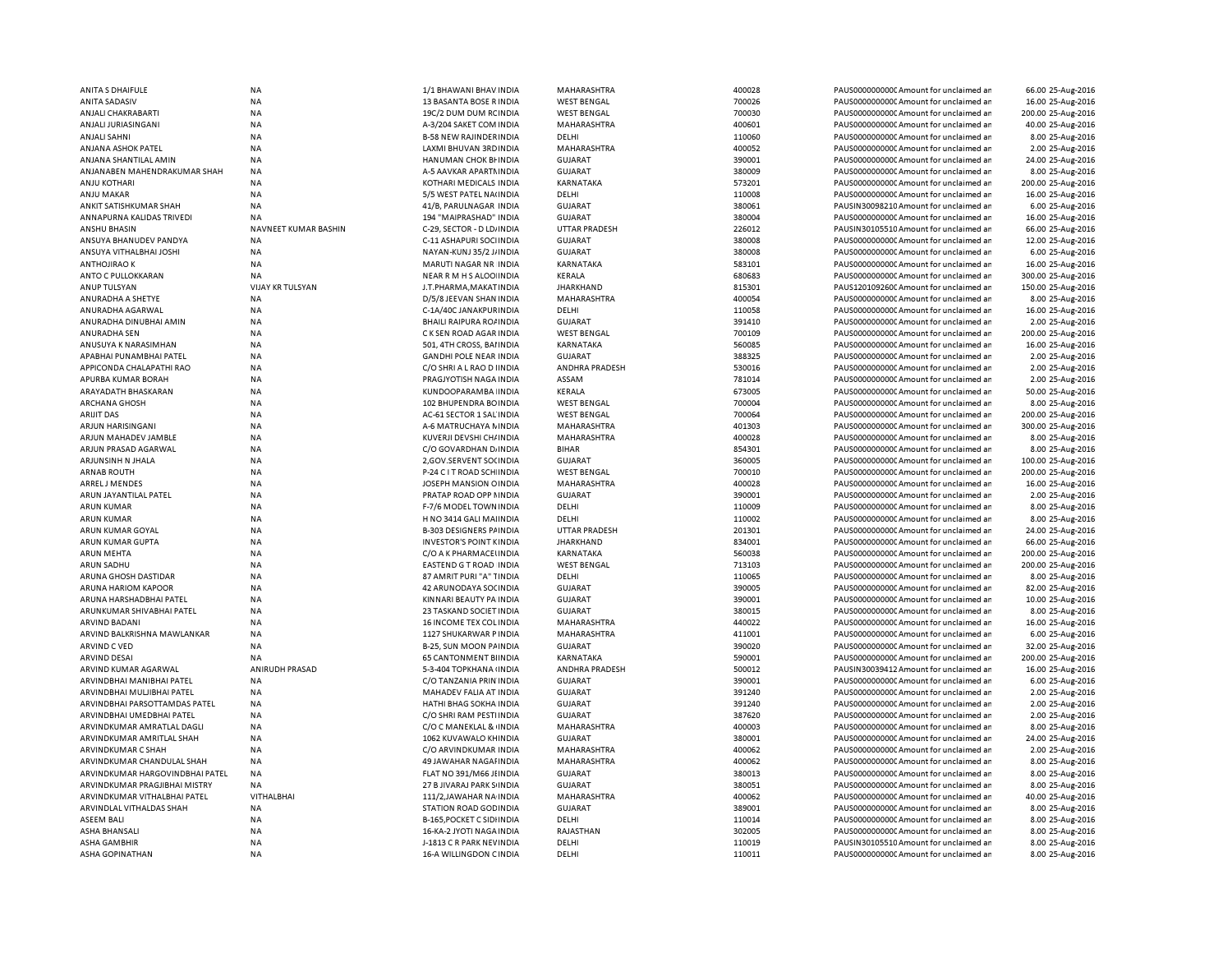| ANITA S DHAIFULE                | <b>NA</b>               | 1/1 BHAWANI BHAV INDIA          | MAHARASHTRA          | 400028 | PAUS0000000000 Amount for unclaimed an  | 66.00 25-Aug-2016  |
|---------------------------------|-------------------------|---------------------------------|----------------------|--------|-----------------------------------------|--------------------|
| ANITA SADASIV                   | <b>NA</b>               | 13 BASANTA BOSE R INDIA         | <b>WEST BENGAL</b>   | 700026 | PAUS0000000000 Amount for unclaimed ar  | 16.00 25-Aug-2016  |
| ANJALI CHAKRABARTI              | <b>NA</b>               | 19C/2 DUM DUM RCINDIA           | <b>WEST BENGAL</b>   | 700030 | PAUS0000000000 Amount for unclaimed ar  | 200.00 25-Aug-2016 |
| ANJALI JURIASINGANI             | NA                      | A-3/204 SAKET COM INDIA         | MAHARASHTRA          | 400601 | PAUS00000000000Amount for unclaimed ar  | 40.00 25-Aug-2016  |
| ANJALI SAHNI                    | ΝA                      | <b>B-58 NEW RAJINDERINDIA</b>   | DELHI                | 110060 | PAUS0000000000 Amount for unclaimed ar  | 8.00 25-Aug-2016   |
| ANJANA ASHOK PATEL              | <b>NA</b>               | LAXMI BHUVAN 3RD INDIA          | MAHARASHTRA          | 400052 | PAUS0000000000CAmount for unclaimed ar  | 2.00 25-Aug-2016   |
| ANJANA SHANTILAL AMIN           | <b>NA</b>               | HANUMAN CHOK BI INDIA           | <b>GUJARAT</b>       | 390001 | PAUS0000000000CAmount for unclaimed ar  | 24.00 25-Aug-2016  |
| ANJANABEN MAHENDRAKUMAR SHAH    | <b>NA</b>               | A-5 AAVKAR APARTMINDIA          | <b>GUJARAT</b>       | 380009 | PAUS0000000000 Amount for unclaimed ar  | 8.00 25-Aug-2016   |
|                                 |                         |                                 |                      |        |                                         |                    |
| ANJU KOTHARI                    | NA                      | KOTHARI MEDICALS INDIA          | KARNATAKA            | 573201 | PAUS0000000000CAmount for unclaimed ar  | 200.00 25-Aug-2016 |
| <b>ANJU MAKAR</b>               | <b>NA</b>               | 5/5 WEST PATEL NA(INDIA         | DELHI                | 110008 | PAUS0000000000 Amount for unclaimed ar  | 16.00 25-Aug-2016  |
| ANKIT SATISHKUMAR SHAH          | <b>NA</b>               | 41/B, PARULNAGAR INDIA          | <b>GUJARAT</b>       | 380061 | PAUSIN30098210 Amount for unclaimed ar  | 6.00 25-Aug-2016   |
| ANNAPURNA KALIDAS TRIVEDI       | NA                      | 194 "MAIPRASHAD" INDIA          | <b>GUJARAT</b>       | 380004 | PAUS0000000000CAmount for unclaimed ar  | 16.00 25-Aug-2016  |
| <b>ANSHU BHASIN</b>             | NAVNEET KUMAR BASHIN    | C-29, SECTOR - D LD/ INDIA      | <b>UTTAR PRADESH</b> | 226012 | PAUSIN30105510 Amount for unclaimed ar  | 66.00 25-Aug-2016  |
| ANSUYA BHANUDEV PANDYA          | <b>NA</b>               | C-11 ASHAPURI SOCI INDIA        | <b>GUJARAT</b>       | 380008 | PAUS0000000000CAmount for unclaimed ar  | 12.00 25-Aug-2016  |
| ANSUYA VITHALBHAI JOSHI         | <b>NA</b>               | NAYAN-KUNJ 35/2 J/ INDIA        | <b>GUJARAT</b>       | 380008 | PAUS0000000000CAmount for unclaimed ar  | 6.00 25-Aug-2016   |
| <b>ANTHOJIRAO K</b>             | <b>NA</b>               | MARUTI NAGAR NR INDIA           | <b>KARNATAKA</b>     | 583101 | PAUS0000000000CAmount for unclaimed ar  | 16.00 25-Aug-2016  |
| ANTO C PULLOKKARAN              | <b>NA</b>               | NEAR R M H S ALOO INDIA         | <b>KERALA</b>        | 680683 | PAUS0000000000 Amount for unclaimed ar  | 300.00 25-Aug-2016 |
| ANUP TULSYAN                    | <b>VIJAY KR TULSYAN</b> | J.T.PHARMA, MAKAT INDIA         | <b>JHARKHAND</b>     | 815301 | PAUS1201092600 Amount for unclaimed ar  | 150.00 25-Aug-2016 |
| ANURADHA A SHETYE               | <b>NA</b>               | D/5/8 JEEVAN SHAN INDIA         | MAHARASHTRA          | 400054 | PAUS0000000000CAmount for unclaimed an  | 8.00 25-Aug-2016   |
| ANURADHA AGARWAL                | <b>NA</b>               | C-1A/40C JANAKPURINDIA          | DELHI                | 110058 | PAUS0000000000 Amount for unclaimed ar  | 16.00 25-Aug-2016  |
| ANURADHA DINUBHAI AMIN          | NA                      | <b>BHAILI RAIPURA RO/ INDIA</b> | <b>GUJARAT</b>       | 391410 | PAUS0000000000CAmount for unclaimed an  | 2.00 25-Aug-2016   |
|                                 |                         |                                 |                      |        |                                         |                    |
| ANURADHA SEN                    | <b>NA</b>               | C K SEN ROAD AGAR INDIA         | <b>WEST BENGAL</b>   | 700109 | PAUS0000000000 Amount for unclaimed ar  | 200.00 25-Aug-2016 |
| ANUSUYA K NARASIMHAN            | <b>NA</b>               | 501, 4TH CROSS, BAI INDIA       | KARNATAKA            | 560085 | PAUS0000000000 Amount for unclaimed ar  | 16.00 25-Aug-2016  |
| APABHAI PUNAMBHAI PATEL         | <b>NA</b>               | <b>GANDHI POLE NEAR INDIA</b>   | <b>GUJARAT</b>       | 388325 | PAUS0000000000CAmount for unclaimed ar  | 2.00 25-Aug-2016   |
| APPICONDA CHALAPATHI RAO        | NA                      | C/O SHRI A L RAO D I INDIA      | ANDHRA PRADESH       | 530016 | PAUS0000000000 Amount for unclaimed ar  | 2.00 25-Aug-2016   |
| APURBA KUMAR BORAH              | ΝA                      | PRAGJYOTISH NAGA INDIA          | ASSAM                | 781014 | PAUS00000000000Amount for unclaimed ar  | 2.00 25-Aug-2016   |
| ARAYADATH BHASKARAN             | <b>NA</b>               | KUNDOOPARAMBA INDIA             | <b>KERALA</b>        | 673005 | PAUS0000000000CAmount for unclaimed ar  | 50.00 25-Aug-2016  |
| ARCHANA GHOSH                   | <b>NA</b>               | 102 BHUPENDRA BOINDIA           | <b>WEST BENGAL</b>   | 700004 | PAUS0000000000CAmount for unclaimed ar  | 8.00 25-Aug-2016   |
| <b>ARIJIT DAS</b>               | <b>NA</b>               | AC-61 SECTOR 1 SAL INDIA        | <b>WEST BENGAL</b>   | 700064 | PAUS0000000000CAmount for unclaimed ar  | 200.00 25-Aug-2016 |
| ARJUN HARISINGANI               | NA                      | A-6 MATRUCHAYA N INDIA          | MAHARASHTRA          | 401303 | PAUS0000000000CAmount for unclaimed an  | 300.00 25-Aug-2016 |
| ARJUN MAHADEV JAMBLE            | <b>NA</b>               | KUVERJI DEVSHI CH/ INDIA        | MAHARASHTRA          | 400028 | PAUS0000000000CAmount for unclaimed ar  | 8.00 25-Aug-2016   |
| ARJUN PRASAD AGARWAL            | <b>NA</b>               | C/O GOVARDHAN DJINDIA           | <b>BIHAR</b>         | 854301 | PAUS0000000000CAmount for unclaimed ar  | 8.00 25-Aug-2016   |
|                                 |                         |                                 |                      | 360005 |                                         |                    |
| ARJUNSINH N JHALA               | <b>NA</b>               | 2, GOV.SERVENT SO( INDIA        | <b>GUJARAT</b>       |        | PAUS0000000000CAmount for unclaimed ar  | 100.00 25-Aug-2016 |
| <b>ARNAB ROUTH</b>              | NA                      | P-24 C I T ROAD SCH INDIA       | <b>WEST BENGAL</b>   | 700010 | PAUS0000000000CAmount for unclaimed ar  | 200.00 25-Aug-2016 |
| ARREL J MENDES                  | <b>NA</b>               | JOSEPH MANSION OINDIA           | MAHARASHTRA          | 400028 | PAUS0000000000CAmount for unclaimed ar  | 16.00 25-Aug-2016  |
| ARUN JAYANTILAL PATEL           | <b>NA</b>               | PRATAP ROAD OPP NINDIA          | <b>GUJARAT</b>       | 390001 | PAUS00000000000Amount for unclaimed ar  | 2.00 25-Aug-2016   |
| <b>ARUN KUMAR</b>               | <b>NA</b>               | F-7/6 MODEL TOWN INDIA          | DELHI                | 110009 | PAUS0000000000 Amount for unclaimed ar  | 8.00 25-Aug-2016   |
| <b>ARUN KUMAR</b>               | <b>NA</b>               | H NO 3414 GALI MAI INDIA        | DELHI                | 110002 | PAUS0000000000 Amount for unclaimed ar  | 8.00 25-Aug-2016   |
| ARUN KUMAR GOYAL                | <b>NA</b>               | <b>B-303 DESIGNERS PAINDIA</b>  | <b>UTTAR PRADESH</b> | 201301 | PAUS0000000000 Amount for unclaimed ar  | 24.00 25-Aug-2016  |
| ARUN KUMAR GUPTA                | <b>NA</b>               | <b>INVESTOR'S POINT KINDIA</b>  | <b>JHARKHAND</b>     | 834001 | PAUS0000000000CAmount for unclaimed ar  | 66.00 25-Aug-2016  |
| ARUN MEHTA                      | <b>NA</b>               | C/O A K PHARMACELINDIA          | KARNATAKA            | 560038 | PAUS0000000000 Amount for unclaimed ar  | 200.00 25-Aug-2016 |
| ARUN SADHU                      | NA                      | EASTEND G T ROAD INDIA          | <b>WEST BENGAL</b>   | 713103 | PAUS0000000000 Amount for unclaimed ar  | 200.00 25-Aug-2016 |
| ARUNA GHOSH DASTIDAR            | NA                      | 87 AMRIT PURI "A" TINDIA        | DELHI                | 110065 | PAUS0000000000CAmount for unclaimed ar  | 8.00 25-Aug-2016   |
| ARUNA HARIOM KAPOOR             | NA                      | 42 ARUNODAYA SOCINDIA           | <b>GUJARAT</b>       | 390005 | PAUS0000000000 Amount for unclaimed ar  | 82.00 25-Aug-2016  |
|                                 |                         |                                 |                      |        |                                         |                    |
| ARUNA HARSHADBHAI PATEL         | <b>NA</b>               | KINNARI BEAUTY PA INDIA         | <b>GUJARAT</b>       | 390001 | PAUS0000000000CAmount for unclaimed ar  | 10.00 25-Aug-2016  |
| ARUNKUMAR SHIVABHAI PATEL       | NA                      | 23 TASKAND SOCIET INDIA         | <b>GUJARAT</b>       | 380015 | PAUS0000000000 Amount for unclaimed ar  | 8.00 25-Aug-2016   |
| ARVIND BADANI                   | ΝA                      | <b>16 INCOME TEX COL INDIA</b>  | MAHARASHTRA          | 440022 | PAUS0000000000CAmount for unclaimed ar  | 16.00 25-Aug-2016  |
| ARVIND BALKRISHNA MAWLANKAR     | NA                      | 1127 SHUKARWAR P INDIA          | MAHARASHTRA          | 411001 | PAUS0000000000CAmount for unclaimed ar  | 6.00 25-Aug-2016   |
| ARVIND C VED                    | <b>NA</b>               | B-25, SUN MOON PAINDIA          | <b>GUJARAT</b>       | 390020 | PAUS0000000000CAmount for unclaimed ar  | 32.00 25-Aug-2016  |
| <b>ARVIND DESAI</b>             | <b>NA</b>               | <b>65 CANTONMENT BIINDIA</b>    | KARNATAKA            | 590001 | PAUS0000000000CAmount for unclaimed ar  | 200.00 25-Aug-2016 |
| ARVIND KUMAR AGARWAL            | ANIRUDH PRASAD          | 5-3-404 TOPKHANA INDIA          | ANDHRA PRADESH       | 500012 | PAUSIN30039412 Amount for unclaimed ar  | 16.00 25-Aug-2016  |
| ARVINDBHAI MANIBHAI PATEL       | <b>NA</b>               | C/O TANZANIA PRIN INDIA         | <b>GUJARAT</b>       | 390001 | PAUS0000000000C Amount for unclaimed ar | 6.00 25-Aug-2016   |
| ARVINDBHAI MULJIBHAI PATEL      | <b>NA</b>               | MAHADEV FALIA AT INDIA          | <b>GUJARAT</b>       | 391240 | PAUS00000000000Amount for unclaimed ar  | 2.00 25-Aug-2016   |
| ARVINDBHAI PARSOTTAMDAS PATEL   | NA                      | HATHI BHAG SOKHA INDIA          | <b>GUJARAT</b>       | 391240 | PAUS0000000000CAmount for unclaimed ar  | 2.00 25-Aug-2016   |
| ARVINDBHAI UMEDBHAI PATEL       | <b>NA</b>               | C/O SHRI RAM PESTI INDIA        | <b>GUJARAT</b>       | 387620 | PAUS0000000000 Amount for unclaimed ar  | 2.00 25-Aug-2016   |
| ARVINDKUMAR AMRATLAL DAGLI      | NA                      | C/O C MANEKLAL & INDIA          | MAHARASHTRA          | 400003 | PAUS0000000000 Amount for unclaimed ar  | 8.00 25-Aug-2016   |
|                                 |                         |                                 |                      |        |                                         |                    |
| ARVINDKUMAR AMRITLAL SHAH       | <b>NA</b>               | 1062 KUVAWALO KHINDIA           | <b>GUJARAT</b>       | 380001 | PAUS0000000000 Amount for unclaimed ar  | 24.00 25-Aug-2016  |
| ARVINDKUMAR C SHAH              | <b>NA</b>               | C/O ARVINDKUMAR INDIA           | MAHARASHTRA          | 400062 | PAUS0000000000 Amount for unclaimed ar  | 2.00 25-Aug-2016   |
| ARVINDKUMAR CHANDULAL SHAH      | <b>NA</b>               | 49 JAWAHAR NAGAI INDIA          | <b>MAHARASHTRA</b>   | 400062 | PAUS0000000000 Amount for unclaimed ar  | 8.00 25-Aug-2016   |
| ARVINDKUMAR HARGOVINDBHAI PATEL | NA                      | FLAT NO 391/M66 JHNDIA          | <b>GUJARAT</b>       | 380013 | PAUS0000000000 Amount for unclaimed ar  | 8.00 25-Aug-2016   |
| ARVINDKUMAR PRAGJIBHAI MISTRY   | NA                      | 27 B JIVARAJ PARK S INDIA       | <b>GUJARAT</b>       | 380051 | PAUS0000000000 Amount for unclaimed ar  | 8.00 25-Aug-2016   |
| ARVINDKUMAR VITHALBHAI PATEL    | VITHALBHAI              | 111/2, JAWAHAR NA INDIA         | MAHARASHTRA          | 400062 | PAUS00000000000Amount for unclaimed ar  | 40.00 25-Aug-2016  |
| ARVINDLAL VITHALDAS SHAH        | NA                      | STATION ROAD GOD INDIA          | <b>GUJARAT</b>       | 389001 | PAUS0000000000 Amount for unclaimed ar  | 8.00 25-Aug-2016   |
| ASEEM BALI                      | ΝA                      | B-165, POCKET C SIDI INDIA      | DELHI                | 110014 | PAUS0000000000 Amount for unclaimed ar  | 8.00 25-Aug-2016   |
| ASHA BHANSALI                   | <b>NA</b>               | 16-KA-2 JYOTI NAGA INDIA        | RAJASTHAN            | 302005 | PAUS0000000000 Amount for unclaimed an  | 8.00 25-Aug-2016   |
| ASHA GAMBHIR                    | <b>NA</b>               | J-1813 C R PARK NEVINDIA        | DELHI                | 110019 | PAUSIN30105510 Amount for unclaimed ar  | 8.00 25-Aug-2016   |
|                                 |                         |                                 |                      |        |                                         |                    |
| ASHA GOPINATHAN                 | <b>NA</b>               | 16-A WILLINGDON CINDIA          | DELHI                | 110011 | PAUS0000000000 Amount for unclaimed ar  | 8.00 25-Aug-2016   |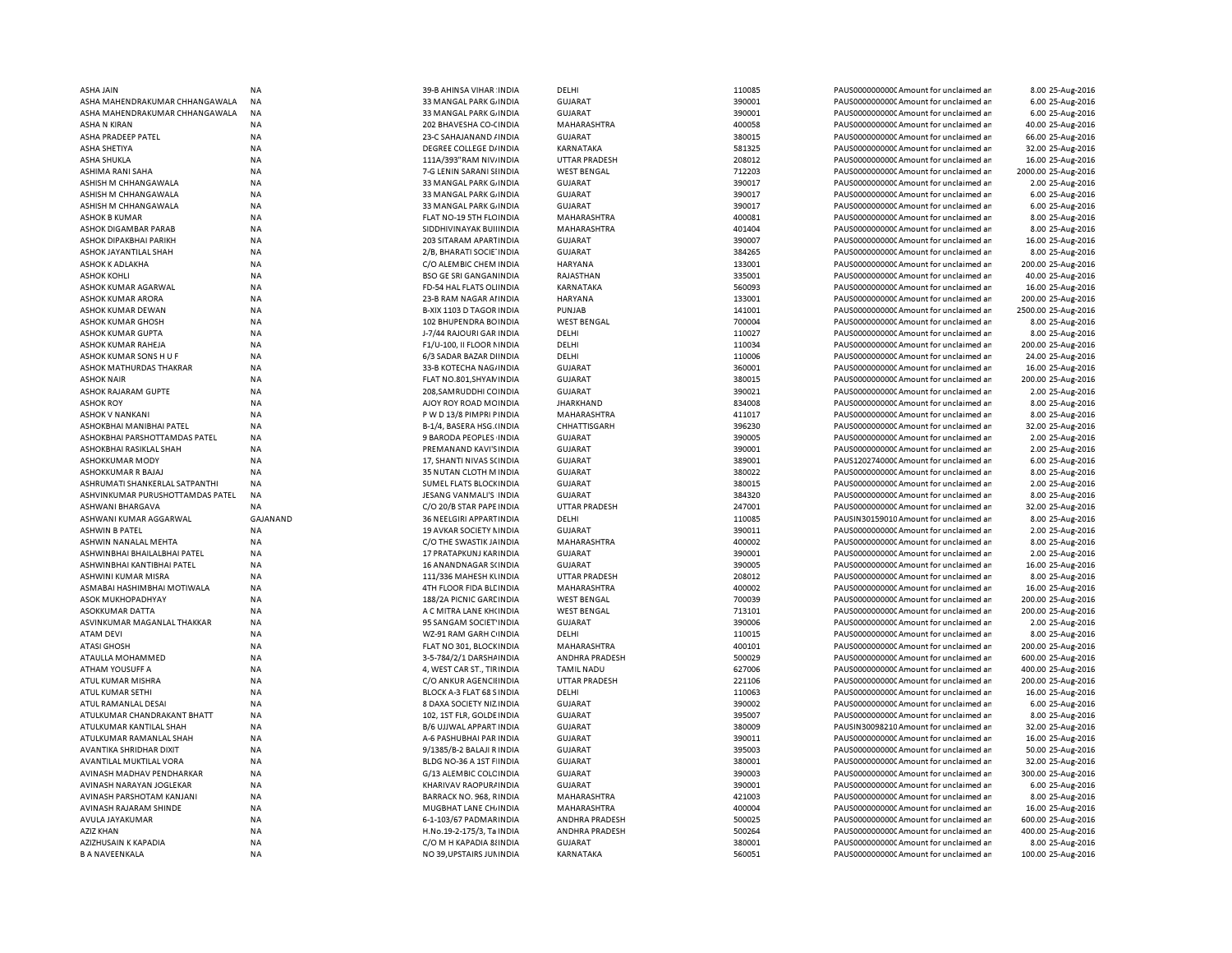| ASHA JAIN                        | <b>NA</b>       | 39-B AHINSA VIHAR INDIA       | DELHI                | 110085 | PAUS0000000000CAmount for unclaimed ar  | 8.00 25-Aug-2016    |
|----------------------------------|-----------------|-------------------------------|----------------------|--------|-----------------------------------------|---------------------|
| ASHA MAHENDRAKUMAR CHHANGAWALA   | <b>NA</b>       | 33 MANGAL PARK G/ INDIA       | <b>GUJARAT</b>       | 390001 | PAUS0000000000 Amount for unclaimed ar  | 6.00 25-Aug-2016    |
| ASHA MAHENDRAKUMAR CHHANGAWALA   | <b>NA</b>       | 33 MANGAL PARK G. INDIA       | <b>GUJARAT</b>       | 390001 | PAUS0000000000 Amount for unclaimed ar  | 6.00 25-Aug-2016    |
| <b>ASHA N KIRAN</b>              | NA              | 202 BHAVESHA CO-CINDIA        | MAHARASHTRA          | 400058 | PAUS0000000000 Amount for unclaimed ar  | 40.00 25-Aug-2016   |
| ASHA PRADEEP PATEL               | NA              | 23-C SAHAJANAND / INDIA       | <b>GUJARAT</b>       | 380015 | PAUS0000000000C Amount for unclaimed ar | 66.00 25-Aug-2016   |
| <b>ASHA SHETIYA</b>              | <b>NA</b>       | DEGREE COLLEGE D/ INDIA       | KARNATAKA            | 581325 | PAUS0000000000CAmount for unclaimed ar  | 32.00 25-Aug-2016   |
| ASHA SHUKLA                      | ΝA              | 111A/393"RAM NIV/INDIA        | <b>UTTAR PRADESH</b> | 208012 | PAUS0000000000CAmount for unclaimed ar  | 16.00 25-Aug-2016   |
| ASHIMA RANI SAHA                 | <b>NA</b>       | 7-G LENIN SARANI SI INDIA     | <b>WEST BENGAL</b>   | 712203 | PAUS00000000000 Amount for unclaimed ar |                     |
|                                  |                 |                               |                      |        |                                         | 2000.00 25-Aug-2016 |
| ASHISH M CHHANGAWALA             | NA              | 33 MANGAL PARK GJINDIA        | <b>GUJARAT</b>       | 390017 | PAUS0000000000C Amount for unclaimed ar | 2.00 25-Aug-2016    |
| ASHISH M CHHANGAWALA             | <b>NA</b>       | 33 MANGAL PARK G/ INDIA       | <b>GUJARAT</b>       | 390017 | PAUS0000000000 Amount for unclaimed ar  | 6.00 25-Aug-2016    |
| ASHISH M CHHANGAWALA             | <b>NA</b>       | 33 MANGAL PARK G. INDIA       | <b>GUJARAT</b>       | 390017 | PAUS0000000000 Amount for unclaimed ar  | 6.00 25-Aug-2016    |
| <b>ASHOK B KUMAR</b>             | <b>NA</b>       | FLAT NO-19 5TH FLC INDIA      | MAHARASHTRA          | 400081 | PAUS0000000000CAmount for unclaimed ar  | 8.00 25-Aug-2016    |
| ASHOK DIGAMBAR PARAB             | <b>NA</b>       | SIDDHIVINAYAK BUILINDIA       | MAHARASHTRA          | 401404 | PAUS0000000000CAmount for unclaimed ar  | 8.00 25-Aug-2016    |
| ASHOK DIPAKBHAI PARIKH           | <b>NA</b>       | 203 SITARAM APARTINDIA        | <b>GUJARAT</b>       | 390007 | PAUS0000000000CAmount for unclaimed ar  | 16.00 25-Aug-2016   |
| ASHOK JAYANTILAL SHAH            | <b>NA</b>       | 2/B, BHARATI SOCIE INDIA      | GUJARAT              | 384265 | PAUS0000000000CAmount for unclaimed ar  | 8.00 25-Aug-2016    |
| <b>ASHOK K ADLAKHA</b>           | <b>NA</b>       | C/O ALEMBIC CHEM INDIA        | <b>HARYANA</b>       | 133001 | PAUS0000000000CAmount for unclaimed ar  | 200.00 25-Aug-2016  |
| <b>ASHOK KOHLI</b>               | <b>NA</b>       | <b>BSO GE SRI GANGANINDIA</b> | RAJASTHAN            | 335001 | PAUS0000000000 Amount for unclaimed ar  | 40.00 25-Aug-2016   |
| ASHOK KUMAR AGARWAL              | <b>NA</b>       | FD-54 HAL FLATS OLI INDIA     | KARNATAKA            | 560093 | PAUS0000000000 Amount for unclaimed ar  | 16.00 25-Aug-2016   |
| <b>ASHOK KUMAR ARORA</b>         | <b>NA</b>       | 23-B RAM NAGAR AI INDIA       | <b>HARYANA</b>       | 133001 | PAUS0000000000CAmount for unclaimed ar  | 200.00 25-Aug-2016  |
| ASHOK KUMAR DEWAN                | <b>NA</b>       | B-XIX 1103 D TAGOR INDIA      | PUNJAB               | 141001 | PAUS0000000000 Amount for unclaimed ar  | 2500.00 25-Aug-2016 |
| <b>ASHOK KUMAR GHOSH</b>         |                 |                               |                      |        | PAUS0000000000 Amount for unclaimed ar  |                     |
|                                  | <b>NA</b>       | 102 BHUPENDRA BOINDIA         | <b>WEST BENGAL</b>   | 700004 |                                         | 8.00 25-Aug-2016    |
| ASHOK KUMAR GUPTA                | <b>NA</b>       | J-7/44 RAJOURI GAR INDIA      | DELHI                | 110027 | PAUS0000000000 Amount for unclaimed ar  | 8.00 25-Aug-2016    |
| ASHOK KUMAR RAHEJA               | <b>NA</b>       | F1/U-100, II FLOOR NINDIA     | DELHI                | 110034 | PAUS0000000000 Amount for unclaimed ar  | 200.00 25-Aug-2016  |
| ASHOK KUMAR SONS H U F           | NA              | 6/3 SADAR BAZAR DIINDIA       | DELHI                | 110006 | PAUS0000000000CAmount for unclaimed ar  | 24.00 25-Aug-2016   |
| ASHOK MATHURDAS THAKRAR          | <b>NA</b>       | 33-B KOTECHA NAG/INDIA        | <b>GUJARAT</b>       | 360001 | PAUS0000000000 Amount for unclaimed ar  | 16.00 25-Aug-2016   |
| ASHOK NAIR                       | <b>NA</b>       | FLAT NO.801, SHYAN INDIA      | <b>GUJARAT</b>       | 380015 | PAUS0000000000C Amount for unclaimed ar | 200.00 25-Aug-2016  |
| ASHOK RAJARAM GUPTE              | <b>NA</b>       | 208, SAMRUDDHI CC INDIA       | <b>GUJARAT</b>       | 390021 | PAUS0000000000CAmount for unclaimed ar  | 2.00 25-Aug-2016    |
| ASHOK ROY                        | NA              | AJOY ROY ROAD MC INDIA        | <b>JHARKHAND</b>     | 834008 | PAUS0000000000C Amount for unclaimed ar | 8.00 25-Aug-2016    |
| <b>ASHOK V NANKANI</b>           | <b>NA</b>       | P W D 13/8 PIMPRI PINDIA      | MAHARASHTRA          | 411017 | PAUS0000000000CAmount for unclaimed ar  | 8.00 25-Aug-2016    |
| ASHOKBHAI MANIBHAI PATEL         | <b>NA</b>       | B-1/4, BASERA HSG.(INDIA      | CHHATTISGARH         | 396230 | PAUS0000000000CAmount for unclaimed ar  | 32.00 25-Aug-2016   |
| ASHOKBHAI PARSHOTTAMDAS PATEL    | <b>NA</b>       | 9 BARODA PEOPLES INDIA        | <b>GUJARAT</b>       | 390005 | PAUS0000000000CAmount for unclaimed ar  | 2.00 25-Aug-2016    |
| ASHOKBHAI RASIKLAL SHAH          | <b>NA</b>       |                               | <b>GUJARAT</b>       | 390001 | PAUS0000000000 Amount for unclaimed ar  | 2.00 25-Aug-2016    |
|                                  |                 | PREMANAND KAVI'S INDIA        |                      |        |                                         |                     |
| <b>ASHOKKUMAR MODY</b>           | <b>NA</b>       | 17, SHANTI NIVAS SCINDIA      | GUJARAT              | 389001 | PAUS1202740000 Amount for unclaimed ar  | 6.00 25-Aug-2016    |
| ASHOKKUMAR R BAJAJ               | <b>NA</b>       | 35 NUTAN CLOTH M INDIA        | <b>GUJARAT</b>       | 380022 | PAUS0000000000CAmount for unclaimed ar  | 8.00 25-Aug-2016    |
| ASHRUMATI SHANKERLAL SATPANTHI   | <b>NA</b>       | SUMEL FLATS BLOCK INDIA       | GUJARAT              | 380015 | PAUS0000000000CAmount for unclaimed ar  | 2.00 25-Aug-2016    |
| ASHVINKUMAR PURUSHOTTAMDAS PATEL | <b>NA</b>       | JESANG VANMALI'S INDIA        | <b>GUJARAT</b>       | 384320 | PAUS0000000000CAmount for unclaimed ar  | 8.00 25-Aug-2016    |
| ASHWANI BHARGAVA                 | ΝA              | C/O 20/B STAR PAPE INDIA      | <b>UTTAR PRADESH</b> | 247001 | PAUS0000000000 Amount for unclaimed ar  | 32.00 25-Aug-2016   |
| ASHWANI KUMAR AGGARWAL           | <b>GAJANAND</b> | 36 NEELGIRI APPARTINDIA       | DELHI                | 110085 | PAUSIN30159010 Amount for unclaimed ar  | 8.00 25-Aug-2016    |
| <b>ASHWIN B PATEL</b>            | <b>NA</b>       | 19 AVKAR SOCIETY NINDIA       | <b>GUJARAT</b>       | 390011 | PAUS0000000000 Amount for unclaimed ar  | 2.00 25-Aug-2016    |
| <b>ASHWIN NANALAL MEHTA</b>      | <b>NA</b>       | C/O THE SWASTIK JAINDIA       | MAHARASHTRA          | 400002 | PAUS0000000000 Amount for unclaimed ar  | 8.00 25-Aug-2016    |
| ASHWINBHAI BHAILALBHAI PATEL     | <b>NA</b>       | 17 PRATAPKUNJ KARINDIA        | <b>GUJARAT</b>       | 390001 | PAUS0000000000 Amount for unclaimed ar  | 2.00 25-Aug-2016    |
| ASHWINBHAI KANTIBHAI PATEL       | <b>NA</b>       | 16 ANANDNAGAR S(INDIA         | <b>GUJARAT</b>       | 390005 | PAUS0000000000 Amount for unclaimed ar  | 16.00 25-Aug-2016   |
| ASHWINI KUMAR MISRA              | NA              | 111/336 MAHESH KUNDIA         | <b>UTTAR PRADESH</b> | 208012 | PAUS0000000000C Amount for unclaimed ar | 8.00 25-Aug-2016    |
| ASMABAI HASHIMBHAI MOTIWALA      | <b>NA</b>       | 4TH FLOOR FIDA BLE INDIA      | MAHARASHTRA          | 400002 | PAUS0000000000 Amount for unclaimed ar  | 16.00 25-Aug-2016   |
|                                  |                 |                               |                      |        |                                         |                     |
| ASOK MUKHOPADHYAY                | NA              | 188/2A PICNIC GARE INDIA      | <b>WEST BENGAL</b>   | 700039 | PAUS0000000000CAmount for unclaimed ar  | 200.00 25-Aug-2016  |
| ASOKKUMAR DATTA                  | <b>NA</b>       | A C MITRA LANE KH(INDIA       | <b>WEST BENGAL</b>   | 713101 | PAUS0000000000 Amount for unclaimed ar  | 200.00 25-Aug-2016  |
| ASVINKUMAR MAGANLAL THAKKAR      | NA              | 95 SANGAM SOCIET INDIA        | <b>GUJARAT</b>       | 390006 | PAUS0000000000 Amount for unclaimed ar  | 2.00 25-Aug-2016    |
| ATAM DEVI                        | <b>NA</b>       | WZ-91 RAM GARH C INDIA        | DELHI                | 110015 | PAUS0000000000CAmount for unclaimed ar  | 8.00 25-Aug-2016    |
| ATASI GHOSH                      | <b>NA</b>       | FLAT NO 301, BLOCK INDIA      | MAHARASHTRA          | 400101 | PAUS0000000000CAmount for unclaimed ar  | 200.00 25-Aug-2016  |
| ATAULLA MOHAMMED                 | <b>NA</b>       | 3-5-784/2/1 DARSHA INDIA      | ANDHRA PRADESH       | 500029 | PAUS0000000000CAmount for unclaimed ar  | 600.00 25-Aug-2016  |
| ATHAM YOUSUFF A                  | <b>NA</b>       | 4, WEST CAR ST., TIRINDIA     | <b>TAMIL NADU</b>    | 627006 | PAUS0000000000CAmount for unclaimed ar  | 400.00 25-Aug-2016  |
| ATUL KUMAR MISHRA                | NA              | C/O ANKUR AGENCII INDIA       | <b>UTTAR PRADESH</b> | 221106 | PAUS0000000000CAmount for unclaimed ar  | 200.00 25-Aug-2016  |
| <b>ATUL KUMAR SETHI</b>          | <b>NA</b>       | BLOCK A-3 FLAT 68 S INDIA     | DELHI                | 110063 | PAUS0000000000 Amount for unclaimed ar  | 16.00 25-Aug-2016   |
| ATUL RAMANLAL DESAI              | <b>NA</b>       | 8 DAXA SOCIETY NIZ INDIA      | <b>GUJARAT</b>       | 390002 | PAUS0000000000CAmount for unclaimed ar  | 6.00 25-Aug-2016    |
| ATULKUMAR CHANDRAKANT BHATT      | <b>NA</b>       | 102, 1ST FLR, GOLDE INDIA     | <b>GUJARAT</b>       | 395007 | PAUS0000000000 Amount for unclaimed ar  | 8.00 25-Aug-2016    |
| ATULKUMAR KANTILAL SHAH          | <b>NA</b>       | B/6 UJJWAL APPART INDIA       | <b>GUJARAT</b>       | 380009 | PAUSIN30098210 Amount for unclaimed ar  | 32.00 25-Aug-2016   |
|                                  |                 |                               |                      |        |                                         |                     |
| ATULKUMAR RAMANLAL SHAH          | <b>NA</b>       | A-6 PASHUBHAI PAR INDIA       | <b>GUJARAT</b>       | 390011 | PAUS0000000000 Amount for unclaimed ar  | 16.00 25-Aug-2016   |
| AVANTIKA SHRIDHAR DIXIT          | <b>NA</b>       | 9/1385/B-2 BALAJI R INDIA     | <b>GUJARAT</b>       | 395003 | PAUS0000000000 Amount for unclaimed ar  | 50.00 25-Aug-2016   |
| <b>AVANTILAL MUKTILAL VORA</b>   | <b>NA</b>       | BLDG NO-36 A 1ST F INDIA      | <b>GUJARAT</b>       | 380001 | PAUS0000000000 Amount for unclaimed ar  | 32.00 25-Aug-2016   |
| AVINASH MADHAV PENDHARKAR        | <b>NA</b>       | G/13 ALEMBIC COLC INDIA       | <b>GUJARAT</b>       | 390003 | PAUS0000000000 Amount for unclaimed ar  | 300.00 25-Aug-2016  |
| AVINASH NARAYAN JOGLEKAR         | <b>NA</b>       | KHARIVAV RAOPUR/ INDIA        | <b>GUJARAT</b>       | 390001 | PAUS0000000000 Amount for unclaimed ar  | 6.00 25-Aug-2016    |
| AVINASH PARSHOTAM KANJANI        | <b>NA</b>       | BARRACK NO. 968, RINDIA       | MAHARASHTRA          | 421003 | PAUS0000000000CAmount for unclaimed ar  | 8.00 25-Aug-2016    |
| AVINASH RAJARAM SHINDE           | <b>NA</b>       | MUGBHAT LANE CH. INDIA        | MAHARASHTRA          | 400004 | PAUS0000000000 Amount for unclaimed ar  | 16.00 25-Aug-2016   |
| AVULA JAYAKUMAR                  | <b>NA</b>       | 6-1-103/67 PADMARINDIA        | ANDHRA PRADESH       | 500025 | PAUS0000000000 Amount for unclaimed ar  | 600.00 25-Aug-2016  |
| AZIZ KHAN                        | <b>NA</b>       | H.No.19-2-175/3, Ta INDIA     | ANDHRA PRADESH       | 500264 | PAUS0000000000CAmount for unclaimed ar  | 400.00 25-Aug-2016  |
| AZIZHUSAIN K KAPADIA             | <b>NA</b>       | C/O M H KAPADIA 8 INDIA       | <b>GUJARAT</b>       | 380001 | PAUS0000000000CAmount for unclaimed ar  | 8.00 25-Aug-2016    |
|                                  |                 |                               |                      |        |                                         |                     |
| <b>B A NAVEENKALA</b>            | <b>NA</b>       | NO 39, UPSTAIRS JUNINDIA      | KARNATAKA            | 560051 | PAUS0000000000CAmount for unclaimed ar  | 100.00 25-Aug-2016  |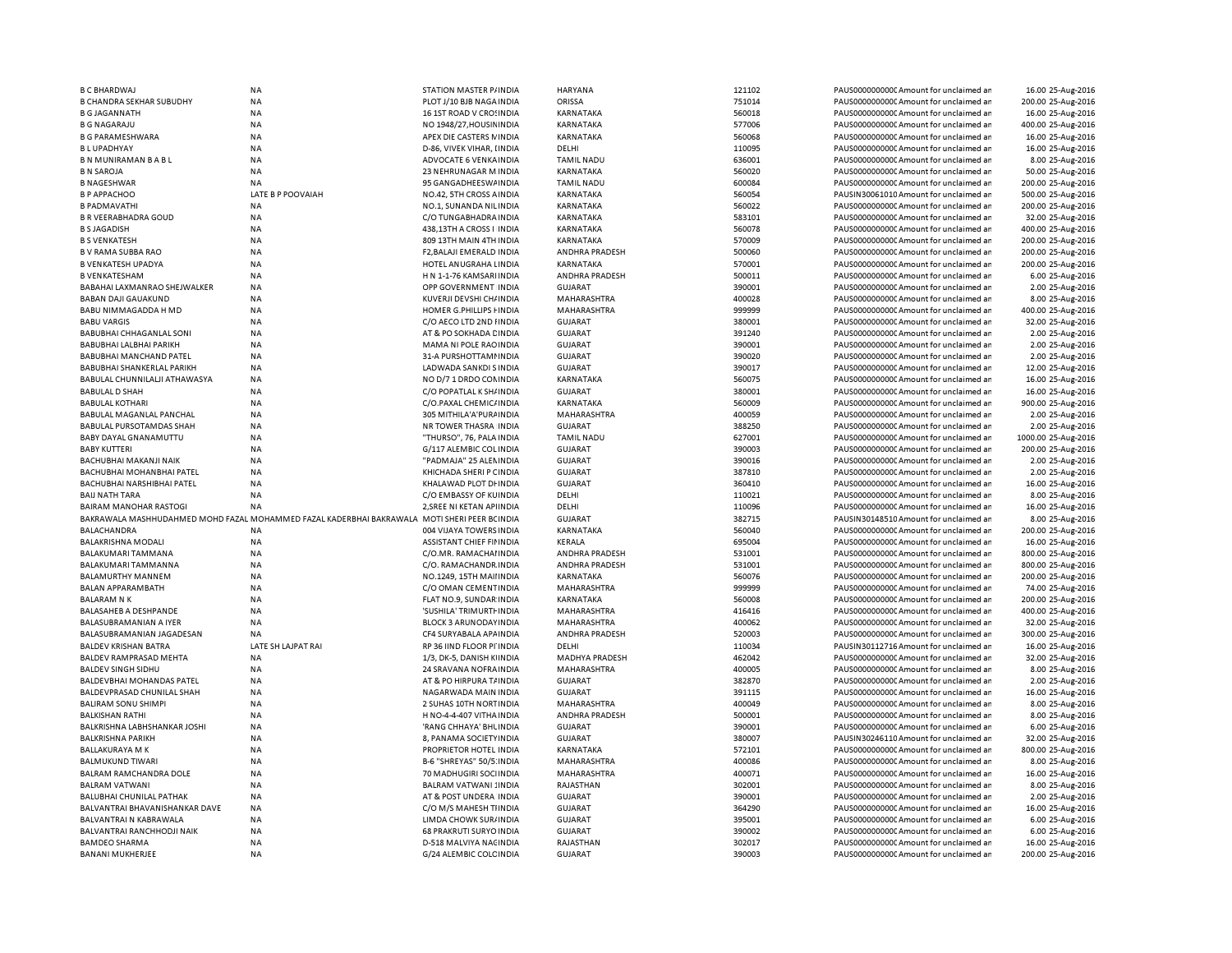| <b>B C BHARDWAJ</b>             | NA                                                                                           | STATION MASTER P/INDIA        | <b>HARYANA</b>        | 121102 | PAUS0000000000 Amount for unclaimed ar  | 16.00 25-Aug-2016   |
|---------------------------------|----------------------------------------------------------------------------------------------|-------------------------------|-----------------------|--------|-----------------------------------------|---------------------|
| <b>B CHANDRA SEKHAR SUBUDHY</b> | <b>NA</b>                                                                                    | PLOT J/10 BJB NAGA INDIA      | <b>ORISSA</b>         | 751014 | PAUS0000000000 Amount for unclaimed ar  | 200.00 25-Aug-2016  |
| <b>B G JAGANNATH</b>            | <b>NA</b>                                                                                    | 16 1ST ROAD V CROSINDIA       | KARNATAKA             | 560018 | PAUS0000000000 Amount for unclaimed ar  | 16.00 25-Aug-2016   |
| <b>B G NAGARAJU</b>             | <b>NA</b>                                                                                    | NO 1948/27.HOUSIN INDIA       | <b>KARNATAKA</b>      | 577006 | PAUS0000000000 Amount for unclaimed ar  | 400.00 25-Aug-2016  |
| <b>B G PARAMESHWARA</b>         | <b>NA</b>                                                                                    | APEX DIE CASTERS NINDIA       | <b>KARNATAKA</b>      | 560068 | PAUS0000000000 Amount for unclaimed ar  | 16.00 25-Aug-2016   |
| <b>BLUPADHYAY</b>               | <b>NA</b>                                                                                    | D-86, VIVEK VIHAR, I INDIA    | DELHI                 | 110095 | PAUS0000000000 Amount for unclaimed ar  | 16.00 25-Aug-2016   |
| <b>BN MUNIRAMAN BABL</b>        | NA                                                                                           | ADVOCATE 6 VENKA INDIA        | <b>TAMIL NADU</b>     | 636001 | PAUS0000000000 Amount for unclaimed ar  | 8.00 25-Aug-2016    |
| <b>B N SAROJA</b>               | <b>NA</b>                                                                                    | 23 NEHRUNAGAR M INDIA         | <b>KARNATAKA</b>      | 560020 | PAUS0000000000 Amount for unclaimed ar  | 50.00 25-Aug-2016   |
| <b>B NAGESHWAR</b>              | <b>NA</b>                                                                                    | 95 GANGADHEESWAINDIA          | <b>TAMIL NADU</b>     | 600084 | PAUS0000000000CAmount for unclaimed ar  | 200.00 25-Aug-2016  |
| <b>B P APPACHOO</b>             | LATE B P POOVAIAH                                                                            | NO.42, 5TH CROSS A INDIA      | KARNATAKA             | 560054 | PAUSIN30061010 Amount for unclaimed ar  | 500.00 25-Aug-2016  |
| <b>B PADMAVATHI</b>             | <b>NA</b>                                                                                    | NO.1. SUNANDA NILINDIA        | <b>KARNATAKA</b>      | 560022 | PAUS0000000000 Amount for unclaimed ar  | 200.00 25-Aug-2016  |
| <b>B R VEERABHADRA GOUD</b>     | <b>NA</b>                                                                                    | C/O TUNGABHADRA INDIA         | KARNATAKA             | 583101 | PAUS0000000000 Amount for unclaimed ar  | 32.00 25-Aug-2016   |
| <b>B S JAGADISH</b>             | <b>NA</b>                                                                                    | 438.13TH A CROSS I INDIA      | <b>KARNATAKA</b>      | 560078 | PAUS0000000000 Amount for unclaimed ar  | 400.00 25-Aug-2016  |
| <b>B S VENKATESH</b>            | <b>NA</b>                                                                                    | 809 13TH MAIN 4TH INDIA       | KARNATAKA             | 570009 | PAUS0000000000CAmount for unclaimed ar  | 200.00 25-Aug-2016  |
| <b>B V RAMA SUBBA RAO</b>       | <b>NA</b>                                                                                    | F2.BALAJI EMERALD INDIA       | <b>ANDHRA PRADESH</b> | 500060 | PAUS0000000000 Amount for unclaimed ar  | 200.00 25-Aug-2016  |
|                                 |                                                                                              |                               |                       |        |                                         |                     |
| <b>B VENKATESH UPADYA</b>       | NA                                                                                           | HOTEL ANUGRAHA LINDIA         | <b>KARNATAKA</b>      | 570001 | PAUS0000000000CAmount for unclaimed ar  | 200.00 25-Aug-2016  |
| <b>B VENKATESHAM</b>            | <b>NA</b>                                                                                    | H N 1-1-76 KAMSARI INDIA      | ANDHRA PRADESH        | 500011 | PAUS0000000000 Amount for unclaimed ar  | 6.00 25-Aug-2016    |
| BABAHAI LAXMANRAO SHEJWALKER    | <b>NA</b>                                                                                    | OPP GOVERNMENT INDIA          | GUJARAT               | 390001 | PAUS0000000000 Amount for unclaimed ar  | 2.00 25-Aug-2016    |
| <b>BABAN DAJI GAUAKUND</b>      | <b>NA</b>                                                                                    | KUVERJI DEVSHI CH/ INDIA      | MAHARASHTRA           | 400028 | PAUS0000000000CAmount for unclaimed ar  | 8.00 25-Aug-2016    |
| BABU NIMMAGADDA H MD            | <b>NA</b>                                                                                    | HOMER G.PHILLIPS FINDIA       | MAHARASHTRA           | 999999 | PAUS0000000000CAmount for unclaimed ar  | 400.00 25-Aug-2016  |
| <b>BABU VARGIS</b>              | <b>NA</b>                                                                                    | C/O AECO LTD 2ND HNDIA        | <b>GUJARAT</b>        | 380001 | PAUS0000000000 Amount for unclaimed ar  | 32.00 25-Aug-2016   |
| <b>BABUBHAI CHHAGANLAL SONI</b> | <b>NA</b>                                                                                    | AT & PO SOKHADA CINDIA        | GUJARAT               | 391240 | PAUS0000000000 Amount for unclaimed ar  | 2.00 25-Aug-2016    |
| BABUBHAI LALBHAI PARIKH         | NA                                                                                           | MAMA NI POLE RAO INDIA        | <b>GUJARAT</b>        | 390001 | PAUS0000000000C Amount for unclaimed ar | 2.00 25-Aug-2016    |
| <b>BABUBHAI MANCHAND PATEL</b>  | <b>NA</b>                                                                                    | 31-A PURSHOTTAMI INDIA        | <b>GUJARAT</b>        | 390020 | PAUS0000000000 Amount for unclaimed ar  | 2.00 25-Aug-2016    |
| BABUBHAI SHANKERLAL PARIKH      | NA                                                                                           | LADWADA SANKDI S INDIA        | <b>GUJARAT</b>        | 390017 | PAUS0000000000C Amount for unclaimed ar | 12.00 25-Aug-2016   |
| BABULAL CHUNNILALJI ATHAWASYA   | <b>NA</b>                                                                                    | NO D/7 1 DRDO CONINDIA        | <b>KARNATAKA</b>      | 560075 | PAUS0000000000 Amount for unclaimed ar  | 16.00 25-Aug-2016   |
| <b>BABULAL D SHAH</b>           | NA                                                                                           | C/O POPATLAL K SH/ INDIA      | <b>GUJARAT</b>        | 380001 | PAUS0000000000C Amount for unclaimed ar | 16.00 25-Aug-2016   |
| <b>BABULAL KOTHARI</b>          | NA                                                                                           | C/O.PAXAL CHEMIC/ INDIA       | KARNATAKA             | 560009 | PAUS0000000000 Amount for unclaimed ar  | 900.00 25-Aug-2016  |
| BABULAL MAGANLAL PANCHAL        | NA                                                                                           | 305 MITHILA'A'PURAINDIA       | MAHARASHTRA           | 400059 | PAUS0000000000C Amount for unclaimed ar | 2.00 25-Aug-2016    |
| BABULAL PURSOTAMDAS SHAH        | <b>NA</b>                                                                                    | NR TOWER THASRA INDIA         | <b>GUJARAT</b>        | 388250 | PAUS0000000000C Amount for unclaimed ar | 2.00 25-Aug-2016    |
| <b>BABY DAYAL GNANAMUTTU</b>    | <b>NA</b>                                                                                    | "THURSO", 76, PALA INDIA      | <b>TAMIL NADU</b>     | 627001 | PAUS0000000000 Amount for unclaimed ar  | 1000.00 25-Aug-2016 |
| <b>BABY KUTTERI</b>             | <b>NA</b>                                                                                    | G/117 ALEMBIC COL INDIA       | <b>GUJARAT</b>        | 390003 | PAUS0000000000C Amount for unclaimed ar | 200.00 25-Aug-2016  |
| <b>BACHUBHAI MAKANJI NAIK</b>   | <b>NA</b>                                                                                    | "PADMAJA" 25 ALEN INDIA       | <b>GUJARAT</b>        | 390016 | PAUS0000000000CAmount for unclaimed an  |                     |
|                                 |                                                                                              |                               |                       |        |                                         | 2.00 25-Aug-2016    |
| BACHUBHAI MOHANBHAI PATEL       | <b>NA</b>                                                                                    | KHICHADA SHERI P CINDIA       | <b>GUJARAT</b>        | 387810 | PAUS0000000000C Amount for unclaimed ar | 2.00 25-Aug-2016    |
| BACHUBHAI NARSHIBHAI PATEL      | <b>NA</b>                                                                                    | KHALAWAD PLOT DI INDIA        | GUJARAT               | 360410 | PAUS0000000000CAmount for unclaimed an  | 16.00 25-Aug-2016   |
| <b>BAIJ NATH TARA</b>           | <b>NA</b>                                                                                    | C/O EMBASSY OF KUINDIA        | DELHI                 | 110021 | PAUS0000000000C Amount for unclaimed ar | 8.00 25-Aug-2016    |
| <b>BAIRAM MANOHAR RASTOGI</b>   | NA                                                                                           | 2, SREE NI KETAN APIINDIA     | DELHI                 | 110096 | PAUS00000000000 Amount for unclaimed ar | 16.00 25-Aug-2016   |
|                                 | BAKRAWALA MASHHUDAHMED MOHD FAZAL MOHAMMED FAZAL KADERBHAI BAKRAWALA MOTI SHERI PEER BCINDIA |                               | <b>GUJARAT</b>        | 382715 | PAUSIN30148510 Amount for unclaimed ar  | 8.00 25-Aug-2016    |
| <b>BALACHANDRA</b>              | <b>NA</b>                                                                                    | 004 VIJAYA TOWERS INDIA       | KARNATAKA             | 560040 | PAUS0000000000 Amount for unclaimed ar  | 200.00 25-Aug-2016  |
| <b>BALAKRISHNA MODALI</b>       | NA                                                                                           | ASSISTANT CHIEF FININDIA      | KERALA                | 695004 | PAUS00000000000Amount for unclaimed ar  | 16.00 25-Aug-2016   |
| BALAKUMARI TAMMANA              | <b>NA</b>                                                                                    | C/O.MR. RAMACHAI INDIA        | ANDHRA PRADESH        | 531001 | PAUS0000000000 Amount for unclaimed ar  | 800.00 25-Aug-2016  |
| BALAKUMARI TAMMANNA             | <b>NA</b>                                                                                    | C/O. RAMACHANDR INDIA         | ANDHRA PRADESH        | 531001 | PAUS0000000000CAmount for unclaimed ar  | 800.00 25-Aug-2016  |
| BALAMURTHY MANNEM               | <b>NA</b>                                                                                    | NO.1249, 15TH MAII INDIA      | KARNATAKA             | 560076 | PAUS0000000000C Amount for unclaimed ar | 200.00 25-Aug-2016  |
| BALAN APPARAMBATH               | <b>NA</b>                                                                                    | C/O OMAN CEMENTINDIA          | MAHARASHTRA           | 999999 | PAUS0000000000CAmount for unclaimed ar  | 74.00 25-Aug-2016   |
| <b>BALARAM N K</b>              | <b>NA</b>                                                                                    | FLAT NO.9, SUNDAR INDIA       | KARNATAKA             | 560008 | PAUS0000000000CAmount for unclaimed ar  | 200.00 25-Aug-2016  |
| BALASAHEB A DESHPANDE           | <b>NA</b>                                                                                    | 'SUSHILA' TRIMURTI INDIA      | MAHARASHTRA           | 416416 | PAUS0000000000 Amount for unclaimed ar  | 400.00 25-Aug-2016  |
| BALASUBRAMANIAN A IYER          | <b>NA</b>                                                                                    | <b>BLOCK 3 ARUNODAY INDIA</b> | MAHARASHTRA           | 400062 | PAUS0000000000 Amount for unclaimed ar  | 32.00 25-Aug-2016   |
| BALASUBRAMANIAN JAGADESAN       | <b>NA</b>                                                                                    | CF4 SURYABALA APAINDIA        | ANDHRA PRADESH        | 520003 | PAUS0000000000 Amount for unclaimed ar  | 300.00 25-Aug-2016  |
| <b>BALDEV KRISHAN BATRA</b>     | LATE SH LAJPAT RAI                                                                           | RP 36 IIND FLOOR PI INDIA     | DELHI                 | 110034 | PAUSIN30112716 Amount for unclaimed ar  | 16.00 25-Aug-2016   |
| BALDEV RAMPRASAD MEHTA          | <b>NA</b>                                                                                    | 1/3, DK-5, DANISH KIINDIA     | <b>MADHYA PRADESH</b> | 462042 | PAUS0000000000 Amount for unclaimed ar  | 32.00 25-Aug-2016   |
| <b>BALDEV SINGH SIDHU</b>       | ΝA                                                                                           | 24 SRAVANA NOFRA INDIA        | MAHARASHTRA           | 400005 | PAUS0000000000C Amount for unclaimed ar | 8.00 25-Aug-2016    |
| BALDEVBHAI MOHANDAS PATEL       | <b>NA</b>                                                                                    | AT & PO HIRPURA T/ INDIA      | <b>GUJARAT</b>        | 382870 | PAUS0000000000 Amount for unclaimed ar  | 2.00 25-Aug-2016    |
| BALDEVPRASAD CHUNILAL SHAH      | <b>NA</b>                                                                                    | NAGARWADA MAIN INDIA          | GUJARAT               | 391115 | PAUS0000000000CAmount for unclaimed ar  | 16.00 25-Aug-2016   |
| <b>BALIRAM SONU SHIMPI</b>      | NA                                                                                           | 2 SUHAS 10TH NORTINDIA        | MAHARASHTRA           | 400049 | PAUS0000000000 Amount for unclaimed ar  | 8.00 25-Aug-2016    |
| <b>BALKISHAN RATHI</b>          | NA                                                                                           | H NO-4-4-407 VITHA INDIA      | ANDHRA PRADESH        | 500001 | PAUS0000000000CAmount for unclaimed ar  | 8.00 25-Aug-2016    |
|                                 |                                                                                              |                               |                       |        |                                         |                     |
| BALKRISHNA LABHSHANKAR JOSHI    | <b>NA</b>                                                                                    | 'RANG CHHAYA' BHL INDIA       | <b>GUJARAT</b>        | 390001 | PAUS0000000000C Amount for unclaimed ar | 6.00 25-Aug-2016    |
| <b>BALKRISHNA PARIKH</b>        | <b>NA</b>                                                                                    | 8, PANAMA SOCIETY INDIA       | <b>GUJARAT</b>        | 380007 | PAUSIN30246110 Amount for unclaimed ar  | 32.00 25-Aug-2016   |
| <b>BALLAKURAYA M K</b>          | <b>NA</b>                                                                                    | PROPRIETOR HOTEL INDIA        | KARNATAKA             | 572101 | PAUS0000000000 Amount for unclaimed ar  | 800.00 25-Aug-2016  |
| <b>BALMUKUND TIWARI</b>         | NA                                                                                           | B-6 "SHREYAS" 50/5 INDIA      | MAHARASHTRA           | 400086 | PAUS0000000000 Amount for unclaimed ar  | 8.00 25-Aug-2016    |
| BALRAM RAMCHANDRA DOLE          | NA                                                                                           | 70 MADHUGIRI SOCIINDIA        | MAHARASHTRA           | 400071 | PAUS0000000000 Amount for unclaimed ar  | 16.00 25-Aug-2016   |
| <b>BALRAM VATWANI</b>           | NA                                                                                           | <b>BALRAM VATWANI : INDIA</b> | RAJASTHAN             | 302001 | PAUS0000000000 Amount for unclaimed ar  | 8.00 25-Aug-2016    |
| BALUBHAI CHUNILAL PATHAK        | ΝA                                                                                           | AT & POST UNDERA INDIA        | GUJARAT               | 390001 | PAUS0000000000C Amount for unclaimed ar | 2.00 25-Aug-2016    |
| BALVANTRAI BHAVANISHANKAR DAVE  | <b>NA</b>                                                                                    | C/O M/S MAHESH TIINDIA        | <b>GUJARAT</b>        | 364290 | PAUS0000000000 Amount for unclaimed ar  | 16.00 25-Aug-2016   |
| BALVANTRAI N KABRAWALA          | NA                                                                                           | LIMDA CHOWK SUR/INDIA         | GUJARAT               | 395001 | PAUS0000000000C Amount for unclaimed ar | 6.00 25-Aug-2016    |
| BALVANTRAI RANCHHODJI NAIK      | NA                                                                                           | 68 PRAKRUTI SURYO INDIA       | <b>GUJARAT</b>        | 390002 | PAUS0000000000 Amount for unclaimed ar  | 6.00 25-Aug-2016    |
| <b>BAMDEO SHARMA</b>            | NA                                                                                           | D-518 MALVIYA NACINDIA        | RAJASTHAN             | 302017 | PAUS0000000000 Amount for unclaimed ar  | 16.00 25-Aug-2016   |
| <b>BANANI MUKHERJEE</b>         | <b>NA</b>                                                                                    | G/24 ALEMBIC COLC INDIA       | <b>GUJARAT</b>        | 390003 | PAUS0000000000 Amount for unclaimed ar  | 200.00 25-Aug-2016  |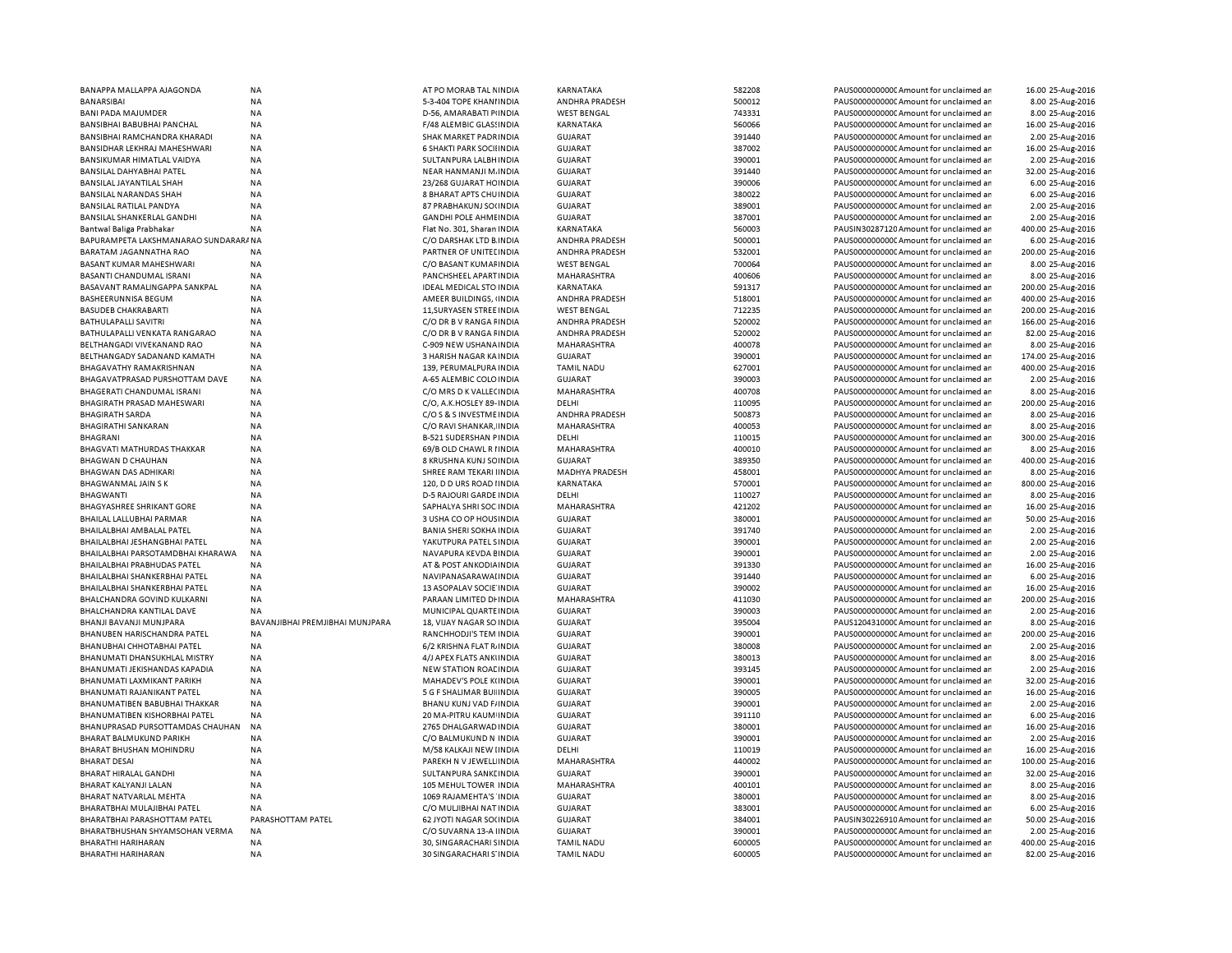| BANAPPA MALLAPPA AJAGONDA            | ΝA                              | AT PO MORAB TAL NINDIA         | KARNATAKA             | 582208 | PAUS0000000000 Amount for unclaimed an | 16.00 25-Aug-2016  |
|--------------------------------------|---------------------------------|--------------------------------|-----------------------|--------|----------------------------------------|--------------------|
| <b>BANARSIBAI</b>                    | NA                              | 5-3-404 TOPE KHANI INDIA       | ANDHRA PRADESH        | 500012 | PAUS0000000000 Amount for unclaimed ar | 8.00 25-Aug-2016   |
| BANI PADA MAJUMDER                   | NA                              | D-56, AMARABATI PINDIA         | <b>WEST BENGAL</b>    | 743331 | PAUS0000000000 Amount for unclaimed an | 8.00 25-Aug-2016   |
| BANSIBHAI BABUBHAI PANCHAL           | <b>NA</b>                       | F/48 ALEMBIC GLASSINDIA        | KARNATAKA             | 560066 | PAUS0000000000 Amount for unclaimed ar | 16.00 25-Aug-2016  |
|                                      |                                 |                                |                       |        |                                        |                    |
| BANSIBHAI RAMCHANDRA KHARADI         | <b>NA</b>                       | SHAK MARKET PADRINDIA          | GUJARAT               | 391440 | PAUS0000000000 Amount for unclaimed ar | 2.00 25-Aug-2016   |
| BANSIDHAR LEKHRAJ MAHESHWARI         | <b>NA</b>                       | 6 SHAKTI PARK SOCII INDIA      | <b>GUJARAT</b>        | 387002 | PAUS00000000000Amount for unclaimed ar | 16.00 25-Aug-2016  |
| BANSIKUMAR HIMATLAL VAIDYA           | <b>NA</b>                       | SULTANPURA LALBH INDIA         | <b>GUJARAT</b>        | 390001 | PAUS00000000000Amount for unclaimed an | 2.00 25-Aug-2016   |
| BANSILAL DAHYABHAI PATEL             | <b>NA</b>                       | NEAR HANMANJI M. INDIA         | <b>GUJARAT</b>        | 391440 | PAUS0000000000 Amount for unclaimed an | 32.00 25-Aug-2016  |
| BANSILAL JAYANTILAL SHAH             | <b>NA</b>                       | 23/268 GUJARAT HC INDIA        | <b>GUJARAT</b>        | 390006 | PAUS0000000000 Amount for unclaimed ar | 6.00 25-Aug-2016   |
| BANSILAL NARANDAS SHAH               | NA                              | 8 BHARAT APTS CHU INDIA        | <b>GUJARAT</b>        | 380022 | PAUS0000000000 Amount for unclaimed ar | 6.00 25-Aug-2016   |
| <b>BANSILAL RATILAL PANDYA</b>       | <b>NA</b>                       | 87 PRABHAKUNJ SO(INDIA         | <b>GUJARAT</b>        | 389001 | PAUS0000000000 Amount for unclaimed ar | 2.00 25-Aug-2016   |
|                                      |                                 |                                |                       |        |                                        |                    |
| BANSILAL SHANKERLAL GANDHI           | NA                              | <b>GANDHI POLE AHMEINDIA</b>   | <b>GUJARAT</b>        | 387001 | PAUS0000000000 Amount for unclaimed an | 2.00 25-Aug-2016   |
| Bantwal Baliga Prabhakar             | <b>NA</b>                       | Flat No. 301, Sharan INDIA     | <b>KARNATAKA</b>      | 560003 | PAUSIN30287120 Amount for unclaimed ar | 400.00 25-Aug-2016 |
| BAPURAMPETA LAKSHMANARAO SUNDARARANA |                                 | C/O DARSHAK LTD B. INDIA       | ANDHRA PRADESH        | 500001 | PAUS0000000000 Amount for unclaimed ar | 6.00 25-Aug-2016   |
| BARATAM JAGANNATHA RAO               | <b>NA</b>                       | PARTNER OF UNITED INDIA        | ANDHRA PRADESH        | 532001 | PAUS0000000000 Amount for unclaimed ar | 200.00 25-Aug-2016 |
| BASANT KUMAR MAHESHWARI              | <b>NA</b>                       | C/O BASANT KUMAFINDIA          | <b>WEST BENGAL</b>    | 700064 | PAUS0000000000 Amount for unclaimed ar | 8.00 25-Aug-2016   |
| BASANTI CHANDUMAL ISRANI             | NA                              | PANCHSHEEL APART INDIA         | MAHARASHTRA           | 400606 | PAUS0000000000 Amount for unclaimed ar | 8.00 25-Aug-2016   |
| BASAVANT RAMALINGAPPA SANKPAL        | ΝA                              | <b>IDEAL MEDICAL STO INDIA</b> | KARNATAKA             | 591317 | PAUS0000000000 Amount for unclaimed ar | 200.00 25-Aug-2016 |
|                                      |                                 |                                |                       |        |                                        |                    |
| BASHEERUNNISA BEGUM                  | <b>NA</b>                       | AMEER BUILDINGS, (INDIA        | ANDHRA PRADESH        | 518001 | PAUS0000000000 Amount for unclaimed ar | 400.00 25-Aug-2016 |
| <b>BASUDEB CHAKRABARTI</b>           | <b>NA</b>                       | 11, SURYASEN STREE IN DIA      | <b>WEST BENGAL</b>    | 712235 | PAUS0000000000 Amount for unclaimed ar | 200.00 25-Aug-2016 |
| BATHULAPALLI SAVITRI                 | <b>NA</b>                       | C/O DR B V RANGA FINDIA        | ANDHRA PRADESH        | 520002 | PAUS0000000000 Amount for unclaimed ar | 166.00 25-Aug-2016 |
| BATHULAPALLI VENKATA RANGARAO        | <b>NA</b>                       | C/O DR B V RANGA FINDIA        | ANDHRA PRADESH        | 520002 | PAUS0000000000CAmount for unclaimed ar | 82.00 25-Aug-2016  |
| BELTHANGADI VIVEKANAND RAO           | <b>NA</b>                       | C-909 NEW USHANA INDIA         | MAHARASHTRA           | 400078 | PAUS0000000000 Amount for unclaimed ar | 8.00 25-Aug-2016   |
| BELTHANGADY SADANAND KAMATH          | NA                              | 3 HARISH NAGAR KA INDIA        | <b>GUJARAT</b>        | 390001 | PAUS0000000000 Amount for unclaimed ar | 174.00 25-Aug-2016 |
|                                      |                                 |                                |                       |        |                                        |                    |
| <b>BHAGAVATHY RAMAKRISHNAN</b>       | <b>NA</b>                       | 139, PERUMALPURA INDIA         | <b>TAMIL NADU</b>     | 627001 | PAUS0000000000 Amount for unclaimed an | 400.00 25-Aug-2016 |
| BHAGAVATPRASAD PURSHOTTAM DAVE       | <b>NA</b>                       | A-65 ALEMBIC COLO INDIA        | GUJARAT               | 390003 | PAUS0000000000 Amount for unclaimed ar | 2.00 25-Aug-2016   |
| BHAGERATI CHANDUMAL ISRANI           | <b>NA</b>                       | C/O MRS D K VALLECINDIA        | MAHARASHTRA           | 400708 | PAUS0000000000 Amount for unclaimed ar | 8.00 25-Aug-2016   |
| BHAGIRATH PRASAD MAHESWARI           | <b>NA</b>                       | C/O, A.K.HOSLEY 89- INDIA      | DELHI                 | 110095 | PAUS0000000000 Amount for unclaimed an | 200.00 25-Aug-2016 |
| <b>BHAGIRATH SARDA</b>               | <b>NA</b>                       | C/O S & S INVESTME INDIA       | ANDHRA PRADESH        | 500873 | PAUS0000000000 Amount for unclaimed an | 8.00 25-Aug-2016   |
| <b>BHAGIRATHI SANKARAN</b>           | <b>NA</b>                       | C/O RAVI SHANKAR, INDIA        | MAHARASHTRA           | 400053 | PAUS00000000000Amount for unclaimed an | 8.00 25-Aug-2016   |
| BHAGRANI                             | NA                              | <b>B-521 SUDERSHAN PINDIA</b>  | DELHI                 | 110015 | PAUS0000000000 Amount for unclaimed ar |                    |
|                                      |                                 |                                |                       |        |                                        | 300.00 25-Aug-2016 |
| BHAGVATI MATHURDAS THAKKAR           | <b>NA</b>                       | 69/B OLD CHAWL R I INDIA       | MAHARASHTRA           | 400010 | PAUS0000000000 Amount for unclaimed ar | 8.00 25-Aug-2016   |
| BHAGWAN D CHAUHAN                    | NA                              | 8 KRUSHNA KUNJ SCINDIA         | <b>GUJARAT</b>        | 389350 | PAUS0000000000 Amount for unclaimed an | 400.00 25-Aug-2016 |
| BHAGWAN DAS ADHIKARI                 | <b>NA</b>                       | SHREE RAM TEKARI IINDIA        | <b>MADHYA PRADESH</b> | 458001 | PAUS0000000000 Amount for unclaimed ar | 8.00 25-Aug-2016   |
| BHAGWANMAL JAIN S K                  | <b>NA</b>                       | 120, D D URS ROAD I INDIA      | KARNATAKA             | 570001 | PAUS0000000000 Amount for unclaimed ar | 800.00 25-Aug-2016 |
| <b>BHAGWANTI</b>                     | <b>NA</b>                       | D-5 RAJOURI GARDE INDIA        | DELHI                 | 110027 | PAUS0000000000 Amount for unclaimed ar | 8.00 25-Aug-2016   |
| BHAGYASHREE SHRIKANT GORE            | <b>NA</b>                       | SAPHALYA SHRI SOC INDIA        | MAHARASHTRA           | 421202 | PAUS0000000000CAmount for unclaimed ar | 16.00 25-Aug-2016  |
|                                      |                                 |                                |                       |        |                                        |                    |
| BHAILAL LALLUBHAI PARMAR             | <b>NA</b>                       | 3 USHA CO OP HOUS INDIA        | <b>GUJARAT</b>        | 380001 | PAUS0000000000 Amount for unclaimed ar | 50.00 25-Aug-2016  |
| BHAILALBHAI AMBALAL PATEL            | NA                              | <b>BANIA SHERI SOKHA INDIA</b> | <b>GUJARAT</b>        | 391740 | PAUS0000000000CAmount for unclaimed ar | 2.00 25-Aug-2016   |
| BHAILALBHAI JESHANGBHAI PATEL        | <b>NA</b>                       | YAKUTPURA PATEL SINDIA         | <b>GUJARAT</b>        | 390001 | PAUS0000000000 Amount for unclaimed ar | 2.00 25-Aug-2016   |
| BHAILALBHAI PARSOTAMDBHAI KHARAWA    | <b>NA</b>                       | NAVAPURA KEVDA EINDIA          | <b>GUJARAT</b>        | 390001 | PAUS0000000000 Amount for unclaimed ar | 2.00 25-Aug-2016   |
| BHAILALBHAI PRABHUDAS PATEL          | NA                              | AT & POST ANKODIA INDIA        | <b>GUJARAT</b>        | 391330 | PAUS0000000000 Amount for unclaimed ar | 16.00 25-Aug-2016  |
| BHAILALBHAI SHANKERBHAI PATEL        | NA                              | NAVIPANASARAWAI INDIA          | <b>GUJARAT</b>        | 391440 | PAUS0000000000 Amount for unclaimed ar | 6.00 25-Aug-2016   |
|                                      |                                 |                                |                       |        |                                        |                    |
| BHAILALBHAI SHANKERBHAI PATEL        | NA                              | 13 ASOPALAV SOCIE INDIA        | <b>GUJARAT</b>        | 390002 | PAUS0000000000 Amount for unclaimed ar | 16.00 25-Aug-2016  |
| BHALCHANDRA GOVIND KULKARNI          | <b>NA</b>                       | PARAAN LIMITED DI INDIA        | MAHARASHTRA           | 411030 | PAUS0000000000 Amount for unclaimed an | 200.00 25-Aug-2016 |
| BHALCHANDRA KANTILAL DAVE            | NA                              | MUNICIPAL QUARTE INDIA         | <b>GUJARAT</b>        | 390003 | PAUS0000000000 Amount for unclaimed an | 2.00 25-Aug-2016   |
| BHANJI BAVANJI MUNJPARA              | BAVANJIBHAI PREMJIBHAI MUNJPARA | 18, VIJAY NAGAR SO INDIA       | <b>GUJARAT</b>        | 395004 | PAUS1204310000 Amount for unclaimed ar | 8.00 25-Aug-2016   |
| BHANUBEN HARISCHANDRA PATEL          | <b>NA</b>                       | RANCHHODJI'S TEM INDIA         | <b>GUJARAT</b>        | 390001 | PAUS0000000000 Amount for unclaimed ar | 200.00 25-Aug-2016 |
| BHANUBHAI CHHOTABHAI PATEL           | <b>NA</b>                       | 6/2 KRISHNA FLAT RJ INDIA      | <b>GUJARAT</b>        | 380008 | PAUS0000000000 Amount for unclaimed ar | 2.00 25-Aug-2016   |
| BHANUMATI DHANSUKHLAL MISTRY         | NA                              | 4/J APEX FLATS ANKUNDIA        | <b>GUJARAT</b>        | 380013 | PAUS0000000000 Amount for unclaimed ar | 8.00 25-Aug-2016   |
|                                      |                                 |                                |                       |        |                                        |                    |
| BHANUMATI JEKISHANDAS KAPADIA        | <b>NA</b>                       | <b>NEW STATION ROAL INDIA</b>  | <b>GUJARAT</b>        | 393145 | PAUS0000000000 Amount for unclaimed ar | 2.00 25-Aug-2016   |
| BHANUMATI LAXMIKANT PARIKH           | NA                              | MAHADEV'S POLE K(INDIA         | <b>GUJARAT</b>        | 390001 | PAUS0000000000CAmount for unclaimed ar | 32.00 25-Aug-2016  |
| BHANUMATI RAJANIKANT PATEL           | NA                              | 5 G F SHALIMAR BUI INDIA       | <b>GUJARAT</b>        | 390005 | PAUS0000000000 Amount for unclaimed an | 16.00 25-Aug-2016  |
| BHANUMATIBEN BABUBHAI THAKKAR        | <b>NA</b>                       | BHANU KUNJ VAD F/ INDIA        | <b>GUJARAT</b>        | 390001 | PAUS0000000000 Amount for unclaimed an | 2.00 25-Aug-2016   |
| <b>BHANUMATIBEN KISHORBHAI PATEL</b> | <b>NA</b>                       | 20 MA-PITRU KAUM INDIA         | <b>GUJARAT</b>        | 391110 | PAUS0000000000 Amount for unclaimed ar | 6.00 25-Aug-2016   |
| BHANUPRASAD PURSOTTAMDAS CHAUHAN     | <b>NA</b>                       | 2765 DHALGARWAD INDIA          | <b>GUJARAT</b>        | 380001 | PAUS0000000000CAmount for unclaimed ar | 16.00 25-Aug-2016  |
| <b>BHARAT BALMUKUND PARIKH</b>       | <b>NA</b>                       | C/O BALMUKUND N INDIA          | <b>GUJARAT</b>        | 390001 | PAUS0000000000 Amount for unclaimed ar | 2.00 25-Aug-2016   |
|                                      |                                 |                                |                       |        |                                        |                    |
| BHARAT BHUSHAN MOHINDRU              | NA                              | M/58 KALKAJI NEW IINDIA        | DELHI                 | 110019 | PAUS0000000000 Amount for unclaimed ar | 16.00 25-Aug-2016  |
| <b>BHARAT DESAI</b>                  | <b>NA</b>                       | PAREKH N V JEWELL INDIA        | MAHARASHTRA           | 440002 | PAUS0000000000 Amount for unclaimed ar | 100.00 25-Aug-2016 |
| BHARAT HIRALAL GANDHI                | NA                              | SULTANPURA SANKE INDIA         | <b>GUJARAT</b>        | 390001 | PAUS0000000000 Amount for unclaimed ar | 32.00 25-Aug-2016  |
| BHARAT KALYANJI LALAN                | NA                              | 105 MEHUL TOWER INDIA          | MAHARASHTRA           | 400101 | PAUS0000000000 Amount for unclaimed ar | 8.00 25-Aug-2016   |
| BHARAT NATVARLAL MEHTA               | <b>NA</b>                       | 1069 RAJAMEHTA'S INDIA         | <b>GUJARAT</b>        | 380001 | PAUS0000000000CAmount for unclaimed ar | 8.00 25-Aug-2016   |
| BHARATBHAI MULAJIBHAI PATEL          | <b>NA</b>                       | C/O MULJIBHAI NAT INDIA        | <b>GUJARAT</b>        | 383001 | PAUS0000000000 Amount for unclaimed ar | 6.00 25-Aug-2016   |
|                                      |                                 |                                |                       |        |                                        |                    |
| BHARATBHAI PARASHOTTAM PATEL         | PARASHOTTAM PATEL               | 62 JYOTI NAGAR SO(INDIA        | <b>GUJARAT</b>        | 384001 | PAUSIN30226910 Amount for unclaimed ar | 50.00 25-Aug-2016  |
| BHARATBHUSHAN SHYAMSOHAN VERMA       | <b>NA</b>                       | C/O SUVARNA 13-A IINDIA        | <b>GUJARAT</b>        | 390001 | PAUS0000000000 Amount for unclaimed ar | 2.00 25-Aug-2016   |
| BHARATHI HARIHARAN                   | NA                              | 30, SINGARACHARI SINDIA        | <b>TAMIL NADU</b>     | 600005 | PAUS0000000000 Amount for unclaimed an | 400.00 25-Aug-2016 |
| BHARATHI HARIHARAN                   | NA                              | 30 SINGARACHARI S'INDIA        | <b>TAMIL NADU</b>     | 600005 | PAUS0000000000 Amount for unclaimed an | 82.00 25-Aug-2016  |
|                                      |                                 |                                |                       |        |                                        |                    |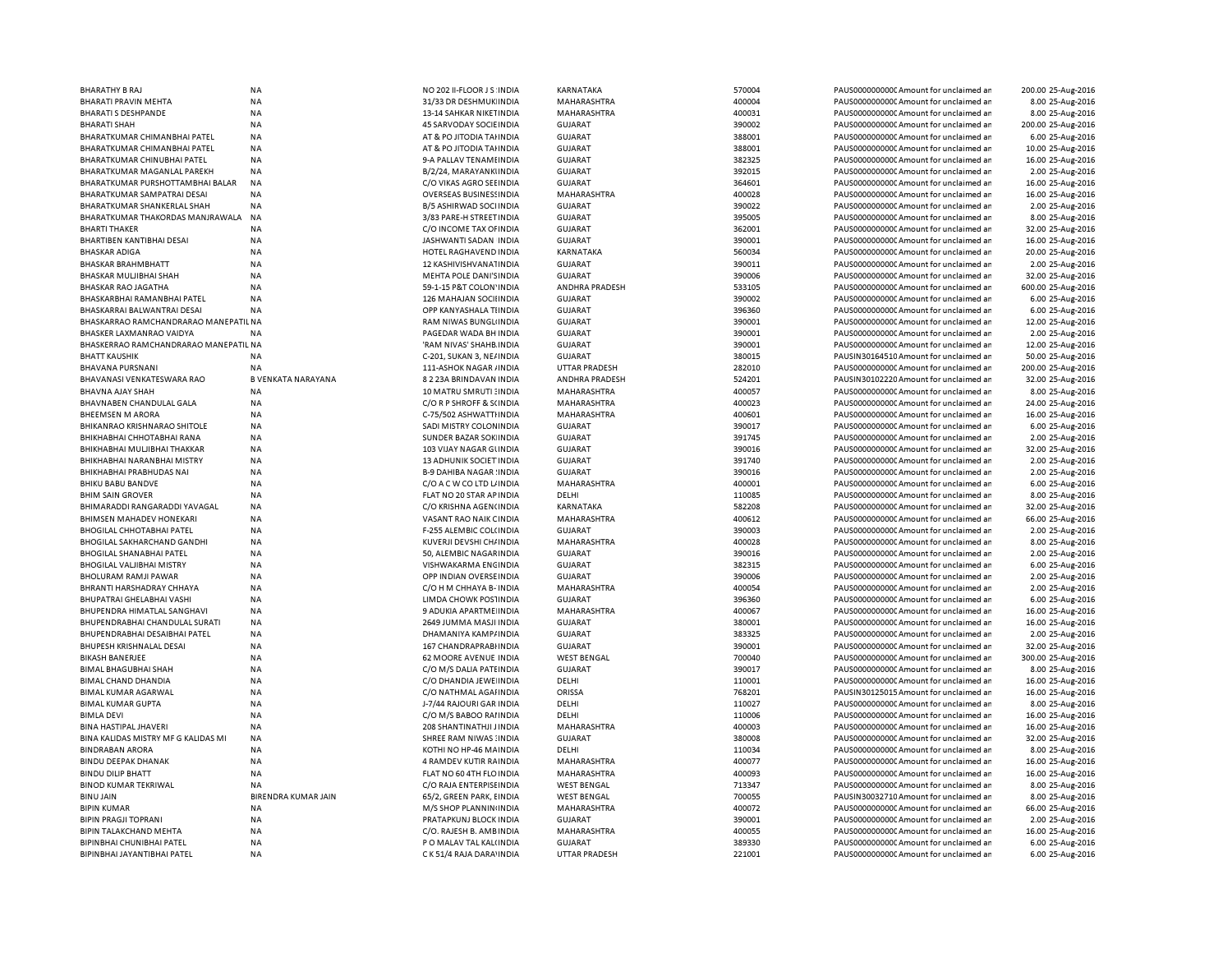| BHARATHY B RAJ                                           | <b>NA</b>                  | NO 202 II-FLOOR JS INDIA                             | KARNATAKA                              | 570004           | PAUS0000000000 Amount for unclaimed ar                                           | 200.00 25-Aug-2016                   |
|----------------------------------------------------------|----------------------------|------------------------------------------------------|----------------------------------------|------------------|----------------------------------------------------------------------------------|--------------------------------------|
| BHARATI PRAVIN MEHTA                                     | <b>NA</b>                  | 31/33 DR DESHMUK INDIA                               | MAHARASHTRA                            | 400004           | PAUS0000000000 Amount for unclaimed ar                                           | 8.00 25-Aug-2016                     |
| <b>BHARATI S DESHPANDE</b>                               | <b>NA</b>                  | 13-14 SAHKAR NIKETINDIA                              | MAHARASHTRA                            | 400031           | PAUS0000000000 Amount for unclaimed ar                                           | 8.00 25-Aug-2016                     |
| <b>BHARATI SHAH</b>                                      | <b>NA</b>                  | <b>45 SARVODAY SOCIE INDIA</b>                       | <b>GUJARAT</b>                         | 390002           | PAUS0000000000 Amount for unclaimed ar                                           | 200.00 25-Aug-2016                   |
| BHARATKUMAR CHIMANBHAI PATEL                             | <b>NA</b>                  | AT & PO JITODIA TAHNDIA                              | <b>GUJARAT</b>                         | 388001           | PAUS0000000000CAmount for unclaimed ar                                           | 6.00 25-Aug-2016                     |
| BHARATKUMAR CHIMANBHAI PATEL                             | <b>NA</b>                  | AT & PO JITODIA TAHNDIA                              | <b>GUJARAT</b>                         | 388001           | PAUS0000000000 Amount for unclaimed ar                                           | 10.00 25-Aug-2016                    |
| BHARATKUMAR CHINUBHAI PATEL                              | <b>NA</b>                  | 9-A PALLAV TENAMI INDIA                              | <b>GUJARAT</b>                         | 382325           | PAUS0000000000 Amount for unclaimed ar                                           | 16.00 25-Aug-2016                    |
| BHARATKUMAR MAGANLAL PAREKH                              | <b>NA</b>                  | B/2/24, MARAYANKUNDIA                                | <b>GUJARAT</b>                         | 392015           | PAUS0000000000 Amount for unclaimed ar                                           | 2.00 25-Aug-2016                     |
|                                                          | <b>NA</b>                  |                                                      |                                        | 364601           |                                                                                  | 16.00 25-Aug-2016                    |
| BHARATKUMAR PURSHOTTAMBHAI BALAR                         |                            | C/O VIKAS AGRO SEEINDIA                              | <b>GUJARAT</b>                         |                  | PAUS0000000000 Amount for unclaimed ar                                           |                                      |
| <b>BHARATKUMAR SAMPATRAI DESAI</b>                       | <b>NA</b>                  | <b>OVERSEAS BUSINESSINDIA</b>                        | MAHARASHTRA                            | 400028           | PAUS0000000000 Amount for unclaimed ar                                           | 16.00 25-Aug-2016                    |
| BHARATKUMAR SHANKERLAL SHAH                              | <b>NA</b>                  | B/5 ASHIRWAD SOCI INDIA                              | <b>GUJARAT</b>                         | 390022           | PAUS0000000000 Amount for unclaimed ar                                           | 2.00 25-Aug-2016                     |
| BHARATKUMAR THAKORDAS MANJRAWALA                         | <b>NA</b>                  | 3/83 PARE-H STREET INDIA                             | <b>GUJARAT</b>                         | 395005           | PAUS0000000000 Amount for unclaimed ar                                           | 8.00 25-Aug-2016                     |
| <b>BHARTI THAKER</b>                                     | <b>NA</b>                  | C/O INCOME TAX OF INDIA                              | <b>GUJARAT</b>                         | 362001           | PAUS0000000000 Amount for unclaimed ar                                           | 32.00 25-Aug-2016                    |
| BHARTIBEN KANTIBHAI DESAI                                | NA                         | JASHWANTI SADAN INDIA                                | <b>GUJARAT</b>                         | 390001           | PAUS0000000000 Amount for unclaimed ar                                           | 16.00 25-Aug-2016                    |
| <b>BHASKAR ADIGA</b>                                     | <b>NA</b>                  | HOTEL RAGHAVEND INDIA                                | KARNATAKA                              | 560034           | PAUS0000000000 Amount for unclaimed ar                                           | 20.00 25-Aug-2016                    |
| <b>BHASKAR BRAHMBHATT</b>                                | <b>NA</b>                  | 12 KASHIVISHVANA1INDIA                               | <b>GUJARAT</b>                         | 390011           | PAUS0000000000 Amount for unclaimed ar                                           | 2.00 25-Aug-2016                     |
| <b>BHASKAR MULJIBHAI SHAH</b>                            | <b>NA</b>                  | <b>MEHTA POLE DANI'S INDIA</b>                       | <b>GUJARAT</b>                         | 390006           | PAUS0000000000 Amount for unclaimed ar                                           | 32.00 25-Aug-2016                    |
| BHASKAR RAO JAGATHA                                      | <b>NA</b>                  | 59-1-15 P&T COLON' INDIA                             | ANDHRA PRADESH                         | 533105           | PAUS0000000000 Amount for unclaimed ar                                           | 600.00 25-Aug-2016                   |
| BHASKARBHAI RAMANBHAI PATEL                              | <b>NA</b>                  | 126 MAHAJAN SOCIIINDIA                               | <b>GUJARAT</b>                         | 390002           | PAUS0000000000 Amount for unclaimed ar                                           | 6.00 25-Aug-2016                     |
| BHASKARRAI BALWANTRAI DESAI                              | <b>NA</b>                  | OPP KANYASHALA TIINDIA                               | <b>GUJARAT</b>                         | 396360           | PAUS0000000000 Amount for unclaimed ar                                           | 6.00 25-Aug-2016                     |
| BHASKARRAO RAMCHANDRARAO MANEPATIL NA                    |                            | <b>RAM NIWAS BUNGLINDIA</b>                          | <b>GUJARAT</b>                         | 390001           | PAUS0000000000 Amount for unclaimed ar                                           | 12.00 25-Aug-2016                    |
| BHASKER LAXMANRAO VAIDYA                                 | <b>NA</b>                  | PAGEDAR WADA BH INDIA                                | <b>GUJARAT</b>                         | 390001           | PAUS0000000000 Amount for unclaimed ar                                           | 2.00 25-Aug-2016                     |
| BHASKERRAO RAMCHANDRARAO MANEPATIL NA                    |                            | 'RAM NIVAS' SHAHB INDIA                              | <b>GUJARAT</b>                         | 390001           | PAUS0000000000 Amount for unclaimed ar                                           | 12.00 25-Aug-2016                    |
|                                                          |                            |                                                      |                                        |                  |                                                                                  |                                      |
| <b>BHATT KAUSHIK</b>                                     | ΝA                         | C-201, SUKAN 3, NE/INDIA                             | <b>GUJARAT</b>                         | 380015           | PAUSIN30164510 Amount for unclaimed ar                                           | 50.00 25-Aug-2016                    |
| BHAVANA PURSNANI                                         | NA                         | 111-ASHOK NAGAR / INDIA                              | <b>UTTAR PRADESH</b>                   | 282010           | PAUS0000000000 Amount for unclaimed ar                                           | 200.00 25-Aug-2016                   |
| BHAVANASI VENKATESWARA RAO                               | B VENKATA NARAYANA         | 8 2 23A BRINDAVAN INDIA                              | ANDHRA PRADESH                         | 524201           | PAUSIN30102220 Amount for unclaimed ar                                           | 32.00 25-Aug-2016                    |
| BHAVNA AJAY SHAH                                         | <b>NA</b>                  | 10 MATRU SMRUTI : INDIA                              | MAHARASHTRA                            | 400057           | PAUS0000000000 Amount for unclaimed ar                                           | 8.00 25-Aug-2016                     |
| BHAVNABEN CHANDULAL GALA                                 | ΝA                         | C/O R P SHROFF & S(INDIA                             | MAHARASHTRA                            | 400023           | PAUS0000000000C Amount for unclaimed ar                                          | 24.00 25-Aug-2016                    |
| <b>BHEEMSEN M ARORA</b>                                  | <b>NA</b>                  | C-75/502 ASHWATTI INDIA                              | MAHARASHTRA                            | 400601           | PAUS0000000000 Amount for unclaimed ar                                           | 16.00 25-Aug-2016                    |
| <b>BHIKANRAO KRISHNARAO SHITOLE</b>                      | NA                         | SADI MISTRY COLONINDIA                               | GUJARAT                                | 390017           | PAUS0000000000CAmount for unclaimed ar                                           | 6.00 25-Aug-2016                     |
| BHIKHABHAI CHHOTABHAI RANA                               | NA                         | SUNDER BAZAR SOK INDIA                               | <b>GUJARAT</b>                         | 391745           | PAUS0000000000 Amount for unclaimed ar                                           | 2.00 25-Aug-2016                     |
| BHIKHABHAI MULJIBHAI THAKKAR                             | <b>NA</b>                  | 103 VUAY NAGAR GUNDIA                                | <b>GUJARAT</b>                         | 390016           | PAUS0000000000 Amount for unclaimed ar                                           | 32.00 25-Aug-2016                    |
| BHIKHABHAI NARANBHAI MISTRY                              | <b>NA</b>                  | 13 ADHUNIK SOCIET INDIA                              | <b>GUJARAT</b>                         | 391740           | PAUS0000000000 Amount for unclaimed an                                           | 2.00 25-Aug-2016                     |
| BHIKHABHAI PRABHUDAS NAI                                 | <b>NA</b>                  | <b>B-9 DAHIBA NAGAR: INDIA</b>                       | <b>GUJARAT</b>                         | 390016           | PAUS0000000000 Amount for unclaimed ar                                           | 2.00 25-Aug-2016                     |
| <b>BHIKU BABU BANDVE</b>                                 | <b>NA</b>                  | C/O A C W CO LTD L/ INDIA                            | MAHARASHTRA                            | 400001           | PAUS0000000000 Amount for unclaimed ar                                           | 6.00 25-Aug-2016                     |
| <b>BHIM SAIN GROVER</b>                                  | <b>NA</b>                  | FLAT NO 20 STAR AP INDIA                             | DELHI                                  | 110085           | PAUS0000000000 Amount for unclaimed ar                                           | 8.00 25-Aug-2016                     |
| BHIMARADDI RANGARADDI YAVAGAL                            | <b>NA</b>                  | C/O KRISHNA AGEN(INDIA                               | KARNATAKA                              | 582208           | PAUS0000000000 Amount for unclaimed ar                                           | 32.00 25-Aug-2016                    |
| <b>BHIMSEN MAHADEV HONEKARI</b>                          | <b>NA</b>                  | VASANT RAO NAIK CINDIA                               | <b>MAHARASHTRA</b>                     | 400612           | PAUS0000000000 Amount for unclaimed ar                                           |                                      |
|                                                          |                            |                                                      |                                        |                  |                                                                                  | 66.00 25-Aug-2016                    |
| <b>BHOGILAL CHHOTABHAI PATEL</b>                         | <b>NA</b>                  | F-255 ALEMBIC COL(INDIA                              | <b>GUJARAT</b>                         | 390003           | PAUS0000000000 Amount for unclaimed ar                                           | 2.00 25-Aug-2016                     |
| <b>BHOGILAL SAKHARCHAND GANDHI</b>                       | <b>NA</b>                  | KUVERJI DEVSHI CH/ INDIA                             | MAHARASHTRA                            | 400028           | PAUS0000000000 Amount for unclaimed ar                                           | 8.00 25-Aug-2016                     |
| <b>BHOGILAL SHANABHAI PATEL</b>                          | <b>NA</b>                  | 50, ALEMBIC NAGARINDIA                               | <b>GUJARAT</b>                         | 390016           | PAUS0000000000 Amount for unclaimed ar                                           | 2.00 25-Aug-2016                     |
| <b>BHOGILAL VALJIBHAI MISTRY</b>                         | <b>NA</b>                  | VISHWAKARMA ENCINDIA                                 | <b>GUJARAT</b>                         | 382315           | PAUS0000000000 Amount for unclaimed ar                                           | 6.00 25-Aug-2016                     |
| BHOLURAM RAMJI PAWAR                                     | NA                         | OPP INDIAN OVERSE INDIA                              | GUJARAT                                | 390006           | PAUS0000000000 Amount for unclaimed ar                                           | 2.00 25-Aug-2016                     |
| BHRANTI HARSHADRAY CHHAYA                                | <b>NA</b>                  | C/O H M CHHAYA B- INDIA                              | MAHARASHTRA                            | 400054           | PAUS0000000000 Amount for unclaimed ar                                           | 2.00 25-Aug-2016                     |
| BHUPATRAI GHELABHAI VASHI                                | NA                         | LIMDA CHOWK POSTINDIA                                | GUJARAT                                | 396360           | PAUS00000000000Amount for unclaimed ar                                           | 6.00 25-Aug-2016                     |
| BHUPENDRA HIMATLAL SANGHAVI                              | <b>NA</b>                  | 9 ADUKIA APARTME INDIA                               | MAHARASHTRA                            | 400067           | PAUS0000000000 Amount for unclaimed ar                                           | 16.00 25-Aug-2016                    |
| BHUPENDRABHAI CHANDULAL SURATI                           | NA                         | 2649 JUMMA MASJI INDIA                               | GUJARAT                                | 380001           | PAUS0000000000 Amount for unclaimed ar                                           | 16.00 25-Aug-2016                    |
| BHUPENDRABHAI DESAIBHAI PATEL                            | <b>NA</b>                  | DHAMANIYA KAMP/INDIA                                 | GUJARAT                                | 383325           | PAUS0000000000 Amount for unclaimed ar                                           | 2.00 25-Aug-2016                     |
| BHUPESH KRISHNALAL DESAI                                 | <b>NA</b>                  | 167 CHANDRAPRABI INDIA                               | <b>GUJARAT</b>                         | 390001           | PAUS0000000000CAmount for unclaimed ar                                           | 32.00 25-Aug-2016                    |
| <b>BIKASH BANERJEE</b>                                   | <b>NA</b>                  | 62 MOORE AVENUE INDIA                                | <b>WEST BENGAL</b>                     | 700040           | PAUS0000000000 Amount for unclaimed ar                                           | 300.00 25-Aug-2016                   |
| <b>BIMAL BHAGUBHAI SHAH</b>                              | <b>NA</b>                  |                                                      | <b>GUJARAT</b>                         | 390017           | PAUS0000000000 Amount for unclaimed ar                                           | 8.00 25-Aug-2016                     |
|                                                          |                            | C/O M/S DALIA PATEINDIA                              |                                        |                  |                                                                                  |                                      |
| <b>BIMAL CHAND DHANDIA</b>                               | <b>NA</b>                  | C/O DHANDIA JEWE INDIA                               | DELHI                                  | 110001           | PAUS0000000000 Amount for unclaimed ar                                           | 16.00 25-Aug-2016                    |
| <b>BIMAL KUMAR AGARWAL</b>                               | <b>NA</b>                  | C/O NATHMAL AGAHNDIA                                 | ORISSA                                 | 768201           | PAUSIN30125015 Amount for unclaimed ar                                           | 16.00 25-Aug-2016                    |
| <b>BIMAL KUMAR GUPTA</b>                                 | <b>NA</b>                  | J-7/44 RAJOURI GAR INDIA                             | DELHI                                  | 110027           | PAUS0000000000CAmount for unclaimed ar                                           | 8.00 25-Aug-2016                     |
| <b>BIMLA DEVI</b>                                        | <b>NA</b>                  | C/O M/S BABOO RAI INDIA                              | DELHI                                  | 110006           | PAUS0000000000 Amount for unclaimed ar                                           | 16.00 25-Aug-2016                    |
| BINA HASTIPAL JHAVERI                                    | <b>NA</b>                  | 208 SHANTINATHJI JINDIA                              | MAHARASHTRA                            | 400003           | PAUS0000000000 Amount for unclaimed ar                                           | 16.00 25-Aug-2016                    |
| BINA KALIDAS MISTRY MF G KALIDAS MI                      | <b>NA</b>                  | SHREE RAM NIWAS: INDIA                               | <b>GUJARAT</b>                         | 380008           | PAUS0000000000 Amount for unclaimed ar                                           | 32.00 25-Aug-2016                    |
| <b>BINDRABAN ARORA</b>                                   | <b>NA</b>                  | KOTHI NO HP-46 MAINDIA                               | DELHI                                  | 110034           | PAUS0000000000 Amount for unclaimed ar                                           | 8.00 25-Aug-2016                     |
| <b>BINDU DEEPAK DHANAK</b>                               | <b>NA</b>                  | 4 RAMDEV KUTIR RAINDIA                               | <b>MAHARASHTRA</b>                     | 400077           | PAUS0000000000 Amount for unclaimed ar                                           | 16.00 25-Aug-2016                    |
| <b>BINDU DILIP BHATT</b>                                 | <b>NA</b>                  | FLAT NO 60 4TH FLO INDIA                             | MAHARASHTRA                            | 400093           | PAUS0000000000 Amount for unclaimed ar                                           | 16.00 25-Aug-2016                    |
| <b>BINOD KUMAR TEKRIWAL</b>                              | <b>NA</b>                  | C/O RAJA ENTERPISE INDIA                             | <b>WEST BENGAL</b>                     | 713347           | PAUS0000000000 Amount for unclaimed ar                                           | 8.00 25-Aug-2016                     |
| <b>BINU JAIN</b>                                         | <b>BIRENDRA KUMAR JAIN</b> | 65/2, GREEN PARK, EINDIA                             | <b>WEST BENGAL</b>                     | 700055           | PAUSIN30032710 Amount for unclaimed ar                                           | 8.00 25-Aug-2016                     |
| <b>BIPIN KUMAR</b>                                       | NA                         | M/S SHOP PLANNIN INDIA                               | MAHARASHTRA                            | 400072           | PAUS0000000000 Amount for unclaimed ar                                           | 66.00 25-Aug-2016                    |
|                                                          |                            |                                                      |                                        |                  |                                                                                  |                                      |
|                                                          |                            |                                                      |                                        |                  |                                                                                  |                                      |
| <b>BIPIN PRAGJI TOPRANI</b>                              | ΝA                         | PRATAPKUNJ BLOCK INDIA                               | GUJARAT                                | 390001           | PAUS0000000000 Amount for unclaimed ar                                           | 2.00 25-Aug-2016                     |
| BIPIN TALAKCHAND MEHTA                                   | <b>NA</b>                  | C/O. RAJESH B. AMBINDIA                              | MAHARASHTRA                            | 400055           | PAUS0000000000 Amount for unclaimed ar                                           | 16.00 25-Aug-2016                    |
| BIPINBHAI CHUNIBHAI PATEL<br>BIPINBHAI JAYANTIBHAI PATEL | <b>NA</b><br><b>NA</b>     | P O MALAV TAL KAL(INDIA<br>C K 51/4 RAJA DARA' INDIA | <b>GUJARAT</b><br><b>UTTAR PRADESH</b> | 389330<br>221001 | PAUS0000000000 Amount for unclaimed ar<br>PAUS0000000000 Amount for unclaimed an | 6.00 25-Aug-2016<br>6.00 25-Aug-2016 |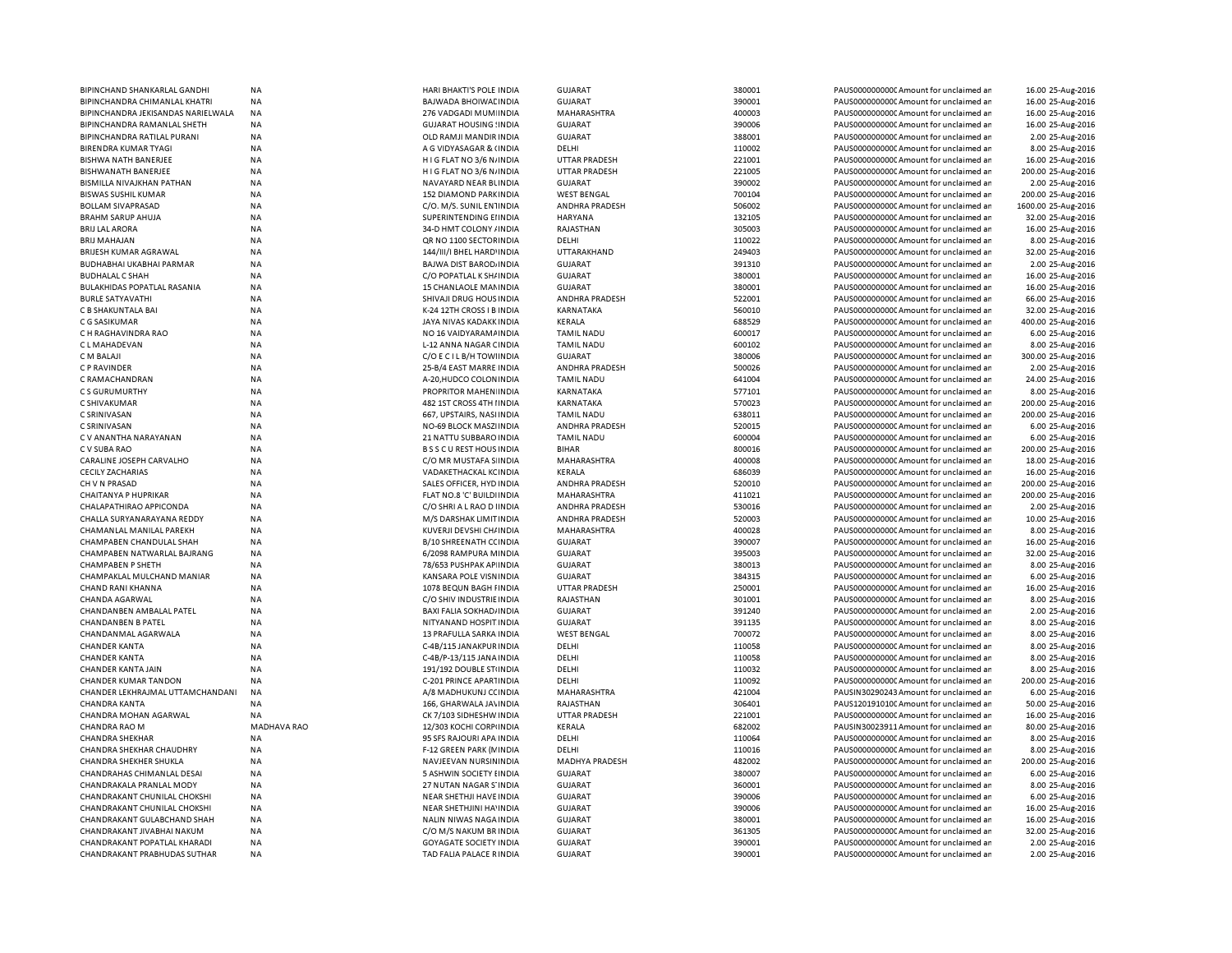| BIPINCHAND SHANKARLAL GANDHI       | ΝA                 | HARI BHAKTI'S POLE INDIA       | <b>GUJARAT</b>        | 380001 | PAUS0000000000 Amount for unclaimed ar  | 16.00 25-Aug-2016   |
|------------------------------------|--------------------|--------------------------------|-----------------------|--------|-----------------------------------------|---------------------|
| BIPINCHANDRA CHIMANLAL KHATRI      | NA                 | BAJWADA BHOIWAL INDIA          | <b>GUJARAT</b>        | 390001 | PAUS0000000000 Amount for unclaimed ar  | 16.00 25-Aug-2016   |
| BIPINCHANDRA JEKISANDAS NARIELWALA | ΝA                 | 276 VADGADI MUM INDIA          | MAHARASHTRA           | 400003 | PAUS0000000000CAmount for unclaimed ar  | 16.00 25-Aug-2016   |
| BIPINCHANDRA RAMANLAL SHETH        | NA                 | <b>GUJARAT HOUSING ! INDIA</b> | <b>GUJARAT</b>        | 390006 | PAUS0000000000 Amount for unclaimed ar  | 16.00 25-Aug-2016   |
|                                    |                    |                                | GUJARAT               | 388001 |                                         |                     |
| BIPINCHANDRA RATILAL PURANI        | NA                 | OLD RAMJI MANDIR INDIA         |                       |        | PAUS0000000000CAmount for unclaimed ar  | 2.00 25-Aug-2016    |
| BIRENDRA KUMAR TYAGI               | <b>NA</b>          | A G VIDYASAGAR & (INDIA        | DELHI                 | 110002 | PAUS0000000000CAmount for unclaimed ar  | 8.00 25-Aug-2016    |
| <b>BISHWA NATH BANERJEE</b>        | <b>NA</b>          | HIG FLAT NO 3/6 N/INDIA        | <b>UTTAR PRADESH</b>  | 221001 | PAUS0000000000CAmount for unclaimed ar  | 16.00 25-Aug-2016   |
| BISHWANATH BANERJEE                | <b>NA</b>          | HIG FLAT NO 3/6 N/INDIA        | <b>UTTAR PRADESH</b>  | 221005 | PAUS0000000000CAmount for unclaimed ar  | 200.00 25-Aug-2016  |
| BISMILLA NIVAJKHAN PATHAN          | <b>NA</b>          | NAVAYARD NEAR BUNDIA           | <b>GUJARAT</b>        | 390002 | PAUS0000000000CAmount for unclaimed ar  | 2.00 25-Aug-2016    |
| <b>BISWAS SUSHIL KUMAR</b>         | <b>NA</b>          | 152 DIAMOND PARKINDIA          | <b>WEST BENGAL</b>    | 700104 | PAUS0000000000 Amount for unclaimed ar  | 200.00 25-Aug-2016  |
| <b>BOLLAM SIVAPRASAD</b>           | <b>NA</b>          | C/O. M/S. SUNIL EN1INDIA       | ANDHRA PRADESH        | 506002 | PAUS00000000000 Amount for unclaimed ar | 1600.00 25-Aug-2016 |
|                                    |                    |                                |                       |        |                                         |                     |
| BRAHM SARUP AHUJA                  | NA                 | SUPERINTENDING EIINDIA         | HARYANA               | 132105 | PAUS0000000000 Amount for unclaimed ar  | 32.00 25-Aug-2016   |
| <b>BRIJ LAL ARORA</b>              | <b>NA</b>          | 34-D HMT COLONY / INDIA        | RAJASTHAN             | 305003 | PAUS00000000000 Amount for unclaimed ar | 16.00 25-Aug-2016   |
| <b>BRIJ MAHAJAN</b>                | NA                 | QR NO 1100 SECTOR INDIA        | DELHI                 | 110022 | PAUS0000000000 Amount for unclaimed ar  | 8.00 25-Aug-2016    |
| <b>BRIJESH KUMAR AGRAWAL</b>       | <b>NA</b>          | 144/III/I BHEL HARD'INDIA      | UTTARAKHAND           | 249403 | PAUS0000000000 Amount for unclaimed ar  | 32.00 25-Aug-2016   |
| BUDHABHAI UKABHAI PARMAR           | NA                 | BAJWA DIST BAROD INDIA         | <b>GUJARAT</b>        | 391310 | PAUS0000000000 Amount for unclaimed ar  | 2.00 25-Aug-2016    |
| <b>BUDHALAL C SHAH</b>             | NA                 | C/O POPATLAL K SH/ INDIA       | <b>GUJARAT</b>        | 380001 | PAUS0000000000 Amount for unclaimed ar  | 16.00 25-Aug-2016   |
|                                    |                    |                                |                       |        |                                         |                     |
| BULAKHIDAS POPATLAL RASANIA        | ΝA                 | 15 CHANLAOLE MANINDIA          | <b>GUJARAT</b>        | 380001 | PAUS0000000000C Amount for unclaimed ar | 16.00 25-Aug-2016   |
| <b>BURLE SATYAVATHI</b>            | NA                 | SHIVAJI DRUG HOUS INDIA        | ANDHRA PRADESH        | 522001 | PAUS0000000000 Amount for unclaimed ar  | 66.00 25-Aug-2016   |
| C B SHAKUNTALA BAI                 | NA                 | K-24 12TH CROSS I B INDIA      | KARNATAKA             | 560010 | PAUS0000000000CAmount for unclaimed ar  | 32.00 25-Aug-2016   |
| C G SASIKUMAR                      | NA                 | JAYA NIVAS KADAKK INDIA        | KERALA                | 688529 | PAUS0000000000 Amount for unclaimed ar  | 400.00 25-Aug-2016  |
| C H RAGHAVINDRA RAO                | NA                 | NO 16 VAIDYARAM/ INDIA         | <b>TAMIL NADU</b>     | 600017 | PAUS0000000000 Amount for unclaimed ar  | 6.00 25-Aug-2016    |
| C L MAHADEVAN                      | NA                 | L-12 ANNA NAGAR CINDIA         | <b>TAMIL NADU</b>     | 600102 | PAUS0000000000 Amount for unclaimed ar  | 8.00 25-Aug-2016    |
|                                    |                    |                                |                       |        |                                         |                     |
| C M BALAJI                         | NA                 | C/O E C I L B/H TOWINDIA       | <b>GUJARAT</b>        | 380006 | PAUS00000000000 Amount for unclaimed ar | 300.00 25-Aug-2016  |
| C P RAVINDER                       | <b>NA</b>          | 25-B/4 EAST MARRE INDIA        | ANDHRA PRADESH        | 500026 | PAUS0000000000CAmount for unclaimed ar  | 2.00 25-Aug-2016    |
| C RAMACHANDRAN                     | NA                 | A-20, HUDCO COLON INDIA        | <b>TAMIL NADU</b>     | 641004 | PAUS00000000000 Amount for unclaimed ar | 24.00 25-Aug-2016   |
| CS GURUMURTHY                      | NA                 | PROPRITOR MAHEN INDIA          | KARNATAKA             | 577101 | PAUS0000000000CAmount for unclaimed ar  | 8.00 25-Aug-2016    |
| C SHIVAKUMAR                       | <b>NA</b>          | 482 1ST CROSS 4TH I INDIA      | KARNATAKA             | 570023 | PAUS0000000000CAmount for unclaimed ar  | 200.00 25-Aug-2016  |
| C SRINIVASAN                       | <b>NA</b>          | 667, UPSTAIRS, NASI INDIA      | <b>TAMIL NADU</b>     | 638011 | PAUS0000000000CAmount for unclaimed ar  | 200.00 25-Aug-2016  |
|                                    |                    |                                |                       |        |                                         |                     |
| C SRINIVASAN                       | <b>NA</b>          | NO-69 BLOCK MASZI INDIA        | <b>ANDHRA PRADESH</b> | 520015 | PAUS0000000000 Amount for unclaimed ar  | 6.00 25-Aug-2016    |
| C V ANANTHA NARAYANAN              | NA                 | 21 NATTU SUBBARO INDIA         | <b>TAMIL NADU</b>     | 600004 | PAUS0000000000 Amount for unclaimed ar  | 6.00 25-Aug-2016    |
| C V SUBA RAO                       | <b>NA</b>          | <b>BSSCUREST HOUS INDIA</b>    | <b>BIHAR</b>          | 800016 | PAUS0000000000 Amount for unclaimed ar  | 200.00 25-Aug-2016  |
| CARALINE JOSEPH CARVALHO           | NA                 | C/O MR MUSTAFA S INDIA         | MAHARASHTRA           | 400008 | PAUS0000000000 Amount for unclaimed ar  | 18.00 25-Aug-2016   |
| <b>CECILY ZACHARIAS</b>            | <b>NA</b>          | VADAKETHACKAL KCINDIA          | <b>KERALA</b>         | 686039 | PAUS0000000000 Amount for unclaimed ar  | 16.00 25-Aug-2016   |
| CH V N PRASAD                      | NA                 | SALES OFFICER, HYD INDIA       | ANDHRA PRADESH        | 520010 | PAUS0000000000 Amount for unclaimed ar  | 200.00 25-Aug-2016  |
| CHAITANYA P HUPRIKAR               | NA                 | FLAT NO.8 'C' BUILDI INDIA     | MAHARASHTRA           | 411021 | PAUS0000000000 Amount for unclaimed ar  | 200.00 25-Aug-2016  |
|                                    |                    |                                |                       |        |                                         |                     |
| CHALAPATHIRAO APPICONDA            | NA                 | C/O SHRI A L RAO D I INDIA     | ANDHRA PRADESH        | 530016 | PAUS0000000000C Amount for unclaimed ar | 2.00 25-Aug-2016    |
| CHALLA SURYANARAYANA REDDY         | NA                 | M/S DARSHAK LIMIT INDIA        | ANDHRA PRADESH        | 520003 | PAUS0000000000 Amount for unclaimed ar  | 10.00 25-Aug-2016   |
| CHAMANLAL MANILAL PAREKH           | NA                 | KUVERJI DEVSHI CH/ INDIA       | MAHARASHTRA           | 400028 | PAUS0000000000 Amount for unclaimed ar  | 8.00 25-Aug-2016    |
| CHAMPABEN CHANDULAL SHAH           | NA                 | B/10 SHREENATH CCINDIA         | <b>GUJARAT</b>        | 390007 | PAUS00000000000 Amount for unclaimed ar | 16.00 25-Aug-2016   |
| CHAMPABEN NATWARLAL BAJRANG        | NA                 | 6/2098 RAMPURA MINDIA          | <b>GUJARAT</b>        | 395003 | PAUS0000000000 Amount for unclaimed ar  | 32.00 25-Aug-2016   |
| CHAMPABEN P SHETH                  | NA                 | 78/653 PUSHPAK AP INDIA        | <b>GUJARAT</b>        | 380013 | PAUS0000000000 Amount for unclaimed ar  | 8.00 25-Aug-2016    |
|                                    |                    |                                |                       |        |                                         |                     |
| CHAMPAKLAL MULCHAND MANIAR         | NA                 | KANSARA POLE VISNINDIA         | GUJARAT               | 384315 | PAUS0000000000CAmount for unclaimed ar  | 6.00 25-Aug-2016    |
| CHAND RANI KHANNA                  | NA                 | 1078 BEQUN BAGH I INDIA        | <b>UTTAR PRADESH</b>  | 250001 | PAUS0000000000C Amount for unclaimed ar | 16.00 25-Aug-2016   |
| CHANDA AGARWAL                     | NA                 | C/O SHIV INDUSTRIE INDIA       | RAJASTHAN             | 301001 | PAUS0000000000C Amount for unclaimed ar | 8.00 25-Aug-2016    |
| CHANDANBEN AMBALAL PATEL           | NA                 | BAXI FALIA SOKHAD/ INDIA       | <b>GUJARAT</b>        | 391240 | PAUS0000000000 Amount for unclaimed ar  | 2.00 25-Aug-2016    |
| CHANDANBEN B PATEL                 | NA                 | NITYANAND HOSPIT INDIA         | GUIARAT               | 391135 | PAUS00000000000 Amount for unclaimed ar | 8.00 25-Aug-2016    |
| CHANDANMAL AGARWALA                | NA                 | 13 PRAFULLA SARKA INDIA        | <b>WEST BENGAL</b>    | 700072 | PAUS0000000000C Amount for unclaimed ar | 8.00 25-Aug-2016    |
|                                    |                    |                                |                       |        |                                         |                     |
| <b>CHANDER KANTA</b>               | <b>NA</b>          | C-4B/115 JANAKPUR INDIA        | DELHI                 | 110058 | PAUS0000000000 Amount for unclaimed ar  | 8.00 25-Aug-2016    |
| <b>CHANDER KANTA</b>               | NA                 | C-4B/P-13/115 JANA INDIA       | DELHI                 | 110058 | PAUS0000000000C Amount for unclaimed ar | 8.00 25-Aug-2016    |
| CHANDER KANTA JAIN                 | <b>NA</b>          | 191/192 DOUBLE STUNDIA         | DELHI                 | 110032 | PAUS0000000000 Amount for unclaimed ar  | 8.00 25-Aug-2016    |
| CHANDER KUMAR TANDON               | NA                 | C-201 PRINCE APARTINDIA        | DELHI                 | 110092 | PAUS0000000000 Amount for unclaimed ar  | 200.00 25-Aug-2016  |
| CHANDER LEKHRAJMAL UTTAMCHANDANI   | <b>NA</b>          | A/8 MADHUKUNJ CC INDIA         | MAHARASHTRA           | 421004 | PAUSIN30290243 Amount for unclaimed ar  | 6.00 25-Aug-2016    |
|                                    |                    |                                |                       | 306401 |                                         |                     |
| <b>CHANDRA KANTA</b>               | NA                 | 166, GHARWALA JA\INDIA         | RAJASTHAN             |        | PAUS1201910100 Amount for unclaimed ar  | 50.00 25-Aug-2016   |
| CHANDRA MOHAN AGARWAL              | NA                 | CK 7/103 SIDHESHW INDIA        | <b>UTTAR PRADESH</b>  | 221001 | PAUS0000000000 Amount for unclaimed ar  | 16.00 25-Aug-2016   |
| <b>CHANDRA RAO M</b>               | <b>MADHAVA RAO</b> | 12/303 KOCHI CORPINDIA         | KERALA                | 682002 | PAUSIN30023911 Amount for unclaimed ar  | 80.00 25-Aug-2016   |
| CHANDRA SHEKHAR                    | NA                 | 95 SFS RAJOURI APA INDIA       | DELHI                 | 110064 | PAUS0000000000 Amount for unclaimed ar  | 8.00 25-Aug-2016    |
| CHANDRA SHEKHAR CHAUDHRY           | NA                 | F-12 GREEN PARK (N INDIA       | DELHI                 | 110016 | PAUS0000000000 Amount for unclaimed ar  | 8.00 25-Aug-2016    |
| CHANDRA SHEKHER SHUKLA             | NA                 | NAVJEEVAN NURSININDIA          | <b>MADHYA PRADESH</b> | 482002 | PAUS0000000000 Amount for unclaimed ar  | 200.00 25-Aug-2016  |
|                                    |                    | 5 ASHWIN SOCIETY I INDIA       | <b>GUJARAT</b>        | 380007 |                                         | 6.00 25-Aug-2016    |
| CHANDRAHAS CHIMANLAL DESAI         | <b>NA</b>          |                                |                       |        | PAUS0000000000 Amount for unclaimed ar  |                     |
| CHANDRAKALA PRANLAL MODY           | NA                 | 27 NUTAN NAGAR S'INDIA         | <b>GUJARAT</b>        | 360001 | PAUS0000000000 Amount for unclaimed ar  | 8.00 25-Aug-2016    |
| CHANDRAKANT CHUNILAL CHOKSHI       | NA                 | NEAR SHETHJI HAVE INDIA        | <b>GUJARAT</b>        | 390006 | PAUS0000000000 Amount for unclaimed ar  | 6.00 25-Aug-2016    |
| CHANDRAKANT CHUNILAL CHOKSHI       | NA                 | NEAR SHETHJINI HA'INDIA        | <b>GUJARAT</b>        | 390006 | PAUS0000000000C Amount for unclaimed ar | 16.00 25-Aug-2016   |
| CHANDRAKANT GULABCHAND SHAH        | NA                 | NALIN NIWAS NAGA INDIA         | <b>GUJARAT</b>        | 380001 | PAUS0000000000 Amount for unclaimed ar  | 16.00 25-Aug-2016   |
| CHANDRAKANT JIVABHAI NAKUM         | <b>NA</b>          | C/O M/S NAKUM BR INDIA         | <b>GUJARAT</b>        | 361305 | PAUS0000000000 Amount for unclaimed ar  | 32.00 25-Aug-2016   |
| CHANDRAKANT POPATLAL KHARADI       | <b>NA</b>          | <b>GOYAGATE SOCIETY INDIA</b>  |                       | 390001 | PAUS0000000000CAmount for unclaimed ar  |                     |
|                                    |                    |                                | <b>GUJARAT</b>        |        |                                         | 2.00 25-Aug-2016    |
| CHANDRAKANT PRABHUDAS SUTHAR       | <b>NA</b>          | TAD FALIA PALACE RINDIA        | <b>GUJARAT</b>        | 390001 | PAUS00000000000Amount for unclaimed ar  | 2.00 25-Aug-2016    |
|                                    |                    |                                |                       |        |                                         |                     |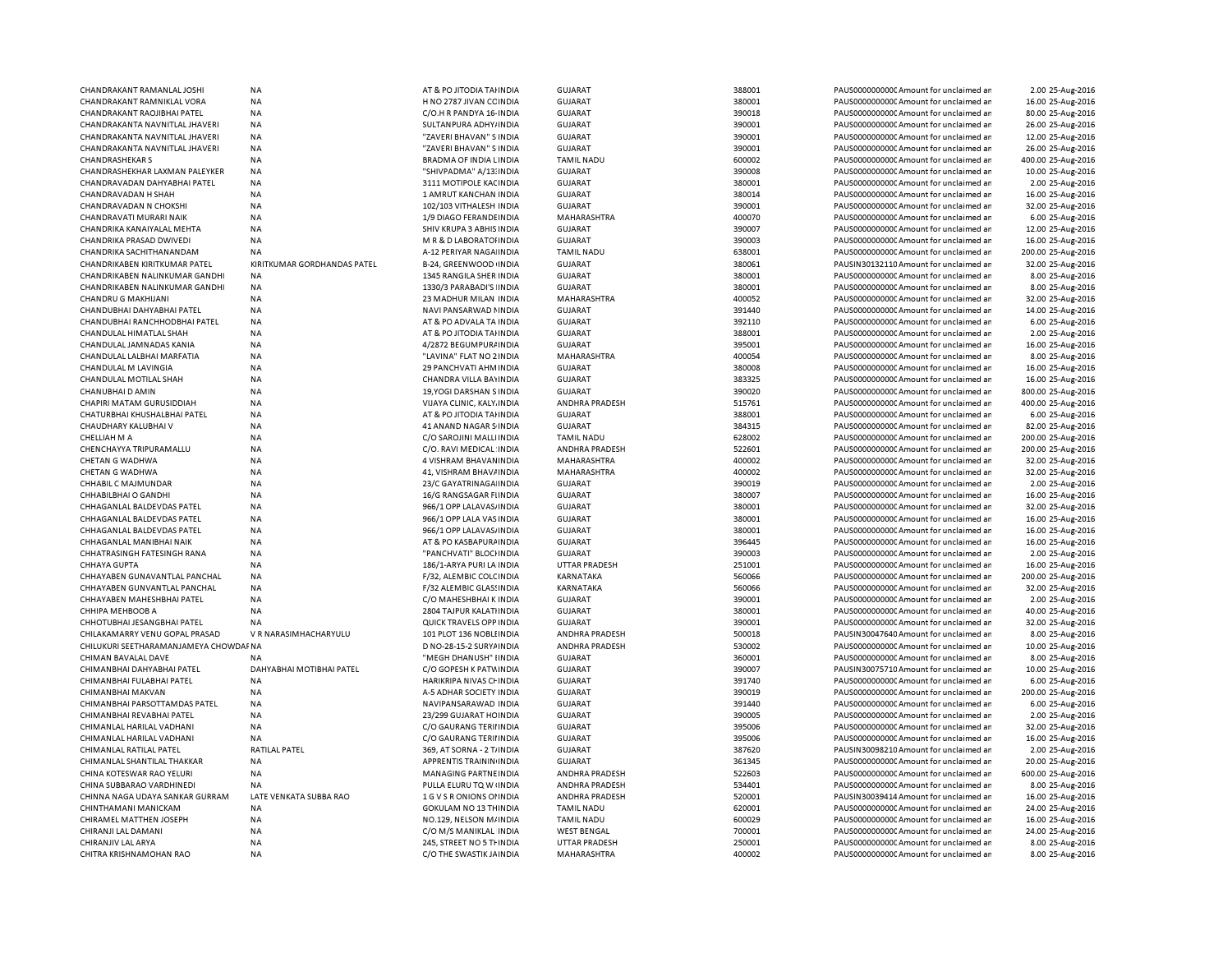| CHANDRAKANT RAMANLAL JOSHI            | <b>NA</b>                   | AT & PO JITODIA TAHNDIA       | GUJARAT               | 388001 | PAUS0000000000 Amount for unclaimed ar  | 2.00 25-Aug-2016   |
|---------------------------------------|-----------------------------|-------------------------------|-----------------------|--------|-----------------------------------------|--------------------|
| CHANDRAKANT RAMNIKLAL VORA            | NA                          | H NO 2787 JIVAN CC INDIA      | <b>GUJARAT</b>        | 380001 | PAUS0000000000 Amount for unclaimed ar  | 16.00 25-Aug-2016  |
| CHANDRAKANT RAOJIBHAI PATEL           | NA                          | C/O.H R PANDYA 16- INDIA      | <b>GUJARAT</b>        | 390018 | PAUS0000000000 Amount for unclaimed ar  | 80.00 25-Aug-2016  |
| CHANDRAKANTA NAVNITLAL JHAVERI        | NA                          | SULTANPURA ADHY/INDIA         | <b>GUJARAT</b>        | 390001 | PAUS0000000000 Amount for unclaimed ar  | 26.00 25-Aug-2016  |
|                                       |                             |                               |                       |        |                                         |                    |
| CHANDRAKANTA NAVNITLAL JHAVERI        | <b>NA</b>                   | "ZAVERI BHAVAN" S INDIA       | GUJARAT               | 390001 | PAUS0000000000CAmount for unclaimed ar  | 12.00 25-Aug-2016  |
| CHANDRAKANTA NAVNITLAL JHAVERI        | <b>NA</b>                   | "ZAVERI BHAVAN" S INDIA       | GUJARAT               | 390001 | PAUS0000000000CAmount for unclaimed ar  | 26.00 25-Aug-2016  |
| <b>CHANDRASHEKAR S</b>                | <b>NA</b>                   | BRADMA OF INDIA LINDIA        | <b>TAMIL NADU</b>     | 600002 | PAUS00000000000Amount for unclaimed ar  | 400.00 25-Aug-2016 |
| CHANDRASHEKHAR LAXMAN PALEYKER        | <b>NA</b>                   | "SHIVPADMA" A/13: INDIA       | <b>GUJARAT</b>        | 390008 | PAUS0000000000Amount for unclaimed ar   | 10.00 25-Aug-2016  |
| CHANDRAVADAN DAHYABHAI PATEL          | <b>NA</b>                   | 3111 MOTIPOLE KACINDIA        | <b>GUJARAT</b>        | 380001 | PAUS0000000000CAmount for unclaimed ar  | 2.00 25-Aug-2016   |
| CHANDRAVADAN H SHAH                   | <b>NA</b>                   | 1 AMRUT KANCHAN INDIA         | GUJARAT               | 380014 | PAUS0000000000CAmount for unclaimed ar  | 16.00 25-Aug-2016  |
| CHANDRAVADAN N CHOKSHI                | <b>NA</b>                   | 102/103 VITHALESH INDIA       | <b>GUJARAT</b>        | 390001 | PAUS0000000000 Amount for unclaimed ar  | 32.00 25-Aug-2016  |
|                                       |                             |                               |                       |        |                                         |                    |
| CHANDRAVATI MURARI NAIK               | <b>NA</b>                   | 1/9 DIAGO FERANDE INDIA       | MAHARASHTRA           | 400070 | PAUS0000000000 Amount for unclaimed ar  | 6.00 25-Aug-2016   |
| CHANDRIKA KANAIYALAL MEHTA            | <b>NA</b>                   | SHIV KRUPA 3 ABHIS INDIA      | <b>GUJARAT</b>        | 390007 | PAUS0000000000 Amount for unclaimed ar  | 12.00 25-Aug-2016  |
| CHANDRIKA PRASAD DWIVEDI              | <b>NA</b>                   | M R & D LABORATOHNDIA         | <b>GUJARAT</b>        | 390003 | PAUS0000000000 Amount for unclaimed ar  | 16.00 25-Aug-2016  |
| CHANDRIKA SACHITHANANDAM              | <b>NA</b>                   | A-12 PERIYAR NAGA INDIA       | <b>TAMIL NADU</b>     | 638001 | PAUS0000000000 Amount for unclaimed ar  | 200.00 25-Aug-2016 |
| CHANDRIKABEN KIRITKUMAR PATEL         | KIRITKUMAR GORDHANDAS PATEL | B-24, GREENWOOD INDIA         | <b>GUJARAT</b>        | 380061 | PAUSIN30132110 Amount for unclaimed ar  | 32.00 25-Aug-2016  |
| CHANDRIKABEN NALINKUMAR GANDHI        | <b>NA</b>                   | 1345 RANGILA SHER INDIA       | <b>GUJARAT</b>        | 380001 | PAUS0000000000 Amount for unclaimed ar  | 8.00 25-Aug-2016   |
|                                       |                             |                               |                       |        |                                         |                    |
| CHANDRIKABEN NALINKUMAR GANDHI        | NA                          | 1330/3 PARABADI'S INDIA       | <b>GUJARAT</b>        | 380001 | PAUS0000000000C Amount for unclaimed ar | 8.00 25-Aug-2016   |
| CHANDRU G MAKHIJANI                   | <b>NA</b>                   | 23 MADHUR MILAN INDIA         | MAHARASHTRA           | 400052 | PAUS0000000000 Amount for unclaimed ar  | 32.00 25-Aug-2016  |
| CHANDUBHAI DAHYABHAI PATEL            | <b>NA</b>                   | NAVI PANSARWAD NINDIA         | <b>GUJARAT</b>        | 391440 | PAUS00000000000Amount for unclaimed ar  | 14.00 25-Aug-2016  |
| CHANDUBHAI RANCHHODBHAI PATEL         | NA                          | AT & PO ADVALA TA INDIA       | <b>GUJARAT</b>        | 392110 | PAUS0000000000 Amount for unclaimed ar  | 6.00 25-Aug-2016   |
| CHANDULAL HIMATLAL SHAH               | <b>NA</b>                   | AT & PO JITODIA TAHNDIA       | <b>GUJARAT</b>        | 388001 | PAUS0000000000 Amount for unclaimed ar  | 2.00 25-Aug-2016   |
| CHANDULAL JAMNADAS KANIA              | <b>NA</b>                   | 4/2872 BEGUMPUR/INDIA         | <b>GUJARAT</b>        | 395001 | PAUS0000000000C Amount for unclaimed ar | 16.00 25-Aug-2016  |
| CHANDULAL LALBHAI MARFATIA            | <b>NA</b>                   | "LAVINA" FLAT NO 2 INDIA      | MAHARASHTRA           | 400054 | PAUS0000000000 Amount for unclaimed ar  | 8.00 25-Aug-2016   |
|                                       |                             |                               |                       |        |                                         |                    |
| CHANDULAL M LAVINGIA                  | <b>NA</b>                   | 29 PANCHVATI AHM INDIA        | GUJARAT               | 380008 | PAUS0000000000CAmount for unclaimed ar  | 16.00 25-Aug-2016  |
| CHANDULAL MOTILAL SHAH                | NA                          | CHANDRA VILLA BAYINDIA        | GUJARAT               | 383325 | PAUS0000000000 Amount for unclaimed ar  | 16.00 25-Aug-2016  |
| CHANUBHAI D AMIN                      | NA                          | 19, YOGI DARSHAN S INDIA      | <b>GUJARAT</b>        | 390020 | PAUS0000000000CAmount for unclaimed ar  | 800.00 25-Aug-2016 |
| CHAPIRI MATAM GURUSIDDIAH             | <b>NA</b>                   | VIJAYA CLINIC, KALY. INDIA    | ANDHRA PRADESH        | 515761 | PAUS0000000000CAmount for unclaimed ar  | 400.00 25-Aug-2016 |
| CHATURBHAI KHUSHALBHAI PATEL          | <b>NA</b>                   | AT & PO JITODIA TAHNDIA       | GUJARAT               | 388001 | PAUS0000000000CAmount for unclaimed ar  | 6.00 25-Aug-2016   |
| CHAUDHARY KALUBHAI V                  | <b>NA</b>                   | <b>41 ANAND NAGAR S INDIA</b> | <b>GUJARAT</b>        | 384315 | PAUS0000000000 Amount for unclaimed ar  | 82.00 25-Aug-2016  |
|                                       | <b>NA</b>                   |                               |                       | 628002 |                                         | 200.00 25-Aug-2016 |
| CHELLIAH M A                          |                             | C/O SAROJINI MALLI INDIA      | <b>TAMIL NADU</b>     |        | PAUS0000000000 Amount for unclaimed ar  |                    |
| CHENCHAYYA TRIPURAMALLU               | <b>NA</b>                   | C/O. RAVI MEDICAL INDIA       | <b>ANDHRA PRADESH</b> | 522601 | PAUS0000000000 Amount for unclaimed ar  | 200.00 25-Aug-2016 |
| CHETAN G WADHWA                       | <b>NA</b>                   | 4 VISHRAM BHAVAN INDIA        | MAHARASHTRA           | 400002 | PAUS0000000000 Amount for unclaimed ar  | 32.00 25-Aug-2016  |
| <b>CHETAN G WADHWA</b>                | <b>NA</b>                   | 41. VISHRAM BHAV/INDIA        | MAHARASHTRA           | 400002 | PAUS0000000000 Amount for unclaimed ar  | 32.00 25-Aug-2016  |
| CHHABIL C MAJMUNDAR                   | <b>NA</b>                   | 23/C GAYATRINAGA INDIA        | <b>GUJARAT</b>        | 390019 | PAUS0000000000 Amount for unclaimed ar  | 2.00 25-Aug-2016   |
| CHHABILBHAI O GANDHI                  | NA                          | 16/G RANGSAGAR FIINDIA        | <b>GUJARAT</b>        | 380007 | PAUS0000000000 Amount for unclaimed ar  | 16.00 25-Aug-2016  |
| CHHAGANLAL BALDEVDAS PATEL            | <b>NA</b>                   | 966/1 OPP LALAVAS, INDIA      | <b>GUJARAT</b>        | 380001 | PAUS00000000000Amount for unclaimed ar  | 32.00 25-Aug-2016  |
|                                       |                             |                               |                       |        |                                         |                    |
| CHHAGANLAL BALDEVDAS PATEL            | <b>NA</b>                   | 966/1 OPP LALA VAS INDIA      | <b>GUJARAT</b>        | 380001 | PAUS0000000000Amount for unclaimed ar   | 16.00 25-Aug-2016  |
| CHHAGANLAL BALDEVDAS PATEL            | <b>NA</b>                   | 966/1 OPP LALAVAS, INDIA      | <b>GUJARAT</b>        | 380001 | PAUS0000000000 Amount for unclaimed ar  | 16.00 25-Aug-2016  |
| CHHAGANLAL MANIBHAI NAIK              | NA                          | AT & PO KASBAPURA INDIA       | <b>GUJARAT</b>        | 396445 | PAUS0000000000 Amount for unclaimed ar  | 16.00 25-Aug-2016  |
| CHHATRASINGH FATESINGH RANA           | <b>NA</b>                   | "PANCHVATI" BLOCHNDIA         | <b>GUJARAT</b>        | 390003 | PAUS0000000000 Amount for unclaimed ar  | 2.00 25-Aug-2016   |
| CHHAYA GUPTA                          | <b>NA</b>                   | 186/1-ARYA PURI LA INDIA      | <b>UTTAR PRADESH</b>  | 251001 | PAUS0000000000 Amount for unclaimed ar  | 16.00 25-Aug-2016  |
| CHHAYABEN GUNAVANTLAL PANCHAL         | <b>NA</b>                   | F/32, ALEMBIC COLCINDIA       | KARNATAKA             | 560066 | PAUS0000000000 Amount for unclaimed ar  | 200.00 25-Aug-2016 |
| CHHAYABEN GUNVANTLAL PANCHAL          | <b>NA</b>                   | F/32 ALEMBIC GLASSINDIA       | KARNATAKA             | 560066 | PAUS0000000000C Amount for unclaimed ar | 32.00 25-Aug-2016  |
|                                       |                             |                               |                       |        |                                         |                    |
| CHHAYABEN MAHESHBHAI PATEL            | <b>NA</b>                   | C/O MAHESHBHAI K INDIA        | <b>GUJARAT</b>        | 390001 | PAUS0000000000 Amount for unclaimed ar  | 2.00 25-Aug-2016   |
| CHHIPA MEHBOOB A                      | <b>NA</b>                   | 2804 TAJPUR KALATI INDIA      | GUJARAT               | 380001 | PAUS0000000000CAmount for unclaimed ar  | 40.00 25-Aug-2016  |
| CHHOTURHAI IFSANGRHAI PATFI           | <b>NA</b>                   | QUICK TRAVELS OPP IN DIA      | GUIARAT               | 390001 | PAUS0000000000CAmount for unclaimed ar  | 32.00 25-Aug-2016  |
| CHILAKAMARRY VENU GOPAL PRASAD        | V R NARASIMHACHARYULU       | 101 PLOT 136 NOBLI INDIA      | ANDHRA PRADESH        | 500018 | PAUSIN30047640 Amount for unclaimed ar  | 8.00 25-Aug-2016   |
| CHILUKURI SEETHARAMANJAMEYA CHOWDAFNA |                             | D NO-28-15-2 SURYAINDIA       | <b>ANDHRA PRADESH</b> | 530002 | PAUS0000000000 Amount for unclaimed ar  | 10.00 25-Aug-2016  |
| CHIMAN BAVALAL DAVE                   | <b>NA</b>                   | "MEGH DHANUSH" IINDIA         | <b>GUJARAT</b>        | 360001 | PAUS0000000000C Amount for unclaimed ar | 8.00 25-Aug-2016   |
| CHIMANBHAI DAHYABHAI PATEL            | DAHYABHAI MOTIBHAI PATEL    | C/O GOPESH K PATWINDIA        | <b>GUJARAT</b>        | 390007 | PAUSIN30075710 Amount for unclaimed ar  | 10.00 25-Aug-2016  |
|                                       |                             |                               |                       |        |                                         |                    |
| CHIMANBHAI FULABHAI PATEL             | <b>NA</b>                   | HARIKRIPA NIVAS CHINDIA       | <b>GUJARAT</b>        | 391740 | PAUS0000000000 Amount for unclaimed ar  | 6.00 25-Aug-2016   |
| CHIMANBHAI MAKVAN                     | <b>NA</b>                   | A-5 ADHAR SOCIETY INDIA       | <b>GUJARAT</b>        | 390019 | PAUS0000000000 Amount for unclaimed ar  | 200.00 25-Aug-2016 |
| CHIMANBHAI PARSOTTAMDAS PATEL         | <b>NA</b>                   | NAVIPANSARAWAD INDIA          | <b>GUJARAT</b>        | 391440 | PAUS0000000000 Amount for unclaimed ar  | 6.00 25-Aug-2016   |
| CHIMANBHAI REVABHAI PATEL             | NA                          | 23/299 GUJARAT HC INDIA       | <b>GUJARAT</b>        | 390005 | PAUS0000000000 Amount for unclaimed ar  | 2.00 25-Aug-2016   |
| CHIMANLAL HARILAL VADHANI             | NA                          | C/O GAURANG TERIHNDIA         | GUJARAT               | 395006 | PAUS0000000000 Amount for unclaimed ar  | 32.00 25-Aug-2016  |
| CHIMANLAL HARILAL VADHANI             | NA                          | C/O GAURANG TERIHNDIA         | <b>GUJARAT</b>        | 395006 | PAUS0000000000CAmount for unclaimed ar  | 16.00 25-Aug-2016  |
|                                       | <b>RATILAL PATEL</b>        |                               |                       | 387620 |                                         |                    |
| CHIMANLAL RATILAL PATEL               |                             | 369, AT SORNA - 2 T/INDIA     | <b>GUJARAT</b>        |        | PAUSIN30098210 Amount for unclaimed ar  | 2.00 25-Aug-2016   |
| CHIMANLAL SHANTILAL THAKKAR           | NA                          | APPRENTIS TRAININ INDIA       | <b>GUJARAT</b>        | 361345 | PAUS0000000000 Amount for unclaimed ar  | 20.00 25-Aug-2016  |
| CHINA KOTESWAR RAO YELURI             | <b>NA</b>                   | MANAGING PARTNEINDIA          | ANDHRA PRADESH        | 522603 | PAUS0000000000 Amount for unclaimed ar  | 600.00 25-Aug-2016 |
| CHINA SUBBARAO VARDHINEDI             | NA                          | PULLA ELURU TQ W INDIA        | ANDHRA PRADESH        | 534401 | PAUS0000000000C Amount for unclaimed ar | 8.00 25-Aug-2016   |
| CHINNA NAGA UDAYA SANKAR GURRAM       | LATE VENKATA SUBBA RAO      | 1 G V S R ONIONS OF INDIA     | ANDHRA PRADESH        | 520001 | PAUSIN30039414 Amount for unclaimed ar  | 16.00 25-Aug-2016  |
| CHINTHAMANI MANICKAM                  | NA                          | <b>GOKULAM NO 13 THINDIA</b>  | <b>TAMIL NADU</b>     | 620001 | PAUS0000000000 Amount for unclaimed ar  | 24.00 25-Aug-2016  |
| CHIRAMEL MATTHEN JOSEPH               | NA                          | NO.129, NELSON M/INDIA        | <b>TAMIL NADU</b>     | 600029 | PAUS0000000000CAmount for unclaimed ar  | 16.00 25-Aug-2016  |
|                                       |                             |                               |                       |        |                                         |                    |
| CHIRANJI LAL DAMANI                   | <b>NA</b>                   | C/O M/S MANIKLAL INDIA        | <b>WEST BENGAL</b>    | 700001 | PAUS0000000000 Amount for unclaimed ar  | 24.00 25-Aug-2016  |
| CHIRANJIV LAL ARYA                    | <b>NA</b>                   | 245. STREET NO 5 THINDIA      | <b>UTTAR PRADESH</b>  | 250001 | PAUS0000000000CAmount for unclaimed ar  | 8.00 25-Aug-2016   |
| CHITRA KRISHNAMOHAN RAO               | <b>NA</b>                   | C/O THE SWASTIK JAINDIA       | MAHARASHTRA           | 400002 | PAUS0000000000CAmount for unclaimed ar  | 8.00 25-Aug-2016   |
|                                       |                             |                               |                       |        |                                         |                    |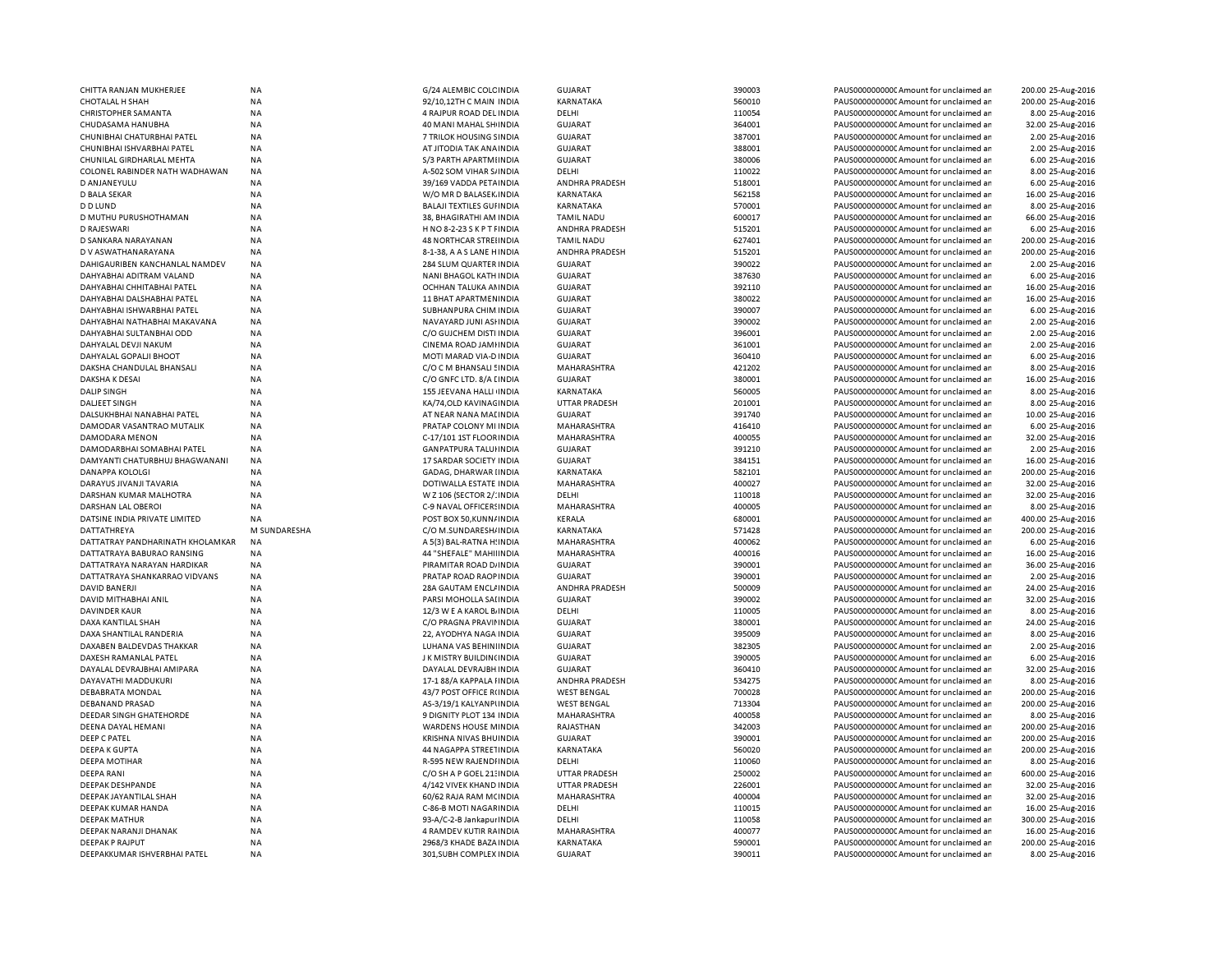| CHITTA RANJAN MUKHERJEE                         | NA           | G/24 ALEMBIC COLC INDIA                            | <b>GUJARAT</b>              | 390003           | PAUS0000000000 Amount for unclaimed ar                                           | 200.00 25-Aug-2016                     |
|-------------------------------------------------|--------------|----------------------------------------------------|-----------------------------|------------------|----------------------------------------------------------------------------------|----------------------------------------|
| <b>CHOTALAL H SHAH</b>                          | NA           | 92/10,12TH C MAIN INDIA                            | KARNATAKA                   | 560010           | PAUS0000000000 Amount for unclaimed ar                                           | 200.00 25-Aug-2016                     |
| <b>CHRISTOPHER SAMANTA</b>                      | NA           | 4 RAJPUR ROAD DEL INDIA                            | DELHI                       | 110054           | PAUS0000000000 Amount for unclaimed ar                                           | 8.00 25-Aug-2016                       |
| CHUDASAMA HANUBHA                               | NA           | 40 MANI MAHAL SHI INDIA                            | <b>GUJARAT</b>              | 364001           | PAUS0000000000 Amount for unclaimed ar                                           | 32.00 25-Aug-2016                      |
| CHUNIBHAI CHATURBHAI PATEL                      | NA           | 7 TRILOK HOUSING SINDIA                            | <b>GUJARAT</b>              | 387001           | PAUS0000000000 Amount for unclaimed ar                                           | 2.00 25-Aug-2016                       |
| CHUNIBHAI ISHVARBHAI PATEL                      | NA           | AT JITODIA TAK ANA INDIA                           | <b>GUJARAT</b>              | 388001           | PAUS0000000000CAmount for unclaimed ar                                           | 2.00 25-Aug-2016                       |
| CHUNILAL GIRDHARLAL MEHTA                       | NA           | S/3 PARTH APARTMI INDIA                            | <b>GUJARAT</b>              | 380006           | PAUS0000000000 Amount for unclaimed ar                                           | 6.00 25-Aug-2016                       |
| COLONEL RABINDER NATH WADHAWAN                  | NA           | A-502 SOM VIHAR S/INDIA                            | DELHI                       | 110022           | PAUS00000000000Amount for unclaimed an                                           | 8.00 25-Aug-2016                       |
|                                                 |              |                                                    |                             |                  |                                                                                  |                                        |
| D ANJANEYULU                                    | NA           | 39/169 VADDA PETA INDIA                            | ANDHRA PRADESH              | 518001           | PAUS0000000000 Amount for unclaimed ar                                           | 6.00 25-Aug-2016                       |
| D BALA SEKAR                                    | <b>NA</b>    | W/O MR D BALASEK INDIA                             | <b>KARNATAKA</b>            | 562158           | PAUS0000000000CAmount for unclaimed ar                                           | 16.00 25-Aug-2016                      |
| D D LUND                                        | ΝA           | <b>BALAJI TEXTILES GUI INDIA</b>                   | KARNATAKA                   | 570001           | PAUS0000000000 Amount for unclaimed ar                                           | 8.00 25-Aug-2016                       |
| D MUTHU PURUSHOTHAMAN                           | NA           | 38, BHAGIRATHI AM INDIA                            | <b>TAMIL NADU</b>           | 600017           | PAUS0000000000CAmount for unclaimed ar                                           | 66.00 25-Aug-2016                      |
| D RAJESWARI                                     | NA           | H NO 8-2-23 S K P T FINDIA                         | ANDHRA PRADESH              | 515201           | PAUS0000000000CAmount for unclaimed ar                                           | 6.00 25-Aug-2016                       |
| D SANKARA NARAYANAN                             | <b>NA</b>    | <b>48 NORTHCAR STREIINDIA</b>                      | <b>TAMIL NADU</b>           | 627401           | PAUS0000000000CAmount for unclaimed ar                                           | 200.00 25-Aug-2016                     |
| D V ASWATHANARAYANA                             | NA           | 8-1-38, A A S LANE HINDIA                          | ANDHRA PRADESH              | 515201           | PAUS0000000000CAmount for unclaimed ar                                           | 200.00 25-Aug-2016                     |
| DAHIGAURIBEN KANCHANLAL NAMDEV                  | NA           | 284 SLUM QUARTER INDIA                             | <b>GUJARAT</b>              | 390022           | PAUS0000000000CAmount for unclaimed ar                                           | 2.00 25-Aug-2016                       |
| DAHYABHAI ADITRAM VALAND                        | NA           | NANI BHAGOL KATH INDIA                             | <b>GUJARAT</b>              | 387630           | PAUS0000000000CAmount for unclaimed ar                                           | 6.00 25-Aug-2016                       |
| DAHYABHAI CHHITABHAI PATEL                      | <b>NA</b>    | OCHHAN TALUKA AN INDIA                             | <b>GUJARAT</b>              | 392110           | PAUS0000000000CAmount for unclaimed ar                                           | 16.00 25-Aug-2016                      |
| DAHYABHAI DALSHABHAI PATEL                      | NA           | 11 BHAT APARTMEN INDIA                             | <b>GUJARAT</b>              | 380022           | PAUS0000000000 Amount for unclaimed ar                                           | 16.00 25-Aug-2016                      |
| DAHYABHAI ISHWARBHAI PATEL                      | NA           | SUBHANPURA CHIM INDIA                              | <b>GUJARAT</b>              | 390007           | PAUS0000000000 Amount for unclaimed ar                                           | 6.00 25-Aug-2016                       |
| DAHYABHAI NATHABHAI MAKAVANA                    | NA           | NAVAYARD JUNI ASHNDIA                              | <b>GUJARAT</b>              | 390002           | PAUS0000000000CAmount for unclaimed ar                                           | 2.00 25-Aug-2016                       |
|                                                 |              |                                                    |                             | 396001           |                                                                                  |                                        |
| DAHYABHAI SULTANBHAI ODD                        | NA           | C/O GUJCHEM DISTI INDIA                            | <b>GUJARAT</b>              |                  | PAUS0000000000CAmount for unclaimed ar                                           | 2.00 25-Aug-2016                       |
| DAHYALAL DEVJI NAKUM                            | <b>NA</b>    | CINEMA ROAD JAMHNDIA                               | <b>GUJARAT</b>              | 361001           | PAUS00000000000Amount for unclaimed ar                                           | 2.00 25-Aug-2016                       |
| DAHYALAL GOPALJI BHOOT                          | NA           | MOTI MARAD VIA-D INDIA                             | <b>GUJARAT</b>              | 360410           | PAUS0000000000 Amount for unclaimed ar                                           | 6.00 25-Aug-2016                       |
| DAKSHA CHANDULAL BHANSALI                       | <b>NA</b>    | C/O C M BHANSALI ! INDIA                           | <b>MAHARASHTRA</b>          | 421202           | PAUS0000000000 Amount for unclaimed ar                                           | 8.00 25-Aug-2016                       |
| DAKSHA K DESAI                                  | NA           | C/O GNFC LTD. 8/A [ INDIA                          | <b>GUJARAT</b>              | 380001           | PAUS0000000000 Amount for unclaimed ar                                           | 16.00 25-Aug-2016                      |
| <b>DALIP SINGH</b>                              | <b>NA</b>    | 155 JEEVANA HALLI INDIA                            | <b>KARNATAKA</b>            | 560005           | PAUS0000000000Amount for unclaimed ar                                            | 8.00 25-Aug-2016                       |
| <b>DALJEET SINGH</b>                            | NA           | KA/74, OLD KAVINAG IN DIA                          | <b>UTTAR PRADESH</b>        | 201001           | PAUS0000000000 Amount for unclaimed ar                                           | 8.00 25-Aug-2016                       |
| DALSUKHBHAI NANABHAI PATEL                      | <b>NA</b>    | AT NEAR NANA MALINDIA                              | <b>GUJARAT</b>              | 391740           | PAUS0000000000 Amount for unclaimed ar                                           | 10.00 25-Aug-2016                      |
| DAMODAR VASANTRAO MUTALIK                       | NA           | PRATAP COLONY MI INDIA                             | MAHARASHTRA                 | 416410           | PAUS00000000000Amount for unclaimed ar                                           | 6.00 25-Aug-2016                       |
| DAMODARA MENON                                  | NA           | C-17/101 1ST FLOOR INDIA                           | MAHARASHTRA                 | 400055           | PAUS0000000000 Amount for unclaimed ar                                           | 32.00 25-Aug-2016                      |
| DAMODARBHAI SOMABHAI PATEL                      | NA           | <b>GANPATPURA TALUHNDIA</b>                        | <b>GUJARAT</b>              | 391210           | PAUS0000000000 Amount for unclaimed ar                                           | 2.00 25-Aug-2016                       |
| DAMYANTI CHATURBHUJ BHAGWANANI                  | NA           | 17 SARDAR SOCIETY INDIA                            | <b>GUJARAT</b>              | 384151           | PAUS0000000000 Amount for unclaimed ar                                           | 16.00 25-Aug-2016                      |
| DANAPPA KOLOLGI                                 | NA           | GADAG, DHARWAR IINDIA                              | KARNATAKA                   | 582101           | PAUS0000000000CAmount for unclaimed ar                                           | 200.00 25-Aug-2016                     |
| DARAYUS JIVANJI TAVARIA                         | NA           | DOTIWALLA ESTATE INDIA                             | MAHARASHTRA                 | 400027           | PAUS0000000000 Amount for unclaimed ar                                           | 32.00 25-Aug-2016                      |
|                                                 |              |                                                    |                             | 110018           |                                                                                  |                                        |
| DARSHAN KUMAR MALHOTRA                          | NA           | W Z 106 (SECTOR 2/: INDIA                          | DELHI                       |                  | PAUS0000000000 Amount for unclaimed ar                                           | 32.00 25-Aug-2016                      |
| DARSHAN LAL OBEROI                              | NA           | C-9 NAVAL OFFICERS INDIA                           | MAHARASHTRA                 | 400005           | PAUS0000000000 Amount for unclaimed ar                                           | 8.00 25-Aug-2016                       |
| DATSINE INDIA PRIVATE LIMITED                   | ΝA           | POST BOX 50, KUNN/INDIA                            | KERALA                      | 680001           | PAUS0000000000 Amount for unclaimed ar                                           | 400.00 25-Aug-2016                     |
| DATTATHREYA                                     | M SUNDARESHA | C/O M.SUNDARESH/ INDIA                             | KARNATAKA                   | 571428           | PAUS0000000000 Amount for unclaimed ar                                           | 200.00 25-Aug-2016                     |
| DATTATRAY PANDHARINATH KHOLAMKAR                | NA           | A 5(3) BAL-RATNA H: INDIA                          | MAHARASHTRA                 | 400062           | PAUS00000000000Amount for unclaimed ar                                           | 6.00 25-Aug-2016                       |
| DATTATRAYA BABURAO RANSING                      | <b>NA</b>    | 44 "SHEFALE" MAHIIINDIA                            | MAHARASHTRA                 | 400016           | PAUS0000000000CAmount for unclaimed ar                                           | 16.00 25-Aug-2016                      |
| DATTATRAYA NARAYAN HARDIKAR                     | <b>NA</b>    | PIRAMITAR ROAD D/INDIA                             | <b>GUJARAT</b>              | 390001           | PAUS0000000000CAmount for unclaimed ar                                           | 36.00 25-Aug-2016                      |
| DATTATRAYA SHANKARRAO VIDVANS                   | NA           | PRATAP ROAD RAOP INDIA                             | <b>GUJARAT</b>              | 390001           | PAUS0000000000CAmount for unclaimed ar                                           | 2.00 25-Aug-2016                       |
| <b>DAVID BANERJI</b>                            | NA           | 28A GAUTAM ENCLINDIA                               | ANDHRA PRADESH              | 500009           | PAUS0000000000CAmount for unclaimed ar                                           | 24.00 25-Aug-2016                      |
| DAVID MITHABHAI ANIL                            | NA           | PARSI MOHOLLA SAI INDIA                            | <b>GUJARAT</b>              | 390002           | PAUS0000000000CAmount for unclaimed ar                                           | 32.00 25-Aug-2016                      |
| <b>DAVINDER KAUR</b>                            | <b>NA</b>    | 12/3 W E A KAROL B. INDIA                          | DELHI                       | 110005           | PAUS0000000000 Amount for unclaimed ar                                           | 8.00 25-Aug-2016                       |
| DAXA KANTILAL SHAH                              | NA           | C/O PRAGNA PRAVILINDIA                             | <b>GUJARAT</b>              | 380001           | PAUS0000000000CAmount for unclaimed ar                                           | 24.00 25-Aug-2016                      |
| DAXA SHANTILAL RANDERIA                         | NA           | 22, AYODHYA NAGA INDIA                             | <b>GUJARAT</b>              | 395009           | PAUS0000000000CAmount for unclaimed ar                                           | 8.00 25-Aug-2016                       |
| DAXABEN BALDEVDAS THAKKAR                       | NA           | LUHANA VAS BEHINI INDIA                            | <b>GUJARAT</b>              | 382305           | PAUS0000000000 Amount for unclaimed ar                                           | 2.00 25-Aug-2016                       |
|                                                 |              |                                                    |                             |                  |                                                                                  |                                        |
| DAXESH RAMANLAL PATEL                           | NA           | J K MISTRY BUILDIN (INDIA                          | <b>GUJARAT</b>              | 390005           | PAUS0000000000CAmount for unclaimed ar                                           | 6.00 25-Aug-2016                       |
| DAYALAL DEVRAJBHAI AMIPARA                      | NA           | DAYALAL DEVRAJBH INDIA                             | GUJARAT                     | 360410           | PAUS0000000000 Amount for unclaimed ar                                           | 32.00 25-Aug-2016                      |
| DAYAVATHI MADDUKURI                             | <b>NA</b>    | 17-1 88/A KAPPALA I INDIA                          | ANDHRA PRADESH              | 534275           | PAUS0000000000CAmount for unclaimed ar                                           | 8.00 25-Aug-2016                       |
| DEBABRATA MONDAL                                | NA           | 43/7 POST OFFICE R(INDIA                           | <b>WEST BENGAL</b>          | 700028           | PAUS0000000000 Amount for unclaimed ar                                           | 200.00 25-Aug-2016                     |
| DEBANAND PRASAD                                 | NA           | AS-3/19/1 KALYANPUNDIA                             | <b>WEST BENGAL</b>          | 713304           | PAUS0000000000CAmount for unclaimed ar                                           | 200.00 25-Aug-2016                     |
| DEEDAR SINGH GHATEHORDE                         | NA           | 9 DIGNITY PLOT 134 INDIA                           | MAHARASHTRA                 | 400058           | PAUS0000000000 Amount for unclaimed ar                                           | 8.00 25-Aug-2016                       |
| DEENA DAYAL HEMANI                              | NA           | WARDENS HOUSE MINDIA                               | RAJASTHAN                   | 342003           | PAUS0000000000 Amount for unclaimed ar                                           | 200.00 25-Aug-2016                     |
| DEEP C PATEL                                    | <b>NA</b>    | KRISHNA NIVAS BHUINDIA                             | <b>GUJARAT</b>              | 390001           | PAUS00000000000Amount for unclaimed an                                           | 200.00 25-Aug-2016                     |
| DEEPA K GUPTA                                   | NA           | 44 NAGAPPA STREETINDIA                             | KARNATAKA                   | 560020           | PAUS0000000000 Amount for unclaimed ar                                           | 200.00 25-Aug-2016                     |
| <b>DEEPA MOTIHAR</b>                            | NA           | <b>R-595 NEW RAJENDHNDIA</b>                       | DELHI                       | 110060           | PAUS00000000000Amount for unclaimed an                                           | 8.00 25-Aug-2016                       |
| <b>DEEPA RANI</b>                               | NA           | C/O SH A P GOEL 21: INDIA                          | <b>UTTAR PRADESH</b>        | 250002           | PAUS0000000000 Amount for unclaimed ar                                           | 600.00 25-Aug-2016                     |
| DEEPAK DESHPANDE                                | NA           | 4/142 VIVEK KHAND INDIA                            | <b>UTTAR PRADESH</b>        | 226001           | PAUS0000000000 Amount for unclaimed ar                                           | 32.00 25-Aug-2016                      |
|                                                 |              |                                                    |                             |                  |                                                                                  |                                        |
| DEEPAK JAYANTILAL SHAH                          | NA           | 60/62 RAJA RAM MCINDIA                             | MAHARASHTRA                 | 400004           | PAUS0000000000 Amount for unclaimed ar                                           | 32.00 25-Aug-2016                      |
| DEEPAK KUMAR HANDA                              | NA           | C-86-B MOTI NAGARINDIA                             | DELHI                       | 110015           | PAUS0000000000 Amount for unclaimed ar                                           | 16.00 25-Aug-2016                      |
|                                                 |              |                                                    |                             |                  |                                                                                  |                                        |
| <b>DEEPAK MATHUR</b>                            | ΝA           | 93-A/C-2-B Jankapur INDIA                          | DELHI                       | 110058           | PAUS0000000000CAmount for unclaimed ar                                           | 300.00 25-Aug-2016                     |
| DEEPAK NARANJI DHANAK                           | NA           | 4 RAMDEV KUTIR RAINDIA                             | MAHARASHTRA                 | 400077           | PAUS0000000000 Amount for unclaimed ar                                           | 16.00 25-Aug-2016                      |
| DEEPAK P RAJPUT<br>DEEPAKKUMAR ISHVERBHAI PATEL | NA<br>NA     | 2968/3 KHADE BAZA INDIA<br>301, SUBH COMPLEX INDIA | KARNATAKA<br><b>GUJARAT</b> | 590001<br>390011 | PAUS0000000000 Amount for unclaimed ar<br>PAUS0000000000 Amount for unclaimed ar | 200.00 25-Aug-2016<br>8.00 25-Aug-2016 |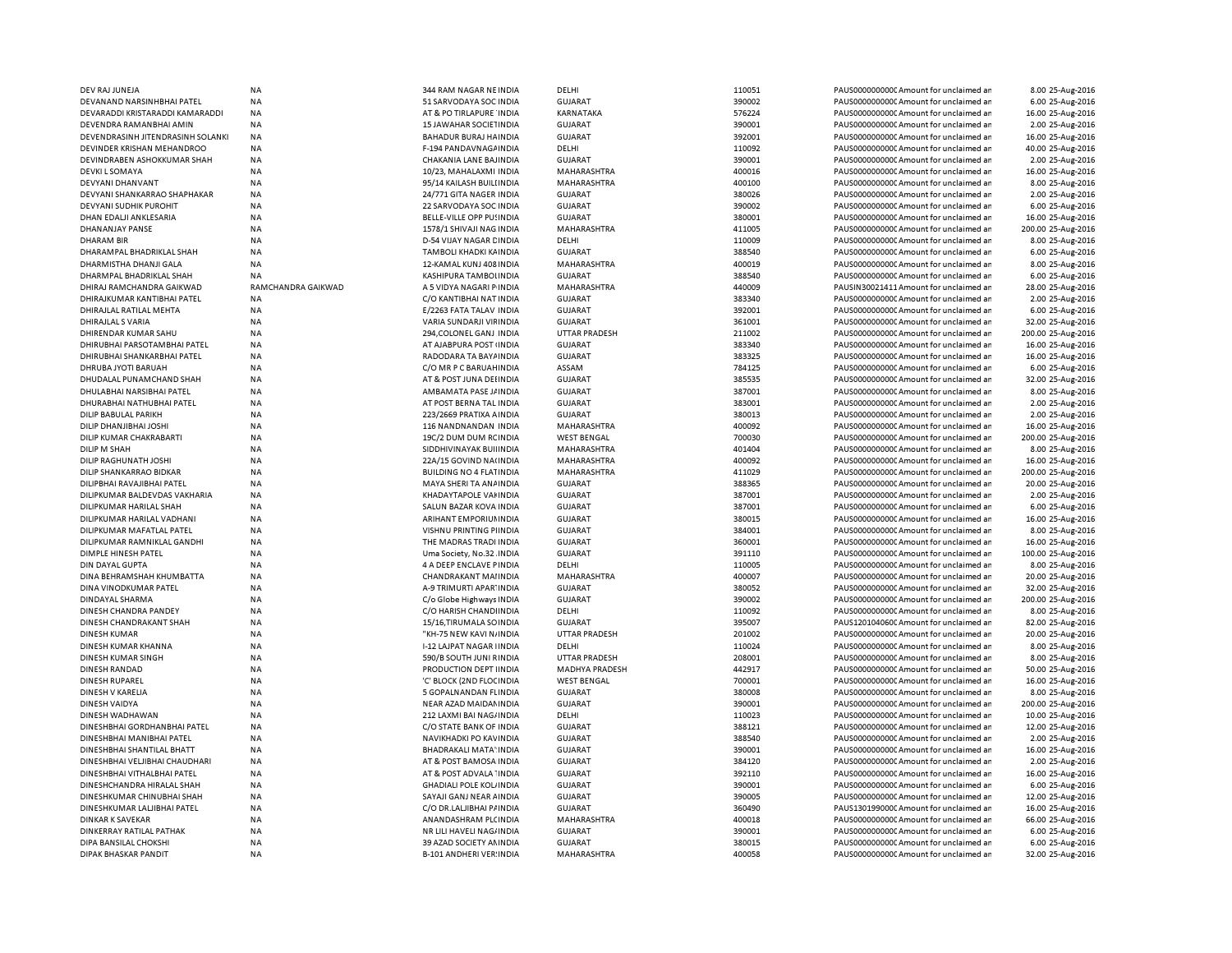| DEV RAJ JUNEJA                    | <b>NA</b>          | 344 RAM NAGAR NE INDIA         | DELHI                 | 110051 | PAUS0000000000C Amount for unclaimed ar | 8.00 25-Aug-2016   |
|-----------------------------------|--------------------|--------------------------------|-----------------------|--------|-----------------------------------------|--------------------|
| DEVANAND NARSINHBHAI PATEL        | NA                 | 51 SARVODAYA SOC INDIA         | GUJARAT               | 390002 | PAUS0000000000 Amount for unclaimed ar  | 6.00 25-Aug-2016   |
| DEVARADDI KRISTARADDI KAMARADDI   | NA                 | AT & PO TIRLAPURE INDIA        | KARNATAKA             | 576224 | PAUS0000000000 Amount for unclaimed ar  | 16.00 25-Aug-2016  |
| DEVENDRA RAMANBHAI AMIN           | NA                 | <b>15 JAWAHAR SOCIETINDIA</b>  | <b>GUJARAT</b>        | 390001 | PAUS0000000000 Amount for unclaimed ar  | 2.00 25-Aug-2016   |
| DEVENDRASINH JITENDRASINH SOLANKI | ΝA                 | BAHADUR BURAJ HAINDIA          | GUJARAT               | 392001 | PAUS0000000000C Amount for unclaimed ar | 16.00 25-Aug-2016  |
| DEVINDER KRISHAN MEHANDROO        | <b>NA</b>          | F-194 PANDAVNAGA INDIA         | DELHI                 | 110092 | PAUS0000000000CAmount for unclaimed ar  | 40.00 25-Aug-2016  |
| DEVINDRABEN ASHOKKUMAR SHAH       | ΝA                 | CHAKANIA LANE BAJINDIA         | GUJARAT               | 390001 | PAUS0000000000C Amount for unclaimed ar | 2.00 25-Aug-2016   |
| <b>DEVKI L SOMAYA</b>             | <b>NA</b>          | 10/23, MAHALAXMI INDIA         | MAHARASHTRA           | 400016 | PAUS0000000000CAmount for unclaimed ar  | 16.00 25-Aug-2016  |
| DEVYANI DHANVANT                  | <b>NA</b>          | 95/14 KAILASH BUILI INDIA      | MAHARASHTRA           | 400100 | PAUS0000000000C Amount for unclaimed ar | 8.00 25-Aug-2016   |
| DEVYANI SHANKARRAO SHAPHAKAR      | <b>NA</b>          | 24/771 GITA NAGER INDIA        | <b>GUJARAT</b>        | 380026 | PAUS0000000000 Amount for unclaimed ar  |                    |
|                                   | <b>NA</b>          |                                |                       | 390002 |                                         | 2.00 25-Aug-2016   |
| DEVYANI SUDHIK PUROHIT            |                    | 22 SARVODAYA SOC INDIA         | <b>GUJARAT</b>        |        | PAUS0000000000 Amount for unclaimed ar  | 6.00 25-Aug-2016   |
| DHAN EDALJI ANKLESARIA            | <b>NA</b>          | BELLE-VILLE OPP PU! INDIA      | <b>GUJARAT</b>        | 380001 | PAUS0000000000 Amount for unclaimed ar  | 16.00 25-Aug-2016  |
| DHANANJAY PANSE                   | <b>NA</b>          | 1578/1 SHIVAJI NAG INDIA       | MAHARASHTRA           | 411005 | PAUS0000000000 Amount for unclaimed ar  | 200.00 25-Aug-2016 |
| <b>DHARAM BIR</b>                 | <b>NA</b>          | D-54 VIJAY NAGAR CINDIA        | DELHI                 | 110009 | PAUS0000000000CAmount for unclaimed ar  | 8.00 25-Aug-2016   |
| DHARAMPAL BHADRIKLAL SHAH         | <b>NA</b>          | TAMBOLI KHADKI KAINDIA         | <b>GUJARAT</b>        | 388540 | PAUS0000000000CAmount for unclaimed ar  | 6.00 25-Aug-2016   |
| DHARMISTHA DHANJI GALA            | <b>NA</b>          | 12-KAMAL KUNJ 408 INDIA        | MAHARASHTRA           | 400019 | PAUS0000000000CAmount for unclaimed ar  | 8.00 25-Aug-2016   |
| DHARMPAL BHADRIKLAL SHAH          | <b>NA</b>          | KASHIPURA TAMBOLINDIA          | <b>GUJARAT</b>        | 388540 | PAUS0000000000 Amount for unclaimed ar  | 6.00 25-Aug-2016   |
| DHIRAJ RAMCHANDRA GAIKWAD         | RAMCHANDRA GAIKWAD | A 5 VIDYA NAGARI P INDIA       | MAHARASHTRA           | 440009 | PAUSIN30021411 Amount for unclaimed ar  | 28.00 25-Aug-2016  |
| DHIRAJKUMAR KANTIBHAI PATEL       | <b>NA</b>          | C/O KANTIBHAI NAT INDIA        | GUJARAT               | 383340 | PAUS0000000000CAmount for unclaimed ar  | 2.00 25-Aug-2016   |
| DHIRAJLAL RATILAL MEHTA           | NA                 | E/2263 FATA TALAV INDIA        | <b>GUJARAT</b>        | 392001 | PAUS0000000000 Amount for unclaimed ar  | 6.00 25-Aug-2016   |
| DHIRAJLAL S VARIA                 | <b>NA</b>          | VARIA SUNDARJI VIFINDIA        | <b>GUJARAT</b>        | 361001 | PAUS0000000000CAmount for unclaimed an  | 32.00 25-Aug-2016  |
| DHIRENDAR KUMAR SAHU              | NA                 | 294, COLONEL GANJ INDIA        | <b>UTTAR PRADESH</b>  | 211002 | PAUS0000000000 Amount for unclaimed ar  | 200.00 25-Aug-2016 |
| DHIRUBHAI PARSOTAMBHAI PATEL      | NA                 | AT AJABPURA POST (INDIA        | <b>GUJARAT</b>        | 383340 | PAUS0000000000 Amount for unclaimed ar  | 16.00 25-Aug-2016  |
| DHIRUBHAI SHANKARBHAI PATEL       | NA                 | RADODARA TA BAYA INDIA         | <b>GUJARAT</b>        | 383325 | PAUS0000000000C Amount for unclaimed ar | 16.00 25-Aug-2016  |
| DHRUBA JYOTI BARUAH               | NA                 | C/O MR P C BARUAH INDIA        | ASSAM                 | 784125 | PAUS0000000000 Amount for unclaimed ar  | 6.00 25-Aug-2016   |
| DHUDALAL PUNAMCHAND SHAH          | <b>NA</b>          | AT & POST JUNA DEHNDIA         | <b>GUJARAT</b>        | 385535 | PAUS0000000000C Amount for unclaimed ar | 32.00 25-Aug-2016  |
| DHULABHAI NARSIBHAI PATEL         | <b>NA</b>          | AMBAMATA PASE J/ INDIA         | GUJARAT               | 387001 | PAUS0000000000CAmount for unclaimed ar  | 8.00 25-Aug-2016   |
|                                   |                    |                                |                       |        |                                         |                    |
| DHURABHAI NATHUBHAI PATEL         | <b>NA</b>          | AT POST BERNA TAL INDIA        | GUJARAT               | 383001 | PAUS0000000000CAmount for unclaimed ar  | 2.00 25-Aug-2016   |
| DILIP BABULAL PARIKH              | <b>NA</b>          | 223/2669 PRATIXA A INDIA       | <b>GUJARAT</b>        | 380013 | PAUS0000000000 Amount for unclaimed ar  | 2.00 25-Aug-2016   |
| DILIP DHANJIBHAI JOSHI            | <b>NA</b>          | 116 NANDNANDAN INDIA           | MAHARASHTRA           | 400092 | PAUS0000000000 Amount for unclaimed ar  | 16.00 25-Aug-2016  |
| DILIP KUMAR CHAKRABARTI           | <b>NA</b>          | 19C/2 DUM DUM RCINDIA          | <b>WEST BENGAL</b>    | 700030 | PAUS0000000000CAmount for unclaimed ar  | 200.00 25-Aug-2016 |
| DILIP M SHAH                      | <b>NA</b>          | SIDDHIVINAYAK BUILINDIA        | MAHARASHTRA           | 401404 | PAUS0000000000CAmount for unclaimed ar  | 8.00 25-Aug-2016   |
| DILIP RAGHUNATH JOSHI             | <b>NA</b>          | 22A/15 GOVIND NA(INDIA         | MAHARASHTRA           | 400092 | PAUS0000000000CAmount for unclaimed ar  | 16.00 25-Aug-2016  |
| DILIP SHANKARRAO BIDKAR           | NA                 | <b>BUILDING NO 4 FLATINDIA</b> | <b>MAHARASHTRA</b>    | 411029 | PAUS0000000000CAmount for unclaimed ar  | 200.00 25-Aug-2016 |
| DILIPBHAI RAVAJIBHAI PATEL        | <b>NA</b>          | MAYA SHERI TA ANA INDIA        | GUJARAT               | 388365 | PAUS0000000000CAmount for unclaimed ar  | 20.00 25-Aug-2016  |
| DILIPKUMAR BALDEVDAS VAKHARIA     | <b>NA</b>          | KHADAYTAPOLE VAI INDIA         | <b>GUJARAT</b>        | 387001 | PAUS0000000000CAmount for unclaimed ar  | 2.00 25-Aug-2016   |
| DILIPKUMAR HARILAL SHAH           | NA                 | SALUN BAZAR KOVA INDIA         | <b>GUJARAT</b>        | 387001 | PAUS0000000000 Amount for unclaimed ar  | 6.00 25-Aug-2016   |
| DILIPKUMAR HARILAL VADHANI        | <b>NA</b>          | ARIHANT EMPORIUM INDIA         | <b>GUJARAT</b>        | 380015 | PAUS0000000000 Amount for unclaimed ar  | 16.00 25-Aug-2016  |
| DILIPKUMAR MAFATLAL PATEL         | NA                 | VISHNU PRINTING PIINDIA        | <b>GUJARAT</b>        | 384001 | PAUS0000000000 Amount for unclaimed ar  | 8.00 25-Aug-2016   |
| DILIPKUMAR RAMNIKLAL GANDHI       | <b>NA</b>          | THE MADRAS TRADI INDIA         | <b>GUJARAT</b>        | 360001 | PAUS0000000000 Amount for unclaimed ar  | 16.00 25-Aug-2016  |
| DIMPLE HINESH PATEL               | NA                 | Uma Society, No.32 INDIA       | <b>GUJARAT</b>        | 391110 | PAUS0000000000 Amount for unclaimed ar  | 100.00 25-Aug-2016 |
| DIN DAYAL GUPTA                   | NA                 | 4 A DEEP ENCLAVE PINDIA        | DELHI                 | 110005 | PAUS0000000000 Amount for unclaimed ar  | 8.00 25-Aug-2016   |
| DINA BEHRAMSHAH KHUMBATTA         | <b>NA</b>          | CHANDRAKANT MAIINDIA           | MAHARASHTRA           | 400007 | PAUS0000000000C Amount for unclaimed ar | 20.00 25-Aug-2016  |
| DINA VINODKUMAR PATEL             | NA                 | A-9 TRIMURTI APAR' INDIA       | <b>GUJARAT</b>        | 380052 | PAUS0000000000 Amount for unclaimed ar  | 32.00 25-Aug-2016  |
| DINDAYAL SHARMA                   | NA                 | C/o Globe Highways INDIA       | GUJARAT               | 390002 | PAUS0000000000 Amount for unclaimed an  | 200.00 25-Aug-2016 |
|                                   |                    |                                |                       |        |                                         |                    |
| DINESH CHANDRA PANDEY             | NA                 | C/O HARISH CHANDINDIA          | DELHI                 | 110092 | PAUS0000000000 Amount for unclaimed ar  | 8.00 25-Aug-2016   |
| DINESH CHANDRAKANT SHAH           | <b>NA</b>          | 15/16, TIRUMALA SO INDIA       | <b>GUJARAT</b>        | 395007 | PAUS1201040600 Amount for unclaimed ar  | 82.00 25-Aug-2016  |
| <b>DINESH KUMAR</b>               | <b>NA</b>          | "KH-75 NEW KAVI N/INDIA        | UTTAR PRADESH         | 201002 | PAUS0000000000CAmount for unclaimed ar  | 20.00 25-Aug-2016  |
| DINESH KUMAR KHANNA               | <b>NA</b>          | I-12 LAJPAT NAGAR I INDIA      | DELHI                 | 110024 | PAUS0000000000CAmount for unclaimed ar  | 8.00 25-Aug-2016   |
| DINESH KUMAR SINGH                | <b>NA</b>          | 590/B SOUTH JUNI RINDIA        | <b>UTTAR PRADESH</b>  | 208001 | PAUS0000000000CAmount for unclaimed ar  | 8.00 25-Aug-2016   |
| DINESH RANDAD                     | NA                 | PRODUCTION DEPT IINDIA         | <b>MADHYA PRADESH</b> | 442917 | PAUS0000000000CAmount for unclaimed ar  | 50.00 25-Aug-2016  |
| <b>DINESH RUPAREL</b>             | <b>NA</b>          | 'C' BLOCK (2ND FLOC INDIA      | <b>WEST BENGAL</b>    | 700001 | PAUS0000000000CAmount for unclaimed ar  | 16.00 25-Aug-2016  |
| DINESH V KARELIA                  | <b>NA</b>          | 5 GOPALNANDAN FLINDIA          | GUJARAT               | 380008 | PAUS0000000000CAmount for unclaimed an  | 8.00 25-Aug-2016   |
| DINESH VAIDYA                     | <b>NA</b>          | NEAR AZAD MAIDAN INDIA         | GUJARAT               | 390001 | PAUS0000000000CAmount for unclaimed ar  | 200.00 25-Aug-2016 |
| DINESH WADHAWAN                   | <b>NA</b>          | 212 LAXMI BAI NAG/INDIA        | DELHI                 | 110023 | PAUS0000000000 Amount for unclaimed ar  | 10.00 25-Aug-2016  |
| DINESHBHAI GORDHANBHAI PATEL      | NA                 | C/O STATE BANK OF INDIA        | <b>GUJARAT</b>        | 388121 | PAUS0000000000 Amount for unclaimed ar  | 12.00 25-Aug-2016  |
| DINESHBHAI MANIBHAI PATEL         | <b>NA</b>          | NAVIKHADKI PO KAVINDIA         | <b>GUJARAT</b>        | 388540 | PAUS0000000000 Amount for unclaimed ar  | 2.00 25-Aug-2016   |
| DINESHBHAI SHANTILAL BHATT        | NA                 | BHADRAKALI MATA' INDIA         | <b>GUJARAT</b>        | 390001 | PAUS0000000000 Amount for unclaimed ar  | 16.00 25-Aug-2016  |
| DINESHBHAI VELJIBHAI CHAUDHARI    | <b>NA</b>          | AT & POST BAMOSA INDIA         | <b>GUJARAT</b>        | 384120 | PAUS0000000000 Amount for unclaimed ar  | 2.00 25-Aug-2016   |
| DINESHBHAI VITHALBHAI PATEL       | NA                 | AT & POST ADVALA "INDIA        | <b>GUJARAT</b>        | 392110 | PAUS0000000000 Amount for unclaimed ar  | 16.00 25-Aug-2016  |
| DINESHCHANDRA HIRALAL SHAH        | NA                 | <b>GHADIALI POLE KOL INDIA</b> | <b>GUJARAT</b>        | 390001 | PAUS0000000000 Amount for unclaimed ar  | 6.00 25-Aug-2016   |
| DINESHKUMAR CHINUBHAI SHAH        | NA                 | SAYAJI GANJ NEAR AINDIA        | GUJARAT               | 390005 | PAUS0000000000CAmount for unclaimed ar  | 12.00 25-Aug-2016  |
| DINESHKUMAR LALJIBHAI PATEL       | NA                 | C/O DR.LALJIBHAI P/ INDIA      | <b>GUJARAT</b>        | 360490 | PAUS1301990000 Amount for unclaimed ar  | 16.00 25-Aug-2016  |
| <b>DINKAR K SAVEKAR</b>           | NA                 | ANANDASHRAM PL(INDIA           | MAHARASHTRA           | 400018 | PAUS0000000000 Amount for unclaimed ar  | 66.00 25-Aug-2016  |
|                                   |                    |                                |                       | 390001 |                                         |                    |
| DINKERRAY RATILAL PATHAK          | NA                 | NR LILI HAVELI NAG/INDIA       | <b>GUJARAT</b>        |        | PAUS0000000000 Amount for unclaimed ar  | 6.00 25-Aug-2016   |
| DIPA BANSILAL CHOKSHI             | NA                 | 39 AZAD SOCIETY ANINDIA        | GUJARAT               | 380015 | PAUS0000000000C Amount for unclaimed ar | 6.00 25-Aug-2016   |
| DIPAK BHASKAR PANDIT              | NA                 | B-101 ANDHERI VER: INDIA       | MAHARASHTRA           | 400058 | PAUS0000000000 Amount for unclaimed ar  | 32.00 25-Aug-2016  |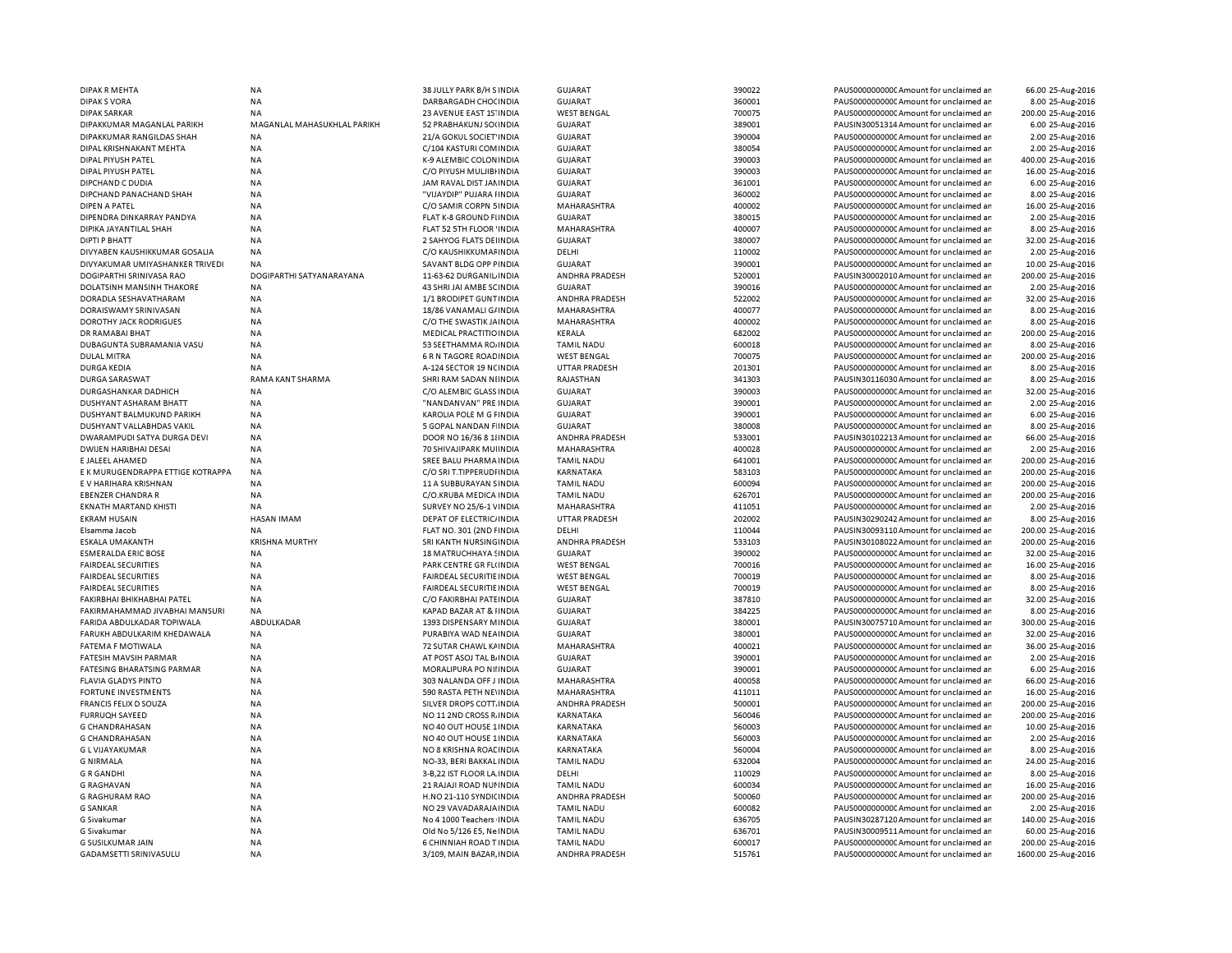| <b>DIPAK R MEHTA</b>              | <b>NA</b>                   | 38 JULLY PARK B/H S INDIA      | <b>GUJARAT</b>        | 390022 | PAUS0000000000C Amount for unclaimed ar | 66.00 25-Aug-2016   |
|-----------------------------------|-----------------------------|--------------------------------|-----------------------|--------|-----------------------------------------|---------------------|
| <b>DIPAK S VORA</b>               | <b>NA</b>                   | DARBARGADH CHOCINDIA           | <b>GUJARAT</b>        | 360001 | PAUS0000000000 Amount for unclaimed ar  | 8.00 25-Aug-2016    |
| <b>DIPAK SARKAR</b>               | <b>NA</b>                   | 23 AVENUE EAST 1S' INDIA       | <b>WEST BENGAL</b>    | 700075 | PAUS0000000000 Amount for unclaimed ar  | 200.00 25-Aug-2016  |
| DIPAKKUMAR MAGANLAL PARIKH        | MAGANLAL MAHASUKHLAL PARIKH | 52 PRABHAKUNJ SO(INDIA         | GUJARAT               | 389001 | PAUSIN30051314 Amount for unclaimed ar  | 6.00 25-Aug-2016    |
| DIPAKKUMAR RANGILDAS SHAH         | <b>NA</b>                   | 21/A GOKUL SOCIET INDIA        | <b>GUJARAT</b>        | 390004 | PAUS0000000000CAmount for unclaimed ar  | 2.00 25-Aug-2016    |
| DIPAL KRISHNAKANT MEHTA           | <b>NA</b>                   | C/104 KASTURI COMINDIA         | <b>GUJARAT</b>        | 380054 | PAUS0000000000CAmount for unclaimed ar  | 2.00 25-Aug-2016    |
| DIPAL PIYUSH PATEL                | <b>NA</b>                   | K-9 ALEMBIC COLON INDIA        | <b>GUJARAT</b>        | 390003 | PAUS0000000000CAmount for unclaimed ar  | 400.00 25-Aug-2016  |
| DIPAL PIYUSH PATEL                | <b>NA</b>                   | C/O PIYUSH MULJIBI INDIA       | <b>GUJARAT</b>        | 390003 | PAUS0000000000CAmount for unclaimed ar  | 16.00 25-Aug-2016   |
|                                   |                             |                                |                       |        |                                         |                     |
| DIPCHAND C DUDIA                  | NA                          | JAM RAVAL DIST JAMINDIA        | <b>GUJARAT</b>        | 361001 | PAUS0000000000CAmount for unclaimed ar  | 6.00 25-Aug-2016    |
| DIPCHAND PANACHAND SHAH           | <b>NA</b>                   | "VIJAYDIP" PUJARA HNDIA        | <b>GUJARAT</b>        | 360002 | PAUS0000000000 Amount for unclaimed ar  | 8.00 25-Aug-2016    |
| DIPEN A PATEL                     | <b>NA</b>                   | C/O SAMIR CORPN 5 INDIA        | MAHARASHTRA           | 400002 | PAUS0000000000 Amount for unclaimed ar  | 16.00 25-Aug-2016   |
| DIPENDRA DINKARRAY PANDYA         | <b>NA</b>                   | FLAT K-8 GROUND FIINDIA        | <b>GUJARAT</b>        | 380015 | PAUS0000000000CAmount for unclaimed ar  | 2.00 25-Aug-2016    |
| DIPIKA JAYANTILAL SHAH            | <b>NA</b>                   | FLAT 52 5TH FLOOR 'INDIA       | MAHARASHTRA           | 400007 | PAUS0000000000 Amount for unclaimed ar  | 8.00 25-Aug-2016    |
| <b>DIPTI P BHATT</b>              | <b>NA</b>                   | 2 SAHYOG FLATS DEI INDIA       | <b>GUJARAT</b>        | 380007 | PAUS0000000000CAmount for unclaimed ar  | 32.00 25-Aug-2016   |
| DIVYABEN KAUSHIKKUMAR GOSALIA     | <b>NA</b>                   | C/O KAUSHIKKUMAF INDIA         | DELHI                 | 110002 | PAUS0000000000Amount for unclaimed ar   | 2.00 25-Aug-2016    |
| DIVYAKUMAR UMIYASHANKER TRIVEDI   | <b>NA</b>                   | SAVANT BLDG OPP FINDIA         | <b>GUJARAT</b>        | 390001 | PAUS0000000000CAmount for unclaimed ar  | 10.00 25-Aug-2016   |
| DOGIPARTHI SRINIVASA RAO          | DOGIPARTHI SATYANARAYANA    | 11-63-62 DURGANIL INDIA        | <b>ANDHRA PRADESH</b> | 520001 | PAUSIN30002010 Amount for unclaimed ar  | 200.00 25-Aug-2016  |
| DOLATSINH MANSINH THAKORE         | <b>NA</b>                   | 43 SHRI JAI AMBE SCINDIA       | <b>GUJARAT</b>        | 390016 | PAUS0000000000 Amount for unclaimed ar  | 2.00 25-Aug-2016    |
| DORADLA SESHAVATHARAM             | <b>NA</b>                   | 1/1 BRODIPET GUNT INDIA        | ANDHRA PRADESH        | 522002 | PAUS00000000000Amount for unclaimed an  | 32.00 25-Aug-2016   |
|                                   |                             |                                |                       |        |                                         |                     |
| DORAISWAMY SRINIVASAN             | <b>NA</b>                   | 18/86 VANAMALI G/INDIA         | MAHARASHTRA           | 400077 | PAUS0000000000 Amount for unclaimed ar  | 8.00 25-Aug-2016    |
| <b>DOROTHY JACK RODRIGUES</b>     | <b>NA</b>                   | C/O THE SWASTIK JAINDIA        | <b>MAHARASHTRA</b>    | 400002 | PAUS0000000000 Amount for unclaimed ar  | 8.00 25-Aug-2016    |
| DR RAMABAI BHAT                   | <b>NA</b>                   | MEDICAL PRACTITIO INDIA        | KERALA                | 682002 | PAUS0000000000 Amount for unclaimed ar  | 200.00 25-Aug-2016  |
| DUBAGUNTA SUBRAMANIA VASU         | <b>NA</b>                   | 53 SEETHAMMA ROJINDIA          | <b>TAMIL NADU</b>     | 600018 | PAUS0000000000 Amount for unclaimed ar  | 8.00 25-Aug-2016    |
| DULAL MITRA                       | NA                          | <b>6 R N TAGORE ROAD INDIA</b> | <b>WEST BENGAL</b>    | 700075 | PAUS0000000000CAmount for unclaimed ar  | 200.00 25-Aug-2016  |
| <b>DURGA KEDIA</b>                | <b>NA</b>                   | A-124 SECTOR 19 NCINDIA        | <b>UTTAR PRADESH</b>  | 201301 | PAUS0000000000 Amount for unclaimed ar  | 8.00 25-Aug-2016    |
| DURGA SARASWAT                    | RAMA KANT SHARMA            | SHRI RAM SADAN NIINDIA         | RAJASTHAN             | 341303 | PAUSIN30116030 Amount for unclaimed ar  | 8.00 25-Aug-2016    |
| DURGASHANKAR DADHICH              | <b>NA</b>                   | C/O ALEMBIC GLASS INDIA        | <b>GUJARAT</b>        | 390003 | PAUS0000000000CAmount for unclaimed ar  | 32.00 25-Aug-2016   |
| DUSHYANT ASHARAM BHATT            | <b>NA</b>                   | "NANDANVAN" PRE INDIA          | <b>GUJARAT</b>        | 390001 | PAUS0000000000 Amount for unclaimed ar  | 2.00 25-Aug-2016    |
| DUSHYANT BALMUKUND PARIKH         | <b>NA</b>                   | KAROLIA POLE M G FINDIA        | <b>GUJARAT</b>        | 390001 | PAUS0000000000CAmount for unclaimed ar  | 6.00 25-Aug-2016    |
| DUSHYANT VALLABHDAS VAKIL         | <b>NA</b>                   | 5 GOPAL NANDAN F INDIA         | GUJARAT               | 380008 | PAUS0000000000CAmount for unclaimed ar  | 8.00 25-Aug-2016    |
| DWARAMPUDI SATYA DURGA DEVI       | NA                          | DOOR NO 16/36 8 1/ INDIA       | ANDHRA PRADESH        | 533001 | PAUSIN30102213 Amount for unclaimed ar  | 66.00 25-Aug-2016   |
|                                   |                             |                                |                       |        |                                         |                     |
| DWIJEN HARIBHAI DESAI             | <b>NA</b>                   | 70 SHIVAJIPARK MUI INDIA       | MAHARASHTRA           | 400028 | PAUS0000000000Amount for unclaimed ar   | 2.00 25-Aug-2016    |
| E JALEEL AHAMED                   | <b>NA</b>                   | SREE BALU PHARMA INDIA         | <b>TAMIL NADU</b>     | 641001 | PAUS0000000000CAmount for unclaimed ar  | 200.00 25-Aug-2016  |
| E K MURUGENDRAPPA ETTIGE KOTRAPPA | <b>NA</b>                   | C/O SRI T.TIPPERUDI INDIA      | KARNATAKA             | 583103 | PAUS0000000000CAmount for unclaimed ar  | 200.00 25-Aug-2016  |
| E V HARIHARA KRISHNAN             | <b>NA</b>                   | 11 A SUBBURAYAN SINDIA         | <b>TAMIL NADU</b>     | 600094 | PAUS0000000000CAmount for unclaimed ar  | 200.00 25-Aug-2016  |
| <b>EBENZER CHANDRA R</b>          | <b>NA</b>                   | C/O.KRUBA MEDICA INDIA         | <b>TAMIL NADU</b>     | 626701 | PAUS00000000000Amount for unclaimed an  | 200.00 25-Aug-2016  |
| <b>EKNATH MARTAND KHISTI</b>      | <b>NA</b>                   | SURVEY NO 25/6-1 VINDIA        | MAHARASHTRA           | 411051 | PAUS0000000000 Amount for unclaimed ar  | 2.00 25-Aug-2016    |
| <b>EKRAM HUSAIN</b>               | <b>HASAN IMAM</b>           | <b>DEPAT OF ELECTRIC/INDIA</b> | <b>UTTAR PRADESH</b>  | 202002 | PAUSIN30290242 Amount for unclaimed ar  | 8.00 25-Aug-2016    |
| Elsamma Jacob                     | NA                          | FLAT NO. 301 (2ND FINDIA       | DELHI                 | 110044 | PAUSIN30093110 Amount for unclaimed ar  | 200.00 25-Aug-2016  |
| ESKALA UMAKANTH                   | <b>KRISHNA MURTHY</b>       | SRI KANTH NURSING INDIA        | <b>ANDHRA PRADESH</b> | 533103 | PAUSIN30108022 Amount for unclaimed ar  | 200.00 25-Aug-2016  |
| <b>ESMERALDA ERIC BOSE</b>        | <b>NA</b>                   | 18 MATRUCHHAYA SINDIA          | <b>GUJARAT</b>        | 390002 | PAUS0000000000 Amount for unclaimed ar  | 32.00 25-Aug-2016   |
| <b>FAIRDEAL SECURITIES</b>        | <b>NA</b>                   | PARK CENTRE GR FL(INDIA        | <b>WEST BENGAL</b>    | 700016 | PAUS0000000000 Amount for unclaimed ar  |                     |
|                                   |                             |                                |                       |        |                                         | 16.00 25-Aug-2016   |
| <b>FAIRDEAL SECURITIES</b>        | NA                          | FAIRDEAL SECURITIE INDIA       | <b>WEST BENGAL</b>    | 700019 | PAUS0000000000 Amount for unclaimed ar  | 8.00 25-Aug-2016    |
| <b>FAIRDEAL SECURITIES</b>        | <b>NA</b>                   | FAIRDEAL SECURITIE INDIA       | <b>WEST BENGAL</b>    | 700019 | PAUS0000000000 Amount for unclaimed ar  | 8.00 25-Aug-2016    |
| FAKIRBHAI BHIKHABHAI PATEL        | NA                          | C/O FAKIRBHAI PATEINDIA        | <b>GUJARAT</b>        | 387810 | PAUS0000000000 Amount for unclaimed ar  | 32.00 25-Aug-2016   |
| FAKIRMAHAMMAD JIVABHAI MANSURI    | NA                          | KAPAD BAZAR AT & IINDIA        | <b>GUJARAT</b>        | 384225 | PAUS0000000000 Amount for unclaimed ar  | 8.00 25-Aug-2016    |
| FARIDA ABDULKADAR TOPIWALA        | ABDULKADAR                  | 1393 DISPENSARY MINDIA         | <b>GUJARAT</b>        | 380001 | PAUSIN30075710 Amount for unclaimed ar  | 300.00 25-Aug-2016  |
| FARUKH ABDULKARIM KHEDAWALA       | <b>NA</b>                   | PURABIYA WAD NEA INDIA         | <b>GUJARAT</b>        | 380001 | PAUS0000000000CAmount for unclaimed ar  | 32.00 25-Aug-2016   |
| FATEMA F MOTIWALA                 | <b>NA</b>                   | 72 SUTAR CHAWL KAINDIA         | MAHARASHTRA           | 400021 | PAUS0000000000Amount for unclaimed ar   | 36.00 25-Aug-2016   |
| FATESIH MAVSIH PARMAR             | NA                          | AT POST ASOJ TAL BI INDIA      | <b>GUJARAT</b>        | 390001 | PAUS0000000000CAmount for unclaimed ar  | 2.00 25-Aug-2016    |
| <b>FATESING BHARATSING PARMAR</b> | <b>NA</b>                   | MORALIPURA PO NII INDIA        | <b>GUJARAT</b>        | 390001 | PAUS0000000000CAmount for unclaimed ar  | 6.00 25-Aug-2016    |
| <b>FLAVIA GLADYS PINTO</b>        | <b>NA</b>                   | 303 NALANDA OFF J INDIA        | MAHARASHTRA           | 400058 | PAUS0000000000CAmount for unclaimed ar  | 66.00 25-Aug-2016   |
|                                   | <b>NA</b>                   | 590 RASTA PETH NEVINDIA        |                       | 411011 |                                         |                     |
| FORTUNE INVESTMENTS               |                             |                                | MAHARASHTRA           |        | PAUS00000000000Amount for unclaimed ar  | 16.00 25-Aug-2016   |
| FRANCIS FELIX D SOUZA             | NA                          | SILVER DROPS COTT. INDIA       | ANDHRA PRADESH        | 500001 | PAUS0000000000CAmount for unclaimed ar  | 200.00 25-Aug-2016  |
| <b>FURRUQH SAYEED</b>             | <b>NA</b>                   | NO 11 2ND CROSS R. INDIA       | <b>KARNATAKA</b>      | 560046 | PAUS0000000000 Amount for unclaimed ar  | 200.00 25-Aug-2016  |
| <b>G CHANDRAHASAN</b>             | <b>NA</b>                   | NO 40 OUT HOUSE 1 INDIA        | KARNATAKA             | 560003 | PAUS0000000000 Amount for unclaimed ar  | 10.00 25-Aug-2016   |
| <b>G CHANDRAHASAN</b>             | <b>NA</b>                   | NO 40 OUT HOUSE 1 INDIA        | KARNATAKA             | 560003 | PAUS0000000000 Amount for unclaimed ar  | 2.00 25-Aug-2016    |
| G L VIJAYAKUMAR                   | <b>NA</b>                   | NO 8 KRISHNA ROAL INDIA        | KARNATAKA             | 560004 | PAUS0000000000 Amount for unclaimed ar  | 8.00 25-Aug-2016    |
| <b>G NIRMALA</b>                  | <b>NA</b>                   | NO-33, BERI BAKKAL INDIA       | <b>TAMIL NADU</b>     | 632004 | PAUS0000000000 Amount for unclaimed ar  | 24.00 25-Aug-2016   |
| <b>G R GANDHI</b>                 | <b>NA</b>                   | 3-B, 22 IST FLOOR LA. INDIA    | DELHI                 | 110029 | PAUS0000000000 Amount for unclaimed ar  | 8.00 25-Aug-2016    |
| <b>G RAGHAVAN</b>                 | <b>NA</b>                   | 21 RAJAJI ROAD NUI INDIA       | <b>TAMIL NADU</b>     | 600034 | PAUS0000000000 Amount for unclaimed ar  | 16.00 25-Aug-2016   |
| <b>G RAGHURAM RAO</b>             | <b>NA</b>                   | H.NO 21-110 SYNDICINDIA        | ANDHRA PRADESH        | 500060 | PAUS00000000000Amount for unclaimed ar  | 200.00 25-Aug-2016  |
| <b>G SANKAR</b>                   | <b>NA</b>                   | NO 29 VAVADARAJA INDIA         | <b>TAMIL NADU</b>     | 600082 | PAUS0000000000 Amount for unclaimed ar  | 2.00 25-Aug-2016    |
|                                   |                             |                                |                       |        |                                         |                     |
| G Sivakumar                       | NA                          | No 4 1000 Teachers INDIA       | <b>TAMIL NADU</b>     | 636705 | PAUSIN30287120 Amount for unclaimed ar  | 140.00 25-Aug-2016  |
| G Sivakumar                       | <b>NA</b>                   | Old No 5/126 E5, Ne INDIA      | <b>TAMIL NADU</b>     | 636701 | PAUSIN30009511 Amount for unclaimed ar  | 60.00 25-Aug-2016   |
| G SUSILKUMAR JAIN                 | <b>NA</b>                   | 6 CHINNIAH ROAD T INDIA        | <b>TAMIL NADU</b>     | 600017 | PAUS0000000000 Amount for unclaimed ar  | 200.00 25-Aug-2016  |
| GADAMSETTI SRINIVASULU            | <b>NA</b>                   | 3/109, MAIN BAZAR, INDIA       | ANDHRA PRADESH        | 515761 | PAUS0000000000 Amount for unclaimed ar  | 1600.00 25-Aug-2016 |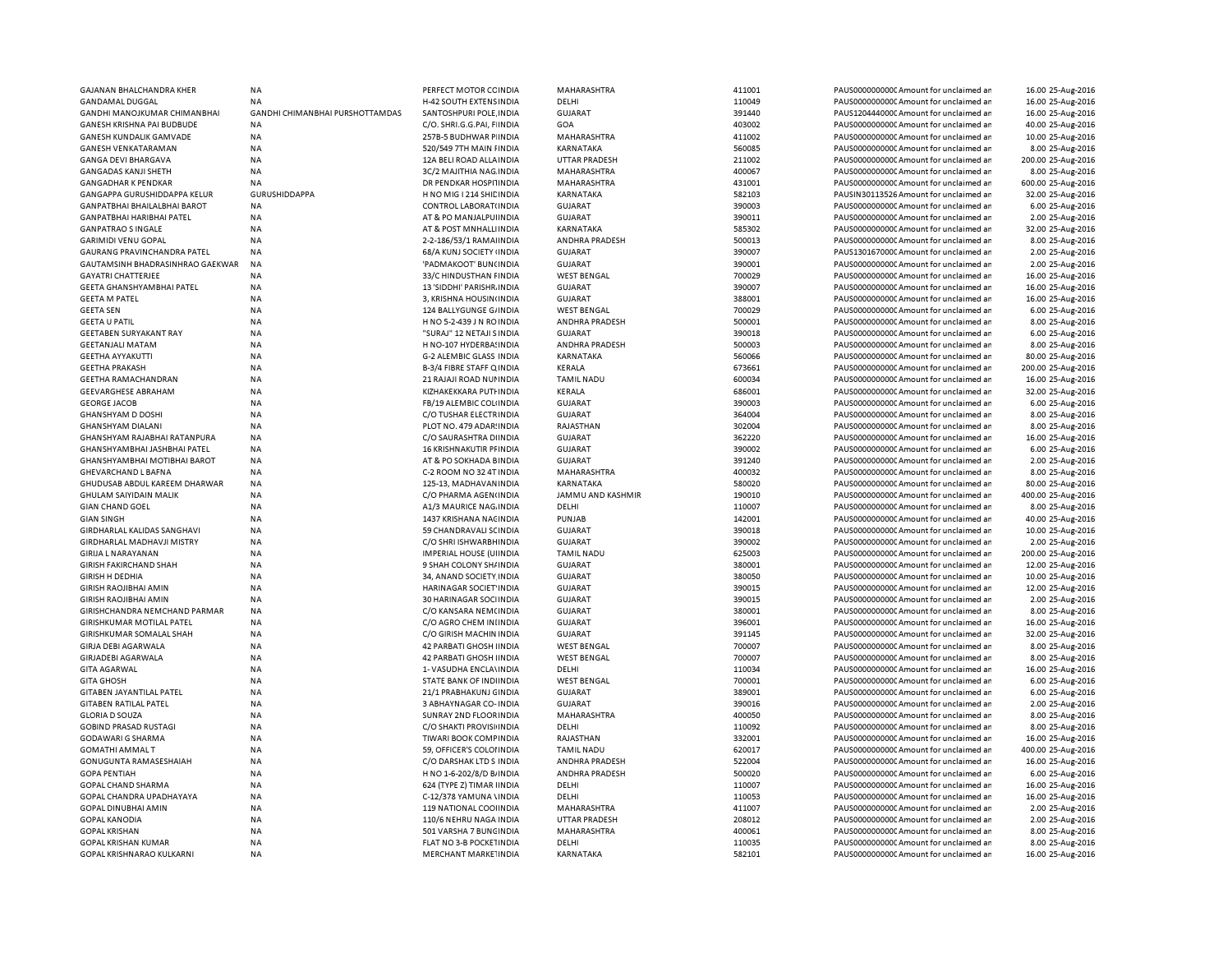| GAJANAN BHALCHANDRA KHER             | NA                              | PERFECT MOTOR CC INDIA         | MAHARASHTRA           | 411001 | PAUS0000000000 Amount for unclaimed ar  | 16.00 25-Aug-2016  |
|--------------------------------------|---------------------------------|--------------------------------|-----------------------|--------|-----------------------------------------|--------------------|
| <b>GANDAMAL DUGGAL</b>               | <b>NA</b>                       | H-42 SOUTH EXTENS INDIA        | DELHI                 | 110049 | PAUS0000000000 Amount for unclaimed an  | 16.00 25-Aug-2016  |
| GANDHI MANOJKUMAR CHIMANBHAI         | GANDHI CHIMANBHAI PURSHOTTAMDAS | SANTOSHPURI POLE INDIA         | <b>GUJARAT</b>        | 391440 | PAUS1204440000 Amount for unclaimed ar  | 16.00 25-Aug-2016  |
| GANESH KRISHNA PAI BUDBUDE           | <b>NA</b>                       | C/O. SHRI.G.G.PAI, F INDIA     | GOA                   | 403002 | PAUS0000000000CAmount for unclaimed ar  | 40.00 25-Aug-2016  |
| GANESH KUNDALIK GAMVADE              | <b>NA</b>                       | 257B-5 BUDHWAR P INDIA         | MAHARASHTRA           | 411002 | PAUS0000000000 Amount for unclaimed an  | 10.00 25-Aug-2016  |
| <b>GANESH VENKATARAMAN</b>           | <b>NA</b>                       | 520/549 7TH MAIN I INDIA       | KARNATAKA             | 560085 | PAUS0000000000 Amount for unclaimed ar  | 8.00 25-Aug-2016   |
| GANGA DEVI BHARGAVA                  | <b>NA</b>                       | 12A BELI ROAD ALLA INDIA       | <b>UTTAR PRADESH</b>  | 211002 | PAUS0000000000 Amount for unclaimed an  | 200.00 25-Aug-2016 |
| GANGADAS KANJI SHETH                 | <b>NA</b>                       | 3C/2 MAJITHIA NAG INDIA        | MAHARASHTRA           | 400067 | PAUS0000000000 Amount for unclaimed ar  | 8.00 25-Aug-2016   |
|                                      |                                 |                                |                       |        |                                         |                    |
| <b>GANGADHAR K PENDKAR</b>           | <b>NA</b>                       | DR PENDKAR HOSPITINDIA         | MAHARASHTRA           | 431001 | PAUS0000000000 Amount for unclaimed ar  | 600.00 25-Aug-2016 |
| GANGAPPA GURUSHIDDAPPA KELUR         | <b>GURUSHIDDAPPA</b>            | H NO MIG I 214 SHIL INDIA      | KARNATAKA             | 582103 | PAUSIN30113526 Amount for unclaimed ar  | 32.00 25-Aug-2016  |
| <b>GANPATBHAI BHAILALBHAI BAROT</b>  | ΝA                              | CONTROL LABORAT(INDIA          | GUJARAT               | 390003 | PAUS0000000000 Amount for unclaimed ar  | 6.00 25-Aug-2016   |
| <b>GANPATBHAI HARIBHAI PATEL</b>     | <b>NA</b>                       | AT & PO MANJALPUI INDIA        | <b>GUJARAT</b>        | 390011 | PAUS0000000000CAmount for unclaimed ar  | 2.00 25-Aug-2016   |
| <b>GANPATRAO S INGALE</b>            | <b>NA</b>                       | AT & POST MNHALLINDIA          | KARNATAKA             | 585302 | PAUS0000000000C Amount for unclaimed ar | 32.00 25-Aug-2016  |
| <b>GARIMIDI VENU GOPAL</b>           | <b>NA</b>                       | 2-2-186/53/1 RAMAHNDIA         | ANDHRA PRADESH        | 500013 | PAUS0000000000 Amount for unclaimed ar  | 8.00 25-Aug-2016   |
| GAURANG PRAVINCHANDRA PATEL          | NA                              | 68/A KUNJ SOCIETY (INDIA       | <b>GUJARAT</b>        | 390007 | PAUS1301670000 Amount for unclaimed ar  | 2.00 25-Aug-2016   |
| GAUTAMSINH BHADRASINHRAO GAEKWAR     | <b>NA</b>                       | 'PADMAKOOT' BUN(INDIA          | <b>GUJARAT</b>        | 390001 | PAUS0000000000 Amount for unclaimed ar  | 2.00 25-Aug-2016   |
| <b>GAYATRI CHATTERJEE</b>            | <b>NA</b>                       | 33/C HINDUSTHAN FINDIA         | <b>WEST BENGAL</b>    | 700029 | PAUS0000000000C Amount for unclaimed ar | 16.00 25-Aug-2016  |
| GEETA GHANSHYAMBHAI PATEL            | <b>NA</b>                       | 13 'SIDDHI' PARISHR INDIA      | <b>GUJARAT</b>        | 390007 | PAUS0000000000 Amount for unclaimed ar  | 16.00 25-Aug-2016  |
| <b>GEETA M PATEL</b>                 | <b>NA</b>                       |                                | <b>GUJARAT</b>        | 388001 | PAUS0000000000 Amount for unclaimed ar  | 16.00 25-Aug-2016  |
|                                      |                                 | 3, KRISHNA HOUSIN INDIA        |                       |        |                                         |                    |
| <b>GEETA SEN</b>                     | <b>NA</b>                       | 124 BALLYGUNGE G/INDIA         | <b>WEST BENGAL</b>    | 700029 | PAUS0000000000CAmount for unclaimed an  | 6.00 25-Aug-2016   |
| <b>GEETA U PATIL</b>                 | <b>NA</b>                       | H NO 5-2-439 J N ROINDIA       | <b>ANDHRA PRADESH</b> | 500001 | PAUS0000000000CAmount for unclaimed ar  | 8.00 25-Aug-2016   |
| <b>GEETABEN SURYAKANT RAY</b>        | <b>NA</b>                       | "SURAJ" 12 NETAJI SINDIA       | GUJARAT               | 390018 | PAUS0000000000 Amount for unclaimed an  | 6.00 25-Aug-2016   |
| <b>GEETANJALI MATAM</b>              | <b>NA</b>                       | H NO-107 HYDERBA! INDIA        | ANDHRA PRADESH        | 500003 | PAUS0000000000CAmount for unclaimed ar  | 8.00 25-Aug-2016   |
| <b>GEETHA AYYAKUTTI</b>              | <b>NA</b>                       | G-2 ALEMBIC GLASS INDIA        | KARNATAKA             | 560066 | PAUS0000000000 Amount for unclaimed an  | 80.00 25-Aug-2016  |
| <b>GEETHA PRAKASH</b>                | <b>NA</b>                       | B-3/4 FIBRE STAFF Q INDIA      | KERALA                | 673661 | PAUS0000000000 Amount for unclaimed ar  | 200.00 25-Aug-2016 |
| <b>GEETHA RAMACHANDRAN</b>           | <b>NA</b>                       | 21 RAJAJI ROAD NUI INDIA       | <b>TAMIL NADU</b>     | 600034 | PAUS0000000000 Amount for unclaimed ar  | 16.00 25-Aug-2016  |
| <b>GEEVARGHESE ABRAHAM</b>           | <b>NA</b>                       | KIZHAKEKKARA PUTI INDIA        | <b>KERALA</b>         | 686001 | PAUS0000000000CAmount for unclaimed an  | 32.00 25-Aug-2016  |
| <b>GEORGE JACOB</b>                  | <b>NA</b>                       | FB/19 ALEMBIC COLHNDIA         | <b>GUJARAT</b>        | 390003 | PAUS0000000000 Amount for unclaimed ar  | 6.00 25-Aug-2016   |
| <b>GHANSHYAM D DOSHI</b>             | <b>NA</b>                       | C/O TUSHAR ELECTRINDIA         | <b>GUJARAT</b>        | 364004 | PAUS0000000000 Amount for unclaimed ar  | 8.00 25-Aug-2016   |
| <b>GHANSHYAM DIALANI</b>             |                                 |                                | RAJASTHAN             | 302004 |                                         |                    |
|                                      | <b>NA</b>                       | PLOT NO. 479 ADAR: INDIA       |                       |        | PAUS0000000000C Amount for unclaimed ar | 8.00 25-Aug-2016   |
| GHANSHYAM RAJABHAI RATANPURA         | <b>NA</b>                       | C/O SAURASHTRA DIINDIA         | <b>GUJARAT</b>        | 362220 | PAUS0000000000 Amount for unclaimed ar  | 16.00 25-Aug-2016  |
| GHANSHYAMBHAI JASHBHAI PATEL         | <b>NA</b>                       | 16 KRISHNAKUTIR PFINDIA        | <b>GUJARAT</b>        | 390002 | PAUS0000000000CAmount for unclaimed ar  | 6.00 25-Aug-2016   |
| GHANSHYAMBHAI MOTIBHAI BAROT         | <b>NA</b>                       | AT & PO SOKHADA BINDIA         | <b>GUJARAT</b>        | 391240 | PAUS0000000000 Amount for unclaimed an  | 2.00 25-Aug-2016   |
| GHEVARCHAND L BAFNA                  | ΝA                              | C-2 ROOM NO 32 4T INDIA        | MAHARASHTRA           | 400032 | PAUS0000000000C Amount for unclaimed ar | 8.00 25-Aug-2016   |
| GHUDUSAB ABDUL KAREEM DHARWAR        | <b>NA</b>                       | 125-13, MADHAVANINDIA          | KARNATAKA             | 580020 | PAUS0000000000 Amount for unclaimed ar  | 80.00 25-Aug-2016  |
| GHULAM SAIYIDAIN MALIK               | <b>NA</b>                       | C/O PHARMA AGEN(INDIA          | JAMMU AND KASHMIR     | 190010 | PAUS0000000000 Amount for unclaimed ar  | 400.00 25-Aug-2016 |
| <b>GIAN CHAND GOEL</b>               | <b>NA</b>                       | A1/3 MAURICE NAG. INDIA        | DELHI                 | 110007 | PAUS0000000000 Amount for unclaimed an  | 8.00 25-Aug-2016   |
| <b>GIAN SINGH</b>                    | <b>NA</b>                       | 1437 KRISHANA NACINDIA         | PUNJAB                | 142001 | PAUS0000000000 Amount for unclaimed ar  | 40.00 25-Aug-2016  |
| GIRDHARLAL KALIDAS SANGHAVI          | <b>NA</b>                       | 59 CHANDRAVALI SCINDIA         | <b>GUJARAT</b>        | 390018 | PAUS0000000000 Amount for unclaimed an  | 10.00 25-Aug-2016  |
| <b>GIRDHARLAL MADHAVJI MISTRY</b>    | <b>NA</b>                       | C/O SHRI ISHWARBH INDIA        | <b>GUJARAT</b>        | 390002 | PAUS0000000000 Amount for unclaimed ar  | 2.00 25-Aug-2016   |
| <b>GIRIJA L NARAYANAN</b>            | <b>NA</b>                       | <b>IMPERIAL HOUSE (UIINDIA</b> | <b>TAMIL NADU</b>     | 625003 | PAUS0000000000 Amount for unclaimed an  | 200.00 25-Aug-2016 |
| <b>GIRISH FAKIRCHAND SHAH</b>        | <b>NA</b>                       | 9 SHAH COLONY SH/ INDIA        | <b>GUJARAT</b>        | 380001 | PAUS0000000000 Amount for unclaimed ar  |                    |
|                                      |                                 |                                |                       |        |                                         | 12.00 25-Aug-2016  |
| <b>GIRISH H DEDHIA</b>               | NA                              | 34, ANAND SOCIETY INDIA        | <b>GUJARAT</b>        | 380050 | PAUS0000000000C Amount for unclaimed ar | 10.00 25-Aug-2016  |
| <b>GIRISH RAOJIBHAI AMIN</b>         | <b>NA</b>                       | HARINAGAR SOCIET INDIA         | <b>GUJARAT</b>        | 390015 | PAUS0000000000 Amount for unclaimed ar  | 12.00 25-Aug-2016  |
| <b>GIRISH RAOJIBHAI AMIN</b>         | NA                              | 30 HARINAGAR SOCHNDIA          | <b>GUJARAT</b>        | 390015 | PAUS0000000000C Amount for unclaimed ar | 2.00 25-Aug-2016   |
| <b>GIRISHCHANDRA NEMCHAND PARMAR</b> | <b>NA</b>                       | C/O KANSARA NEM(INDIA          | <b>GUJARAT</b>        | 380001 | PAUS0000000000 Amount for unclaimed ar  | 8.00 25-Aug-2016   |
| GIRISHKUMAR MOTILAL PATEL            | NA                              | C/O AGRO CHEM INIINDIA         | <b>GUJARAT</b>        | 396001 | PAUS0000000000C Amount for unclaimed ar | 16.00 25-Aug-2016  |
| GIRISHKUMAR SOMALAL SHAH             | <b>NA</b>                       | C/O GIRISH MACHIN INDIA        | <b>GUJARAT</b>        | 391145 | PAUS0000000000 Amount for unclaimed ar  | 32.00 25-Aug-2016  |
| <b>GIRJA DEBI AGARWALA</b>           | <b>NA</b>                       | 42 PARBATI GHOSH IINDIA        | <b>WEST BENGAL</b>    | 700007 | PAUS0000000000 Amount for unclaimed ar  | 8.00 25-Aug-2016   |
| <b>GIRJADEBI AGARWALA</b>            | <b>NA</b>                       | 42 PARBATI GHOSH IINDIA        | <b>WEST BENGAL</b>    | 700007 | PAUS0000000000 Amount for unclaimed an  | 8.00 25-Aug-2016   |
| <b>GITA AGARWAL</b>                  | <b>NA</b>                       | 1- VASUDHA ENCLA\INDIA         | DELHI                 | 110034 | PAUS0000000000 Amount for unclaimed ar  | 16.00 25-Aug-2016  |
| <b>GITA GHOSH</b>                    | <b>NA</b>                       | STATE BANK OF INDIINDIA        | <b>WEST BENGAL</b>    | 700001 | PAUS0000000000 Amount for unclaimed an  | 6.00 25-Aug-2016   |
|                                      |                                 |                                |                       |        |                                         |                    |
| GITABEN JAYANTILAL PATEL             | <b>NA</b>                       | 21/1 PRABHAKUNJ GINDIA         | <b>GUJARAT</b>        | 389001 | PAUS0000000000CAmount for unclaimed ar  | 6.00 25-Aug-2016   |
| <b>GITABEN RATILAL PATEL</b>         | <b>NA</b>                       | 3 ABHAYNAGAR CO-INDIA          | <b>GUJARAT</b>        | 390016 | PAUS0000000000CAmount for unclaimed an  | 2.00 25-Aug-2016   |
| <b>GLORIA D SOUZA</b>                | <b>NA</b>                       | SUNRAY 2ND FLOOR INDIA         | <b>MAHARASHTRA</b>    | 400050 | PAUS0000000000 Amount for unclaimed ar  | 8.00 25-Aug-2016   |
| <b>GOBIND PRASAD RUSTAGI</b>         | <b>NA</b>                       | C/O SHAKTI PROVISI INDIA       | DELHI                 | 110092 | PAUS0000000000 Amount for unclaimed ar  | 8.00 25-Aug-2016   |
| <b>GODAWARI G SHARMA</b>             | <b>NA</b>                       | TIWARI BOOK COMFINDIA          | RAJASTHAN             | 332001 | PAUS0000000000CAmount for unclaimed an  | 16.00 25-Aug-2016  |
| <b>GOMATHI AMMAL T</b>               | <b>NA</b>                       | 59, OFFICER'S COLOHNDIA        | <b>TAMIL NADU</b>     | 620017 | PAUS0000000000 Amount for unclaimed ar  | 400.00 25-Aug-2016 |
| GONUGUNTA RAMASESHAIAH               | <b>NA</b>                       | C/O DARSHAK LTD S INDIA        | <b>ANDHRA PRADESH</b> | 522004 | PAUS0000000000 Amount for unclaimed ar  | 16.00 25-Aug-2016  |
| <b>GOPA PENTIAH</b>                  | <b>NA</b>                       | H NO 1-6-202/8/D B/ INDIA      | ANDHRA PRADESH        | 500020 | PAUS0000000000 Amount for unclaimed ar  | 6.00 25-Aug-2016   |
| GOPAL CHAND SHARMA                   | <b>NA</b>                       | 624 (TYPE Z) TIMAR IINDIA      | DELHI                 | 110007 | PAUS0000000000 Amount for unclaimed ar  | 16.00 25-Aug-2016  |
| GOPAL CHANDRA UPADHAYAYA             | <b>NA</b>                       | C-12/378 YAMUNA \INDIA         | DELHI                 | 110053 | PAUS0000000000 Amount for unclaimed ar  | 16.00 25-Aug-2016  |
| <b>GOPAL DINUBHAI AMIN</b>           | <b>NA</b>                       | 119 NATIONAL COOHNDIA          | MAHARASHTRA           | 411007 | PAUS0000000000 Amount for unclaimed ar  | 2.00 25-Aug-2016   |
|                                      |                                 |                                |                       |        |                                         |                    |
| GOPAL KANODIA                        | NA                              | 110/6 NEHRU NAGA INDIA         | <b>UTTAR PRADESH</b>  | 208012 | PAUS0000000000C Amount for unclaimed ar | 2.00 25-Aug-2016   |
| <b>GOPAL KRISHAN</b>                 | <b>NA</b>                       | 501 VARSHA 7 BUNCINDIA         | MAHARASHTRA           | 400061 | PAUS0000000000 Amount for unclaimed an  | 8.00 25-Aug-2016   |
| GOPAL KRISHAN KUMAR                  | <b>NA</b>                       | FLAT NO 3-B POCKETINDIA        | DELHI                 | 110035 | PAUS0000000000 Amount for unclaimed ar  | 8.00 25-Aug-2016   |
| GOPAL KRISHNARAO KULKARNI            | <b>NA</b>                       | MERCHANT MARKE INDIA           | KARNATAKA             | 582101 | PAUS0000000000 Amount for unclaimed an  | 16.00 25-Aug-2016  |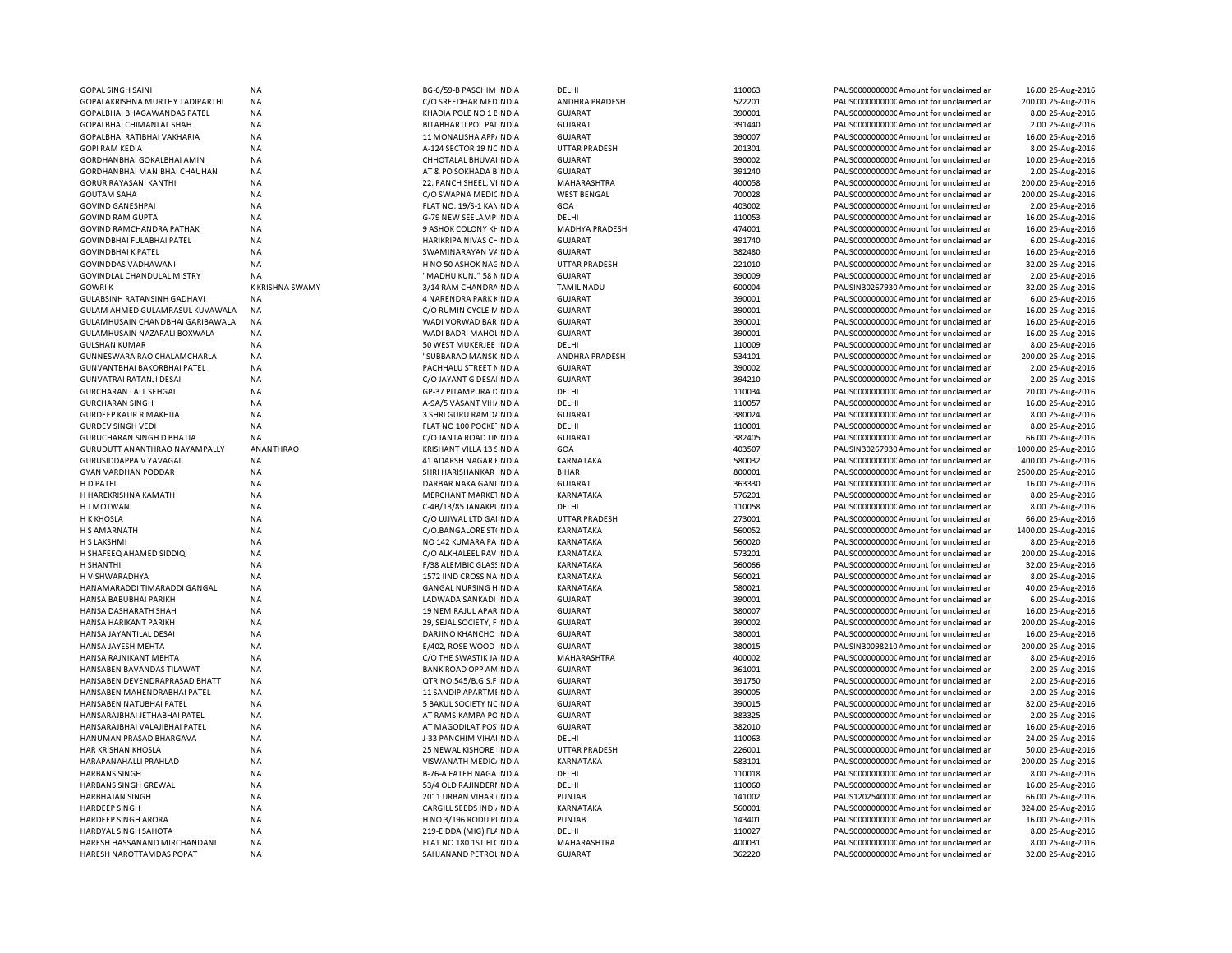| <b>GOPAL SINGH SAINI</b>                                 | <b>NA</b>              | BG-6/59-B PASCHIM INDIA                           | DELHI                         | 110063           | PAUS0000000000CAmount for unclaimed ar                                            | 16.00 25-Aug-2016                     |
|----------------------------------------------------------|------------------------|---------------------------------------------------|-------------------------------|------------------|-----------------------------------------------------------------------------------|---------------------------------------|
| GOPALAKRISHNA MURTHY TADIPARTHI                          | <b>NA</b>              | C/O SREEDHAR MEDINDIA                             | ANDHRA PRADESH                | 522201           | PAUS0000000000 Amount for unclaimed ar                                            | 200.00 25-Aug-2016                    |
| GOPALBHAI BHAGAWANDAS PATEL                              | <b>NA</b>              | KHADIA POLE NO 1 EINDIA                           | <b>GUJARAT</b>                | 390001           | PAUS0000000000 Amount for unclaimed ar                                            | 8.00 25-Aug-2016                      |
| <b>GOPALBHAI CHIMANLAL SHAH</b>                          | NA                     | <b>BITABHARTI POL PALINDIA</b>                    | <b>GUJARAT</b>                | 391440           | PAUS0000000000 Amount for unclaimed ar                                            | 2.00 25-Aug-2016                      |
| GOPALBHAI RATIBHAI VAKHARIA                              | ΝA                     | 11 MONALISHA APP INDIA                            | GUJARAT                       | 390007           | PAUS0000000000C Amount for unclaimed ar                                           | 16.00 25-Aug-2016                     |
| <b>GOPI RAM KEDIA</b>                                    | <b>NA</b>              | A-124 SECTOR 19 NC INDIA                          | <b>UTTAR PRADESH</b>          | 201301           | PAUS0000000000 Amount for unclaimed ar                                            | 8.00 25-Aug-2016                      |
| GORDHANBHAI GOKALBHAI AMIN                               | ΝA                     | CHHOTALAL BHUVAI INDIA                            | GUJARAT                       | 390002           | PAUS0000000000CAmount for unclaimed ar                                            | 10.00 25-Aug-2016                     |
| GORDHANBHAI MANIBHAI CHAUHAN                             | <b>NA</b>              | AT & PO SOKHADA BINDIA                            | <b>GUJARAT</b>                | 391240           | PAUS0000000000 Amount for unclaimed ar                                            | 2.00 25-Aug-2016                      |
|                                                          |                        |                                                   |                               | 400058           |                                                                                   | 200.00 25-Aug-2016                    |
| <b>GORUR RAYASANI KANTHI</b>                             | NA                     | 22, PANCH SHEEL, VIINDIA                          | MAHARASHTRA                   | 700028           | PAUS0000000000C Amount for unclaimed ar                                           |                                       |
| <b>GOUTAM SAHA</b>                                       | <b>NA</b>              | C/O SWAPNA MEDICINDIA                             | <b>WEST BENGAL</b>            |                  | PAUS0000000000 Amount for unclaimed ar                                            | 200.00 25-Aug-2016                    |
| <b>GOVIND GANESHPAI</b>                                  | <b>NA</b>              | FLAT NO. 19/S-1 KAMINDIA                          | GOA                           | 403002           | PAUS0000000000 Amount for unclaimed ar                                            | 2.00 25-Aug-2016                      |
| <b>GOVIND RAM GUPTA</b>                                  | <b>NA</b>              | G-79 NEW SEELAMP INDIA                            | DELHI                         | 110053           | PAUS0000000000CAmount for unclaimed ar                                            | 16.00 25-Aug-2016                     |
| GOVIND RAMCHANDRA PATHAK                                 | NA                     | 9 ASHOK COLONY KI INDIA                           | <b>MADHYA PRADESH</b>         | 474001           | PAUS0000000000 Amount for unclaimed ar                                            | 16.00 25-Aug-2016                     |
| GOVINDBHAI FULABHAI PATEL                                | <b>NA</b>              | HARIKRIPA NIVAS CHINDIA                           | <b>GUJARAT</b>                | 391740           | PAUS0000000000 Amount for unclaimed ar                                            | 6.00 25-Aug-2016                      |
| <b>GOVINDBHAI K PATEL</b>                                | <b>NA</b>              | SWAMINARAYAN V/INDIA                              | <b>GUJARAT</b>                | 382480           | PAUS00000000000Amount for unclaimed ar                                            | 16.00 25-Aug-2016                     |
| <b>GOVINDDAS VADHAWANI</b>                               | <b>NA</b>              | H NO 50 ASHOK NACINDIA                            | <b>UTTAR PRADESH</b>          | 221010           | PAUS0000000000 Amount for unclaimed ar                                            | 32.00 25-Aug-2016                     |
| <b>GOVINDLAL CHANDULAL MISTRY</b>                        | <b>NA</b>              | "MADHU KUNJ" 58 NINDIA                            | <b>GUJARAT</b>                | 390009           | PAUS0000000000 Amount for unclaimed ar                                            | 2.00 25-Aug-2016                      |
| <b>GOWRIK</b>                                            | <b>K KRISHNA SWAMY</b> | 3/14 RAM CHANDRA INDIA                            | <b>TAMIL NADU</b>             | 600004           | PAUSIN30267930 Amount for unclaimed ar                                            | 32.00 25-Aug-2016                     |
| GULABSINH RATANSINH GADHAVI                              | <b>NA</b>              | 4 NARENDRA PARK HINDIA                            | <b>GUJARAT</b>                | 390001           | PAUS0000000000 Amount for unclaimed ar                                            | 6.00 25-Aug-2016                      |
| GULAM AHMED GULAMRASUL KUVAWALA                          | <b>NA</b>              | C/O RUMIN CYCLE NINDIA                            | <b>GUJARAT</b>                | 390001           | PAUS0000000000 Amount for unclaimed ar                                            | 16.00 25-Aug-2016                     |
| GULAMHUSAIN CHANDBHAI GARIBAWALA                         | <b>NA</b>              | WADI VORWAD BAR INDIA                             | <b>GUJARAT</b>                | 390001           | PAUS0000000000 Amount for unclaimed ar                                            | 16.00 25-Aug-2016                     |
| GULAMHUSAIN NAZARALI BOXWALA                             | <b>NA</b>              | WADI BADRI MAHOLINDIA                             | <b>GUJARAT</b>                | 390001           | PAUS0000000000 Amount for unclaimed ar                                            | 16.00 25-Aug-2016                     |
| <b>GULSHAN KUMAR</b>                                     | NA                     | 50 WEST MUKERJEE INDIA                            | DELHI                         | 110009           | PAUS0000000000 Amount for unclaimed ar                                            | 8.00 25-Aug-2016                      |
|                                                          |                        |                                                   | ANDHRA PRADESH                |                  |                                                                                   |                                       |
| GUNNESWARA RAO CHALAMCHARLA                              | ΝA                     | "SUBBARAO MANSI(INDIA                             |                               | 534101           | PAUS0000000000CAmount for unclaimed ar                                            | 200.00 25-Aug-2016                    |
| GUNVANTBHAI BAKORBHAI PATEL                              | NA                     | PACHHALU STREET NINDIA                            | <b>GUJARAT</b>                | 390002           | PAUS0000000000 Amount for unclaimed ar                                            | 2.00 25-Aug-2016                      |
| <b>GUNVATRAI RATANJI DESAI</b>                           | NA                     | C/O JAYANT G DESA INDIA                           | <b>GUJARAT</b>                | 394210           | PAUS0000000000C Amount for unclaimed ar                                           | 2.00 25-Aug-2016                      |
| <b>GURCHARAN LALL SEHGAL</b>                             | <b>NA</b>              | <b>GP-37 PITAMPURA CINDIA</b>                     | DELHI                         | 110034           | PAUS0000000000 Amount for unclaimed ar                                            | 20.00 25-Aug-2016                     |
| <b>GURCHARAN SINGH</b>                                   | <b>NA</b>              | A-9A/5 VASANT VIH/ INDIA                          | DELHI                         | 110057           | PAUS0000000000 Amount for unclaimed ar                                            | 16.00 25-Aug-2016                     |
| <b>GURDEEP KAUR R MAKHIJA</b>                            | <b>NA</b>              | 3 SHRI GURU RAMD/INDIA                            | <b>GUJARAT</b>                | 380024           | PAUS0000000000 Amount for unclaimed ar                                            | 8.00 25-Aug-2016                      |
| <b>GURDEV SINGH VEDI</b>                                 | <b>NA</b>              | FLAT NO 100 POCKE INDIA                           | DELHI                         | 110001           | PAUS0000000000CAmount for unclaimed ar                                            | 8.00 25-Aug-2016                      |
| <b>GURUCHARAN SINGH D BHATIA</b>                         | NA                     | C/O JANTA ROAD LII INDIA                          | GUJARAT                       | 382405           | PAUS0000000000CAmount for unclaimed ar                                            | 66.00 25-Aug-2016                     |
| <b>GURUDUTT ANANTHRAO NAYAMPALLY</b>                     | ANANTHRAO              | KRISHANT VILLA 13 SINDIA                          | GOA                           | 403507           | PAUSIN30267930 Amount for unclaimed ar                                            | 1000.00 25-Aug-2016                   |
| GURUSIDDAPPA V YAVAGAL                                   | <b>NA</b>              | 41 ADARSH NAGAR I INDIA                           | KARNATAKA                     | 580032           | PAUS0000000000CAmount for unclaimed ar                                            | 400.00 25-Aug-2016                    |
| <b>GYAN VARDHAN PODDAR</b>                               | NA                     | SHRI HARISHANKAR INDIA                            | <b>BIHAR</b>                  | 800001           | PAUS0000000000CAmount for unclaimed ar                                            | 2500.00 25-Aug-2016                   |
| H D PATEL                                                | <b>NA</b>              | DARBAR NAKA GANLINDIA                             | <b>GUJARAT</b>                | 363330           | PAUS0000000000 Amount for unclaimed ar                                            | 16.00 25-Aug-2016                     |
| H HAREKRISHNA KAMATH                                     | <b>NA</b>              | MERCHANT MARKE INDIA                              | KARNATAKA                     | 576201           | PAUS0000000000 Amount for unclaimed ar                                            | 8.00 25-Aug-2016                      |
| H J MOTWANI                                              | NA                     | C-4B/13/85 JANAKPUNDIA                            | DELHI                         | 110058           | PAUS0000000000 Amount for unclaimed ar                                            | 8.00 25-Aug-2016                      |
| <b>H K KHOSLA</b>                                        | <b>NA</b>              | C/O UJJWAL LTD GAHNDIA                            | <b>UTTAR PRADESH</b>          | 273001           | PAUS0000000000 Amount for unclaimed ar                                            | 66.00 25-Aug-2016                     |
|                                                          |                        |                                                   |                               |                  |                                                                                   | 1400.00 25-Aug-2016                   |
| H S AMARNATH                                             | <b>NA</b>              | C/O.BANGALORE STUNDIA                             | KARNATAKA                     | 560052           | PAUS0000000000 Amount for unclaimed ar                                            |                                       |
| H S LAKSHMI                                              | <b>NA</b>              | NO 142 KUMARA PA INDIA                            | KARNATAKA                     | 560020           | PAUS0000000000 Amount for unclaimed ar                                            | 8.00 25-Aug-2016                      |
| H SHAFEEQ AHAMED SIDDIQI                                 | <b>NA</b>              | C/O ALKHALEEL RAV INDIA                           | KARNATAKA                     | 573201           | PAUS0000000000 Amount for unclaimed ar                                            | 200.00 25-Aug-2016                    |
| H SHANTHI                                                | NA                     | F/38 ALEMBIC GLASSINDIA                           | KARNATAKA                     | 560066           | PAUS0000000000 Amount for unclaimed ar                                            | 32.00 25-Aug-2016                     |
| H VISHWARADHYA                                           | <b>NA</b>              | 1572 IIND CROSS NAINDIA                           | KARNATAKA                     | 560021           | PAUS0000000000C Amount for unclaimed ar                                           | 8.00 25-Aug-2016                      |
| HANAMARADDI TIMARADDI GANGAL                             | <b>NA</b>              | <b>GANGAL NURSING HINDIA</b>                      | KARNATAKA                     | 580021           | PAUS0000000000 Amount for unclaimed ar                                            | 40.00 25-Aug-2016                     |
| HANSA BABUBHAI PARIKH                                    | <b>NA</b>              | LADWADA SANKADI INDIA                             | <b>GUJARAT</b>                | 390001           | PAUS0000000000CAmount for unclaimed ar                                            | 6.00 25-Aug-2016                      |
| HANSA DASHARATH SHAH                                     | <b>NA</b>              | 19 NEM RAJUL APARINDIA                            | <b>GUJARAT</b>                | 380007           | PAUS0000000000 Amount for unclaimed ar                                            | 16.00 25-Aug-2016                     |
| HANSA HARIKANT PARIKH                                    | <b>NA</b>              | 29, SEJAL SOCIETY, FINDIA                         | <b>GUJARAT</b>                | 390002           | PAUS0000000000 Amount for unclaimed ar                                            | 200.00 25-Aug-2016                    |
| HANSA JAYANTILAL DESAI                                   | <b>NA</b>              | DARJINO KHANCHO INDIA                             | GUJARAT                       | 380001           | PAUS0000000000CAmount for unclaimed ar                                            | 16.00 25-Aug-2016                     |
| HANSA JAYESH MEHTA                                       | <b>NA</b>              | E/402, ROSE WOOD INDIA                            | GUJARAT                       | 380015           | PAUSIN30098210 Amount for unclaimed ar                                            | 200.00 25-Aug-2016                    |
| HANSA RAJNIKANT MEHTA                                    | <b>NA</b>              | C/O THE SWASTIK JA INDIA                          | MAHARASHTRA                   | 400002           | PAUS0000000000CAmount for unclaimed ar                                            | 8.00 25-Aug-2016                      |
| HANSABEN BAVANDAS TILAWAT                                | NA                     | BANK ROAD OPP AM INDIA                            | <b>GUJARAT</b>                | 361001           | PAUS0000000000 Amount for unclaimed ar                                            | 2.00 25-Aug-2016                      |
| HANSABEN DEVENDRAPRASAD BHATT                            | <b>NA</b>              | QTR.NO.545/B,G.S.F INDIA                          | GUJARAT                       | 391750           | PAUS0000000000CAmount for unclaimed ar                                            | 2.00 25-Aug-2016                      |
| HANSABEN MAHENDRABHAI PATEL                              | <b>NA</b>              | <b>11 SANDIP APARTMIINDIA</b>                     | <b>GUJARAT</b>                | 390005           | PAUS0000000000CAmount for unclaimed ar                                            |                                       |
|                                                          |                        |                                                   |                               |                  |                                                                                   | 2.00 25-Aug-2016                      |
| HANSABEN NATUBHAI PATEL                                  | <b>NA</b>              | 5 BAKUL SOCIETY NC INDIA                          | GUJARAT                       | 390015           | PAUS0000000000CAmount for unclaimed ar                                            | 82.00 25-Aug-2016                     |
| HANSARAJBHAI JETHABHAI PATEL                             | <b>NA</b>              | AT RAMSIKAMPA PC INDIA                            | <b>GUJARAT</b>                | 383325           | PAUS0000000000 Amount for unclaimed ar                                            | 2.00 25-Aug-2016                      |
| HANSARAJBHAI VALAJIBHAI PATEL                            | <b>NA</b>              | AT MAGODILAT POS INDIA                            | <b>GUJARAT</b>                | 382010           | PAUS0000000000 Amount for unclaimed ar                                            | 16.00 25-Aug-2016                     |
| HANUMAN PRASAD BHARGAVA                                  | <b>NA</b>              | J-33 PANCHIM VIHALINDIA                           | DELHI                         | 110063           | PAUS0000000000 Amount for unclaimed ar                                            | 24.00 25-Aug-2016                     |
| HAR KRISHAN KHOSLA                                       | NA                     | 25 NEWAL KISHORE INDIA                            | <b>UTTAR PRADESH</b>          | 226001           | PAUS0000000000 Amount for unclaimed ar                                            | 50.00 25-Aug-2016                     |
| HARAPANAHALLI PRAHLAD                                    | <b>NA</b>              | <b>VISWANATH MEDIC/INDIA</b>                      | <b>KARNATAKA</b>              | 583101           | PAUS0000000000 Amount for unclaimed ar                                            | 200.00 25-Aug-2016                    |
| <b>HARBANS SINGH</b>                                     | NA                     | <b>B-76-A FATEH NAGA INDIA</b>                    | DELHI                         | 110018           | PAUS0000000000 Amount for unclaimed ar                                            | 8.00 25-Aug-2016                      |
| HARBANS SINGH GREWAL                                     | NA                     | 53/4 OLD RAJINDERIINDIA                           | DELHI                         | 110060           | PAUS0000000000 Amount for unclaimed ar                                            | 16.00 25-Aug-2016                     |
| HARBHAJAN SINGH                                          | <b>NA</b>              | 2011 URBAN VIHAR INDIA                            | <b>PUNJAB</b>                 | 141002           | PAUS1202540000 Amount for unclaimed ar                                            | 66.00 25-Aug-2016                     |
| HARDEEP SINGH                                            | NA                     | CARGILL SEEDS INDIJINDIA                          | KARNATAKA                     | 560001           | PAUS0000000000CAmount for unclaimed ar                                            | 324.00 25-Aug-2016                    |
| HARDEEP SINGH ARORA                                      | NA                     | H NO 3/196 RODU PINDIA                            | <b>PUNJAB</b>                 | 143401           | PAUS0000000000 Amount for unclaimed ar                                            | 16.00 25-Aug-2016                     |
| HARDYAL SINGH SAHOTA                                     | <b>NA</b>              | 219-E DDA (MIG) FL/ INDIA                         | DELHI                         | 110027           | PAUS0000000000 Amount for unclaimed ar                                            | 8.00 25-Aug-2016                      |
|                                                          |                        |                                                   |                               |                  |                                                                                   |                                       |
|                                                          |                        |                                                   |                               |                  |                                                                                   |                                       |
| HARESH HASSANAND MIRCHANDANI<br>HARESH NAROTTAMDAS POPAT | <b>NA</b><br><b>NA</b> | FLAT NO 180 1ST FL(INDIA<br>SAHJANAND PETROLINDIA | MAHARASHTRA<br><b>GUJARAT</b> | 400031<br>362220 | PAUS0000000000CAmount for unclaimed ar<br>PAUS0000000000C Amount for unclaimed ar | 8.00 25-Aug-2016<br>32.00 25-Aug-2016 |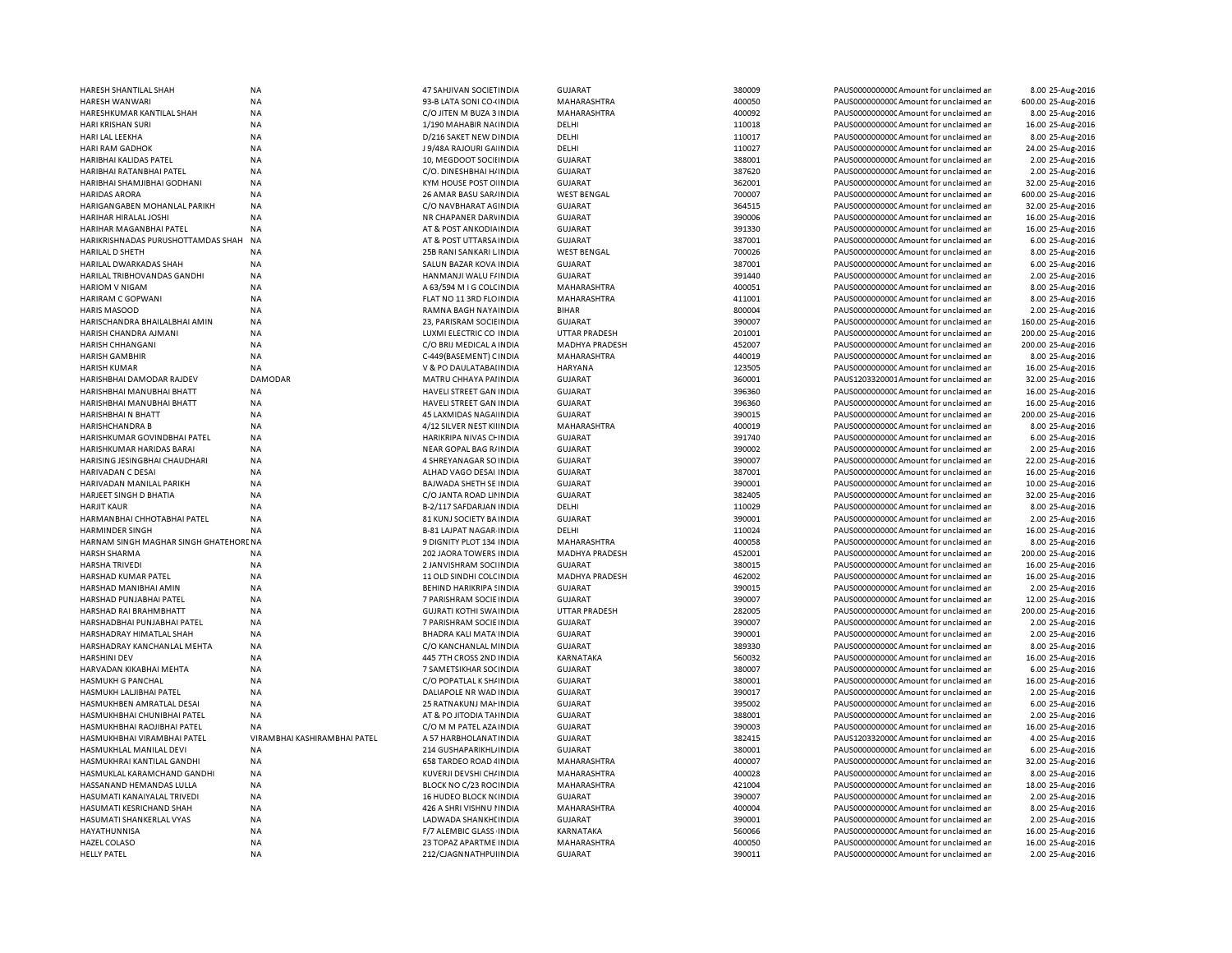| HARESH SHANTILAL SHAH                     | <b>NA</b>                    | 47 SAHJIVAN SOCIETINDIA                          | <b>GUJARAT</b>                | 380009           | PAUS0000000000 Amount for unclaimed an                                           | 8.00 25-Aug-2016                      |
|-------------------------------------------|------------------------------|--------------------------------------------------|-------------------------------|------------------|----------------------------------------------------------------------------------|---------------------------------------|
| HARESH WANWARI                            | NA                           | 93-B LATA SONI CO-(INDIA                         | MAHARASHTRA                   | 400050           | PAUS0000000000CAmount for unclaimed ar                                           | 600.00 25-Aug-2016                    |
| HARESHKUMAR KANTILAL SHAH                 | <b>NA</b>                    | C/O JITEN M BUZA 3 INDIA                         | MAHARASHTRA                   | 400092           | PAUS0000000000 Amount for unclaimed ar                                           | 8.00 25-Aug-2016                      |
| <b>HARI KRISHAN SURI</b>                  | <b>NA</b>                    | 1/190 MAHABIR NA(INDIA                           | DELHI                         | 110018           | PAUS0000000000 Amount for unclaimed ar                                           | 16.00 25-Aug-2016                     |
| HARI LAL LEEKHA                           | <b>NA</b>                    | D/216 SAKET NEW DINDIA                           | DELHI                         | 110017           | PAUS0000000000 Amount for unclaimed ar                                           | 8.00 25-Aug-2016                      |
| <b>HARI RAM GADHOK</b>                    | NA                           | J 9/48A RAJOURI GA INDIA                         | DELHI                         | 110027           | PAUS0000000000 Amount for unclaimed ar                                           | 24.00 25-Aug-2016                     |
| <b>HARIBHAI KALIDAS PATEL</b>             | <b>NA</b>                    | 10, MEGDOOT SOCII INDIA                          | <b>GUJARAT</b>                | 388001           | PAUS00000000000Amount for unclaimed ar                                           | 2.00 25-Aug-2016                      |
| HARIBHAI RATANBHAI PATEL                  | NA                           | C/O. DINESHBHAI H/ INDIA                         | <b>GUJARAT</b>                | 387620           | PAUS0000000000 Amount for unclaimed ar                                           | 2.00 25-Aug-2016                      |
| HARIBHAI SHAMJIBHAI GODHANI               | <b>NA</b>                    | KYM HOUSE POST O INDIA                           | <b>GUJARAT</b>                | 362001           | PAUS0000000000 Amount for unclaimed ar                                           | 32.00 25-Aug-2016                     |
| <b>HARIDAS ARORA</b>                      | NA                           | 26 AMAR BASU SAR/ INDIA                          | <b>WEST BENGAL</b>            | 700007           | PAUS0000000000 Amount for unclaimed ar                                           | 600.00 25-Aug-2016                    |
| HARIGANGABEN MOHANLAL PARIKH              | NA                           | C/O NAVBHARAT AGINDIA                            | <b>GUJARAT</b>                | 364515           | PAUS0000000000 Amount for unclaimed ar                                           | 32.00 25-Aug-2016                     |
| <b>HARIHAR HIRALAL JOSHI</b>              | NA                           | NR CHAPANER DARVINDIA                            | <b>GUJARAT</b>                | 390006           | PAUS0000000000 Amount for unclaimed ar                                           | 16.00 25-Aug-2016                     |
| HARIHAR MAGANBHAI PATEL                   | <b>NA</b>                    | AT & POST ANKODIA INDIA                          | <b>GUJARAT</b>                | 391330           | PAUS0000000000 Amount for unclaimed ar                                           | 16.00 25-Aug-2016                     |
| HARIKRISHNADAS PURUSHOTTAMDAS SHAH        | <b>NA</b>                    | AT & POST UTTARSA INDIA                          | <b>GUJARAT</b>                | 387001           | PAUS0000000000 Amount for unclaimed ar                                           | 6.00 25-Aug-2016                      |
| HARILAL D SHETH                           | NA                           | 25B RANI SANKARI LINDIA                          | <b>WEST BENGAL</b>            | 700026           | PAUS0000000000 Amount for unclaimed ar                                           | 8.00 25-Aug-2016                      |
| HARILAL DWARKADAS SHAH                    | <b>NA</b>                    | SALUN BAZAR KOVA INDIA                           | GUJARAT                       | 387001           | PAUS0000000000 Amount for unclaimed ar                                           | 6.00 25-Aug-2016                      |
| HARILAL TRIBHOVANDAS GANDHI               | <b>NA</b>                    | HANMANJI WALU F/INDIA                            | <b>GUJARAT</b>                | 391440           | PAUS0000000000 Amount for unclaimed ar                                           | 2.00 25-Aug-2016                      |
| <b>HARIOM V NIGAM</b>                     | <b>NA</b>                    | A 63/594 M I G COLCINDIA                         | MAHARASHTRA                   | 400051           | PAUS0000000000 Amount for unclaimed ar                                           | 8.00 25-Aug-2016                      |
| HARIRAM C GOPWANI                         | NA                           | FLAT NO 11 3RD FLOINDIA                          | MAHARASHTRA                   | 411001           | PAUS0000000000 Amount for unclaimed ar                                           | 8.00 25-Aug-2016                      |
| <b>HARIS MASOOD</b>                       | <b>NA</b>                    | RAMNA BAGH NAYA INDIA                            | <b>BIHAR</b>                  | 800004           | PAUS0000000000 Amount for unclaimed ar                                           | 2.00 25-Aug-2016                      |
|                                           |                              |                                                  |                               |                  |                                                                                  |                                       |
| HARISCHANDRA BHAILALBHAI AMIN             | NA                           | 23, PARISRAM SOCIEINDIA                          | <b>GUJARAT</b>                | 390007           | PAUS0000000000 Amount for unclaimed ar                                           | 160.00 25-Aug-2016                    |
| HARISH CHANDRA AJMANI                     | <b>NA</b>                    | LUXMI ELECTRIC CO INDIA                          | <b>UTTAR PRADESH</b>          | 201001           | PAUS0000000000 Amount for unclaimed ar                                           | 200.00 25-Aug-2016                    |
| HARISH CHHANGANI                          | NA                           | C/O BRIJ MEDICAL A INDIA                         | MADHYA PRADESH                | 452007           | PAUS0000000000 Amount for unclaimed ar                                           | 200.00 25-Aug-2016                    |
| <b>HARISH GAMBHIR</b>                     | <b>NA</b>                    | C-449(BASEMENT) CINDIA                           | MAHARASHTRA                   | 440019           | PAUS0000000000 Amount for unclaimed ar                                           | 8.00 25-Aug-2016                      |
| <b>HARISH KUMAR</b>                       | NA                           | V & PO DAULATABAI INDIA                          | <b>HARYANA</b>                | 123505           | PAUS00000000000Amount for unclaimed ar                                           | 16.00 25-Aug-2016                     |
| HARISHBHAI DAMODAR RAJDEV                 | <b>DAMODAR</b>               | MATRU CHHAYA PAI INDIA                           | <b>GUJARAT</b>                | 360001           | PAUS1203320001Amount for unclaimed ar                                            | 32.00 25-Aug-2016                     |
| HARISHBHAI MANUBHAI BHATT                 | <b>NA</b>                    | HAVELI STREET GAN INDIA                          | <b>GUJARAT</b>                | 396360           | PAUS0000000000 Amount for unclaimed ar                                           | 16.00 25-Aug-2016                     |
| HARISHBHAI MANUBHAI BHATT                 | <b>NA</b>                    | HAVELI STREET GAN INDIA                          | <b>GUJARAT</b>                | 396360           | PAUS0000000000 Amount for unclaimed ar                                           | 16.00 25-Aug-2016                     |
| HARISHBHAI N BHATT                        | <b>NA</b>                    | 45 LAXMIDAS NAGA INDIA                           | <b>GUJARAT</b>                | 390015           | PAUS0000000000 Amount for unclaimed ar                                           | 200.00 25-Aug-2016                    |
| <b>HARISHCHANDRA B</b>                    | <b>NA</b>                    | 4/12 SILVER NEST KIIINDIA                        | MAHARASHTRA                   | 400019           | PAUS0000000000 Amount for unclaimed ar                                           | 8.00 25-Aug-2016                      |
| HARISHKUMAR GOVINDBHAI PATEL              | <b>NA</b>                    | HARIKRIPA NIVAS CHINDIA                          | <b>GUJARAT</b>                | 391740           | PAUS00000000000Amount for unclaimed an                                           | 6.00 25-Aug-2016                      |
| HARISHKUMAR HARIDAS BARAI                 | <b>NA</b>                    | NEAR GOPAL BAG R/INDIA                           | <b>GUJARAT</b>                | 390002           | PAUS0000000000 Amount for unclaimed ar                                           | 2.00 25-Aug-2016                      |
| HARISING JESINGBHAI CHAUDHARI             | <b>NA</b>                    | 4 SHREYANAGAR SO INDIA                           | <b>GUJARAT</b>                | 390007           | PAUS0000000000 Amount for unclaimed ar                                           | 22.00 25-Aug-2016                     |
| HARIVADAN C DESAI                         | <b>NA</b>                    | ALHAD VAGO DESAI INDIA                           | <b>GUJARAT</b>                | 387001           | PAUS0000000000 Amount for unclaimed ar                                           | 16.00 25-Aug-2016                     |
| HARIVADAN MANILAL PARIKH                  | <b>NA</b>                    | <b>BAJWADA SHETH SE INDIA</b>                    | <b>GUJARAT</b>                | 390001           | PAUS00000000000Amount for unclaimed an                                           | 10.00 25-Aug-2016                     |
| HARJEET SINGH D BHATIA                    | <b>NA</b>                    | C/O JANTA ROAD LII INDIA                         | <b>GUJARAT</b>                | 382405           | PAUS0000000000 Amount for unclaimed ar                                           | 32.00 25-Aug-2016                     |
| <b>HARJIT KAUR</b>                        | NA                           | B-2/117 SAFDARJAN INDIA                          | DELHI                         | 110029           | PAUS0000000000 Amount for unclaimed ar                                           | 8.00 25-Aug-2016                      |
| HARMANBHAI CHHOTABHAI PATEL               | NA                           | 81 KUNJ SOCIETY BA INDIA                         | <b>GUJARAT</b>                | 390001           | PAUS00000000000Amount for unclaimed ar                                           | 2.00 25-Aug-2016                      |
| <b>HARMINDER SINGH</b>                    | <b>NA</b>                    | <b>B-81 LAJPAT NAGAR INDIA</b>                   | DELHI                         | 110024           | PAUS0000000000 Amount for unclaimed ar                                           | 16.00 25-Aug-2016                     |
| HARNAM SINGH MAGHAR SINGH GHATEHORENA     |                              | 9 DIGNITY PLOT 134 INDIA                         | MAHARASHTRA                   | 400058           | PAUS0000000000 Amount for unclaimed ar                                           | 8.00 25-Aug-2016                      |
| <b>HARSH SHARMA</b>                       | <b>NA</b>                    | 202 JAORA TOWERS INDIA                           | MADHYA PRADESH                | 452001           | PAUS0000000000 Amount for unclaimed ar                                           | 200.00 25-Aug-2016                    |
| <b>HARSHA TRIVEDI</b>                     | <b>NA</b>                    | 2 JANVISHRAM SOCHNDIA                            | <b>GUJARAT</b>                | 380015           | PAUS0000000000 Amount for unclaimed ar                                           | 16.00 25-Aug-2016                     |
| HARSHAD KUMAR PATEL                       | <b>NA</b>                    | 11 OLD SINDHI COLC INDIA                         | MADHYA PRADESH                | 462002           | PAUS0000000000 Amount for unclaimed ar                                           | 16.00 25-Aug-2016                     |
| HARSHAD MANIBHAI AMIN                     | <b>NA</b>                    | BEHIND HARIKRIPA SINDIA                          | GUJARAT                       | 390015           | PAUS0000000000 Amount for unclaimed ar                                           | 2.00 25-Aug-2016                      |
| HARSHAD PUNJABHAI PATEL                   | <b>NA</b>                    | 7 PARISHRAM SOCIE INDIA                          | <b>GUJARAT</b>                | 390007           | PAUS0000000000 Amount for unclaimed ar                                           | 12.00 25-Aug-2016                     |
| HARSHAD RAI BRAHMBHATT                    | <b>NA</b>                    | <b>GUJRATI KOTHI SWA INDIA</b>                   | UTTAR PRADESH                 | 282005           | PAUS0000000000 Amount for unclaimed ar                                           | 200.00 25-Aug-2016                    |
| HARSHADBHAI PUNJABHAI PATEL               | <b>NA</b>                    | 7 PARISHRAM SOCIE INDIA                          | <b>GUJARAT</b>                | 390007           | PAUS0000000000 Amount for unclaimed ar                                           | 2.00 25-Aug-2016                      |
| HARSHADRAY HIMATLAL SHAH                  | <b>NA</b>                    | BHADRA KALI MATA INDIA                           | <b>GUJARAT</b>                | 390001           | PAUS0000000000 Amount for unclaimed ar                                           | 2.00 25-Aug-2016                      |
| HARSHADRAY KANCHANLAL MEHTA               | <b>NA</b>                    | C/O KANCHANLAL MINDIA                            | <b>GUJARAT</b>                | 389330           | PAUS0000000000CAmount for unclaimed ar                                           | 8.00 25-Aug-2016                      |
| <b>HARSHINI DEV</b>                       | NA                           | 445 7TH CROSS 2ND INDIA                          | KARNATAKA                     | 560032           | PAUS0000000000 Amount for unclaimed ar                                           | 16.00 25-Aug-2016                     |
| HARVADAN KIKABHAI MEHTA                   | NA                           | 7 SAMETSIKHAR SOCINDIA                           | <b>GUJARAT</b>                | 380007           | PAUS0000000000CAmount for unclaimed ar                                           | 6.00 25-Aug-2016                      |
| <b>HASMUKH G PANCHAL</b>                  | <b>NA</b>                    | C/O POPATLAL K SH/ INDIA                         | <b>GUJARAT</b>                | 380001           | PAUS0000000000 Amount for unclaimed ar                                           | 16.00 25-Aug-2016                     |
| HASMUKH LALJIBHAI PATEL                   | <b>NA</b>                    | DALIAPOLE NR WAD INDIA                           | <b>GUJARAT</b>                | 390017           | PAUS0000000000 Amount for unclaimed ar                                           | 2.00 25-Aug-2016                      |
| HASMUKHBEN AMRATLAL DESAI                 | <b>NA</b>                    | 25 RATNAKUNJ MAI INDIA                           | <b>GUJARAT</b>                | 395002           | PAUS0000000000 Amount for unclaimed ar                                           | 6.00 25-Aug-2016                      |
| HASMUKHBHAI CHUNIBHAI PATEL               | NA                           | AT & PO JITODIA TAHNDIA                          | <b>GUJARAT</b>                | 388001           | PAUS00000000000Amount for unclaimed ar                                           | 2.00 25-Aug-2016                      |
| HASMUKHBHAI RAOJIBHAI PATEL               | <b>NA</b>                    | C/O M M PATEL AZA INDIA                          | <b>GUJARAT</b>                | 390003           | PAUS0000000000 Amount for unclaimed ar                                           | 16.00 25-Aug-2016                     |
| HASMUKHBHAI VIRAMBHAI PATEL               | VIRAMBHAI KASHIRAMBHAI PATEL | A 57 HARBHOLANAT INDIA                           | <b>GUJARAT</b>                | 382415           | PAUS1203320000 Amount for unclaimed ar                                           | 4.00 25-Aug-2016                      |
| HASMUKHLAL MANILAL DEVI                   | <b>NA</b>                    | 214 GUSHAPARIKHL INDIA                           | <b>GUJARAT</b>                | 380001           | PAUS0000000000 Amount for unclaimed ar                                           | 6.00 25-Aug-2016                      |
| HASMUKHRAI KANTILAL GANDHI                | <b>NA</b>                    | 658 TARDEO ROAD 4 INDIA                          | MAHARASHTRA                   | 400007           | PAUS0000000000 Amount for unclaimed ar                                           | 32.00 25-Aug-2016                     |
| HASMUKLAL KARAMCHAND GANDHI               | <b>NA</b>                    | KUVERJI DEVSHI CH/INDIA                          | MAHARASHTRA                   | 400028           | PAUS0000000000 Amount for unclaimed ar                                           | 8.00 25-Aug-2016                      |
| HASSANAND HEMANDAS LULLA                  | <b>NA</b>                    | BLOCK NO C/23 ROC INDIA                          | MAHARASHTRA                   | 421004           | PAUS0000000000 Amount for unclaimed ar                                           | 18.00 25-Aug-2016                     |
| HASUMATI KANAIYALAL TRIVEDI               | <b>NA</b>                    | <b>16 HUDEO BLOCK N(INDIA</b>                    | GUJARAT                       | 390007           | PAUS0000000000 Amount for unclaimed ar                                           | 2.00 25-Aug-2016                      |
| HASUMATI KESRICHAND SHAH                  | <b>NA</b>                    | 426 A SHRI VISHNU I INDIA                        | MAHARASHTRA                   | 400004           | PAUS0000000000 Amount for unclaimed ar                                           | 8.00 25-Aug-2016                      |
|                                           | NA                           |                                                  |                               |                  |                                                                                  |                                       |
| HASUMATI SHANKERLAL VYAS<br>HAYATHUNNISA  |                              | LADWADA SHANKHI INDIA                            | <b>GUJARAT</b>                | 390001           | PAUS0000000000C Amount for unclaimed ar                                          | 2.00 25-Aug-2016                      |
|                                           |                              |                                                  |                               |                  |                                                                                  |                                       |
|                                           | NA                           | F/7 ALEMBIC GLASS INDIA                          | KARNATAKA                     | 560066           | PAUS0000000000 Amount for unclaimed ar                                           | 16.00 25-Aug-2016                     |
| <b>HAZEL COLASO</b><br><b>HELLY PATEL</b> | NA<br><b>NA</b>              | 23 TOPAZ APARTME INDIA<br>212/CJAGNNATHPU  INDIA | MAHARASHTRA<br><b>GUJARAT</b> | 400050<br>390011 | PAUS0000000000 Amount for unclaimed ar<br>PAUS0000000000CAmount for unclaimed ar | 16.00 25-Aug-2016<br>2.00 25-Aug-2016 |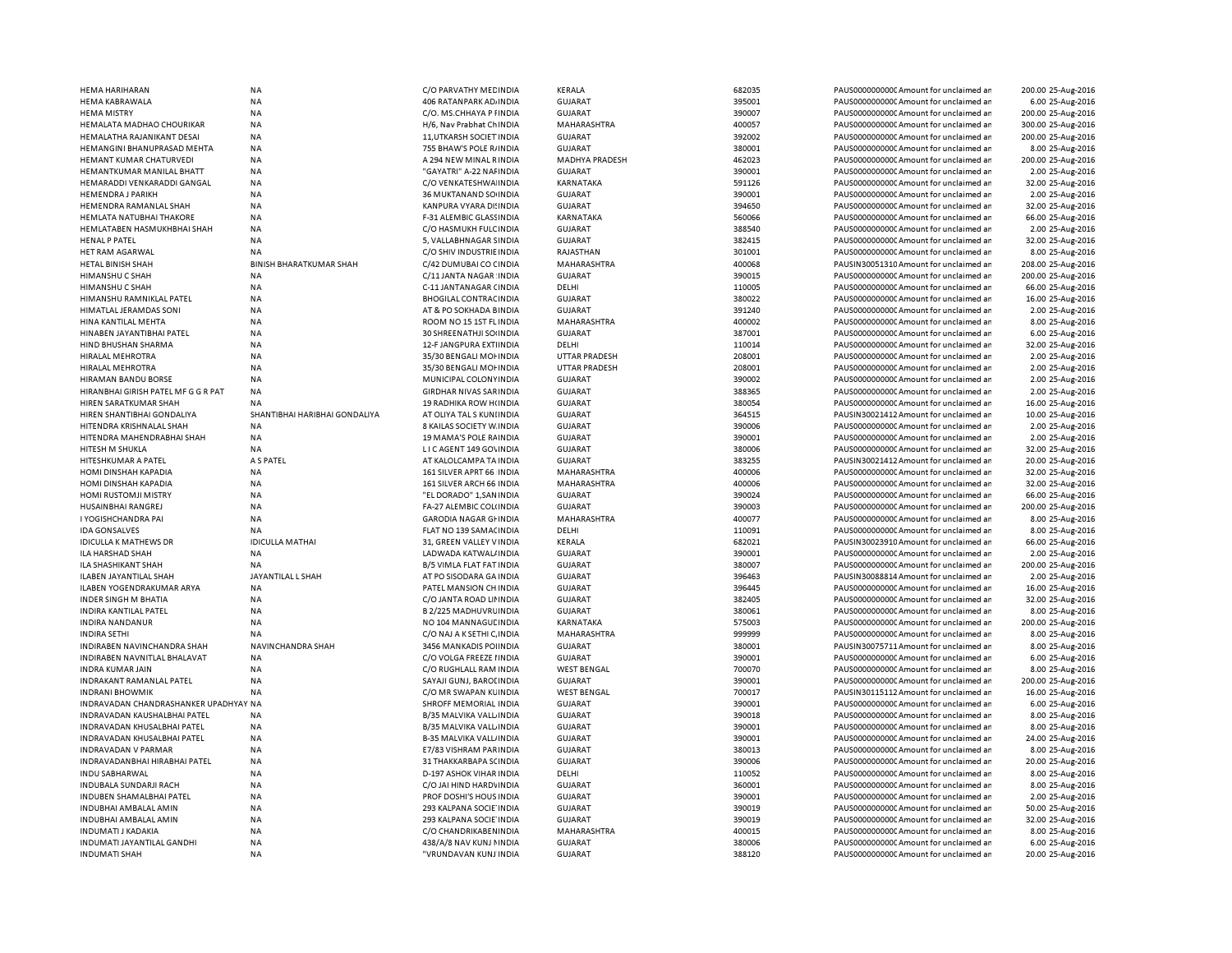| <b>HEMA KABRAWALA</b><br>406 RATANPARK AD INDIA<br><b>GUJARAT</b><br>395001<br>6.00 25-Aug-2016<br><b>NA</b><br>PAUS0000000000 Amount for unclaimed ar<br><b>NA</b><br><b>GUJARAT</b><br>390007<br>200.00 25-Aug-2016<br><b>HEMA MISTRY</b><br>C/O. MS.CHHAYA P I INDIA<br>PAUS0000000000 Amount for unclaimed ar<br><b>NA</b><br>400057<br>PAUS0000000000 Amount for unclaimed ar<br>300.00 25-Aug-2016<br>HEMALATA MADHAO CHOURIKAR<br>H/6, Nav Prabhat ChINDIA<br>MAHARASHTRA<br>HEMALATHA RAJANIKANT DESAI<br><b>NA</b><br>11, UTKARSH SOCIET IN DIA<br><b>GUJARAT</b><br>392002<br>PAUS0000000000CAmount for unclaimed ar<br>200.00 25-Aug-2016<br>380001<br>HEMANGINI BHANUPRASAD MEHTA<br><b>NA</b><br>755 BHAW'S POLE R/INDIA<br><b>GUJARAT</b><br>PAUS0000000000 Amount for unclaimed ar<br>8.00 25-Aug-2016<br><b>HEMANT KUMAR CHATURVEDI</b><br><b>NA</b><br>A 294 NEW MINAL RINDIA<br><b>MADHYA PRADESH</b><br>462023<br>PAUS0000000000 Amount for unclaimed ar<br>200.00 25-Aug-2016<br>390001<br>HEMANTKUMAR MANILAL BHATT<br>NA<br>"GAYATRI" A-22 NAI INDIA<br><b>GUJARAT</b><br>PAUS0000000000 Amount for unclaimed ar<br>2.00 25-Aug-2016<br>HEMARADDI VENKARADDI GANGAL<br><b>NA</b><br>C/O VENKATESHWA INDIA<br>KARNATAKA<br>591126<br>PAUS00000000000Amount for unclaimed ar<br>32.00 25-Aug-2016<br>390001<br>2.00 25-Aug-2016<br><b>HEMENDRA J PARIKH</b><br>NA<br>36 MUKTANAND SO INDIA<br><b>GUJARAT</b><br>PAUS0000000000 Amount for unclaimed ar<br>KANPURA VYARA DI INDIA<br>394650<br>32.00 25-Aug-2016<br>HEMENDRA RAMANLAL SHAH<br>NA<br><b>GUJARAT</b><br>PAUS0000000000 Amount for unclaimed ar<br><b>NA</b><br>560066<br>HEMLATA NATUBHAI THAKORE<br>F-31 ALEMBIC GLASS INDIA<br>KARNATAKA<br>PAUS0000000000 Amount for unclaimed ar<br>66.00 25-Aug-2016<br><b>NA</b><br>388540<br>2.00 25-Aug-2016<br>HEMLATABEN HASMUKHBHAI SHAH<br>C/O HASMUKH FULC INDIA<br><b>GUJARAT</b><br>PAUS0000000000 Amount for unclaimed ar<br><b>NA</b><br>382415<br>32.00 25-Aug-2016<br><b>HENAL P PATEL</b><br>5, VALLABHNAGAR SINDIA<br><b>GUJARAT</b><br>PAUS0000000000 Amount for unclaimed ar<br>C/O SHIV INDUSTRIE INDIA<br>301001<br>PAUS00000000000 Amount for unclaimed ar<br>8.00 25-Aug-2016<br>HET RAM AGARWAL<br><b>NA</b><br>RAJASTHAN<br><b>BHARATKUMAR SHAH</b><br>C/42 DUMUBAI CO CINDIA<br>400068<br>208.00 25-Aug-2016<br>HETAL BINISH SHAH<br><b>BINISH</b><br>MAHARASHTRA<br>PAUSIN30051310 Amount for unclaimed ar<br>HIMANSHU C SHAH<br><b>NA</b><br>C/11 JANTA NAGAR INDIA<br><b>GUJARAT</b><br>390015<br>PAUS0000000000 Amount for unclaimed ar<br>200.00 25-Aug-2016<br><b>NA</b><br>C-11 JANTANAGAR (INDIA<br>DELHI<br>110005<br>PAUS00000000000Amount for unclaimed ar<br>66.00 25-Aug-2016<br>HIMANSHU C SHAH<br>HIMANSHU RAMNIKLAL PATEL<br>NA<br><b>BHOGILAL CONTRAC INDIA</b><br><b>GUJARAT</b><br>380022<br>PAUS0000000000 Amount for unclaimed ar<br>16.00 25-Aug-2016<br><b>HIMATLAL JERAMDAS SONI</b><br><b>NA</b><br>AT & PO SOKHADA BINDIA<br><b>GUJARAT</b><br>391240<br>PAUS0000000000 Amount for unclaimed ar<br>2.00 25-Aug-2016<br><b>NA</b><br>400002<br>HINA KANTILAL MEHTA<br>ROOM NO 15 1ST FLINDIA<br>MAHARASHTRA<br>PAUS0000000000 Amount for unclaimed ar<br>8.00 25-Aug-2016<br>HINABEN JAYANTIBHAI PATEL<br><b>NA</b><br>30 SHREENATHJI SOUNDIA<br><b>GUJARAT</b><br>387001<br>PAUS0000000000 Amount for unclaimed ar<br>6.00 25-Aug-2016<br>110014<br>HIND BHUSHAN SHARMA<br><b>NA</b><br>12-F JANGPURA EXTIINDIA<br>DELHI<br>PAUS0000000000C Amount for unclaimed ar<br>32.00 25-Aug-2016<br>208001<br>2.00 25-Aug-2016<br>HIRALAL MEHROTRA<br>NA<br>35/30 BENGALI MOHNDIA<br><b>UTTAR PRADESH</b><br>PAUS0000000000 Amount for unclaimed ar<br>208001<br>HIRALAL MEHROTRA<br>NA<br>35/30 BENGALI MOI INDIA<br><b>UTTAR PRADESH</b><br>PAUS00000000000Amount for unclaimed ar<br>2.00 25-Aug-2016<br>390002<br>2.00 25-Aug-2016<br>HIRAMAN BANDU BORSE<br>NA<br>MUNICIPAL COLONY INDIA<br><b>GUJARAT</b><br>PAUS0000000000 Amount for unclaimed ar<br>388365<br>2.00 25-Aug-2016<br>HIRANBHAI GIRISH PATEL MF G G R PAT<br><b>NA</b><br>GIRDHAR NIVAS SAR INDIA<br><b>GUJARAT</b><br>PAUS0000000000 Amount for unclaimed ar<br>380054<br>16.00 25-Aug-2016<br>HIREN SARATKUMAR SHAH<br><b>NA</b><br>19 RADHIKA ROW H(INDIA<br><b>GUJARAT</b><br>PAUS0000000000 Amount for unclaimed ar<br>SHANT<br>364515<br>10.00 25-Aug-2016<br>HIREN SHANTIBHAI GONDALIYA<br>IBHAI HARIBHAI GONDALIYA<br>AT OLIYA TAL S KUNI INDIA<br><b>GUJARAT</b><br>PAUSIN30021412 Amount for unclaimed ar<br>HITENDRA KRISHNALAL SHAH<br><b>NA</b><br>8 KAILAS SOCIETY W. INDIA<br><b>GUJARAT</b><br>390006<br>PAUS0000000000 Amount for unclaimed ar<br>2.00 25-Aug-2016<br>HITENDRA MAHENDRABHAI SHAH<br><b>NA</b><br>19 MAMA'S POLE RAINDIA<br><b>GUJARAT</b><br>390001<br>PAUS0000000000 Amount for unclaimed ar<br>2.00 25-Aug-2016<br>HITESH M SHUKLA<br><b>NA</b><br>LICAGENT 149 GOVINDIA<br><b>GUJARAT</b><br>380006<br>PAUS0000000000 Amount for unclaimed ar<br>32.00 25-Aug-2016<br>HITESHKUMAR A PATEL<br>A S PATEL<br>AT KALOLCAMPA TA INDIA<br><b>GUJARAT</b><br>383255<br>PAUSIN30021412 Amount for unclaimed ar<br>20.00 25-Aug-2016<br>400006<br>HOMI DINSHAH KAPADIA<br><b>NA</b><br>161 SILVER APRT 66 INDIA<br>MAHARASHTRA<br>PAUS0000000000 Amount for unclaimed ar<br>32.00 25-Aug-2016<br><b>HOMI DINSHAH KAPADIA</b><br><b>NA</b><br>161 SILVER ARCH 66 INDIA<br>MAHARASHTRA<br>400006<br>PAUS0000000000CAmount for unclaimed ar<br>32.00 25-Aug-2016<br>390024<br>66.00 25-Aug-2016<br><b>NA</b><br><b>GUJARAT</b><br>PAUS00000000000Amount for unclaimed ar<br>HOMI RUSTOMJI MISTRY<br>"EL DORADO" 1, SAN INDIA<br>390003<br>HUSAINBHAI RANGREJ<br>NA<br>FA-27 ALEMBIC COL(INDIA<br><b>GUJARAT</b><br>PAUS0000000000 Amount for unclaimed ar<br>200.00 25-Aug-2016<br>400077<br>I YOGISHCHANDRA PAI<br>NA<br><b>GARODIA NAGAR GI INDIA</b><br>MAHARASHTRA<br>PAUS0000000000CAmount for unclaimed ar<br>8.00 25-Aug-2016<br>FLAT NO 139 SAMACINDIA<br>110091<br>8.00 25-Aug-2016<br><b>IDA GONSALVES</b><br><b>NA</b><br>DELHI<br>PAUS0000000000 Amount for unclaimed ar<br>682021<br><b>IDICULLA MATHAI</b><br>31, GREEN VALLEY V INDIA<br>KERALA<br>PAUSIN30023910 Amount for unclaimed ar<br>66.00 25-Aug-2016<br><b>IDICULLA K MATHEWS DR</b><br>390001<br>PAUS00000000000 Amount for unclaimed ar<br>2.00 25-Aug-2016<br>ILA HARSHAD SHAH<br><b>NA</b><br>LADWADA KATWAL/ INDIA<br><b>GUJARAT</b><br><b>B/5 VIMLA FLAT FAT INDIA</b><br><b>GUJARAT</b><br>380007<br>200.00 25-Aug-2016<br>ILA SHASHIKANT SHAH<br><b>NA</b><br>PAUS0000000000 Amount for unclaimed ar<br>ILABEN JAYANTILAL SHAH<br>JAYANTILAL L SHAH<br>AT PO SISODARA GA INDIA<br><b>GUJARAT</b><br>396463<br>PAUSIN30088814 Amount for unclaimed ar<br>2.00 25-Aug-2016<br>396445<br>16.00 25-Aug-2016<br>ILABEN YOGENDRAKUMAR ARYA<br><b>NA</b><br>PATEL MANSION CH INDIA<br><b>GUJARAT</b><br>PAUS0000000000 Amount for unclaimed ar<br><b>INDER SINGH M BHATIA</b><br><b>NA</b><br>C/O JANTA ROAD LII INDIA<br><b>GUJARAT</b><br>382405<br>PAUS0000000000 Amount for unclaimed ar<br>32.00 25-Aug-2016<br>INDIRA KANTILAL PATEL<br>NA<br>B 2/225 MADHUVRL INDIA<br><b>GUJARAT</b><br>380061<br>PAUS0000000000CAmount for unclaimed ar<br>8.00 25-Aug-2016<br>575003<br><b>INDIRA NANDANUR</b><br>NA<br>NO 104 MANNAGUL INDIA<br>KARNATAKA<br>PAUS0000000000 Amount for unclaimed ar<br>200.00 25-Aug-2016<br><b>INDIRA SETHI</b><br>NA<br>C/O NAJ A K SETHI C INDIA<br>MAHARASHTRA<br>999999<br>PAUS0000000000 Amount for unclaimed ar<br>8.00 25-Aug-2016<br>NAVINCHANDRA SHAH<br>3456 MANKADIS POI INDIA<br><b>GUJARAT</b><br>380001<br>PAUSIN30075711 Amount for unclaimed ar<br>8.00 25-Aug-2016<br>INDIRABEN NAVINCHANDRA SHAH<br>390001<br>INDIRABEN NAVNITLAL BHALAVAT<br>NA<br>C/O VOLGA FREEZE I INDIA<br><b>GUJARAT</b><br>PAUS0000000000 Amount for unclaimed ar<br>6.00 25-Aug-2016<br>700070<br>NA<br>C/O RUGHLALL RAM INDIA<br><b>WEST BENGAL</b><br>PAUS0000000000C Amount for unclaimed ar<br>8.00 25-Aug-2016<br><b>INDRA KUMAR JAIN</b><br>390001<br>200.00 25-Aug-2016<br>INDRAKANT RAMANLAL PATEL<br>NA<br>SAYAJI GUNJ, BAROLINDIA<br><b>GUJARAT</b><br>PAUS0000000000 Amount for unclaimed ar<br><b>NA</b><br>C/O MR SWAPAN KUINDIA<br>700017<br>PAUSIN30115112 Amount for unclaimed ar<br>16.00 25-Aug-2016<br><b>INDRANI BHOWMIK</b><br><b>WEST BENGAL</b><br>390001<br>6.00 25-Aug-2016<br>INDRAVADAN CHANDRASHANKER UPADHYAY NA<br>SHROFF MEMORIAL INDIA<br><b>GUJARAT</b><br>PAUS0000000000 Amount for unclaimed ar<br>390018<br>INDRAVADAN KAUSHALBHAI PATEL<br>NA<br>B/35 MALVIKA VALL INDIA<br><b>GUJARAT</b><br>PAUS0000000000 Amount for unclaimed ar<br>8.00 25-Aug-2016<br>INDRAVADAN KHUSALBHAI PATEL<br><b>NA</b><br>B/35 MALVIKA VALL INDIA<br><b>GUJARAT</b><br>390001<br>PAUS0000000000 Amount for unclaimed ar<br>8.00 25-Aug-2016<br>INDRAVADAN KHUSALBHAI PATEL<br><b>GUJARAT</b><br>390001<br>24.00 25-Aug-2016<br><b>NA</b><br><b>B-35 MALVIKA VALL/INDIA</b><br>PAUS0000000000 Amount for unclaimed ar<br><b>INDRAVADAN V PARMAR</b><br><b>NA</b><br>E7/83 VISHRAM PARINDIA<br><b>GUJARAT</b><br>380013<br>PAUS0000000000 Amount for unclaimed ar<br>8.00 25-Aug-2016<br><b>NA</b><br><b>GUJARAT</b><br>390006<br>PAUS0000000000 Amount for unclaimed ar<br>20.00 25-Aug-2016<br>INDRAVADANBHAI HIRABHAI PATEL<br>31 THAKKARBAPA SCINDIA<br><b>INDU SABHARWAL</b><br>NA<br><b>D-197 ASHOK VIHAR INDIA</b><br>DELHI<br>110052<br>PAUS0000000000 Amount for unclaimed ar<br>8.00 25-Aug-2016<br>INDUBALA SUNDARJI RACH<br>NA<br>C/O JAI HIND HARD\ INDIA<br><b>GUJARAT</b><br>360001<br>PAUS0000000000 Amount for unclaimed ar<br>8.00 25-Aug-2016<br>NA<br>390001<br>2.00 25-Aug-2016<br>INDUBEN SHAMALBHAI PATEL<br>PROF DOSHI'S HOUS INDIA<br>GUJARAT<br>PAUS0000000000 Amount for unclaimed ar<br>390019<br>INDUBHAI AMBALAL AMIN<br>NA<br>293 KALPANA SOCIE INDIA<br><b>GUJARAT</b><br>PAUS0000000000 Amount for unclaimed ar<br>50.00 25-Aug-2016<br>INDUBHAI AMBALAL AMIN<br>NA<br>293 KALPANA SOCIE INDIA<br><b>GUJARAT</b><br>390019<br>PAUS0000000000C Amount for unclaimed ar<br>32.00 25-Aug-2016<br>400015<br>INDUMATI J KADAKIA<br><b>NA</b><br>C/O CHANDRIKABEN INDIA<br>MAHARASHTRA<br>PAUS0000000000 Amount for unclaimed ar<br>8.00 25-Aug-2016<br>380006<br>INDUMATI JAYANTILAL GANDHI<br><b>NA</b><br>438/A/8 NAV KUNJ MNDIA<br><b>GUJARAT</b><br>PAUS0000000000 Amount for unclaimed ar<br>6.00 25-Aug-2016<br><b>INDUMATI SHAH</b><br><b>NA</b><br>"VRUNDAVAN KUNJ INDIA<br><b>GUJARAT</b><br>388120<br>PAUS00000000000 Amount for unclaimed ar<br>20.00 25-Aug-2016 | HEMA HARIHARAN | NA | C/O PARVATHY MECINDIA | KERALA | 682035 | PAUS0000000000C Amount for unclaimed ar | 200.00 25-Aug-2016 |
|-----------------------------------------------------------------------------------------------------------------------------------------------------------------------------------------------------------------------------------------------------------------------------------------------------------------------------------------------------------------------------------------------------------------------------------------------------------------------------------------------------------------------------------------------------------------------------------------------------------------------------------------------------------------------------------------------------------------------------------------------------------------------------------------------------------------------------------------------------------------------------------------------------------------------------------------------------------------------------------------------------------------------------------------------------------------------------------------------------------------------------------------------------------------------------------------------------------------------------------------------------------------------------------------------------------------------------------------------------------------------------------------------------------------------------------------------------------------------------------------------------------------------------------------------------------------------------------------------------------------------------------------------------------------------------------------------------------------------------------------------------------------------------------------------------------------------------------------------------------------------------------------------------------------------------------------------------------------------------------------------------------------------------------------------------------------------------------------------------------------------------------------------------------------------------------------------------------------------------------------------------------------------------------------------------------------------------------------------------------------------------------------------------------------------------------------------------------------------------------------------------------------------------------------------------------------------------------------------------------------------------------------------------------------------------------------------------------------------------------------------------------------------------------------------------------------------------------------------------------------------------------------------------------------------------------------------------------------------------------------------------------------------------------------------------------------------------------------------------------------------------------------------------------------------------------------------------------------------------------------------------------------------------------------------------------------------------------------------------------------------------------------------------------------------------------------------------------------------------------------------------------------------------------------------------------------------------------------------------------------------------------------------------------------------------------------------------------------------------------------------------------------------------------------------------------------------------------------------------------------------------------------------------------------------------------------------------------------------------------------------------------------------------------------------------------------------------------------------------------------------------------------------------------------------------------------------------------------------------------------------------------------------------------------------------------------------------------------------------------------------------------------------------------------------------------------------------------------------------------------------------------------------------------------------------------------------------------------------------------------------------------------------------------------------------------------------------------------------------------------------------------------------------------------------------------------------------------------------------------------------------------------------------------------------------------------------------------------------------------------------------------------------------------------------------------------------------------------------------------------------------------------------------------------------------------------------------------------------------------------------------------------------------------------------------------------------------------------------------------------------------------------------------------------------------------------------------------------------------------------------------------------------------------------------------------------------------------------------------------------------------------------------------------------------------------------------------------------------------------------------------------------------------------------------------------------------------------------------------------------------------------------------------------------------------------------------------------------------------------------------------------------------------------------------------------------------------------------------------------------------------------------------------------------------------------------------------------------------------------------------------------------------------------------------------------------------------------------------------------------------------------------------------------------------------------------------------------------------------------------------------------------------------------------------------------------------------------------------------------------------------------------------------------------------------------------------------------------------------------------------------------------------------------------------------------------------------------------------------------------------------------------------------------------------------------------------------------------------------------------------------------------------------------------------------------------------------------------------------------------------------------------------------------------------------------------------------------------------------------------------------------------------------------------------------------------------------------------------------------------------------------------------------------------------------------------------------------------------------------------------------------------------------------------------------------------------------------------------------------------------------------------------------------------------------------------------------------------------------------------------------------------------------------------------------------------------------------------------------------------------------------------------------------------------------------------------------------------------------------------------------------------------------------------------------------------------------------------------------------------------------------------------------------------------------------------------------------------------------------------------------------------------------------------------------------------------------------------------------------------------------------------------------------------------------------------------------------------------------------------------------------------------------------------------------------------------------------------------------------------------------------------------------------------------------------------------------------------------------------------------------------------------------------------------------------------------------------------------------------------------------------------------------------------------------------------------------------------------------------------------------------------------------------------------------------------------------------------------------------------------------------------------------------------------------------------------------------------------------------------------------------------------------------------------------------------------------------------------------------------------------------------------------------------------------------------------------------------------------------------------------------------------------------------------------------------------------------------------------------------------------------------------------------------------------------------------------------------------------------------------------------------------------------------------------------------------------------------------------------------------------------------------------------------------------------------------------------------------------------------------------------------------------------------------------------------------------------------------------------------------------------------------------------------------------------------------------------------------------------------------------------------------------------------------------------------------------------------------------------------------------------------------------------------------------------------------------------------------------------------------------------------------------------------------------------------------------------------------------------------------------------------------------------------------------------------|----------------|----|-----------------------|--------|--------|-----------------------------------------|--------------------|
|                                                                                                                                                                                                                                                                                                                                                                                                                                                                                                                                                                                                                                                                                                                                                                                                                                                                                                                                                                                                                                                                                                                                                                                                                                                                                                                                                                                                                                                                                                                                                                                                                                                                                                                                                                                                                                                                                                                                                                                                                                                                                                                                                                                                                                                                                                                                                                                                                                                                                                                                                                                                                                                                                                                                                                                                                                                                                                                                                                                                                                                                                                                                                                                                                                                                                                                                                                                                                                                                                                                                                                                                                                                                                                                                                                                                                                                                                                                                                                                                                                                                                                                                                                                                                                                                                                                                                                                                                                                                                                                                                                                                                                                                                                                                                                                                                                                                                                                                                                                                                                                                                                                                                                                                                                                                                                                                                                                                                                                                                                                                                                                                                                                                                                                                                                                                                                                                                                                                                                                                                                                                                                                                                                                                                                                                                                                                                                                                                                                                                                                                                                                                                                                                                                                                                                                                                                                                                                                                                                                                                                                                                                                                                                                                                                                                                                                                                                                                                                                                                                                                                                                                                                                                                                                                                                                                                                                                                                                                                                                                                                                                                                                                                                                                                                                                                                                                                                                                                                                                                                                                                                                                                                                                                                                                                                                                                                                                                                                                                                                                                                                                                                                                                                                                                                                                                                                                                                                                                                                                                                                                                                                                                                                                                                                                                                                                                                                                                                                                                                                                                                                                                                                                                                                                                                                                                                                                                                                                                                                                                                                                                                                                                                                                                         |                |    |                       |        |        |                                         |                    |
|                                                                                                                                                                                                                                                                                                                                                                                                                                                                                                                                                                                                                                                                                                                                                                                                                                                                                                                                                                                                                                                                                                                                                                                                                                                                                                                                                                                                                                                                                                                                                                                                                                                                                                                                                                                                                                                                                                                                                                                                                                                                                                                                                                                                                                                                                                                                                                                                                                                                                                                                                                                                                                                                                                                                                                                                                                                                                                                                                                                                                                                                                                                                                                                                                                                                                                                                                                                                                                                                                                                                                                                                                                                                                                                                                                                                                                                                                                                                                                                                                                                                                                                                                                                                                                                                                                                                                                                                                                                                                                                                                                                                                                                                                                                                                                                                                                                                                                                                                                                                                                                                                                                                                                                                                                                                                                                                                                                                                                                                                                                                                                                                                                                                                                                                                                                                                                                                                                                                                                                                                                                                                                                                                                                                                                                                                                                                                                                                                                                                                                                                                                                                                                                                                                                                                                                                                                                                                                                                                                                                                                                                                                                                                                                                                                                                                                                                                                                                                                                                                                                                                                                                                                                                                                                                                                                                                                                                                                                                                                                                                                                                                                                                                                                                                                                                                                                                                                                                                                                                                                                                                                                                                                                                                                                                                                                                                                                                                                                                                                                                                                                                                                                                                                                                                                                                                                                                                                                                                                                                                                                                                                                                                                                                                                                                                                                                                                                                                                                                                                                                                                                                                                                                                                                                                                                                                                                                                                                                                                                                                                                                                                                                                                                                                         |                |    |                       |        |        |                                         |                    |
|                                                                                                                                                                                                                                                                                                                                                                                                                                                                                                                                                                                                                                                                                                                                                                                                                                                                                                                                                                                                                                                                                                                                                                                                                                                                                                                                                                                                                                                                                                                                                                                                                                                                                                                                                                                                                                                                                                                                                                                                                                                                                                                                                                                                                                                                                                                                                                                                                                                                                                                                                                                                                                                                                                                                                                                                                                                                                                                                                                                                                                                                                                                                                                                                                                                                                                                                                                                                                                                                                                                                                                                                                                                                                                                                                                                                                                                                                                                                                                                                                                                                                                                                                                                                                                                                                                                                                                                                                                                                                                                                                                                                                                                                                                                                                                                                                                                                                                                                                                                                                                                                                                                                                                                                                                                                                                                                                                                                                                                                                                                                                                                                                                                                                                                                                                                                                                                                                                                                                                                                                                                                                                                                                                                                                                                                                                                                                                                                                                                                                                                                                                                                                                                                                                                                                                                                                                                                                                                                                                                                                                                                                                                                                                                                                                                                                                                                                                                                                                                                                                                                                                                                                                                                                                                                                                                                                                                                                                                                                                                                                                                                                                                                                                                                                                                                                                                                                                                                                                                                                                                                                                                                                                                                                                                                                                                                                                                                                                                                                                                                                                                                                                                                                                                                                                                                                                                                                                                                                                                                                                                                                                                                                                                                                                                                                                                                                                                                                                                                                                                                                                                                                                                                                                                                                                                                                                                                                                                                                                                                                                                                                                                                                                                                                         |                |    |                       |        |        |                                         |                    |
|                                                                                                                                                                                                                                                                                                                                                                                                                                                                                                                                                                                                                                                                                                                                                                                                                                                                                                                                                                                                                                                                                                                                                                                                                                                                                                                                                                                                                                                                                                                                                                                                                                                                                                                                                                                                                                                                                                                                                                                                                                                                                                                                                                                                                                                                                                                                                                                                                                                                                                                                                                                                                                                                                                                                                                                                                                                                                                                                                                                                                                                                                                                                                                                                                                                                                                                                                                                                                                                                                                                                                                                                                                                                                                                                                                                                                                                                                                                                                                                                                                                                                                                                                                                                                                                                                                                                                                                                                                                                                                                                                                                                                                                                                                                                                                                                                                                                                                                                                                                                                                                                                                                                                                                                                                                                                                                                                                                                                                                                                                                                                                                                                                                                                                                                                                                                                                                                                                                                                                                                                                                                                                                                                                                                                                                                                                                                                                                                                                                                                                                                                                                                                                                                                                                                                                                                                                                                                                                                                                                                                                                                                                                                                                                                                                                                                                                                                                                                                                                                                                                                                                                                                                                                                                                                                                                                                                                                                                                                                                                                                                                                                                                                                                                                                                                                                                                                                                                                                                                                                                                                                                                                                                                                                                                                                                                                                                                                                                                                                                                                                                                                                                                                                                                                                                                                                                                                                                                                                                                                                                                                                                                                                                                                                                                                                                                                                                                                                                                                                                                                                                                                                                                                                                                                                                                                                                                                                                                                                                                                                                                                                                                                                                                                                         |                |    |                       |        |        |                                         |                    |
|                                                                                                                                                                                                                                                                                                                                                                                                                                                                                                                                                                                                                                                                                                                                                                                                                                                                                                                                                                                                                                                                                                                                                                                                                                                                                                                                                                                                                                                                                                                                                                                                                                                                                                                                                                                                                                                                                                                                                                                                                                                                                                                                                                                                                                                                                                                                                                                                                                                                                                                                                                                                                                                                                                                                                                                                                                                                                                                                                                                                                                                                                                                                                                                                                                                                                                                                                                                                                                                                                                                                                                                                                                                                                                                                                                                                                                                                                                                                                                                                                                                                                                                                                                                                                                                                                                                                                                                                                                                                                                                                                                                                                                                                                                                                                                                                                                                                                                                                                                                                                                                                                                                                                                                                                                                                                                                                                                                                                                                                                                                                                                                                                                                                                                                                                                                                                                                                                                                                                                                                                                                                                                                                                                                                                                                                                                                                                                                                                                                                                                                                                                                                                                                                                                                                                                                                                                                                                                                                                                                                                                                                                                                                                                                                                                                                                                                                                                                                                                                                                                                                                                                                                                                                                                                                                                                                                                                                                                                                                                                                                                                                                                                                                                                                                                                                                                                                                                                                                                                                                                                                                                                                                                                                                                                                                                                                                                                                                                                                                                                                                                                                                                                                                                                                                                                                                                                                                                                                                                                                                                                                                                                                                                                                                                                                                                                                                                                                                                                                                                                                                                                                                                                                                                                                                                                                                                                                                                                                                                                                                                                                                                                                                                                                                         |                |    |                       |        |        |                                         |                    |
|                                                                                                                                                                                                                                                                                                                                                                                                                                                                                                                                                                                                                                                                                                                                                                                                                                                                                                                                                                                                                                                                                                                                                                                                                                                                                                                                                                                                                                                                                                                                                                                                                                                                                                                                                                                                                                                                                                                                                                                                                                                                                                                                                                                                                                                                                                                                                                                                                                                                                                                                                                                                                                                                                                                                                                                                                                                                                                                                                                                                                                                                                                                                                                                                                                                                                                                                                                                                                                                                                                                                                                                                                                                                                                                                                                                                                                                                                                                                                                                                                                                                                                                                                                                                                                                                                                                                                                                                                                                                                                                                                                                                                                                                                                                                                                                                                                                                                                                                                                                                                                                                                                                                                                                                                                                                                                                                                                                                                                                                                                                                                                                                                                                                                                                                                                                                                                                                                                                                                                                                                                                                                                                                                                                                                                                                                                                                                                                                                                                                                                                                                                                                                                                                                                                                                                                                                                                                                                                                                                                                                                                                                                                                                                                                                                                                                                                                                                                                                                                                                                                                                                                                                                                                                                                                                                                                                                                                                                                                                                                                                                                                                                                                                                                                                                                                                                                                                                                                                                                                                                                                                                                                                                                                                                                                                                                                                                                                                                                                                                                                                                                                                                                                                                                                                                                                                                                                                                                                                                                                                                                                                                                                                                                                                                                                                                                                                                                                                                                                                                                                                                                                                                                                                                                                                                                                                                                                                                                                                                                                                                                                                                                                                                                                                         |                |    |                       |        |        |                                         |                    |
|                                                                                                                                                                                                                                                                                                                                                                                                                                                                                                                                                                                                                                                                                                                                                                                                                                                                                                                                                                                                                                                                                                                                                                                                                                                                                                                                                                                                                                                                                                                                                                                                                                                                                                                                                                                                                                                                                                                                                                                                                                                                                                                                                                                                                                                                                                                                                                                                                                                                                                                                                                                                                                                                                                                                                                                                                                                                                                                                                                                                                                                                                                                                                                                                                                                                                                                                                                                                                                                                                                                                                                                                                                                                                                                                                                                                                                                                                                                                                                                                                                                                                                                                                                                                                                                                                                                                                                                                                                                                                                                                                                                                                                                                                                                                                                                                                                                                                                                                                                                                                                                                                                                                                                                                                                                                                                                                                                                                                                                                                                                                                                                                                                                                                                                                                                                                                                                                                                                                                                                                                                                                                                                                                                                                                                                                                                                                                                                                                                                                                                                                                                                                                                                                                                                                                                                                                                                                                                                                                                                                                                                                                                                                                                                                                                                                                                                                                                                                                                                                                                                                                                                                                                                                                                                                                                                                                                                                                                                                                                                                                                                                                                                                                                                                                                                                                                                                                                                                                                                                                                                                                                                                                                                                                                                                                                                                                                                                                                                                                                                                                                                                                                                                                                                                                                                                                                                                                                                                                                                                                                                                                                                                                                                                                                                                                                                                                                                                                                                                                                                                                                                                                                                                                                                                                                                                                                                                                                                                                                                                                                                                                                                                                                                                                         |                |    |                       |        |        |                                         |                    |
|                                                                                                                                                                                                                                                                                                                                                                                                                                                                                                                                                                                                                                                                                                                                                                                                                                                                                                                                                                                                                                                                                                                                                                                                                                                                                                                                                                                                                                                                                                                                                                                                                                                                                                                                                                                                                                                                                                                                                                                                                                                                                                                                                                                                                                                                                                                                                                                                                                                                                                                                                                                                                                                                                                                                                                                                                                                                                                                                                                                                                                                                                                                                                                                                                                                                                                                                                                                                                                                                                                                                                                                                                                                                                                                                                                                                                                                                                                                                                                                                                                                                                                                                                                                                                                                                                                                                                                                                                                                                                                                                                                                                                                                                                                                                                                                                                                                                                                                                                                                                                                                                                                                                                                                                                                                                                                                                                                                                                                                                                                                                                                                                                                                                                                                                                                                                                                                                                                                                                                                                                                                                                                                                                                                                                                                                                                                                                                                                                                                                                                                                                                                                                                                                                                                                                                                                                                                                                                                                                                                                                                                                                                                                                                                                                                                                                                                                                                                                                                                                                                                                                                                                                                                                                                                                                                                                                                                                                                                                                                                                                                                                                                                                                                                                                                                                                                                                                                                                                                                                                                                                                                                                                                                                                                                                                                                                                                                                                                                                                                                                                                                                                                                                                                                                                                                                                                                                                                                                                                                                                                                                                                                                                                                                                                                                                                                                                                                                                                                                                                                                                                                                                                                                                                                                                                                                                                                                                                                                                                                                                                                                                                                                                                                                                         |                |    |                       |        |        |                                         |                    |
|                                                                                                                                                                                                                                                                                                                                                                                                                                                                                                                                                                                                                                                                                                                                                                                                                                                                                                                                                                                                                                                                                                                                                                                                                                                                                                                                                                                                                                                                                                                                                                                                                                                                                                                                                                                                                                                                                                                                                                                                                                                                                                                                                                                                                                                                                                                                                                                                                                                                                                                                                                                                                                                                                                                                                                                                                                                                                                                                                                                                                                                                                                                                                                                                                                                                                                                                                                                                                                                                                                                                                                                                                                                                                                                                                                                                                                                                                                                                                                                                                                                                                                                                                                                                                                                                                                                                                                                                                                                                                                                                                                                                                                                                                                                                                                                                                                                                                                                                                                                                                                                                                                                                                                                                                                                                                                                                                                                                                                                                                                                                                                                                                                                                                                                                                                                                                                                                                                                                                                                                                                                                                                                                                                                                                                                                                                                                                                                                                                                                                                                                                                                                                                                                                                                                                                                                                                                                                                                                                                                                                                                                                                                                                                                                                                                                                                                                                                                                                                                                                                                                                                                                                                                                                                                                                                                                                                                                                                                                                                                                                                                                                                                                                                                                                                                                                                                                                                                                                                                                                                                                                                                                                                                                                                                                                                                                                                                                                                                                                                                                                                                                                                                                                                                                                                                                                                                                                                                                                                                                                                                                                                                                                                                                                                                                                                                                                                                                                                                                                                                                                                                                                                                                                                                                                                                                                                                                                                                                                                                                                                                                                                                                                                                                                         |                |    |                       |        |        |                                         |                    |
|                                                                                                                                                                                                                                                                                                                                                                                                                                                                                                                                                                                                                                                                                                                                                                                                                                                                                                                                                                                                                                                                                                                                                                                                                                                                                                                                                                                                                                                                                                                                                                                                                                                                                                                                                                                                                                                                                                                                                                                                                                                                                                                                                                                                                                                                                                                                                                                                                                                                                                                                                                                                                                                                                                                                                                                                                                                                                                                                                                                                                                                                                                                                                                                                                                                                                                                                                                                                                                                                                                                                                                                                                                                                                                                                                                                                                                                                                                                                                                                                                                                                                                                                                                                                                                                                                                                                                                                                                                                                                                                                                                                                                                                                                                                                                                                                                                                                                                                                                                                                                                                                                                                                                                                                                                                                                                                                                                                                                                                                                                                                                                                                                                                                                                                                                                                                                                                                                                                                                                                                                                                                                                                                                                                                                                                                                                                                                                                                                                                                                                                                                                                                                                                                                                                                                                                                                                                                                                                                                                                                                                                                                                                                                                                                                                                                                                                                                                                                                                                                                                                                                                                                                                                                                                                                                                                                                                                                                                                                                                                                                                                                                                                                                                                                                                                                                                                                                                                                                                                                                                                                                                                                                                                                                                                                                                                                                                                                                                                                                                                                                                                                                                                                                                                                                                                                                                                                                                                                                                                                                                                                                                                                                                                                                                                                                                                                                                                                                                                                                                                                                                                                                                                                                                                                                                                                                                                                                                                                                                                                                                                                                                                                                                                                                         |                |    |                       |        |        |                                         |                    |
|                                                                                                                                                                                                                                                                                                                                                                                                                                                                                                                                                                                                                                                                                                                                                                                                                                                                                                                                                                                                                                                                                                                                                                                                                                                                                                                                                                                                                                                                                                                                                                                                                                                                                                                                                                                                                                                                                                                                                                                                                                                                                                                                                                                                                                                                                                                                                                                                                                                                                                                                                                                                                                                                                                                                                                                                                                                                                                                                                                                                                                                                                                                                                                                                                                                                                                                                                                                                                                                                                                                                                                                                                                                                                                                                                                                                                                                                                                                                                                                                                                                                                                                                                                                                                                                                                                                                                                                                                                                                                                                                                                                                                                                                                                                                                                                                                                                                                                                                                                                                                                                                                                                                                                                                                                                                                                                                                                                                                                                                                                                                                                                                                                                                                                                                                                                                                                                                                                                                                                                                                                                                                                                                                                                                                                                                                                                                                                                                                                                                                                                                                                                                                                                                                                                                                                                                                                                                                                                                                                                                                                                                                                                                                                                                                                                                                                                                                                                                                                                                                                                                                                                                                                                                                                                                                                                                                                                                                                                                                                                                                                                                                                                                                                                                                                                                                                                                                                                                                                                                                                                                                                                                                                                                                                                                                                                                                                                                                                                                                                                                                                                                                                                                                                                                                                                                                                                                                                                                                                                                                                                                                                                                                                                                                                                                                                                                                                                                                                                                                                                                                                                                                                                                                                                                                                                                                                                                                                                                                                                                                                                                                                                                                                                                                         |                |    |                       |        |        |                                         |                    |
|                                                                                                                                                                                                                                                                                                                                                                                                                                                                                                                                                                                                                                                                                                                                                                                                                                                                                                                                                                                                                                                                                                                                                                                                                                                                                                                                                                                                                                                                                                                                                                                                                                                                                                                                                                                                                                                                                                                                                                                                                                                                                                                                                                                                                                                                                                                                                                                                                                                                                                                                                                                                                                                                                                                                                                                                                                                                                                                                                                                                                                                                                                                                                                                                                                                                                                                                                                                                                                                                                                                                                                                                                                                                                                                                                                                                                                                                                                                                                                                                                                                                                                                                                                                                                                                                                                                                                                                                                                                                                                                                                                                                                                                                                                                                                                                                                                                                                                                                                                                                                                                                                                                                                                                                                                                                                                                                                                                                                                                                                                                                                                                                                                                                                                                                                                                                                                                                                                                                                                                                                                                                                                                                                                                                                                                                                                                                                                                                                                                                                                                                                                                                                                                                                                                                                                                                                                                                                                                                                                                                                                                                                                                                                                                                                                                                                                                                                                                                                                                                                                                                                                                                                                                                                                                                                                                                                                                                                                                                                                                                                                                                                                                                                                                                                                                                                                                                                                                                                                                                                                                                                                                                                                                                                                                                                                                                                                                                                                                                                                                                                                                                                                                                                                                                                                                                                                                                                                                                                                                                                                                                                                                                                                                                                                                                                                                                                                                                                                                                                                                                                                                                                                                                                                                                                                                                                                                                                                                                                                                                                                                                                                                                                                                                                         |                |    |                       |        |        |                                         |                    |
|                                                                                                                                                                                                                                                                                                                                                                                                                                                                                                                                                                                                                                                                                                                                                                                                                                                                                                                                                                                                                                                                                                                                                                                                                                                                                                                                                                                                                                                                                                                                                                                                                                                                                                                                                                                                                                                                                                                                                                                                                                                                                                                                                                                                                                                                                                                                                                                                                                                                                                                                                                                                                                                                                                                                                                                                                                                                                                                                                                                                                                                                                                                                                                                                                                                                                                                                                                                                                                                                                                                                                                                                                                                                                                                                                                                                                                                                                                                                                                                                                                                                                                                                                                                                                                                                                                                                                                                                                                                                                                                                                                                                                                                                                                                                                                                                                                                                                                                                                                                                                                                                                                                                                                                                                                                                                                                                                                                                                                                                                                                                                                                                                                                                                                                                                                                                                                                                                                                                                                                                                                                                                                                                                                                                                                                                                                                                                                                                                                                                                                                                                                                                                                                                                                                                                                                                                                                                                                                                                                                                                                                                                                                                                                                                                                                                                                                                                                                                                                                                                                                                                                                                                                                                                                                                                                                                                                                                                                                                                                                                                                                                                                                                                                                                                                                                                                                                                                                                                                                                                                                                                                                                                                                                                                                                                                                                                                                                                                                                                                                                                                                                                                                                                                                                                                                                                                                                                                                                                                                                                                                                                                                                                                                                                                                                                                                                                                                                                                                                                                                                                                                                                                                                                                                                                                                                                                                                                                                                                                                                                                                                                                                                                                                                                         |                |    |                       |        |        |                                         |                    |
|                                                                                                                                                                                                                                                                                                                                                                                                                                                                                                                                                                                                                                                                                                                                                                                                                                                                                                                                                                                                                                                                                                                                                                                                                                                                                                                                                                                                                                                                                                                                                                                                                                                                                                                                                                                                                                                                                                                                                                                                                                                                                                                                                                                                                                                                                                                                                                                                                                                                                                                                                                                                                                                                                                                                                                                                                                                                                                                                                                                                                                                                                                                                                                                                                                                                                                                                                                                                                                                                                                                                                                                                                                                                                                                                                                                                                                                                                                                                                                                                                                                                                                                                                                                                                                                                                                                                                                                                                                                                                                                                                                                                                                                                                                                                                                                                                                                                                                                                                                                                                                                                                                                                                                                                                                                                                                                                                                                                                                                                                                                                                                                                                                                                                                                                                                                                                                                                                                                                                                                                                                                                                                                                                                                                                                                                                                                                                                                                                                                                                                                                                                                                                                                                                                                                                                                                                                                                                                                                                                                                                                                                                                                                                                                                                                                                                                                                                                                                                                                                                                                                                                                                                                                                                                                                                                                                                                                                                                                                                                                                                                                                                                                                                                                                                                                                                                                                                                                                                                                                                                                                                                                                                                                                                                                                                                                                                                                                                                                                                                                                                                                                                                                                                                                                                                                                                                                                                                                                                                                                                                                                                                                                                                                                                                                                                                                                                                                                                                                                                                                                                                                                                                                                                                                                                                                                                                                                                                                                                                                                                                                                                                                                                                                                                         |                |    |                       |        |        |                                         |                    |
|                                                                                                                                                                                                                                                                                                                                                                                                                                                                                                                                                                                                                                                                                                                                                                                                                                                                                                                                                                                                                                                                                                                                                                                                                                                                                                                                                                                                                                                                                                                                                                                                                                                                                                                                                                                                                                                                                                                                                                                                                                                                                                                                                                                                                                                                                                                                                                                                                                                                                                                                                                                                                                                                                                                                                                                                                                                                                                                                                                                                                                                                                                                                                                                                                                                                                                                                                                                                                                                                                                                                                                                                                                                                                                                                                                                                                                                                                                                                                                                                                                                                                                                                                                                                                                                                                                                                                                                                                                                                                                                                                                                                                                                                                                                                                                                                                                                                                                                                                                                                                                                                                                                                                                                                                                                                                                                                                                                                                                                                                                                                                                                                                                                                                                                                                                                                                                                                                                                                                                                                                                                                                                                                                                                                                                                                                                                                                                                                                                                                                                                                                                                                                                                                                                                                                                                                                                                                                                                                                                                                                                                                                                                                                                                                                                                                                                                                                                                                                                                                                                                                                                                                                                                                                                                                                                                                                                                                                                                                                                                                                                                                                                                                                                                                                                                                                                                                                                                                                                                                                                                                                                                                                                                                                                                                                                                                                                                                                                                                                                                                                                                                                                                                                                                                                                                                                                                                                                                                                                                                                                                                                                                                                                                                                                                                                                                                                                                                                                                                                                                                                                                                                                                                                                                                                                                                                                                                                                                                                                                                                                                                                                                                                                                                                         |                |    |                       |        |        |                                         |                    |
|                                                                                                                                                                                                                                                                                                                                                                                                                                                                                                                                                                                                                                                                                                                                                                                                                                                                                                                                                                                                                                                                                                                                                                                                                                                                                                                                                                                                                                                                                                                                                                                                                                                                                                                                                                                                                                                                                                                                                                                                                                                                                                                                                                                                                                                                                                                                                                                                                                                                                                                                                                                                                                                                                                                                                                                                                                                                                                                                                                                                                                                                                                                                                                                                                                                                                                                                                                                                                                                                                                                                                                                                                                                                                                                                                                                                                                                                                                                                                                                                                                                                                                                                                                                                                                                                                                                                                                                                                                                                                                                                                                                                                                                                                                                                                                                                                                                                                                                                                                                                                                                                                                                                                                                                                                                                                                                                                                                                                                                                                                                                                                                                                                                                                                                                                                                                                                                                                                                                                                                                                                                                                                                                                                                                                                                                                                                                                                                                                                                                                                                                                                                                                                                                                                                                                                                                                                                                                                                                                                                                                                                                                                                                                                                                                                                                                                                                                                                                                                                                                                                                                                                                                                                                                                                                                                                                                                                                                                                                                                                                                                                                                                                                                                                                                                                                                                                                                                                                                                                                                                                                                                                                                                                                                                                                                                                                                                                                                                                                                                                                                                                                                                                                                                                                                                                                                                                                                                                                                                                                                                                                                                                                                                                                                                                                                                                                                                                                                                                                                                                                                                                                                                                                                                                                                                                                                                                                                                                                                                                                                                                                                                                                                                                                                         |                |    |                       |        |        |                                         |                    |
|                                                                                                                                                                                                                                                                                                                                                                                                                                                                                                                                                                                                                                                                                                                                                                                                                                                                                                                                                                                                                                                                                                                                                                                                                                                                                                                                                                                                                                                                                                                                                                                                                                                                                                                                                                                                                                                                                                                                                                                                                                                                                                                                                                                                                                                                                                                                                                                                                                                                                                                                                                                                                                                                                                                                                                                                                                                                                                                                                                                                                                                                                                                                                                                                                                                                                                                                                                                                                                                                                                                                                                                                                                                                                                                                                                                                                                                                                                                                                                                                                                                                                                                                                                                                                                                                                                                                                                                                                                                                                                                                                                                                                                                                                                                                                                                                                                                                                                                                                                                                                                                                                                                                                                                                                                                                                                                                                                                                                                                                                                                                                                                                                                                                                                                                                                                                                                                                                                                                                                                                                                                                                                                                                                                                                                                                                                                                                                                                                                                                                                                                                                                                                                                                                                                                                                                                                                                                                                                                                                                                                                                                                                                                                                                                                                                                                                                                                                                                                                                                                                                                                                                                                                                                                                                                                                                                                                                                                                                                                                                                                                                                                                                                                                                                                                                                                                                                                                                                                                                                                                                                                                                                                                                                                                                                                                                                                                                                                                                                                                                                                                                                                                                                                                                                                                                                                                                                                                                                                                                                                                                                                                                                                                                                                                                                                                                                                                                                                                                                                                                                                                                                                                                                                                                                                                                                                                                                                                                                                                                                                                                                                                                                                                                                                         |                |    |                       |        |        |                                         |                    |
|                                                                                                                                                                                                                                                                                                                                                                                                                                                                                                                                                                                                                                                                                                                                                                                                                                                                                                                                                                                                                                                                                                                                                                                                                                                                                                                                                                                                                                                                                                                                                                                                                                                                                                                                                                                                                                                                                                                                                                                                                                                                                                                                                                                                                                                                                                                                                                                                                                                                                                                                                                                                                                                                                                                                                                                                                                                                                                                                                                                                                                                                                                                                                                                                                                                                                                                                                                                                                                                                                                                                                                                                                                                                                                                                                                                                                                                                                                                                                                                                                                                                                                                                                                                                                                                                                                                                                                                                                                                                                                                                                                                                                                                                                                                                                                                                                                                                                                                                                                                                                                                                                                                                                                                                                                                                                                                                                                                                                                                                                                                                                                                                                                                                                                                                                                                                                                                                                                                                                                                                                                                                                                                                                                                                                                                                                                                                                                                                                                                                                                                                                                                                                                                                                                                                                                                                                                                                                                                                                                                                                                                                                                                                                                                                                                                                                                                                                                                                                                                                                                                                                                                                                                                                                                                                                                                                                                                                                                                                                                                                                                                                                                                                                                                                                                                                                                                                                                                                                                                                                                                                                                                                                                                                                                                                                                                                                                                                                                                                                                                                                                                                                                                                                                                                                                                                                                                                                                                                                                                                                                                                                                                                                                                                                                                                                                                                                                                                                                                                                                                                                                                                                                                                                                                                                                                                                                                                                                                                                                                                                                                                                                                                                                                                                         |                |    |                       |        |        |                                         |                    |
|                                                                                                                                                                                                                                                                                                                                                                                                                                                                                                                                                                                                                                                                                                                                                                                                                                                                                                                                                                                                                                                                                                                                                                                                                                                                                                                                                                                                                                                                                                                                                                                                                                                                                                                                                                                                                                                                                                                                                                                                                                                                                                                                                                                                                                                                                                                                                                                                                                                                                                                                                                                                                                                                                                                                                                                                                                                                                                                                                                                                                                                                                                                                                                                                                                                                                                                                                                                                                                                                                                                                                                                                                                                                                                                                                                                                                                                                                                                                                                                                                                                                                                                                                                                                                                                                                                                                                                                                                                                                                                                                                                                                                                                                                                                                                                                                                                                                                                                                                                                                                                                                                                                                                                                                                                                                                                                                                                                                                                                                                                                                                                                                                                                                                                                                                                                                                                                                                                                                                                                                                                                                                                                                                                                                                                                                                                                                                                                                                                                                                                                                                                                                                                                                                                                                                                                                                                                                                                                                                                                                                                                                                                                                                                                                                                                                                                                                                                                                                                                                                                                                                                                                                                                                                                                                                                                                                                                                                                                                                                                                                                                                                                                                                                                                                                                                                                                                                                                                                                                                                                                                                                                                                                                                                                                                                                                                                                                                                                                                                                                                                                                                                                                                                                                                                                                                                                                                                                                                                                                                                                                                                                                                                                                                                                                                                                                                                                                                                                                                                                                                                                                                                                                                                                                                                                                                                                                                                                                                                                                                                                                                                                                                                                                                                         |                |    |                       |        |        |                                         |                    |
|                                                                                                                                                                                                                                                                                                                                                                                                                                                                                                                                                                                                                                                                                                                                                                                                                                                                                                                                                                                                                                                                                                                                                                                                                                                                                                                                                                                                                                                                                                                                                                                                                                                                                                                                                                                                                                                                                                                                                                                                                                                                                                                                                                                                                                                                                                                                                                                                                                                                                                                                                                                                                                                                                                                                                                                                                                                                                                                                                                                                                                                                                                                                                                                                                                                                                                                                                                                                                                                                                                                                                                                                                                                                                                                                                                                                                                                                                                                                                                                                                                                                                                                                                                                                                                                                                                                                                                                                                                                                                                                                                                                                                                                                                                                                                                                                                                                                                                                                                                                                                                                                                                                                                                                                                                                                                                                                                                                                                                                                                                                                                                                                                                                                                                                                                                                                                                                                                                                                                                                                                                                                                                                                                                                                                                                                                                                                                                                                                                                                                                                                                                                                                                                                                                                                                                                                                                                                                                                                                                                                                                                                                                                                                                                                                                                                                                                                                                                                                                                                                                                                                                                                                                                                                                                                                                                                                                                                                                                                                                                                                                                                                                                                                                                                                                                                                                                                                                                                                                                                                                                                                                                                                                                                                                                                                                                                                                                                                                                                                                                                                                                                                                                                                                                                                                                                                                                                                                                                                                                                                                                                                                                                                                                                                                                                                                                                                                                                                                                                                                                                                                                                                                                                                                                                                                                                                                                                                                                                                                                                                                                                                                                                                                                                                         |                |    |                       |        |        |                                         |                    |
|                                                                                                                                                                                                                                                                                                                                                                                                                                                                                                                                                                                                                                                                                                                                                                                                                                                                                                                                                                                                                                                                                                                                                                                                                                                                                                                                                                                                                                                                                                                                                                                                                                                                                                                                                                                                                                                                                                                                                                                                                                                                                                                                                                                                                                                                                                                                                                                                                                                                                                                                                                                                                                                                                                                                                                                                                                                                                                                                                                                                                                                                                                                                                                                                                                                                                                                                                                                                                                                                                                                                                                                                                                                                                                                                                                                                                                                                                                                                                                                                                                                                                                                                                                                                                                                                                                                                                                                                                                                                                                                                                                                                                                                                                                                                                                                                                                                                                                                                                                                                                                                                                                                                                                                                                                                                                                                                                                                                                                                                                                                                                                                                                                                                                                                                                                                                                                                                                                                                                                                                                                                                                                                                                                                                                                                                                                                                                                                                                                                                                                                                                                                                                                                                                                                                                                                                                                                                                                                                                                                                                                                                                                                                                                                                                                                                                                                                                                                                                                                                                                                                                                                                                                                                                                                                                                                                                                                                                                                                                                                                                                                                                                                                                                                                                                                                                                                                                                                                                                                                                                                                                                                                                                                                                                                                                                                                                                                                                                                                                                                                                                                                                                                                                                                                                                                                                                                                                                                                                                                                                                                                                                                                                                                                                                                                                                                                                                                                                                                                                                                                                                                                                                                                                                                                                                                                                                                                                                                                                                                                                                                                                                                                                                                                                         |                |    |                       |        |        |                                         |                    |
|                                                                                                                                                                                                                                                                                                                                                                                                                                                                                                                                                                                                                                                                                                                                                                                                                                                                                                                                                                                                                                                                                                                                                                                                                                                                                                                                                                                                                                                                                                                                                                                                                                                                                                                                                                                                                                                                                                                                                                                                                                                                                                                                                                                                                                                                                                                                                                                                                                                                                                                                                                                                                                                                                                                                                                                                                                                                                                                                                                                                                                                                                                                                                                                                                                                                                                                                                                                                                                                                                                                                                                                                                                                                                                                                                                                                                                                                                                                                                                                                                                                                                                                                                                                                                                                                                                                                                                                                                                                                                                                                                                                                                                                                                                                                                                                                                                                                                                                                                                                                                                                                                                                                                                                                                                                                                                                                                                                                                                                                                                                                                                                                                                                                                                                                                                                                                                                                                                                                                                                                                                                                                                                                                                                                                                                                                                                                                                                                                                                                                                                                                                                                                                                                                                                                                                                                                                                                                                                                                                                                                                                                                                                                                                                                                                                                                                                                                                                                                                                                                                                                                                                                                                                                                                                                                                                                                                                                                                                                                                                                                                                                                                                                                                                                                                                                                                                                                                                                                                                                                                                                                                                                                                                                                                                                                                                                                                                                                                                                                                                                                                                                                                                                                                                                                                                                                                                                                                                                                                                                                                                                                                                                                                                                                                                                                                                                                                                                                                                                                                                                                                                                                                                                                                                                                                                                                                                                                                                                                                                                                                                                                                                                                                                                                         |                |    |                       |        |        |                                         |                    |
|                                                                                                                                                                                                                                                                                                                                                                                                                                                                                                                                                                                                                                                                                                                                                                                                                                                                                                                                                                                                                                                                                                                                                                                                                                                                                                                                                                                                                                                                                                                                                                                                                                                                                                                                                                                                                                                                                                                                                                                                                                                                                                                                                                                                                                                                                                                                                                                                                                                                                                                                                                                                                                                                                                                                                                                                                                                                                                                                                                                                                                                                                                                                                                                                                                                                                                                                                                                                                                                                                                                                                                                                                                                                                                                                                                                                                                                                                                                                                                                                                                                                                                                                                                                                                                                                                                                                                                                                                                                                                                                                                                                                                                                                                                                                                                                                                                                                                                                                                                                                                                                                                                                                                                                                                                                                                                                                                                                                                                                                                                                                                                                                                                                                                                                                                                                                                                                                                                                                                                                                                                                                                                                                                                                                                                                                                                                                                                                                                                                                                                                                                                                                                                                                                                                                                                                                                                                                                                                                                                                                                                                                                                                                                                                                                                                                                                                                                                                                                                                                                                                                                                                                                                                                                                                                                                                                                                                                                                                                                                                                                                                                                                                                                                                                                                                                                                                                                                                                                                                                                                                                                                                                                                                                                                                                                                                                                                                                                                                                                                                                                                                                                                                                                                                                                                                                                                                                                                                                                                                                                                                                                                                                                                                                                                                                                                                                                                                                                                                                                                                                                                                                                                                                                                                                                                                                                                                                                                                                                                                                                                                                                                                                                                                                                         |                |    |                       |        |        |                                         |                    |
|                                                                                                                                                                                                                                                                                                                                                                                                                                                                                                                                                                                                                                                                                                                                                                                                                                                                                                                                                                                                                                                                                                                                                                                                                                                                                                                                                                                                                                                                                                                                                                                                                                                                                                                                                                                                                                                                                                                                                                                                                                                                                                                                                                                                                                                                                                                                                                                                                                                                                                                                                                                                                                                                                                                                                                                                                                                                                                                                                                                                                                                                                                                                                                                                                                                                                                                                                                                                                                                                                                                                                                                                                                                                                                                                                                                                                                                                                                                                                                                                                                                                                                                                                                                                                                                                                                                                                                                                                                                                                                                                                                                                                                                                                                                                                                                                                                                                                                                                                                                                                                                                                                                                                                                                                                                                                                                                                                                                                                                                                                                                                                                                                                                                                                                                                                                                                                                                                                                                                                                                                                                                                                                                                                                                                                                                                                                                                                                                                                                                                                                                                                                                                                                                                                                                                                                                                                                                                                                                                                                                                                                                                                                                                                                                                                                                                                                                                                                                                                                                                                                                                                                                                                                                                                                                                                                                                                                                                                                                                                                                                                                                                                                                                                                                                                                                                                                                                                                                                                                                                                                                                                                                                                                                                                                                                                                                                                                                                                                                                                                                                                                                                                                                                                                                                                                                                                                                                                                                                                                                                                                                                                                                                                                                                                                                                                                                                                                                                                                                                                                                                                                                                                                                                                                                                                                                                                                                                                                                                                                                                                                                                                                                                                                                                         |                |    |                       |        |        |                                         |                    |
|                                                                                                                                                                                                                                                                                                                                                                                                                                                                                                                                                                                                                                                                                                                                                                                                                                                                                                                                                                                                                                                                                                                                                                                                                                                                                                                                                                                                                                                                                                                                                                                                                                                                                                                                                                                                                                                                                                                                                                                                                                                                                                                                                                                                                                                                                                                                                                                                                                                                                                                                                                                                                                                                                                                                                                                                                                                                                                                                                                                                                                                                                                                                                                                                                                                                                                                                                                                                                                                                                                                                                                                                                                                                                                                                                                                                                                                                                                                                                                                                                                                                                                                                                                                                                                                                                                                                                                                                                                                                                                                                                                                                                                                                                                                                                                                                                                                                                                                                                                                                                                                                                                                                                                                                                                                                                                                                                                                                                                                                                                                                                                                                                                                                                                                                                                                                                                                                                                                                                                                                                                                                                                                                                                                                                                                                                                                                                                                                                                                                                                                                                                                                                                                                                                                                                                                                                                                                                                                                                                                                                                                                                                                                                                                                                                                                                                                                                                                                                                                                                                                                                                                                                                                                                                                                                                                                                                                                                                                                                                                                                                                                                                                                                                                                                                                                                                                                                                                                                                                                                                                                                                                                                                                                                                                                                                                                                                                                                                                                                                                                                                                                                                                                                                                                                                                                                                                                                                                                                                                                                                                                                                                                                                                                                                                                                                                                                                                                                                                                                                                                                                                                                                                                                                                                                                                                                                                                                                                                                                                                                                                                                                                                                                                                                         |                |    |                       |        |        |                                         |                    |
|                                                                                                                                                                                                                                                                                                                                                                                                                                                                                                                                                                                                                                                                                                                                                                                                                                                                                                                                                                                                                                                                                                                                                                                                                                                                                                                                                                                                                                                                                                                                                                                                                                                                                                                                                                                                                                                                                                                                                                                                                                                                                                                                                                                                                                                                                                                                                                                                                                                                                                                                                                                                                                                                                                                                                                                                                                                                                                                                                                                                                                                                                                                                                                                                                                                                                                                                                                                                                                                                                                                                                                                                                                                                                                                                                                                                                                                                                                                                                                                                                                                                                                                                                                                                                                                                                                                                                                                                                                                                                                                                                                                                                                                                                                                                                                                                                                                                                                                                                                                                                                                                                                                                                                                                                                                                                                                                                                                                                                                                                                                                                                                                                                                                                                                                                                                                                                                                                                                                                                                                                                                                                                                                                                                                                                                                                                                                                                                                                                                                                                                                                                                                                                                                                                                                                                                                                                                                                                                                                                                                                                                                                                                                                                                                                                                                                                                                                                                                                                                                                                                                                                                                                                                                                                                                                                                                                                                                                                                                                                                                                                                                                                                                                                                                                                                                                                                                                                                                                                                                                                                                                                                                                                                                                                                                                                                                                                                                                                                                                                                                                                                                                                                                                                                                                                                                                                                                                                                                                                                                                                                                                                                                                                                                                                                                                                                                                                                                                                                                                                                                                                                                                                                                                                                                                                                                                                                                                                                                                                                                                                                                                                                                                                                                                         |                |    |                       |        |        |                                         |                    |
|                                                                                                                                                                                                                                                                                                                                                                                                                                                                                                                                                                                                                                                                                                                                                                                                                                                                                                                                                                                                                                                                                                                                                                                                                                                                                                                                                                                                                                                                                                                                                                                                                                                                                                                                                                                                                                                                                                                                                                                                                                                                                                                                                                                                                                                                                                                                                                                                                                                                                                                                                                                                                                                                                                                                                                                                                                                                                                                                                                                                                                                                                                                                                                                                                                                                                                                                                                                                                                                                                                                                                                                                                                                                                                                                                                                                                                                                                                                                                                                                                                                                                                                                                                                                                                                                                                                                                                                                                                                                                                                                                                                                                                                                                                                                                                                                                                                                                                                                                                                                                                                                                                                                                                                                                                                                                                                                                                                                                                                                                                                                                                                                                                                                                                                                                                                                                                                                                                                                                                                                                                                                                                                                                                                                                                                                                                                                                                                                                                                                                                                                                                                                                                                                                                                                                                                                                                                                                                                                                                                                                                                                                                                                                                                                                                                                                                                                                                                                                                                                                                                                                                                                                                                                                                                                                                                                                                                                                                                                                                                                                                                                                                                                                                                                                                                                                                                                                                                                                                                                                                                                                                                                                                                                                                                                                                                                                                                                                                                                                                                                                                                                                                                                                                                                                                                                                                                                                                                                                                                                                                                                                                                                                                                                                                                                                                                                                                                                                                                                                                                                                                                                                                                                                                                                                                                                                                                                                                                                                                                                                                                                                                                                                                                                                         |                |    |                       |        |        |                                         |                    |
|                                                                                                                                                                                                                                                                                                                                                                                                                                                                                                                                                                                                                                                                                                                                                                                                                                                                                                                                                                                                                                                                                                                                                                                                                                                                                                                                                                                                                                                                                                                                                                                                                                                                                                                                                                                                                                                                                                                                                                                                                                                                                                                                                                                                                                                                                                                                                                                                                                                                                                                                                                                                                                                                                                                                                                                                                                                                                                                                                                                                                                                                                                                                                                                                                                                                                                                                                                                                                                                                                                                                                                                                                                                                                                                                                                                                                                                                                                                                                                                                                                                                                                                                                                                                                                                                                                                                                                                                                                                                                                                                                                                                                                                                                                                                                                                                                                                                                                                                                                                                                                                                                                                                                                                                                                                                                                                                                                                                                                                                                                                                                                                                                                                                                                                                                                                                                                                                                                                                                                                                                                                                                                                                                                                                                                                                                                                                                                                                                                                                                                                                                                                                                                                                                                                                                                                                                                                                                                                                                                                                                                                                                                                                                                                                                                                                                                                                                                                                                                                                                                                                                                                                                                                                                                                                                                                                                                                                                                                                                                                                                                                                                                                                                                                                                                                                                                                                                                                                                                                                                                                                                                                                                                                                                                                                                                                                                                                                                                                                                                                                                                                                                                                                                                                                                                                                                                                                                                                                                                                                                                                                                                                                                                                                                                                                                                                                                                                                                                                                                                                                                                                                                                                                                                                                                                                                                                                                                                                                                                                                                                                                                                                                                                                                                         |                |    |                       |        |        |                                         |                    |
|                                                                                                                                                                                                                                                                                                                                                                                                                                                                                                                                                                                                                                                                                                                                                                                                                                                                                                                                                                                                                                                                                                                                                                                                                                                                                                                                                                                                                                                                                                                                                                                                                                                                                                                                                                                                                                                                                                                                                                                                                                                                                                                                                                                                                                                                                                                                                                                                                                                                                                                                                                                                                                                                                                                                                                                                                                                                                                                                                                                                                                                                                                                                                                                                                                                                                                                                                                                                                                                                                                                                                                                                                                                                                                                                                                                                                                                                                                                                                                                                                                                                                                                                                                                                                                                                                                                                                                                                                                                                                                                                                                                                                                                                                                                                                                                                                                                                                                                                                                                                                                                                                                                                                                                                                                                                                                                                                                                                                                                                                                                                                                                                                                                                                                                                                                                                                                                                                                                                                                                                                                                                                                                                                                                                                                                                                                                                                                                                                                                                                                                                                                                                                                                                                                                                                                                                                                                                                                                                                                                                                                                                                                                                                                                                                                                                                                                                                                                                                                                                                                                                                                                                                                                                                                                                                                                                                                                                                                                                                                                                                                                                                                                                                                                                                                                                                                                                                                                                                                                                                                                                                                                                                                                                                                                                                                                                                                                                                                                                                                                                                                                                                                                                                                                                                                                                                                                                                                                                                                                                                                                                                                                                                                                                                                                                                                                                                                                                                                                                                                                                                                                                                                                                                                                                                                                                                                                                                                                                                                                                                                                                                                                                                                                                                         |                |    |                       |        |        |                                         |                    |
|                                                                                                                                                                                                                                                                                                                                                                                                                                                                                                                                                                                                                                                                                                                                                                                                                                                                                                                                                                                                                                                                                                                                                                                                                                                                                                                                                                                                                                                                                                                                                                                                                                                                                                                                                                                                                                                                                                                                                                                                                                                                                                                                                                                                                                                                                                                                                                                                                                                                                                                                                                                                                                                                                                                                                                                                                                                                                                                                                                                                                                                                                                                                                                                                                                                                                                                                                                                                                                                                                                                                                                                                                                                                                                                                                                                                                                                                                                                                                                                                                                                                                                                                                                                                                                                                                                                                                                                                                                                                                                                                                                                                                                                                                                                                                                                                                                                                                                                                                                                                                                                                                                                                                                                                                                                                                                                                                                                                                                                                                                                                                                                                                                                                                                                                                                                                                                                                                                                                                                                                                                                                                                                                                                                                                                                                                                                                                                                                                                                                                                                                                                                                                                                                                                                                                                                                                                                                                                                                                                                                                                                                                                                                                                                                                                                                                                                                                                                                                                                                                                                                                                                                                                                                                                                                                                                                                                                                                                                                                                                                                                                                                                                                                                                                                                                                                                                                                                                                                                                                                                                                                                                                                                                                                                                                                                                                                                                                                                                                                                                                                                                                                                                                                                                                                                                                                                                                                                                                                                                                                                                                                                                                                                                                                                                                                                                                                                                                                                                                                                                                                                                                                                                                                                                                                                                                                                                                                                                                                                                                                                                                                                                                                                                                                         |                |    |                       |        |        |                                         |                    |
|                                                                                                                                                                                                                                                                                                                                                                                                                                                                                                                                                                                                                                                                                                                                                                                                                                                                                                                                                                                                                                                                                                                                                                                                                                                                                                                                                                                                                                                                                                                                                                                                                                                                                                                                                                                                                                                                                                                                                                                                                                                                                                                                                                                                                                                                                                                                                                                                                                                                                                                                                                                                                                                                                                                                                                                                                                                                                                                                                                                                                                                                                                                                                                                                                                                                                                                                                                                                                                                                                                                                                                                                                                                                                                                                                                                                                                                                                                                                                                                                                                                                                                                                                                                                                                                                                                                                                                                                                                                                                                                                                                                                                                                                                                                                                                                                                                                                                                                                                                                                                                                                                                                                                                                                                                                                                                                                                                                                                                                                                                                                                                                                                                                                                                                                                                                                                                                                                                                                                                                                                                                                                                                                                                                                                                                                                                                                                                                                                                                                                                                                                                                                                                                                                                                                                                                                                                                                                                                                                                                                                                                                                                                                                                                                                                                                                                                                                                                                                                                                                                                                                                                                                                                                                                                                                                                                                                                                                                                                                                                                                                                                                                                                                                                                                                                                                                                                                                                                                                                                                                                                                                                                                                                                                                                                                                                                                                                                                                                                                                                                                                                                                                                                                                                                                                                                                                                                                                                                                                                                                                                                                                                                                                                                                                                                                                                                                                                                                                                                                                                                                                                                                                                                                                                                                                                                                                                                                                                                                                                                                                                                                                                                                                                                                         |                |    |                       |        |        |                                         |                    |
|                                                                                                                                                                                                                                                                                                                                                                                                                                                                                                                                                                                                                                                                                                                                                                                                                                                                                                                                                                                                                                                                                                                                                                                                                                                                                                                                                                                                                                                                                                                                                                                                                                                                                                                                                                                                                                                                                                                                                                                                                                                                                                                                                                                                                                                                                                                                                                                                                                                                                                                                                                                                                                                                                                                                                                                                                                                                                                                                                                                                                                                                                                                                                                                                                                                                                                                                                                                                                                                                                                                                                                                                                                                                                                                                                                                                                                                                                                                                                                                                                                                                                                                                                                                                                                                                                                                                                                                                                                                                                                                                                                                                                                                                                                                                                                                                                                                                                                                                                                                                                                                                                                                                                                                                                                                                                                                                                                                                                                                                                                                                                                                                                                                                                                                                                                                                                                                                                                                                                                                                                                                                                                                                                                                                                                                                                                                                                                                                                                                                                                                                                                                                                                                                                                                                                                                                                                                                                                                                                                                                                                                                                                                                                                                                                                                                                                                                                                                                                                                                                                                                                                                                                                                                                                                                                                                                                                                                                                                                                                                                                                                                                                                                                                                                                                                                                                                                                                                                                                                                                                                                                                                                                                                                                                                                                                                                                                                                                                                                                                                                                                                                                                                                                                                                                                                                                                                                                                                                                                                                                                                                                                                                                                                                                                                                                                                                                                                                                                                                                                                                                                                                                                                                                                                                                                                                                                                                                                                                                                                                                                                                                                                                                                                                                         |                |    |                       |        |        |                                         |                    |
|                                                                                                                                                                                                                                                                                                                                                                                                                                                                                                                                                                                                                                                                                                                                                                                                                                                                                                                                                                                                                                                                                                                                                                                                                                                                                                                                                                                                                                                                                                                                                                                                                                                                                                                                                                                                                                                                                                                                                                                                                                                                                                                                                                                                                                                                                                                                                                                                                                                                                                                                                                                                                                                                                                                                                                                                                                                                                                                                                                                                                                                                                                                                                                                                                                                                                                                                                                                                                                                                                                                                                                                                                                                                                                                                                                                                                                                                                                                                                                                                                                                                                                                                                                                                                                                                                                                                                                                                                                                                                                                                                                                                                                                                                                                                                                                                                                                                                                                                                                                                                                                                                                                                                                                                                                                                                                                                                                                                                                                                                                                                                                                                                                                                                                                                                                                                                                                                                                                                                                                                                                                                                                                                                                                                                                                                                                                                                                                                                                                                                                                                                                                                                                                                                                                                                                                                                                                                                                                                                                                                                                                                                                                                                                                                                                                                                                                                                                                                                                                                                                                                                                                                                                                                                                                                                                                                                                                                                                                                                                                                                                                                                                                                                                                                                                                                                                                                                                                                                                                                                                                                                                                                                                                                                                                                                                                                                                                                                                                                                                                                                                                                                                                                                                                                                                                                                                                                                                                                                                                                                                                                                                                                                                                                                                                                                                                                                                                                                                                                                                                                                                                                                                                                                                                                                                                                                                                                                                                                                                                                                                                                                                                                                                                                                         |                |    |                       |        |        |                                         |                    |
|                                                                                                                                                                                                                                                                                                                                                                                                                                                                                                                                                                                                                                                                                                                                                                                                                                                                                                                                                                                                                                                                                                                                                                                                                                                                                                                                                                                                                                                                                                                                                                                                                                                                                                                                                                                                                                                                                                                                                                                                                                                                                                                                                                                                                                                                                                                                                                                                                                                                                                                                                                                                                                                                                                                                                                                                                                                                                                                                                                                                                                                                                                                                                                                                                                                                                                                                                                                                                                                                                                                                                                                                                                                                                                                                                                                                                                                                                                                                                                                                                                                                                                                                                                                                                                                                                                                                                                                                                                                                                                                                                                                                                                                                                                                                                                                                                                                                                                                                                                                                                                                                                                                                                                                                                                                                                                                                                                                                                                                                                                                                                                                                                                                                                                                                                                                                                                                                                                                                                                                                                                                                                                                                                                                                                                                                                                                                                                                                                                                                                                                                                                                                                                                                                                                                                                                                                                                                                                                                                                                                                                                                                                                                                                                                                                                                                                                                                                                                                                                                                                                                                                                                                                                                                                                                                                                                                                                                                                                                                                                                                                                                                                                                                                                                                                                                                                                                                                                                                                                                                                                                                                                                                                                                                                                                                                                                                                                                                                                                                                                                                                                                                                                                                                                                                                                                                                                                                                                                                                                                                                                                                                                                                                                                                                                                                                                                                                                                                                                                                                                                                                                                                                                                                                                                                                                                                                                                                                                                                                                                                                                                                                                                                                                                                         |                |    |                       |        |        |                                         |                    |
|                                                                                                                                                                                                                                                                                                                                                                                                                                                                                                                                                                                                                                                                                                                                                                                                                                                                                                                                                                                                                                                                                                                                                                                                                                                                                                                                                                                                                                                                                                                                                                                                                                                                                                                                                                                                                                                                                                                                                                                                                                                                                                                                                                                                                                                                                                                                                                                                                                                                                                                                                                                                                                                                                                                                                                                                                                                                                                                                                                                                                                                                                                                                                                                                                                                                                                                                                                                                                                                                                                                                                                                                                                                                                                                                                                                                                                                                                                                                                                                                                                                                                                                                                                                                                                                                                                                                                                                                                                                                                                                                                                                                                                                                                                                                                                                                                                                                                                                                                                                                                                                                                                                                                                                                                                                                                                                                                                                                                                                                                                                                                                                                                                                                                                                                                                                                                                                                                                                                                                                                                                                                                                                                                                                                                                                                                                                                                                                                                                                                                                                                                                                                                                                                                                                                                                                                                                                                                                                                                                                                                                                                                                                                                                                                                                                                                                                                                                                                                                                                                                                                                                                                                                                                                                                                                                                                                                                                                                                                                                                                                                                                                                                                                                                                                                                                                                                                                                                                                                                                                                                                                                                                                                                                                                                                                                                                                                                                                                                                                                                                                                                                                                                                                                                                                                                                                                                                                                                                                                                                                                                                                                                                                                                                                                                                                                                                                                                                                                                                                                                                                                                                                                                                                                                                                                                                                                                                                                                                                                                                                                                                                                                                                                                                                         |                |    |                       |        |        |                                         |                    |
|                                                                                                                                                                                                                                                                                                                                                                                                                                                                                                                                                                                                                                                                                                                                                                                                                                                                                                                                                                                                                                                                                                                                                                                                                                                                                                                                                                                                                                                                                                                                                                                                                                                                                                                                                                                                                                                                                                                                                                                                                                                                                                                                                                                                                                                                                                                                                                                                                                                                                                                                                                                                                                                                                                                                                                                                                                                                                                                                                                                                                                                                                                                                                                                                                                                                                                                                                                                                                                                                                                                                                                                                                                                                                                                                                                                                                                                                                                                                                                                                                                                                                                                                                                                                                                                                                                                                                                                                                                                                                                                                                                                                                                                                                                                                                                                                                                                                                                                                                                                                                                                                                                                                                                                                                                                                                                                                                                                                                                                                                                                                                                                                                                                                                                                                                                                                                                                                                                                                                                                                                                                                                                                                                                                                                                                                                                                                                                                                                                                                                                                                                                                                                                                                                                                                                                                                                                                                                                                                                                                                                                                                                                                                                                                                                                                                                                                                                                                                                                                                                                                                                                                                                                                                                                                                                                                                                                                                                                                                                                                                                                                                                                                                                                                                                                                                                                                                                                                                                                                                                                                                                                                                                                                                                                                                                                                                                                                                                                                                                                                                                                                                                                                                                                                                                                                                                                                                                                                                                                                                                                                                                                                                                                                                                                                                                                                                                                                                                                                                                                                                                                                                                                                                                                                                                                                                                                                                                                                                                                                                                                                                                                                                                                                                                         |                |    |                       |        |        |                                         |                    |
|                                                                                                                                                                                                                                                                                                                                                                                                                                                                                                                                                                                                                                                                                                                                                                                                                                                                                                                                                                                                                                                                                                                                                                                                                                                                                                                                                                                                                                                                                                                                                                                                                                                                                                                                                                                                                                                                                                                                                                                                                                                                                                                                                                                                                                                                                                                                                                                                                                                                                                                                                                                                                                                                                                                                                                                                                                                                                                                                                                                                                                                                                                                                                                                                                                                                                                                                                                                                                                                                                                                                                                                                                                                                                                                                                                                                                                                                                                                                                                                                                                                                                                                                                                                                                                                                                                                                                                                                                                                                                                                                                                                                                                                                                                                                                                                                                                                                                                                                                                                                                                                                                                                                                                                                                                                                                                                                                                                                                                                                                                                                                                                                                                                                                                                                                                                                                                                                                                                                                                                                                                                                                                                                                                                                                                                                                                                                                                                                                                                                                                                                                                                                                                                                                                                                                                                                                                                                                                                                                                                                                                                                                                                                                                                                                                                                                                                                                                                                                                                                                                                                                                                                                                                                                                                                                                                                                                                                                                                                                                                                                                                                                                                                                                                                                                                                                                                                                                                                                                                                                                                                                                                                                                                                                                                                                                                                                                                                                                                                                                                                                                                                                                                                                                                                                                                                                                                                                                                                                                                                                                                                                                                                                                                                                                                                                                                                                                                                                                                                                                                                                                                                                                                                                                                                                                                                                                                                                                                                                                                                                                                                                                                                                                                                                         |                |    |                       |        |        |                                         |                    |
|                                                                                                                                                                                                                                                                                                                                                                                                                                                                                                                                                                                                                                                                                                                                                                                                                                                                                                                                                                                                                                                                                                                                                                                                                                                                                                                                                                                                                                                                                                                                                                                                                                                                                                                                                                                                                                                                                                                                                                                                                                                                                                                                                                                                                                                                                                                                                                                                                                                                                                                                                                                                                                                                                                                                                                                                                                                                                                                                                                                                                                                                                                                                                                                                                                                                                                                                                                                                                                                                                                                                                                                                                                                                                                                                                                                                                                                                                                                                                                                                                                                                                                                                                                                                                                                                                                                                                                                                                                                                                                                                                                                                                                                                                                                                                                                                                                                                                                                                                                                                                                                                                                                                                                                                                                                                                                                                                                                                                                                                                                                                                                                                                                                                                                                                                                                                                                                                                                                                                                                                                                                                                                                                                                                                                                                                                                                                                                                                                                                                                                                                                                                                                                                                                                                                                                                                                                                                                                                                                                                                                                                                                                                                                                                                                                                                                                                                                                                                                                                                                                                                                                                                                                                                                                                                                                                                                                                                                                                                                                                                                                                                                                                                                                                                                                                                                                                                                                                                                                                                                                                                                                                                                                                                                                                                                                                                                                                                                                                                                                                                                                                                                                                                                                                                                                                                                                                                                                                                                                                                                                                                                                                                                                                                                                                                                                                                                                                                                                                                                                                                                                                                                                                                                                                                                                                                                                                                                                                                                                                                                                                                                                                                                                                                                         |                |    |                       |        |        |                                         |                    |
|                                                                                                                                                                                                                                                                                                                                                                                                                                                                                                                                                                                                                                                                                                                                                                                                                                                                                                                                                                                                                                                                                                                                                                                                                                                                                                                                                                                                                                                                                                                                                                                                                                                                                                                                                                                                                                                                                                                                                                                                                                                                                                                                                                                                                                                                                                                                                                                                                                                                                                                                                                                                                                                                                                                                                                                                                                                                                                                                                                                                                                                                                                                                                                                                                                                                                                                                                                                                                                                                                                                                                                                                                                                                                                                                                                                                                                                                                                                                                                                                                                                                                                                                                                                                                                                                                                                                                                                                                                                                                                                                                                                                                                                                                                                                                                                                                                                                                                                                                                                                                                                                                                                                                                                                                                                                                                                                                                                                                                                                                                                                                                                                                                                                                                                                                                                                                                                                                                                                                                                                                                                                                                                                                                                                                                                                                                                                                                                                                                                                                                                                                                                                                                                                                                                                                                                                                                                                                                                                                                                                                                                                                                                                                                                                                                                                                                                                                                                                                                                                                                                                                                                                                                                                                                                                                                                                                                                                                                                                                                                                                                                                                                                                                                                                                                                                                                                                                                                                                                                                                                                                                                                                                                                                                                                                                                                                                                                                                                                                                                                                                                                                                                                                                                                                                                                                                                                                                                                                                                                                                                                                                                                                                                                                                                                                                                                                                                                                                                                                                                                                                                                                                                                                                                                                                                                                                                                                                                                                                                                                                                                                                                                                                                                                                         |                |    |                       |        |        |                                         |                    |
|                                                                                                                                                                                                                                                                                                                                                                                                                                                                                                                                                                                                                                                                                                                                                                                                                                                                                                                                                                                                                                                                                                                                                                                                                                                                                                                                                                                                                                                                                                                                                                                                                                                                                                                                                                                                                                                                                                                                                                                                                                                                                                                                                                                                                                                                                                                                                                                                                                                                                                                                                                                                                                                                                                                                                                                                                                                                                                                                                                                                                                                                                                                                                                                                                                                                                                                                                                                                                                                                                                                                                                                                                                                                                                                                                                                                                                                                                                                                                                                                                                                                                                                                                                                                                                                                                                                                                                                                                                                                                                                                                                                                                                                                                                                                                                                                                                                                                                                                                                                                                                                                                                                                                                                                                                                                                                                                                                                                                                                                                                                                                                                                                                                                                                                                                                                                                                                                                                                                                                                                                                                                                                                                                                                                                                                                                                                                                                                                                                                                                                                                                                                                                                                                                                                                                                                                                                                                                                                                                                                                                                                                                                                                                                                                                                                                                                                                                                                                                                                                                                                                                                                                                                                                                                                                                                                                                                                                                                                                                                                                                                                                                                                                                                                                                                                                                                                                                                                                                                                                                                                                                                                                                                                                                                                                                                                                                                                                                                                                                                                                                                                                                                                                                                                                                                                                                                                                                                                                                                                                                                                                                                                                                                                                                                                                                                                                                                                                                                                                                                                                                                                                                                                                                                                                                                                                                                                                                                                                                                                                                                                                                                                                                                                                                         |                |    |                       |        |        |                                         |                    |
|                                                                                                                                                                                                                                                                                                                                                                                                                                                                                                                                                                                                                                                                                                                                                                                                                                                                                                                                                                                                                                                                                                                                                                                                                                                                                                                                                                                                                                                                                                                                                                                                                                                                                                                                                                                                                                                                                                                                                                                                                                                                                                                                                                                                                                                                                                                                                                                                                                                                                                                                                                                                                                                                                                                                                                                                                                                                                                                                                                                                                                                                                                                                                                                                                                                                                                                                                                                                                                                                                                                                                                                                                                                                                                                                                                                                                                                                                                                                                                                                                                                                                                                                                                                                                                                                                                                                                                                                                                                                                                                                                                                                                                                                                                                                                                                                                                                                                                                                                                                                                                                                                                                                                                                                                                                                                                                                                                                                                                                                                                                                                                                                                                                                                                                                                                                                                                                                                                                                                                                                                                                                                                                                                                                                                                                                                                                                                                                                                                                                                                                                                                                                                                                                                                                                                                                                                                                                                                                                                                                                                                                                                                                                                                                                                                                                                                                                                                                                                                                                                                                                                                                                                                                                                                                                                                                                                                                                                                                                                                                                                                                                                                                                                                                                                                                                                                                                                                                                                                                                                                                                                                                                                                                                                                                                                                                                                                                                                                                                                                                                                                                                                                                                                                                                                                                                                                                                                                                                                                                                                                                                                                                                                                                                                                                                                                                                                                                                                                                                                                                                                                                                                                                                                                                                                                                                                                                                                                                                                                                                                                                                                                                                                                                                                         |                |    |                       |        |        |                                         |                    |
|                                                                                                                                                                                                                                                                                                                                                                                                                                                                                                                                                                                                                                                                                                                                                                                                                                                                                                                                                                                                                                                                                                                                                                                                                                                                                                                                                                                                                                                                                                                                                                                                                                                                                                                                                                                                                                                                                                                                                                                                                                                                                                                                                                                                                                                                                                                                                                                                                                                                                                                                                                                                                                                                                                                                                                                                                                                                                                                                                                                                                                                                                                                                                                                                                                                                                                                                                                                                                                                                                                                                                                                                                                                                                                                                                                                                                                                                                                                                                                                                                                                                                                                                                                                                                                                                                                                                                                                                                                                                                                                                                                                                                                                                                                                                                                                                                                                                                                                                                                                                                                                                                                                                                                                                                                                                                                                                                                                                                                                                                                                                                                                                                                                                                                                                                                                                                                                                                                                                                                                                                                                                                                                                                                                                                                                                                                                                                                                                                                                                                                                                                                                                                                                                                                                                                                                                                                                                                                                                                                                                                                                                                                                                                                                                                                                                                                                                                                                                                                                                                                                                                                                                                                                                                                                                                                                                                                                                                                                                                                                                                                                                                                                                                                                                                                                                                                                                                                                                                                                                                                                                                                                                                                                                                                                                                                                                                                                                                                                                                                                                                                                                                                                                                                                                                                                                                                                                                                                                                                                                                                                                                                                                                                                                                                                                                                                                                                                                                                                                                                                                                                                                                                                                                                                                                                                                                                                                                                                                                                                                                                                                                                                                                                                                                         |                |    |                       |        |        |                                         |                    |
|                                                                                                                                                                                                                                                                                                                                                                                                                                                                                                                                                                                                                                                                                                                                                                                                                                                                                                                                                                                                                                                                                                                                                                                                                                                                                                                                                                                                                                                                                                                                                                                                                                                                                                                                                                                                                                                                                                                                                                                                                                                                                                                                                                                                                                                                                                                                                                                                                                                                                                                                                                                                                                                                                                                                                                                                                                                                                                                                                                                                                                                                                                                                                                                                                                                                                                                                                                                                                                                                                                                                                                                                                                                                                                                                                                                                                                                                                                                                                                                                                                                                                                                                                                                                                                                                                                                                                                                                                                                                                                                                                                                                                                                                                                                                                                                                                                                                                                                                                                                                                                                                                                                                                                                                                                                                                                                                                                                                                                                                                                                                                                                                                                                                                                                                                                                                                                                                                                                                                                                                                                                                                                                                                                                                                                                                                                                                                                                                                                                                                                                                                                                                                                                                                                                                                                                                                                                                                                                                                                                                                                                                                                                                                                                                                                                                                                                                                                                                                                                                                                                                                                                                                                                                                                                                                                                                                                                                                                                                                                                                                                                                                                                                                                                                                                                                                                                                                                                                                                                                                                                                                                                                                                                                                                                                                                                                                                                                                                                                                                                                                                                                                                                                                                                                                                                                                                                                                                                                                                                                                                                                                                                                                                                                                                                                                                                                                                                                                                                                                                                                                                                                                                                                                                                                                                                                                                                                                                                                                                                                                                                                                                                                                                                                                         |                |    |                       |        |        |                                         |                    |
|                                                                                                                                                                                                                                                                                                                                                                                                                                                                                                                                                                                                                                                                                                                                                                                                                                                                                                                                                                                                                                                                                                                                                                                                                                                                                                                                                                                                                                                                                                                                                                                                                                                                                                                                                                                                                                                                                                                                                                                                                                                                                                                                                                                                                                                                                                                                                                                                                                                                                                                                                                                                                                                                                                                                                                                                                                                                                                                                                                                                                                                                                                                                                                                                                                                                                                                                                                                                                                                                                                                                                                                                                                                                                                                                                                                                                                                                                                                                                                                                                                                                                                                                                                                                                                                                                                                                                                                                                                                                                                                                                                                                                                                                                                                                                                                                                                                                                                                                                                                                                                                                                                                                                                                                                                                                                                                                                                                                                                                                                                                                                                                                                                                                                                                                                                                                                                                                                                                                                                                                                                                                                                                                                                                                                                                                                                                                                                                                                                                                                                                                                                                                                                                                                                                                                                                                                                                                                                                                                                                                                                                                                                                                                                                                                                                                                                                                                                                                                                                                                                                                                                                                                                                                                                                                                                                                                                                                                                                                                                                                                                                                                                                                                                                                                                                                                                                                                                                                                                                                                                                                                                                                                                                                                                                                                                                                                                                                                                                                                                                                                                                                                                                                                                                                                                                                                                                                                                                                                                                                                                                                                                                                                                                                                                                                                                                                                                                                                                                                                                                                                                                                                                                                                                                                                                                                                                                                                                                                                                                                                                                                                                                                                                                                                         |                |    |                       |        |        |                                         |                    |
|                                                                                                                                                                                                                                                                                                                                                                                                                                                                                                                                                                                                                                                                                                                                                                                                                                                                                                                                                                                                                                                                                                                                                                                                                                                                                                                                                                                                                                                                                                                                                                                                                                                                                                                                                                                                                                                                                                                                                                                                                                                                                                                                                                                                                                                                                                                                                                                                                                                                                                                                                                                                                                                                                                                                                                                                                                                                                                                                                                                                                                                                                                                                                                                                                                                                                                                                                                                                                                                                                                                                                                                                                                                                                                                                                                                                                                                                                                                                                                                                                                                                                                                                                                                                                                                                                                                                                                                                                                                                                                                                                                                                                                                                                                                                                                                                                                                                                                                                                                                                                                                                                                                                                                                                                                                                                                                                                                                                                                                                                                                                                                                                                                                                                                                                                                                                                                                                                                                                                                                                                                                                                                                                                                                                                                                                                                                                                                                                                                                                                                                                                                                                                                                                                                                                                                                                                                                                                                                                                                                                                                                                                                                                                                                                                                                                                                                                                                                                                                                                                                                                                                                                                                                                                                                                                                                                                                                                                                                                                                                                                                                                                                                                                                                                                                                                                                                                                                                                                                                                                                                                                                                                                                                                                                                                                                                                                                                                                                                                                                                                                                                                                                                                                                                                                                                                                                                                                                                                                                                                                                                                                                                                                                                                                                                                                                                                                                                                                                                                                                                                                                                                                                                                                                                                                                                                                                                                                                                                                                                                                                                                                                                                                                                                                         |                |    |                       |        |        |                                         |                    |
|                                                                                                                                                                                                                                                                                                                                                                                                                                                                                                                                                                                                                                                                                                                                                                                                                                                                                                                                                                                                                                                                                                                                                                                                                                                                                                                                                                                                                                                                                                                                                                                                                                                                                                                                                                                                                                                                                                                                                                                                                                                                                                                                                                                                                                                                                                                                                                                                                                                                                                                                                                                                                                                                                                                                                                                                                                                                                                                                                                                                                                                                                                                                                                                                                                                                                                                                                                                                                                                                                                                                                                                                                                                                                                                                                                                                                                                                                                                                                                                                                                                                                                                                                                                                                                                                                                                                                                                                                                                                                                                                                                                                                                                                                                                                                                                                                                                                                                                                                                                                                                                                                                                                                                                                                                                                                                                                                                                                                                                                                                                                                                                                                                                                                                                                                                                                                                                                                                                                                                                                                                                                                                                                                                                                                                                                                                                                                                                                                                                                                                                                                                                                                                                                                                                                                                                                                                                                                                                                                                                                                                                                                                                                                                                                                                                                                                                                                                                                                                                                                                                                                                                                                                                                                                                                                                                                                                                                                                                                                                                                                                                                                                                                                                                                                                                                                                                                                                                                                                                                                                                                                                                                                                                                                                                                                                                                                                                                                                                                                                                                                                                                                                                                                                                                                                                                                                                                                                                                                                                                                                                                                                                                                                                                                                                                                                                                                                                                                                                                                                                                                                                                                                                                                                                                                                                                                                                                                                                                                                                                                                                                                                                                                                                                                         |                |    |                       |        |        |                                         |                    |
|                                                                                                                                                                                                                                                                                                                                                                                                                                                                                                                                                                                                                                                                                                                                                                                                                                                                                                                                                                                                                                                                                                                                                                                                                                                                                                                                                                                                                                                                                                                                                                                                                                                                                                                                                                                                                                                                                                                                                                                                                                                                                                                                                                                                                                                                                                                                                                                                                                                                                                                                                                                                                                                                                                                                                                                                                                                                                                                                                                                                                                                                                                                                                                                                                                                                                                                                                                                                                                                                                                                                                                                                                                                                                                                                                                                                                                                                                                                                                                                                                                                                                                                                                                                                                                                                                                                                                                                                                                                                                                                                                                                                                                                                                                                                                                                                                                                                                                                                                                                                                                                                                                                                                                                                                                                                                                                                                                                                                                                                                                                                                                                                                                                                                                                                                                                                                                                                                                                                                                                                                                                                                                                                                                                                                                                                                                                                                                                                                                                                                                                                                                                                                                                                                                                                                                                                                                                                                                                                                                                                                                                                                                                                                                                                                                                                                                                                                                                                                                                                                                                                                                                                                                                                                                                                                                                                                                                                                                                                                                                                                                                                                                                                                                                                                                                                                                                                                                                                                                                                                                                                                                                                                                                                                                                                                                                                                                                                                                                                                                                                                                                                                                                                                                                                                                                                                                                                                                                                                                                                                                                                                                                                                                                                                                                                                                                                                                                                                                                                                                                                                                                                                                                                                                                                                                                                                                                                                                                                                                                                                                                                                                                                                                                                                         |                |    |                       |        |        |                                         |                    |
|                                                                                                                                                                                                                                                                                                                                                                                                                                                                                                                                                                                                                                                                                                                                                                                                                                                                                                                                                                                                                                                                                                                                                                                                                                                                                                                                                                                                                                                                                                                                                                                                                                                                                                                                                                                                                                                                                                                                                                                                                                                                                                                                                                                                                                                                                                                                                                                                                                                                                                                                                                                                                                                                                                                                                                                                                                                                                                                                                                                                                                                                                                                                                                                                                                                                                                                                                                                                                                                                                                                                                                                                                                                                                                                                                                                                                                                                                                                                                                                                                                                                                                                                                                                                                                                                                                                                                                                                                                                                                                                                                                                                                                                                                                                                                                                                                                                                                                                                                                                                                                                                                                                                                                                                                                                                                                                                                                                                                                                                                                                                                                                                                                                                                                                                                                                                                                                                                                                                                                                                                                                                                                                                                                                                                                                                                                                                                                                                                                                                                                                                                                                                                                                                                                                                                                                                                                                                                                                                                                                                                                                                                                                                                                                                                                                                                                                                                                                                                                                                                                                                                                                                                                                                                                                                                                                                                                                                                                                                                                                                                                                                                                                                                                                                                                                                                                                                                                                                                                                                                                                                                                                                                                                                                                                                                                                                                                                                                                                                                                                                                                                                                                                                                                                                                                                                                                                                                                                                                                                                                                                                                                                                                                                                                                                                                                                                                                                                                                                                                                                                                                                                                                                                                                                                                                                                                                                                                                                                                                                                                                                                                                                                                                                                                         |                |    |                       |        |        |                                         |                    |
|                                                                                                                                                                                                                                                                                                                                                                                                                                                                                                                                                                                                                                                                                                                                                                                                                                                                                                                                                                                                                                                                                                                                                                                                                                                                                                                                                                                                                                                                                                                                                                                                                                                                                                                                                                                                                                                                                                                                                                                                                                                                                                                                                                                                                                                                                                                                                                                                                                                                                                                                                                                                                                                                                                                                                                                                                                                                                                                                                                                                                                                                                                                                                                                                                                                                                                                                                                                                                                                                                                                                                                                                                                                                                                                                                                                                                                                                                                                                                                                                                                                                                                                                                                                                                                                                                                                                                                                                                                                                                                                                                                                                                                                                                                                                                                                                                                                                                                                                                                                                                                                                                                                                                                                                                                                                                                                                                                                                                                                                                                                                                                                                                                                                                                                                                                                                                                                                                                                                                                                                                                                                                                                                                                                                                                                                                                                                                                                                                                                                                                                                                                                                                                                                                                                                                                                                                                                                                                                                                                                                                                                                                                                                                                                                                                                                                                                                                                                                                                                                                                                                                                                                                                                                                                                                                                                                                                                                                                                                                                                                                                                                                                                                                                                                                                                                                                                                                                                                                                                                                                                                                                                                                                                                                                                                                                                                                                                                                                                                                                                                                                                                                                                                                                                                                                                                                                                                                                                                                                                                                                                                                                                                                                                                                                                                                                                                                                                                                                                                                                                                                                                                                                                                                                                                                                                                                                                                                                                                                                                                                                                                                                                                                                                                                         |                |    |                       |        |        |                                         |                    |
|                                                                                                                                                                                                                                                                                                                                                                                                                                                                                                                                                                                                                                                                                                                                                                                                                                                                                                                                                                                                                                                                                                                                                                                                                                                                                                                                                                                                                                                                                                                                                                                                                                                                                                                                                                                                                                                                                                                                                                                                                                                                                                                                                                                                                                                                                                                                                                                                                                                                                                                                                                                                                                                                                                                                                                                                                                                                                                                                                                                                                                                                                                                                                                                                                                                                                                                                                                                                                                                                                                                                                                                                                                                                                                                                                                                                                                                                                                                                                                                                                                                                                                                                                                                                                                                                                                                                                                                                                                                                                                                                                                                                                                                                                                                                                                                                                                                                                                                                                                                                                                                                                                                                                                                                                                                                                                                                                                                                                                                                                                                                                                                                                                                                                                                                                                                                                                                                                                                                                                                                                                                                                                                                                                                                                                                                                                                                                                                                                                                                                                                                                                                                                                                                                                                                                                                                                                                                                                                                                                                                                                                                                                                                                                                                                                                                                                                                                                                                                                                                                                                                                                                                                                                                                                                                                                                                                                                                                                                                                                                                                                                                                                                                                                                                                                                                                                                                                                                                                                                                                                                                                                                                                                                                                                                                                                                                                                                                                                                                                                                                                                                                                                                                                                                                                                                                                                                                                                                                                                                                                                                                                                                                                                                                                                                                                                                                                                                                                                                                                                                                                                                                                                                                                                                                                                                                                                                                                                                                                                                                                                                                                                                                                                                                                         |                |    |                       |        |        |                                         |                    |
|                                                                                                                                                                                                                                                                                                                                                                                                                                                                                                                                                                                                                                                                                                                                                                                                                                                                                                                                                                                                                                                                                                                                                                                                                                                                                                                                                                                                                                                                                                                                                                                                                                                                                                                                                                                                                                                                                                                                                                                                                                                                                                                                                                                                                                                                                                                                                                                                                                                                                                                                                                                                                                                                                                                                                                                                                                                                                                                                                                                                                                                                                                                                                                                                                                                                                                                                                                                                                                                                                                                                                                                                                                                                                                                                                                                                                                                                                                                                                                                                                                                                                                                                                                                                                                                                                                                                                                                                                                                                                                                                                                                                                                                                                                                                                                                                                                                                                                                                                                                                                                                                                                                                                                                                                                                                                                                                                                                                                                                                                                                                                                                                                                                                                                                                                                                                                                                                                                                                                                                                                                                                                                                                                                                                                                                                                                                                                                                                                                                                                                                                                                                                                                                                                                                                                                                                                                                                                                                                                                                                                                                                                                                                                                                                                                                                                                                                                                                                                                                                                                                                                                                                                                                                                                                                                                                                                                                                                                                                                                                                                                                                                                                                                                                                                                                                                                                                                                                                                                                                                                                                                                                                                                                                                                                                                                                                                                                                                                                                                                                                                                                                                                                                                                                                                                                                                                                                                                                                                                                                                                                                                                                                                                                                                                                                                                                                                                                                                                                                                                                                                                                                                                                                                                                                                                                                                                                                                                                                                                                                                                                                                                                                                                                                                         |                |    |                       |        |        |                                         |                    |
|                                                                                                                                                                                                                                                                                                                                                                                                                                                                                                                                                                                                                                                                                                                                                                                                                                                                                                                                                                                                                                                                                                                                                                                                                                                                                                                                                                                                                                                                                                                                                                                                                                                                                                                                                                                                                                                                                                                                                                                                                                                                                                                                                                                                                                                                                                                                                                                                                                                                                                                                                                                                                                                                                                                                                                                                                                                                                                                                                                                                                                                                                                                                                                                                                                                                                                                                                                                                                                                                                                                                                                                                                                                                                                                                                                                                                                                                                                                                                                                                                                                                                                                                                                                                                                                                                                                                                                                                                                                                                                                                                                                                                                                                                                                                                                                                                                                                                                                                                                                                                                                                                                                                                                                                                                                                                                                                                                                                                                                                                                                                                                                                                                                                                                                                                                                                                                                                                                                                                                                                                                                                                                                                                                                                                                                                                                                                                                                                                                                                                                                                                                                                                                                                                                                                                                                                                                                                                                                                                                                                                                                                                                                                                                                                                                                                                                                                                                                                                                                                                                                                                                                                                                                                                                                                                                                                                                                                                                                                                                                                                                                                                                                                                                                                                                                                                                                                                                                                                                                                                                                                                                                                                                                                                                                                                                                                                                                                                                                                                                                                                                                                                                                                                                                                                                                                                                                                                                                                                                                                                                                                                                                                                                                                                                                                                                                                                                                                                                                                                                                                                                                                                                                                                                                                                                                                                                                                                                                                                                                                                                                                                                                                                                                                                         |                |    |                       |        |        |                                         |                    |
|                                                                                                                                                                                                                                                                                                                                                                                                                                                                                                                                                                                                                                                                                                                                                                                                                                                                                                                                                                                                                                                                                                                                                                                                                                                                                                                                                                                                                                                                                                                                                                                                                                                                                                                                                                                                                                                                                                                                                                                                                                                                                                                                                                                                                                                                                                                                                                                                                                                                                                                                                                                                                                                                                                                                                                                                                                                                                                                                                                                                                                                                                                                                                                                                                                                                                                                                                                                                                                                                                                                                                                                                                                                                                                                                                                                                                                                                                                                                                                                                                                                                                                                                                                                                                                                                                                                                                                                                                                                                                                                                                                                                                                                                                                                                                                                                                                                                                                                                                                                                                                                                                                                                                                                                                                                                                                                                                                                                                                                                                                                                                                                                                                                                                                                                                                                                                                                                                                                                                                                                                                                                                                                                                                                                                                                                                                                                                                                                                                                                                                                                                                                                                                                                                                                                                                                                                                                                                                                                                                                                                                                                                                                                                                                                                                                                                                                                                                                                                                                                                                                                                                                                                                                                                                                                                                                                                                                                                                                                                                                                                                                                                                                                                                                                                                                                                                                                                                                                                                                                                                                                                                                                                                                                                                                                                                                                                                                                                                                                                                                                                                                                                                                                                                                                                                                                                                                                                                                                                                                                                                                                                                                                                                                                                                                                                                                                                                                                                                                                                                                                                                                                                                                                                                                                                                                                                                                                                                                                                                                                                                                                                                                                                                                                                         |                |    |                       |        |        |                                         |                    |
|                                                                                                                                                                                                                                                                                                                                                                                                                                                                                                                                                                                                                                                                                                                                                                                                                                                                                                                                                                                                                                                                                                                                                                                                                                                                                                                                                                                                                                                                                                                                                                                                                                                                                                                                                                                                                                                                                                                                                                                                                                                                                                                                                                                                                                                                                                                                                                                                                                                                                                                                                                                                                                                                                                                                                                                                                                                                                                                                                                                                                                                                                                                                                                                                                                                                                                                                                                                                                                                                                                                                                                                                                                                                                                                                                                                                                                                                                                                                                                                                                                                                                                                                                                                                                                                                                                                                                                                                                                                                                                                                                                                                                                                                                                                                                                                                                                                                                                                                                                                                                                                                                                                                                                                                                                                                                                                                                                                                                                                                                                                                                                                                                                                                                                                                                                                                                                                                                                                                                                                                                                                                                                                                                                                                                                                                                                                                                                                                                                                                                                                                                                                                                                                                                                                                                                                                                                                                                                                                                                                                                                                                                                                                                                                                                                                                                                                                                                                                                                                                                                                                                                                                                                                                                                                                                                                                                                                                                                                                                                                                                                                                                                                                                                                                                                                                                                                                                                                                                                                                                                                                                                                                                                                                                                                                                                                                                                                                                                                                                                                                                                                                                                                                                                                                                                                                                                                                                                                                                                                                                                                                                                                                                                                                                                                                                                                                                                                                                                                                                                                                                                                                                                                                                                                                                                                                                                                                                                                                                                                                                                                                                                                                                                                                                         |                |    |                       |        |        |                                         |                    |
|                                                                                                                                                                                                                                                                                                                                                                                                                                                                                                                                                                                                                                                                                                                                                                                                                                                                                                                                                                                                                                                                                                                                                                                                                                                                                                                                                                                                                                                                                                                                                                                                                                                                                                                                                                                                                                                                                                                                                                                                                                                                                                                                                                                                                                                                                                                                                                                                                                                                                                                                                                                                                                                                                                                                                                                                                                                                                                                                                                                                                                                                                                                                                                                                                                                                                                                                                                                                                                                                                                                                                                                                                                                                                                                                                                                                                                                                                                                                                                                                                                                                                                                                                                                                                                                                                                                                                                                                                                                                                                                                                                                                                                                                                                                                                                                                                                                                                                                                                                                                                                                                                                                                                                                                                                                                                                                                                                                                                                                                                                                                                                                                                                                                                                                                                                                                                                                                                                                                                                                                                                                                                                                                                                                                                                                                                                                                                                                                                                                                                                                                                                                                                                                                                                                                                                                                                                                                                                                                                                                                                                                                                                                                                                                                                                                                                                                                                                                                                                                                                                                                                                                                                                                                                                                                                                                                                                                                                                                                                                                                                                                                                                                                                                                                                                                                                                                                                                                                                                                                                                                                                                                                                                                                                                                                                                                                                                                                                                                                                                                                                                                                                                                                                                                                                                                                                                                                                                                                                                                                                                                                                                                                                                                                                                                                                                                                                                                                                                                                                                                                                                                                                                                                                                                                                                                                                                                                                                                                                                                                                                                                                                                                                                                                                         |                |    |                       |        |        |                                         |                    |
|                                                                                                                                                                                                                                                                                                                                                                                                                                                                                                                                                                                                                                                                                                                                                                                                                                                                                                                                                                                                                                                                                                                                                                                                                                                                                                                                                                                                                                                                                                                                                                                                                                                                                                                                                                                                                                                                                                                                                                                                                                                                                                                                                                                                                                                                                                                                                                                                                                                                                                                                                                                                                                                                                                                                                                                                                                                                                                                                                                                                                                                                                                                                                                                                                                                                                                                                                                                                                                                                                                                                                                                                                                                                                                                                                                                                                                                                                                                                                                                                                                                                                                                                                                                                                                                                                                                                                                                                                                                                                                                                                                                                                                                                                                                                                                                                                                                                                                                                                                                                                                                                                                                                                                                                                                                                                                                                                                                                                                                                                                                                                                                                                                                                                                                                                                                                                                                                                                                                                                                                                                                                                                                                                                                                                                                                                                                                                                                                                                                                                                                                                                                                                                                                                                                                                                                                                                                                                                                                                                                                                                                                                                                                                                                                                                                                                                                                                                                                                                                                                                                                                                                                                                                                                                                                                                                                                                                                                                                                                                                                                                                                                                                                                                                                                                                                                                                                                                                                                                                                                                                                                                                                                                                                                                                                                                                                                                                                                                                                                                                                                                                                                                                                                                                                                                                                                                                                                                                                                                                                                                                                                                                                                                                                                                                                                                                                                                                                                                                                                                                                                                                                                                                                                                                                                                                                                                                                                                                                                                                                                                                                                                                                                                                                                         |                |    |                       |        |        |                                         |                    |
|                                                                                                                                                                                                                                                                                                                                                                                                                                                                                                                                                                                                                                                                                                                                                                                                                                                                                                                                                                                                                                                                                                                                                                                                                                                                                                                                                                                                                                                                                                                                                                                                                                                                                                                                                                                                                                                                                                                                                                                                                                                                                                                                                                                                                                                                                                                                                                                                                                                                                                                                                                                                                                                                                                                                                                                                                                                                                                                                                                                                                                                                                                                                                                                                                                                                                                                                                                                                                                                                                                                                                                                                                                                                                                                                                                                                                                                                                                                                                                                                                                                                                                                                                                                                                                                                                                                                                                                                                                                                                                                                                                                                                                                                                                                                                                                                                                                                                                                                                                                                                                                                                                                                                                                                                                                                                                                                                                                                                                                                                                                                                                                                                                                                                                                                                                                                                                                                                                                                                                                                                                                                                                                                                                                                                                                                                                                                                                                                                                                                                                                                                                                                                                                                                                                                                                                                                                                                                                                                                                                                                                                                                                                                                                                                                                                                                                                                                                                                                                                                                                                                                                                                                                                                                                                                                                                                                                                                                                                                                                                                                                                                                                                                                                                                                                                                                                                                                                                                                                                                                                                                                                                                                                                                                                                                                                                                                                                                                                                                                                                                                                                                                                                                                                                                                                                                                                                                                                                                                                                                                                                                                                                                                                                                                                                                                                                                                                                                                                                                                                                                                                                                                                                                                                                                                                                                                                                                                                                                                                                                                                                                                                                                                                                                                         |                |    |                       |        |        |                                         |                    |
|                                                                                                                                                                                                                                                                                                                                                                                                                                                                                                                                                                                                                                                                                                                                                                                                                                                                                                                                                                                                                                                                                                                                                                                                                                                                                                                                                                                                                                                                                                                                                                                                                                                                                                                                                                                                                                                                                                                                                                                                                                                                                                                                                                                                                                                                                                                                                                                                                                                                                                                                                                                                                                                                                                                                                                                                                                                                                                                                                                                                                                                                                                                                                                                                                                                                                                                                                                                                                                                                                                                                                                                                                                                                                                                                                                                                                                                                                                                                                                                                                                                                                                                                                                                                                                                                                                                                                                                                                                                                                                                                                                                                                                                                                                                                                                                                                                                                                                                                                                                                                                                                                                                                                                                                                                                                                                                                                                                                                                                                                                                                                                                                                                                                                                                                                                                                                                                                                                                                                                                                                                                                                                                                                                                                                                                                                                                                                                                                                                                                                                                                                                                                                                                                                                                                                                                                                                                                                                                                                                                                                                                                                                                                                                                                                                                                                                                                                                                                                                                                                                                                                                                                                                                                                                                                                                                                                                                                                                                                                                                                                                                                                                                                                                                                                                                                                                                                                                                                                                                                                                                                                                                                                                                                                                                                                                                                                                                                                                                                                                                                                                                                                                                                                                                                                                                                                                                                                                                                                                                                                                                                                                                                                                                                                                                                                                                                                                                                                                                                                                                                                                                                                                                                                                                                                                                                                                                                                                                                                                                                                                                                                                                                                                                                                         |                |    |                       |        |        |                                         |                    |
|                                                                                                                                                                                                                                                                                                                                                                                                                                                                                                                                                                                                                                                                                                                                                                                                                                                                                                                                                                                                                                                                                                                                                                                                                                                                                                                                                                                                                                                                                                                                                                                                                                                                                                                                                                                                                                                                                                                                                                                                                                                                                                                                                                                                                                                                                                                                                                                                                                                                                                                                                                                                                                                                                                                                                                                                                                                                                                                                                                                                                                                                                                                                                                                                                                                                                                                                                                                                                                                                                                                                                                                                                                                                                                                                                                                                                                                                                                                                                                                                                                                                                                                                                                                                                                                                                                                                                                                                                                                                                                                                                                                                                                                                                                                                                                                                                                                                                                                                                                                                                                                                                                                                                                                                                                                                                                                                                                                                                                                                                                                                                                                                                                                                                                                                                                                                                                                                                                                                                                                                                                                                                                                                                                                                                                                                                                                                                                                                                                                                                                                                                                                                                                                                                                                                                                                                                                                                                                                                                                                                                                                                                                                                                                                                                                                                                                                                                                                                                                                                                                                                                                                                                                                                                                                                                                                                                                                                                                                                                                                                                                                                                                                                                                                                                                                                                                                                                                                                                                                                                                                                                                                                                                                                                                                                                                                                                                                                                                                                                                                                                                                                                                                                                                                                                                                                                                                                                                                                                                                                                                                                                                                                                                                                                                                                                                                                                                                                                                                                                                                                                                                                                                                                                                                                                                                                                                                                                                                                                                                                                                                                                                                                                                                                                         |                |    |                       |        |        |                                         |                    |
|                                                                                                                                                                                                                                                                                                                                                                                                                                                                                                                                                                                                                                                                                                                                                                                                                                                                                                                                                                                                                                                                                                                                                                                                                                                                                                                                                                                                                                                                                                                                                                                                                                                                                                                                                                                                                                                                                                                                                                                                                                                                                                                                                                                                                                                                                                                                                                                                                                                                                                                                                                                                                                                                                                                                                                                                                                                                                                                                                                                                                                                                                                                                                                                                                                                                                                                                                                                                                                                                                                                                                                                                                                                                                                                                                                                                                                                                                                                                                                                                                                                                                                                                                                                                                                                                                                                                                                                                                                                                                                                                                                                                                                                                                                                                                                                                                                                                                                                                                                                                                                                                                                                                                                                                                                                                                                                                                                                                                                                                                                                                                                                                                                                                                                                                                                                                                                                                                                                                                                                                                                                                                                                                                                                                                                                                                                                                                                                                                                                                                                                                                                                                                                                                                                                                                                                                                                                                                                                                                                                                                                                                                                                                                                                                                                                                                                                                                                                                                                                                                                                                                                                                                                                                                                                                                                                                                                                                                                                                                                                                                                                                                                                                                                                                                                                                                                                                                                                                                                                                                                                                                                                                                                                                                                                                                                                                                                                                                                                                                                                                                                                                                                                                                                                                                                                                                                                                                                                                                                                                                                                                                                                                                                                                                                                                                                                                                                                                                                                                                                                                                                                                                                                                                                                                                                                                                                                                                                                                                                                                                                                                                                                                                                                                                         |                |    |                       |        |        |                                         |                    |
|                                                                                                                                                                                                                                                                                                                                                                                                                                                                                                                                                                                                                                                                                                                                                                                                                                                                                                                                                                                                                                                                                                                                                                                                                                                                                                                                                                                                                                                                                                                                                                                                                                                                                                                                                                                                                                                                                                                                                                                                                                                                                                                                                                                                                                                                                                                                                                                                                                                                                                                                                                                                                                                                                                                                                                                                                                                                                                                                                                                                                                                                                                                                                                                                                                                                                                                                                                                                                                                                                                                                                                                                                                                                                                                                                                                                                                                                                                                                                                                                                                                                                                                                                                                                                                                                                                                                                                                                                                                                                                                                                                                                                                                                                                                                                                                                                                                                                                                                                                                                                                                                                                                                                                                                                                                                                                                                                                                                                                                                                                                                                                                                                                                                                                                                                                                                                                                                                                                                                                                                                                                                                                                                                                                                                                                                                                                                                                                                                                                                                                                                                                                                                                                                                                                                                                                                                                                                                                                                                                                                                                                                                                                                                                                                                                                                                                                                                                                                                                                                                                                                                                                                                                                                                                                                                                                                                                                                                                                                                                                                                                                                                                                                                                                                                                                                                                                                                                                                                                                                                                                                                                                                                                                                                                                                                                                                                                                                                                                                                                                                                                                                                                                                                                                                                                                                                                                                                                                                                                                                                                                                                                                                                                                                                                                                                                                                                                                                                                                                                                                                                                                                                                                                                                                                                                                                                                                                                                                                                                                                                                                                                                                                                                                                                         |                |    |                       |        |        |                                         |                    |
|                                                                                                                                                                                                                                                                                                                                                                                                                                                                                                                                                                                                                                                                                                                                                                                                                                                                                                                                                                                                                                                                                                                                                                                                                                                                                                                                                                                                                                                                                                                                                                                                                                                                                                                                                                                                                                                                                                                                                                                                                                                                                                                                                                                                                                                                                                                                                                                                                                                                                                                                                                                                                                                                                                                                                                                                                                                                                                                                                                                                                                                                                                                                                                                                                                                                                                                                                                                                                                                                                                                                                                                                                                                                                                                                                                                                                                                                                                                                                                                                                                                                                                                                                                                                                                                                                                                                                                                                                                                                                                                                                                                                                                                                                                                                                                                                                                                                                                                                                                                                                                                                                                                                                                                                                                                                                                                                                                                                                                                                                                                                                                                                                                                                                                                                                                                                                                                                                                                                                                                                                                                                                                                                                                                                                                                                                                                                                                                                                                                                                                                                                                                                                                                                                                                                                                                                                                                                                                                                                                                                                                                                                                                                                                                                                                                                                                                                                                                                                                                                                                                                                                                                                                                                                                                                                                                                                                                                                                                                                                                                                                                                                                                                                                                                                                                                                                                                                                                                                                                                                                                                                                                                                                                                                                                                                                                                                                                                                                                                                                                                                                                                                                                                                                                                                                                                                                                                                                                                                                                                                                                                                                                                                                                                                                                                                                                                                                                                                                                                                                                                                                                                                                                                                                                                                                                                                                                                                                                                                                                                                                                                                                                                                                                                                         |                |    |                       |        |        |                                         |                    |
|                                                                                                                                                                                                                                                                                                                                                                                                                                                                                                                                                                                                                                                                                                                                                                                                                                                                                                                                                                                                                                                                                                                                                                                                                                                                                                                                                                                                                                                                                                                                                                                                                                                                                                                                                                                                                                                                                                                                                                                                                                                                                                                                                                                                                                                                                                                                                                                                                                                                                                                                                                                                                                                                                                                                                                                                                                                                                                                                                                                                                                                                                                                                                                                                                                                                                                                                                                                                                                                                                                                                                                                                                                                                                                                                                                                                                                                                                                                                                                                                                                                                                                                                                                                                                                                                                                                                                                                                                                                                                                                                                                                                                                                                                                                                                                                                                                                                                                                                                                                                                                                                                                                                                                                                                                                                                                                                                                                                                                                                                                                                                                                                                                                                                                                                                                                                                                                                                                                                                                                                                                                                                                                                                                                                                                                                                                                                                                                                                                                                                                                                                                                                                                                                                                                                                                                                                                                                                                                                                                                                                                                                                                                                                                                                                                                                                                                                                                                                                                                                                                                                                                                                                                                                                                                                                                                                                                                                                                                                                                                                                                                                                                                                                                                                                                                                                                                                                                                                                                                                                                                                                                                                                                                                                                                                                                                                                                                                                                                                                                                                                                                                                                                                                                                                                                                                                                                                                                                                                                                                                                                                                                                                                                                                                                                                                                                                                                                                                                                                                                                                                                                                                                                                                                                                                                                                                                                                                                                                                                                                                                                                                                                                                                                                                         |                |    |                       |        |        |                                         |                    |
|                                                                                                                                                                                                                                                                                                                                                                                                                                                                                                                                                                                                                                                                                                                                                                                                                                                                                                                                                                                                                                                                                                                                                                                                                                                                                                                                                                                                                                                                                                                                                                                                                                                                                                                                                                                                                                                                                                                                                                                                                                                                                                                                                                                                                                                                                                                                                                                                                                                                                                                                                                                                                                                                                                                                                                                                                                                                                                                                                                                                                                                                                                                                                                                                                                                                                                                                                                                                                                                                                                                                                                                                                                                                                                                                                                                                                                                                                                                                                                                                                                                                                                                                                                                                                                                                                                                                                                                                                                                                                                                                                                                                                                                                                                                                                                                                                                                                                                                                                                                                                                                                                                                                                                                                                                                                                                                                                                                                                                                                                                                                                                                                                                                                                                                                                                                                                                                                                                                                                                                                                                                                                                                                                                                                                                                                                                                                                                                                                                                                                                                                                                                                                                                                                                                                                                                                                                                                                                                                                                                                                                                                                                                                                                                                                                                                                                                                                                                                                                                                                                                                                                                                                                                                                                                                                                                                                                                                                                                                                                                                                                                                                                                                                                                                                                                                                                                                                                                                                                                                                                                                                                                                                                                                                                                                                                                                                                                                                                                                                                                                                                                                                                                                                                                                                                                                                                                                                                                                                                                                                                                                                                                                                                                                                                                                                                                                                                                                                                                                                                                                                                                                                                                                                                                                                                                                                                                                                                                                                                                                                                                                                                                                                                                                                         |                |    |                       |        |        |                                         |                    |
|                                                                                                                                                                                                                                                                                                                                                                                                                                                                                                                                                                                                                                                                                                                                                                                                                                                                                                                                                                                                                                                                                                                                                                                                                                                                                                                                                                                                                                                                                                                                                                                                                                                                                                                                                                                                                                                                                                                                                                                                                                                                                                                                                                                                                                                                                                                                                                                                                                                                                                                                                                                                                                                                                                                                                                                                                                                                                                                                                                                                                                                                                                                                                                                                                                                                                                                                                                                                                                                                                                                                                                                                                                                                                                                                                                                                                                                                                                                                                                                                                                                                                                                                                                                                                                                                                                                                                                                                                                                                                                                                                                                                                                                                                                                                                                                                                                                                                                                                                                                                                                                                                                                                                                                                                                                                                                                                                                                                                                                                                                                                                                                                                                                                                                                                                                                                                                                                                                                                                                                                                                                                                                                                                                                                                                                                                                                                                                                                                                                                                                                                                                                                                                                                                                                                                                                                                                                                                                                                                                                                                                                                                                                                                                                                                                                                                                                                                                                                                                                                                                                                                                                                                                                                                                                                                                                                                                                                                                                                                                                                                                                                                                                                                                                                                                                                                                                                                                                                                                                                                                                                                                                                                                                                                                                                                                                                                                                                                                                                                                                                                                                                                                                                                                                                                                                                                                                                                                                                                                                                                                                                                                                                                                                                                                                                                                                                                                                                                                                                                                                                                                                                                                                                                                                                                                                                                                                                                                                                                                                                                                                                                                                                                                                                                         |                |    |                       |        |        |                                         |                    |
|                                                                                                                                                                                                                                                                                                                                                                                                                                                                                                                                                                                                                                                                                                                                                                                                                                                                                                                                                                                                                                                                                                                                                                                                                                                                                                                                                                                                                                                                                                                                                                                                                                                                                                                                                                                                                                                                                                                                                                                                                                                                                                                                                                                                                                                                                                                                                                                                                                                                                                                                                                                                                                                                                                                                                                                                                                                                                                                                                                                                                                                                                                                                                                                                                                                                                                                                                                                                                                                                                                                                                                                                                                                                                                                                                                                                                                                                                                                                                                                                                                                                                                                                                                                                                                                                                                                                                                                                                                                                                                                                                                                                                                                                                                                                                                                                                                                                                                                                                                                                                                                                                                                                                                                                                                                                                                                                                                                                                                                                                                                                                                                                                                                                                                                                                                                                                                                                                                                                                                                                                                                                                                                                                                                                                                                                                                                                                                                                                                                                                                                                                                                                                                                                                                                                                                                                                                                                                                                                                                                                                                                                                                                                                                                                                                                                                                                                                                                                                                                                                                                                                                                                                                                                                                                                                                                                                                                                                                                                                                                                                                                                                                                                                                                                                                                                                                                                                                                                                                                                                                                                                                                                                                                                                                                                                                                                                                                                                                                                                                                                                                                                                                                                                                                                                                                                                                                                                                                                                                                                                                                                                                                                                                                                                                                                                                                                                                                                                                                                                                                                                                                                                                                                                                                                                                                                                                                                                                                                                                                                                                                                                                                                                                                                                         |                |    |                       |        |        |                                         |                    |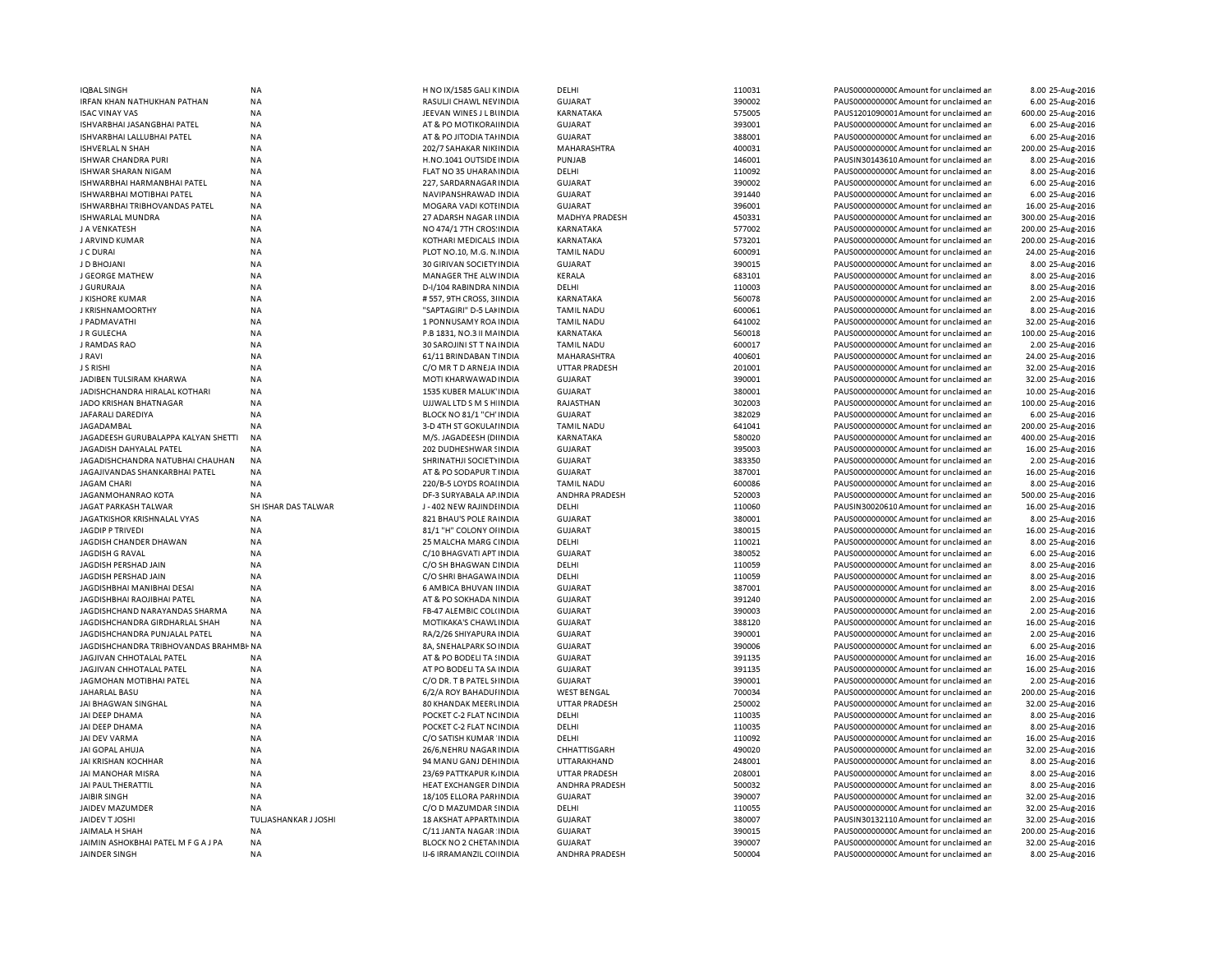| IQBAL SINGH                            | <b>NA</b>            | H NO IX/1585 GALI KINDIA  | DELHI                | 110031 | PAUS0000000000CAmount for unclaimed ar  | 8.00 25-Aug-2016   |
|----------------------------------------|----------------------|---------------------------|----------------------|--------|-----------------------------------------|--------------------|
| <b>RFAN KHAN NATHUKHAN PATHAN</b>      | <b>NA</b>            | RASULJI CHAWL NEVINDIA    | <b>GUJARAT</b>       | 390002 | PAUS0000000000CAmount for unclaimed ar  | 6.00 25-Aug-2016   |
| <b>ISAC VINAY VAS</b>                  | <b>NA</b>            | JEEVAN WINES J L BUNDIA   | KARNATAKA            | 575005 | PAUS1201090001Amount for unclaimed ar   | 600.00 25-Aug-2016 |
| ISHVARBHAI JASANGBHAI PATEL            | <b>NA</b>            | AT & PO MOTIKORAHNDIA     | <b>GUJARAT</b>       | 393001 | PAUS0000000000CAmount for unclaimed ar  | 6.00 25-Aug-2016   |
| ISHVARBHAI LALLUBHAI PATEL             | <b>NA</b>            | AT & PO JITODIA TAHNDIA   | <b>GUJARAT</b>       | 388001 | PAUS0000000000 Amount for unclaimed ar  | 6.00 25-Aug-2016   |
|                                        |                      |                           |                      |        |                                         |                    |
| ISHVERLAL N SHAH                       | <b>NA</b>            | 202/7 SAHAKAR NIKI INDIA  | MAHARASHTRA          | 400031 | PAUS0000000000C Amount for unclaimed ar | 200.00 25-Aug-2016 |
| <b>ISHWAR CHANDRA PURI</b>             | <b>NA</b>            | H.NO.1041 OUTSIDE INDIA   | PUNJAB               | 146001 | PAUSIN30143610 Amount for unclaimed ar  | 8.00 25-Aug-2016   |
| ISHWAR SHARAN NIGAM                    | <b>NA</b>            | FLAT NO 35 UHARAM INDIA   | DELHI                | 110092 | PAUS0000000000CAmount for unclaimed ar  | 8.00 25-Aug-2016   |
| ISHWARBHAI HARMANBHAI PATEL            | <b>NA</b>            | 227. SARDARNAGAR INDIA    | <b>GUJARAT</b>       | 390002 | PAUS0000000000 Amount for unclaimed ar  | 6.00 25-Aug-2016   |
| ISHWARBHAI MOTIBHAI PATEL              | NA                   | NAVIPANSHRAWAD INDIA      | <b>GUJARAT</b>       | 391440 | PAUS0000000000C Amount for unclaimed ar | 6.00 25-Aug-2016   |
| ISHWARBHAI TRIBHOVANDAS PATEL          | <b>NA</b>            | MOGARA VADI KOTI INDIA    | <b>GUJARAT</b>       | 396001 | PAUS0000000000 Amount for unclaimed ar  | 16.00 25-Aug-2016  |
|                                        |                      |                           |                      |        |                                         |                    |
| ISHWARLAL MUNDRA                       | <b>NA</b>            | 27 ADARSH NAGAR LINDIA    | MADHYA PRADESH       | 450331 | PAUS0000000000 Amount for unclaimed ar  | 300.00 25-Aug-2016 |
| J A VENKATESH                          | <b>NA</b>            | NO 474/1 7TH CROS: INDIA  | KARNATAKA            | 577002 | PAUS00000000000 Amount for unclaimed ar | 200.00 25-Aug-2016 |
| J ARVIND KUMAR                         | <b>NA</b>            | KOTHARI MEDICALS INDIA    | KARNATAKA            | 573201 | PAUS0000000000 Amount for unclaimed ar  | 200.00 25-Aug-2016 |
| J C DURAI                              | <b>NA</b>            | PLOT NO.10, M.G. N. INDIA | <b>TAMIL NADU</b>    | 600091 | PAUS00000000000 Amount for unclaimed ar | 24.00 25-Aug-2016  |
| J D BHOJANI                            | <b>NA</b>            | 30 GIRIVAN SOCIETY INDIA  | <b>GUJARAT</b>       | 390015 | PAUS0000000000CAmount for unclaimed ar  | 8.00 25-Aug-2016   |
| J GEORGE MATHEW                        | <b>NA</b>            | MANAGER THE ALW INDIA     | KERALA               | 683101 | PAUS0000000000 Amount for unclaimed ar  | 8.00 25-Aug-2016   |
| <b>J GURURAJA</b>                      | <b>NA</b>            |                           | DELHI                | 110003 |                                         |                    |
|                                        |                      | D-I/104 RABINDRA NINDIA   |                      |        | PAUS00000000000 Amount for unclaimed ar | 8.00 25-Aug-2016   |
| J KISHORE KUMAR                        | <b>NA</b>            | #557, 9TH CROSS, 3HNDIA   | KARNATAKA            | 560078 | PAUS0000000000 Amount for unclaimed ar  | 2.00 25-Aug-2016   |
| <b>J KRISHNAMOORTHY</b>                | <b>NA</b>            | "SAPTAGIRI" D-5 LAI INDIA | <b>TAMIL NADU</b>    | 600061 | PAUS0000000000CAmount for unclaimed ar  | 8.00 25-Aug-2016   |
| J PADMAVATHI                           | <b>NA</b>            | 1 PONNUSAMY ROA INDIA     | <b>TAMIL NADU</b>    | 641002 | PAUS0000000000 Amount for unclaimed ar  | 32.00 25-Aug-2016  |
| J R GULECHA                            | <b>NA</b>            | P.B 1831, NO.3 II MAINDIA | <b>KARNATAKA</b>     | 560018 | PAUS0000000000CAmount for unclaimed ar  | 100.00 25-Aug-2016 |
| J RAMDAS RAO                           | ΝA                   | 30 SAROJINI ST T NA INDIA | <b>TAMIL NADU</b>    | 600017 | PAUS0000000000CAmount for unclaimed ar  | 2.00 25-Aug-2016   |
|                                        |                      |                           |                      |        |                                         |                    |
| J RAVI                                 | <b>NA</b>            | 61/11 BRINDABAN TINDIA    | MAHARASHTRA          | 400601 | PAUS0000000000 Amount for unclaimed ar  | 24.00 25-Aug-2016  |
| J S RISHI                              | <b>NA</b>            | C/O MR T D ARNEJA INDIA   | <b>UTTAR PRADESH</b> | 201001 | PAUS0000000000C Amount for unclaimed ar | 32.00 25-Aug-2016  |
| JADIBEN TULSIRAM KHARWA                | <b>NA</b>            | MOTI KHARWAWAD INDIA      | <b>GUJARAT</b>       | 390001 | PAUS0000000000 Amount for unclaimed ar  | 32.00 25-Aug-2016  |
| JADISHCHANDRA HIRALAL KOTHARI          | NA                   | 1535 KUBER MALUK' INDIA   | <b>GUJARAT</b>       | 380001 | PAUS0000000000CAmount for unclaimed ar  | 10.00 25-Aug-2016  |
| JADO KRISHAN BHATNAGAR                 | <b>NA</b>            | UJJWAL LTD S M S H INDIA  | RAJASTHAN            | 302003 | PAUS0000000000 Amount for unclaimed ar  | 100.00 25-Aug-2016 |
|                                        | <b>NA</b>            |                           |                      | 382029 | PAUS0000000000C Amount for unclaimed ar | 6.00 25-Aug-2016   |
| JAFARALI DAREDIYA                      |                      | BLOCK NO 81/1 "CH' INDIA  | <b>GUJARAT</b>       |        |                                         |                    |
| JAGADAMBAL                             | <b>NA</b>            | 3-D 4TH ST GOKULAI INDIA  | <b>TAMIL NADU</b>    | 641041 | PAUS0000000000CAmount for unclaimed ar  | 200.00 25-Aug-2016 |
| JAGADEESH GURUBALAPPA KALYAN SHETTI    | <b>NA</b>            | M/S. JAGADEESH (DIINDIA   | KARNATAKA            | 580020 | PAUS0000000000 Amount for unclaimed ar  | 400.00 25-Aug-2016 |
| JAGADISH DAHYALAL PATEL                | <b>NA</b>            | 202 DUDHESHWAR SINDIA     | <b>GUJARAT</b>       | 395003 | PAUS0000000000CAmount for unclaimed ar  | 16.00 25-Aug-2016  |
| JAGADISHCHANDRA NATUBHAI CHAUHAN       | <b>NA</b>            | SHRINATHJI SOCIETYINDIA   | <b>GUJARAT</b>       | 383350 | PAUS00000000000 Amount for unclaimed ar | 2.00 25-Aug-2016   |
| JAGAJIVANDAS SHANKARBHAI PATEL         | <b>NA</b>            | AT & PO SODAPUR T INDIA   | <b>GUJARAT</b>       | 387001 | PAUS0000000000CAmount for unclaimed ar  | 16.00 25-Aug-2016  |
|                                        | <b>NA</b>            | 220/B-5 LOYDS ROAHNDIA    | <b>TAMIL NADU</b>    | 600086 | PAUS00000000000 Amount for unclaimed ar | 8.00 25-Aug-2016   |
| JAGAM CHARI                            |                      |                           |                      |        |                                         |                    |
| JAGANMOHANRAO KOTA                     | NA                   | DF-3 SURYABALA AP INDIA   | ANDHRA PRADESH       | 520003 | PAUS0000000000CAmount for unclaimed ar  | 500.00 25-Aug-2016 |
|                                        |                      |                           |                      |        |                                         |                    |
| JAGAT PARKASH TALWAR                   | SH ISHAR DAS TALWAR  | J-402 NEW RAJINDHNDIA     | DELHI                | 110060 | PAUSIN30020610 Amount for unclaimed ar  | 16.00 25-Aug-2016  |
| JAGATKISHOR KRISHNALAL VYAS            | <b>NA</b>            | 821 BHAU'S POLE RAINDIA   | <b>GUJARAT</b>       | 380001 | PAUS0000000000C Amount for unclaimed ar | 8.00 25-Aug-2016   |
| <b>JAGDIP P TRIVEDI</b>                | <b>NA</b>            |                           | <b>GUJARAT</b>       | 380015 | PAUS0000000000 Amount for unclaimed ar  |                    |
|                                        |                      | 81/1 "H" COLONY OHNDIA    |                      |        |                                         | 16.00 25-Aug-2016  |
| JAGDISH CHANDER DHAWAN                 | <b>NA</b>            | 25 MALCHA MARG CINDIA     | DELHI                | 110021 | PAUS0000000000 Amount for unclaimed ar  | 8.00 25-Aug-2016   |
| <b>JAGDISH G RAVAL</b>                 | <b>NA</b>            | C/10 BHAGVATI APT INDIA   | <b>GUJARAT</b>       | 380052 | PAUS0000000000 Amount for unclaimed ar  | 6.00 25-Aug-2016   |
| JAGDISH PERSHAD JAIN                   | <b>NA</b>            | C/O SH BHAGWAN CINDIA     | DELHI                | 110059 | PAUS0000000000 Amount for unclaimed ar  | 8.00 25-Aug-2016   |
| JAGDISH PERSHAD JAIN                   | <b>NA</b>            | C/O SHRI BHAGAWA INDIA    | DELHI                | 110059 | PAUS0000000000 Amount for unclaimed ar  | 8.00 25-Aug-2016   |
| JAGDISHBHAI MANIBHAI DESAI             | <b>NA</b>            | 6 AMBICA BHUVAN IINDIA    | <b>GUJARAT</b>       | 387001 | PAUS0000000000 Amount for unclaimed ar  | 8.00 25-Aug-2016   |
| JAGDISHBHAI RAOJIBHAI PATEL            | <b>NA</b>            | AT & PO SOKHADA NINDIA    | <b>GUJARAT</b>       | 391240 | PAUS0000000000 Amount for unclaimed ar  | 2.00 25-Aug-2016   |
|                                        |                      |                           |                      |        |                                         |                    |
| JAGDISHCHAND NARAYANDAS SHARMA         | <b>NA</b>            | FB-47 ALEMBIC COL(INDIA   | <b>GUJARAT</b>       | 390003 | PAUS0000000000 Amount for unclaimed ar  | 2.00 25-Aug-2016   |
| JAGDISHCHANDRA GIRDHARLAL SHAH         | <b>NA</b>            | MOTIKAKA'S CHAWLINDIA     | <b>GUJARAT</b>       | 388120 | PAUS00000000000 Amount for unclaimed ar | 16.00 25-Aug-2016  |
| JAGDISHCHANDRA PUNJALAL PATEL          | <b>NA</b>            | RA/2/26 SHIYAPURA INDIA   | <b>GUJARAT</b>       | 390001 | PAUS00000000000 Amount for unclaimed ar | 2.00 25-Aug-2016   |
| JAGDISHCHANDRA TRIBHOVANDAS BRAHMBI NA |                      | 8A, SNEHALPARK SO INDIA   | <b>GUJARAT</b>       | 390006 | PAUS0000000000 Amount for unclaimed ar  | 6.00 25-Aug-2016   |
| JAGJIVAN CHHOTALAL PATEL               | <b>NA</b>            | AT & PO BODELI TA ! INDIA | <b>GUJARAT</b>       | 391135 | PAUS00000000000 Amount for unclaimed ar | 16.00 25-Aug-2016  |
| JAGJIVAN CHHOTALAL PATEL               | <b>NA</b>            | AT PO BODELI TA SA INDIA  | <b>GUJARAT</b>       | 391135 | PAUS0000000000 Amount for unclaimed ar  | 16.00 25-Aug-2016  |
|                                        |                      |                           |                      |        |                                         |                    |
| JAGMOHAN MOTIBHAI PATEL                | NA                   | C/O DR. T B PATEL SHNDIA  | <b>GUJARAT</b>       | 390001 | PAUS00000000000 Amount for unclaimed ar | 2.00 25-Aug-2016   |
| JAHARLAL BASU                          | <b>NA</b>            | 6/2/A ROY BAHADUI INDIA   | <b>WEST BENGAL</b>   | 700034 | PAUS0000000000 Amount for unclaimed ar  | 200.00 25-Aug-2016 |
| JAI BHAGWAN SINGHAL                    | <b>NA</b>            | 80 KHANDAK MEERLINDIA     | <b>UTTAR PRADESH</b> | 250002 | PAUS00000000000 Amount for unclaimed ar | 32.00 25-Aug-2016  |
| JAI DEEP DHAMA                         | <b>NA</b>            | POCKET C-2 FLAT NC INDIA  | DELHI                | 110035 | PAUS0000000000C Amount for unclaimed ar | 8.00 25-Aug-2016   |
| JAI DEEP DHAMA                         | <b>NA</b>            | POCKET C-2 FLAT NC INDIA  | DELHI                | 110035 | PAUS0000000000 Amount for unclaimed ar  | 8.00 25-Aug-2016   |
| JAI DEV VARMA                          | <b>NA</b>            | C/O SATISH KUMAR INDIA    | DELHI                | 110092 | PAUS0000000000CAmount for unclaimed ar  | 16.00 25-Aug-2016  |
|                                        |                      |                           |                      |        |                                         |                    |
| JAI GOPAL AHUJA                        | <b>NA</b>            | 26/6, NEHRU NAGAR INDIA   | CHHATTISGARH         | 490020 | PAUS0000000000 Amount for unclaimed ar  | 32.00 25-Aug-2016  |
| JAI KRISHAN KOCHHAR                    | <b>NA</b>            | 94 MANU GANJ DEHINDIA     | UTTARAKHAND          | 248001 | PAUS0000000000C Amount for unclaimed ar | 8.00 25-Aug-2016   |
| JAI MANOHAR MISRA                      | <b>NA</b>            | 23/69 PATTKAPUR K INDIA   | <b>UTTAR PRADESH</b> | 208001 | PAUS0000000000 Amount for unclaimed ar  | 8.00 25-Aug-2016   |
| JAI PAUL THERATTIL                     | <b>NA</b>            | HEAT EXCHANGER DINDIA     | ANDHRA PRADESH       | 500032 | PAUS0000000000CAmount for unclaimed ar  | 8.00 25-Aug-2016   |
| <b>JAIBIR SINGH</b>                    | <b>NA</b>            | 18/105 ELLORA PARI INDIA  | <b>GUJARAT</b>       | 390007 | PAUS0000000000CAmount for unclaimed ar  | 32.00 25-Aug-2016  |
|                                        |                      |                           |                      |        |                                         |                    |
| JAIDEV MAZUMDER                        | <b>NA</b>            | C/O D MAZUMDAR SINDIA     | DELHI                | 110055 | PAUS0000000000CAmount for unclaimed ar  | 32.00 25-Aug-2016  |
| JAIDEV T JOSHI                         | TULJASHANKAR J JOSHI | 18 AKSHAT APPARTMINDIA    | <b>GUJARAT</b>       | 380007 | PAUSIN30132110 Amount for unclaimed ar  | 32.00 25-Aug-2016  |
| JAIMALA H SHAH                         | <b>NA</b>            | C/11 JANTA NAGAR INDIA    | <b>GUJARAT</b>       | 390015 | PAUS00000000000 Amount for unclaimed ar | 200.00 25-Aug-2016 |
| JAIMIN ASHOKBHAI PATEL M F G A J PA    | <b>NA</b>            | BLOCK NO 2 CHETAMINDIA    | <b>GUJARAT</b>       | 390007 | PAUS0000000000CAmount for unclaimed ar  | 32.00 25-Aug-2016  |
| JAINDER SINGH                          | <b>NA</b>            | IJ-6 IRRAMANZIL CO INDIA  | ANDHRA PRADESH       | 500004 | PAUS0000000000 Amount for unclaimed ar  | 8.00 25-Aug-2016   |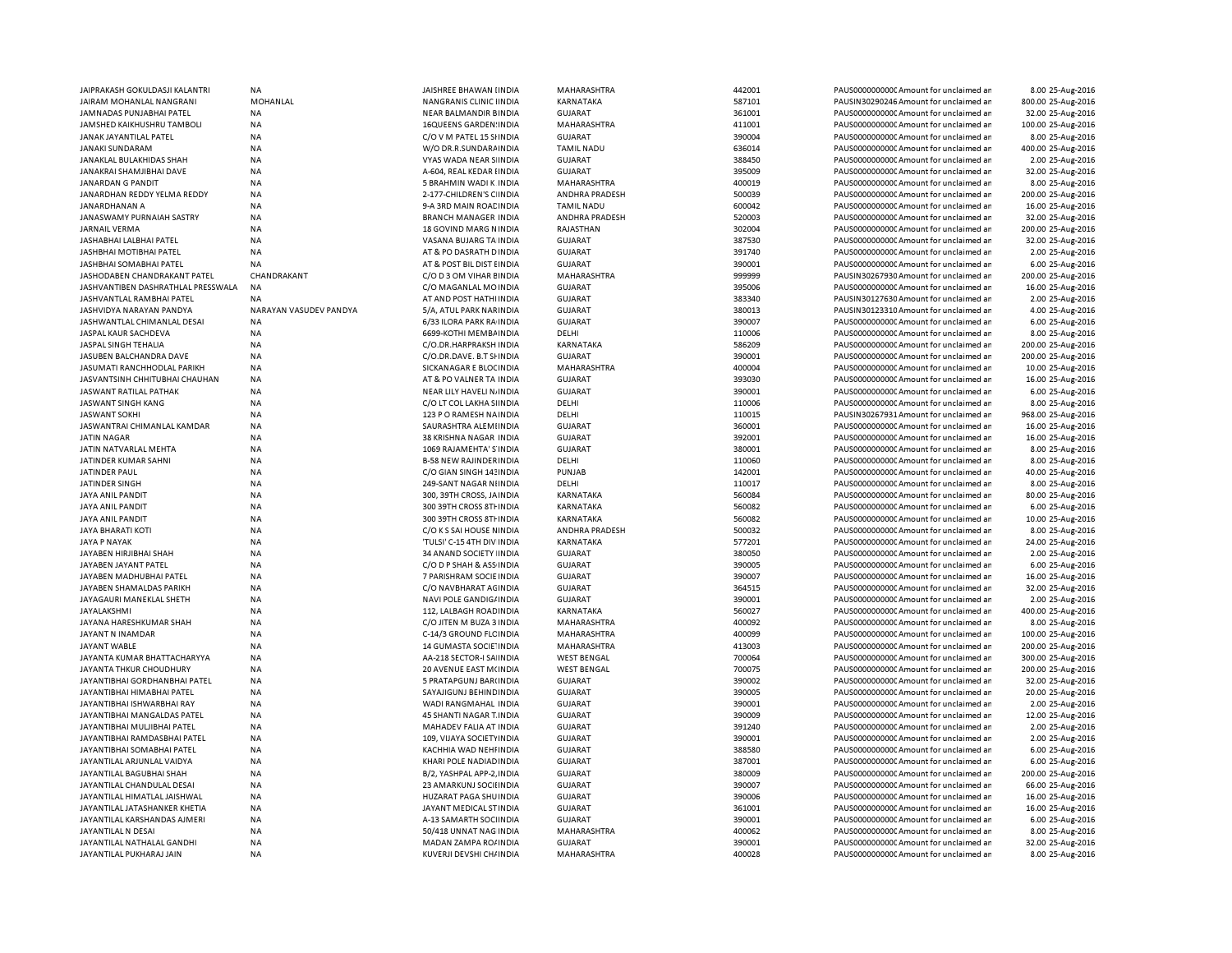| JAIPRAKASH GOKULDASJI KALANTRI     | <b>NA</b>              | JAISHREE BHAWAN IINDIA         | MAHARASHTRA                         | 442001 | PAUS00000000000Amount for unclaimed ar | 8.00 25-Aug-2016   |
|------------------------------------|------------------------|--------------------------------|-------------------------------------|--------|----------------------------------------|--------------------|
| JAIRAM MOHANLAL NANGRANI           | MOHANLAL               | NANGRANIS CLINIC IINDIA        | KARNATAKA                           | 587101 | PAUSIN30290246 Amount for unclaimed ar | 800.00 25-Aug-2016 |
| JAMNADAS PUNJABHAI PATEL           | <b>NA</b>              | NEAR BALMANDIR BINDIA          | <b>GUJARAT</b>                      | 361001 | PAUS0000000000 Amount for unclaimed ar | 32.00 25-Aug-2016  |
| <b>JAMSHED KAIKHUSHRU TAMBOLI</b>  | <b>NA</b>              | <b>16QUEENS GARDEN: INDIA</b>  | MAHARASHTRA                         | 411001 | PAUS0000000000 Amount for unclaimed ar | 100.00 25-Aug-2016 |
| JANAK JAYANTILAL PATEL             | <b>NA</b>              | C/O V M PATEL 15 SHNDIA        | <b>GUJARAT</b>                      | 390004 | PAUS0000000000 Amount for unclaimed ar | 8.00 25-Aug-2016   |
| JANAKI SUNDARAM                    | <b>NA</b>              | W/O DR.R.SUNDARA INDIA         | <b>TAMIL NADU</b>                   | 636014 | PAUS0000000000 Amount for unclaimed ar | 400.00 25-Aug-2016 |
| JANAKLAL BULAKHIDAS SHAH           | <b>NA</b>              | VYAS WADA NEAR S INDIA         | <b>GUJARAT</b>                      | 388450 | PAUS0000000000CAmount for unclaimed ar | 2.00 25-Aug-2016   |
| JANAKRAI SHAMJIBHAI DAVE           | <b>NA</b>              | A-604, REAL KEDAR I INDIA      | <b>GUJARAT</b>                      | 395009 | PAUS0000000000 Amount for unclaimed ar | 32.00 25-Aug-2016  |
|                                    |                        |                                |                                     | 400019 |                                        | 8.00 25-Aug-2016   |
| JANARDAN G PANDIT                  | ΝA                     | 5 BRAHMIN WADI K INDIA         | MAHARASHTRA                         | 500039 | PAUS0000000000 Amount for unclaimed ar | 200.00 25-Aug-2016 |
| JANARDHAN REDDY YELMA REDDY        | <b>NA</b>              | 2-177-CHILDREN'S C INDIA       | ANDHRA PRADESH<br><b>TAMIL NADU</b> |        | PAUS0000000000 Amount for unclaimed ar |                    |
| JANARDHANAN A                      | <b>NA</b>              | 9-A 3RD MAIN ROACINDIA         |                                     | 600042 | PAUS0000000000CAmount for unclaimed ar | 16.00 25-Aug-2016  |
| JANASWAMY PURNAIAH SASTRY          | <b>NA</b>              | <b>BRANCH MANAGER INDIA</b>    | ANDHRA PRADESH                      | 520003 | PAUS00000000000Amount for unclaimed ar | 32.00 25-Aug-2016  |
| <b>JARNAIL VERMA</b>               | <b>NA</b>              | 18 GOVIND MARG N INDIA         | RAJASTHAN                           | 302004 | PAUS00000000000Amount for unclaimed ar | 200.00 25-Aug-2016 |
| JASHABHAI LALBHAI PATEL            | <b>NA</b>              | VASANA BUJARG TA INDIA         | <b>GUJARAT</b>                      | 387530 | PAUS00000000000Amount for unclaimed ar | 32.00 25-Aug-2016  |
| <b>JASHBHAI MOTIBHAI PATEL</b>     | <b>NA</b>              | AT & PO DASRATH D INDIA        | <b>GUJARAT</b>                      | 391740 | PAUS0000000000CAmount for unclaimed ar | 2.00 25-Aug-2016   |
| <b>JASHBHAI SOMABHAI PATEL</b>     | <b>NA</b>              | AT & POST BIL DIST EIN DIA     | <b>GUJARAT</b>                      | 390001 | PAUS0000000000 Amount for unclaimed ar | 6.00 25-Aug-2016   |
| JASHODABEN CHANDRAKANT PATEL       | CHANDRAKANT            | C/O D 3 OM VIHAR EINDIA        | MAHARASHTRA                         | 999999 | PAUSIN30267930 Amount for unclaimed ar | 200.00 25-Aug-2016 |
| JASHVANTIBEN DASHRATHLAL PRESSWALA | NA                     | C/O MAGANLAL MOINDIA           | <b>GUJARAT</b>                      | 395006 | PAUS0000000000 Amount for unclaimed ar | 16.00 25-Aug-2016  |
| JASHVANTLAL RAMBHAI PATEL          | <b>NA</b>              | AT AND POST HATHI INDIA        | <b>GUJARAT</b>                      | 383340 | PAUSIN30127630 Amount for unclaimed ar | 2.00 25-Aug-2016   |
| JASHVIDYA NARAYAN PANDYA           | NARAYAN VASUDEV PANDYA | 5/A, ATUL PARK NARINDIA        | <b>GUJARAT</b>                      | 380013 | PAUSIN30123310 Amount for unclaimed ar | 4.00 25-Aug-2016   |
| JASHWANTLAL CHIMANLAL DESAI        | <b>NA</b>              | 6/33 ILORA PARK RA INDIA       | <b>GUJARAT</b>                      | 390007 | PAUS0000000000 Amount for unclaimed ar | 6.00 25-Aug-2016   |
| JASPAL KAUR SACHDEVA               | <b>NA</b>              | 6699-KOTHI MEMBAINDIA          | DELHI                               | 110006 | PAUS0000000000 Amount for unclaimed ar | 8.00 25-Aug-2016   |
| JASPAL SINGH TEHALIA               | <b>NA</b>              | C/O.DR.HARPRAKSH INDIA         | KARNATAKA                           | 586209 | PAUS0000000000 Amount for unclaimed ar | 200.00 25-Aug-2016 |
| JASUBEN BALCHANDRA DAVE            | <b>NA</b>              | C/O.DR.DAVE. B.T SHNDIA        | <b>GUJARAT</b>                      | 390001 | PAUS0000000000 Amount for unclaimed ar | 200.00 25-Aug-2016 |
| JASUMATI RANCHHODLAL PARIKH        | NA                     | SICKANAGAR E BLOCINDIA         | MAHARASHTRA                         | 400004 | PAUS0000000000 Amount for unclaimed ar | 10.00 25-Aug-2016  |
| JASVANTSINH CHHITUBHAI CHAUHAN     | <b>NA</b>              | AT & PO VALNER TA INDIA        | <b>GUJARAT</b>                      | 393030 | PAUS0000000000 Amount for unclaimed ar | 16.00 25-Aug-2016  |
| JASWANT RATILAL PATHAK             | <b>NA</b>              | NEAR LILY HAVELI NJINDIA       | <b>GUJARAT</b>                      | 390001 | PAUS0000000000 Amount for unclaimed ar | 6.00 25-Aug-2016   |
|                                    |                        |                                |                                     |        |                                        |                    |
| JASWANT SINGH KANG                 | <b>NA</b>              | C/O LT COL LAKHA SI INDIA      | DELHI                               | 110006 | PAUS0000000000 Amount for unclaimed ar | 8.00 25-Aug-2016   |
| <b>JASWANT SOKHI</b>               | <b>NA</b>              | 123 P O RAMESH NA INDIA        | DELHI                               | 110015 | PAUSIN30267931 Amount for unclaimed ar | 968.00 25-Aug-2016 |
| JASWANTRAI CHIMANLAL KAMDAR        | NA                     | SAURASHTRA ALEMIINDIA          | <b>GUJARAT</b>                      | 360001 | PAUS0000000000 Amount for unclaimed ar | 16.00 25-Aug-2016  |
| <b>JATIN NAGAR</b>                 | NA                     | 38 KRISHNA NAGAR INDIA         | <b>GUJARAT</b>                      | 392001 | PAUS0000000000CAmount for unclaimed ar | 16.00 25-Aug-2016  |
| JATIN NATVARLAL MEHTA              | <b>NA</b>              | 1069 RAJAMEHTA' S'INDIA        | <b>GUJARAT</b>                      | 380001 | PAUS0000000000 Amount for unclaimed ar | 8.00 25-Aug-2016   |
| JATINDER KUMAR SAHNI               | <b>NA</b>              | <b>B-58 NEW RAJINDER INDIA</b> | DELHI                               | 110060 | PAUS0000000000 Amount for unclaimed ar | 8.00 25-Aug-2016   |
| JATINDER PAUL                      | NA                     | C/O GIAN SINGH 143 INDIA       | PUNJAB                              | 142001 | PAUS0000000000 Amount for unclaimed ar | 40.00 25-Aug-2016  |
| JATINDER SINGH                     | NA                     | 249-SANT NAGAR NIINDIA         | DELHI                               | 110017 | PAUS0000000000 Amount for unclaimed ar | 8.00 25-Aug-2016   |
| JAYA ANIL PANDIT                   | <b>NA</b>              | 300, 39TH CROSS, JAINDIA       | KARNATAKA                           | 560084 | PAUS00000000000Amount for unclaimed ar | 80.00 25-Aug-2016  |
| JAYA ANIL PANDIT                   | <b>NA</b>              | 300 39TH CROSS 8TH INDIA       | KARNATAKA                           | 560082 | PAUS0000000000 Amount for unclaimed ar | 6.00 25-Aug-2016   |
| <b>JAYA ANIL PANDIT</b>            | <b>NA</b>              | 300 39TH CROSS 8TH INDIA       | KARNATAKA                           | 560082 | PAUS0000000000 Amount for unclaimed ar | 10.00 25-Aug-2016  |
| <b>JAYA BHARATI KOTI</b>           | ΝA                     | C/O K S SAI HOUSE NINDIA       | ANDHRA PRADESH                      | 500032 | PAUS00000000000Amount for unclaimed ar | 8.00 25-Aug-2016   |
| <b>JAYA P NAYAK</b>                | <b>NA</b>              | 'TULSI' C-15 4TH DIV INDIA     | KARNATAKA                           | 577201 | PAUS0000000000 Amount for unclaimed ar | 24.00 25-Aug-2016  |
| JAYABEN HIRJIBHAI SHAH             | NA                     | 34 ANAND SOCIETY INDIA         | <b>GUJARAT</b>                      | 380050 | PAUS0000000000CAmount for unclaimed ar | 2.00 25-Aug-2016   |
| JAYABEN JAYANT PATEL               | NA                     | C/O D P SHAH & ASS INDIA       | <b>GUJARAT</b>                      | 390005 | PAUS00000000000Amount for unclaimed ar | 6.00 25-Aug-2016   |
| JAYABEN MADHUBHAI PATEL            | NA                     | 7 PARISHRAM SOCIE INDIA        | <b>GUJARAT</b>                      | 390007 | PAUS0000000000CAmount for unclaimed ar | 16.00 25-Aug-2016  |
| JAYABEN SHAMALDAS PARIKH           | <b>NA</b>              | C/O NAVBHARAT AGINDIA          | <b>GUJARAT</b>                      | 364515 | PAUS0000000000CAmount for unclaimed ar | 32.00 25-Aug-2016  |
| JAYAGAURI MANEKLAL SHETH           | <b>NA</b>              | NAVI POLE GANDIG/INDIA         | <b>GUJARAT</b>                      | 390001 | PAUS0000000000CAmount for unclaimed ar | 2.00 25-Aug-2016   |
| <b>JAYALAKSHMI</b>                 | <b>NA</b>              | 112, LALBAGH ROAD IN DIA       | KARNATAKA                           | 560027 | PAUS0000000000 Amount for unclaimed ar | 400.00 25-Aug-2016 |
| JAYANA HARESHKUMAR SHAH            |                        |                                | MAHARASHTRA                         | 400092 | PAUS0000000000 Amount for unclaimed ar | 8.00 25-Aug-2016   |
|                                    | <b>NA</b>              | C/O JITEN M BUZA 3 INDIA       |                                     |        |                                        |                    |
| JAYANT N INAMDAR                   | <b>NA</b>              | C-14/3 GROUND FLC INDIA        | MAHARASHTRA                         | 400099 | PAUS0000000000 Amount for unclaimed ar | 100.00 25-Aug-2016 |
| <b>JAYANT WABLE</b>                | <b>NA</b>              | 14 GUMASTA SOCIE' INDIA        | MAHARASHTRA                         | 413003 | PAUS0000000000 Amount for unclaimed ar | 200.00 25-Aug-2016 |
| JAYANTA KUMAR BHATTACHARYYA        | <b>NA</b>              | AA-218 SECTOR-I SA INDIA       | <b>WEST BENGAL</b>                  | 700064 | PAUS0000000000 Amount for unclaimed ar | 300.00 25-Aug-2016 |
| <b>JAYANTA THKUR CHOUDHURY</b>     | <b>NA</b>              | 20 AVENUE EAST M(INDIA         | <b>WEST BENGAL</b>                  | 700075 | PAUS0000000000 Amount for unclaimed ar | 200.00 25-Aug-2016 |
| JAYANTIBHAI GORDHANBHAI PATEL      | <b>NA</b>              | 5 PRATAPGUNJ BAR(INDIA         | <b>GUJARAT</b>                      | 390002 | PAUS0000000000 Amount for unclaimed ar | 32.00 25-Aug-2016  |
| JAYANTIBHAI HIMABHAI PATEL         | <b>NA</b>              | SAYAJIGUNJ BEHINDINDIA         | <b>GUJARAT</b>                      | 390005 | PAUS0000000000 Amount for unclaimed ar | 20.00 25-Aug-2016  |
| JAYANTIBHAI ISHWARBHAI RAY         | <b>NA</b>              | WADI RANGMAHAL INDIA           | <b>GUJARAT</b>                      | 390001 | PAUS0000000000 Amount for unclaimed ar | 2.00 25-Aug-2016   |
| JAYANTIBHAI MANGALDAS PATEL        | <b>NA</b>              | 45 SHANTI NAGAR T. INDIA       | <b>GUJARAT</b>                      | 390009 | PAUS0000000000 Amount for unclaimed ar | 12.00 25-Aug-2016  |
| JAYANTIBHAI MULJIBHAI PATEL        | <b>NA</b>              | MAHADEV FALIA AT INDIA         | <b>GUJARAT</b>                      | 391240 | PAUS0000000000CAmount for unclaimed ar | 2.00 25-Aug-2016   |
| JAYANTIBHAI RAMDASBHAI PATEL       | <b>NA</b>              | 109, VIJAYA SOCIETYINDIA       | <b>GUJARAT</b>                      | 390001 | PAUS0000000000 Amount for unclaimed ar | 2.00 25-Aug-2016   |
| JAYANTIBHAI SOMABHAI PATEL         | NA                     | KACHHIA WAD NEHI INDIA         | <b>GUJARAT</b>                      | 388580 | PAUS0000000000 Amount for unclaimed ar | 6.00 25-Aug-2016   |
| JAYANTILAL ARJUNLAL VAIDYA         | <b>NA</b>              | KHARI POLE NADIAD INDIA        | <b>GUJARAT</b>                      | 387001 | PAUS0000000000 Amount for unclaimed ar | 6.00 25-Aug-2016   |
| JAYANTILAL BAGUBHAI SHAH           | NA                     | B/2, YASHPAL APP-2, INDIA      | <b>GUJARAT</b>                      | 380009 | PAUS0000000000 Amount for unclaimed ar | 200.00 25-Aug-2016 |
| JAYANTILAL CHANDULAL DESAI         | <b>NA</b>              | 23 AMARKUNJ SOCIHNDIA          | <b>GUJARAT</b>                      | 390007 | PAUS0000000000CAmount for unclaimed ar | 66.00 25-Aug-2016  |
| JAYANTILAL HIMATLAL JAISHWAL       | <b>NA</b>              | HUZARAT PAGA SHUINDIA          | <b>GUJARAT</b>                      | 390006 | PAUS0000000000 Amount for unclaimed ar | 16.00 25-Aug-2016  |
| JAYANTILAL JATASHANKER KHETIA      | NA                     | JAYANT MEDICAL STINDIA         | <b>GUJARAT</b>                      | 361001 | PAUS0000000000CAmount for unclaimed ar | 16.00 25-Aug-2016  |
| JAYANTILAL KARSHANDAS AJMERI       | NA                     | A-13 SAMARTH SOCHNDIA          | <b>GUJARAT</b>                      | 390001 | PAUS0000000000 Amount for unclaimed ar | 6.00 25-Aug-2016   |
| JAYANTILAL N DESAI                 | <b>NA</b>              | 50/418 UNNAT NAG INDIA         | MAHARASHTRA                         | 400062 | PAUS0000000000 Amount for unclaimed ar | 8.00 25-Aug-2016   |
| JAYANTILAL NATHALAL GANDHI         | <b>NA</b>              | MADAN ZAMPA RO/INDIA           | <b>GUJARAT</b>                      | 390001 | PAUS0000000000CAmount for unclaimed an | 32.00 25-Aug-2016  |
| JAYANTILAL PUKHARAJ JAIN           | <b>NA</b>              | KUVERJI DEVSHI CH/ INDIA       |                                     | 400028 | PAUS00000000000Amount for unclaimed ar |                    |
|                                    |                        |                                | MAHARASHTRA                         |        |                                        | 8.00 25-Aug-2016   |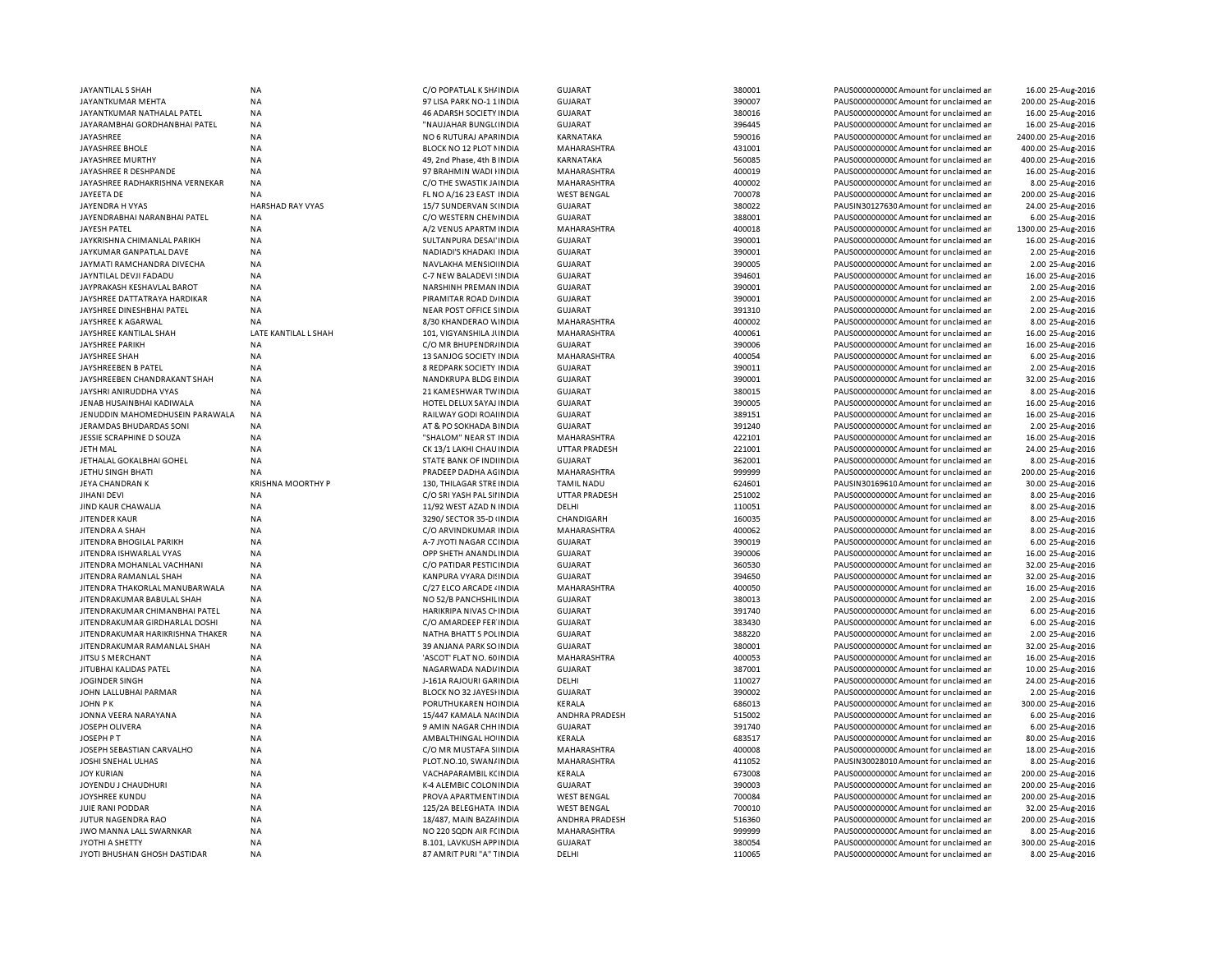| JAYANTILAL S SHAH                 | <b>NA</b>                | C/O POPATLAL K SH/ INDIA       | <b>GUJARAT</b>       | 380001 | PAUS0000000000 Amount for unclaimed ar  | 16.00 25-Aug-2016   |
|-----------------------------------|--------------------------|--------------------------------|----------------------|--------|-----------------------------------------|---------------------|
| JAYANTKUMAR MEHTA                 | <b>NA</b>                | 97 LISA PARK NO-1 1 INDIA      | <b>GUJARAT</b>       | 390007 | PAUS0000000000 Amount for unclaimed an  | 200.00 25-Aug-2016  |
| JAYANTKUMAR NATHALAL PATEL        | <b>NA</b>                | <b>46 ADARSH SOCIETY INDIA</b> | <b>GUJARAT</b>       | 380016 | PAUS0000000000 Amount for unclaimed ar  | 16.00 25-Aug-2016   |
|                                   |                          |                                |                      |        |                                         |                     |
| JAYARAMBHAI GORDHANBHAI PATEL     | <b>NA</b>                | "NAUJAHAR BUNGL(INDIA          | <b>GUJARAT</b>       | 396445 | PAUS0000000000 Amount for unclaimed ar  | 16.00 25-Aug-2016   |
| JAYASHREE                         | <b>NA</b>                | NO 6 RUTURAJ APAFINDIA         | KARNATAKA            | 590016 | PAUS0000000000 Amount for unclaimed ar  | 2400.00 25-Aug-2016 |
| JAYASHREE BHOLE                   | <b>NA</b>                | BLOCK NO 12 PLOT I INDIA       | MAHARASHTRA          | 431001 | PAUS0000000000 Amount for unclaimed ar  | 400.00 25-Aug-2016  |
| JAYASHREE MURTHY                  | <b>NA</b>                | 49, 2nd Phase, 4th B INDIA     | KARNATAKA            | 560085 | PAUS0000000000 Amount for unclaimed ar  | 400.00 25-Aug-2016  |
| JAYASHREE R DESHPANDE             | NA                       | 97 BRAHMIN WADI HNDIA          | MAHARASHTRA          | 400019 | PAUS0000000000C Amount for unclaimed ar | 16.00 25-Aug-2016   |
| JAYASHREE RADHAKRISHNA VERNEKAR   | <b>NA</b>                | C/O THE SWASTIK JAINDIA        | MAHARASHTRA          | 400002 | PAUS0000000000 Amount for unclaimed ar  | 8.00 25-Aug-2016    |
|                                   |                          |                                |                      |        |                                         |                     |
| JAYEETA DE                        | <b>NA</b>                | FL NO A/16 23 EAST INDIA       | <b>WEST BENGAL</b>   | 700078 | PAUS0000000000 Amount for unclaimed ar  | 200.00 25-Aug-2016  |
| JAYENDRA H VYAS                   | HARSHAD RAY VYAS         | 15/7 SUNDERVAN S(INDIA         | <b>GUJARAT</b>       | 380022 | PAUSIN30127630 Amount for unclaimed ar  | 24.00 25-Aug-2016   |
| JAYENDRABHAI NARANBHAI PATEL      | NA                       | C/O WESTERN CHEN INDIA         | GUJARAT              | 388001 | PAUS0000000000 Amount for unclaimed ar  | 6.00 25-Aug-2016    |
| JAYESH PATEL                      | <b>NA</b>                | A/2 VENUS APARTM INDIA         | MAHARASHTRA          | 400018 | PAUS0000000000 Amount for unclaimed ar  | 1300.00 25-Aug-2016 |
| JAYKRISHNA CHIMANLAL PARIKH       | <b>NA</b>                | SULTANPURA DESAI'INDIA         | <b>GUJARAT</b>       | 390001 | PAUS0000000000 Amount for unclaimed ar  | 16.00 25-Aug-2016   |
| JAYKUMAR GANPATLAL DAVE           | <b>NA</b>                | NADIADI'S KHADAKI INDIA        | <b>GUJARAT</b>       | 390001 | PAUS0000000000 Amount for unclaimed ar  | 2.00 25-Aug-2016    |
| JAYMATI RAMCHANDRA DIVECHA        | <b>NA</b>                | NAVLAKHA MENSIO INDIA          | <b>GUJARAT</b>       | 390005 | PAUS0000000000 Amount for unclaimed ar  | 2.00 25-Aug-2016    |
|                                   |                          |                                |                      |        |                                         |                     |
| JAYNTILAL DEVJI FADADU            | NA                       | C-7 NEW BALADEVI ! INDIA       | <b>GUJARAT</b>       | 394601 | PAUS0000000000C Amount for unclaimed ar | 16.00 25-Aug-2016   |
| JAYPRAKASH KESHAVLAL BAROT        | <b>NA</b>                | NARSHINH PREMAN INDIA          | <b>GUJARAT</b>       | 390001 | PAUS0000000000 Amount for unclaimed ar  | 2.00 25-Aug-2016    |
| JAYSHREE DATTATRAYA HARDIKAR      | NA                       | PIRAMITAR ROAD D/ INDIA        | <b>GUJARAT</b>       | 390001 | PAUS0000000000 Amount for unclaimed ar  | 2.00 25-Aug-2016    |
| JAYSHREE DINESHBHAI PATEL         | <b>NA</b>                | NEAR POST OFFICE SINDIA        | <b>GUJARAT</b>       | 391310 | PAUS0000000000 Amount for unclaimed ar  | 2.00 25-Aug-2016    |
| JAYSHREE K AGARWAL                | NA                       | 8/30 KHANDERAO WINDIA          | MAHARASHTRA          | 400002 | PAUS0000000000C Amount for unclaimed ar | 8.00 25-Aug-2016    |
| JAYSHREE KANTILAL SHAH            | LATE KANTILAL L SHAH     | 101, VIGYANSHILA JUNDIA        | MAHARASHTRA          | 400061 | PAUS0000000000 Amount for unclaimed ar  | 16.00 25-Aug-2016   |
|                                   | <b>NA</b>                | C/O MR BHUPENDR/ INDIA         | <b>GUJARAT</b>       | 390006 | PAUS0000000000Amount for unclaimed ar   | 16.00 25-Aug-2016   |
| JAYSHREE PARIKH                   |                          |                                |                      |        |                                         |                     |
| <b>JAYSHREE SHAH</b>              | <b>NA</b>                | 13 SANJOG SOCIETY INDIA        | MAHARASHTRA          | 400054 | PAUS0000000000CAmount for unclaimed ar  | 6.00 25-Aug-2016    |
| JAYSHREEBEN B PATEL               | <b>NA</b>                | 8 REDPARK SOCIETY INDIA        | GUIARAT              | 390011 | PAUS0000000000 Amount for unclaimed ar  | 2.00 25-Aug-2016    |
| JAYSHREEBEN CHANDRAKANT SHAH      | <b>NA</b>                | NANDKRUPA BLDG EINDIA          | <b>GUJARAT</b>       | 390001 | PAUS0000000000CAmount for unclaimed ar  | 32.00 25-Aug-2016   |
| JAYSHRI ANIRUDDHA VYAS            | <b>NA</b>                | 21 KAMESHWAR TWINDIA           | <b>GUJARAT</b>       | 380015 | PAUS0000000000CAmount for unclaimed ar  | 8.00 25-Aug-2016    |
| JENAB HUSAINBHAI KADIWALA         | <b>NA</b>                | HOTEL DELUX SAYAJ INDIA        | <b>GUJARAT</b>       | 390005 | PAUS0000000000CAmount for unclaimed ar  | 16.00 25-Aug-2016   |
| JENUDDIN MAHOMEDHUSEIN PARAWALA   | <b>NA</b>                | RAILWAY GODI ROAHNDIA          | <b>GUJARAT</b>       | 389151 | PAUS0000000000 Amount for unclaimed ar  | 16.00 25-Aug-2016   |
|                                   |                          |                                |                      |        |                                         |                     |
| JERAMDAS BHUDARDAS SONI           | NA                       | AT & PO SOKHADA BINDIA         | <b>GUJARAT</b>       | 391240 | PAUS0000000000C Amount for unclaimed ar | 2.00 25-Aug-2016    |
| <b>JESSIE SCRAPHINE D SOUZA</b>   | <b>NA</b>                | "SHALOM" NEAR ST INDIA         | MAHARASHTRA          | 422101 | PAUS0000000000 Amount for unclaimed ar  | 16.00 25-Aug-2016   |
| <b>JETH MAL</b>                   | <b>NA</b>                | CK 13/1 LAKHI CHAU INDIA       | <b>UTTAR PRADESH</b> | 221001 | PAUS0000000000C Amount for unclaimed ar | 24.00 25-Aug-2016   |
| JETHALAL GOKALBHAI GOHEL          | <b>NA</b>                | STATE BANK OF INDIINDIA        | <b>GUJARAT</b>       | 362001 | PAUS0000000000 Amount for unclaimed ar  | 8.00 25-Aug-2016    |
| JETHU SINGH BHATI                 | NA                       | PRADEEP DADHA AGINDIA          | MAHARASHTRA          | 999999 | PAUS0000000000C Amount for unclaimed ar | 200.00 25-Aug-2016  |
| <b>JEYA CHANDRAN K</b>            | <b>KRISHNA MOORTHY P</b> | 130. THILAGAR STRE INDIA       | <b>TAMIL NADU</b>    | 624601 | PAUSIN30169610 Amount for unclaimed ar  | 30.00 25-Aug-2016   |
| <b>JIHANI DEVI</b>                | <b>NA</b>                | C/O SRI YASH PAL SII INDIA     | UTTAR PRADESH        | 251002 | PAUS0000000000 Amount for unclaimed ar  | 8.00 25-Aug-2016    |
|                                   |                          |                                |                      |        |                                         |                     |
| JIND KAUR CHAWALIA                | <b>NA</b>                | 11/92 WEST AZAD N INDIA        | DELHI                | 110051 | PAUS00000000000 Amount for unclaimed ar | 8.00 25-Aug-2016    |
| JITENDER KAUR                     | <b>NA</b>                | 3290/ SECTOR 35-D INDIA        | CHANDIGARH           | 160035 | PAUS00000000000 Amount for unclaimed ar | 8.00 25-Aug-2016    |
| JITENDRA A SHAH                   | <b>NA</b>                | C/O ARVINDKUMAR INDIA          | MAHARASHTRA          | 400062 | PAUS0000000000 Amount for unclaimed ar  | 8.00 25-Aug-2016    |
| JITENDRA BHOGILAL PARIKH          | <b>NA</b>                | A-7 JYOTI NAGAR CC INDIA       | <b>GUJARAT</b>       | 390019 | PAUS0000000000Amount for unclaimed ar   | 6.00 25-Aug-2016    |
| JITEN DRA ISHWARLAL VYAS          | <b>NA</b>                | OPP SHETH ANANDLINDIA          | <b>GUJARAT</b>       | 390006 | PAUS0000000000 Amount for unclaimed ar  | 16.00 25-Aug-2016   |
| JITENDRA MOHANLAL VACHHANI        | <b>NA</b>                | C/O PATIDAR PESTIC INDIA       | <b>GUJARAT</b>       | 360530 | PAUS0000000000 Amount for unclaimed ar  | 32.00 25-Aug-2016   |
| JITENDRA RAMANLAL SHAH            | <b>NA</b>                | KANPURA VYARA DI! INDIA        | <b>GUJARAT</b>       | 394650 | PAUS0000000000 Amount for unclaimed ar  | 32.00 25-Aug-2016   |
|                                   |                          |                                |                      |        |                                         |                     |
| JITENDRA THAKORLAL MANUBARWALA    | <b>NA</b>                | C/27 ELCO ARCADE 4 IN DIA      | MAHARASHTRA          | 400050 | PAUS00000000000Amount for unclaimed an  | 16.00 25-Aug-2016   |
| JITENDRAKUMAR BABULAL SHAH        | <b>NA</b>                | NO 52/B PANCHSHILINDIA         | <b>GUJARAT</b>       | 380013 | PAUS0000000000 Amount for unclaimed ar  | 2.00 25-Aug-2016    |
| JITENDRAKUMAR CHIMANBHAI PATEL    | <b>NA</b>                | HARIKRIPA NIVAS CHINDIA        | <b>GUJARAT</b>       | 391740 | PAUS0000000000 Amount for unclaimed ar  | 6.00 25-Aug-2016    |
| JITEN DRAKUMAR GIRDHARLAL DOSHI   | <b>NA</b>                | C/O AMARDEEP FER INDIA         | <b>GUJARAT</b>       | 383430 | PAUS0000000000 Amount for unclaimed ar  | 6.00 25-Aug-2016    |
| JITEN DRAKUMAR HARIKRISHNA THAKER | <b>NA</b>                | NATHA BHATT S POLINDIA         | <b>GUJARAT</b>       | 388220 | PAUS0000000000 Amount for unclaimed ar  | 2.00 25-Aug-2016    |
| JITENDRAKUMAR RAMANLAL SHAH       | <b>NA</b>                | 39 ANJANA PARK SO INDIA        | <b>GUJARAT</b>       | 380001 | PAUS0000000000 Amount for unclaimed ar  | 32.00 25-Aug-2016   |
| JITSU S MERCHANT                  | <b>NA</b>                | 'ASCOT' FLAT NO. 60 INDIA      | MAHARASHTRA          | 400053 | PAUS0000000000 Amount for unclaimed ar  | 16.00 25-Aug-2016   |
|                                   |                          |                                |                      |        |                                         |                     |
| JITUBHAI KALIDAS PATEL            | <b>NA</b>                | NAGARWADA NADI/INDIA           | <b>GUJARAT</b>       | 387001 | PAUS0000000000 Amount for unclaimed ar  | 10.00 25-Aug-2016   |
| <b>JOGINDER SINGH</b>             | <b>NA</b>                | J-161A RAJOURI GAFINDIA        | DELHI                | 110027 | PAUS0000000000 Amount for unclaimed ar  | 24.00 25-Aug-2016   |
| JOHN LALLUBHAI PARMAR             | <b>NA</b>                | BLOCK NO 32 JAYESHNDIA         | <b>GUJARAT</b>       | 390002 | PAUS0000000000 Amount for unclaimed ar  | 2.00 25-Aug-2016    |
| <b>JOHN PK</b>                    | <b>NA</b>                | PORUTHUKAREN HC INDIA          | KERALA               | 686013 | PAUS00000000000 Amount for unclaimed ar | 300.00 25-Aug-2016  |
| JONNA VEERA NARAYANA              | <b>NA</b>                | 15/447 KAMALA NA(INDIA         | ANDHRA PRADESH       | 515002 | PAUS0000000000 Amount for unclaimed ar  | 6.00 25-Aug-2016    |
| JOSEPH OLIVERA                    | <b>NA</b>                | 9 AMIN NAGAR CHH INDIA         | <b>GUJARAT</b>       | 391740 | PAUS0000000000 Amount for unclaimed ar  | 6.00 25-Aug-2016    |
| JOSEPH P T                        | <b>NA</b>                | AMBALTHINGAL HO INDIA          | KERALA               | 683517 | PAUS00000000000Amount for unclaimed an  |                     |
|                                   |                          |                                |                      |        |                                         | 80.00 25-Aug-2016   |
| JOSEPH SEBASTIAN CARVALHO         | <b>NA</b>                | C/O MR MUSTAFA S INDIA         | MAHARASHTRA          | 400008 | PAUS0000000000 Amount for unclaimed ar  | 18.00 25-Aug-2016   |
| JOSHI SNEHAL ULHAS                | <b>NA</b>                | PLOT.NO.10, SWAN/INDIA         | MAHARASHTRA          | 411052 | PAUSIN30028010 Amount for unclaimed ar  | 8.00 25-Aug-2016    |
| <b>JOY KURIAN</b>                 | <b>NA</b>                | VACHAPARAMBIL K(INDIA          | KERALA               | 673008 | PAUS0000000000 Amount for unclaimed ar  | 200.00 25-Aug-2016  |
| JOYENDU J CHAUDHURI               | <b>NA</b>                | K-4 ALEMBIC COLONINDIA         | <b>GUJARAT</b>       | 390003 | PAUS0000000000 Amount for unclaimed ar  | 200.00 25-Aug-2016  |
| JOYSHREE KUNDU                    | NA                       | PROVA APARTMENT INDIA          | <b>WEST BENGAL</b>   | 700084 | PAUS0000000000 Amount for unclaimed ar  | 200.00 25-Aug-2016  |
| JUIE RANI PODDAR                  | <b>NA</b>                | 125/2A BELEGHATA INDIA         | <b>WEST BENGAL</b>   | 700010 | PAUS0000000000 Amount for unclaimed ar  | 32.00 25-Aug-2016   |
|                                   |                          |                                |                      |        |                                         |                     |
| JUTUR NAGENDRA RAO                | NA                       | 18/487, MAIN BAZAHNDIA         | ANDHRA PRADESH       | 516360 | PAUS0000000000C Amount for unclaimed ar | 200.00 25-Aug-2016  |
| JWO MANNA LALL SWARNKAR           | <b>NA</b>                | NO 220 SQDN AIR FCINDIA        | MAHARASHTRA          | 999999 | PAUS0000000000 Amount for unclaimed ar  | 8.00 25-Aug-2016    |
| JYOTHI A SHETTY                   | <b>NA</b>                | <b>B.101, LAVKUSH APPINDIA</b> | <b>GUJARAT</b>       | 380054 | PAUS0000000000CAmount for unclaimed ar  | 300.00 25-Aug-2016  |
| JYOTI BHUSHAN GHOSH DASTIDAR      | <b>NA</b>                | 87 AMRIT PURI "A" TINDIA       | DELHI                | 110065 | PAUS0000000000CAmount for unclaimed ar  | 8.00 25-Aug-2016    |
|                                   |                          |                                |                      |        |                                         |                     |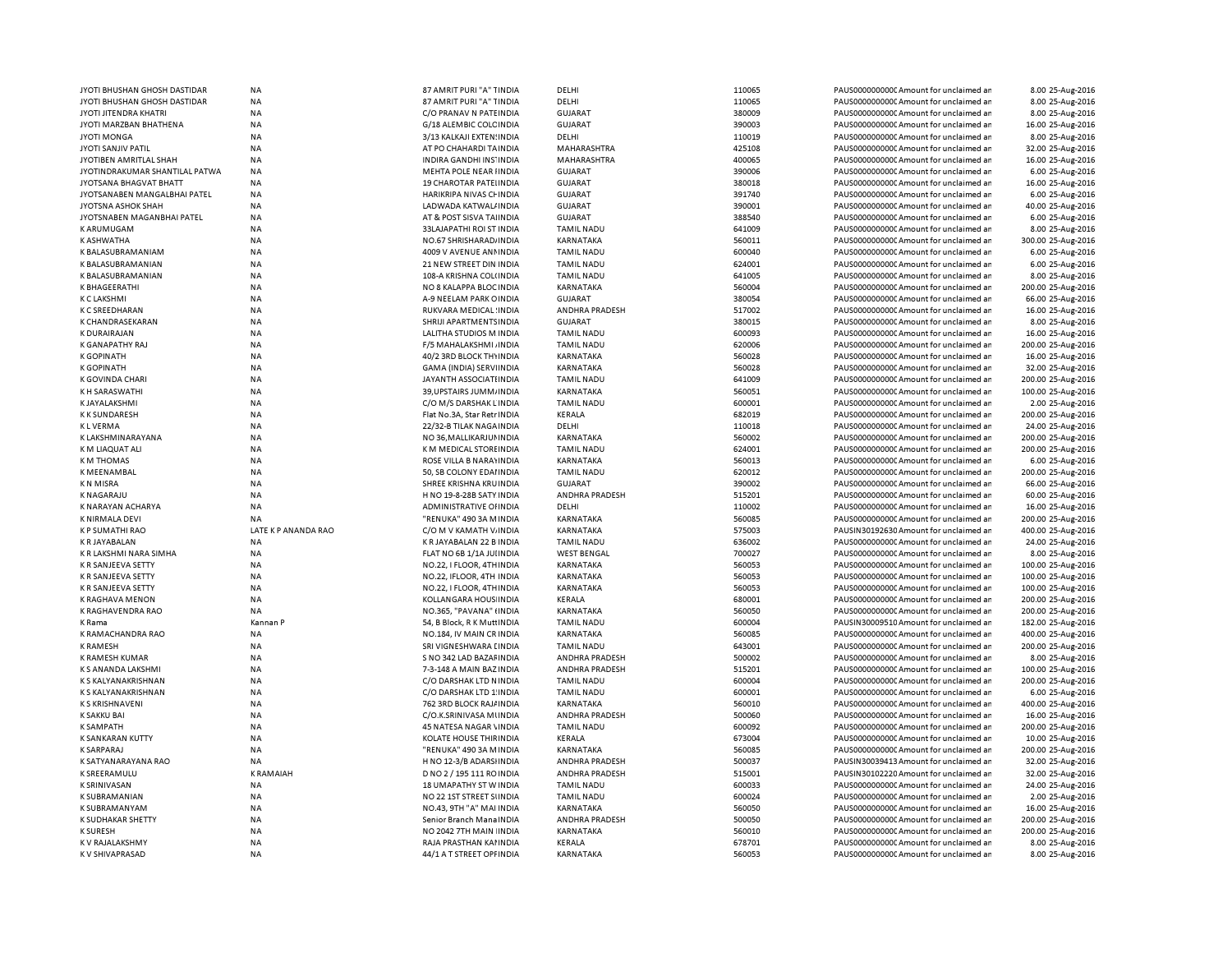| JYOTI BHUSHAN GHOSH DASTIDAR       | NA                     | 87 AMRIT PURI "A" TINDIA                                | DELHI                 | 110065           | PAUS0000000000 Amount for unclaimed an                                           | 8.00 25-Aug-2016                     |
|------------------------------------|------------------------|---------------------------------------------------------|-----------------------|------------------|----------------------------------------------------------------------------------|--------------------------------------|
| JYOTI BHUSHAN GHOSH DASTIDAR       | <b>NA</b>              | 87 AMRIT PURI "A" TINDIA                                | DELHI                 | 110065           | PAUS0000000000 Amount for unclaimed an                                           | 8.00 25-Aug-2016                     |
| JYOTI JITENDRA KHATRI              | NA                     | C/O PRANAV N PATEINDIA                                  | GUJARAT               | 380009           | PAUS0000000000 Amount for unclaimed ar                                           | 8.00 25-Aug-2016                     |
| JYOTI MARZBAN BHATHENA             | NA                     | G/18 ALEMBIC COLC INDIA                                 | GUJARAT               | 390003           | PAUS00000000000 Amount for unclaimed ar                                          | 16.00 25-Aug-2016                    |
| <b>JYOTI MONGA</b>                 | <b>NA</b>              | 3/13 KALKAJI EXTEN: INDIA                               | DELHI                 | 110019           | PAUS0000000000 Amount for unclaimed ar                                           | 8.00 25-Aug-2016                     |
| <b>JYOTI SANJIV PATIL</b>          | <b>NA</b>              | AT PO CHAHARDI TA INDIA                                 | MAHARASHTRA           | 425108           | PAUS0000000000 Amount for unclaimed an                                           | 32.00 25-Aug-2016                    |
| JYOTIBEN AMRITLAL SHAH             | <b>NA</b>              | INDIRA GANDHI INS' INDIA                                | <b>MAHARASHTRA</b>    | 400065           | PAUS0000000000 Amount for unclaimed ar                                           | 16.00 25-Aug-2016                    |
| JYOTINDRAKUMAR SHANTILAL PATWA     | NA                     | MEHTA POLE NEAR IINDIA                                  | <b>GUJARAT</b>        | 390006           | PAUS0000000000 Amount for unclaimed ar                                           | 6.00 25-Aug-2016                     |
| JYOTSANA BHAGVAT BHATT             | <b>NA</b>              | <b>19 CHAROTAR PATELINDIA</b>                           | <b>GUJARAT</b>        | 380018           | PAUS0000000000 Amount for unclaimed ar                                           | 16.00 25-Aug-2016                    |
| JYOTSANABEN MANGALBHAI PATEL       | NA                     | HARIKRIPA NIVAS CHINDIA                                 | <b>GUJARAT</b>        | 391740           | PAUS0000000000 Amount for unclaimed an                                           | 6.00 25-Aug-2016                     |
| JYOTSNA ASHOK SHAH                 | <b>NA</b>              | LADWADA KATWAL/ INDIA                                   | <b>GUJARAT</b>        | 390001           | PAUS0000000000 Amount for unclaimed ar                                           | 40.00 25-Aug-2016                    |
| JYOTSNABEN MAGANBHAI PATEL         | NA                     | AT & POST SISVA TAIINDIA                                | <b>GUJARAT</b>        | 388540           | PAUS0000000000 Amount for unclaimed ar                                           | 6.00 25-Aug-2016                     |
| <b>KARUMUGAM</b>                   | NA                     | 33LAJAPATHI ROI ST INDIA                                | <b>TAMIL NADU</b>     | 641009           | PAUS0000000000 Amount for unclaimed ar                                           | 8.00 25-Aug-2016                     |
| K ASHWATHA                         | <b>NA</b>              | NO.67 SHRISHARAD/ INDIA                                 | KARNATAKA             | 560011           | PAUS0000000000 Amount for unclaimed an                                           | 300.00 25-Aug-2016                   |
| K BALASUBRAMANIAM                  | NA                     | 4009 V AVENUE ANNINDIA                                  | <b>TAMIL NADU</b>     | 600040           | PAUS0000000000 Amount for unclaimed an                                           | 6.00 25-Aug-2016                     |
| <b>K BALASUBRAMANIAN</b>           | NA                     | 21 NEW STREET DIN INDIA                                 | <b>TAMIL NADU</b>     | 624001           | PAUS0000000000 Amount for unclaimed ar                                           | 6.00 25-Aug-2016                     |
| K BALASUBRAMANIAN                  | NA                     | 108-A KRISHNA COL(INDIA                                 | <b>TAMIL NADU</b>     | 641005           | PAUS0000000000 Amount for unclaimed ar                                           | 8.00 25-Aug-2016                     |
| K BHAGEERATHI                      | <b>NA</b>              | NO 8 KALAPPA BLOC INDIA                                 | <b>KARNATAKA</b>      | 560004           | PAUS0000000000CAmount for unclaimed ar                                           | 200.00 25-Aug-2016                   |
| <b>K C LAKSHMI</b>                 | NA                     | A-9 NEELAM PARK OINDIA                                  | <b>GUJARAT</b>        | 380054           | PAUS0000000000 Amount for unclaimed an                                           | 66.00 25-Aug-2016                    |
| <b>K C SREEDHARAN</b>              | <b>NA</b>              | <b>RUKVARA MEDICAL: INDIA</b>                           | <b>ANDHRA PRADESH</b> | 517002           | PAUS0000000000 Amount for unclaimed ar                                           | 16.00 25-Aug-2016                    |
| K CHANDRASEKARAN                   | NA                     | SHRIJI APARTMENTS INDIA                                 | <b>GUJARAT</b>        | 380015           | PAUS0000000000 Amount for unclaimed ar                                           | 8.00 25-Aug-2016                     |
| <b>K DURAIRAJAN</b>                | <b>NA</b>              | LALITHA STUDIOS M INDIA                                 | <b>TAMIL NADU</b>     | 600093           | PAUS0000000000 Amount for unclaimed ar                                           | 16.00 25-Aug-2016                    |
| K GANAPATHY RAJ                    | <b>NA</b>              | F/5 MAHALAKSHMI, INDIA                                  | <b>TAMIL NADU</b>     | 620006           | PAUS0000000000 Amount for unclaimed ar                                           | 200.00 25-Aug-2016                   |
| <b>K GOPINATH</b>                  | NA                     | 40/2 3RD BLOCK THYINDIA                                 | KARNATAKA             | 560028           | PAUS0000000000 Amount for unclaimed an                                           | 16.00 25-Aug-2016                    |
| <b>K GOPINATH</b>                  | NA                     | GAMA (INDIA) SERVIINDIA                                 | KARNATAKA             | 560028           | PAUS0000000000CAmount for unclaimed ar                                           | 32.00 25-Aug-2016                    |
| K GOVINDA CHARI                    | NA                     | JAYANTH ASSOCIATI INDIA                                 | <b>TAMIL NADU</b>     | 641009           | PAUS0000000000 Amount for unclaimed ar                                           | 200.00 25-Aug-2016                   |
| K H SARASWATHI                     | <b>NA</b>              | 39, UPSTAIRS JUMM, INDIA                                | KARNATAKA             | 560051           | PAUS0000000000 Amount for unclaimed ar                                           | 100.00 25-Aug-2016                   |
| K JAYALAKSHMI                      | <b>NA</b>              | C/O M/S DARSHAK LINDIA                                  | <b>TAMIL NADU</b>     | 600001           | PAUS0000000000 Amount for unclaimed ar                                           | 2.00 25-Aug-2016                     |
| <b>KK SUNDARESH</b>                | <b>NA</b>              |                                                         | KERALA                | 682019           | PAUS0000000000 Amount for unclaimed ar                                           | 200.00 25-Aug-2016                   |
| <b>KLVERMA</b>                     | <b>NA</b>              | Flat No.3A, Star Retr INDIA<br>22/32-B TILAK NAGA INDIA | DELHI                 | 110018           | PAUS0000000000 Amount for unclaimed ar                                           | 24.00 25-Aug-2016                    |
| K LAKSHMINARAYANA                  | <b>NA</b>              | NO 36, MALLIKARJUI INDIA                                | <b>KARNATAKA</b>      | 560002           | PAUS00000000000 Amount for unclaimed ar                                          | 200.00 25-Aug-2016                   |
|                                    |                        |                                                         |                       |                  |                                                                                  |                                      |
| K M LIAQUAT ALI                    | <b>NA</b>              | K M MEDICAL STORE INDIA                                 | <b>TAMIL NADU</b>     | 624001           | PAUS0000000000 Amount for unclaimed an                                           | 200.00 25-Aug-2016                   |
| <b>KM THOMAS</b>                   | <b>NA</b>              | <b>ROSE VILLA B NARAYINDIA</b>                          | <b>KARNATAKA</b>      | 560013           | PAUS0000000000 Amount for unclaimed ar                                           | 6.00 25-Aug-2016                     |
| K MEENAMBAL                        | NA                     | 50, SB COLONY EDAI INDIA                                | <b>TAMIL NADU</b>     | 620012           | PAUS0000000000 Amount for unclaimed ar                                           | 200.00 25-Aug-2016                   |
| <b>KN MISRA</b>                    | <b>NA</b>              | SHREE KRISHNA KRUINDIA                                  | <b>GUJARAT</b>        | 390002           | PAUS0000000000 Amount for unclaimed ar                                           | 66.00 25-Aug-2016                    |
| K NAGARAJU                         | <b>NA</b>              | H NO 19-8-28B SATY INDIA                                | ANDHRA PRADESH        | 515201           | PAUS0000000000 Amount for unclaimed ar                                           | 60.00 25-Aug-2016                    |
| K NARAYAN ACHARYA                  | <b>NA</b>              | ADMINISTRATIVE OF INDIA                                 | DELHI                 | 110002           | PAUS0000000000 Amount for unclaimed ar                                           | 16.00 25-Aug-2016                    |
| K NIRMALA DEVI                     | NA                     | "RENUKA" 490 3A MINDIA                                  | KARNATAKA             | 560085           | PAUS0000000000CAmount for unclaimed ar                                           | 200.00 25-Aug-2016                   |
| <b>KP SUMATHI RAO</b>              | LATE K P ANANDA RAO    | C/O M V KAMATH V INDIA                                  | KARNATAKA             | 575003           | PAUSIN30192630 Amount for unclaimed ar                                           | 400.00 25-Aug-2016                   |
| K R JAYABALAN                      | NA                     | K R JAYABALAN 22 B INDIA                                | <b>TAMIL NADU</b>     | 636002           | PAUS00000000000Amount for unclaimed an                                           | 24.00 25-Aug-2016                    |
| K R LAKSHMI NARA SIMHA             | <b>NA</b>              | FLAT NO 6B 1/1A JUIINDIA                                | <b>WEST BENGAL</b>    | 700027           | PAUS00000000000 Amount for unclaimed ar                                          | 8.00 25-Aug-2016                     |
| K R SANJEEVA SETTY                 | <b>NA</b>              | NO.22, I FLOOR, 4TH INDIA                               | KARNATAKA             |                  |                                                                                  |                                      |
| K R SANJEEVA SETTY                 |                        |                                                         |                       | 560053           | PAUS0000000000 Amount for unclaimed ar                                           | 100.00 25-Aug-2016                   |
| K R SANJEEVA SETTY                 | <b>NA</b>              | NO.22, IFLOOR, 4TH INDIA                                | KARNATAKA             | 560053           | PAUS0000000000 Amount for unclaimed ar                                           | 100.00 25-Aug-2016                   |
|                                    | <b>NA</b>              | NO.22, I FLOOR, 4TH INDIA                               | KARNATAKA             | 560053           | PAUS0000000000 Amount for unclaimed ar                                           | 100.00 25-Aug-2016                   |
| <b>K RAGHAVA MENON</b>             | NA                     | KOLLANGARA HOUS INDIA                                   | KERALA                | 680001           | PAUS0000000000 Amount for unclaimed ar                                           | 200.00 25-Aug-2016                   |
| K RAGHAVENDRA RAO                  | NA                     | NO.365, "PAVANA" (INDIA                                 | KARNATAKA             | 560050           | PAUS0000000000 Amount for unclaimed ar                                           | 200.00 25-Aug-2016                   |
| K Rama                             | Kannan P               | 54, B Block, R K MuttINDIA                              | <b>TAMIL NADU</b>     | 600004           | PAUSIN30009510 Amount for unclaimed ar                                           | 182.00 25-Aug-2016                   |
| K RAMACHANDRA RAO                  | NA                     | NO.184, IV MAIN CR INDIA                                | KARNATAKA             | 560085           | PAUS0000000000 Amount for unclaimed ar                                           | 400.00 25-Aug-2016                   |
| K RAMESH                           | <b>NA</b>              | SRI VIGNESHWARA [ INDIA                                 | <b>TAMIL NADU</b>     | 643001           | PAUS0000000000CAmount for unclaimed ar                                           | 200.00 25-Aug-2016                   |
| K RAMESH KUMAR                     | <b>NA</b>              | S NO 342 LAD BAZAF INDIA                                | ANDHRA PRADESH        | 500002           | PAUS0000000000 Amount for unclaimed ar                                           | 8.00 25-Aug-2016                     |
|                                    |                        |                                                         | ANDHRA PRADESH        |                  |                                                                                  |                                      |
| K S ANANDA LAKSHMI                 | <b>NA</b>              | 7-3-148 A MAIN BAZ INDIA                                |                       | 515201           | PAUS0000000000CAmount for unclaimed ar                                           | 100.00 25-Aug-2016                   |
| K S KALYANAKRISHNAN                | <b>NA</b>              | C/O DARSHAK LTD N INDIA                                 | <b>TAMIL NADU</b>     | 600004           | PAUS0000000000 Amount for unclaimed ar                                           | 200.00 25-Aug-2016                   |
| K S KALYANAKRISHNAN                | <b>NA</b>              | C/O DARSHAK LTD 1 INDIA                                 | <b>TAMIL NADU</b>     | 600001           | PAUS0000000000 Amount for unclaimed ar                                           | 6.00 25-Aug-2016                     |
| <b>KS KRISHNAVENI</b>              | <b>NA</b>              | 762 3RD BLOCK RAJ/ INDIA                                | KARNATAKA             | 560010           | PAUS0000000000 Amount for unclaimed ar                                           | 400.00 25-Aug-2016                   |
| K SAKKU BAI                        | <b>NA</b>              | C/O.K.SRINIVASA MUNDIA                                  | ANDHRA PRADESH        | 500060           | PAUS0000000000 Amount for unclaimed ar                                           | 16.00 25-Aug-2016                    |
| <b>K SAMPATH</b>                   | <b>NA</b>              | 45 NATESA NAGAR \INDIA                                  | <b>TAMIL NADU</b>     | 600092           | PAUS0000000000 Amount for unclaimed ar                                           | 200.00 25-Aug-2016                   |
| K SANKARAN KUTTY                   | <b>NA</b>              | KOLATE HOUSE THIRINDIA                                  | KERALA                | 673004           | PAUS00000000000 Amount for unclaimed ar                                          | 10.00 25-Aug-2016                    |
| <b>K SARPARAJ</b>                  | <b>NA</b>              | "RENUKA" 490 3A MINDIA                                  | KARNATAKA             | 560085           | PAUS0000000000 Amount for unclaimed ar                                           | 200.00 25-Aug-2016                   |
| K SATYANARAYANA RAO                | NA                     | H NO 12-3/B ADARSI INDIA                                | <b>ANDHRA PRADESH</b> | 500037           | PAUSIN30039413 Amount for unclaimed ar                                           | 32.00 25-Aug-2016                    |
| K SREERAMULU                       | <b>KRAMAIAH</b>        | D NO 2 / 195 111 RO INDIA                               | ANDHRA PRADESH        | 515001           | PAUSIN30102220 Amount for unclaimed ar                                           | 32.00 25-Aug-2016                    |
| <b>K SRINIVASAN</b>                | <b>NA</b>              | 18 UMAPATHY ST W INDIA                                  | <b>TAMIL NADU</b>     | 600033           | PAUS0000000000 Amount for unclaimed ar                                           | 24.00 25-Aug-2016                    |
| <b>K SUBRAMANIAN</b>               | NA                     | NO 22 1ST STREET SUNDIA                                 | <b>TAMIL NADU</b>     | 600024           | PAUS0000000000 Amount for unclaimed ar                                           | 2.00 25-Aug-2016                     |
| K SUBRAMANYAM                      | NA                     | NO.43, 9TH "A" MAI INDIA                                | KARNATAKA             | 560050           | PAUS0000000000 Amount for unclaimed ar                                           | 16.00 25-Aug-2016                    |
| K SUDHAKAR SHETTY                  | <b>NA</b>              | Senior Branch Mana INDIA                                | ANDHRA PRADESH        | 500050           | PAUS0000000000CAmount for unclaimed ar                                           | 200.00 25-Aug-2016                   |
| <b>K SURESH</b>                    | <b>NA</b>              | NO 2042 7TH MAIN INDIA                                  | KARNATAKA             | 560010           | PAUS0000000000CAmount for unclaimed ar                                           | 200.00 25-Aug-2016                   |
| K V RAJALAKSHMY<br>K V SHIVAPRASAD | <b>NA</b><br><b>NA</b> | RAJA PRASTHAN KAI INDIA<br>44/1 A T STREET OPF INDIA    | KERALA<br>KARNATAKA   | 678701<br>560053 | PAUS00000000000Amount for unclaimed an<br>PAUS0000000000 Amount for unclaimed an | 8.00 25-Aug-2016<br>8.00 25-Aug-2016 |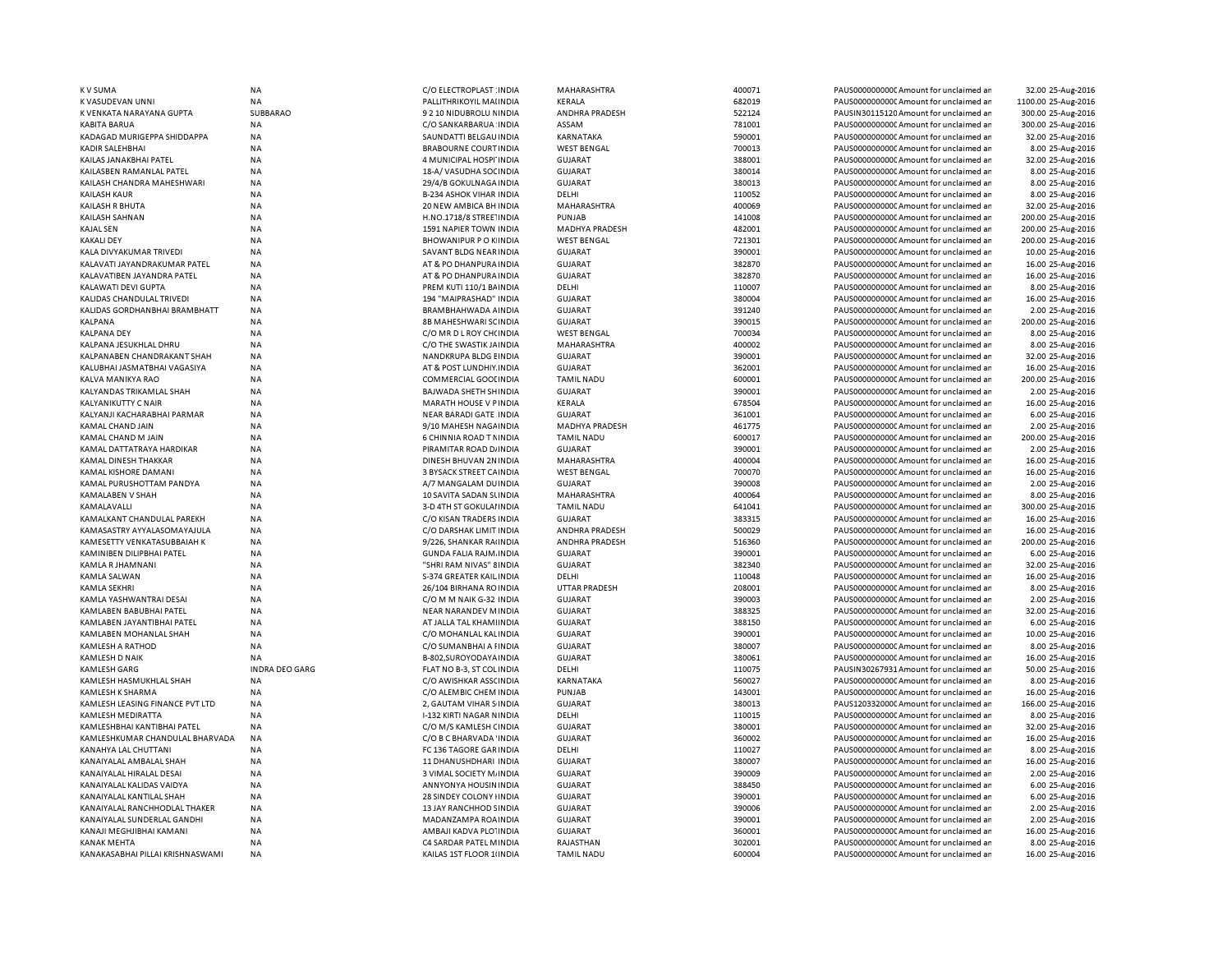| K V SUMA                         | NA                          | C/O ELECTROPLAST : INDIA       | MAHARASHTRA          | 400071 | PAUS0000000000 Amount for unclaimed ar  | 32.00 25-Aug-2016   |
|----------------------------------|-----------------------------|--------------------------------|----------------------|--------|-----------------------------------------|---------------------|
| K VASUDEVAN UNNI                 | NA                          | PALLITHRIKOYIL MAI INDIA       | KERALA               | 682019 | PAUS0000000000CAmount for unclaimed ar  | 1100.00 25-Aug-2016 |
| K VENKATA NARAYANA GUPTA         | SUBBARAO                    | 9 2 10 NIDUBROLU NINDIA        | ANDHRA PRADESH       | 522124 | PAUSIN30115120 Amount for unclaimed ar  | 300.00 25-Aug-2016  |
| KABITA BARUA                     | ΝA                          | C/O SANKARBARUA INDIA          | ASSAM                | 781001 | PAUS0000000000 Amount for unclaimed ar  | 300.00 25-Aug-2016  |
| KADAGAD MURIGEPPA SHIDDAPPA      | <b>NA</b>                   | SAUNDATTI BELGAU INDIA         | KARNATAKA            | 590001 | PAUS0000000000 Amount for unclaimed ar  | 32.00 25-Aug-2016   |
| KADIR SALEHBHAI                  | <b>NA</b>                   | <b>BRABOURNE COURT INDIA</b>   | <b>WEST BENGAL</b>   | 700013 | PAUS0000000000CAmount for unclaimed ar  | 8.00 25-Aug-2016    |
| KAILAS JANAKBHAI PATEL           | <b>NA</b>                   | 4 MUNICIPAL HOSPI INDIA        | <b>GUJARAT</b>       | 388001 | PAUS0000000000 Amount for unclaimed ar  | 32.00 25-Aug-2016   |
| KAILASBEN RAMANLAL PATEL         | NA                          | 18-A/VASUDHA SOCINDIA          | <b>GUJARAT</b>       | 380014 | PAUS00000000000 Amount for unclaimed an | 8.00 25-Aug-2016    |
| KAILASH CHANDRA MAHESHWARI       | <b>NA</b>                   | 29/4/B GOKULNAGA INDIA         | <b>GUJARAT</b>       | 380013 | PAUS0000000000 Amount for unclaimed ar  | 8.00 25-Aug-2016    |
| KAILASH KAUR                     | <b>NA</b>                   | <b>B-234 ASHOK VIHAR INDIA</b> | DELHI                | 110052 | PAUS00000000000 Amount for unclaimed an | 8.00 25-Aug-2016    |
| KAILASH R BHUTA                  | ΝA                          | 20 NEW AMBICA BH INDIA         | MAHARASHTRA          | 400069 | PAUS0000000000 Amount for unclaimed ar  | 32.00 25-Aug-2016   |
| KAILASH SAHNAN                   | <b>NA</b>                   | H.NO.1718/8 STREE INDIA        | PUNJAB               | 141008 | PAUS0000000000CAmount for unclaimed ar  | 200.00 25-Aug-2016  |
| KAJAL SEN                        | <b>NA</b>                   | 1591 NAPIER TOWN INDIA         | MADHYA PRADESH       | 482001 | PAUS0000000000CAmount for unclaimed ar  | 200.00 25-Aug-2016  |
| <b>KAKALI DEY</b>                | NA                          | <b>BHOWANIPUR POKINDIA</b>     | <b>WEST BENGAL</b>   | 721301 | PAUS00000000000 Amount for unclaimed ar | 200.00 25-Aug-2016  |
| KALA DIVYAKUMAR TRIVEDI          | <b>NA</b>                   | SAVANT BLDG NEAR INDIA         | <b>GUJARAT</b>       | 390001 | PAUS0000000000CAmount for unclaimed ar  | 10.00 25-Aug-2016   |
| KALAVATI JAYANDRAKUMAR PATEL     | <b>NA</b>                   | AT & PO DHANPURA INDIA         | <b>GUJARAT</b>       | 382870 | PAUS0000000000CAmount for unclaimed ar  | 16.00 25-Aug-2016   |
| KALAVATIBEN JAYANDRA PATEL       | NA                          | AT & PO DHANPURA INDIA         | <b>GUJARAT</b>       | 382870 | PAUS0000000000 Amount for unclaimed ar  | 16.00 25-Aug-2016   |
| KALAWATI DEVI GUPTA              | <b>NA</b>                   | PREM KUTI 110/1 BAINDIA        | DELHI                | 110007 | PAUS0000000000CAmount for unclaimed ar  | 8.00 25-Aug-2016    |
| KALIDAS CHANDULAL TRIVEDI        | <b>NA</b>                   | 194 "MAIPRASHAD" INDIA         | <b>GUJARAT</b>       | 380004 | PAUS0000000000 Amount for unclaimed ar  | 16.00 25-Aug-2016   |
| KALIDAS GORDHANBHAI BRAMBHATT    | NA                          | BRAMBHAHWADA AINDIA            | <b>GUJARAT</b>       | 391240 | PAUS0000000000 Amount for unclaimed ar  | 2.00 25-Aug-2016    |
| KALPANA                          | NA                          | 8B MAHESHWARI SCINDIA          | <b>GUJARAT</b>       | 390015 | PAUS0000000000CAmount for unclaimed ar  | 200.00 25-Aug-2016  |
| <b>KALPANA DEY</b>               | NA                          | C/O MR D L ROY CH(INDIA        | <b>WEST BENGAL</b>   | 700034 | PAUS0000000000CAmount for unclaimed ar  | 8.00 25-Aug-2016    |
| KALPANA JESUKHLAL DHRU           | <b>NA</b>                   | C/O THE SWASTIK JA INDIA       | MAHARASHTRA          | 400002 | PAUS0000000000Amount for unclaimed ar   | 8.00 25-Aug-2016    |
| KALPANABEN CHANDRAKANT SHAH      | <b>NA</b>                   | NANDKRUPA BLDG EINDIA          | <b>GUJARAT</b>       | 390001 | PAUS0000000000 Amount for unclaimed ar  | 32.00 25-Aug-2016   |
| KALUBHAI JASMATBHAI VAGASIYA     | <b>NA</b>                   | AT & POST LUNDHIY INDIA        | <b>GUJARAT</b>       | 362001 | PAUS0000000000 Amount for unclaimed ar  | 16.00 25-Aug-2016   |
|                                  |                             |                                |                      |        |                                         |                     |
| KALVA MANIKYA RAO                | <b>NA</b>                   | COMMERCIAL GOOI INDIA          | <b>TAMIL NADU</b>    | 600001 | PAUS0000000000 Amount for unclaimed ar  | 200.00 25-Aug-2016  |
| KALYANDAS TRIKAMLAL SHAH         | <b>NA</b>                   | BAJWADA SHETH SHINDIA          | <b>GUJARAT</b>       | 390001 | PAUS0000000000CAmount for unclaimed ar  | 2.00 25-Aug-2016    |
| KALYANIKUTTY C NAIR              | <b>NA</b>                   | <b>MARATH HOUSE V PINDIA</b>   | KERALA               | 678504 | PAUS0000000000 Amount for unclaimed ar  | 16.00 25-Aug-2016   |
| KALYANJI KACHARABHAI PARMAR      | <b>NA</b>                   | <b>NEAR BARADI GATE INDIA</b>  | <b>GUJARAT</b>       | 361001 | PAUS0000000000 Amount for unclaimed ar  | 6.00 25-Aug-2016    |
| KAMAL CHAND JAIN                 | <b>NA</b>                   | 9/10 MAHESH NAGA INDIA         | MADHYA PRADESH       | 461775 | PAUS0000000000CAmount for unclaimed ar  | 2.00 25-Aug-2016    |
| KAMAL CHAND M JAIN               | <b>NA</b>                   | 6 CHINNIA ROAD T NINDIA        | <b>TAMIL NADU</b>    | 600017 | PAUS0000000000 Amount for unclaimed ar  | 200.00 25-Aug-2016  |
| KAMAL DATTATRAYA HARDIKAR        | <b>NA</b>                   | PIRAMITAR ROAD D/ INDIA        | <b>GUJARAT</b>       | 390001 | PAUS0000000000 Amount for unclaimed ar  | 2.00 25-Aug-2016    |
| KAMAL DINESH THAKKAR             | NA                          | DINESH BHUVAN 2N INDIA         | MAHARASHTRA          | 400004 | PAUS0000000000 Amount for unclaimed ar  | 16.00 25-Aug-2016   |
| KAMAL KISHORE DAMANI             | ΝA                          | 3 BYSACK STREET CA INDIA       | <b>WEST BENGAL</b>   | 700070 | PAUS0000000000CAmount for unclaimed ar  | 16.00 25-Aug-2016   |
| KAMAL PURUSHOTTAM PANDYA         | <b>NA</b>                   | A/7 MANGALAM DUINDIA           | <b>GUJARAT</b>       | 390008 | PAUS0000000000 Amount for unclaimed ar  | 2.00 25-Aug-2016    |
| KAMALABEN V SHAH                 | <b>NA</b>                   | 10 SAVITA SADAN SUNDIA         | <b>MAHARASHTRA</b>   | 400064 | PAUS0000000000 Amount for unclaimed ar  | 8.00 25-Aug-2016    |
| KAMALAVALLI                      | NA                          | 3-D 4TH ST GOKULAI INDIA       | <b>TAMIL NADU</b>    | 641041 | PAUS0000000000CAmount for unclaimed ar  | 300.00 25-Aug-2016  |
| KAMALKANT CHANDULAL PAREKH       | NA                          | C/O KISAN TRADERS INDIA        | <b>GUJARAT</b>       | 383315 | PAUS0000000000 Amount for unclaimed ar  | 16.00 25-Aug-2016   |
| KAMASASTRY AYYALASOMAYAJULA      | <b>NA</b>                   | C/O DARSHAK LIMIT INDIA        | ANDHRA PRADESH       | 500029 | PAUS0000000000 Amount for unclaimed ar  | 16.00 25-Aug-2016   |
| KAMESETTY VENKATASUBBAIAH K      | <b>NA</b>                   | 9/226, SHANKAR RAIINDIA        | ANDHRA PRADESH       | 516360 | PAUS00000000000 Amount for unclaimed an | 200.00 25-Aug-2016  |
| KAMINIBEN DILIPBHAI PATEL        | NA                          | <b>GUNDA FALIA RAJM. INDIA</b> | <b>GUJARAT</b>       | 390001 | PAUS0000000000CAmount for unclaimed ar  | 6.00 25-Aug-2016    |
| KAMLA R JHAMNANI                 | <b>NA</b>                   | "SHRI RAM NIVAS" 8 INDIA       | <b>GUJARAT</b>       | 382340 | PAUS0000000000CAmount for unclaimed ar  | 32.00 25-Aug-2016   |
| KAMLA SALWAN                     | <b>NA</b>                   | S-374 GREATER KAIL INDIA       | DELHI                | 110048 | PAUS0000000000CAmount for unclaimed ar  | 16.00 25-Aug-2016   |
| KAMLA SEKHRI                     | NA                          | 26/104 BIRHANA ROINDIA         | <b>UTTAR PRADESH</b> | 208001 | PAUS0000000000CAmount for unclaimed ar  | 8.00 25-Aug-2016    |
| KAMLA YASHWANTRAI DESAI          | <b>NA</b>                   | C/O M M NAIK G-32 INDIA        | <b>GUJARAT</b>       | 390003 | PAUS0000000000CAmount for unclaimed ar  | 2.00 25-Aug-2016    |
| KAMLABEN BABUBHAI PATEL          | <b>NA</b>                   | <b>NEAR NARANDEV MINDIA</b>    | <b>GUJARAT</b>       | 388325 | PAUS0000000000 Amount for unclaimed ar  | 32.00 25-Aug-2016   |
| KAMLABEN JAYANTIBHAI PATEL       | <b>NA</b>                   | AT JALLA TAL KHAMI INDIA       | <b>GUJARAT</b>       | 388150 | PAUS0000000000CAmount for unclaimed ar  | 6.00 25-Aug-2016    |
| KAMLABEN MOHANLAL SHAH           | NA                          | C/O MOHANLAL KAL INDIA         | <b>GUJARAT</b>       | 390001 | PAUS0000000000CAmount for unclaimed ar  | 10.00 25-Aug-2016   |
| KAMLESH A RATHOD                 | <b>NA</b>                   | C/O SUMANBHAI A FINDIA         | <b>GUJARAT</b>       | 380007 | PAUS0000000000 Amount for unclaimed ar  | 8.00 25-Aug-2016    |
| KAMLESH D NAIK                   |                             | B-802, SUROYODAYA INDIA        | <b>GUJARAT</b>       | 380061 | PAUS0000000000CAmount for unclaimed ar  | 16.00 25-Aug-2016   |
|                                  | NA<br><b>INDRA DEO GARG</b> |                                |                      | 110075 |                                         |                     |
| KAMLESH GARG                     |                             | FLAT NO B-3, ST COL INDIA      | DELHI                |        | PAUSIN30267931 Amount for unclaimed ar  | 50.00 25-Aug-2016   |
| KAMLESH HASMUKHLAL SHAH          | <b>NA</b>                   | C/O AWISHKAR ASSCINDIA         | KARNATAKA            | 560027 | PAUS0000000000CAmount for unclaimed ar  | 8.00 25-Aug-2016    |
| KAMLESH K SHARMA                 | <b>NA</b>                   | C/O ALEMBIC CHEM INDIA         | PUNJAB               | 143001 | PAUS0000000000CAmount for unclaimed ar  | 16.00 25-Aug-2016   |
| KAMLESH LEASING FINANCE PVT LTD  | <b>NA</b>                   | 2, GAUTAM VIHAR S INDIA        | <b>GUJARAT</b>       | 380013 | PAUS1203320000 Amount for unclaimed ar  | 166.00 25-Aug-2016  |
| KAMLESH MEDIRATTA                | <b>NA</b>                   | I-132 KIRTI NAGAR NINDIA       | DELHI                | 110015 | PAUS0000000000 Amount for unclaimed ar  | 8.00 25-Aug-2016    |
| KAMLESHBHAI KANTIBHAI PATEL      | NA                          | C/O M/S KAMLESH CINDIA         | <b>GUJARAT</b>       | 380001 | PAUS0000000000 Amount for unclaimed ar  | 32.00 25-Aug-2016   |
| KAMLESHKUMAR CHANDULAL BHARVADA  | <b>NA</b>                   | C/O B C BHARVADA 'INDIA        | <b>GUJARAT</b>       | 360002 | PAUS0000000000CAmount for unclaimed ar  | 16.00 25-Aug-2016   |
| KANAHYA LAL CHUTTANI             | <b>NA</b>                   | FC 136 TAGORE GAR INDIA        | DELHI                | 110027 | PAUS0000000000 Amount for unclaimed ar  | 8.00 25-Aug-2016    |
| KANAIYALAL AMBALAL SHAH          | <b>NA</b>                   | 11 DHANUSHDHARI INDIA          | <b>GUJARAT</b>       | 380007 | PAUS0000000000CAmount for unclaimed ar  | 16.00 25-Aug-2016   |
| KANAIYALAL HIRALAL DESAI         | <b>NA</b>                   | 3 VIMAL SOCIETY M/INDIA        | <b>GUJARAT</b>       | 390009 | PAUS0000000000 Amount for unclaimed ar  | 2.00 25-Aug-2016    |
| KANAIYALAL KALIDAS VAIDYA        | <b>NA</b>                   | ANNYONYA HOUSIN INDIA          | <b>GUJARAT</b>       | 388450 | PAUS0000000000 Amount for unclaimed ar  | 6.00 25-Aug-2016    |
| KANAIYALAL KANTILAL SHAH         | <b>NA</b>                   | 28 SINDEY COLONY HNDIA         | <b>GUJARAT</b>       | 390001 | PAUS0000000000 Amount for unclaimed ar  | 6.00 25-Aug-2016    |
| KANAIYALAL RANCHHODLAL THAKER    | NA                          | 13 JAY RANCHHOD SINDIA         | <b>GUJARAT</b>       | 390006 | PAUS0000000000 Amount for unclaimed ar  | 2.00 25-Aug-2016    |
| KANAIYALAL SUNDERLAL GANDHI      | ΝA                          | MADANZAMPA ROA INDIA           | <b>GUJARAT</b>       | 390001 | PAUS0000000000CAmount for unclaimed ar  | 2.00 25-Aug-2016    |
| KANAJI MEGHJIBHAI KAMANI         | <b>NA</b>                   | AMBAJI KADVA PLOTINDIA         | <b>GUJARAT</b>       | 360001 | PAUS0000000000 Amount for unclaimed ar  | 16.00 25-Aug-2016   |
| KANAK MEHTA                      | <b>NA</b>                   | C4 SARDAR PATEL MINDIA         | RAJASTHAN            | 302001 | PAUS0000000000 Amount for unclaimed ar  | 8.00 25-Aug-2016    |
| KANAKASABHAI PILLAI KRISHNASWAMI | <b>NA</b>                   | KAILAS 1ST FLOOR 1 INDIA       | <b>TAMIL NADU</b>    | 600004 | PAUS0000000000 Amount for unclaimed ar  | 16.00 25-Aug-2016   |
|                                  |                             |                                |                      |        |                                         |                     |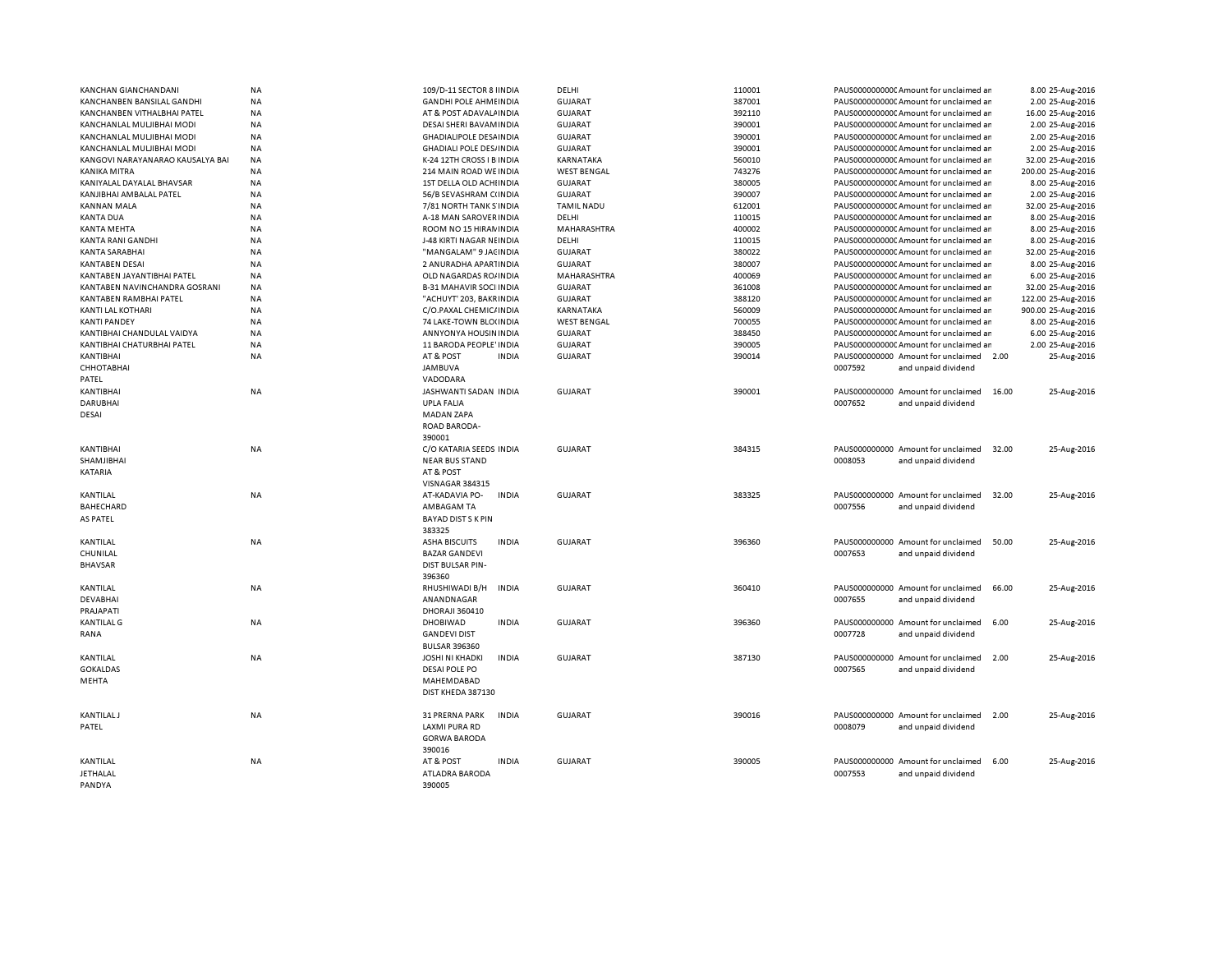| KANCHAN GIANCHANDANI             | NA        | 109/D-11 SECTOR 8 INDIA                | DELHI              | 110001 | PAUS00000000000 Amount for unclaimed ar     | 8.00 25-Aug-2016   |
|----------------------------------|-----------|----------------------------------------|--------------------|--------|---------------------------------------------|--------------------|
|                                  |           |                                        |                    |        |                                             |                    |
| KANCHANBEN BANSILAL GANDHI       | NA        | <b>GANDHI POLE AHMEINDIA</b>           | <b>GUJARAT</b>     | 387001 | PAUS00000000000 Amount for unclaimed ar     | 2.00 25-Aug-2016   |
| KANCHANBEN VITHALBHAI PATEL      | NA        | AT & POST ADAVALAINDIA                 | <b>GUJARAT</b>     | 392110 | PAUS00000000000 Amount for unclaimed ar     | 16.00 25-Aug-2016  |
| KANCHANLAL MULJIBHAI MODI        | <b>NA</b> | DESAI SHERI BAVAMINDIA                 | <b>GUJARAT</b>     | 390001 | PAUS00000000000Amount for unclaimed ar      | 2.00 25-Aug-2016   |
| KANCHANLAL MULJIBHAI MODI        | <b>NA</b> | <b>GHADIALIPOLE DESAINDIA</b>          | <b>GUJARAT</b>     | 390001 | PAUS0000000000 Amount for unclaimed ar      | 2.00 25-Aug-2016   |
| KANCHANLAL MULJIBHAI MODI        | <b>NA</b> | <b>GHADIALI POLE DES/INDIA</b>         | <b>GUJARAT</b>     | 390001 | PAUS0000000000 Amount for unclaimed ar      | 2.00 25-Aug-2016   |
| KANGOVI NARAYANARAO KAUSALYA BAI | <b>NA</b> | K-24 12TH CROSS I B INDIA              | KARNATAKA          | 560010 | PAUS0000000000 Amount for unclaimed ar      | 32.00 25-Aug-2016  |
| KANIKA MITRA                     | NA        | 214 MAIN ROAD WE INDIA                 | <b>WEST BENGAL</b> | 743276 | PAUS0000000000 Amount for unclaimed ar      | 200.00 25-Aug-2016 |
| KANIYALAL DAYALAL BHAVSAR        | <b>NA</b> | 1ST DELLA OLD ACHI INDIA               | <b>GUJARAT</b>     | 380005 | PAUS0000000000 Amount for unclaimed ar      | 8.00 25-Aug-2016   |
|                                  |           |                                        |                    |        |                                             |                    |
| KANJIBHAI AMBALAL PATEL          | <b>NA</b> | 56/B SEVASHRAM C(INDIA                 | <b>GUJARAT</b>     | 390007 | PAUS0000000000 Amount for unclaimed ar      | 2.00 25-Aug-2016   |
| <b>KANNAN MALA</b>               | <b>NA</b> | 7/81 NORTH TANK S'INDIA                | <b>TAMIL NADU</b>  | 612001 | PAUS00000000000 Amount for unclaimed ar     | 32.00 25-Aug-2016  |
| <b>KANTA DUA</b>                 | <b>NA</b> | A-18 MAN SAROVER INDIA                 | DELHI              | 110015 | PAUS0000000000CAmount for unclaimed ar      | 8.00 25-Aug-2016   |
| <b>KANTA MEHTA</b>               | <b>NA</b> | ROOM NO 15 HIRAN INDIA                 | MAHARASHTRA        | 400002 | PAUS0000000000 Amount for unclaimed ar      | 8.00 25-Aug-2016   |
| <b>KANTA RANI GANDHI</b>         | NA        | J-48 KIRTI NAGAR NEINDIA               | DELHI              | 110015 | PAUS00000000000 Amount for unclaimed ar     | 8.00 25-Aug-2016   |
| <b>KANTA SARABHAI</b>            | <b>NA</b> | "MANGALAM" 9 JACINDIA                  | <b>GUJARAT</b>     | 380022 | PAUS0000000000CAmount for unclaimed an      | 32.00 25-Aug-2016  |
| <b>KANTABEN DESAI</b>            | <b>NA</b> | 2 ANURADHA APARTINDIA                  | <b>GUJARAT</b>     | 380007 | PAUS0000000000CAmount for unclaimed an      | 8.00 25-Aug-2016   |
|                                  |           |                                        |                    |        |                                             |                    |
| KANTABEN JAYANTIBHAI PATEL       | <b>NA</b> | OLD NAGARDAS RO/INDIA                  | MAHARASHTRA        | 400069 | PAUS0000000000C Amount for unclaimed ar     | 6.00 25-Aug-2016   |
| KANTABEN NAVINCHANDRA GOSRANI    | NA        | <b>B-31 MAHAVIR SOCI INDIA</b>         | <b>GUJARAT</b>     | 361008 | PAUS0000000000 Amount for unclaimed ar      | 32.00 25-Aug-2016  |
| KANTABEN RAMBHAI PATEL           | NA        | "ACHUYT' 203, BAKRINDIA                | <b>GUJARAT</b>     | 388120 | PAUS0000000000 Amount for unclaimed ar      | 122.00 25-Aug-2016 |
| KANTI LAL KOTHARI                | NA        | C/O.PAXAL CHEMIC/ INDIA                | KARNATAKA          | 560009 | PAUS0000000000 Amount for unclaimed an      | 900.00 25-Aug-2016 |
| <b>KANTI PANDEY</b>              | <b>NA</b> | 74 LAKE-TOWN BLO(INDIA                 | <b>WEST BENGAL</b> | 700055 | PAUS0000000000 Amount for unclaimed ar      | 8.00 25-Aug-2016   |
| KANTIBHAI CHANDULAL VAIDYA       | <b>NA</b> | ANNYONYA HOUSIN INDIA                  | <b>GUJARAT</b>     | 388450 | PAUS0000000000 Amount for unclaimed ar      | 6.00 25-Aug-2016   |
| KANTIBHAI CHATURBHAI PATEL       | NA        | 11 BARODA PEOPLE' INDIA                | <b>GUJARAT</b>     | 390005 | PAUS00000000000Amount for unclaimed ar      | 2.00 25-Aug-2016   |
| KANTIBHAI                        | NA        | AT & POST<br><b>INDIA</b>              | <b>GUJARAT</b>     | 390014 | PAUS000000000 Amount for unclaimed 2.00     | 25-Aug-2016        |
|                                  |           |                                        |                    |        |                                             |                    |
| <b>CHHOTABHAI</b>                |           | <b>JAMBUVA</b>                         |                    |        | 0007592<br>and unpaid dividend              |                    |
| PATEL                            |           | VADODARA                               |                    |        |                                             |                    |
| KANTIBHAI                        | <b>NA</b> | JASHWANTI SADAN INDIA                  | <b>GUJARAT</b>     | 390001 | PAUS000000000 Amount for unclaimed<br>16.00 | 25-Aug-2016        |
| <b>DARUBHAI</b>                  |           | <b>UPLA FALIA</b>                      |                    |        | 0007652<br>and unpaid dividend              |                    |
| DESAI                            |           | <b>MADAN ZAPA</b>                      |                    |        |                                             |                    |
|                                  |           | ROAD BARODA-                           |                    |        |                                             |                    |
|                                  |           | 390001                                 |                    |        |                                             |                    |
| KANTIBHAI                        | NA        | C/O KATARIA SEEDS INDIA                | <b>GUJARAT</b>     | 384315 | PAUS000000000 Amount for unclaimed<br>32.00 | 25-Aug-2016        |
|                                  |           |                                        |                    |        |                                             |                    |
| SHAMJIBHAI                       |           | <b>NEAR BUS STAND</b>                  |                    |        | 0008053<br>and unpaid dividend              |                    |
| KATARIA                          |           | AT & POST                              |                    |        |                                             |                    |
|                                  |           | <b>VISNAGAR 384315</b>                 |                    |        |                                             |                    |
| KANTILAL                         | NA        | AT-KADAVIA PO-<br><b>INDIA</b>         | <b>GUJARAT</b>     | 383325 | PAUS000000000 Amount for unclaimed<br>32.00 | 25-Aug-2016        |
| BAHECHARD                        |           | AMBAGAM TA                             |                    |        | 0007556<br>and unpaid dividend              |                    |
| AS PATEL                         |           | <b>BAYAD DIST S K PIN</b>              |                    |        |                                             |                    |
|                                  |           | 383325                                 |                    |        |                                             |                    |
| KANTILAL                         | NA        | <b>ASHA BISCUITS</b><br><b>INDIA</b>   | <b>GUJARAT</b>     | 396360 | PAUS000000000 Amount for unclaimed<br>50.00 | 25-Aug-2016        |
|                                  |           |                                        |                    |        |                                             |                    |
| CHUNILAL                         |           | <b>BAZAR GANDEVI</b>                   |                    |        | 0007653<br>and unpaid dividend              |                    |
| <b>BHAVSAR</b>                   |           | <b>DIST BULSAR PIN-</b>                |                    |        |                                             |                    |
|                                  |           | 396360                                 |                    |        |                                             |                    |
| KANTILAL                         | NA        | RHUSHIWADI B/H<br><b>INDIA</b>         | <b>GUJARAT</b>     | 360410 | PAUS000000000 Amount for unclaimed<br>66.00 | 25-Aug-2016        |
| DEVABHAI                         |           | ANANDNAGAR                             |                    |        | 0007655<br>and unpaid dividend              |                    |
| PRAJAPATI                        |           | DHORAJI 360410                         |                    |        |                                             |                    |
| <b>KANTILAL G</b>                | NA        | <b>DHOBIWAD</b><br><b>INDIA</b>        | <b>GUJARAT</b>     | 396360 | PAUS000000000 Amount for unclaimed<br>6.00  | 25-Aug-2016        |
| RANA                             |           | <b>GANDEVI DIST</b>                    |                    |        | 0007728<br>and unpaid dividend              |                    |
|                                  |           | <b>BULSAR 396360</b>                   |                    |        |                                             |                    |
|                                  |           |                                        |                    |        |                                             |                    |
| KANTILAL                         | <b>NA</b> | <b>JOSHI NI KHADKI</b><br><b>INDIA</b> | <b>GUJARAT</b>     | 387130 | PAUS000000000 Amount for unclaimed<br>2.00  | 25-Aug-2016        |
| <b>GOKALDAS</b>                  |           | <b>DESAI POLE PO</b>                   |                    |        | 0007565<br>and unpaid dividend              |                    |
| MEHTA                            |           | MAHEMDABAD                             |                    |        |                                             |                    |
|                                  |           | DIST KHEDA 387130                      |                    |        |                                             |                    |
|                                  |           |                                        |                    |        |                                             |                    |
| <b>KANTILAL J</b>                | NA        | <b>INDIA</b><br>31 PRERNA PARK         | <b>GUJARAT</b>     | 390016 | PAUS000000000 Amount for unclaimed<br>2.00  | 25-Aug-2016        |
| PATEL                            |           | <b>LAXMI PURA RD</b>                   |                    |        | 0008079<br>and unpaid dividend              |                    |
|                                  |           |                                        |                    |        |                                             |                    |
|                                  |           | <b>GORWA BARODA</b>                    |                    |        |                                             |                    |
|                                  |           | 390016                                 |                    |        |                                             |                    |
| KANTILAL                         | NA        | <b>INDIA</b><br>AT & POST              | <b>GUJARAT</b>     | 390005 | PAUS000000000 Amount for unclaimed<br>6.00  | 25-Aug-2016        |
| JETHALAL                         |           | ATLADRA BARODA                         |                    |        | 0007553<br>and unpaid dividend              |                    |
| PANDYA                           |           | 390005                                 |                    |        |                                             |                    |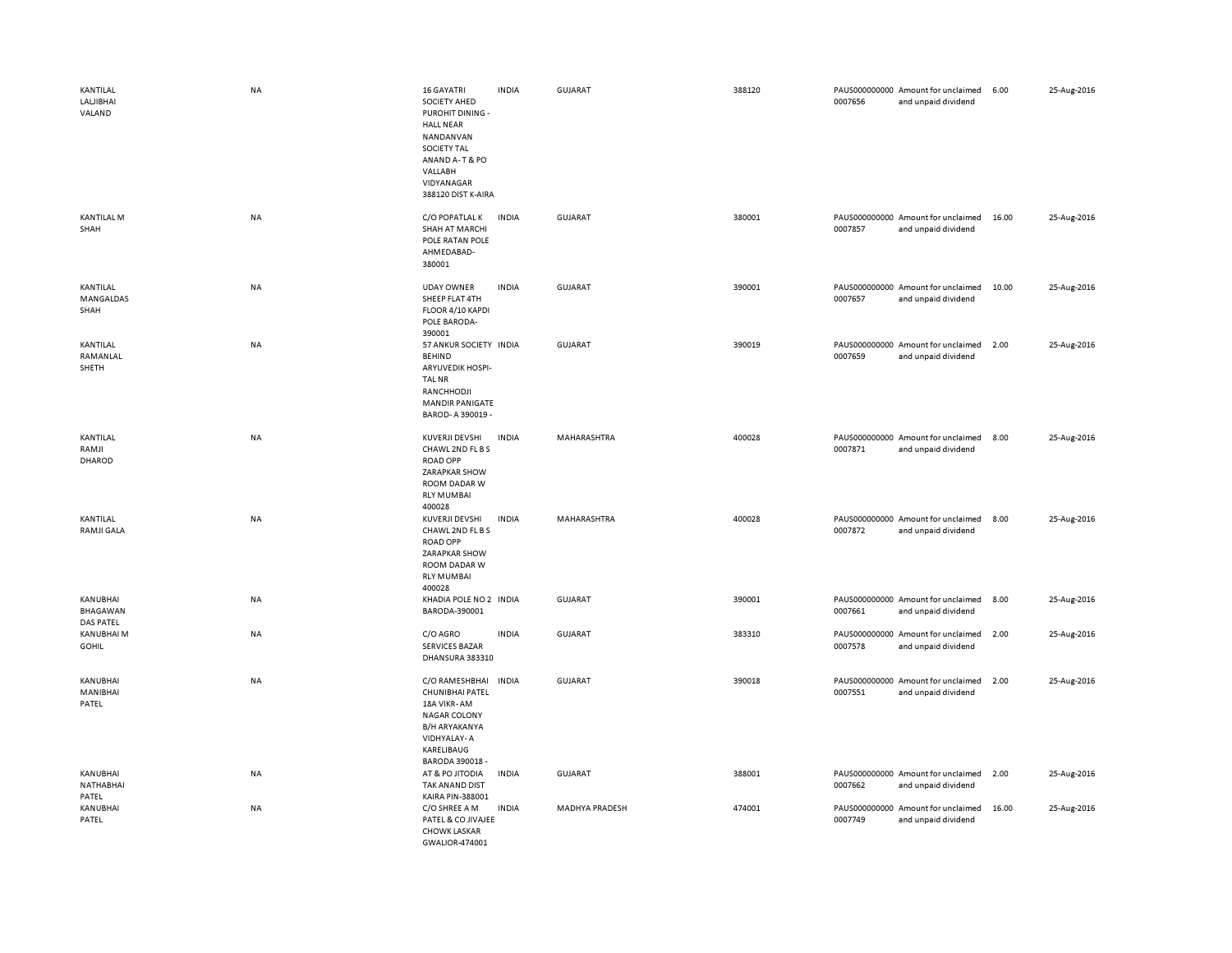| KANTILAL<br>LALJIBHAI<br>VALAND          | <b>NA</b> | 16 GAYATRI<br>SOCIETY AHED<br>PUROHIT DINING -<br><b>HALL NEAR</b><br>NANDANVAN<br>SOCIETY TAL<br>ANAND A-T & PO<br>VALLABH<br>VIDYANAGAR<br>388120 DIST K-AIRA | <b>INDIA</b> | GUJARAT        | 388120 | 0007656 | PAUS000000000 Amount for unclaimed<br>and unpaid dividend | 6.00  | 25-Aug-2016 |
|------------------------------------------|-----------|-----------------------------------------------------------------------------------------------------------------------------------------------------------------|--------------|----------------|--------|---------|-----------------------------------------------------------|-------|-------------|
| <b>KANTILAL M</b><br>SHAH                | <b>NA</b> | C/O POPATLAL K<br>SHAH AT MARCHI<br>POLE RATAN POLE<br>AHMEDABAD-<br>380001                                                                                     | <b>INDIA</b> | GUJARAT        | 380001 | 0007857 | PAUS000000000 Amount for unclaimed<br>and unpaid dividend | 16.00 | 25-Aug-2016 |
| KANTILAL<br>MANGALDAS<br>SHAH            | NA        | <b>UDAY OWNER</b><br>SHEEP FLAT 4TH<br>FLOOR 4/10 KAPDI<br>POLE BARODA-<br>390001                                                                               | <b>INDIA</b> | <b>GUJARAT</b> | 390001 | 0007657 | PAUS000000000 Amount for unclaimed<br>and unpaid dividend | 10.00 | 25-Aug-2016 |
| KANTILAL<br>RAMANLAL<br>SHETH            | <b>NA</b> | 57 ANKUR SOCIETY INDIA<br><b>BEHIND</b><br>ARYUVEDIK HOSPI-<br><b>TAL NR</b><br>RANCHHODJI<br><b>MANDIR PANIGATE</b><br>BAROD-A 390019 -                        |              | <b>GUJARAT</b> | 390019 | 0007659 | PAUS000000000 Amount for unclaimed<br>and unpaid dividend | 2.00  | 25-Aug-2016 |
| KANTILAL<br>RAMJI<br>DHAROD              | <b>NA</b> | KUVERJI DEVSHI<br>CHAWL 2ND FL B S<br><b>ROAD OPP</b><br>ZARAPKAR SHOW<br>ROOM DADAR W<br><b>RLY MUMBAI</b><br>400028                                           | <b>INDIA</b> | MAHARASHTRA    | 400028 | 0007871 | PAUS000000000 Amount for unclaimed<br>and unpaid dividend | 8.00  | 25-Aug-2016 |
| KANTILAL<br>RAMJI GALA                   | <b>NA</b> | <b>KUVERJI DEVSHI</b><br>CHAWL 2ND FL B S<br><b>ROAD OPP</b><br>ZARAPKAR SHOW<br>ROOM DADAR W<br><b>RLY MUMBAI</b><br>400028                                    | <b>INDIA</b> | MAHARASHTRA    | 400028 | 0007872 | PAUS000000000 Amount for unclaimed<br>and unpaid dividend | 8.00  | 25-Aug-2016 |
| KANUBHAI<br>BHAGAWAN<br><b>DAS PATEL</b> | NA        | KHADIA POLE NO 2 INDIA<br>BARODA-390001                                                                                                                         |              | GUJARAT        | 390001 | 0007661 | PAUS000000000 Amount for unclaimed<br>and unpaid dividend | 8.00  | 25-Aug-2016 |
| <b>KANUBHAI M</b><br><b>GOHIL</b>        | <b>NA</b> | C/O AGRO<br><b>SERVICES BAZAR</b><br>DHANSURA 383310                                                                                                            | <b>INDIA</b> | <b>GUJARAT</b> | 383310 | 0007578 | PAUS000000000 Amount for unclaimed<br>and unpaid dividend | 2.00  | 25-Aug-2016 |
| KANUBHAI<br>MANIBHAI<br>PATEL            | <b>NA</b> | C/O RAMESHBHAI<br>CHUNIBHAI PATEL<br>18A VIKR-AM<br><b>NAGAR COLONY</b><br>B/H ARYAKANYA<br>VIDHYALAY-A<br>KARELIBAUG<br>BARODA 390018 -                        | <b>INDIA</b> | <b>GUJARAT</b> | 390018 | 0007551 | PAUS000000000 Amount for unclaimed<br>and unpaid dividend | 2.00  | 25-Aug-2016 |
| KANUBHAI<br>NATHABHAI<br>PATEL           | <b>NA</b> | AT & PO JITODIA<br>TAK ANAND DIST<br>KAIRA PIN-388001                                                                                                           | <b>INDIA</b> | <b>GUJARAT</b> | 388001 | 0007662 | PAUS000000000 Amount for unclaimed<br>and unpaid dividend | 2.00  | 25-Aug-2016 |
| KANUBHAI<br>PATEL                        | NA        | C/O SHREE A M<br>PATEL & CO JIVAJEE<br><b>CHOWK LASKAR</b><br>GWALIOR-474001                                                                                    | <b>INDIA</b> | MADHYA PRADESH | 474001 | 0007749 | PAUS000000000 Amount for unclaimed<br>and unpaid dividend | 16.00 | 25-Aug-2016 |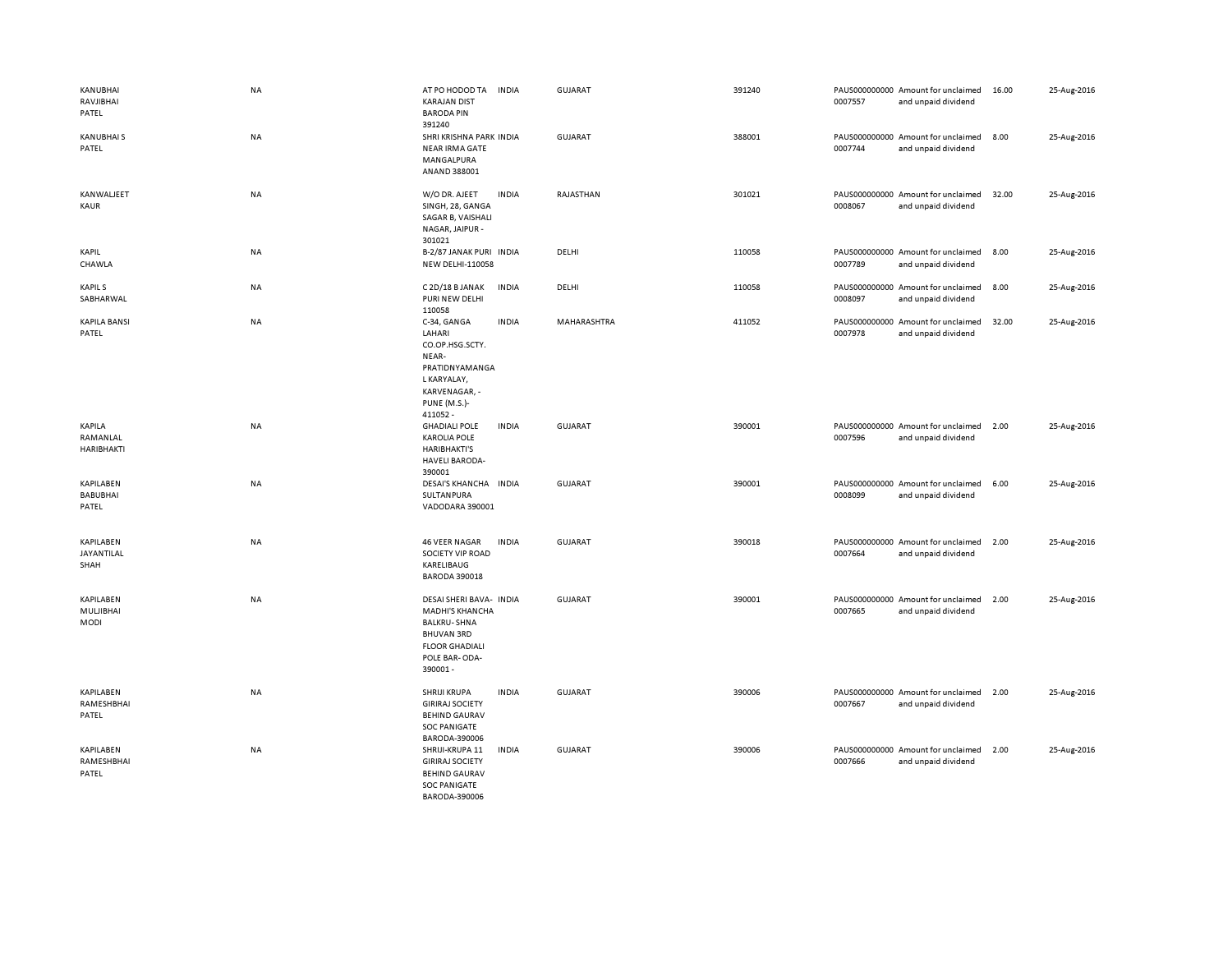| KANUBHAI<br>RAVJIBHAI<br>PATEL        | <b>NA</b> | AT PO HODOD TA<br><b>KARAJAN DIST</b><br><b>BARODA PIN</b><br>391240                                                                              | <b>INDIA</b> | <b>GUJARAT</b> | 391240 | 0007557 | PAUS000000000 Amount for unclaimed<br>and unpaid dividend | 16.00 | 25-Aug-2016 |
|---------------------------------------|-----------|---------------------------------------------------------------------------------------------------------------------------------------------------|--------------|----------------|--------|---------|-----------------------------------------------------------|-------|-------------|
| KANUBHAI S<br>PATEL                   | <b>NA</b> | SHRI KRISHNA PARK INDIA<br><b>NEAR IRMA GATE</b><br>MANGALPURA<br>ANAND 388001                                                                    |              | <b>GUJARAT</b> | 388001 | 0007744 | PAUS000000000 Amount for unclaimed<br>and unpaid dividend | 8.00  | 25-Aug-2016 |
| KANWALJEET<br>KAUR                    | <b>NA</b> | W/O DR. AJEET<br>SINGH, 28, GANGA<br>SAGAR B, VAISHALI<br>NAGAR, JAIPUR -<br>301021                                                               | <b>INDIA</b> | RAJASTHAN      | 301021 | 0008067 | PAUS000000000 Amount for unclaimed<br>and unpaid dividend | 32.00 | 25-Aug-2016 |
| <b>KAPIL</b><br>CHAWLA                | <b>NA</b> | B-2/87 JANAK PURI INDIA<br><b>NEW DELHI-110058</b>                                                                                                |              | DELHI          | 110058 | 0007789 | PAUS000000000 Amount for unclaimed<br>and unpaid dividend | 8.00  | 25-Aug-2016 |
| <b>KAPILS</b><br>SABHARWAL            | NA        | C 2D/18 B JANAK<br>PURI NEW DELHI<br>110058                                                                                                       | <b>INDIA</b> | DELHI          | 110058 | 0008097 | PAUS000000000 Amount for unclaimed<br>and unpaid dividend | 8.00  | 25-Aug-2016 |
| <b>KAPILA BANSI</b><br>PATEL          | NA        | C-34, GANGA<br>LAHARI<br>CO.OP.HSG.SCTY.<br>NEAR-<br>PRATIDNYAMANGA<br>L KARYALAY,<br>KARVENAGAR, -<br><b>PUNE (M.S.)-</b><br>411052 -            | <b>INDIA</b> | MAHARASHTRA    | 411052 | 0007978 | PAUS000000000 Amount for unclaimed<br>and unpaid dividend | 32.00 | 25-Aug-2016 |
| KAPILA<br>RAMANLAL<br>HARIBHAKTI      | <b>NA</b> | <b>GHADIALI POLE</b><br><b>KAROLIA POLE</b><br><b>HARIBHAKTI'S</b><br><b>HAVELI BARODA-</b><br>390001                                             | <b>INDIA</b> | <b>GUJARAT</b> | 390001 | 0007596 | PAUS000000000 Amount for unclaimed<br>and unpaid dividend | 2.00  | 25-Aug-2016 |
| KAPILABEN<br><b>BABUBHAI</b><br>PATEL | NA        | DESAI'S KHANCHA INDIA<br>SULTANPURA<br>VADODARA 390001                                                                                            |              | <b>GUJARAT</b> | 390001 | 0008099 | PAUS000000000 Amount for unclaimed<br>and unpaid dividend | 6.00  | 25-Aug-2016 |
| KAPILABEN<br>JAYANTILAL<br>SHAH       | NA        | <b>46 VEER NAGAR</b><br>SOCIETY VIP ROAD<br>KARELIBAUG<br><b>BARODA 390018</b>                                                                    | <b>INDIA</b> | <b>GUJARAT</b> | 390018 | 0007664 | PAUS000000000 Amount for unclaimed<br>and unpaid dividend | 2.00  | 25-Aug-2016 |
| KAPILABEN<br>MULJIBHAI<br><b>MODI</b> | <b>NA</b> | DESAI SHERI BAVA- INDIA<br><b>MADHI'S KHANCHA</b><br><b>BALKRU-SHNA</b><br><b>BHUVAN 3RD</b><br><b>FLOOR GHADIALI</b><br>POLE BAR-ODA-<br>390001- |              | GUJARAT        | 390001 | 0007665 | PAUS000000000 Amount for unclaimed<br>and unpaid dividend | 2.00  | 25-Aug-2016 |
| KAPILABEN<br>RAMESHBHAI<br>PATEL      | NA        | SHRIJI KRUPA<br><b>GIRIRAJ SOCIETY</b><br><b>BEHIND GAURAV</b><br><b>SOC PANIGATE</b><br>BARODA-390006                                            | <b>INDIA</b> | <b>GUJARAT</b> | 390006 | 0007667 | PAUS000000000 Amount for unclaimed<br>and unpaid dividend | 2.00  | 25-Aug-2016 |
| KAPILABEN<br>RAMESHBHAI<br>PATEL      | NA        | SHRIJI-KRUPA 11<br><b>GIRIRAJ SOCIETY</b><br><b>BEHIND GAURAV</b><br><b>SOC PANIGATE</b><br>BARODA-390006                                         | <b>INDIA</b> | <b>GUJARAT</b> | 390006 | 0007666 | PAUS000000000 Amount for unclaimed<br>and unpaid dividend | 2.00  | 25-Aug-2016 |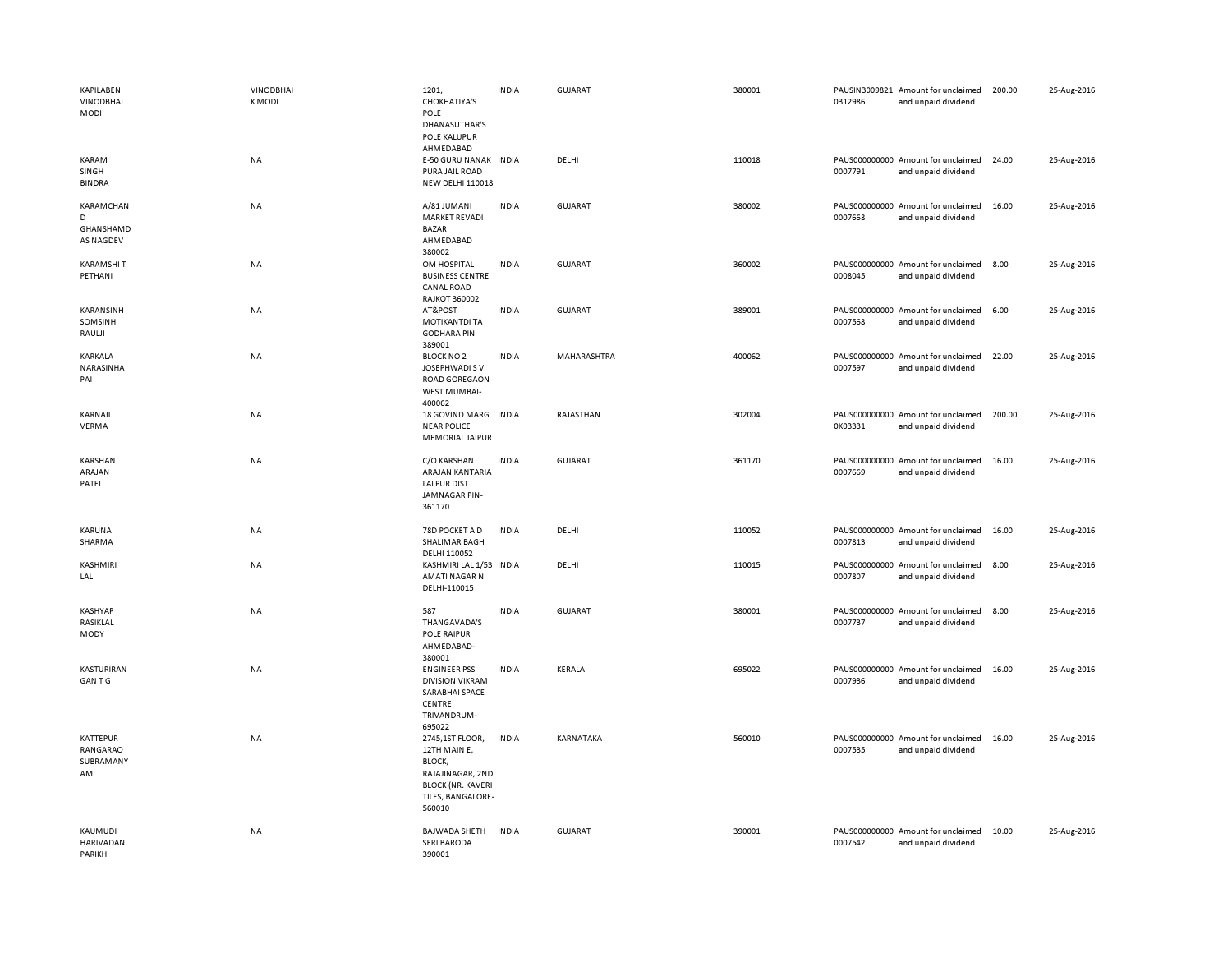| KAPILABEN<br><b>VINODBHAI</b><br>MODI    | <b>VINODBHAI</b><br><b>KMODI</b> | 1201,<br><b>CHOKHATIYA'S</b><br>POLE<br>DHANASUTHAR'S<br>POLE KALUPUR<br>AHMEDABAD                                       | <b>INDIA</b> | GUJARAT        | 380001 | 0312986 | PAUSIN3009821 Amount for unclaimed<br>and unpaid dividend | 200.00 | 25-Aug-2016 |
|------------------------------------------|----------------------------------|--------------------------------------------------------------------------------------------------------------------------|--------------|----------------|--------|---------|-----------------------------------------------------------|--------|-------------|
| KARAM<br>SINGH<br><b>BINDRA</b>          | <b>NA</b>                        | E-50 GURU NANAK INDIA<br>PURA JAIL ROAD<br><b>NEW DELHI 110018</b>                                                       |              | DELHI          | 110018 | 0007791 | PAUS000000000 Amount for unclaimed<br>and unpaid dividend | 24.00  | 25-Aug-2016 |
| KARAMCHAN<br>D<br>GHANSHAMD<br>AS NAGDEV | NA                               | A/81 JUMANI<br><b>MARKET REVADI</b><br><b>BAZAR</b><br>AHMEDABAD<br>380002                                               | <b>INDIA</b> | GUJARAT        | 380002 | 0007668 | PAUS000000000 Amount for unclaimed<br>and unpaid dividend | 16.00  | 25-Aug-2016 |
| <b>KARAMSHIT</b><br>PETHANI              | NA                               | OM HOSPITAL<br><b>BUSINESS CENTRE</b><br>CANAL ROAD<br><b>RAJKOT 360002</b>                                              | <b>INDIA</b> | <b>GUJARAT</b> | 360002 | 0008045 | PAUS000000000 Amount for unclaimed<br>and unpaid dividend | 8.00   | 25-Aug-2016 |
| KARANSINH<br>SOMSINH<br>RAULII           | NA                               | AT&POST<br><b>MOTIKANTDI TA</b><br><b>GODHARA PIN</b><br>389001                                                          | <b>INDIA</b> | <b>GUJARAT</b> | 389001 | 0007568 | PAUS000000000 Amount for unclaimed<br>and unpaid dividend | 6.00   | 25-Aug-2016 |
| KARKALA<br>NARASINHA<br>PAI              | NA                               | <b>BLOCK NO 2</b><br>JOSEPHWADI S V<br><b>ROAD GOREGAON</b><br><b>WEST MUMBAI-</b><br>400062                             | <b>INDIA</b> | MAHARASHTRA    | 400062 | 0007597 | PAUS000000000 Amount for unclaimed<br>and unpaid dividend | 22.00  | 25-Aug-2016 |
| KARNAIL<br>VERMA                         | NA                               | 18 GOVIND MARG INDIA<br><b>NEAR POLICE</b><br><b>MEMORIAL JAIPUR</b>                                                     |              | RAJASTHAN      | 302004 | 0K03331 | PAUS000000000 Amount for unclaimed<br>and unpaid dividend | 200.00 | 25-Aug-2016 |
| KARSHAN<br>ARAJAN<br>PATEL               | NA                               | C/O KARSHAN<br>ARAJAN KANTARIA<br><b>LALPUR DIST</b><br>JAMNAGAR PIN-<br>361170                                          | <b>INDIA</b> | GUJARAT        | 361170 | 0007669 | PAUS000000000 Amount for unclaimed<br>and unpaid dividend | 16.00  | 25-Aug-2016 |
| KARUNA<br>SHARMA                         | <b>NA</b>                        | 78D POCKET A D<br>SHALIMAR BAGH<br>DELHI 110052                                                                          | <b>INDIA</b> | DELHI          | 110052 | 0007813 | PAUS000000000 Amount for unclaimed<br>and unpaid dividend | 16.00  | 25-Aug-2016 |
| KASHMIRI<br>LAL                          | NA                               | KASHMIRI LAL 1/53 INDIA<br>AMATI NAGAR N<br>DELHI-110015                                                                 |              | DELHI          | 110015 | 0007807 | PAUS000000000 Amount for unclaimed<br>and unpaid dividend | 8.00   | 25-Aug-2016 |
| KASHYAP<br>RASIKLAL<br>MODY              | <b>NA</b>                        | 587<br>THANGAVADA'S<br>POLE RAIPUR<br>AHMEDABAD-<br>380001                                                               | <b>INDIA</b> | <b>GUJARAT</b> | 380001 | 0007737 | PAUS000000000 Amount for unclaimed<br>and unpaid dividend | 8.00   | 25-Aug-2016 |
| KASTURIRAN<br><b>GANTG</b>               | <b>NA</b>                        | <b>ENGINEER PSS</b><br><b>DIVISION VIKRAM</b><br>SARABHAI SPACE<br>CENTRE<br>TRIVANDRUM-<br>695022                       | <b>INDIA</b> | KERALA         | 695022 | 0007936 | PAUS000000000 Amount for unclaimed<br>and unpaid dividend | 16.00  | 25-Aug-2016 |
| KATTEPUR<br>RANGARAO<br>SUBRAMANY<br>AM  | <b>NA</b>                        | 2745,1ST FLOOR,<br>12TH MAIN E,<br>BLOCK,<br>RAJAJINAGAR, 2ND<br><b>BLOCK (NR. KAVERI</b><br>TILES, BANGALORE-<br>560010 | <b>INDIA</b> | KARNATAKA      | 560010 | 0007535 | PAUS000000000 Amount for unclaimed<br>and unpaid dividend | 16.00  | 25-Aug-2016 |
| KAUMUDI<br><b>HARIVADAN</b><br>PARIKH    | <b>NA</b>                        | <b>BAJWADA SHETH</b><br><b>SERI BARODA</b><br>390001                                                                     | <b>INDIA</b> | <b>GUJARAT</b> | 390001 | 0007542 | PAUS000000000 Amount for unclaimed<br>and unpaid dividend | 10.00  | 25-Aug-2016 |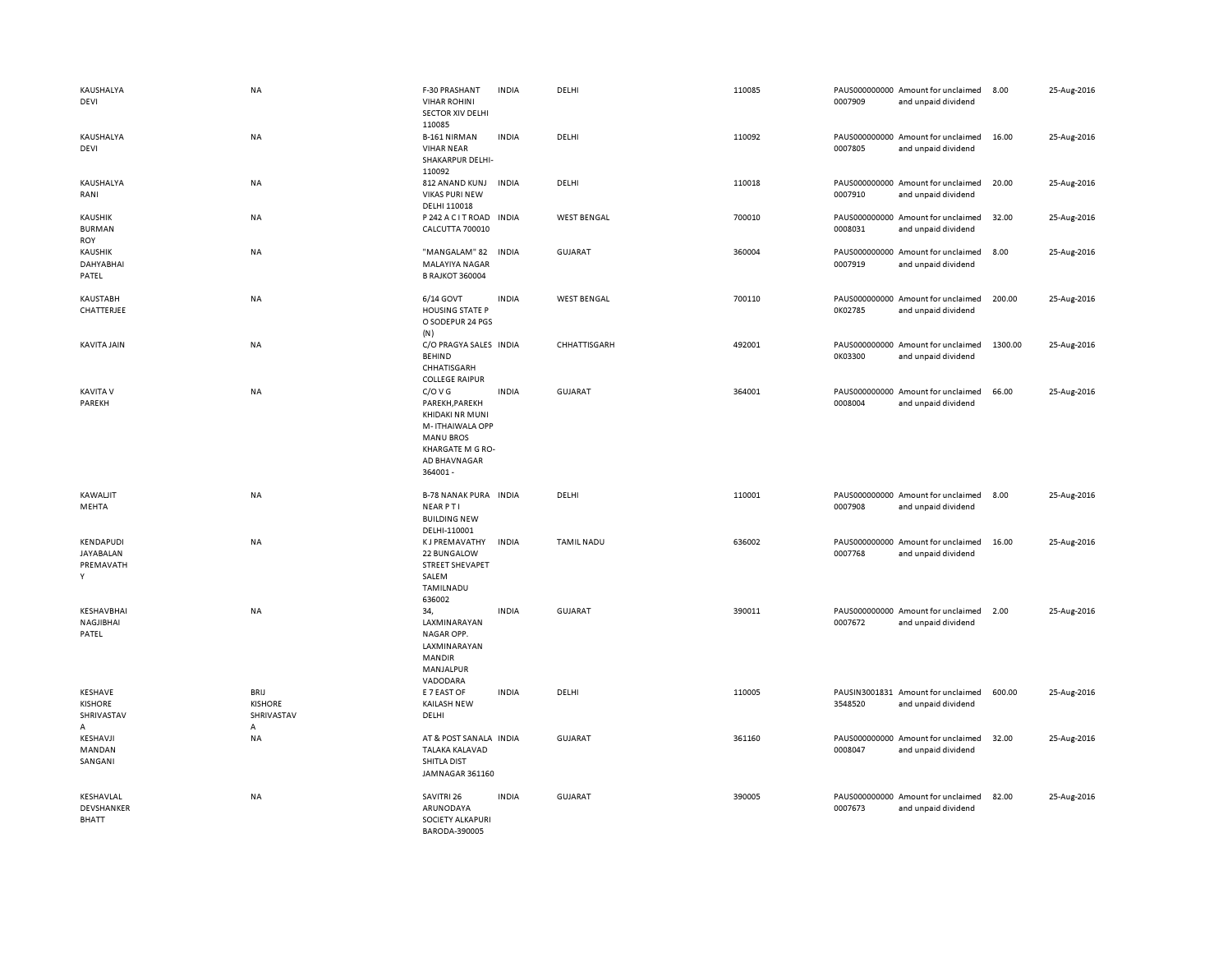| KAUSHALYA<br>DEVI                               | NA                                        | F-30 PRASHANT<br><b>VIHAR ROHINI</b><br><b>SECTOR XIV DELHI</b><br>110085                                                           | <b>INDIA</b> | DELHI              | 110085 | 0007909 | PAUS000000000 Amount for unclaimed<br>and unpaid dividend | 8.00    | 25-Aug-2016 |
|-------------------------------------------------|-------------------------------------------|-------------------------------------------------------------------------------------------------------------------------------------|--------------|--------------------|--------|---------|-----------------------------------------------------------|---------|-------------|
| KAUSHALYA<br>DEVI                               | NA                                        | B-161 NIRMAN<br><b>VIHAR NEAR</b><br>SHAKARPUR DELHI-<br>110092                                                                     | <b>INDIA</b> | DELHI              | 110092 | 0007805 | PAUS000000000 Amount for unclaimed<br>and unpaid dividend | 16.00   | 25-Aug-2016 |
| KAUSHALYA<br>RANI                               | NA                                        | 812 ANAND KUNJ<br><b>VIKAS PURI NEW</b><br>DELHI 110018                                                                             | <b>INDIA</b> | DELHI              | 110018 | 0007910 | PAUS000000000 Amount for unclaimed<br>and unpaid dividend | 20.00   | 25-Aug-2016 |
| KAUSHIK<br><b>BURMAN</b><br>ROY                 | NA                                        | P 242 A C IT ROAD INDIA<br>CALCUTTA 700010                                                                                          |              | <b>WEST BENGAL</b> | 700010 | 0008031 | PAUS000000000 Amount for unclaimed<br>and unpaid dividend | 32.00   | 25-Aug-2016 |
| KAUSHIK<br>DAHYABHAI<br>PATEL                   | NA                                        | "MANGALAM" 82<br>MALAYIYA NAGAR<br><b>B RAJKOT 360004</b>                                                                           | <b>INDIA</b> | <b>GUJARAT</b>     | 360004 | 0007919 | PAUS000000000 Amount for unclaimed<br>and unpaid dividend | 8.00    | 25-Aug-2016 |
| KAUSTABH<br>CHATTERJEE                          | NA                                        | 6/14 GOVT<br><b>HOUSING STATE P</b><br>O SODEPUR 24 PGS<br>(N)                                                                      | <b>INDIA</b> | <b>WEST BENGAL</b> | 700110 | 0K02785 | PAUS000000000 Amount for unclaimed<br>and unpaid dividend | 200.00  | 25-Aug-2016 |
| KAVITA JAIN                                     | <b>NA</b>                                 | C/O PRAGYA SALES INDIA<br><b>BEHIND</b><br>CHHATISGARH<br><b>COLLEGE RAIPUR</b>                                                     |              | CHHATTISGARH       | 492001 | 0K03300 | PAUS000000000 Amount for unclaimed<br>and unpaid dividend | 1300.00 | 25-Aug-2016 |
| <b>KAVITA V</b><br>PAREKH                       | NA                                        | C/O V G<br>PAREKH, PAREKH<br>KHIDAKI NR MUNI<br>M-ITHAIWALA OPP<br><b>MANU BROS</b><br>KHARGATE M G RO-<br>AD BHAVNAGAR<br>364001 - | <b>INDIA</b> | <b>GUJARAT</b>     | 364001 | 0008004 | PAUS000000000 Amount for unclaimed<br>and unpaid dividend | 66.00   | 25-Aug-2016 |
| <b>KAWALJIT</b><br>MEHTA                        | NA                                        | <b>B-78 NANAK PURA INDIA</b><br><b>NEARPTI</b><br><b>BUILDING NEW</b><br>DELHI-110001                                               |              | DELHI              | 110001 | 0007908 | PAUS000000000 Amount for unclaimed<br>and unpaid dividend | 8.00    | 25-Aug-2016 |
| KENDAPUDI<br><b>JAYABALAN</b><br>PREMAVATH<br>Y | NA                                        | <b>KJ PREMAVATHY</b><br>22 BUNGALOW<br><b>STREET SHEVAPET</b><br>SALEM<br>TAMILNADU<br>636002                                       | <b>INDIA</b> | <b>TAMIL NADU</b>  | 636002 | 0007768 | PAUS000000000 Amount for unclaimed<br>and unpaid dividend | 16.00   | 25-Aug-2016 |
| KESHAVBHAI<br>NAGJIBHAI<br>PATEL                | <b>NA</b>                                 | 34.<br>LAXMINARAYAN<br>NAGAR OPP.<br>LAXMINARAYAN<br><b>MANDIR</b><br>MANJALPUR<br>VADODARA                                         | <b>INDIA</b> | <b>GUJARAT</b>     | 390011 | 0007672 | PAUS000000000 Amount for unclaimed<br>and unpaid dividend | 2.00    | 25-Aug-2016 |
| KESHAVE<br><b>KISHORE</b><br>SHRIVASTAV<br>А    | BRIJ<br><b>KISHORE</b><br>SHRIVASTAV<br>Α | E 7 EAST OF<br><b>KAILASH NEW</b><br>DELHI                                                                                          | <b>INDIA</b> | DELHI              | 110005 | 3548520 | PAUSIN3001831 Amount for unclaimed<br>and unpaid dividend | 600.00  | 25-Aug-2016 |
| KESHAVJI<br>MANDAN<br>SANGANI                   | <b>NA</b>                                 | AT & POST SANALA INDIA<br><b>TALAKA KALAVAD</b><br>SHITLA DIST<br>JAMNAGAR 361160                                                   |              | <b>GUJARAT</b>     | 361160 | 0008047 | PAUS000000000 Amount for unclaimed<br>and unpaid dividend | 32.00   | 25-Aug-2016 |
| KESHAVLAL<br>DEVSHANKER<br><b>BHATT</b>         | NA                                        | SAVITRI 26<br>ARUNODAYA<br>SOCIETY ALKAPURI<br>BARODA-390005                                                                        | <b>INDIA</b> | <b>GUJARAT</b>     | 390005 | 0007673 | PAUS000000000 Amount for unclaimed<br>and unpaid dividend | 82.00   | 25-Aug-2016 |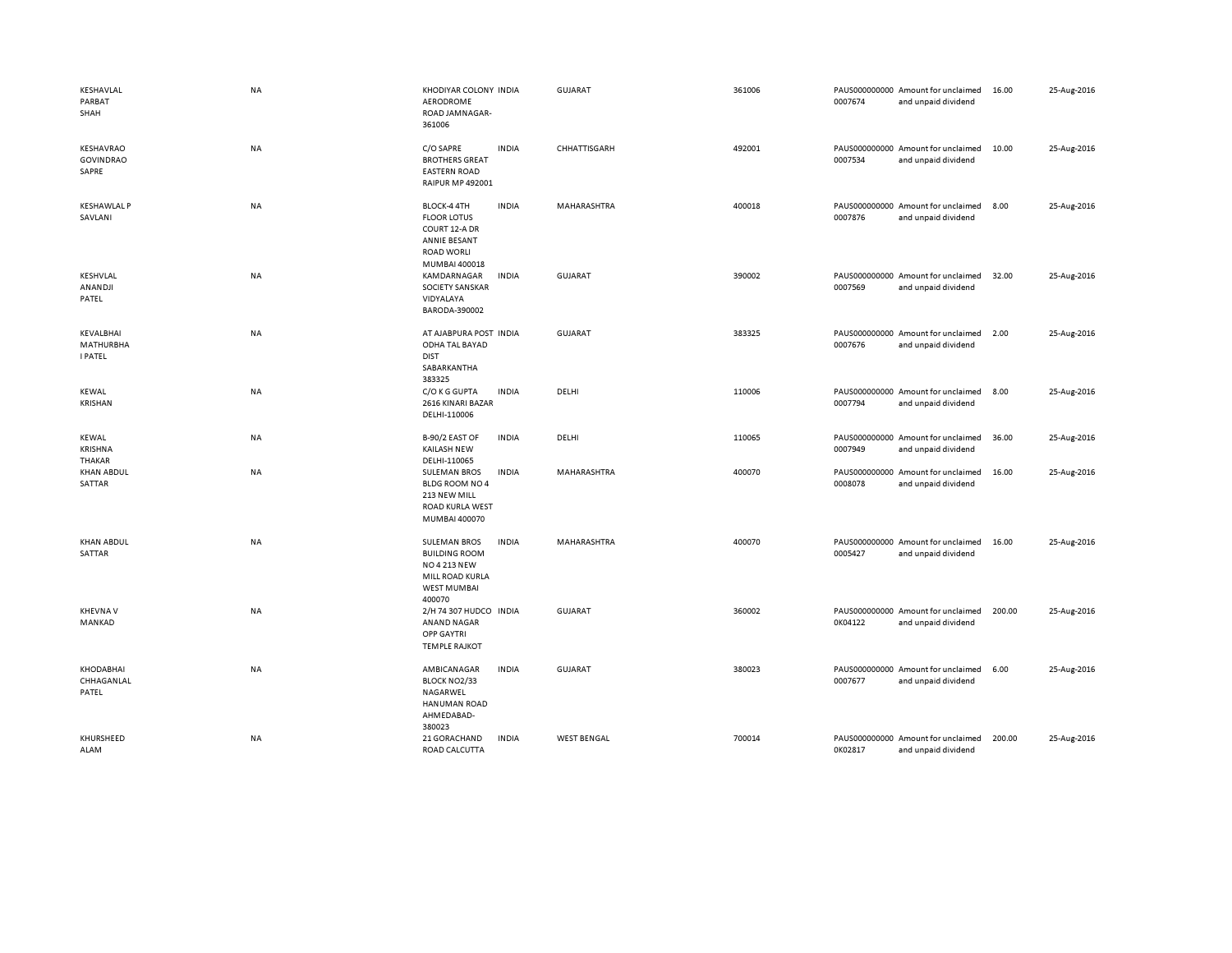| KESHAVLAL<br>PARBAT<br>SHAH                     | NA        | KHODIYAR COLONY INDIA<br>AERODROME<br>ROAD JAMNAGAR-<br>361006                                                                        | GUJARAT            | 361006 | PAUS000000000 Amount for unclaimed<br>0007674<br>and unpaid dividend | 16.00  | 25-Aug-2016 |
|-------------------------------------------------|-----------|---------------------------------------------------------------------------------------------------------------------------------------|--------------------|--------|----------------------------------------------------------------------|--------|-------------|
| KESHAVRAO<br><b>GOVINDRAO</b><br>SAPRE          | NA        | C/O SAPRE<br><b>INDIA</b><br><b>BROTHERS GREAT</b><br><b>EASTERN ROAD</b><br><b>RAIPUR MP 492001</b>                                  | CHHATTISGARH       | 492001 | PAUS000000000 Amount for unclaimed<br>0007534<br>and unpaid dividend | 10.00  | 25-Aug-2016 |
| <b>KESHAWLAL P</b><br>SAVLANI                   | NA        | <b>INDIA</b><br>BLOCK-4 4TH<br><b>FLOOR LOTUS</b><br>COURT 12-A DR<br>ANNIE BESANT<br><b>ROAD WORLI</b><br>MUMBAI 400018              | MAHARASHTRA        | 400018 | PAUS000000000 Amount for unclaimed<br>0007876<br>and unpaid dividend | 8.00   | 25-Aug-2016 |
| KESHVLAL<br>ANANDJI<br>PATEL                    | NA        | <b>INDIA</b><br>KAMDARNAGAR<br>SOCIETY SANSKAR<br>VIDYALAYA<br>BARODA-390002                                                          | <b>GUJARAT</b>     | 390002 | PAUS000000000 Amount for unclaimed<br>0007569<br>and unpaid dividend | 32.00  | 25-Aug-2016 |
| KEVALBHAI<br><b>MATHURBHA</b><br><b>I PATEL</b> | <b>NA</b> | AT AJABPURA POST INDIA<br>ODHA TAL BAYAD<br><b>DIST</b><br>SABARKANTHA<br>383325                                                      | <b>GUJARAT</b>     | 383325 | PAUS000000000 Amount for unclaimed<br>0007676<br>and unpaid dividend | 2.00   | 25-Aug-2016 |
| <b>KEWAL</b><br><b>KRISHAN</b>                  | NA        | C/O K G GUPTA<br><b>INDIA</b><br>2616 KINARI BAZAR<br>DELHI-110006                                                                    | DELHI              | 110006 | PAUS000000000 Amount for unclaimed<br>0007794<br>and unpaid dividend | 8.00   | 25-Aug-2016 |
| <b>KEWAL</b><br>KRISHNA<br>THAKAR               | NA        | B-90/2 EAST OF<br><b>INDIA</b><br><b>KAILASH NEW</b><br>DELHI-110065                                                                  | DELHI              | 110065 | PAUS000000000 Amount for unclaimed<br>0007949<br>and unpaid dividend | 36.00  | 25-Aug-2016 |
| <b>KHAN ABDUL</b><br>SATTAR                     | NA        | <b>SULEMAN BROS</b><br><b>INDIA</b><br><b>BLDG ROOM NO 4</b><br>213 NEW MILL<br><b>ROAD KURLA WEST</b><br>MUMBAI 400070               | MAHARASHTRA        | 400070 | PAUS000000000 Amount for unclaimed<br>0008078<br>and unpaid dividend | 16.00  | 25-Aug-2016 |
| <b>KHAN ABDUL</b><br>SATTAR                     | <b>NA</b> | <b>SULEMAN BROS</b><br><b>INDIA</b><br><b>BUILDING ROOM</b><br><b>NO 4 213 NEW</b><br>MILL ROAD KURLA<br><b>WEST MUMBAI</b><br>400070 | MAHARASHTRA        | 400070 | PAUS000000000 Amount for unclaimed<br>0005427<br>and unpaid dividend | 16.00  | 25-Aug-2016 |
| <b>KHEVNAV</b><br>MANKAD                        | NA        | 2/H 74 307 HUDCO INDIA<br><b>ANAND NAGAR</b><br>OPP GAYTRI<br><b>TEMPLE RAJKOT</b>                                                    | GUJARAT            | 360002 | PAUS000000000 Amount for unclaimed<br>0K04122<br>and unpaid dividend | 200.00 | 25-Aug-2016 |
| KHODABHAI<br>CHHAGANLAL<br>PATEL                | NA        | AMBICANAGAR<br><b>INDIA</b><br>BLOCK NO2/33<br>NAGARWEL<br><b>HANUMAN ROAD</b><br>AHMEDABAD-<br>380023                                | <b>GUJARAT</b>     | 380023 | PAUS000000000 Amount for unclaimed<br>0007677<br>and unpaid dividend | 6.00   | 25-Aug-2016 |
| KHURSHEED<br>ALAM                               | NA        | 21 GORACHAND<br><b>INDIA</b><br>ROAD CALCUTTA                                                                                         | <b>WEST BENGAL</b> | 700014 | PAUS000000000 Amount for unclaimed<br>0K02817<br>and unpaid dividend | 200.00 | 25-Aug-2016 |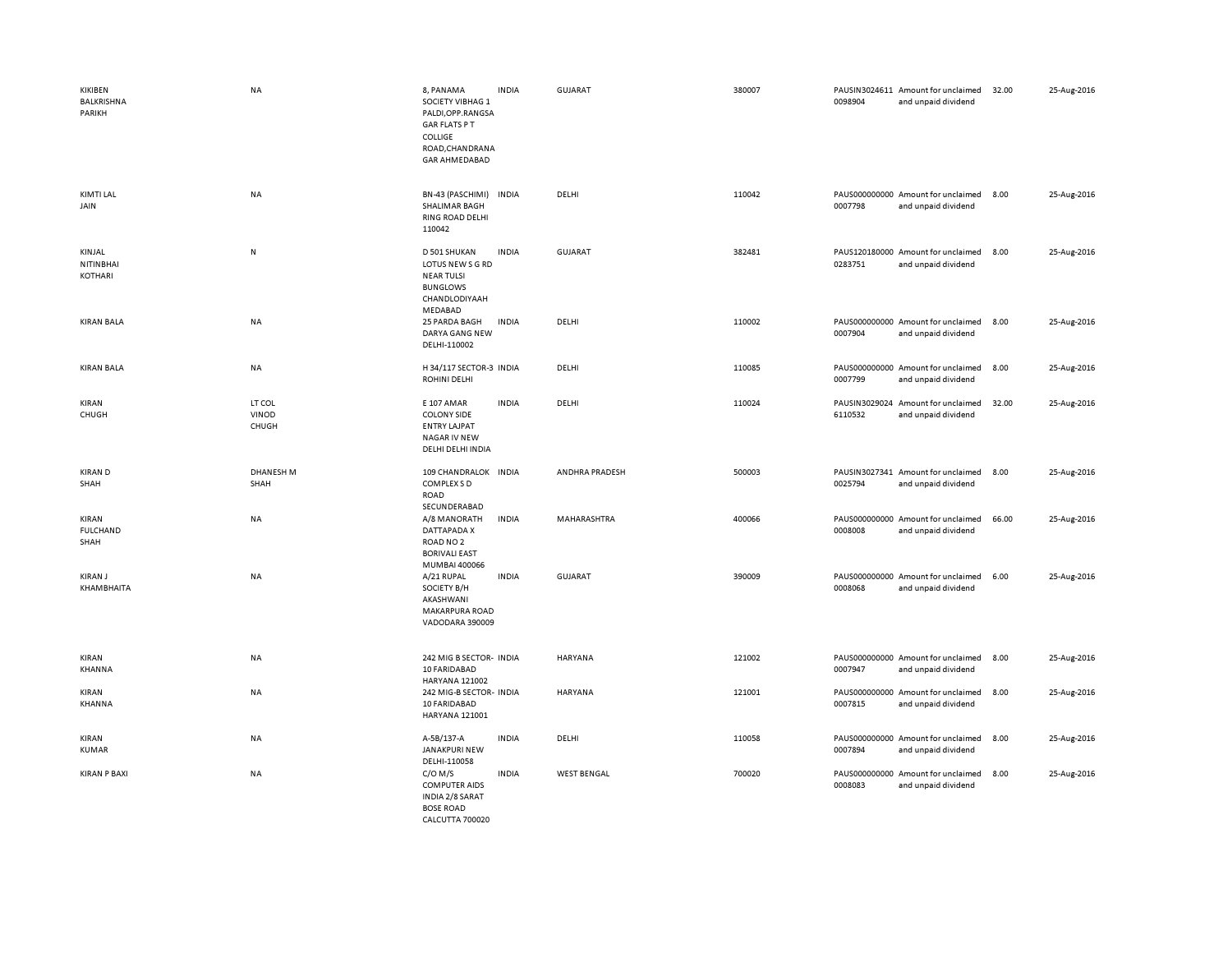| KIKIBEN<br><b>BALKRISHNA</b><br>PARIKH | NA                       | 8, PANAMA<br><b>INDIA</b><br>SOCIETY VIBHAG 1<br>PALDI, OPP.RANGSA<br><b>GAR FLATS PT</b><br><b>COLLIGE</b><br>ROAD, CHANDRANA<br><b>GAR AHMEDABAD</b> | <b>GUJARAT</b>     | 380007 | 0098904 | PAUSIN3024611 Amount for unclaimed<br>and unpaid dividend | 32.00 | 25-Aug-2016 |
|----------------------------------------|--------------------------|--------------------------------------------------------------------------------------------------------------------------------------------------------|--------------------|--------|---------|-----------------------------------------------------------|-------|-------------|
| KIMTI LAL<br>JAIN                      | NA                       | BN-43 (PASCHIMI) INDIA<br>SHALIMAR BAGH<br>RING ROAD DELHI<br>110042                                                                                   | DELHI              | 110042 | 0007798 | PAUS000000000 Amount for unclaimed<br>and unpaid dividend | 8.00  | 25-Aug-2016 |
| KINJAL<br>NITINBHAI<br>KOTHARI         | N                        | <b>INDIA</b><br>D 501 SHUKAN<br>LOTUS NEW S G RD<br><b>NEAR TULSI</b><br><b>BUNGLOWS</b><br>CHANDLODIYAAH<br>MEDABAD                                   | GUJARAT            | 382481 | 0283751 | PAUS120180000 Amount for unclaimed<br>and unpaid dividend | 8.00  | 25-Aug-2016 |
| <b>KIRAN BALA</b>                      | NA                       | <b>INDIA</b><br>25 PARDA BAGH<br>DARYA GANG NEW<br>DELHI-110002                                                                                        | DELHI              | 110002 | 0007904 | PAUS000000000 Amount for unclaimed<br>and unpaid dividend | 8.00  | 25-Aug-2016 |
| <b>KIRAN BALA</b>                      | NA                       | H 34/117 SECTOR-3 INDIA<br><b>ROHINI DELHI</b>                                                                                                         | DELHI              | 110085 | 0007799 | PAUS000000000 Amount for unclaimed<br>and unpaid dividend | 8.00  | 25-Aug-2016 |
| KIRAN<br>CHUGH                         | LT COL<br>VINOD<br>CHUGH | E 107 AMAR<br><b>INDIA</b><br><b>COLONY SIDE</b><br><b>ENTRY LAJPAT</b><br>NAGAR IV NEW<br>DELHI DELHI INDIA                                           | DELHI              | 110024 | 6110532 | PAUSIN3029024 Amount for unclaimed<br>and unpaid dividend | 32.00 | 25-Aug-2016 |
| <b>KIRAN D</b><br>SHAH                 | <b>DHANESH M</b><br>SHAH | 109 CHANDRALOK INDIA<br>COMPLEX S D<br>ROAD<br>SECUNDERABAD                                                                                            | ANDHRA PRADESH     | 500003 | 0025794 | PAUSIN3027341 Amount for unclaimed<br>and unpaid dividend | 8.00  | 25-Aug-2016 |
| KIRAN<br><b>FULCHAND</b><br>SHAH       | <b>NA</b>                | A/8 MANORATH<br><b>INDIA</b><br>DATTAPADA X<br>ROAD NO <sub>2</sub><br><b>BORIVALI EAST</b><br>MUMBAI 400066                                           | <b>MAHARASHTRA</b> | 400066 | 0008008 | PAUS000000000 Amount for unclaimed<br>and unpaid dividend | 66.00 | 25-Aug-2016 |
| <b>KIRAN J</b><br>KHAMBHAITA           | <b>NA</b>                | <b>INDIA</b><br>A/21 RUPAL<br>SOCIETY B/H<br>AKASHWANI<br><b>MAKARPURA ROAD</b><br>VADODARA 390009                                                     | GUJARAT            | 390009 | 0008068 | PAUS000000000 Amount for unclaimed<br>and unpaid dividend | 6.00  | 25-Aug-2016 |
| KIRAN<br><b>KHANNA</b>                 | NA                       | 242 MIG B SECTOR- INDIA<br>10 FARIDABAD<br>HARYANA 121002                                                                                              | <b>HARYANA</b>     | 121002 | 0007947 | PAUS000000000 Amount for unclaimed<br>and unpaid dividend | 8.00  | 25-Aug-2016 |
| KIRAN<br>KHANNA                        | <b>NA</b>                | 242 MIG-B SECTOR- INDIA<br>10 FARIDABAD<br><b>HARYANA 121001</b>                                                                                       | HARYANA            | 121001 | 0007815 | PAUS000000000 Amount for unclaimed<br>and unpaid dividend | 8.00  | 25-Aug-2016 |
| KIRAN<br><b>KUMAR</b>                  | NA                       | A-5B/137-A<br><b>INDIA</b><br>JANAKPURI NEW<br>DELHI-110058                                                                                            | DELHI              | 110058 | 0007894 | PAUS000000000 Amount for unclaimed<br>and unpaid dividend | 8.00  | 25-Aug-2016 |
| <b>KIRAN P BAXI</b>                    | <b>NA</b>                | $C/O$ M/S<br><b>INDIA</b><br><b>COMPUTER AIDS</b><br>INDIA 2/8 SARAT<br><b>BOSE ROAD</b><br>CALCUTTA 700020                                            | <b>WEST BENGAL</b> | 700020 | 0008083 | PAUS000000000 Amount for unclaimed<br>and unpaid dividend | 8.00  | 25-Aug-2016 |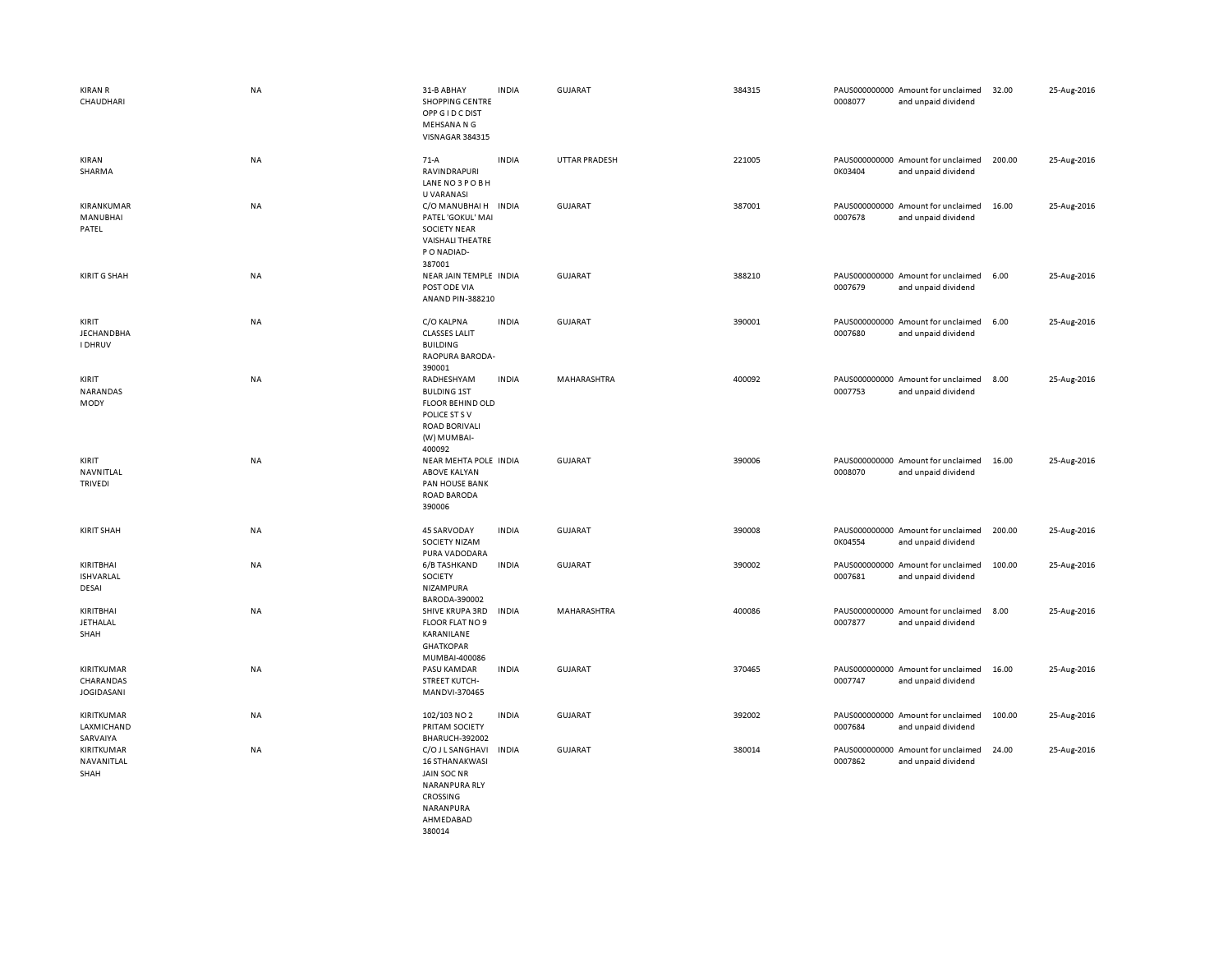| <b>KIRAN R</b><br>CHAUDHARI                  | NA        | 31-B ABHAY<br><b>SHOPPING CENTRE</b><br>OPP G I D C DIST<br>MEHSANA N G<br>VISNAGAR 384315                                        | <b>INDIA</b> | <b>GUJARAT</b>       | 384315 | 0008077 | PAUS000000000 Amount for unclaimed<br>and unpaid dividend | 32.00  | 25-Aug-2016 |
|----------------------------------------------|-----------|-----------------------------------------------------------------------------------------------------------------------------------|--------------|----------------------|--------|---------|-----------------------------------------------------------|--------|-------------|
| KIRAN<br>SHARMA                              | NA        | $71-A$<br><b>RAVINDRAPURI</b><br>LANE NO3POBH                                                                                     | <b>INDIA</b> | <b>UTTAR PRADESH</b> | 221005 | 0K03404 | PAUS000000000 Amount for unclaimed<br>and unpaid dividend | 200.00 | 25-Aug-2016 |
| KIRANKUMAR<br>MANUBHAI<br>PATEL              | <b>NA</b> | U VARANASI<br>C/O MANUBHAI H INDIA<br>PATEL 'GOKUL' MAI<br><b>SOCIETY NEAR</b><br><b>VAISHALI THEATRE</b><br>PO NADIAD-<br>387001 |              | <b>GUJARAT</b>       | 387001 | 0007678 | PAUS000000000 Amount for unclaimed<br>and unpaid dividend | 16.00  | 25-Aug-2016 |
| <b>KIRIT G SHAH</b>                          | NA        | NEAR JAIN TEMPLE INDIA<br>POST ODE VIA<br>ANAND PIN-388210                                                                        |              | <b>GUJARAT</b>       | 388210 | 0007679 | PAUS000000000 Amount for unclaimed<br>and unpaid dividend | 6.00   | 25-Aug-2016 |
| KIRIT<br><b>JECHANDBHA</b><br><b>I DHRUV</b> | NA        | C/O KALPNA<br><b>CLASSES LALIT</b><br><b>BUILDING</b><br>RAOPURA BARODA-<br>390001                                                | <b>INDIA</b> | <b>GUJARAT</b>       | 390001 | 0007680 | PAUS000000000 Amount for unclaimed<br>and unpaid dividend | 6.00   | 25-Aug-2016 |
| KIRIT<br>NARANDAS<br>MODY                    | NA        | RADHESHYAM<br><b>BULDING 1ST</b><br><b>FLOOR BEHIND OLD</b><br>POLICE ST S V<br><b>ROAD BORIVALI</b><br>(W) MUMBAI-<br>400092     | <b>INDIA</b> | MAHARASHTRA          | 400092 | 0007753 | PAUS000000000 Amount for unclaimed<br>and unpaid dividend | 8.00   | 25-Aug-2016 |
| KIRIT<br>NAVNITLAL<br><b>TRIVEDI</b>         | NA        | NEAR MEHTA POLE INDIA<br><b>ABOVE KALYAN</b><br>PAN HOUSE BANK<br><b>ROAD BARODA</b><br>390006                                    |              | <b>GUJARAT</b>       | 390006 | 0008070 | PAUS000000000 Amount for unclaimed<br>and unpaid dividend | 16.00  | 25-Aug-2016 |
| <b>KIRIT SHAH</b>                            | NA        | 45 SARVODAY<br>SOCIETY NIZAM<br>PURA VADODARA                                                                                     | <b>INDIA</b> | <b>GUJARAT</b>       | 390008 | 0K04554 | PAUS000000000 Amount for unclaimed<br>and unpaid dividend | 200.00 | 25-Aug-2016 |
| KIRITBHAI<br><b>ISHVARLAL</b><br>DESAI       | NA        | 6/B TASHKAND<br>SOCIETY<br>NIZAMPURA<br>BARODA-390002                                                                             | <b>INDIA</b> | <b>GUJARAT</b>       | 390002 | 0007681 | PAUS000000000 Amount for unclaimed<br>and unpaid dividend | 100.00 | 25-Aug-2016 |
| KIRITBHAI<br>JETHALAL<br>SHAH                | NA        | SHIVE KRUPA 3RD<br>FLOOR FLAT NO 9<br>KARANILANE<br><b>GHATKOPAR</b><br>MUMBAI-400086                                             | INDIA        | MAHARASHTRA          | 400086 | 0007877 | PAUS000000000 Amount for unclaimed<br>and unpaid dividend | 8.00   | 25-Aug-2016 |
| KIRITKUMAR<br>CHARANDAS<br><b>JOGIDASANI</b> | NA        | PASU KAMDAR<br><b>STREET KUTCH-</b><br>MANDVI-370465                                                                              | <b>INDIA</b> | GUJARAT              | 370465 | 0007747 | PAUS000000000 Amount for unclaimed<br>and unpaid dividend | 16.00  | 25-Aug-2016 |
| KIRITKUMAR<br>LAXMICHAND<br>SARVAIYA         | NA        | 102/103 NO 2<br>PRITAM SOCIETY<br><b>BHARUCH-392002</b>                                                                           | <b>INDIA</b> | <b>GUJARAT</b>       | 392002 | 0007684 | PAUS000000000 Amount for unclaimed<br>and unpaid dividend | 100.00 | 25-Aug-2016 |
| KIRITKUMAR<br>NAVANITLAL<br>SHAH             | NA        | C/O J L SANGHAVI<br><b>16 STHANAKWASI</b><br><b>JAIN SOC NR</b><br>NARANPURA RLY<br>CROSSING<br><b>NARANPURA</b>                  | <b>INDIA</b> | <b>GUJARAT</b>       | 380014 | 0007862 | PAUS000000000 Amount for unclaimed<br>and unpaid dividend | 24.00  | 25-Aug-2016 |

 AHMEDABAD 380014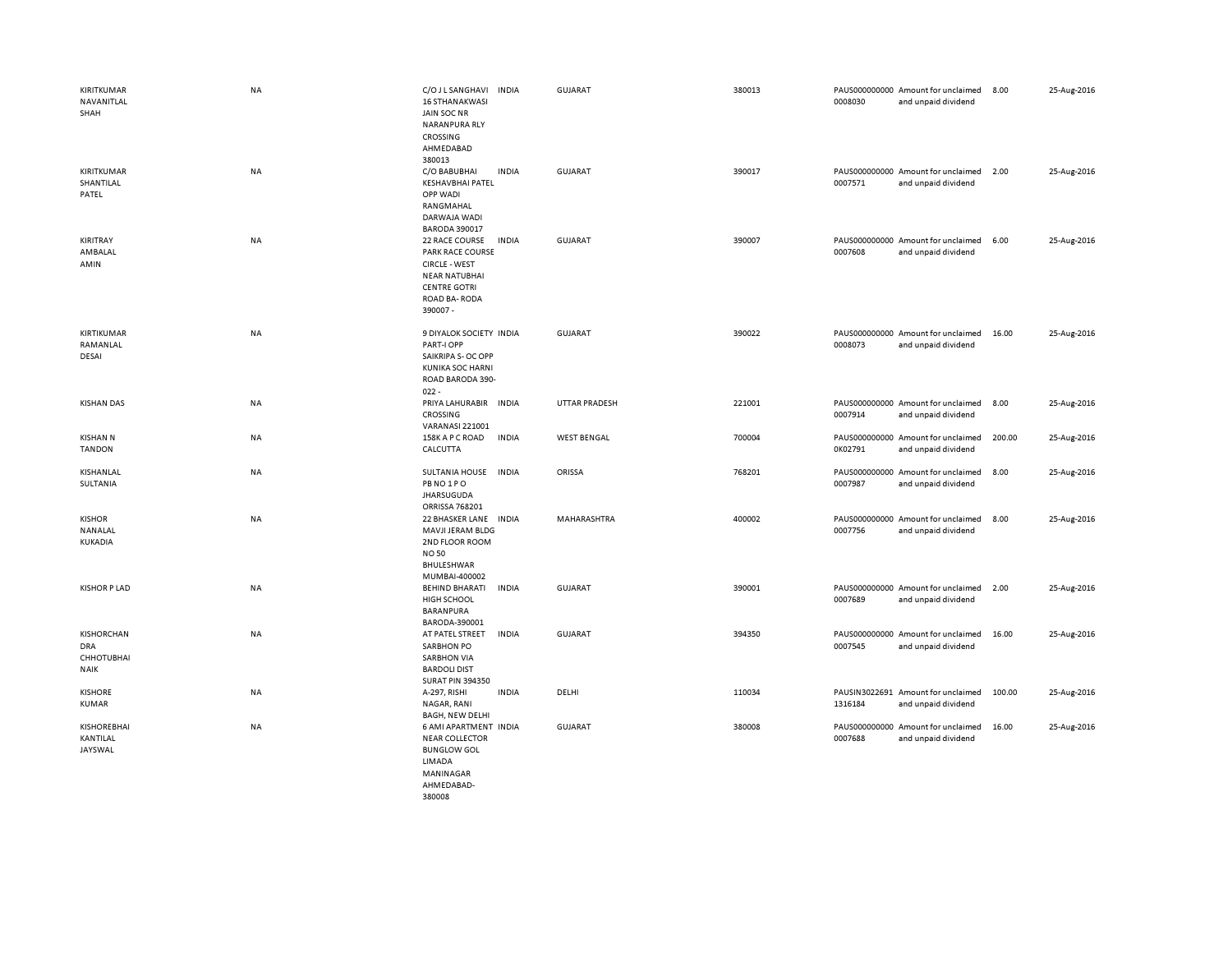| KIRITKUMAR<br>NAVANITLAL<br>SHAH                             | NA        | C/O J L SANGHAVI<br><b>INDIA</b><br><b>16 STHANAKWASI</b><br>JAIN SOC NR<br><b>NARANPURA RLY</b><br>CROSSING<br>AHMEDABAD                                    | <b>GUJARAT</b>       | 380013 | PAUS000000000 Amount for unclaimed<br>0008030<br>and unpaid dividend | 8.00   | 25-Aug-2016 |
|--------------------------------------------------------------|-----------|--------------------------------------------------------------------------------------------------------------------------------------------------------------|----------------------|--------|----------------------------------------------------------------------|--------|-------------|
| KIRITKUMAR<br>SHANTILAL<br>PATEL                             | NA        | 380013<br><b>INDIA</b><br>C/O BABUBHAI<br><b>KESHAVBHAI PATEL</b><br>OPP WADI<br>RANGMAHAL<br>DARWAJA WADI<br><b>BARODA 390017</b>                           | <b>GUJARAT</b>       | 390017 | PAUS000000000 Amount for unclaimed<br>0007571<br>and unpaid dividend | 2.00   | 25-Aug-2016 |
| KIRITRAY<br>AMBALAL<br>AMIN                                  | <b>NA</b> | 22 RACE COURSE<br><b>INDIA</b><br><b>PARK RACE COURSE</b><br><b>CIRCLE - WEST</b><br><b>NEAR NATUBHAI</b><br><b>CENTRE GOTRI</b><br>ROAD BA-RODA<br>390007 - | <b>GUJARAT</b>       | 390007 | PAUS000000000 Amount for unclaimed<br>0007608<br>and unpaid dividend | 6.00   | 25-Aug-2016 |
| KIRTIKUMAR<br>RAMANLAL<br>DESAI                              | <b>NA</b> | 9 DIYALOK SOCIETY INDIA<br>PART-I OPP<br>SAIKRIPA S- OC OPP<br><b>KUNIKA SOC HARNI</b><br>ROAD BARODA 390-<br>$022 -$                                        | <b>GUJARAT</b>       | 390022 | PAUS000000000 Amount for unclaimed<br>0008073<br>and unpaid dividend | 16.00  | 25-Aug-2016 |
| <b>KISHAN DAS</b>                                            | NA        | PRIYA LAHURABIR INDIA<br>CROSSING<br><b>VARANASI 221001</b>                                                                                                  | <b>UTTAR PRADESH</b> | 221001 | PAUS000000000 Amount for unclaimed<br>0007914<br>and unpaid dividend | 8.00   | 25-Aug-2016 |
| <b>KISHAN N</b><br><b>TANDON</b>                             | NA        | 158K A P C ROAD<br><b>INDIA</b><br>CALCUTTA                                                                                                                  | <b>WEST BENGAL</b>   | 700004 | PAUS000000000 Amount for unclaimed<br>0K02791<br>and unpaid dividend | 200.00 | 25-Aug-2016 |
| KISHANLAL<br>SULTANIA                                        | NA        | <b>SULTANIA HOUSE</b><br><b>INDIA</b><br>PB NO 1 PO<br><b>JHARSUGUDA</b><br>ORRISSA 768201                                                                   | ORISSA               | 768201 | PAUS000000000 Amount for unclaimed<br>0007987<br>and unpaid dividend | 8.00   | 25-Aug-2016 |
| <b>KISHOR</b><br>NANALAL<br>KUKADIA                          | NA        | 22 BHASKER LANE INDIA<br>MAVJI JERAM BLDG<br>2ND FLOOR ROOM<br><b>NO 50</b><br>BHULESHWAR<br>MUMBAI-400002                                                   | MAHARASHTRA          | 400002 | PAUS000000000 Amount for unclaimed<br>0007756<br>and unpaid dividend | 8.00   | 25-Aug-2016 |
| <b>KISHOR P LAD</b>                                          | <b>NA</b> | <b>BEHIND BHARATI</b><br><b>INDIA</b><br>HIGH SCHOOL<br>BARANPURA<br>BARODA-390001                                                                           | <b>GUJARAT</b>       | 390001 | PAUS000000000 Amount for unclaimed<br>0007689<br>and unpaid dividend | 2.00   | 25-Aug-2016 |
| <b>KISHORCHAN</b><br>DRA<br><b>CHHOTUBHAI</b><br><b>NAIK</b> | NA        | AT PATEL STREET<br><b>INDIA</b><br><b>SARBHON PO</b><br><b>SARBHON VIA</b><br><b>BARDOLI DIST</b><br><b>SURAT PIN 394350</b>                                 | <b>GUJARAT</b>       | 394350 | PAUS000000000 Amount for unclaimed<br>0007545<br>and unpaid dividend | 16.00  | 25-Aug-2016 |
| <b>KISHORE</b><br><b>KUMAR</b>                               | NA        | <b>INDIA</b><br>A-297, RISHI<br>NAGAR, RANI<br><b>BAGH, NEW DELHI</b>                                                                                        | DELHI                | 110034 | PAUSIN3022691 Amount for unclaimed<br>1316184<br>and unpaid dividend | 100.00 | 25-Aug-2016 |
| <b>KISHORE BHAI</b><br>KANTILAL<br>JAYSWAL                   | NA        | 6 AMI APARTMENT INDIA<br><b>NEAR COLLECTOR</b><br><b>BUNGLOW GOL</b><br>LIMADA<br>MANINAGAR<br>AHMFDARAD-                                                    | <b>GUJARAT</b>       | 380008 | PAUS000000000 Amount for unclaimed<br>0007688<br>and unpaid dividend | 16.00  | 25-Aug-2016 |

380008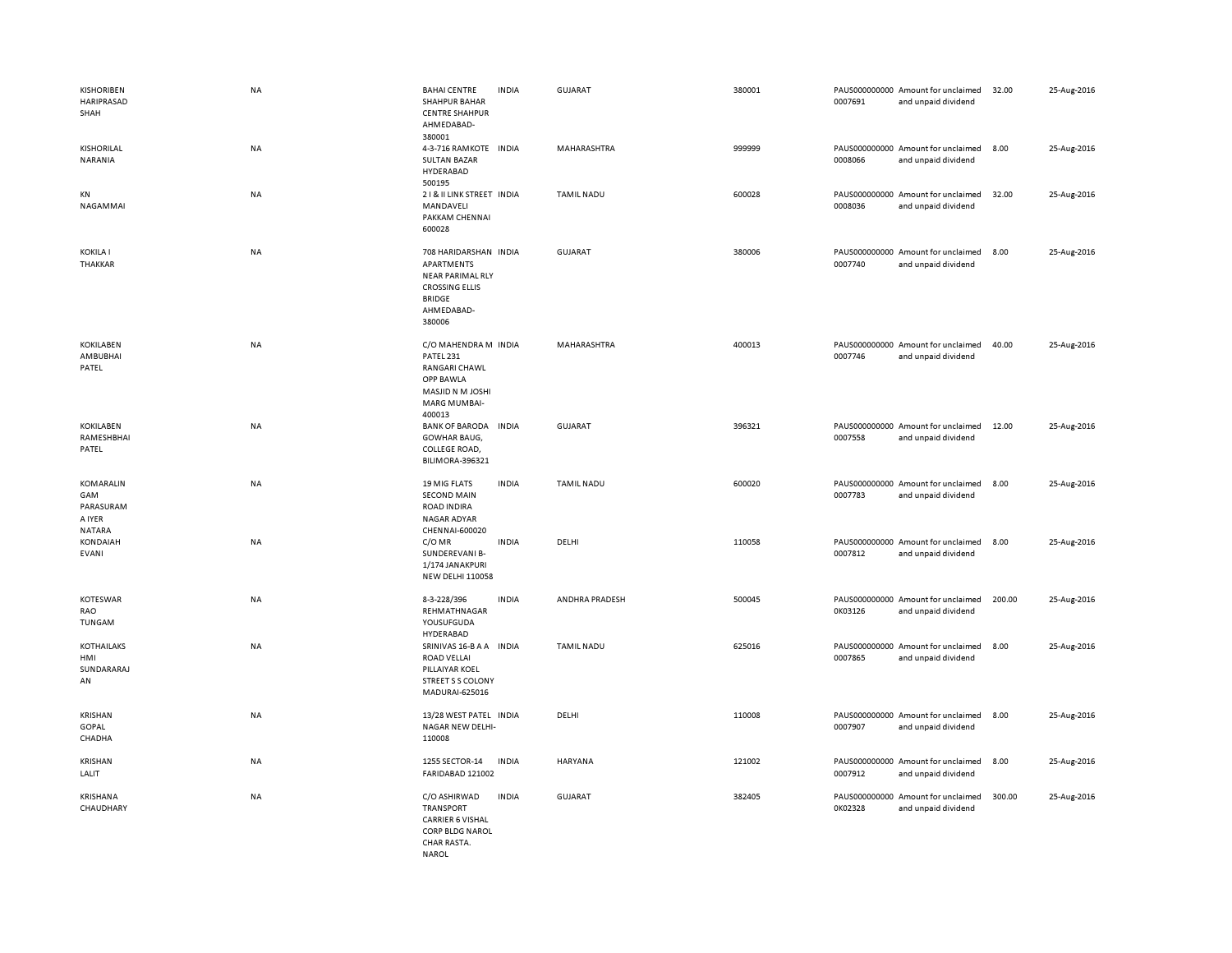| <b>KISHORIBEN</b><br>HARIPRASAD<br>SHAH                  | <b>NA</b> | <b>BAHAI CENTRE</b><br><b>INDIA</b><br><b>SHAHPUR BAHAR</b><br><b>CENTRE SHAHPUR</b><br>AHMEDABAD-<br>380001                            | <b>GUJARAT</b>     | 380001 | PAUS000000000 Amount for unclaimed<br>0007691<br>and unpaid dividend | 32.00  | 25-Aug-2016 |
|----------------------------------------------------------|-----------|-----------------------------------------------------------------------------------------------------------------------------------------|--------------------|--------|----------------------------------------------------------------------|--------|-------------|
| KISHORILAL<br>NARANIA                                    | <b>NA</b> | 4-3-716 RAMKOTE INDIA<br><b>SULTAN BAZAR</b><br>HYDERABAD<br>500195                                                                     | MAHARASHTRA        | 999999 | PAUS000000000 Amount for unclaimed<br>0008066<br>and unpaid dividend | 8.00   | 25-Aug-2016 |
| KN<br>NAGAMMAI                                           | NA        | 21& II LINK STREET INDIA<br>MANDAVELI<br>PAKKAM CHENNAI<br>600028                                                                       | <b>TAMIL NADU</b>  | 600028 | PAUS000000000 Amount for unclaimed<br>0008036<br>and unpaid dividend | 32.00  | 25-Aug-2016 |
| <b>KOKILA I</b><br><b>THAKKAR</b>                        | NA        | 708 HARIDARSHAN INDIA<br><b>APARTMENTS</b><br><b>NEAR PARIMAL RLY</b><br><b>CROSSING ELLIS</b><br><b>BRIDGE</b><br>AHMEDABAD-<br>380006 | <b>GUJARAT</b>     | 380006 | PAUS000000000 Amount for unclaimed<br>0007740<br>and unpaid dividend | 8.00   | 25-Aug-2016 |
| <b>KOKILABEN</b><br>AMBUBHAI<br>PATEL                    | <b>NA</b> | C/O MAHENDRA M INDIA<br>PATEL 231<br>RANGARI CHAWL<br>OPP BAWLA<br>MASJID N M JOSHI<br>MARG MUMBAI-<br>400013                           | <b>MAHARASHTRA</b> | 400013 | PAUS000000000 Amount for unclaimed<br>0007746<br>and unpaid dividend | 40.00  | 25-Aug-2016 |
| <b>KOKILABEN</b><br>RAMESHBHAI<br>PATEL                  | <b>NA</b> | BANK OF BARODA INDIA<br><b>GOWHAR BAUG,</b><br>COLLEGE ROAD,<br>BILIMORA-396321                                                         | <b>GUJARAT</b>     | 396321 | PAUS000000000 Amount for unclaimed<br>0007558<br>and unpaid dividend | 12.00  | 25-Aug-2016 |
| KOMARALIN<br>GAM<br>PARASURAM<br>A IYER<br><b>NATARA</b> | NA        | 19 MIG FLATS<br><b>INDIA</b><br><b>SECOND MAIN</b><br><b>ROAD INDIRA</b><br>NAGAR ADYAR<br>CHENNAI-600020                               | <b>TAMIL NADU</b>  | 600020 | PAUS000000000 Amount for unclaimed<br>0007783<br>and unpaid dividend | 8.00   | 25-Aug-2016 |
| <b>KONDAIAH</b><br><b>EVANI</b>                          | NA        | C/OMR<br><b>INDIA</b><br>SUNDEREVANI B-<br>1/174 JANAKPURI<br><b>NEW DELHI 110058</b>                                                   | DELHI              | 110058 | PAUS000000000 Amount for unclaimed<br>0007812<br>and unpaid dividend | 8.00   | 25-Aug-2016 |
| <b>KOTESWAR</b><br>RAO<br>TUNGAM                         | NA        | 8-3-228/396<br><b>INDIA</b><br>REHMATHNAGAR<br>YOUSUFGUDA<br>HYDERABAD                                                                  | ANDHRA PRADESH     | 500045 | PAUS000000000 Amount for unclaimed<br>0K03126<br>and unpaid dividend | 200.00 | 25-Aug-2016 |
| <b>KOTHAILAKS</b><br>HMI<br>SUNDARARAJ<br>AN             | NA        | SRINIVAS 16-B A A INDIA<br>ROAD VELLAI<br>PILLAIYAR KOEL<br><b>STREET S S COLONY</b><br>MADURAI-625016                                  | <b>TAMIL NADU</b>  | 625016 | PAUS000000000 Amount for unclaimed<br>0007865<br>and unpaid dividend | 8.00   | 25-Aug-2016 |
| KRISHAN<br>GOPAL<br>CHADHA                               | NA        | 13/28 WEST PATEL INDIA<br>NAGAR NEW DELHI-<br>110008                                                                                    | DELHI              | 110008 | PAUS000000000 Amount for unclaimed<br>0007907<br>and unpaid dividend | 8.00   | 25-Aug-2016 |
| KRISHAN<br>LALIT                                         | NA        | 1255 SECTOR-14<br><b>INDIA</b><br>FARIDABAD 121002                                                                                      | HARYANA            | 121002 | PAUS000000000 Amount for unclaimed<br>0007912<br>and unpaid dividend | 8.00   | 25-Aug-2016 |
| <b>KRISHANA</b><br>CHAUDHARY                             | NA        | C/O ASHIRWAD<br><b>INDIA</b><br><b>TRANSPORT</b><br><b>CARRIER 6 VISHAL</b><br>CORP BLDG NAROL<br>CHAR RASTA.<br><b>NAROL</b>           | <b>GUJARAT</b>     | 382405 | PAUS000000000 Amount for unclaimed<br>0K02328<br>and unpaid dividend | 300.00 | 25-Aug-2016 |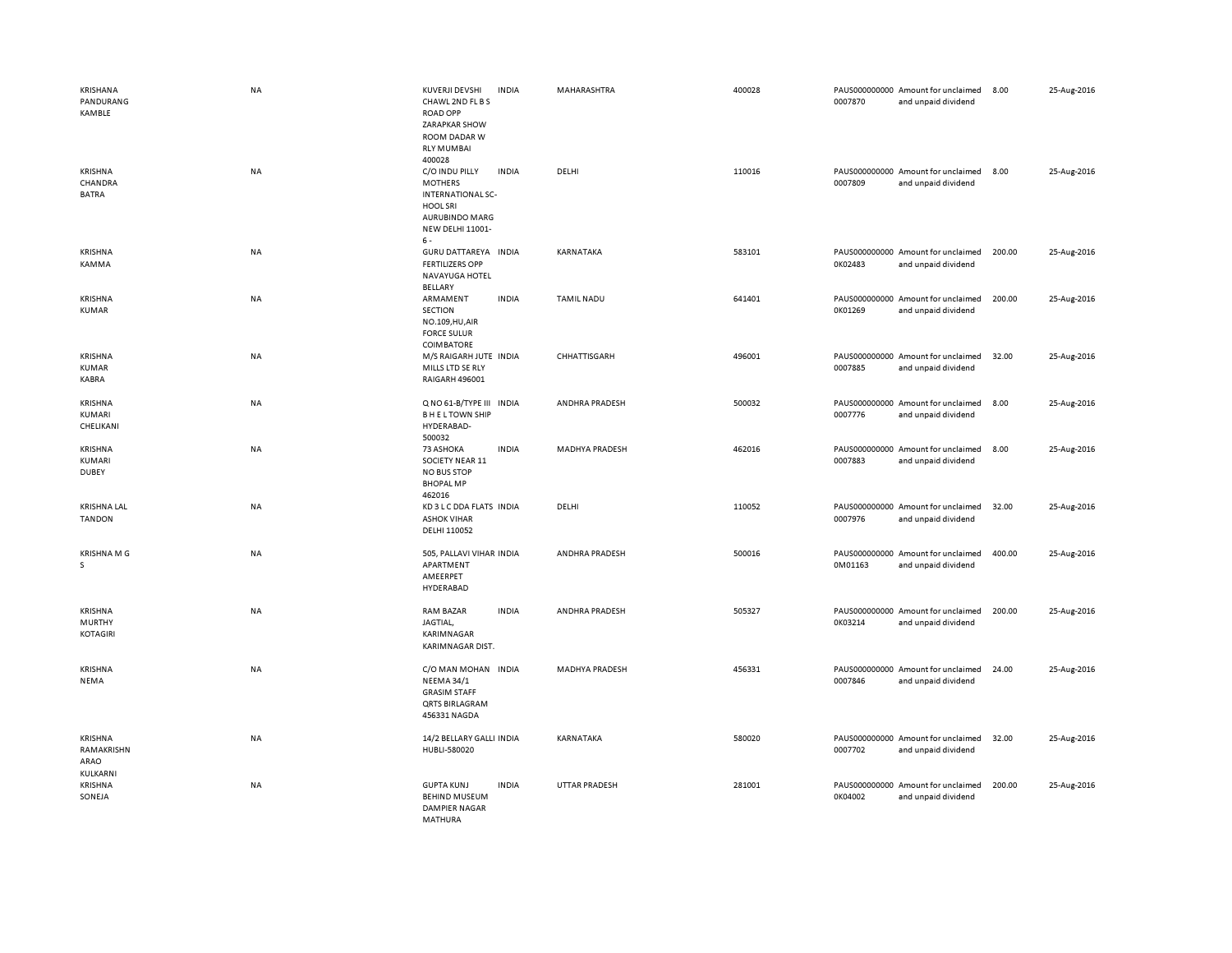| KRISHANA<br>PANDURANG<br>KAMBLE             | <b>NA</b> | KUVERJI DEVSHI<br><b>INDIA</b><br>CHAWL 2ND FL B S<br><b>ROAD OPP</b><br>ZARAPKAR SHOW<br>ROOM DADAR W<br><b>RLY MUMBAI</b><br>400028          | MAHARASHTRA           | 400028 | PAUS000000000 Amount for unclaimed<br>0007870<br>and unpaid dividend | 8.00<br>25-Aug-2016   |
|---------------------------------------------|-----------|------------------------------------------------------------------------------------------------------------------------------------------------|-----------------------|--------|----------------------------------------------------------------------|-----------------------|
| KRISHNA<br>CHANDRA<br><b>BATRA</b>          | <b>NA</b> | C/O INDU PILLY<br><b>INDIA</b><br><b>MOTHERS</b><br><b>INTERNATIONAL SC-</b><br><b>HOOL SRI</b><br>AURUBINDO MARG<br>NEW DELHI 11001-<br>$6 -$ | DELHI                 | 110016 | PAUS000000000 Amount for unclaimed<br>0007809<br>and unpaid dividend | 8.00<br>25-Aug-2016   |
| KRISHNA<br>KAMMA                            | <b>NA</b> | GURU DATTAREYA INDIA<br><b>FERTILIZERS OPP</b><br>NAVAYUGA HOTEL<br>BELLARY                                                                    | KARNATAKA             | 583101 | PAUS000000000 Amount for unclaimed<br>0K02483<br>and unpaid dividend | 25-Aug-2016<br>200.00 |
| KRISHNA<br><b>KUMAR</b>                     | NA        | ARMAMENT<br><b>INDIA</b><br><b>SECTION</b><br>NO.109, HU, AIR<br><b>FORCE SULUR</b><br><b>COIMBATORE</b>                                       | <b>TAMIL NADU</b>     | 641401 | PAUS000000000 Amount for unclaimed<br>0K01269<br>and unpaid dividend | 25-Aug-2016<br>200.00 |
| KRISHNA<br><b>KUMAR</b><br>KABRA            | NA        | M/S RAIGARH JUTE INDIA<br>MILLS LTD SE RLY<br>RAIGARH 496001                                                                                   | CHHATTISGARH          | 496001 | PAUS000000000 Amount for unclaimed<br>0007885<br>and unpaid dividend | 25-Aug-2016<br>32.00  |
| KRISHNA<br>KUMARI<br>CHELIKANI              | NA        | Q NO 61-B/TYPE III INDIA<br><b>BHELTOWN SHIP</b><br>HYDERABAD-<br>500032                                                                       | ANDHRA PRADESH        | 500032 | PAUS000000000 Amount for unclaimed<br>0007776<br>and unpaid dividend | 8.00<br>25-Aug-2016   |
| KRISHNA<br>KUMARI<br><b>DUBEY</b>           | NA        | <b>INDIA</b><br>73 ASHOKA<br>SOCIETY NEAR 11<br><b>NO BUS STOP</b><br><b>BHOPAL MP</b><br>462016                                               | MADHYA PRADESH        | 462016 | PAUS000000000 Amount for unclaimed<br>0007883<br>and unpaid dividend | 8.00<br>25-Aug-2016   |
| <b>KRISHNA LAL</b><br><b>TANDON</b>         | NA        | KD 3 L C DDA FLATS INDIA<br><b>ASHOK VIHAR</b><br>DELHI 110052                                                                                 | DELHI                 | 110052 | PAUS000000000 Amount for unclaimed<br>0007976<br>and unpaid dividend | 25-Aug-2016<br>32.00  |
| <b>KRISHNAMG</b><br>s.                      | NA        | 505, PALLAVI VIHAR INDIA<br>APARTMENT<br>AMEERPET<br>HYDERABAD                                                                                 | <b>ANDHRA PRADESH</b> | 500016 | PAUS000000000 Amount for unclaimed<br>0M01163<br>and unpaid dividend | 400.00<br>25-Aug-2016 |
| KRISHNA<br><b>MURTHY</b><br><b>KOTAGIRI</b> | NA        | <b>RAM BAZAR</b><br><b>INDIA</b><br>JAGTIAL,<br>KARIMNAGAR<br>KARIMNAGAR DIST.                                                                 | ANDHRA PRADESH        | 505327 | PAUS000000000 Amount for unclaimed<br>0K03214<br>and unpaid dividend | 25-Aug-2016<br>200.00 |
| KRISHNA<br>NEMA                             | <b>NA</b> | C/O MAN MOHAN INDIA<br><b>NEEMA 34/1</b><br><b>GRASIM STAFF</b><br><b>QRTS BIRLAGRAM</b><br>456331 NAGDA                                       | MADHYA PRADESH        | 456331 | PAUS000000000 Amount for unclaimed<br>0007846<br>and unpaid dividend | 24.00<br>25-Aug-2016  |
| KRISHNA<br>RAMAKRISHN<br>ARAO<br>KULKARNI   | NA        | 14/2 BELLARY GALLI INDIA<br>HUBLI-580020                                                                                                       | KARNATAKA             | 580020 | PAUS000000000 Amount for unclaimed<br>0007702<br>and unpaid dividend | 25-Aug-2016<br>32.00  |
| KRISHNA<br>SONEJA                           | NA        | <b>GUPTA KUNJ</b><br><b>INDIA</b><br><b>BEHIND MUSEUM</b><br><b>DAMPIER NAGAR</b><br>MATHURA                                                   | UTTAR PRADESH         | 281001 | PAUS000000000 Amount for unclaimed<br>0K04002<br>and unpaid dividend | 200.00<br>25-Aug-2016 |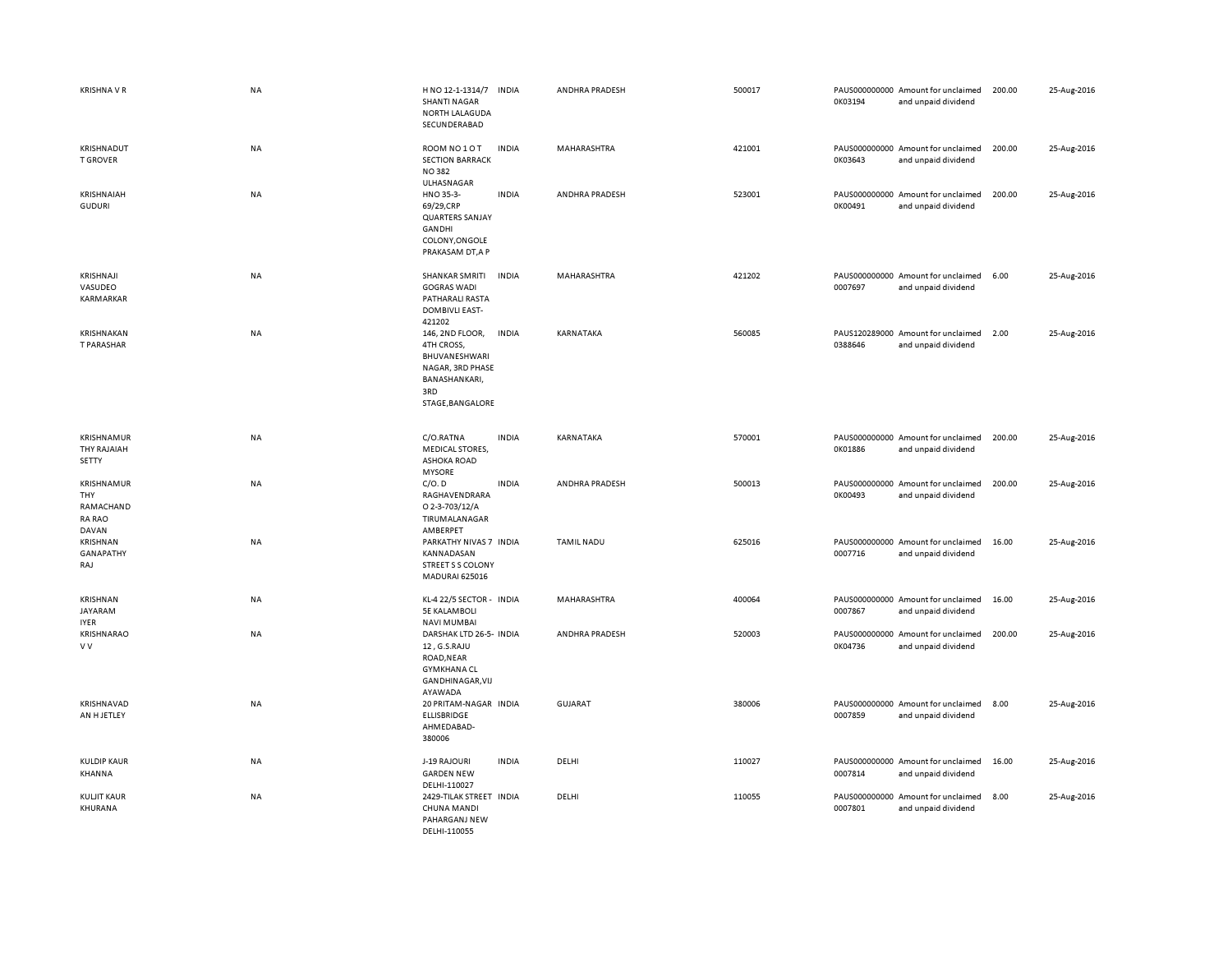| <b>KRISHNA V R</b>                                              | NA        | H NO 12-1-1314/7<br><b>SHANTI NAGAR</b><br>NORTH LALAGUDA<br>SECUNDERABAD                                      | INDIA        | ANDHRA PRADESH    | 500017 | 0K03194 | PAUS000000000 Amount for unclaimed<br>and unpaid dividend | 200.00 | 25-Aug-2016 |
|-----------------------------------------------------------------|-----------|----------------------------------------------------------------------------------------------------------------|--------------|-------------------|--------|---------|-----------------------------------------------------------|--------|-------------|
| KRISHNADUT<br><b>T GROVER</b>                                   | <b>NA</b> | ROOM NO 1 O T<br><b>SECTION BARRACK</b><br><b>NO382</b><br>ULHASNAGAR                                          | <b>INDIA</b> | MAHARASHTRA       | 421001 | 0K03643 | PAUS000000000 Amount for unclaimed<br>and unpaid dividend | 200.00 | 25-Aug-2016 |
| KRISHNAIAH<br><b>GUDURI</b>                                     | NA        | HNO 35-3-<br>69/29,CRP<br><b>QUARTERS SANJAY</b><br>GANDHI<br>COLONY, ONGOLE<br>PRAKASAM DT, A P               | <b>INDIA</b> | ANDHRA PRADESH    | 523001 | 0K00491 | PAUS000000000 Amount for unclaimed<br>and unpaid dividend | 200.00 | 25-Aug-2016 |
| KRISHNAJI<br>VASUDEO<br>KARMARKAR                               | NA        | SHANKAR SMRITI<br><b>GOGRAS WADI</b><br>PATHARALI RASTA<br><b>DOMBIVLI EAST-</b><br>421202                     | <b>INDIA</b> | MAHARASHTRA       | 421202 | 0007697 | PAUS000000000 Amount for unclaimed<br>and unpaid dividend | 6.00   | 25-Aug-2016 |
| KRISHNAKAN<br>T PARASHAR                                        | NA        | 146, 2ND FLOOR,<br>4TH CROSS,<br>BHUVANESHWARI<br>NAGAR, 3RD PHASE<br>BANASHANKARI,<br>3RD<br>STAGE, BANGALORE | <b>INDIA</b> | KARNATAKA         | 560085 | 0388646 | PAUS120289000 Amount for unclaimed<br>and unpaid dividend | 2.00   | 25-Aug-2016 |
| KRISHNAMUR<br>THY RAJAIAH<br>SETTY                              | NA        | C/O.RATNA<br><b>MEDICAL STORES,</b><br>ASHOKA ROAD<br><b>MYSORE</b>                                            | <b>INDIA</b> | KARNATAKA         | 570001 | 0K01886 | PAUS000000000 Amount for unclaimed<br>and unpaid dividend | 200.00 | 25-Aug-2016 |
| <b>KRISHNAMUR</b><br>THY<br>RAMACHAND<br><b>RA RAO</b><br>DAVAN | NA        | C/O.D<br>RAGHAVENDRARA<br>O 2-3-703/12/A<br>TIRUMALANAGAR<br>AMBERPET                                          | <b>INDIA</b> | ANDHRA PRADESH    | 500013 | 0K00493 | PAUS000000000 Amount for unclaimed<br>and unpaid dividend | 200.00 | 25-Aug-2016 |
| KRISHNAN<br>GANAPATHY<br>RAJ                                    | <b>NA</b> | PARKATHY NIVAS 7 INDIA<br>KANNADASAN<br>STREET S S COLONY<br><b>MADURAI 625016</b>                             |              | <b>TAMIL NADU</b> | 625016 | 0007716 | PAUS000000000 Amount for unclaimed<br>and unpaid dividend | 16.00  | 25-Aug-2016 |
| <b>KRISHNAN</b><br>JAYARAM<br><b>IYER</b>                       | NA        | KL-4 22/5 SECTOR - INDIA<br><b>5E KALAMBOLI</b><br><b>NAVI MUMBAI</b>                                          |              | MAHARASHTRA       | 400064 | 0007867 | PAUS000000000 Amount for unclaimed<br>and unpaid dividend | 16.00  | 25-Aug-2016 |
| KRISHNARAO<br>V V                                               | NA        | DARSHAK LTD 26-5- INDIA<br>12, G.S.RAJU<br>ROAD, NEAR<br><b>GYMKHANA CL</b><br>GANDHINAGAR, VIJ<br>AYAWADA     |              | ANDHRA PRADESH    | 520003 | 0K04736 | PAUS000000000 Amount for unclaimed<br>and unpaid dividend | 200.00 | 25-Aug-2016 |
| KRISHNAVAD<br>AN H JETLEY                                       | NA        | 20 PRITAM-NAGAR INDIA<br>ELLISBRIDGE<br>AHMEDABAD-<br>380006                                                   |              | GUJARAT           | 380006 | 0007859 | PAUS000000000 Amount for unclaimed<br>and unpaid dividend | 8.00   | 25-Aug-2016 |
| <b>KULDIP KAUR</b><br>KHANNA                                    | NA        | J-19 RAJOURI<br><b>GARDEN NEW</b><br>DELHI-110027                                                              | <b>INDIA</b> | DELHI             | 110027 | 0007814 | PAUS000000000 Amount for unclaimed<br>and unpaid dividend | 16.00  | 25-Aug-2016 |
| <b>KULJIT KAUR</b><br>KHURANA                                   | NA        | 2429-TILAK STREET INDIA<br>CHUNA MANDI<br>PAHARGANJ NEW<br>DELHI-110055                                        |              | DELHI             | 110055 | 0007801 | PAUS000000000 Amount for unclaimed<br>and unpaid dividend | 8.00   | 25-Aug-2016 |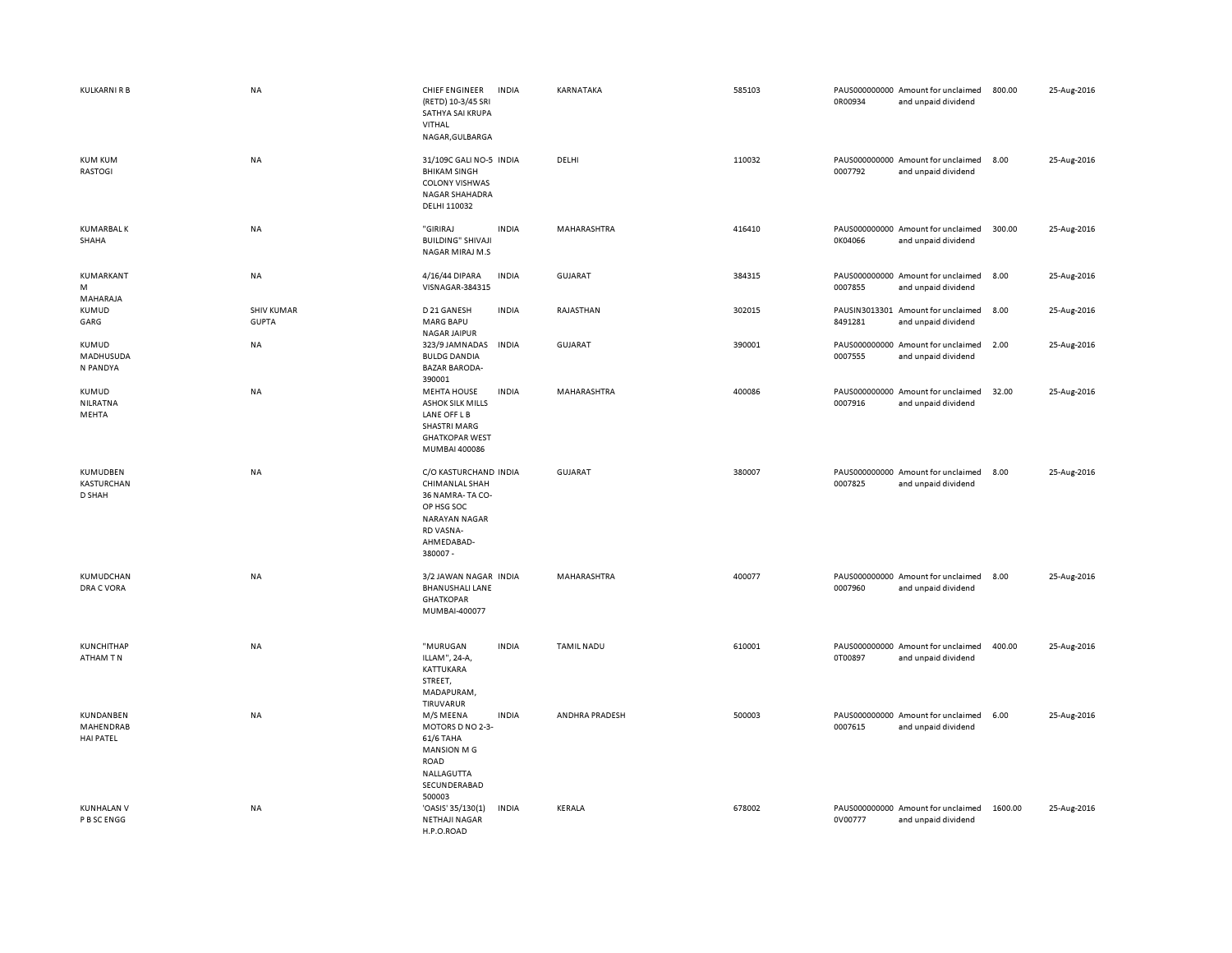| KULKARNI R B                               | NA                                | CHIEF ENGINEER<br>(RETD) 10-3/45 SRI<br>SATHYA SAI KRUPA<br>VITHAL<br>NAGAR, GULBARGA                                                   | <b>INDIA</b> | KARNATAKA          | 585103 | 0R00934 | PAUS000000000 Amount for unclaimed<br>and unpaid dividend | 800.00  | 25-Aug-2016 |
|--------------------------------------------|-----------------------------------|-----------------------------------------------------------------------------------------------------------------------------------------|--------------|--------------------|--------|---------|-----------------------------------------------------------|---------|-------------|
| <b>KUM KUM</b><br>RASTOGI                  | NA                                | 31/109C GALI NO-5 INDIA<br><b>BHIKAM SINGH</b><br><b>COLONY VISHWAS</b><br>NAGAR SHAHADRA<br>DELHI 110032                               |              | DELHI              | 110032 | 0007792 | PAUS000000000 Amount for unclaimed<br>and unpaid dividend | 8.00    | 25-Aug-2016 |
| <b>KUMARBAL K</b><br>SHAHA                 | NA                                | "GIRIRAJ<br><b>BUILDING" SHIVAJI</b><br>NAGAR MIRAJ M.S                                                                                 | <b>INDIA</b> | MAHARASHTRA        | 416410 | 0K04066 | PAUS000000000 Amount for unclaimed<br>and unpaid dividend | 300.00  | 25-Aug-2016 |
| KUMARKANT<br>M<br>MAHARAJA                 | NA                                | 4/16/44 DIPARA<br>VISNAGAR-384315                                                                                                       | <b>INDIA</b> | <b>GUJARAT</b>     | 384315 | 0007855 | PAUS000000000 Amount for unclaimed<br>and unpaid dividend | 8.00    | 25-Aug-2016 |
| KUMUD<br>GARG                              | <b>SHIV KUMAR</b><br><b>GUPTA</b> | D 21 GANESH<br><b>MARG BAPU</b><br>NAGAR JAIPUR                                                                                         | <b>INDIA</b> | RAJASTHAN          | 302015 | 8491281 | PAUSIN3013301 Amount for unclaimed<br>and unpaid dividend | 8.00    | 25-Aug-2016 |
| <b>KUMUD</b><br>MADHUSUDA<br>N PANDYA      | <b>NA</b>                         | 323/9 JAMNADAS<br><b>BULDG DANDIA</b><br><b>BAZAR BARODA-</b><br>390001                                                                 | <b>INDIA</b> | <b>GUJARAT</b>     | 390001 | 0007555 | PAUS000000000 Amount for unclaimed<br>and unpaid dividend | 2.00    | 25-Aug-2016 |
| KUMUD<br>NILRATNA<br>MEHTA                 | NA                                | <b>MEHTA HOUSE</b><br><b>ASHOK SILK MILLS</b><br>LANE OFF L B<br><b>SHASTRI MARG</b><br><b>GHATKOPAR WEST</b><br>MUMBAI 400086          | <b>INDIA</b> | MAHARASHTRA        | 400086 | 0007916 | PAUS000000000 Amount for unclaimed<br>and unpaid dividend | 32.00   | 25-Aug-2016 |
| KUMUDBEN<br>KASTURCHAN<br>D SHAH           | <b>NA</b>                         | C/O KASTURCHAND INDIA<br>CHIMANLAL SHAH<br>36 NAMRA-TA CO-<br>OP HSG SOC<br><b>NARAYAN NAGAR</b><br>RD VASNA-<br>AHMEDABAD-<br>380007 - |              | <b>GUJARAT</b>     | 380007 | 0007825 | PAUS000000000 Amount for unclaimed<br>and unpaid dividend | 8.00    | 25-Aug-2016 |
| KUMUDCHAN<br>DRA C VORA                    | <b>NA</b>                         | 3/2 JAWAN NAGAR INDIA<br><b>BHANUSHALI LANE</b><br><b>GHATKOPAR</b><br>MUMBAI-400077                                                    |              | <b>MAHARASHTRA</b> | 400077 | 0007960 | PAUS000000000 Amount for unclaimed<br>and unpaid dividend | 8.00    | 25-Aug-2016 |
| <b>KUNCHITHAP</b><br>ATHAM TN              | NA                                | "MURUGAN<br>ILLAM", 24-A,<br>KATTUKARA<br>STREET,<br>MADAPURAM,<br>TIRUVARUR                                                            | <b>INDIA</b> | <b>TAMIL NADU</b>  | 610001 | 0T00897 | PAUS000000000 Amount for unclaimed<br>and unpaid dividend | 400.00  | 25-Aug-2016 |
| KUNDANBEN<br>MAHENDRAB<br><b>HAI PATEL</b> | NA                                | M/S MEENA<br>MOTORS D NO 2-3-<br>61/6 TAHA<br>MANSION M G<br><b>ROAD</b><br>NALLAGUTTA<br>SECUNDERABAD<br>500003                        | <b>INDIA</b> | ANDHRA PRADESH     | 500003 | 0007615 | PAUS000000000 Amount for unclaimed<br>and unpaid dividend | 6.00    | 25-Aug-2016 |
| <b>KUNHALAN V</b><br>P B SC ENGG           | <b>NA</b>                         | 'OASIS' 35/130(1)<br><b>NETHAJI NAGAR</b><br>H.P.O.ROAD                                                                                 | <b>INDIA</b> | KERALA             | 678002 | 0V00777 | PAUS000000000 Amount for unclaimed<br>and unpaid dividend | 1600.00 | 25-Aug-2016 |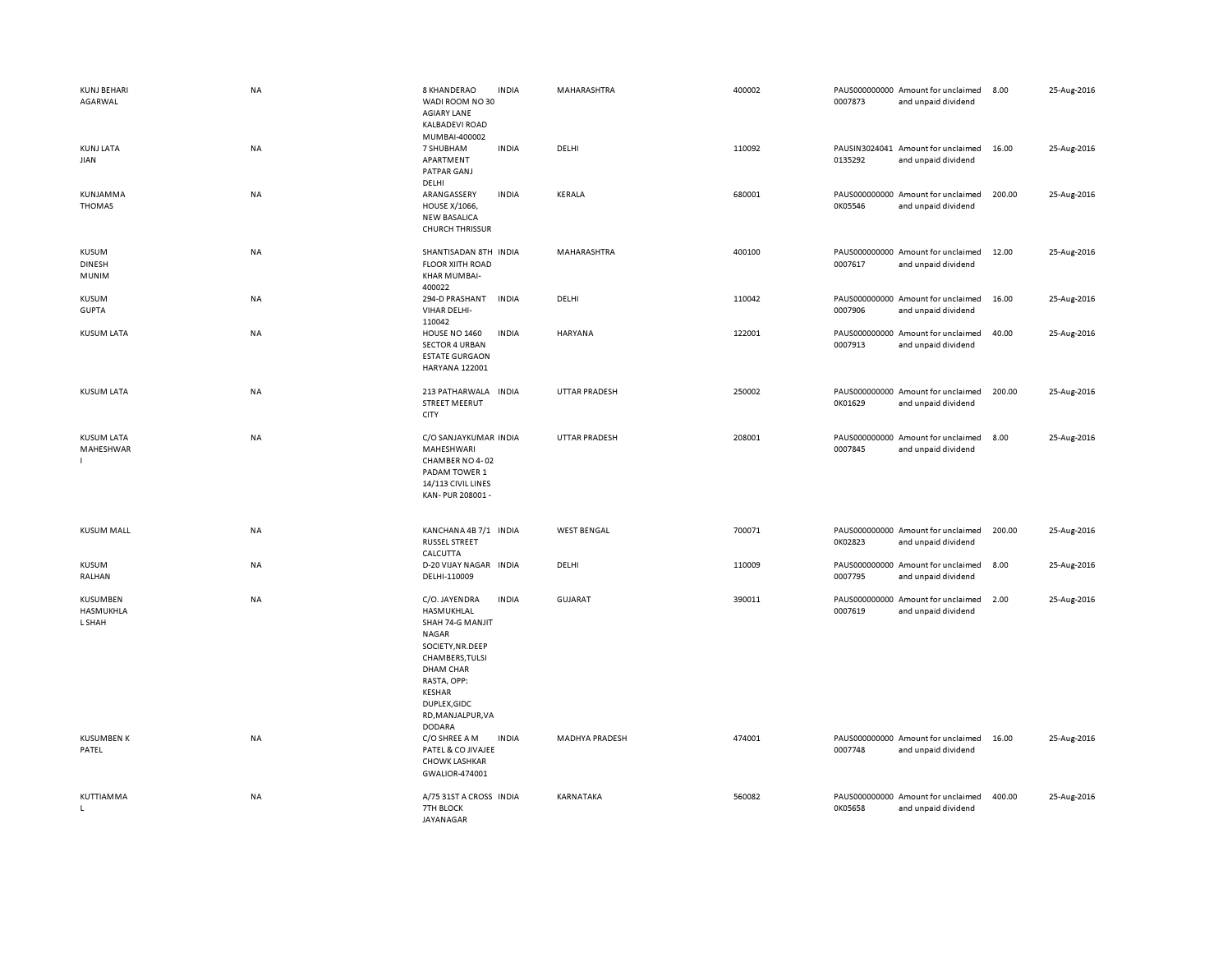| <b>KUNJ BEHARI</b><br>AGARWAL                 | <b>NA</b> | 8 KHANDERAO<br><b>INDIA</b><br>WADI ROOM NO 30<br><b>AGIARY LANE</b><br>KALBADEVI ROAD<br>MUMBAI-400002                                                                                                                   | MAHARASHTRA           | 400002 | PAUS000000000 Amount for unclaimed<br>0007873<br>and unpaid dividend | 8.00   | 25-Aug-2016 |
|-----------------------------------------------|-----------|---------------------------------------------------------------------------------------------------------------------------------------------------------------------------------------------------------------------------|-----------------------|--------|----------------------------------------------------------------------|--------|-------------|
| <b>KUNJ LATA</b><br>JIAN                      | <b>NA</b> | <b>INDIA</b><br>7 SHUBHAM<br>APARTMENT<br>PATPAR GANJ<br>DELHI                                                                                                                                                            | DELHI                 | 110092 | PAUSIN3024041 Amount for unclaimed<br>0135292<br>and unpaid dividend | 16.00  | 25-Aug-2016 |
| KUNJAMMA<br>THOMAS                            | <b>NA</b> | ARANGASSERY<br><b>INDIA</b><br><b>HOUSE X/1066,</b><br><b>NEW BASALICA</b><br><b>CHURCH THRISSUR</b>                                                                                                                      | <b>KERALA</b>         | 680001 | PAUS000000000 Amount for unclaimed<br>0K05546<br>and unpaid dividend | 200.00 | 25-Aug-2016 |
| <b>KUSUM</b><br><b>DINESH</b><br><b>MUNIM</b> | NA        | SHANTISADAN 8TH INDIA<br><b>FLOOR XIITH ROAD</b><br>KHAR MUMBAI-<br>400022                                                                                                                                                | MAHARASHTRA           | 400100 | PAUS000000000 Amount for unclaimed<br>0007617<br>and unpaid dividend | 12.00  | 25-Aug-2016 |
| KUSUM<br><b>GUPTA</b>                         | <b>NA</b> | 294-D PRASHANT<br><b>INDIA</b><br>VIHAR DELHI-<br>110042                                                                                                                                                                  | DELHI                 | 110042 | PAUS000000000 Amount for unclaimed<br>0007906<br>and unpaid dividend | 16.00  | 25-Aug-2016 |
| <b>KUSUM LATA</b>                             | <b>NA</b> | HOUSE NO 1460<br><b>INDIA</b><br><b>SECTOR 4 URBAN</b><br><b>ESTATE GURGAON</b><br>HARYANA 122001                                                                                                                         | HARYANA               | 122001 | PAUS000000000 Amount for unclaimed<br>0007913<br>and unpaid dividend | 40.00  | 25-Aug-2016 |
| <b>KUSUM LATA</b>                             | NA        | 213 PATHARWALA INDIA<br><b>STREET MEERUT</b><br>CITY                                                                                                                                                                      | <b>UTTAR PRADESH</b>  | 250002 | PAUS000000000 Amount for unclaimed<br>0K01629<br>and unpaid dividend | 200.00 | 25-Aug-2016 |
| <b>KUSUM LATA</b><br>MAHESHWAR                | NA        | C/O SANJAYKUMAR INDIA<br>MAHESHWARI<br>CHAMBER NO 4-02<br>PADAM TOWER 1<br>14/113 CIVIL LINES<br>KAN-PUR 208001 -                                                                                                         | <b>UTTAR PRADESH</b>  | 208001 | PAUS000000000 Amount for unclaimed<br>0007845<br>and unpaid dividend | 8.00   | 25-Aug-2016 |
| <b>KUSUM MALL</b>                             | NA        | KANCHANA 4B 7/1 INDIA<br><b>RUSSEL STREET</b><br>CALCUTTA                                                                                                                                                                 | <b>WEST BENGAL</b>    | 700071 | PAUS000000000 Amount for unclaimed<br>0K02823<br>and unpaid dividend | 200.00 | 25-Aug-2016 |
| KUSUM<br>RALHAN                               | <b>NA</b> | D-20 VIJAY NAGAR INDIA<br>DELHI-110009                                                                                                                                                                                    | DELHI                 | 110009 | PAUS000000000 Amount for unclaimed<br>0007795<br>and unpaid dividend | 8.00   | 25-Aug-2016 |
| KUSUMBEN<br>HASMUKHLA<br>L SHAH               | NA        | C/O. JAYENDRA<br><b>INDIA</b><br>HASMUKHLAL<br>SHAH 74-G MANJIT<br>NAGAR<br>SOCIETY, NR.DEEP<br>CHAMBERS, TULSI<br><b>DHAM CHAR</b><br>RASTA, OPP:<br><b>KESHAR</b><br>DUPLEX, GIDC<br>RD, MANJALPUR, VA<br><b>DODARA</b> | <b>GUJARAT</b>        | 390011 | PAUS000000000 Amount for unclaimed<br>0007619<br>and unpaid dividend | 2.00   | 25-Aug-2016 |
| <b>KUSUMBEN K</b><br>PATEL                    | NA        | C/O SHREE A M<br><b>INDIA</b><br>PATEL & CO JIVAJEE<br><b>CHOWK LASHKAR</b><br>GWALIOR-474001                                                                                                                             | <b>MADHYA PRADESH</b> | 474001 | PAUS000000000 Amount for unclaimed<br>0007748<br>and unpaid dividend | 16.00  | 25-Aug-2016 |
| KUTTIAMMA<br>L.                               | <b>NA</b> | A/75 31ST A CROSS INDIA<br>7TH BLOCK<br><b>JAYANAGAR</b>                                                                                                                                                                  | KARNATAKA             | 560082 | PAUS000000000 Amount for unclaimed<br>0K05658<br>and unpaid dividend | 400.00 | 25-Aug-2016 |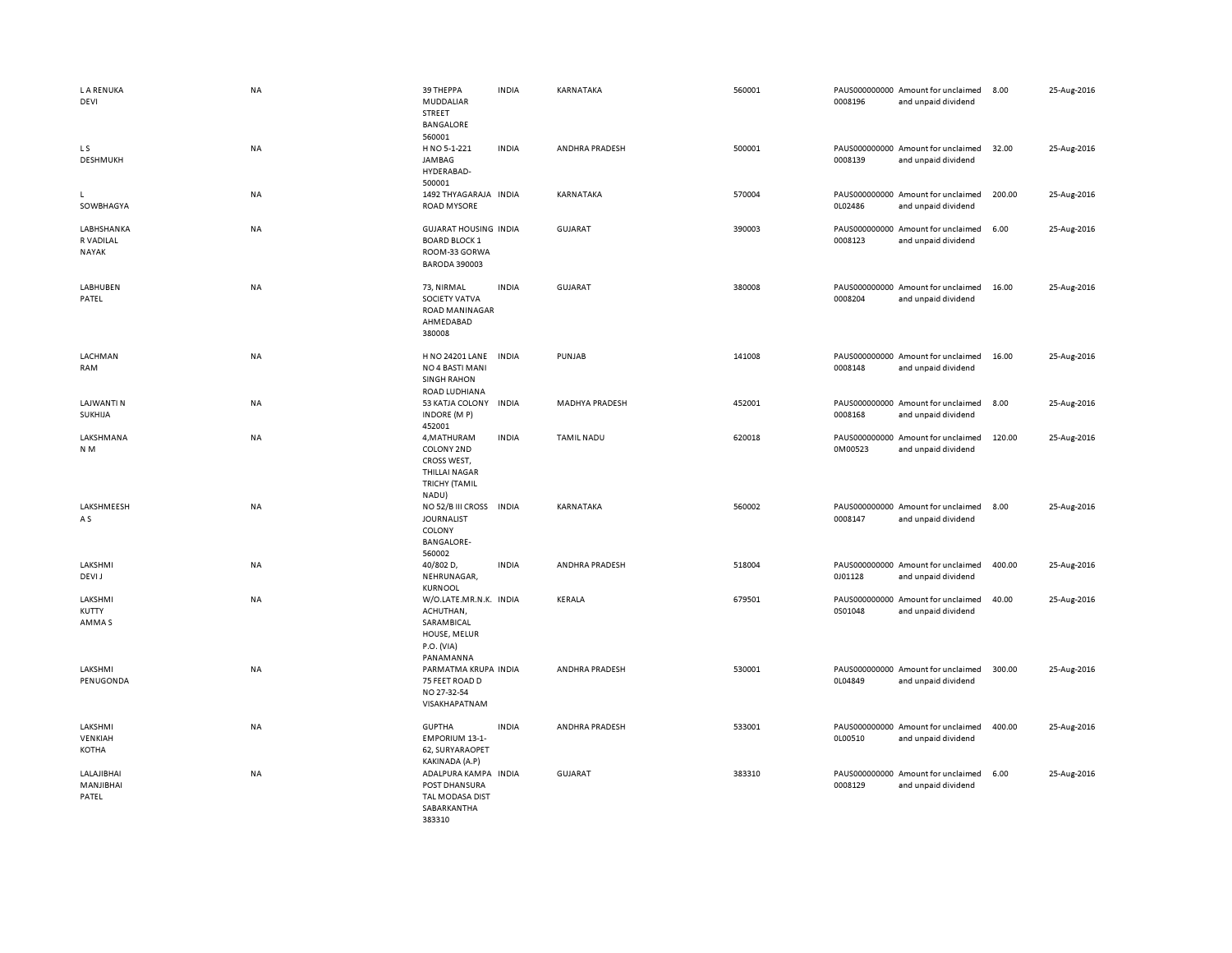| <b>LA RENUKA</b><br>DEVI                | <b>NA</b> | 39 THEPPA<br>MUDDALIAR<br>STREET<br><b>BANGALORE</b><br>560001                                    | <b>INDIA</b> | KARNATAKA         | 560001 | 0008196 | PAUS000000000 Amount for unclaimed<br>and unpaid dividend | 8.00   | 25-Aug-2016 |
|-----------------------------------------|-----------|---------------------------------------------------------------------------------------------------|--------------|-------------------|--------|---------|-----------------------------------------------------------|--------|-------------|
| LS<br><b>DESHMUKH</b>                   | NA        | H NO 5-1-221<br>JAMBAG<br>HYDERABAD-<br>500001                                                    | <b>INDIA</b> | ANDHRA PRADESH    | 500001 | 0008139 | PAUS000000000 Amount for unclaimed<br>and unpaid dividend | 32.00  | 25-Aug-2016 |
| L.<br>SOWBHAGYA                         | NA        | 1492 THYAGARAJA INDIA<br><b>ROAD MYSORE</b>                                                       |              | KARNATAKA         | 570004 | 0L02486 | PAUS000000000 Amount for unclaimed<br>and unpaid dividend | 200.00 | 25-Aug-2016 |
| LABHSHANKA<br>R VADILAL<br><b>NAYAK</b> | <b>NA</b> | <b>GUJARAT HOUSING INDIA</b><br><b>BOARD BLOCK 1</b><br>ROOM-33 GORWA<br><b>BARODA 390003</b>     |              | <b>GUJARAT</b>    | 390003 | 0008123 | PAUS000000000 Amount for unclaimed<br>and unpaid dividend | 6.00   | 25-Aug-2016 |
| LABHUBEN<br>PATEL                       | NA        | 73, NIRMAL<br>SOCIETY VATVA<br><b>ROAD MANINAGAR</b><br>AHMEDABAD<br>380008                       | <b>INDIA</b> | <b>GUJARAT</b>    | 380008 | 0008204 | PAUS000000000 Amount for unclaimed<br>and unpaid dividend | 16.00  | 25-Aug-2016 |
| LACHMAN<br>RAM                          | NA        | H NO 24201 LANE<br>NO 4 BASTI MANI<br><b>SINGH RAHON</b><br>ROAD LUDHIANA                         | <b>INDIA</b> | PUNJAB            | 141008 | 0008148 | PAUS000000000 Amount for unclaimed<br>and unpaid dividend | 16.00  | 25-Aug-2016 |
| <b>LAJWANTI N</b><br>SUKHIJA            | NA        | 53 KATJA COLONY INDIA<br>INDORE (MP)<br>452001                                                    |              | MADHYA PRADESH    | 452001 | 0008168 | PAUS000000000 Amount for unclaimed<br>and unpaid dividend | 8.00   | 25-Aug-2016 |
| LAKSHMANA<br>N <sub>M</sub>             | <b>NA</b> | 4, MATHURAM<br>COLONY 2ND<br>CROSS WEST,<br><b>THILLAI NAGAR</b><br><b>TRICHY (TAMIL</b><br>NADU) | <b>INDIA</b> | <b>TAMIL NADU</b> | 620018 | 0M00523 | PAUS000000000 Amount for unclaimed<br>and unpaid dividend | 120.00 | 25-Aug-2016 |
| LAKSHMEESH<br>A S                       | <b>NA</b> | NO 52/B III CROSS<br><b>JOURNALIST</b><br>COLONY<br><b>BANGALORE-</b><br>560002                   | <b>INDIA</b> | KARNATAKA         | 560002 | 0008147 | PAUS000000000 Amount for unclaimed<br>and unpaid dividend | 8.00   | 25-Aug-2016 |
| LAKSHMI<br><b>DEVIJ</b>                 | <b>NA</b> | 40/802 D,<br>NEHRUNAGAR,<br><b>KURNOOL</b>                                                        | <b>INDIA</b> | ANDHRA PRADESH    | 518004 | 0J01128 | PAUS000000000 Amount for unclaimed<br>and unpaid dividend | 400.00 | 25-Aug-2016 |
| LAKSHMI<br>KUTTY<br>AMMA S              | NA        | W/O.LATE.MR.N.K. INDIA<br>ACHUTHAN,<br>SARAMBICAL<br>HOUSE, MELUR<br>P.O. (VIA)<br>PANAMANNA      |              | KERALA            | 679501 | 0S01048 | PAUS000000000 Amount for unclaimed<br>and unpaid dividend | 40.00  | 25-Aug-2016 |
| LAKSHMI<br>PENUGONDA                    | NA        | PARMATMA KRUPA INDIA<br>75 FEET ROAD D<br>NO 27-32-54<br>VISAKHAPATNAM                            |              | ANDHRA PRADESH    | 530001 | 0L04849 | PAUS000000000 Amount for unclaimed<br>and unpaid dividend | 300.00 | 25-Aug-2016 |
| LAKSHMI<br>VENKIAH<br>KOTHA             | NA        | <b>GUPTHA</b><br><b>EMPORIUM 13-1-</b><br>62, SURYARAOPET<br>KAKINADA (A.P)                       | <b>INDIA</b> | ANDHRA PRADESH    | 533001 | 0L00510 | PAUS000000000 Amount for unclaimed<br>and unpaid dividend | 400.00 | 25-Aug-2016 |
| LALAJIBHAI<br>MANJIBHAI<br>PATEL        | NA        | ADALPURA KAMPA<br>POST DHANSURA<br>TAL MODASA DIST<br>SABARKANTHA<br>383310                       | <b>INDIA</b> | GUJARAT           | 383310 | 0008129 | PAUS000000000 Amount for unclaimed<br>and unpaid dividend | 6.00   | 25-Aug-2016 |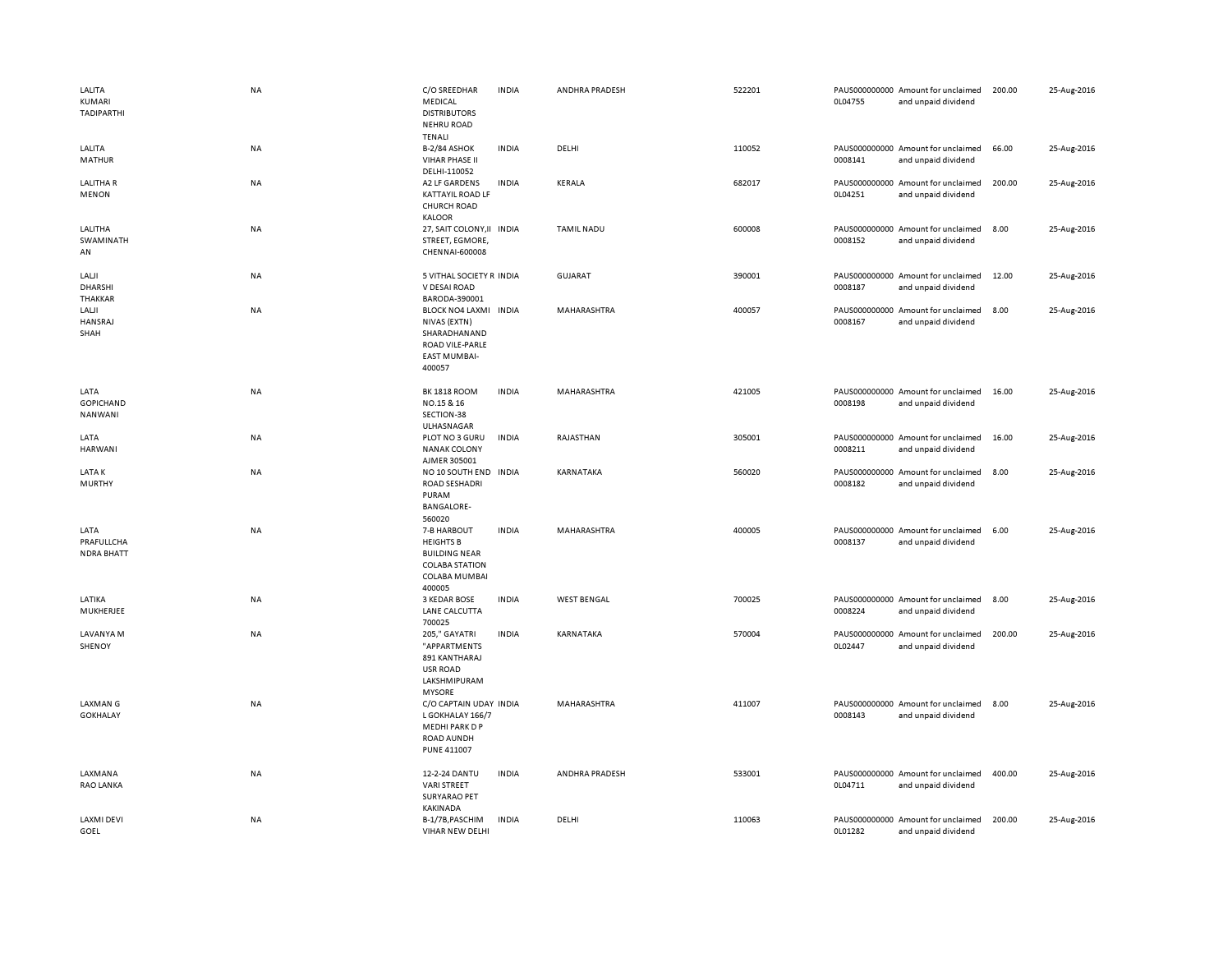| LALITA<br>KUMARI<br>TADIPARTHI          | <b>NA</b> | C/O SREEDHAR<br>MEDICAL<br><b>DISTRIBUTORS</b><br><b>NEHRU ROAD</b><br><b>TENALI</b>                        | <b>INDIA</b> | ANDHRA PRADESH     | 522201 | 0L04755 | PAUS000000000 Amount for unclaimed<br>and unpaid dividend | 200.00 | 25-Aug-2016 |
|-----------------------------------------|-----------|-------------------------------------------------------------------------------------------------------------|--------------|--------------------|--------|---------|-----------------------------------------------------------|--------|-------------|
| LALITA<br>MATHUR                        | <b>NA</b> | <b>B-2/84 ASHOK</b><br><b>VIHAR PHASE II</b><br>DELHI-110052                                                | <b>INDIA</b> | DELHI              | 110052 | 0008141 | PAUS000000000 Amount for unclaimed<br>and unpaid dividend | 66.00  | 25-Aug-2016 |
| <b>LALITHAR</b><br>MENON                | NA        | A2 LF GARDENS<br><b>KATTAYIL ROAD LF</b><br><b>CHURCH ROAD</b><br><b>KALOOR</b>                             | <b>INDIA</b> | KERALA             | 682017 | 0L04251 | PAUS000000000 Amount for unclaimed<br>and unpaid dividend | 200.00 | 25-Aug-2016 |
| LALITHA<br>SWAMINATH<br>AN              | <b>NA</b> | 27, SAIT COLONY, II INDIA<br>STREET, EGMORE,<br>CHENNAI-600008                                              |              | <b>TAMIL NADU</b>  | 600008 | 0008152 | PAUS000000000 Amount for unclaimed<br>and unpaid dividend | 8.00   | 25-Aug-2016 |
| LALJI<br>DHARSHI<br>THAKKAR             | <b>NA</b> | 5 VITHAL SOCIETY R INDIA<br>V DESAI ROAD<br>BARODA-390001                                                   |              | <b>GUJARAT</b>     | 390001 | 0008187 | PAUS000000000 Amount for unclaimed<br>and unpaid dividend | 12.00  | 25-Aug-2016 |
| LALJI<br>HANSRAJ<br>SHAH                | <b>NA</b> | BLOCK NO4 LAXMI INDIA<br>NIVAS (EXTN)<br>SHARADHANAND<br>ROAD VILE-PARLE<br><b>EAST MUMBAI-</b><br>400057   |              | MAHARASHTRA        | 400057 | 0008167 | PAUS000000000 Amount for unclaimed<br>and unpaid dividend | 8.00   | 25-Aug-2016 |
| LATA<br>GOPICHAND<br><b>NANWANI</b>     | <b>NA</b> | <b>BK 1818 ROOM</b><br>NO.15 & 16<br>SECTION-38<br>ULHASNAGAR                                               | <b>INDIA</b> | MAHARASHTRA        | 421005 | 0008198 | PAUS000000000 Amount for unclaimed<br>and unpaid dividend | 16.00  | 25-Aug-2016 |
| LATA<br><b>HARWANI</b>                  | <b>NA</b> | PLOT NO 3 GURU<br><b>NANAK COLONY</b><br>AJMER 305001                                                       | <b>INDIA</b> | RAJASTHAN          | 305001 | 0008211 | PAUS000000000 Amount for unclaimed<br>and unpaid dividend | 16.00  | 25-Aug-2016 |
| <b>LATAK</b><br><b>MURTHY</b>           | NA        | NO 10 SOUTH END INDIA<br><b>ROAD SESHADRI</b><br>PURAM<br><b>BANGALORE-</b><br>560020                       |              | KARNATAKA          | 560020 | 0008182 | PAUS000000000 Amount for unclaimed<br>and unpaid dividend | 8.00   | 25-Aug-2016 |
| LATA<br>PRAFULLCHA<br><b>NDRA BHATT</b> | NA        | 7-B HARBOUT<br><b>HEIGHTS B</b><br><b>BUILDING NEAR</b><br><b>COLABA STATION</b><br>COLABA MUMBAI<br>400005 | <b>INDIA</b> | MAHARASHTRA        | 400005 | 0008137 | PAUS000000000 Amount for unclaimed<br>and unpaid dividend | 6.00   | 25-Aug-2016 |
| LATIKA<br>MUKHERJEE                     | <b>NA</b> | 3 KEDAR BOSE<br>LANE CALCUTTA<br>700025                                                                     | <b>INDIA</b> | <b>WEST BENGAL</b> | 700025 | 0008224 | PAUS000000000 Amount for unclaimed<br>and unpaid dividend | 8.00   | 25-Aug-2016 |
| LAVANYA M<br>SHENOY                     | <b>NA</b> | 205," GAYATRI<br>"APPARTMENTS<br>891 KANTHARAJ<br>USR ROAD<br>LAKSHMIPURAM<br><b>MYSORE</b>                 | <b>INDIA</b> | KARNATAKA          | 570004 | 0L02447 | PAUS000000000 Amount for unclaimed<br>and unpaid dividend | 200.00 | 25-Aug-2016 |
| <b>LAXMAN G</b><br><b>GOKHALAY</b>      | NA        | C/O CAPTAIN UDAY INDIA<br>L GOKHALAY 166/7<br>MEDHI PARK D P<br>ROAD AUNDH<br><b>PUNE 411007</b>            |              | MAHARASHTRA        | 411007 | 0008143 | PAUS000000000 Amount for unclaimed<br>and unpaid dividend | 8.00   | 25-Aug-2016 |
| LAXMANA<br>RAO LANKA                    | <b>NA</b> | 12-2-24 DANTU<br><b>VARI STREET</b><br><b>SURYARAO PET</b><br>KAKINADA                                      | <b>INDIA</b> | ANDHRA PRADESH     | 533001 | 0L04711 | PAUS000000000 Amount for unclaimed<br>and unpaid dividend | 400.00 | 25-Aug-2016 |
| <b>LAXMI DEVI</b><br>GOEL               | <b>NA</b> | B-1/7B, PASCHIM<br>VIHAR NEW DELHI                                                                          | <b>INDIA</b> | DELHI              | 110063 | 0L01282 | PAUS000000000 Amount for unclaimed<br>and unpaid dividend | 200.00 | 25-Aug-2016 |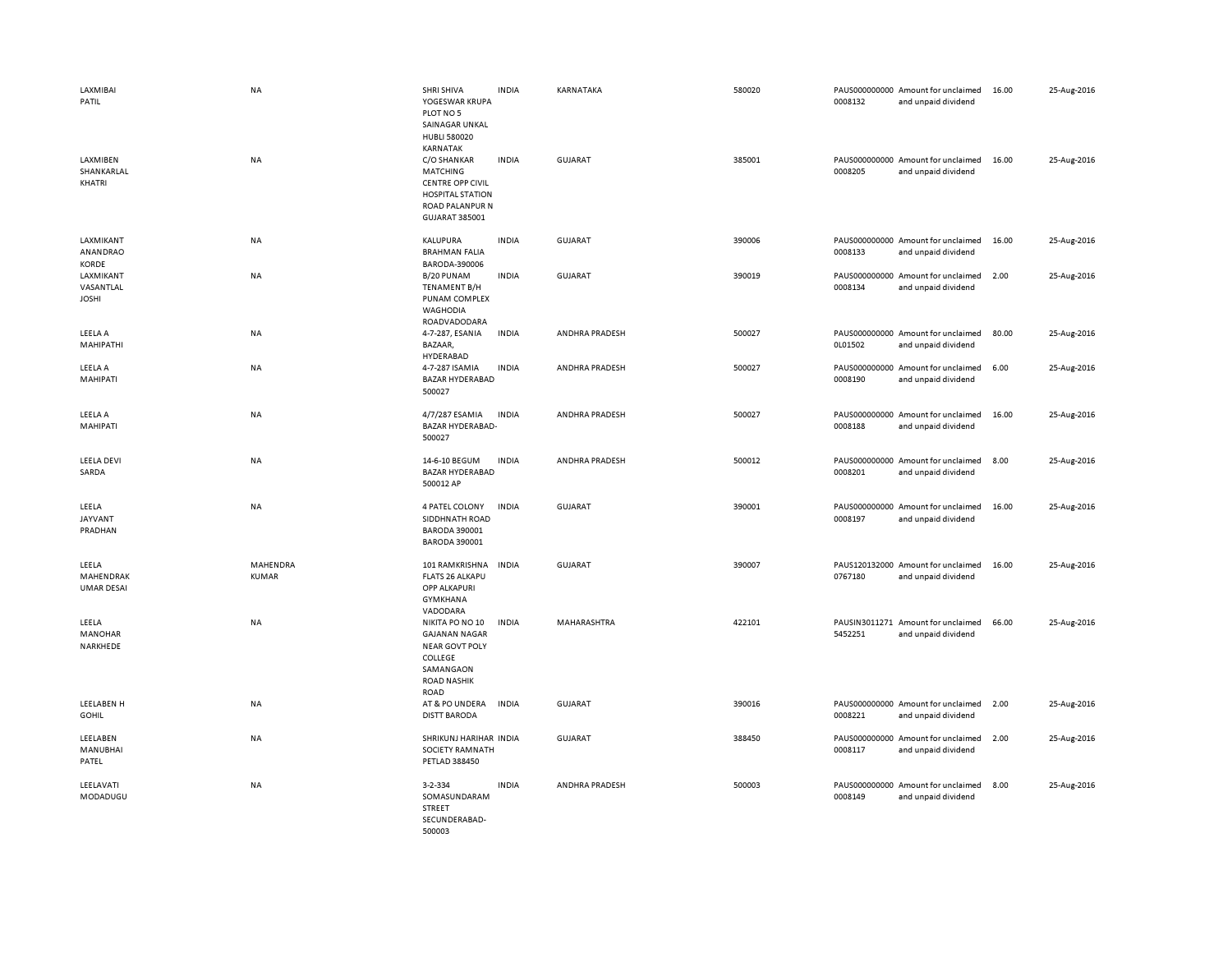| <b>LAXMIBAI</b><br>PATIL<br>LAXMIBEN<br>SHANKARLAL<br>KHATRI | <b>NA</b><br>NA   | SHRI SHIVA<br>YOGESWAR KRUPA<br>PLOT NO 5<br>SAINAGAR UNKAL<br><b>HUBLI 580020</b><br>KARNATAK<br>C/O SHANKAR<br><b>MATCHING</b><br><b>CENTRE OPP CIVIL</b><br><b>HOSPITAL STATION</b> | <b>INDIA</b><br><b>INDIA</b> | KARNATAKA<br>GUJARAT | 580020<br>385001 | 0008132<br>0008205       | PAUS000000000 Amount for unclaimed<br>and unpaid dividend<br>PAUS000000000 Amount for unclaimed<br>and unpaid dividend | 16.00<br>16.00 | 25-Aug-2016<br>25-Aug-2016 |
|--------------------------------------------------------------|-------------------|----------------------------------------------------------------------------------------------------------------------------------------------------------------------------------------|------------------------------|----------------------|------------------|--------------------------|------------------------------------------------------------------------------------------------------------------------|----------------|----------------------------|
|                                                              |                   | <b>ROAD PALANPUR N</b><br>GUJARAT 385001                                                                                                                                               |                              |                      |                  |                          |                                                                                                                        |                |                            |
| LAXMIKANT<br>ANANDRAO<br>KORDE                               | <b>NA</b>         | KALUPURA<br><b>BRAHMAN FALIA</b><br>BARODA-390006                                                                                                                                      | <b>INDIA</b>                 | <b>GUJARAT</b>       | 390006           | 0008133                  | PAUS000000000 Amount for unclaimed<br>and unpaid dividend                                                              | 16.00          | 25-Aug-2016                |
| LAXMIKANT<br>VASANTLAL<br><b>JOSHI</b>                       | <b>NA</b>         | B/20 PUNAM<br><b>TENAMENT B/H</b><br>PUNAM COMPLEX<br><b>WAGHODIA</b><br>ROADVADODARA                                                                                                  | <b>INDIA</b>                 | <b>GUJARAT</b>       | 390019           | 0008134                  | PAUS000000000 Amount for unclaimed<br>and unpaid dividend                                                              | 2.00           | 25-Aug-2016                |
| LEELA A<br>MAHIPATHI                                         | <b>NA</b>         | 4-7-287, ESANIA<br>BAZAAR,<br>HYDERABAD                                                                                                                                                | <b>INDIA</b>                 | ANDHRA PRADESH       | 500027           | 0L01502                  | PAUS000000000 Amount for unclaimed<br>and unpaid dividend                                                              | 80.00          | 25-Aug-2016                |
| LEELA A<br>MAHIPATI                                          | NA                | 4-7-287 ISAMIA<br><b>BAZAR HYDERABAD</b><br>500027                                                                                                                                     | <b>INDIA</b>                 | ANDHRA PRADESH       | 500027           | 0008190                  | PAUS000000000 Amount for unclaimed<br>and unpaid dividend                                                              | 6.00           | 25-Aug-2016                |
| LEELA A<br>MAHIPATI                                          | <b>NA</b>         | 4/7/287 ESAMIA<br><b>BAZAR HYDERABAD-</b><br>500027                                                                                                                                    | <b>INDIA</b>                 | ANDHRA PRADESH       | 500027           | 0008188                  | PAUS000000000 Amount for unclaimed<br>and unpaid dividend                                                              | 16.00          | 25-Aug-2016                |
| <b>LEELA DEVI</b><br>SARDA                                   | NA                | 14-6-10 BEGUM<br><b>BAZAR HYDERABAD</b><br>500012 AP                                                                                                                                   | <b>INDIA</b>                 | ANDHRA PRADESH       | 500012           | 0008201                  | PAUS000000000 Amount for unclaimed<br>and unpaid dividend                                                              | 8.00           | 25-Aug-2016                |
| LEELA<br><b>JAYVANT</b><br>PRADHAN                           | NA                | 4 PATEL COLONY<br>SIDDHNATH ROAD<br><b>BARODA 390001</b><br><b>BARODA 390001</b>                                                                                                       | <b>INDIA</b>                 | GUJARAT              | 390001           | 0008197                  | PAUS000000000 Amount for unclaimed<br>and unpaid dividend                                                              | 16.00          | 25-Aug-2016                |
| LEELA<br>MAHENDRAK<br><b>UMAR DESAI</b>                      | MAHENDRA<br>KUMAR | 101 RAMKRISHNA<br><b>FLATS 26 ALKAPU</b><br>OPP ALKAPURI<br>GYMKHANA<br>VADODARA                                                                                                       | <b>INDIA</b>                 | GUJARAT              | 390007           | 0767180                  | PAUS120132000 Amount for unclaimed<br>and unpaid dividend                                                              | 16.00          | 25-Aug-2016                |
| LEELA<br>MANOHAR<br>NARKHEDE                                 | <b>NA</b>         | NIKITA PO NO 10<br><b>GAJANAN NAGAR</b><br><b>NEAR GOVT POLY</b><br>COLLEGE<br>SAMANGAON<br><b>ROAD NASHIK</b><br><b>ROAD</b>                                                          | <b>INDIA</b>                 | MAHARASHTRA          | 422101           | PAUSIN3011271<br>5452251 | Amount for unclaimed<br>and unpaid dividend                                                                            | 66.00          | 25-Aug-2016                |
| <b>LEELABEN H</b><br><b>GOHIL</b>                            | <b>NA</b>         | AT & PO UNDERA<br><b>DISTT BARODA</b>                                                                                                                                                  | <b>INDIA</b>                 | <b>GUJARAT</b>       | 390016           | 0008221                  | PAUS000000000 Amount for unclaimed<br>and unpaid dividend                                                              | 2.00           | 25-Aug-2016                |
| LEELABEN<br>MANUBHAI<br>PATEL                                | <b>NA</b>         | SHRIKUNJ HARIHAR INDIA<br>SOCIETY RAMNATH<br>PETLAD 388450                                                                                                                             |                              | <b>GUJARAT</b>       | 388450           | 0008117                  | PAUS000000000 Amount for unclaimed<br>and unpaid dividend                                                              | 2.00           | 25-Aug-2016                |
| LEELAVATI<br>MODADUGU                                        | <b>NA</b>         | 3-2-334<br>SOMASUNDARAM<br>STREET<br>SECUNDERABAD-<br>500003                                                                                                                           | <b>INDIA</b>                 | ANDHRA PRADESH       | 500003           | 0008149                  | PAUS000000000 Amount for unclaimed<br>and unpaid dividend                                                              | 8.00           | 25-Aug-2016                |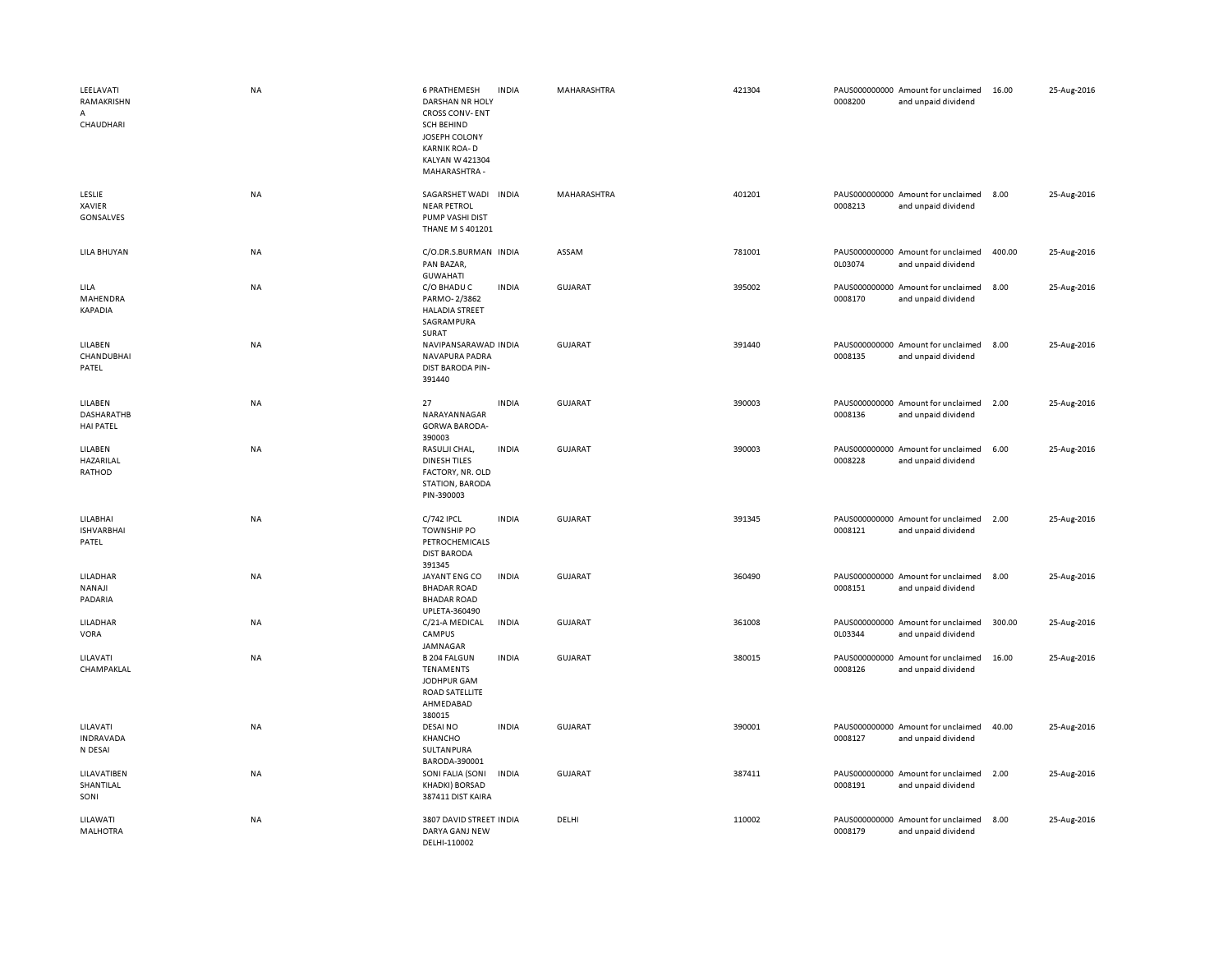| LEELAVATI<br>RAMAKRISHN<br>CHAUDHARI             | <b>NA</b> | <b>6 PRATHEMESH</b><br>DARSHAN NR HOLY<br><b>CROSS CONV-ENT</b><br><b>SCH BEHIND</b><br>JOSEPH COLONY<br><b>KARNIK ROA-D</b><br>KALYAN W 421304<br>MAHARASHTRA - | <b>INDIA</b> | MAHARASHTRA    | 421304 | 0008200                  | PAUS000000000 Amount for unclaimed<br>and unpaid dividend | 16.00  | 25-Aug-2016 |
|--------------------------------------------------|-----------|------------------------------------------------------------------------------------------------------------------------------------------------------------------|--------------|----------------|--------|--------------------------|-----------------------------------------------------------|--------|-------------|
| LESLIE<br><b>XAVIER</b><br>GONSALVES             | <b>NA</b> | SAGARSHET WADI INDIA<br><b>NEAR PETROL</b><br>PUMP VASHI DIST<br>THANE M S 401201                                                                                |              | MAHARASHTRA    | 401201 | 0008213                  | PAUS000000000 Amount for unclaimed<br>and unpaid dividend | 8.00   | 25-Aug-2016 |
| LILA BHUYAN                                      | <b>NA</b> | C/O.DR.S.BURMAN INDIA<br>PAN BAZAR,<br><b>GUWAHATI</b>                                                                                                           |              | ASSAM          | 781001 | 0L03074                  | PAUS000000000 Amount for unclaimed<br>and unpaid dividend | 400.00 | 25-Aug-2016 |
| LILA<br>MAHENDRA<br>KAPADIA                      | <b>NA</b> | C/O BHADU C<br>PARMO-2/3862<br><b>HALADIA STREET</b><br>SAGRAMPURA<br>SURAT                                                                                      | <b>INDIA</b> | <b>GUJARAT</b> | 395002 | 0008170                  | PAUS000000000 Amount for unclaimed<br>and unpaid dividend | 8.00   | 25-Aug-2016 |
| LILABEN<br>CHANDUBHAI<br>PATEL                   | <b>NA</b> | NAVIPANSARAWAD INDIA<br>NAVAPURA PADRA<br>DIST BARODA PIN-<br>391440                                                                                             |              | GUJARAT        | 391440 | 0008135                  | PAUS000000000 Amount for unclaimed<br>and unpaid dividend | 8.00   | 25-Aug-2016 |
| LILABEN<br><b>DASHARATHB</b><br><b>HAI PATEL</b> | <b>NA</b> | 27<br>NARAYANNAGAR<br><b>GORWA BARODA-</b><br>390003                                                                                                             | <b>INDIA</b> | GUJARAT        | 390003 | 0008136                  | PAUS000000000 Amount for unclaimed<br>and unpaid dividend | 2.00   | 25-Aug-2016 |
| LILABEN<br>HAZARILAL<br>RATHOD                   | NA        | RASULJI CHAL,<br><b>DINESH TILES</b><br>FACTORY, NR. OLD<br>STATION, BARODA<br>PIN-390003                                                                        | <b>INDIA</b> | <b>GUJARAT</b> | 390003 | PAUS000000000<br>0008228 | Amount for unclaimed<br>and unpaid dividend               | 6.00   | 25-Aug-2016 |
| LILABHAI<br><b>ISHVARBHAI</b><br>PATEL           | <b>NA</b> | C/742 IPCL<br><b>TOWNSHIP PO</b><br>PETROCHEMICALS<br><b>DIST BARODA</b><br>391345                                                                               | <b>INDIA</b> | <b>GUJARAT</b> | 391345 | 0008121                  | PAUS000000000 Amount for unclaimed<br>and unpaid dividend | 2.00   | 25-Aug-2016 |
| LILADHAR<br>NANAJI<br>PADARIA                    | <b>NA</b> | JAYANT ENG CO<br><b>BHADAR ROAD</b><br><b>BHADAR ROAD</b><br>UPLETA-360490                                                                                       | <b>INDIA</b> | <b>GUJARAT</b> | 360490 | 0008151                  | PAUS000000000 Amount for unclaimed<br>and unpaid dividend | 8.00   | 25-Aug-2016 |
| LILADHAR<br>VORA                                 | NA        | C/21-A MEDICAL<br>CAMPUS<br>JAMNAGAR                                                                                                                             | <b>INDIA</b> | <b>GUJARAT</b> | 361008 | 0L03344                  | PAUS000000000 Amount for unclaimed<br>and unpaid dividend | 300.00 | 25-Aug-2016 |
| LILAVATI<br>CHAMPAKLAL                           | <b>NA</b> | <b>B 204 FALGUN</b><br><b>TENAMENTS</b><br>JODHPUR GAM<br>ROAD SATELLITE<br>AHMEDABAD<br>380015                                                                  | <b>INDIA</b> | <b>GUJARAT</b> | 380015 | 0008126                  | PAUS000000000 Amount for unclaimed<br>and unpaid dividend | 16.00  | 25-Aug-2016 |
| LILAVATI<br><b>INDRAVADA</b><br>N DESAI          | <b>NA</b> | <b>DESAI NO</b><br>KHANCHO<br>SULTANPURA<br>BARODA-390001                                                                                                        | <b>INDIA</b> | <b>GUJARAT</b> | 390001 | 0008127                  | PAUS000000000 Amount for unclaimed<br>and unpaid dividend | 40.00  | 25-Aug-2016 |
| LILAVATIBEN<br>SHANTILAL<br>SONI                 | <b>NA</b> | SONI FALIA (SONI<br>KHADKI) BORSAD<br>387411 DIST KAIRA                                                                                                          | <b>INDIA</b> | GUJARAT        | 387411 | 0008191                  | PAUS000000000 Amount for unclaimed<br>and unpaid dividend | 2.00   | 25-Aug-2016 |
| LILAWATI<br><b>MALHOTRA</b>                      | <b>NA</b> | 3807 DAVID STREET INDIA<br>DARYA GANJ NEW<br>DELHI-110002                                                                                                        |              | DELHI          | 110002 | PAUS000000000<br>0008179 | Amount for unclaimed<br>and unpaid dividend               | 8.00   | 25-Aug-2016 |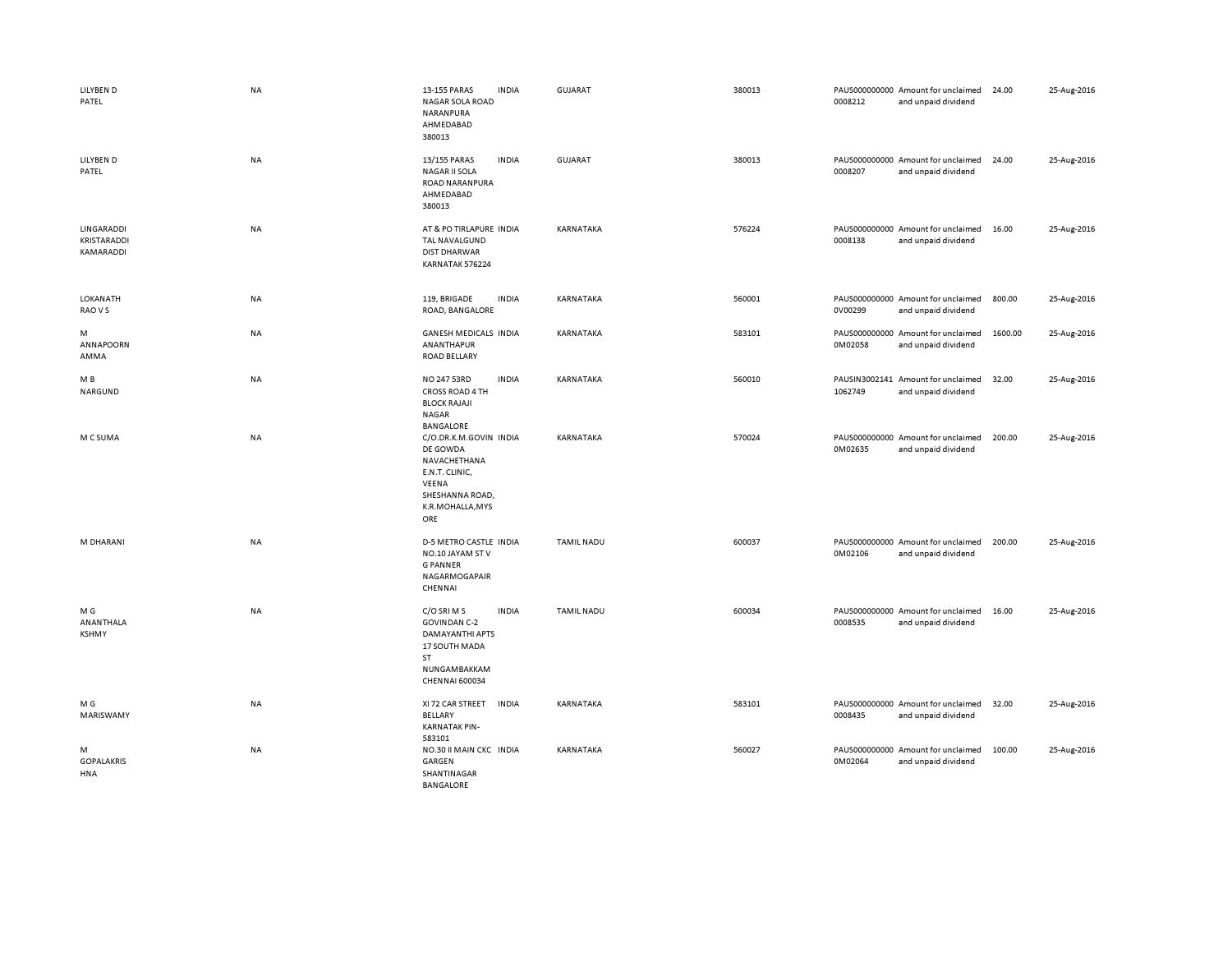| LILYBEN D<br>PATEL                     | <b>NA</b> | 13-155 PARAS<br><b>INDIA</b><br>NAGAR SOLA ROAD<br>NARANPURA<br>AHMEDABAD<br>380013                                                          | GUJARAT           | 380013 | 0008212 | PAUS000000000 Amount for unclaimed<br>and unpaid dividend | 24.00   | 25-Aug-2016 |
|----------------------------------------|-----------|----------------------------------------------------------------------------------------------------------------------------------------------|-------------------|--------|---------|-----------------------------------------------------------|---------|-------------|
| LILYBEN D<br>PATEL                     | <b>NA</b> | 13/155 PARAS<br><b>INDIA</b><br><b>NAGAR II SOLA</b><br>ROAD NARANPURA<br>AHMEDABAD<br>380013                                                | GUJARAT           | 380013 | 0008207 | PAUS000000000 Amount for unclaimed<br>and unpaid dividend | 24.00   | 25-Aug-2016 |
| LINGARADDI<br>KRISTARADDI<br>KAMARADDI | <b>NA</b> | AT & PO TIRLAPURE INDIA<br>TAL NAVALGUND<br><b>DIST DHARWAR</b><br>KARNATAK 576224                                                           | KARNATAKA         | 576224 | 0008138 | PAUS000000000 Amount for unclaimed<br>and unpaid dividend | 16.00   | 25-Aug-2016 |
| LOKANATH<br>RAO V S                    | <b>NA</b> | 119, BRIGADE<br><b>INDIA</b><br>ROAD, BANGALORE                                                                                              | KARNATAKA         | 560001 | 0V00299 | PAUS000000000 Amount for unclaimed<br>and unpaid dividend | 800.00  | 25-Aug-2016 |
| M<br>ANNAPOORN<br>AMMA                 | <b>NA</b> | <b>GANESH MEDICALS INDIA</b><br>ANANTHAPUR<br><b>ROAD BELLARY</b>                                                                            | KARNATAKA         | 583101 | 0M02058 | PAUS000000000 Amount for unclaimed<br>and unpaid dividend | 1600.00 | 25-Aug-2016 |
| M B<br>NARGUND                         | NA        | <b>INDIA</b><br>NO 247 53RD<br>CROSS ROAD 4 TH<br><b>BLOCK RAJAJI</b><br>NAGAR<br>BANGALORE                                                  | KARNATAKA         | 560010 | 1062749 | PAUSIN3002141 Amount for unclaimed<br>and unpaid dividend | 32.00   | 25-Aug-2016 |
| M C SUMA                               | <b>NA</b> | C/O.DR.K.M.GOVIN INDIA<br>DE GOWDA<br>NAVACHETHANA<br>E.N.T. CLINIC,<br>VEENA<br>SHESHANNA ROAD,<br>K.R.MOHALLA, MYS<br>ORE                  | KARNATAKA         | 570024 | 0M02635 | PAUS000000000 Amount for unclaimed<br>and unpaid dividend | 200.00  | 25-Aug-2016 |
| M DHARANI                              | <b>NA</b> | D-5 METRO CASTLE INDIA<br>NO.10 JAYAM STV<br><b>GPANNER</b><br>NAGARMOGAPAIR<br>CHENNAI                                                      | <b>TAMIL NADU</b> | 600037 | 0M02106 | PAUS000000000 Amount for unclaimed<br>and unpaid dividend | 200.00  | 25-Aug-2016 |
| M G<br>ANANTHALA<br><b>KSHMY</b>       | <b>NA</b> | C/O SRI M S<br><b>INDIA</b><br><b>GOVINDAN C-2</b><br>DAMAYANTHI APTS<br>17 SOUTH MADA<br><b>ST</b><br>NUNGAMBAKKAM<br><b>CHENNAI 600034</b> | <b>TAMIL NADU</b> | 600034 | 0008535 | PAUS000000000 Amount for unclaimed<br>and unpaid dividend | 16.00   | 25-Aug-2016 |
| M G<br>MARISWAMY                       | <b>NA</b> | XI 72 CAR STREET<br><b>INDIA</b><br>BELLARY<br><b>KARNATAK PIN-</b><br>583101                                                                | KARNATAKA         | 583101 | 0008435 | PAUS000000000 Amount for unclaimed<br>and unpaid dividend | 32.00   | 25-Aug-2016 |
| M<br><b>GOPALAKRIS</b><br>HNA          | <b>NA</b> | NO.30 II MAIN CKC INDIA<br>GARGEN<br>SHANTINAGAR<br>BANGALORE                                                                                | KARNATAKA         | 560027 | 0M02064 | PAUS000000000 Amount for unclaimed<br>and unpaid dividend | 100.00  | 25-Aug-2016 |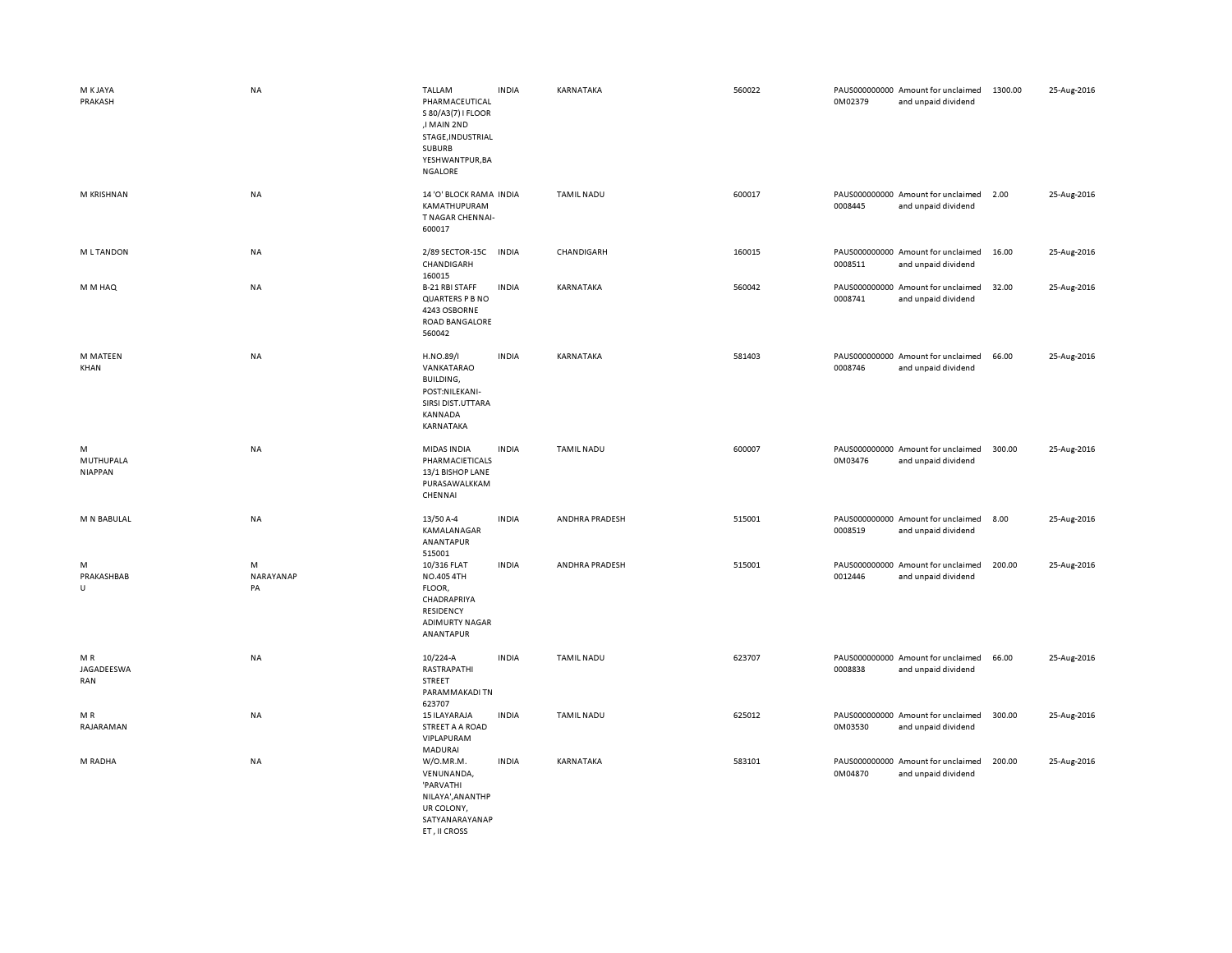| M K JAYA<br>PRAKASH              | <b>NA</b>            | TALLAM<br>PHARMACEUTICAL<br>S 80/A3(7) I FLOOR<br>,I MAIN 2ND<br>STAGE, INDUSTRIAL<br><b>SUBURB</b><br>YESHWANTPUR, BA<br>NGALORE | <b>INDIA</b> | KARNATAKA         | 560022 | 0M02379 | PAUS000000000 Amount for unclaimed<br>and unpaid dividend | 1300.00 | 25-Aug-2016 |
|----------------------------------|----------------------|-----------------------------------------------------------------------------------------------------------------------------------|--------------|-------------------|--------|---------|-----------------------------------------------------------|---------|-------------|
| M KRISHNAN                       | <b>NA</b>            | 14 'O' BLOCK RAMA INDIA<br>KAMATHUPURAM<br>T NAGAR CHENNAI-<br>600017                                                             |              | <b>TAMIL NADU</b> | 600017 | 0008445 | PAUS000000000 Amount for unclaimed<br>and unpaid dividend | 2.00    | 25-Aug-2016 |
| <b>MLTANDON</b>                  | NA                   | 2/89 SECTOR-15C<br>CHANDIGARH<br>160015                                                                                           | <b>INDIA</b> | CHANDIGARH        | 160015 | 0008511 | PAUS000000000 Amount for unclaimed<br>and unpaid dividend | 16.00   | 25-Aug-2016 |
| M M HAQ                          | NA                   | <b>B-21 RBI STAFF</b><br>QUARTERS P B NO<br>4243 OSBORNE<br>ROAD BANGALORE<br>560042                                              | <b>INDIA</b> | KARNATAKA         | 560042 | 0008741 | PAUS000000000 Amount for unclaimed<br>and unpaid dividend | 32.00   | 25-Aug-2016 |
| M MATEEN<br>KHAN                 | <b>NA</b>            | H.NO.89/I<br>VANKATARAO<br>BUILDING,<br>POST:NILEKANI-<br>SIRSI DIST.UTTARA<br>KANNADA<br>KARNATAKA                               | <b>INDIA</b> | KARNATAKA         | 581403 | 0008746 | PAUS000000000 Amount for unclaimed<br>and unpaid dividend | 66.00   | 25-Aug-2016 |
| M<br>MUTHUPALA<br><b>NIAPPAN</b> | <b>NA</b>            | MIDAS INDIA<br>PHARMACIETICALS<br>13/1 BISHOP LANE<br>PURASAWALKKAM<br>CHENNAI                                                    | <b>INDIA</b> | <b>TAMIL NADU</b> | 600007 | 0M03476 | PAUS000000000 Amount for unclaimed<br>and unpaid dividend | 300.00  | 25-Aug-2016 |
| M N BABULAL                      | NA                   | 13/50 A-4<br>KAMALANAGAR<br>ANANTAPUR<br>515001                                                                                   | <b>INDIA</b> | ANDHRA PRADESH    | 515001 | 0008519 | PAUS000000000 Amount for unclaimed<br>and unpaid dividend | 8.00    | 25-Aug-2016 |
| M<br>PRAKASHBAB<br>$\cup$        | M<br>NARAYANAP<br>PA | 10/316 FLAT<br>NO.405 4TH<br>FLOOR,<br>CHADRAPRIYA<br>RESIDENCY<br><b>ADIMURTY NAGAR</b><br>ANANTAPUR                             | <b>INDIA</b> | ANDHRA PRADESH    | 515001 | 0012446 | PAUS000000000 Amount for unclaimed<br>and unpaid dividend | 200.00  | 25-Aug-2016 |
| M R<br>JAGADEESWA<br>RAN         | NA                   | 10/224-A<br>RASTRAPATHI<br>STREET<br>PARAMMAKADI TN<br>623707                                                                     | <b>INDIA</b> | <b>TAMIL NADU</b> | 623707 | 0008838 | PAUS000000000 Amount for unclaimed<br>and unpaid dividend | 66.00   | 25-Aug-2016 |
| M R<br>RAJARAMAN                 | NA                   | 15 ILAYARAJA<br>STREET A A ROAD<br>VIPLAPURAM<br>MADURAI                                                                          | <b>INDIA</b> | <b>TAMIL NADU</b> | 625012 | 0M03530 | PAUS000000000 Amount for unclaimed<br>and unpaid dividend | 300.00  | 25-Aug-2016 |
| M RADHA                          | <b>NA</b>            | W/O.MR.M.<br>VENUNANDA,<br>'PARVATHI<br>NILAYA', AN ANTHP<br>UR COLONY,<br>SATYANARAYANAP<br>ET, II CROSS                         | <b>INDIA</b> | KARNATAKA         | 583101 | 0M04870 | PAUS000000000 Amount for unclaimed<br>and unpaid dividend | 200.00  | 25-Aug-2016 |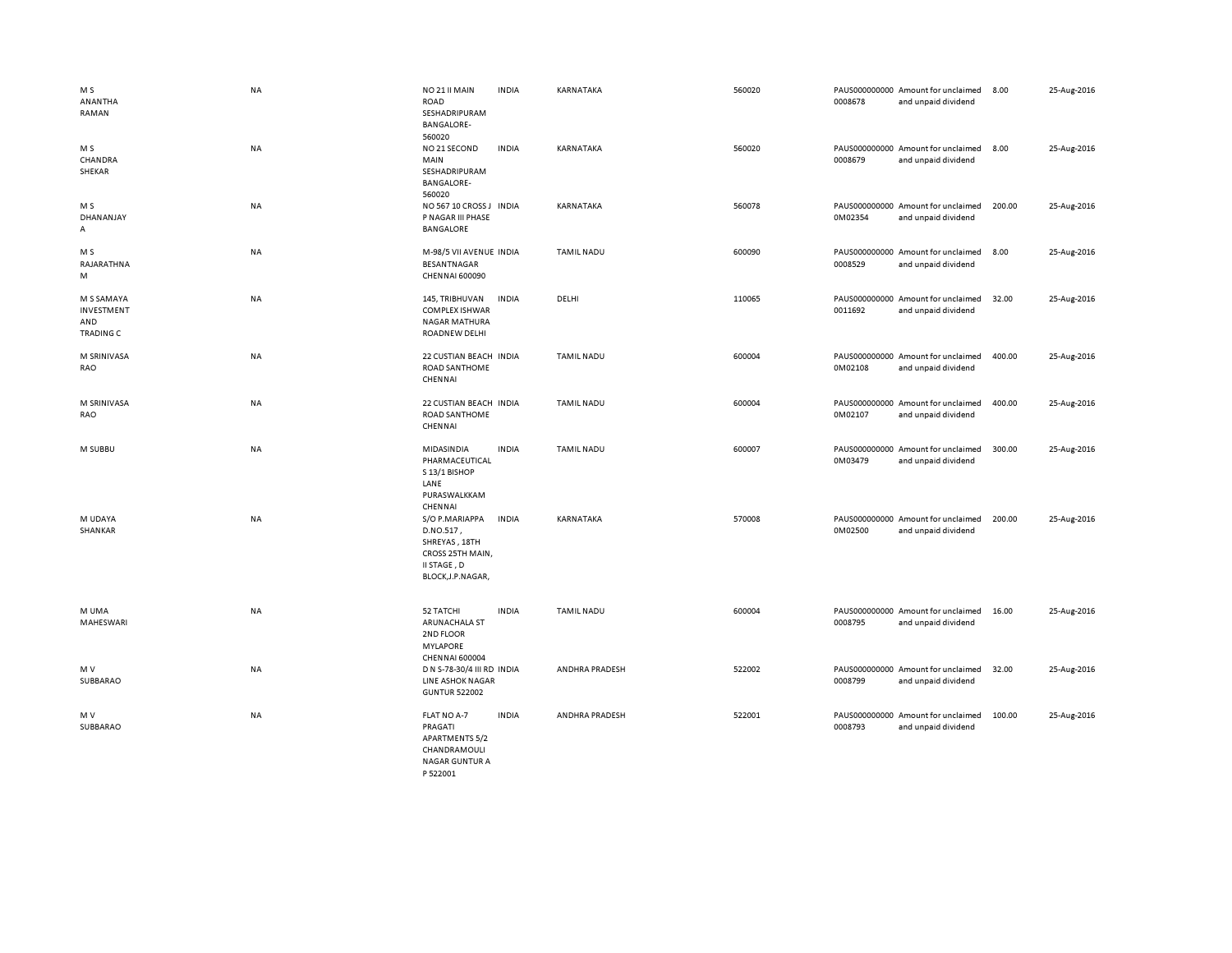| M S<br>ANANTHA<br>RAMAN                             | <b>NA</b> | NO 21 II MAIN<br>ROAD<br>SESHADRIPURAM<br><b>BANGALORE-</b><br>560020                                 | <b>INDIA</b> | KARNATAKA         | 560020 | 0008678 | PAUS000000000 Amount for unclaimed<br>and unpaid dividend | 8.00   | 25-Aug-2016 |
|-----------------------------------------------------|-----------|-------------------------------------------------------------------------------------------------------|--------------|-------------------|--------|---------|-----------------------------------------------------------|--------|-------------|
| M S<br>CHANDRA<br>SHEKAR                            | NA        | NO 21 SECOND<br>MAIN<br>SESHADRIPURAM<br><b>BANGALORE-</b><br>560020                                  | <b>INDIA</b> | <b>KARNATAKA</b>  | 560020 | 0008679 | PAUS000000000 Amount for unclaimed<br>and unpaid dividend | 8.00   | 25-Aug-2016 |
| M S<br>DHANANJAY<br>A                               | <b>NA</b> | NO 567 10 CROSS J INDIA<br>P NAGAR III PHASE<br>BANGALORE                                             |              | KARNATAKA         | 560078 | 0M02354 | PAUS000000000 Amount for unclaimed<br>and unpaid dividend | 200.00 | 25-Aug-2016 |
| M <sub>S</sub><br>RAJARATHNA<br>M                   | <b>NA</b> | M-98/5 VII AVENUE INDIA<br><b>BESANTNAGAR</b><br><b>CHENNAI 600090</b>                                |              | <b>TAMIL NADU</b> | 600090 | 0008529 | PAUS000000000 Amount for unclaimed<br>and unpaid dividend | 8.00   | 25-Aug-2016 |
| M S SAMAYA<br>INVESTMENT<br>AND<br><b>TRADING C</b> | NA        | 145, TRIBHUVAN<br><b>COMPLEX ISHWAR</b><br><b>NAGAR MATHURA</b><br><b>ROADNEW DELHI</b>               | <b>INDIA</b> | DELHI             | 110065 | 0011692 | PAUS000000000 Amount for unclaimed<br>and unpaid dividend | 32.00  | 25-Aug-2016 |
| M SRINIVASA<br>RAO                                  | NA        | 22 CUSTIAN BEACH INDIA<br><b>ROAD SANTHOME</b><br>CHENNAI                                             |              | <b>TAMIL NADU</b> | 600004 | 0M02108 | PAUS000000000 Amount for unclaimed<br>and unpaid dividend | 400.00 | 25-Aug-2016 |
| M SRINIVASA<br>RAO                                  | NA        | 22 CUSTIAN BEACH INDIA<br><b>ROAD SANTHOME</b><br>CHENNAI                                             |              | <b>TAMIL NADU</b> | 600004 | 0M02107 | PAUS000000000 Amount for unclaimed<br>and unpaid dividend | 400.00 | 25-Aug-2016 |
| M SUBBU                                             | NA        | MIDASINDIA<br>PHARMACEUTICAL<br>S 13/1 BISHOP<br>LANE<br>PURASWALKKAM<br>CHENNAI                      | <b>INDIA</b> | <b>TAMIL NADU</b> | 600007 | 0M03479 | PAUS000000000 Amount for unclaimed<br>and unpaid dividend | 300.00 | 25-Aug-2016 |
| M UDAYA<br>SHANKAR                                  | <b>NA</b> | S/O P.MARIAPPA<br>D.NO.517,<br>SHREYAS, 18TH<br>CROSS 25TH MAIN,<br>II STAGE, D<br>BLOCK, J.P. NAGAR, | <b>INDIA</b> | KARNATAKA         | 570008 | 0M02500 | PAUS000000000 Amount for unclaimed<br>and unpaid dividend | 200.00 | 25-Aug-2016 |
| M UMA<br>MAHESWARI                                  | NA        | 52 TATCHI<br>ARUNACHALA ST<br>2ND FLOOR<br><b>MYLAPORE</b><br><b>CHENNAI 600004</b>                   | <b>INDIA</b> | <b>TAMIL NADU</b> | 600004 | 0008795 | PAUS000000000 Amount for unclaimed<br>and unpaid dividend | 16.00  | 25-Aug-2016 |
| M V<br>SUBBARAO                                     | NA        | D N S-78-30/4 III RD INDIA<br>LINE ASHOK NAGAR<br><b>GUNTUR 522002</b>                                |              | ANDHRA PRADESH    | 522002 | 0008799 | PAUS000000000 Amount for unclaimed<br>and unpaid dividend | 32.00  | 25-Aug-2016 |
| M V<br>SUBBARAO                                     | NA        | FLAT NO A-7<br>PRAGATI<br><b>APARTMENTS 5/2</b><br>CHANDRAMOULI<br><b>NAGAR GUNTUR A</b><br>P 522001  | <b>INDIA</b> | ANDHRA PRADESH    | 522001 | 0008793 | PAUS000000000 Amount for unclaimed<br>and unpaid dividend | 100.00 | 25-Aug-2016 |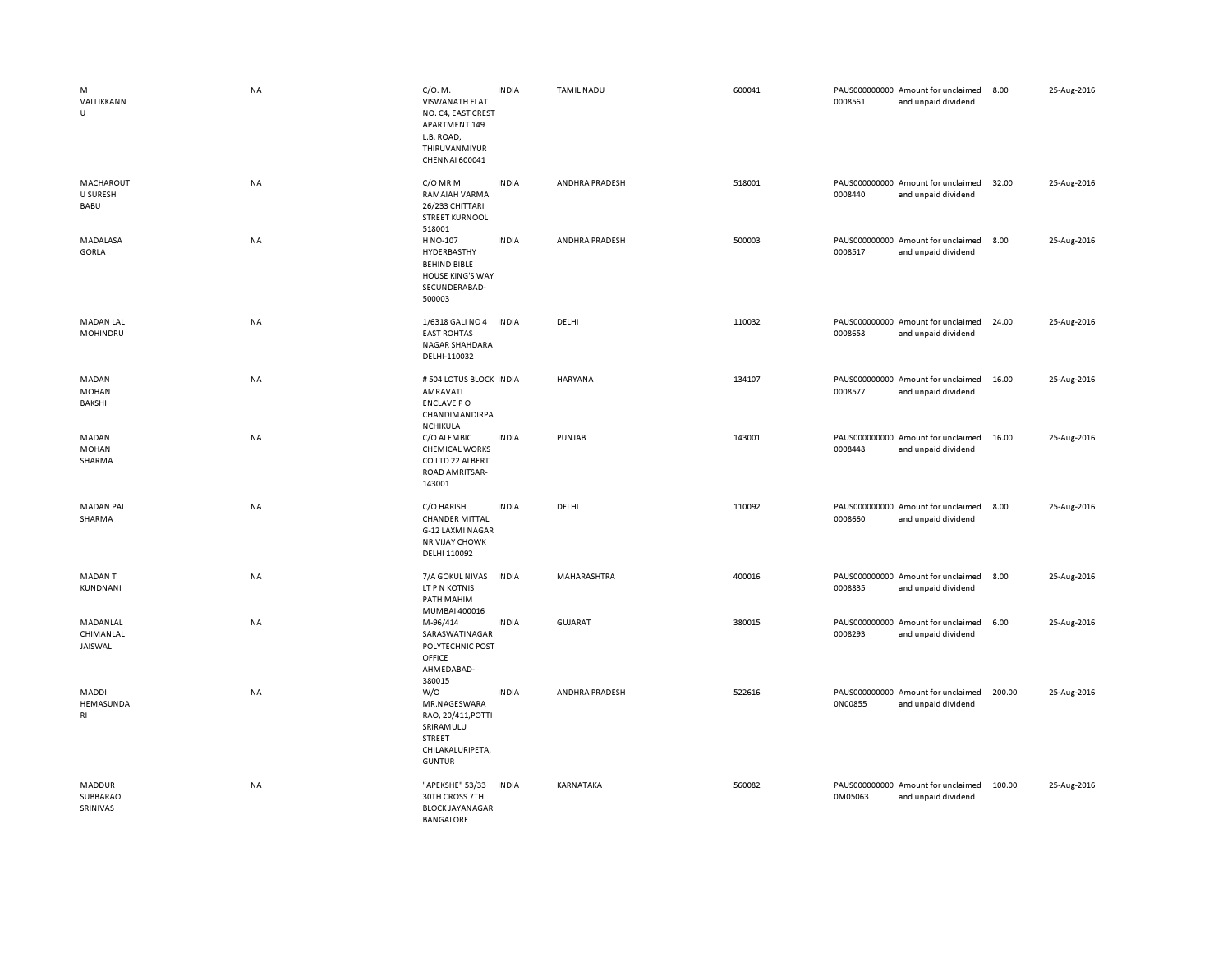| M<br>VALLIKKANN<br>U             | <b>NA</b> | C/O. M.<br><b>VISWANATH FLAT</b><br>NO. C4, EAST CREST<br>APARTMENT 149<br>L.B. ROAD,<br>THIRUVANMIYUR<br>CHENNAI 600041 | <b>INDIA</b> | <b>TAMIL NADU</b> | 600041 | 0008561 | PAUS000000000 Amount for unclaimed<br>and unpaid dividend | 8.00   | 25-Aug-2016 |
|----------------------------------|-----------|--------------------------------------------------------------------------------------------------------------------------|--------------|-------------------|--------|---------|-----------------------------------------------------------|--------|-------------|
| MACHAROUT<br>U SURESH<br>BABU    | NA        | C/O MR M<br>RAMAIAH VARMA<br>26/233 CHITTARI<br><b>STREET KURNOOL</b><br>518001                                          | <b>INDIA</b> | ANDHRA PRADESH    | 518001 | 0008440 | PAUS000000000 Amount for unclaimed<br>and unpaid dividend | 32.00  | 25-Aug-2016 |
| MADALASA<br>GORLA                | NA        | H NO-107<br>HYDERBASTHY<br><b>BEHIND BIBLE</b><br><b>HOUSE KING'S WAY</b><br>SECUNDERABAD-<br>500003                     | <b>INDIA</b> | ANDHRA PRADESH    | 500003 | 0008517 | PAUS000000000 Amount for unclaimed<br>and unpaid dividend | 8.00   | 25-Aug-2016 |
| <b>MADAN LAL</b><br>MOHINDRU     | NA        | 1/6318 GALI NO 4 INDIA<br><b>EAST ROHTAS</b><br>NAGAR SHAHDARA<br>DELHI-110032                                           |              | DELHI             | 110032 | 0008658 | PAUS000000000 Amount for unclaimed<br>and unpaid dividend | 24.00  | 25-Aug-2016 |
| MADAN<br><b>MOHAN</b><br>BAKSHI  | NA        | # 504 LOTUS BLOCK INDIA<br>AMRAVATI<br><b>ENCLAVE PO</b><br>CHANDIMANDIRPA<br><b>NCHIKULA</b>                            |              | <b>HARYANA</b>    | 134107 | 0008577 | PAUS000000000 Amount for unclaimed<br>and unpaid dividend | 16.00  | 25-Aug-2016 |
| MADAN<br><b>MOHAN</b><br>SHARMA  | NA        | C/O ALEMBIC<br><b>CHEMICAL WORKS</b><br>CO LTD 22 ALBERT<br>ROAD AMRITSAR-<br>143001                                     | <b>INDIA</b> | PUNJAB            | 143001 | 0008448 | PAUS000000000 Amount for unclaimed<br>and unpaid dividend | 16.00  | 25-Aug-2016 |
| <b>MADAN PAL</b><br>SHARMA       | NA        | C/O HARISH<br><b>CHANDER MITTAL</b><br>G-12 LAXMI NAGAR<br><b>NR VIJAY CHOWK</b><br>DELHI 110092                         | <b>INDIA</b> | DELHI             | 110092 | 0008660 | PAUS000000000 Amount for unclaimed<br>and unpaid dividend | 8.00   | 25-Aug-2016 |
| <b>MADANT</b><br>KUNDNANI        | NA        | 7/A GOKUL NIVAS<br>LT P N KOTNIS<br>PATH MAHIM<br>MUMBAI 400016                                                          | <b>INDIA</b> | MAHARASHTRA       | 400016 | 0008835 | PAUS000000000 Amount for unclaimed<br>and unpaid dividend | 8.00   | 25-Aug-2016 |
| MADANLAL<br>CHIMANLAL<br>JAISWAL | NA        | M-96/414<br>SARASWATINAGAR<br>POLYTECHNIC POST<br>OFFICE<br>AHMEDABAD-<br>380015                                         | <b>INDIA</b> | GUJARAT           | 380015 | 0008293 | PAUS000000000 Amount for unclaimed<br>and unpaid dividend | 6.00   | 25-Aug-2016 |
| MADDI<br>HEMASUNDA<br>RI         | NA        | W/O<br>MR.NAGESWARA<br>RAO, 20/411, POTTI<br>SRIRAMULU<br>STREET<br>CHILAKALURIPETA,<br><b>GUNTUR</b>                    | <b>INDIA</b> | ANDHRA PRADESH    | 522616 | 0N00855 | PAUS000000000 Amount for unclaimed<br>and unpaid dividend | 200.00 | 25-Aug-2016 |
| MADDUR<br>SUBBARAO<br>SRINIVAS   | <b>NA</b> | "APEKSHE" 53/33<br>30TH CROSS 7TH<br><b>BLOCK JAYANAGAR</b><br><b>BANGALORE</b>                                          | <b>INDIA</b> | <b>KARNATAKA</b>  | 560082 | 0M05063 | PAUS000000000 Amount for unclaimed<br>and unpaid dividend | 100.00 | 25-Aug-2016 |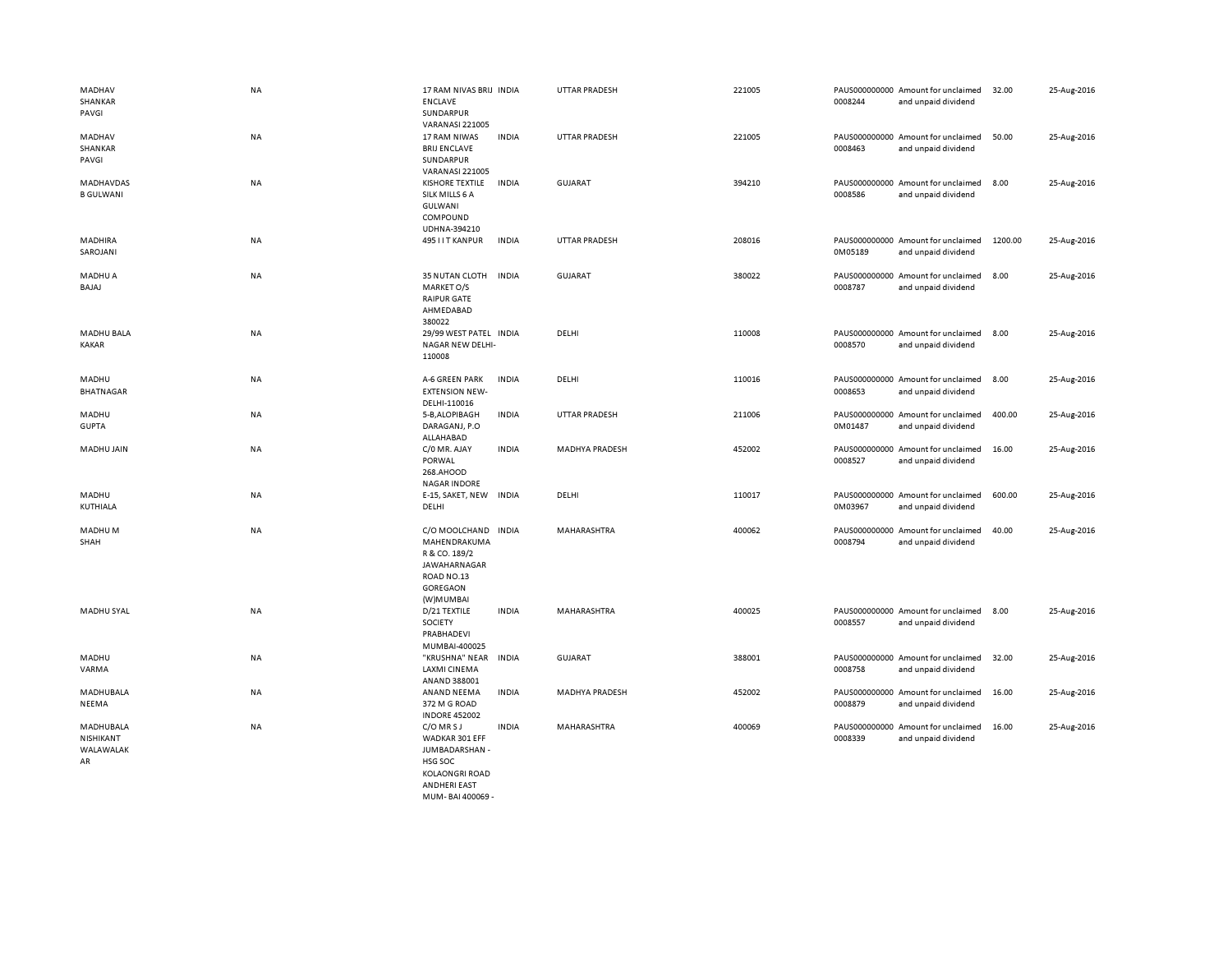| MADHAV<br>SHANKAR<br>PAVGI                | NA        | 17 RAM NIVAS BRIJ INDIA<br><b>ENCLAVE</b><br>SUNDARPUR                                                      |              | <b>UTTAR PRADESH</b> | 221005 | 0008244                  | PAUS000000000 Amount for unclaimed<br>and unpaid dividend | 32.00   | 25-Aug-2016 |
|-------------------------------------------|-----------|-------------------------------------------------------------------------------------------------------------|--------------|----------------------|--------|--------------------------|-----------------------------------------------------------|---------|-------------|
| MADHAV<br>SHANKAR<br>PAVGI                | NA        | <b>VARANASI 221005</b><br>17 RAM NIWAS<br><b>BRIJ ENCLAVE</b><br>SUNDARPUR<br><b>VARANASI 221005</b>        | <b>INDIA</b> | <b>UTTAR PRADESH</b> | 221005 | 0008463                  | PAUS000000000 Amount for unclaimed<br>and unpaid dividend | 50.00   | 25-Aug-2016 |
| MADHAVDAS<br><b>B GULWANI</b>             | NA        | <b>KISHORE TEXTILE</b><br>SILK MILLS 6 A<br>GULWANI<br>COMPOUND<br>UDHNA-394210                             | <b>INDIA</b> | <b>GUJARAT</b>       | 394210 | 0008586                  | PAUS000000000 Amount for unclaimed<br>and unpaid dividend | 8.00    | 25-Aug-2016 |
| MADHIRA<br>SAROJANI                       | <b>NA</b> | 495 I I T KANPUR                                                                                            | <b>INDIA</b> | <b>UTTAR PRADESH</b> | 208016 | 0M05189                  | PAUS000000000 Amount for unclaimed<br>and unpaid dividend | 1200.00 | 25-Aug-2016 |
| MADHU A<br>BAJAJ                          | NA        | 35 NUTAN CLOTH<br>MARKET O/S<br><b>RAIPUR GATE</b><br>AHMEDABAD<br>380022                                   | <b>INDIA</b> | <b>GUJARAT</b>       | 380022 | 0008787                  | PAUS000000000 Amount for unclaimed<br>and unpaid dividend | 8.00    | 25-Aug-2016 |
| <b>MADHU BALA</b><br><b>KAKAR</b>         | NA        | 29/99 WEST PATEL INDIA<br>NAGAR NEW DELHI-<br>110008                                                        |              | DELHI                | 110008 | 0008570                  | PAUS000000000 Amount for unclaimed<br>and unpaid dividend | 8.00    | 25-Aug-2016 |
| MADHU<br><b>BHATNAGAR</b>                 | NA        | A-6 GREEN PARK<br><b>EXTENSION NEW-</b><br>DELHI-110016                                                     | <b>INDIA</b> | DELHI                | 110016 | 0008653                  | PAUS000000000 Amount for unclaimed<br>and unpaid dividend | 8.00    | 25-Aug-2016 |
| MADHU<br><b>GUPTA</b>                     | NA        | 5-B, ALOPIBAGH<br>DARAGANJ, P.O<br>ALLAHABAD                                                                | <b>INDIA</b> | <b>UTTAR PRADESH</b> | 211006 | 0M01487                  | PAUS000000000 Amount for unclaimed<br>and unpaid dividend | 400.00  | 25-Aug-2016 |
| MADHU JAIN                                | <b>NA</b> | C/0 MR. AJAY<br>PORWAL<br>268.AHOOD<br><b>NAGAR INDORE</b>                                                  | <b>INDIA</b> | MADHYA PRADESH       | 452002 | 0008527                  | PAUS000000000 Amount for unclaimed<br>and unpaid dividend | 16.00   | 25-Aug-2016 |
| MADHU<br>KUTHIALA                         | NA        | E-15, SAKET, NEW<br>DELHI                                                                                   | <b>INDIA</b> | DELHI                | 110017 | 0M03967                  | PAUS000000000 Amount for unclaimed<br>and unpaid dividend | 600.00  | 25-Aug-2016 |
| MADHU M<br>SHAH                           | NA        | C/O MOOLCHAND INDIA<br>MAHENDRAKUMA<br>R & CO. 189/2<br>JAWAHARNAGAR<br>ROAD NO.13<br>GOREGAON<br>(W)MUMBAI |              | MAHARASHTRA          | 400062 | PAUS000000000<br>0008794 | Amount for unclaimed<br>and unpaid dividend               | 40.00   | 25-Aug-2016 |
| MADHU SYAL                                | <b>NA</b> | D/21 TEXTILE<br>SOCIETY<br>PRABHADEVI<br>MUMBAI-400025                                                      | <b>INDIA</b> | MAHARASHTRA          | 400025 | 0008557                  | PAUS000000000 Amount for unclaimed<br>and unpaid dividend | 8.00    | 25-Aug-2016 |
| MADHU<br>VARMA                            | NA        | "KRUSHNA" NEAR<br>LAXMI CINEMA<br>ANAND 388001                                                              | <b>INDIA</b> | <b>GUJARAT</b>       | 388001 | 0008758                  | PAUS000000000 Amount for unclaimed<br>and unpaid dividend | 32.00   | 25-Aug-2016 |
| MADHUBALA<br>NEEMA                        | NA        | ANAND NEEMA<br>372 M G ROAD<br><b>INDORE 452002</b>                                                         | <b>INDIA</b> | MADHYA PRADESH       | 452002 | 0008879                  | PAUS000000000 Amount for unclaimed<br>and unpaid dividend | 16.00   | 25-Aug-2016 |
| MADHUBALA<br>NISHIKANT<br>WALAWALAK<br>AR | NA        | C/O MRSJ<br>WADKAR 301 EFF<br>JUMBADARSHAN -<br>HSG SOC<br><b>KOLAONGRI ROAD</b><br><b>ANDHERI FAST</b>     | <b>INDIA</b> | MAHARASHTRA          | 400069 | 0008339                  | PAUS000000000 Amount for unclaimed<br>and unpaid dividend | 16.00   | 25-Aug-2016 |

MUM- BAI 400069 -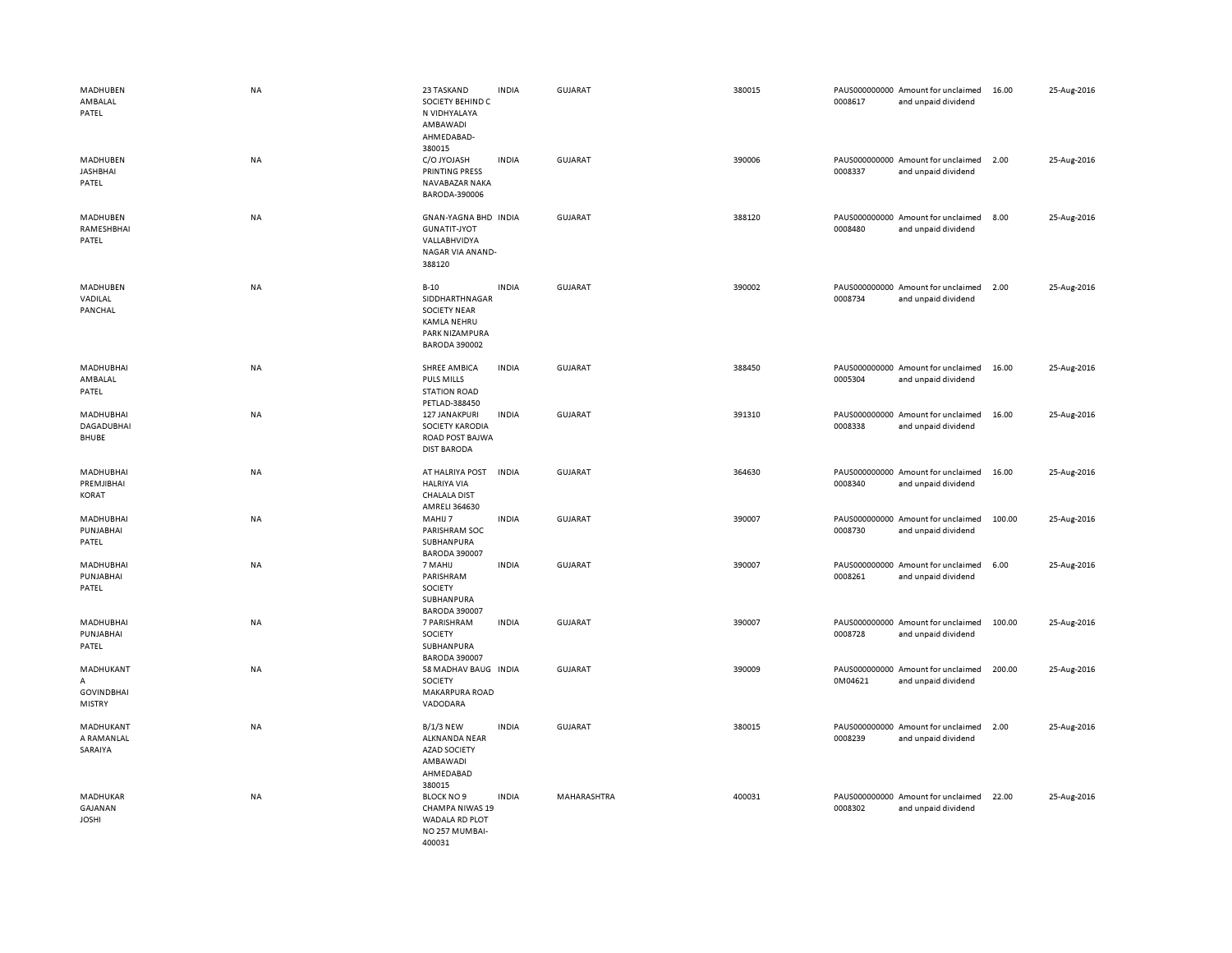| MADHUBEN<br>AMBALAL<br>PATEL                         | <b>NA</b> | 23 TASKAND<br>SOCIETY BEHIND C<br>N VIDHYALAYA<br>AMBAWADI<br>AHMEDABAD-<br>380015                       | <b>INDIA</b> | GUJARAT        | 380015 | 0008617 | PAUS000000000 Amount for unclaimed<br>and unpaid dividend | 16.00  | 25-Aug-2016 |
|------------------------------------------------------|-----------|----------------------------------------------------------------------------------------------------------|--------------|----------------|--------|---------|-----------------------------------------------------------|--------|-------------|
| MADHUBEN<br><b>JASHBHAI</b><br>PATEL                 | NA        | C/O JYOJASH<br>PRINTING PRESS<br>NAVABAZAR NAKA<br>BARODA-390006                                         | <b>INDIA</b> | GUJARAT        | 390006 | 0008337 | PAUS000000000 Amount for unclaimed<br>and unpaid dividend | 2.00   | 25-Aug-2016 |
| MADHUBEN<br>RAMESHBHAI<br>PATEL                      | <b>NA</b> | GNAN-YAGNA BHD INDIA<br><b>GUNATIT-JYOT</b><br>VALLABHVIDYA<br>NAGAR VIA ANAND-<br>388120                |              | <b>GUJARAT</b> | 388120 | 0008480 | PAUS000000000 Amount for unclaimed<br>and unpaid dividend | 8.00   | 25-Aug-2016 |
| MADHUBEN<br>VADILAL<br>PANCHAL                       | <b>NA</b> | $B-10$<br>SIDDHARTHNAGAR<br><b>SOCIETY NEAR</b><br>KAMLA NEHRU<br>PARK NIZAMPURA<br><b>BARODA 390002</b> | <b>INDIA</b> | <b>GUJARAT</b> | 390002 | 0008734 | PAUS000000000 Amount for unclaimed<br>and unpaid dividend | 2.00   | 25-Aug-2016 |
| MADHUBHAI<br>AMBALAL<br>PATEL                        | <b>NA</b> | SHREE AMBICA<br><b>PULS MILLS</b><br><b>STATION ROAD</b><br>PETLAD-388450                                | <b>INDIA</b> | GUJARAT        | 388450 | 0005304 | PAUS000000000 Amount for unclaimed<br>and unpaid dividend | 16.00  | 25-Aug-2016 |
| <b>MADHUBHAI</b><br>DAGADUBHAI<br>BHUBE              | <b>NA</b> | 127 JANAKPURI<br>SOCIETY KARODIA<br>ROAD POST BAJWA<br><b>DIST BARODA</b>                                | <b>INDIA</b> | <b>GUJARAT</b> | 391310 | 0008338 | PAUS000000000 Amount for unclaimed<br>and unpaid dividend | 16.00  | 25-Aug-2016 |
| MADHUBHAI<br>PREMJIBHAI<br>KORAT                     | <b>NA</b> | AT HALRIYA POST<br><b>HALRIYA VIA</b><br><b>CHALALA DIST</b><br>AMRELI 364630                            | <b>INDIA</b> | GUJARAT        | 364630 | 0008340 | PAUS000000000 Amount for unclaimed<br>and unpaid dividend | 16.00  | 25-Aug-2016 |
| MADHUBHAI<br>PUNJABHAI<br>PATEL                      | NA        | MAHIJ 7<br>PARISHRAM SOC<br>SUBHANPURA<br><b>BARODA 390007</b>                                           | <b>INDIA</b> | <b>GUJARAT</b> | 390007 | 0008730 | PAUS000000000 Amount for unclaimed<br>and unpaid dividend | 100.00 | 25-Aug-2016 |
| MADHUBHAI<br>PUNJABHAI<br>PATEL                      | NA        | 7 MAHIJ<br>PARISHRAM<br>SOCIETY<br>SUBHANPURA<br><b>BARODA 390007</b>                                    | <b>INDIA</b> | <b>GUJARAT</b> | 390007 | 0008261 | PAUS000000000 Amount for unclaimed<br>and unpaid dividend | 6.00   | 25-Aug-2016 |
| MADHUBHAI<br>PUNJABHAI<br>PATEL                      | NA        | 7 PARISHRAM<br>SOCIETY<br>SUBHANPURA<br><b>BARODA 390007</b>                                             | <b>INDIA</b> | <b>GUJARAT</b> | 390007 | 0008728 | PAUS000000000 Amount for unclaimed<br>and unpaid dividend | 100.00 | 25-Aug-2016 |
| MADHUKANT<br>A<br><b>GOVINDBHAI</b><br><b>MISTRY</b> | NA        | 58 MADHAV BAUG INDIA<br>SOCIETY<br>MAKARPURA ROAD<br>VADODARA                                            |              | <b>GUJARAT</b> | 390009 | 0M04621 | PAUS000000000 Amount for unclaimed<br>and unpaid dividend | 200.00 | 25-Aug-2016 |
| MADHUKANT<br>A RAMANLAL<br>SARAIYA                   | <b>NA</b> | <b>B/1/3 NEW</b><br><b>ALKNANDA NEAR</b><br><b>AZAD SOCIETY</b><br>AMBAWADI<br>AHMEDABAD<br>380015       | <b>INDIA</b> | GUJARAT        | 380015 | 0008239 | PAUS000000000 Amount for unclaimed<br>and unpaid dividend | 2.00   | 25-Aug-2016 |
| MADHUKAR<br><b>GAJANAN</b><br><b>JOSHI</b>           | NA        | <b>BLOCK NO 9</b><br><b>CHAMPA NIWAS 19</b><br>WADALA RD PLOT<br>NO 257 MUMBAI-<br>400031                | <b>INDIA</b> | MAHARASHTRA    | 400031 | 0008302 | PAUS000000000 Amount for unclaimed<br>and unpaid dividend | 22.00  | 25-Aug-2016 |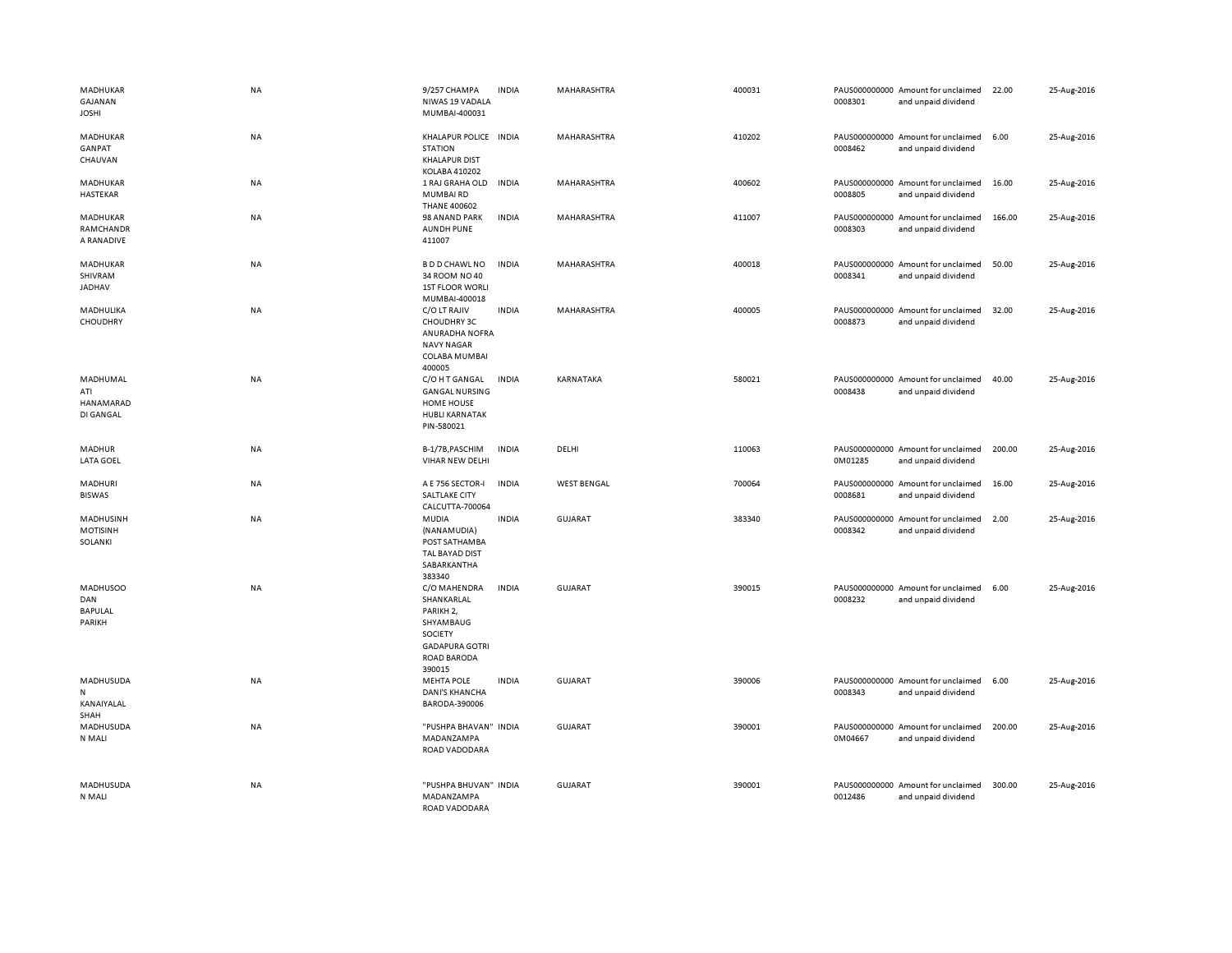| MADHUKAR<br>GAJANAN<br><b>JOSHI</b>         | <b>NA</b> | 9/257 CHAMPA<br>NIWAS 19 VADALA<br>MUMBAI-400031                                                                              | <b>INDIA</b> | MAHARASHTRA        | 400031 | 0008301 | PAUS000000000 Amount for unclaimed<br>and unpaid dividend | 22.00  | 25-Aug-2016 |
|---------------------------------------------|-----------|-------------------------------------------------------------------------------------------------------------------------------|--------------|--------------------|--------|---------|-----------------------------------------------------------|--------|-------------|
| MADHUKAR<br>GANPAT<br>CHAUVAN               | NA        | KHALAPUR POLICE INDIA<br><b>STATION</b><br><b>KHALAPUR DIST</b><br>KOLABA 410202                                              |              | MAHARASHTRA        | 410202 | 0008462 | PAUS000000000 Amount for unclaimed<br>and unpaid dividend | 6.00   | 25-Aug-2016 |
| MADHUKAR<br>HASTEKAR                        | NA        | 1 RAJ GRAHA OLD<br><b>MUMBAIRD</b><br><b>THANE 400602</b>                                                                     | <b>INDIA</b> | MAHARASHTRA        | 400602 | 0008805 | PAUS000000000 Amount for unclaimed<br>and unpaid dividend | 16.00  | 25-Aug-2016 |
| MADHUKAR<br>RAMCHANDR<br>A RANADIVE         | <b>NA</b> | 98 ANAND PARK<br><b>AUNDH PUNE</b><br>411007                                                                                  | <b>INDIA</b> | MAHARASHTRA        | 411007 | 0008303 | PAUS000000000 Amount for unclaimed<br>and unpaid dividend | 166.00 | 25-Aug-2016 |
| MADHUKAR<br>SHIVRAM<br>JADHAV               | NA        | <b>BDD CHAWL NO</b><br>34 ROOM NO 40<br><b>1ST FLOOR WORLI</b><br>MUMBAI-400018                                               | <b>INDIA</b> | MAHARASHTRA        | 400018 | 0008341 | PAUS000000000 Amount for unclaimed<br>and unpaid dividend | 50.00  | 25-Aug-2016 |
| MADHULIKA<br>CHOUDHRY                       | NA        | C/O LT RAJIV<br>CHOUDHRY 3C<br><b>ANURADHA NOFRA</b><br><b>NAVY NAGAR</b><br>COLABA MUMBAI<br>400005                          | <b>INDIA</b> | MAHARASHTRA        | 400005 | 0008873 | PAUS000000000 Amount for unclaimed<br>and unpaid dividend | 32.00  | 25-Aug-2016 |
| MADHUMAL<br>ATI<br>HANAMARAD<br>DI GANGAL   | <b>NA</b> | C/O H T GANGAL<br><b>GANGAL NURSING</b><br><b>HOME HOUSE</b><br><b>HUBLI KARNATAK</b><br>PIN-580021                           | <b>INDIA</b> | <b>KARNATAKA</b>   | 580021 | 0008438 | PAUS000000000 Amount for unclaimed<br>and unpaid dividend | 40.00  | 25-Aug-2016 |
| MADHUR<br><b>LATA GOEL</b>                  | NA        | B-1/7B, PASCHIM<br>VIHAR NEW DELHI                                                                                            | <b>INDIA</b> | DELHI              | 110063 | 0M01285 | PAUS000000000 Amount for unclaimed<br>and unpaid dividend | 200.00 | 25-Aug-2016 |
| <b>MADHURI</b><br><b>BISWAS</b>             | NA        | A E 756 SECTOR-I<br>SALTLAKE CITY<br>CALCUTTA-700064                                                                          | <b>INDIA</b> | <b>WEST BENGAL</b> | 700064 | 0008681 | PAUS000000000 Amount for unclaimed<br>and unpaid dividend | 16.00  | 25-Aug-2016 |
| MADHUSINH<br><b>MOTISINH</b><br>SOLANKI     | NA        | MUDIA<br>(NANAMUDIA)<br>POST SATHAMBA<br>TAL BAYAD DIST<br>SABARKANTHA<br>383340                                              | <b>INDIA</b> | <b>GUJARAT</b>     | 383340 | 0008342 | PAUS000000000 Amount for unclaimed<br>and unpaid dividend | 2.00   | 25-Aug-2016 |
| <b>MADHUSOO</b><br>DAN<br>BAPULAL<br>PARIKH | NA        | C/O MAHENDRA<br>SHANKARLAL<br>PARIKH <sub>2</sub> ,<br>SHYAMBAUG<br>SOCIETY<br><b>GADAPURA GOTRI</b><br>ROAD BARODA<br>390015 | <b>INDIA</b> | GUJARAT            | 390015 | 0008232 | PAUS000000000 Amount for unclaimed<br>and unpaid dividend | 6.00   | 25-Aug-2016 |
| MADHUSUDA<br>N<br>KANAIYALAL<br>SHAH        | NA        | <b>MEHTA POLE</b><br><b>DANI'S KHANCHA</b><br>BARODA-390006                                                                   | <b>INDIA</b> | <b>GUJARAT</b>     | 390006 | 0008343 | PAUS000000000 Amount for unclaimed<br>and unpaid dividend | 6.00   | 25-Aug-2016 |
| MADHUSUDA<br>N MALI                         | <b>NA</b> | "PUSHPA BHAVAN" INDIA<br>MADANZAMPA<br>ROAD VADODARA                                                                          |              | GUJARAT            | 390001 | 0M04667 | PAUS000000000 Amount for unclaimed<br>and unpaid dividend | 200.00 | 25-Aug-2016 |
| MADHUSUDA<br>N MALI                         | NA        | "PUSHPA BHUVAN" INDIA<br>MADANZAMPA<br>ROAD VADODARA                                                                          |              | <b>GUJARAT</b>     | 390001 | 0012486 | PAUS000000000 Amount for unclaimed<br>and unpaid dividend | 300.00 | 25-Aug-2016 |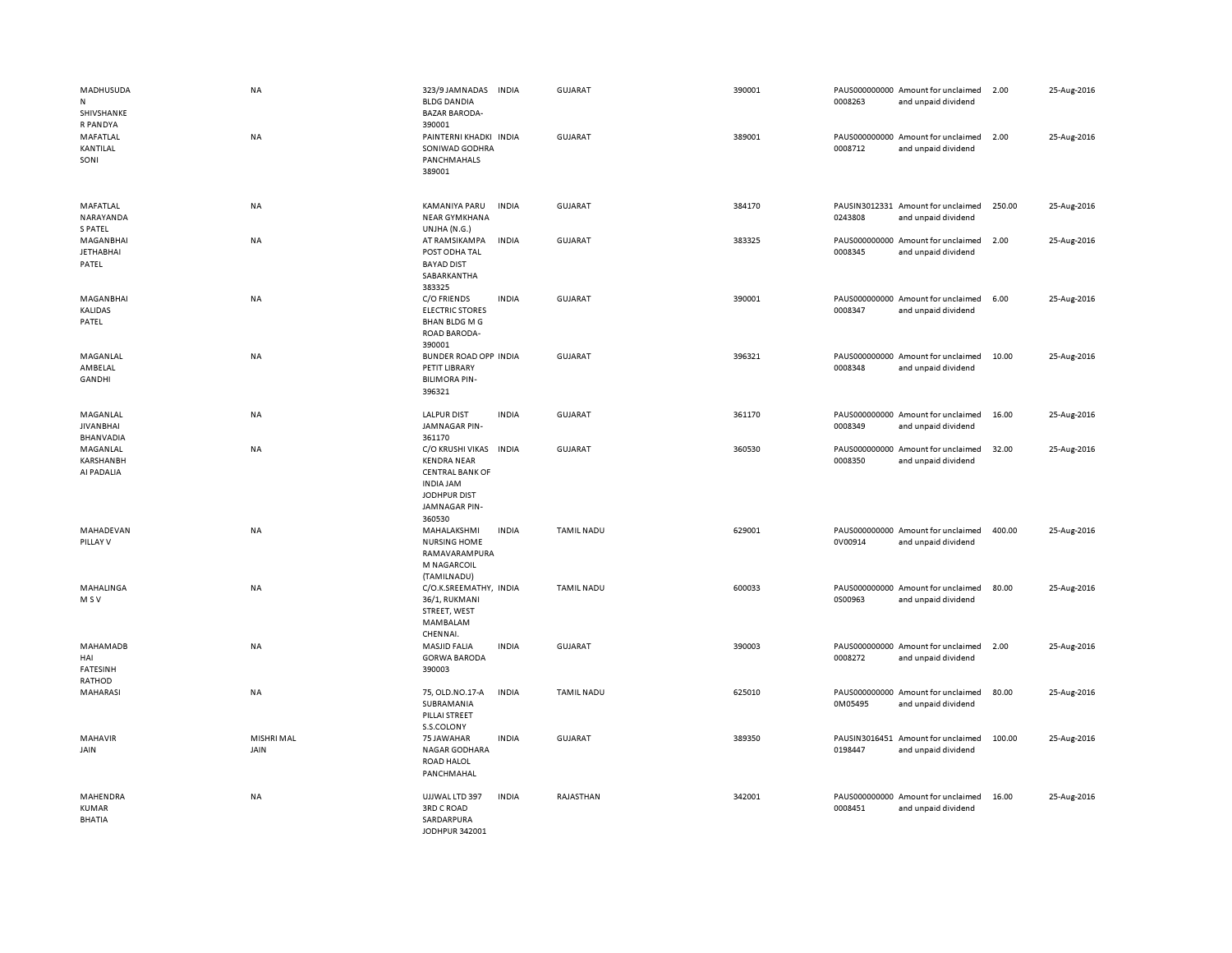| MADHUSUDA<br>N<br>SHIVSHANKE<br>R PANDYA         | NA                 | 323/9 JAMNADAS<br><b>BLDG DANDIA</b><br><b>BAZAR BARODA-</b><br>390001                                                   | <b>INDIA</b> | <b>GUJARAT</b>    | 390001 | 0008263 | PAUS000000000 Amount for unclaimed<br>and unpaid dividend | 2.00   | 25-Aug-2016 |
|--------------------------------------------------|--------------------|--------------------------------------------------------------------------------------------------------------------------|--------------|-------------------|--------|---------|-----------------------------------------------------------|--------|-------------|
| MAFATLAL<br>KANTILAL<br>SONI                     | NA                 | PAINTERNI KHADKI INDIA<br>SONIWAD GODHRA<br><b>PANCHMAHALS</b><br>389001                                                 |              | <b>GUJARAT</b>    | 389001 | 0008712 | PAUS000000000 Amount for unclaimed<br>and unpaid dividend | 2.00   | 25-Aug-2016 |
| MAFATLAL<br>NARAYANDA<br>S PATEL                 | NA                 | KAMANIYA PARU<br><b>NEAR GYMKHANA</b><br>UNJHA (N.G.)                                                                    | <b>INDIA</b> | <b>GUJARAT</b>    | 384170 | 0243808 | PAUSIN3012331 Amount for unclaimed<br>and unpaid dividend | 250.00 | 25-Aug-2016 |
| MAGANBHAI<br><b>JETHABHAI</b><br>PATEL           | <b>NA</b>          | AT RAMSIKAMPA<br>POST ODHA TAL<br><b>BAYAD DIST</b><br>SABARKANTHA<br>383325                                             | <b>INDIA</b> | <b>GUJARAT</b>    | 383325 | 0008345 | PAUS000000000 Amount for unclaimed<br>and unpaid dividend | 2.00   | 25-Aug-2016 |
| <b>MAGANBHAI</b><br>KALIDAS<br>PATEL             | <b>NA</b>          | C/O FRIENDS<br><b>ELECTRIC STORES</b><br><b>BHAN BLDG M G</b><br>ROAD BARODA-<br>390001                                  | <b>INDIA</b> | <b>GUJARAT</b>    | 390001 | 0008347 | PAUS000000000 Amount for unclaimed<br>and unpaid dividend | 6.00   | 25-Aug-2016 |
| MAGANLAL<br>AMBELAL<br>GANDHI                    | NA                 | BUNDER ROAD OPP INDIA<br>PETIT LIBRARY<br><b>BILIMORA PIN-</b><br>396321                                                 |              | <b>GUJARAT</b>    | 396321 | 0008348 | PAUS000000000 Amount for unclaimed<br>and unpaid dividend | 10.00  | 25-Aug-2016 |
| MAGANLAL<br><b>JIVANBHAI</b><br><b>BHANVADIA</b> | <b>NA</b>          | <b>LALPUR DIST</b><br>JAMNAGAR PIN-<br>361170                                                                            | <b>INDIA</b> | GUJARAT           | 361170 | 0008349 | PAUS000000000 Amount for unclaimed<br>and unpaid dividend | 16.00  | 25-Aug-2016 |
| MAGANLAL<br>KARSHANBH<br>AI PADALIA              | <b>NA</b>          | C/O KRUSHI VIKAS<br><b>KENDRA NEAR</b><br><b>CENTRAL BANK OF</b><br>INDIA JAM<br>JODHPUR DIST<br>JAMNAGAR PIN-<br>360530 | <b>INDIA</b> | <b>GUJARAT</b>    | 360530 | 0008350 | PAUS000000000 Amount for unclaimed<br>and unpaid dividend | 32.00  | 25-Aug-2016 |
| MAHADEVAN<br>PILLAY V                            | NA                 | MAHALAKSHMI<br><b>NURSING HOME</b><br>RAMAVARAMPURA<br>M NAGARCOIL<br>(TAMILNADU)                                        | <b>INDIA</b> | <b>TAMIL NADU</b> | 629001 | 0V00914 | PAUS000000000 Amount for unclaimed<br>and unpaid dividend | 400.00 | 25-Aug-2016 |
| MAHALINGA<br>M S V                               | NA                 | C/O.K.SREEMATHY, INDIA<br>36/1, RUKMANI<br>STREET, WEST<br>MAMBALAM<br>CHENNAI.                                          |              | <b>TAMIL NADU</b> | 600033 | 0S00963 | PAUS000000000 Amount for unclaimed<br>and unpaid dividend | 80.00  | 25-Aug-2016 |
| MAHAMADB<br>HAI<br><b>FATESINH</b><br>RATHOD     | ΝA                 | <b>MASJID FALIA</b><br><b>GORWA BARODA</b><br>390003                                                                     | <b>INDIA</b> | <b>GUJARAT</b>    | 390003 | 0008272 | PAUS000000000 Amount for unclaimed<br>and unpaid dividend | 2.00   | 25-Aug-2016 |
| MAHARASI                                         | <b>NA</b>          | 75, OLD.NO.17-A<br>SUBRAMANIA<br>PILLAI STREET<br>S.S.COLONY                                                             | <b>INDIA</b> | <b>TAMIL NADU</b> | 625010 | 0M05495 | PAUS000000000 Amount for unclaimed<br>and unpaid dividend | 80.00  | 25-Aug-2016 |
| <b>MAHAVIR</b><br>JAIN                           | MISHRI MAL<br>JAIN | 75 JAWAHAR<br>NAGAR GODHARA<br><b>ROAD HALOL</b><br>PANCHMAHAL                                                           | <b>INDIA</b> | <b>GUJARAT</b>    | 389350 | 0198447 | PAUSIN3016451 Amount for unclaimed<br>and unpaid dividend | 100.00 | 25-Aug-2016 |
| MAHENDRA<br><b>KUMAR</b><br><b>BHATIA</b>        | NA                 | UJJWAL LTD 397<br><b>3RD C ROAD</b><br>SARDARPURA<br>JODHPUR 342001                                                      | <b>INDIA</b> | RAJASTHAN         | 342001 | 0008451 | PAUS000000000 Amount for unclaimed<br>and unpaid dividend | 16.00  | 25-Aug-2016 |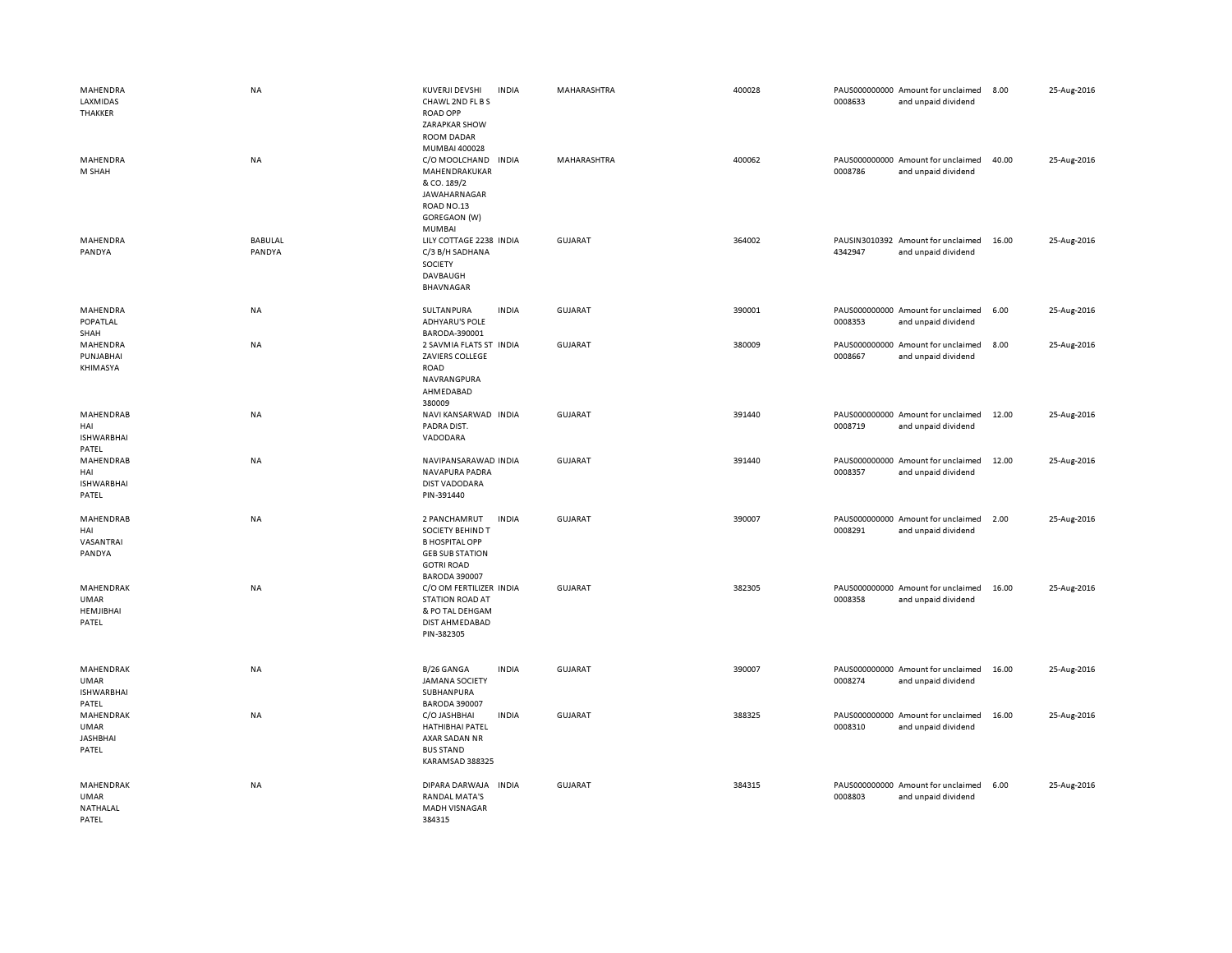| MAHENDRA<br>LAXMIDAS<br>THAKKER                        | <b>NA</b>                | KUVERJI DEVSHI<br><b>INDIA</b><br>CHAWL 2ND FL B S<br><b>ROAD OPP</b><br>ZARAPKAR SHOW<br><b>ROOM DADAR</b>                                      | MAHARASHTRA    | 400028 | PAUS000000000 Amount for unclaimed<br>0008633<br>and unpaid dividend | 8.00  | 25-Aug-2016 |
|--------------------------------------------------------|--------------------------|--------------------------------------------------------------------------------------------------------------------------------------------------|----------------|--------|----------------------------------------------------------------------|-------|-------------|
| MAHENDRA<br>M SHAH                                     | NA                       | MUMBAI 400028<br>C/O MOOLCHAND<br><b>INDIA</b><br>MAHENDRAKUKAR<br>& CO. 189/2<br>JAWAHARNAGAR<br>ROAD NO.13<br>GOREGAON (W)<br>MUMBAI           | MAHARASHTRA    | 400062 | PAUS000000000 Amount for unclaimed<br>0008786<br>and unpaid dividend | 40.00 | 25-Aug-2016 |
| MAHENDRA<br>PANDYA                                     | <b>BABULAL</b><br>PANDYA | LILY COTTAGE 2238 INDIA<br>C/3 B/H SADHANA<br>SOCIETY<br>DAVBAUGH<br>BHAVNAGAR                                                                   | <b>GUJARAT</b> | 364002 | PAUSIN3010392 Amount for unclaimed<br>4342947<br>and unpaid dividend | 16.00 | 25-Aug-2016 |
| MAHENDRA<br><b>POPATLAL</b><br>SHAH                    | NA                       | SULTANPURA<br><b>INDIA</b><br><b>ADHYARU'S POLE</b><br>BARODA-390001                                                                             | <b>GUJARAT</b> | 390001 | PAUS000000000 Amount for unclaimed<br>0008353<br>and unpaid dividend | 6.00  | 25-Aug-2016 |
| MAHENDRA<br>PUNJABHAI<br>KHIMASYA                      | NA                       | 2 SAVMIA FLATS ST INDIA<br>ZAVIERS COLLEGE<br><b>ROAD</b><br>NAVRANGPURA<br>AHMEDABAD<br>380009                                                  | <b>GUJARAT</b> | 380009 | PAUS000000000 Amount for unclaimed<br>0008667<br>and unpaid dividend | 8.00  | 25-Aug-2016 |
| MAHENDRAB<br>HAI<br><b>ISHWARBHAI</b><br>PATEL         | NA                       | NAVI KANSARWAD INDIA<br>PADRA DIST.<br>VADODARA                                                                                                  | <b>GUJARAT</b> | 391440 | PAUS000000000 Amount for unclaimed<br>0008719<br>and unpaid dividend | 12.00 | 25-Aug-2016 |
| MAHENDRAB<br>HAI<br><b>ISHWARBHAI</b><br>PATEL         | <b>NA</b>                | NAVIPANSARAWAD INDIA<br>NAVAPURA PADRA<br><b>DIST VADODARA</b><br>PIN-391440                                                                     | GUJARAT        | 391440 | PAUS000000000 Amount for unclaimed<br>0008357<br>and unpaid dividend | 12.00 | 25-Aug-2016 |
| MAHENDRAB<br>HAI<br>VASANTRAI<br>PANDYA                | NA                       | 2 PANCHAMRUT<br><b>INDIA</b><br>SOCIETY BEHIND T<br><b>B HOSPITAL OPP</b><br><b>GEB SUB STATION</b><br><b>GOTRI ROAD</b><br><b>BARODA 390007</b> | <b>GUJARAT</b> | 390007 | PAUS000000000 Amount for unclaimed<br>0008291<br>and unpaid dividend | 2.00  | 25-Aug-2016 |
| MAHENDRAK<br><b>UMAR</b><br>HEMJIBHAI<br>PATEL         | NA                       | C/O OM FERTILIZER INDIA<br><b>STATION ROAD AT</b><br>& PO TAL DEHGAM<br>DIST AHMEDABAD<br>PIN-382305                                             | GUJARAT        | 382305 | PAUS000000000 Amount for unclaimed<br>0008358<br>and unpaid dividend | 16.00 | 25-Aug-2016 |
| MAHENDRAK<br><b>UMAR</b><br><b>ISHWARBHAI</b><br>PATEL | NA                       | B/26 GANGA<br><b>INDIA</b><br><b>JAMANA SOCIETY</b><br>SUBHANPURA<br><b>BARODA 390007</b>                                                        | <b>GUJARAT</b> | 390007 | PAUS000000000 Amount for unclaimed<br>0008274<br>and unpaid dividend | 16.00 | 25-Aug-2016 |
| MAHENDRAK<br><b>UMAR</b><br><b>JASHBHAI</b><br>PATEL   | NA                       | C/O JASHBHAI<br><b>INDIA</b><br><b>HATHIBHAI PATEL</b><br>AXAR SADAN NR<br><b>BUS STAND</b><br>KARAMSAD 388325                                   | <b>GUJARAT</b> | 388325 | PAUS000000000 Amount for unclaimed<br>0008310<br>and unpaid dividend | 16.00 | 25-Aug-2016 |
| MAHENDRAK<br><b>UMAR</b><br>NATHALAL<br>PATEL          | NA                       | DIPARA DARWAJA<br><b>INDIA</b><br><b>RANDAL MATA'S</b><br>MADH VISNAGAR<br>384315                                                                | <b>GUJARAT</b> | 384315 | PAUS000000000 Amount for unclaimed<br>0008803<br>and unpaid dividend | 6.00  | 25-Aug-2016 |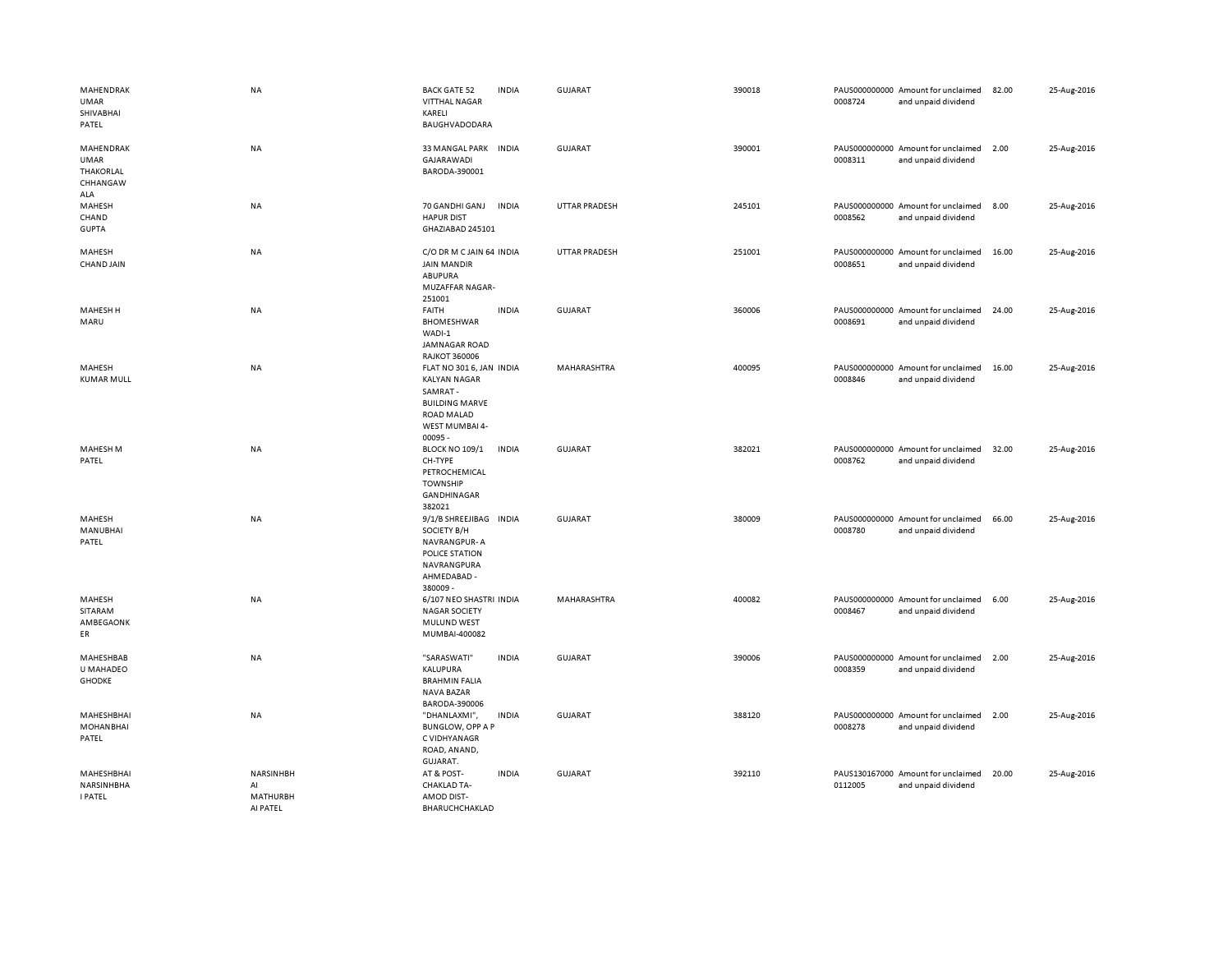| MAHENDRAK<br>UMAR<br>SHIVABHAI<br>PATEL                  | NA                                      | <b>BACK GATE 52</b><br><b>INDIA</b><br><b>VITTHAL NAGAR</b><br>KARELI<br>BAUGHVADODARA                                                | <b>GUJARAT</b>       | 390018 | 0008724 | PAUS000000000 Amount for unclaimed<br>and unpaid dividend | 82.00 | 25-Aug-2016 |
|----------------------------------------------------------|-----------------------------------------|---------------------------------------------------------------------------------------------------------------------------------------|----------------------|--------|---------|-----------------------------------------------------------|-------|-------------|
| MAHENDRAK<br><b>UMAR</b><br>THAKORLAL<br>CHHANGAW<br>ALA | <b>NA</b>                               | 33 MANGAL PARK INDIA<br>GAJARAWADI<br>BARODA-390001                                                                                   | <b>GUJARAT</b>       | 390001 | 0008311 | PAUS000000000 Amount for unclaimed<br>and unpaid dividend | 2.00  | 25-Aug-2016 |
| MAHESH<br>CHAND<br><b>GUPTA</b>                          | <b>NA</b>                               | 70 GANDHI GANJ<br><b>INDIA</b><br><b>HAPUR DIST</b><br>GHAZIABAD 245101                                                               | <b>UTTAR PRADESH</b> | 245101 | 0008562 | PAUS000000000 Amount for unclaimed<br>and unpaid dividend | 8.00  | 25-Aug-2016 |
| MAHESH<br><b>CHAND JAIN</b>                              | <b>NA</b>                               | C/O DR M C JAIN 64 INDIA<br><b>JAIN MANDIR</b><br>ABUPURA<br>MUZAFFAR NAGAR-<br>251001                                                | <b>UTTAR PRADESH</b> | 251001 | 0008651 | PAUS000000000 Amount for unclaimed<br>and unpaid dividend | 16.00 | 25-Aug-2016 |
| MAHESH H<br>MARU                                         | NA                                      | <b>INDIA</b><br>FAITH<br><b>BHOMESHWAR</b><br>WADI-1<br>JAMNAGAR ROAD<br><b>RAJKOT 360006</b>                                         | <b>GUJARAT</b>       | 360006 | 0008691 | PAUS000000000 Amount for unclaimed<br>and unpaid dividend | 24.00 | 25-Aug-2016 |
| MAHESH<br><b>KUMAR MULL</b>                              | <b>NA</b>                               | FLAT NO 301 6, JAN INDIA<br><b>KALYAN NAGAR</b><br>SAMRAT-<br><b>BUILDING MARVE</b><br><b>ROAD MALAD</b><br>WEST MUMBAI 4-<br>00095 - | MAHARASHTRA          | 400095 | 0008846 | PAUS000000000 Amount for unclaimed<br>and unpaid dividend | 16.00 | 25-Aug-2016 |
| MAHESH M<br>PATEL                                        | NA                                      | <b>BLOCK NO 109/1</b><br><b>INDIA</b><br>CH-TYPE<br>PETROCHEMICAL<br><b>TOWNSHIP</b><br>GANDHINAGAR<br>382021                         | GUJARAT              | 382021 | 0008762 | PAUS000000000 Amount for unclaimed<br>and unpaid dividend | 32.00 | 25-Aug-2016 |
| MAHESH<br>MANUBHAI<br>PATEL                              | <b>NA</b>                               | 9/1/B SHREEJIBAG INDIA<br>SOCIETY B/H<br>NAVRANGPUR-A<br>POLICE STATION<br>NAVRANGPURA<br>AHMEDABAD -<br>380009-                      | GUJARAT              | 380009 | 0008780 | PAUS000000000 Amount for unclaimed<br>and unpaid dividend | 66.00 | 25-Aug-2016 |
| MAHESH<br>SITARAM<br>AMBEGAONK<br>ER                     | <b>NA</b>                               | 6/107 NEO SHASTRI INDIA<br><b>NAGAR SOCIETY</b><br>MULUND WEST<br>MUMBAI-400082                                                       | MAHARASHTRA          | 400082 | 0008467 | PAUS000000000 Amount for unclaimed<br>and unpaid dividend | 6.00  | 25-Aug-2016 |
| MAHESHBAB<br>U MAHADEO<br><b>GHODKE</b>                  | <b>NA</b>                               | "SARASWATI"<br><b>INDIA</b><br>KALUPURA<br><b>BRAHMIN FALIA</b><br>NAVA BAZAR<br>BARODA-390006                                        | <b>GUJARAT</b>       | 390006 | 0008359 | PAUS000000000 Amount for unclaimed<br>and unpaid dividend | 2.00  | 25-Aug-2016 |
| MAHESHBHAI<br><b>MOHANBHAI</b><br>PATEL                  | NA                                      | <b>INDIA</b><br>"DHANLAXMI",<br><b>BUNGLOW, OPP A P</b><br>C VIDHYANAGR<br>ROAD, ANAND,<br>GUJARAT.                                   | <b>GUJARAT</b>       | 388120 | 0008278 | PAUS000000000 Amount for unclaimed<br>and unpaid dividend | 2.00  | 25-Aug-2016 |
| MAHESHBHAI<br>NARSINHBHA<br><b>I PATEL</b>               | NARSINHBH<br>AI<br>MATHURBH<br>AI PATEL | AT & POST-<br><b>INDIA</b><br><b>CHAKLAD TA-</b><br>AMOD DIST-<br>BHARUCHCHAKLAD                                                      | <b>GUJARAT</b>       | 392110 | 0112005 | PAUS130167000 Amount for unclaimed<br>and unpaid dividend | 20.00 | 25-Aug-2016 |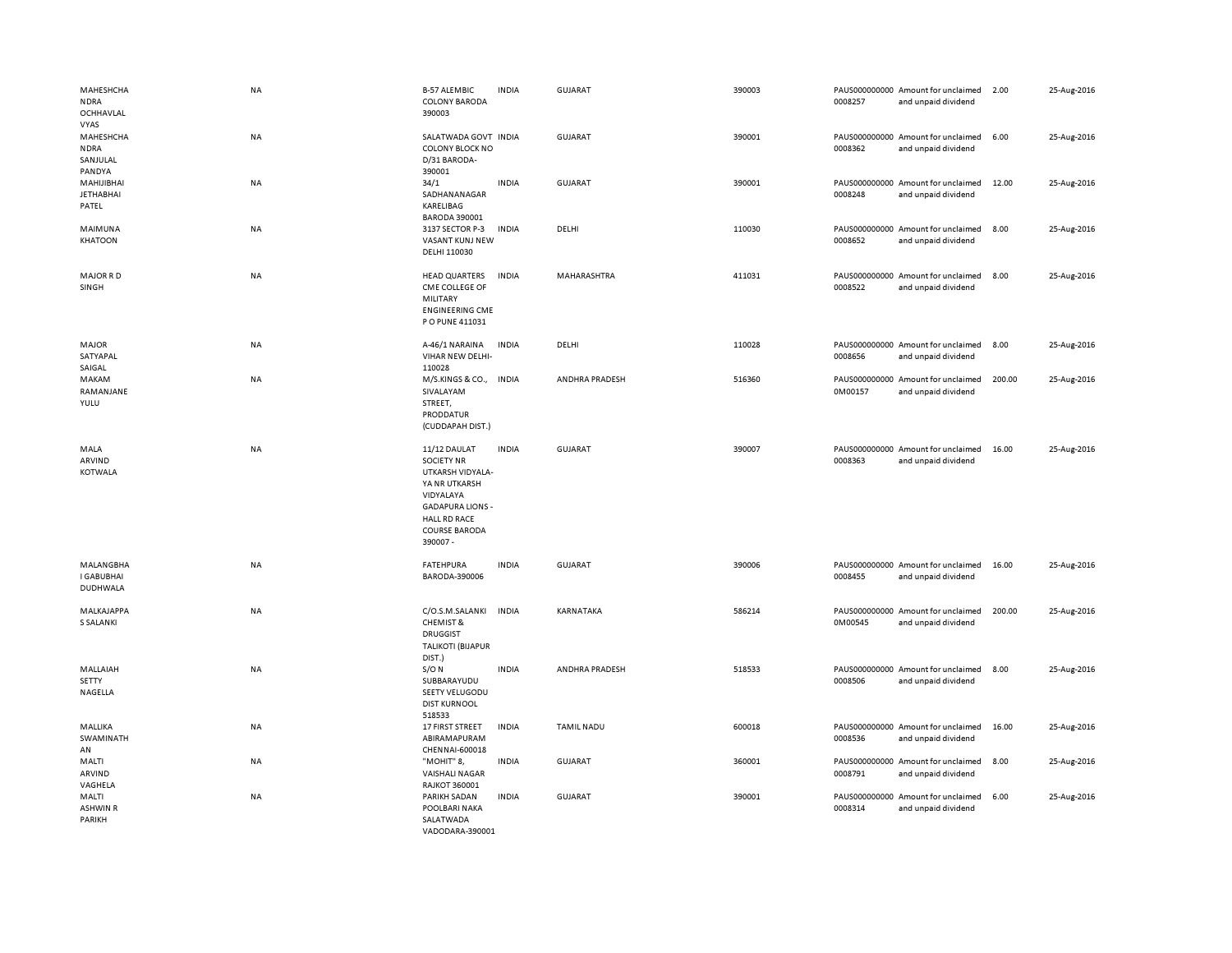| MAHESHCHA<br><b>NDRA</b><br>OCHHAVLAL<br><b>VYAS</b> | <b>NA</b> | <b>B-57 ALEMBIC</b><br><b>COLONY BARODA</b><br>390003                                                                                                                     | <b>INDIA</b> | GUJARAT           | 390003 | 0008257 | PAUS000000000 Amount for unclaimed<br>and unpaid dividend | 2.00   | 25-Aug-2016 |
|------------------------------------------------------|-----------|---------------------------------------------------------------------------------------------------------------------------------------------------------------------------|--------------|-------------------|--------|---------|-----------------------------------------------------------|--------|-------------|
| MAHESHCHA<br><b>NDRA</b><br>SANJULAL<br>PANDYA       | NA        | SALATWADA GOVT INDIA<br><b>COLONY BLOCK NO</b><br>D/31 BARODA-<br>390001                                                                                                  |              | GUJARAT           | 390001 | 0008362 | PAUS000000000 Amount for unclaimed<br>and unpaid dividend | 6.00   | 25-Aug-2016 |
| MAHIJIBHAI<br><b>JETHABHAI</b><br>PATEL              | <b>NA</b> | 34/1<br>SADHANANAGAR<br>KARELIBAG<br><b>BARODA 390001</b>                                                                                                                 | <b>INDIA</b> | <b>GUJARAT</b>    | 390001 | 0008248 | PAUS000000000 Amount for unclaimed<br>and unpaid dividend | 12.00  | 25-Aug-2016 |
| MAIMUNA<br>KHATOON                                   | <b>NA</b> | 3137 SECTOR P-3<br>VASANT KUNJ NEW<br>DELHI 110030                                                                                                                        | <b>INDIA</b> | DELHI             | 110030 | 0008652 | PAUS000000000 Amount for unclaimed<br>and unpaid dividend | 8.00   | 25-Aug-2016 |
| <b>MAJOR RD</b><br>SINGH                             | <b>NA</b> | <b>HEAD QUARTERS</b><br>CME COLLEGE OF<br>MILITARY<br><b>ENGINEERING CME</b><br>P O PUNE 411031                                                                           | <b>INDIA</b> | MAHARASHTRA       | 411031 | 0008522 | PAUS000000000 Amount for unclaimed<br>and unpaid dividend | 8.00   | 25-Aug-2016 |
| MAJOR<br>SATYAPAL<br>SAIGAL                          | NA        | A-46/1 NARAINA<br>VIHAR NEW DELHI-<br>110028                                                                                                                              | <b>INDIA</b> | DELHI             | 110028 | 0008656 | PAUS000000000 Amount for unclaimed<br>and unpaid dividend | 8.00   | 25-Aug-2016 |
| MAKAM<br>RAMANJANE<br>YULU                           | <b>NA</b> | M/S.KINGS & CO., INDIA<br>SIVALAYAM<br>STREET,<br>PRODDATUR<br>(CUDDAPAH DIST.)                                                                                           |              | ANDHRA PRADESH    | 516360 | 0M00157 | PAUS000000000 Amount for unclaimed<br>and unpaid dividend | 200.00 | 25-Aug-2016 |
| MALA<br>ARVIND<br><b>KOTWALA</b>                     | NA        | 11/12 DAULAT<br><b>SOCIETY NR</b><br>UTKARSH VIDYALA-<br>YA NR UTKARSH<br>VIDYALAYA<br><b>GADAPURA LIONS -</b><br><b>HALL RD RACE</b><br><b>COURSE BARODA</b><br>390007 - | <b>INDIA</b> | <b>GUJARAT</b>    | 390007 | 0008363 | PAUS000000000 Amount for unclaimed<br>and unpaid dividend | 16.00  | 25-Aug-2016 |
| MALANGBHA<br><b>I GABUBHAI</b><br>DUDHWALA           | NA        | <b>FATEHPURA</b><br>BARODA-390006                                                                                                                                         | <b>INDIA</b> | <b>GUJARAT</b>    | 390006 | 0008455 | PAUS000000000 Amount for unclaimed<br>and unpaid dividend | 16.00  | 25-Aug-2016 |
| MALKAJAPPA<br>S SALANKI                              | NA        | C/O.S.M.SALANKI<br><b>CHEMIST &amp;</b><br><b>DRUGGIST</b><br><b>TALIKOTI (BIJAPUR</b><br>DIST.)                                                                          | <b>INDIA</b> | KARNATAKA         | 586214 | 0M00545 | PAUS000000000 Amount for unclaimed<br>and unpaid dividend | 200.00 | 25-Aug-2016 |
| MALLAIAH<br><b>SETTY</b><br>NAGELLA                  | <b>NA</b> | $S/O$ N<br>SUBBARAYUDU<br>SEETY VELUGODU<br><b>DIST KURNOOL</b><br>518533                                                                                                 | <b>INDIA</b> | ANDHRA PRADESH    | 518533 | 0008506 | PAUS000000000 Amount for unclaimed<br>and unpaid dividend | 8.00   | 25-Aug-2016 |
| MALLIKA<br>SWAMINATH<br>AN                           | <b>NA</b> | 17 FIRST STREET<br>ABIRAMAPURAM<br>CHENNAI-600018                                                                                                                         | <b>INDIA</b> | <b>TAMIL NADU</b> | 600018 | 0008536 | PAUS000000000 Amount for unclaimed<br>and unpaid dividend | 16.00  | 25-Aug-2016 |
| MALTI<br>ARVIND<br>VAGHELA                           | <b>NA</b> | "MOHIT" 8,<br><b>VAISHALI NAGAR</b><br><b>RAJKOT 360001</b>                                                                                                               | <b>INDIA</b> | <b>GUJARAT</b>    | 360001 | 0008791 | PAUS000000000 Amount for unclaimed<br>and unpaid dividend | 8.00   | 25-Aug-2016 |
| MALTI<br><b>ASHWIN R</b><br>PARIKH                   | <b>NA</b> | <b>PARIKH SADAN</b><br>POOLBARI NAKA<br>SALATWADA<br>VADODARA-390001                                                                                                      | <b>INDIA</b> | <b>GUJARAT</b>    | 390001 | 0008314 | PAUS000000000 Amount for unclaimed<br>and unpaid dividend | 6.00   | 25-Aug-2016 |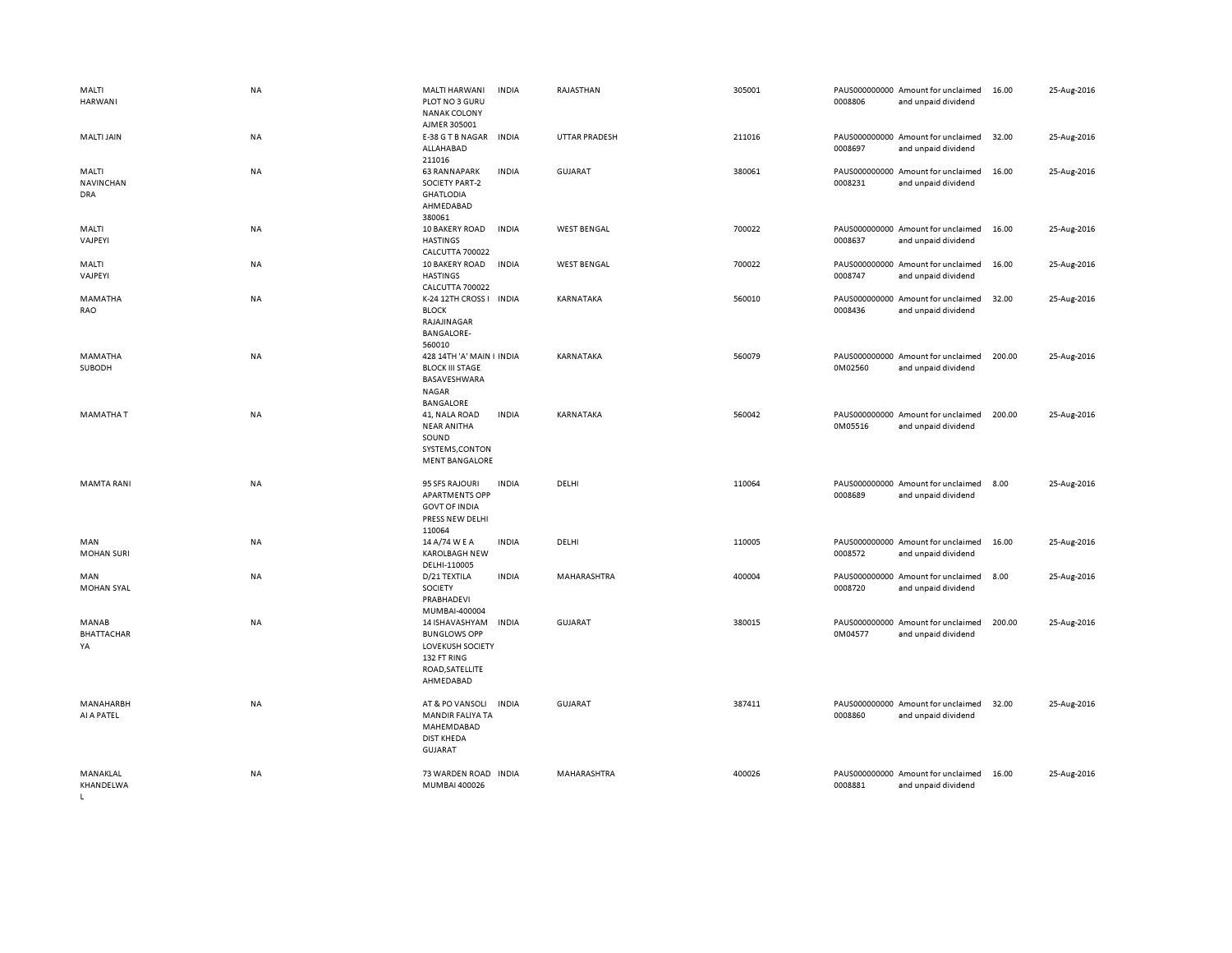| MALTI<br><b>HARWANI</b>                 | NA        | MALTI HARWANI<br>PLOT NO 3 GURU<br><b>NANAK COLONY</b><br>AJMER 305001                                          | <b>INDIA</b> | RAJASTHAN            | 305001 | 0008806                  | PAUS000000000 Amount for unclaimed<br>and unpaid dividend | 16.00  | 25-Aug-2016 |
|-----------------------------------------|-----------|-----------------------------------------------------------------------------------------------------------------|--------------|----------------------|--------|--------------------------|-----------------------------------------------------------|--------|-------------|
| MALTI JAIN                              | NA        | E-38 G T B NAGAR<br>ALLAHABAD<br>211016                                                                         | <b>INDIA</b> | <b>UTTAR PRADESH</b> | 211016 | 0008697                  | PAUS000000000 Amount for unclaimed<br>and unpaid dividend | 32.00  | 25-Aug-2016 |
| MALTI<br><b>NAVINCHAN</b><br><b>DRA</b> | NA        | <b>63 RANNAPARK</b><br><b>SOCIETY PART-2</b><br><b>GHATLODIA</b><br>AHMEDABAD<br>380061                         | <b>INDIA</b> | GUJARAT              | 380061 | 0008231                  | PAUS000000000 Amount for unclaimed<br>and unpaid dividend | 16.00  | 25-Aug-2016 |
| MALTI<br>VAJPEYI                        | ΝA        | 10 BAKERY ROAD<br><b>HASTINGS</b><br>CALCUTTA 700022                                                            | INDIA        | <b>WEST BENGAL</b>   | 700022 | 0008637                  | PAUS000000000 Amount for unclaimed<br>and unpaid dividend | 16.00  | 25-Aug-2016 |
| MALTI<br>VAJPEYI                        | NA        | 10 BAKERY ROAD<br><b>HASTINGS</b><br>CALCUTTA 700022                                                            | <b>INDIA</b> | <b>WEST BENGAL</b>   | 700022 | 0008747                  | PAUS000000000 Amount for unclaimed<br>and unpaid dividend | 16.00  | 25-Aug-2016 |
| MAMATHA<br>RAO                          | NA        | K-24 12TH CROSS I<br><b>BLOCK</b><br>RAJAJINAGAR<br><b>BANGALORE-</b><br>560010                                 | INDIA        | KARNATAKA            | 560010 | 0008436                  | PAUS000000000 Amount for unclaimed<br>and unpaid dividend | 32.00  | 25-Aug-2016 |
| MAMATHA<br>SUBODH                       | <b>NA</b> | 428 14TH 'A' MAIN I INDIA<br><b>BLOCK III STAGE</b><br>BASAVESHWARA<br><b>NAGAR</b><br>BANGALORE                |              | <b>KARNATAKA</b>     | 560079 | 0M02560                  | PAUS000000000 Amount for unclaimed<br>and unpaid dividend | 200.00 | 25-Aug-2016 |
| <b>MAMATHAT</b>                         | NA        | 41, NALA ROAD<br><b>NEAR ANITHA</b><br>SOUND<br>SYSTEMS, CONTON<br><b>MENT BANGALORE</b>                        | <b>INDIA</b> | KARNATAKA            | 560042 | 0M05516                  | PAUS000000000 Amount for unclaimed<br>and unpaid dividend | 200.00 | 25-Aug-2016 |
| <b>MAMTA RANI</b>                       | NA        | 95 SFS RAJOURI<br><b>APARTMENTS OPP</b><br><b>GOVT OF INDIA</b><br>PRESS NEW DELHI<br>110064                    | <b>INDIA</b> | DELHI                | 110064 | 0008689                  | PAUS000000000 Amount for unclaimed<br>and unpaid dividend | 8.00   | 25-Aug-2016 |
| MAN<br><b>MOHAN SURI</b>                | NA        | 14 A/74 W E A<br><b>KAROLBAGH NEW</b><br>DELHI-110005                                                           | <b>INDIA</b> | DELHI                | 110005 | 0008572                  | PAUS000000000 Amount for unclaimed<br>and unpaid dividend | 16.00  | 25-Aug-2016 |
| MAN<br><b>MOHAN SYAL</b>                | NA        | D/21 TEXTILA<br>SOCIETY<br>PRABHADEVI<br>MUMBAI-400004                                                          | <b>INDIA</b> | MAHARASHTRA          | 400004 | PAUS000000000<br>0008720 | Amount for unclaimed<br>and unpaid dividend               | 8.00   | 25-Aug-2016 |
| MANAB<br>BHATTACHAR<br>YA               | NA        | 14 ISHAVASHYAM<br><b>BUNGLOWS OPP</b><br><b>LOVEKUSH SOCIETY</b><br>132 FT RING<br>ROAD, SATELLITE<br>AHMEDABAD | <b>INDIA</b> | <b>GUJARAT</b>       | 380015 | 0M04577                  | PAUS000000000 Amount for unclaimed<br>and unpaid dividend | 200.00 | 25-Aug-2016 |
| <b>MANAHARBH</b><br>AI A PATEL          | <b>NA</b> | AT & PO VANSOLI<br>MANDIR FALIYA TA<br>MAHEMDABAD<br><b>DIST KHEDA</b><br><b>GUJARAT</b>                        | <b>INDIA</b> | <b>GUJARAT</b>       | 387411 | 0008860                  | PAUS000000000 Amount for unclaimed<br>and unpaid dividend | 32.00  | 25-Aug-2016 |
| MANAKLAL<br>KHANDELWA                   | <b>NA</b> | 73 WARDEN ROAD INDIA<br>MUMBAI 400026                                                                           |              | MAHARASHTRA          | 400026 | 0008881                  | PAUS000000000 Amount for unclaimed<br>and unpaid dividend | 16.00  | 25-Aug-2016 |

 $L$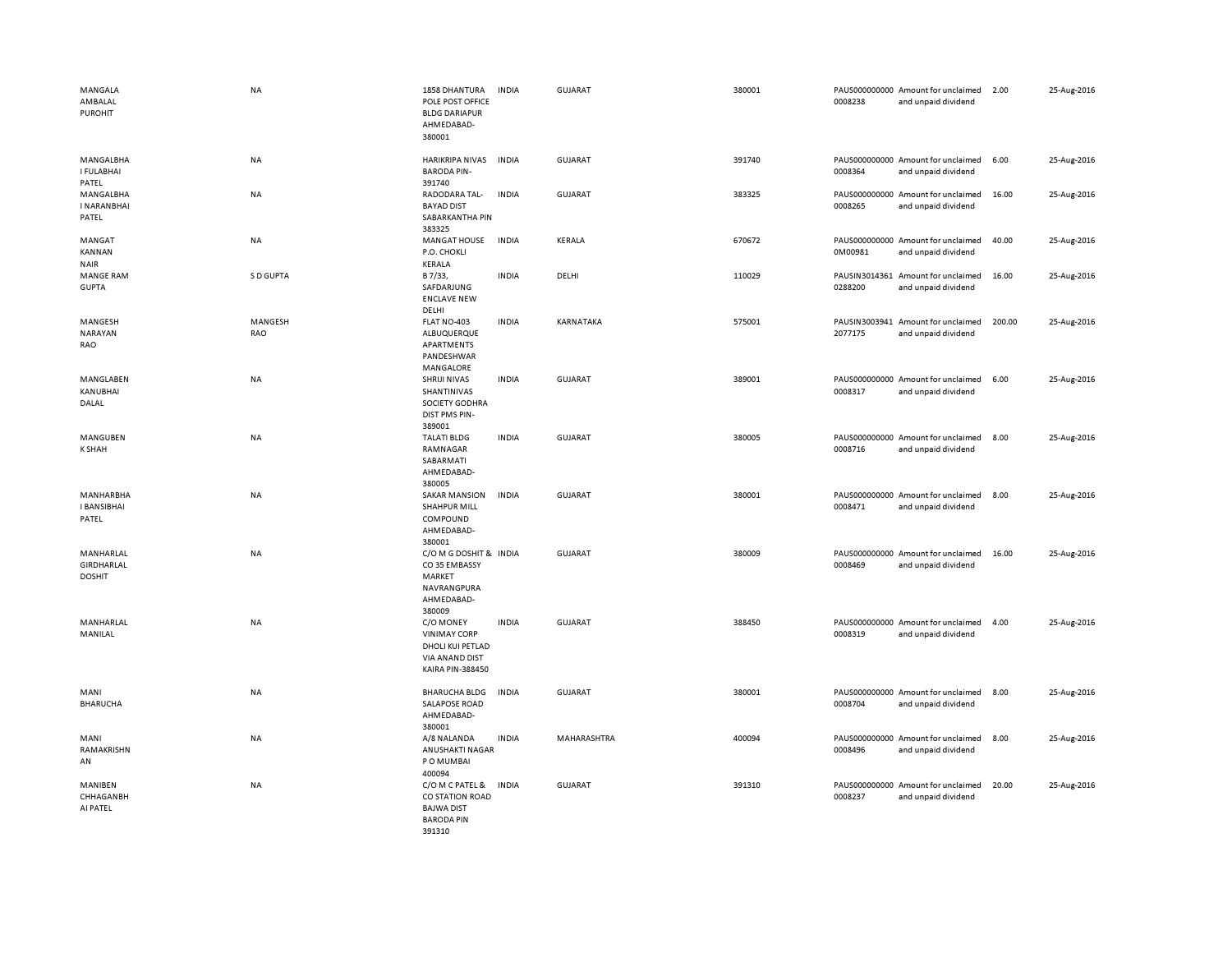| MANGALA<br>AMBALAL<br><b>PUROHIT</b>     | NA             | 1858 DHANTURA<br>POLE POST OFFICE<br><b>BLDG DARIAPUR</b><br>AHMEDABAD-<br>380001                        | <b>INDIA</b> | <b>GUJARAT</b> | 380001 | 0008238 | PAUS000000000 Amount for unclaimed<br>and unpaid dividend | 2.00   | 25-Aug-2016 |
|------------------------------------------|----------------|----------------------------------------------------------------------------------------------------------|--------------|----------------|--------|---------|-----------------------------------------------------------|--------|-------------|
| MANGALBHA<br><b>I FULABHAI</b><br>PATEL  | <b>NA</b>      | HARIKRIPA NIVAS<br><b>BARODA PIN-</b><br>391740                                                          | <b>INDIA</b> | GUJARAT        | 391740 | 0008364 | PAUS000000000 Amount for unclaimed<br>and unpaid dividend | 6.00   | 25-Aug-2016 |
| MANGALBHA<br><b>INARANBHAI</b><br>PATEL  | <b>NA</b>      | RADODARA TAL-<br><b>BAYAD DIST</b><br>SABARKANTHA PIN<br>383325                                          | <b>INDIA</b> | GUJARAT        | 383325 | 0008265 | PAUS000000000 Amount for unclaimed<br>and unpaid dividend | 16.00  | 25-Aug-2016 |
| MANGAT<br>KANNAN<br><b>NAIR</b>          | <b>NA</b>      | <b>MANGAT HOUSE</b><br>P.O. CHOKLI<br>KERALA                                                             | <b>INDIA</b> | KERALA         | 670672 | 0M00981 | PAUS000000000 Amount for unclaimed<br>and unpaid dividend | 40.00  | 25-Aug-2016 |
| <b>MANGE RAM</b><br><b>GUPTA</b>         | S D GUPTA      | B 7/33,<br>SAFDARJUNG<br><b>ENCLAVE NEW</b><br>DELHI                                                     | <b>INDIA</b> | DELHI          | 110029 | 0288200 | PAUSIN3014361 Amount for unclaimed<br>and unpaid dividend | 16.00  | 25-Aug-2016 |
| MANGESH<br>NARAYAN<br>RAO                | MANGESH<br>RAO | FLAT NO-403<br>ALBUQUERQUE<br>APARTMENTS<br>PANDESHWAR<br>MANGALORE                                      | <b>INDIA</b> | KARNATAKA      | 575001 | 2077175 | PAUSIN3003941 Amount for unclaimed<br>and unpaid dividend | 200.00 | 25-Aug-2016 |
| MANGLABEN<br>KANUBHAI<br>DALAL           | NA             | SHRIJI NIVAS<br>SHANTINIVAS<br>SOCIETY GODHRA<br><b>DIST PMS PIN-</b><br>389001                          | <b>INDIA</b> | GUJARAT        | 389001 | 0008317 | PAUS000000000 Amount for unclaimed<br>and unpaid dividend | 6.00   | 25-Aug-2016 |
| MANGUBEN<br><b>K SHAH</b>                | <b>NA</b>      | <b>TALATI BLDG</b><br>RAMNAGAR<br>SABARMATI<br>AHMEDABAD-<br>380005                                      | <b>INDIA</b> | GUJARAT        | 380005 | 0008716 | PAUS000000000 Amount for unclaimed<br>and unpaid dividend | 8.00   | 25-Aug-2016 |
| MANHARBHA<br><b>I BANSIBHAI</b><br>PATEL | NA             | <b>SAKAR MANSION</b><br><b>SHAHPUR MILL</b><br>COMPOUND<br>AHMEDABAD-<br>380001                          | <b>INDIA</b> | <b>GUJARAT</b> | 380001 | 0008471 | PAUS000000000 Amount for unclaimed<br>and unpaid dividend | 8.00   | 25-Aug-2016 |
| MANHARLAL<br>GIRDHARLAL<br><b>DOSHIT</b> | <b>NA</b>      | C/O M G DOSHIT & INDIA<br>CO35 EMBASSY<br>MARKET<br>NAVRANGPURA<br>AHMEDABAD-<br>380009                  |              | GUJARAT        | 380009 | 0008469 | PAUS000000000 Amount for unclaimed<br>and unpaid dividend | 16.00  | 25-Aug-2016 |
| MANHARLAL<br>MANILAL                     | <b>NA</b>      | C/O MONEY<br><b>VINIMAY CORP</b><br>DHOLI KUI PETLAD<br><b>VIA ANAND DIST</b><br><b>KAIRA PIN-388450</b> | <b>INDIA</b> | <b>GUJARAT</b> | 388450 | 0008319 | PAUS000000000 Amount for unclaimed<br>and unpaid dividend | 4.00   | 25-Aug-2016 |
| MANI<br><b>BHARUCHA</b>                  | NA             | <b>BHARUCHA BLDG</b><br><b>SALAPOSE ROAD</b><br>AHMEDABAD-<br>380001                                     | <b>INDIA</b> | <b>GUJARAT</b> | 380001 | 0008704 | PAUS000000000 Amount for unclaimed<br>and unpaid dividend | 8.00   | 25-Aug-2016 |
| MANI<br>RAMAKRISHN<br>AN                 | <b>NA</b>      | A/8 NALANDA<br>ANUSHAKTI NAGAR<br>PO MUMBAI<br>400094                                                    | <b>INDIA</b> | MAHARASHTRA    | 400094 | 0008496 | PAUS000000000 Amount for unclaimed<br>and unpaid dividend | 8.00   | 25-Aug-2016 |
| MANIBEN<br>CHHAGANBH<br>AI PATEL         | <b>NA</b>      | C/O M C PATEL &<br>CO STATION ROAD<br><b>BAJWA DIST</b><br><b>BARODA PIN</b><br>391310                   | <b>INDIA</b> | <b>GUJARAT</b> | 391310 | 0008237 | PAUS000000000 Amount for unclaimed<br>and unpaid dividend | 20.00  | 25-Aug-2016 |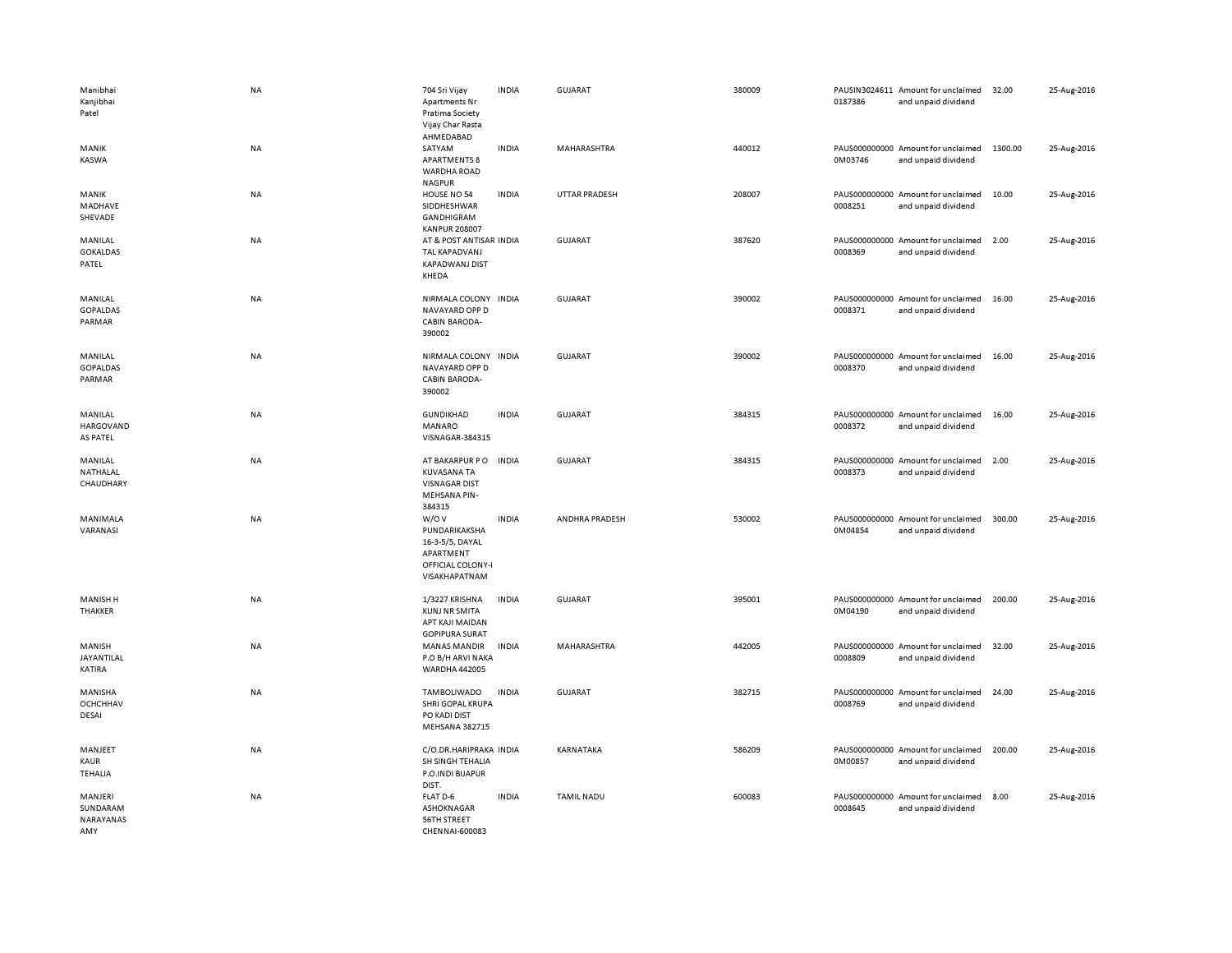| Manibhai<br>Kanjibhai<br>Patel          | NA        | 704 Sri Vijay<br>Apartments Nr<br>Pratima Society<br>Vijay Char Rasta<br>AHMEDABAD          | <b>INDIA</b> | <b>GUJARAT</b>       | 380009 | 0187386 | PAUSIN3024611 Amount for unclaimed<br>and unpaid dividend | 32.00   | 25-Aug-2016 |
|-----------------------------------------|-----------|---------------------------------------------------------------------------------------------|--------------|----------------------|--------|---------|-----------------------------------------------------------|---------|-------------|
| MANIK<br>KASWA                          | NA        | SATYAM<br><b>APARTMENTS 8</b><br><b>WARDHA ROAD</b><br><b>NAGPUR</b>                        | <b>INDIA</b> | MAHARASHTRA          | 440012 | 0M03746 | PAUS000000000 Amount for unclaimed<br>and unpaid dividend | 1300.00 | 25-Aug-2016 |
| MANIK<br>MADHAVE<br>SHEVADE             | NA        | HOUSE NO 54<br>SIDDHESHWAR<br>GANDHIGRAM<br><b>KANPUR 208007</b>                            | <b>INDIA</b> | <b>UTTAR PRADESH</b> | 208007 | 0008251 | PAUS000000000 Amount for unclaimed<br>and unpaid dividend | 10.00   | 25-Aug-2016 |
| MANILAL<br><b>GOKALDAS</b><br>PATEL     | NA        | AT & POST ANTISAR INDIA<br>TAL KAPADVANJ<br><b>KAPADWANJ DIST</b><br>KHEDA                  |              | GUJARAT              | 387620 | 0008369 | PAUS000000000 Amount for unclaimed<br>and unpaid dividend | 2.00    | 25-Aug-2016 |
| MANILAL<br><b>GOPALDAS</b><br>PARMAR    | NA        | NIRMALA COLONY INDIA<br>NAVAYARD OPP D<br><b>CABIN BARODA-</b><br>390002                    |              | <b>GUJARAT</b>       | 390002 | 0008371 | PAUS000000000 Amount for unclaimed<br>and unpaid dividend | 16.00   | 25-Aug-2016 |
| MANILAL<br><b>GOPALDAS</b><br>PARMAR    | <b>NA</b> | NIRMALA COLONY INDIA<br>NAVAYARD OPP D<br><b>CABIN BARODA-</b><br>390002                    |              | <b>GUJARAT</b>       | 390002 | 0008370 | PAUS000000000 Amount for unclaimed<br>and unpaid dividend | 16.00   | 25-Aug-2016 |
| MANILAL<br>HARGOVAND<br><b>AS PATEL</b> | <b>NA</b> | <b>GUNDIKHAD</b><br>MANARO<br>VISNAGAR-384315                                               | <b>INDIA</b> | <b>GUJARAT</b>       | 384315 | 0008372 | PAUS000000000 Amount for unclaimed<br>and unpaid dividend | 16.00   | 25-Aug-2016 |
| MANILAL<br>NATHALAL<br>CHAUDHARY        | NA        | AT BAKARPUR PO<br><b>KUVASANA TA</b><br><b>VISNAGAR DIST</b><br>MEHSANA PIN-<br>384315      | <b>INDIA</b> | <b>GUJARAT</b>       | 384315 | 0008373 | PAUS000000000 Amount for unclaimed<br>and unpaid dividend | 2.00    | 25-Aug-2016 |
| MANIMALA<br>VARANASI                    | NA        | W/OV<br>PUNDARIKAKSHA<br>16-3-5/5, DAYAL<br>APARTMENT<br>OFFICIAL COLONY-I<br>VISAKHAPATNAM | <b>INDIA</b> | ANDHRA PRADESH       | 530002 | 0M04854 | PAUS000000000 Amount for unclaimed<br>and unpaid dividend | 300.00  | 25-Aug-2016 |
| <b>MANISH H</b><br>THAKKER              | NA        | 1/3227 KRISHNA<br><b>KUNJ NR SMITA</b><br>APT KAJI MAIDAN<br><b>GOPIPURA SURAT</b>          | <b>INDIA</b> | <b>GUJARAT</b>       | 395001 | 0M04190 | PAUS000000000 Amount for unclaimed<br>and unpaid dividend | 200.00  | 25-Aug-2016 |
| MANISH<br>JAYANTILAL<br>KATIRA          | NA        | <b>MANAS MANDIR</b><br>P.O B/H ARVI NAKA<br>WARDHA 442005                                   | <b>INDIA</b> | MAHARASHTRA          | 442005 | 0008809 | PAUS000000000 Amount for unclaimed<br>and unpaid dividend | 32.00   | 25-Aug-2016 |
| MANISHA<br><b>OCHCHHAV</b><br>DESAI     | NA        | TAMBOLIWADO<br><b>SHRI GOPAL KRUPA</b><br>PO KADI DIST<br><b>MEHSANA 382715</b>             | <b>INDIA</b> | <b>GUJARAT</b>       | 382715 | 0008769 | PAUS000000000 Amount for unclaimed<br>and unpaid dividend | 24.00   | 25-Aug-2016 |
| MANJEET<br>KAUR<br><b>TEHALIA</b>       | NA        | C/O.DR.HARIPRAKA INDIA<br>SH SINGH TEHALIA<br>P.O.INDI BIJAPUR<br>DIST.                     |              | KARNATAKA            | 586209 | 0M00857 | PAUS000000000 Amount for unclaimed<br>and unpaid dividend | 200.00  | 25-Aug-2016 |
| MANJERI<br>SUNDARAM<br>NARAYANAS<br>AMY | <b>NA</b> | FLAT D-6<br>ASHOKNAGAR<br>56TH STREET<br>CHENNAI-600083                                     | <b>INDIA</b> | <b>TAMIL NADU</b>    | 600083 | 0008645 | PAUS000000000 Amount for unclaimed<br>and unpaid dividend | 8.00    | 25-Aug-2016 |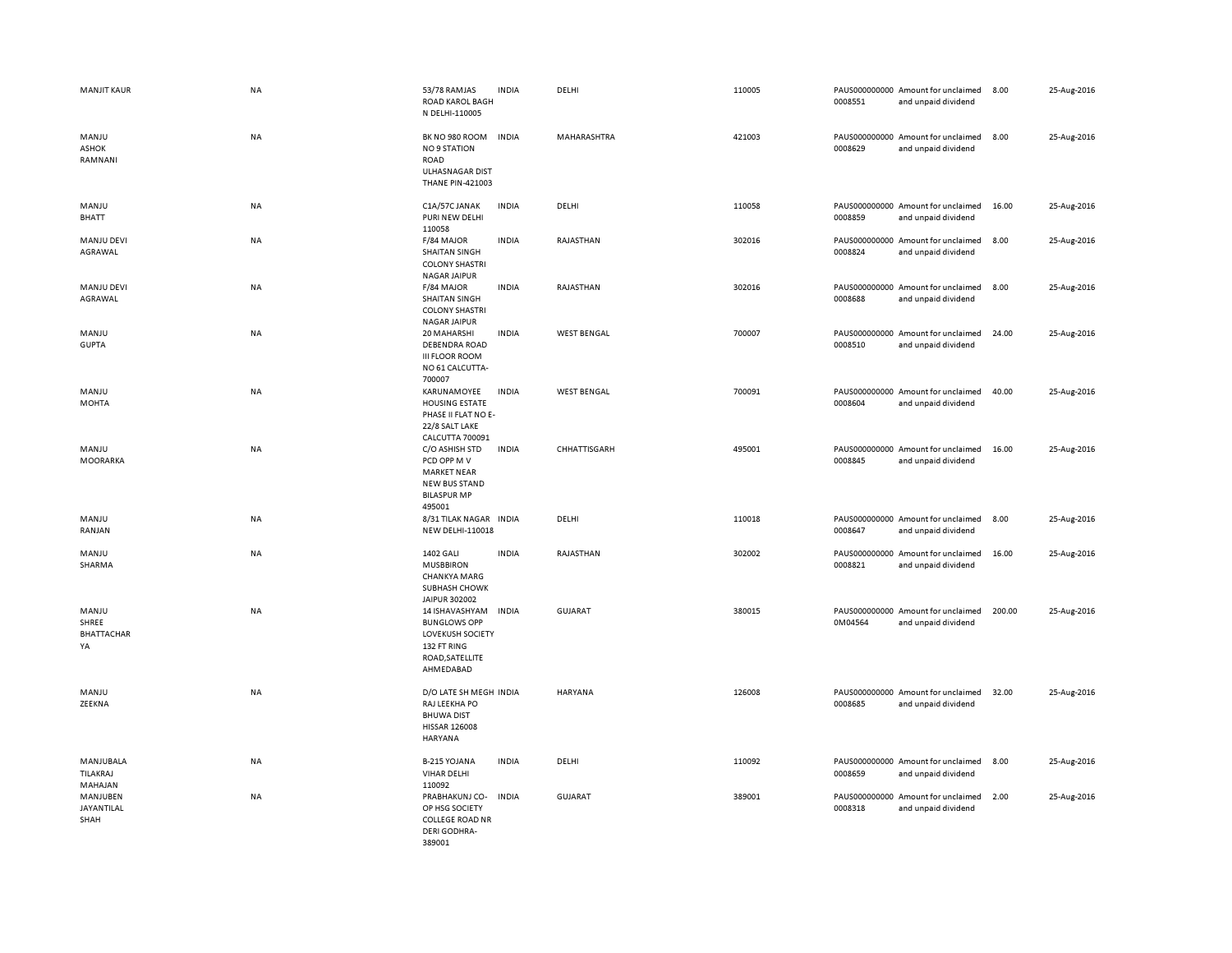| <b>MANJIT KAUR</b>                        | <b>NA</b> | 53/78 RAMJAS<br>ROAD KAROL BAGH<br>N DELHI-110005                                                               | <b>INDIA</b> | DELHI              | 110005 | 0008551                  | PAUS000000000 Amount for unclaimed<br>and unpaid dividend | 8.00   | 25-Aug-2016 |
|-------------------------------------------|-----------|-----------------------------------------------------------------------------------------------------------------|--------------|--------------------|--------|--------------------------|-----------------------------------------------------------|--------|-------------|
| MANJU<br>ASHOK<br>RAMNANI                 | NA        | BK NO 980 ROOM<br><b>NO 9 STATION</b><br><b>ROAD</b><br>ULHASNAGAR DIST<br><b>THANE PIN-421003</b>              | INDIA        | MAHARASHTRA        | 421003 | 0008629                  | PAUS000000000 Amount for unclaimed<br>and unpaid dividend | 8.00   | 25-Aug-2016 |
| MANJU<br>BHATT                            | <b>NA</b> | C1A/57C JANAK<br>PURI NEW DELHI<br>110058                                                                       | <b>INDIA</b> | DELHI              | 110058 | 0008859                  | PAUS000000000 Amount for unclaimed<br>and unpaid dividend | 16.00  | 25-Aug-2016 |
| MANJU DEVI<br>AGRAWAL                     | NA        | F/84 MAJOR<br><b>SHAITAN SINGH</b><br><b>COLONY SHASTRI</b><br><b>NAGAR JAIPUR</b>                              | <b>INDIA</b> | RAJASTHAN          | 302016 | 0008824                  | PAUS000000000 Amount for unclaimed<br>and unpaid dividend | 8.00   | 25-Aug-2016 |
| MANJU DEVI<br>AGRAWAL                     | NA        | F/84 MAJOR<br><b>SHAITAN SINGH</b><br><b>COLONY SHASTRI</b><br><b>NAGAR JAIPUR</b>                              | <b>INDIA</b> | RAJASTHAN          | 302016 | 0008688                  | PAUS000000000 Amount for unclaimed<br>and unpaid dividend | 8.00   | 25-Aug-2016 |
| MANJU<br><b>GUPTA</b>                     | NA        | 20 MAHARSHI<br><b>DEBENDRA ROAD</b><br><b>III FLOOR ROOM</b><br>NO 61 CALCUTTA-<br>700007                       | <b>INDIA</b> | <b>WEST BENGAL</b> | 700007 | 0008510                  | PAUS000000000 Amount for unclaimed<br>and unpaid dividend | 24.00  | 25-Aug-2016 |
| MANJU<br><b>MOHTA</b>                     | <b>NA</b> | KARUNAMOYEE<br><b>HOUSING ESTATE</b><br>PHASE II FLAT NO E-<br>22/8 SALT LAKE<br><b>CALCUTTA 700091</b>         | <b>INDIA</b> | <b>WEST BENGAL</b> | 700091 | 0008604                  | PAUS000000000 Amount for unclaimed<br>and unpaid dividend | 40.00  | 25-Aug-2016 |
| MANJU<br>MOORARKA                         | NA        | C/O ASHISH STD<br>PCD OPP M V<br><b>MARKET NEAR</b><br>NEW BUS STAND<br><b>BILASPUR MP</b><br>495001            | <b>INDIA</b> | CHHATTISGARH       | 495001 | 0008845                  | PAUS000000000 Amount for unclaimed<br>and unpaid dividend | 16.00  | 25-Aug-2016 |
| MANJU<br>RANJAN                           | <b>NA</b> | 8/31 TILAK NAGAR INDIA<br><b>NEW DELHI-110018</b>                                                               |              | DELHI              | 110018 | 0008647                  | PAUS000000000 Amount for unclaimed<br>and unpaid dividend | 8.00   | 25-Aug-2016 |
| MANJU<br>SHARMA                           | NA        | <b>1402 GALI</b><br><b>MUSBBIRON</b><br><b>CHANKYA MARG</b><br>SUBHASH CHOWK<br>JAIPUR 302002                   | <b>INDIA</b> | RAJASTHAN          | 302002 | 0008821                  | PAUS000000000 Amount for unclaimed<br>and unpaid dividend | 16.00  | 25-Aug-2016 |
| MANJU<br>SHREE<br><b>BHATTACHAR</b><br>YA | <b>NA</b> | 14 ISHAVASHYAM<br><b>BUNGLOWS OPP</b><br><b>LOVEKUSH SOCIETY</b><br>132 FT RING<br>ROAD, SATELLITE<br>AHMEDABAD | <b>INDIA</b> | <b>GUJARAT</b>     | 380015 | 0M04564                  | PAUS000000000 Amount for unclaimed<br>and unpaid dividend | 200.00 | 25-Aug-2016 |
| MANJU<br>ZEEKNA                           | NA        | D/O LATE SH MEGH INDIA<br>RAJ LEEKHA PO<br><b>BHUWA DIST</b><br><b>HISSAR 126008</b><br><b>HARYANA</b>          |              | <b>HARYANA</b>     | 126008 | 0008685                  | PAUS000000000 Amount for unclaimed<br>and unpaid dividend | 32.00  | 25-Aug-2016 |
| MANJUBALA<br>TILAKRAJ<br>MAHAJAN          | NA        | <b>B-215 YOJANA</b><br><b>VIHAR DELHI</b><br>110092                                                             | <b>INDIA</b> | DELHI              | 110092 | 0008659                  | PAUS000000000 Amount for unclaimed<br>and unpaid dividend | 8.00   | 25-Aug-2016 |
| MANJUBEN<br>JAYANTILAL<br>SHAH            | NA        | PRABHAKUNJ CO-<br>OP HSG SOCIETY<br><b>COLLEGE ROAD NR</b><br>DERI GODHRA-<br>389001                            | <b>INDIA</b> | <b>GUJARAT</b>     | 389001 | PAUS000000000<br>0008318 | Amount for unclaimed<br>and unpaid dividend               | 2.00   | 25-Aug-2016 |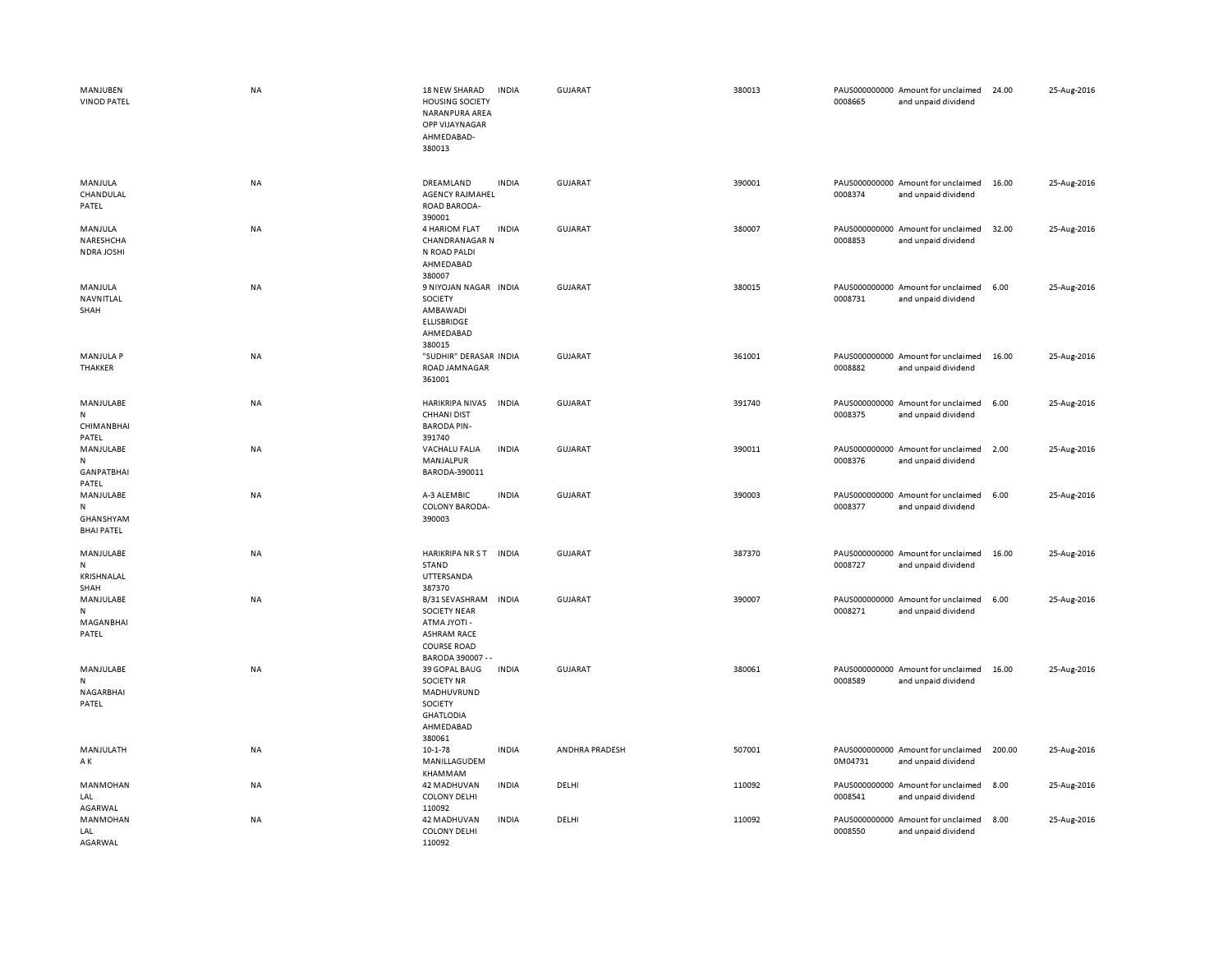| MANJUBEN<br><b>VINOD PATEL</b>                            | NA        | 18 NEW SHARAD<br><b>HOUSING SOCIETY</b><br>NARANPURA AREA<br>OPP VIJAYNAGAR<br>AHMEDABAD-<br>380013                           | <b>INDIA</b> | GUJARAT        | 380013 | 0008665                  | PAUS000000000 Amount for unclaimed<br>and unpaid dividend | 24.00  | 25-Aug-2016 |
|-----------------------------------------------------------|-----------|-------------------------------------------------------------------------------------------------------------------------------|--------------|----------------|--------|--------------------------|-----------------------------------------------------------|--------|-------------|
| MANJULA<br>CHANDULAL<br>PATEL                             | <b>NA</b> | DREAMLAND<br>AGENCY RAJMAHEL<br>ROAD BARODA-<br>390001                                                                        | <b>INDIA</b> | <b>GUJARAT</b> | 390001 | 0008374                  | PAUS000000000 Amount for unclaimed<br>and unpaid dividend | 16.00  | 25-Aug-2016 |
| MANJULA<br>NARESHCHA<br>NDRA JOSHI                        | <b>NA</b> | 4 HARIOM FLAT<br><b>CHANDRANAGAR N</b><br>N ROAD PALDI<br>AHMEDABAD<br>380007                                                 | <b>INDIA</b> | <b>GUJARAT</b> | 380007 | 0008853                  | PAUS000000000 Amount for unclaimed<br>and unpaid dividend | 32.00  | 25-Aug-2016 |
| MANJULA<br>NAVNITLAL<br>SHAH                              | <b>NA</b> | 9 NIYOJAN NAGAR INDIA<br>SOCIETY<br>AMBAWADI<br><b>ELLISBRIDGE</b><br>AHMEDABAD<br>380015                                     |              | <b>GUJARAT</b> | 380015 | 0008731                  | PAUS000000000 Amount for unclaimed<br>and unpaid dividend | 6.00   | 25-Aug-2016 |
| <b>MANJULA P</b><br>THAKKER                               | NA        | "SUDHIR" DERASAR INDIA<br>ROAD JAMNAGAR<br>361001                                                                             |              | <b>GUJARAT</b> | 361001 | 0008882                  | PAUS000000000 Amount for unclaimed<br>and unpaid dividend | 16.00  | 25-Aug-2016 |
| MANJULABE<br>N<br><b>CHIMANBHAI</b><br>PATEL              | NA        | HARIKRIPA NIVAS<br><b>CHHANI DIST</b><br><b>BARODA PIN-</b><br>391740                                                         | <b>INDIA</b> | <b>GUJARAT</b> | 391740 | 0008375                  | PAUS000000000 Amount for unclaimed<br>and unpaid dividend | 6.00   | 25-Aug-2016 |
| MANJULABE<br>N<br><b>GANPATBHAI</b>                       | NA        | VACHALU FALIA<br>MANJALPUR<br>BARODA-390011                                                                                   | <b>INDIA</b> | <b>GUJARAT</b> | 390011 | 0008376                  | PAUS000000000 Amount for unclaimed<br>and unpaid dividend | 2.00   | 25-Aug-2016 |
| PATEL<br>MANJULABE<br>N<br>GHANSHYAM<br><b>BHAI PATEL</b> | NA        | A-3 ALEMBIC<br>COLONY BARODA-<br>390003                                                                                       | <b>INDIA</b> | <b>GUJARAT</b> | 390003 | 0008377                  | PAUS000000000 Amount for unclaimed<br>and unpaid dividend | 6.00   | 25-Aug-2016 |
| MANJULABE<br>N<br>KRISHNALAL<br>SHAH                      | NA        | HARIKRIPA NR ST INDIA<br>STAND<br>UTTERSANDA<br>387370                                                                        |              | <b>GUJARAT</b> | 387370 | 0008727                  | PAUS000000000 Amount for unclaimed<br>and unpaid dividend | 16.00  | 25-Aug-2016 |
| MANJULABE<br>N<br>MAGANBHAI<br>PATEL                      | NA        | B/31 SEVASHRAM<br><b>SOCIETY NEAR</b><br><b>ATMA JYOTI -</b><br><b>ASHRAM RACE</b><br><b>COURSE ROAD</b><br>BARODA 390007 - - | <b>INDIA</b> | GUJARAT        | 390007 | 0008271                  | PAUS000000000 Amount for unclaimed<br>and unpaid dividend | 6.00   | 25-Aug-2016 |
| MANJULABE<br>N<br>NAGARBHAI<br>PATEL                      | NA        | 39 GOPAL BAUG<br><b>SOCIETY NR</b><br>MADHUVRUND<br>SOCIETY<br><b>GHATLODIA</b><br>AHMEDABAD<br>380061                        | <b>INDIA</b> | <b>GUJARAT</b> | 380061 | 0008589                  | PAUS000000000 Amount for unclaimed<br>and unpaid dividend | 16.00  | 25-Aug-2016 |
| MANJULATH<br>ΑK                                           | NA        | $10 - 1 - 78$<br>MANILLAGUDEM<br>KHAMMAM                                                                                      | <b>INDIA</b> | ANDHRA PRADESH | 507001 | 0M04731                  | PAUS000000000 Amount for unclaimed<br>and unpaid dividend | 200.00 | 25-Aug-2016 |
| MANMOHAN<br>LAL<br>AGARWAL                                | NA        | 42 MADHUVAN<br><b>COLONY DELHI</b><br>110092                                                                                  | <b>INDIA</b> | DELHI          | 110092 | 0008541                  | PAUS000000000 Amount for unclaimed<br>and unpaid dividend | 8.00   | 25-Aug-2016 |
| <b>MANMOHAN</b><br>LAL<br>AGARWAL                         | <b>NA</b> | <b>42 MADHUVAN</b><br><b>COLONY DELHI</b><br>110092                                                                           | <b>INDIA</b> | DELHI          | 110092 | PAUS000000000<br>0008550 | Amount for unclaimed<br>and unpaid dividend               | 8.00   | 25-Aug-2016 |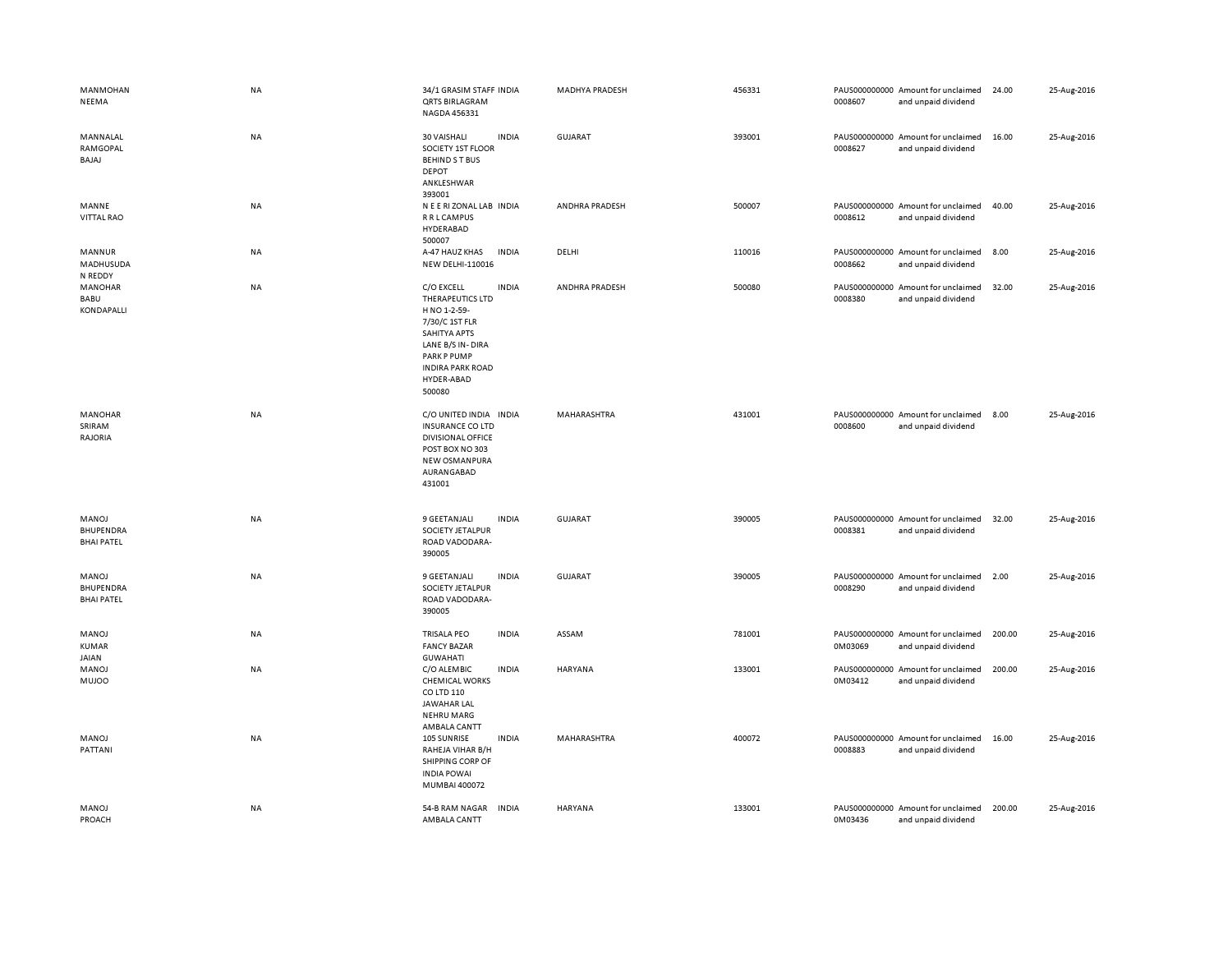| MANMOHAN<br>NEEMA                       | NA | 34/1 GRASIM STAFF INDIA<br><b>QRTS BIRLAGRAM</b><br>NAGDA 456331                                                                                                                                     | MADHYA PRADESH | 456331 | PAUS000000000 Amount for unclaimed<br>0008607<br>and unpaid dividend | 24.00  | 25-Aug-2016 |
|-----------------------------------------|----|------------------------------------------------------------------------------------------------------------------------------------------------------------------------------------------------------|----------------|--------|----------------------------------------------------------------------|--------|-------------|
| MANNALAL<br>RAMGOPAL<br>BAJAJ           | NA | 30 VAISHALI<br><b>INDIA</b><br>SOCIETY 1ST FLOOR<br><b>BEHIND S T BUS</b><br><b>DEPOT</b><br>ANKLESHWAR<br>393001                                                                                    | <b>GUJARAT</b> | 393001 | PAUS000000000 Amount for unclaimed<br>0008627<br>and unpaid dividend | 16.00  | 25-Aug-2016 |
| MANNE<br>VITTAL RAO                     | NA | N E E RI ZONAL LAB INDIA<br>R R L CAMPUS<br>HYDERABAD<br>500007                                                                                                                                      | ANDHRA PRADESH | 500007 | PAUS000000000 Amount for unclaimed<br>0008612<br>and unpaid dividend | 40.00  | 25-Aug-2016 |
| MANNUR<br>MADHUSUDA<br>N REDDY          | NA | A-47 HAUZ KHAS<br>INDIA<br>NEW DELHI-110016                                                                                                                                                          | DELHI          | 110016 | PAUS000000000 Amount for unclaimed<br>0008662<br>and unpaid dividend | 8.00   | 25-Aug-2016 |
| MANOHAR<br>BABU<br>KONDAPALLI           | NA | C/O EXCELL<br><b>INDIA</b><br>THERAPEUTICS LTD<br>H NO 1-2-59-<br>7/30/C 1ST FLR<br><b>SAHITYA APTS</b><br>LANE B/S IN-DIRA<br><b>PARK P PUMP</b><br><b>INDIRA PARK ROAD</b><br>HYDER-ABAD<br>500080 | ANDHRA PRADESH | 500080 | PAUS000000000 Amount for unclaimed<br>0008380<br>and unpaid dividend | 32.00  | 25-Aug-2016 |
| MANOHAR<br>SRIRAM<br>RAJORIA            | NA | C/O UNITED INDIA INDIA<br><b>INSURANCE CO LTD</b><br><b>DIVISIONAL OFFICE</b><br>POST BOX NO 303<br>NEW OSMANPURA<br>AURANGABAD<br>431001                                                            | MAHARASHTRA    | 431001 | PAUS000000000 Amount for unclaimed<br>0008600<br>and unpaid dividend | 8.00   | 25-Aug-2016 |
| MANOJ<br>BHUPENDRA<br><b>BHAI PATEL</b> | NA | 9 GEETANJALI<br><b>INDIA</b><br>SOCIETY JETALPUR<br>ROAD VADODARA-<br>390005                                                                                                                         | <b>GUJARAT</b> | 390005 | PAUS000000000 Amount for unclaimed<br>0008381<br>and unpaid dividend | 32.00  | 25-Aug-2016 |
| MANOJ<br>BHUPENDRA<br><b>BHAI PATEL</b> | NA | <b>INDIA</b><br>9 GEETANJALI<br>SOCIETY JETALPUR<br>ROAD VADODARA-<br>390005                                                                                                                         | <b>GUJARAT</b> | 390005 | PAUS000000000 Amount for unclaimed<br>0008290<br>and unpaid dividend | 2.00   | 25-Aug-2016 |
| MANOJ<br><b>KUMAR</b><br>JAIAN          | NA | <b>INDIA</b><br><b>TRISALA PEO</b><br><b>FANCY BAZAR</b><br><b>GUWAHATI</b>                                                                                                                          | ASSAM          | 781001 | PAUS000000000 Amount for unclaimed<br>0M03069<br>and unpaid dividend | 200.00 | 25-Aug-2016 |
| MANOJ<br><b>MUJOO</b>                   | NA | C/O ALEMBIC<br><b>INDIA</b><br><b>CHEMICAL WORKS</b><br>CO LTD 110<br>JAWAHAR LAL<br><b>NEHRU MARG</b><br>AMBALA CANTT                                                                               | HARYANA        | 133001 | PAUS000000000 Amount for unclaimed<br>0M03412<br>and unpaid dividend | 200.00 | 25-Aug-2016 |
| MANOJ<br>PATTANI                        | NA | 105 SUNRISE<br><b>INDIA</b><br>RAHEJA VIHAR B/H<br>SHIPPING CORP OF<br><b>INDIA POWAI</b><br>MUMBAI 400072                                                                                           | MAHARASHTRA    | 400072 | PAUS000000000 Amount for unclaimed<br>0008883<br>and unpaid dividend | 16.00  | 25-Aug-2016 |
| MANOJ<br>PROACH                         | NA | 54-B RAM NAGAR<br><b>INDIA</b><br>AMBALA CANTT                                                                                                                                                       | HARYANA        | 133001 | PAUS000000000 Amount for unclaimed<br>0M03436<br>and unpaid dividend | 200.00 | 25-Aug-2016 |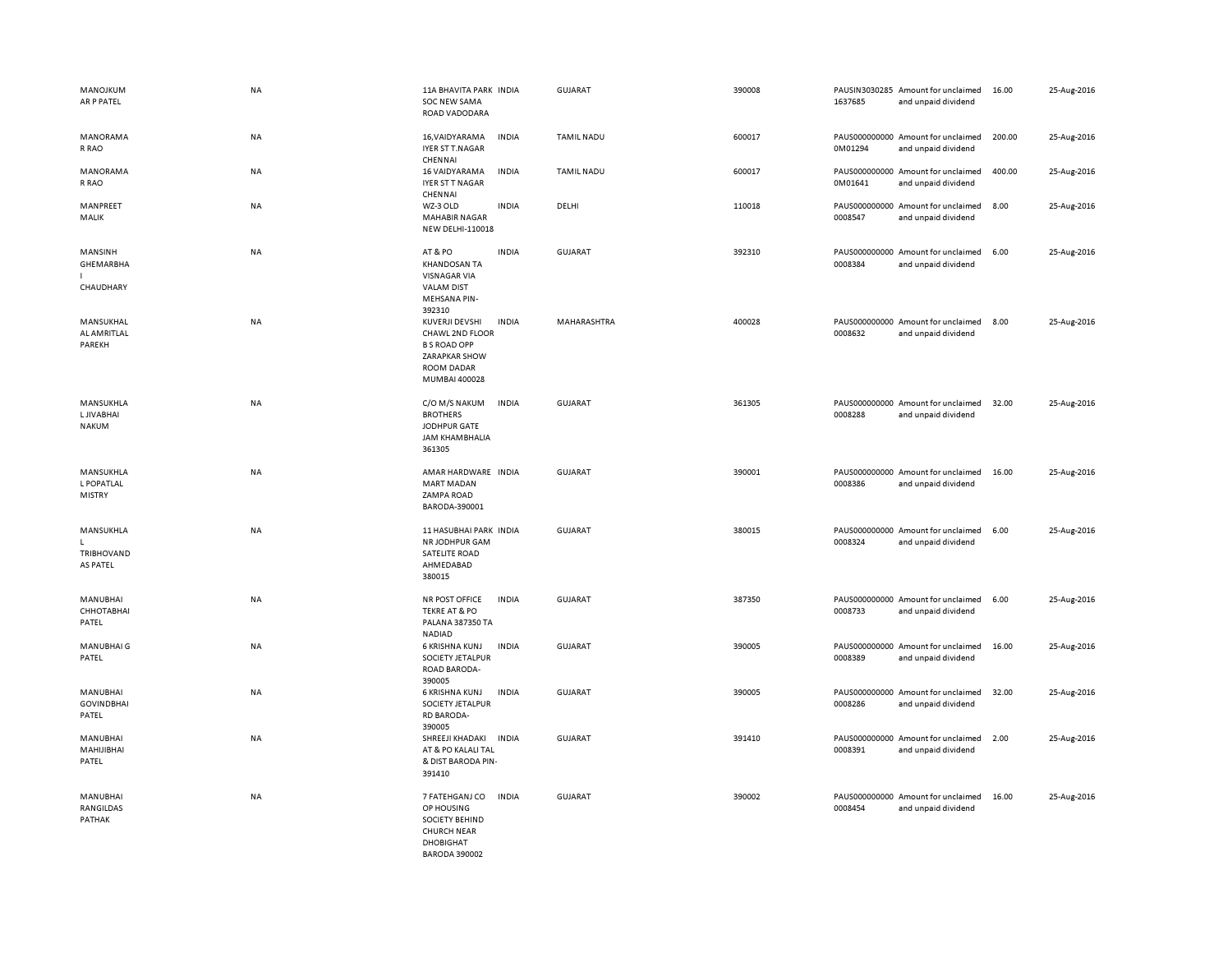| MANOJKUM<br>AR P PATEL                              | <b>NA</b> | 11A BHAVITA PARK INDIA<br>SOC NEW SAMA<br>ROAD VADODARA                                                          |              | <b>GUJARAT</b>    | 390008 | 1637685 | PAUSIN3030285 Amount for unclaimed<br>and unpaid dividend | 16.00  | 25-Aug-2016 |
|-----------------------------------------------------|-----------|------------------------------------------------------------------------------------------------------------------|--------------|-------------------|--------|---------|-----------------------------------------------------------|--------|-------------|
| MANORAMA<br>R RAO                                   | NA        | 16, VAIDYARAMA<br><b>IYER ST T.NAGAR</b><br>CHENNAI                                                              | <b>INDIA</b> | TAMIL NADU        | 600017 | 0M01294 | PAUS000000000 Amount for unclaimed<br>and unpaid dividend | 200.00 | 25-Aug-2016 |
| MANORAMA<br>R RAO                                   | NA        | 16 VAIDYARAMA<br>IYER ST T NAGAR<br>CHENNAI                                                                      | <b>INDIA</b> | <b>TAMIL NADU</b> | 600017 | 0M01641 | PAUS000000000 Amount for unclaimed<br>and unpaid dividend | 400.00 | 25-Aug-2016 |
| MANPREET<br>MALIK                                   | NA        | WZ-3 OLD<br><b>MAHABIR NAGAR</b><br>NEW DELHI-110018                                                             | <b>INDIA</b> | DELHI             | 110018 | 0008547 | PAUS000000000 Amount for unclaimed<br>and unpaid dividend | 8.00   | 25-Aug-2016 |
| MANSINH<br>GHEMARBHA<br>I.<br>CHAUDHARY             | NA        | AT&PO<br><b>KHANDOSAN TA</b><br><b>VISNAGAR VIA</b><br><b>VALAM DIST</b><br><b>MEHSANA PIN-</b><br>392310        | <b>INDIA</b> | <b>GUJARAT</b>    | 392310 | 0008384 | PAUS000000000 Amount for unclaimed<br>and unpaid dividend | 6.00   | 25-Aug-2016 |
| MANSUKHAL<br>AL AMRITLAL<br>PAREKH                  | NA        | KUVERJI DEVSHI<br>CHAWL 2ND FLOOR<br><b>B S ROAD OPP</b><br><b>ZARAPKAR SHOW</b><br>ROOM DADAR<br>MUMBAI 400028  | <b>INDIA</b> | MAHARASHTRA       | 400028 | 0008632 | PAUS000000000 Amount for unclaimed<br>and unpaid dividend | 8.00   | 25-Aug-2016 |
| MANSUKHLA<br><b>LJIVABHAI</b><br><b>NAKUM</b>       | <b>NA</b> | C/O M/S NAKUM<br><b>BROTHERS</b><br>JODHPUR GATE<br><b>JAM KHAMBHALIA</b><br>361305                              | <b>INDIA</b> | <b>GUJARAT</b>    | 361305 | 0008288 | PAUS000000000 Amount for unclaimed<br>and unpaid dividend | 32.00  | 25-Aug-2016 |
| MANSUKHLA<br><b>L POPATLAL</b><br><b>MISTRY</b>     | NA        | AMAR HARDWARE INDIA<br><b>MART MADAN</b><br>ZAMPA ROAD<br>BARODA-390001                                          |              | GUJARAT           | 390001 | 0008386 | PAUS000000000 Amount for unclaimed<br>and unpaid dividend | 16.00  | 25-Aug-2016 |
| MANSUKHLA<br>$\mathbf{L}$<br>TRIBHOVAND<br>AS PATEL | <b>NA</b> | 11 HASUBHAI PARK INDIA<br>NR JODHPUR GAM<br><b>SATELITE ROAD</b><br>AHMEDABAD<br>380015                          |              | GUJARAT           | 380015 | 0008324 | PAUS000000000 Amount for unclaimed<br>and unpaid dividend | 6.00   | 25-Aug-2016 |
| MANUBHAI<br>СННОТАВНАІ<br>PATEL                     | NA        | NR POST OFFICE<br><b>TEKRE AT &amp; PO</b><br>PALANA 387350 TA<br>NADIAD                                         | <b>INDIA</b> | GUJARAT           | 387350 | 0008733 | PAUS000000000 Amount for unclaimed<br>and unpaid dividend | 6.00   | 25-Aug-2016 |
| MANUBHAI G<br>PATEL                                 | NA        | 6 KRISHNA KUNJ<br>SOCIETY JETALPUR<br>ROAD BARODA-<br>390005                                                     | <b>INDIA</b> | <b>GUJARAT</b>    | 390005 | 0008389 | PAUS000000000 Amount for unclaimed<br>and unpaid dividend | 16.00  | 25-Aug-2016 |
| MANUBHAI<br><b>GOVINDBHAI</b><br>PATEL              | NA        | 6 KRISHNA KUNJ<br>SOCIETY JETALPUR<br><b>RD BARODA-</b><br>390005                                                | <b>INDIA</b> | <b>GUJARAT</b>    | 390005 | 0008286 | PAUS000000000 Amount for unclaimed<br>and unpaid dividend | 32.00  | 25-Aug-2016 |
| MANUBHAI<br>MAHIJIBHAI<br>PATEL                     | <b>NA</b> | SHREEJI KHADAKI INDIA<br>AT & PO KALALI TAL<br>& DIST BARODA PIN-<br>391410                                      |              | GUJARAT           | 391410 | 0008391 | PAUS000000000 Amount for unclaimed<br>and unpaid dividend | 2.00   | 25-Aug-2016 |
| MANUBHAI<br>RANGILDAS<br>PATHAK                     | NA        | 7 FATEHGANJ CO<br>OP HOUSING<br>SOCIETY BEHIND<br><b>CHURCH NEAR</b><br><b>DHOBIGHAT</b><br><b>BARODA 390002</b> | <b>INDIA</b> | <b>GUJARAT</b>    | 390002 | 0008454 | PAUS000000000 Amount for unclaimed<br>and unpaid dividend | 16.00  | 25-Aug-2016 |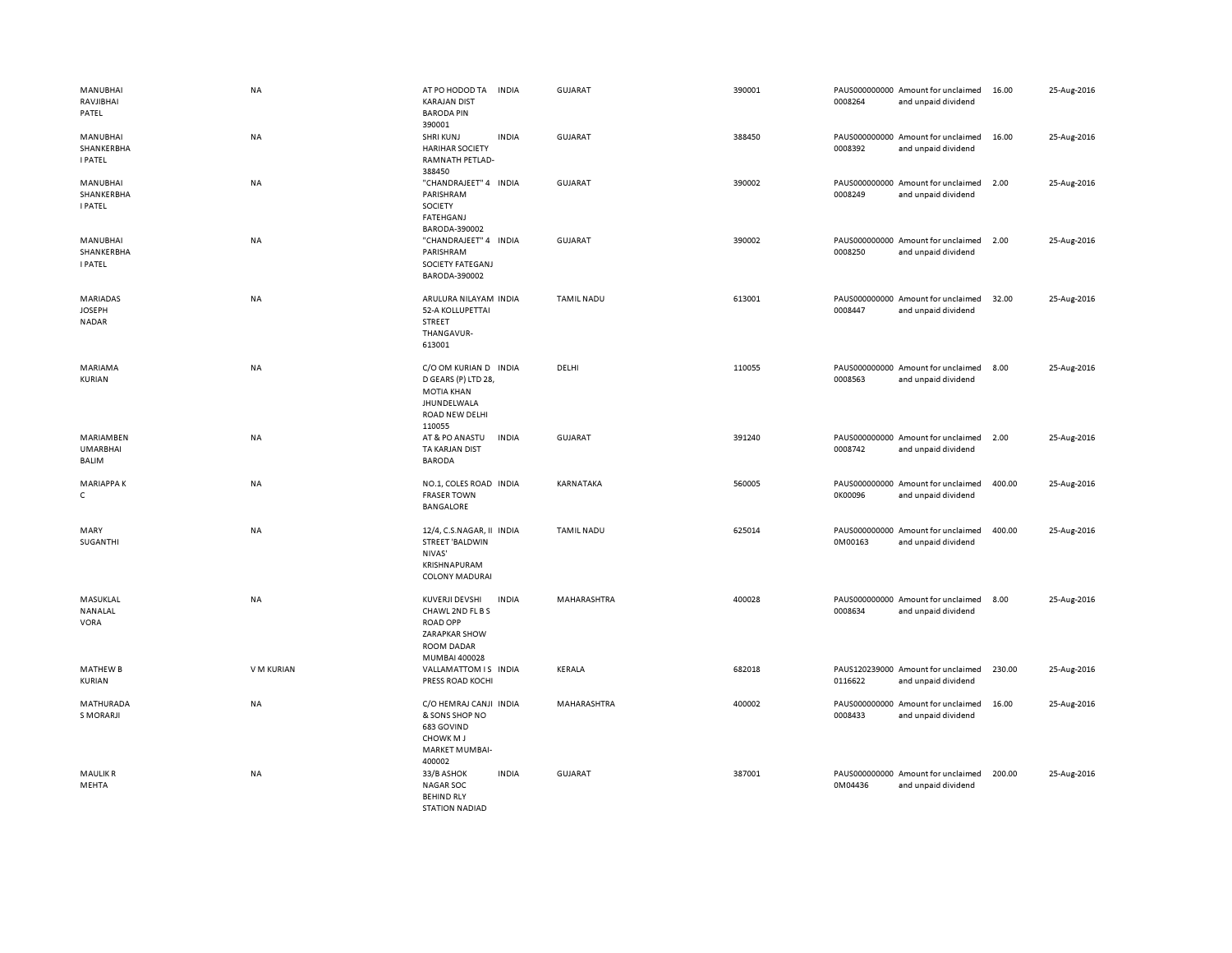| MANUBHAI<br>RAVJIBHAI<br>PATEL                   | <b>NA</b>  | AT PO HODOD TA<br><b>KARAJAN DIST</b><br><b>BARODA PIN</b><br>390001                                         | <b>INDIA</b> | GUJARAT           | 390001 | 0008264                  | PAUS000000000 Amount for unclaimed<br>and unpaid dividend | 16.00  | 25-Aug-2016 |
|--------------------------------------------------|------------|--------------------------------------------------------------------------------------------------------------|--------------|-------------------|--------|--------------------------|-----------------------------------------------------------|--------|-------------|
| MANUBHAI<br>SHANKERBHA<br><b>I PATEL</b>         | NA         | <b>SHRIKUNJ</b><br><b>HARIHAR SOCIETY</b><br>RAMNATH PETLAD-<br>388450                                       | <b>INDIA</b> | <b>GUJARAT</b>    | 388450 | 0008392                  | PAUS000000000 Amount for unclaimed<br>and unpaid dividend | 16.00  | 25-Aug-2016 |
| MANUBHAI<br>SHANKERBHA<br><b>I PATEL</b>         | <b>NA</b>  | "CHANDRAJEET" 4 INDIA<br>PARISHRAM<br>SOCIETY<br>FATEHGANJ<br>BARODA-390002                                  |              | <b>GUJARAT</b>    | 390002 | 0008249                  | PAUS000000000 Amount for unclaimed<br>and unpaid dividend | 2.00   | 25-Aug-2016 |
| MANUBHAI<br>SHANKERBHA<br><b>I PATEL</b>         | <b>NA</b>  | "CHANDRAJEET" 4 INDIA<br>PARISHRAM<br>SOCIETY FATEGANJ<br>BARODA-390002                                      |              | <b>GUJARAT</b>    | 390002 | 0008250                  | PAUS000000000 Amount for unclaimed<br>and unpaid dividend | 2.00   | 25-Aug-2016 |
| <b>MARIADAS</b><br><b>JOSEPH</b><br><b>NADAR</b> | <b>NA</b>  | ARULURA NILAYAM INDIA<br>52-A KOLLUPETTAI<br>STREET<br>THANGAVUR-<br>613001                                  |              | <b>TAMIL NADU</b> | 613001 | 0008447                  | PAUS000000000 Amount for unclaimed<br>and unpaid dividend | 32.00  | 25-Aug-2016 |
| MARIAMA<br><b>KURIAN</b>                         | <b>NA</b>  | C/O OM KURIAN D INDIA<br>D GEARS (P) LTD 28,<br><b>MOTIA KHAN</b><br>JHUNDELWALA<br>ROAD NEW DELHI<br>110055 |              | DELHI             | 110055 | 0008563                  | PAUS000000000 Amount for unclaimed<br>and unpaid dividend | 8.00   | 25-Aug-2016 |
| MARIAMBEN<br><b>UMARBHAI</b><br>BALIM            | NA         | AT & PO ANASTU<br>TA KARJAN DIST<br><b>BARODA</b>                                                            | INDIA        | <b>GUJARAT</b>    | 391240 | 0008742                  | PAUS000000000 Amount for unclaimed<br>and unpaid dividend | 2.00   | 25-Aug-2016 |
| <b>MARIAPPAK</b><br>$\mathsf{C}$                 | NA         | NO.1, COLES ROAD INDIA<br><b>FRASER TOWN</b><br><b>BANGALORE</b>                                             |              | KARNATAKA         | 560005 | 0K00096                  | PAUS000000000 Amount for unclaimed<br>and unpaid dividend | 400.00 | 25-Aug-2016 |
| MARY<br>SUGANTHI                                 | NA         | 12/4, C.S.NAGAR, II INDIA<br><b>STREET 'BALDWIN</b><br>NIVAS'<br>KRISHNAPURAM<br><b>COLONY MADURAI</b>       |              | <b>TAMIL NADU</b> | 625014 | PAUS000000000<br>0M00163 | Amount for unclaimed<br>and unpaid dividend               | 400.00 | 25-Aug-2016 |
| MASUKLAL<br>NANALAL<br>VORA                      | <b>NA</b>  | KUVERJI DEVSHI<br>CHAWL 2ND FL B S<br><b>ROAD OPP</b><br>ZARAPKAR SHOW<br>ROOM DADAR<br>MUMBAI 400028        | <b>INDIA</b> | MAHARASHTRA       | 400028 | 0008634                  | PAUS000000000 Amount for unclaimed<br>and unpaid dividend | 8.00   | 25-Aug-2016 |
| <b>MATHEW B</b><br>KURIAN                        | V M KURIAN | VALLAMATTOM IS INDIA<br>PRESS ROAD KOCHI                                                                     |              | KERALA            | 682018 | 0116622                  | PAUS120239000 Amount for unclaimed<br>and unpaid dividend | 230.00 | 25-Aug-2016 |
| MATHURADA<br>S MORARJI                           | <b>NA</b>  | C/O HEMRAJ CANJI INDIA<br>& SONS SHOP NO<br>683 GOVIND<br><b>CHOWKMJ</b><br><b>MARKET MUMBAI-</b><br>400002  |              | MAHARASHTRA       | 400002 | PAUS000000000<br>0008433 | Amount for unclaimed<br>and unpaid dividend               | 16.00  | 25-Aug-2016 |
| <b>MAULIKR</b><br>MEHTA                          | NA         | 33/B ASHOK<br><b>NAGAR SOC</b><br><b>BEHIND RLY</b><br>STATION NADIAD                                        | <b>INDIA</b> | <b>GUJARAT</b>    | 387001 | 0M04436                  | PAUS000000000 Amount for unclaimed<br>and unpaid dividend | 200.00 | 25-Aug-2016 |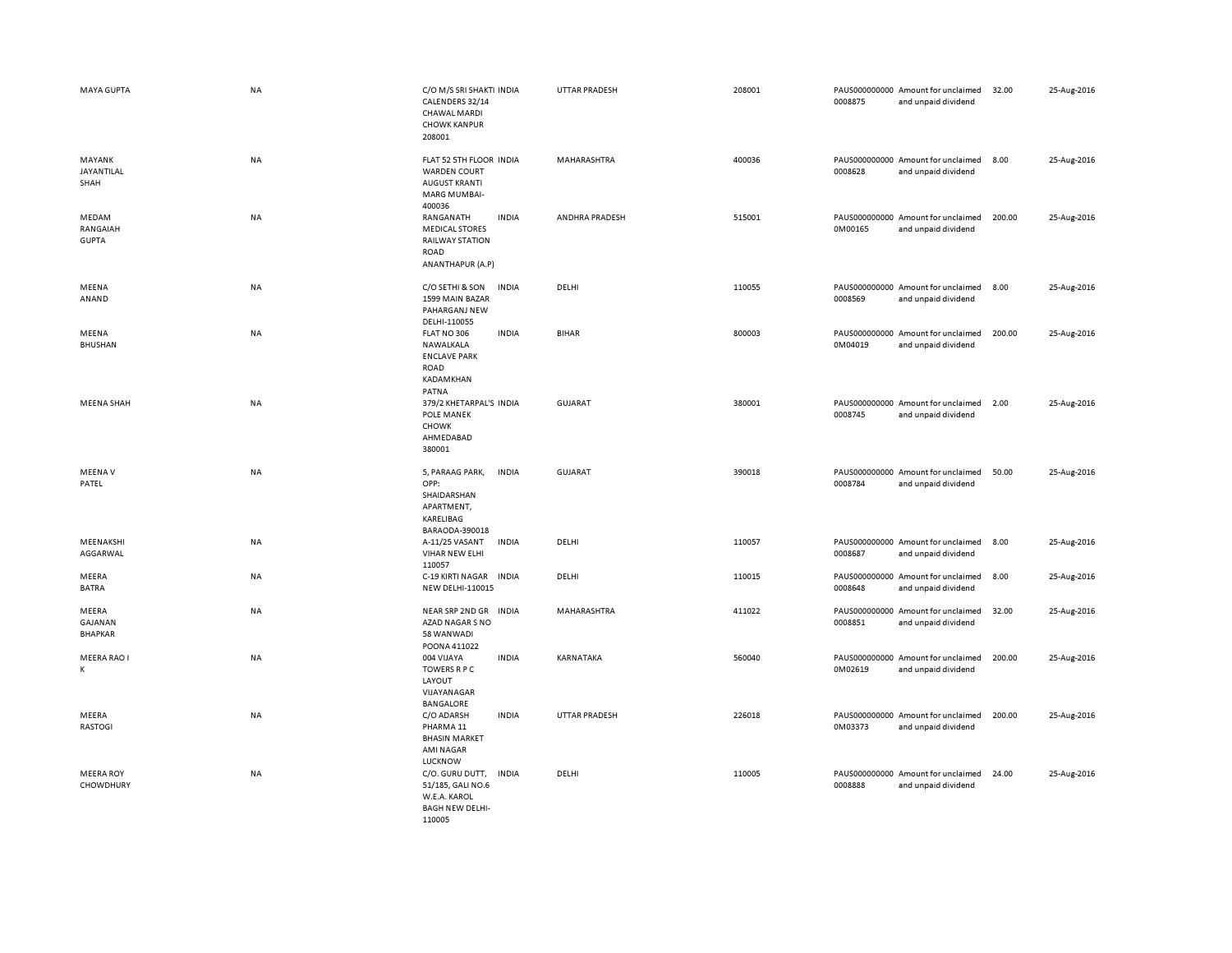| MAYA GUPTA                         | <b>NA</b> | C/O M/S SRI SHAKTI INDIA<br>CALENDERS 32/14<br><b>CHAWAL MARDI</b><br><b>CHOWK KANPUR</b><br>208001              | <b>UTTAR PRADESH</b> | 208001 | 0008875 | PAUS000000000 Amount for unclaimed<br>and unpaid dividend | 32.00  | 25-Aug-2016 |
|------------------------------------|-----------|------------------------------------------------------------------------------------------------------------------|----------------------|--------|---------|-----------------------------------------------------------|--------|-------------|
| MAYANK<br>JAYANTILAL<br>SHAH       | NA        | FLAT 52 5TH FLOOR INDIA<br><b>WARDEN COURT</b><br><b>AUGUST KRANTI</b><br><b>MARG MUMBAI-</b><br>400036          | MAHARASHTRA          | 400036 | 0008628 | PAUS000000000 Amount for unclaimed<br>and unpaid dividend | 8.00   | 25-Aug-2016 |
| MEDAM<br>RANGAIAH<br><b>GUPTA</b>  | NA        | <b>INDIA</b><br>RANGANATH<br><b>MEDICAL STORES</b><br>RAILWAY STATION<br><b>ROAD</b><br>ANANTHAPUR (A.P)         | ANDHRA PRADESH       | 515001 | 0M00165 | PAUS000000000 Amount for unclaimed<br>and unpaid dividend | 200.00 | 25-Aug-2016 |
| MEENA<br>ANAND                     | <b>NA</b> | <b>INDIA</b><br>C/O SETHI & SON<br>1599 MAIN BAZAR<br>PAHARGANJ NEW<br>DELHI-110055                              | DELHI                | 110055 | 0008569 | PAUS000000000 Amount for unclaimed<br>and unpaid dividend | 8.00   | 25-Aug-2016 |
| MEENA<br><b>BHUSHAN</b>            | NA        | FLAT NO 306<br><b>INDIA</b><br>NAWALKALA<br><b>ENCLAVE PARK</b><br><b>ROAD</b><br>KADAMKHAN<br>PATNA             | <b>BIHAR</b>         | 800003 | 0M04019 | PAUS000000000 Amount for unclaimed<br>and unpaid dividend | 200.00 | 25-Aug-2016 |
| MEENA SHAH                         | <b>NA</b> | 379/2 KHETARPAL'S INDIA<br>POLE MANEK<br><b>CHOWK</b><br>AHMEDABAD<br>380001                                     | GUJARAT              | 380001 | 0008745 | PAUS000000000 Amount for unclaimed<br>and unpaid dividend | 2.00   | 25-Aug-2016 |
| <b>MEENAV</b><br>PATEL             | <b>NA</b> | 5, PARAAG PARK,<br><b>INDIA</b><br>OPP:<br>SHAIDARSHAN<br>APARTMENT,<br>KARELIBAG<br>BARAODA-390018              | <b>GUJARAT</b>       | 390018 | 0008784 | PAUS000000000 Amount for unclaimed<br>and unpaid dividend | 50.00  | 25-Aug-2016 |
| MEENAKSHI<br>AGGARWAL              | <b>NA</b> | A-11/25 VASANT<br><b>INDIA</b><br>VIHAR NEW ELHI<br>110057                                                       | DELHI                | 110057 | 0008687 | PAUS000000000 Amount for unclaimed<br>and unpaid dividend | 8.00   | 25-Aug-2016 |
| MEERA<br><b>BATRA</b>              | <b>NA</b> | C-19 KIRTI NAGAR<br><b>INDIA</b><br>NEW DELHI-110015                                                             | DELHI                | 110015 | 0008648 | PAUS000000000 Amount for unclaimed<br>and unpaid dividend | 8.00   | 25-Aug-2016 |
| MEERA<br>GAJANAN<br><b>BHAPKAR</b> | <b>NA</b> | NEAR SRP 2ND GR INDIA<br>AZAD NAGAR S NO<br>58 WANWADI<br>POONA 411022                                           | <b>MAHARASHTRA</b>   | 411022 | 0008851 | PAUS000000000 Amount for unclaimed<br>and unpaid dividend | 32.00  | 25-Aug-2016 |
| MEERA RAO I<br>K                   | NA        | 004 VIJAYA<br><b>INDIA</b><br>TOWERS R P C<br>LAYOUT<br>VIJAYANAGAR<br><b>BANGALORE</b>                          | KARNATAKA            | 560040 | 0M02619 | PAUS000000000 Amount for unclaimed<br>and unpaid dividend | 200.00 | 25-Aug-2016 |
| MEERA<br><b>RASTOGI</b>            | <b>NA</b> | C/O ADARSH<br><b>INDIA</b><br>PHARMA <sub>11</sub><br><b>BHASIN MARKET</b><br><b>AMI NAGAR</b><br><b>LUCKNOW</b> | <b>UTTAR PRADESH</b> | 226018 | 0M03373 | PAUS000000000 Amount for unclaimed<br>and unpaid dividend | 200.00 | 25-Aug-2016 |
| <b>MEERA ROY</b><br>CHOWDHURY      | NA        | C/O. GURU DUTT,<br><b>INDIA</b><br>51/185, GALI NO.6<br>W.E.A. KAROL<br><b>BAGH NEW DELHI-</b><br>110005         | DELHI                | 110005 | 0008888 | PAUS000000000 Amount for unclaimed<br>and unpaid dividend | 24.00  | 25-Aug-2016 |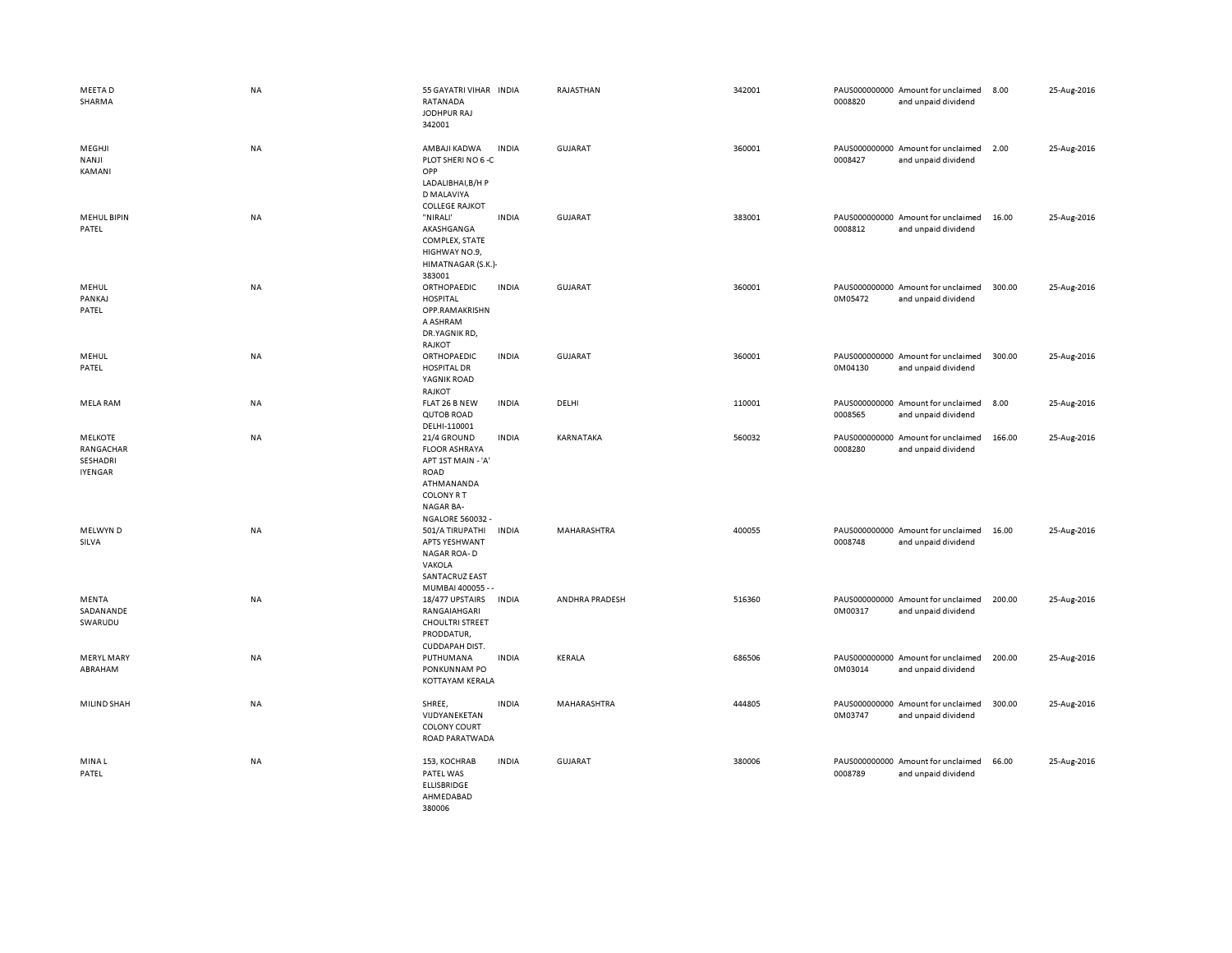| MEETA D<br>SHARMA                                  | NA        | 55 GAYATRI VIHAR INDIA<br>RATANADA<br>JODHPUR RAJ<br>342001                                                                                  |              | RAJASTHAN      | 342001 | 0008820 | PAUS000000000 Amount for unclaimed<br>and unpaid dividend | 8.00   | 25-Aug-2016 |
|----------------------------------------------------|-----------|----------------------------------------------------------------------------------------------------------------------------------------------|--------------|----------------|--------|---------|-----------------------------------------------------------|--------|-------------|
| MEGHJI<br>NANJI<br>KAMANI                          | <b>NA</b> | AMBAJI KADWA<br>PLOT SHERI NO 6-C<br>OPP<br>LADALIBHAI, B/H P<br>D MALAVIYA<br><b>COLLEGE RAJKOT</b>                                         | <b>INDIA</b> | <b>GUJARAT</b> | 360001 | 0008427 | PAUS000000000 Amount for unclaimed<br>and unpaid dividend | 2.00   | 25-Aug-2016 |
| <b>MEHUL BIPIN</b><br>PATEL                        | NA        | "NIRALI'<br>AKASHGANGA<br>COMPLEX, STATE<br>HIGHWAY NO.9,<br>HIMATNAGAR (S.K.)-<br>383001                                                    | <b>INDIA</b> | GUJARAT        | 383001 | 0008812 | PAUS000000000 Amount for unclaimed<br>and unpaid dividend | 16.00  | 25-Aug-2016 |
| MEHUL<br>PANKAJ<br>PATEL                           | NA        | ORTHOPAEDIC<br><b>HOSPITAL</b><br>OPP.RAMAKRISHN<br>A ASHRAM<br>DR.YAGNIK RD,<br>RAJKOT                                                      | <b>INDIA</b> | <b>GUJARAT</b> | 360001 | 0M05472 | PAUS000000000 Amount for unclaimed<br>and unpaid dividend | 300.00 | 25-Aug-2016 |
| MEHUL<br>PATEL                                     | <b>NA</b> | ORTHOPAEDIC<br><b>HOSPITAL DR</b><br>YAGNIK ROAD<br>RAJKOT                                                                                   | <b>INDIA</b> | GUJARAT        | 360001 | 0M04130 | PAUS000000000 Amount for unclaimed<br>and unpaid dividend | 300.00 | 25-Aug-2016 |
| <b>MELA RAM</b>                                    | NA        | FLAT 26 B NEW<br>QUTOB ROAD<br>DELHI-110001                                                                                                  | <b>INDIA</b> | DELHI          | 110001 | 0008565 | PAUS000000000 Amount for unclaimed<br>and unpaid dividend | 8.00   | 25-Aug-2016 |
| <b>MELKOTE</b><br>RANGACHAR<br>SESHADRI<br>IYENGAR | <b>NA</b> | 21/4 GROUND<br><b>FLOOR ASHRAYA</b><br>APT 1ST MAIN - 'A'<br>ROAD<br>ATHMANANDA<br><b>COLONY R T</b><br>NAGAR BA-<br><b>NGALORE 560032 -</b> | <b>INDIA</b> | KARNATAKA      | 560032 | 0008280 | PAUS000000000 Amount for unclaimed<br>and unpaid dividend | 166.00 | 25-Aug-2016 |
| MELWYN D<br>SILVA                                  | <b>NA</b> | 501/A TIRUPATHI<br><b>APTS YESHWANT</b><br>NAGAR ROA-D<br>VAKOLA<br><b>SANTACRUZ EAST</b><br>MUMBAI 400055 - -                               | <b>INDIA</b> | MAHARASHTRA    | 400055 | 0008748 | PAUS000000000 Amount for unclaimed<br>and unpaid dividend | 16.00  | 25-Aug-2016 |
| MENTA<br>SADANANDE<br>SWARUDU                      | NA        | 18/477 UPSTAIRS<br>RANGAIAHGARI<br><b>CHOULTRI STREET</b><br>PRODDATUR,<br>CUDDAPAH DIST.                                                    | <b>INDIA</b> | ANDHRA PRADESH | 516360 | 0M00317 | PAUS000000000 Amount for unclaimed<br>and unpaid dividend | 200.00 | 25-Aug-2016 |
| <b>MERYL MARY</b><br>ABRAHAM                       | NA        | PUTHUMANA<br>PONKUNNAM PO<br>KOTTAYAM KERALA                                                                                                 | <b>INDIA</b> | KERALA         | 686506 | 0M03014 | PAUS000000000 Amount for unclaimed<br>and unpaid dividend | 200.00 | 25-Aug-2016 |
| MILIND SHAH                                        | NA        | SHREE,<br>VIJDYANEKETAN<br><b>COLONY COURT</b><br>ROAD PARATWADA                                                                             | <b>INDIA</b> | MAHARASHTRA    | 444805 | 0M03747 | PAUS000000000 Amount for unclaimed<br>and unpaid dividend | 300.00 | 25-Aug-2016 |
| MINA L<br>PATEL                                    | NA        | 153, KOCHRAB<br>PATEL WAS<br><b>ELLISBRIDGE</b><br>AHMEDABAD<br>380006                                                                       | <b>INDIA</b> | <b>GUJARAT</b> | 380006 | 0008789 | PAUS000000000 Amount for unclaimed<br>and unpaid dividend | 66.00  | 25-Aug-2016 |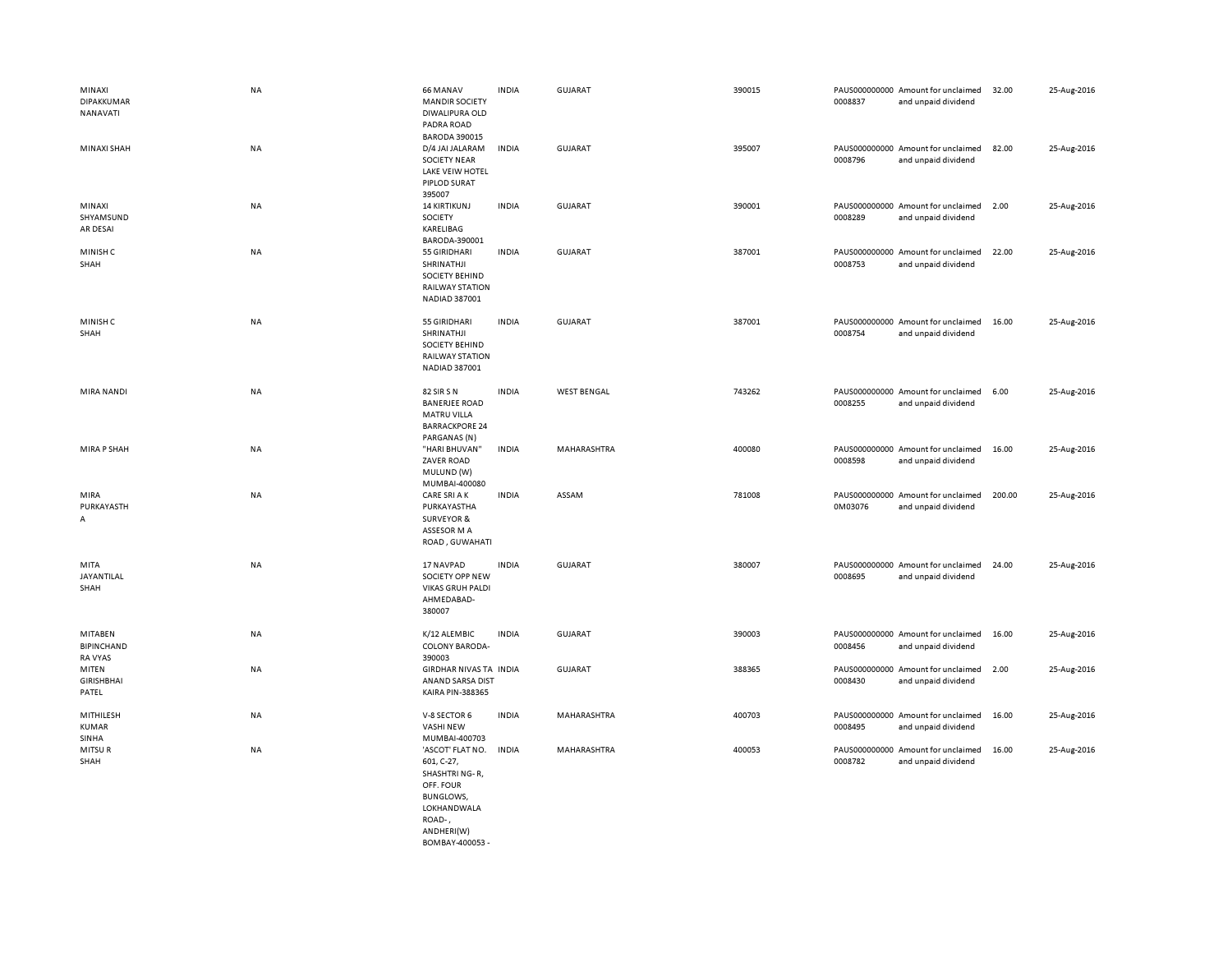| MINAXI<br>DIPAKKUMAR<br>NANAVATI        | <b>NA</b> | 66 MANAV<br><b>MANDIR SOCIETY</b><br>DIWALIPURA OLD<br>PADRA ROAD                                                        | <b>INDIA</b> | GUJARAT            | 390015 | 0008837                  | PAUS000000000 Amount for unclaimed<br>and unpaid dividend | 32.00  | 25-Aug-2016 |
|-----------------------------------------|-----------|--------------------------------------------------------------------------------------------------------------------------|--------------|--------------------|--------|--------------------------|-----------------------------------------------------------|--------|-------------|
| MINAXI SHAH                             | <b>NA</b> | <b>BARODA 390015</b><br>D/4 JAI JALARAM<br><b>SOCIETY NEAR</b><br>LAKE VEIW HOTEL<br><b>PIPLOD SURAT</b><br>395007       | <b>INDIA</b> | GUJARAT            | 395007 | 0008796                  | PAUS000000000 Amount for unclaimed<br>and unpaid dividend | 82.00  | 25-Aug-2016 |
| MINAXI<br>SHYAMSUND<br>AR DESAI         | <b>NA</b> | <b>14 KIRTIKUNJ</b><br>SOCIETY<br>KARELIBAG<br>BARODA-390001                                                             | <b>INDIA</b> | <b>GUJARAT</b>     | 390001 | 0008289                  | PAUS000000000 Amount for unclaimed<br>and unpaid dividend | 2.00   | 25-Aug-2016 |
| MINISH C<br>SHAH                        | NA        | 55 GIRIDHARI<br>SHRINATHJI<br><b>SOCIETY BEHIND</b><br><b>RAILWAY STATION</b><br>NADIAD 387001                           | <b>INDIA</b> | <b>GUJARAT</b>     | 387001 | 0008753                  | PAUS000000000 Amount for unclaimed<br>and unpaid dividend | 22.00  | 25-Aug-2016 |
| MINISH C<br>SHAH                        | <b>NA</b> | 55 GIRIDHARI<br>SHRINATHJI<br>SOCIETY BEHIND<br><b>RAILWAY STATION</b><br>NADIAD 387001                                  | <b>INDIA</b> | <b>GUJARAT</b>     | 387001 | 0008754                  | PAUS000000000 Amount for unclaimed<br>and unpaid dividend | 16.00  | 25-Aug-2016 |
| <b>MIRA NANDI</b>                       | <b>NA</b> | 82 SIR SN<br><b>BANERJEE ROAD</b><br><b>MATRU VILLA</b><br><b>BARRACKPORE 24</b><br>PARGANAS (N)                         | <b>INDIA</b> | <b>WEST BENGAL</b> | 743262 | 0008255                  | PAUS000000000 Amount for unclaimed<br>and unpaid dividend | 6.00   | 25-Aug-2016 |
| <b>MIRA P SHAH</b>                      | <b>NA</b> | "HARI BHUVAN'<br>ZAVER ROAD<br>MULUND (W)<br>MUMBAI-400080                                                               | <b>INDIA</b> | MAHARASHTRA        | 400080 | 0008598                  | PAUS000000000 Amount for unclaimed<br>and unpaid dividend | 16.00  | 25-Aug-2016 |
| MIRA<br>PURKAYASTH<br>A                 | <b>NA</b> | <b>CARE SRI A K</b><br>PURKAYASTHA<br><b>SURVEYOR &amp;</b><br>ASSESOR M A<br>ROAD, GUWAHATI                             | <b>INDIA</b> | ASSAM              | 781008 | 0M03076                  | PAUS000000000 Amount for unclaimed<br>and unpaid dividend | 200.00 | 25-Aug-2016 |
| MITA<br>JAYANTILAL<br>SHAH              | <b>NA</b> | 17 NAVPAD<br>SOCIETY OPP NEW<br><b>VIKAS GRUH PALDI</b><br>AHMEDABAD-<br>380007                                          | <b>INDIA</b> | GUJARAT            | 380007 | PAUS000000000<br>0008695 | Amount for unclaimed<br>and unpaid dividend               | 24.00  | 25-Aug-2016 |
| MITABEN<br><b>BIPINCHAND</b><br>RA VYAS | <b>NA</b> | K/12 ALEMBIC<br><b>COLONY BARODA-</b><br>390003                                                                          | <b>INDIA</b> | <b>GUJARAT</b>     | 390003 | 0008456                  | PAUS000000000 Amount for unclaimed<br>and unpaid dividend | 16.00  | 25-Aug-2016 |
| MITEN<br><b>GIRISHBHAI</b><br>PATEL     | <b>NA</b> | GIRDHAR NIVAS TA INDIA<br>ANAND SARSA DIST<br><b>KAIRA PIN-388365</b>                                                    |              | <b>GUJARAT</b>     | 388365 | 0008430                  | PAUS000000000 Amount for unclaimed<br>and unpaid dividend | 2.00   | 25-Aug-2016 |
| MITHILESH<br>KUMAR<br>SINHA             | <b>NA</b> | V-8 SECTOR 6<br><b>VASHI NEW</b><br>MUMBAI-400703                                                                        | <b>INDIA</b> | MAHARASHTRA        | 400703 | 0008495                  | PAUS000000000 Amount for unclaimed<br>and unpaid dividend | 16.00  | 25-Aug-2016 |
| MITSUR<br>SHAH                          | <b>NA</b> | 'ASCOT' FLAT NO.<br>601, C-27,<br>SHASHTRI NG-R,<br>OFF. FOUR<br><b>BUNGLOWS,</b><br>LOKHANDWALA<br>ROAD-,<br>ANDHERI(W) | <b>INDIA</b> | MAHARASHTRA        | 400053 | 0008782                  | PAUS000000000 Amount for unclaimed<br>and unpaid dividend | 16.00  | 25-Aug-2016 |

BOMBAY-400053 -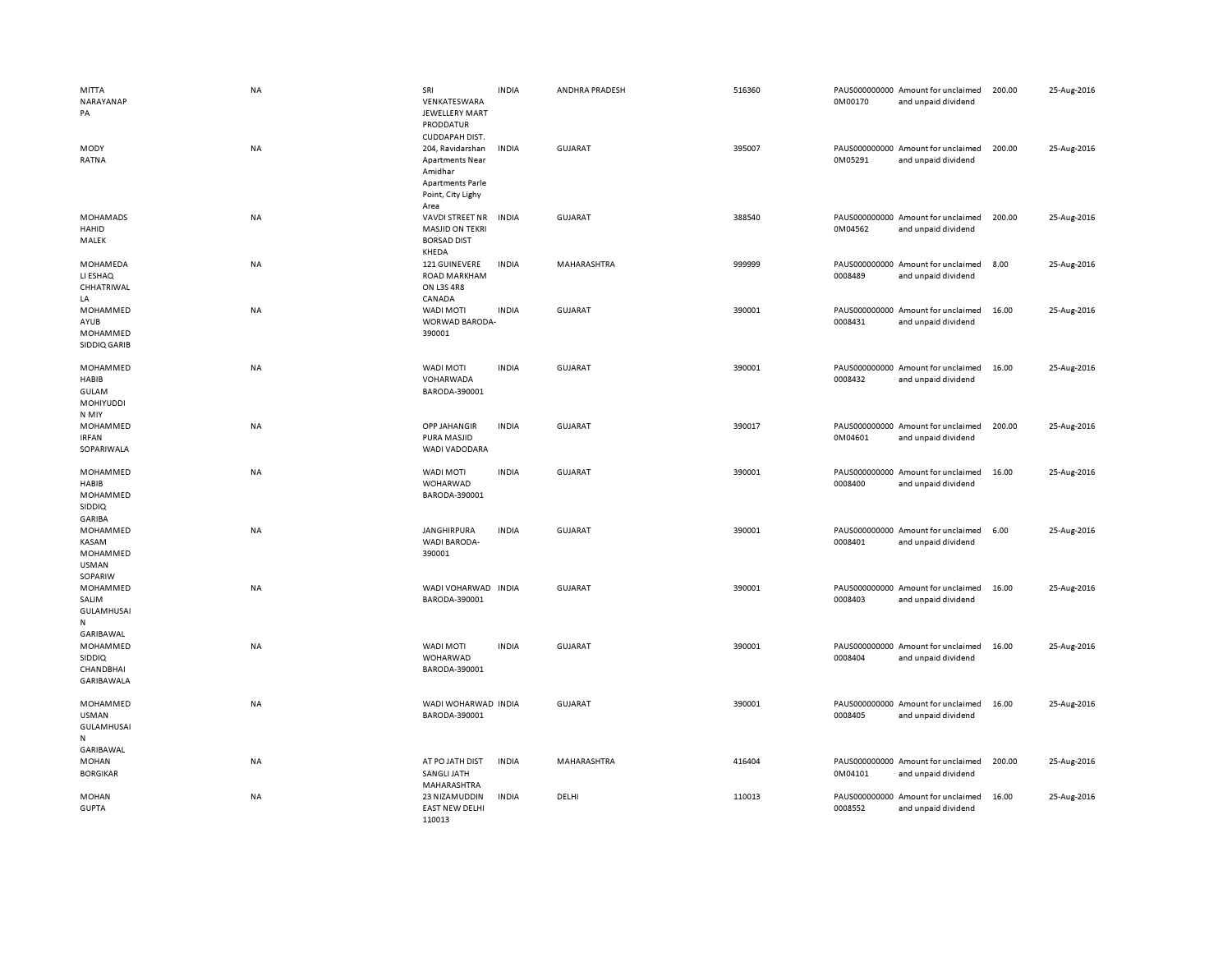| MITTA<br>NARAYANAP<br>PA                                                 | <b>NA</b> | SRI<br>VENKATESWARA<br>JEWELLERY MART<br>PRODDATUR                                                                              | <b>INDIA</b> | ANDHRA PRADESH | 516360 | 0M00170 | PAUS000000000 Amount for unclaimed<br>and unpaid dividend | 200.00 | 25-Aug-2016 |
|--------------------------------------------------------------------------|-----------|---------------------------------------------------------------------------------------------------------------------------------|--------------|----------------|--------|---------|-----------------------------------------------------------|--------|-------------|
| MODY<br>RATNA                                                            | <b>NA</b> | CUDDAPAH DIST.<br>204, Ravidarshan<br><b>Apartments Near</b><br>Amidhar<br><b>Apartments Parle</b><br>Point, City Lighy<br>Area | <b>INDIA</b> | <b>GUJARAT</b> | 395007 | 0M05291 | PAUS000000000 Amount for unclaimed<br>and unpaid dividend | 200.00 | 25-Aug-2016 |
| <b>MOHAMADS</b><br>HAHID<br>MALEK                                        | NA        | VAVDI STREET NR<br><b>MASJID ON TEKRI</b><br><b>BORSAD DIST</b><br>KHEDA                                                        | INDIA        | <b>GUJARAT</b> | 388540 | 0M04562 | PAUS000000000 Amount for unclaimed<br>and unpaid dividend | 200.00 | 25-Aug-2016 |
| MOHAMEDA<br>LI ESHAQ<br>CHHATRIWAL<br>LA                                 | <b>NA</b> | 121 GUINEVERE<br><b>ROAD MARKHAM</b><br><b>ON L3S 4R8</b><br>CANADA                                                             | <b>INDIA</b> | MAHARASHTRA    | 999999 | 0008489 | PAUS000000000 Amount for unclaimed<br>and unpaid dividend | 8.00   | 25-Aug-2016 |
| MOHAMMED<br>AYUB<br>MOHAMMED<br>SIDDIQ GARIB                             | NA        | WADI MOTI<br>WORWAD BARODA-<br>390001                                                                                           | <b>INDIA</b> | <b>GUJARAT</b> | 390001 | 0008431 | PAUS000000000 Amount for unclaimed<br>and unpaid dividend | 16.00  | 25-Aug-2016 |
| MOHAMMED<br>HABIB<br><b>GULAM</b><br><b>MOHIYUDDI</b><br>N MIY           | <b>NA</b> | <b>WADI MOTI</b><br>VOHARWADA<br>BARODA-390001                                                                                  | <b>INDIA</b> | <b>GUJARAT</b> | 390001 | 0008432 | PAUS000000000 Amount for unclaimed<br>and unpaid dividend | 16.00  | 25-Aug-2016 |
| MOHAMMED<br><b>IRFAN</b><br>SOPARIWALA                                   | NA        | <b>OPP JAHANGIR</b><br>PURA MASJID<br>WADI VADODARA                                                                             | <b>INDIA</b> | GUJARAT        | 390017 | 0M04601 | PAUS000000000 Amount for unclaimed<br>and unpaid dividend | 200.00 | 25-Aug-2016 |
| MOHAMMED<br><b>HABIB</b><br>MOHAMMED<br>SIDDIQ<br>GARIBA                 | <b>NA</b> | WADI MOTI<br>WOHARWAD<br>BARODA-390001                                                                                          | <b>INDIA</b> | <b>GUJARAT</b> | 390001 | 0008400 | PAUS000000000 Amount for unclaimed<br>and unpaid dividend | 16.00  | 25-Aug-2016 |
| MOHAMMED<br>KASAM<br>MOHAMMED<br><b>USMAN</b><br>SOPARIW                 | NA        | JANGHIRPURA<br><b>WADI BARODA-</b><br>390001                                                                                    | <b>INDIA</b> | <b>GUJARAT</b> | 390001 | 0008401 | PAUS000000000 Amount for unclaimed<br>and unpaid dividend | 6.00   | 25-Aug-2016 |
| MOHAMMED<br>SALIM<br><b>GULAMHUSAI</b><br>${\sf N}$                      | <b>NA</b> | WADI VOHARWAD<br>BARODA-390001                                                                                                  | <b>INDIA</b> | <b>GUJARAT</b> | 390001 | 0008403 | PAUS000000000 Amount for unclaimed<br>and unpaid dividend | 16.00  | 25-Aug-2016 |
| GARIBAWAL<br>MOHAMMED<br><b>SIDDIQ</b><br><b>CHANDBHAI</b><br>GARIBAWALA | NA        | <b>WADI MOTI</b><br>WOHARWAD<br>BARODA-390001                                                                                   | <b>INDIA</b> | <b>GUJARAT</b> | 390001 | 0008404 | PAUS000000000 Amount for unclaimed<br>and unpaid dividend | 16.00  | 25-Aug-2016 |
| MOHAMMED<br><b>USMAN</b><br><b>GULAMHUSAI</b><br>N<br>GARIBAWAL          | <b>NA</b> | WADI WOHARWAD INDIA<br>BARODA-390001                                                                                            |              | <b>GUJARAT</b> | 390001 | 0008405 | PAUS000000000 Amount for unclaimed<br>and unpaid dividend | 16.00  | 25-Aug-2016 |
| MOHAN<br><b>BORGIKAR</b>                                                 | NA        | AT PO JATH DIST<br>SANGLI JATH<br>MAHARASHTRA                                                                                   | <b>INDIA</b> | MAHARASHTRA    | 416404 | 0M04101 | PAUS000000000 Amount for unclaimed<br>and unpaid dividend | 200.00 | 25-Aug-2016 |
| <b>MOHAN</b><br><b>GUPTA</b>                                             | <b>NA</b> | 23 NIZAMUDDIN<br><b>EAST NEW DELHI</b><br>110013                                                                                | <b>INDIA</b> | DELHI          | 110013 | 0008552 | PAUS000000000 Amount for unclaimed<br>and unpaid dividend | 16.00  | 25-Aug-2016 |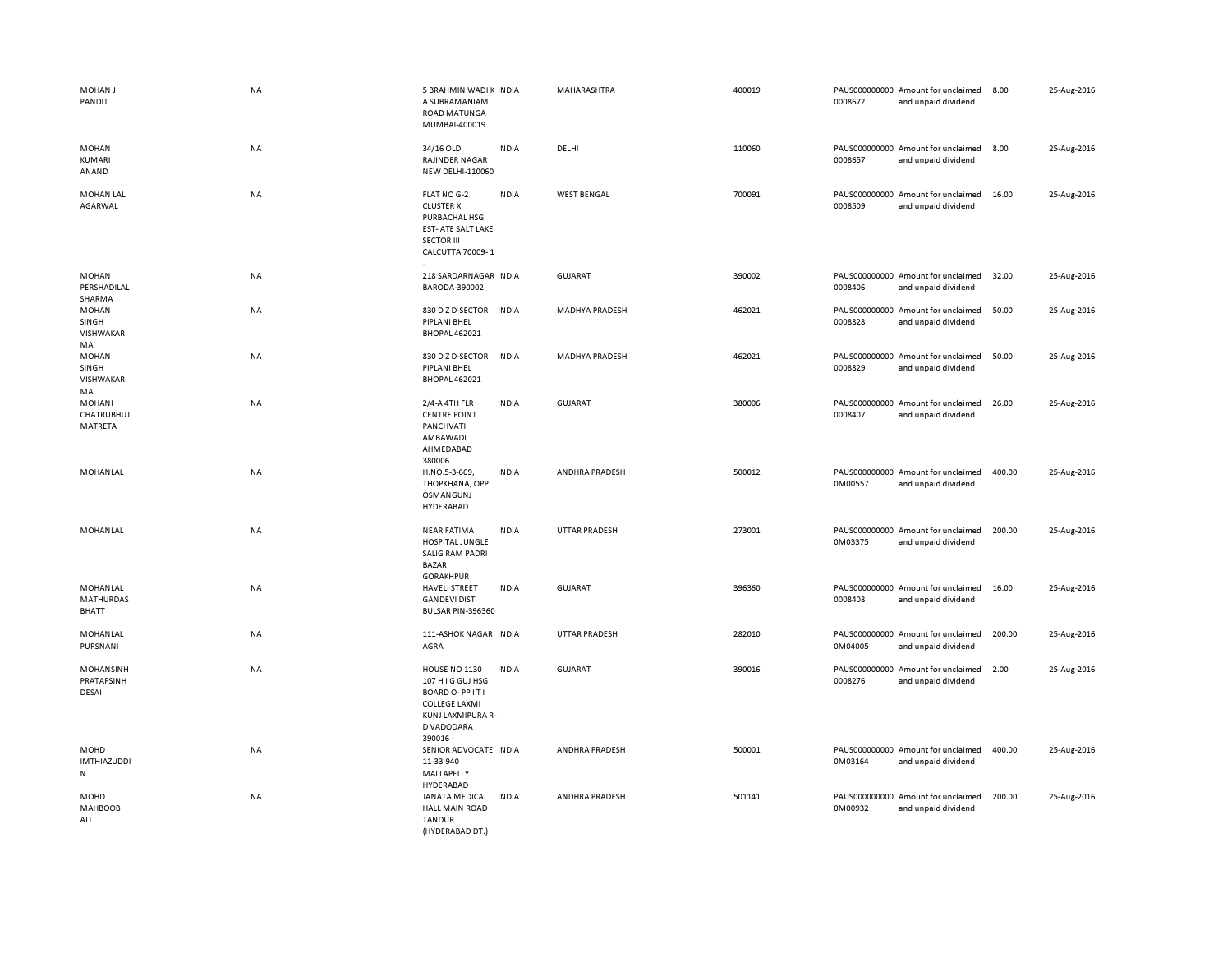| MOHAN J<br>PANDIT                              | <b>NA</b> | 5 BRAHMIN WADI K INDIA<br>A SUBRAMANIAM<br><b>ROAD MATUNGA</b><br>MUMBAI-400019                                                   |              | MAHARASHTRA           | 400019 | 0008672 | PAUS000000000 Amount for unclaimed<br>and unpaid dividend | 8.00   | 25-Aug-2016 |
|------------------------------------------------|-----------|-----------------------------------------------------------------------------------------------------------------------------------|--------------|-----------------------|--------|---------|-----------------------------------------------------------|--------|-------------|
| <b>MOHAN</b><br>KUMARI<br>ANAND                | NA        | 34/16 OLD<br><b>RAJINDER NAGAR</b><br><b>NEW DELHI-110060</b>                                                                     | <b>INDIA</b> | DELHI                 | 110060 | 0008657 | PAUS000000000 Amount for unclaimed<br>and unpaid dividend | 8.00   | 25-Aug-2016 |
| <b>MOHAN LAL</b><br>AGARWAL                    | NA        | FLAT NO G-2<br><b>CLUSTER X</b><br>PURBACHAL HSG<br>EST- ATE SALT LAKE<br><b>SECTOR III</b><br>CALCUTTA 70009-1                   | <b>INDIA</b> | <b>WEST BENGAL</b>    | 700091 | 0008509 | PAUS000000000 Amount for unclaimed<br>and unpaid dividend | 16.00  | 25-Aug-2016 |
| MOHAN<br>PERSHADILAL<br>SHARMA                 | <b>NA</b> | 218 SARDARNAGAR INDIA<br>BARODA-390002                                                                                            |              | <b>GUJARAT</b>        | 390002 | 0008406 | PAUS000000000 Amount for unclaimed<br>and unpaid dividend | 32.00  | 25-Aug-2016 |
| <b>MOHAN</b><br>SINGH<br>VISHWAKAR<br>MA       | <b>NA</b> | 830 D Z D-SECTOR<br>PIPLANI BHEL<br><b>BHOPAL 462021</b>                                                                          | <b>INDIA</b> | <b>MADHYA PRADESH</b> | 462021 | 0008828 | PAUS000000000 Amount for unclaimed<br>and unpaid dividend | 50.00  | 25-Aug-2016 |
| <b>MOHAN</b><br>SINGH<br>VISHWAKAR<br>MA       | NA        | 830 D Z D-SECTOR INDIA<br>PIPLANI BHEL<br><b>BHOPAL 462021</b>                                                                    |              | <b>MADHYA PRADESH</b> | 462021 | 0008829 | PAUS000000000 Amount for unclaimed<br>and unpaid dividend | 50.00  | 25-Aug-2016 |
| <b>MOHANI</b><br>CHATRUBHUJ<br>MATRETA         | NA        | 2/4-A 4TH FLR<br><b>CENTRE POINT</b><br>PANCHVATI<br>AMBAWADI<br>AHMEDABAD<br>380006                                              | <b>INDIA</b> | <b>GUJARAT</b>        | 380006 | 0008407 | PAUS000000000 Amount for unclaimed<br>and unpaid dividend | 26.00  | 25-Aug-2016 |
| MOHANLAL                                       | <b>NA</b> | H.NO.5-3-669,<br>THOPKHANA, OPP.<br>OSMANGUNJ<br>HYDERABAD                                                                        | <b>INDIA</b> | ANDHRA PRADESH        | 500012 | 0M00557 | PAUS000000000 Amount for unclaimed<br>and unpaid dividend | 400.00 | 25-Aug-2016 |
| MOHANLAL                                       | NA        | <b>NEAR FATIMA</b><br>HOSPITAL JUNGLE<br><b>SALIG RAM PADRI</b><br><b>BAZAR</b><br><b>GORAKHPUR</b>                               | <b>INDIA</b> | <b>UTTAR PRADESH</b>  | 273001 | 0M03375 | PAUS000000000 Amount for unclaimed<br>and unpaid dividend | 200.00 | 25-Aug-2016 |
| MOHANLAL<br><b>MATHURDAS</b><br><b>BHATT</b>   | NA        | <b>HAVELI STREET</b><br><b>GANDEVI DIST</b><br>BULSAR PIN-396360                                                                  | <b>INDIA</b> | <b>GUJARAT</b>        | 396360 | 0008408 | PAUS000000000 Amount for unclaimed<br>and unpaid dividend | 16.00  | 25-Aug-2016 |
| MOHANLAL<br>PURSNANI                           | NA        | 111-ASHOK NAGAR INDIA<br>AGRA                                                                                                     |              | <b>UTTAR PRADESH</b>  | 282010 | 0M04005 | PAUS000000000 Amount for unclaimed<br>and unpaid dividend | 200.00 | 25-Aug-2016 |
| MOHANSINH<br>PRATAPSINH<br>DESAI               | <b>NA</b> | <b>HOUSE NO 1130</b><br>107 H I G GUJ HSG<br>BOARD O-PPITI<br><b>COLLEGE LAXMI</b><br>KUNJ LAXMIPURA R-<br>D VADODARA<br>390016 - | <b>INDIA</b> | <b>GUJARAT</b>        | 390016 | 0008276 | PAUS000000000 Amount for unclaimed<br>and unpaid dividend | 2.00   | 25-Aug-2016 |
| <b>MOHD</b><br><b>IMTHIAZUDDI</b><br>${\sf N}$ | <b>NA</b> | SENIOR ADVOCATE INDIA<br>11-33-940<br>MALLAPELLY<br>HYDERABAD                                                                     |              | ANDHRA PRADESH        | 500001 | 0M03164 | PAUS000000000 Amount for unclaimed<br>and unpaid dividend | 400.00 | 25-Aug-2016 |
| MOHD<br>MAHBOOB<br>ALI                         | <b>NA</b> | JANATA MEDICAL<br><b>HALL MAIN ROAD</b><br><b>TANDUR</b><br>(HYDERABAD DT.)                                                       | <b>INDIA</b> | ANDHRA PRADESH        | 501141 | 0M00932 | PAUS000000000 Amount for unclaimed<br>and unpaid dividend | 200.00 | 25-Aug-2016 |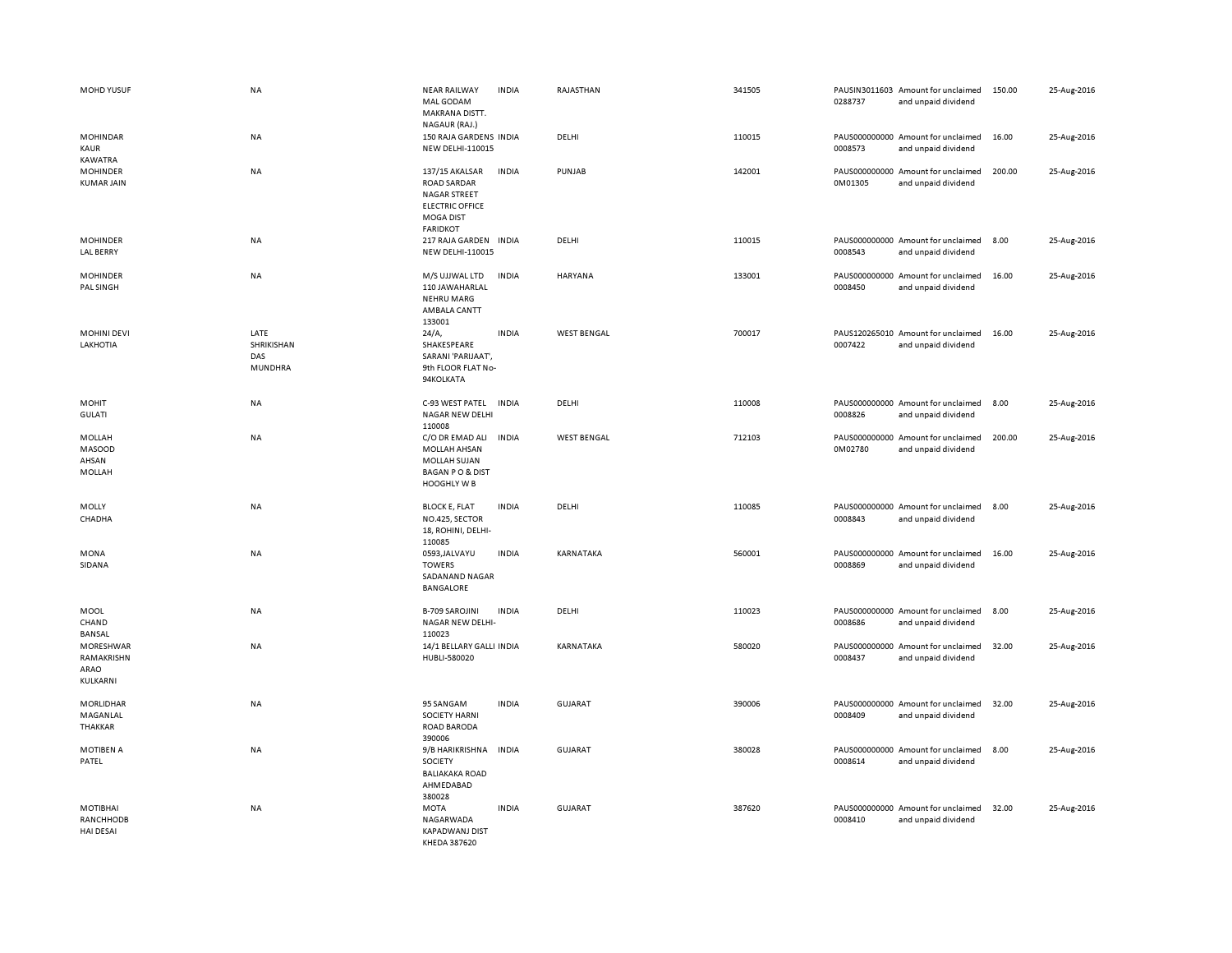| MOHD YUSUF                                  | <b>NA</b>                            | <b>NEAR RAILWAY</b><br><b>INDIA</b><br>MAL GODAM<br>MAKRANA DISTT.<br>NAGAUR (RAJ.)                                                   | RAJASTHAN          | 341505 | 0288737 | PAUSIN3011603 Amount for unclaimed<br>and unpaid dividend | 150.00 | 25-Aug-2016 |
|---------------------------------------------|--------------------------------------|---------------------------------------------------------------------------------------------------------------------------------------|--------------------|--------|---------|-----------------------------------------------------------|--------|-------------|
| <b>MOHINDAR</b><br>KAUR<br>KAWATRA          | <b>NA</b>                            | 150 RAJA GARDENS INDIA<br>NEW DELHI-110015                                                                                            | DELHI              | 110015 | 0008573 | PAUS000000000 Amount for unclaimed<br>and unpaid dividend | 16.00  | 25-Aug-2016 |
| <b>MOHINDER</b><br><b>KUMAR JAIN</b>        | <b>NA</b>                            | 137/15 AKALSAR<br><b>INDIA</b><br>ROAD SARDAR<br><b>NAGAR STREET</b><br><b>ELECTRIC OFFICE</b><br><b>MOGA DIST</b><br><b>FARIDKOT</b> | PUNJAB             | 142001 | 0M01305 | PAUS000000000 Amount for unclaimed<br>and unpaid dividend | 200.00 | 25-Aug-2016 |
| <b>MOHINDER</b><br><b>LAL BERRY</b>         | NA                                   | 217 RAJA GARDEN INDIA<br>NEW DELHI-110015                                                                                             | DELHI              | 110015 | 0008543 | PAUS000000000 Amount for unclaimed<br>and unpaid dividend | 8.00   | 25-Aug-2016 |
| <b>MOHINDER</b><br>PAL SINGH                | NA                                   | M/S UJJWAL LTD<br><b>INDIA</b><br>110 JAWAHARLAL<br><b>NEHRU MARG</b><br>AMBALA CANTT<br>133001                                       | HARYANA            | 133001 | 0008450 | PAUS000000000 Amount for unclaimed<br>and unpaid dividend | 16.00  | 25-Aug-2016 |
| <b>MOHINI DEVI</b><br>LAKHOTIA              | LATE<br>SHRIKISHAN<br>DAS<br>MUNDHRA | 24/A,<br><b>INDIA</b><br>SHAKESPEARE<br>SARANI 'PARIJAAT',<br>9th FLOOR FLAT No-<br>94KOLKATA                                         | <b>WEST BENGAL</b> | 700017 | 0007422 | PAUS120265010 Amount for unclaimed<br>and unpaid dividend | 16.00  | 25-Aug-2016 |
| MOHIT<br><b>GULATI</b>                      | NA                                   | C-93 WEST PATEL INDIA<br><b>NAGAR NEW DELHI</b><br>110008                                                                             | DELHI              | 110008 | 0008826 | PAUS000000000 Amount for unclaimed<br>and unpaid dividend | 8.00   | 25-Aug-2016 |
| MOLLAH<br><b>MASOOD</b><br>AHSAN<br>MOLLAH  | <b>NA</b>                            | C/O DR EMAD ALI<br><b>INDIA</b><br>MOLLAH AHSAN<br>MOLLAH SUJAN<br><b>BAGAN PO &amp; DIST</b><br><b>HOOGHLY W B</b>                   | <b>WEST BENGAL</b> | 712103 | 0M02780 | PAUS000000000 Amount for unclaimed<br>and unpaid dividend | 200.00 | 25-Aug-2016 |
| MOLLY<br>CHADHA                             | NA                                   | <b>BLOCK E, FLAT</b><br><b>INDIA</b><br>NO.425, SECTOR<br>18, ROHINI, DELHI-<br>110085                                                | DELHI              | 110085 | 0008843 | PAUS000000000 Amount for unclaimed<br>and unpaid dividend | 8.00   | 25-Aug-2016 |
| MONA<br>SIDANA                              | <b>NA</b>                            | 0593, JALVAYU<br><b>INDIA</b><br><b>TOWERS</b><br>SADANAND NAGAR<br><b>BANGALORE</b>                                                  | KARNATAKA          | 560001 | 0008869 | PAUS000000000 Amount for unclaimed<br>and unpaid dividend | 16.00  | 25-Aug-2016 |
| <b>MOOL</b><br>CHAND<br>BANSAL              | <b>NA</b>                            | <b>B-709 SAROJINI</b><br><b>INDIA</b><br>NAGAR NEW DELHI-<br>110023                                                                   | DELHI              | 110023 | 0008686 | PAUS000000000 Amount for unclaimed<br>and unpaid dividend | 8.00   | 25-Aug-2016 |
| MORESHWAR<br>RAMAKRISHN<br>ARAO<br>KULKARNI | <b>NA</b>                            | 14/1 BELLARY GALLI INDIA<br>HUBLI-580020                                                                                              | KARNATAKA          | 580020 | 0008437 | PAUS000000000 Amount for unclaimed<br>and unpaid dividend | 32.00  | 25-Aug-2016 |
| MORLIDHAR<br>MAGANLAL<br>THAKKAR            | NA                                   | 95 SANGAM<br><b>INDIA</b><br><b>SOCIETY HARNI</b><br>ROAD BARODA<br>390006                                                            | GUJARAT            | 390006 | 0008409 | PAUS000000000 Amount for unclaimed<br>and unpaid dividend | 32.00  | 25-Aug-2016 |
| <b>MOTIBEN A</b><br>PATEL                   | NA                                   | <b>INDIA</b><br>9/B HARIKRISHNA<br><b>SOCIETY</b><br><b>BALIAKAKA ROAD</b><br>AHMEDABAD<br>380028                                     | GUJARAT            | 380028 | 0008614 | PAUS000000000 Amount for unclaimed<br>and unpaid dividend | 8.00   | 25-Aug-2016 |
| MOTIBHAI<br>RANCHHODB<br><b>HAI DESAI</b>   | <b>NA</b>                            | <b>INDIA</b><br><b>MOTA</b><br>NAGARWADA<br><b>KAPADWANJ DIST</b><br>KHEDA 387620                                                     | <b>GUJARAT</b>     | 387620 | 0008410 | PAUS000000000 Amount for unclaimed<br>and unpaid dividend | 32.00  | 25-Aug-2016 |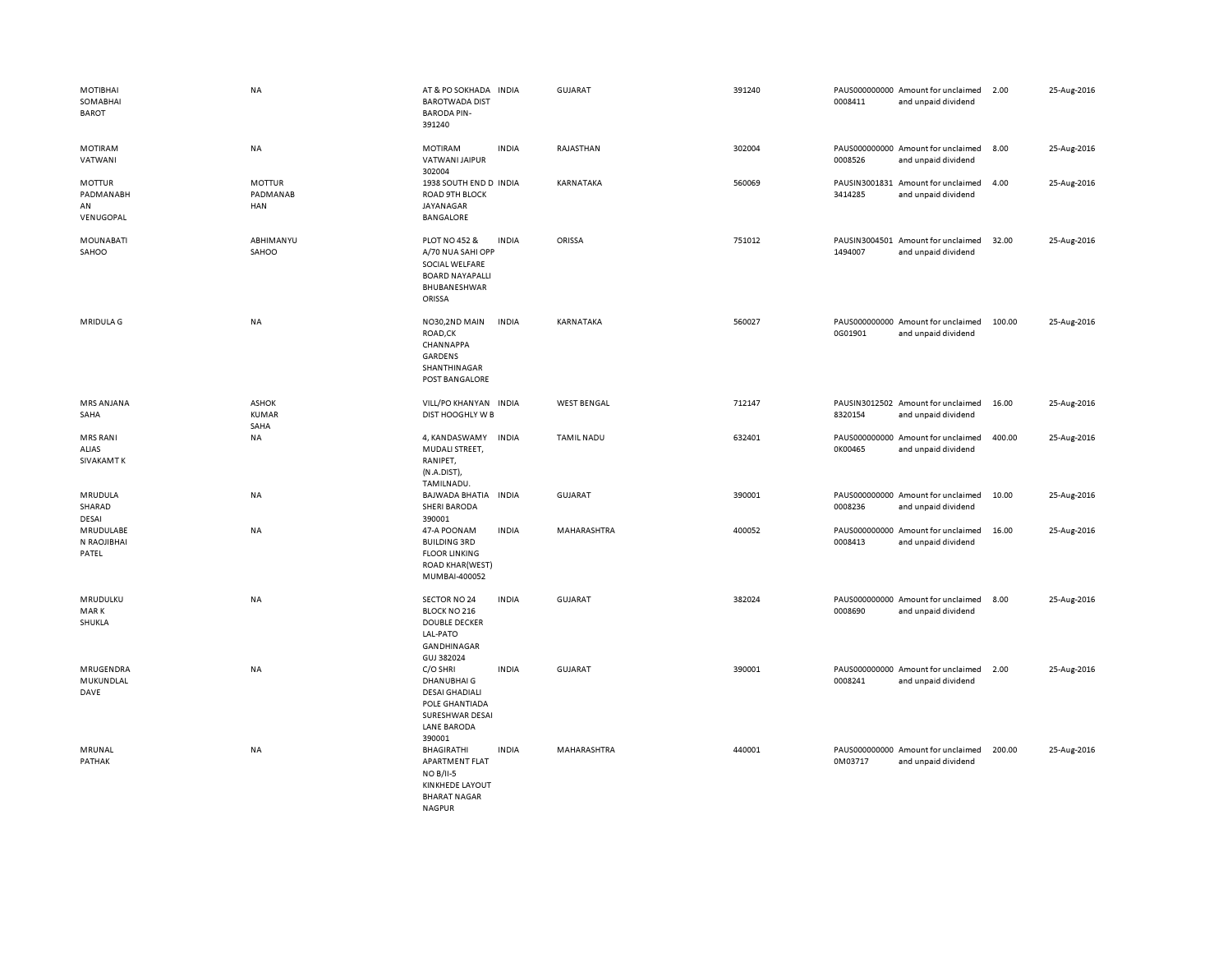| MOTIBHAI<br>SOMABHAI<br>BAROT                 | <b>NA</b>                            | AT & PO SOKHADA INDIA<br><b>BAROTWADA DIST</b><br><b>BARODA PIN-</b><br>391240                                            |              | GUJARAT            | 391240 | 0008411                  | PAUS000000000 Amount for unclaimed<br>and unpaid dividend | 2.00   | 25-Aug-2016 |
|-----------------------------------------------|--------------------------------------|---------------------------------------------------------------------------------------------------------------------------|--------------|--------------------|--------|--------------------------|-----------------------------------------------------------|--------|-------------|
| <b>MOTIRAM</b><br>VATWANI                     | NA                                   | <b>MOTIRAM</b><br><b>VATWANI JAIPUR</b><br>302004                                                                         | <b>INDIA</b> | RAJASTHAN          | 302004 | 0008526                  | PAUS000000000 Amount for unclaimed<br>and unpaid dividend | 8.00   | 25-Aug-2016 |
| <b>MOTTUR</b><br>PADMANABH<br>AN<br>VENUGOPAL | <b>MOTTUR</b><br>PADMANAB<br>HAN     | 1938 SOUTH END D INDIA<br>ROAD 9TH BLOCK<br>JAYANAGAR<br><b>BANGALORE</b>                                                 |              | KARNATAKA          | 560069 | 3414285                  | PAUSIN3001831 Amount for unclaimed<br>and unpaid dividend | 4.00   | 25-Aug-2016 |
| <b>MOUNABATI</b><br>SAHOO                     | ABHIMANYU<br>SAHOO                   | <b>PLOT NO 452 &amp;</b><br>A/70 NUA SAHI OPP<br>SOCIAL WELFARE<br><b>BOARD NAYAPALLI</b><br>BHUBANESHWAR<br>ORISSA       | <b>INDIA</b> | ORISSA             | 751012 | 1494007                  | PAUSIN3004501 Amount for unclaimed<br>and unpaid dividend | 32.00  | 25-Aug-2016 |
| MRIDULA G                                     | NA                                   | NO30,2ND MAIN<br>ROAD,CK<br>CHANNAPPA<br>GARDENS<br>SHANTHINAGAR<br>POST BANGALORE                                        | <b>INDIA</b> | KARNATAKA          | 560027 | 0G01901                  | PAUS000000000 Amount for unclaimed<br>and unpaid dividend | 100.00 | 25-Aug-2016 |
| <b>MRS ANJANA</b><br>SAHA                     | <b>ASHOK</b><br><b>KUMAR</b><br>SAHA | VILL/PO KHANYAN INDIA<br>DIST HOOGHLY W B                                                                                 |              | <b>WEST BENGAL</b> | 712147 | 8320154                  | PAUSIN3012502 Amount for unclaimed<br>and unpaid dividend | 16.00  | 25-Aug-2016 |
| <b>MRS RANI</b><br>ALIAS<br><b>SIVAKAMT K</b> | <b>NA</b>                            | 4, KANDASWAMY<br>MUDALI STREET,<br>RANIPET,<br>(N.A.DIST),<br>TAMILNADU.                                                  | <b>INDIA</b> | TAMIL NADU         | 632401 | 0K00465                  | PAUS000000000 Amount for unclaimed<br>and unpaid dividend | 400.00 | 25-Aug-2016 |
| MRUDULA<br>SHARAD<br>DESAI                    | NA                                   | BAJWADA BHATIA INDIA<br><b>SHERI BARODA</b><br>390001                                                                     |              | <b>GUJARAT</b>     | 390001 | 0008236                  | PAUS000000000 Amount for unclaimed<br>and unpaid dividend | 10.00  | 25-Aug-2016 |
| MRUDULABE<br>N RAOJIBHAI<br>PATEL             | NA                                   | 47-A POONAM<br><b>BUILDING 3RD</b><br><b>FLOOR LINKING</b><br><b>ROAD KHAR(WEST)</b><br>MUMBAI-400052                     | <b>INDIA</b> | MAHARASHTRA        | 400052 | PAUS000000000<br>0008413 | Amount for unclaimed<br>and unpaid dividend               | 16.00  | 25-Aug-2016 |
| MRUDULKU<br><b>MARK</b><br>SHUKLA             | NA                                   | SECTOR NO 24<br>BLOCK NO 216<br><b>DOUBLE DECKER</b><br>LAL-PATO<br>GANDHINAGAR<br>GUJ 382024                             | <b>INDIA</b> | <b>GUJARAT</b>     | 382024 | 0008690                  | PAUS000000000 Amount for unclaimed<br>and unpaid dividend | 8.00   | 25-Aug-2016 |
| MRUGENDRA<br>MUKUNDLAL<br>DAVE                | NA                                   | C/O SHRI<br>DHANUBHAI G<br><b>DESAI GHADIALI</b><br>POLE GHANTIADA<br>SURESHWAR DESAI<br><b>LANE BARODA</b><br>390001     | <b>INDIA</b> | <b>GUJARAT</b>     | 390001 | 0008241                  | PAUS000000000 Amount for unclaimed<br>and unpaid dividend | 2.00   | 25-Aug-2016 |
| MRUNAL<br>PATHAK                              | <b>NA</b>                            | <b>BHAGIRATHI</b><br>APARTMENT FLAT<br><b>NO B/II-5</b><br><b>KINKHEDE LAYOUT</b><br><b>BHARAT NAGAR</b><br><b>NAGPUR</b> | <b>INDIA</b> | MAHARASHTRA        | 440001 | 0M03717                  | PAUS000000000 Amount for unclaimed<br>and unpaid dividend | 200.00 | 25-Aug-2016 |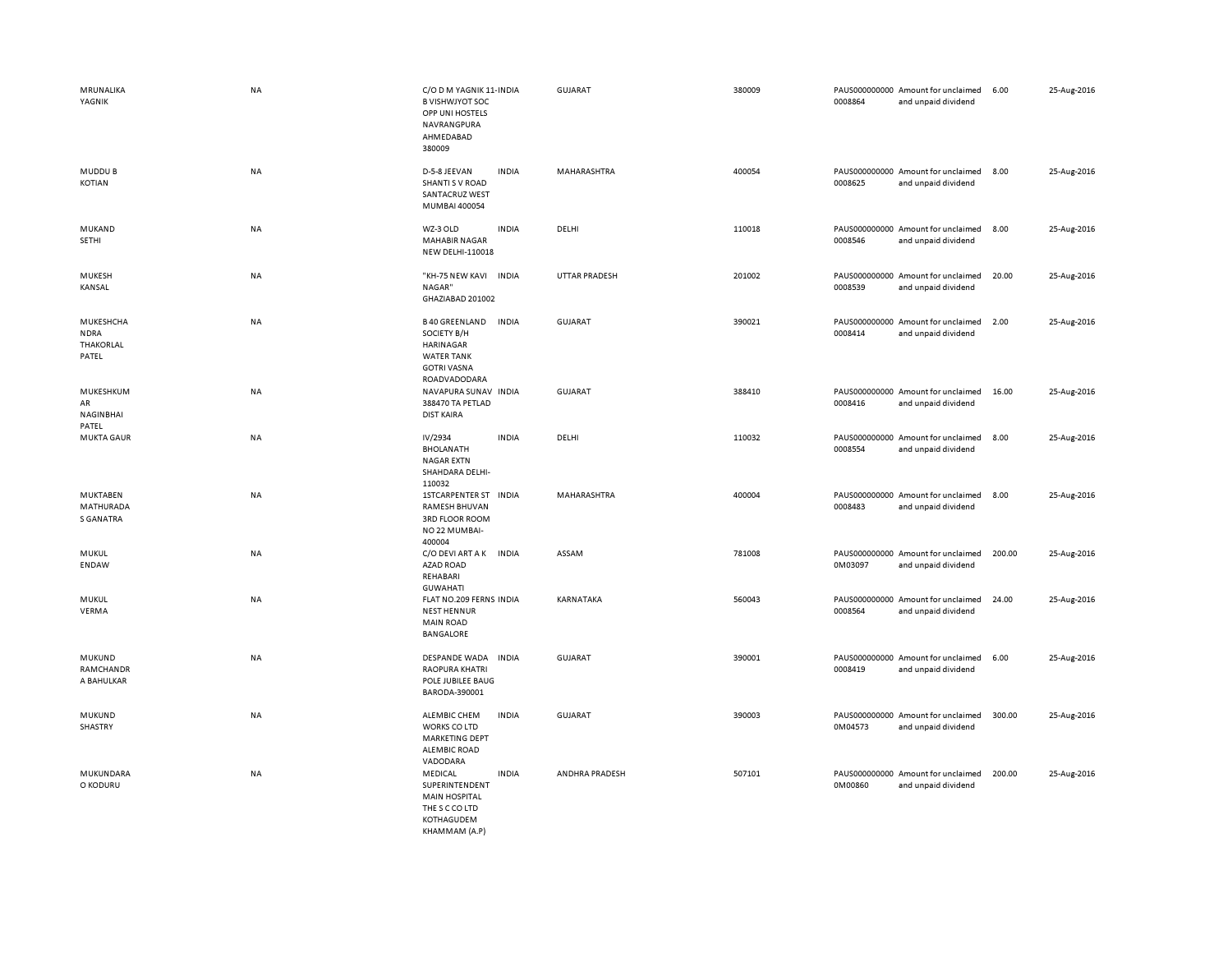| MRUNALIKA<br>YAGNIK                              | NA        | C/O D M YAGNIK 11- INDIA<br><b>B VISHWJYOT SOC</b><br>OPP UNI HOSTELS<br>NAVRANGPURA<br>AHMEDABAD<br>380009 |              | GUJARAT        | 380009 | 0008864                  | PAUS000000000 Amount for unclaimed<br>and unpaid dividend | 6.00   | 25-Aug-2016 |
|--------------------------------------------------|-----------|-------------------------------------------------------------------------------------------------------------|--------------|----------------|--------|--------------------------|-----------------------------------------------------------|--------|-------------|
| MUDDU B<br>KOTIAN                                | NA        | D-5-8 JEEVAN<br><b>SHANTI S V ROAD</b><br>SANTACRUZ WEST<br>MUMBAI 400054                                   | <b>INDIA</b> | MAHARASHTRA    | 400054 | 0008625                  | PAUS000000000 Amount for unclaimed<br>and unpaid dividend | 8.00   | 25-Aug-2016 |
| MUKAND<br>SETHI                                  | NA        | WZ-3 OLD<br><b>MAHABIR NAGAR</b><br>NEW DELHI-110018                                                        | <b>INDIA</b> | DELHI          | 110018 | 0008546                  | PAUS000000000 Amount for unclaimed<br>and unpaid dividend | 8.00   | 25-Aug-2016 |
| <b>MUKESH</b><br>KANSAL                          | NA        | "KH-75 NEW KAVI INDIA<br>NAGAR"<br>GHAZIABAD 201002                                                         |              | UTTAR PRADESH  | 201002 | 0008539                  | PAUS000000000 Amount for unclaimed<br>and unpaid dividend | 20.00  | 25-Aug-2016 |
| MUKESHCHA<br><b>NDRA</b><br>THAKORLAL<br>PATEL   | <b>NA</b> | <b>B40 GREENLAND</b><br>SOCIETY B/H<br>HARINAGAR<br><b>WATER TANK</b><br><b>GOTRI VASNA</b><br>ROADVADODARA | <b>INDIA</b> | <b>GUJARAT</b> | 390021 | 0008414                  | PAUS000000000 Amount for unclaimed<br>and unpaid dividend | 2.00   | 25-Aug-2016 |
| MUKESHKUM<br>AR<br>NAGINBHAI<br>PATEL            | NA        | NAVAPURA SUNAV INDIA<br>388470 TA PETLAD<br><b>DIST KAIRA</b>                                               |              | <b>GUJARAT</b> | 388410 | 0008416                  | PAUS000000000 Amount for unclaimed<br>and unpaid dividend | 16.00  | 25-Aug-2016 |
| <b>MUKTA GAUR</b>                                | <b>NA</b> | IV/2934<br><b>BHOLANATH</b><br><b>NAGAR EXTN</b><br>SHAHDARA DELHI-<br>110032                               | <b>INDIA</b> | DELHI          | 110032 | 0008554                  | PAUS000000000 Amount for unclaimed<br>and unpaid dividend | 8.00   | 25-Aug-2016 |
| <b>MUKTABEN</b><br>MATHURADA<br><b>S GANATRA</b> | NA        | <b>1STCARPENTER ST</b><br><b>RAMESH BHUVAN</b><br><b>3RD FLOOR ROOM</b><br>NO 22 MUMBAI-<br>400004          | <b>INDIA</b> | MAHARASHTRA    | 400004 | 0008483                  | PAUS000000000 Amount for unclaimed<br>and unpaid dividend | 8.00   | 25-Aug-2016 |
| MUKUL<br><b>ENDAW</b>                            | NA        | C/O DEVI ART A K<br><b>AZAD ROAD</b><br>REHABARI<br><b>GUWAHATI</b>                                         | <b>INDIA</b> | ASSAM          | 781008 | 0M03097                  | PAUS000000000 Amount for unclaimed<br>and unpaid dividend | 200.00 | 25-Aug-2016 |
| MUKUL<br>VERMA                                   | NA        | FLAT NO.209 FERNS INDIA<br><b>NEST HENNUR</b><br><b>MAIN ROAD</b><br><b>BANGALORE</b>                       |              | KARNATAKA      | 560043 | 0008564                  | PAUS000000000 Amount for unclaimed<br>and unpaid dividend | 24.00  | 25-Aug-2016 |
| MUKUND<br>RAMCHANDR<br>A BAHULKAR                | NA        | DESPANDE WADA<br><b>RAOPURA KHATRI</b><br>POLE JUBILEE BAUG<br>BARODA-390001                                | <b>INDIA</b> | <b>GUJARAT</b> | 390001 | 0008419                  | PAUS000000000 Amount for unclaimed<br>and unpaid dividend | 6.00   | 25-Aug-2016 |
| MUKUND<br>SHASTRY                                | NA        | <b>ALEMBIC CHEM</b><br>WORKS CO LTD<br><b>MARKETING DEPT</b><br><b>ALEMBIC ROAD</b><br>VADODARA             | <b>INDIA</b> | <b>GUJARAT</b> | 390003 | PAUS000000000<br>0M04573 | Amount for unclaimed<br>and unpaid dividend               | 300.00 | 25-Aug-2016 |
| MUKUNDARA<br>O KODURU                            | NA        | MEDICAL<br>SUPERINTENDENT<br><b>MAIN HOSPITAL</b><br>THE S C CO LTD<br>KOTHAGUDEM                           | <b>INDIA</b> | ANDHRA PRADESH | 507101 | 0M00860                  | PAUS000000000 Amount for unclaimed<br>and unpaid dividend | 200.00 | 25-Aug-2016 |

KHAMMAM (A.P)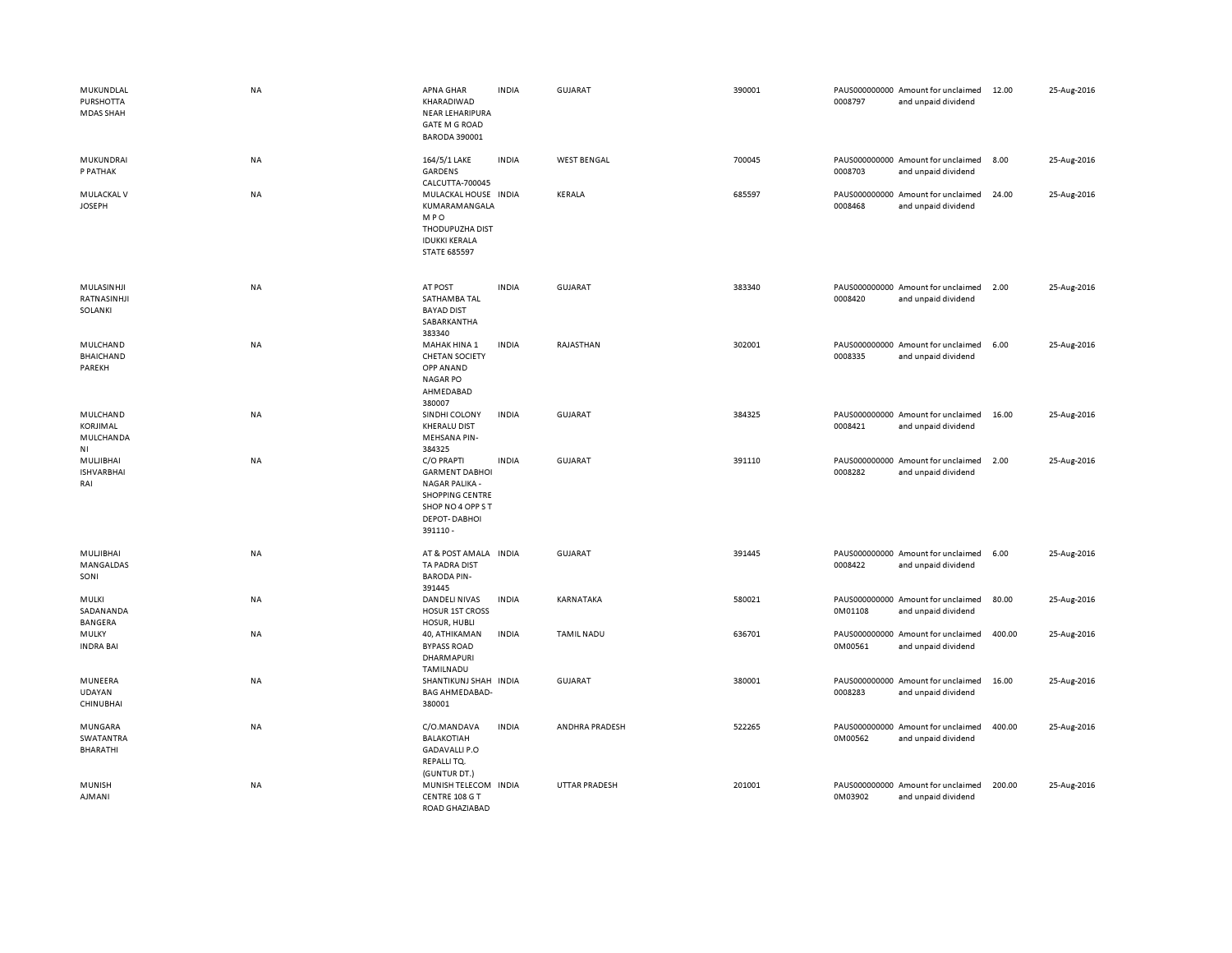| MUKUNDLAL<br><b>PURSHOTTA</b><br><b>MDAS SHAH</b> | <b>NA</b> | APNA GHAR<br>KHARADIWAD<br>NEAR LEHARIPURA<br><b>GATE M G ROAD</b><br><b>BARODA 390001</b>                                                    | <b>INDIA</b> | GUJARAT              | 390001 | 0008797 | PAUS000000000 Amount for unclaimed<br>and unpaid dividend | 12.00  | 25-Aug-2016 |
|---------------------------------------------------|-----------|-----------------------------------------------------------------------------------------------------------------------------------------------|--------------|----------------------|--------|---------|-----------------------------------------------------------|--------|-------------|
| MUKUNDRAI<br>P PATHAK                             | NA        | 164/5/1 LAKE<br>GARDENS<br>CALCUTTA-700045                                                                                                    | <b>INDIA</b> | <b>WEST BENGAL</b>   | 700045 | 0008703 | PAUS000000000 Amount for unclaimed<br>and unpaid dividend | 8.00   | 25-Aug-2016 |
| MULACKAL V<br><b>JOSEPH</b>                       | <b>NA</b> | MULACKAL HOUSE INDIA<br>KUMARAMANGALA<br><b>MPO</b><br>THODUPUZHA DIST<br><b>IDUKKI KERALA</b><br><b>STATE 685597</b>                         |              | <b>KERALA</b>        | 685597 | 0008468 | PAUS000000000 Amount for unclaimed<br>and unpaid dividend | 24.00  | 25-Aug-2016 |
| MULASINHJI<br>RATNASINHJI<br>SOLANKI              | <b>NA</b> | AT POST<br>SATHAMBA TAL<br><b>BAYAD DIST</b><br>SABARKANTHA<br>383340                                                                         | <b>INDIA</b> | GUJARAT              | 383340 | 0008420 | PAUS000000000 Amount for unclaimed<br>and unpaid dividend | 2.00   | 25-Aug-2016 |
| MULCHAND<br><b>BHAICHAND</b><br>PAREKH            | <b>NA</b> | MAHAK HINA 1<br><b>CHETAN SOCIETY</b><br>OPP ANAND<br><b>NAGAR PO</b><br>AHMEDABAD<br>380007                                                  | <b>INDIA</b> | RAJASTHAN            | 302001 | 0008335 | PAUS000000000 Amount for unclaimed<br>and unpaid dividend | 6.00   | 25-Aug-2016 |
| MULCHAND<br>KORJIMAL<br>MULCHANDA<br>ΝI           | NA        | SINDHI COLONY<br><b>KHERALU DIST</b><br><b>MEHSANA PIN-</b><br>384325                                                                         | <b>INDIA</b> | <b>GUJARAT</b>       | 384325 | 0008421 | PAUS000000000 Amount for unclaimed<br>and unpaid dividend | 16.00  | 25-Aug-2016 |
| MULJIBHAI<br><b>ISHVARBHAI</b><br>RAI             | NA        | C/O PRAPTI<br><b>GARMENT DABHOI</b><br><b>NAGAR PALIKA -</b><br><b>SHOPPING CENTRE</b><br>SHOP NO 4 OPP ST<br><b>DEPOT-DABHOI</b><br>391110 - | <b>INDIA</b> | GUJARAT              | 391110 | 0008282 | PAUS000000000 Amount for unclaimed<br>and unpaid dividend | 2.00   | 25-Aug-2016 |
| MULJIBHAI<br>MANGALDAS<br>SONI                    | <b>NA</b> | AT & POST AMALA INDIA<br>TA PADRA DIST<br><b>BARODA PIN-</b><br>391445                                                                        |              | GUJARAT              | 391445 | 0008422 | PAUS000000000 Amount for unclaimed<br>and unpaid dividend | 6.00   | 25-Aug-2016 |
| MULKI<br>SADANANDA<br><b>BANGERA</b>              | NA        | DANDELI NIVAS<br><b>HOSUR 1ST CROSS</b><br>HOSUR, HUBLI                                                                                       | <b>INDIA</b> | KARNATAKA            | 580021 | 0M01108 | PAUS000000000 Amount for unclaimed<br>and unpaid dividend | 80.00  | 25-Aug-2016 |
| MULKY<br><b>INDRA BAI</b>                         | NA        | 40, ATHIKAMAN<br><b>BYPASS ROAD</b><br>DHARMAPURI<br>TAMILNADU                                                                                | <b>INDIA</b> | <b>TAMIL NADU</b>    | 636701 | 0M00561 | PAUS000000000 Amount for unclaimed<br>and unpaid dividend | 400.00 | 25-Aug-2016 |
| MUNEERA<br>UDAYAN<br><b>CHINUBHAI</b>             | <b>NA</b> | SHANTIKUNJ SHAH INDIA<br><b>BAG AHMEDABAD-</b><br>380001                                                                                      |              | GUJARAT              | 380001 | 0008283 | PAUS000000000 Amount for unclaimed<br>and unpaid dividend | 16.00  | 25-Aug-2016 |
| MUNGARA<br>SWATANTRA<br><b>BHARATHI</b>           | <b>NA</b> | C/O.MANDAVA<br>BALAKOTIAH<br><b>GADAVALLI P.O</b><br>REPALLITQ.                                                                               | <b>INDIA</b> | ANDHRA PRADESH       | 522265 | 0M00562 | PAUS000000000 Amount for unclaimed<br>and unpaid dividend | 400.00 | 25-Aug-2016 |
| <b>MUNISH</b><br><b>AJMANI</b>                    | <b>NA</b> | (GUNTUR DT.)<br>MUNISH TELECOM INDIA<br>CENTRE 108 G T<br>ROAD GHAZIABAD                                                                      |              | <b>UTTAR PRADESH</b> | 201001 | 0M03902 | PAUS000000000 Amount for unclaimed<br>and unpaid dividend | 200.00 | 25-Aug-2016 |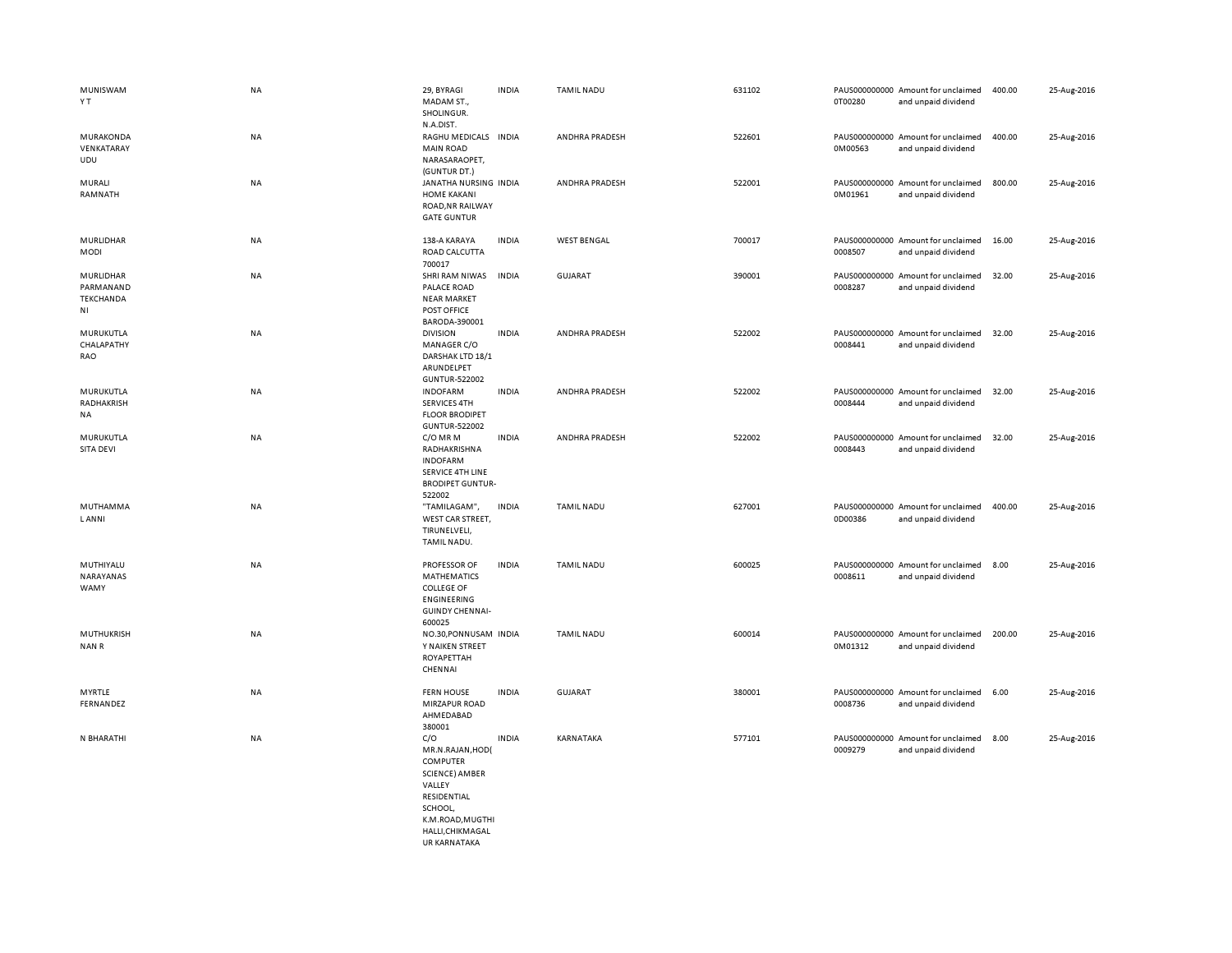| MUNISWAM<br>Y T                                  | NA        | 29, BYRAGI<br>MADAM ST.,<br>SHOLINGUR.<br>N.A.DIST.                                                                                                                   | <b>INDIA</b> | <b>TAMIL NADU</b>  | 631102 | 0T00280 | PAUS000000000 Amount for unclaimed<br>and unpaid dividend | 400.00 | 25-Aug-2016 |
|--------------------------------------------------|-----------|-----------------------------------------------------------------------------------------------------------------------------------------------------------------------|--------------|--------------------|--------|---------|-----------------------------------------------------------|--------|-------------|
| MURAKONDA<br>VENKATARAY<br>UDU                   | NA        | RAGHU MEDICALS INDIA<br><b>MAIN ROAD</b><br>NARASARAOPET,<br>(GUNTUR DT.)                                                                                             |              | ANDHRA PRADESH     | 522601 | 0M00563 | PAUS000000000 Amount for unclaimed<br>and unpaid dividend | 400.00 | 25-Aug-2016 |
| MURALI<br>RAMNATH                                | NA        | JANATHA NURSING INDIA<br><b>HOME KAKANI</b><br>ROAD, NR RAILWAY<br><b>GATE GUNTUR</b>                                                                                 |              | ANDHRA PRADESH     | 522001 | 0M01961 | PAUS000000000 Amount for unclaimed<br>and unpaid dividend | 800.00 | 25-Aug-2016 |
| MURLIDHAR<br>MODI                                | NA        | 138-A KARAYA<br>ROAD CALCUTTA<br>700017                                                                                                                               | <b>INDIA</b> | <b>WEST BENGAL</b> | 700017 | 0008507 | PAUS000000000 Amount for unclaimed<br>and unpaid dividend | 16.00  | 25-Aug-2016 |
| MURLIDHAR<br>PARMANAND<br><b>TEKCHANDA</b><br>NI | NA        | SHRI RAM NIWAS<br>PALACE ROAD<br><b>NEAR MARKET</b><br>POST OFFICE<br>BARODA-390001                                                                                   | <b>INDIA</b> | <b>GUJARAT</b>     | 390001 | 0008287 | PAUS000000000 Amount for unclaimed<br>and unpaid dividend | 32.00  | 25-Aug-2016 |
| MURUKUTLA<br>CHALAPATHY<br>RAO                   | NA        | <b>DIVISION</b><br>MANAGER C/O<br>DARSHAK LTD 18/1<br>ARUNDELPET<br>GUNTUR-522002                                                                                     | <b>INDIA</b> | ANDHRA PRADESH     | 522002 | 0008441 | PAUS000000000 Amount for unclaimed<br>and unpaid dividend | 32.00  | 25-Aug-2016 |
| MURUKUTLA<br>RADHAKRISH<br>NA                    | NA        | <b>INDOFARM</b><br><b>SERVICES 4TH</b><br><b>FLOOR BRODIPET</b><br>GUNTUR-522002                                                                                      | <b>INDIA</b> | ANDHRA PRADESH     | 522002 | 0008444 | PAUS000000000 Amount for unclaimed<br>and unpaid dividend | 32.00  | 25-Aug-2016 |
| MURUKUTLA<br>SITA DEVI                           | NA        | C/O MR M<br>RADHAKRISHNA<br><b>INDOFARM</b><br>SERVICE 4TH LINE<br><b>BRODIPET GUNTUR-</b><br>522002                                                                  | <b>INDIA</b> | ANDHRA PRADESH     | 522002 | 0008443 | PAUS000000000 Amount for unclaimed<br>and unpaid dividend | 32.00  | 25-Aug-2016 |
| MUTHAMMA<br><b>LANNI</b>                         | NA        | "TAMILAGAM",<br>WEST CAR STREET,<br>TIRUNELVELI,<br>TAMIL NADU.                                                                                                       | <b>INDIA</b> | <b>TAMIL NADU</b>  | 627001 | 0D00386 | PAUS000000000 Amount for unclaimed<br>and unpaid dividend | 400.00 | 25-Aug-2016 |
| MUTHIYALU<br>NARAYANAS<br>WAMY                   | NA        | PROFESSOR OF<br><b>MATHEMATICS</b><br><b>COLLEGE OF</b><br><b>ENGINEERING</b><br><b>GUINDY CHENNAI-</b><br>600025                                                     | <b>INDIA</b> | <b>TAMIL NADU</b>  | 600025 | 0008611 | PAUS000000000 Amount for unclaimed<br>and unpaid dividend | 8.00   | 25-Aug-2016 |
| <b>MUTHUKRISH</b><br>NAN R                       | <b>NA</b> | NO.30, PONNUSAM INDIA<br>Y NAIKEN STREET<br>ROYAPETTAH<br>CHENNAI                                                                                                     |              | <b>TAMIL NADU</b>  | 600014 | 0M01312 | PAUS000000000 Amount for unclaimed<br>and unpaid dividend | 200.00 | 25-Aug-2016 |
| MYRTLE<br>FERNANDEZ                              | NA        | <b>FERN HOUSE</b><br>MIRZAPUR ROAD<br>AHMEDABAD<br>380001                                                                                                             | <b>INDIA</b> | <b>GUJARAT</b>     | 380001 | 0008736 | PAUS000000000 Amount for unclaimed<br>and unpaid dividend | 6.00   | 25-Aug-2016 |
| N BHARATHI                                       | NA        | C/O<br>MR.N.RAJAN, HOD(<br><b>COMPUTER</b><br><b>SCIENCE) AMBER</b><br>VALLEY<br>RESIDENTIAL<br>SCHOOL,<br>K.M.ROAD, MUGTHI<br>HALLI, CHIKMAGAL<br><b>URKARNATAKA</b> | <b>INDIA</b> | KARNATAKA          | 577101 | 0009279 | PAUS000000000 Amount for unclaimed<br>and unpaid dividend | 8.00   | 25-Aug-2016 |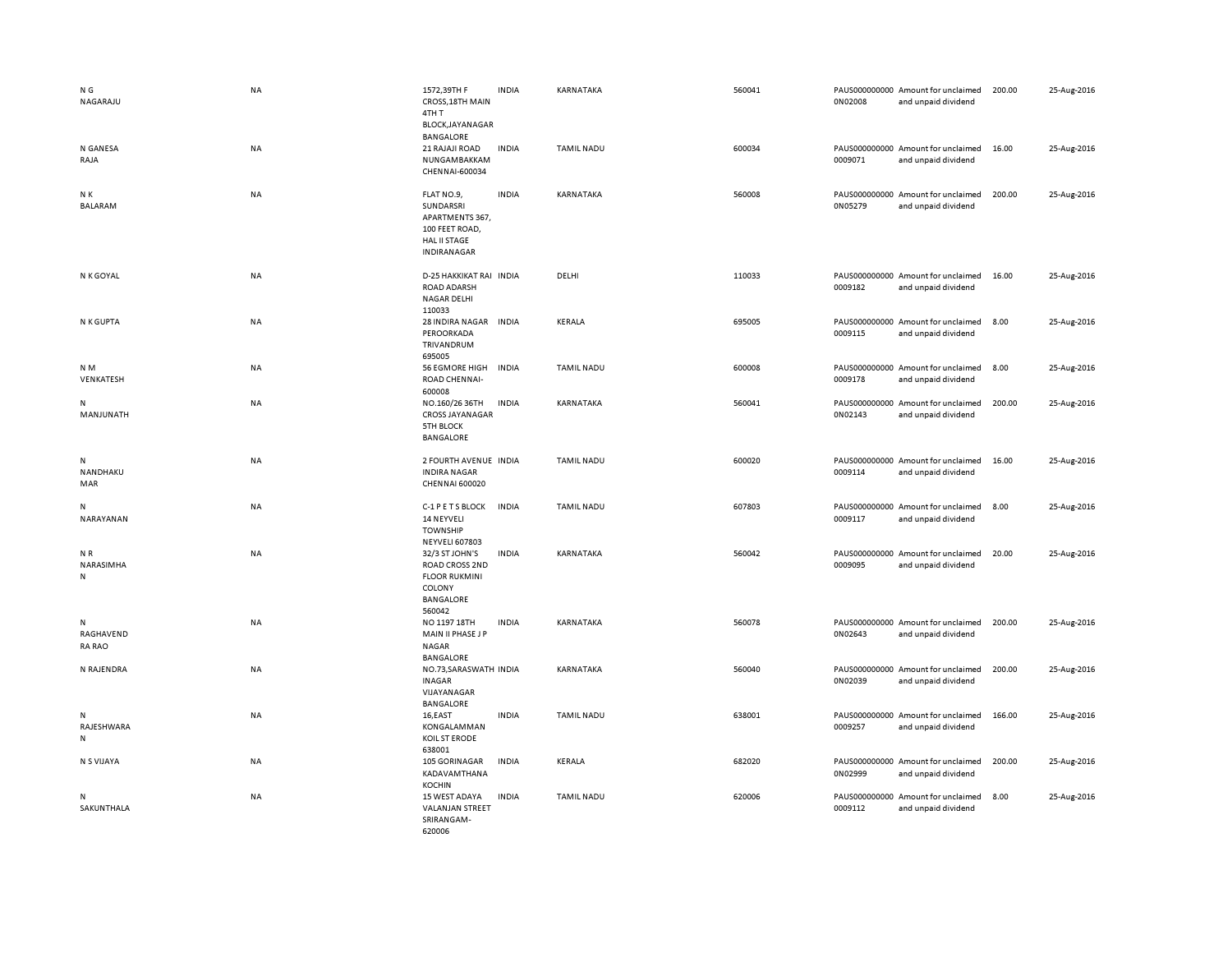| N G<br>NAGARAJU                 | <b>NA</b> | 1572,39TH F<br>CROSS, 18TH MAIN<br>4TH T<br>BLOCK, JAYANAGAR                                            | <b>INDIA</b> | KARNATAKA         | 560041 | 0N02008 | PAUS000000000 Amount for unclaimed<br>and unpaid dividend | 200.00 | 25-Aug-2016 |
|---------------------------------|-----------|---------------------------------------------------------------------------------------------------------|--------------|-------------------|--------|---------|-----------------------------------------------------------|--------|-------------|
| N GANESA<br>RAJA                | <b>NA</b> | <b>BANGALORE</b><br>21 RAJAJI ROAD<br>NUNGAMBAKKAM<br>CHENNAI-600034                                    | <b>INDIA</b> | <b>TAMIL NADU</b> | 600034 | 0009071 | PAUS000000000 Amount for unclaimed<br>and unpaid dividend | 16.00  | 25-Aug-2016 |
| N K<br>BALARAM                  | NA        | FLAT NO.9,<br>SUNDARSRI<br>APARTMENTS 367,<br>100 FEET ROAD,<br><b>HAL II STAGE</b><br>INDIRANAGAR      | <b>INDIA</b> | KARNATAKA         | 560008 | 0N05279 | PAUS000000000 Amount for unclaimed<br>and unpaid dividend | 200.00 | 25-Aug-2016 |
| N K GOYAL                       | NA        | D-25 HAKKIKAT RAI INDIA<br>ROAD ADARSH<br>NAGAR DELHI<br>110033                                         |              | DELHI             | 110033 | 0009182 | PAUS000000000 Amount for unclaimed<br>and unpaid dividend | 16.00  | 25-Aug-2016 |
| N K GUPTA                       | NA        | 28 INDIRA NAGAR<br>PEROORKADA<br>TRIVANDRUM<br>695005                                                   | <b>INDIA</b> | <b>KERALA</b>     | 695005 | 0009115 | PAUS000000000 Amount for unclaimed<br>and unpaid dividend | 8.00   | 25-Aug-2016 |
| N <sub>M</sub><br>VENKATESH     | NA        | <b>56 EGMORE HIGH</b><br>ROAD CHENNAI-<br>600008                                                        | <b>INDIA</b> | <b>TAMIL NADU</b> | 600008 | 0009178 | PAUS000000000 Amount for unclaimed<br>and unpaid dividend | 8.00   | 25-Aug-2016 |
| N<br>MANJUNATH                  | NA        | NO.160/26 36TH<br><b>CROSS JAYANAGAR</b><br><b>5TH BLOCK</b><br><b>BANGALORE</b>                        | <b>INDIA</b> | KARNATAKA         | 560041 | 0N02143 | PAUS000000000 Amount for unclaimed<br>and unpaid dividend | 200.00 | 25-Aug-2016 |
| ${\sf N}$<br>NANDHAKU<br>MAR    | <b>NA</b> | 2 FOURTH AVENUE INDIA<br><b>INDIRA NAGAR</b><br><b>CHENNAI 600020</b>                                   |              | <b>TAMIL NADU</b> | 600020 | 0009114 | PAUS000000000 Amount for unclaimed<br>and unpaid dividend | 16.00  | 25-Aug-2016 |
| N<br>NARAYANAN                  | <b>NA</b> | C-1 P E T S BLOCK<br>14 NEYVELI<br><b>TOWNSHIP</b><br><b>NEYVELI 607803</b>                             | <b>INDIA</b> | <b>TAMIL NADU</b> | 607803 | 0009117 | PAUS000000000 Amount for unclaimed<br>and unpaid dividend | 8.00   | 25-Aug-2016 |
| NR<br>NARASIMHA<br>N            | NA        | 32/3 ST JOHN'S<br><b>ROAD CROSS 2ND</b><br><b>FLOOR RUKMINI</b><br>COLONY<br><b>BANGALORE</b><br>560042 | <b>INDIA</b> | KARNATAKA         | 560042 | 0009095 | PAUS000000000 Amount for unclaimed<br>and unpaid dividend | 20.00  | 25-Aug-2016 |
| N<br>RAGHAVEND<br><b>RA RAO</b> | NA        | NO 1197 18TH<br>MAIN II PHASE J P<br>NAGAR<br><b>BANGALORE</b>                                          | <b>INDIA</b> | KARNATAKA         | 560078 | 0N02643 | PAUS000000000 Amount for unclaimed<br>and unpaid dividend | 200.00 | 25-Aug-2016 |
| N RAJENDRA                      | NA        | NO.73, SARASWATH INDIA<br><b>INAGAR</b><br>VIJAYANAGAR<br><b>BANGALORE</b>                              |              | KARNATAKA         | 560040 | 0N02039 | PAUS000000000 Amount for unclaimed<br>and unpaid dividend | 200.00 | 25-Aug-2016 |
| N<br>RAJESHWARA<br>N            | <b>NA</b> | 16,EAST<br>KONGALAMMAN<br>KOIL ST ERODE<br>638001                                                       | <b>INDIA</b> | <b>TAMIL NADU</b> | 638001 | 0009257 | PAUS000000000 Amount for unclaimed<br>and unpaid dividend | 166.00 | 25-Aug-2016 |
| N S VIJAYA                      | <b>NA</b> | 105 GORINAGAR<br>KADAVAMTHANA<br><b>KOCHIN</b>                                                          | <b>INDIA</b> | KERALA            | 682020 | 0N02999 | PAUS000000000 Amount for unclaimed<br>and unpaid dividend | 200.00 | 25-Aug-2016 |
| N<br>SAKUNTHALA                 | NA        | 15 WEST ADAYA<br><b>VALANJAN STREET</b><br>SRIRANGAM-<br>620006                                         | <b>INDIA</b> | <b>TAMIL NADU</b> | 620006 | 0009112 | PAUS000000000 Amount for unclaimed<br>and unpaid dividend | 8.00   | 25-Aug-2016 |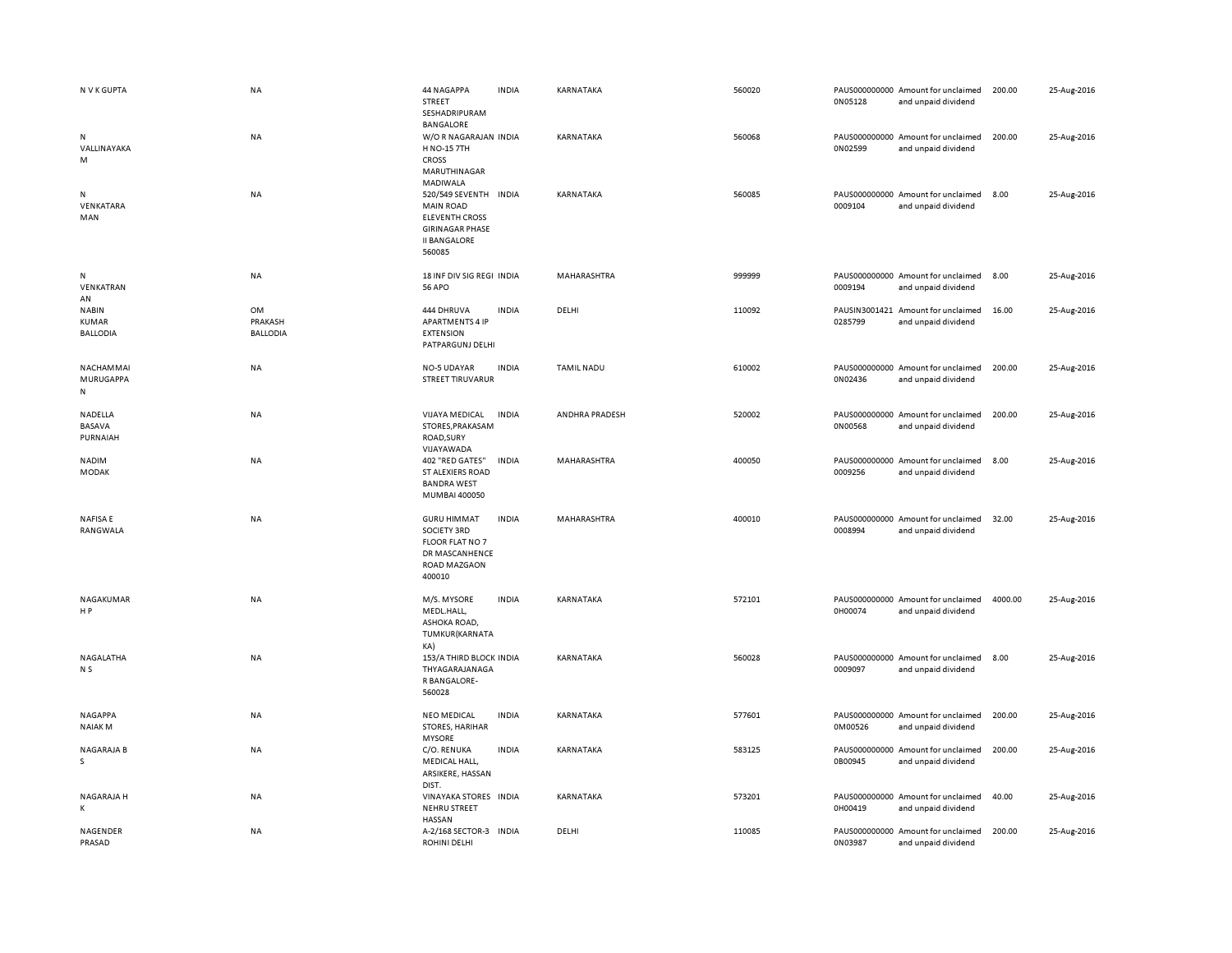| N V K GUPTA                                     | <b>NA</b>                        | 44 NAGAPPA<br>STREET<br>SESHADRIPURAM<br>BANGALORE                                                                            | <b>INDIA</b> | KARNATAKA         | 560020 | 0N05128 | PAUS000000000 Amount for unclaimed<br>and unpaid dividend | 200.00  | 25-Aug-2016 |
|-------------------------------------------------|----------------------------------|-------------------------------------------------------------------------------------------------------------------------------|--------------|-------------------|--------|---------|-----------------------------------------------------------|---------|-------------|
| N<br>VALLINAYAKA<br>M                           | NA                               | W/OR NAGARAJAN INDIA<br>H NO-15 7TH<br>CROSS<br>MARUTHINAGAR<br>MADIWALA                                                      |              | KARNATAKA         | 560068 | 0N02599 | PAUS000000000 Amount for unclaimed<br>and unpaid dividend | 200.00  | 25-Aug-2016 |
| N<br>VENKATARA<br>MAN                           | <b>NA</b>                        | 520/549 SEVENTH INDIA<br><b>MAIN ROAD</b><br><b>ELEVENTH CROSS</b><br><b>GIRINAGAR PHASE</b><br><b>II BANGALORE</b><br>560085 |              | KARNATAKA         | 560085 | 0009104 | PAUS000000000 Amount for unclaimed<br>and unpaid dividend | 8.00    | 25-Aug-2016 |
| N<br>VENKATRAN<br>AN                            | NA                               | 18 INF DIV SIG REGI INDIA<br><b>56 APO</b>                                                                                    |              | MAHARASHTRA       | 999999 | 0009194 | PAUS000000000 Amount for unclaimed<br>and unpaid dividend | 8.00    | 25-Aug-2016 |
| <b>NABIN</b><br><b>KUMAR</b><br><b>BALLODIA</b> | OM<br>PRAKASH<br><b>BALLODIA</b> | 444 DHRUVA<br><b>APARTMENTS 4 IP</b><br><b>EXTENSION</b><br>PATPARGUNJ DELHI                                                  | <b>INDIA</b> | DELHI             | 110092 | 0285799 | PAUSIN3001421 Amount for unclaimed<br>and unpaid dividend | 16.00   | 25-Aug-2016 |
| NACHAMMAI<br>MURUGAPPA<br>N                     | NA                               | NO-5 UDAYAR<br><b>STREET TIRUVARUR</b>                                                                                        | <b>INDIA</b> | <b>TAMIL NADU</b> | 610002 | 0N02436 | PAUS000000000 Amount for unclaimed<br>and unpaid dividend | 200.00  | 25-Aug-2016 |
| NADELLA<br>BASAVA<br>PURNAIAH                   | NA                               | <b>VIJAYA MEDICAL</b><br><b>INDIA</b><br>STORES, PRAKASAM<br>ROAD, SURY<br>VIJAYAWADA                                         |              | ANDHRA PRADESH    | 520002 | 0N00568 | PAUS000000000 Amount for unclaimed<br>and unpaid dividend | 200.00  | 25-Aug-2016 |
| NADIM<br>MODAK                                  | NA                               | 402 "RED GATES"<br><b>ST ALEXIERS ROAD</b><br><b>BANDRA WEST</b><br>MUMBAI 400050                                             | <b>INDIA</b> | MAHARASHTRA       | 400050 | 0009256 | PAUS000000000 Amount for unclaimed<br>and unpaid dividend | 8.00    | 25-Aug-2016 |
| <b>NAFISAE</b><br>RANGWALA                      | NA                               | <b>GURU HIMMAT</b><br><b>SOCIETY 3RD</b><br>FLOOR FLAT NO 7<br>DR MASCANHENCE<br><b>ROAD MAZGAON</b><br>400010                | <b>INDIA</b> | MAHARASHTRA       | 400010 | 0008994 | PAUS000000000 Amount for unclaimed<br>and unpaid dividend | 32.00   | 25-Aug-2016 |
| NAGAKUMAR<br>H P                                | <b>NA</b>                        | M/S. MYSORE<br>MEDL.HALL,<br>ASHOKA ROAD,<br>TUMKUR(KARNATA<br>KA)                                                            | <b>INDIA</b> | KARNATAKA         | 572101 | 0H00074 | PAUS000000000 Amount for unclaimed<br>and unpaid dividend | 4000.00 | 25-Aug-2016 |
| NAGALATHA<br>N <sub>S</sub>                     | <b>NA</b>                        | 153/A THIRD BLOCK INDIA<br>THYAGARAJANAGA<br>R BANGALORE-<br>560028                                                           |              | KARNATAKA         | 560028 | 0009097 | PAUS000000000 Amount for unclaimed<br>and unpaid dividend | 8.00    | 25-Aug-2016 |
| <b>NAGAPPA</b><br><b>NAIAKM</b>                 | <b>NA</b>                        | <b>NEO MEDICAL</b><br>STORES, HARIHAR<br><b>MYSORE</b>                                                                        | <b>INDIA</b> | KARNATAKA         | 577601 | 0M00526 | PAUS000000000 Amount for unclaimed<br>and unpaid dividend | 200.00  | 25-Aug-2016 |
| NAGARAJA B<br>s                                 | NA                               | C/O. RENUKA<br>MEDICAL HALL,<br>ARSIKERE, HASSAN<br>DIST.                                                                     | <b>INDIA</b> | KARNATAKA         | 583125 | 0B00945 | PAUS000000000 Amount for unclaimed<br>and unpaid dividend | 200.00  | 25-Aug-2016 |
| NAGARAJA H<br>К                                 | NA                               | VINAYAKA STORES INDIA<br><b>NEHRU STREET</b><br>HASSAN                                                                        |              | KARNATAKA         | 573201 | 0H00419 | PAUS000000000 Amount for unclaimed<br>and unpaid dividend | 40.00   | 25-Aug-2016 |
| NAGENDER<br>PRASAD                              | <b>NA</b>                        | A-2/168 SECTOR-3 INDIA<br>ROHINI DELHI                                                                                        |              | DELHI             | 110085 | 0N03987 | PAUS000000000 Amount for unclaimed<br>and unpaid dividend | 200.00  | 25-Aug-2016 |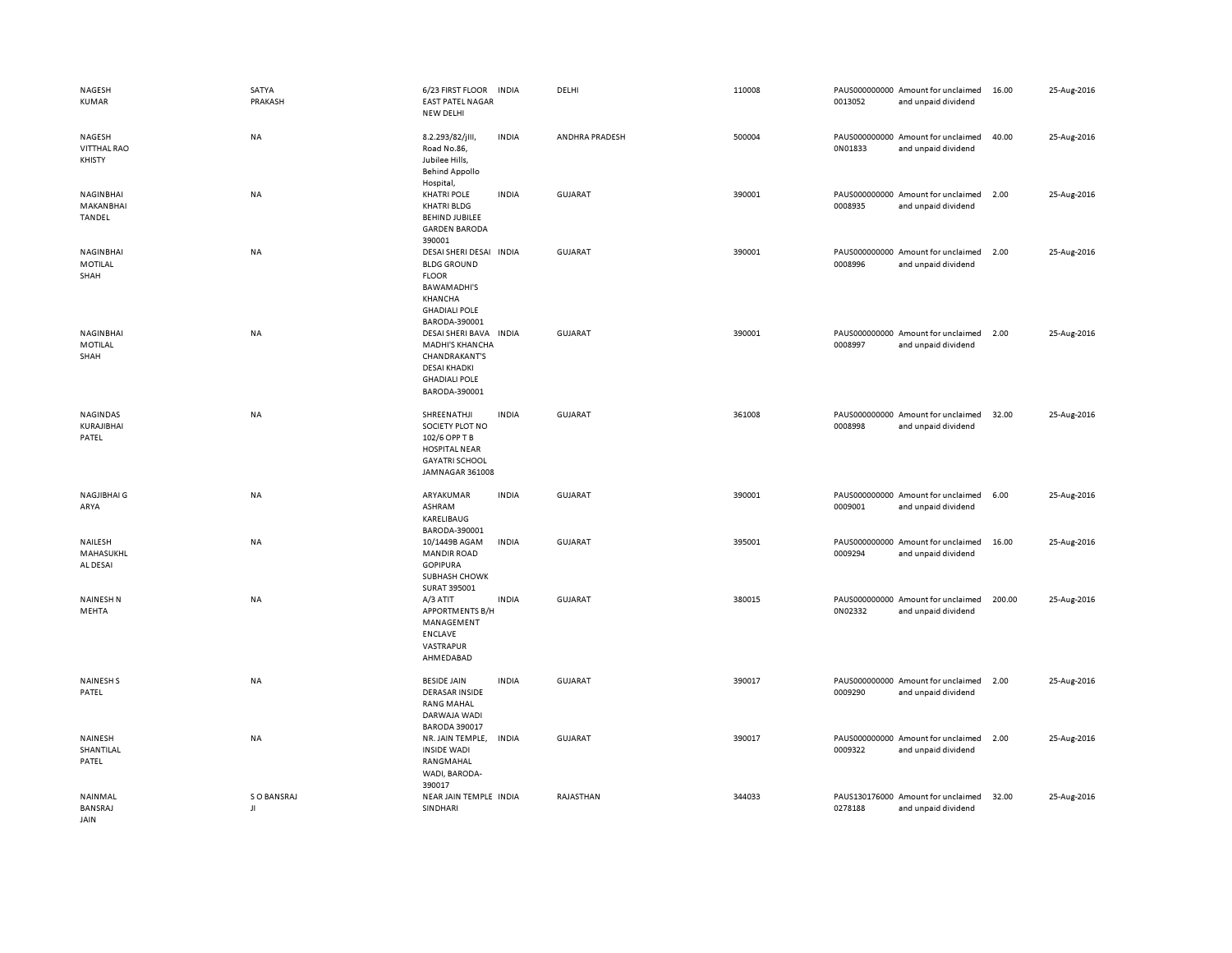| NAGESH<br><b>KUMAR</b>                 | SATYA<br>PRAKASH  | 6/23 FIRST FLOOR<br><b>EAST PATEL NAGAR</b><br>NEW DELHI                                                                                                  | <b>INDIA</b> | DELHI          | 110008 | 0013052 | PAUS000000000 Amount for unclaimed<br>and unpaid dividend | 16.00  | 25-Aug-2016 |
|----------------------------------------|-------------------|-----------------------------------------------------------------------------------------------------------------------------------------------------------|--------------|----------------|--------|---------|-----------------------------------------------------------|--------|-------------|
| NAGESH<br><b>VITTHAL RAO</b><br>KHISTY | NA                | 8.2.293/82/jlll,<br>Road No.86,<br>Jubilee Hills,<br><b>Behind Appollo</b><br>Hospital,                                                                   | <b>INDIA</b> | ANDHRA PRADESH | 500004 | 0N01833 | PAUS000000000 Amount for unclaimed<br>and unpaid dividend | 40.00  | 25-Aug-2016 |
| NAGINBHAI<br>MAKANBHAI<br>TANDEL       | <b>NA</b>         | <b>KHATRI POLE</b><br><b>KHATRI BLDG</b><br><b>BEHIND JUBILEE</b><br><b>GARDEN BARODA</b><br>390001                                                       | <b>INDIA</b> | <b>GUJARAT</b> | 390001 | 0008935 | PAUS000000000 Amount for unclaimed<br>and unpaid dividend | 2.00   | 25-Aug-2016 |
| NAGINBHAI<br>MOTILAL<br>SHAH           | NA                | DESAI SHERI DESAI INDIA<br><b>BLDG GROUND</b><br><b>FLOOR</b><br><b>BAWAMADHI'S</b><br>KHANCHA<br><b>GHADIALI POLE</b>                                    |              | GUJARAT        | 390001 | 0008996 | PAUS000000000 Amount for unclaimed<br>and unpaid dividend | 2.00   | 25-Aug-2016 |
| NAGINBHAI<br>MOTILAL<br>SHAH           | NA                | BARODA-390001<br>DESAI SHERI BAVA INDIA<br><b>MADHI'S KHANCHA</b><br><b>CHANDRAKANT'S</b><br><b>DESAI KHADKI</b><br><b>GHADIALI POLE</b><br>BARODA-390001 |              | <b>GUJARAT</b> | 390001 | 0008997 | PAUS000000000 Amount for unclaimed<br>and unpaid dividend | 2.00   | 25-Aug-2016 |
| NAGINDAS<br><b>KURAJIBHAI</b><br>PATEL | NA                | SHREENATHJI<br>SOCIETY PLOT NO<br>102/6 OPP T B<br><b>HOSPITAL NEAR</b><br><b>GAYATRI SCHOOL</b><br>JAMNAGAR 361008                                       | <b>INDIA</b> | <b>GUJARAT</b> | 361008 | 0008998 | PAUS000000000 Amount for unclaimed<br>and unpaid dividend | 32.00  | 25-Aug-2016 |
| NAGJIBHAI G<br>ARYA                    | NA                | ARYAKUMAR<br>ASHRAM<br>KARELIBAUG<br>BARODA-390001                                                                                                        | <b>INDIA</b> | <b>GUJARAT</b> | 390001 | 0009001 | PAUS000000000 Amount for unclaimed<br>and unpaid dividend | 6.00   | 25-Aug-2016 |
| NAILESH<br>MAHASUKHL<br>AL DESAI       | NA                | 10/1449B AGAM<br><b>MANDIR ROAD</b><br><b>GOPIPURA</b><br>SUBHASH CHOWK<br>SURAT 395001                                                                   | <b>INDIA</b> | <b>GUJARAT</b> | 395001 | 0009294 | PAUS000000000 Amount for unclaimed<br>and unpaid dividend | 16.00  | 25-Aug-2016 |
| <b>NAINESH N</b><br>MEHTA              | NA                | A/3 ATIT<br><b>APPORTMENTS B/H</b><br>MANAGEMENT<br>ENCLAVE<br>VASTRAPUR<br>AHMEDABAD                                                                     | <b>INDIA</b> | <b>GUJARAT</b> | 380015 | 0N02332 | PAUS000000000 Amount for unclaimed<br>and unpaid dividend | 200.00 | 25-Aug-2016 |
| <b>NAINESHS</b><br>PATEL               | NA                | <b>BESIDE JAIN</b><br><b>DERASAR INSIDE</b><br><b>RANG MAHAL</b><br>DARWAJA WADI<br><b>BARODA 390017</b>                                                  | <b>INDIA</b> | GUJARAT        | 390017 | 0009290 | PAUS000000000 Amount for unclaimed<br>and unpaid dividend | 2.00   | 25-Aug-2016 |
| NAINESH<br>SHANTILAL<br>PATEL          | NA                | NR. JAIN TEMPLE,<br><b>INSIDE WADI</b><br>RANGMAHAL<br>WADI, BARODA-<br>390017                                                                            | INDIA        | <b>GUJARAT</b> | 390017 | 0009322 | PAUS000000000 Amount for unclaimed<br>and unpaid dividend | 2.00   | 25-Aug-2016 |
| NAINMAL<br>BANSRAJ<br>JAIN             | S O BANSRAJ<br>JI | NEAR JAIN TEMPLE INDIA<br>SINDHARI                                                                                                                        |              | RAJASTHAN      | 344033 | 0278188 | PAUS130176000 Amount for unclaimed<br>and unpaid dividend | 32.00  | 25-Aug-2016 |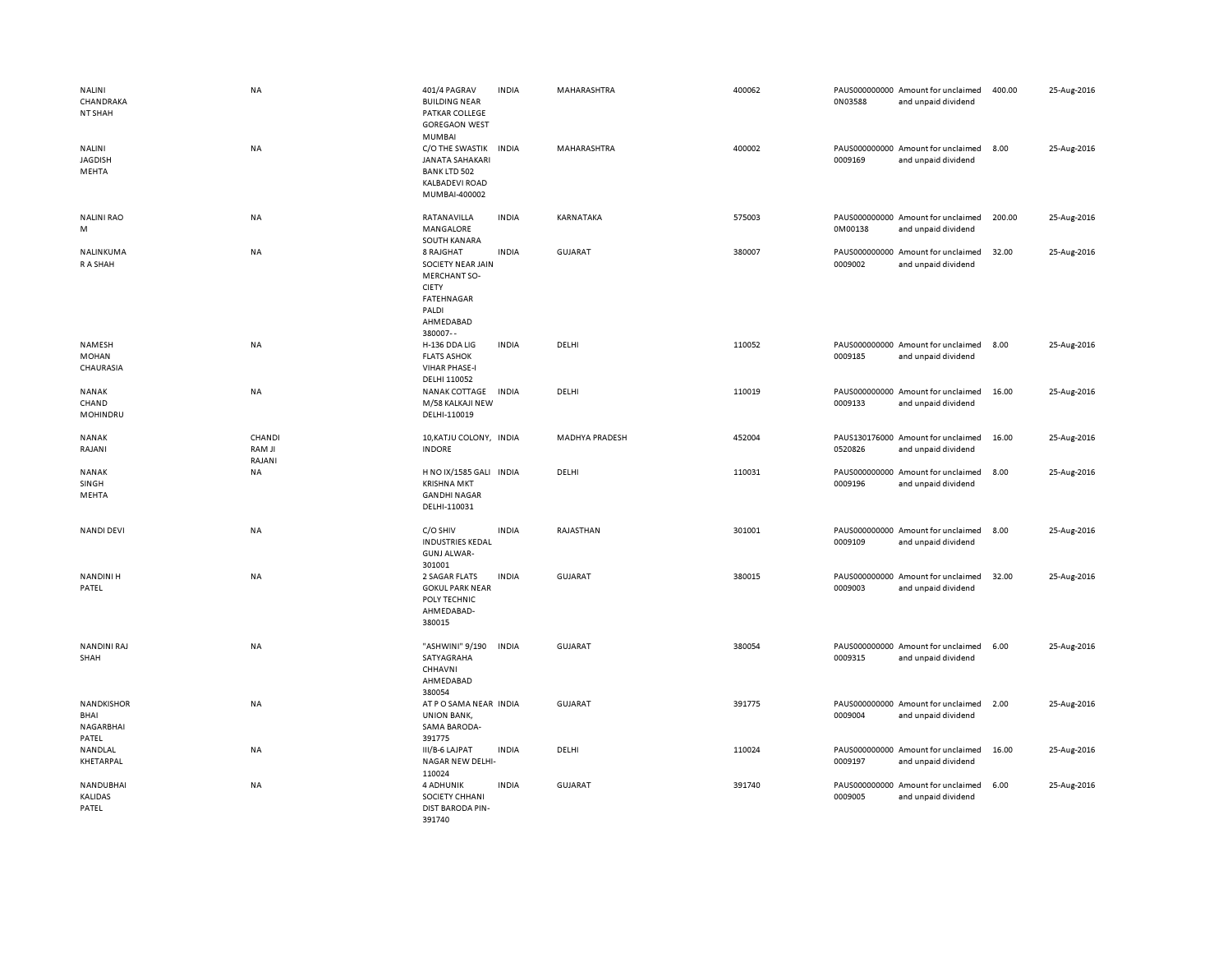| NALINI<br>CHANDRAKA<br>NT SHAH                  | <b>NA</b>                  | 401/4 PAGRAV<br><b>BUILDING NEAR</b><br>PATKAR COLLEGE<br><b>GOREGAON WEST</b><br>MUMBAI                                     | <b>INDIA</b> | MAHARASHTRA           | 400062 | 0N03588 | PAUS000000000 Amount for unclaimed<br>and unpaid dividend | 400.00 | 25-Aug-2016 |
|-------------------------------------------------|----------------------------|------------------------------------------------------------------------------------------------------------------------------|--------------|-----------------------|--------|---------|-----------------------------------------------------------|--------|-------------|
| NALINI<br><b>JAGDISH</b><br>MEHTA               | <b>NA</b>                  | C/O THE SWASTIK<br><b>JANATA SAHAKARI</b><br><b>BANK LTD 502</b><br>KALBADEVI ROAD<br>MUMBAI-400002                          | <b>INDIA</b> | MAHARASHTRA           | 400002 | 0009169 | PAUS000000000 Amount for unclaimed<br>and unpaid dividend | 8.00   | 25-Aug-2016 |
| <b>NALINI RAO</b><br>M                          | <b>NA</b>                  | RATANAVILLA<br>MANGALORE<br>SOUTH KANARA                                                                                     | <b>INDIA</b> | KARNATAKA             | 575003 | 0M00138 | PAUS000000000 Amount for unclaimed<br>and unpaid dividend | 200.00 | 25-Aug-2016 |
| NALINKUMA<br>R A SHAH                           | <b>NA</b>                  | 8 RAJGHAT<br>SOCIETY NEAR JAIN<br><b>MERCHANT SO-</b><br><b>CIETY</b><br><b>FATEHNAGAR</b><br>PALDI<br>AHMEDABAD<br>380007-- | <b>INDIA</b> | <b>GUJARAT</b>        | 380007 | 0009002 | PAUS000000000 Amount for unclaimed<br>and unpaid dividend | 32.00  | 25-Aug-2016 |
| NAMESH<br><b>MOHAN</b><br>CHAURASIA             | <b>NA</b>                  | H-136 DDA LIG<br><b>FLATS ASHOK</b><br><b>VIHAR PHASE-I</b><br>DELHI 110052                                                  | <b>INDIA</b> | DELHI                 | 110052 | 0009185 | PAUS000000000 Amount for unclaimed<br>and unpaid dividend | 8.00   | 25-Aug-2016 |
| <b>NANAK</b><br>CHAND<br>MOHINDRU               | <b>NA</b>                  | NANAK COTTAGE<br>M/58 KALKAJI NEW<br>DELHI-110019                                                                            | <b>INDIA</b> | DELHI                 | 110019 | 0009133 | PAUS000000000 Amount for unclaimed<br>and unpaid dividend | 16.00  | 25-Aug-2016 |
| <b>NANAK</b><br>RAJANI                          | CHANDI<br>RAM JI<br>RAJANI | 10, KATJU COLONY, INDIA<br><b>INDORE</b>                                                                                     |              | <b>MADHYA PRADESH</b> | 452004 | 0520826 | PAUS130176000 Amount for unclaimed<br>and unpaid dividend | 16.00  | 25-Aug-2016 |
| NANAK<br>SINGH<br>MEHTA                         | NA                         | H NO IX/1585 GALI INDIA<br><b>KRISHNA MKT</b><br><b>GANDHI NAGAR</b><br>DELHI-110031                                         |              | DELHI                 | 110031 | 0009196 | PAUS000000000 Amount for unclaimed<br>and unpaid dividend | 8.00   | 25-Aug-2016 |
| <b>NANDI DEVI</b>                               | <b>NA</b>                  | C/O SHIV<br><b>INDUSTRIES KEDAL</b><br><b>GUNJ ALWAR-</b><br>301001                                                          | <b>INDIA</b> | RAJASTHAN             | 301001 | 0009109 | PAUS000000000 Amount for unclaimed<br>and unpaid dividend | 8.00   | 25-Aug-2016 |
| <b>NANDINIH</b><br>PATEL                        | NA                         | 2 SAGAR FLATS<br><b>GOKUL PARK NEAR</b><br>POLY TECHNIC<br>AHMEDABAD-<br>380015                                              | <b>INDIA</b> | GUJARAT               | 380015 | 0009003 | PAUS000000000 Amount for unclaimed<br>and unpaid dividend | 32.00  | 25-Aug-2016 |
| NANDINI RAJ<br>SHAH                             | <b>NA</b>                  | "ASHWINI" 9/190<br>SATYAGRAHA<br>CHHAVNI<br>AHMEDABAD                                                                        | <b>INDIA</b> | GUJARAT               | 380054 | 0009315 | PAUS000000000 Amount for unclaimed<br>and unpaid dividend | 6.00   | 25-Aug-2016 |
| <b>NANDKISHOR</b><br>BHAI<br>NAGARBHAI<br>PATEL | <b>NA</b>                  | 380054<br>AT P O SAMA NEAR INDIA<br><b>UNION BANK,</b><br>SAMA BARODA-<br>391775                                             |              | <b>GUJARAT</b>        | 391775 | 0009004 | PAUS000000000 Amount for unclaimed<br>and unpaid dividend | 2.00   | 25-Aug-2016 |
| NANDLAL<br>KHETARPAL                            | NA                         | III/B-6 LAJPAT<br>NAGAR NEW DELHI-<br>110024                                                                                 | <b>INDIA</b> | DELHI                 | 110024 | 0009197 | PAUS000000000 Amount for unclaimed<br>and unpaid dividend | 16.00  | 25-Aug-2016 |
| NANDUBHAI<br>KALIDAS<br>PATEL                   | NA                         | <b>4 ADHUNIK</b><br>SOCIETY CHHANI<br>DIST BARODA PIN-<br>391740                                                             | <b>INDIA</b> | <b>GUJARAT</b>        | 391740 | 0009005 | PAUS000000000 Amount for unclaimed<br>and unpaid dividend | 6.00   | 25-Aug-2016 |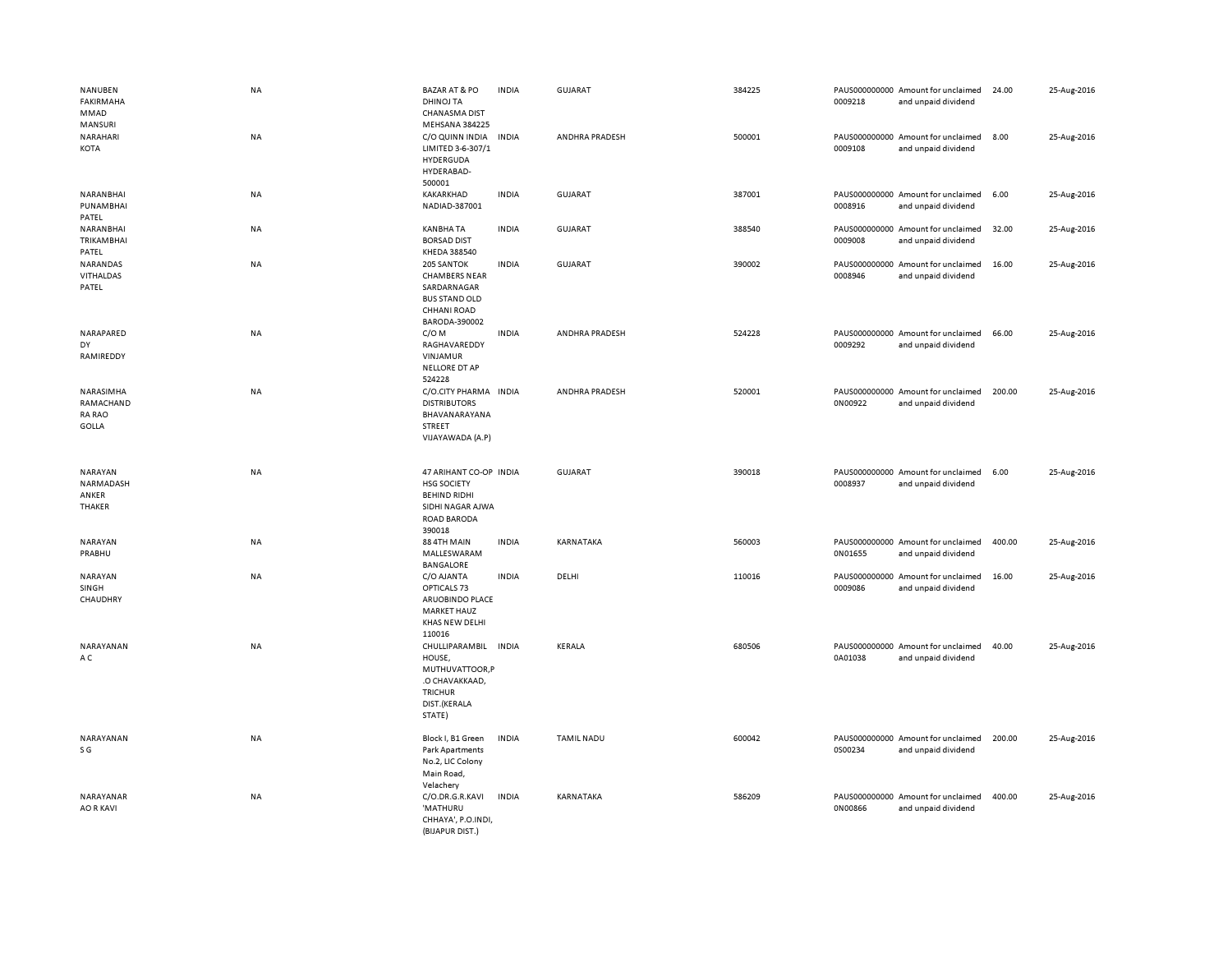| <b>NANUBEN</b><br><b>FAKIRMAHA</b><br>MMAD<br>MANSURI   | <b>NA</b> | <b>BAZAR AT &amp; PO</b><br><b>DHINOJ TA</b><br>CHANASMA DIST<br>MEHSANA 384225                                  | <b>INDIA</b> | <b>GUJARAT</b>    | 384225 | 0009218 | PAUS000000000 Amount for unclaimed<br>and unpaid dividend | 24.00  | 25-Aug-2016 |
|---------------------------------------------------------|-----------|------------------------------------------------------------------------------------------------------------------|--------------|-------------------|--------|---------|-----------------------------------------------------------|--------|-------------|
| NARAHARI<br>KOTA                                        | <b>NA</b> | C/O QUINN INDIA INDIA<br>LIMITED 3-6-307/1<br>HYDERGUDA<br>HYDERABAD-<br>500001                                  |              | ANDHRA PRADESH    | 500001 | 0009108 | PAUS000000000 Amount for unclaimed<br>and unpaid dividend | 8.00   | 25-Aug-2016 |
| NARANBHAI<br>PUNAMBHAI<br>PATEL                         | NA        | KAKARKHAD<br>NADIAD-387001                                                                                       | <b>INDIA</b> | GUJARAT           | 387001 | 0008916 | PAUS000000000 Amount for unclaimed<br>and unpaid dividend | 6.00   | 25-Aug-2016 |
| NARANBHAI<br>TRIKAMBHAI<br>PATEL                        | NA        | <b>KANBHA TA</b><br><b>BORSAD DIST</b><br>KHEDA 388540                                                           | <b>INDIA</b> | <b>GUJARAT</b>    | 388540 | 0009008 | PAUS000000000 Amount for unclaimed<br>and unpaid dividend | 32.00  | 25-Aug-2016 |
| NARANDAS<br>VITHALDAS<br>PATEL                          | <b>NA</b> | 205 SANTOK<br><b>CHAMBERS NEAR</b><br>SARDARNAGAR<br><b>BUS STAND OLD</b><br>CHHANI ROAD<br>BARODA-390002        | <b>INDIA</b> | <b>GUJARAT</b>    | 390002 | 0008946 | PAUS000000000 Amount for unclaimed<br>and unpaid dividend | 16.00  | 25-Aug-2016 |
| NARAPARED<br>DY<br>RAMIREDDY                            | NA        | $C/O$ M<br>RAGHAVAREDDY<br>VINJAMUR<br>NELLORE DT AP<br>524228                                                   | <b>INDIA</b> | ANDHRA PRADESH    | 524228 | 0009292 | PAUS000000000 Amount for unclaimed<br>and unpaid dividend | 66.00  | 25-Aug-2016 |
| NARASIMHA<br>RAMACHAND<br><b>RA RAO</b><br><b>GOLLA</b> | NA        | C/O.CITY PHARMA INDIA<br><b>DISTRIBUTORS</b><br>BHAVANARAYANA<br>STREET<br>VIJAYAWADA (A.P)                      |              | ANDHRA PRADESH    | 520001 | 0N00922 | PAUS000000000 Amount for unclaimed<br>and unpaid dividend | 200.00 | 25-Aug-2016 |
| NARAYAN<br>NARMADASH<br>ANKER<br>THAKER                 | NA        | 47 ARIHANT CO-OP INDIA<br><b>HSG SOCIETY</b><br><b>BEHIND RIDHI</b><br>SIDHI NAGAR AJWA<br>ROAD BARODA<br>390018 |              | <b>GUJARAT</b>    | 390018 | 0008937 | PAUS000000000 Amount for unclaimed<br>and unpaid dividend | 6.00   | 25-Aug-2016 |
| NARAYAN<br>PRABHU                                       | NA        | 88 4TH MAIN<br>MALLESWARAM<br><b>BANGALORE</b>                                                                   | <b>INDIA</b> | KARNATAKA         | 560003 | 0N01655 | PAUS000000000 Amount for unclaimed<br>and unpaid dividend | 400.00 | 25-Aug-2016 |
| NARAYAN<br>SINGH<br>CHAUDHRY                            | NA        | C/O AJANTA<br>OPTICALS 73<br>ARUOBINDO PLACE<br><b>MARKET HAUZ</b><br>KHAS NEW DELHI<br>110016                   | <b>INDIA</b> | DELHI             | 110016 | 0009086 | PAUS000000000 Amount for unclaimed<br>and unpaid dividend | 16.00  | 25-Aug-2016 |
| NARAYANAN<br>A C                                        | NA        | CHULLIPARAMBIL<br>HOUSE,<br>MUTHUVATTOOR,P<br>.O CHAVAKKAAD,<br><b>TRICHUR</b><br>DIST.(KERALA<br>STATE)         | <b>INDIA</b> | KERALA            | 680506 | 0A01038 | PAUS000000000 Amount for unclaimed<br>and unpaid dividend | 40.00  | 25-Aug-2016 |
| NARAYANAN<br>S G                                        | NA        | Block I, B1 Green<br><b>Park Apartments</b><br>No.2, LIC Colony<br>Main Road,<br>Velachery                       | <b>INDIA</b> | <b>TAMIL NADU</b> | 600042 | 0S00234 | PAUS000000000 Amount for unclaimed<br>and unpaid dividend | 200.00 | 25-Aug-2016 |
| NARAYANAR<br><b>AO R KAVI</b>                           | <b>NA</b> | C/O.DR.G.R.KAVI                                                                                                  | <b>INDIA</b> | KARNATAKA         | 586209 |         | PAUS000000000 Amount for unclaimed                        | 400.00 | 25-Aug-2016 |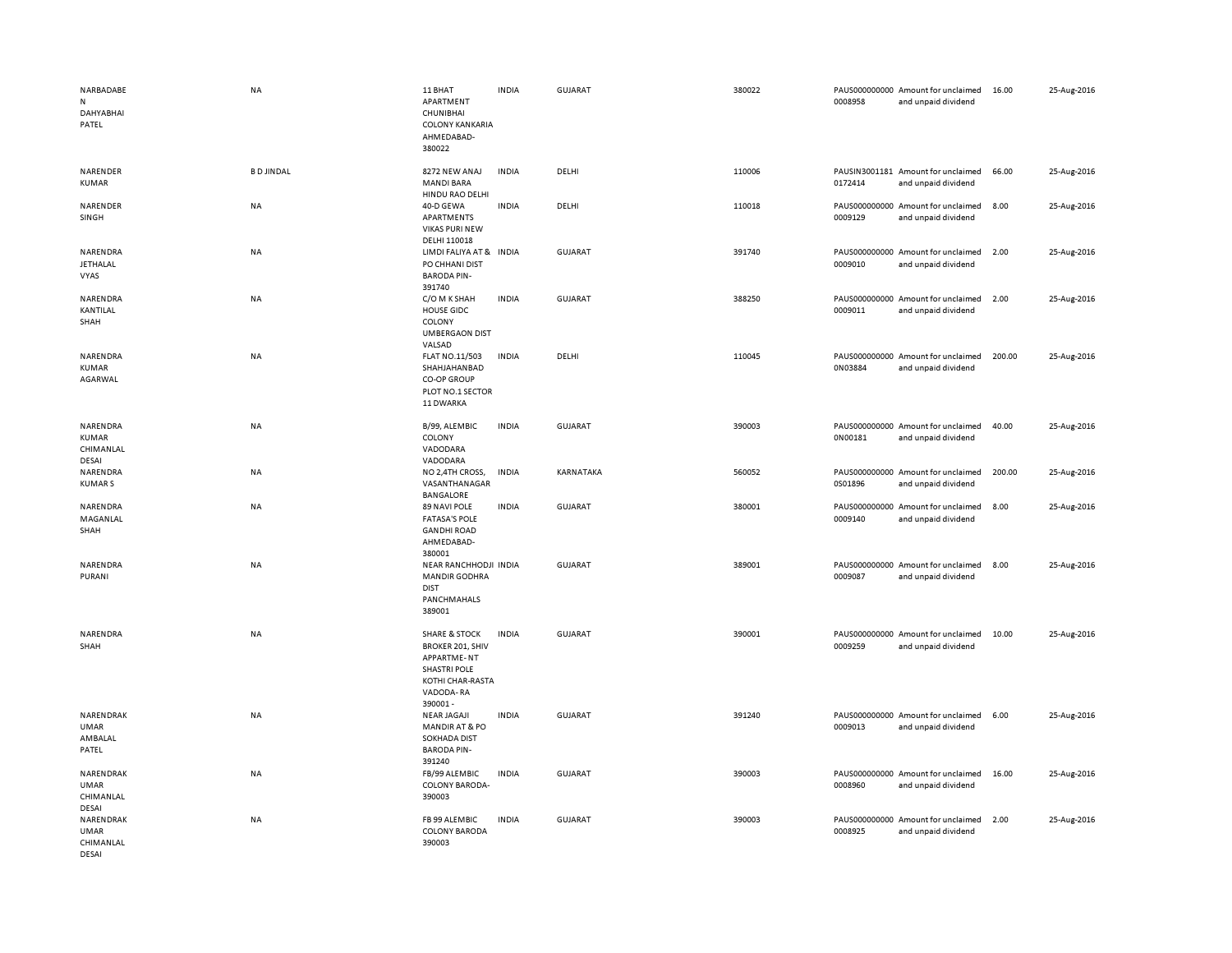| NARBADABE<br>N<br><b>DAHYABHAI</b><br>PATEL    | <b>NA</b>        | 11 BHAT<br>APARTMENT<br>CHUNIBHAI<br><b>COLONY KANKARIA</b><br>AHMEDABAD-<br>380022                                                          | <b>INDIA</b> | <b>GUJARAT</b> | 380022 | 0008958                  | PAUS000000000 Amount for unclaimed<br>and unpaid dividend | 16.00  | 25-Aug-2016 |
|------------------------------------------------|------------------|----------------------------------------------------------------------------------------------------------------------------------------------|--------------|----------------|--------|--------------------------|-----------------------------------------------------------|--------|-------------|
| NARENDER<br>KUMAR                              | <b>BD JINDAL</b> | 8272 NEW ANAJ<br><b>MANDI BARA</b>                                                                                                           | <b>INDIA</b> | DELHI          | 110006 | 0172414                  | PAUSIN3001181 Amount for unclaimed<br>and unpaid dividend | 66.00  | 25-Aug-2016 |
| NARENDER<br>SINGH                              | <b>NA</b>        | HINDU RAO DELHI<br>40-D GEWA<br>APARTMENTS<br><b>VIKAS PURI NEW</b><br>DELHI 110018                                                          | <b>INDIA</b> | DELHI          | 110018 | PAUS000000000<br>0009129 | Amount for unclaimed<br>and unpaid dividend               | 8.00   | 25-Aug-2016 |
| NARENDRA<br>JETHALAL<br>VYAS                   | <b>NA</b>        | LIMDI FALIYA AT & INDIA<br>PO CHHANI DIST<br><b>BARODA PIN-</b><br>391740                                                                    |              | <b>GUJARAT</b> | 391740 | 0009010                  | PAUS000000000 Amount for unclaimed<br>and unpaid dividend | 2.00   | 25-Aug-2016 |
| NARENDRA<br>KANTILAL<br>SHAH                   | <b>NA</b>        | C/O M K SHAH<br>HOUSE GIDC<br>COLONY<br><b>UMBERGAON DIST</b><br>VALSAD                                                                      | <b>INDIA</b> | <b>GUJARAT</b> | 388250 | 0009011                  | PAUS000000000 Amount for unclaimed<br>and unpaid dividend | 2.00   | 25-Aug-2016 |
| NARENDRA<br>KUMAR<br>AGARWAL                   | <b>NA</b>        | FLAT NO.11/503<br>SHAHJAHANBAD<br><b>CO-OP GROUP</b><br>PLOT NO.1 SECTOR<br>11 DWARKA                                                        | <b>INDIA</b> | DELHI          | 110045 | 0N03884                  | PAUS000000000 Amount for unclaimed<br>and unpaid dividend | 200.00 | 25-Aug-2016 |
| NARENDRA<br>KUMAR<br>CHIMANLAL                 | <b>NA</b>        | B/99, ALEMBIC<br>COLONY<br>VADODARA                                                                                                          | <b>INDIA</b> | <b>GUJARAT</b> | 390003 | 0N00181                  | PAUS000000000 Amount for unclaimed<br>and unpaid dividend | 40.00  | 25-Aug-2016 |
| DESAI<br>NARENDRA<br><b>KUMARS</b>             | NA               | VADODARA<br>NO 2,4TH CROSS,<br>VASANTHANAGAR<br>BANGALORE                                                                                    | <b>INDIA</b> | KARNATAKA      | 560052 | 0S01896                  | PAUS000000000 Amount for unclaimed<br>and unpaid dividend | 200.00 | 25-Aug-2016 |
| NARENDRA<br>MAGANLAL<br>SHAH                   | <b>NA</b>        | 89 NAVI POLE<br><b>FATASA'S POLE</b><br><b>GANDHI ROAD</b><br>AHMEDABAD-<br>380001                                                           | <b>INDIA</b> | <b>GUJARAT</b> | 380001 | 0009140                  | PAUS000000000 Amount for unclaimed<br>and unpaid dividend | 8.00   | 25-Aug-2016 |
| NARENDRA<br>PURANI                             | <b>NA</b>        | NEAR RANCHHODJI INDIA<br><b>MANDIR GODHRA</b><br><b>DIST</b><br>PANCHMAHALS<br>389001                                                        |              | <b>GUJARAT</b> | 389001 | 0009087                  | PAUS000000000 Amount for unclaimed<br>and unpaid dividend | 8.00   | 25-Aug-2016 |
| NARENDRA<br>SHAH                               | <b>NA</b>        | <b>SHARE &amp; STOCK</b><br><b>BROKER 201, SHIV</b><br><b>APPARTME-NT</b><br><b>SHASTRI POLE</b><br>KOTHI CHAR-RASTA<br>VADODA-RA<br>390001- | <b>INDIA</b> | <b>GUJARAT</b> | 390001 | 0009259                  | PAUS000000000 Amount for unclaimed<br>and unpaid dividend | 10.00  | 25-Aug-2016 |
| NARENDRAK<br><b>UMAR</b><br>AMBALAL<br>PATEL   | <b>NA</b>        | <b>NEAR JAGAJI</b><br><b>MANDIR AT &amp; PO</b><br><b>SOKHADA DIST</b><br><b>BARODA PIN-</b><br>391240                                       | <b>INDIA</b> | <b>GUJARAT</b> | 391240 | 0009013                  | PAUS000000000 Amount for unclaimed<br>and unpaid dividend | 6.00   | 25-Aug-2016 |
| NARENDRAK<br><b>UMAR</b><br>CHIMANLAL<br>DESAI | <b>NA</b>        | FB/99 ALEMBIC<br><b>COLONY BARODA-</b><br>390003                                                                                             | INDIA        | GUJARAT        | 390003 | 0008960                  | PAUS000000000 Amount for unclaimed<br>and unpaid dividend | 16.00  | 25-Aug-2016 |
| NARENDRAK<br><b>UMAR</b><br>CHIMANLAL<br>DESAI | NA               | FB 99 ALEMBIC<br><b>COLONY BARODA</b><br>390003                                                                                              | <b>INDIA</b> | <b>GUJARAT</b> | 390003 | 0008925                  | PAUS000000000 Amount for unclaimed<br>and unpaid dividend | 2.00   | 25-Aug-2016 |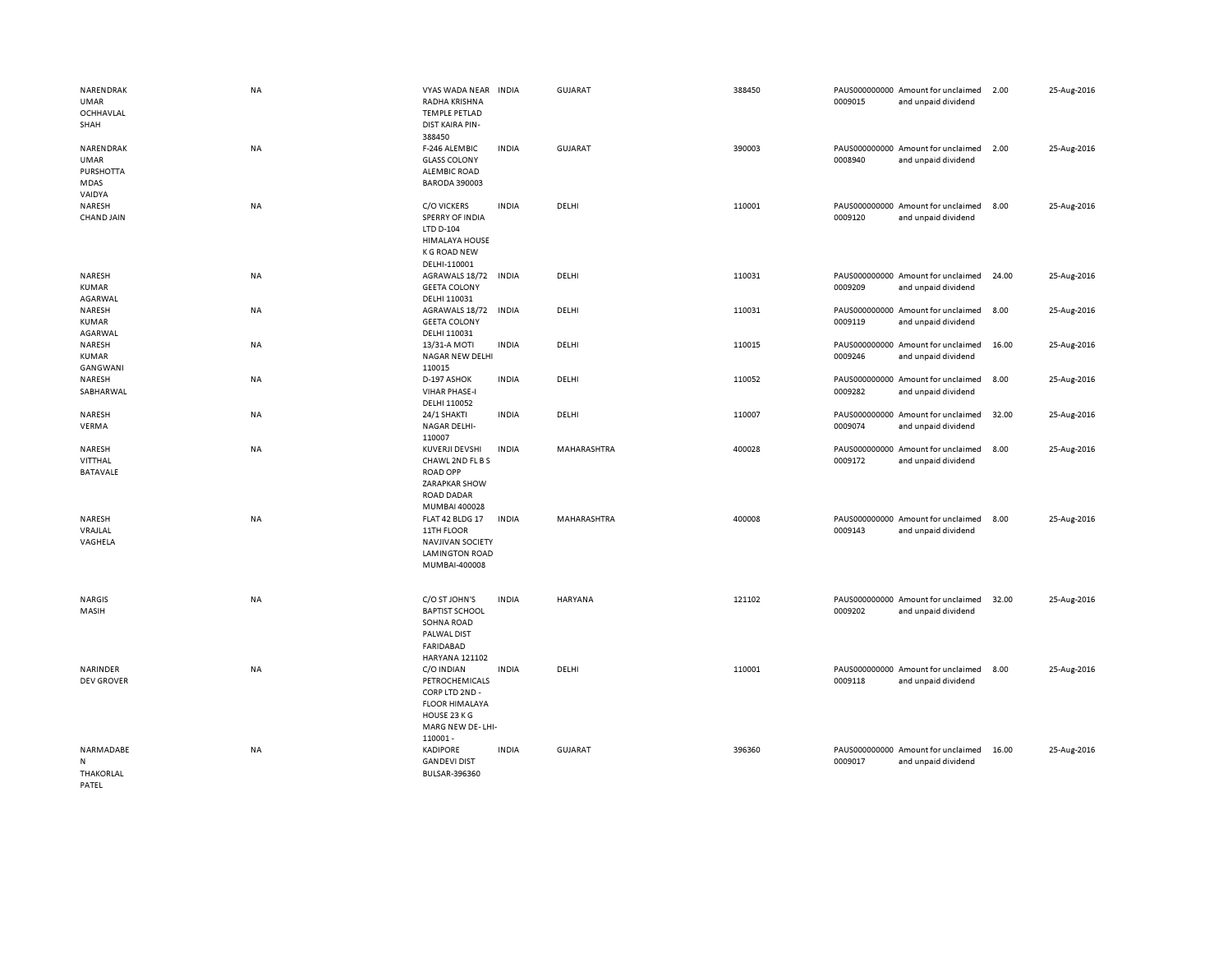| NARENDRAK<br>UMAR<br>OCHHAVLAL<br>SHAH                         | NA        | VYAS WADA NEAR<br>RADHA KRISHNA<br><b>TEMPLE PETLAD</b><br><b>DIST KAIRA PIN-</b><br>388450                            | <b>INDIA</b> | <b>GUJARAT</b>     | 388450 | 0009015 | PAUS000000000 Amount for unclaimed<br>and unpaid dividend | 2.00  | 25-Aug-2016 |
|----------------------------------------------------------------|-----------|------------------------------------------------------------------------------------------------------------------------|--------------|--------------------|--------|---------|-----------------------------------------------------------|-------|-------------|
| NARENDRAK<br><b>UMAR</b><br><b>PURSHOTTA</b><br>MDAS<br>VAIDYA | <b>NA</b> | F-246 ALEMBIC<br><b>GLASS COLONY</b><br><b>ALEMBIC ROAD</b><br><b>BARODA 390003</b>                                    | <b>INDIA</b> | <b>GUJARAT</b>     | 390003 | 0008940 | PAUS000000000 Amount for unclaimed<br>and unpaid dividend | 2.00  | 25-Aug-2016 |
| NARESH<br><b>CHAND JAIN</b>                                    | <b>NA</b> | <b>C/O VICKERS</b><br>SPERRY OF INDIA<br>LTD D-104<br><b>HIMALAYA HOUSE</b><br><b>K G ROAD NEW</b><br>DELHI-110001     | <b>INDIA</b> | DELHI              | 110001 | 0009120 | PAUS000000000 Amount for unclaimed<br>and unpaid dividend | 8.00  | 25-Aug-2016 |
| NARESH<br><b>KUMAR</b><br>AGARWAL                              | NA        | AGRAWALS 18/72<br><b>GEETA COLONY</b><br>DELHI 110031                                                                  | INDIA        | DELHI              | 110031 | 0009209 | PAUS000000000 Amount for unclaimed<br>and unpaid dividend | 24.00 | 25-Aug-2016 |
| NARESH<br><b>KUMAR</b><br>AGARWAL                              | NA        | AGRAWALS 18/72<br><b>GEETA COLONY</b><br>DELHI 110031                                                                  | <b>INDIA</b> | DELHI              | 110031 | 0009119 | PAUS000000000 Amount for unclaimed<br>and unpaid dividend | 8.00  | 25-Aug-2016 |
| NARESH<br><b>KUMAR</b><br>GANGWANI                             | <b>NA</b> | 13/31-A MOTI<br>NAGAR NEW DELHI<br>110015                                                                              | <b>INDIA</b> | DELHI              | 110015 | 0009246 | PAUS000000000 Amount for unclaimed<br>and unpaid dividend | 16.00 | 25-Aug-2016 |
| NARESH<br>SABHARWAL                                            | NA        | D-197 ASHOK<br><b>VIHAR PHASE-I</b><br>DELHI 110052                                                                    | <b>INDIA</b> | DELHI              | 110052 | 0009282 | PAUS000000000 Amount for unclaimed<br>and unpaid dividend | 8.00  | 25-Aug-2016 |
| NARESH<br>VERMA                                                | NA        | 24/1 SHAKTI<br>NAGAR DELHI-<br>110007                                                                                  | <b>INDIA</b> | DELHI              | 110007 | 0009074 | PAUS000000000 Amount for unclaimed<br>and unpaid dividend | 32.00 | 25-Aug-2016 |
| NARESH<br>VITTHAL<br><b>BATAVALE</b>                           | <b>NA</b> | KUVERJI DEVSHI<br>CHAWL 2ND FL B S<br><b>ROAD OPP</b><br><b>ZARAPKAR SHOW</b><br><b>ROAD DADAR</b><br>MUMBAI 400028    | <b>INDIA</b> | <b>MAHARASHTRA</b> | 400028 | 0009172 | PAUS000000000 Amount for unclaimed<br>and unpaid dividend | 8.00  | 25-Aug-2016 |
| NARESH<br>VRAJLAL<br>VAGHELA                                   | <b>NA</b> | FLAT 42 BLDG 17<br>11TH FLOOR<br><b>NAVJIVAN SOCIETY</b><br><b>LAMINGTON ROAD</b><br>MUMBAI-400008                     | <b>INDIA</b> | MAHARASHTRA        | 400008 | 0009143 | PAUS000000000 Amount for unclaimed<br>and unpaid dividend | 8.00  | 25-Aug-2016 |
| <b>NARGIS</b><br>MASIH                                         | NA        | C/O ST JOHN'S<br><b>BAPTIST SCHOOL</b><br>SOHNA ROAD<br>PALWAL DIST<br><b>FARIDABAD</b><br><b>HARYANA 121102</b>       | <b>INDIA</b> | <b>HARYANA</b>     | 121102 | 0009202 | PAUS000000000 Amount for unclaimed<br>and unpaid dividend | 32.00 | 25-Aug-2016 |
| NARINDER<br><b>DEV GROVER</b>                                  | NA        | C/O INDIAN<br>PETROCHEMICALS<br>CORP LTD 2ND -<br><b>FLOOR HIMALAYA</b><br>HOUSE 23 K G<br>MARG NEW DE-LHI-<br>110001- | <b>INDIA</b> | DELHI              | 110001 | 0009118 | PAUS000000000 Amount for unclaimed<br>and unpaid dividend | 8.00  | 25-Aug-2016 |
| NARMADABE<br>N<br><b>THAKORLAL</b><br>PATEL                    | NA        | <b>KADIPORE</b><br><b>GANDEVI DIST</b><br>BULSAR-396360                                                                | <b>INDIA</b> | GUJARAT            | 396360 | 0009017 | PAUS000000000 Amount for unclaimed<br>and unpaid dividend | 16.00 | 25-Aug-2016 |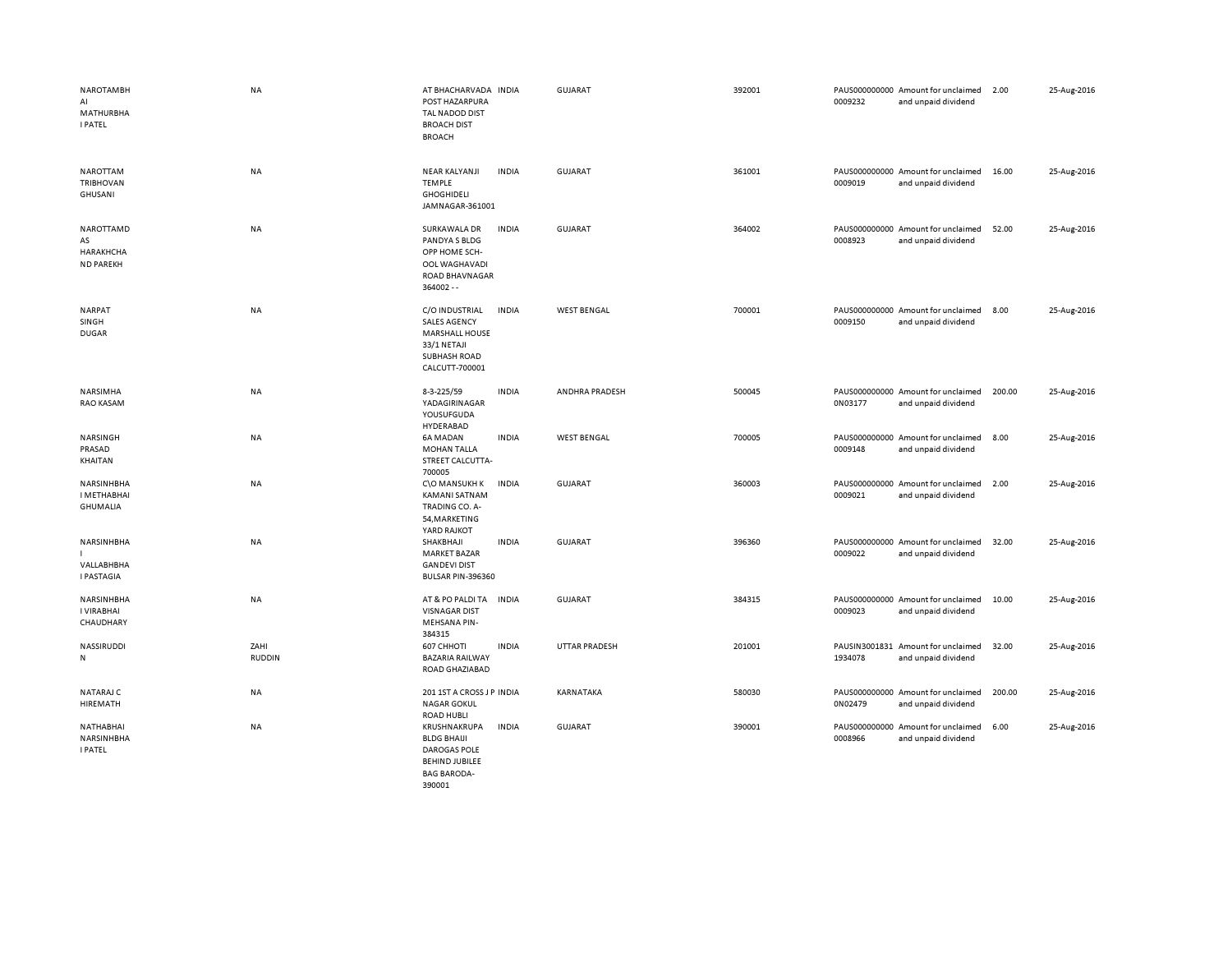| <b>NAROTAMBH</b><br>AI<br><b>MATHURBHA</b><br><b>I PATEL</b> | NA                    | AT BHACHARVADA INDIA<br>POST HAZARPURA<br>TAL NADOD DIST<br><b>BROACH DIST</b><br><b>BROACH</b>                        |              | <b>GUJARAT</b>        | 392001 | 0009232 | PAUS000000000 Amount for unclaimed<br>and unpaid dividend | 2.00   | 25-Aug-2016 |
|--------------------------------------------------------------|-----------------------|------------------------------------------------------------------------------------------------------------------------|--------------|-----------------------|--------|---------|-----------------------------------------------------------|--------|-------------|
| NAROTTAM<br>TRIBHOVAN<br>GHUSANI                             | NA                    | NEAR KALYANJI<br><b>TEMPLE</b><br><b>GHOGHIDELI</b><br>JAMNAGAR-361001                                                 | <b>INDIA</b> | GUJARAT               | 361001 | 0009019 | PAUS000000000 Amount for unclaimed<br>and unpaid dividend | 16.00  | 25-Aug-2016 |
| NAROTTAMD<br>AS<br>HARAKHCHA<br><b>ND PAREKH</b>             | NA                    | SURKAWALA DR<br>PANDYA S BLDG<br>OPP HOME SCH-<br>OOL WAGHAVADI<br><b>ROAD BHAVNAGAR</b><br>$364002 - -$               | <b>INDIA</b> | <b>GUJARAT</b>        | 364002 | 0008923 | PAUS000000000 Amount for unclaimed<br>and unpaid dividend | 52.00  | 25-Aug-2016 |
| <b>NARPAT</b><br>SINGH<br><b>DUGAR</b>                       | NA                    | C/O INDUSTRIAL<br><b>SALES AGENCY</b><br><b>MARSHALL HOUSE</b><br>33/1 NETAJI<br><b>SUBHASH ROAD</b><br>CALCUTT-700001 | <b>INDIA</b> | <b>WEST BENGAL</b>    | 700001 | 0009150 | PAUS000000000 Amount for unclaimed<br>and unpaid dividend | 8.00   | 25-Aug-2016 |
| NARSIMHA<br><b>RAO KASAM</b>                                 | <b>NA</b>             | 8-3-225/59<br>YADAGIRINAGAR<br>YOUSUFGUDA<br>HYDERABAD                                                                 | <b>INDIA</b> | <b>ANDHRA PRADESH</b> | 500045 | 0N03177 | PAUS000000000 Amount for unclaimed<br>and unpaid dividend | 200.00 | 25-Aug-2016 |
| NARSINGH<br>PRASAD<br>KHAITAN                                | NA                    | <b>6A MADAN</b><br><b>MOHAN TALLA</b><br>STREET CALCUTTA-<br>700005                                                    | <b>INDIA</b> | <b>WEST BENGAL</b>    | 700005 | 0009148 | PAUS000000000 Amount for unclaimed<br>and unpaid dividend | 8.00   | 25-Aug-2016 |
| NARSINHBHA<br><b>I METHABHAI</b><br><b>GHUMALIA</b>          | NA                    | C\O MANSUKH K<br><b>KAMANI SATNAM</b><br>TRADING CO. A-<br>54, MARKETING<br>YARD RAJKOT                                | INDIA        | <b>GUJARAT</b>        | 360003 | 0009021 | PAUS000000000 Amount for unclaimed<br>and unpaid dividend | 2.00   | 25-Aug-2016 |
| NARSINHBHA<br>VALLABHBHA<br><b>I PASTAGIA</b>                | NA                    | SHAKBHAJI<br><b>MARKET BAZAR</b><br><b>GANDEVI DIST</b><br>BULSAR PIN-396360                                           | <b>INDIA</b> | <b>GUJARAT</b>        | 396360 | 0009022 | PAUS000000000 Amount for unclaimed<br>and unpaid dividend | 32.00  | 25-Aug-2016 |
| NARSINHBHA<br>I VIRABHAI<br>CHAUDHARY                        | NA                    | AT & PO PALDI TA<br><b>VISNAGAR DIST</b><br><b>MEHSANA PIN-</b><br>384315                                              | <b>INDIA</b> | <b>GUJARAT</b>        | 384315 | 0009023 | PAUS000000000 Amount for unclaimed<br>and unpaid dividend | 10.00  | 25-Aug-2016 |
| NASSIRUDDI<br>N                                              | ZAHI<br><b>RUDDIN</b> | 607 CHHOTI<br><b>BAZARIA RAILWAY</b><br>ROAD GHAZIABAD                                                                 | <b>INDIA</b> | <b>UTTAR PRADESH</b>  | 201001 | 1934078 | PAUSIN3001831 Amount for unclaimed<br>and unpaid dividend | 32.00  | 25-Aug-2016 |
| NATARAJ C<br>HIREMATH                                        | NA                    | 201 1ST A CROSS J P INDIA<br><b>NAGAR GOKUL</b><br><b>ROAD HUBLI</b>                                                   |              | KARNATAKA             | 580030 | 0N02479 | PAUS000000000 Amount for unclaimed<br>and unpaid dividend | 200.00 | 25-Aug-2016 |
| NATHABHAI<br>NARSINHBHA<br><b>I PATEL</b>                    | NA                    | KRUSHNAKRUPA<br><b>BLDG BHAIJI</b><br><b>DAROGAS POLE</b><br><b>BEHIND JUBILEE</b><br><b>BAG BARODA-</b>               | <b>INDIA</b> | GUJARAT               | 390001 | 0008966 | PAUS000000000 Amount for unclaimed<br>and unpaid dividend | 6.00   | 25-Aug-2016 |

390001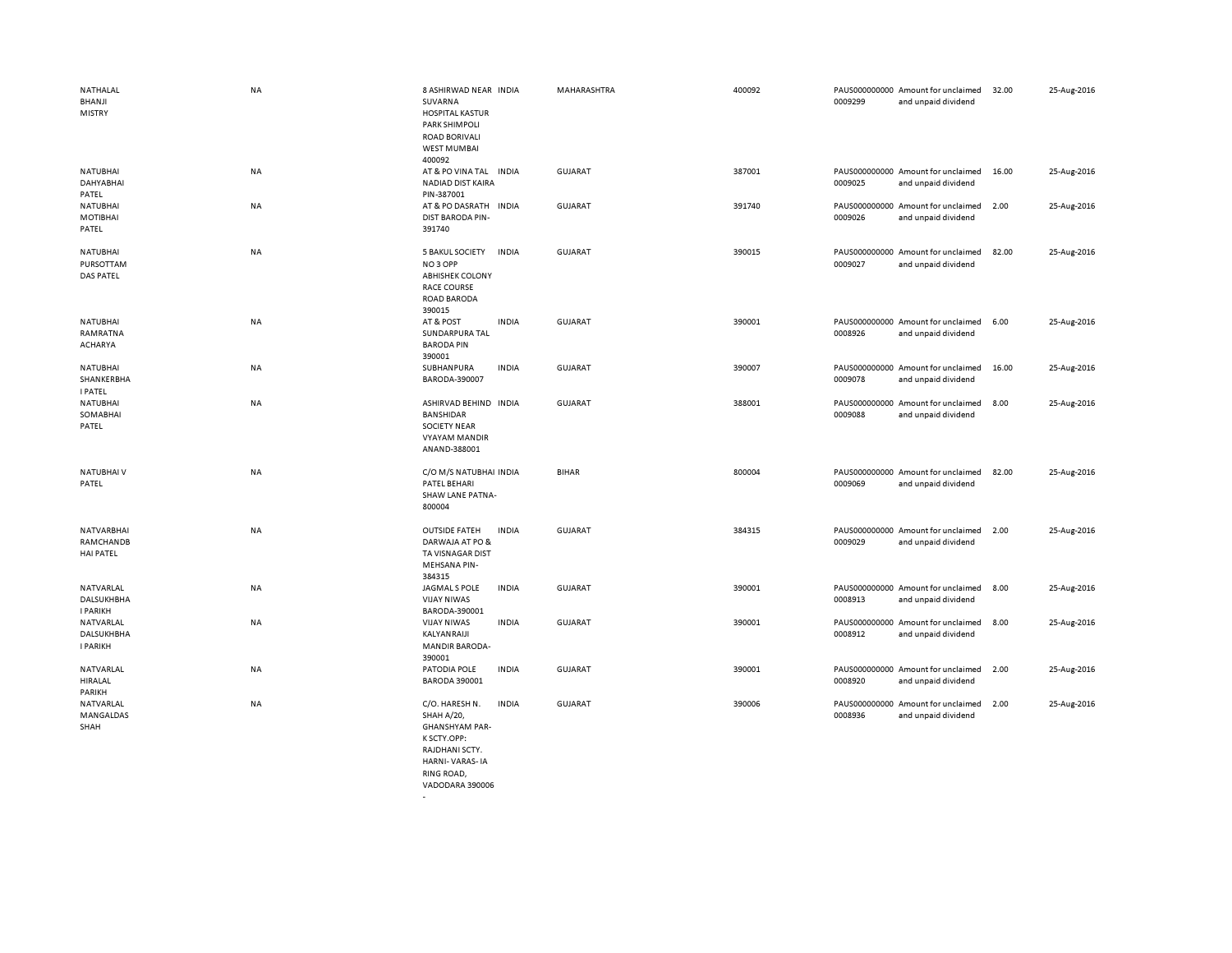| NATHALAL<br>BHANJI<br><b>MISTRY</b>         | <b>NA</b> | 8 ASHIRWAD NEAR INDIA<br>SUVARNA<br><b>HOSPITAL KASTUR</b><br><b>PARK SHIMPOLI</b><br><b>ROAD BORIVALI</b><br><b>WEST MUMBAI</b>          |              | MAHARASHTRA    | 400092 | 0009299 | PAUS000000000 Amount for unclaimed<br>and unpaid dividend | 32.00 | 25-Aug-2016 |
|---------------------------------------------|-----------|-------------------------------------------------------------------------------------------------------------------------------------------|--------------|----------------|--------|---------|-----------------------------------------------------------|-------|-------------|
| <b>NATUBHAI</b><br>DAHYABHAI<br>PATEL       | <b>NA</b> | 400092<br>AT & PO VINA TAL<br><b>NADIAD DIST KAIRA</b><br>PIN-387001                                                                      | <b>INDIA</b> | <b>GUJARAT</b> | 387001 | 0009025 | PAUS000000000 Amount for unclaimed<br>and unpaid dividend | 16.00 | 25-Aug-2016 |
| <b>NATUBHAI</b><br>MOTIBHAI<br>PATEL        | <b>NA</b> | AT & PO DASRATH<br><b>DIST BARODA PIN-</b><br>391740                                                                                      | <b>INDIA</b> | GUJARAT        | 391740 | 0009026 | PAUS000000000 Amount for unclaimed<br>and unpaid dividend | 2.00  | 25-Aug-2016 |
| <b>NATUBHAI</b><br>PURSOTTAM<br>DAS PATEL   | <b>NA</b> | <b>5 BAKUL SOCIETY</b><br>NO <sub>3</sub> OPP<br><b>ABHISHEK COLONY</b><br><b>RACE COURSE</b><br><b>ROAD BARODA</b><br>390015             | <b>INDIA</b> | <b>GUJARAT</b> | 390015 | 0009027 | PAUS000000000 Amount for unclaimed<br>and unpaid dividend | 82.00 | 25-Aug-2016 |
| <b>NATUBHAI</b><br>RAMRATNA<br>ACHARYA      | NA        | AT & POST<br>SUNDARPURA TAL<br><b>BARODA PIN</b><br>390001                                                                                | <b>INDIA</b> | <b>GUJARAT</b> | 390001 | 0008926 | PAUS000000000 Amount for unclaimed<br>and unpaid dividend | 6.00  | 25-Aug-2016 |
| NATUBHAI<br>SHANKERBHA<br><b>I PATEL</b>    | NA        | SUBHANPURA<br>BARODA-390007                                                                                                               | <b>INDIA</b> | <b>GUJARAT</b> | 390007 | 0009078 | PAUS000000000 Amount for unclaimed<br>and unpaid dividend | 16.00 | 25-Aug-2016 |
| <b>NATUBHAI</b><br>SOMABHAI<br>PATEL        | <b>NA</b> | ASHIRVAD BEHIND INDIA<br><b>BANSHIDAR</b><br><b>SOCIETY NEAR</b><br><b>VYAYAM MANDIR</b><br>ANAND-388001                                  |              | <b>GUJARAT</b> | 388001 | 0009088 | PAUS000000000 Amount for unclaimed<br>and unpaid dividend | 8.00  | 25-Aug-2016 |
| NATUBHAI V<br>PATEL                         | NA        | C/O M/S NATUBHAI INDIA<br>PATEL BEHARI<br>SHAW LANE PATNA-<br>800004                                                                      |              | <b>BIHAR</b>   | 800004 | 0009069 | PAUS000000000 Amount for unclaimed<br>and unpaid dividend | 82.00 | 25-Aug-2016 |
| NATVARBHAI<br>RAMCHANDB<br><b>HAI PATEL</b> | <b>NA</b> | <b>OUTSIDE FATEH</b><br>DARWAJA AT PO &<br>TA VISNAGAR DIST<br><b>MEHSANA PIN-</b><br>384315                                              | <b>INDIA</b> | <b>GUJARAT</b> | 384315 | 0009029 | PAUS000000000 Amount for unclaimed<br>and unpaid dividend | 2.00  | 25-Aug-2016 |
| NATVARLAL<br>DALSUKHBHA<br><b>I PARIKH</b>  | <b>NA</b> | JAGMAL S POLE<br><b>VIJAY NIWAS</b><br>BARODA-390001                                                                                      | <b>INDIA</b> | GUJARAT        | 390001 | 0008913 | PAUS000000000 Amount for unclaimed<br>and unpaid dividend | 8.00  | 25-Aug-2016 |
| NATVARLAL<br>DALSUKHBHA<br><b>I PARIKH</b>  | <b>NA</b> | <b>VIJAY NIWAS</b><br>KALYANRAIJI<br><b>MANDIR BARODA-</b><br>390001                                                                      | <b>INDIA</b> | GUJARAT        | 390001 | 0008912 | PAUS000000000 Amount for unclaimed<br>and unpaid dividend | 8.00  | 25-Aug-2016 |
| NATVARLAL<br>HIRALAL<br>PARIKH              | NA        | PATODIA POLE<br><b>BARODA 390001</b>                                                                                                      | <b>INDIA</b> | <b>GUJARAT</b> | 390001 | 0008920 | PAUS000000000 Amount for unclaimed<br>and unpaid dividend | 2.00  | 25-Aug-2016 |
| NATVARLAL<br>MANGALDAS<br>SHAH              | NA        | C/O. HARESH N.<br>SHAH A/20,<br><b>GHANSHYAM PAR-</b><br>K SCTY.OPP:<br>RAJDHANI SCTY.<br>HARNI-VARAS-IA<br>RING ROAD,<br>VADODARA 390006 | <b>INDIA</b> | GUJARAT        | 390006 | 0008936 | PAUS000000000 Amount for unclaimed<br>and unpaid dividend | 2.00  | 25-Aug-2016 |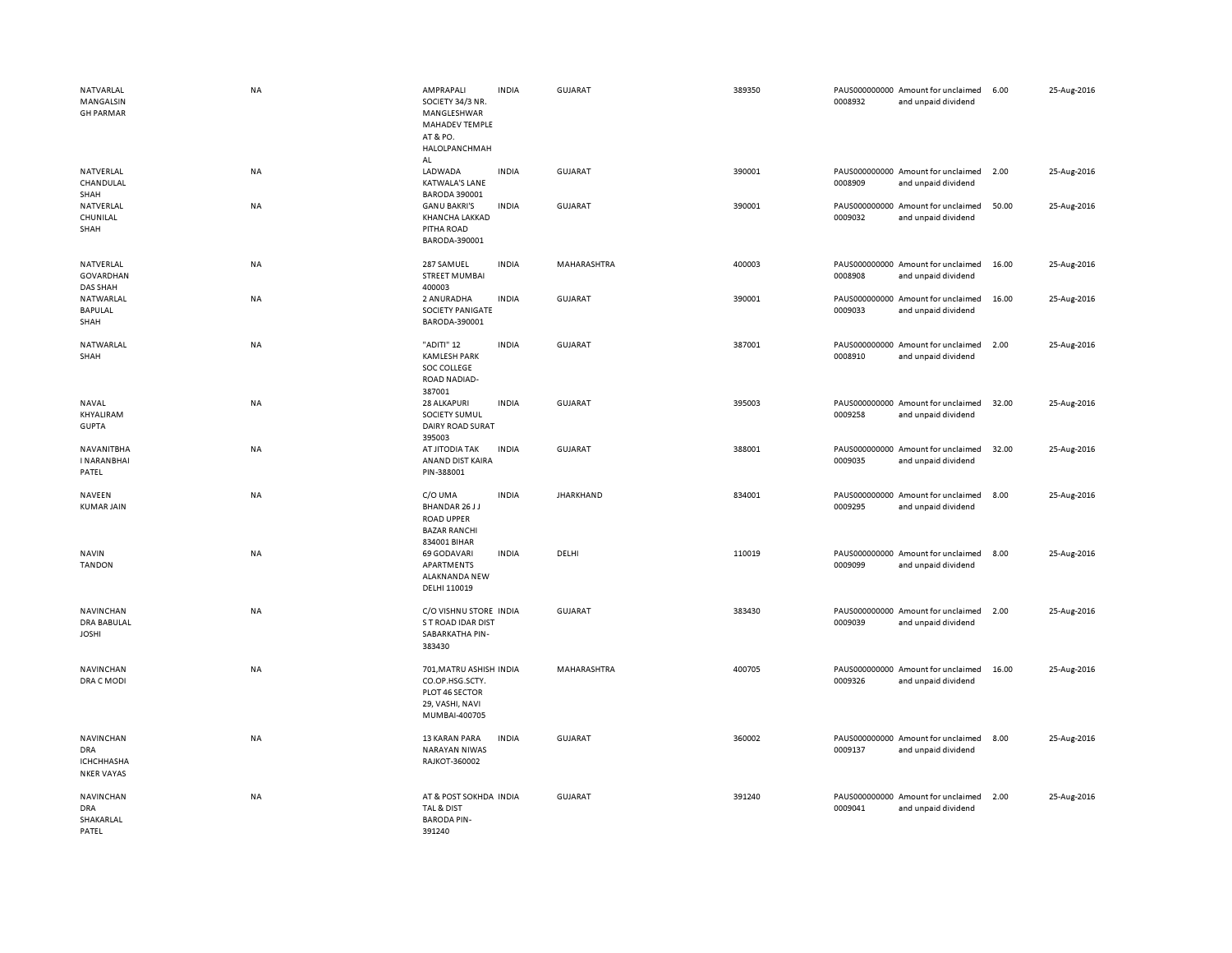| NATVARLAL<br>MANGALSIN<br><b>GH PARMAR</b>                        | <b>NA</b> | AMPRAPALI<br>SOCIETY 34/3 NR.<br>MANGLESHWAR<br>MAHADEV TEMPLE<br>AT & PO.<br>HALOLPANCHMAH<br>AL | <b>INDIA</b> | <b>GUJARAT</b>   | 389350 | 0008932                  | PAUS000000000 Amount for unclaimed<br>and unpaid dividend | 6.00  | 25-Aug-2016 |
|-------------------------------------------------------------------|-----------|---------------------------------------------------------------------------------------------------|--------------|------------------|--------|--------------------------|-----------------------------------------------------------|-------|-------------|
| NATVERLAL<br>CHANDULAL<br>SHAH                                    | NA        | LADWADA<br><b>KATWALA'S LANE</b><br><b>BARODA 390001</b>                                          | <b>INDIA</b> | <b>GUJARAT</b>   | 390001 | 0008909                  | PAUS000000000 Amount for unclaimed<br>and unpaid dividend | 2.00  | 25-Aug-2016 |
| NATVERLAL<br>CHUNILAL<br>SHAH                                     | NA        | <b>GANU BAKRI'S</b><br>KHANCHA LAKKAD<br>PITHA ROAD<br>BARODA-390001                              | <b>INDIA</b> | GUJARAT          | 390001 | 0009032                  | PAUS000000000 Amount for unclaimed<br>and unpaid dividend | 50.00 | 25-Aug-2016 |
| NATVERLAL<br>GOVARDHAN<br>DAS SHAH                                | NA        | 287 SAMUEL<br><b>STREET MUMBAI</b><br>400003                                                      | <b>INDIA</b> | MAHARASHTRA      | 400003 | 0008908                  | PAUS000000000 Amount for unclaimed<br>and unpaid dividend | 16.00 | 25-Aug-2016 |
| NATWARLAL<br>BAPULAL<br>SHAH                                      | NA        | 2 ANURADHA<br>SOCIETY PANIGATE<br>BARODA-390001                                                   | <b>INDIA</b> | <b>GUJARAT</b>   | 390001 | 0009033                  | PAUS000000000 Amount for unclaimed<br>and unpaid dividend | 16.00 | 25-Aug-2016 |
| NATWARLAL<br>SHAH                                                 | NA        | "ADITI" 12<br><b>KAMLESH PARK</b><br>SOC COLLEGE<br><b>ROAD NADIAD-</b><br>387001                 | <b>INDIA</b> | <b>GUJARAT</b>   | 387001 | PAUS000000000<br>0008910 | Amount for unclaimed<br>and unpaid dividend               | 2.00  | 25-Aug-2016 |
| NAVAL<br>KHYALIRAM<br><b>GUPTA</b>                                | NA        | 28 ALKAPURI<br>SOCIETY SUMUL<br>DAIRY ROAD SURAT<br>395003                                        | <b>INDIA</b> | <b>GUJARAT</b>   | 395003 | 0009258                  | PAUS000000000 Amount for unclaimed<br>and unpaid dividend | 32.00 | 25-Aug-2016 |
| NAVANITBHA<br><b>INARANBHAI</b><br>PATEL                          | NA        | AT JITODIA TAK<br>ANAND DIST KAIRA<br>PIN-388001                                                  | <b>INDIA</b> | <b>GUJARAT</b>   | 388001 | 0009035                  | PAUS000000000 Amount for unclaimed<br>and unpaid dividend | 32.00 | 25-Aug-2016 |
| <b>NAVEEN</b><br><b>KUMAR JAIN</b>                                | NA        | C/O UMA<br>BHANDAR 26 J J<br><b>ROAD UPPER</b><br><b>BAZAR RANCHI</b><br>834001 BIHAR             | <b>INDIA</b> | <b>JHARKHAND</b> | 834001 | 0009295                  | PAUS000000000 Amount for unclaimed<br>and unpaid dividend | 8.00  | 25-Aug-2016 |
| <b>NAVIN</b><br><b>TANDON</b>                                     | <b>NA</b> | 69 GODAVARI<br>APARTMENTS<br>ALAKNANDA NEW<br>DELHI 110019                                        | <b>INDIA</b> | DELHI            | 110019 | 0009099                  | PAUS000000000 Amount for unclaimed<br>and unpaid dividend | 8.00  | 25-Aug-2016 |
| NAVINCHAN<br><b>DRA BABULAL</b><br><b>JOSHI</b>                   | NA        | C/O VISHNU STORE INDIA<br>S T ROAD IDAR DIST<br>SABARKATHA PIN-<br>383430                         |              | <b>GUJARAT</b>   | 383430 | 0009039                  | PAUS000000000 Amount for unclaimed<br>and unpaid dividend | 2.00  | 25-Aug-2016 |
| NAVINCHAN<br>DRA C MODI                                           | NA        | 701, MATRU ASHISH INDIA<br>CO.OP.HSG.SCTY.<br>PLOT 46 SECTOR<br>29, VASHI, NAVI<br>MUMBAI-400705  |              | MAHARASHTRA      | 400705 | 0009326                  | PAUS000000000 Amount for unclaimed<br>and unpaid dividend | 16.00 | 25-Aug-2016 |
| NAVINCHAN<br><b>DRA</b><br><b>ICHCHHASHA</b><br><b>NKER VAYAS</b> | NA        | 13 KARAN PARA<br><b>NARAYAN NIWAS</b><br>RAJKOT-360002                                            | <b>INDIA</b> | <b>GUJARAT</b>   | 360002 | 0009137                  | PAUS000000000 Amount for unclaimed<br>and unpaid dividend | 8.00  | 25-Aug-2016 |
| NAVINCHAN<br><b>DRA</b><br>SHAKARLAL<br>PATEL                     | NA        | AT & POST SOKHDA INDIA<br>TAL & DIST<br><b>BARODA PIN-</b><br>391240                              |              | GUJARAT          | 391240 | 0009041                  | PAUS000000000 Amount for unclaimed<br>and unpaid dividend | 2.00  | 25-Aug-2016 |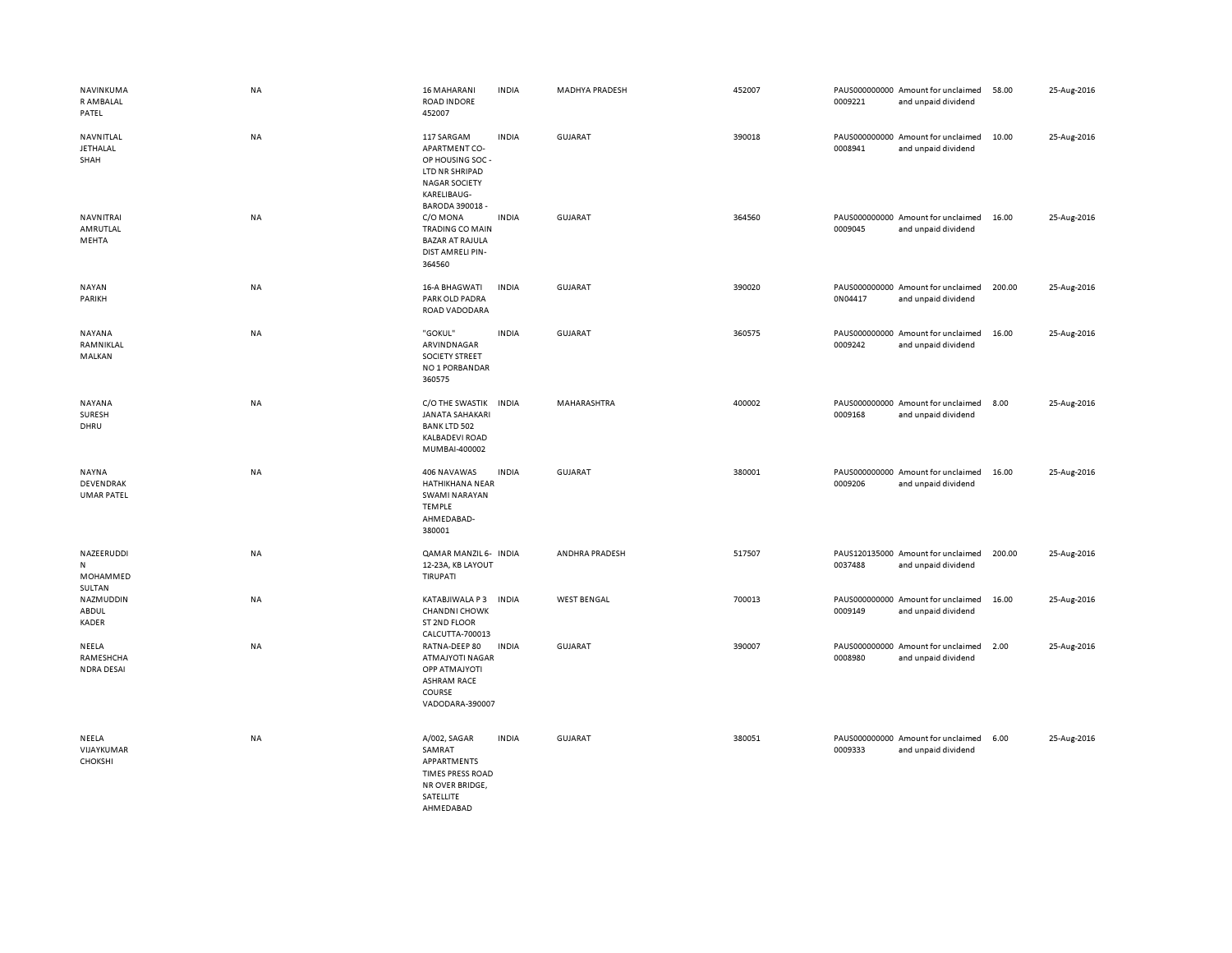| NAVINKUMA<br>R AMBALAL<br>PATEL                | NA        | <b>16 MAHARANI</b><br><b>ROAD INDORE</b><br>452007                                                                          | <b>INDIA</b> | <b>MADHYA PRADESH</b> | 452007 | 0009221 | PAUS000000000 Amount for unclaimed<br>and unpaid dividend | 58.00  | 25-Aug-2016 |
|------------------------------------------------|-----------|-----------------------------------------------------------------------------------------------------------------------------|--------------|-----------------------|--------|---------|-----------------------------------------------------------|--------|-------------|
| NAVNITLAL<br><b>JETHALAL</b><br>SHAH           | NA        | 117 SARGAM<br>APARTMENT CO-<br>OP HOUSING SOC -<br>LTD NR SHRIPAD<br><b>NAGAR SOCIETY</b><br>KARELIBAUG-<br>BARODA 390018 - | <b>INDIA</b> | <b>GUJARAT</b>        | 390018 | 0008941 | PAUS000000000 Amount for unclaimed<br>and unpaid dividend | 10.00  | 25-Aug-2016 |
| NAVNITRAI<br>AMRUTLAL<br>MEHTA                 | NA        | C/O MONA<br><b>TRADING CO MAIN</b><br><b>BAZAR AT RAJULA</b><br>DIST AMRELI PIN-<br>364560                                  | <b>INDIA</b> | GUJARAT               | 364560 | 0009045 | PAUS000000000 Amount for unclaimed<br>and unpaid dividend | 16.00  | 25-Aug-2016 |
| <b>NAYAN</b><br>PARIKH                         | <b>NA</b> | <b>16-A BHAGWATI</b><br>PARK OLD PADRA<br>ROAD VADODARA                                                                     | <b>INDIA</b> | <b>GUJARAT</b>        | 390020 | 0N04417 | PAUS000000000 Amount for unclaimed<br>and unpaid dividend | 200.00 | 25-Aug-2016 |
| NAYANA<br>RAMNIKLAL<br>MALKAN                  | NA        | "GOKUL"<br>ARVINDNAGAR<br><b>SOCIETY STREET</b><br>NO 1 PORBANDAR<br>360575                                                 | <b>INDIA</b> | <b>GUJARAT</b>        | 360575 | 0009242 | PAUS000000000 Amount for unclaimed<br>and unpaid dividend | 16.00  | 25-Aug-2016 |
| <b>NAYANA</b><br>SURESH<br>DHRU                | NA        | C/O THE SWASTIK<br><b>JANATA SAHAKARI</b><br><b>BANK LTD 502</b><br><b>KALBADEVI ROAD</b><br>MUMBAI-400002                  | <b>INDIA</b> | MAHARASHTRA           | 400002 | 0009168 | PAUS000000000 Amount for unclaimed<br>and unpaid dividend | 8.00   | 25-Aug-2016 |
| <b>NAYNA</b><br>DEVENDRAK<br><b>UMAR PATEL</b> | <b>NA</b> | 406 NAVAWAS<br>HATHIKHANA NEAR<br>SWAMI NARAYAN<br><b>TEMPLE</b><br>AHMEDABAD-<br>380001                                    | <b>INDIA</b> | <b>GUJARAT</b>        | 380001 | 0009206 | PAUS000000000 Amount for unclaimed<br>and unpaid dividend | 16.00  | 25-Aug-2016 |
| NAZEERUDDI<br>N<br>MOHAMMED<br>SULTAN          | NA        | QAMAR MANZIL 6- INDIA<br>12-23A, KB LAYOUT<br>TIRUPATI                                                                      |              | ANDHRA PRADESH        | 517507 | 0037488 | PAUS120135000 Amount for unclaimed<br>and unpaid dividend | 200.00 | 25-Aug-2016 |
| NAZMUDDIN<br>ABDUL<br><b>KADER</b>             | NA        | KATABJIWALA P3<br><b>CHANDNI CHOWK</b><br>ST 2ND FLOOR<br>CALCUTTA-700013                                                   | <b>INDIA</b> | <b>WEST BENGAL</b>    | 700013 | 0009149 | PAUS000000000 Amount for unclaimed<br>and unpaid dividend | 16.00  | 25-Aug-2016 |
| NEELA<br>RAMESHCHA<br><b>NDRA DESAI</b>        | NA        | RATNA-DEEP 80<br><b>ATMAJYOTI NAGAR</b><br><b>OPP ATMAJYOTI</b><br><b>ASHRAM RACE</b><br>COURSE<br>VADODARA-390007          | <b>INDIA</b> | GUJARAT               | 390007 | 0008980 | PAUS000000000 Amount for unclaimed<br>and unpaid dividend | 2.00   | 25-Aug-2016 |
| NEELA<br>VIJAYKUMAR<br><b>CHOKSHI</b>          | NA        | A/002, SAGAR<br>SAMRAT<br>APPARTMENTS<br><b>TIMES PRESS ROAD</b><br>NR OVER BRIDGE,<br>SATELLITE<br>AHMFDARAD               | <b>INDIA</b> | GUJARAT               | 380051 | 0009333 | PAUS000000000 Amount for unclaimed<br>and unpaid dividend | 6.00   | 25-Aug-2016 |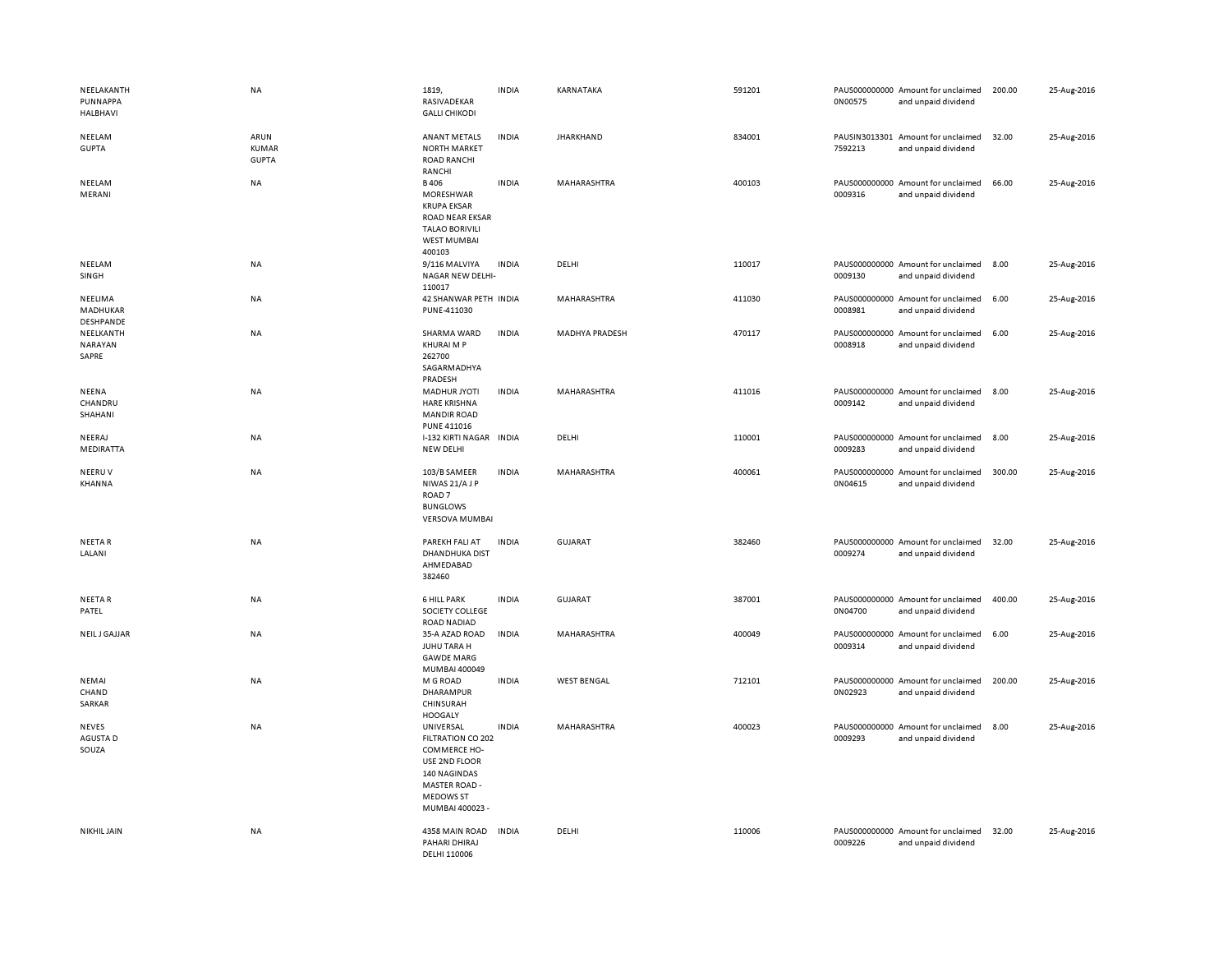| NEELAKANTH<br>PUNNAPPA<br><b>HALBHAVI</b> | <b>NA</b>                            | 1819.<br>RASIVADEKAR<br><b>GALLI CHIKODI</b>                                                                                            | <b>INDIA</b> | KARNATAKA             | 591201 | 0N00575 | PAUS000000000 Amount for unclaimed<br>and unpaid dividend | 200.00 | 25-Aug-2016 |
|-------------------------------------------|--------------------------------------|-----------------------------------------------------------------------------------------------------------------------------------------|--------------|-----------------------|--------|---------|-----------------------------------------------------------|--------|-------------|
| NEELAM<br><b>GUPTA</b>                    | ARUN<br><b>KUMAR</b><br><b>GUPTA</b> | <b>ANANT METALS</b><br><b>NORTH MARKET</b><br><b>ROAD RANCHI</b><br>RANCHI                                                              | <b>INDIA</b> | <b>JHARKHAND</b>      | 834001 | 7592213 | PAUSIN3013301 Amount for unclaimed<br>and unpaid dividend | 32.00  | 25-Aug-2016 |
| NEELAM<br>MERANI                          | <b>NA</b>                            | <b>B406</b><br>MORESHWAR<br><b>KRUPA EKSAR</b><br><b>ROAD NEAR EKSAR</b><br><b>TALAO BORIVILI</b><br><b>WEST MUMBAI</b><br>400103       | <b>INDIA</b> | MAHARASHTRA           | 400103 | 0009316 | PAUS000000000 Amount for unclaimed<br>and unpaid dividend | 66.00  | 25-Aug-2016 |
| NEELAM<br>SINGH                           | <b>NA</b>                            | 9/116 MALVIYA<br>NAGAR NEW DELHI-<br>110017                                                                                             | <b>INDIA</b> | DELHI                 | 110017 | 0009130 | PAUS000000000 Amount for unclaimed<br>and unpaid dividend | 8.00   | 25-Aug-2016 |
| NEELIMA<br>MADHUKAR<br>DESHPANDE          | <b>NA</b>                            | 42 SHANWAR PETH INDIA<br>PUNE-411030                                                                                                    |              | MAHARASHTRA           | 411030 | 0008981 | PAUS000000000 Amount for unclaimed<br>and unpaid dividend | 6.00   | 25-Aug-2016 |
| NEELKANTH<br><b>NARAYAN</b><br>SAPRE      | NA                                   | SHARMA WARD<br>KHURAI M P<br>262700<br>SAGARMADHYA<br>PRADESH                                                                           | <b>INDIA</b> | <b>MADHYA PRADESH</b> | 470117 | 0008918 | PAUS000000000 Amount for unclaimed<br>and unpaid dividend | 6.00   | 25-Aug-2016 |
| NEENA<br>CHANDRU<br>SHAHANI               | <b>NA</b>                            | <b>MADHUR JYOTI</b><br><b>HARE KRISHNA</b><br><b>MANDIR ROAD</b><br><b>PUNE 411016</b>                                                  | <b>INDIA</b> | MAHARASHTRA           | 411016 | 0009142 | PAUS000000000 Amount for unclaimed<br>and unpaid dividend | 8.00   | 25-Aug-2016 |
| NEERAJ<br>MEDIRATTA                       | <b>NA</b>                            | I-132 KIRTI NAGAR INDIA<br>NEW DELHI                                                                                                    |              | DELHI                 | 110001 | 0009283 | PAUS000000000 Amount for unclaimed<br>and unpaid dividend | 8.00   | 25-Aug-2016 |
| NEERUV<br>KHANNA                          | <b>NA</b>                            | 103/B SAMEER<br>NIWAS 21/AJP<br>ROAD <sub>7</sub><br><b>BUNGLOWS</b><br><b>VERSOVA MUMBAI</b>                                           | <b>INDIA</b> | MAHARASHTRA           | 400061 | 0N04615 | PAUS000000000 Amount for unclaimed<br>and unpaid dividend | 300.00 | 25-Aug-2016 |
| NEETA R<br>LALANI                         | NA                                   | PAREKH FALI AT<br><b>DHANDHUKA DIST</b><br>AHMEDABAD<br>382460                                                                          | <b>INDIA</b> | <b>GUJARAT</b>        | 382460 | 0009274 | PAUS000000000 Amount for unclaimed<br>and unpaid dividend | 32.00  | 25-Aug-2016 |
| <b>NEETAR</b><br>PATEL                    | NA                                   | <b>6 HILL PARK</b><br>SOCIETY COLLEGE<br>ROAD NADIAD                                                                                    | <b>INDIA</b> | <b>GUJARAT</b>        | 387001 | 0N04700 | PAUS000000000 Amount for unclaimed<br>and unpaid dividend | 400.00 | 25-Aug-2016 |
| <b>NEILJ GAJJAR</b>                       | <b>NA</b>                            | 35-A AZAD ROAD<br>JUHU TARA H<br><b>GAWDE MARG</b><br>MUMBAI 400049                                                                     | <b>INDIA</b> | MAHARASHTRA           | 400049 | 0009314 | PAUS000000000 Amount for unclaimed<br>and unpaid dividend | 6.00   | 25-Aug-2016 |
| NEMAI<br>CHAND<br>SARKAR                  | <b>NA</b>                            | M G ROAD<br>DHARAMPUR<br>CHINSURAH<br><b>HOOGALY</b>                                                                                    | <b>INDIA</b> | <b>WEST BENGAL</b>    | 712101 | 0N02923 | PAUS000000000 Amount for unclaimed<br>and unpaid dividend | 200.00 | 25-Aug-2016 |
| <b>NEVES</b><br>AGUSTA D<br>SOUZA         | <b>NA</b>                            | UNIVERSAL<br>FILTRATION CO 202<br>COMMERCE HO-<br>USE 2ND FLOOR<br>140 NAGINDAS<br>MASTER ROAD -<br><b>MEDOWS ST</b><br>MUMBAI 400023 - | <b>INDIA</b> | MAHARASHTRA           | 400023 | 0009293 | PAUS000000000 Amount for unclaimed<br>and unpaid dividend | 8.00   | 25-Aug-2016 |
| NIKHIL JAIN                               | <b>NA</b>                            | 4358 MAIN ROAD<br>PAHARI DHIRAJ<br>DELHI 110006                                                                                         | <b>INDIA</b> | DELHI                 | 110006 | 0009226 | PAUS000000000 Amount for unclaimed<br>and unpaid dividend | 32.00  | 25-Aug-2016 |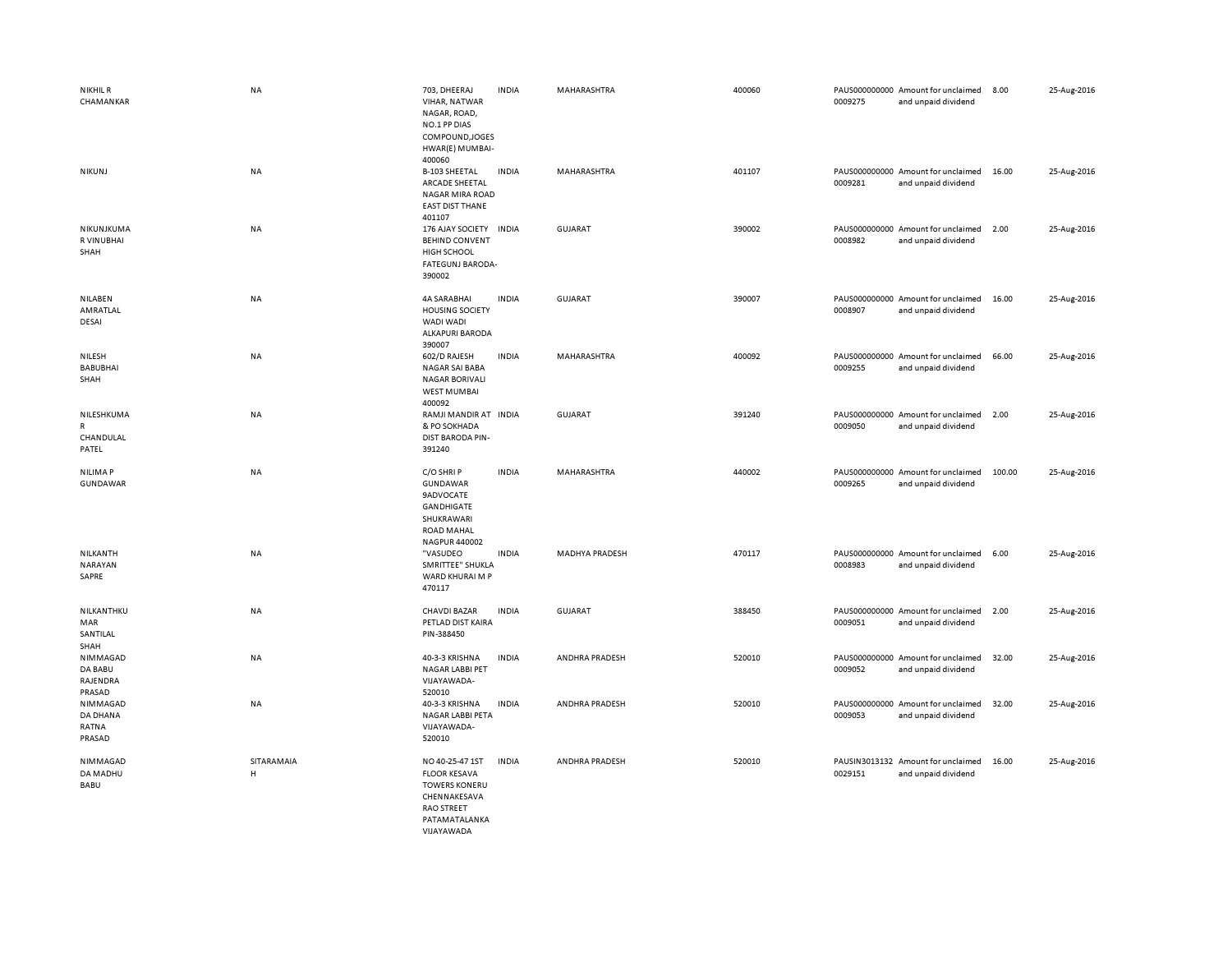| <b>NIKHIL R</b><br>CHAMANKAR              | NA              | 703, DHEERAJ<br>VIHAR, NATWAR<br>NAGAR, ROAD,<br>NO.1 PP DIAS<br>COMPOUND, JOGES<br>HWAR(E) MUMBAI-<br>400060                      | <b>INDIA</b> | MAHARASHTRA           | 400060 | 0009275 | PAUS000000000 Amount for unclaimed<br>and unpaid dividend | 8.00   | 25-Aug-2016 |
|-------------------------------------------|-----------------|------------------------------------------------------------------------------------------------------------------------------------|--------------|-----------------------|--------|---------|-----------------------------------------------------------|--------|-------------|
| NIKUNJ                                    | NA              | B-103 SHEETAL<br>ARCADE SHEETAL<br><b>NAGAR MIRA ROAD</b><br><b>EAST DIST THANE</b><br>401107                                      | <b>INDIA</b> | MAHARASHTRA           | 401107 | 0009281 | PAUS000000000 Amount for unclaimed<br>and unpaid dividend | 16.00  | 25-Aug-2016 |
| NIKUNJKUMA<br>R VINUBHAI<br>SHAH          | NA              | 176 AJAY SOCIETY<br><b>BEHIND CONVENT</b><br><b>HIGH SCHOOL</b><br>FATEGUNJ BARODA-<br>390002                                      | <b>INDIA</b> | <b>GUJARAT</b>        | 390002 | 0008982 | PAUS000000000 Amount for unclaimed<br>and unpaid dividend | 2.00   | 25-Aug-2016 |
| NILABEN<br>AMRATLAL<br>DESAI              | NA              | 4A SARABHAI<br><b>HOUSING SOCIETY</b><br>WADI WADI<br>ALKAPURI BARODA<br>390007                                                    | <b>INDIA</b> | GUJARAT               | 390007 | 0008907 | PAUS000000000 Amount for unclaimed<br>and unpaid dividend | 16.00  | 25-Aug-2016 |
| NILESH<br><b>BABUBHAI</b><br>SHAH         | NA              | 602/D RAJESH<br>NAGAR SAI BABA<br><b>NAGAR BORIVALI</b><br>WEST MUMBAI<br>400092                                                   | <b>INDIA</b> | MAHARASHTRA           | 400092 | 0009255 | PAUS000000000 Amount for unclaimed<br>and unpaid dividend | 66.00  | 25-Aug-2016 |
| NILESHKUMA<br>R<br>CHANDULAL<br>PATEL     | NA              | RAMJI MANDIR AT INDIA<br>& PO SOKHADA<br><b>DIST BARODA PIN-</b><br>391240                                                         |              | GUJARAT               | 391240 | 0009050 | PAUS000000000 Amount for unclaimed<br>and unpaid dividend | 2.00   | 25-Aug-2016 |
| NILIMA P<br>GUNDAWAR                      | NA              | C/O SHRIP<br>GUNDAWAR<br><b>9ADVOCATE</b><br>GANDHIGATE<br>SHUKRAWARI<br><b>ROAD MAHAL</b><br>NAGPUR 440002                        | <b>INDIA</b> | MAHARASHTRA           | 440002 | 0009265 | PAUS000000000 Amount for unclaimed<br>and unpaid dividend | 100.00 | 25-Aug-2016 |
| NILKANTH<br>NARAYAN<br>SAPRE              | NA              | "VASUDEO<br>SMRITTEE" SHUKLA<br>WARD KHURAI M P<br>470117                                                                          | <b>INDIA</b> | <b>MADHYA PRADESH</b> | 470117 | 0008983 | PAUS000000000 Amount for unclaimed<br>and unpaid dividend | 6.00   | 25-Aug-2016 |
| NILKANTHKU<br>MAR<br>SANTILAL<br>SHAH     | NA              | <b>CHAVDI BAZAR</b><br>PETLAD DIST KAIRA<br>PIN-388450                                                                             | <b>INDIA</b> | <b>GUJARAT</b>        | 388450 | 0009051 | PAUS000000000 Amount for unclaimed<br>and unpaid dividend | 2.00   | 25-Aug-2016 |
| NIMMAGAD<br>DA BABU<br>RAJENDRA<br>PRASAD | NA              | 40-3-3 KRISHNA<br>NAGAR LABBI PET<br>VIJAYAWADA-<br>520010                                                                         | <b>INDIA</b> | ANDHRA PRADESH        | 520010 | 0009052 | PAUS000000000 Amount for unclaimed<br>and unpaid dividend | 32.00  | 25-Aug-2016 |
| NIMMAGAD<br>DA DHANA<br>RATNA<br>PRASAD   | NA              | 40-3-3 KRISHNA<br>NAGAR LABBI PETA<br>VIJAYAWADA-<br>520010                                                                        | <b>INDIA</b> | ANDHRA PRADESH        | 520010 | 0009053 | PAUS000000000 Amount for unclaimed<br>and unpaid dividend | 32.00  | 25-Aug-2016 |
| NIMMAGAD<br>DA MADHU<br>BABU              | SITARAMAIA<br>H | NO 40-25-47 1ST<br><b>FLOOR KESAVA</b><br><b>TOWERS KONERU</b><br>CHENNAKESAVA<br><b>RAO STREET</b><br>PATAMATALANKA<br>VIJAYAWADA | <b>INDIA</b> | ANDHRA PRADESH        | 520010 | 0029151 | PAUSIN3013132 Amount for unclaimed<br>and unpaid dividend | 16.00  | 25-Aug-2016 |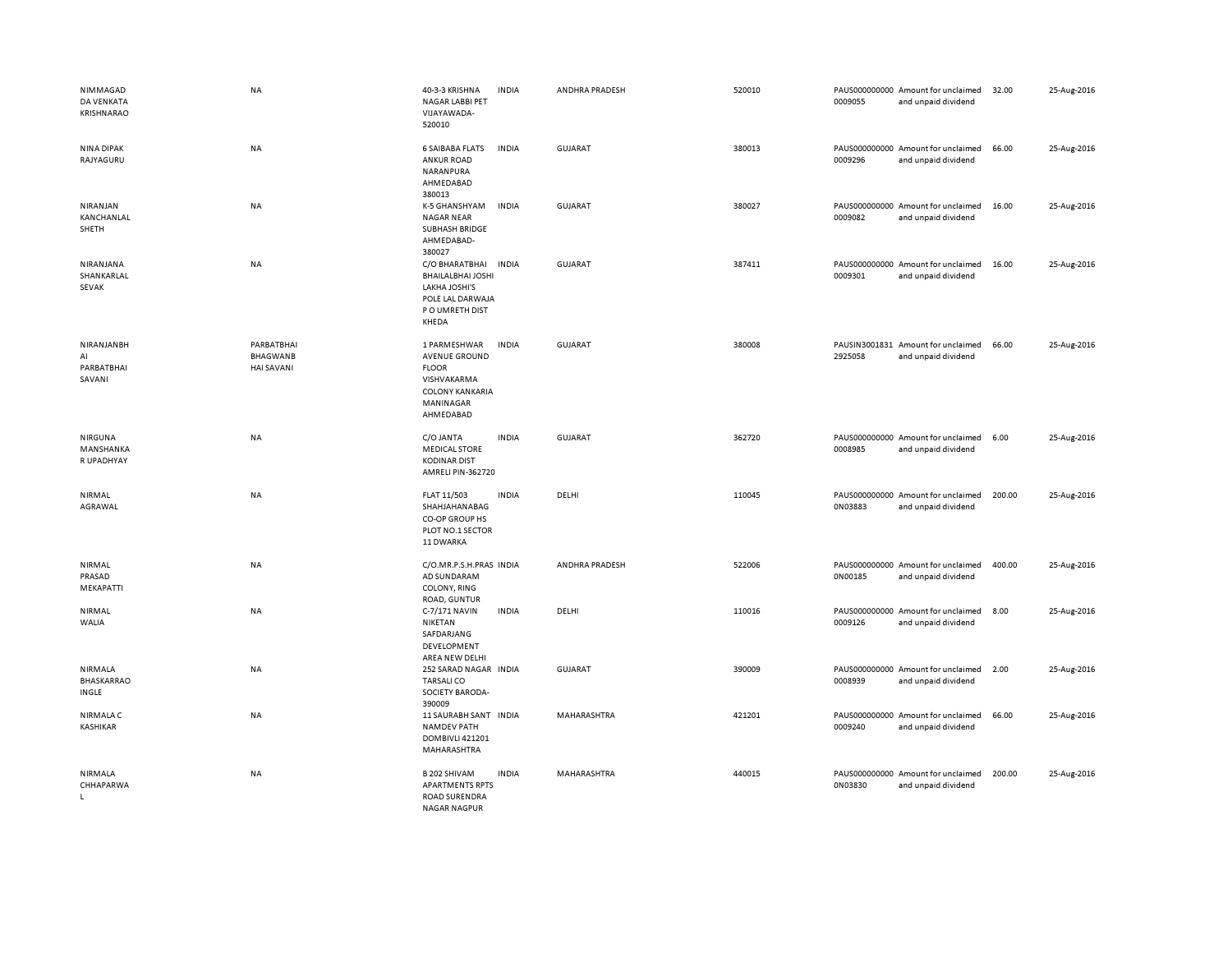| NIMMAGAD<br><b>DA VENKATA</b><br><b>KRISHNARAO</b> | <b>NA</b>                                          | 40-3-3 KRISHNA<br>NAGAR LABBI PET<br>VIJAYAWADA-<br>520010                                                              | <b>INDIA</b> | ANDHRA PRADESH | 520010 | 0009055 | PAUS000000000 Amount for unclaimed<br>and unpaid dividend | 32.00  | 25-Aug-2016 |
|----------------------------------------------------|----------------------------------------------------|-------------------------------------------------------------------------------------------------------------------------|--------------|----------------|--------|---------|-----------------------------------------------------------|--------|-------------|
| <b>NINA DIPAK</b><br>RAJYAGURU                     | <b>NA</b>                                          | <b>6 SAIBABA FLATS</b><br><b>ANKUR ROAD</b><br>NARANPURA<br>AHMEDABAD<br>380013                                         | <b>INDIA</b> | <b>GUJARAT</b> | 380013 | 0009296 | PAUS000000000 Amount for unclaimed<br>and unpaid dividend | 66.00  | 25-Aug-2016 |
| NIRANJAN<br>KANCHANLAL<br>SHETH                    | NA                                                 | K-5 GHANSHYAM<br><b>NAGAR NEAR</b><br>SUBHASH BRIDGE<br>AHMEDABAD-<br>380027                                            | <b>INDIA</b> | <b>GUJARAT</b> | 380027 | 0009082 | PAUS000000000 Amount for unclaimed<br>and unpaid dividend | 16.00  | 25-Aug-2016 |
| NIRANJANA<br>SHANKARLAL<br><b>SEVAK</b>            | <b>NA</b>                                          | C/O BHARATBHAI<br><b>BHAILALBHAI JOSHI</b><br>LAKHA JOSHI'S<br>POLE LAL DARWAJA<br>P O UMRETH DIST<br>KHEDA             | <b>INDIA</b> | <b>GUJARAT</b> | 387411 | 0009301 | PAUS000000000 Amount for unclaimed<br>and unpaid dividend | 16.00  | 25-Aug-2016 |
| NIRANJANBH<br>AI<br>PARBATBHAI<br>SAVANI           | PARBATBHAI<br><b>BHAGWANB</b><br><b>HAI SAVANI</b> | 1 PARMESHWAR<br><b>AVENUE GROUND</b><br><b>FLOOR</b><br>VISHVAKARMA<br><b>COLONY KANKARIA</b><br>MANINAGAR<br>AHMEDABAD | <b>INDIA</b> | <b>GUJARAT</b> | 380008 | 2925058 | PAUSIN3001831 Amount for unclaimed<br>and unpaid dividend | 66.00  | 25-Aug-2016 |
| NIRGUNA<br>MANSHANKA<br>R UPADHYAY                 | <b>NA</b>                                          | C/O JANTA<br><b>MEDICAL STORE</b><br><b>KODINAR DIST</b><br>AMRELI PIN-362720                                           | <b>INDIA</b> | GUJARAT        | 362720 | 0008985 | PAUS000000000 Amount for unclaimed<br>and unpaid dividend | 6.00   | 25-Aug-2016 |
| NIRMAL<br>AGRAWAL                                  | NA                                                 | FLAT 11/503<br>SHAHJAHANABAG<br>CO-OP GROUP HS<br>PLOT NO.1 SECTOR<br>11 DWARKA                                         | <b>INDIA</b> | DELHI          | 110045 | 0N03883 | PAUS000000000 Amount for unclaimed<br>and unpaid dividend | 200.00 | 25-Aug-2016 |
| NIRMAL<br>PRASAD<br>MEKAPATTI                      | <b>NA</b>                                          | C/O.MR.P.S.H.PRAS INDIA<br>AD SUNDARAM<br>COLONY, RING<br>ROAD, GUNTUR                                                  |              | ANDHRA PRADESH | 522006 | 0N00185 | PAUS000000000 Amount for unclaimed<br>and unpaid dividend | 400.00 | 25-Aug-2016 |
| NIRMAL<br>WALIA                                    | <b>NA</b>                                          | C-7/171 NAVIN<br>NIKETAN<br>SAFDARJANG<br>DEVELOPMENT<br>AREA NEW DELHI                                                 | <b>INDIA</b> | DELHI          | 110016 | 0009126 | PAUS000000000 Amount for unclaimed<br>and unpaid dividend | 8.00   | 25-Aug-2016 |
| NIRMALA<br><b>BHASKARRAO</b><br>INGLE              | NA                                                 | 252 SARAD NAGAR INDIA<br><b>TARSALICO</b><br>SOCIETY BARODA-<br>390009                                                  |              | <b>GUJARAT</b> | 390009 | 0008939 | PAUS000000000 Amount for unclaimed<br>and unpaid dividend | 2.00   | 25-Aug-2016 |
| NIRMALA C<br>KASHIKAR                              | <b>NA</b>                                          | 11 SAURABH SANT INDIA<br><b>NAMDEV PATH</b><br>DOMBIVLI 421201<br>MAHARASHTRA                                           |              | MAHARASHTRA    | 421201 | 0009240 | PAUS000000000 Amount for unclaimed<br>and unpaid dividend | 66.00  | 25-Aug-2016 |
| NIRMALA<br>CHHAPARWA<br>L.                         | <b>NA</b>                                          | B 202 SHIVAM<br><b>APARTMENTS RPTS</b><br><b>ROAD SURENDRA</b><br><b>NAGAR NAGPUR</b>                                   | <b>INDIA</b> | MAHARASHTRA    | 440015 | 0N03830 | PAUS000000000 Amount for unclaimed<br>and unpaid dividend | 200.00 | 25-Aug-2016 |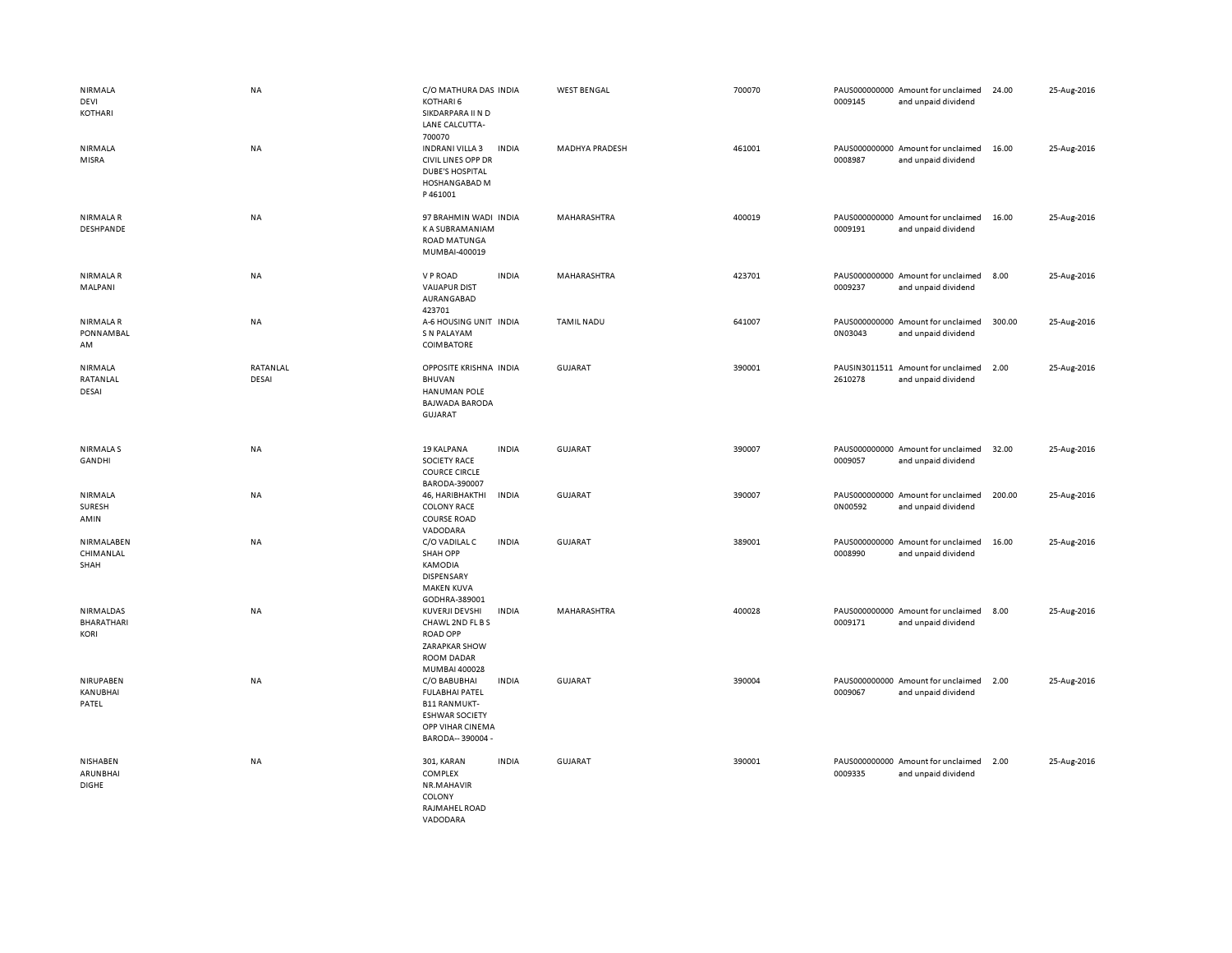| NIRMALA<br>DEVI<br>KOTHARI                    | <b>NA</b>                | C/O MATHURA DAS INDIA<br>KOTHARI 6<br>SIKDARPARA II N D<br>LANE CALCUTTA-<br>700070                                                            | <b>WEST BENGAL</b>    | 700070 | PAUS000000000 Amount for unclaimed<br>0009145<br>and unpaid dividend | 24.00  | 25-Aug-2016 |
|-----------------------------------------------|--------------------------|------------------------------------------------------------------------------------------------------------------------------------------------|-----------------------|--------|----------------------------------------------------------------------|--------|-------------|
| NIRMALA<br>MISRA                              | <b>NA</b>                | INDRANI VILLA 3<br><b>INDIA</b><br><b>CIVIL LINES OPP DR</b><br><b>DUBE'S HOSPITAL</b><br>HOSHANGABAD M<br>P461001                             | <b>MADHYA PRADESH</b> | 461001 | PAUS000000000 Amount for unclaimed<br>0008987<br>and unpaid dividend | 16.00  | 25-Aug-2016 |
| NIRMALA R<br>DESHPANDE                        | <b>NA</b>                | 97 BRAHMIN WADI INDIA<br><b>KA SUBRAMANIAM</b><br>ROAD MATUNGA<br>MUMBAI-400019                                                                | MAHARASHTRA           | 400019 | PAUS000000000 Amount for unclaimed<br>0009191<br>and unpaid dividend | 16.00  | 25-Aug-2016 |
| <b>NIRMALAR</b><br>MALPANI                    | NA                       | V P ROAD<br><b>INDIA</b><br><b>VAIJAPUR DIST</b><br>AURANGABAD<br>423701                                                                       | MAHARASHTRA           | 423701 | PAUS000000000 Amount for unclaimed<br>0009237<br>and unpaid dividend | 8.00   | 25-Aug-2016 |
| NIRMALA R<br><b>PONNAMBAL</b><br>AM           | <b>NA</b>                | A-6 HOUSING UNIT INDIA<br>S N PALAYAM<br><b>COIMBATORE</b>                                                                                     | <b>TAMIL NADU</b>     | 641007 | PAUS000000000 Amount for unclaimed<br>0N03043<br>and unpaid dividend | 300.00 | 25-Aug-2016 |
| NIRMALA<br>RATANLAL<br>DESAI                  | RATANLAL<br><b>DESAI</b> | OPPOSITE KRISHNA INDIA<br><b>BHUVAN</b><br>HANUMAN POLE<br><b>BAJWADA BARODA</b><br><b>GUJARAT</b>                                             | <b>GUJARAT</b>        | 390001 | PAUSIN3011511 Amount for unclaimed<br>2610278<br>and unpaid dividend | 2.00   | 25-Aug-2016 |
| <b>NIRMALAS</b><br>GANDHI                     | <b>NA</b>                | 19 KALPANA<br><b>INDIA</b><br><b>SOCIETY RACE</b><br><b>COURCE CIRCLE</b><br>BARODA-390007                                                     | GUJARAT               | 390007 | PAUS000000000 Amount for unclaimed<br>0009057<br>and unpaid dividend | 32.00  | 25-Aug-2016 |
| NIRMALA<br>SURESH<br>AMIN                     | NA                       | 46, HARIBHAKTHI<br><b>INDIA</b><br><b>COLONY RACE</b><br><b>COURSE ROAD</b><br>VADODARA                                                        | <b>GUJARAT</b>        | 390007 | PAUS000000000 Amount for unclaimed<br>0N00592<br>and unpaid dividend | 200.00 | 25-Aug-2016 |
| NIRMALABEN<br>CHIMANLAL<br>SHAH               | NA                       | C/O VADILAL C<br><b>INDIA</b><br><b>SHAH OPP</b><br>KAMODIA<br><b>DISPENSARY</b><br><b>MAKEN KUVA</b><br>GODHRA-389001                         | <b>GUJARAT</b>        | 389001 | PAUS000000000 Amount for unclaimed<br>0008990<br>and unpaid dividend | 16.00  | 25-Aug-2016 |
| NIRMALDAS<br><b>BHARATHARI</b><br><b>KORI</b> | NA                       | <b>KUVERJI DEVSHI</b><br><b>INDIA</b><br>CHAWL 2ND FL B S<br><b>ROAD OPP</b><br><b>ZARAPKAR SHOW</b><br>ROOM DADAR<br>MUMBAI 400028            | MAHARASHTRA           | 400028 | PAUS000000000 Amount for unclaimed<br>0009171<br>and unpaid dividend | 8.00   | 25-Aug-2016 |
| NIRUPABEN<br>KANUBHAI<br>PATEL                | NA                       | C/O BABUBHAI<br><b>INDIA</b><br><b>FULABHAI PATEL</b><br><b>B11 RANMUKT-</b><br><b>ESHWAR SOCIETY</b><br>OPP VIHAR CINEMA<br>BARODA-- 390004 - | <b>GUJARAT</b>        | 390004 | PAUS000000000 Amount for unclaimed<br>0009067<br>and unpaid dividend | 2.00   | 25-Aug-2016 |
| <b>NISHABEN</b><br>ARUNBHAI<br><b>DIGHE</b>   | NA                       | <b>INDIA</b><br>301, KARAN<br>COMPLEX<br>NR.MAHAVIR<br>COLONY<br>RAJMAHEL ROAD<br>VADODARA                                                     | <b>GUJARAT</b>        | 390001 | PAUS000000000 Amount for unclaimed<br>0009335<br>and unpaid dividend | 2.00   | 25-Aug-2016 |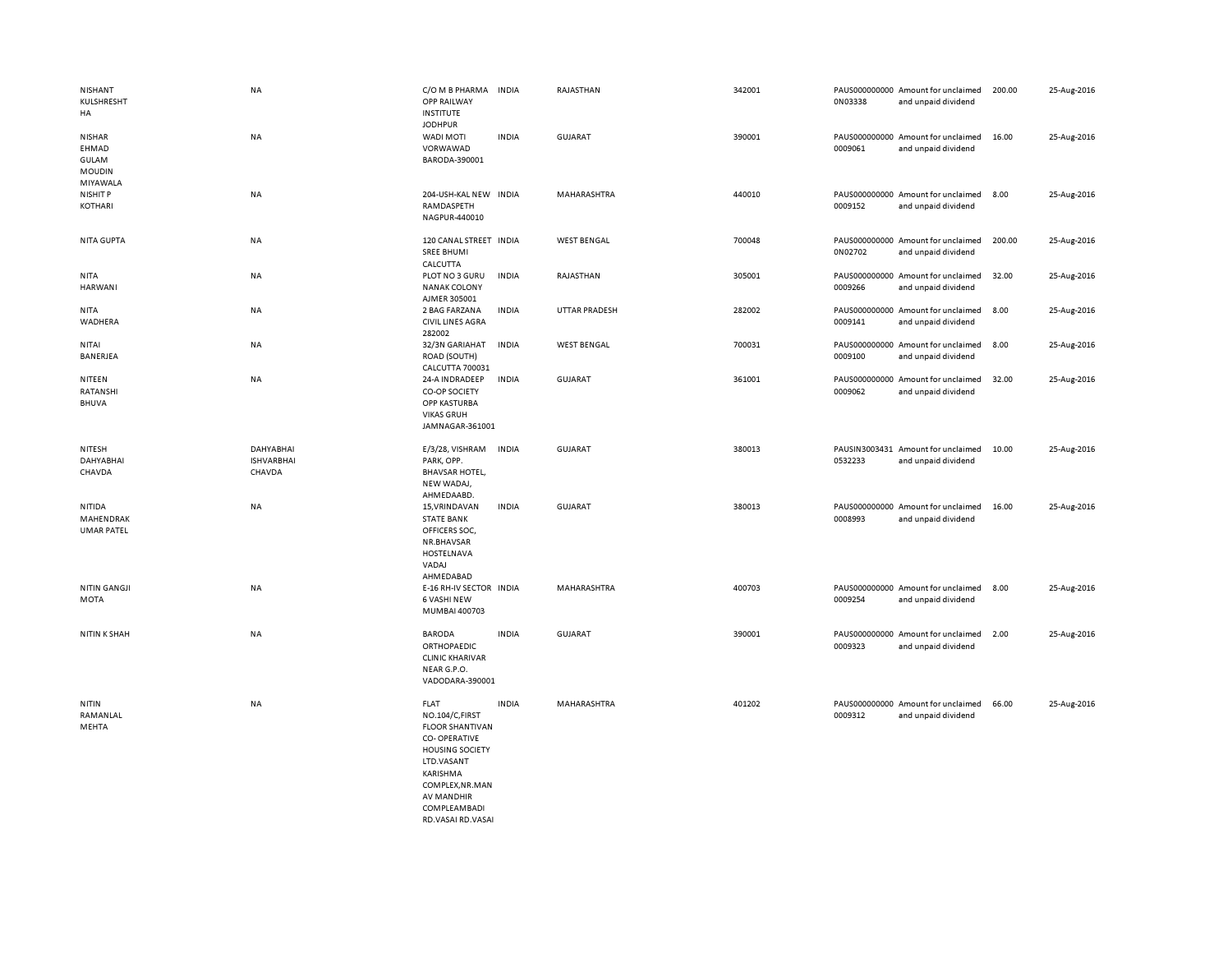| NISHANT<br>KULSHRESHT<br>HA                      | NA                                              | C/O M B PHARMA<br><b>OPP RAILWAY</b><br><b>INSTITUTE</b>                                                                                                                            | <b>INDIA</b> | RAJASTHAN            | 342001 | 0N03338 | PAUS000000000 Amount for unclaimed<br>and unpaid dividend | 200.00 | 25-Aug-2016 |
|--------------------------------------------------|-------------------------------------------------|-------------------------------------------------------------------------------------------------------------------------------------------------------------------------------------|--------------|----------------------|--------|---------|-----------------------------------------------------------|--------|-------------|
| <b>NISHAR</b><br>EHMAD<br>GULAM<br><b>MOUDIN</b> | NA                                              | <b>JODHPUR</b><br>WADI MOTI<br>VORWAWAD<br>BARODA-390001                                                                                                                            | <b>INDIA</b> | <b>GUJARAT</b>       | 390001 | 0009061 | PAUS000000000 Amount for unclaimed<br>and unpaid dividend | 16.00  | 25-Aug-2016 |
| MIYAWALA<br>NISHIT P<br>KOTHARI                  | NA                                              | 204-USH-KAL NEW INDIA<br>RAMDASPETH<br>NAGPUR-440010                                                                                                                                |              | MAHARASHTRA          | 440010 | 0009152 | PAUS000000000 Amount for unclaimed<br>and unpaid dividend | 8.00   | 25-Aug-2016 |
| NITA GUPTA                                       | NA                                              | 120 CANAL STREET INDIA<br><b>SREE BHUMI</b><br>CALCUTTA                                                                                                                             |              | <b>WEST BENGAL</b>   | 700048 | 0N02702 | PAUS000000000 Amount for unclaimed<br>and unpaid dividend | 200.00 | 25-Aug-2016 |
| <b>NITA</b><br>HARWANI                           | NA                                              | PLOT NO 3 GURU<br><b>NANAK COLONY</b><br>AJMER 305001                                                                                                                               | <b>INDIA</b> | RAJASTHAN            | 305001 | 0009266 | PAUS000000000 Amount for unclaimed<br>and unpaid dividend | 32.00  | 25-Aug-2016 |
| <b>NITA</b><br>WADHERA                           | NA                                              | 2 BAG FARZANA<br><b>CIVIL LINES AGRA</b><br>282002                                                                                                                                  | <b>INDIA</b> | <b>UTTAR PRADESH</b> | 282002 | 0009141 | PAUS000000000 Amount for unclaimed<br>and unpaid dividend | 8.00   | 25-Aug-2016 |
| NITAI<br>BANERJEA                                | NA                                              | 32/3N GARIAHAT<br>ROAD (SOUTH)<br>CALCUTTA 700031                                                                                                                                   | <b>INDIA</b> | <b>WEST BENGAL</b>   | 700031 | 0009100 | PAUS000000000 Amount for unclaimed<br>and unpaid dividend | 8.00   | 25-Aug-2016 |
| NITEEN<br>RATANSHI<br><b>BHUVA</b>               | NA                                              | 24-A INDRADEEP<br>CO-OP SOCIETY<br>OPP KASTURBA<br><b>VIKAS GRUH</b><br>JAMNAGAR-361001                                                                                             | <b>INDIA</b> | GUJARAT              | 361001 | 0009062 | PAUS000000000 Amount for unclaimed<br>and unpaid dividend | 32.00  | 25-Aug-2016 |
| NITESH<br>DAHYABHAI<br>CHAVDA                    | <b>DAHYABHAI</b><br><b>ISHVARBHAI</b><br>CHAVDA | E/3/28, VISHRAM<br>PARK, OPP.<br><b>BHAVSAR HOTEL,</b><br>NEW WADAJ,<br>AHMEDAABD.                                                                                                  | <b>INDIA</b> | <b>GUJARAT</b>       | 380013 | 0532233 | PAUSIN3003431 Amount for unclaimed<br>and unpaid dividend | 10.00  | 25-Aug-2016 |
| NITIDA<br>MAHENDRAK<br><b>UMAR PATEL</b>         | NA                                              | 15, VRINDAVAN<br><b>STATE BANK</b><br>OFFICERS SOC,<br>NR.BHAVSAR<br>HOSTELNAVA<br>VADAJ<br>AHMEDABAD                                                                               | <b>INDIA</b> | <b>GUJARAT</b>       | 380013 | 0008993 | PAUS000000000 Amount for unclaimed<br>and unpaid dividend | 16.00  | 25-Aug-2016 |
| <b>NITIN GANGJI</b><br><b>MOTA</b>               | NA                                              | E-16 RH-IV SECTOR INDIA<br><b>6 VASHI NEW</b><br>MUMBAI 400703                                                                                                                      |              | MAHARASHTRA          | 400703 | 0009254 | PAUS000000000 Amount for unclaimed<br>and unpaid dividend | 8.00   | 25-Aug-2016 |
| <b>NITIN K SHAH</b>                              | NA                                              | <b>BARODA</b><br>ORTHOPAEDIC<br><b>CLINIC KHARIVAR</b><br>NEAR G.P.O.<br>VADODARA-390001                                                                                            | <b>INDIA</b> | GUJARAT              | 390001 | 0009323 | PAUS000000000 Amount for unclaimed<br>and unpaid dividend | 2.00   | 25-Aug-2016 |
| <b>NITIN</b><br>RAMANLAL<br>MEHTA                | NA                                              | <b>FLAT</b><br>NO.104/C,FIRST<br><b>FLOOR SHANTIVAN</b><br><b>CO-OPERATIVE</b><br><b>HOUSING SOCIETY</b><br>LTD.VASANT<br>KARISHMA<br>COMPLEX, NR.MAN<br>AV MANDHIR<br>COMPLEAMBADI | <b>INDIA</b> | <b>MAHARASHTRA</b>   | 401202 | 0009312 | PAUS000000000 Amount for unclaimed<br>and unpaid dividend | 66.00  | 25-Aug-2016 |

RD.VASAI RD.VASAI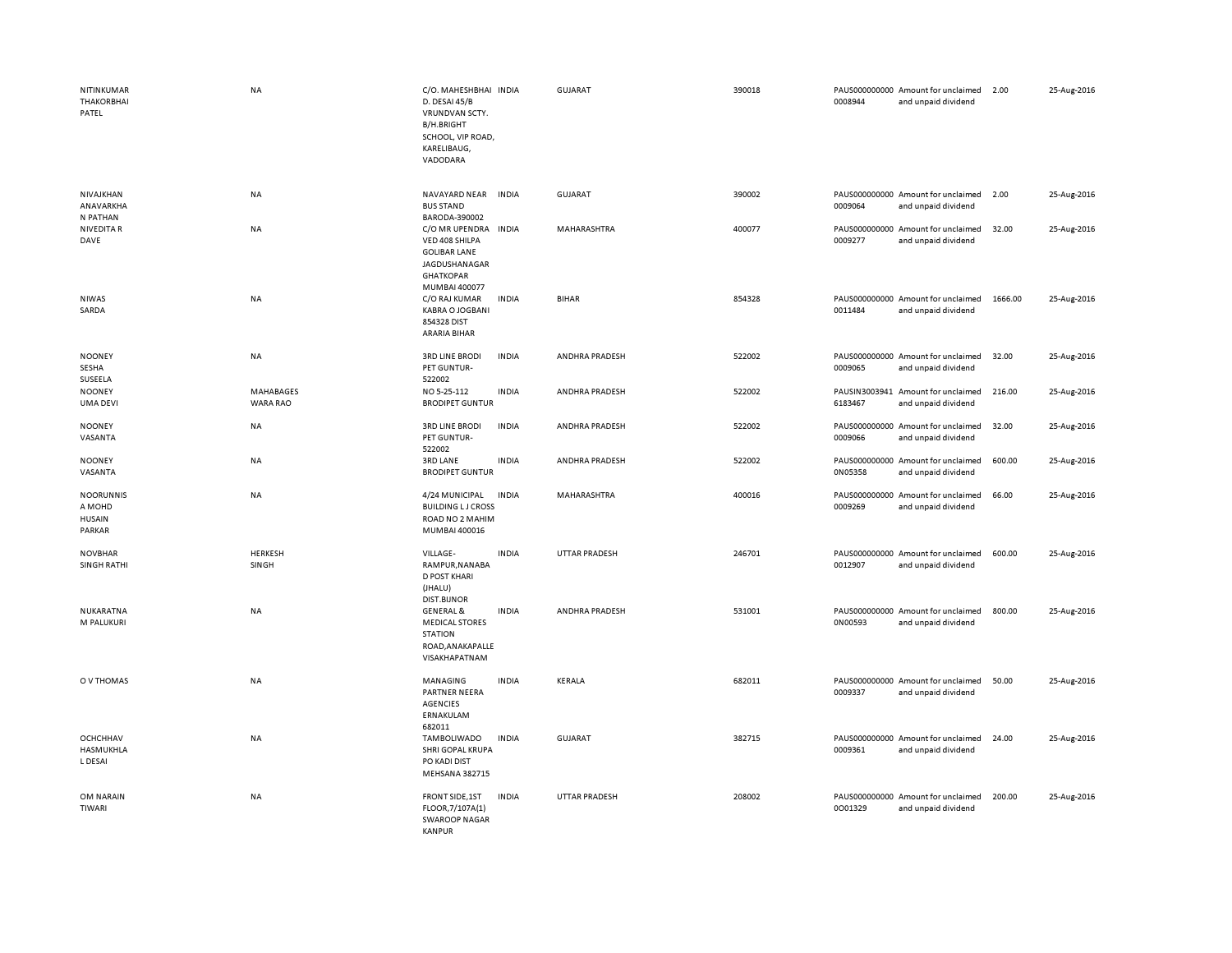| NITINKUMAR<br><b>THAKORBHAI</b><br>PATEL              | <b>NA</b>             | C/O. MAHESHBHAI INDIA<br>D. DESAI 45/B<br>VRUNDVAN SCTY.<br><b>B/H.BRIGHT</b><br>SCHOOL, VIP ROAD,<br>KARELIBAUG,<br>VADODARA |              | <b>GUJARAT</b>       | 390018 | 0008944 | PAUS000000000 Amount for unclaimed<br>and unpaid dividend | 2.00    | 25-Aug-2016 |
|-------------------------------------------------------|-----------------------|-------------------------------------------------------------------------------------------------------------------------------|--------------|----------------------|--------|---------|-----------------------------------------------------------|---------|-------------|
| NIVAJKHAN<br>ANAVARKHA<br>N PATHAN                    | <b>NA</b>             | NAVAYARD NEAR INDIA<br><b>BUS STAND</b><br>BARODA-390002                                                                      |              | GUJARAT              | 390002 | 0009064 | PAUS000000000 Amount for unclaimed<br>and unpaid dividend | 2.00    | 25-Aug-2016 |
| <b>NIVEDITA R</b><br>DAVE                             | NA                    | C/O MR UPENDRA<br>VED 408 SHILPA<br><b>GOLIBAR LANE</b><br>JAGDUSHANAGAR<br><b>GHATKOPAR</b><br>MUMBAI 400077                 | <b>INDIA</b> | MAHARASHTRA          | 400077 | 0009277 | PAUS000000000 Amount for unclaimed<br>and unpaid dividend | 32.00   | 25-Aug-2016 |
| <b>NIWAS</b><br>SARDA                                 | NA                    | C/O RAJ KUMAR<br><b>KABRA O JOGBANI</b><br>854328 DIST<br>ARARIA BIHAR                                                        | INDIA        | <b>BIHAR</b>         | 854328 | 0011484 | PAUS000000000 Amount for unclaimed<br>and unpaid dividend | 1666.00 | 25-Aug-2016 |
| <b>NOONEY</b><br>SESHA<br>SUSEELA                     | NA                    | <b>3RD LINE BRODI</b><br>PET GUNTUR-<br>522002                                                                                | INDIA        | ANDHRA PRADESH       | 522002 | 0009065 | PAUS000000000 Amount for unclaimed<br>and unpaid dividend | 32.00   | 25-Aug-2016 |
| <b>NOONEY</b><br><b>UMA DEVI</b>                      | MAHABAGES<br>WARA RAO | NO 5-25-112<br><b>BRODIPET GUNTUR</b>                                                                                         | <b>INDIA</b> | ANDHRA PRADESH       | 522002 | 6183467 | PAUSIN3003941 Amount for unclaimed<br>and unpaid dividend | 216.00  | 25-Aug-2016 |
| <b>NOONEY</b><br>VASANTA                              | <b>NA</b>             | <b>3RD LINE BRODI</b><br>PET GUNTUR-<br>522002                                                                                | <b>INDIA</b> | ANDHRA PRADESH       | 522002 | 0009066 | PAUS000000000 Amount for unclaimed<br>and unpaid dividend | 32.00   | 25-Aug-2016 |
| <b>NOONEY</b><br>VASANTA                              | <b>NA</b>             | 3RD LANE<br><b>BRODIPET GUNTUR</b>                                                                                            | <b>INDIA</b> | ANDHRA PRADESH       | 522002 | 0N05358 | PAUS000000000 Amount for unclaimed<br>and unpaid dividend | 600.00  | 25-Aug-2016 |
| <b>NOORUNNIS</b><br>A MOHD<br><b>HUSAIN</b><br>PARKAR | <b>NA</b>             | 4/24 MUNICIPAL<br><b>BUILDING LJ CROSS</b><br>ROAD NO 2 MAHIM<br>MUMBAI 400016                                                | <b>INDIA</b> | MAHARASHTRA          | 400016 | 0009269 | PAUS000000000 Amount for unclaimed<br>and unpaid dividend | 66.00   | 25-Aug-2016 |
| <b>NOVBHAR</b><br><b>SINGH RATHI</b>                  | HERKESH<br>SINGH      | VILLAGE-<br>RAMPUR, NANABA<br>D POST KHARI<br>(JHALU)<br>DIST.BIJNOR                                                          | <b>INDIA</b> | <b>UTTAR PRADESH</b> | 246701 | 0012907 | PAUS000000000 Amount for unclaimed<br>and unpaid dividend | 600.00  | 25-Aug-2016 |
| NUKARATNA<br>M PALUKURI                               | NA                    | <b>GENERAL &amp;</b><br><b>MEDICAL STORES</b><br><b>STATION</b><br>ROAD, ANAKAPALLE<br>VISAKHAPATNAM                          | <b>INDIA</b> | ANDHRA PRADESH       | 531001 | 0N00593 | PAUS000000000 Amount for unclaimed<br>and unpaid dividend | 800.00  | 25-Aug-2016 |
| O V THOMAS                                            | <b>NA</b>             | MANAGING<br>PARTNER NEERA<br><b>AGENCIES</b><br>ERNAKULAM<br>682011                                                           | <b>INDIA</b> | <b>KERALA</b>        | 682011 | 0009337 | PAUS000000000 Amount for unclaimed<br>and unpaid dividend | 50.00   | 25-Aug-2016 |
| <b>OCHCHHAV</b><br>HASMUKHLA<br>L DESAI               | <b>NA</b>             | TAMBOLIWADO<br>SHRI GOPAL KRUPA<br>PO KADI DIST<br>MEHSANA 382715                                                             | <b>INDIA</b> | <b>GUJARAT</b>       | 382715 | 0009361 | PAUS000000000 Amount for unclaimed<br>and unpaid dividend | 24.00   | 25-Aug-2016 |
| OM NARAIN<br>TIWARI                                   | <b>NA</b>             | FRONT SIDE, 1ST<br>FLOOR, 7/107A(1)<br><b>SWAROOP NAGAR</b><br>KANPUR                                                         | <b>INDIA</b> | <b>UTTAR PRADESH</b> | 208002 | 0001329 | PAUS000000000 Amount for unclaimed<br>and unpaid dividend | 200.00  | 25-Aug-2016 |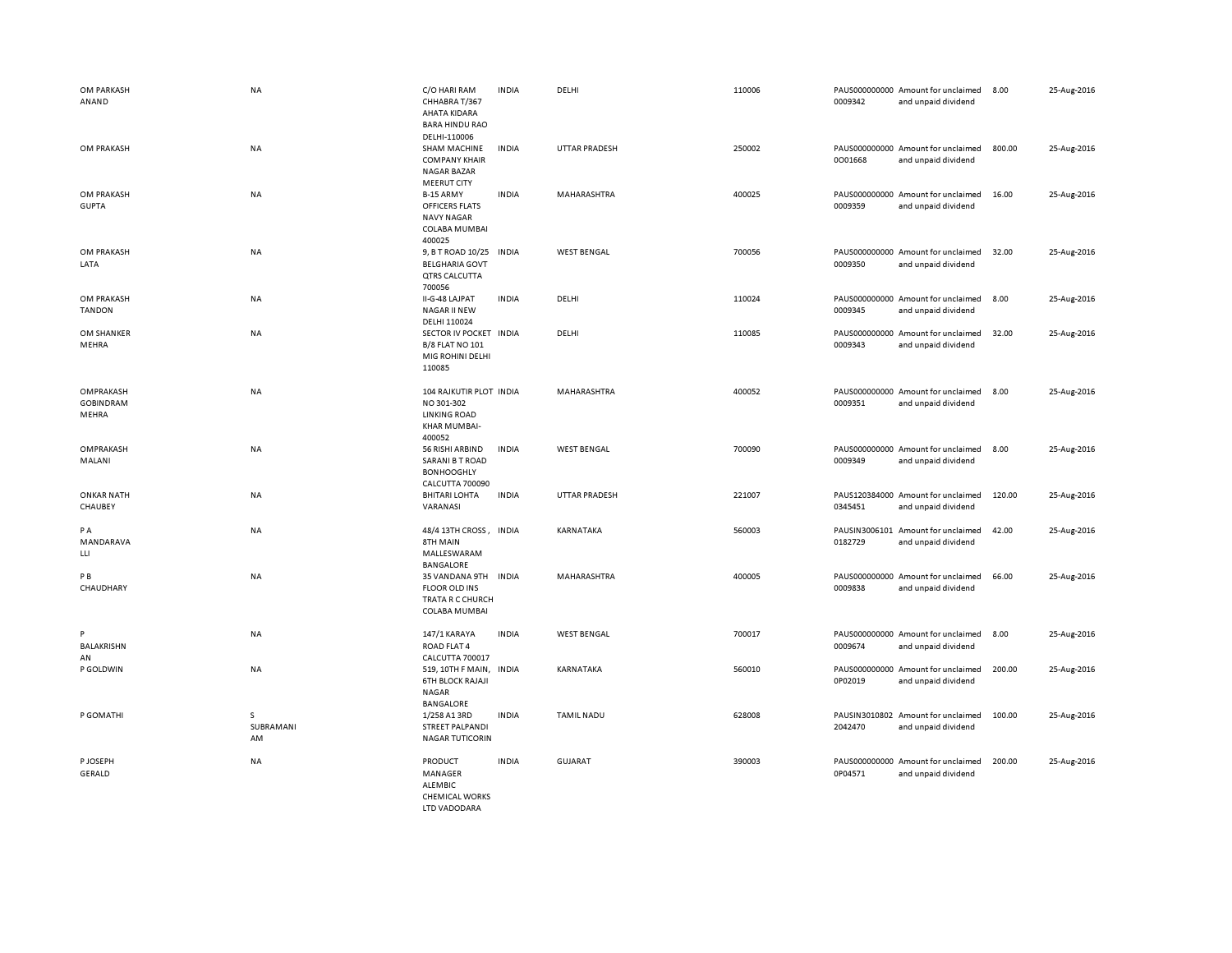| OM PARKASH<br>ANAND                    | <b>NA</b>            | C/O HARI RAM<br>CHHABRA T/367<br>AHATA KIDARA<br><b>BARA HINDU RAO</b><br>DELHI-110006  | <b>INDIA</b> | DELHI              | 110006 | 0009342                  | PAUS000000000 Amount for unclaimed<br>and unpaid dividend | 8.00   | 25-Aug-2016 |
|----------------------------------------|----------------------|-----------------------------------------------------------------------------------------|--------------|--------------------|--------|--------------------------|-----------------------------------------------------------|--------|-------------|
| OM PRAKASH                             | NA                   | <b>SHAM MACHINE</b><br><b>COMPANY KHAIR</b><br><b>NAGAR BAZAR</b><br><b>MEERUT CITY</b> | <b>INDIA</b> | UTTAR PRADESH      | 250002 | 0001668                  | PAUS000000000 Amount for unclaimed<br>and unpaid dividend | 800.00 | 25-Aug-2016 |
| OM PRAKASH<br><b>GUPTA</b>             | NA                   | B-15 ARMY<br>OFFICERS FLATS<br><b>NAVY NAGAR</b><br><b>COLABA MUMBAI</b><br>400025      | <b>INDIA</b> | MAHARASHTRA        | 400025 | 0009359                  | PAUS000000000 Amount for unclaimed<br>and unpaid dividend | 16.00  | 25-Aug-2016 |
| OM PRAKASH<br>LATA                     | NA                   | 9, B T ROAD 10/25 IN DIA<br><b>BELGHARIA GOVT</b><br><b>QTRS CALCUTTA</b><br>700056     |              | <b>WEST BENGAL</b> | 700056 | 0009350                  | PAUS000000000 Amount for unclaimed<br>and unpaid dividend | 32.00  | 25-Aug-2016 |
| OM PRAKASH<br><b>TANDON</b>            | NA                   | II-G-48 LAJPAT<br><b>NAGAR II NEW</b><br>DELHI 110024                                   | <b>INDIA</b> | DELHI              | 110024 | 0009345                  | PAUS000000000 Amount for unclaimed<br>and unpaid dividend | 8.00   | 25-Aug-2016 |
| OM SHANKER<br>MEHRA                    | NA                   | SECTOR IV POCKET INDIA<br><b>B/8 FLAT NO 101</b><br>MIG ROHINI DELHI<br>110085          |              | DELHI              | 110085 | 0009343                  | PAUS000000000 Amount for unclaimed<br>and unpaid dividend | 32.00  | 25-Aug-2016 |
| OMPRAKASH<br><b>GOBINDRAM</b><br>MEHRA | <b>NA</b>            | 104 RAJKUTIR PLOT INDIA<br>NO 301-302<br><b>LINKING ROAD</b><br>KHAR MUMBAI-<br>400052  |              | MAHARASHTRA        | 400052 | 0009351                  | PAUS000000000 Amount for unclaimed<br>and unpaid dividend | 8.00   | 25-Aug-2016 |
| OMPRAKASH<br>MALANI                    | <b>NA</b>            | 56 RISHI ARBIND<br><b>SARANI B T ROAD</b><br><b>BONHOOGHLY</b><br>CALCUTTA 700090       | <b>INDIA</b> | <b>WEST BENGAL</b> | 700090 | 0009349                  | PAUS000000000 Amount for unclaimed<br>and unpaid dividend | 8.00   | 25-Aug-2016 |
| <b>ONKAR NATH</b><br>CHAUBEY           | NA                   | <b>BHITARI LOHTA</b><br>VARANASI                                                        | <b>INDIA</b> | UTTAR PRADESH      | 221007 | 0345451                  | PAUS120384000 Amount for unclaimed<br>and unpaid dividend | 120.00 | 25-Aug-2016 |
| PA<br>MANDARAVA<br>LLI                 | <b>NA</b>            | 48/4 13TH CROSS,<br>8TH MAIN<br>MALLESWARAM<br><b>BANGALORE</b>                         | <b>INDIA</b> | KARNATAKA          | 560003 | PAUSIN3006101<br>0182729 | Amount for unclaimed<br>and unpaid dividend               | 42.00  | 25-Aug-2016 |
| P <sub>B</sub><br>CHAUDHARY            | <b>NA</b>            | 35 VANDANA 9TH INDIA<br><b>FLOOR OLD INS</b><br>TRATA R C CHURCH<br>COLABA MUMBAI       |              | <b>MAHARASHTRA</b> | 400005 | 0009838                  | PAUS000000000 Amount for unclaimed<br>and unpaid dividend | 66.00  | 25-Aug-2016 |
| P<br><b>BALAKRISHN</b><br>AN           | NA                   | 147/1 KARAYA<br>ROAD FLAT 4<br>CALCUTTA 700017                                          | <b>INDIA</b> | <b>WEST BENGAL</b> | 700017 | 0009674                  | PAUS000000000 Amount for unclaimed<br>and unpaid dividend | 8.00   | 25-Aug-2016 |
| P GOLDWIN                              | <b>NA</b>            | 519, 10TH F MAIN, INDIA<br><b>6TH BLOCK RAJAJI</b><br>NAGAR<br><b>BANGALORE</b>         |              | KARNATAKA          | 560010 | 0P02019                  | PAUS000000000 Amount for unclaimed<br>and unpaid dividend | 200.00 | 25-Aug-2016 |
| P GOMATHI                              | s<br>SUBRAMANI<br>AM | 1/258 A1 3RD<br><b>STREET PALPANDI</b><br><b>NAGAR TUTICORIN</b>                        | <b>INDIA</b> | <b>TAMIL NADU</b>  | 628008 | 2042470                  | PAUSIN3010802 Amount for unclaimed<br>and unpaid dividend | 100.00 | 25-Aug-2016 |
| P JOSEPH<br>GERALD                     | NA                   | PRODUCT<br>MANAGER<br>ALEMBIC<br><b>CHEMICAL WORKS</b><br>LTD VADODARA                  | <b>INDIA</b> | <b>GUJARAT</b>     | 390003 | 0P04571                  | PAUS000000000 Amount for unclaimed<br>and unpaid dividend | 200.00 | 25-Aug-2016 |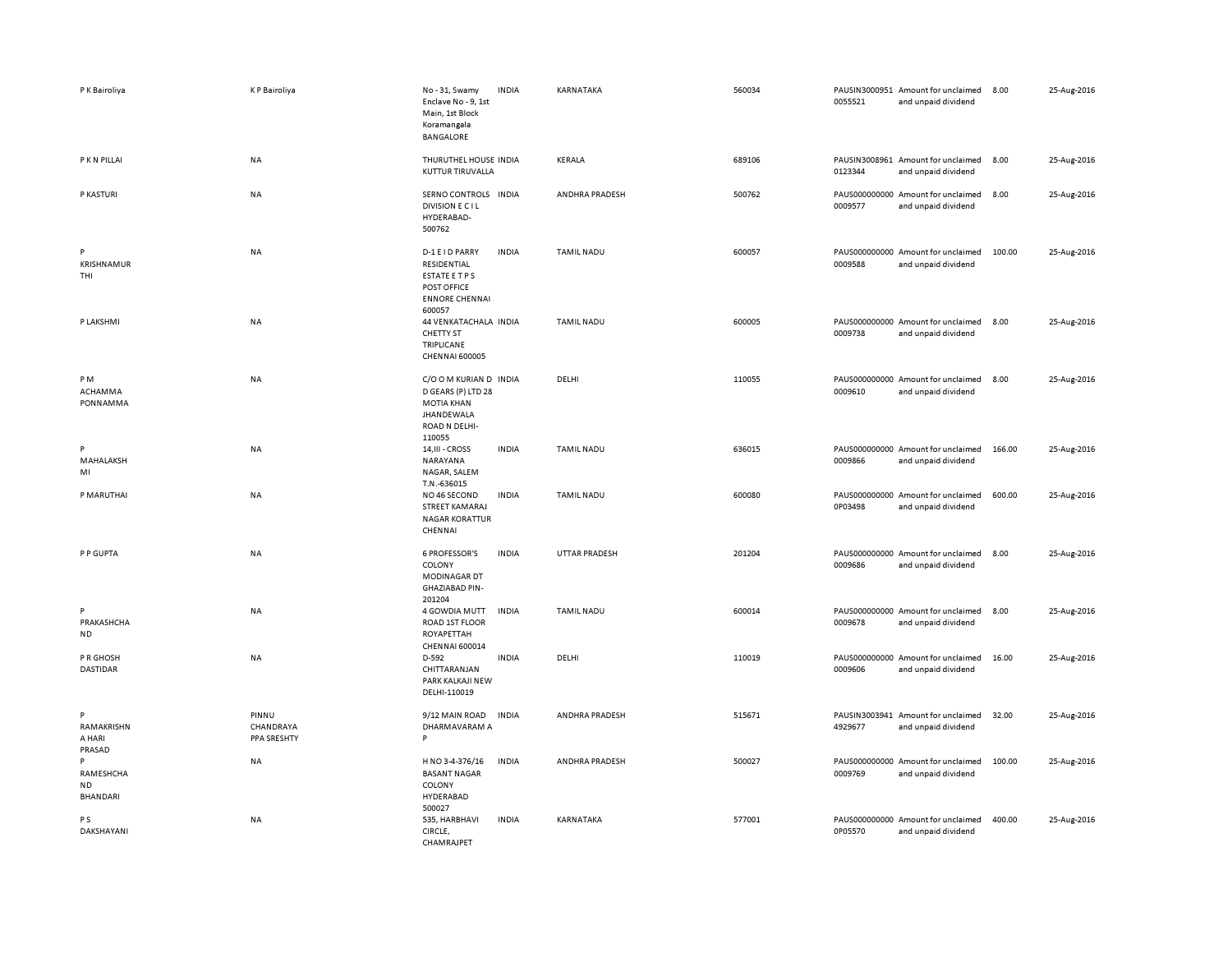| P K Bairoliya                           | <b>KP</b> Bairoliya               | No-31, Swamy<br>Enclave No - 9, 1st<br>Main, 1st Block<br>Koramangala<br><b>BANGALORE</b>                                | <b>INDIA</b> | KARNATAKA         | 560034 | 0055521 | PAUSIN3000951 Amount for unclaimed<br>and unpaid dividend | 8.00   | 25-Aug-2016 |
|-----------------------------------------|-----------------------------------|--------------------------------------------------------------------------------------------------------------------------|--------------|-------------------|--------|---------|-----------------------------------------------------------|--------|-------------|
| P K N PILLAI                            | <b>NA</b>                         | THURUTHEL HOUSE INDIA<br>KUTTUR TIRUVALLA                                                                                |              | KERALA            | 689106 | 0123344 | PAUSIN3008961 Amount for unclaimed<br>and unpaid dividend | 8.00   | 25-Aug-2016 |
| P KASTURI                               | NA                                | SERNO CONTROLS INDIA<br><b>DIVISION E CIL</b><br>HYDERABAD-<br>500762                                                    |              | ANDHRA PRADESH    | 500762 | 0009577 | PAUS000000000 Amount for unclaimed<br>and unpaid dividend | 8.00   | 25-Aug-2016 |
| P<br>KRISHNAMUR<br>THI                  | NA                                | D-1 E I D PARRY<br>RESIDENTIAL<br>ESTATE E T P S<br>POST OFFICE<br><b>ENNORE CHENNAI</b><br>600057                       | <b>INDIA</b> | <b>TAMIL NADU</b> | 600057 | 0009588 | PAUS000000000 Amount for unclaimed<br>and unpaid dividend | 100.00 | 25-Aug-2016 |
| P LAKSHMI                               | NA                                | 44 VENKATACHALA INDIA<br><b>CHETTY ST</b><br>TRIPLICANE<br><b>CHENNAI 600005</b>                                         |              | <b>TAMIL NADU</b> | 600005 | 0009738 | PAUS000000000 Amount for unclaimed<br>and unpaid dividend | 8.00   | 25-Aug-2016 |
| PM<br>ACHAMMA<br>PONNAMMA               | <b>NA</b>                         | C/O O M KURIAN D INDIA<br>D GEARS (P) LTD 28<br><b>MOTIA KHAN</b><br><b>JHANDEWALA</b><br><b>ROAD N DELHI-</b><br>110055 |              | DELHI             | 110055 | 0009610 | PAUS000000000 Amount for unclaimed<br>and unpaid dividend | 8.00   | 25-Aug-2016 |
| P<br>MAHALAKSH<br>MI                    | NA                                | 14, III - CROSS<br>NARAYANA<br>NAGAR, SALEM<br>T.N.-636015                                                               | <b>INDIA</b> | <b>TAMIL NADU</b> | 636015 | 0009866 | PAUS000000000 Amount for unclaimed<br>and unpaid dividend | 166.00 | 25-Aug-2016 |
| P MARUTHAI                              | <b>NA</b>                         | NO 46 SECOND<br>STREET KAMARAJ<br><b>NAGAR KORATTUR</b><br>CHENNAI                                                       | <b>INDIA</b> | <b>TAMIL NADU</b> | 600080 | 0P03498 | PAUS000000000 Amount for unclaimed<br>and unpaid dividend | 600.00 | 25-Aug-2016 |
| P P GUPTA                               | <b>NA</b>                         | <b>6 PROFESSOR'S</b><br>COLONY<br><b>MODINAGAR DT</b><br><b>GHAZIABAD PIN-</b><br>201204                                 | <b>INDIA</b> | UTTAR PRADESH     | 201204 | 0009686 | PAUS000000000 Amount for unclaimed<br>and unpaid dividend | 8.00   | 25-Aug-2016 |
| P<br>PRAKASHCHA<br><b>ND</b>            | NA                                | 4 GOWDIA MUTT<br>ROAD 1ST FLOOR<br>ROYAPETTAH<br>CHENNAI 600014                                                          | <b>INDIA</b> | <b>TAMIL NADU</b> | 600014 | 0009678 | PAUS000000000 Amount for unclaimed<br>and unpaid dividend | 8.00   | 25-Aug-2016 |
| P R GHOSH<br>DASTIDAR                   | NA                                | D-592<br>CHITTARANJAN<br>PARK KALKAJI NEW<br>DELHI-110019                                                                | <b>INDIA</b> | DELHI             | 110019 | 0009606 | PAUS000000000 Amount for unclaimed<br>and unpaid dividend | 16.00  | 25-Aug-2016 |
| P<br>RAMAKRISHN<br>A HARI<br>PRASAD     | PINNU<br>CHANDRAYA<br>PPA SRESHTY | 9/12 MAIN ROAD<br>DHARMAVARAM A<br>P                                                                                     | <b>INDIA</b> | ANDHRA PRADESH    | 515671 | 4929677 | PAUSIN3003941 Amount for unclaimed<br>and unpaid dividend | 32.00  | 25-Aug-2016 |
| P<br>RAMESHCHA<br><b>ND</b><br>BHANDARI | <b>NA</b>                         | H NO 3-4-376/16<br><b>BASANT NAGAR</b><br>COLONY<br>HYDERABAD<br>500027                                                  | <b>INDIA</b> | ANDHRA PRADESH    | 500027 | 0009769 | PAUS000000000 Amount for unclaimed<br>and unpaid dividend | 100.00 | 25-Aug-2016 |
| P S<br>DAKSHAYANI                       | <b>NA</b>                         | 535, HARBHAVI<br>CIRCLE,<br>CHAMRAJPET                                                                                   | <b>INDIA</b> | KARNATAKA         | 577001 | 0P05570 | PAUS000000000 Amount for unclaimed<br>and unpaid dividend | 400.00 | 25-Aug-2016 |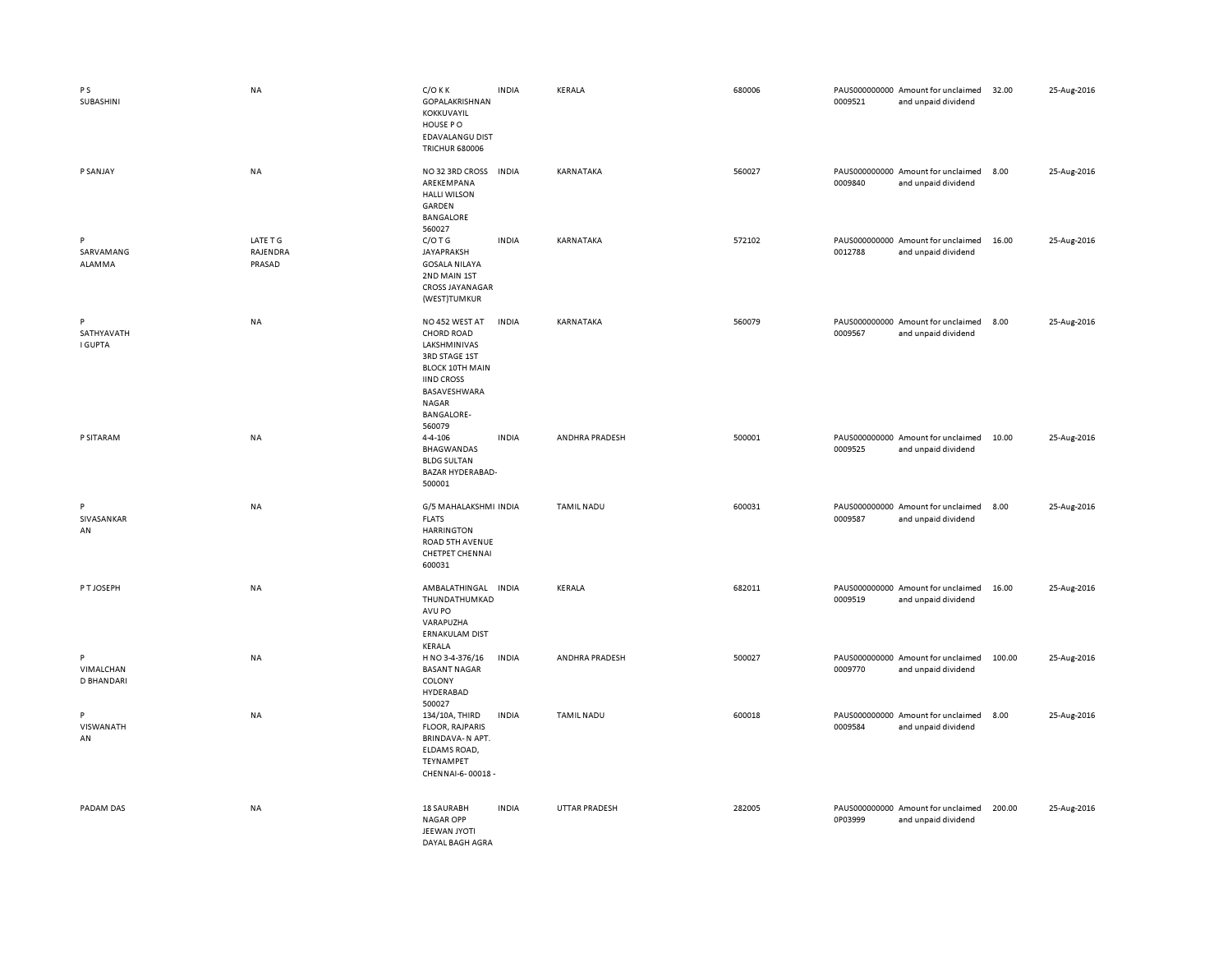| $\,$ P S<br>SUBASHINI               | <b>NA</b>                      | $C/O$ K K<br>GOPALAKRISHNAN<br>KOKKUVAYIL<br>HOUSE PO<br>EDAVALANGU DIST<br><b>TRICHUR 680006</b>                                                                                  | <b>INDIA</b> | KERALA            | 680006 | 0009521 | PAUS000000000 Amount for unclaimed<br>and unpaid dividend | 32.00  | 25-Aug-2016 |
|-------------------------------------|--------------------------------|------------------------------------------------------------------------------------------------------------------------------------------------------------------------------------|--------------|-------------------|--------|---------|-----------------------------------------------------------|--------|-------------|
| P SANJAY                            | <b>NA</b>                      | NO 32 3RD CROSS<br>AREKEMPANA<br><b>HALLI WILSON</b><br>GARDEN<br>BANGALORE<br>560027                                                                                              | <b>INDIA</b> | KARNATAKA         | 560027 | 0009840 | PAUS000000000 Amount for unclaimed<br>and unpaid dividend | 8.00   | 25-Aug-2016 |
| P<br>SARVAMANG<br>ALAMMA            | LATE T G<br>RAJENDRA<br>PRASAD | $C/O$ T G<br>JAYAPRAKSH<br><b>GOSALA NILAYA</b><br>2ND MAIN 1ST<br><b>CROSS JAYANAGAR</b><br>(WEST)TUMKUR                                                                          | <b>INDIA</b> | KARNATAKA         | 572102 | 0012788 | PAUS000000000 Amount for unclaimed<br>and unpaid dividend | 16.00  | 25-Aug-2016 |
| P<br>SATHYAVATH<br><b>I GUPTA</b>   | <b>NA</b>                      | NO 452 WEST AT<br><b>CHORD ROAD</b><br>LAKSHMINIVAS<br><b>3RD STAGE 1ST</b><br><b>BLOCK 10TH MAIN</b><br><b>IIND CROSS</b><br>BASAVESHWARA<br>NAGAR<br><b>BANGALORE-</b><br>560079 | <b>INDIA</b> | KARNATAKA         | 560079 | 0009567 | PAUS000000000 Amount for unclaimed<br>and unpaid dividend | 8.00   | 25-Aug-2016 |
| P SITARAM                           | <b>NA</b>                      | 4-4-106<br><b>BHAGWANDAS</b><br><b>BLDG SULTAN</b><br>BAZAR HYDERABAD-<br>500001                                                                                                   | <b>INDIA</b> | ANDHRA PRADESH    | 500001 | 0009525 | PAUS000000000 Amount for unclaimed<br>and unpaid dividend | 10.00  | 25-Aug-2016 |
| P<br>SIVASANKAR<br>AN               | NA                             | G/5 MAHALAKSHMI INDIA<br><b>FLATS</b><br><b>HARRINGTON</b><br>ROAD 5TH AVENUE<br>CHETPET CHENNAI<br>600031                                                                         |              | <b>TAMIL NADU</b> | 600031 | 0009587 | PAUS000000000 Amount for unclaimed<br>and unpaid dividend | 8.00   | 25-Aug-2016 |
| P T JOSEPH                          | <b>NA</b>                      | AMBALATHINGAL INDIA<br>THUNDATHUMKAD<br>AVU PO<br>VARAPUZHA<br><b>ERNAKULAM DIST</b><br>KERALA                                                                                     |              | KERALA            | 682011 | 0009519 | PAUS000000000 Amount for unclaimed<br>and unpaid dividend | 16.00  | 25-Aug-2016 |
| P<br>VIMALCHAN<br><b>D BHANDARI</b> | <b>NA</b>                      | H NO 3-4-376/16<br><b>BASANT NAGAR</b><br>COLONY<br>HYDERABAD<br>500027                                                                                                            | <b>INDIA</b> | ANDHRA PRADESH    | 500027 | 0009770 | PAUS000000000 Amount for unclaimed<br>and unpaid dividend | 100.00 | 25-Aug-2016 |
| P<br>VISWANATH<br>AN                | NA                             | 134/10A, THIRD<br><b>FLOOR, RAJPARIS</b><br>BRINDAVA-N APT.<br>ELDAMS ROAD,<br>TEYNAMPET<br>CHENNAI-6-00018 -                                                                      | <b>INDIA</b> | <b>TAMIL NADU</b> | 600018 | 0009584 | PAUS000000000 Amount for unclaimed<br>and unpaid dividend | 8.00   | 25-Aug-2016 |
| PADAM DAS                           | <b>NA</b>                      | 18 SAURABH<br><b>NAGAR OPP</b><br>JEEWAN JYOTI<br>DAYAL BAGH AGRA                                                                                                                  | <b>INDIA</b> | UTTAR PRADESH     | 282005 | 0P03999 | PAUS000000000 Amount for unclaimed<br>and unpaid dividend | 200.00 | 25-Aug-2016 |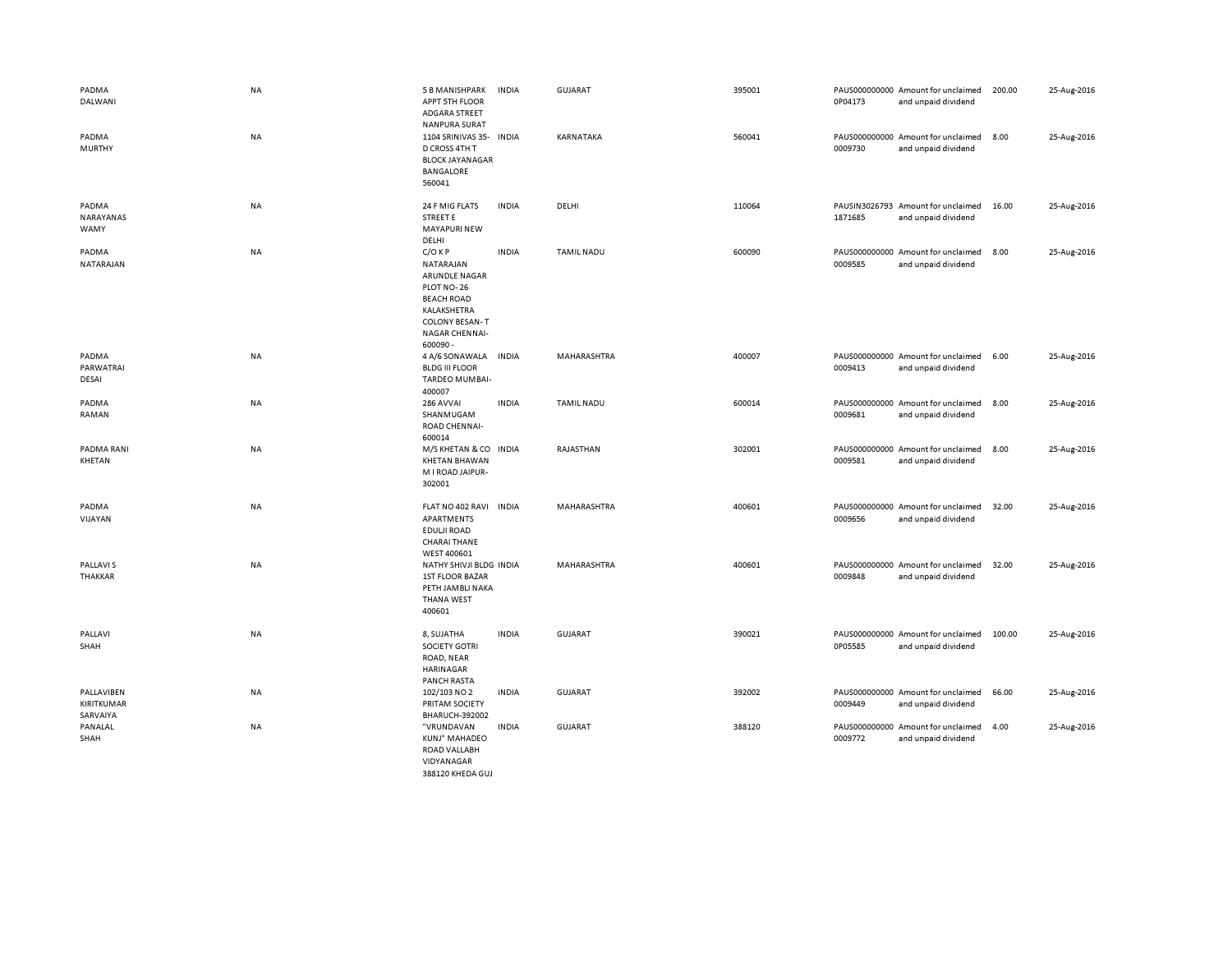| PADMA<br>DALWANI                     | <b>NA</b> | 5 B MANISHPARK<br>APPT 5TH FLOOR<br><b>ADGARA STREET</b><br><b>NANPURA SURAT</b>                                                                       | <b>INDIA</b> | <b>GUJARAT</b>    | 395001 | 0P04173 | PAUS000000000 Amount for unclaimed<br>and unpaid dividend | 200.00 | 25-Aug-2016 |
|--------------------------------------|-----------|--------------------------------------------------------------------------------------------------------------------------------------------------------|--------------|-------------------|--------|---------|-----------------------------------------------------------|--------|-------------|
| PADMA<br>MURTHY                      | <b>NA</b> | 1104 SRINIVAS 35-<br>D CROSS 4TH T<br><b>BLOCK JAYANAGAR</b><br><b>BANGALORE</b><br>560041                                                             | <b>INDIA</b> | KARNATAKA         | 560041 | 0009730 | PAUS000000000 Amount for unclaimed<br>and unpaid dividend | 8.00   | 25-Aug-2016 |
| PADMA<br>NARAYANAS<br>WAMY           | NA        | 24 F MIG FLATS<br><b>STREET E</b><br><b>MAYAPURI NEW</b><br>DELHI                                                                                      | <b>INDIA</b> | DELHI             | 110064 | 1871685 | PAUSIN3026793 Amount for unclaimed<br>and unpaid dividend | 16.00  | 25-Aug-2016 |
| PADMA<br>NATARAJAN                   | NA        | $C/O$ KP<br>NATARAJAN<br>ARUNDLE NAGAR<br>PLOT NO-26<br><b>BEACH ROAD</b><br>KALAKSHETRA<br><b>COLONY BESAN-T</b><br><b>NAGAR CHENNAI-</b><br>600090 - | <b>INDIA</b> | <b>TAMIL NADU</b> | 600090 | 0009585 | PAUS000000000 Amount for unclaimed<br>and unpaid dividend | 8.00   | 25-Aug-2016 |
| PADMA<br>PARWATRAI<br>DESAI          | NA        | 4 A/6 SONAWALA<br><b>BLDG III FLOOR</b><br><b>TARDEO MUMBAI-</b><br>400007                                                                             | <b>INDIA</b> | MAHARASHTRA       | 400007 | 0009413 | PAUS000000000 Amount for unclaimed<br>and unpaid dividend | 6.00   | 25-Aug-2016 |
| PADMA<br>RAMAN                       | NA        | 286 AVVAI<br>SHANMUGAM<br><b>ROAD CHENNAI-</b><br>600014                                                                                               | <b>INDIA</b> | <b>TAMIL NADU</b> | 600014 | 0009681 | PAUS000000000 Amount for unclaimed<br>and unpaid dividend | 8.00   | 25-Aug-2016 |
| PADMA RANI<br>KHETAN                 | NA        | M/S KHETAN & CO INDIA<br><b>KHETAN BHAWAN</b><br>M I ROAD JAIPUR-<br>302001                                                                            |              | RAJASTHAN         | 302001 | 0009581 | PAUS000000000 Amount for unclaimed<br>and unpaid dividend | 8.00   | 25-Aug-2016 |
| PADMA<br>VIJAYAN                     | NA        | FLAT NO 402 RAVI<br>APARTMENTS<br>EDULJI ROAD<br><b>CHARAI THANE</b><br>WEST 400601                                                                    | <b>INDIA</b> | MAHARASHTRA       | 400601 | 0009656 | PAUS000000000 Amount for unclaimed<br>and unpaid dividend | 32.00  | 25-Aug-2016 |
| <b>PALLAVIS</b><br>THAKKAR           | <b>NA</b> | NATHY SHIVJI BLDG INDIA<br><b>1ST FLOOR BAZAR</b><br>PETH JAMBLI NAKA<br><b>THANA WEST</b><br>400601                                                   |              | MAHARASHTRA       | 400601 | 0009848 | PAUS000000000 Amount for unclaimed<br>and unpaid dividend | 32.00  | 25-Aug-2016 |
| PALLAVI<br>SHAH                      | NA        | 8, SUJATHA<br>SOCIETY GOTRI<br>ROAD, NEAR<br><b>HARINAGAR</b><br><b>PANCH RASTA</b>                                                                    | <b>INDIA</b> | GUJARAT           | 390021 | 0P05585 | PAUS000000000 Amount for unclaimed<br>and unpaid dividend | 100.00 | 25-Aug-2016 |
| PALLAVIBEN<br>KIRITKUMAR<br>SARVAIYA | NA        | 102/103 NO 2<br>PRITAM SOCIETY<br><b>BHARUCH-392002</b>                                                                                                | <b>INDIA</b> | <b>GUJARAT</b>    | 392002 | 0009449 | PAUS000000000 Amount for unclaimed<br>and unpaid dividend | 66.00  | 25-Aug-2016 |
| PANALAL<br>SHAH                      | NA        | "VRUNDAVAN<br>KUNJ" MAHADEO<br>ROAD VALLABH<br>VIDYANAGAR<br>388120 KHEDA GUJ                                                                          | <b>INDIA</b> | GUJARAT           | 388120 | 0009772 | PAUS000000000 Amount for unclaimed<br>and unpaid dividend | 4.00   | 25-Aug-2016 |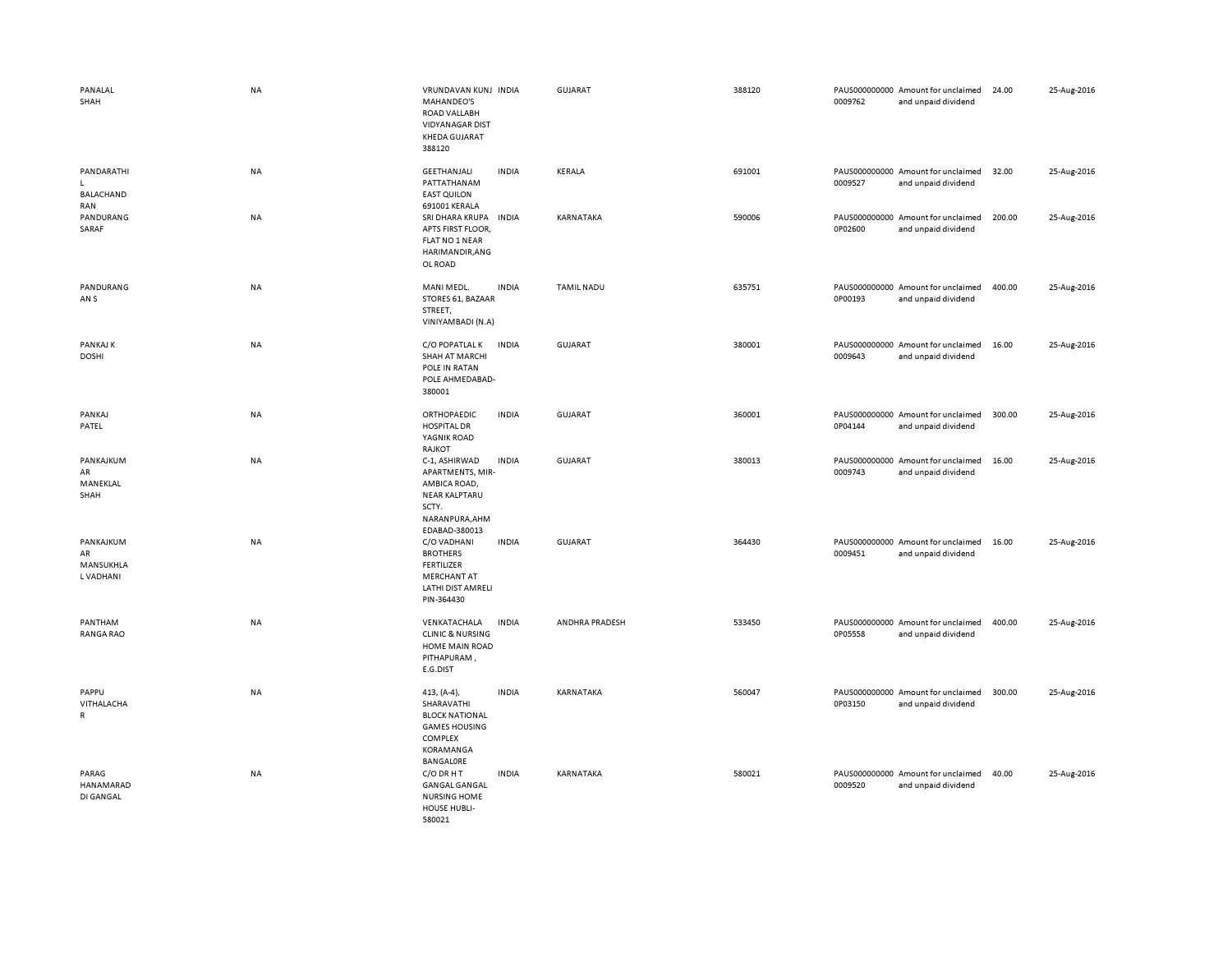| PANALAL<br>SHAH                                       | <b>NA</b> | VRUNDAVAN KUNJ INDIA<br>MAHANDEO'S<br>ROAD VALLABH<br><b>VIDYANAGAR DIST</b><br><b>KHEDA GUJARAT</b><br>388120  |              | <b>GUJARAT</b>    | 388120 | 0009762 | PAUS000000000 Amount for unclaimed<br>and unpaid dividend | 24.00  | 25-Aug-2016 |
|-------------------------------------------------------|-----------|-----------------------------------------------------------------------------------------------------------------|--------------|-------------------|--------|---------|-----------------------------------------------------------|--------|-------------|
| PANDARATHI<br>$\mathbf{L}$<br><b>BALACHAND</b><br>RAN | <b>NA</b> | GEETHANJALI<br>PATTATHANAM<br><b>EAST QUILON</b><br>691001 KERALA                                               | <b>INDIA</b> | KERALA            | 691001 | 0009527 | PAUS000000000 Amount for unclaimed<br>and unpaid dividend | 32.00  | 25-Aug-2016 |
| PANDURANG<br>SARAF                                    | <b>NA</b> | SRI DHARA KRUPA<br>APTS FIRST FLOOR,<br>FLAT NO 1 NEAR<br>HARIMANDIR, ANG<br>OL ROAD                            | <b>INDIA</b> | KARNATAKA         | 590006 | 0P02600 | PAUS000000000 Amount for unclaimed<br>and unpaid dividend | 200.00 | 25-Aug-2016 |
| PANDURANG<br>AN <sub>S</sub>                          | NA        | MANI MEDL.<br>STORES 61, BAZAAR<br>STREET,<br>VINIYAMBADI (N.A)                                                 | <b>INDIA</b> | <b>TAMIL NADU</b> | 635751 | 0P00193 | PAUS000000000 Amount for unclaimed<br>and unpaid dividend | 400.00 | 25-Aug-2016 |
| PANKAJ K<br><b>DOSHI</b>                              | <b>NA</b> | C/O POPATLAL K<br><b>SHAH AT MARCHI</b><br>POLE IN RATAN<br>POLE AHMEDABAD-<br>380001                           | <b>INDIA</b> | GUJARAT           | 380001 | 0009643 | PAUS000000000 Amount for unclaimed<br>and unpaid dividend | 16.00  | 25-Aug-2016 |
| PANKAJ<br>PATEL                                       | NA        | ORTHOPAEDIC<br><b>HOSPITAL DR</b><br>YAGNIK ROAD<br>RAJKOT                                                      | <b>INDIA</b> | <b>GUJARAT</b>    | 360001 | 0P04144 | PAUS000000000 Amount for unclaimed<br>and unpaid dividend | 300.00 | 25-Aug-2016 |
| PANKAJKUM<br>AR<br>MANEKLAL<br>SHAH                   | <b>NA</b> | C-1, ASHIRWAD<br>APARTMENTS, MIR-<br>AMBICA ROAD,<br>NEAR KALPTARU<br>SCTY.<br>NARANPURA, AHM<br>EDABAD-380013  | <b>INDIA</b> | GUJARAT           | 380013 | 0009743 | PAUS000000000 Amount for unclaimed<br>and unpaid dividend | 16.00  | 25-Aug-2016 |
| PANKAJKUM<br>AR<br>MANSUKHLA<br>L VADHANI             | NA        | C/O VADHANI<br><b>BROTHERS</b><br><b>FERTILIZER</b><br>MERCHANT AT<br>LATHI DIST AMRELI<br>PIN-364430           | <b>INDIA</b> | <b>GUJARAT</b>    | 364430 | 0009451 | PAUS000000000 Amount for unclaimed<br>and unpaid dividend | 16.00  | 25-Aug-2016 |
| PANTHAM<br><b>RANGA RAO</b>                           | NA        | VENKATACHALA<br><b>CLINIC &amp; NURSING</b><br>HOME MAIN ROAD<br>PITHAPURAM,<br>E.G.DIST                        | <b>INDIA</b> | ANDHRA PRADESH    | 533450 | 0P05558 | PAUS000000000 Amount for unclaimed<br>and unpaid dividend | 400.00 | 25-Aug-2016 |
| PAPPU<br>VITHALACHA<br>R                              | NA        | 413, (A-4),<br>SHARAVATHI<br><b>BLOCK NATIONAL</b><br><b>GAMES HOUSING</b><br>COMPLEX<br>KORAMANGA<br>BANGALORE | <b>INDIA</b> | KARNATAKA         | 560047 | 0P03150 | PAUS000000000 Amount for unclaimed<br>and unpaid dividend | 300.00 | 25-Aug-2016 |
| PARAG<br>HANAMARAD<br>DI GANGAL                       | <b>NA</b> | C/O DR H T<br><b>GANGAL GANGAL</b><br><b>NURSING HOME</b><br>HOUSE HUBLI-<br>580021                             | <b>INDIA</b> | KARNATAKA         | 580021 | 0009520 | PAUS000000000 Amount for unclaimed<br>and unpaid dividend | 40.00  | 25-Aug-2016 |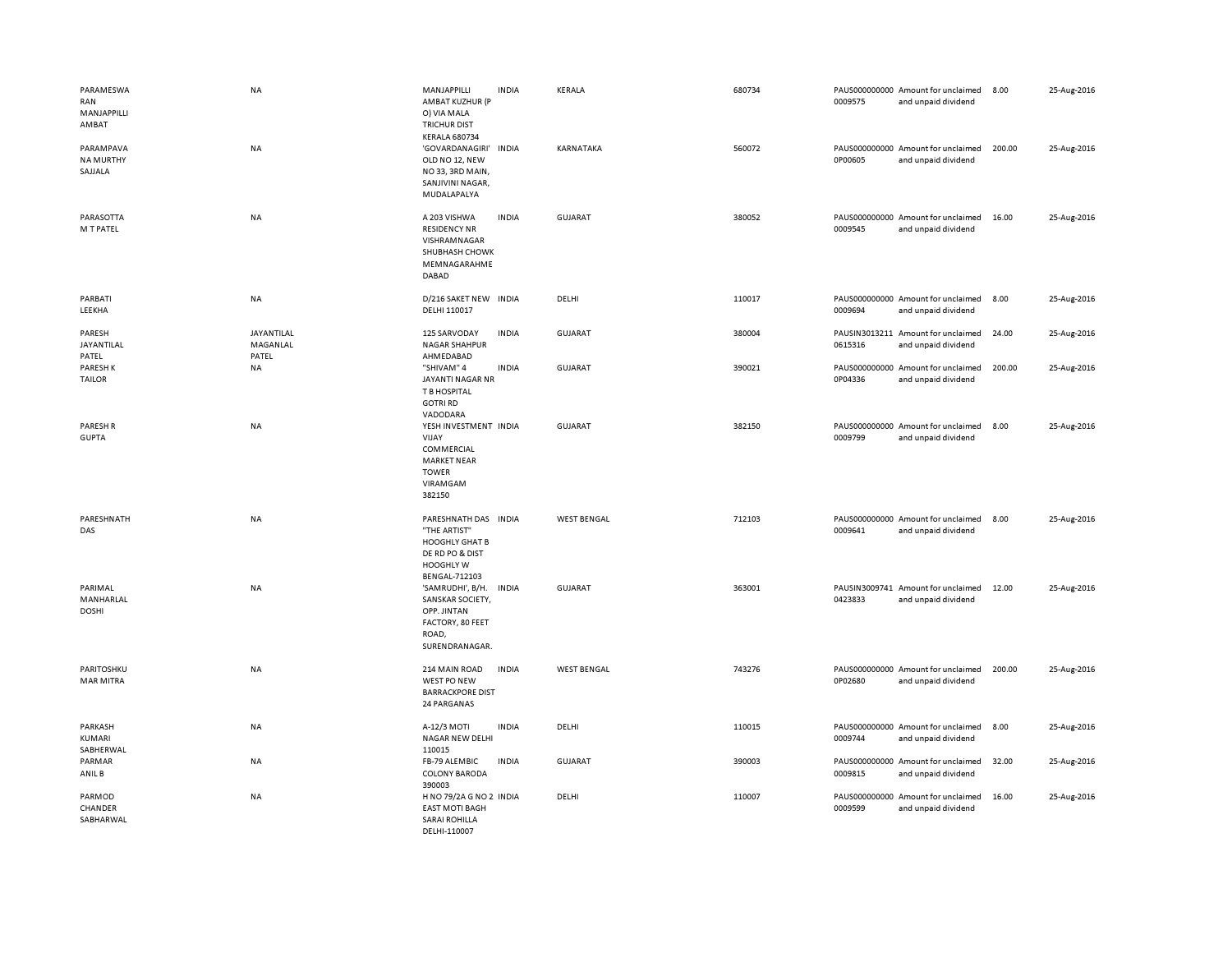| PARAMESWA<br>RAN<br>MANJAPPILLI<br>AMBAT<br>PARAMPAVA | <b>NA</b><br>NA                 | MANJAPPILLI<br><b>INDIA</b><br>AMBAT KUZHUR (P<br>O) VIA MALA<br><b>TRICHUR DIST</b><br><b>KERALA 680734</b><br>'GOVARDANAGIRI'<br><b>INDIA</b> | KERALA<br>KARNATAKA | 680734<br>560072 | PAUS000000000 Amount for unclaimed<br>0009575<br>and unpaid dividend<br>PAUS000000000 Amount for unclaimed | 8.00<br>200.00 | 25-Aug-2016<br>25-Aug-2016 |
|-------------------------------------------------------|---------------------------------|-------------------------------------------------------------------------------------------------------------------------------------------------|---------------------|------------------|------------------------------------------------------------------------------------------------------------|----------------|----------------------------|
| <b>NA MURTHY</b><br>SAJJALA                           |                                 | OLD NO 12, NEW<br>NO33, 3RD MAIN,<br>SANJIVINI NAGAR,<br>MUDALAPALYA                                                                            |                     |                  | 0P00605<br>and unpaid dividend                                                                             |                |                            |
| PARASOTTA<br>M T PATEL                                | NA                              | <b>INDIA</b><br>A 203 VISHWA<br><b>RESIDENCY NR</b><br>VISHRAMNAGAR<br>SHUBHASH CHOWK<br>MEMNAGARAHME<br>DABAD                                  | GUJARAT             | 380052           | PAUS000000000 Amount for unclaimed<br>0009545<br>and unpaid dividend                                       | 16.00          | 25-Aug-2016                |
| PARBATI<br>LEEKHA                                     | NA                              | D/216 SAKET NEW INDIA<br>DELHI 110017                                                                                                           | DELHI               | 110017           | PAUS000000000 Amount for unclaimed<br>0009694<br>and unpaid dividend                                       | 8.00           | 25-Aug-2016                |
| PARESH<br>JAYANTILAL<br>PATEL                         | JAYANTILAL<br>MAGANLAL<br>PATEL | 125 SARVODAY<br><b>INDIA</b><br><b>NAGAR SHAHPUR</b><br>AHMEDABAD                                                                               | <b>GUJARAT</b>      | 380004           | PAUSIN3013211 Amount for unclaimed<br>0615316<br>and unpaid dividend                                       | 24.00          | 25-Aug-2016                |
| PARESH K<br><b>TAILOR</b>                             | NA                              | "SHIVAM" 4<br><b>INDIA</b><br>JAYANTI NAGAR NR<br>T B HOSPITAL<br><b>GOTRI RD</b><br>VADODARA                                                   | <b>GUJARAT</b>      | 390021           | PAUS000000000 Amount for unclaimed<br>0P04336<br>and unpaid dividend                                       | 200.00         | 25-Aug-2016                |
| PARESH R<br><b>GUPTA</b>                              | <b>NA</b>                       | YESH INVESTMENT INDIA<br>VIJAY<br>COMMERCIAL<br><b>MARKET NEAR</b><br><b>TOWER</b><br>VIRAMGAM<br>382150                                        | <b>GUJARAT</b>      | 382150           | PAUS000000000 Amount for unclaimed<br>0009799<br>and unpaid dividend                                       | 8.00           | 25-Aug-2016                |
| PARESHNATH<br>DAS                                     | NA                              | PARESHNATH DAS INDIA<br>"THE ARTIST"<br><b>HOOGHLY GHAT B</b><br>DE RD PO & DIST<br><b>HOOGHLY W</b><br><b>BENGAL-712103</b>                    | <b>WEST BENGAL</b>  | 712103           | PAUS000000000 Amount for unclaimed<br>0009641<br>and unpaid dividend                                       | 8.00           | 25-Aug-2016                |
| PARIMAL<br>MANHARLAL<br><b>DOSHI</b>                  | <b>NA</b>                       | 'SAMRUDHI', B/H.<br>INDIA<br>SANSKAR SOCIETY<br>OPP. JINTAN<br>FACTORY, 80 FEET<br>ROAD,<br>SURENDRANAGAR.                                      | GUJARAT             | 363001           | PAUSIN3009741 Amount for unclaimed<br>0423833<br>and unpaid dividend                                       | 12.00          | 25-Aug-2016                |
| PARITOSHKU<br><b>MAR MITRA</b>                        | NA                              | 214 MAIN ROAD<br><b>INDIA</b><br>WEST PO NEW<br><b>BARRACKPORE DIST</b><br>24 PARGANAS                                                          | <b>WEST BENGAL</b>  | 743276           | PAUS000000000 Amount for unclaimed<br>0P02680<br>and unpaid dividend                                       | 200.00         | 25-Aug-2016                |
| PARKASH<br>KUMARI<br>SABHERWAL                        | NA                              | A-12/3 MOTI<br><b>INDIA</b><br>NAGAR NEW DELHI<br>110015                                                                                        | DELHI               | 110015           | PAUS000000000 Amount for unclaimed<br>0009744<br>and unpaid dividend                                       | 8.00           | 25-Aug-2016                |
| PARMAR<br>ANIL B                                      | NA                              | <b>INDIA</b><br>FB-79 ALEMBIC<br><b>COLONY BARODA</b><br>390003                                                                                 | <b>GUJARAT</b>      | 390003           | PAUS000000000 Amount for unclaimed<br>0009815<br>and unpaid dividend                                       | 32.00          | 25-Aug-2016                |
| PARMOD<br>CHANDER<br>SABHARWAL                        | <b>NA</b>                       | H NO 79/2A G NO 2 INDIA<br><b>EAST MOTI BAGH</b><br>SARAI ROHILLA<br>DELHI-110007                                                               | DELHI               | 110007           | PAUS000000000 Amount for unclaimed<br>0009599<br>and unpaid dividend                                       | 16.00          | 25-Aug-2016                |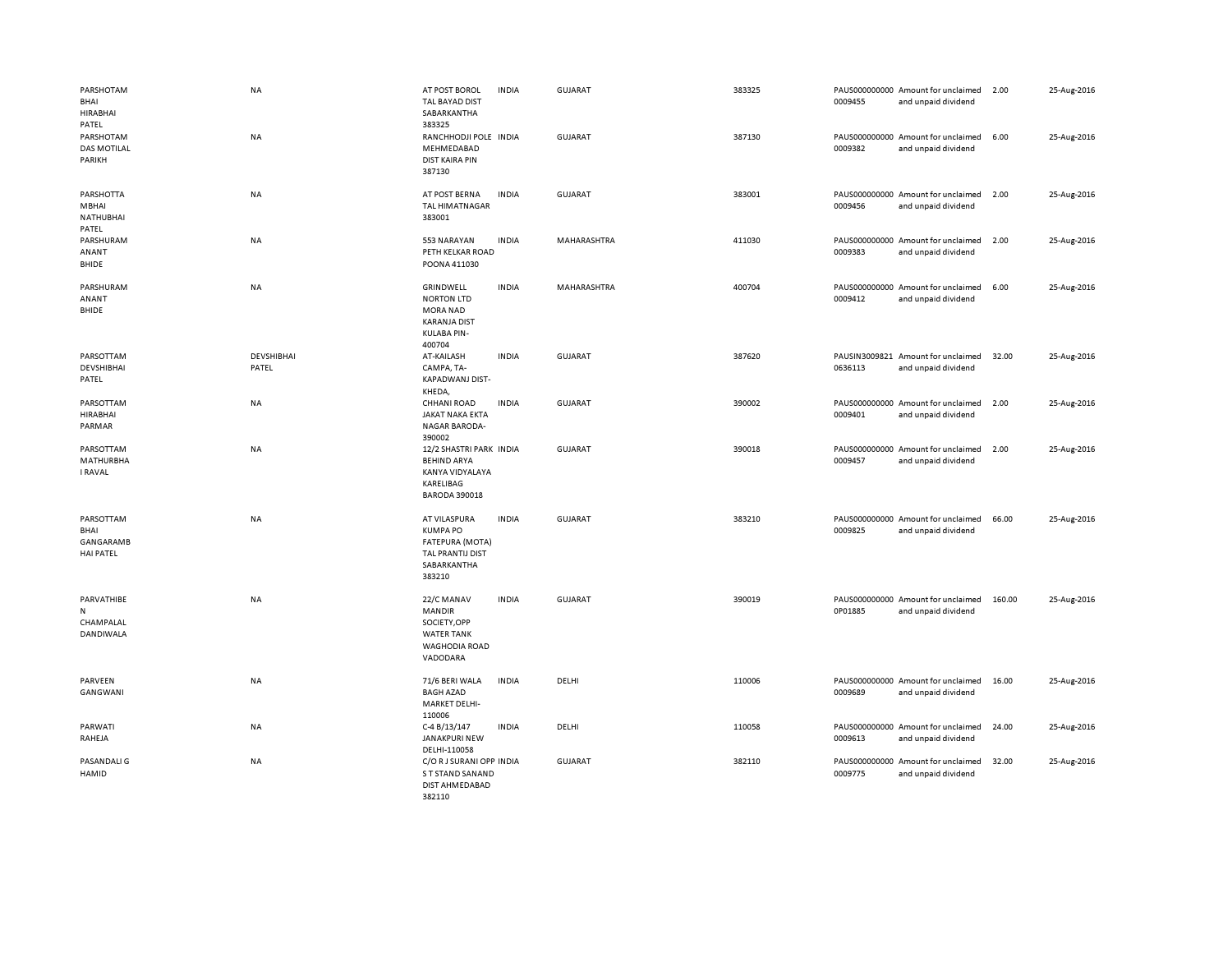| PARSHOTAM<br>BHAI<br><b>HIRABHAI</b><br>PATEL             | <b>NA</b>                  | AT POST BOROL<br><b>TAL BAYAD DIST</b><br>SABARKANTHA<br>383325                                          | <b>INDIA</b> | <b>GUJARAT</b> | 383325 | 0009455 | PAUS000000000 Amount for unclaimed<br>and unpaid dividend | 2.00   | 25-Aug-2016 |
|-----------------------------------------------------------|----------------------------|----------------------------------------------------------------------------------------------------------|--------------|----------------|--------|---------|-----------------------------------------------------------|--------|-------------|
| PARSHOTAM<br><b>DAS MOTILAL</b><br>PARIKH                 | NA                         | RANCHHODJI POLE INDIA<br>MEHMEDABAD<br><b>DIST KAIRA PIN</b><br>387130                                   |              | <b>GUJARAT</b> | 387130 | 0009382 | PAUS000000000 Amount for unclaimed<br>and unpaid dividend | 6.00   | 25-Aug-2016 |
| PARSHOTTA<br>MBHAI<br>NATHUBHAI<br>PATEL                  | NA                         | AT POST BERNA<br><b>TAL HIMATNAGAR</b><br>383001                                                         | <b>INDIA</b> | <b>GUJARAT</b> | 383001 | 0009456 | PAUS000000000 Amount for unclaimed<br>and unpaid dividend | 2.00   | 25-Aug-2016 |
| PARSHURAM<br>ANANT<br>BHIDE                               | NA                         | 553 NARAYAN<br>PETH KELKAR ROAD<br>POONA 411030                                                          | <b>INDIA</b> | MAHARASHTRA    | 411030 | 0009383 | PAUS000000000 Amount for unclaimed<br>and unpaid dividend | 2.00   | 25-Aug-2016 |
| PARSHURAM<br>ANANT<br>BHIDE                               | <b>NA</b>                  | GRINDWELL<br><b>NORTON LTD</b><br><b>MORA NAD</b><br><b>KARANJA DIST</b><br><b>KULABA PIN-</b><br>400704 | <b>INDIA</b> | MAHARASHTRA    | 400704 | 0009412 | PAUS000000000 Amount for unclaimed<br>and unpaid dividend | 6.00   | 25-Aug-2016 |
| PARSOTTAM<br>DEVSHIBHAI<br>PATEL                          | <b>DEVSHIBHAI</b><br>PATEL | AT-KAILASH<br>CAMPA, TA-<br>KAPADWANJ DIST-<br>KHEDA,                                                    | <b>INDIA</b> | <b>GUJARAT</b> | 387620 | 0636113 | PAUSIN3009821 Amount for unclaimed<br>and unpaid dividend | 32.00  | 25-Aug-2016 |
| PARSOTTAM<br><b>HIRABHAI</b><br>PARMAR                    | NA                         | <b>CHHANI ROAD</b><br><b>JAKAT NAKA EKTA</b><br><b>NAGAR BARODA-</b><br>390002                           | <b>INDIA</b> | <b>GUJARAT</b> | 390002 | 0009401 | PAUS000000000 Amount for unclaimed<br>and unpaid dividend | 2.00   | 25-Aug-2016 |
| PARSOTTAM<br><b>MATHURBHA</b><br>I RAVAL                  | <b>NA</b>                  | 12/2 SHASTRI PARK INDIA<br><b>BEHIND ARYA</b><br>KANYA VIDYALAYA<br>KARELIBAG<br><b>BARODA 390018</b>    |              | <b>GUJARAT</b> | 390018 | 0009457 | PAUS000000000 Amount for unclaimed<br>and unpaid dividend | 2.00   | 25-Aug-2016 |
| PARSOTTAM<br>BHAI<br><b>GANGARAMB</b><br><b>HAI PATEL</b> | NA                         | AT VILASPURA<br><b>KUMPA PO</b><br><b>FATEPURA (MOTA)</b><br>TAL PRANTIJ DIST<br>SABARKANTHA<br>383210   | <b>INDIA</b> | <b>GUJARAT</b> | 383210 | 0009825 | PAUS000000000 Amount for unclaimed<br>and unpaid dividend | 66.00  | 25-Aug-2016 |
| PARVATHIBE<br>N<br>CHAMPALAL<br>DANDIWALA                 | <b>NA</b>                  | 22/C MANAV<br><b>MANDIR</b><br>SOCIETY, OPP<br><b>WATER TANK</b><br><b>WAGHODIA ROAD</b><br>VADODARA     | <b>INDIA</b> | <b>GUJARAT</b> | 390019 | 0P01885 | PAUS000000000 Amount for unclaimed<br>and unpaid dividend | 160.00 | 25-Aug-2016 |
| PARVEEN<br>GANGWANI                                       | NA                         | 71/6 BERI WALA<br><b>BAGH AZAD</b><br><b>MARKET DELHI-</b><br>110006                                     | <b>INDIA</b> | DELHI          | 110006 | 0009689 | PAUS000000000 Amount for unclaimed<br>and unpaid dividend | 16.00  | 25-Aug-2016 |
| PARWATI<br>RAHEJA                                         | NA                         | C-4 B/13/147<br><b>JANAKPURI NEW</b><br>DELHI-110058                                                     | <b>INDIA</b> | DELHI          | 110058 | 0009613 | PAUS000000000 Amount for unclaimed<br>and unpaid dividend | 24.00  | 25-Aug-2016 |
| PASANDALI G<br>HAMID                                      | NA                         | C/O RJ SURANI OPP INDIA<br>S T STAND SANAND<br>DIST AHMEDABAD<br>382110                                  |              | GUJARAT        | 382110 | 0009775 | PAUS000000000 Amount for unclaimed<br>and unpaid dividend | 32.00  | 25-Aug-2016 |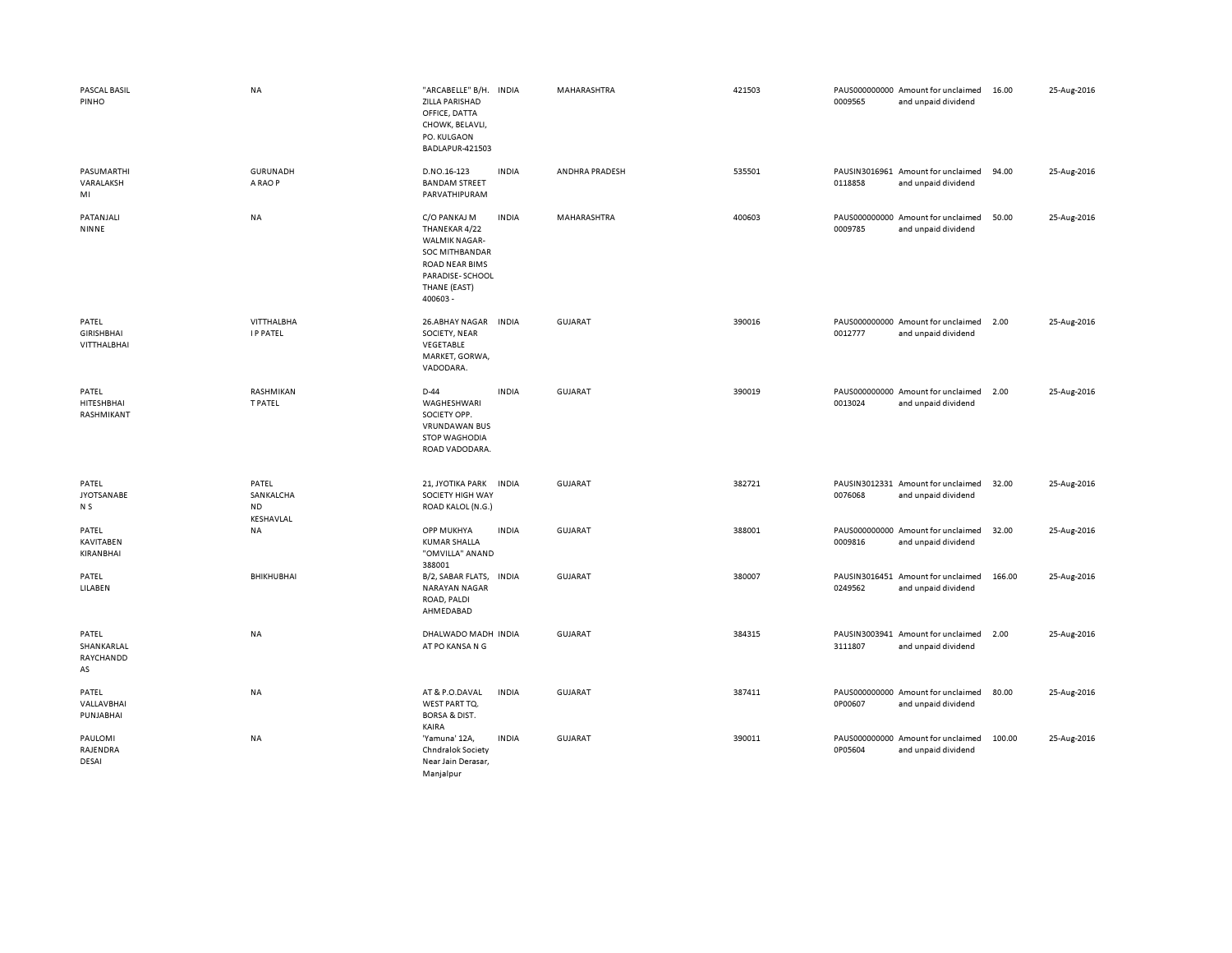| PASCAL BASIL<br>PINHO                     | NA                                           | "ARCABELLE" B/H. INDIA<br>ZILLA PARISHAD<br>OFFICE, DATTA<br>CHOWK, BELAVLI,<br>PO. KULGAON<br>BADLAPUR-421503                                 |              | MAHARASHTRA    | 421503 | 0009565 | PAUS000000000 Amount for unclaimed<br>and unpaid dividend | 16.00  | 25-Aug-2016 |
|-------------------------------------------|----------------------------------------------|------------------------------------------------------------------------------------------------------------------------------------------------|--------------|----------------|--------|---------|-----------------------------------------------------------|--------|-------------|
| PASUMARTHI<br>VARALAKSH<br>MI             | <b>GURUNADH</b><br>A RAO P                   | D.NO.16-123<br><b>BANDAM STREET</b><br>PARVATHIPURAM                                                                                           | <b>INDIA</b> | ANDHRA PRADESH | 535501 | 0118858 | PAUSIN3016961 Amount for unclaimed<br>and unpaid dividend | 94.00  | 25-Aug-2016 |
| PATANJALI<br>NINNE                        | NA                                           | C/O PANKAJ M<br>THANEKAR 4/22<br><b>WALMIK NAGAR-</b><br>SOC MITHBANDAR<br><b>ROAD NEAR BIMS</b><br>PARADISE-SCHOOL<br>THANE (EAST)<br>400603- | <b>INDIA</b> | MAHARASHTRA    | 400603 | 0009785 | PAUS000000000 Amount for unclaimed<br>and unpaid dividend | 50.00  | 25-Aug-2016 |
| PATEL<br><b>GIRISHBHAI</b><br>VITTHALBHAI | VITTHALBHA<br><b>IP PATEL</b>                | 26.ABHAY NAGAR<br>SOCIETY, NEAR<br>VEGETABLE<br>MARKET, GORWA,<br>VADODARA.                                                                    | <b>INDIA</b> | GUJARAT        | 390016 | 0012777 | PAUS000000000 Amount for unclaimed<br>and unpaid dividend | 2.00   | 25-Aug-2016 |
| PATEL<br>HITESHBHAI<br>RASHMIKANT         | RASHMIKAN<br>T PATEL                         | D-44<br>WAGHESHWARI<br>SOCIETY OPP.<br><b>VRUNDAWAN BUS</b><br><b>STOP WAGHODIA</b><br>ROAD VADODARA.                                          | <b>INDIA</b> | GUJARAT        | 390019 | 0013024 | PAUS000000000 Amount for unclaimed<br>and unpaid dividend | 2.00   | 25-Aug-2016 |
| PATEL<br><b>JYOTSANABE</b><br>N S         | PATEL<br>SANKALCHA<br><b>ND</b><br>KESHAVLAL | 21, JYOTIKA PARK<br>SOCIETY HIGH WAY<br>ROAD KALOL (N.G.)                                                                                      | <b>INDIA</b> | <b>GUJARAT</b> | 382721 | 0076068 | PAUSIN3012331 Amount for unclaimed<br>and unpaid dividend | 32.00  | 25-Aug-2016 |
| PATEL<br><b>KAVITABEN</b><br>KIRANBHAI    | NA                                           | OPP MUKHYA<br><b>KUMAR SHALLA</b><br>"OMVILLA" ANAND<br>388001                                                                                 | <b>INDIA</b> | GUJARAT        | 388001 | 0009816 | PAUS000000000 Amount for unclaimed<br>and unpaid dividend | 32.00  | 25-Aug-2016 |
| PATEL<br>LILABEN                          | BHIKHUBHAI                                   | B/2, SABAR FLATS,<br>NARAYAN NAGAR<br>ROAD, PALDI<br>AHMEDABAD                                                                                 | <b>INDIA</b> | GUJARAT        | 380007 | 0249562 | PAUSIN3016451 Amount for unclaimed<br>and unpaid dividend | 166.00 | 25-Aug-2016 |
| PATEL<br>SHANKARLAL<br>RAYCHANDD<br>AS    | NA                                           | DHALWADO MADH INDIA<br>AT PO KANSA N G                                                                                                         |              | GUJARAT        | 384315 | 3111807 | PAUSIN3003941 Amount for unclaimed<br>and unpaid dividend | 2.00   | 25-Aug-2016 |
| PATEL<br>VALLAVBHAI<br>PUNJABHAI          | <b>NA</b>                                    | AT & P.O.DAVAL<br>WEST PART TO.<br><b>BORSA &amp; DIST.</b><br>KAIRA                                                                           | <b>INDIA</b> | <b>GUJARAT</b> | 387411 | 0P00607 | PAUS000000000 Amount for unclaimed<br>and unpaid dividend | 80.00  | 25-Aug-2016 |
| PAULOMI<br>RAJENDRA<br>DESAI              | <b>NA</b>                                    | 'Yamuna' 12A,<br>Chndralok Society<br>Near Jain Derasar,<br>Manjalpur                                                                          | <b>INDIA</b> | <b>GUJARAT</b> | 390011 | 0P05604 | PAUS000000000 Amount for unclaimed<br>and unpaid dividend | 100.00 | 25-Aug-2016 |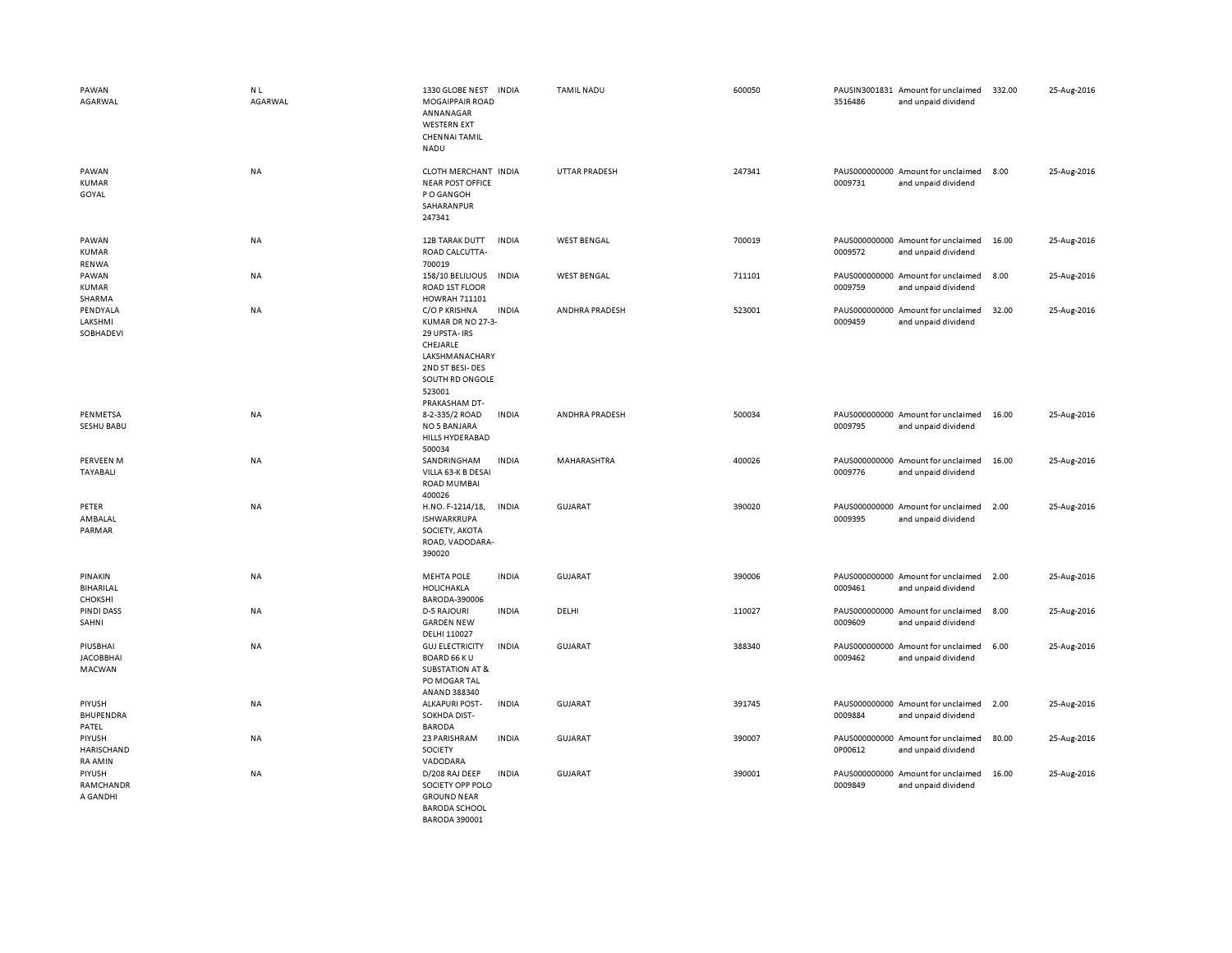| PAWAN<br>AGARWAL                              | N <sub>L</sub><br>AGARWAL | 1330 GLOBE NEST<br><b>MOGAIPPAIR ROAD</b><br>ANNANAGAR<br><b>WESTERN EXT</b><br><b>CHENNAI TAMIL</b><br><b>NADU</b>                                | <b>INDIA</b> | <b>TAMIL NADU</b>    | 600050 | 3516486 | PAUSIN3001831 Amount for unclaimed<br>and unpaid dividend | 332.00 | 25-Aug-2016 |
|-----------------------------------------------|---------------------------|----------------------------------------------------------------------------------------------------------------------------------------------------|--------------|----------------------|--------|---------|-----------------------------------------------------------|--------|-------------|
| PAWAN<br><b>KUMAR</b><br>GOYAL                | NA                        | CLOTH MERCHANT INDIA<br><b>NEAR POST OFFICE</b><br>P O GANGOH<br>SAHARANPUR<br>247341                                                              |              | <b>UTTAR PRADESH</b> | 247341 | 0009731 | PAUS000000000 Amount for unclaimed<br>and unpaid dividend | 8.00   | 25-Aug-2016 |
| PAWAN<br><b>KUMAR</b><br>RENWA                | NA                        | 12B TARAK DUTT<br>ROAD CALCUTTA-<br>700019                                                                                                         | <b>INDIA</b> | <b>WEST BENGAL</b>   | 700019 | 0009572 | PAUS000000000 Amount for unclaimed<br>and unpaid dividend | 16.00  | 25-Aug-2016 |
| PAWAN<br><b>KUMAR</b><br>SHARMA               | NA                        | 158/10 BELILIOUS<br>ROAD 1ST FLOOR<br>HOWRAH 711101                                                                                                | INDIA        | <b>WEST BENGAL</b>   | 711101 | 0009759 | PAUS000000000 Amount for unclaimed<br>and unpaid dividend | 8.00   | 25-Aug-2016 |
| PENDYALA<br>LAKSHMI<br>SOBHADEVI              | NA                        | C/O P KRISHNA<br>KUMAR DR NO 27-3-<br>29 UPSTA- IRS<br>CHEJARLE<br>LAKSHMANACHARY<br>2ND ST BESI-DES<br>SOUTH RD ONGOLE<br>523001<br>PRAKASHAM DT- | <b>INDIA</b> | ANDHRA PRADESH       | 523001 | 0009459 | PAUS000000000 Amount for unclaimed<br>and unpaid dividend | 32.00  | 25-Aug-2016 |
| PENMETSA<br>SESHU BABU                        | NA                        | 8-2-335/2 ROAD<br>NO 5 BANJARA<br>HILLS HYDERABAD<br>500034                                                                                        | <b>INDIA</b> | ANDHRA PRADESH       | 500034 | 0009795 | PAUS000000000 Amount for unclaimed<br>and unpaid dividend | 16.00  | 25-Aug-2016 |
| PERVEEN M<br>TAYABALI                         | NA                        | SANDRINGHAM<br>VILLA 63-K B DESAI<br><b>ROAD MUMBAI</b><br>400026                                                                                  | <b>INDIA</b> | MAHARASHTRA          | 400026 | 0009776 | PAUS000000000 Amount for unclaimed<br>and unpaid dividend | 16.00  | 25-Aug-2016 |
| PETER<br>AMBALAL<br>PARMAR                    | <b>NA</b>                 | H.NO. F-1214/18,<br><b>ISHWARKRUPA</b><br>SOCIETY, AKOTA<br>ROAD, VADODARA-<br>390020                                                              | <b>INDIA</b> | <b>GUJARAT</b>       | 390020 | 0009395 | PAUS000000000 Amount for unclaimed<br>and unpaid dividend | 2.00   | 25-Aug-2016 |
| PINAKIN<br><b>BIHARILAL</b><br><b>CHOKSHI</b> | <b>NA</b>                 | <b>MEHTA POLE</b><br>HOLICHAKLA<br>BARODA-390006                                                                                                   | <b>INDIA</b> | <b>GUJARAT</b>       | 390006 | 0009461 | PAUS000000000 Amount for unclaimed<br>and unpaid dividend | 2.00   | 25-Aug-2016 |
| PINDI DASS<br>SAHNI                           | NA                        | <b>D-5 RAJOURI</b><br><b>GARDEN NEW</b><br>DELHI 110027                                                                                            | <b>INDIA</b> | DELHI                | 110027 | 0009609 | PAUS000000000 Amount for unclaimed<br>and unpaid dividend | 8.00   | 25-Aug-2016 |
| PIUSBHAI<br><b>JACOBBHAI</b><br><b>MACWAN</b> | <b>NA</b>                 | <b>GUJ ELECTRICITY</b><br><b>BOARD 66 KU</b><br><b>SUBSTATION AT &amp;</b><br>PO MOGAR TAL<br>ANAND 388340                                         | <b>INDIA</b> | <b>GUJARAT</b>       | 388340 | 0009462 | PAUS000000000 Amount for unclaimed<br>and unpaid dividend | 6.00   | 25-Aug-2016 |
| PIYUSH<br><b>BHUPENDRA</b><br>PATEL           | NA                        | <b>ALKAPURI POST-</b><br>SOKHDA DIST-<br><b>BARODA</b>                                                                                             | <b>INDIA</b> | <b>GUJARAT</b>       | 391745 | 0009884 | PAUS000000000 Amount for unclaimed<br>and unpaid dividend | 2.00   | 25-Aug-2016 |
| PIYUSH<br>HARISCHAND<br><b>RA AMIN</b>        | NA                        | 23 PARISHRAM<br>SOCIETY<br>VADODARA                                                                                                                | <b>INDIA</b> | <b>GUJARAT</b>       | 390007 | 0P00612 | PAUS000000000 Amount for unclaimed<br>and unpaid dividend | 80.00  | 25-Aug-2016 |
| PIYUSH<br>RAMCHANDR<br>A GANDHI               | NA                        | D/208 RAJ DEEP<br>SOCIETY OPP POLO<br><b>GROUND NEAR</b><br><b>BARODA SCHOOL</b><br><b>BARODA 390001</b>                                           | <b>INDIA</b> | <b>GUJARAT</b>       | 390001 | 0009849 | PAUS000000000 Amount for unclaimed<br>and unpaid dividend | 16.00  | 25-Aug-2016 |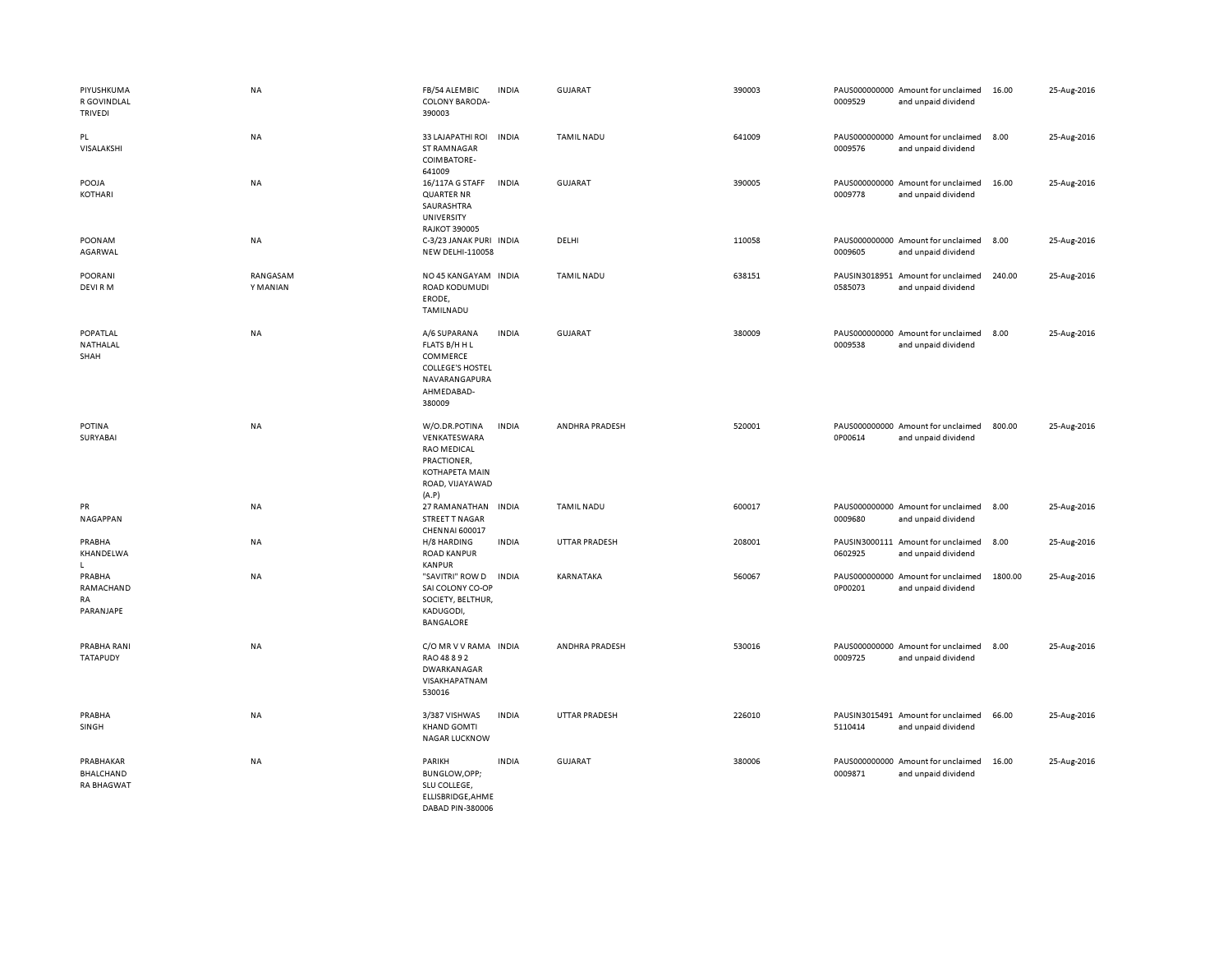| PIYUSHKUMA<br>R GOVINDLAL<br><b>TRIVEDI</b> | <b>NA</b>            | FB/54 ALEMBIC<br>COLONY BARODA-<br>390003                                                                               | <b>INDIA</b> | GUJARAT              | 390003 | 0009529                  | PAUS000000000 Amount for unclaimed<br>and unpaid dividend | 16.00   | 25-Aug-2016 |
|---------------------------------------------|----------------------|-------------------------------------------------------------------------------------------------------------------------|--------------|----------------------|--------|--------------------------|-----------------------------------------------------------|---------|-------------|
| PL<br>VISALAKSHI                            | NA                   | 33 LAJAPATHI ROI<br><b>ST RAMNAGAR</b><br>COIMBATORE-<br>641009                                                         | <b>INDIA</b> | <b>TAMIL NADU</b>    | 641009 | 0009576                  | PAUS000000000 Amount for unclaimed<br>and unpaid dividend | 8.00    | 25-Aug-2016 |
| POOJA<br>KOTHARI                            | <b>NA</b>            | 16/117A G STAFF<br><b>QUARTER NR</b><br>SAURASHTRA<br>UNIVERSITY<br><b>RAJKOT 390005</b>                                | <b>INDIA</b> | GUJARAT              | 390005 | 0009778                  | PAUS000000000 Amount for unclaimed<br>and unpaid dividend | 16.00   | 25-Aug-2016 |
| POONAM<br>AGARWAL                           | <b>NA</b>            | C-3/23 JANAK PURI INDIA<br><b>NEW DELHI-110058</b>                                                                      |              | DELHI                | 110058 | 0009605                  | PAUS000000000 Amount for unclaimed<br>and unpaid dividend | 8.00    | 25-Aug-2016 |
| <b>POORANI</b><br>DEVI RM                   | RANGASAM<br>Y MANIAN | NO 45 KANGAYAM<br>ROAD KODUMUDI<br>ERODE,<br>TAMILNADU                                                                  | <b>INDIA</b> | <b>TAMIL NADU</b>    | 638151 | PAUSIN3018951<br>0585073 | Amount for unclaimed<br>and unpaid dividend               | 240.00  | 25-Aug-2016 |
| POPATLAL<br>NATHALAL<br>SHAH                | <b>NA</b>            | A/6 SUPARANA<br>FLATS B/H H L<br>COMMERCE<br><b>COLLEGE'S HOSTEL</b><br>NAVARANGAPURA<br>AHMEDABAD-<br>380009           | <b>INDIA</b> | <b>GUJARAT</b>       | 380009 | 0009538                  | PAUS000000000 Amount for unclaimed<br>and unpaid dividend | 8.00    | 25-Aug-2016 |
| POTINA<br>SURYABAI                          | <b>NA</b>            | W/O.DR.POTINA<br>VENKATESWARA<br><b>RAO MEDICAL</b><br>PRACTIONER,<br><b>KOTHAPETA MAIN</b><br>ROAD, VIJAYAWAD<br>(A.P) | <b>INDIA</b> | ANDHRA PRADESH       | 520001 | 0P00614                  | PAUS000000000 Amount for unclaimed<br>and unpaid dividend | 800.00  | 25-Aug-2016 |
| PR<br>NAGAPPAN                              | NA                   | 27 RAMANATHAN<br>STREET T NAGAR<br>CHENNAI 600017                                                                       | <b>INDIA</b> | <b>TAMIL NADU</b>    | 600017 | 0009680                  | PAUS000000000 Amount for unclaimed<br>and unpaid dividend | 8.00    | 25-Aug-2016 |
| PRABHA<br>KHANDELWA<br>L.                   | NA                   | H/8 HARDING<br><b>ROAD KANPUR</b><br><b>KANPUR</b>                                                                      | <b>INDIA</b> | <b>UTTAR PRADESH</b> | 208001 | 0602925                  | PAUSIN3000111 Amount for unclaimed<br>and unpaid dividend | 8.00    | 25-Aug-2016 |
| PRABHA<br>RAMACHAND<br>RA<br>PARANJAPE      | <b>NA</b>            | "SAVITRI" ROW D<br>SAI COLONY CO-OP<br>SOCIETY, BELTHUR,<br>KADUGODI,<br><b>BANGALORE</b>                               | <b>INDIA</b> | KARNATAKA            | 560067 | 0P00201                  | PAUS000000000 Amount for unclaimed<br>and unpaid dividend | 1800.00 | 25-Aug-2016 |
| PRABHA RANI<br><b>TATAPUDY</b>              | <b>NA</b>            | C/O MR V V RAMA INDIA<br>RAO 48 8 9 2<br>DWARKANAGAR<br>VISAKHAPATNAM<br>530016                                         |              | ANDHRA PRADESH       | 530016 | 0009725                  | PAUS000000000 Amount for unclaimed<br>and unpaid dividend | 8.00    | 25-Aug-2016 |
| PRABHA<br>SINGH                             | <b>NA</b>            | 3/387 VISHWAS<br><b>KHAND GOMTI</b><br><b>NAGAR LUCKNOW</b>                                                             | <b>INDIA</b> | <b>UTTAR PRADESH</b> | 226010 | 5110414                  | PAUSIN3015491 Amount for unclaimed<br>and unpaid dividend | 66.00   | 25-Aug-2016 |
| PRABHAKAR<br>BHALCHAND<br><b>RA BHAGWAT</b> | NA                   | PARIKH<br>BUNGLOW, OPP;<br>SLU COLLEGE,<br>ELLISBRIDGE, AHME<br>DARAD PIN-380006                                        | <b>INDIA</b> | <b>GUJARAT</b>       | 380006 | 0009871                  | PAUS000000000 Amount for unclaimed<br>and unpaid dividend | 16.00   | 25-Aug-2016 |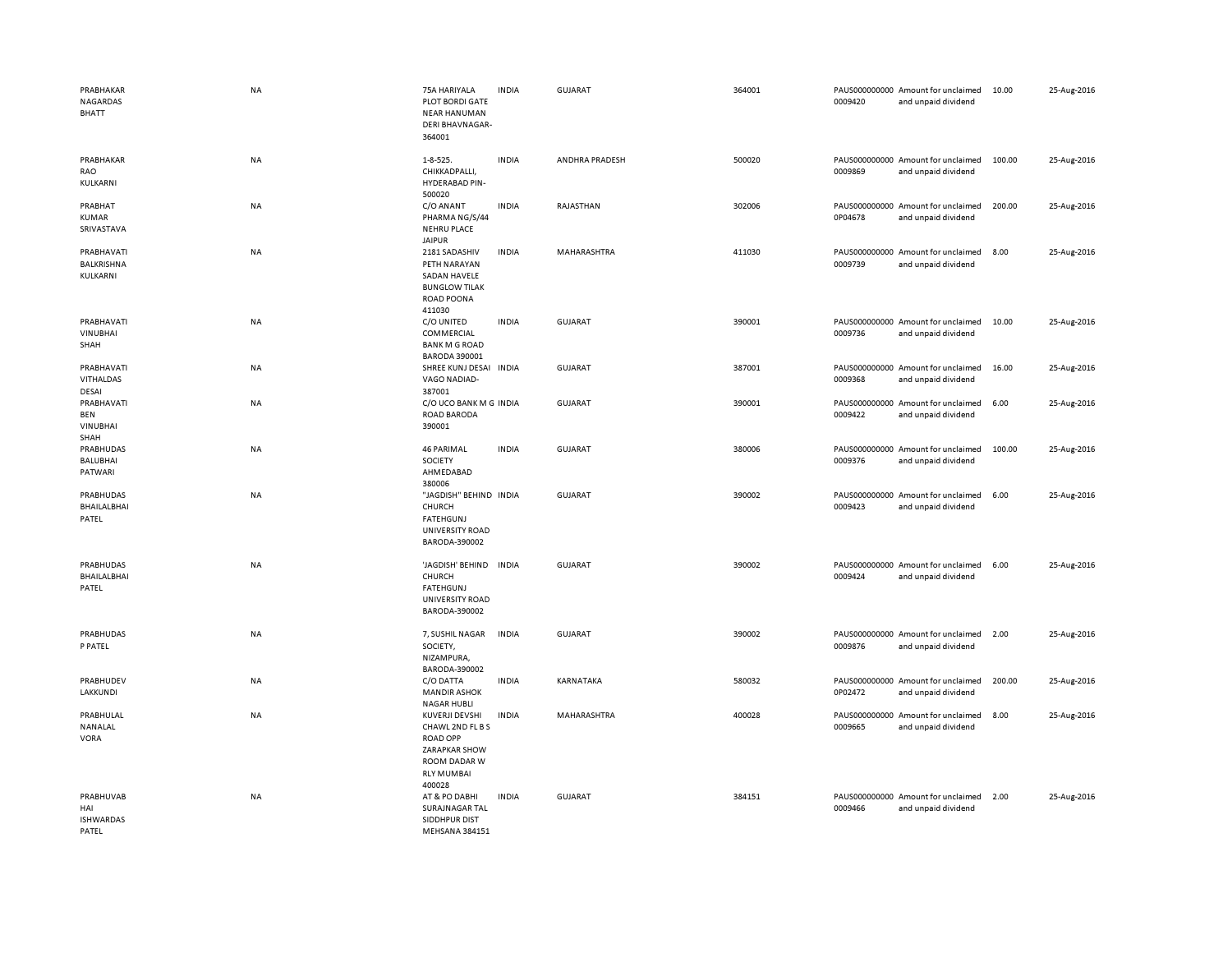| PRABHAKAR<br>NAGARDAS<br><b>BHATT</b>               | <b>NA</b> | 75A HARIYALA<br><b>PLOT BORDI GATE</b><br><b>NEAR HANUMAN</b><br><b>DERI BHAVNAGAR-</b><br>364001                            | <b>INDIA</b> | <b>GUJARAT</b> | 364001 | 0009420 | PAUS000000000 Amount for unclaimed<br>and unpaid dividend | 10.00  | 25-Aug-2016 |
|-----------------------------------------------------|-----------|------------------------------------------------------------------------------------------------------------------------------|--------------|----------------|--------|---------|-----------------------------------------------------------|--------|-------------|
| PRABHAKAR<br>RAO<br>KULKARNI                        | NA        | 1-8-525.<br>CHIKKADPALLI.<br>HYDERABAD PIN-<br>500020                                                                        | <b>INDIA</b> | ANDHRA PRADESH | 500020 | 0009869 | PAUS000000000 Amount for unclaimed<br>and unpaid dividend | 100.00 | 25-Aug-2016 |
| PRABHAT<br>KUMAR<br>SRIVASTAVA                      | NA        | C/O ANANT<br>PHARMA NG/S/44<br><b>NEHRU PLACE</b><br><b>JAIPUR</b>                                                           | <b>INDIA</b> | RAJASTHAN      | 302006 | 0P04678 | PAUS000000000 Amount for unclaimed<br>and unpaid dividend | 200.00 | 25-Aug-2016 |
| PRABHAVATI<br>BALKRISHNA<br>KULKARNI                | NA        | 2181 SADASHIV<br>PETH NARAYAN<br>SADAN HAVELE<br><b>BUNGLOW TILAK</b><br><b>ROAD POONA</b><br>411030                         | <b>INDIA</b> | MAHARASHTRA    | 411030 | 0009739 | PAUS000000000 Amount for unclaimed<br>and unpaid dividend | 8.00   | 25-Aug-2016 |
| PRABHAVATI<br>VINUBHAI<br>SHAH                      | <b>NA</b> | C/O UNITED<br>COMMERCIAL<br><b>BANK M G ROAD</b><br><b>BARODA 390001</b>                                                     | <b>INDIA</b> | <b>GUJARAT</b> | 390001 | 0009736 | PAUS000000000 Amount for unclaimed<br>and unpaid dividend | 10.00  | 25-Aug-2016 |
| PRABHAVATI<br>VITHALDAS<br>DESAI                    | NA        | SHREE KUNJ DESAI INDIA<br>VAGO NADIAD-<br>387001                                                                             |              | <b>GUJARAT</b> | 387001 | 0009368 | PAUS000000000 Amount for unclaimed<br>and unpaid dividend | 16.00  | 25-Aug-2016 |
| PRABHAVATI<br><b>BEN</b><br><b>VINUBHAI</b><br>SHAH | NA        | C/O UCO BANK M G INDIA<br><b>ROAD BARODA</b><br>390001                                                                       |              | <b>GUJARAT</b> | 390001 | 0009422 | PAUS000000000 Amount for unclaimed<br>and unpaid dividend | 6.00   | 25-Aug-2016 |
| PRABHUDAS<br><b>BALUBHAI</b><br>PATWARI             | NA        | <b>46 PARIMAL</b><br>SOCIETY<br>AHMEDABAD<br>380006                                                                          | <b>INDIA</b> | <b>GUJARAT</b> | 380006 | 0009376 | PAUS000000000 Amount for unclaimed<br>and unpaid dividend | 100.00 | 25-Aug-2016 |
| PRABHUDAS<br>BHAILALBHAI<br>PATEL                   | NA        | "JAGDISH" BEHIND INDIA<br>CHURCH<br><b>FATEHGUNJ</b><br><b>UNIVERSITY ROAD</b><br>BARODA-390002                              |              | <b>GUJARAT</b> | 390002 | 0009423 | PAUS000000000 Amount for unclaimed<br>and unpaid dividend | 6.00   | 25-Aug-2016 |
| PRABHUDAS<br>BHAILALBHAI<br>PATEL                   | <b>NA</b> | 'JAGDISH' BEHIND<br>CHURCH<br><b>FATEHGUNJ</b><br>UNIVERSITY ROAD<br>BARODA-390002                                           | <b>INDIA</b> | <b>GUJARAT</b> | 390002 | 0009424 | PAUS000000000 Amount for unclaimed<br>and unpaid dividend | 6.00   | 25-Aug-2016 |
| PRABHUDAS<br>P PATEL                                | NA        | 7, SUSHIL NAGAR<br>SOCIETY,<br>NIZAMPURA,<br>BARODA-390002                                                                   | <b>INDIA</b> | <b>GUJARAT</b> | 390002 | 0009876 | PAUS000000000 Amount for unclaimed<br>and unpaid dividend | 2.00   | 25-Aug-2016 |
| PRABHUDEV<br><b>LAKKUNDI</b>                        | NA        | C/O DATTA<br><b>MANDIR ASHOK</b><br><b>NAGAR HUBLI</b>                                                                       | <b>INDIA</b> | KARNATAKA      | 580032 | 0P02472 | PAUS000000000 Amount for unclaimed<br>and unpaid dividend | 200.00 | 25-Aug-2016 |
| PRABHULAL<br>NANALAL<br><b>VORA</b>                 | <b>NA</b> | KUVERJI DEVSHI<br>CHAWL 2ND FL B S<br><b>ROAD OPP</b><br><b>ZARAPKAR SHOW</b><br>ROOM DADAR W<br><b>RLY MUMBAI</b><br>400028 | <b>INDIA</b> | MAHARASHTRA    | 400028 | 0009665 | PAUS000000000 Amount for unclaimed<br>and unpaid dividend | 8.00   | 25-Aug-2016 |
| PRABHUVAB<br>HAI<br><b>ISHWARDAS</b><br>PATEL       | NA        | AT & PO DABHI<br>SURAJNAGAR TAL<br>SIDDHPUR DIST<br>MEHSANA 384151                                                           | <b>INDIA</b> | <b>GUJARAT</b> | 384151 | 0009466 | PAUS000000000 Amount for unclaimed<br>and unpaid dividend | 2.00   | 25-Aug-2016 |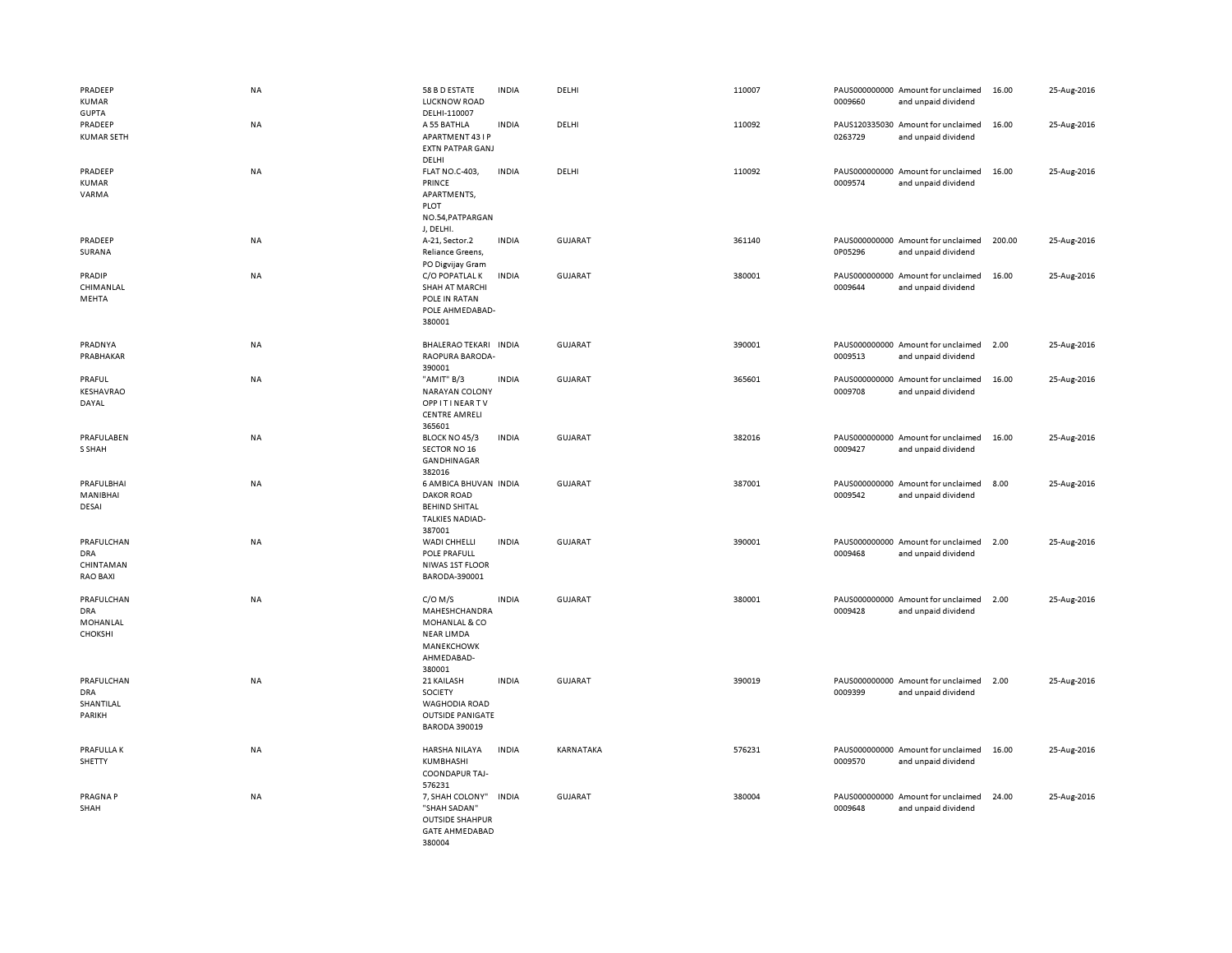| PRADEEP<br>KUMAR<br><b>GUPTA</b>                         | <b>NA</b> | 58 B D ESTATE<br><b>LUCKNOW ROAD</b><br>DELHI-110007                                                   | <b>INDIA</b> | DELHI          | 110007 | 0009660 | PAUS000000000 Amount for unclaimed<br>and unpaid dividend | 16.00  | 25-Aug-2016 |
|----------------------------------------------------------|-----------|--------------------------------------------------------------------------------------------------------|--------------|----------------|--------|---------|-----------------------------------------------------------|--------|-------------|
| PRADEEP<br><b>KUMAR SETH</b>                             | NA        | A 55 BATHLA<br>APARTMENT 43 I P<br><b>EXTN PATPAR GANJ</b><br>DELHI                                    | <b>INDIA</b> | DELHI          | 110092 | 0263729 | PAUS120335030 Amount for unclaimed<br>and unpaid dividend | 16.00  | 25-Aug-2016 |
| PRADEEP<br><b>KUMAR</b><br>VARMA                         | NA        | FLAT NO.C-403,<br>PRINCE<br>APARTMENTS,<br>PLOT<br>NO.54, PATPARGAN<br>J, DELHI.                       | <b>INDIA</b> | DELHI          | 110092 | 0009574 | PAUS000000000 Amount for unclaimed<br>and unpaid dividend | 16.00  | 25-Aug-2016 |
| PRADEEP<br>SURANA                                        | <b>NA</b> | A-21, Sector.2<br>Reliance Greens,<br>PO Digvijay Gram                                                 | <b>INDIA</b> | <b>GUJARAT</b> | 361140 | 0P05296 | PAUS000000000 Amount for unclaimed<br>and unpaid dividend | 200.00 | 25-Aug-2016 |
| PRADIP<br>CHIMANLAL<br>MEHTA                             | <b>NA</b> | C/O POPATLAL K<br>SHAH AT MARCHI<br>POLE IN RATAN<br>POLE AHMEDABAD-<br>380001                         | <b>INDIA</b> | <b>GUJARAT</b> | 380001 | 0009644 | PAUS000000000 Amount for unclaimed<br>and unpaid dividend | 16.00  | 25-Aug-2016 |
| PRADNYA<br>PRABHAKAR                                     | NA        | BHALERAO TEKARI INDIA<br><b>RAOPURA BARODA-</b><br>390001                                              |              | GUJARAT        | 390001 | 0009513 | PAUS000000000 Amount for unclaimed<br>and unpaid dividend | 2.00   | 25-Aug-2016 |
| PRAFUL<br>KESHAVRAO<br>DAYAL                             | <b>NA</b> | "AMIT" B/3<br><b>NARAYAN COLONY</b><br><b>OPPITINEARTV</b><br><b>CENTRE AMRELI</b><br>365601           | <b>INDIA</b> | <b>GUJARAT</b> | 365601 | 0009708 | PAUS000000000 Amount for unclaimed<br>and unpaid dividend | 16.00  | 25-Aug-2016 |
| PRAFULABEN<br>S SHAH                                     | NA        | BLOCK NO 45/3<br>SECTOR NO 16<br>GANDHINAGAR<br>382016                                                 | <b>INDIA</b> | <b>GUJARAT</b> | 382016 | 0009427 | PAUS000000000 Amount for unclaimed<br>and unpaid dividend | 16.00  | 25-Aug-2016 |
| PRAFULBHAI<br>MANIBHAI<br>DESAI                          | <b>NA</b> | 6 AMBICA BHUVAN INDIA<br><b>DAKOR ROAD</b><br><b>BEHIND SHITAL</b><br><b>TALKIES NADIAD-</b><br>387001 |              | <b>GUJARAT</b> | 387001 | 0009542 | PAUS000000000 Amount for unclaimed<br>and unpaid dividend | 8.00   | 25-Aug-2016 |
| PRAFULCHAN<br><b>DRA</b><br>CHINTAMAN<br><b>RAO BAXI</b> | <b>NA</b> | WADI CHHELLI<br>POLE PRAFULL<br>NIWAS 1ST FLOOR<br>BARODA-390001                                       | <b>INDIA</b> | <b>GUJARAT</b> | 390001 | 0009468 | PAUS000000000 Amount for unclaimed<br>and unpaid dividend | 2.00   | 25-Aug-2016 |
| PRAFULCHAN<br><b>DRA</b><br>MOHANLAL<br><b>CHOKSHI</b>   | <b>NA</b> | $C/O$ M/S<br>MAHESHCHANDRA<br>MOHANLAL & CO<br><b>NEAR LIMDA</b><br>MANEKCHOWK<br>AHMEDABAD-<br>380001 | <b>INDIA</b> | <b>GUJARAT</b> | 380001 | 0009428 | PAUS000000000 Amount for unclaimed<br>and unpaid dividend | 2.00   | 25-Aug-2016 |
| PRAFULCHAN<br><b>DRA</b><br>SHANTILAL<br>PARIKH          | <b>NA</b> | 21 KAILASH<br>SOCIETY<br><b>WAGHODIA ROAD</b><br><b>OUTSIDE PANIGATE</b><br><b>BARODA 390019</b>       | <b>INDIA</b> | <b>GUJARAT</b> | 390019 | 0009399 | PAUS000000000 Amount for unclaimed<br>and unpaid dividend | 2.00   | 25-Aug-2016 |
| <b>PRAFULLAK</b><br>SHETTY                               | <b>NA</b> | HARSHA NILAYA<br>KUMBHASHI<br>COONDAPUR TAJ-<br>576231                                                 | <b>INDIA</b> | KARNATAKA      | 576231 | 0009570 | PAUS000000000 Amount for unclaimed<br>and unpaid dividend | 16.00  | 25-Aug-2016 |
| PRAGNA P<br>SHAH                                         | <b>NA</b> | 7, SHAH COLONY"<br>"SHAH SADAN"<br><b>OUTSIDE SHAHPUR</b><br><b>GATE AHMEDABAD</b><br>380004           | <b>INDIA</b> | <b>GUJARAT</b> | 380004 | 0009648 | PAUS000000000 Amount for unclaimed<br>and unpaid dividend | 24.00  | 25-Aug-2016 |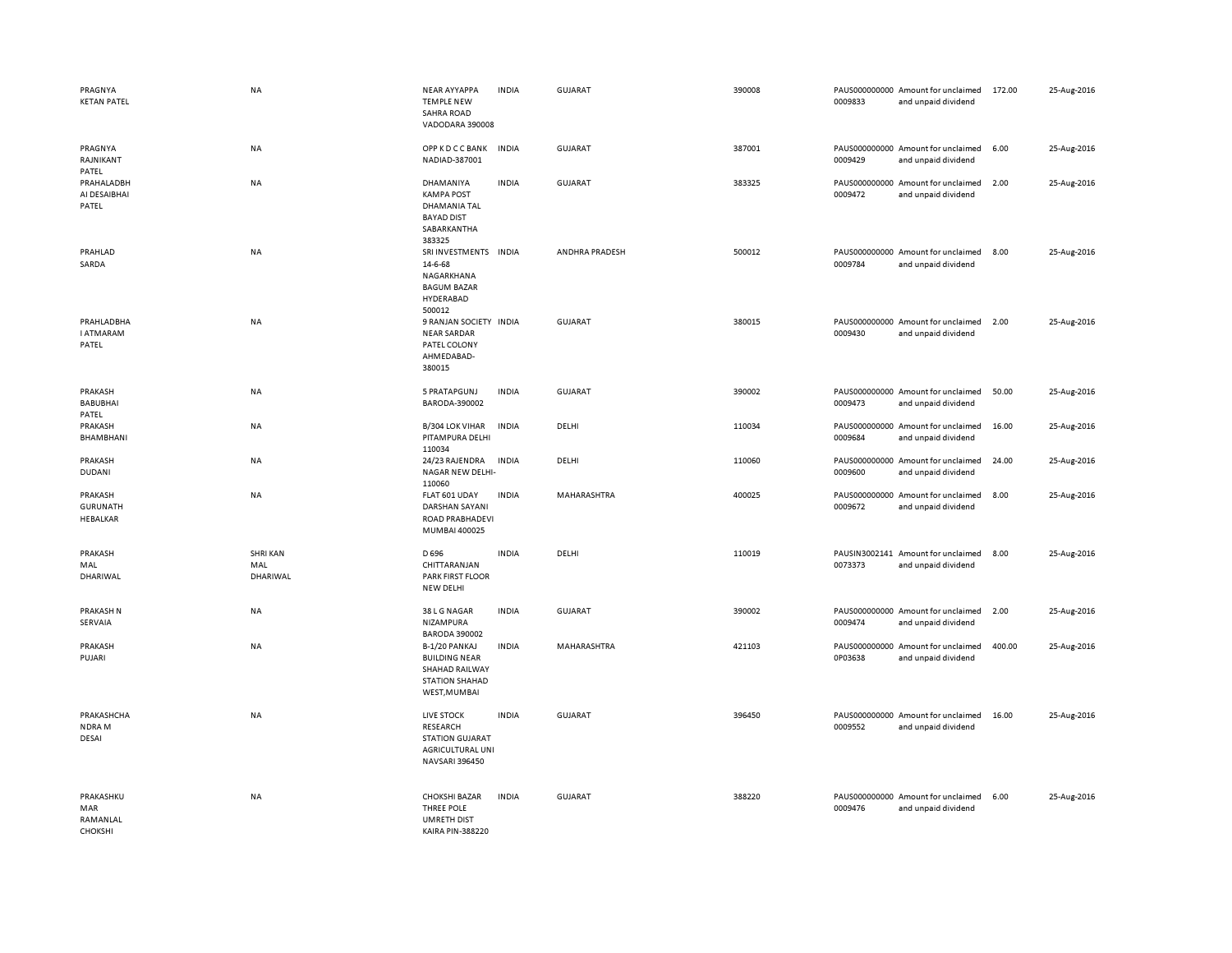| PRAGNYA<br><b>KETAN PATEL</b>                 | <b>NA</b>                          | <b>NEAR AYYAPPA</b><br><b>TEMPLE NEW</b><br><b>SAHRA ROAD</b><br>VADODARA 390008                 | <b>INDIA</b> | GUJARAT            | 390008 | 0009833 | PAUS000000000 Amount for unclaimed<br>and unpaid dividend | 172.00 | 25-Aug-2016 |
|-----------------------------------------------|------------------------------------|--------------------------------------------------------------------------------------------------|--------------|--------------------|--------|---------|-----------------------------------------------------------|--------|-------------|
| PRAGNYA<br>RAJNIKANT<br>PATEL                 | NA                                 | <b>OPP K D C C BANK</b><br>NADIAD-387001                                                         | <b>INDIA</b> | <b>GUJARAT</b>     | 387001 | 0009429 | PAUS000000000 Amount for unclaimed<br>and unpaid dividend | 6.00   | 25-Aug-2016 |
| PRAHALADBH<br>AI DESAIBHAI<br>PATEL           | NA                                 | DHAMANIYA<br><b>KAMPA POST</b><br>DHAMANIA TAL<br><b>BAYAD DIST</b><br>SABARKANTHA<br>383325     | <b>INDIA</b> | <b>GUJARAT</b>     | 383325 | 0009472 | PAUS000000000 Amount for unclaimed<br>and unpaid dividend | 2.00   | 25-Aug-2016 |
| PRAHLAD<br>SARDA                              | <b>NA</b>                          | SRI INVESTMENTS<br>14-6-68<br>NAGARKHANA<br><b>BAGUM BAZAR</b><br>HYDERABAD<br>500012            | <b>INDIA</b> | ANDHRA PRADESH     | 500012 | 0009784 | PAUS000000000 Amount for unclaimed<br>and unpaid dividend | 8.00   | 25-Aug-2016 |
| PRAHLADBHA<br><b>I ATMARAM</b><br>PATEL       | NA                                 | 9 RANJAN SOCIETY INDIA<br><b>NEAR SARDAR</b><br>PATEL COLONY<br>AHMEDABAD-<br>380015             |              | <b>GUJARAT</b>     | 380015 | 0009430 | PAUS000000000 Amount for unclaimed<br>and unpaid dividend | 2.00   | 25-Aug-2016 |
| PRAKASH<br><b>BABUBHAI</b><br>PATEL           | <b>NA</b>                          | 5 PRATAPGUNJ<br>BARODA-390002                                                                    | <b>INDIA</b> | <b>GUJARAT</b>     | 390002 | 0009473 | PAUS000000000 Amount for unclaimed<br>and unpaid dividend | 50.00  | 25-Aug-2016 |
| PRAKASH<br>BHAMBHANI                          | <b>NA</b>                          | <b>B/304 LOK VIHAR</b><br>PITAMPURA DELHI<br>110034                                              | <b>INDIA</b> | DELHI              | 110034 | 0009684 | PAUS000000000 Amount for unclaimed<br>and unpaid dividend | 16.00  | 25-Aug-2016 |
| PRAKASH<br><b>DUDANI</b>                      | NA                                 | 24/23 RAJENDRA<br>NAGAR NEW DELHI-<br>110060                                                     | <b>INDIA</b> | DELHI              | 110060 | 0009600 | PAUS000000000 Amount for unclaimed<br>and unpaid dividend | 24.00  | 25-Aug-2016 |
| PRAKASH<br><b>GURUNATH</b><br><b>HEBALKAR</b> | NA                                 | FLAT 601 UDAY<br><b>DARSHAN SAYANI</b><br>ROAD PRABHADEVI<br>MUMBAI 400025                       | <b>INDIA</b> | MAHARASHTRA        | 400025 | 0009672 | PAUS000000000 Amount for unclaimed<br>and unpaid dividend | 8.00   | 25-Aug-2016 |
| PRAKASH<br>MAL<br>DHARIWAL                    | <b>SHRI KAN</b><br>MAL<br>DHARIWAL | D 696<br>CHITTARANJAN<br><b>PARK FIRST FLOOR</b><br>NEW DELHI                                    | <b>INDIA</b> | DELHI              | 110019 | 0073373 | PAUSIN3002141 Amount for unclaimed<br>and unpaid dividend | 8.00   | 25-Aug-2016 |
| PRAKASH N<br>SERVAIA                          | NA                                 | 38 L G NAGAR<br>NIZAMPURA<br><b>BARODA 390002</b>                                                | <b>INDIA</b> | <b>GUJARAT</b>     | 390002 | 0009474 | PAUS000000000 Amount for unclaimed<br>and unpaid dividend | 2.00   | 25-Aug-2016 |
| PRAKASH<br>PUJARI                             | <b>NA</b>                          | B-1/20 PANKAJ<br><b>BUILDING NEAR</b><br>SHAHAD RAILWAY<br><b>STATION SHAHAD</b><br>WEST, MUMBAI | <b>INDIA</b> | <b>MAHARASHTRA</b> | 421103 | 0P03638 | PAUS000000000 Amount for unclaimed<br>and unpaid dividend | 400.00 | 25-Aug-2016 |
| PRAKASHCHA<br>NDRA M<br>DESAI                 | NA                                 | <b>LIVE STOCK</b><br>RESEARCH<br><b>STATION GUJARAT</b><br>AGRICULTURAL UNI<br>NAVSARI 396450    | <b>INDIA</b> | <b>GUJARAT</b>     | 396450 | 0009552 | PAUS000000000 Amount for unclaimed<br>and unpaid dividend | 16.00  | 25-Aug-2016 |
| PRAKASHKU<br>MAR<br>RAMANLAL<br>CHOKSHI       | NA                                 | <b>CHOKSHI BAZAR</b><br><b>THREE POLE</b><br><b>UMRETH DIST</b><br><b>KAIRA PIN-388220</b>       | <b>INDIA</b> | <b>GUJARAT</b>     | 388220 | 0009476 | PAUS000000000 Amount for unclaimed<br>and unpaid dividend | 6.00   | 25-Aug-2016 |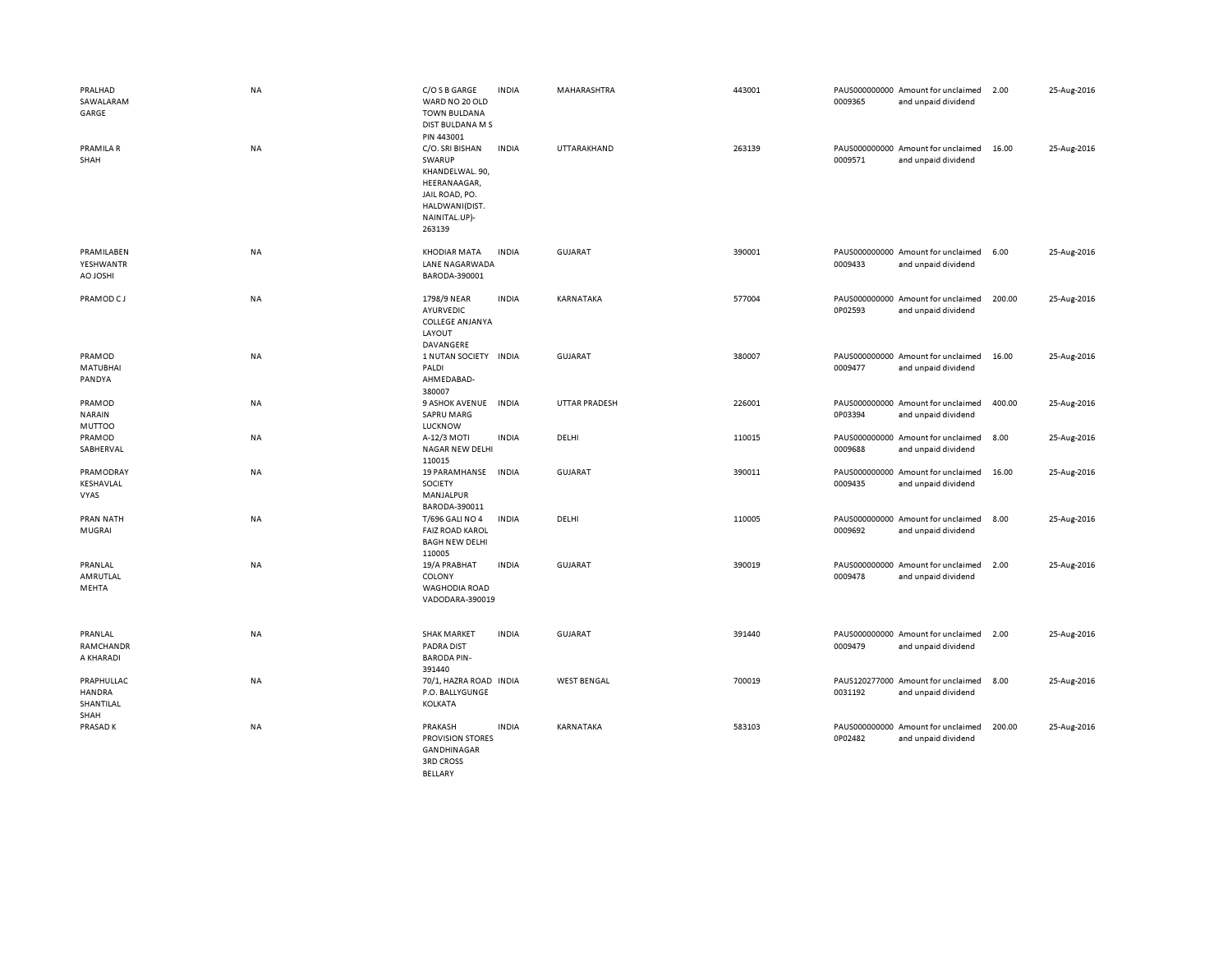| PRALHAD<br>SAWALARAM<br>GARGE                    | NA        | C/O S B GARGE<br>WARD NO 20 OLD<br><b>TOWN BULDANA</b><br>DIST BULDANA M S<br>PIN 443001                                    | <b>INDIA</b> | MAHARASHTRA          | 443001 | 0009365 | PAUS000000000 Amount for unclaimed<br>and unpaid dividend | 2.00   | 25-Aug-2016 |
|--------------------------------------------------|-----------|-----------------------------------------------------------------------------------------------------------------------------|--------------|----------------------|--------|---------|-----------------------------------------------------------|--------|-------------|
| PRAMILA R<br>SHAH                                | NA        | C/O. SRI BISHAN<br>SWARUP<br>KHANDELWAL. 90,<br>HEERANAAGAR,<br>JAIL ROAD, PO.<br>HALDWANI(DIST.<br>NAINITAL.UP)-<br>263139 | <b>INDIA</b> | UTTARAKHAND          | 263139 | 0009571 | PAUS000000000 Amount for unclaimed<br>and unpaid dividend | 16.00  | 25-Aug-2016 |
| PRAMILABEN<br>YESHWANTR<br><b>H2OLOA</b>         | <b>NA</b> | <b>KHODIAR MATA</b><br>LANE NAGARWADA<br>BARODA-390001                                                                      | <b>INDIA</b> | GUJARAT              | 390001 | 0009433 | PAUS000000000 Amount for unclaimed<br>and unpaid dividend | 6.00   | 25-Aug-2016 |
| PRAMOD CJ                                        | <b>NA</b> | 1798/9 NEAR<br>AYURVEDIC<br><b>COLLEGE ANJANYA</b><br>LAYOUT<br>DAVANGERE                                                   | <b>INDIA</b> | KARNATAKA            | 577004 | 0P02593 | PAUS000000000 Amount for unclaimed<br>and unpaid dividend | 200.00 | 25-Aug-2016 |
| PRAMOD<br><b>MATUBHAI</b><br>PANDYA              | NA        | 1 NUTAN SOCIETY INDIA<br>PALDI<br>AHMEDABAD-<br>380007                                                                      |              | <b>GUJARAT</b>       | 380007 | 0009477 | PAUS000000000 Amount for unclaimed<br>and unpaid dividend | 16.00  | 25-Aug-2016 |
| PRAMOD<br><b>NARAIN</b><br>MUTTOO                | NA        | 9 ASHOK AVENUE<br><b>SAPRU MARG</b><br><b>LUCKNOW</b>                                                                       | <b>INDIA</b> | <b>UTTAR PRADESH</b> | 226001 | 0P03394 | PAUS000000000 Amount for unclaimed<br>and unpaid dividend | 400.00 | 25-Aug-2016 |
| PRAMOD<br>SABHERVAL                              | NA        | A-12/3 MOTI<br><b>NAGAR NEW DELHI</b><br>110015                                                                             | <b>INDIA</b> | DELHI                | 110015 | 0009688 | PAUS000000000 Amount for unclaimed<br>and unpaid dividend | 8.00   | 25-Aug-2016 |
| PRAMODRAY<br>KESHAVLAL<br>VYAS                   | NA        | 19 PARAMHANSE<br>SOCIETY<br>MANJALPUR<br>BARODA-390011                                                                      | <b>INDIA</b> | <b>GUJARAT</b>       | 390011 | 0009435 | PAUS000000000 Amount for unclaimed<br>and unpaid dividend | 16.00  | 25-Aug-2016 |
| <b>PRAN NATH</b><br>MUGRAI                       | NA        | T/696 GALI NO 4<br><b>FAIZ ROAD KAROL</b><br><b>BAGH NEW DELHI</b><br>110005                                                | <b>INDIA</b> | DELHI                | 110005 | 0009692 | PAUS000000000 Amount for unclaimed<br>and unpaid dividend | 8.00   | 25-Aug-2016 |
| PRANLAL<br>AMRUTLAL<br>MEHTA                     | NA        | 19/A PRABHAT<br>COLONY<br>WAGHODIA ROAD<br>VADODARA-390019                                                                  | <b>INDIA</b> | <b>GUJARAT</b>       | 390019 | 0009478 | PAUS000000000 Amount for unclaimed<br>and unpaid dividend | 2.00   | 25-Aug-2016 |
| PRANLAL<br>RAMCHANDR<br>A KHARADI                | NA        | <b>SHAK MARKET</b><br><b>PADRA DIST</b><br><b>BARODA PIN-</b><br>391440                                                     | <b>INDIA</b> | <b>GUJARAT</b>       | 391440 | 0009479 | PAUS000000000 Amount for unclaimed<br>and unpaid dividend | 2.00   | 25-Aug-2016 |
| PRAPHULLAC<br><b>HANDRA</b><br>SHANTILAL<br>SHAH | NA        | 70/1, HAZRA ROAD INDIA<br>P.O. BALLYGUNGE<br>KOLKATA                                                                        |              | <b>WEST BENGAL</b>   | 700019 | 0031192 | PAUS120277000 Amount for unclaimed<br>and unpaid dividend | 8.00   | 25-Aug-2016 |
| PRASAD K                                         | NA        | PRAKASH<br><b>PROVISION STORES</b><br>GANDHINAGAR<br><b>3RD CROSS</b><br><b>BELLARY</b>                                     | <b>INDIA</b> | KARNATAKA            | 583103 | 0P02482 | PAUS000000000 Amount for unclaimed<br>and unpaid dividend | 200.00 | 25-Aug-2016 |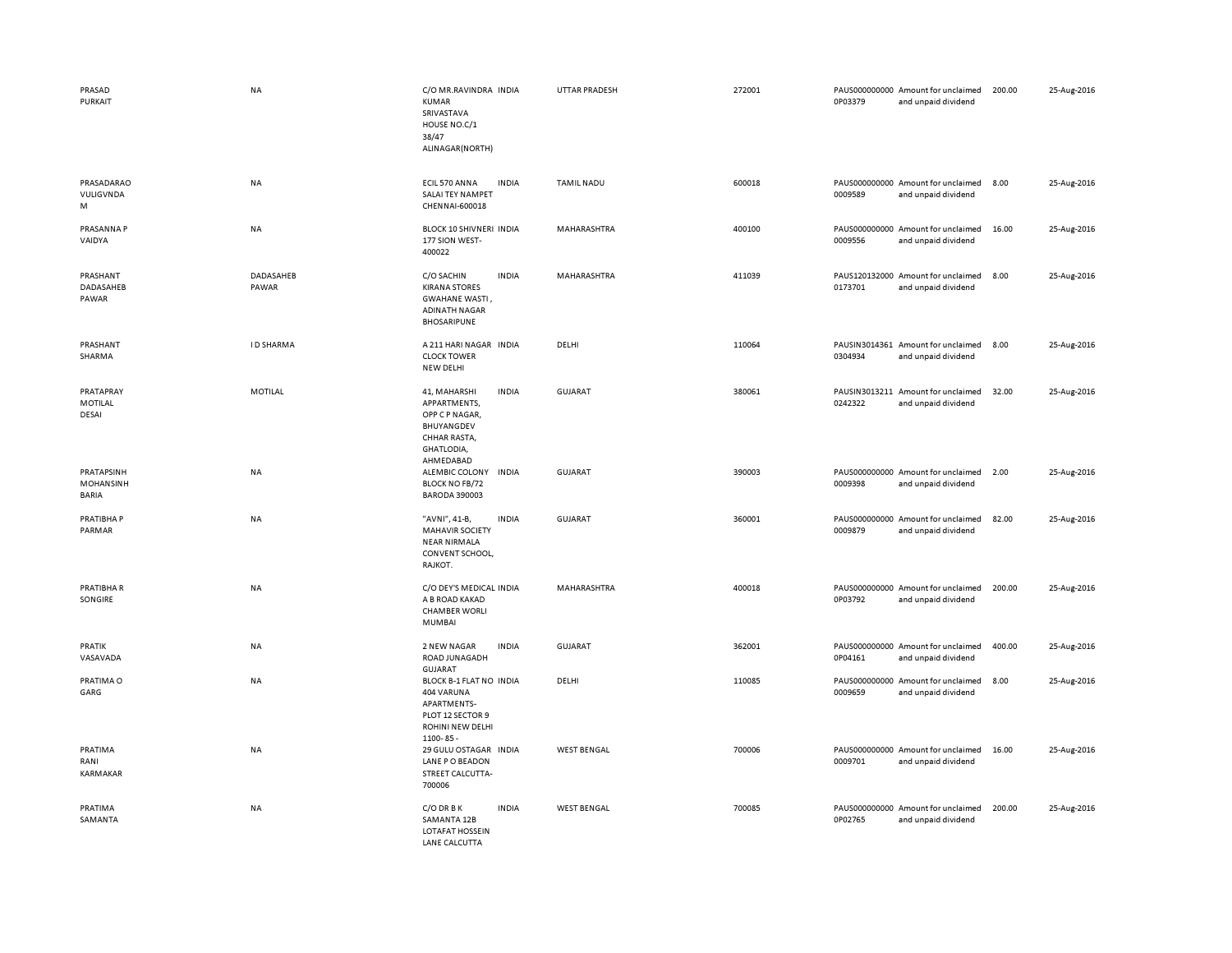| PRASAD<br>PURKAIT                       | NA                 | C/O MR.RAVINDRA INDIA<br>KUMAR<br>SRIVASTAVA<br>HOUSE NO.C/1<br>38/47<br>ALINAGAR(NORTH)                                | <b>UTTAR PRADESH</b> | 272001 | 0P03379 | PAUS000000000 Amount for unclaimed<br>and unpaid dividend | 200.00 | 25-Aug-2016 |
|-----------------------------------------|--------------------|-------------------------------------------------------------------------------------------------------------------------|----------------------|--------|---------|-----------------------------------------------------------|--------|-------------|
| PRASADARAO<br>VULIGVNDA<br>M            | NA                 | ECIL 570 ANNA<br><b>INDIA</b><br>SALAI TEY NAMPET<br>CHENNAI-600018                                                     | <b>TAMIL NADU</b>    | 600018 | 0009589 | PAUS000000000 Amount for unclaimed<br>and unpaid dividend | 8.00   | 25-Aug-2016 |
| PRASANNA P<br>VAIDYA                    | NA                 | BLOCK 10 SHIVNERI INDIA<br>177 SION WEST-<br>400022                                                                     | MAHARASHTRA          | 400100 | 0009556 | PAUS000000000 Amount for unclaimed<br>and unpaid dividend | 16.00  | 25-Aug-2016 |
| PRASHANT<br>DADASAHEB<br>PAWAR          | DADASAHEB<br>PAWAR | C/O SACHIN<br><b>INDIA</b><br><b>KIRANA STORES</b><br><b>GWAHANE WASTI,</b><br><b>ADINATH NAGAR</b><br>BHOSARIPUNE      | MAHARASHTRA          | 411039 | 0173701 | PAUS120132000 Amount for unclaimed<br>and unpaid dividend | 8.00   | 25-Aug-2016 |
| PRASHANT<br>SHARMA                      | <b>ID SHARMA</b>   | A 211 HARI NAGAR INDIA<br><b>CLOCK TOWER</b><br>NEW DELHI                                                               | DELHI                | 110064 | 0304934 | PAUSIN3014361 Amount for unclaimed<br>and unpaid dividend | 8.00   | 25-Aug-2016 |
| PRATAPRAY<br>MOTILAL<br>DESAI           | <b>MOTILAL</b>     | <b>INDIA</b><br>41, MAHARSHI<br>APPARTMENTS,<br>OPP C P NAGAR,<br>BHUYANGDEV<br>CHHAR RASTA,<br>GHATLODIA,<br>AHMEDABAD | <b>GUJARAT</b>       | 380061 | 0242322 | PAUSIN3013211 Amount for unclaimed<br>and unpaid dividend | 32.00  | 25-Aug-2016 |
| PRATAPSINH<br>MOHANSINH<br><b>BARIA</b> | NA                 | ALEMBIC COLONY INDIA<br><b>BLOCK NO FB/72</b><br><b>BARODA 390003</b>                                                   | GUJARAT              | 390003 | 0009398 | PAUS000000000 Amount for unclaimed<br>and unpaid dividend | 2.00   | 25-Aug-2016 |
| PRATIBHA P<br>PARMAR                    | NA                 | "AVNI", 41-B,<br><b>INDIA</b><br><b>MAHAVIR SOCIETY</b><br><b>NEAR NIRMALA</b><br>CONVENT SCHOOL,<br>RAJKOT.            | <b>GUJARAT</b>       | 360001 | 0009879 | PAUS000000000 Amount for unclaimed<br>and unpaid dividend | 82.00  | 25-Aug-2016 |
| PRATIBHA R<br>SONGIRE                   | NA                 | C/O DEY'S MEDICAL INDIA<br>A B ROAD KAKAD<br><b>CHAMBER WORLI</b><br><b>MUMBAI</b>                                      | MAHARASHTRA          | 400018 | 0P03792 | PAUS000000000 Amount for unclaimed<br>and unpaid dividend | 200.00 | 25-Aug-2016 |
| PRATIK<br>VASAVADA                      | NA                 | 2 NEW NAGAR<br><b>INDIA</b><br>ROAD JUNAGADH<br><b>GUJARAT</b>                                                          | GUJARAT              | 362001 | 0P04161 | PAUS000000000 Amount for unclaimed<br>and unpaid dividend | 400.00 | 25-Aug-2016 |
| PRATIMA O<br>GARG                       | NA                 | BLOCK B-1 FLAT NO INDIA<br>404 VARUNA<br>APARTMENTS-<br>PLOT 12 SECTOR 9<br>ROHINI NEW DELHI<br>$1100 - 85$             | DELHI                | 110085 | 0009659 | PAUS000000000 Amount for unclaimed<br>and unpaid dividend | 8.00   | 25-Aug-2016 |
| PRATIMA<br>RANI<br>KARMAKAR             | NA                 | 29 GULU OSTAGAR INDIA<br>LANE P O BEADON<br>STREET CALCUTTA-<br>700006                                                  | <b>WEST BENGAL</b>   | 700006 | 0009701 | PAUS000000000 Amount for unclaimed<br>and unpaid dividend | 16.00  | 25-Aug-2016 |
| PRATIMA<br>SAMANTA                      | NA                 | C/O DR B K<br><b>INDIA</b><br>SAMANTA 12B<br>LOTAFAT HOSSEIN<br><b>I ANE CALCUTTA</b>                                   | <b>WEST BENGAL</b>   | 700085 | 0P02765 | PAUS000000000 Amount for unclaimed<br>and unpaid dividend | 200.00 | 25-Aug-2016 |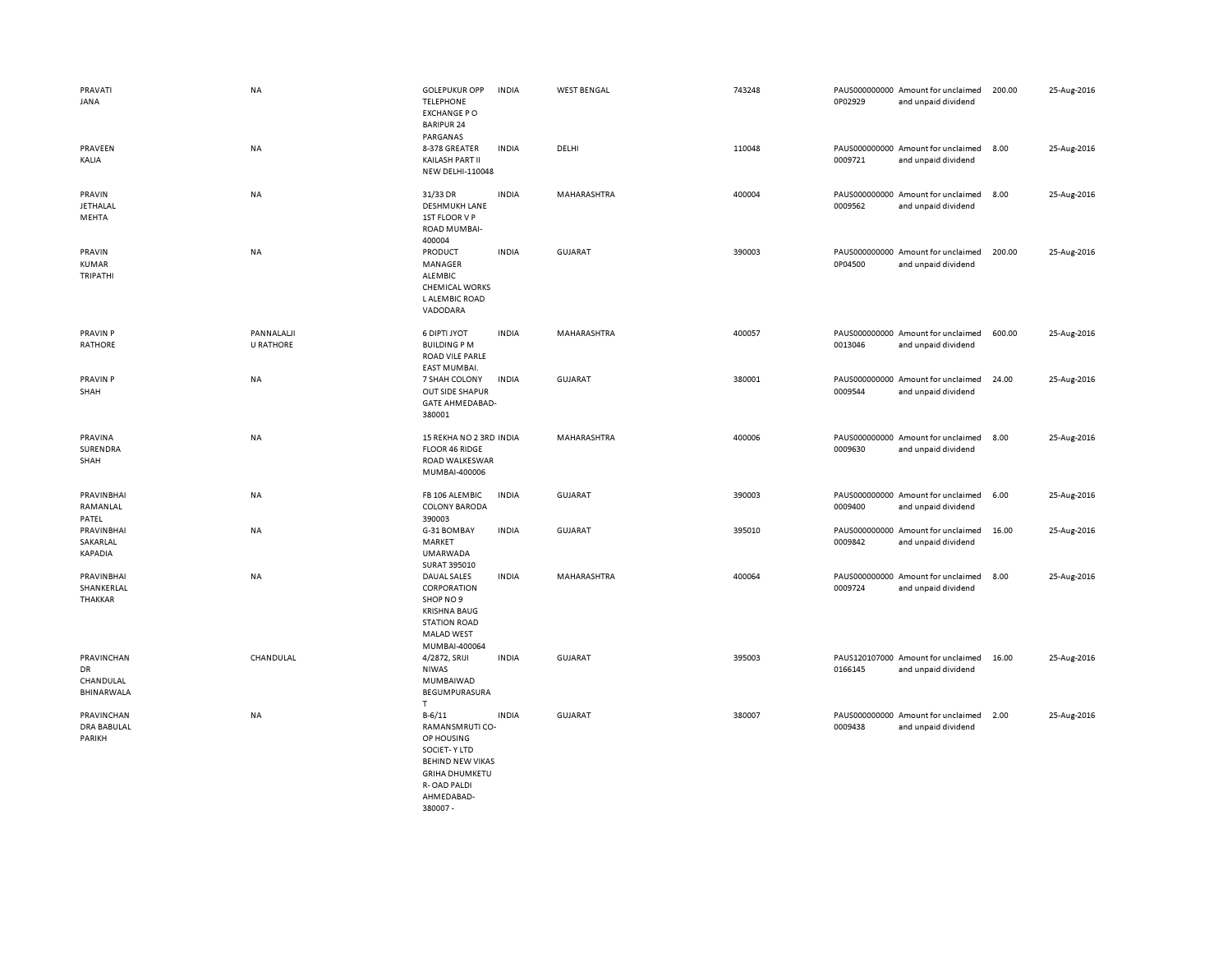| PRAVATI<br>JANA                             | <b>NA</b>                      | <b>GOLEPUKUR OPP</b><br><b>TELEPHONE</b><br><b>EXCHANGE PO</b><br><b>BARIPUR 24</b><br>PARGANAS                                              | <b>INDIA</b> | <b>WEST BENGAL</b> | 743248 | 0P02929 | PAUS000000000 Amount for unclaimed<br>and unpaid dividend | 200.00 | 25-Aug-2016 |
|---------------------------------------------|--------------------------------|----------------------------------------------------------------------------------------------------------------------------------------------|--------------|--------------------|--------|---------|-----------------------------------------------------------|--------|-------------|
| PRAVEEN<br>KALIA                            | <b>NA</b>                      | 8-378 GREATER<br>KAILASH PART II<br>NEW DELHI-110048                                                                                         | <b>INDIA</b> | DELHI              | 110048 | 0009721 | PAUS000000000 Amount for unclaimed<br>and unpaid dividend | 8.00   | 25-Aug-2016 |
| PRAVIN<br>JETHALAL<br>MEHTA                 | NA                             | 31/33 DR<br><b>DESHMUKH LANE</b><br>1ST FLOOR V P<br>ROAD MUMBAI-<br>400004                                                                  | <b>INDIA</b> | MAHARASHTRA        | 400004 | 0009562 | PAUS000000000 Amount for unclaimed<br>and unpaid dividend | 8.00   | 25-Aug-2016 |
| PRAVIN<br>KUMAR<br>TRIPATHI                 | NA                             | PRODUCT<br>MANAGER<br>ALEMBIC<br><b>CHEMICAL WORKS</b><br>L ALEMBIC ROAD<br>VADODARA                                                         | <b>INDIA</b> | <b>GUJARAT</b>     | 390003 | 0P04500 | PAUS000000000 Amount for unclaimed<br>and unpaid dividend | 200.00 | 25-Aug-2016 |
| PRAVIN P<br><b>RATHORE</b>                  | PANNALALJI<br><b>U RATHORE</b> | 6 DIPTI JYOT<br><b>BUILDING PM</b><br>ROAD VILE PARLE<br><b>EAST MUMBAI.</b>                                                                 | <b>INDIA</b> | MAHARASHTRA        | 400057 | 0013046 | PAUS000000000 Amount for unclaimed<br>and unpaid dividend | 600.00 | 25-Aug-2016 |
| <b>PRAVIN P</b><br>SHAH                     | NA                             | 7 SHAH COLONY<br><b>OUT SIDE SHAPUR</b><br><b>GATE AHMEDABAD-</b><br>380001                                                                  | <b>INDIA</b> | <b>GUJARAT</b>     | 380001 | 0009544 | PAUS000000000 Amount for unclaimed<br>and unpaid dividend | 24.00  | 25-Aug-2016 |
| PRAVINA<br>SURENDRA<br>SHAH                 | <b>NA</b>                      | 15 REKHA NO 2 3RD INDIA<br><b>FLOOR 46 RIDGE</b><br>ROAD WALKESWAR<br>MUMBAI-400006                                                          |              | MAHARASHTRA        | 400006 | 0009630 | PAUS000000000 Amount for unclaimed<br>and unpaid dividend | 8.00   | 25-Aug-2016 |
| PRAVINBHAI<br>RAMANLAL<br>PATEL             | <b>NA</b>                      | FB 106 ALEMBIC<br><b>COLONY BARODA</b><br>390003                                                                                             | <b>INDIA</b> | <b>GUJARAT</b>     | 390003 | 0009400 | PAUS000000000 Amount for unclaimed<br>and unpaid dividend | 6.00   | 25-Aug-2016 |
| PRAVINBHAI<br>SAKARLAL<br>KAPADIA           | NA                             | G-31 BOMBAY<br>MARKET<br><b>UMARWADA</b><br>SURAT 395010                                                                                     | <b>INDIA</b> | GUJARAT            | 395010 | 0009842 | PAUS000000000 Amount for unclaimed<br>and unpaid dividend | 16.00  | 25-Aug-2016 |
| PRAVINBHAI<br>SHANKERLAL<br>THAKKAR         | <b>NA</b>                      | DAUAL SALES<br>CORPORATION<br>SHOP NO 9<br><b>KRISHNA BAUG</b><br><b>STATION ROAD</b><br><b>MALAD WEST</b><br>MUMBAI-400064                  | <b>INDIA</b> | MAHARASHTRA        | 400064 | 0009724 | PAUS000000000 Amount for unclaimed<br>and unpaid dividend | 8.00   | 25-Aug-2016 |
| PRAVINCHAN<br>DR<br>CHANDULAL<br>BHINARWALA | CHANDULAL                      | 4/2872, SRIJI<br><b>NIWAS</b><br>MUMBAIWAD<br>BEGUMPURASURA<br>T                                                                             | <b>INDIA</b> | <b>GUJARAT</b>     | 395003 | 0166145 | PAUS120107000 Amount for unclaimed<br>and unpaid dividend | 16.00  | 25-Aug-2016 |
| PRAVINCHAN<br><b>DRA BABULAL</b><br>PARIKH  | NA                             | $B - 6/11$<br>RAMANSMRUTI CO-<br>OP HOUSING<br>SOCIET-Y LTD<br><b>BEHIND NEW VIKAS</b><br><b>GRIHA DHUMKETU</b><br>R-OAD PALDI<br>AHMFDARAD- | <b>INDIA</b> | <b>GUJARAT</b>     | 380007 | 0009438 | PAUS000000000 Amount for unclaimed<br>and unpaid dividend | 2.00   | 25-Aug-2016 |

380007 -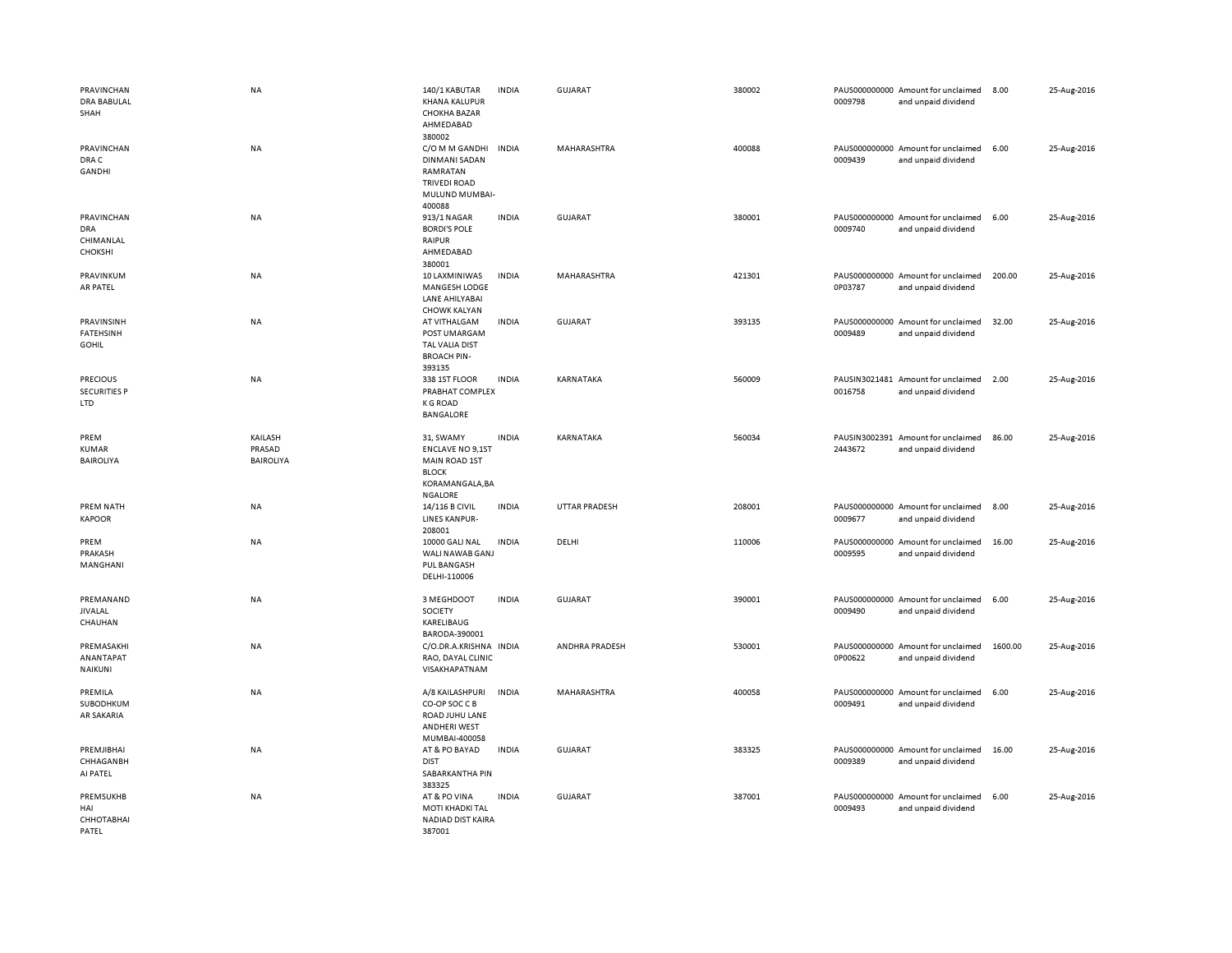| <b>PRAVINCHAN</b><br><b>DRA BABULAL</b><br>SHAH         | <b>NA</b>                             | 140/1 KABUTAR<br><b>KHANA KALUPUR</b><br><b>CHOKHA BAZAR</b><br>AHMEDABAD                                         | <b>INDIA</b> | <b>GUJARAT</b>       | 380002 | 0009798 | PAUS000000000 Amount for unclaimed<br>and unpaid dividend | 8.00    | 25-Aug-2016 |
|---------------------------------------------------------|---------------------------------------|-------------------------------------------------------------------------------------------------------------------|--------------|----------------------|--------|---------|-----------------------------------------------------------|---------|-------------|
| PRAVINCHAN<br>DRA C<br>GANDHI                           | NA                                    | 380002<br>C/O M M GANDHI<br><b>DINMANI SADAN</b><br>RAMRATAN<br><b>TRIVEDI ROAD</b><br>MULUND MUMBAI-<br>400088   | <b>INDIA</b> | MAHARASHTRA          | 400088 | 0009439 | PAUS000000000 Amount for unclaimed<br>and unpaid dividend | 6.00    | 25-Aug-2016 |
| PRAVINCHAN<br><b>DRA</b><br>CHIMANLAL<br><b>CHOKSHI</b> | NA                                    | 913/1 NAGAR<br><b>BORDI'S POLE</b><br>RAIPUR<br>AHMEDABAD<br>380001                                               | <b>INDIA</b> | GUJARAT              | 380001 | 0009740 | PAUS000000000 Amount for unclaimed<br>and unpaid dividend | 6.00    | 25-Aug-2016 |
| PRAVINKUM<br><b>AR PATEL</b>                            | <b>NA</b>                             | 10 LAXMINIWAS<br>MANGESH LODGE<br>LANE AHILYABAI<br><b>CHOWK KALYAN</b>                                           | <b>INDIA</b> | MAHARASHTRA          | 421301 | 0P03787 | PAUS000000000 Amount for unclaimed<br>and unpaid dividend | 200.00  | 25-Aug-2016 |
| PRAVINSINH<br><b>FATEHSINH</b><br><b>GOHIL</b>          | NA                                    | AT VITHALGAM<br>POST UMARGAM<br>TAL VALIA DIST<br><b>BROACH PIN-</b><br>393135                                    | <b>INDIA</b> | <b>GUJARAT</b>       | 393135 | 0009489 | PAUS000000000 Amount for unclaimed<br>and unpaid dividend | 32.00   | 25-Aug-2016 |
| <b>PRECIOUS</b><br><b>SECURITIES P</b><br><b>LTD</b>    | NA                                    | 338 1ST FLOOR<br>PRABHAT COMPLEX<br><b>K G ROAD</b><br><b>BANGALORE</b>                                           | <b>INDIA</b> | KARNATAKA            | 560009 | 0016758 | PAUSIN3021481 Amount for unclaimed<br>and unpaid dividend | 2.00    | 25-Aug-2016 |
| PREM<br><b>KUMAR</b><br><b>BAIROLIYA</b>                | KAILASH<br>PRASAD<br><b>BAIROLIYA</b> | 31, SWAMY<br><b>ENCLAVE NO 9,1ST</b><br><b>MAIN ROAD 1ST</b><br><b>BLOCK</b><br>KORAMANGALA, BA<br><b>NGALORE</b> | <b>INDIA</b> | KARNATAKA            | 560034 | 2443672 | PAUSIN3002391 Amount for unclaimed<br>and unpaid dividend | 86.00   | 25-Aug-2016 |
| PREM NATH<br><b>KAPOOR</b>                              | NA                                    | 14/116 B CIVIL<br>LINES KANPUR-<br>208001                                                                         | <b>INDIA</b> | <b>UTTAR PRADESH</b> | 208001 | 0009677 | PAUS000000000 Amount for unclaimed<br>and unpaid dividend | 8.00    | 25-Aug-2016 |
| PREM<br>PRAKASH<br>MANGHANI                             | NA                                    | 10000 GALI NAL<br>WALI NAWAB GANJ<br>PUL BANGASH<br>DELHI-110006                                                  | <b>INDIA</b> | DELHI                | 110006 | 0009595 | PAUS000000000 Amount for unclaimed<br>and unpaid dividend | 16.00   | 25-Aug-2016 |
| PREMANAND<br><b>JIVALAL</b><br>CHAUHAN                  | NA                                    | 3 MEGHDOOT<br>SOCIETY<br>KARELIBAUG<br>BARODA-390001                                                              | <b>INDIA</b> | <b>GUJARAT</b>       | 390001 | 0009490 | PAUS000000000 Amount for unclaimed<br>and unpaid dividend | 6.00    | 25-Aug-2016 |
| PREMASAKHI<br>ANANTAPAT<br><b>NAIKUNI</b>               | NA                                    | C/O.DR.A.KRISHNA INDIA<br>RAO, DAYAL CLINIC<br>VISAKHAPATNAM                                                      |              | ANDHRA PRADESH       | 530001 | 0P00622 | PAUS000000000 Amount for unclaimed<br>and unpaid dividend | 1600.00 | 25-Aug-2016 |
| PREMILA<br>SUBODHKUM<br>AR SAKARIA                      | NA                                    | A/8 KAILASHPURI<br>CO-OP SOC C B<br>ROAD JUHU LANE<br><b>ANDHERI WEST</b><br>MUMBAI-400058                        | <b>INDIA</b> | MAHARASHTRA          | 400058 | 0009491 | PAUS000000000 Amount for unclaimed<br>and unpaid dividend | 6.00    | 25-Aug-2016 |
| PREMJIBHAI<br>CHHAGANBH<br>AI PATEL                     | NA                                    | AT & PO BAYAD<br><b>DIST</b><br>SABARKANTHA PIN<br>383325                                                         | <b>INDIA</b> | GUJARAT              | 383325 | 0009389 | PAUS000000000 Amount for unclaimed<br>and unpaid dividend | 16.00   | 25-Aug-2016 |
| PREMSUKHB<br>HAI<br>СННОТАВНАІ<br>PATEL                 | NA                                    | AT & PO VINA<br>MOTI KHADKI TAL<br>NADIAD DIST KAIRA<br>387001                                                    | <b>INDIA</b> | <b>GUJARAT</b>       | 387001 | 0009493 | PAUS000000000 Amount for unclaimed<br>and unpaid dividend | 6.00    | 25-Aug-2016 |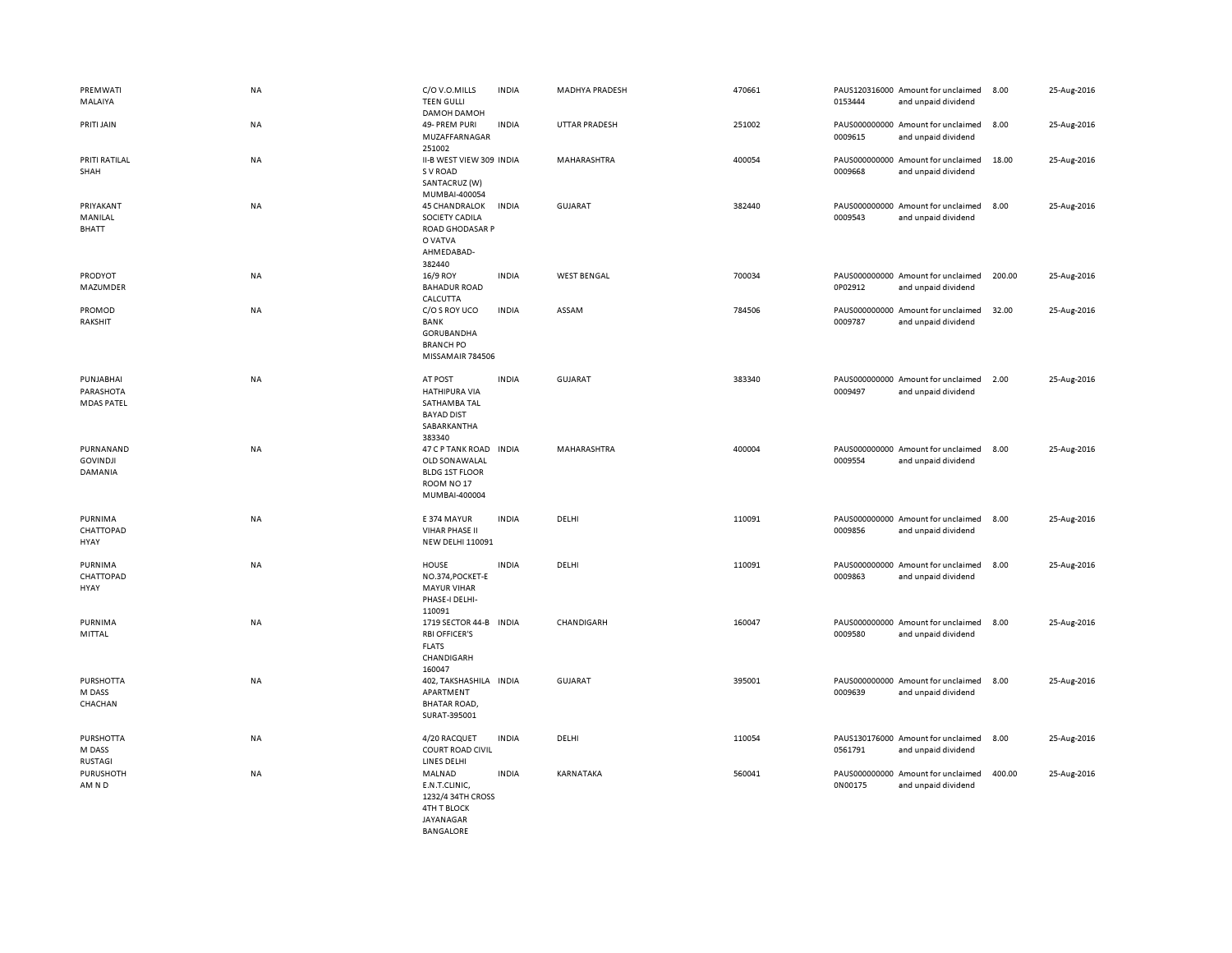| PREMWATI<br>MALAIYA                         | <b>NA</b> | C/O V.O.MILLS<br><b>TEEN GULLI</b><br>DAMOH DAMOH                                                             | <b>INDIA</b> | MADHYA PRADESH     | 470661 | 0153444 | PAUS120316000 Amount for unclaimed<br>and unpaid dividend | 8.00   | 25-Aug-2016 |
|---------------------------------------------|-----------|---------------------------------------------------------------------------------------------------------------|--------------|--------------------|--------|---------|-----------------------------------------------------------|--------|-------------|
| PRITI JAIN                                  | NA        | 49- PREM PURI<br>MUZAFFARNAGAR<br>251002                                                                      | <b>INDIA</b> | UTTAR PRADESH      | 251002 | 0009615 | PAUS000000000 Amount for unclaimed<br>and unpaid dividend | 8.00   | 25-Aug-2016 |
| PRITI RATILAL<br>SHAH                       | NA        | II-B WEST VIEW 309 INDIA<br>S V ROAD<br>SANTACRUZ (W)                                                         |              | MAHARASHTRA        | 400054 | 0009668 | PAUS000000000 Amount for unclaimed<br>and unpaid dividend | 18.00  | 25-Aug-2016 |
| PRIYAKANT<br>MANILAL<br><b>BHATT</b>        | NA        | MUMBAI-400054<br><b>45 CHANDRALOK</b><br>SOCIETY CADILA<br>ROAD GHODASAR P<br>O VATVA<br>AHMEDABAD-<br>382440 | <b>INDIA</b> | <b>GUJARAT</b>     | 382440 | 0009543 | PAUS000000000 Amount for unclaimed<br>and unpaid dividend | 8.00   | 25-Aug-2016 |
| PRODYOT<br>MAZUMDER                         | NA        | 16/9 ROY<br><b>BAHADUR ROAD</b><br>CALCUTTA                                                                   | <b>INDIA</b> | <b>WEST BENGAL</b> | 700034 | 0P02912 | PAUS000000000 Amount for unclaimed<br>and unpaid dividend | 200.00 | 25-Aug-2016 |
| PROMOD<br>RAKSHIT                           | <b>NA</b> | C/O S ROY UCO<br>BANK<br>GORUBANDHA<br><b>BRANCH PO</b><br>MISSAMAIR 784506                                   | <b>INDIA</b> | ASSAM              | 784506 | 0009787 | PAUS000000000 Amount for unclaimed<br>and unpaid dividend | 32.00  | 25-Aug-2016 |
| PUNJABHAI<br>PARASHOTA<br><b>MDAS PATEL</b> | <b>NA</b> | AT POST<br>HATHIPURA VIA<br>SATHAMBA TAL<br><b>BAYAD DIST</b><br>SABARKANTHA<br>383340                        | <b>INDIA</b> | <b>GUJARAT</b>     | 383340 | 0009497 | PAUS000000000 Amount for unclaimed<br>and unpaid dividend | 2.00   | 25-Aug-2016 |
| PURNANAND<br><b>GOVINDJI</b><br>DAMANIA     | <b>NA</b> | 47 C P TANK ROAD INDIA<br>OLD SONAWALAL<br><b>BLDG 1ST FLOOR</b><br>ROOM NO <sub>17</sub><br>MUMBAI-400004    |              | MAHARASHTRA        | 400004 | 0009554 | PAUS000000000 Amount for unclaimed<br>and unpaid dividend | 8.00   | 25-Aug-2016 |
| PURNIMA<br>CHATTOPAD<br>HYAY                | NA        | E 374 MAYUR<br><b>VIHAR PHASE II</b><br><b>NEW DELHI 110091</b>                                               | <b>INDIA</b> | DELHI              | 110091 | 0009856 | PAUS000000000 Amount for unclaimed<br>and unpaid dividend | 8.00   | 25-Aug-2016 |
| PURNIMA<br>CHATTOPAD<br>HYAY                | <b>NA</b> | HOUSE<br>NO.374, POCKET-E<br><b>MAYUR VIHAR</b><br>PHASE-I DELHI-<br>110091                                   | <b>INDIA</b> | DELHI              | 110091 | 0009863 | PAUS000000000 Amount for unclaimed<br>and unpaid dividend | 8.00   | 25-Aug-2016 |
| PURNIMA<br>MITTAL                           | NA        | 1719 SECTOR 44-B INDIA<br><b>RBI OFFICER'S</b><br><b>FLATS</b><br>CHANDIGARH<br>160047                        |              | CHANDIGARH         | 160047 | 0009580 | PAUS000000000 Amount for unclaimed<br>and unpaid dividend | 8.00   | 25-Aug-2016 |
| <b>PURSHOTTA</b><br>M DASS<br>CHACHAN       | NA        | 402, TAKSHASHILA INDIA<br>APARTMENT<br><b>BHATAR ROAD,</b><br>SURAT-395001                                    |              | GUJARAT            | 395001 | 0009639 | PAUS000000000 Amount for unclaimed<br>and unpaid dividend | 8.00   | 25-Aug-2016 |
| <b>PURSHOTTA</b><br>M DASS<br>RUSTAGI       | <b>NA</b> | 4/20 RACQUET<br><b>COURT ROAD CIVIL</b><br>LINES DELHI                                                        | <b>INDIA</b> | DELHI              | 110054 | 0561791 | PAUS130176000 Amount for unclaimed<br>and unpaid dividend | 8.00   | 25-Aug-2016 |
| PURUSHOTH<br>AM N D                         | <b>NA</b> | MALNAD<br>E.N.T.CLINIC,<br>1232/4 34TH CROSS<br><b>4TH T BLOCK</b><br><b>IAYANAGAR</b>                        | <b>INDIA</b> | KARNATAKA          | 560041 | 0N00175 | PAUS000000000 Amount for unclaimed<br>and unpaid dividend | 400.00 | 25-Aug-2016 |

BANGALORE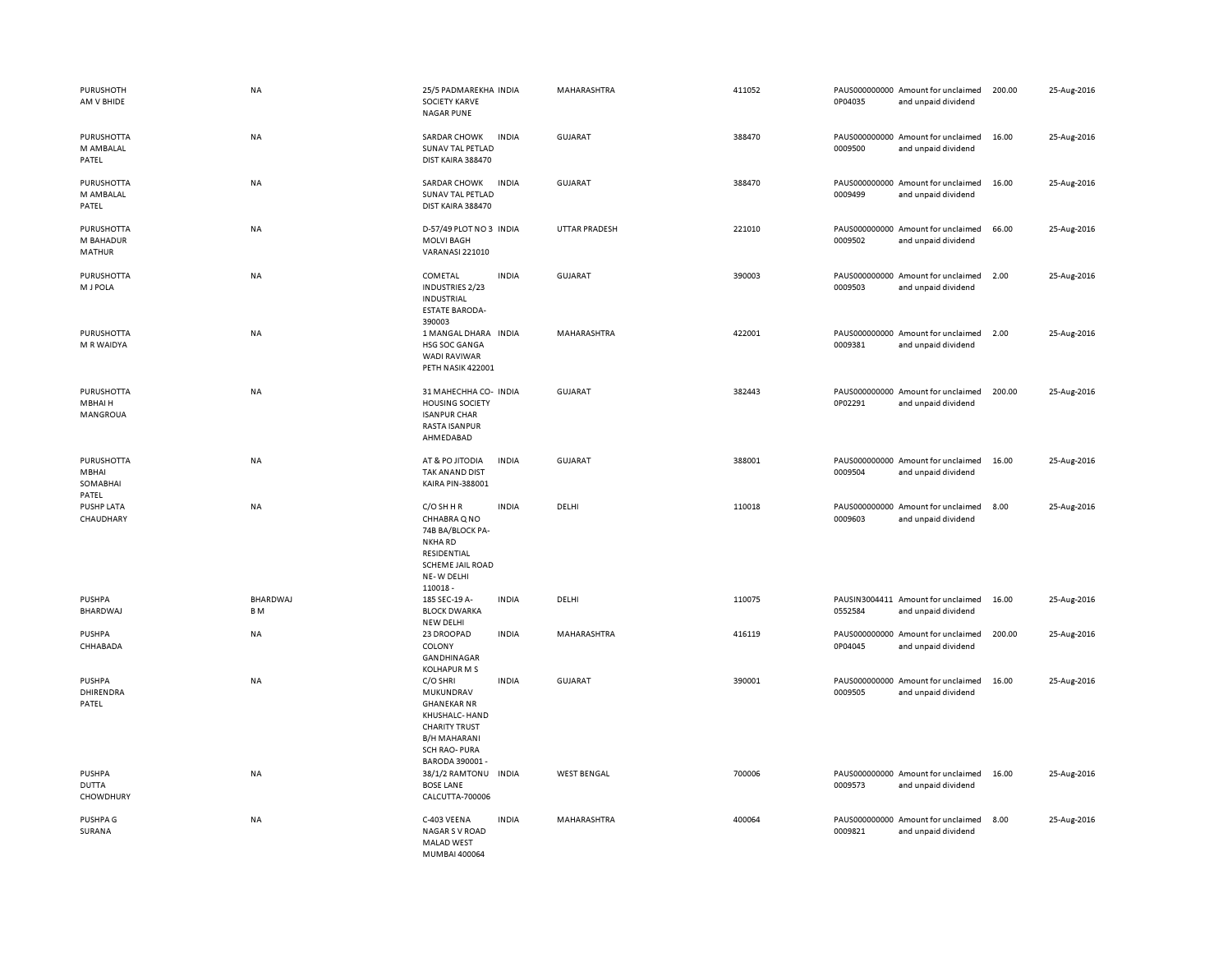| PURUSHOTH<br>AM V BHIDE                    | <b>NA</b>       | 25/5 PADMAREKHA INDIA<br><b>SOCIETY KARVE</b><br><b>NAGAR PUNE</b>                                                                                                     | MAHARASHTRA        | 411052 | 0P04035 | PAUS000000000 Amount for unclaimed<br>and unpaid dividend | 200.00 | 25-Aug-2016 |
|--------------------------------------------|-----------------|------------------------------------------------------------------------------------------------------------------------------------------------------------------------|--------------------|--------|---------|-----------------------------------------------------------|--------|-------------|
| PURUSHOTTA<br>M AMBALAL<br>PATEL           | NA              | SARDAR CHOWK<br><b>INDIA</b><br>SUNAV TAL PETLAD<br>DIST KAIRA 388470                                                                                                  | <b>GUJARAT</b>     | 388470 | 0009500 | PAUS000000000 Amount for unclaimed<br>and unpaid dividend | 16.00  | 25-Aug-2016 |
| PURUSHOTTA<br>M AMBALAL<br>PATEL           | NA              | SARDAR CHOWK<br><b>INDIA</b><br><b>SUNAV TAL PETLAD</b><br>DIST KAIRA 388470                                                                                           | <b>GUJARAT</b>     | 388470 | 0009499 | PAUS000000000 Amount for unclaimed<br>and unpaid dividend | 16.00  | 25-Aug-2016 |
| PURUSHOTTA<br>M BAHADUR<br>MATHUR          | NA              | D-57/49 PLOT NO 3 INDIA<br><b>MOLVI BAGH</b><br><b>VARANASI 221010</b>                                                                                                 | UTTAR PRADESH      | 221010 | 0009502 | PAUS000000000 Amount for unclaimed<br>and unpaid dividend | 66.00  | 25-Aug-2016 |
| <b>PURUSHOTTA</b><br>M J POLA              | NA              | COMETAL<br><b>INDIA</b><br>INDUSTRIES 2/23<br><b>INDUSTRIAL</b><br><b>ESTATE BARODA-</b><br>390003                                                                     | <b>GUJARAT</b>     | 390003 | 0009503 | PAUS000000000 Amount for unclaimed<br>and unpaid dividend | 2.00   | 25-Aug-2016 |
| PURUSHOTTA<br>M R WAIDYA                   | <b>NA</b>       | 1 MANGAL DHARA INDIA<br>HSG SOC GANGA<br><b>WADI RAVIWAR</b><br>PETH NASIK 422001                                                                                      | MAHARASHTRA        | 422001 | 0009381 | PAUS000000000 Amount for unclaimed<br>and unpaid dividend | 2.00   | 25-Aug-2016 |
| PURUSHOTTA<br>MBHAI H<br>MANGROUA          | <b>NA</b>       | 31 MAHECHHA CO- INDIA<br><b>HOUSING SOCIETY</b><br><b>ISANPUR CHAR</b><br><b>RASTA ISANPUR</b><br>AHMEDABAD                                                            | GUJARAT            | 382443 | 0P02291 | PAUS000000000 Amount for unclaimed<br>and unpaid dividend | 200.00 | 25-Aug-2016 |
| PURUSHOTTA<br>MBHAI<br>SOMABHAI<br>PATEL   | NA              | AT & PO JITODIA<br><b>INDIA</b><br>TAK AN AND DIST<br>KAIRA PIN-388001                                                                                                 | GUJARAT            | 388001 | 0009504 | PAUS000000000 Amount for unclaimed<br>and unpaid dividend | 16.00  | 25-Aug-2016 |
| <b>PUSHP LATA</b><br>CHAUDHARY             | NA              | C/O SH H R<br><b>INDIA</b><br>CHHABRA Q NO<br>74B BA/BLOCK PA-<br>NKHA RD<br>RESIDENTIAL<br>SCHEME JAIL ROAD<br>NE-W DELHI<br>110018-                                  | DELHI              | 110018 | 0009603 | PAUS000000000 Amount for unclaimed<br>and unpaid dividend | 8.00   | 25-Aug-2016 |
| PUSHPA<br>BHARDWAJ                         | BHARDWAJ<br>B M | 185 SEC-19 A-<br><b>INDIA</b><br><b>BLOCK DWARKA</b><br><b>NEW DELHI</b>                                                                                               | DELHI              | 110075 | 0552584 | PAUSIN3004411 Amount for unclaimed<br>and unpaid dividend | 16.00  | 25-Aug-2016 |
| PUSHPA<br>CHHABADA                         | NA              | 23 DROOPAD<br><b>INDIA</b><br>COLONY<br>GANDHINAGAR<br><b>KOLHAPUR M S</b>                                                                                             | MAHARASHTRA        | 416119 | 0P04045 | PAUS000000000 Amount for unclaimed<br>and unpaid dividend | 200.00 | 25-Aug-2016 |
| <b>PUSHPA</b><br>DHIRENDRA<br>PATEL        | NA              | C/O SHRI<br><b>INDIA</b><br>MUKUNDRAV<br><b>GHANEKAR NR</b><br>KHUSHALC- HAND<br><b>CHARITY TRUST</b><br><b>B/H MAHARANI</b><br><b>SCH RAO-PURA</b><br>BARODA 390001 - | <b>GUJARAT</b>     | 390001 | 0009505 | PAUS000000000 Amount for unclaimed<br>and unpaid dividend | 16.00  | 25-Aug-2016 |
| <b>PUSHPA</b><br><b>DUTTA</b><br>CHOWDHURY | <b>NA</b>       | 38/1/2 RAMTONU INDIA<br><b>BOSE LANE</b><br>CALCUTTA-700006                                                                                                            | <b>WEST BENGAL</b> | 700006 | 0009573 | PAUS000000000 Amount for unclaimed<br>and unpaid dividend | 16.00  | 25-Aug-2016 |
| PUSHPA G<br>SURANA                         | NA              | C-403 VEENA<br><b>INDIA</b><br><b>NAGAR S V ROAD</b><br><b>MALAD WEST</b><br>MUMBAI 400064                                                                             | MAHARASHTRA        | 400064 | 0009821 | PAUS000000000 Amount for unclaimed<br>and unpaid dividend | 8.00   | 25-Aug-2016 |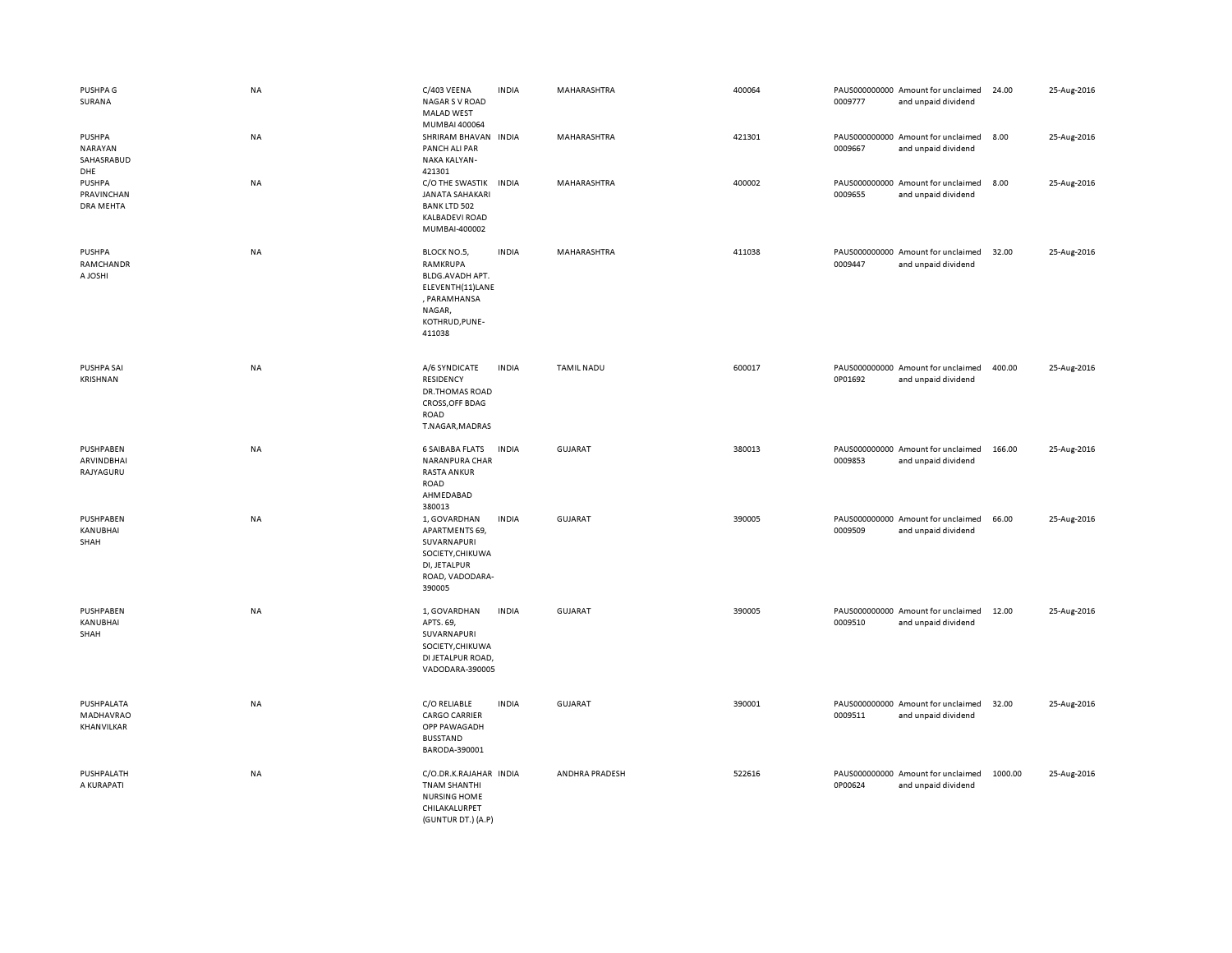| PUSHPA G<br>SURANA                                   | <b>NA</b> | C/403 VEENA<br><b>NAGAR S V ROAD</b><br><b>MALAD WEST</b><br>MUMBAI 400064                                           | <b>INDIA</b> | MAHARASHTRA       | 400064 | 0009777 | PAUS000000000 Amount for unclaimed<br>and unpaid dividend | 24.00   | 25-Aug-2016 |
|------------------------------------------------------|-----------|----------------------------------------------------------------------------------------------------------------------|--------------|-------------------|--------|---------|-----------------------------------------------------------|---------|-------------|
| <b>PUSHPA</b><br><b>NARAYAN</b><br>SAHASRABUD<br>DHE | NA        | SHRIRAM BHAVAN INDIA<br>PANCH ALI PAR<br>NAKA KALYAN-<br>421301                                                      |              | MAHARASHTRA       | 421301 | 0009667 | PAUS000000000 Amount for unclaimed<br>and unpaid dividend | 8.00    | 25-Aug-2016 |
| <b>PUSHPA</b><br>PRAVINCHAN<br>DRA MEHTA             | <b>NA</b> | C/O THE SWASTIK<br><b>JANATA SAHAKARI</b><br><b>BANK LTD 502</b><br><b>KALBADEVI ROAD</b><br>MUMBAI-400002           | <b>INDIA</b> | MAHARASHTRA       | 400002 | 0009655 | PAUS000000000 Amount for unclaimed<br>and unpaid dividend | 8.00    | 25-Aug-2016 |
| <b>PUSHPA</b><br>RAMCHANDR<br>A JOSHI                | <b>NA</b> | BLOCK NO.5,<br>RAMKRUPA<br>BLDG.AVADH APT.<br>ELEVENTH(11)LANE<br>, PARAMHANSA<br>NAGAR,<br>KOTHRUD, PUNE-<br>411038 | <b>INDIA</b> | MAHARASHTRA       | 411038 | 0009447 | PAUS000000000 Amount for unclaimed<br>and unpaid dividend | 32.00   | 25-Aug-2016 |
| <b>PUSHPA SAI</b><br>KRISHNAN                        | NA        | A/6 SYNDICATE<br>RESIDENCY<br><b>DR.THOMAS ROAD</b><br><b>CROSS, OFF BDAG</b><br>ROAD<br>T.NAGAR, MADRAS             | <b>INDIA</b> | <b>TAMIL NADU</b> | 600017 | 0P01692 | PAUS000000000 Amount for unclaimed<br>and unpaid dividend | 400.00  | 25-Aug-2016 |
| PUSHPABEN<br>ARVINDBHAI<br>RAJYAGURU                 | <b>NA</b> | <b>6 SAIBABA FLATS</b><br>NARANPURA CHAR<br><b>RASTA ANKUR</b><br>ROAD<br>AHMEDABAD<br>380013                        | <b>INDIA</b> | GUJARAT           | 380013 | 0009853 | PAUS000000000 Amount for unclaimed<br>and unpaid dividend | 166.00  | 25-Aug-2016 |
| PUSHPABEN<br>KANUBHAI<br>SHAH                        | <b>NA</b> | 1, GOVARDHAN<br>APARTMENTS 69,<br>SUVARNAPURI<br>SOCIETY, CHIKUWA<br>DI, JETALPUR<br>ROAD, VADODARA-<br>390005       | <b>INDIA</b> | <b>GUJARAT</b>    | 390005 | 0009509 | PAUS000000000 Amount for unclaimed<br>and unpaid dividend | 66.00   | 25-Aug-2016 |
| PUSHPABEN<br>KANUBHAI<br>SHAH                        | <b>NA</b> | 1, GOVARDHAN<br>APTS. 69,<br>SUVARNAPURI<br>SOCIETY, CHIKUWA<br>DI JETALPUR ROAD,<br>VADODARA-390005                 | <b>INDIA</b> | <b>GUJARAT</b>    | 390005 | 0009510 | PAUS000000000 Amount for unclaimed<br>and unpaid dividend | 12.00   | 25-Aug-2016 |
| PUSHPALATA<br>MADHAVRAO<br>KHANVILKAR                | NA        | C/O RELIABLE<br><b>CARGO CARRIER</b><br>OPP PAWAGADH<br><b>BUSSTAND</b><br>BARODA-390001                             | <b>INDIA</b> | <b>GUJARAT</b>    | 390001 | 0009511 | PAUS000000000 Amount for unclaimed<br>and unpaid dividend | 32.00   | 25-Aug-2016 |
| PUSHPALATH<br>A KURAPATI                             | NA        | C/O.DR.K.RAJAHAR INDIA<br><b>TNAM SHANTHI</b><br><b>NURSING HOME</b><br>CHILAKALURPET<br>(GUNTUR DT.) (A.P)          |              | ANDHRA PRADESH    | 522616 | 0P00624 | PAUS000000000 Amount for unclaimed<br>and unpaid dividend | 1000.00 | 25-Aug-2016 |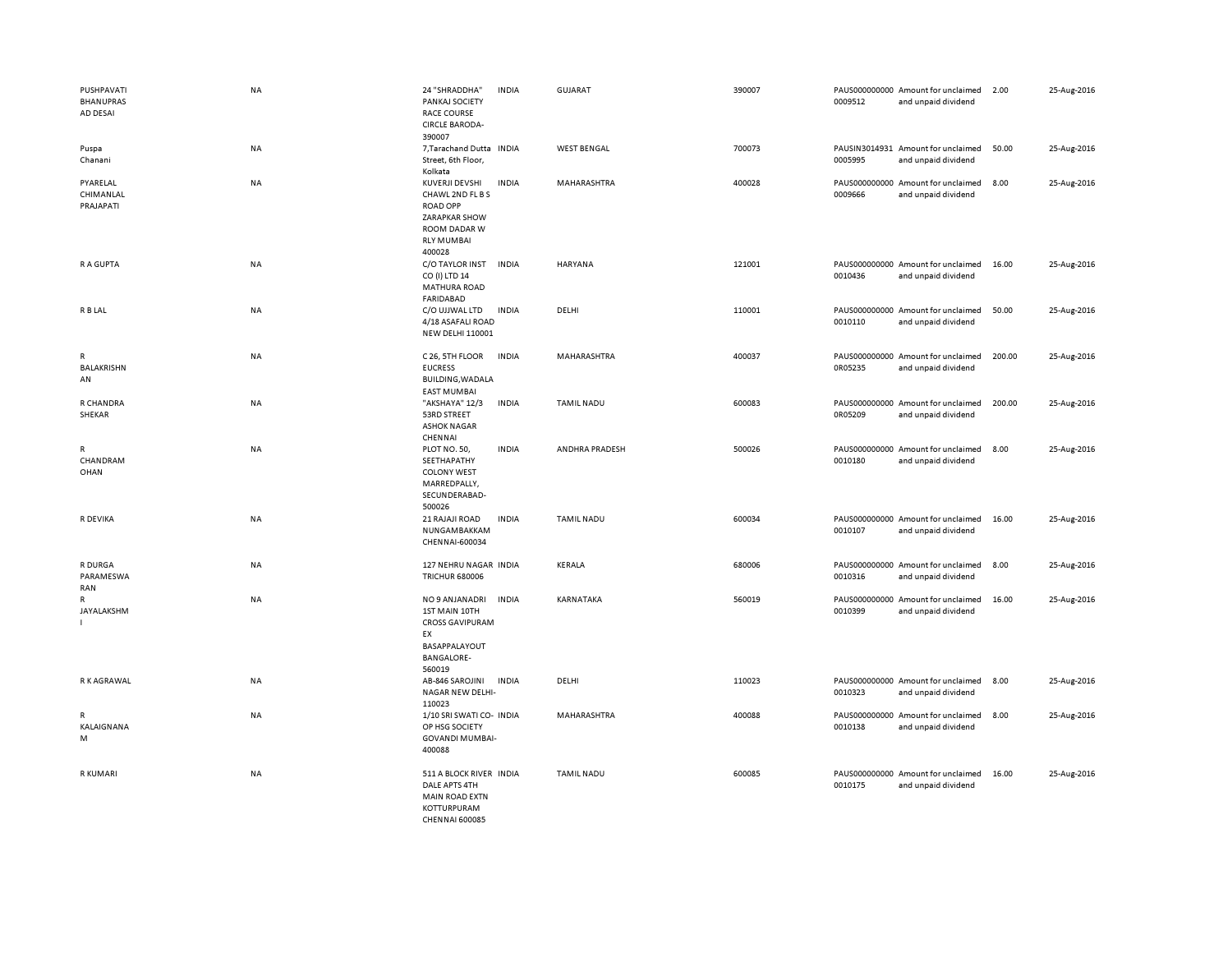| PUSHPAVATI<br><b>BHANUPRAS</b><br>AD DESAI | NA        | 24 "SHRADDHA"<br>PANKAJ SOCIETY<br><b>RACE COURSE</b><br><b>CIRCLE BARODA-</b><br>390007                                     | <b>INDIA</b> | GUJARAT            | 390007 | 0009512                  | PAUS000000000 Amount for unclaimed<br>and unpaid dividend | 2.00   | 25-Aug-2016 |
|--------------------------------------------|-----------|------------------------------------------------------------------------------------------------------------------------------|--------------|--------------------|--------|--------------------------|-----------------------------------------------------------|--------|-------------|
| Puspa<br>Chanani                           | <b>NA</b> | 7, Tarachand Dutta<br>Street, 6th Floor,<br>Kolkata                                                                          | <b>INDIA</b> | <b>WEST BENGAL</b> | 700073 | 0005995                  | PAUSIN3014931 Amount for unclaimed<br>and unpaid dividend | 50.00  | 25-Aug-2016 |
| PYARELAL<br>CHIMANLAL<br>PRAJAPATI         | NA        | KUVERJI DEVSHI<br>CHAWL 2ND FL B S<br><b>ROAD OPP</b><br><b>ZARAPKAR SHOW</b><br>ROOM DADAR W<br><b>RLY MUMBAI</b><br>400028 | <b>INDIA</b> | MAHARASHTRA        | 400028 | 0009666                  | PAUS000000000 Amount for unclaimed<br>and unpaid dividend | 8.00   | 25-Aug-2016 |
| R A GUPTA                                  | <b>NA</b> | C/O TAYLOR INST<br>CO (I) LTD 14<br><b>MATHURA ROAD</b><br><b>FARIDABAD</b>                                                  | <b>INDIA</b> | <b>HARYANA</b>     | 121001 | 0010436                  | PAUS000000000 Amount for unclaimed<br>and unpaid dividend | 16.00  | 25-Aug-2016 |
| R B LAL                                    | NA        | C/O UJJWAL LTD<br>4/18 ASAFALI ROAD<br><b>NEW DELHI 110001</b>                                                               | <b>INDIA</b> | DELHI              | 110001 | 0010110                  | PAUS000000000 Amount for unclaimed<br>and unpaid dividend | 50.00  | 25-Aug-2016 |
| ${\sf R}$<br><b>BALAKRISHN</b><br>AN       | <b>NA</b> | C 26, 5TH FLOOR<br><b>EUCRESS</b><br><b>BUILDING, WADALA</b><br><b>EAST MUMBAI</b>                                           | <b>INDIA</b> | MAHARASHTRA        | 400037 | 0R05235                  | PAUS000000000 Amount for unclaimed<br>and unpaid dividend | 200.00 | 25-Aug-2016 |
| R CHANDRA<br>SHEKAR                        | NA        | "AKSHAYA" 12/3<br>53RD STREET<br><b>ASHOK NAGAR</b><br>CHENNAI                                                               | <b>INDIA</b> | <b>TAMIL NADU</b>  | 600083 | 0R05209                  | PAUS000000000 Amount for unclaimed<br>and unpaid dividend | 200.00 | 25-Aug-2016 |
| R<br>CHANDRAM<br>OHAN                      | NA        | PLOT NO. 50,<br>SEETHAPATHY<br><b>COLONY WEST</b><br>MARREDPALLY,<br>SECUNDERABAD-<br>500026                                 | <b>INDIA</b> | ANDHRA PRADESH     | 500026 | 0010180                  | PAUS000000000 Amount for unclaimed<br>and unpaid dividend | 8.00   | 25-Aug-2016 |
| R DEVIKA                                   | NA        | 21 RAJAJI ROAD<br>NUNGAMBAKKAM<br>CHENNAI-600034                                                                             | <b>INDIA</b> | <b>TAMIL NADU</b>  | 600034 | 0010107                  | PAUS000000000 Amount for unclaimed<br>and unpaid dividend | 16.00  | 25-Aug-2016 |
| R DURGA<br>PARAMESWA<br>RAN                | NA        | 127 NEHRU NAGAR INDIA<br><b>TRICHUR 680006</b>                                                                               |              | KERALA             | 680006 | 0010316                  | PAUS000000000 Amount for unclaimed<br>and unpaid dividend | 8.00   | 25-Aug-2016 |
| R<br>JAYALAKSHM                            | NA        | NO 9 ANJANADRI<br>1ST MAIN 10TH<br><b>CROSS GAVIPURAM</b><br>EX<br>BASAPPALAYOUT<br><b>BANGALORE-</b><br>560019              | <b>INDIA</b> | KARNATAKA          | 560019 | 0010399                  | PAUS000000000 Amount for unclaimed<br>and unpaid dividend | 16.00  | 25-Aug-2016 |
| R K AGRAWAL                                | NA        | AB-846 SAROJINI<br>NAGAR NEW DELHI-<br>110023                                                                                | <b>INDIA</b> | DELHI              | 110023 | 0010323                  | PAUS000000000 Amount for unclaimed<br>and unpaid dividend | 8.00   | 25-Aug-2016 |
| R<br>KALAIGNANA<br>M                       | NA        | 1/10 SRI SWATI CO- INDIA<br>OP HSG SOCIETY<br><b>GOVANDI MUMBAI-</b><br>400088                                               |              | MAHARASHTRA        | 400088 | PAUS000000000<br>0010138 | Amount for unclaimed<br>and unpaid dividend               | 8.00   | 25-Aug-2016 |
| R KUMARI                                   | <b>NA</b> | 511 A BLOCK RIVER INDIA<br>DALE APTS 4TH<br><b>MAIN ROAD EXTN</b><br>KOTTURPURAM<br>CHENNAL 600085                           |              | <b>TAMIL NADU</b>  | 600085 | 0010175                  | PAUS000000000 Amount for unclaimed<br>and unpaid dividend | 16.00  | 25-Aug-2016 |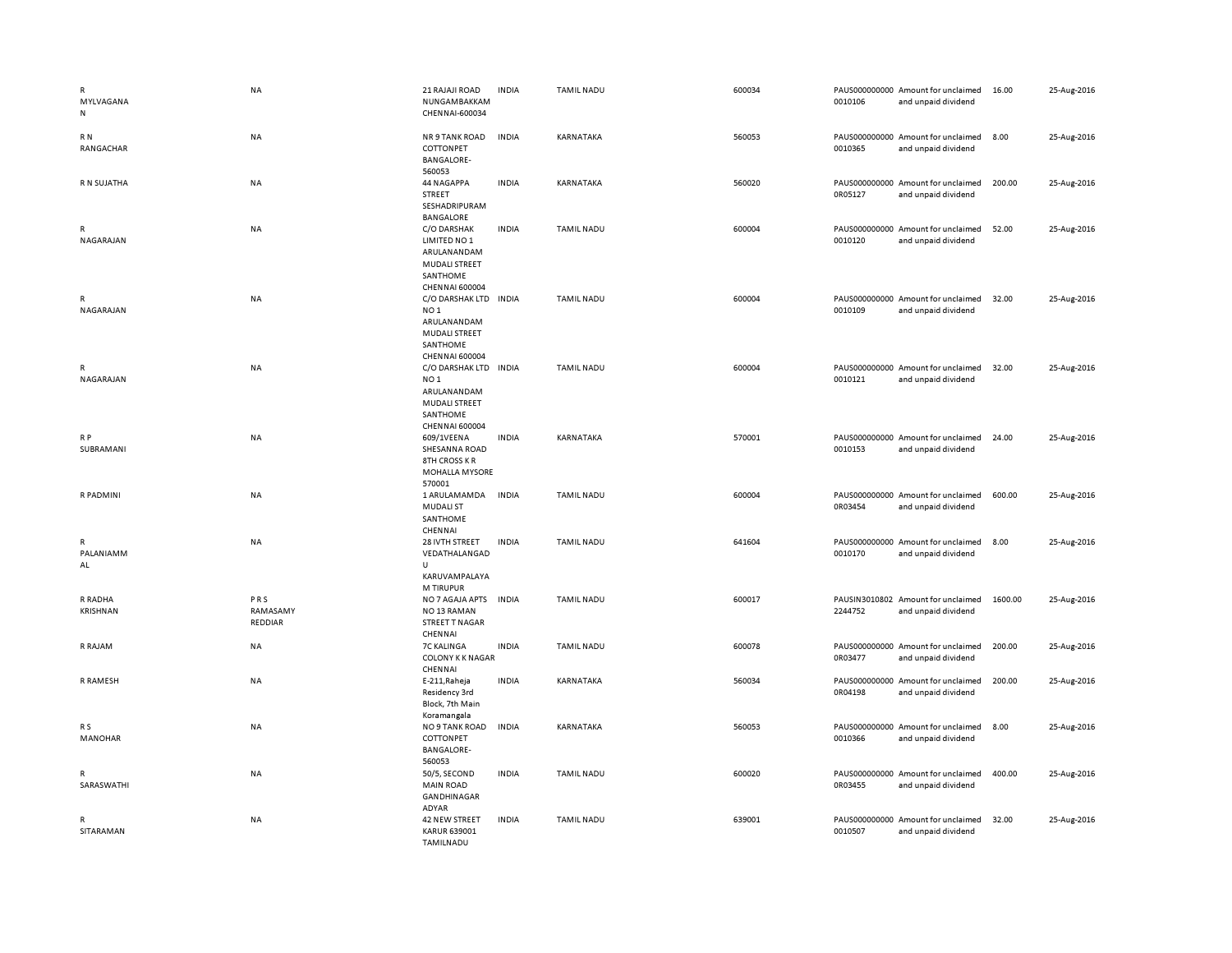| R<br>MYLVAGANA<br>N             | NA                         | 21 RAJAJI ROAD<br>NUNGAMBAKKAM<br>CHENNAI-600034                                                                      | <b>INDIA</b> | <b>TAMIL NADU</b> | 600034 | 0010106 | PAUS000000000 Amount for unclaimed<br>and unpaid dividend | 16.00   | 25-Aug-2016 |
|---------------------------------|----------------------------|-----------------------------------------------------------------------------------------------------------------------|--------------|-------------------|--------|---------|-----------------------------------------------------------|---------|-------------|
| R N<br>RANGACHAR                | NA                         | NR 9 TANK ROAD<br>COTTONPET<br><b>BANGALORE-</b><br>560053                                                            | <b>INDIA</b> | KARNATAKA         | 560053 | 0010365 | PAUS000000000 Amount for unclaimed<br>and unpaid dividend | 8.00    | 25-Aug-2016 |
| R N SUJATHA                     | NA                         | 44 NAGAPPA<br>STREET<br>SESHADRIPURAM<br><b>BANGALORE</b>                                                             | <b>INDIA</b> | KARNATAKA         | 560020 | 0R05127 | PAUS000000000 Amount for unclaimed<br>and unpaid dividend | 200.00  | 25-Aug-2016 |
| R<br>NAGARAJAN                  | NA                         | C/O DARSHAK<br>LIMITED NO 1<br>ARULANANDAM<br>MUDALI STREET<br>SANTHOME<br><b>CHENNAI 600004</b>                      | <b>INDIA</b> | <b>TAMIL NADU</b> | 600004 | 0010120 | PAUS000000000 Amount for unclaimed<br>and unpaid dividend | 52.00   | 25-Aug-2016 |
| R<br>NAGARAJAN                  | NA                         | C/O DARSHAK LTD INDIA<br>NO <sub>1</sub><br>ARULANANDAM<br><b>MUDALI STREET</b><br>SANTHOME<br><b>CHENNAI 600004</b>  |              | <b>TAMIL NADU</b> | 600004 | 0010109 | PAUS000000000 Amount for unclaimed<br>and unpaid dividend | 32.00   | 25-Aug-2016 |
| $\mathsf{R}$<br>NAGARAJAN       | <b>NA</b>                  | C/O DARSHAK LTD IN DIA<br>NO <sub>1</sub><br>ARULANANDAM<br><b>MUDALI STREET</b><br>SANTHOME<br><b>CHENNAI 600004</b> |              | <b>TAMIL NADU</b> | 600004 | 0010121 | PAUS000000000 Amount for unclaimed<br>and unpaid dividend | 32.00   | 25-Aug-2016 |
| R P<br>SUBRAMANI                | NA                         | 609/1VEENA<br>SHESANNA ROAD<br><b>8TH CROSS KR</b><br><b>MOHALLA MYSORE</b><br>570001                                 | <b>INDIA</b> | KARNATAKA         | 570001 | 0010153 | PAUS000000000 Amount for unclaimed<br>and unpaid dividend | 24.00   | 25-Aug-2016 |
| R PADMINI                       | NA                         | 1 ARULAMAMDA<br><b>MUDALI ST</b><br>SANTHOME<br>CHENNAI                                                               | <b>INDIA</b> | <b>TAMIL NADU</b> | 600004 | 0R03454 | PAUS000000000 Amount for unclaimed<br>and unpaid dividend | 600.00  | 25-Aug-2016 |
| $\mathsf{R}$<br>PALANIAMM<br>AL | <b>NA</b>                  | 28 IVTH STREET<br>VEDATHALANGAD<br>$\cup$<br>KARUVAMPALAYA<br>M TIRUPUR                                               | <b>INDIA</b> | <b>TAMIL NADU</b> | 641604 | 0010170 | PAUS000000000 Amount for unclaimed<br>and unpaid dividend | 8.00    | 25-Aug-2016 |
| R RADHA<br><b>KRISHNAN</b>      | PRS<br>RAMASAMY<br>REDDIAR | NO 7 AGAJA APTS<br>NO <sub>13</sub> RAMAN<br>STREET T NAGAR<br>CHENNAI                                                | <b>INDIA</b> | <b>TAMIL NADU</b> | 600017 | 2244752 | PAUSIN3010802 Amount for unclaimed<br>and unpaid dividend | 1600.00 | 25-Aug-2016 |
| R RAJAM                         | NA                         | <b>7C KALINGA</b><br><b>COLONY K K NAGAR</b><br>CHENNAI                                                               | <b>INDIA</b> | TAMIL NADU        | 600078 | 0R03477 | PAUS000000000 Amount for unclaimed<br>and unpaid dividend | 200.00  | 25-Aug-2016 |
| R RAMESH                        | NA                         | E-211, Raheja<br>Residency 3rd<br>Block, 7th Main<br>Koramangala                                                      | <b>INDIA</b> | KARNATAKA         | 560034 | 0R04198 | PAUS000000000 Amount for unclaimed<br>and unpaid dividend | 200.00  | 25-Aug-2016 |
| R S<br><b>MANOHAR</b>           | NA                         | NO 9 TANK ROAD<br>COTTONPET<br><b>BANGALORE-</b><br>560053                                                            | <b>INDIA</b> | KARNATAKA         | 560053 | 0010366 | PAUS000000000 Amount for unclaimed<br>and unpaid dividend | 8.00    | 25-Aug-2016 |
| R<br>SARASWATHI                 | NA                         | 50/5, SECOND<br><b>MAIN ROAD</b><br>GANDHINAGAR<br>ADYAR                                                              | <b>INDIA</b> | <b>TAMIL NADU</b> | 600020 | 0R03455 | PAUS000000000 Amount for unclaimed<br>and unpaid dividend | 400.00  | 25-Aug-2016 |
| R<br>SITARAMAN                  | NA                         | 42 NEW STREET<br><b>KARUR 639001</b><br><b>TAMILNADU</b>                                                              | <b>INDIA</b> | <b>TAMIL NADU</b> | 639001 | 0010507 | PAUS000000000 Amount for unclaimed<br>and unpaid dividend | 32.00   | 25-Aug-2016 |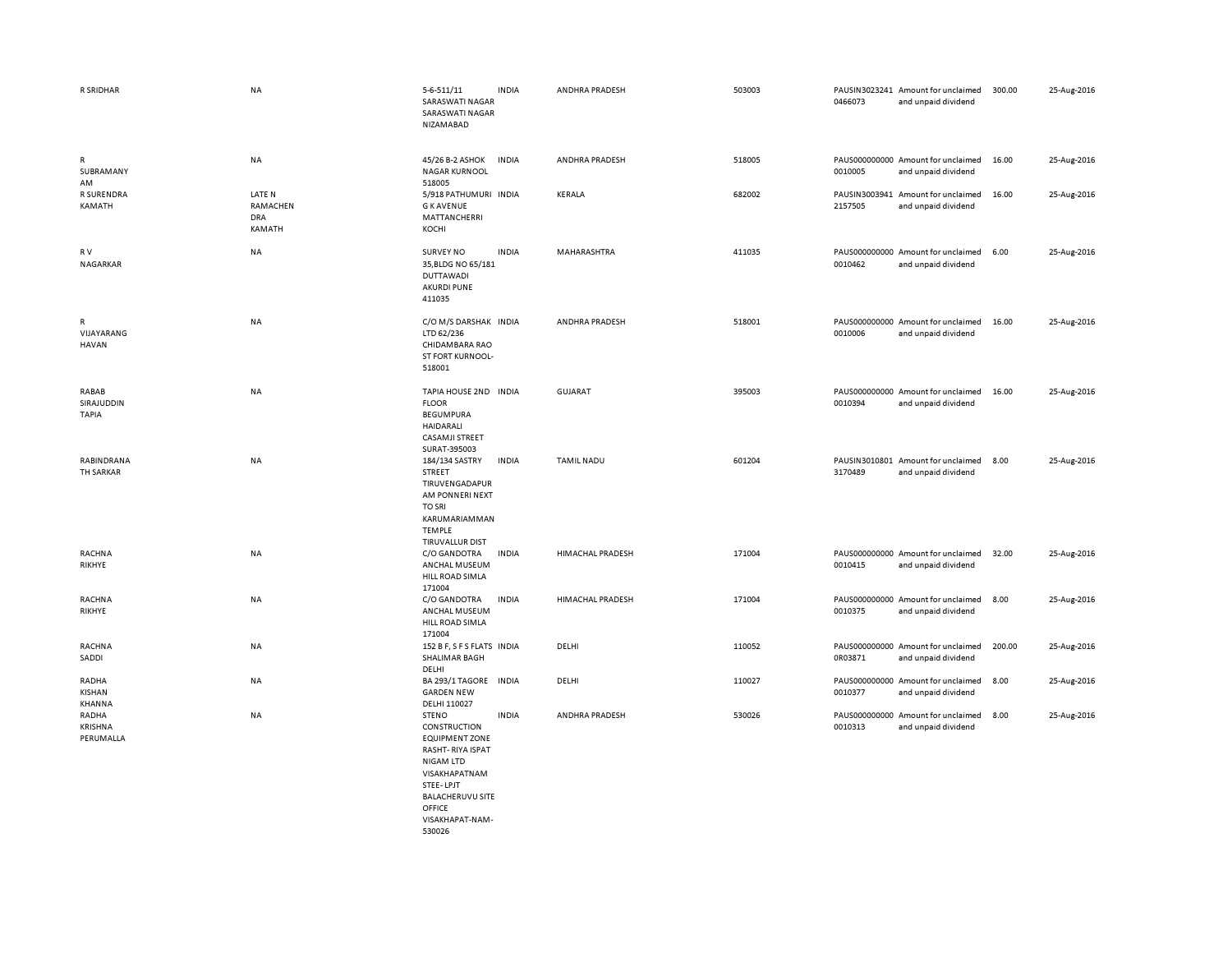| R SRIDHAR                                  | NA                                         | 5-6-511/11<br>SARASWATI NAGAR<br>SARASWATI NAGAR<br>NIZAMABAD                                                                                          | <b>INDIA</b> | ANDHRA PRADESH    | 503003 | 0466073                  | PAUSIN3023241 Amount for unclaimed<br>and unpaid dividend | 300.00 | 25-Aug-2016 |
|--------------------------------------------|--------------------------------------------|--------------------------------------------------------------------------------------------------------------------------------------------------------|--------------|-------------------|--------|--------------------------|-----------------------------------------------------------|--------|-------------|
| $\mathsf{R}$<br>SUBRAMANY<br>AM            | NA                                         | 45/26 B-2 ASHOK<br><b>NAGAR KURNOOL</b><br>518005                                                                                                      | <b>INDIA</b> | ANDHRA PRADESH    | 518005 | 0010005                  | PAUS000000000 Amount for unclaimed<br>and unpaid dividend | 16.00  | 25-Aug-2016 |
| <b>R SURENDRA</b><br>KAMATH                | LATE N<br>RAMACHEN<br><b>DRA</b><br>KAMATH | 5/918 PATHUMURI INDIA<br><b>GKAVENUE</b><br>MATTANCHERRI<br>KOCHI                                                                                      |              | KERALA            | 682002 | PAUSIN3003941<br>2157505 | Amount for unclaimed<br>and unpaid dividend               | 16.00  | 25-Aug-2016 |
| R V<br>NAGARKAR                            | NA                                         | <b>SURVEY NO</b><br>35, BLDG NO 65/181<br><b>DUTTAWADI</b><br><b>AKURDI PUNE</b><br>411035                                                             | <b>INDIA</b> | MAHARASHTRA       | 411035 | 0010462                  | PAUS000000000 Amount for unclaimed<br>and unpaid dividend | 6.00   | 25-Aug-2016 |
| $\mathsf{R}$<br>VIJAYARANG<br><b>HAVAN</b> | <b>NA</b>                                  | C/O M/S DARSHAK INDIA<br>LTD 62/236<br>CHIDAMBARA RAO<br>ST FORT KURNOOL-<br>518001                                                                    |              | ANDHRA PRADESH    | 518001 | 0010006                  | PAUS000000000 Amount for unclaimed<br>and unpaid dividend | 16.00  | 25-Aug-2016 |
| RABAB<br>SIRAJUDDIN<br><b>TAPIA</b>        | NA                                         | TAPIA HOUSE 2ND INDIA<br><b>FLOOR</b><br><b>BEGUMPURA</b><br><b>HAIDARALI</b><br><b>CASAMJI STREET</b><br>SURAT-395003                                 |              | GUJARAT           | 395003 | 0010394                  | PAUS000000000 Amount for unclaimed<br>and unpaid dividend | 16.00  | 25-Aug-2016 |
| RABINDRANA<br>TH SARKAR                    | NA                                         | 184/134 SASTRY<br>STREET<br>TIRUVENGADAPUR<br>AM PONNERI NEXT<br><b>TO SRI</b><br>KARUMARIAMMAN<br><b>TEMPLE</b><br>TIRUVALLUR DIST                    | <b>INDIA</b> | <b>TAMIL NADU</b> | 601204 | 3170489                  | PAUSIN3010801 Amount for unclaimed<br>and unpaid dividend | 8.00   | 25-Aug-2016 |
| RACHNA<br>RIKHYE                           | <b>NA</b>                                  | C/O GANDOTRA<br>ANCHAL MUSEUM<br>HILL ROAD SIMLA<br>171004                                                                                             | <b>INDIA</b> | HIMACHAL PRADESH  | 171004 | 0010415                  | PAUS000000000 Amount for unclaimed<br>and unpaid dividend | 32.00  | 25-Aug-2016 |
| RACHNA<br>RIKHYE                           | <b>NA</b>                                  | C/O GANDOTRA<br>ANCHAL MUSEUM<br>HILL ROAD SIMLA<br>171004                                                                                             | <b>INDIA</b> | HIMACHAL PRADESH  | 171004 | 0010375                  | PAUS000000000 Amount for unclaimed<br>and unpaid dividend | 8.00   | 25-Aug-2016 |
| <b>RACHNA</b><br>SADDI                     | NA                                         | 152 B F, S F S FLATS INDIA<br>SHALIMAR BAGH<br>DELHI                                                                                                   |              | DELHI             | 110052 | 0R03871                  | PAUS000000000 Amount for unclaimed<br>and unpaid dividend | 200.00 | 25-Aug-2016 |
| RADHA<br>KISHAN<br>KHANNA                  | <b>NA</b>                                  | BA 293/1 TAGORE INDIA<br><b>GARDEN NEW</b><br>DELHI 110027                                                                                             |              | DELHI             | 110027 | 0010377                  | PAUS000000000 Amount for unclaimed<br>and unpaid dividend | 8.00   | 25-Aug-2016 |
| RADHA<br>KRISHNA<br>PERUMALLA              | NA                                         | <b>STENO</b><br>CONSTRUCTION<br><b>EQUIPMENT ZONE</b><br>RASHT-RIYA ISPAT<br><b>NIGAM LTD</b><br>VISAKHAPATNAM<br>STEE-LPJT<br><b>BALACHERUVU SITE</b> | <b>INDIA</b> | ANDHRA PRADESH    | 530026 | 0010313                  | PAUS000000000 Amount for unclaimed<br>and unpaid dividend | 8.00   | 25-Aug-2016 |

OFFICE VISAKHAPAT-NAM-530026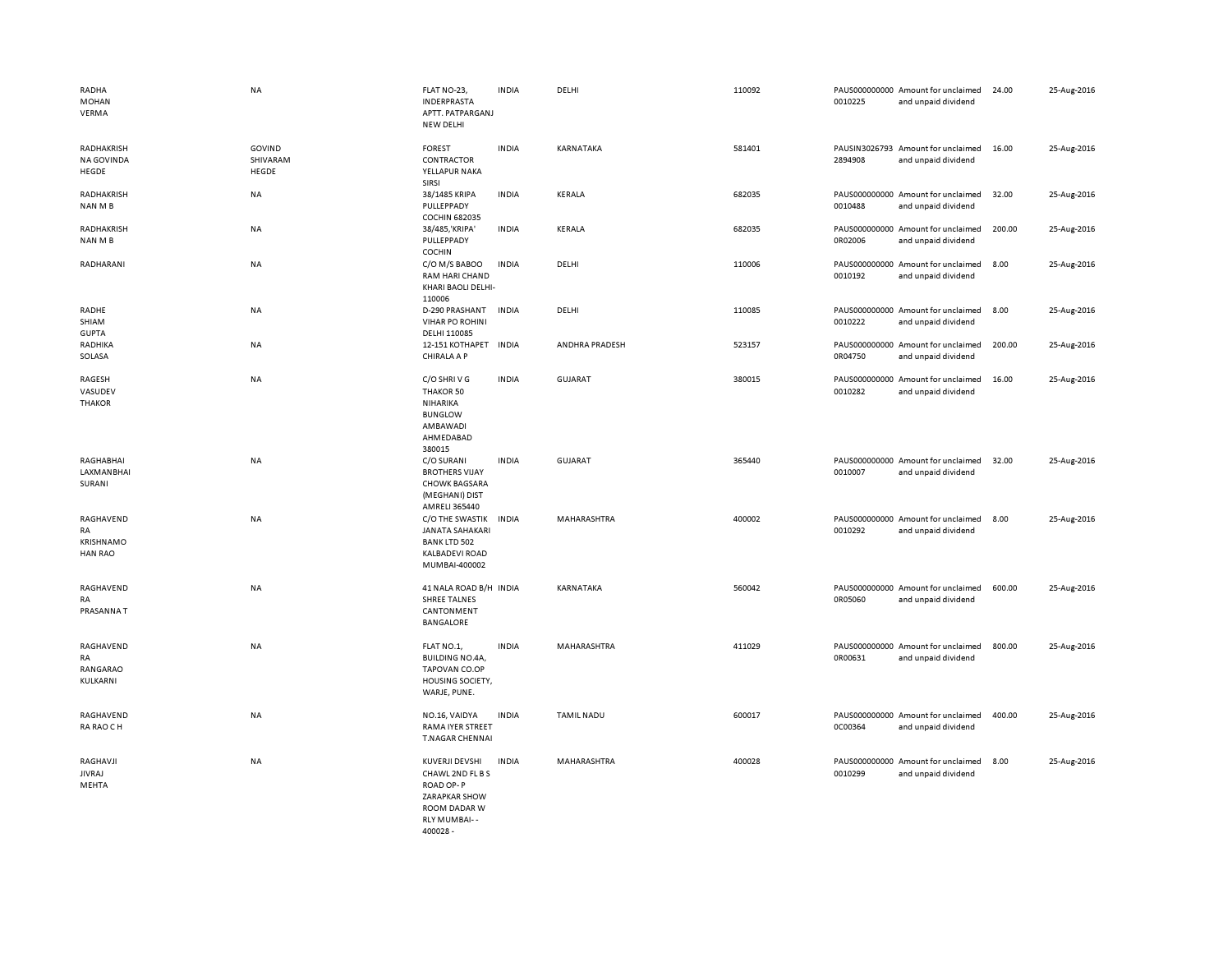| RADHA<br>MOHAN<br>VERMA                        | <b>NA</b>                   | FLAT NO-23,<br>INDERPRASTA<br>APTT. PATPARGANJ<br><b>NEW DELHI</b>                                                 | <b>INDIA</b> | DELHI             | 110092 | 0010225 | PAUS000000000 Amount for unclaimed<br>and unpaid dividend | 24.00  | 25-Aug-2016 |
|------------------------------------------------|-----------------------------|--------------------------------------------------------------------------------------------------------------------|--------------|-------------------|--------|---------|-----------------------------------------------------------|--------|-------------|
| RADHAKRISH<br><b>NA GOVINDA</b><br>HEGDE       | GOVIND<br>SHIVARAM<br>HEGDE | <b>FOREST</b><br>CONTRACTOR<br>YELLAPUR NAKA<br>SIRSI                                                              | <b>INDIA</b> | KARNATAKA         | 581401 | 2894908 | PAUSIN3026793 Amount for unclaimed<br>and unpaid dividend | 16.00  | 25-Aug-2016 |
| RADHAKRISH<br>NAN M B                          | NA                          | 38/1485 KRIPA<br>PULLEPPADY<br><b>COCHIN 682035</b>                                                                | <b>INDIA</b> | KERALA            | 682035 | 0010488 | PAUS000000000 Amount for unclaimed<br>and unpaid dividend | 32.00  | 25-Aug-2016 |
| RADHAKRISH<br>NAN M B                          | NA                          | 38/485, 'KRIPA'<br>PULLEPPADY<br>COCHIN                                                                            | <b>INDIA</b> | KERALA            | 682035 | 0R02006 | PAUS000000000 Amount for unclaimed<br>and unpaid dividend | 200.00 | 25-Aug-2016 |
| RADHARANI                                      | NA                          | C/O M/S BABOO<br><b>RAM HARI CHAND</b><br>KHARI BAOLI DELHI-<br>110006                                             | <b>INDIA</b> | DELHI             | 110006 | 0010192 | PAUS000000000 Amount for unclaimed<br>and unpaid dividend | 8.00   | 25-Aug-2016 |
| RADHE<br>SHIAM<br><b>GUPTA</b>                 | NA                          | D-290 PRASHANT<br><b>VIHAR PO ROHINI</b><br>DELHI 110085                                                           | <b>INDIA</b> | DELHI             | 110085 | 0010222 | PAUS000000000 Amount for unclaimed<br>and unpaid dividend | 8.00   | 25-Aug-2016 |
| RADHIKA<br>SOLASA                              | NA                          | 12-151 KOTHAPET INDIA<br>CHIRALA A P                                                                               |              | ANDHRA PRADESH    | 523157 | 0R04750 | PAUS000000000 Amount for unclaimed<br>and unpaid dividend | 200.00 | 25-Aug-2016 |
| RAGESH<br>VASUDEV<br><b>THAKOR</b>             | NA                          | C/O SHRIVG<br>THAKOR 50<br>NIHARIKA<br><b>BUNGLOW</b><br>AMBAWADI<br>AHMEDABAD<br>380015                           | <b>INDIA</b> | GUJARAT           | 380015 | 0010282 | PAUS000000000 Amount for unclaimed<br>and unpaid dividend | 16.00  | 25-Aug-2016 |
| RAGHABHAI<br>LAXMANBHAI<br>SURANI              | NA                          | C/O SURANI<br><b>BROTHERS VIJAY</b><br><b>CHOWK BAGSARA</b><br>(MEGHANI) DIST<br>AMRELI 365440                     | <b>INDIA</b> | <b>GUJARAT</b>    | 365440 | 0010007 | PAUS000000000 Amount for unclaimed<br>and unpaid dividend | 32.00  | 25-Aug-2016 |
| RAGHAVEND<br>RA<br>KRISHNAMO<br><b>HAN RAO</b> | NA                          | C/O THE SWASTIK<br><b>JANATA SAHAKARI</b><br><b>BANK LTD 502</b><br><b>KALBADEVI ROAD</b><br>MUMBAI-400002         | <b>INDIA</b> | MAHARASHTRA       | 400002 | 0010292 | PAUS000000000 Amount for unclaimed<br>and unpaid dividend | 8.00   | 25-Aug-2016 |
| RAGHAVEND<br>RA<br>PRASANNAT                   | NA                          | 41 NALA ROAD B/H INDIA<br><b>SHREE TALNES</b><br>CANTONMENT<br><b>BANGALORE</b>                                    |              | KARNATAKA         | 560042 | 0R05060 | PAUS000000000 Amount for unclaimed<br>and unpaid dividend | 600.00 | 25-Aug-2016 |
| RAGHAVEND<br>RA<br>RANGARAO<br>KULKARNI        | NA                          | FLAT NO.1,<br><b>BUILDING NO.4A,</b><br>TAPOVAN CO.OP<br>HOUSING SOCIETY,<br>WARJE, PUNE.                          | <b>INDIA</b> | MAHARASHTRA       | 411029 | 0R00631 | PAUS000000000 Amount for unclaimed<br>and unpaid dividend | 800.00 | 25-Aug-2016 |
| RAGHAVEND<br>RA RAO CH                         | NA                          | NO.16, VAIDYA<br>RAMA IYER STREET<br>T.NAGAR CHENNAI                                                               | <b>INDIA</b> | <b>TAMIL NADU</b> | 600017 | 0C00364 | PAUS000000000 Amount for unclaimed<br>and unpaid dividend | 400.00 | 25-Aug-2016 |
| RAGHAVJI<br><b>JIVRAJ</b><br>MEHTA             | NA                          | KUVERJI DEVSHI<br>CHAWL 2ND FL B S<br>ROAD OP-P<br><b>ZARAPKAR SHOW</b><br>ROOM DADAR W<br>RLY MUMBAI--<br>400028- | <b>INDIA</b> | MAHARASHTRA       | 400028 | 0010299 | PAUS000000000 Amount for unclaimed<br>and unpaid dividend | 8.00   | 25-Aug-2016 |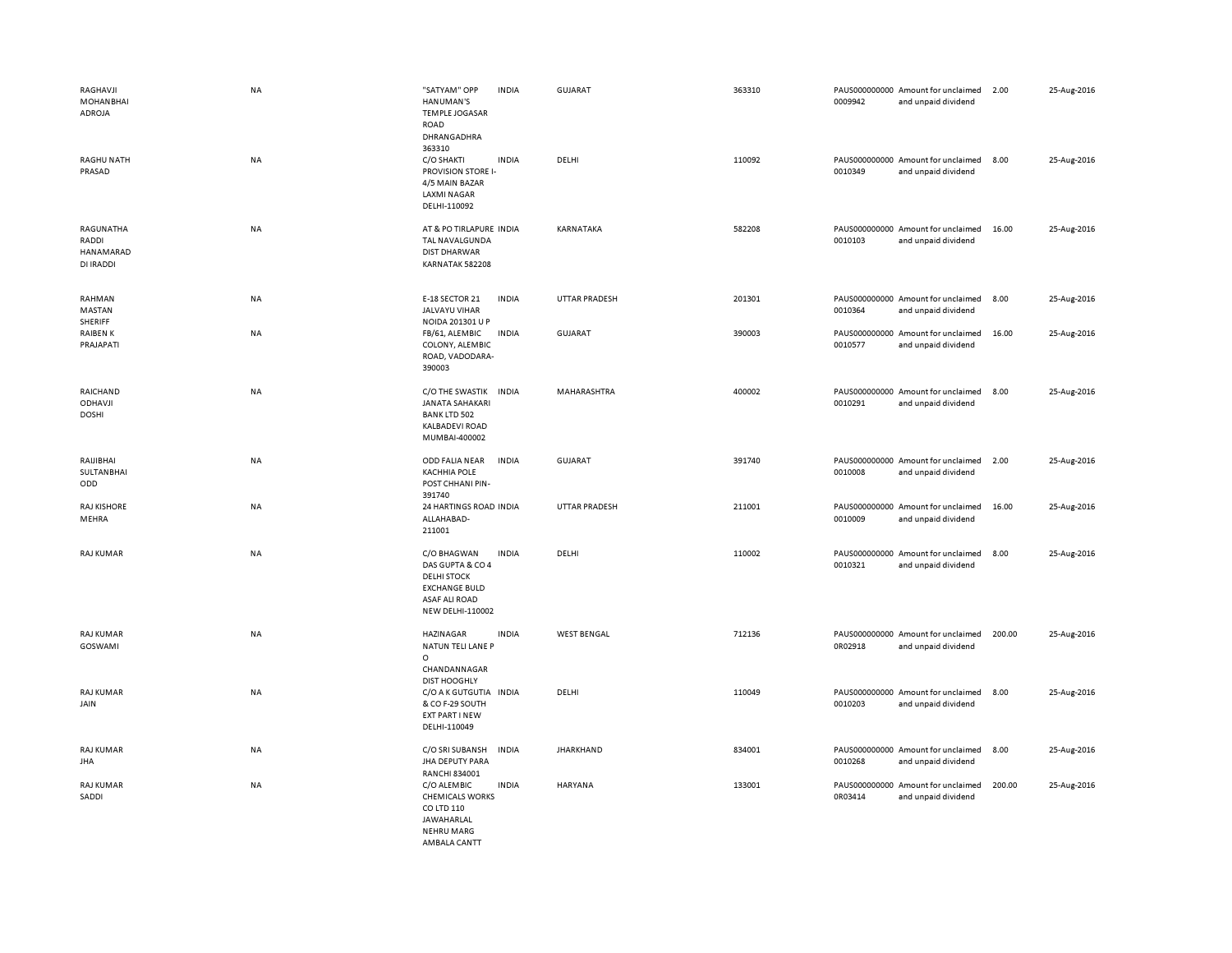| RAGHAVJI<br><b>MOHANBHAI</b><br>ADROJA<br><b>RAGHU NATH</b><br>PRASAD | <b>NA</b><br><b>NA</b> | "SATYAM" OPP<br><b>INDIA</b><br>HANUMAN'S<br><b>TEMPLE JOGASAR</b><br>ROAD<br>DHRANGADHRA<br>363310<br>C/O SHAKTI<br><b>INDIA</b><br>PROVISION STORE I- | GUJARAT<br>DELHI     | 363310<br>110092 | PAUS000000000 Amount for unclaimed<br>0009942<br>PAUS000000000 Amount for unclaimed<br>0010349 | and unpaid dividend<br>and unpaid dividend | 2.00<br>8.00 | 25-Aug-2016<br>25-Aug-2016 |
|-----------------------------------------------------------------------|------------------------|---------------------------------------------------------------------------------------------------------------------------------------------------------|----------------------|------------------|------------------------------------------------------------------------------------------------|--------------------------------------------|--------------|----------------------------|
| RAGUNATHA<br>RADDI<br>HANAMARAD<br>DI IRADDI                          | <b>NA</b>              | 4/5 MAIN BAZAR<br><b>LAXMI NAGAR</b><br>DELHI-110092<br>AT & PO TIRLAPURE INDIA<br>TAL NAVALGUNDA<br><b>DIST DHARWAR</b><br>KARNATAK 582208             | KARNATAKA            | 582208           | PAUS000000000 Amount for unclaimed<br>0010103                                                  | and unpaid dividend                        | 16.00        | 25-Aug-2016                |
| RAHMAN<br>MASTAN<br>SHERIFF                                           | <b>NA</b>              | E-18 SECTOR 21<br><b>INDIA</b><br>JALVAYU VIHAR<br>NOIDA 201301 U P                                                                                     | <b>UTTAR PRADESH</b> | 201301           | PAUS000000000 Amount for unclaimed<br>0010364                                                  | and unpaid dividend                        | 8.00         | 25-Aug-2016                |
| RAIBEN K<br>PRAJAPATI                                                 | NA                     | FB/61, ALEMBIC<br><b>INDIA</b><br>COLONY, ALEMBIC<br>ROAD, VADODARA-<br>390003                                                                          | GUJARAT              | 390003           | PAUS000000000 Amount for unclaimed<br>0010577                                                  | and unpaid dividend                        | 16.00        | 25-Aug-2016                |
| RAICHAND<br>ODHAVJI<br><b>DOSHI</b>                                   | <b>NA</b>              | C/O THE SWASTIK INDIA<br><b>JANATA SAHAKARI</b><br><b>BANK LTD 502</b><br><b>KALBADEVI ROAD</b><br>MUMBAI-400002                                        | MAHARASHTRA          | 400002           | PAUS000000000 Amount for unclaimed<br>0010291                                                  | and unpaid dividend                        | 8.00         | 25-Aug-2016                |
| RAIJIBHAI<br>SULTANBHAI<br>ODD                                        | <b>NA</b>              | ODD FALIA NEAR<br><b>INDIA</b><br><b>KACHHIA POLE</b><br>POST CHHANI PIN-<br>391740                                                                     | <b>GUJARAT</b>       | 391740           | PAUS000000000 Amount for unclaimed<br>0010008                                                  | and unpaid dividend                        | 2.00         | 25-Aug-2016                |
| <b>RAJ KISHORE</b><br>MEHRA                                           | <b>NA</b>              | 24 HARTINGS ROAD INDIA<br>ALLAHABAD-<br>211001                                                                                                          | <b>UTTAR PRADESH</b> | 211001           | PAUS000000000 Amount for unclaimed<br>0010009                                                  | and unpaid dividend                        | 16.00        | 25-Aug-2016                |
| RAJ KUMAR                                                             | <b>NA</b>              | C/O BHAGWAN<br><b>INDIA</b><br>DAS GUPTA & CO 4<br><b>DELHI STOCK</b><br><b>EXCHANGE BULD</b><br><b>ASAF ALI ROAD</b><br><b>NEW DELHI-110002</b>        | DELHI                | 110002           | PAUS000000000 Amount for unclaimed<br>0010321                                                  | and unpaid dividend                        | 8.00         | 25-Aug-2016                |
| <b>RAJ KUMAR</b><br>GOSWAMI                                           | <b>NA</b>              | <b>HAZINAGAR</b><br><b>INDIA</b><br>NATUN TELI LANE P<br>$\circ$<br>CHANDANNAGAR<br><b>DIST HOOGHLY</b>                                                 | <b>WEST BENGAL</b>   | 712136           | PAUS000000000 Amount for unclaimed<br>0R02918                                                  | and unpaid dividend                        | 200.00       | 25-Aug-2016                |
| <b>RAJ KUMAR</b><br>JAIN                                              | <b>NA</b>              | C/O A K GUTGUTIA<br><b>INDIA</b><br>& CO F-29 SOUTH<br>EXT PART I NEW<br>DELHI-110049                                                                   | DELHI                | 110049           | PAUS000000000 Amount for unclaimed<br>0010203                                                  | and unpaid dividend                        | 8.00         | 25-Aug-2016                |
| RAJ KUMAR<br><b>JHA</b>                                               | NA                     | <b>INDIA</b><br>C/O SRI SUBANSH<br><b>JHA DEPUTY PARA</b><br>RANCHI 834001                                                                              | <b>JHARKHAND</b>     | 834001           | PAUS000000000 Amount for unclaimed<br>0010268                                                  | and unpaid dividend                        | 8.00         | 25-Aug-2016                |
| <b>RAJ KUMAR</b><br>SADDI                                             | <b>NA</b>              | C/O ALEMBIC<br><b>INDIA</b><br><b>CHEMICALS WORKS</b><br>CO LTD 110<br>JAWAHARLAL<br><b>NEHRU MARG</b><br>AMRAIA CANTT                                  | <b>HARYANA</b>       | 133001           | PAUS000000000 Amount for unclaimed<br>0R03414                                                  | and unpaid dividend                        | 200.00       | 25-Aug-2016                |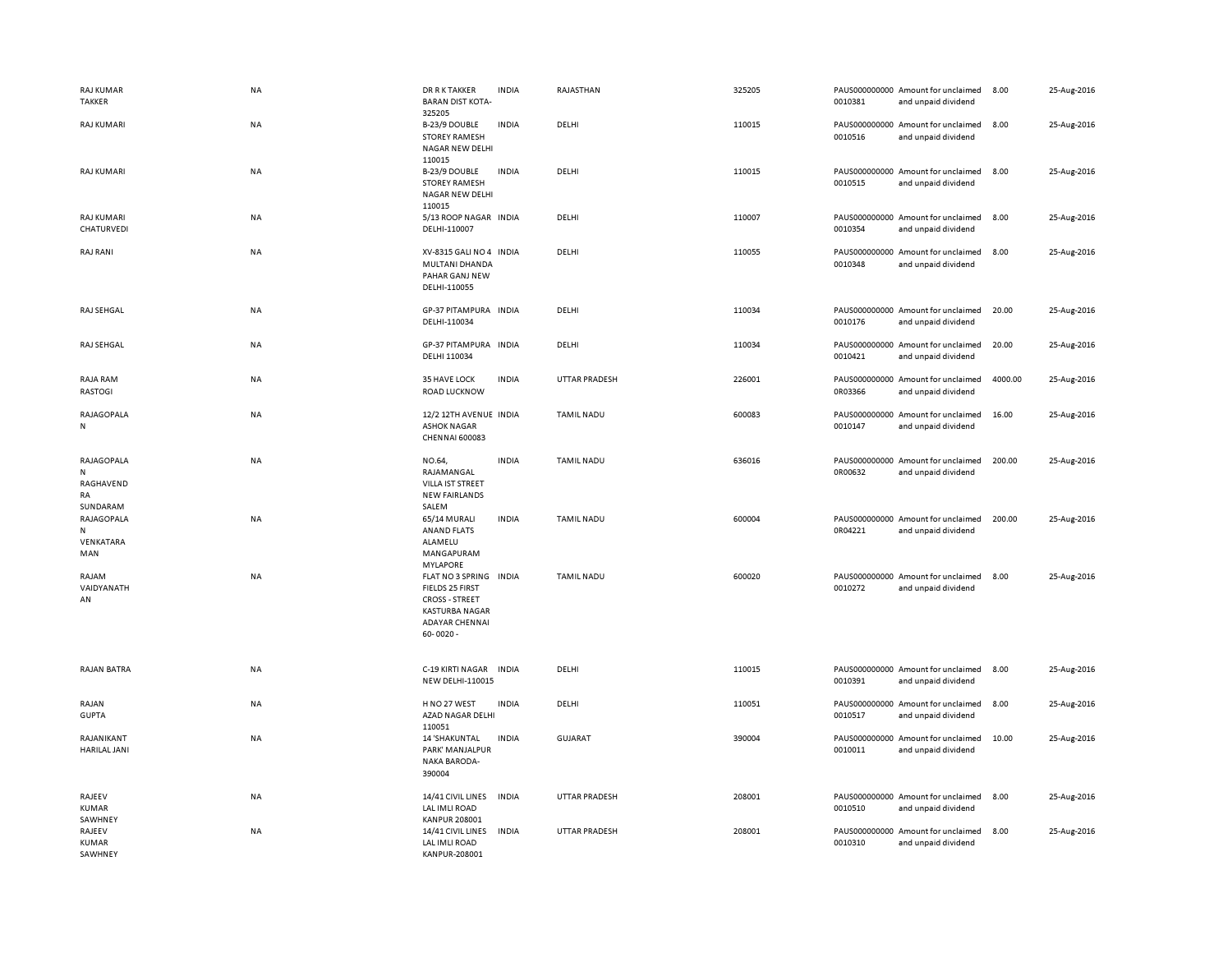| <b>RAJ KUMAR</b><br><b>TAKKER</b>              | NA        | <b>DR R K TAKKER</b><br><b>BARAN DIST KOTA-</b><br>325205                                                                             | <b>INDIA</b> | RAJASTHAN            | 325205 | 0010381 | PAUS000000000 Amount for unclaimed<br>and unpaid dividend | 8.00    | 25-Aug-2016 |
|------------------------------------------------|-----------|---------------------------------------------------------------------------------------------------------------------------------------|--------------|----------------------|--------|---------|-----------------------------------------------------------|---------|-------------|
| <b>RAJ KUMARI</b>                              | NA        | B-23/9 DOUBLE<br><b>STOREY RAMESH</b><br><b>NAGAR NEW DELHI</b><br>110015                                                             | <b>INDIA</b> | DELHI                | 110015 | 0010516 | PAUS000000000 Amount for unclaimed<br>and unpaid dividend | 8.00    | 25-Aug-2016 |
| <b>RAJ KUMARI</b>                              | NA        | B-23/9 DOUBLE<br><b>STOREY RAMESH</b><br>NAGAR NEW DELHI<br>110015                                                                    | <b>INDIA</b> | DELHI                | 110015 | 0010515 | PAUS000000000 Amount for unclaimed<br>and unpaid dividend | 8.00    | 25-Aug-2016 |
| RAJ KUMARI<br>CHATURVEDI                       | NA        | 5/13 ROOP NAGAR INDIA<br>DELHI-110007                                                                                                 |              | DELHI                | 110007 | 0010354 | PAUS000000000 Amount for unclaimed<br>and unpaid dividend | 8.00    | 25-Aug-2016 |
| <b>RAJ RANI</b>                                | NA        | XV-8315 GALI NO 4 INDIA<br>MULTANI DHANDA<br>PAHAR GANJ NEW<br>DELHI-110055                                                           |              | DELHI                | 110055 | 0010348 | PAUS000000000 Amount for unclaimed<br>and unpaid dividend | 8.00    | 25-Aug-2016 |
| RAJ SEHGAL                                     | NA        | GP-37 PITAMPURA INDIA<br>DELHI-110034                                                                                                 |              | DELHI                | 110034 | 0010176 | PAUS000000000 Amount for unclaimed<br>and unpaid dividend | 20.00   | 25-Aug-2016 |
| RAJ SEHGAL                                     | NA        | GP-37 PITAMPURA INDIA<br>DELHI 110034                                                                                                 |              | DELHI                | 110034 | 0010421 | PAUS000000000 Amount for unclaimed<br>and unpaid dividend | 20.00   | 25-Aug-2016 |
| RAJA RAM<br>RASTOGI                            | NA        | 35 HAVE LOCK<br>ROAD LUCKNOW                                                                                                          | <b>INDIA</b> | <b>UTTAR PRADESH</b> | 226001 | 0R03366 | PAUS000000000 Amount for unclaimed<br>and unpaid dividend | 4000.00 | 25-Aug-2016 |
| RAJAGOPALA<br>N                                | <b>NA</b> | 12/2 12TH AVENUE INDIA<br><b>ASHOK NAGAR</b><br>CHENNAI 600083                                                                        |              | <b>TAMIL NADU</b>    | 600083 | 0010147 | PAUS000000000 Amount for unclaimed<br>and unpaid dividend | 16.00   | 25-Aug-2016 |
| RAJAGOPALA<br>N<br>RAGHAVEND<br>RA<br>SUNDARAM | NA        | NO.64,<br>RAJAMANGAL<br>VILLA IST STREET<br><b>NEW FAIRLANDS</b><br>SALEM                                                             | <b>INDIA</b> | <b>TAMIL NADU</b>    | 636016 | 0R00632 | PAUS000000000 Amount for unclaimed<br>and unpaid dividend | 200.00  | 25-Aug-2016 |
| RAJAGOPALA<br>N<br>VENKATARA<br>MAN            | NA        | 65/14 MURALI<br>ANAND FLATS<br>ALAMELU<br>MANGAPURAM<br><b>MYLAPORE</b>                                                               | <b>INDIA</b> | <b>TAMIL NADU</b>    | 600004 | 0R04221 | PAUS000000000 Amount for unclaimed<br>and unpaid dividend | 200.00  | 25-Aug-2016 |
| RAJAM<br>VAIDYANATH<br>AN                      | NA        | FLAT NO 3 SPRING INDIA<br>FIELDS 25 FIRST<br><b>CROSS - STREET</b><br><b>KASTURBA NAGAR</b><br><b>ADAYAR CHENNAI</b><br>$60 - 0020 -$ |              | <b>TAMIL NADU</b>    | 600020 | 0010272 | PAUS000000000 Amount for unclaimed<br>and unpaid dividend | 8.00    | 25-Aug-2016 |
| <b>RAJAN BATRA</b>                             | NA        | C-19 KIRTI NAGAR<br><b>NEW DELHI-110015</b>                                                                                           | <b>INDIA</b> | DELHI                | 110015 | 0010391 | PAUS000000000 Amount for unclaimed<br>and unpaid dividend | 8.00    | 25-Aug-2016 |
| RAJAN<br><b>GUPTA</b>                          | NA        | H NO 27 WEST<br>AZAD NAGAR DELHI<br>110051                                                                                            | <b>INDIA</b> | DELHI                | 110051 | 0010517 | PAUS000000000 Amount for unclaimed<br>and unpaid dividend | 8.00    | 25-Aug-2016 |
| RAJANIKANT<br><b>HARILAL JANI</b>              | NA        | <b>14 'SHAKUNTAL</b><br>PARK' MANJALPUR<br><b>NAKA BARODA-</b><br>390004                                                              | <b>INDIA</b> | <b>GUJARAT</b>       | 390004 | 0010011 | PAUS000000000 Amount for unclaimed<br>and unpaid dividend | 10.00   | 25-Aug-2016 |
| RAJEEV<br><b>KUMAR</b><br>SAWHNEY              | <b>NA</b> | 14/41 CIVIL LINES<br>LAL IMLI ROAD<br><b>KANPUR 208001</b>                                                                            | <b>INDIA</b> | UTTAR PRADESH        | 208001 | 0010510 | PAUS000000000 Amount for unclaimed<br>and unpaid dividend | 8.00    | 25-Aug-2016 |
| RAJEEV<br>KUMAR<br>SAWHNEY                     | NA        | 14/41 CIVIL LINES<br>LAL IMLI ROAD<br>KANPUR-208001                                                                                   | <b>INDIA</b> | <b>UTTAR PRADESH</b> | 208001 | 0010310 | PAUS000000000 Amount for unclaimed<br>and unpaid dividend | 8.00    | 25-Aug-2016 |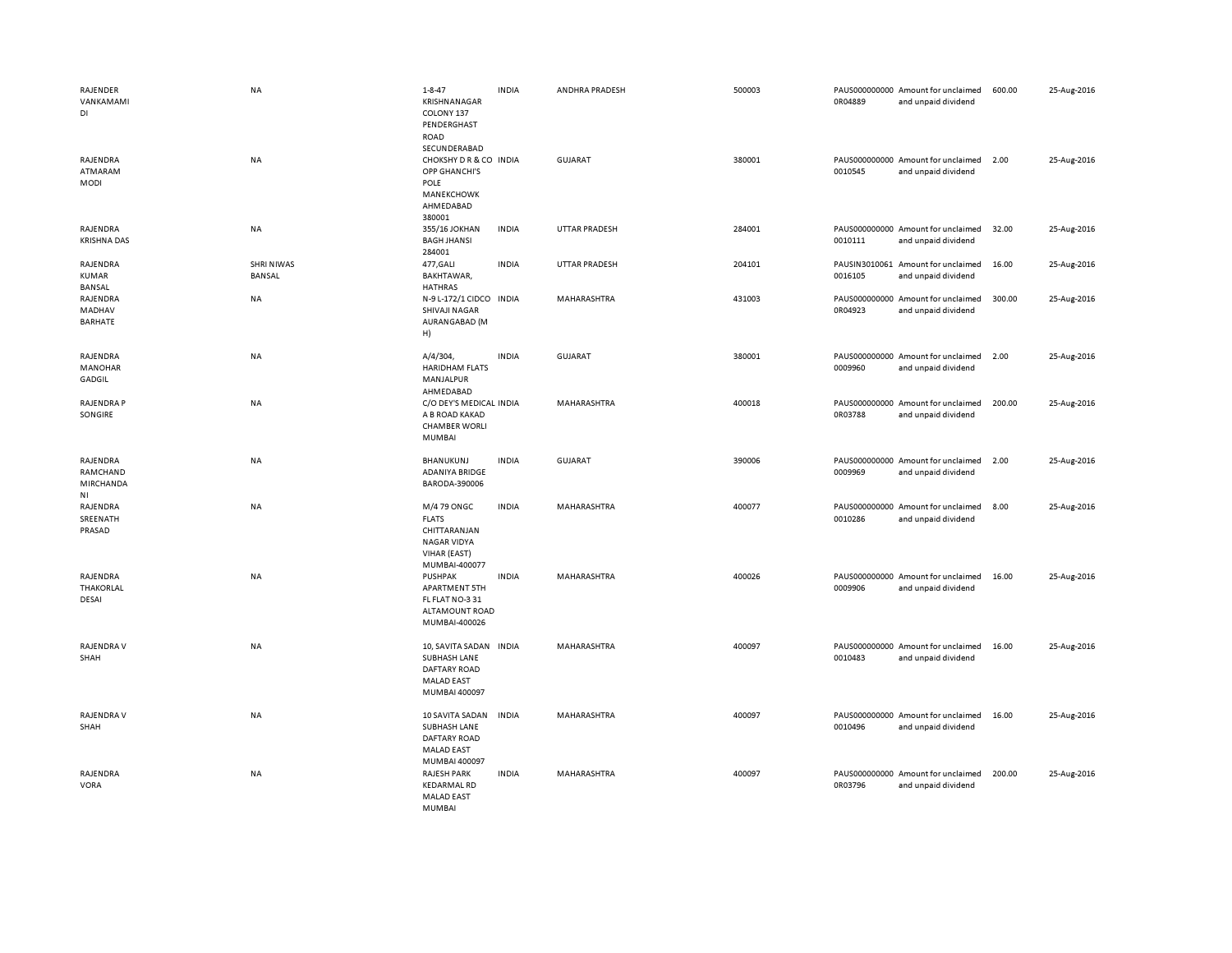| RAJENDER<br>VANKAMAMI<br>DI                         | NA                          | $1 - 8 - 47$<br>KRISHNANAGAR<br>COLONY 137<br>PENDERGHAST<br><b>ROAD</b><br>SECUNDERABAD           | <b>INDIA</b> | ANDHRA PRADESH       | 500003 | 0R04889 | PAUS000000000 Amount for unclaimed<br>and unpaid dividend | 600.00 | 25-Aug-2016 |
|-----------------------------------------------------|-----------------------------|----------------------------------------------------------------------------------------------------|--------------|----------------------|--------|---------|-----------------------------------------------------------|--------|-------------|
| RAJENDRA<br>ATMARAM<br><b>MODI</b>                  | NA                          | CHOKSHY DR & CO INDIA<br>OPP GHANCHI'S<br>POLE<br>MANEKCHOWK<br>AHMEDABAD<br>380001                |              | <b>GUJARAT</b>       | 380001 | 0010545 | PAUS000000000 Amount for unclaimed<br>and unpaid dividend | 2.00   | 25-Aug-2016 |
| RAJENDRA<br><b>KRISHNA DAS</b>                      | NA                          | 355/16 JOKHAN<br><b>BAGH JHANSI</b><br>284001                                                      | <b>INDIA</b> | <b>UTTAR PRADESH</b> | 284001 | 0010111 | PAUS000000000 Amount for unclaimed<br>and unpaid dividend | 32.00  | 25-Aug-2016 |
| RAJENDRA<br>KUMAR<br>BANSAL                         | <b>SHRI NIWAS</b><br>BANSAL | 477, GALI<br>BAKHTAWAR,<br>HATHRAS                                                                 | <b>INDIA</b> | <b>UTTAR PRADESH</b> | 204101 | 0016105 | PAUSIN3010061 Amount for unclaimed<br>and unpaid dividend | 16.00  | 25-Aug-2016 |
| RAJENDRA<br>MADHAV<br>BARHATE                       | NA                          | N-9 L-172/1 CIDCO INDIA<br>SHIVAJI NAGAR<br>AURANGABAD (M<br>H)                                    |              | MAHARASHTRA          | 431003 | 0R04923 | PAUS000000000 Amount for unclaimed<br>and unpaid dividend | 300.00 | 25-Aug-2016 |
| RAJENDRA<br>MANOHAR<br>GADGIL                       | NA                          | A/4/304,<br><b>HARIDHAM FLATS</b><br>MANJALPUR<br>AHMEDABAD                                        | <b>INDIA</b> | <b>GUJARAT</b>       | 380001 | 0009960 | PAUS000000000 Amount for unclaimed<br>and unpaid dividend | 2.00   | 25-Aug-2016 |
| <b>RAJENDRA P</b><br>SONGIRE                        | <b>NA</b>                   | C/O DEY'S MEDICAL INDIA<br>A B ROAD KAKAD<br><b>CHAMBER WORLI</b><br><b>MUMBAI</b>                 |              | <b>MAHARASHTRA</b>   | 400018 | 0R03788 | PAUS000000000 Amount for unclaimed<br>and unpaid dividend | 200.00 | 25-Aug-2016 |
| RAJENDRA<br>RAMCHAND<br>MIRCHANDA<br>N <sub>1</sub> | NA                          | BHANUKUNJ<br>ADANIYA BRIDGE<br>BARODA-390006                                                       | <b>INDIA</b> | <b>GUJARAT</b>       | 390006 | 0009969 | PAUS000000000 Amount for unclaimed<br>and unpaid dividend | 2.00   | 25-Aug-2016 |
| RAJENDRA<br>SREENATH<br>PRASAD                      | NA                          | M/4 79 ONGC<br><b>FLATS</b><br>CHITTARANJAN<br><b>NAGAR VIDYA</b><br>VIHAR (EAST)<br>MUMBAI-400077 | <b>INDIA</b> | MAHARASHTRA          | 400077 | 0010286 | PAUS000000000 Amount for unclaimed<br>and unpaid dividend | 8.00   | 25-Aug-2016 |
| RAJENDRA<br>THAKORLAL<br>DESAI                      | NA                          | <b>PUSHPAK</b><br><b>APARTMENT 5TH</b><br>FL FLAT NO-331<br>ALTAMOUNT ROAD<br>MUMBAI-400026        | <b>INDIA</b> | MAHARASHTRA          | 400026 | 0009906 | PAUS000000000 Amount for unclaimed<br>and unpaid dividend | 16.00  | 25-Aug-2016 |
| RAJENDRA V<br>SHAH                                  | NA                          | 10, SAVITA SADAN<br>SUBHASH LANE<br><b>DAFTARY ROAD</b><br><b>MALAD EAST</b><br>MUMBAI 400097      | <b>INDIA</b> | MAHARASHTRA          | 400097 | 0010483 | PAUS000000000 Amount for unclaimed<br>and unpaid dividend | 16.00  | 25-Aug-2016 |
| <b>RAJENDRA V</b><br>SHAH                           | NA                          | 10 SAVITA SADAN<br>SUBHASH LANE<br><b>DAFTARY ROAD</b><br><b>MALAD EAST</b><br>MUMBAI 400097       | <b>INDIA</b> | MAHARASHTRA          | 400097 | 0010496 | PAUS000000000 Amount for unclaimed<br>and unpaid dividend | 16.00  | 25-Aug-2016 |
| RAJENDRA<br><b>VORA</b>                             | NA                          | <b>RAJESH PARK</b><br><b>KEDARMAL RD</b><br><b>MALAD EAST</b><br><b>MUMBAI</b>                     | <b>INDIA</b> | MAHARASHTRA          | 400097 | 0R03796 | PAUS000000000 Amount for unclaimed<br>and unpaid dividend | 200.00 | 25-Aug-2016 |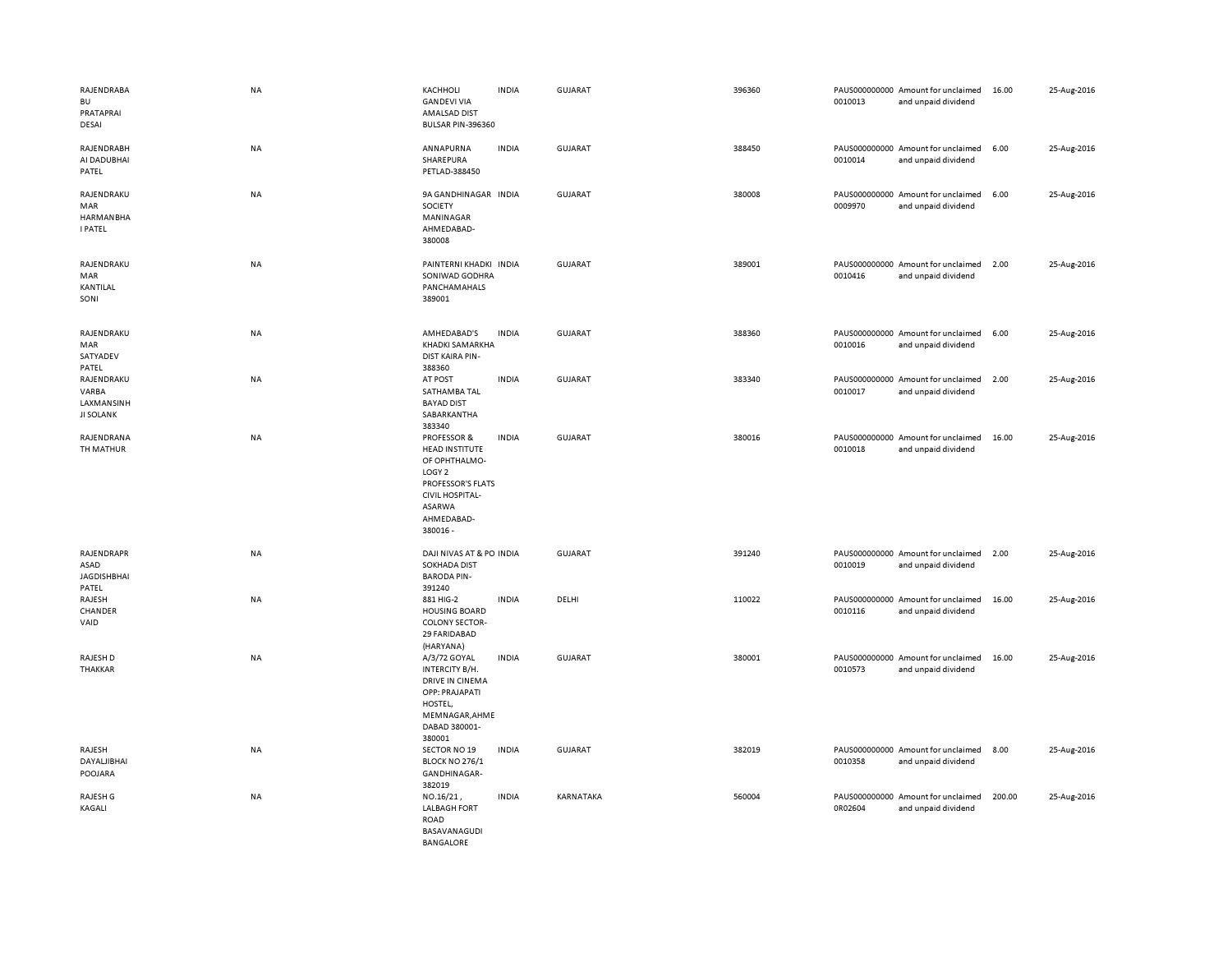| RAJENDRABA<br><b>BU</b><br>PRATAPRAI<br>DESAI           | NA        | KACHHOLI<br><b>GANDEVI VIA</b><br><b>AMALSAD DIST</b><br>BULSAR PIN-396360                                                                                               | <b>INDIA</b> | <b>GUJARAT</b> | 396360 | 0010013 | PAUS000000000 Amount for unclaimed<br>and unpaid dividend | 16.00  | 25-Aug-2016 |
|---------------------------------------------------------|-----------|--------------------------------------------------------------------------------------------------------------------------------------------------------------------------|--------------|----------------|--------|---------|-----------------------------------------------------------|--------|-------------|
| RAJENDRABH<br>AI DADUBHAI<br>PATEL                      | NA        | ANNAPURNA<br>SHAREPURA<br>PETLAD-388450                                                                                                                                  | <b>INDIA</b> | GUJARAT        | 388450 | 0010014 | PAUS000000000 Amount for unclaimed<br>and unpaid dividend | 6.00   | 25-Aug-2016 |
| RAJENDRAKU<br>MAR<br><b>HARMANBHA</b><br><b>I PATEL</b> | NA        | 9A GANDHINAGAR INDIA<br>SOCIETY<br>MANINAGAR<br>AHMEDABAD-<br>380008                                                                                                     |              | <b>GUJARAT</b> | 380008 | 0009970 | PAUS000000000 Amount for unclaimed<br>and unpaid dividend | 6.00   | 25-Aug-2016 |
| RAJENDRAKU<br>MAR<br>KANTILAL<br>SONI                   | NA        | PAINTERNI KHADKI INDIA<br>SONIWAD GODHRA<br>PANCHAMAHALS<br>389001                                                                                                       |              | <b>GUJARAT</b> | 389001 | 0010416 | PAUS000000000 Amount for unclaimed<br>and unpaid dividend | 2.00   | 25-Aug-2016 |
| RAJENDRAKU<br>MAR<br>SATYADEV<br>PATEL                  | NA        | AMHEDABAD'S<br>KHADKI SAMARKHA<br>DIST KAIRA PIN-<br>388360                                                                                                              | <b>INDIA</b> | GUJARAT        | 388360 | 0010016 | PAUS000000000 Amount for unclaimed<br>and unpaid dividend | 6.00   | 25-Aug-2016 |
| RAJENDRAKU<br>VARBA<br>LAXMANSINH<br><b>JI SOLANK</b>   | NA        | AT POST<br>SATHAMBA TAL<br><b>BAYAD DIST</b><br>SABARKANTHA<br>383340                                                                                                    | <b>INDIA</b> | GUJARAT        | 383340 | 0010017 | PAUS000000000 Amount for unclaimed<br>and unpaid dividend | 2.00   | 25-Aug-2016 |
| RAJENDRANA<br>TH MATHUR                                 | NA        | <b>PROFESSOR &amp;</b><br><b>HEAD INSTITUTE</b><br>OF OPHTHALMO-<br>LOGY <sub>2</sub><br>PROFESSOR'S FLATS<br><b>CIVIL HOSPITAL-</b><br>ASARWA<br>AHMEDABAD-<br>380016 - | <b>INDIA</b> | <b>GUJARAT</b> | 380016 | 0010018 | PAUS000000000 Amount for unclaimed<br>and unpaid dividend | 16.00  | 25-Aug-2016 |
| RAJENDRAPR<br>ASAD<br><b>JAGDISHBHAI</b><br>PATEL       | NA        | DAJI NIVAS AT & PO INDIA<br><b>SOKHADA DIST</b><br><b>BARODA PIN-</b><br>391240                                                                                          |              | GUJARAT        | 391240 | 0010019 | PAUS000000000 Amount for unclaimed<br>and unpaid dividend | 2.00   | 25-Aug-2016 |
| RAJESH<br>CHANDER<br>VAID                               | NA        | 881 HIG-2<br><b>HOUSING BOARD</b><br><b>COLONY SECTOR-</b><br>29 FARIDABAD<br>(HARYANA)                                                                                  | <b>INDIA</b> | DELHI          | 110022 | 0010116 | PAUS000000000 Amount for unclaimed<br>and unpaid dividend | 16.00  | 25-Aug-2016 |
| RAJESH D<br>THAKKAR                                     | <b>NA</b> | A/3/72 GOYAL<br>INTERCITY B/H.<br>DRIVE IN CINEMA<br>OPP: PRAJAPATI<br>HOSTEL,<br>MEMNAGAR, AHME<br>DABAD 380001-<br>380001                                              | <b>INDIA</b> | <b>GUJARAT</b> | 380001 | 0010573 | PAUS000000000 Amount for unclaimed<br>and unpaid dividend | 16.00  | 25-Aug-2016 |
| RAJESH<br>DAYALJIBHAI<br>POOJARA                        | NA        | SECTOR NO 19<br><b>BLOCK NO 276/1</b><br>GANDHINAGAR-<br>382019                                                                                                          | <b>INDIA</b> | <b>GUJARAT</b> | 382019 | 0010358 | PAUS000000000 Amount for unclaimed<br>and unpaid dividend | 8.00   | 25-Aug-2016 |
| RAJESH G<br>KAGALI                                      | NA        | NO.16/21,<br><b>LALBAGH FORT</b><br>ROAD<br>BASAVANAGUDI<br><b>BANGALORE</b>                                                                                             | <b>INDIA</b> | KARNATAKA      | 560004 | 0R02604 | PAUS000000000 Amount for unclaimed<br>and unpaid dividend | 200.00 | 25-Aug-2016 |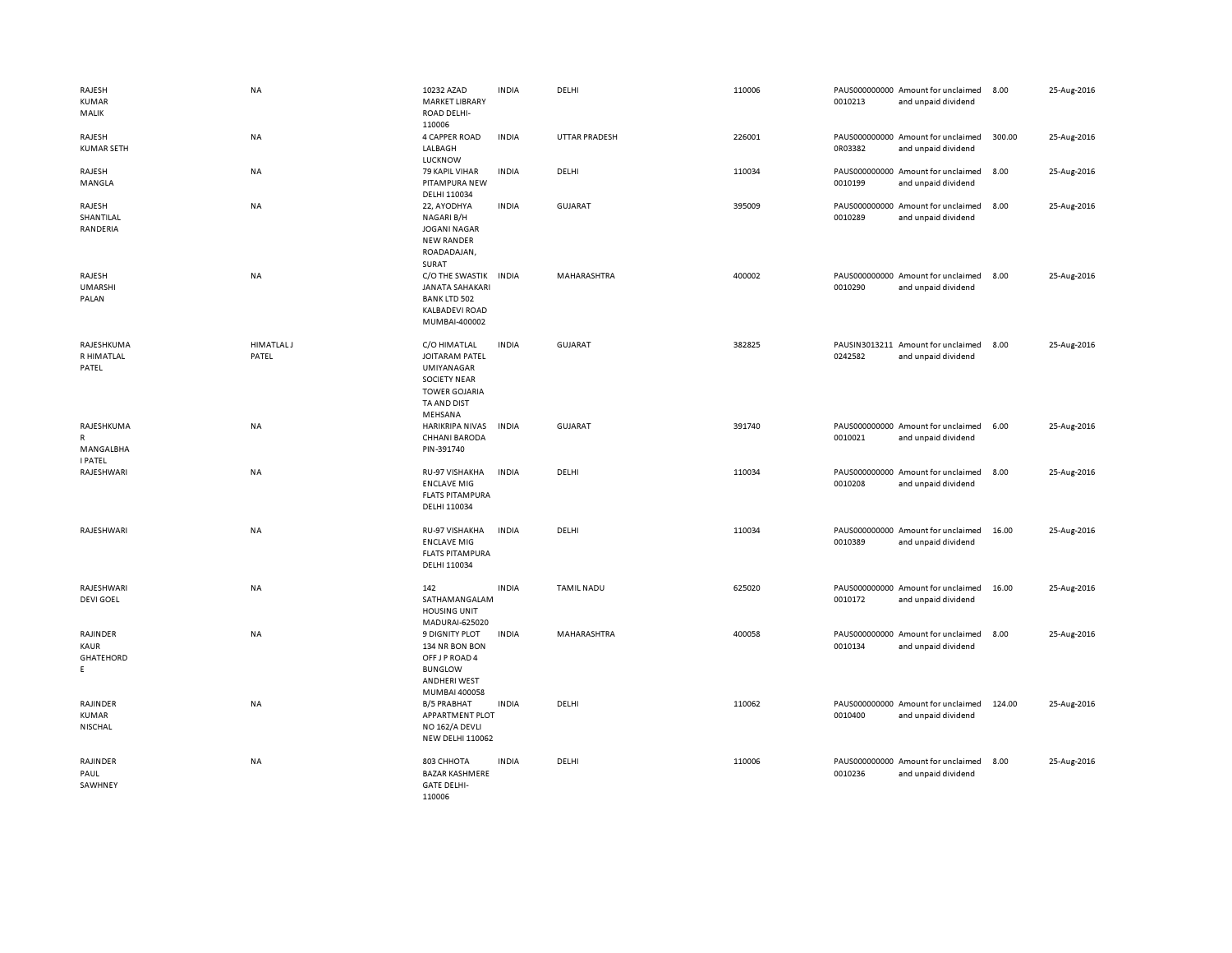| RAJESH<br><b>KUMAR</b><br>MALIK                | <b>NA</b>                  | 10232 AZAD<br><b>MARKET LIBRARY</b><br>ROAD DELHI-                                                                           | <b>INDIA</b> | DELHI                | 110006 | 0010213 | PAUS000000000 Amount for unclaimed<br>and unpaid dividend | 8.00   | 25-Aug-2016 |
|------------------------------------------------|----------------------------|------------------------------------------------------------------------------------------------------------------------------|--------------|----------------------|--------|---------|-----------------------------------------------------------|--------|-------------|
| RAJESH<br><b>KUMAR SETH</b>                    | NA                         | 110006<br>4 CAPPER ROAD<br>LALBAGH<br>LUCKNOW                                                                                | <b>INDIA</b> | <b>UTTAR PRADESH</b> | 226001 | 0R03382 | PAUS000000000 Amount for unclaimed<br>and unpaid dividend | 300.00 | 25-Aug-2016 |
| RAJESH<br>MANGLA                               | NA                         | 79 KAPIL VIHAR<br>PITAMPURA NEW<br>DELHI 110034                                                                              | <b>INDIA</b> | DELHI                | 110034 | 0010199 | PAUS000000000 Amount for unclaimed<br>and unpaid dividend | 8.00   | 25-Aug-2016 |
| RAJESH<br>SHANTILAL<br>RANDERIA                | NA                         | 22, AYODHYA<br>NAGARI B/H<br><b>JOGANI NAGAR</b><br><b>NEW RANDER</b><br>ROADADAJAN,<br>SURAT                                | <b>INDIA</b> | <b>GUJARAT</b>       | 395009 | 0010289 | PAUS000000000 Amount for unclaimed<br>and unpaid dividend | 8.00   | 25-Aug-2016 |
| RAJESH<br><b>UMARSHI</b><br>PALAN              | <b>NA</b>                  | C/O THE SWASTIK<br><b>JANATA SAHAKARI</b><br><b>BANK LTD 502</b><br><b>KALBADEVI ROAD</b><br>MUMBAI-400002                   | <b>INDIA</b> | MAHARASHTRA          | 400002 | 0010290 | PAUS000000000 Amount for unclaimed<br>and unpaid dividend | 8.00   | 25-Aug-2016 |
| RAJESHKUMA<br>R HIMATLAL<br>PATEL              | <b>HIMATLAL J</b><br>PATEL | C/O HIMATLAL<br><b>JOITARAM PATEL</b><br>UMIYANAGAR<br><b>SOCIETY NEAR</b><br><b>TOWER GOJARIA</b><br>TA AND DIST<br>MEHSANA | <b>INDIA</b> | <b>GUJARAT</b>       | 382825 | 0242582 | PAUSIN3013211 Amount for unclaimed<br>and unpaid dividend | 8.00   | 25-Aug-2016 |
| RAJESHKUMA<br>R<br>MANGALBHA<br><b>I PATEL</b> | NA                         | <b>HARIKRIPA NIVAS</b><br><b>CHHANI BARODA</b><br>PIN-391740                                                                 | <b>INDIA</b> | <b>GUJARAT</b>       | 391740 | 0010021 | PAUS000000000 Amount for unclaimed<br>and unpaid dividend | 6.00   | 25-Aug-2016 |
| RAJESHWARI                                     | NA                         | RU-97 VISHAKHA<br><b>ENCLAVE MIG</b><br><b>FLATS PITAMPURA</b><br>DELHI 110034                                               | <b>INDIA</b> | DELHI                | 110034 | 0010208 | PAUS000000000 Amount for unclaimed<br>and unpaid dividend | 8.00   | 25-Aug-2016 |
| RAJESHWARI                                     | <b>NA</b>                  | RU-97 VISHAKHA<br><b>ENCLAVE MIG</b><br><b>FLATS PITAMPURA</b><br>DELHI 110034                                               | <b>INDIA</b> | DELHI                | 110034 | 0010389 | PAUS000000000 Amount for unclaimed<br>and unpaid dividend | 16.00  | 25-Aug-2016 |
| RAJESHWARI<br><b>DEVI GOEL</b>                 | NA                         | 142<br>SATHAMANGALAM<br><b>HOUSING UNIT</b><br>MADURAI-625020                                                                | <b>INDIA</b> | <b>TAMIL NADU</b>    | 625020 | 0010172 | PAUS000000000 Amount for unclaimed<br>and unpaid dividend | 16.00  | 25-Aug-2016 |
| RAJINDER<br>KAUR<br>GHATEHORD<br>E.            | <b>NA</b>                  | <b>9 DIGNITY PLOT</b><br>134 NR BON BON<br>OFF J P ROAD 4<br><b>BUNGLOW</b><br><b>ANDHERI WEST</b><br>MUMBAI 400058          | <b>INDIA</b> | <b>MAHARASHTRA</b>   | 400058 | 0010134 | PAUS000000000 Amount for unclaimed<br>and unpaid dividend | 8.00   | 25-Aug-2016 |
| <b>RAJINDER</b><br><b>KUMAR</b><br>NISCHAL     | NA                         | <b>B/5 PRABHAT</b><br>APPARTMENT PLOT<br>NO 162/A DEVLI<br><b>NEW DELHI 110062</b>                                           | <b>INDIA</b> | DELHI                | 110062 | 0010400 | PAUS000000000 Amount for unclaimed<br>and unpaid dividend | 124.00 | 25-Aug-2016 |
| <b>RAJINDER</b><br>PAUL<br>SAWHNEY             | <b>NA</b>                  | 803 CHHOTA<br><b>BAZAR KASHMERE</b><br><b>GATE DELHI-</b><br>110006                                                          | <b>INDIA</b> | DELHI                | 110006 | 0010236 | PAUS000000000 Amount for unclaimed<br>and unpaid dividend | 8.00   | 25-Aug-2016 |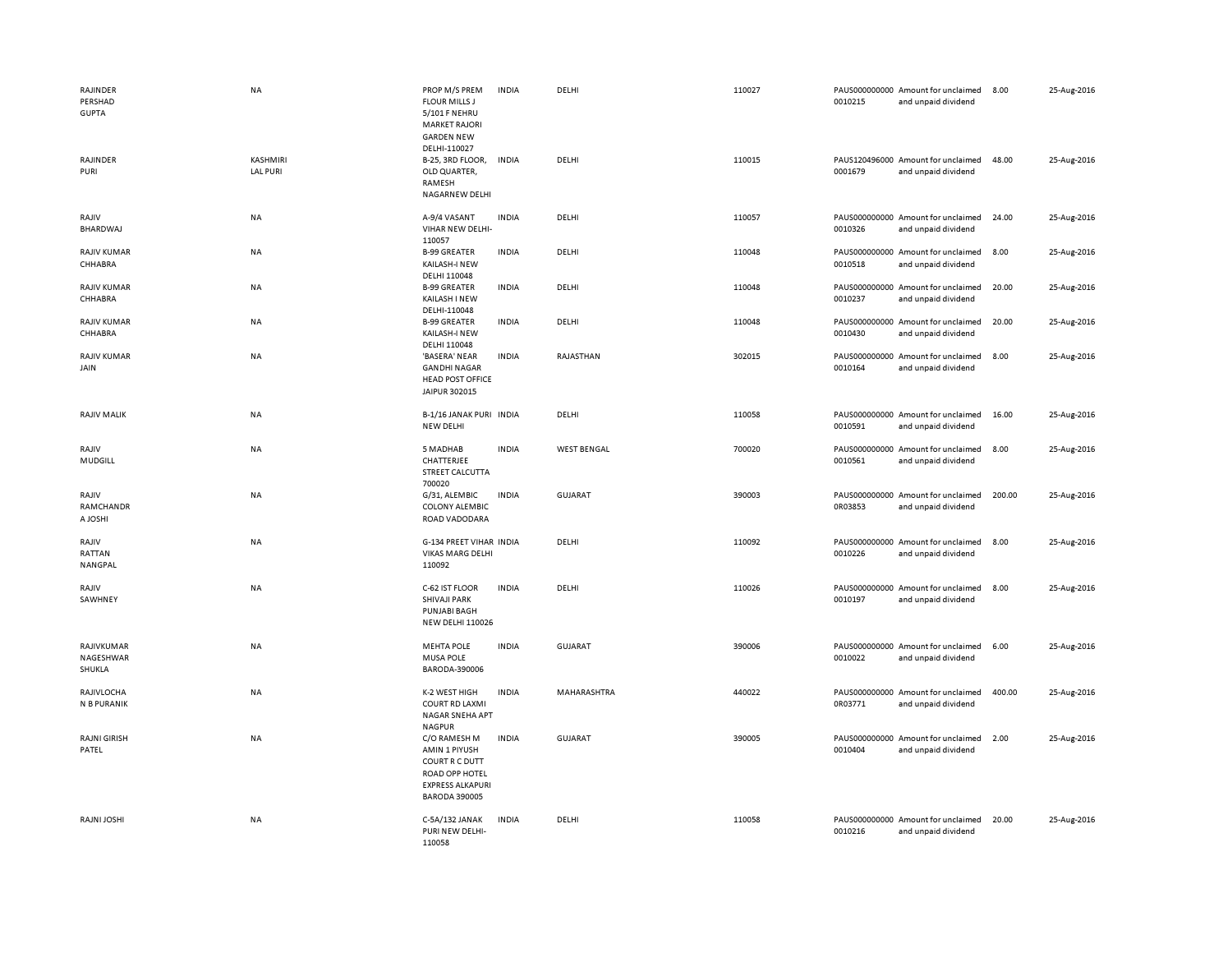| RAJINDER<br>PERSHAD<br><b>GUPTA</b><br>RAJINDER<br>PURI | <b>NA</b><br>KASHMIRI<br><b>LAL PURI</b> | PROP M/S PREM<br><b>FLOUR MILLS J</b><br>5/101 F NEHRU<br><b>MARKET RAJORI</b><br><b>GARDEN NEW</b><br>DELHI-110027<br>B-25, 3RD FLOOR,<br>OLD QUARTER,<br>RAMESH<br>NAGARNEW DELHI | <b>INDIA</b><br><b>INDIA</b> | DELHI<br>DELHI     | 110027<br>110015 | 0010215<br>0001679       | PAUS000000000 Amount for unclaimed<br>and unpaid dividend<br>PAUS120496000 Amount for unclaimed<br>and unpaid dividend | 8.00<br>48.00 | 25-Aug-2016<br>25-Aug-2016 |
|---------------------------------------------------------|------------------------------------------|-------------------------------------------------------------------------------------------------------------------------------------------------------------------------------------|------------------------------|--------------------|------------------|--------------------------|------------------------------------------------------------------------------------------------------------------------|---------------|----------------------------|
| RAJIV<br>BHARDWAJ                                       | NA                                       | A-9/4 VASANT<br>VIHAR NEW DELHI-<br>110057                                                                                                                                          | <b>INDIA</b>                 | DELHI              | 110057           | 0010326                  | PAUS000000000 Amount for unclaimed<br>and unpaid dividend                                                              | 24.00         | 25-Aug-2016                |
| RAJIV KUMAR<br>CHHABRA                                  | NA                                       | <b>B-99 GREATER</b><br>KAILASH-I NEW<br>DELHI 110048                                                                                                                                | <b>INDIA</b>                 | DELHI              | 110048           | 0010518                  | PAUS000000000 Amount for unclaimed<br>and unpaid dividend                                                              | 8.00          | 25-Aug-2016                |
| RAJIV KUMAR<br>CHHABRA                                  | <b>NA</b>                                | <b>B-99 GREATER</b><br>KAILASH I NEW<br>DELHI-110048                                                                                                                                | <b>INDIA</b>                 | DELHI              | 110048           | 0010237                  | PAUS000000000 Amount for unclaimed<br>and unpaid dividend                                                              | 20.00         | 25-Aug-2016                |
| <b>RAJIV KUMAR</b><br>CHHABRA                           | NA                                       | <b>B-99 GREATER</b><br>KAILASH-I NEW<br>DELHI 110048                                                                                                                                | <b>INDIA</b>                 | DELHI              | 110048           | 0010430                  | PAUS000000000 Amount for unclaimed<br>and unpaid dividend                                                              | 20.00         | 25-Aug-2016                |
| <b>RAJIV KUMAR</b><br>JAIN                              | NA                                       | 'BASERA' NEAR<br><b>GANDHI NAGAR</b><br><b>HEAD POST OFFICE</b><br>JAIPUR 302015                                                                                                    | <b>INDIA</b>                 | RAJASTHAN          | 302015           | 0010164                  | PAUS000000000 Amount for unclaimed<br>and unpaid dividend                                                              | 8.00          | 25-Aug-2016                |
| <b>RAJIV MALIK</b>                                      | <b>NA</b>                                | B-1/16 JANAK PURI INDIA<br>NEW DELHI                                                                                                                                                |                              | DELHI              | 110058           | 0010591                  | PAUS000000000 Amount for unclaimed<br>and unpaid dividend                                                              | 16.00         | 25-Aug-2016                |
| RAJIV<br>MUDGILL                                        | NA                                       | 5 MADHAB<br>CHATTERJEE<br>STREET CALCUTTA<br>700020                                                                                                                                 | <b>INDIA</b>                 | <b>WEST BENGAL</b> | 700020           | PAUS000000000<br>0010561 | Amount for unclaimed<br>and unpaid dividend                                                                            | 8.00          | 25-Aug-2016                |
| RAJIV<br>RAMCHANDR<br>A JOSHI                           | NA                                       | G/31, ALEMBIC<br><b>COLONY ALEMBIC</b><br>ROAD VADODARA                                                                                                                             | <b>INDIA</b>                 | <b>GUJARAT</b>     | 390003           | 0R03853                  | PAUS000000000 Amount for unclaimed<br>and unpaid dividend                                                              | 200.00        | 25-Aug-2016                |
| RAJIV<br>RATTAN<br>NANGPAL                              | NA                                       | G-134 PREET VIHAR INDIA<br><b>VIKAS MARG DELHI</b><br>110092                                                                                                                        |                              | DELHI              | 110092           | 0010226                  | PAUS000000000 Amount for unclaimed<br>and unpaid dividend                                                              | 8.00          | 25-Aug-2016                |
| RAJIV<br>SAWHNEY                                        | NA                                       | C-62 IST FLOOR<br><b>SHIVAJI PARK</b><br><b>PUNJABI BAGH</b><br>NEW DELHI 110026                                                                                                    | <b>INDIA</b>                 | DELHI              | 110026           | 0010197                  | PAUS000000000 Amount for unclaimed<br>and unpaid dividend                                                              | 8.00          | 25-Aug-2016                |
| RAJIVKUMAR<br>NAGESHWAR<br>SHUKLA                       | <b>NA</b>                                | <b>MEHTA POLE</b><br><b>MUSA POLE</b><br>BARODA-390006                                                                                                                              | <b>INDIA</b>                 | <b>GUJARAT</b>     | 390006           | 0010022                  | PAUS000000000 Amount for unclaimed<br>and unpaid dividend                                                              | 6.00          | 25-Aug-2016                |
| RAJIVLOCHA<br>N B PURANIK                               | NA                                       | K-2 WEST HIGH<br><b>COURT RD LAXMI</b><br>NAGAR SNEHA APT<br><b>NAGPUR</b>                                                                                                          | <b>INDIA</b>                 | MAHARASHTRA        | 440022           | 0R03771                  | PAUS000000000 Amount for unclaimed<br>and unpaid dividend                                                              | 400.00        | 25-Aug-2016                |
| <b>RAJNI GIRISH</b><br>PATEL                            | <b>NA</b>                                | C/O RAMESH M<br>AMIN 1 PIYUSH<br>COURT R C DUTT<br>ROAD OPP HOTEL<br><b>EXPRESS ALKAPURI</b><br><b>BARODA 390005</b>                                                                | <b>INDIA</b>                 | GUJARAT            | 390005           | 0010404                  | PAUS000000000 Amount for unclaimed<br>and unpaid dividend                                                              | 2.00          | 25-Aug-2016                |
| RAJNI JOSHI                                             | <b>NA</b>                                | C-5A/132 JANAK<br>PURI NEW DELHI-<br>110058                                                                                                                                         | <b>INDIA</b>                 | DELHI              | 110058           | 0010216                  | PAUS000000000 Amount for unclaimed<br>and unpaid dividend                                                              | 20.00         | 25-Aug-2016                |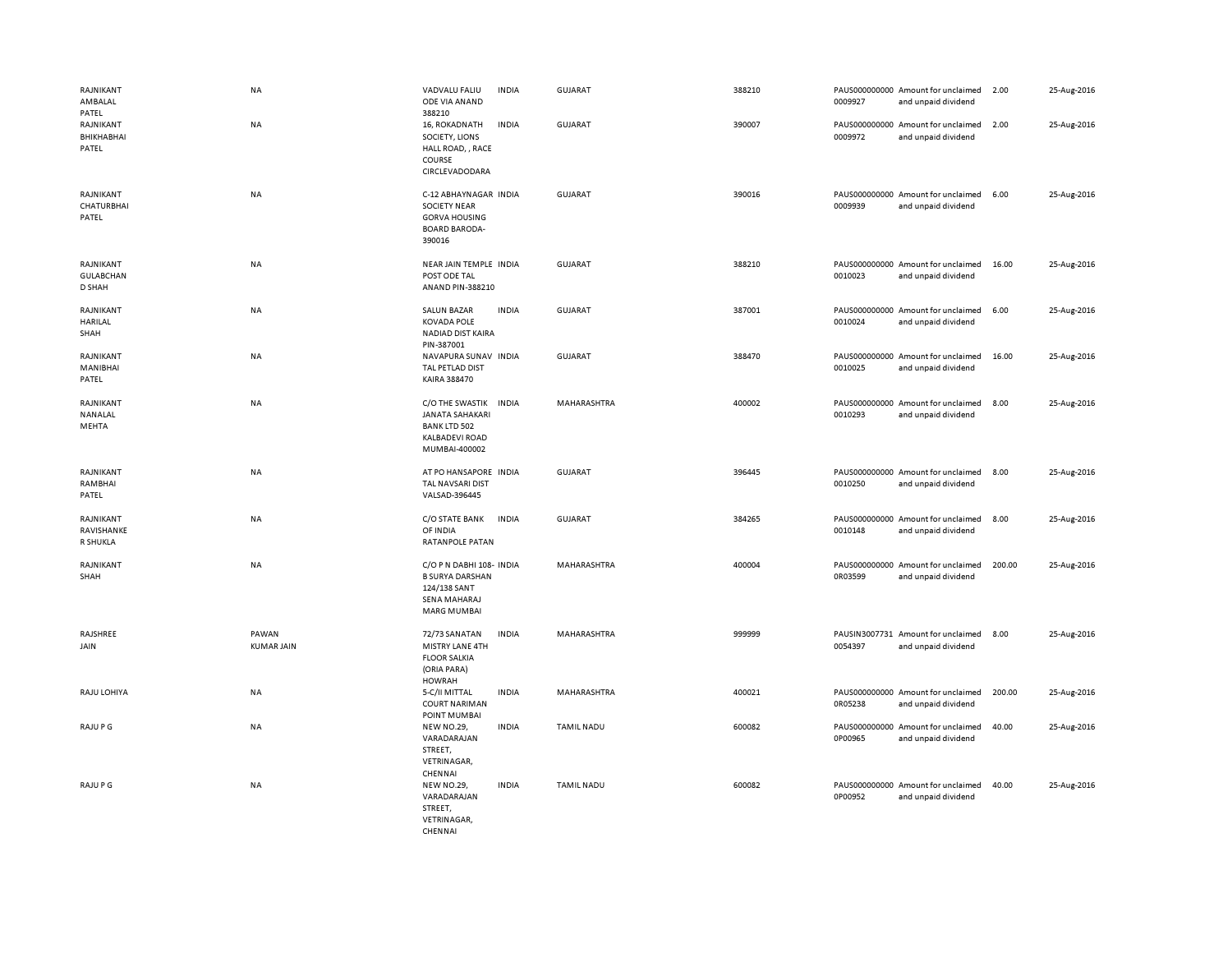| RAJNIKANT<br>AMBALAL<br>PATEL           | <b>NA</b>                  | VADVALU FALIU<br>ODE VIA ANAND<br>388210                                                                   | <b>INDIA</b> | GUJARAT           | 388210 | 0009927 | PAUS000000000 Amount for unclaimed<br>and unpaid dividend | 2.00   | 25-Aug-2016 |
|-----------------------------------------|----------------------------|------------------------------------------------------------------------------------------------------------|--------------|-------------------|--------|---------|-----------------------------------------------------------|--------|-------------|
| RAJNIKANT<br>BHIKHABHAI<br>PATEL        | NA                         | 16, ROKADNATH<br>SOCIETY, LIONS<br>HALL ROAD, , RACE<br>COURSE<br>CIRCLEVADODARA                           | <b>INDIA</b> | <b>GUJARAT</b>    | 390007 | 0009972 | PAUS000000000 Amount for unclaimed<br>and unpaid dividend | 2.00   | 25-Aug-2016 |
| RAJNIKANT<br><b>CHATURBHAI</b><br>PATEL | NA                         | C-12 ABHAYNAGAR INDIA<br><b>SOCIETY NEAR</b><br><b>GORVA HOUSING</b><br><b>BOARD BARODA-</b><br>390016     |              | GUJARAT           | 390016 | 0009939 | PAUS000000000 Amount for unclaimed<br>and unpaid dividend | 6.00   | 25-Aug-2016 |
| RAJNIKANT<br><b>GULABCHAN</b><br>D SHAH | NA                         | NEAR JAIN TEMPLE INDIA<br>POST ODE TAL<br>ANAND PIN-388210                                                 |              | <b>GUJARAT</b>    | 388210 | 0010023 | PAUS000000000 Amount for unclaimed<br>and unpaid dividend | 16.00  | 25-Aug-2016 |
| RAJNIKANT<br><b>HARILAL</b><br>SHAH     | NA                         | <b>SALUN BAZAR</b><br><b>KOVADA POLE</b><br>NADIAD DIST KAIRA<br>PIN-387001                                | <b>INDIA</b> | GUJARAT           | 387001 | 0010024 | PAUS000000000 Amount for unclaimed<br>and unpaid dividend | 6.00   | 25-Aug-2016 |
| RAJNIKANT<br>MANIBHAI<br>PATEL          | NA                         | NAVAPURA SUNAV INDIA<br>TAL PETLAD DIST<br>KAIRA 388470                                                    |              | <b>GUJARAT</b>    | 388470 | 0010025 | PAUS000000000 Amount for unclaimed<br>and unpaid dividend | 16.00  | 25-Aug-2016 |
| RAJNIKANT<br>NANALAL<br>MEHTA           | NA                         | C/O THE SWASTIK<br><b>JANATA SAHAKARI</b><br><b>BANK LTD 502</b><br><b>KALBADEVI ROAD</b><br>MUMBAI-400002 | <b>INDIA</b> | MAHARASHTRA       | 400002 | 0010293 | PAUS000000000 Amount for unclaimed<br>and unpaid dividend | 8.00   | 25-Aug-2016 |
| RAJNIKANT<br>RAMBHAI<br>PATEL           | NA                         | AT PO HANSAPORE INDIA<br>TAL NAVSARI DIST<br>VALSAD-396445                                                 |              | <b>GUJARAT</b>    | 396445 | 0010250 | PAUS000000000 Amount for unclaimed<br>and unpaid dividend | 8.00   | 25-Aug-2016 |
| RAJNIKANT<br>RAVISHANKE<br>R SHUKLA     | <b>NA</b>                  | C/O STATE BANK INDIA<br>OF INDIA<br>RATANPOLE PATAN                                                        |              | GUJARAT           | 384265 | 0010148 | PAUS000000000 Amount for unclaimed<br>and unpaid dividend | 8.00   | 25-Aug-2016 |
| RAJNIKANT<br>SHAH                       | NA                         | C/O P N DABHI 108- INDIA<br><b>B SURYA DARSHAN</b><br>124/138 SANT<br>SENA MAHARAJ<br><b>MARG MUMBAI</b>   |              | MAHARASHTRA       | 400004 | 0R03599 | PAUS000000000 Amount for unclaimed<br>and unpaid dividend | 200.00 | 25-Aug-2016 |
| RAJSHREE<br>JAIN                        | PAWAN<br><b>KUMAR JAIN</b> | 72/73 SANATAN<br>MISTRY LANE 4TH<br><b>FLOOR SALKIA</b><br>(ORIA PARA)<br><b>HOWRAH</b>                    | <b>INDIA</b> | MAHARASHTRA       | 999999 | 0054397 | PAUSIN3007731 Amount for unclaimed<br>and unpaid dividend | 8.00   | 25-Aug-2016 |
| RAJU LOHIYA                             | <b>NA</b>                  | 5-C/II MITTAL<br><b>COURT NARIMAN</b><br>POINT MUMBAI                                                      | <b>INDIA</b> | MAHARASHTRA       | 400021 | 0R05238 | PAUS000000000 Amount for unclaimed<br>and unpaid dividend | 200.00 | 25-Aug-2016 |
| RAJU P G                                | <b>NA</b>                  | <b>NEW NO.29,</b><br>VARADARAJAN<br>STREET,<br>VETRINAGAR,<br>CHENNAI                                      | <b>INDIA</b> | <b>TAMIL NADU</b> | 600082 | 0P00965 | PAUS000000000 Amount for unclaimed<br>and unpaid dividend | 40.00  | 25-Aug-2016 |
| RAJU P G                                | <b>NA</b>                  | <b>NEW NO.29,</b><br>VARADARAJAN<br>STREET,<br>VETRINAGAR,<br>CHENNAL                                      | <b>INDIA</b> | <b>TAMIL NADU</b> | 600082 | 0P00952 | PAUS000000000 Amount for unclaimed<br>and unpaid dividend | 40.00  | 25-Aug-2016 |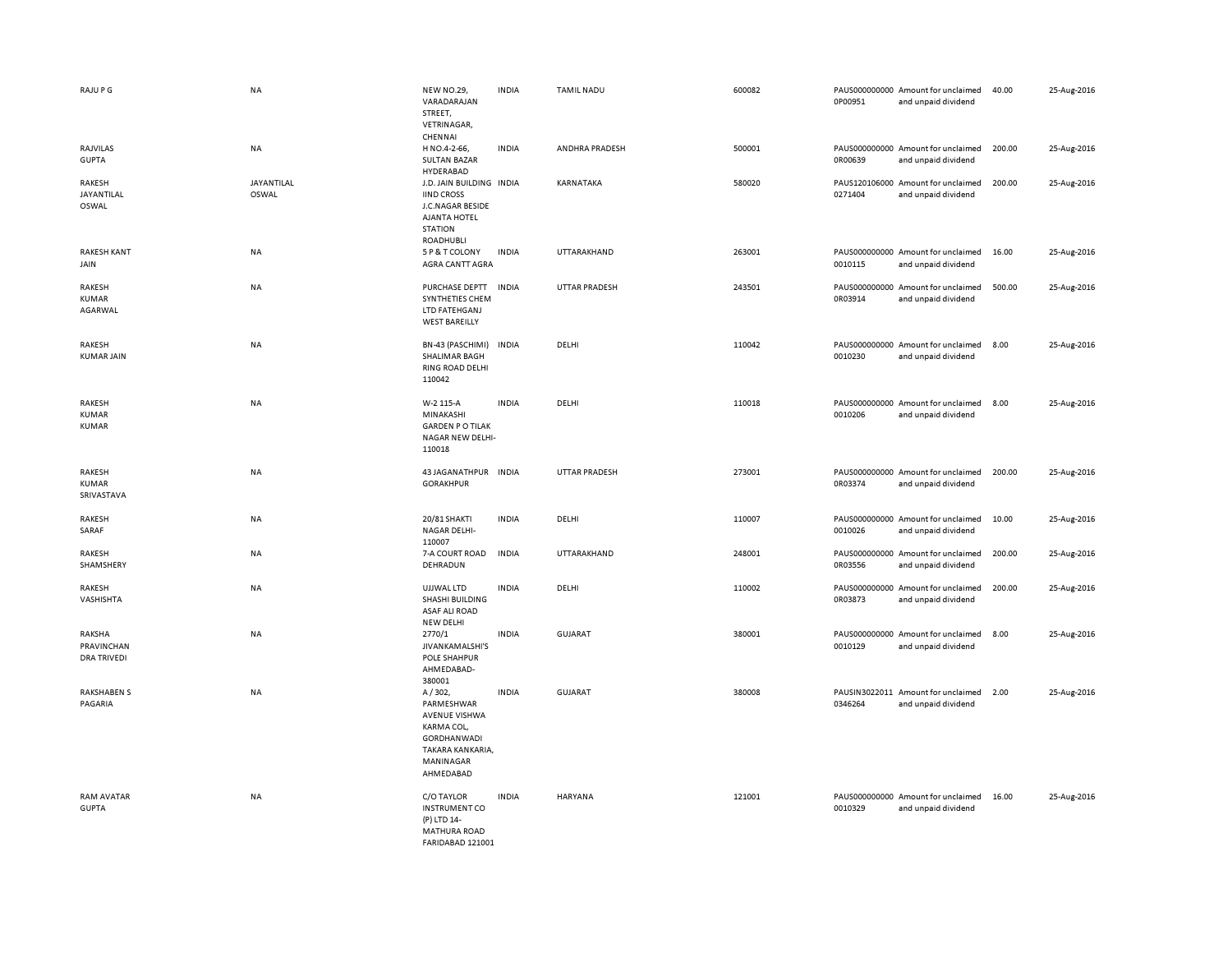| RAJU P G                                   | <b>NA</b>           | <b>NEW NO.29,</b><br>VARADARAJAN<br>STREET,<br>VETRINAGAR,                                                                     | <b>INDIA</b> | <b>TAMIL NADU</b>    | 600082 | 0P00951 | PAUS000000000 Amount for unclaimed<br>and unpaid dividend | 40.00  | 25-Aug-2016 |
|--------------------------------------------|---------------------|--------------------------------------------------------------------------------------------------------------------------------|--------------|----------------------|--------|---------|-----------------------------------------------------------|--------|-------------|
| RAJVILAS<br><b>GUPTA</b>                   | NA                  | CHENNAI<br>H NO.4-2-66,<br><b>SULTAN BAZAR</b><br><b>HYDERABAD</b>                                                             | <b>INDIA</b> | ANDHRA PRADESH       | 500001 | 0R00639 | PAUS000000000 Amount for unclaimed<br>and unpaid dividend | 200.00 | 25-Aug-2016 |
| RAKESH<br>JAYANTILAL<br>OSWAL              | JAYANTILAL<br>OSWAL | J.D. JAIN BUILDING INDIA<br><b>IIND CROSS</b><br>J.C.NAGAR BESIDE<br><b>AJANTA HOTEL</b><br><b>STATION</b><br>ROADHUBLI        |              | KARNATAKA            | 580020 | 0271404 | PAUS120106000 Amount for unclaimed<br>and unpaid dividend | 200.00 | 25-Aug-2016 |
| <b>RAKESH KANT</b><br>JAIN                 | <b>NA</b>           | 5 P & T COLONY<br><b>AGRA CANTT AGRA</b>                                                                                       | <b>INDIA</b> | UTTARAKHAND          | 263001 | 0010115 | PAUS000000000 Amount for unclaimed<br>and unpaid dividend | 16.00  | 25-Aug-2016 |
| RAKESH<br><b>KUMAR</b><br>AGARWAL          | NA                  | PURCHASE DEPTT<br>SYNTHETIES CHEM<br>LTD FATEHGANJ<br><b>WEST BAREILLY</b>                                                     | <b>INDIA</b> | <b>UTTAR PRADESH</b> | 243501 | 0R03914 | PAUS000000000 Amount for unclaimed<br>and unpaid dividend | 500.00 | 25-Aug-2016 |
| RAKESH<br><b>KUMAR JAIN</b>                | <b>NA</b>           | BN-43 (PASCHIMI)<br>SHALIMAR BAGH<br>RING ROAD DELHI<br>110042                                                                 | <b>INDIA</b> | DELHI                | 110042 | 0010230 | PAUS000000000 Amount for unclaimed<br>and unpaid dividend | 8.00   | 25-Aug-2016 |
| RAKESH<br><b>KUMAR</b><br>KUMAR            | NA                  | W-2 115-A<br>MINAKASHI<br><b>GARDEN PO TILAK</b><br>NAGAR NEW DELHI-<br>110018                                                 | <b>INDIA</b> | DELHI                | 110018 | 0010206 | PAUS000000000 Amount for unclaimed<br>and unpaid dividend | 8.00   | 25-Aug-2016 |
| RAKESH<br><b>KUMAR</b><br>SRIVASTAVA       | NA                  | 43 JAGANATHPUR INDIA<br><b>GORAKHPUR</b>                                                                                       |              | UTTAR PRADESH        | 273001 | 0R03374 | PAUS000000000 Amount for unclaimed<br>and unpaid dividend | 200.00 | 25-Aug-2016 |
| RAKESH<br>SARAF                            | NA                  | 20/81 SHAKTI<br><b>NAGAR DELHI-</b><br>110007                                                                                  | <b>INDIA</b> | DELHI                | 110007 | 0010026 | PAUS000000000 Amount for unclaimed<br>and unpaid dividend | 10.00  | 25-Aug-2016 |
| RAKESH<br>SHAMSHERY                        | NA                  | 7-A COURT ROAD<br>DEHRADUN                                                                                                     | <b>INDIA</b> | UTTARAKHAND          | 248001 | 0R03556 | PAUS000000000 Amount for unclaimed<br>and unpaid dividend | 200.00 | 25-Aug-2016 |
| RAKESH<br>VASHISHTA                        | <b>NA</b>           | UJJWAL LTD<br>SHASHI BUILDING<br>ASAF ALI ROAD<br>NEW DELHI                                                                    | <b>INDIA</b> | DELHI                | 110002 | 0R03873 | PAUS000000000 Amount for unclaimed<br>and unpaid dividend | 200.00 | 25-Aug-2016 |
| RAKSHA<br>PRAVINCHAN<br><b>DRA TRIVEDI</b> | <b>NA</b>           | 2770/1<br>JIVANKAMALSHI'S<br><b>POLE SHAHPUR</b><br>AHMEDABAD-<br>380001                                                       | <b>INDIA</b> | <b>GUJARAT</b>       | 380001 | 0010129 | PAUS000000000 Amount for unclaimed<br>and unpaid dividend | 8.00   | 25-Aug-2016 |
| <b>RAKSHABEN S</b><br>PAGARIA              | NA                  | A/302,<br>PARMESHWAR<br><b>AVENUE VISHWA</b><br>KARMA COL,<br><b>GORDHANWADI</b><br>TAKARA KANKARIA,<br>MANINAGAR<br>AHMEDABAD | <b>INDIA</b> | <b>GUJARAT</b>       | 380008 | 0346264 | PAUSIN3022011 Amount for unclaimed<br>and unpaid dividend | 2.00   | 25-Aug-2016 |
| <b>RAM AVATAR</b><br><b>GUPTA</b>          | <b>NA</b>           | C/O TAYLOR<br><b>INSTRUMENT CO</b><br>(P) LTD 14-<br><b>MATHURA ROAD</b><br>FARIDABAD 121001                                   | <b>INDIA</b> | HARYANA              | 121001 | 0010329 | PAUS000000000 Amount for unclaimed<br>and unpaid dividend | 16.00  | 25-Aug-2016 |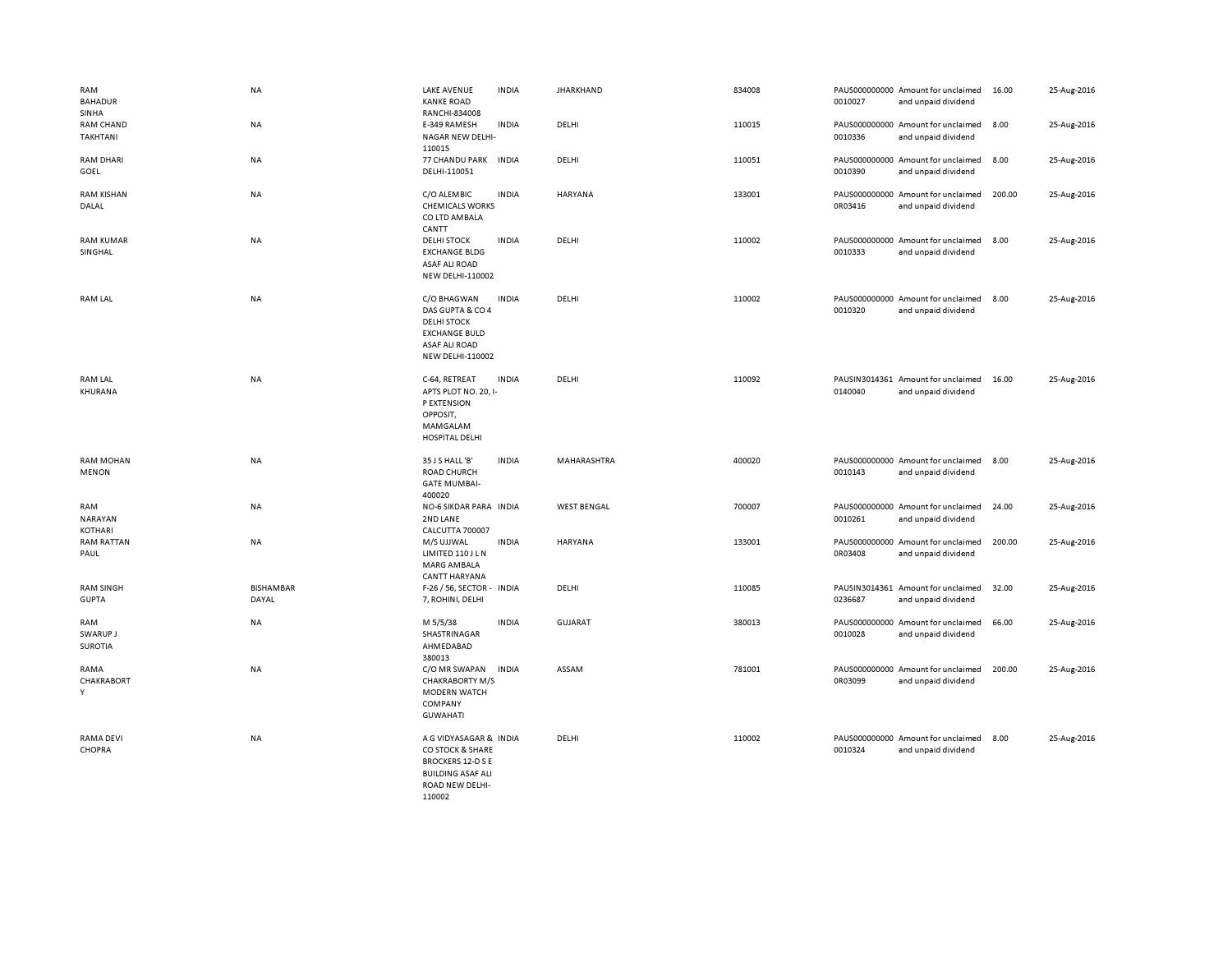| RAM<br><b>BAHADUR</b><br>SINHA    | <b>NA</b>                 | <b>LAKE AVENUE</b><br><b>KANKE ROAD</b><br>RANCHI-834008                                                                  | <b>INDIA</b> | <b>JHARKHAND</b>   | 834008 | 0010027                  | PAUS000000000 Amount for unclaimed<br>and unpaid dividend | 16.00  | 25-Aug-2016 |
|-----------------------------------|---------------------------|---------------------------------------------------------------------------------------------------------------------------|--------------|--------------------|--------|--------------------------|-----------------------------------------------------------|--------|-------------|
| <b>RAM CHAND</b><br>TAKHTANI      | NA                        | E-349 RAMESH<br>NAGAR NEW DELHI-<br>110015                                                                                | <b>INDIA</b> | DELHI              | 110015 | 0010336                  | PAUS000000000 Amount for unclaimed<br>and unpaid dividend | 8.00   | 25-Aug-2016 |
| <b>RAM DHARI</b><br>GOEL          | NA                        | 77 CHANDU PARK INDIA<br>DELHI-110051                                                                                      |              | DELHI              | 110051 | 0010390                  | PAUS000000000 Amount for unclaimed<br>and unpaid dividend | 8.00   | 25-Aug-2016 |
| <b>RAM KISHAN</b><br>DALAL        | NA                        | C/O ALEMBIC<br><b>CHEMICALS WORKS</b><br>CO LTD AMBALA<br>CANTT                                                           | <b>INDIA</b> | <b>HARYANA</b>     | 133001 | 0R03416                  | PAUS000000000 Amount for unclaimed<br>and unpaid dividend | 200.00 | 25-Aug-2016 |
| <b>RAM KUMAR</b><br>SINGHAL       | <b>NA</b>                 | <b>DELHI STOCK</b><br><b>EXCHANGE BLDG</b><br><b>ASAF ALI ROAD</b><br>NEW DELHI-110002                                    | <b>INDIA</b> | DELHI              | 110002 | 0010333                  | PAUS000000000 Amount for unclaimed<br>and unpaid dividend | 8.00   | 25-Aug-2016 |
| <b>RAM LAL</b>                    | <b>NA</b>                 | C/O BHAGWAN<br>DAS GUPTA & CO 4<br><b>DELHI STOCK</b><br><b>EXCHANGE BULD</b><br>ASAF ALI ROAD<br><b>NEW DELHI-110002</b> | <b>INDIA</b> | DELHI              | 110002 | 0010320                  | PAUS000000000 Amount for unclaimed<br>and unpaid dividend | 8.00   | 25-Aug-2016 |
| RAM LAL<br>KHURANA                | NA                        | C-64, RETREAT<br>APTS PLOT NO. 20, I-<br>P EXTENSION<br>OPPOSIT,<br>MAMGALAM<br>HOSPITAL DELHI                            | <b>INDIA</b> | DELHI              | 110092 | 0140040                  | PAUSIN3014361 Amount for unclaimed<br>and unpaid dividend | 16.00  | 25-Aug-2016 |
| <b>RAM MOHAN</b><br><b>MENON</b>  | <b>NA</b>                 | 35 J S HALL 'B'<br>ROAD CHURCH<br><b>GATE MUMBAI-</b><br>400020                                                           | <b>INDIA</b> | MAHARASHTRA        | 400020 | 0010143                  | PAUS000000000 Amount for unclaimed<br>and unpaid dividend | 8.00   | 25-Aug-2016 |
| RAM<br>NARAYAN<br>KOTHARI         | NA                        | NO-6 SIKDAR PARA INDIA<br>2ND LANE<br>CALCUTTA 700007                                                                     |              | <b>WEST BENGAL</b> | 700007 | 0010261                  | PAUS000000000 Amount for unclaimed<br>and unpaid dividend | 24.00  | 25-Aug-2016 |
| <b>RAM RATTAN</b><br>PAUL         | NA                        | M/S UJJWAL<br>LIMITED 110 J L N<br><b>MARG AMBALA</b><br><b>CANTT HARYANA</b>                                             | <b>INDIA</b> | HARYANA            | 133001 | 0R03408                  | PAUS000000000 Amount for unclaimed<br>and unpaid dividend | 200.00 | 25-Aug-2016 |
| <b>RAM SINGH</b><br><b>GUPTA</b>  | <b>BISHAMBAR</b><br>DAYAL | F-26 / 56, SECTOR -<br>7, ROHINI, DELHI                                                                                   | <b>INDIA</b> | DELHI              | 110085 | PAUSIN3014361<br>0236687 | Amount for unclaimed<br>and unpaid dividend               | 32.00  | 25-Aug-2016 |
| RAM<br>SWARUP J<br><b>SUROTIA</b> | <b>NA</b>                 | M 5/5/38<br>SHASTRINAGAR<br>AHMEDABAD<br>380013                                                                           | <b>INDIA</b> | <b>GUJARAT</b>     | 380013 | 0010028                  | PAUS000000000 Amount for unclaimed<br>and unpaid dividend | 66.00  | 25-Aug-2016 |
| RAMA<br>CHAKRABORT<br>Y           | <b>NA</b>                 | C/O MR SWAPAN<br><b>CHAKRABORTY M/S</b><br><b>MODERN WATCH</b><br>COMPANY<br><b>GUWAHATI</b>                              | <b>INDIA</b> | ASSAM              | 781001 | 0R03099                  | PAUS000000000 Amount for unclaimed<br>and unpaid dividend | 200.00 | 25-Aug-2016 |
| <b>RAMA DEVI</b><br>CHOPRA        | <b>NA</b>                 | A G VIDYASAGAR & INDIA<br>CO STOCK & SHARE<br><b>BROCKERS 12-D S E</b><br><b>BUILDING ASAF ALI</b><br>ROAD NEW DELHI-     |              | DELHI              | 110002 | 0010324                  | PAUS000000000 Amount for unclaimed<br>and unpaid dividend | 8.00   | 25-Aug-2016 |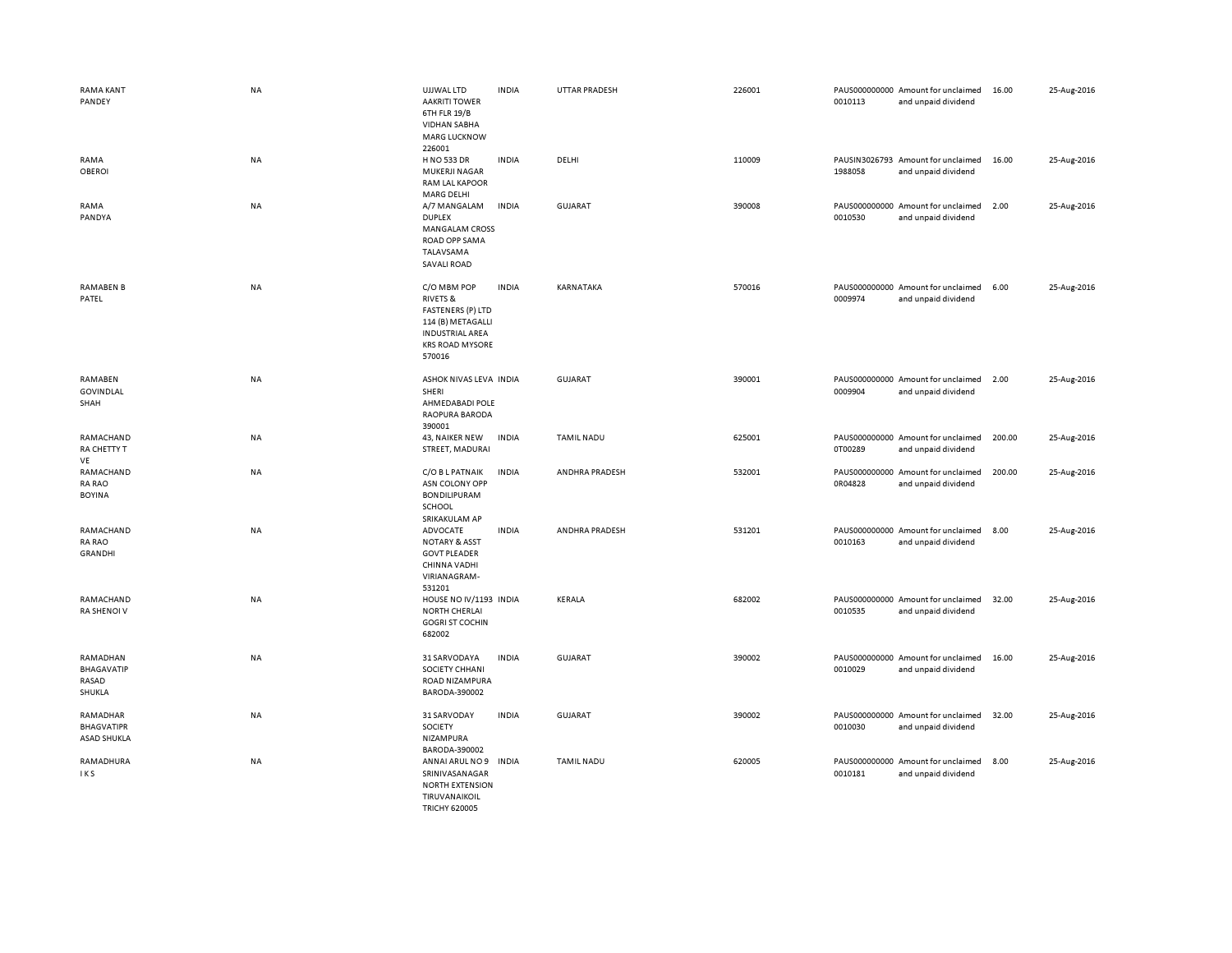| RAMA KANT<br>PANDEY                                 | NA        | UJJWAL LTD<br><b>AAKRITI TOWER</b><br>6TH FLR 19/B<br><b>VIDHAN SABHA</b><br><b>MARG LUCKNOW</b><br>226001                                        | <b>INDIA</b> | UTTAR PRADESH     | 226001 | 0010113 | PAUS000000000 Amount for unclaimed<br>and unpaid dividend | 16.00  | 25-Aug-2016 |
|-----------------------------------------------------|-----------|---------------------------------------------------------------------------------------------------------------------------------------------------|--------------|-------------------|--------|---------|-----------------------------------------------------------|--------|-------------|
| RAMA<br><b>OBEROI</b>                               | NA        | H NO 533 DR<br>MUKERJI NAGAR<br>RAM LAL KAPOOR<br><b>MARG DELHI</b>                                                                               | <b>INDIA</b> | DELHI             | 110009 | 1988058 | PAUSIN3026793 Amount for unclaimed<br>and unpaid dividend | 16.00  | 25-Aug-2016 |
| RAMA<br>PANDYA                                      | <b>NA</b> | A/7 MANGALAM<br><b>DUPLEX</b><br><b>MANGALAM CROSS</b><br>ROAD OPP SAMA<br>TALAVSAMA<br><b>SAVALI ROAD</b>                                        | <b>INDIA</b> | <b>GUJARAT</b>    | 390008 | 0010530 | PAUS000000000 Amount for unclaimed<br>and unpaid dividend | 2.00   | 25-Aug-2016 |
| <b>RAMABEN B</b><br>PATEL                           | NA        | C/O MBM POP<br><b>RIVETS &amp;</b><br><b>FASTENERS (P) LTD</b><br>114 (B) METAGALLI<br><b>INDUSTRIAL AREA</b><br><b>KRS ROAD MYSORE</b><br>570016 | <b>INDIA</b> | KARNATAKA         | 570016 | 0009974 | PAUS000000000 Amount for unclaimed<br>and unpaid dividend | 6.00   | 25-Aug-2016 |
| RAMABEN<br>GOVINDLAL<br>SHAH                        | NA        | ASHOK NIVAS LEVA INDIA<br>SHERI<br>AHMEDABADI POLE<br>RAOPURA BARODA<br>390001                                                                    |              | <b>GUJARAT</b>    | 390001 | 0009904 | PAUS000000000 Amount for unclaimed<br>and unpaid dividend | 2.00   | 25-Aug-2016 |
| RAMACHAND<br>RA CHETTY T<br>VE                      | NA        | 43, NAIKER NEW<br>STREET, MADURAI                                                                                                                 | <b>INDIA</b> | <b>TAMIL NADU</b> | 625001 | 0T00289 | PAUS000000000 Amount for unclaimed<br>and unpaid dividend | 200.00 | 25-Aug-2016 |
| RAMACHAND<br><b>RA RAO</b><br><b>BOYINA</b>         | NA        | C/O B L PATNAIK<br>ASN COLONY OPP<br><b>BONDILIPURAM</b><br>SCHOOL<br>SRIKAKULAM AP                                                               | <b>INDIA</b> | ANDHRA PRADESH    | 532001 | 0R04828 | PAUS000000000 Amount for unclaimed<br>and unpaid dividend | 200.00 | 25-Aug-2016 |
| RAMACHAND<br>RA RAO<br><b>GRANDHI</b>               | <b>NA</b> | <b>ADVOCATE</b><br><b>NOTARY &amp; ASST</b><br><b>GOVT PLEADER</b><br>CHINNA VADHI<br>VIRIANAGRAM-<br>531201                                      | <b>INDIA</b> | ANDHRA PRADESH    | 531201 | 0010163 | PAUS000000000 Amount for unclaimed<br>and unpaid dividend | 8.00   | 25-Aug-2016 |
| RAMACHAND<br><b>RA SHENOI V</b>                     | <b>NA</b> | HOUSE NO IV/1193 INDIA<br><b>NORTH CHERLAI</b><br><b>GOGRI ST COCHIN</b><br>682002                                                                |              | KERALA            | 682002 | 0010535 | PAUS000000000 Amount for unclaimed<br>and unpaid dividend | 32.00  | 25-Aug-2016 |
| RAMADHAN<br><b>BHAGAVATIP</b><br>RASAD<br>SHUKLA    | NA        | 31 SARVODAYA<br>SOCIETY CHHANI<br>ROAD NIZAMPURA<br>BARODA-390002                                                                                 | <b>INDIA</b> | <b>GUJARAT</b>    | 390002 | 0010029 | PAUS000000000 Amount for unclaimed<br>and unpaid dividend | 16.00  | 25-Aug-2016 |
| RAMADHAR<br><b>BHAGVATIPR</b><br><b>ASAD SHUKLA</b> | NA        | 31 SARVODAY<br>SOCIETY<br>NIZAMPURA<br>BARODA-390002                                                                                              | <b>INDIA</b> | GUJARAT           | 390002 | 0010030 | PAUS000000000 Amount for unclaimed<br>and unpaid dividend | 32.00  | 25-Aug-2016 |
| RAMADHURA<br>IKS                                    | NA        | ANNAI ARUL NO 9<br>SRINIVASANAGAR<br><b>NORTH EXTENSION</b><br>TIRUVANAIKOIL<br><b>TRICHY 620005</b>                                              | <b>INDIA</b> | <b>TAMIL NADU</b> | 620005 | 0010181 | PAUS000000000 Amount for unclaimed<br>and unpaid dividend | 8.00   | 25-Aug-2016 |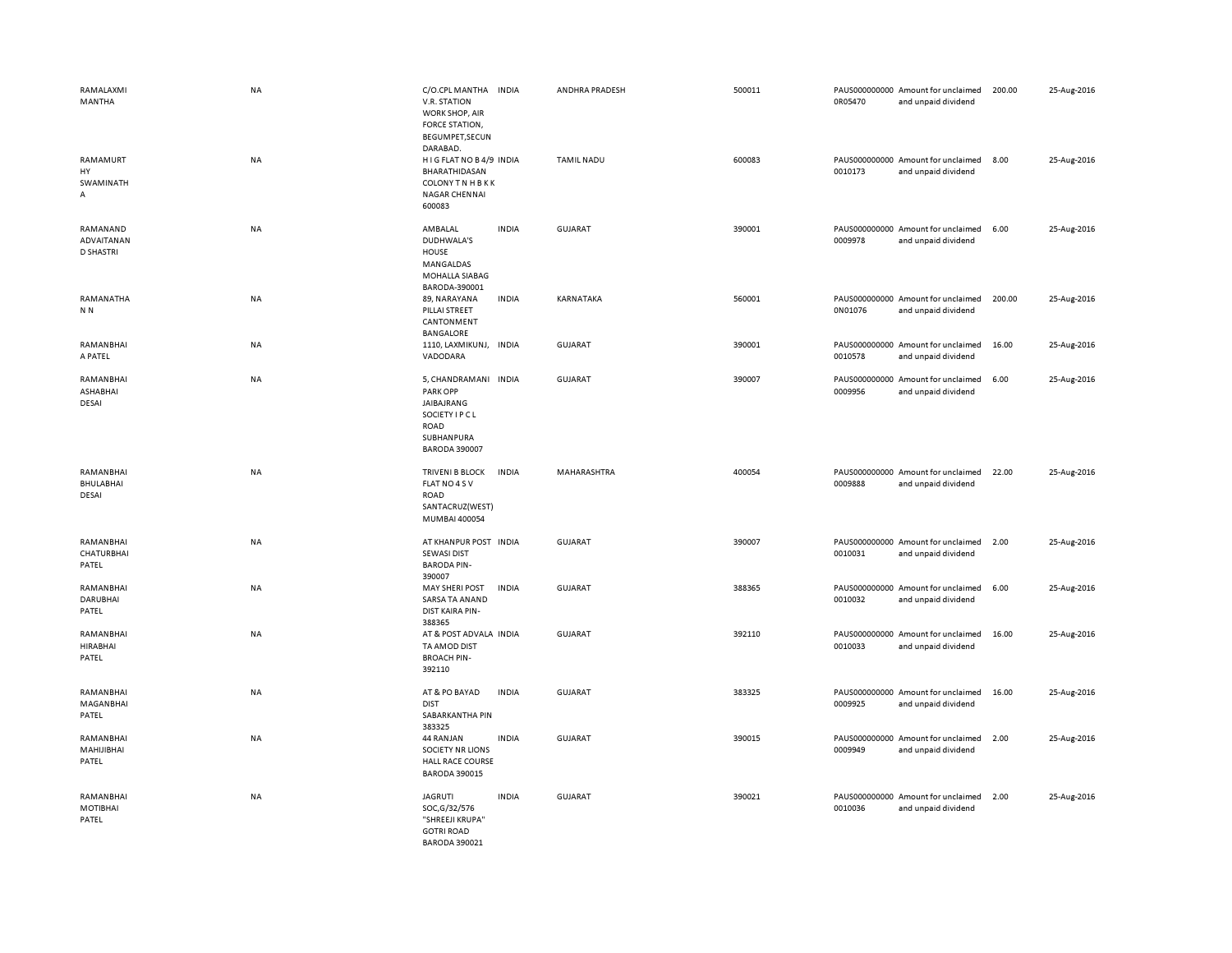| RAMALAXMI<br>MANTHA                        | <b>NA</b> | C/O.CPL MANTHA INDIA<br>V.R. STATION<br>WORK SHOP, AIR<br>FORCE STATION,<br>BEGUMPET, SECUN<br>DARABAD.         |              | ANDHRA PRADESH    | 500011 | 0R05470 | PAUS000000000 Amount for unclaimed<br>and unpaid dividend | 200.00 | 25-Aug-2016 |
|--------------------------------------------|-----------|-----------------------------------------------------------------------------------------------------------------|--------------|-------------------|--------|---------|-----------------------------------------------------------|--------|-------------|
| RAMAMURT<br>HY<br>SWAMINATH<br>Α           | <b>NA</b> | HIG FLAT NO B4/9 INDIA<br>BHARATHIDASAN<br><b>COLONY TN HBKK</b><br>NAGAR CHENNAI<br>600083                     |              | <b>TAMIL NADU</b> | 600083 | 0010173 | PAUS000000000 Amount for unclaimed<br>and unpaid dividend | 8.00   | 25-Aug-2016 |
| RAMANAND<br>ADVAITANAN<br><b>D SHASTRI</b> | <b>NA</b> | AMBALAL<br>DUDHWALA'S<br>HOUSE<br>MANGALDAS<br>MOHALLA SIABAG<br>BARODA-390001                                  | <b>INDIA</b> | <b>GUJARAT</b>    | 390001 | 0009978 | PAUS000000000 Amount for unclaimed<br>and unpaid dividend | 6.00   | 25-Aug-2016 |
| RAMANATHA<br>N N                           | NA        | 89, NARAYANA<br>PILLAI STREET<br>CANTONMENT<br>BANGALORE                                                        | <b>INDIA</b> | KARNATAKA         | 560001 | 0N01076 | PAUS000000000 Amount for unclaimed<br>and unpaid dividend | 200.00 | 25-Aug-2016 |
| RAMANBHAI<br>A PATEL                       | NA        | 1110, LAXMIKUNJ, INDIA<br>VADODARA                                                                              |              | <b>GUJARAT</b>    | 390001 | 0010578 | PAUS000000000 Amount for unclaimed<br>and unpaid dividend | 16.00  | 25-Aug-2016 |
| RAMANBHAI<br>ASHABHAI<br>DESAI             | <b>NA</b> | 5, CHANDRAMANI INDIA<br>PARK OPP<br>JAIBAJRANG<br>SOCIETY I P C L<br>ROAD<br>SUBHANPURA<br><b>BARODA 390007</b> |              | GUJARAT           | 390007 | 0009956 | PAUS000000000 Amount for unclaimed<br>and unpaid dividend | 6.00   | 25-Aug-2016 |
| RAMANBHAI                                  | NA        | <b>TRIVENI B BLOCK</b>                                                                                          | <b>INDIA</b> | MAHARASHTRA       | 400054 |         | PAUS000000000 Amount for unclaimed                        | 22.00  | 25-Aug-2016 |
| BHULABHAI<br>DESAI                         |           | FLAT NO 4 SV<br>ROAD<br>SANTACRUZ(WEST)<br>MUMBAI 400054                                                        |              |                   |        | 0009888 | and unpaid dividend                                       |        |             |
| RAMANBHAI<br>CHATURBHAI<br>PATEL           | <b>NA</b> | AT KHANPUR POST INDIA<br><b>SEWASI DIST</b><br><b>BARODA PIN-</b><br>390007                                     |              | <b>GUJARAT</b>    | 390007 | 0010031 | PAUS000000000 Amount for unclaimed<br>and unpaid dividend | 2.00   | 25-Aug-2016 |
| RAMANBHAI<br><b>DARUBHAI</b><br>PATEL      | <b>NA</b> | <b>MAY SHERI POST</b><br>SARSA TA ANAND<br>DIST KAIRA PIN-<br>388365                                            | <b>INDIA</b> | <b>GUJARAT</b>    | 388365 | 0010032 | PAUS000000000 Amount for unclaimed<br>and unpaid dividend | 6.00   | 25-Aug-2016 |
| RAMANBHAI<br><b>HIRABHAI</b><br>PATEL      | NA        | AT & POST ADVALA INDIA<br>TA AMOD DIST<br><b>BROACH PIN-</b><br>392110                                          |              | <b>GUJARAT</b>    | 392110 | 0010033 | PAUS000000000 Amount for unclaimed<br>and unpaid dividend | 16.00  | 25-Aug-2016 |
| RAMANBHAI<br>MAGANBHAI<br>PATEL            | NA        | AT & PO BAYAD<br><b>DIST</b><br>SABARKANTHA PIN<br>383325                                                       | <b>INDIA</b> | GUJARAT           | 383325 | 0009925 | PAUS000000000 Amount for unclaimed<br>and unpaid dividend | 16.00  | 25-Aug-2016 |
| RAMANBHAI<br>MAHIJIBHAI<br>PATEL           | NA        | 44 RANJAN<br><b>SOCIETY NR LIONS</b><br><b>HALL RACE COURSE</b><br><b>BARODA 390015</b>                         | <b>INDIA</b> | GUJARAT           | 390015 | 0009949 | PAUS000000000 Amount for unclaimed<br>and unpaid dividend | 2.00   | 25-Aug-2016 |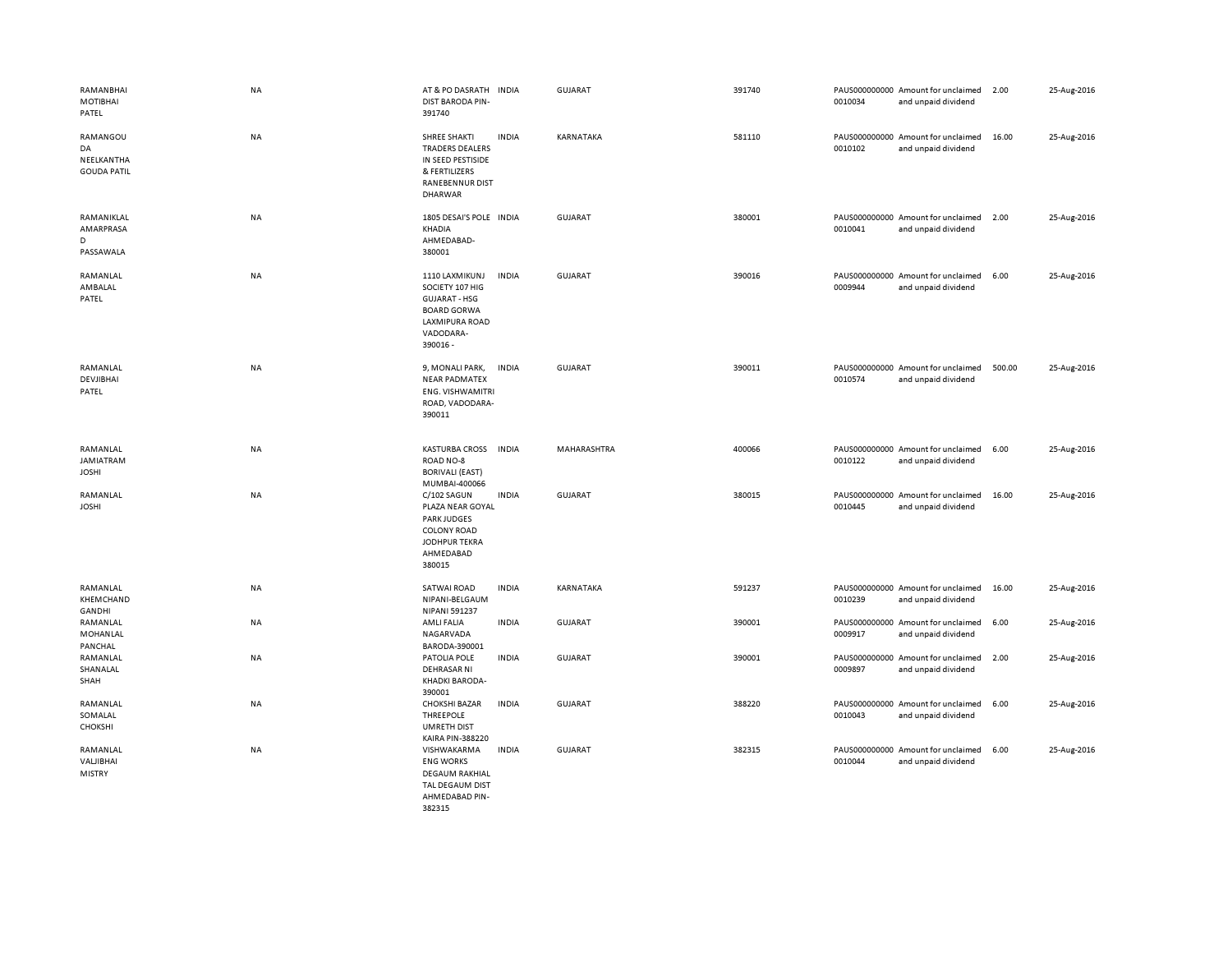| RAMANBHAI<br>MOTIBHAI<br>PATEL                     | NA        | AT & PO DASRATH<br><b>DIST BARODA PIN-</b><br>391740                                                                              | <b>INDIA</b> | <b>GUJARAT</b>     | 391740 | 0010034 | PAUS000000000 Amount for unclaimed<br>and unpaid dividend | 2.00   | 25-Aug-2016 |
|----------------------------------------------------|-----------|-----------------------------------------------------------------------------------------------------------------------------------|--------------|--------------------|--------|---------|-----------------------------------------------------------|--------|-------------|
| RAMANGOU<br>DA<br>NEELKANTHA<br><b>GOUDA PATIL</b> | NA        | <b>SHREE SHAKTI</b><br><b>TRADERS DEALERS</b><br>IN SEED PESTISIDE<br>& FERTILIZERS<br>RANEBENNUR DIST<br><b>DHARWAR</b>          | <b>INDIA</b> | KARNATAKA          | 581110 | 0010102 | PAUS000000000 Amount for unclaimed<br>and unpaid dividend | 16.00  | 25-Aug-2016 |
| RAMANIKLAL<br>AMARPRASA<br>D<br>PASSAWALA          | NA        | 1805 DESAI'S POLE INDIA<br>KHADIA<br>AHMEDABAD-<br>380001                                                                         |              | <b>GUJARAT</b>     | 380001 | 0010041 | PAUS000000000 Amount for unclaimed<br>and unpaid dividend | 2.00   | 25-Aug-2016 |
| RAMANLAL<br>AMBALAL<br>PATEL                       | <b>NA</b> | 1110 LAXMIKUNJ<br>SOCIETY 107 HIG<br><b>GUJARAT - HSG</b><br><b>BOARD GORWA</b><br><b>LAXMIPURA ROAD</b><br>VADODARA-<br>390016 - | <b>INDIA</b> | <b>GUJARAT</b>     | 390016 | 0009944 | PAUS000000000 Amount for unclaimed<br>and unpaid dividend | 6.00   | 25-Aug-2016 |
| RAMANLAL<br>DEVJIBHAI<br>PATEL                     | NA        | 9, MONALI PARK,<br><b>NEAR PADMATEX</b><br><b>ENG. VISHWAMITRI</b><br>ROAD, VADODARA-<br>390011                                   | <b>INDIA</b> | <b>GUJARAT</b>     | 390011 | 0010574 | PAUS000000000 Amount for unclaimed<br>and unpaid dividend | 500.00 | 25-Aug-2016 |
| RAMANLAL<br><b>JAMIATRAM</b><br><b>JOSHI</b>       | <b>NA</b> | <b>KASTURBA CROSS</b><br>ROAD NO-8<br><b>BORIVALI (EAST)</b><br>MUMBAI-400066                                                     | <b>INDIA</b> | <b>MAHARASHTRA</b> | 400066 | 0010122 | PAUS000000000 Amount for unclaimed<br>and unpaid dividend | 6.00   | 25-Aug-2016 |
| RAMANLAL<br><b>JOSHI</b>                           | NA        | C/102 SAGUN<br>PLAZA NEAR GOYAL<br><b>PARK JUDGES</b><br><b>COLONY ROAD</b><br>JODHPUR TEKRA<br>AHMEDABAD<br>380015               | <b>INDIA</b> | <b>GUJARAT</b>     | 380015 | 0010445 | PAUS000000000 Amount for unclaimed<br>and unpaid dividend | 16.00  | 25-Aug-2016 |
| RAMANLAL<br>KHEMCHAND<br>GANDHI                    | NA        | <b>SATWAI ROAD</b><br>NIPANI-BELGAUM<br>NIPANI 591237                                                                             | <b>INDIA</b> | KARNATAKA          | 591237 | 0010239 | PAUS000000000 Amount for unclaimed<br>and unpaid dividend | 16.00  | 25-Aug-2016 |
| RAMANLAL<br>MOHANLAL<br>PANCHAL                    | NA        | AMLI FALIA<br>NAGARVADA<br>BARODA-390001                                                                                          | <b>INDIA</b> | GUJARAT            | 390001 | 0009917 | PAUS000000000 Amount for unclaimed<br>and unpaid dividend | 6.00   | 25-Aug-2016 |
| RAMANLAL<br>SHANALAL<br>SHAH                       | NA        | PATOLIA POLE<br><b>DEHRASAR NI</b><br>KHADKI BARODA-<br>390001                                                                    | <b>INDIA</b> | <b>GUJARAT</b>     | 390001 | 0009897 | PAUS000000000 Amount for unclaimed<br>and unpaid dividend | 2.00   | 25-Aug-2016 |
| RAMANLAL<br>SOMALAL<br><b>CHOKSHI</b>              | NA        | <b>CHOKSHI BAZAR</b><br>THREEPOLE<br><b>UMRETH DIST</b><br><b>KAIRA PIN-388220</b>                                                | <b>INDIA</b> | <b>GUJARAT</b>     | 388220 | 0010043 | PAUS000000000 Amount for unclaimed<br>and unpaid dividend | 6.00   | 25-Aug-2016 |
| RAMANLAL<br>VALJIBHAI<br><b>MISTRY</b>             | NA        | VISHWAKARMA<br><b>ENG WORKS</b><br><b>DEGAUM RAKHIAL</b><br>TAL DEGAUM DIST<br>AHMEDABAD PIN-<br>382315                           | <b>INDIA</b> | <b>GUJARAT</b>     | 382315 | 0010044 | PAUS000000000 Amount for unclaimed<br>and unpaid dividend | 6.00   | 25-Aug-2016 |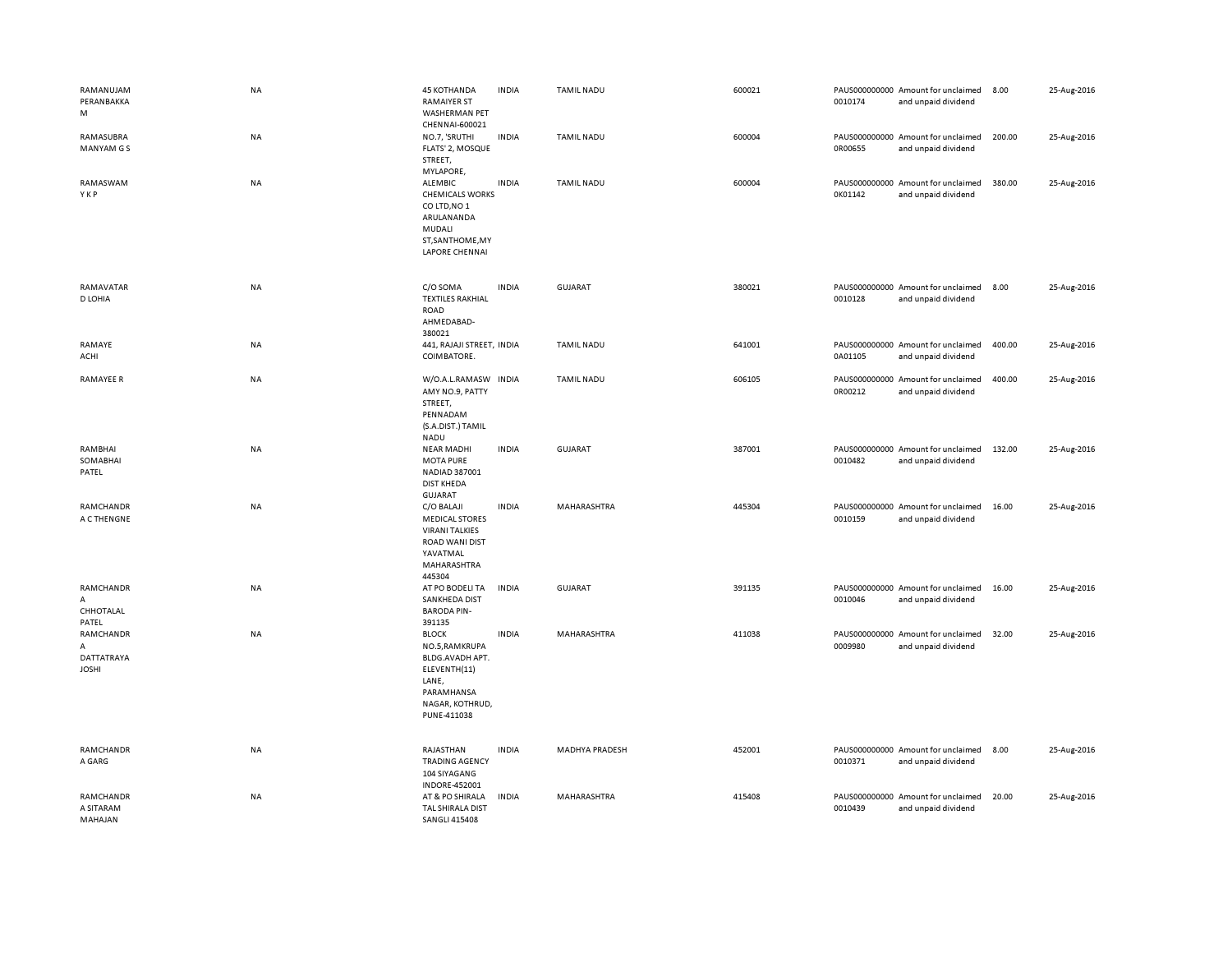| RAMANUJAM<br>PERANBAKKA<br>M                 | <b>NA</b> | <b>45 KOTHANDA</b><br><b>RAMAIYER ST</b><br>WASHERMAN PET<br>CHENNAI-600021                                                | <b>INDIA</b> | <b>TAMIL NADU</b> | 600021 | 0010174 | PAUS000000000 Amount for unclaimed<br>and unpaid dividend | 8.00   | 25-Aug-2016 |
|----------------------------------------------|-----------|----------------------------------------------------------------------------------------------------------------------------|--------------|-------------------|--------|---------|-----------------------------------------------------------|--------|-------------|
| RAMASUBRA<br><b>MANYAM GS</b>                | NA        | NO.7, 'SRUTHI<br>FLATS' 2, MOSQUE<br>STREET,<br>MYLAPORE,                                                                  | <b>INDIA</b> | <b>TAMIL NADU</b> | 600004 | 0R00655 | PAUS000000000 Amount for unclaimed<br>and unpaid dividend | 200.00 | 25-Aug-2016 |
| RAMASWAM<br>YKP                              | NA        | ALEMBIC<br><b>CHEMICALS WORKS</b><br>COLTD, NO 1<br>ARULANANDA<br>MUDALI<br>ST, SANTHOME, MY<br><b>LAPORE CHENNAI</b>      | <b>INDIA</b> | <b>TAMIL NADU</b> | 600004 | 0K01142 | PAUS000000000 Amount for unclaimed<br>and unpaid dividend | 380.00 | 25-Aug-2016 |
| RAMAVATAR<br>D LOHIA                         | NA        | C/O SOMA<br><b>TEXTILES RAKHIAL</b><br>ROAD<br>AHMEDABAD-<br>380021                                                        | <b>INDIA</b> | <b>GUJARAT</b>    | 380021 | 0010128 | PAUS000000000 Amount for unclaimed<br>and unpaid dividend | 8.00   | 25-Aug-2016 |
| RAMAYE<br>ACHI                               | <b>NA</b> | 441, RAJAJI STREET, INDIA<br>COIMBATORE.                                                                                   |              | <b>TAMIL NADU</b> | 641001 | 0A01105 | PAUS000000000 Amount for unclaimed<br>and unpaid dividend | 400.00 | 25-Aug-2016 |
| <b>RAMAYEE R</b>                             | NA        | W/O.A.L.RAMASW INDIA<br>AMY NO.9, PATTY<br>STREET,<br>PENNADAM<br>(S.A.DIST.) TAMIL<br><b>NADU</b>                         |              | <b>TAMIL NADU</b> | 606105 | 0R00212 | PAUS000000000 Amount for unclaimed<br>and unpaid dividend | 400.00 | 25-Aug-2016 |
| RAMBHAI<br>SOMABHAI<br>PATEL                 | NA        | <b>NEAR MADHI</b><br><b>MOTA PURE</b><br>NADIAD 387001<br><b>DIST KHEDA</b><br><b>GUJARAT</b>                              | <b>INDIA</b> | <b>GUJARAT</b>    | 387001 | 0010482 | PAUS000000000 Amount for unclaimed<br>and unpaid dividend | 132.00 | 25-Aug-2016 |
| RAMCHANDR<br>A C THENGNE                     | NA        | C/O BALAJI<br><b>MEDICAL STORES</b><br><b>VIRANI TALKIES</b><br>ROAD WANI DIST<br>YAVATMAL<br>MAHARASHTRA<br>445304        | <b>INDIA</b> | MAHARASHTRA       | 445304 | 0010159 | PAUS000000000 Amount for unclaimed<br>and unpaid dividend | 16.00  | 25-Aug-2016 |
| RAMCHANDR<br>A<br>CHHOTALAL<br>PATEL         | NA        | AT PO BODELI TA<br>SANKHEDA DIST<br><b>BARODA PIN-</b><br>391135                                                           | <b>INDIA</b> | <b>GUJARAT</b>    | 391135 | 0010046 | PAUS000000000 Amount for unclaimed<br>and unpaid dividend | 16.00  | 25-Aug-2016 |
| RAMCHANDR<br>Α<br>DATTATRAYA<br><b>JOSHI</b> | NA        | <b>BLOCK</b><br>NO.5, RAMKRUPA<br>BLDG.AVADH APT.<br>ELEVENTH(11)<br>LANE,<br>PARAMHANSA<br>NAGAR, KOTHRUD,<br>PUNE-411038 | <b>INDIA</b> | MAHARASHTRA       | 411038 | 0009980 | PAUS000000000 Amount for unclaimed<br>and unpaid dividend | 32.00  | 25-Aug-2016 |
| RAMCHANDR<br>A GARG                          | NA        | RAJASTHAN<br><b>TRADING AGENCY</b><br>104 SIYAGANG<br>INDORE-452001                                                        | <b>INDIA</b> | MADHYA PRADESH    | 452001 | 0010371 | PAUS000000000 Amount for unclaimed<br>and unpaid dividend | 8.00   | 25-Aug-2016 |
| RAMCHANDR<br>A SITARAM<br>MAHAJAN            | NA        | AT & PO SHIRALA<br>TAL SHIRALA DIST<br><b>SANGLI 415408</b>                                                                | <b>INDIA</b> | MAHARASHTRA       | 415408 | 0010439 | PAUS000000000 Amount for unclaimed<br>and unpaid dividend | 20.00  | 25-Aug-2016 |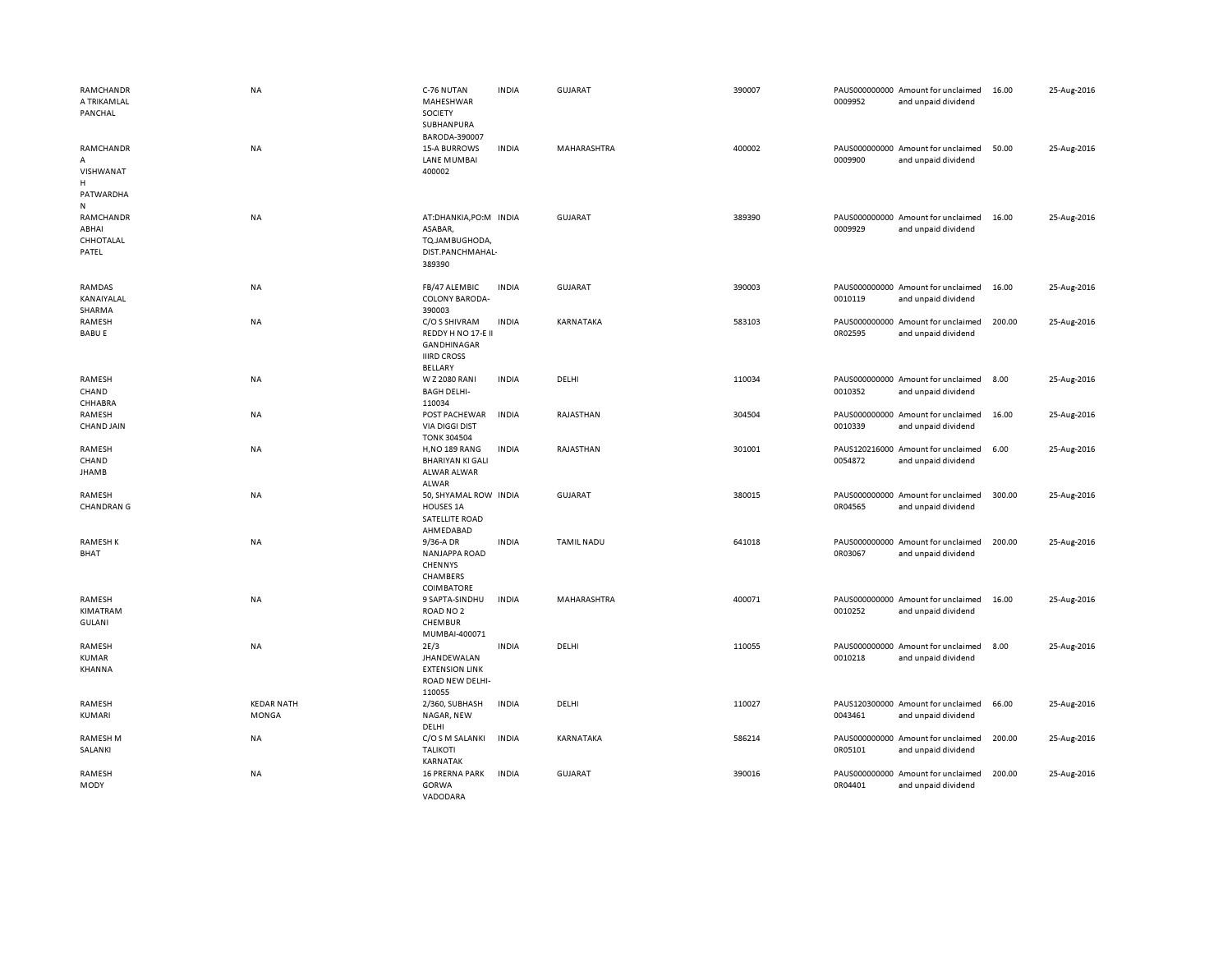| RAMCHANDR<br>A TRIKAMLAL<br>PANCHAL                | <b>NA</b>                         | C-76 NUTAN<br>MAHESHWAR<br>SOCIETY<br>SUBHANPURA<br>BARODA-390007                          | <b>INDIA</b> | <b>GUJARAT</b>    | 390007 | 0009952                  | PAUS000000000 Amount for unclaimed<br>and unpaid dividend | 16.00  | 25-Aug-2016 |
|----------------------------------------------------|-----------------------------------|--------------------------------------------------------------------------------------------|--------------|-------------------|--------|--------------------------|-----------------------------------------------------------|--------|-------------|
| RAMCHANDR<br>А<br>VISHWANAT<br>H<br>PATWARDHA<br>N | NA                                | <b>15-A BURROWS</b><br>LANE MUMBAI<br>400002                                               | <b>INDIA</b> | MAHARASHTRA       | 400002 | 0009900                  | PAUS000000000 Amount for unclaimed<br>and unpaid dividend | 50.00  | 25-Aug-2016 |
| RAMCHANDR<br>ABHAI<br>CHHOTALAL<br>PATEL           | <b>NA</b>                         | AT:DHANKIA, PO:M INDIA<br>ASABAR,<br>TQ.JAMBUGHODA,<br>DIST.PANCHMAHAL-<br>389390          |              | GUJARAT           | 389390 | 0009929                  | PAUS000000000 Amount for unclaimed<br>and unpaid dividend | 16.00  | 25-Aug-2016 |
| RAMDAS<br>KANAIYALAL<br>SHARMA                     | <b>NA</b>                         | FB/47 ALEMBIC<br><b>COLONY BARODA-</b><br>390003                                           | <b>INDIA</b> | <b>GUJARAT</b>    | 390003 | 0010119                  | PAUS000000000 Amount for unclaimed<br>and unpaid dividend | 16.00  | 25-Aug-2016 |
| RAMESH<br><b>BABU E</b>                            | NA                                | C/O S SHIVRAM<br>REDDY H NO 17-E II<br>GANDHINAGAR<br><b>IIIRD CROSS</b><br><b>BELLARY</b> | <b>INDIA</b> | KARNATAKA         | 583103 | 0R02595                  | PAUS000000000 Amount for unclaimed<br>and unpaid dividend | 200.00 | 25-Aug-2016 |
| RAMESH<br>CHAND<br>CHHABRA                         | NA                                | W Z 2080 RANI<br><b>BAGH DELHI-</b><br>110034                                              | <b>INDIA</b> | DELHI             | 110034 | 0010352                  | PAUS000000000 Amount for unclaimed<br>and unpaid dividend | 8.00   | 25-Aug-2016 |
| RAMESH<br><b>CHAND JAIN</b>                        | NA                                | POST PACHEWAR<br><b>VIA DIGGI DIST</b><br><b>TONK 304504</b>                               | <b>INDIA</b> | RAJASTHAN         | 304504 | 0010339                  | PAUS000000000 Amount for unclaimed<br>and unpaid dividend | 16.00  | 25-Aug-2016 |
| RAMESH<br>CHAND<br><b>JHAMB</b>                    | <b>NA</b>                         | <b>H,NO 189 RANG</b><br><b>BHARIYAN KI GALI</b><br>ALWAR ALWAR<br>ALWAR                    | <b>INDIA</b> | RAJASTHAN         | 301001 | 0054872                  | PAUS120216000 Amount for unclaimed<br>and unpaid dividend | 6.00   | 25-Aug-2016 |
| RAMESH<br><b>CHANDRAN G</b>                        | NA                                | 50, SHYAMAL ROW INDIA<br><b>HOUSES 1A</b><br>SATELLITE ROAD<br>AHMEDABAD                   |              | <b>GUJARAT</b>    | 380015 | 0R04565                  | PAUS000000000 Amount for unclaimed<br>and unpaid dividend | 300.00 | 25-Aug-2016 |
| <b>RAMESHK</b><br><b>BHAT</b>                      | <b>NA</b>                         | 9/36-A DR<br><b>NANJAPPA ROAD</b><br>CHENNYS<br>CHAMBERS<br>COIMBATORE                     | <b>INDIA</b> | <b>TAMIL NADU</b> | 641018 | 0R03067                  | PAUS000000000 Amount for unclaimed<br>and unpaid dividend | 200.00 | 25-Aug-2016 |
| RAMESH<br>KIMATRAM<br><b>GULANI</b>                | NA                                | 9 SAPTA-SINDHU<br>ROAD NO <sub>2</sub><br>CHEMBUR<br>MUMBAI-400071                         | <b>INDIA</b> | MAHARASHTRA       | 400071 | 0010252                  | PAUS000000000 Amount for unclaimed<br>and unpaid dividend | 16.00  | 25-Aug-2016 |
| RAMESH<br><b>KUMAR</b><br>KHANNA                   | <b>NA</b>                         | 2E/3<br>JHANDEWALAN<br><b>EXTENSION LINK</b><br>ROAD NEW DELHI-<br>110055                  | <b>INDIA</b> | DELHI             | 110055 | 0010218                  | PAUS000000000 Amount for unclaimed<br>and unpaid dividend | 8.00   | 25-Aug-2016 |
| RAMESH<br>KUMARI                                   | <b>KEDAR NATH</b><br><b>MONGA</b> | 2/360, SUBHASH<br>NAGAR, NEW<br>DELHI                                                      | <b>INDIA</b> | DELHI             | 110027 | 0043461                  | PAUS120300000 Amount for unclaimed<br>and unpaid dividend | 66.00  | 25-Aug-2016 |
| <b>RAMESH M</b><br>SALANKI                         | NA                                | C/O S M SALANKI<br><b>TALIKOTI</b><br><b>KARNATAK</b>                                      | <b>INDIA</b> | KARNATAKA         | 586214 | 0R05101                  | PAUS000000000 Amount for unclaimed<br>and unpaid dividend | 200.00 | 25-Aug-2016 |
| RAMESH<br>MODY                                     | <b>NA</b>                         | <b>16 PRERNA PARK</b><br>GORWA<br>VADODARA                                                 | <b>INDIA</b> | <b>GUJARAT</b>    | 390016 | PAUS000000000<br>0R04401 | Amount for unclaimed<br>and unpaid dividend               | 200.00 | 25-Aug-2016 |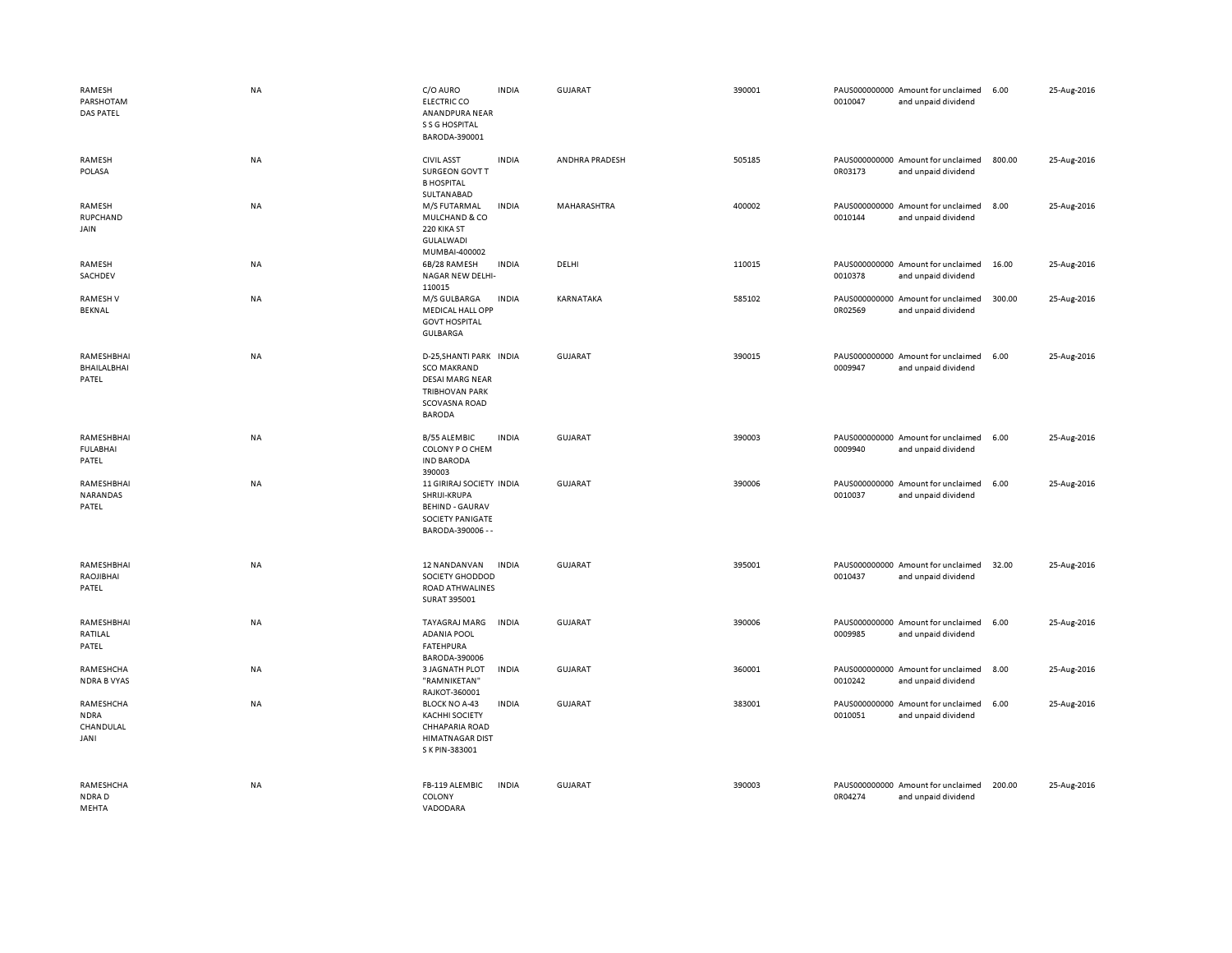| RAMESH<br>PARSHOTAM<br><b>DAS PATEL</b>       | <b>NA</b> | C/O AURO<br><b>ELECTRIC CO</b><br>ANANDPURA NEAR<br>S S G HOSPITAL<br>BARODA-390001                                                | <b>INDIA</b> | GUJARAT        | 390001 | 0010047 | PAUS000000000 Amount for unclaimed<br>and unpaid dividend | 6.00   | 25-Aug-2016 |
|-----------------------------------------------|-----------|------------------------------------------------------------------------------------------------------------------------------------|--------------|----------------|--------|---------|-----------------------------------------------------------|--------|-------------|
| RAMESH<br>POLASA                              | NA        | <b>CIVIL ASST</b><br>SURGEON GOVT T<br><b>B HOSPITAL</b>                                                                           | <b>INDIA</b> | ANDHRA PRADESH | 505185 | 0R03173 | PAUS000000000 Amount for unclaimed<br>and unpaid dividend | 800.00 | 25-Aug-2016 |
| RAMESH<br>RUPCHAND<br>JAIN                    | NA        | SULTANABAD<br>M/S FUTARMAL<br>MULCHAND & CO<br>220 KIKA ST<br>GULALWADI                                                            | <b>INDIA</b> | MAHARASHTRA    | 400002 | 0010144 | PAUS000000000 Amount for unclaimed<br>and unpaid dividend | 8.00   | 25-Aug-2016 |
| RAMESH<br>SACHDEV                             | NA        | MUMBAI-400002<br>6B/28 RAMESH<br>NAGAR NEW DELHI-<br>110015                                                                        | <b>INDIA</b> | DELHI          | 110015 | 0010378 | PAUS000000000 Amount for unclaimed<br>and unpaid dividend | 16.00  | 25-Aug-2016 |
| <b>RAMESHV</b><br>BEKNAL                      | NA        | M/S GULBARGA<br><b>MEDICAL HALL OPP</b><br><b>GOVT HOSPITAL</b><br><b>GULBARGA</b>                                                 | <b>INDIA</b> | KARNATAKA      | 585102 | 0R02569 | PAUS000000000 Amount for unclaimed<br>and unpaid dividend | 300.00 | 25-Aug-2016 |
| RAMESHBHAI<br>BHAILALBHAI<br>PATEL            | NA        | D-25, SHANTI PARK INDIA<br><b>SCO MAKRAND</b><br><b>DESAI MARG NEAR</b><br><b>TRIBHOVAN PARK</b><br>SCOVASNA ROAD<br><b>BARODA</b> |              | GUJARAT        | 390015 | 0009947 | PAUS000000000 Amount for unclaimed<br>and unpaid dividend | 6.00   | 25-Aug-2016 |
| RAMESHBHAI<br><b>FULABHAI</b><br>PATEL        | NA        | <b>B/55 ALEMBIC</b><br>COLONY P O CHEM<br><b>IND BARODA</b><br>390003                                                              | <b>INDIA</b> | GUJARAT        | 390003 | 0009940 | PAUS000000000 Amount for unclaimed<br>and unpaid dividend | 6.00   | 25-Aug-2016 |
| RAMESHBHAI<br>NARANDAS<br>PATEL               | NA        | 11 GIRIRAJ SOCIETY INDIA<br>SHRIJI-KRUPA<br><b>BEHIND - GAURAV</b><br>SOCIETY PANIGATE<br>BARODA-390006 - -                        |              | <b>GUJARAT</b> | 390006 | 0010037 | PAUS000000000 Amount for unclaimed<br>and unpaid dividend | 6.00   | 25-Aug-2016 |
| RAMESHBHAI<br>RAOJIBHAI<br>PATEL              | NA        | 12 NANDANVAN<br>SOCIETY GHODDOD<br>ROAD ATHWALINES<br>SURAT 395001                                                                 | <b>INDIA</b> | <b>GUJARAT</b> | 395001 | 0010437 | PAUS000000000 Amount for unclaimed<br>and unpaid dividend | 32.00  | 25-Aug-2016 |
| RAMESHBHAI<br>RATILAL<br>PATEL                | NA        | TAYAGRAJ MARG<br><b>ADANIA POOL</b><br><b>FATEHPURA</b><br>BARODA-390006                                                           | <b>INDIA</b> | <b>GUJARAT</b> | 390006 | 0009985 | PAUS000000000 Amount for unclaimed<br>and unpaid dividend | 6.00   | 25-Aug-2016 |
| RAMESHCHA<br><b>NDRA B VYAS</b>               | NA        | <b>3 JAGNATH PLOT</b><br>"RAMNIKETAN'<br>RAJKOT-360001                                                                             | INDIA        | <b>GUJARAT</b> | 360001 | 0010242 | PAUS000000000 Amount for unclaimed<br>and unpaid dividend | 8.00   | 25-Aug-2016 |
| RAMESHCHA<br><b>NDRA</b><br>CHANDULAL<br>JANI | NA        | <b>BLOCK NO A-43</b><br><b>KACHHI SOCIETY</b><br><b>CHHAPARIA ROAD</b><br><b>HIMATNAGAR DIST</b><br>S K PIN-383001                 | <b>INDIA</b> | <b>GUJARAT</b> | 383001 | 0010051 | PAUS000000000 Amount for unclaimed<br>and unpaid dividend | 6.00   | 25-Aug-2016 |
| RAMESHCHA<br>NDRAD<br>MFHTA                   | <b>NA</b> | FB-119 ALEMBIC<br>COLONY<br>VADODARA                                                                                               | <b>INDIA</b> | <b>GUJARAT</b> | 390003 | 0R04274 | PAUS000000000 Amount for unclaimed<br>and unpaid dividend | 200.00 | 25-Aug-2016 |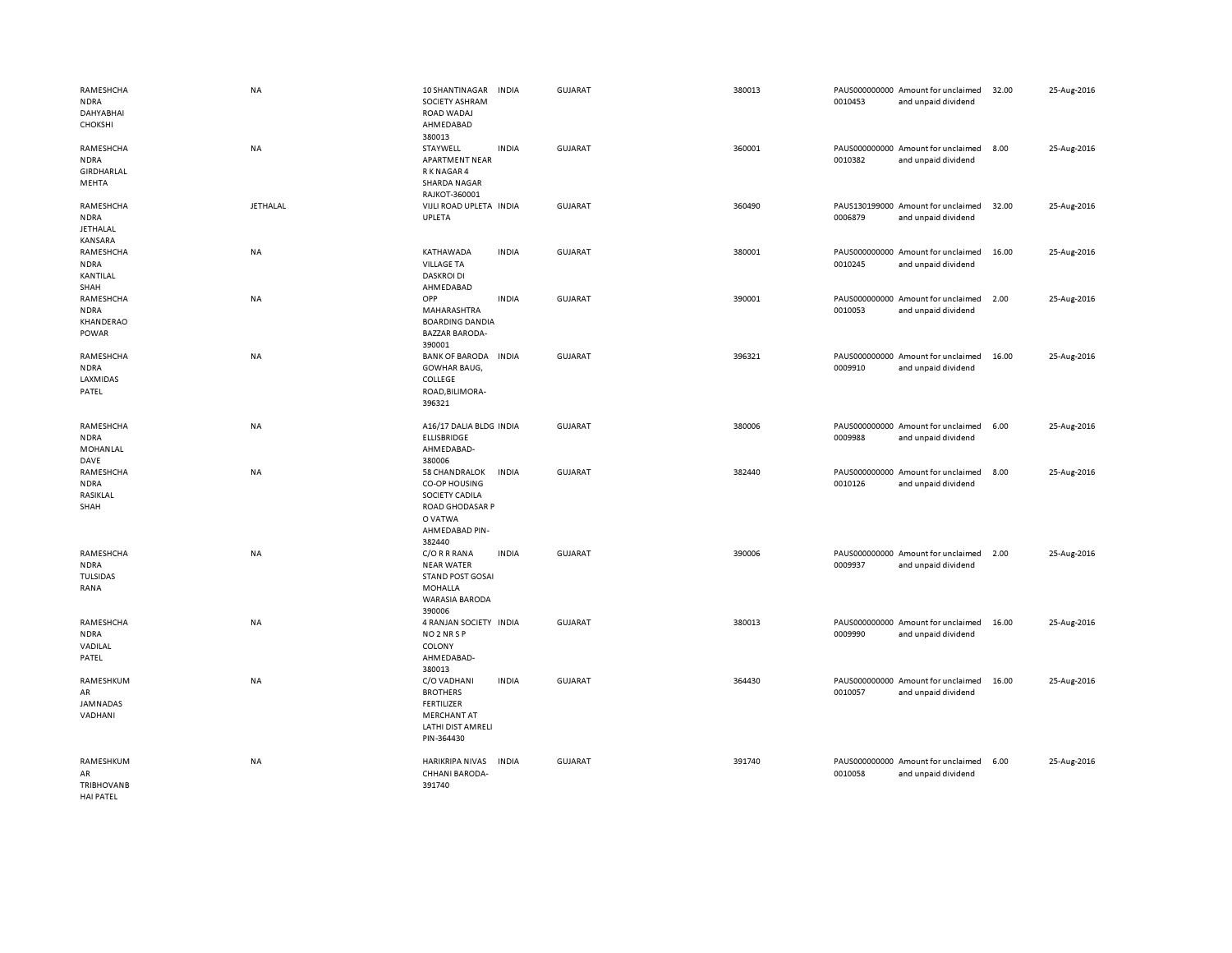| RAMESHCHA<br><b>NDRA</b><br><b>DAHYABHAI</b><br><b>CHOKSHI</b> | <b>NA</b>       | 10 SHANTINAGAR<br>SOCIETY ASHRAM<br>ROAD WADAJ<br>AHMEDABAD<br>380013                                             | <b>INDIA</b> | GUJARAT        | 380013 | 0010453 | PAUS000000000 Amount for unclaimed<br>and unpaid dividend | 32.00 | 25-Aug-2016 |
|----------------------------------------------------------------|-----------------|-------------------------------------------------------------------------------------------------------------------|--------------|----------------|--------|---------|-----------------------------------------------------------|-------|-------------|
| RAMESHCHA<br><b>NDRA</b><br>GIRDHARLAL<br>MEHTA                | <b>NA</b>       | STAYWELL<br><b>APARTMENT NEAR</b><br>R K NAGAR 4<br><b>SHARDA NAGAR</b><br>RAJKOT-360001                          | <b>INDIA</b> | GUJARAT        | 360001 | 0010382 | PAUS000000000 Amount for unclaimed<br>and unpaid dividend | 8.00  | 25-Aug-2016 |
| RAMESHCHA<br><b>NDRA</b><br><b>JETHALAL</b><br>KANSARA         | <b>JETHALAL</b> | VIJLI ROAD UPLETA INDIA<br>UPLETA                                                                                 |              | GUJARAT        | 360490 | 0006879 | PAUS130199000 Amount for unclaimed<br>and unpaid dividend | 32.00 | 25-Aug-2016 |
| RAMESHCHA<br><b>NDRA</b><br>KANTILAL<br>SHAH                   | NA              | KATHAWADA<br><b>VILLAGE TA</b><br><b>DASKROI DI</b><br>AHMEDABAD                                                  | <b>INDIA</b> | <b>GUJARAT</b> | 380001 | 0010245 | PAUS000000000 Amount for unclaimed<br>and unpaid dividend | 16.00 | 25-Aug-2016 |
| RAMESHCHA<br><b>NDRA</b><br>KHANDERAO<br>POWAR                 | NA              | OPP<br>MAHARASHTRA<br><b>BOARDING DANDIA</b><br><b>BAZZAR BARODA-</b><br>390001                                   | <b>INDIA</b> | <b>GUJARAT</b> | 390001 | 0010053 | PAUS000000000 Amount for unclaimed<br>and unpaid dividend | 2.00  | 25-Aug-2016 |
| RAMESHCHA<br><b>NDRA</b><br>LAXMIDAS<br>PATEL                  | NA              | <b>BANK OF BARODA</b><br><b>GOWHAR BAUG,</b><br>COLLEGE<br>ROAD, BILIMORA-<br>396321                              | <b>INDIA</b> | <b>GUJARAT</b> | 396321 | 0009910 | PAUS000000000 Amount for unclaimed<br>and unpaid dividend | 16.00 | 25-Aug-2016 |
| RAMESHCHA<br><b>NDRA</b><br>MOHANLAL<br>DAVE                   | NA              | A16/17 DALIA BLDG INDIA<br><b>ELLISBRIDGE</b><br>AHMEDABAD-<br>380006                                             |              | <b>GUJARAT</b> | 380006 | 0009988 | PAUS000000000 Amount for unclaimed<br>and unpaid dividend | 6.00  | 25-Aug-2016 |
| RAMESHCHA<br><b>NDRA</b><br>RASIKLAL<br>SHAH                   | NA              | 58 CHANDRALOK<br><b>CO-OP HOUSING</b><br>SOCIETY CADILA<br>ROAD GHODASAR P<br>O VATWA<br>AHMEDABAD PIN-<br>382440 | <b>INDIA</b> | <b>GUJARAT</b> | 382440 | 0010126 | PAUS000000000 Amount for unclaimed<br>and unpaid dividend | 8.00  | 25-Aug-2016 |
| RAMESHCHA<br><b>NDRA</b><br>TULSIDAS<br>RANA                   | NA              | C/O R R RANA<br><b>NEAR WATER</b><br><b>STAND POST GOSAI</b><br><b>MOHALLA</b><br><b>WARASIA BARODA</b><br>390006 | <b>INDIA</b> | <b>GUJARAT</b> | 390006 | 0009937 | PAUS000000000 Amount for unclaimed<br>and unpaid dividend | 2.00  | 25-Aug-2016 |
| RAMESHCHA<br><b>NDRA</b><br>VADILAL<br>PATEL                   | NA              | 4 RANJAN SOCIETY INDIA<br>NO <sub>2</sub> NR <sub>SP</sub><br>COLONY<br>AHMEDABAD-<br>380013                      |              | <b>GUJARAT</b> | 380013 | 0009990 | PAUS000000000 Amount for unclaimed<br>and unpaid dividend | 16.00 | 25-Aug-2016 |
| RAMESHKUM<br>AR<br>JAMNADAS<br>VADHANI                         | NA              | C/O VADHANI<br><b>BROTHERS</b><br><b>FERTILIZER</b><br><b>MERCHANT AT</b><br>LATHI DIST AMRELI<br>PIN-364430      | <b>INDIA</b> | <b>GUJARAT</b> | 364430 | 0010057 | PAUS000000000 Amount for unclaimed<br>and unpaid dividend | 16.00 | 25-Aug-2016 |
| RAMESHKUM<br>AR<br><b>TRIBHOVANB</b><br><b>HAI PATEL</b>       | NA              | <b>HARIKRIPA NIVAS</b><br>CHHANI BARODA-<br>391740                                                                | <b>INDIA</b> | GUJARAT        | 391740 | 0010058 | PAUS000000000 Amount for unclaimed<br>and unpaid dividend | 6.00  | 25-Aug-2016 |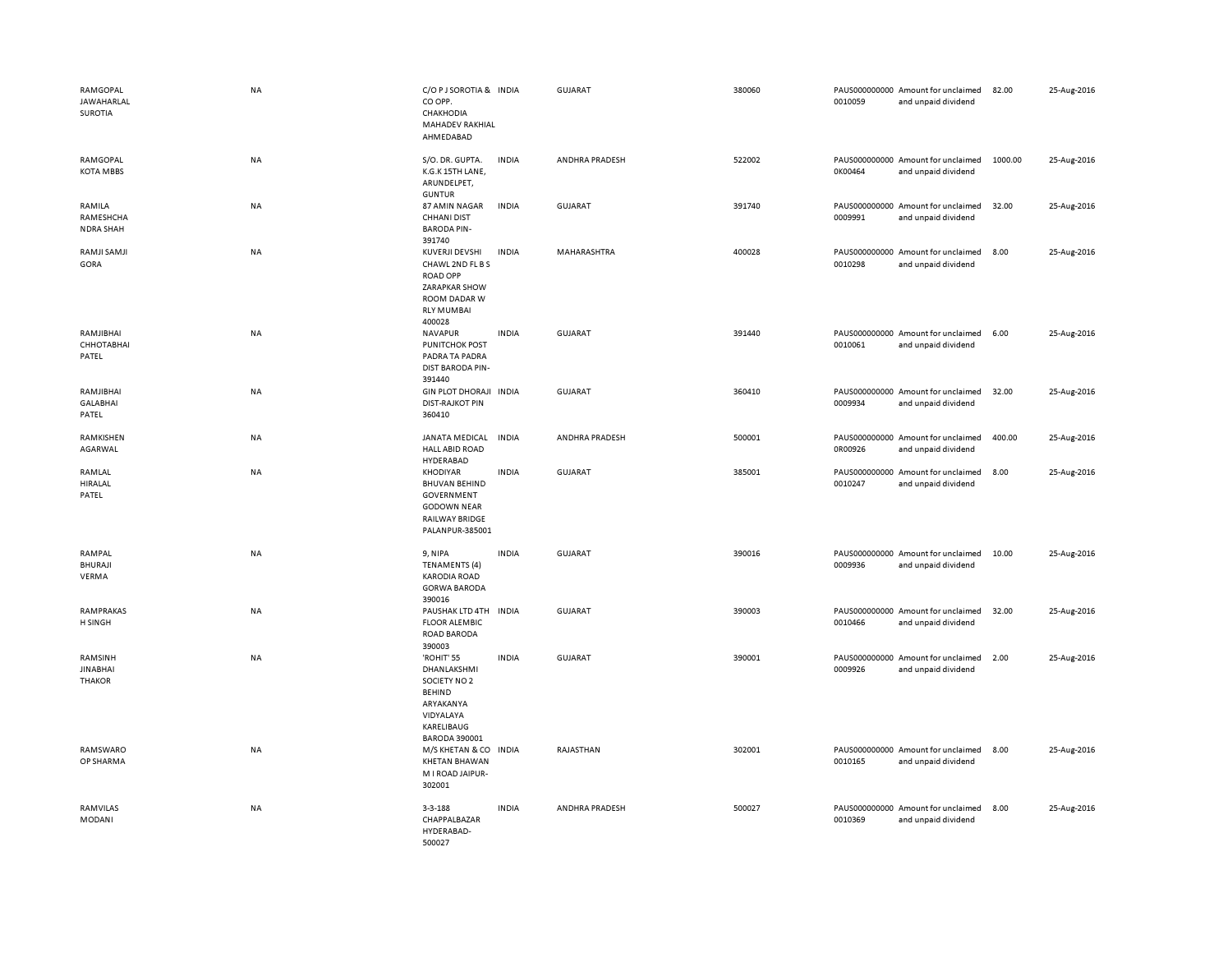| RAMGOPAL<br>JAWAHARLAL<br>SUROTIA           | <b>NA</b> | C/O P J SOROTIA & INDIA<br>CO OPP.<br>CHAKHODIA<br>MAHADEV RAKHIAL<br>AHMEDABAD                                              |              | GUJARAT        | 380060 | 0010059 | PAUS000000000 Amount for unclaimed<br>and unpaid dividend | 82.00   | 25-Aug-2016 |
|---------------------------------------------|-----------|------------------------------------------------------------------------------------------------------------------------------|--------------|----------------|--------|---------|-----------------------------------------------------------|---------|-------------|
| RAMGOPAL<br><b>KOTA MBBS</b>                | NA        | S/O. DR. GUPTA.<br>K.G.K 15TH LANE,<br>ARUNDELPET,<br><b>GUNTUR</b>                                                          | <b>INDIA</b> | ANDHRA PRADESH | 522002 | 0K00464 | PAUS000000000 Amount for unclaimed<br>and unpaid dividend | 1000.00 | 25-Aug-2016 |
| RAMILA<br>RAMESHCHA<br><b>NDRA SHAH</b>     | NA        | 87 AMIN NAGAR<br><b>CHHANI DIST</b><br><b>BARODA PIN-</b><br>391740                                                          | <b>INDIA</b> | <b>GUJARAT</b> | 391740 | 0009991 | PAUS000000000 Amount for unclaimed<br>and unpaid dividend | 32.00   | 25-Aug-2016 |
| RAMJI SAMJI<br>GORA                         | <b>NA</b> | <b>KUVERJI DEVSHI</b><br>CHAWL 2ND FL B S<br><b>ROAD OPP</b><br>ZARAPKAR SHOW<br>ROOM DADAR W<br><b>RLY MUMBAI</b><br>400028 | <b>INDIA</b> | MAHARASHTRA    | 400028 | 0010298 | PAUS000000000 Amount for unclaimed<br>and unpaid dividend | 8.00    | 25-Aug-2016 |
| RAMJIBHAI<br>CHHOTABHAI<br>PATEL            | NA        | <b>NAVAPUR</b><br><b>PUNITCHOK POST</b><br>PADRA TA PADRA<br><b>DIST BARODA PIN-</b><br>391440                               | <b>INDIA</b> | <b>GUJARAT</b> | 391440 | 0010061 | PAUS000000000 Amount for unclaimed<br>and unpaid dividend | 6.00    | 25-Aug-2016 |
| RAMJIBHAI<br><b>GALABHAI</b><br>PATEL       | NA        | GIN PLOT DHORAJI INDIA<br><b>DIST-RAJKOT PIN</b><br>360410                                                                   |              | <b>GUJARAT</b> | 360410 | 0009934 | PAUS000000000 Amount for unclaimed<br>and unpaid dividend | 32.00   | 25-Aug-2016 |
| RAMKISHEN<br>AGARWAL                        | NA        | JANATA MEDICAL<br><b>HALL ABID ROAD</b><br>HYDERABAD                                                                         | <b>INDIA</b> | ANDHRA PRADESH | 500001 | 0R00926 | PAUS000000000 Amount for unclaimed<br>and unpaid dividend | 400.00  | 25-Aug-2016 |
| RAMLAL<br>HIRALAL<br>PATEL                  | <b>NA</b> | <b>KHODIYAR</b><br><b>BHUVAN BEHIND</b><br>GOVERNMENT<br><b>GODOWN NEAR</b><br>RAILWAY BRIDGE<br>PALANPUR-385001             | <b>INDIA</b> | GUJARAT        | 385001 | 0010247 | PAUS000000000 Amount for unclaimed<br>and unpaid dividend | 8.00    | 25-Aug-2016 |
| RAMPAL<br><b>BHURAJI</b><br>VERMA           | NA        | 9, NIPA<br><b>TENAMENTS (4)</b><br><b>KARODIA ROAD</b><br><b>GORWA BARODA</b><br>390016                                      | <b>INDIA</b> | <b>GUJARAT</b> | 390016 | 0009936 | PAUS000000000 Amount for unclaimed<br>and unpaid dividend | 10.00   | 25-Aug-2016 |
| RAMPRAKAS<br>H SINGH                        | NA        | PAUSHAK LTD 4TH<br><b>FLOOR ALEMBIC</b><br>ROAD BARODA<br>390003                                                             | <b>INDIA</b> | <b>GUJARAT</b> | 390003 | 0010466 | PAUS000000000 Amount for unclaimed<br>and unpaid dividend | 32.00   | 25-Aug-2016 |
| RAMSINH<br><b>JINABHAI</b><br><b>THAKOR</b> | NA        | 'ROHIT' 55<br>DHANLAKSHMI<br>SOCIETY NO 2<br><b>BEHIND</b><br>ARYAKANYA<br>VIDYALAYA<br>KARELIBAUG<br><b>BARODA 390001</b>   | <b>INDIA</b> | <b>GUJARAT</b> | 390001 | 0009926 | PAUS000000000 Amount for unclaimed<br>and unpaid dividend | 2.00    | 25-Aug-2016 |
| RAMSWARO<br>OP SHARMA                       | <b>NA</b> | M/S KHETAN & CO INDIA<br><b>KHETAN BHAWAN</b><br>M I ROAD JAIPUR-<br>302001                                                  |              | RAJASTHAN      | 302001 | 0010165 | PAUS000000000 Amount for unclaimed<br>and unpaid dividend | 8.00    | 25-Aug-2016 |
| RAMVILAS<br>MODANI                          | NA        | $3 - 3 - 188$<br>CHAPPALBAZAR<br>HYDERABAD-<br>500027                                                                        | <b>INDIA</b> | ANDHRA PRADESH | 500027 | 0010369 | PAUS000000000 Amount for unclaimed<br>and unpaid dividend | 8.00    | 25-Aug-2016 |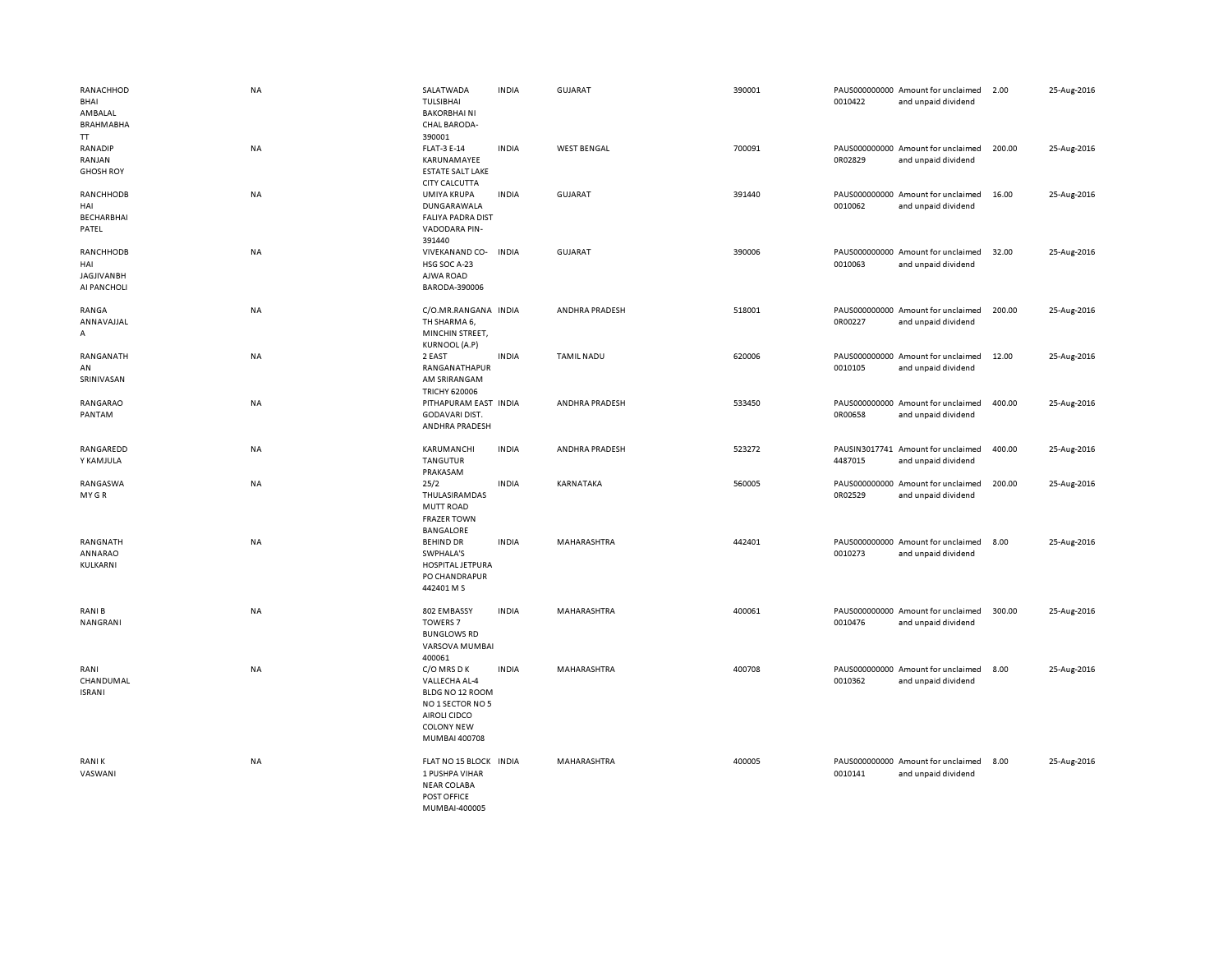| RANACHHOD<br>BHAI<br>AMBALAL<br>BRAHMABHA<br>π       | <b>NA</b> | SALATWADA<br>TULSIBHAI<br><b>BAKORBHAINI</b><br>CHAL BARODA-<br>390001                                                    | <b>INDIA</b> | <b>GUJARAT</b>     | 390001 | 0010422 | PAUS000000000 Amount for unclaimed<br>and unpaid dividend | 2.00   | 25-Aug-2016 |
|------------------------------------------------------|-----------|---------------------------------------------------------------------------------------------------------------------------|--------------|--------------------|--------|---------|-----------------------------------------------------------|--------|-------------|
| RANADIP<br>RANJAN<br><b>GHOSH ROY</b>                | <b>NA</b> | <b>FLAT-3 E-14</b><br>KARUNAMAYEE<br><b>ESTATE SALT LAKE</b><br>CITY CALCUTTA                                             | <b>INDIA</b> | <b>WEST BENGAL</b> | 700091 | 0R02829 | PAUS000000000 Amount for unclaimed<br>and unpaid dividend | 200.00 | 25-Aug-2016 |
| RANCHHODB<br>HAI<br>BECHARBHAI<br>PATEL              | <b>NA</b> | UMIYA KRUPA<br>DUNGARAWALA<br><b>FALIYA PADRA DIST</b><br>VADODARA PIN-<br>391440                                         | <b>INDIA</b> | <b>GUJARAT</b>     | 391440 | 0010062 | PAUS000000000 Amount for unclaimed<br>and unpaid dividend | 16.00  | 25-Aug-2016 |
| RANCHHODB<br>HAI<br><b>JAGJIVANBH</b><br>AI PANCHOLI | <b>NA</b> | VIVEKANAND CO- INDIA<br>HSG SOC A-23<br>AJWA ROAD<br>BARODA-390006                                                        |              | <b>GUJARAT</b>     | 390006 | 0010063 | PAUS000000000 Amount for unclaimed<br>and unpaid dividend | 32.00  | 25-Aug-2016 |
| RANGA<br>ANNAVAJJAL<br>А                             | <b>NA</b> | C/O.MR.RANGANA INDIA<br>TH SHARMA 6,<br>MINCHIN STREET,<br><b>KURNOOL (A.P)</b>                                           |              | ANDHRA PRADESH     | 518001 | 0R00227 | PAUS000000000 Amount for unclaimed<br>and unpaid dividend | 200.00 | 25-Aug-2016 |
| RANGANATH<br>AN<br>SRINIVASAN                        | <b>NA</b> | 2 EAST<br>RANGANATHAPUR<br>AM SRIRANGAM<br><b>TRICHY 620006</b>                                                           | <b>INDIA</b> | <b>TAMIL NADU</b>  | 620006 | 0010105 | PAUS000000000 Amount for unclaimed<br>and unpaid dividend | 12.00  | 25-Aug-2016 |
| RANGARAO<br>PANTAM                                   | NA        | PITHAPURAM EAST INDIA<br>GODAVARI DIST.<br>ANDHRA PRADESH                                                                 |              | ANDHRA PRADESH     | 533450 | 0R00658 | PAUS000000000 Amount for unclaimed<br>and unpaid dividend | 400.00 | 25-Aug-2016 |
| RANGAREDD<br>Y KAMJULA                               | NA        | KARUMANCHI<br>TANGUTUR<br>PRAKASAM                                                                                        | <b>INDIA</b> | ANDHRA PRADESH     | 523272 | 4487015 | PAUSIN3017741 Amount for unclaimed<br>and unpaid dividend | 400.00 | 25-Aug-2016 |
| RANGASWA<br>MY GR                                    | <b>NA</b> | 25/2<br>THULASIRAMDAS<br>MUTT ROAD<br><b>FRAZER TOWN</b><br><b>BANGALORE</b>                                              | <b>INDIA</b> | KARNATAKA          | 560005 | 0R02529 | PAUS000000000 Amount for unclaimed<br>and unpaid dividend | 200.00 | 25-Aug-2016 |
| RANGNATH<br>ANNARAO<br>KULKARNI                      | <b>NA</b> | <b>BEHIND DR</b><br>SWPHALA'S<br>HOSPITAL JETPURA<br>PO CHANDRAPUR<br>442401 M S                                          | <b>INDIA</b> | MAHARASHTRA        | 442401 | 0010273 | PAUS000000000 Amount for unclaimed<br>and unpaid dividend | 8.00   | 25-Aug-2016 |
| RANI B<br>NANGRANI                                   | <b>NA</b> | 802 EMBASSY<br><b>TOWERS 7</b><br><b>BUNGLOWS RD</b><br>VARSOVA MUMBAI<br>400061                                          | <b>INDIA</b> | MAHARASHTRA        | 400061 | 0010476 | PAUS000000000 Amount for unclaimed<br>and unpaid dividend | 300.00 | 25-Aug-2016 |
| RANI<br>CHANDUMAL<br><b>ISRANI</b>                   | <b>NA</b> | C/O MRS D K<br>VALLECHA AL-4<br>BLDG NO 12 ROOM<br>NO 1 SECTOR NO 5<br>AIROLI CIDCO<br><b>COLONY NEW</b><br>MUMBAI 400708 | <b>INDIA</b> | MAHARASHTRA        | 400708 | 0010362 | PAUS000000000 Amount for unclaimed<br>and unpaid dividend | 8.00   | 25-Aug-2016 |
| <b>RANIK</b><br>VASWANI                              | <b>NA</b> | FLAT NO 15 BLOCK INDIA<br>1 PUSHPA VIHAR<br><b>NEAR COLABA</b><br>POST OFFICE<br>MUMBAI-400005                            |              | MAHARASHTRA        | 400005 | 0010141 | PAUS000000000 Amount for unclaimed<br>and unpaid dividend | 8.00   | 25-Aug-2016 |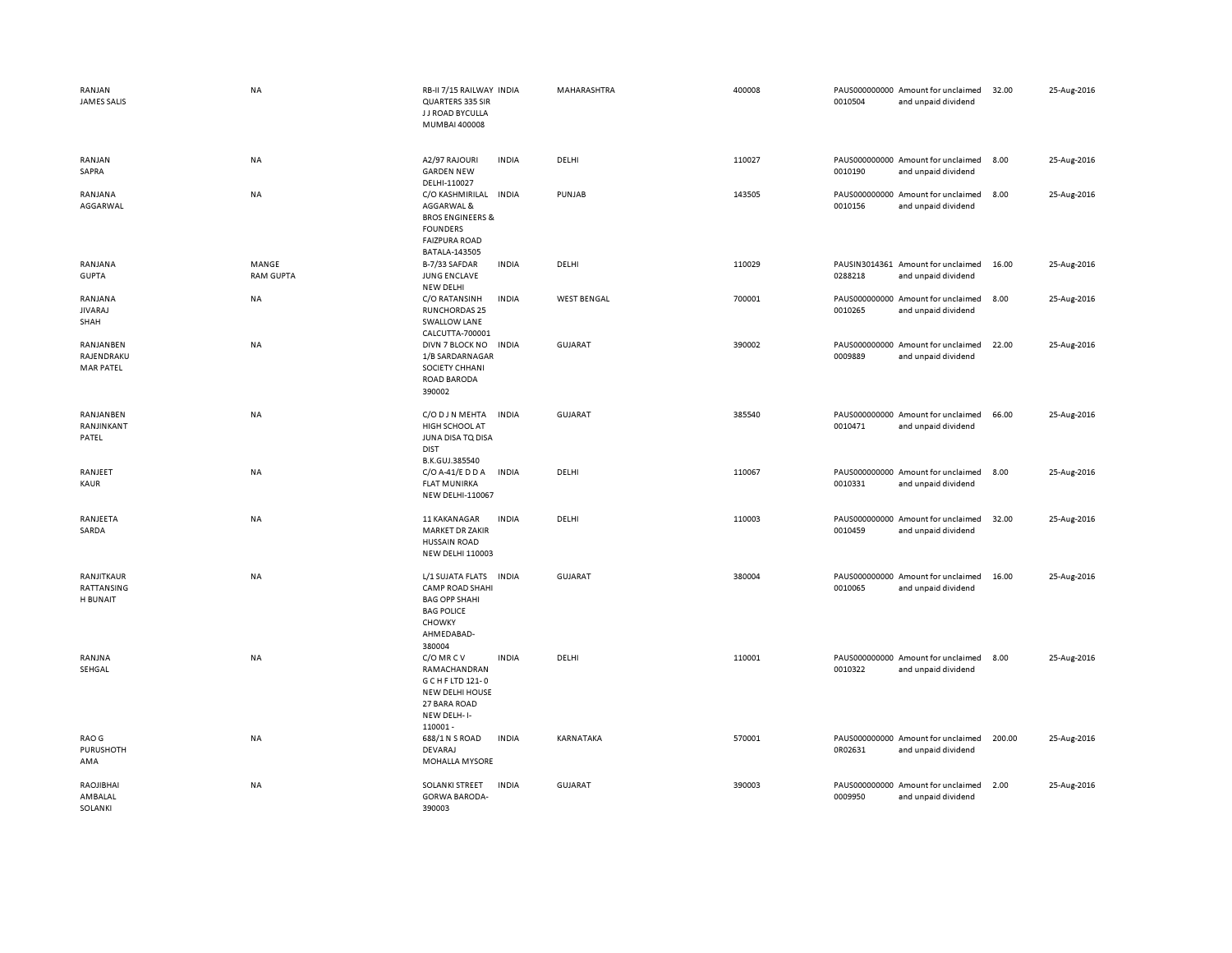| RANJAN<br><b>JAMES SALIS</b>                | <b>NA</b>                 | RB-II 7/15 RAILWAY INDIA<br>QUARTERS 335 SIR<br>J J ROAD BYCULLA<br>MUMBAI 400008                                         |              | MAHARASHTRA        | 400008 | 0010504 | PAUS000000000 Amount for unclaimed<br>and unpaid dividend | 32.00  | 25-Aug-2016 |
|---------------------------------------------|---------------------------|---------------------------------------------------------------------------------------------------------------------------|--------------|--------------------|--------|---------|-----------------------------------------------------------|--------|-------------|
| RANJAN<br>SAPRA                             | NA                        | A2/97 RAJOURI<br><b>GARDEN NEW</b><br>DELHI-110027                                                                        | <b>INDIA</b> | DELHI              | 110027 | 0010190 | PAUS000000000 Amount for unclaimed<br>and unpaid dividend | 8.00   | 25-Aug-2016 |
| RANJANA<br>AGGARWAL                         | <b>NA</b>                 | C/O KASHMIRILAL<br>AGGARWAL &<br><b>BROS ENGINEERS &amp;</b><br><b>FOUNDERS</b><br><b>FAIZPURA ROAD</b><br>BATALA-143505  | <b>INDIA</b> | PUNJAB             | 143505 | 0010156 | PAUS000000000 Amount for unclaimed<br>and unpaid dividend | 8.00   | 25-Aug-2016 |
| RANJANA<br><b>GUPTA</b>                     | MANGE<br><b>RAM GUPTA</b> | B-7/33 SAFDAR<br><b>JUNG ENCLAVE</b><br><b>NEW DELHI</b>                                                                  | <b>INDIA</b> | DELHI              | 110029 | 0288218 | PAUSIN3014361 Amount for unclaimed<br>and unpaid dividend | 16.00  | 25-Aug-2016 |
| RANJANA<br><b>JIVARAJ</b><br>SHAH           | NA                        | C/O RATANSINH<br><b>RUNCHORDAS 25</b><br><b>SWALLOW LANE</b><br>CALCUTTA-700001                                           | <b>INDIA</b> | <b>WEST BENGAL</b> | 700001 | 0010265 | PAUS000000000 Amount for unclaimed<br>and unpaid dividend | 8.00   | 25-Aug-2016 |
| RANJANBEN<br>RAJENDRAKU<br><b>MAR PATEL</b> | NA                        | DIVN 7 BLOCK NO<br>1/B SARDARNAGAR<br>SOCIETY CHHANI<br><b>ROAD BARODA</b><br>390002                                      | <b>INDIA</b> | GUJARAT            | 390002 | 0009889 | PAUS000000000 Amount for unclaimed<br>and unpaid dividend | 22.00  | 25-Aug-2016 |
| RANJANBEN<br>RANJINKANT<br>PATEL            | <b>NA</b>                 | C/O D J N MEHTA<br>HIGH SCHOOL AT<br>JUNA DISA TO DISA<br><b>DIST</b><br>B.K.GUJ.385540                                   | <b>INDIA</b> | GUJARAT            | 385540 | 0010471 | PAUS000000000 Amount for unclaimed<br>and unpaid dividend | 66.00  | 25-Aug-2016 |
| RANJEET<br>KAUR                             | NA                        | C/O A-41/E D D A<br><b>FLAT MUNIRKA</b><br>NEW DELHI-110067                                                               | <b>INDIA</b> | DELHI              | 110067 | 0010331 | PAUS000000000 Amount for unclaimed<br>and unpaid dividend | 8.00   | 25-Aug-2016 |
| RANJEETA<br>SARDA                           | NA                        | 11 KAKANAGAR<br><b>MARKET DR ZAKIR</b><br><b>HUSSAIN ROAD</b><br><b>NEW DELHI 110003</b>                                  | <b>INDIA</b> | DELHI              | 110003 | 0010459 | PAUS000000000 Amount for unclaimed<br>and unpaid dividend | 32.00  | 25-Aug-2016 |
| RANJITKAUR<br>RATTANSING<br>H BUNAIT        | NA                        | L/1 SUJATA FLATS<br><b>CAMP ROAD SHAHI</b><br><b>BAG OPP SHAHI</b><br><b>BAG POLICE</b><br>CHOWKY<br>AHMEDABAD-<br>380004 | <b>INDIA</b> | GUJARAT            | 380004 | 0010065 | PAUS000000000 Amount for unclaimed<br>and unpaid dividend | 16.00  | 25-Aug-2016 |
| RANJNA<br>SEHGAL                            | NA                        | C/O MR C V<br>RAMACHANDRAN<br>G C H F LTD 121-0<br><b>NEW DELHI HOUSE</b><br>27 BARA ROAD<br>NEW DELH-I-<br>110001-       | <b>INDIA</b> | DELHI              | 110001 | 0010322 | PAUS000000000 Amount for unclaimed<br>and unpaid dividend | 8.00   | 25-Aug-2016 |
| RAO G<br>PURUSHOTH<br>AMA                   | NA                        | 688/1 N S ROAD<br><b>DEVARAJ</b><br>MOHALLA MYSORE                                                                        | <b>INDIA</b> | KARNATAKA          | 570001 | 0R02631 | PAUS000000000 Amount for unclaimed<br>and unpaid dividend | 200.00 | 25-Aug-2016 |
| RAOJIBHAI<br>AMBALAL<br>SOLANKI             | NA                        | <b>SOLANKI STREET</b><br><b>GORWA BARODA-</b><br>390003                                                                   | <b>INDIA</b> | GUJARAT            | 390003 | 0009950 | PAUS000000000 Amount for unclaimed<br>and unpaid dividend | 2.00   | 25-Aug-2016 |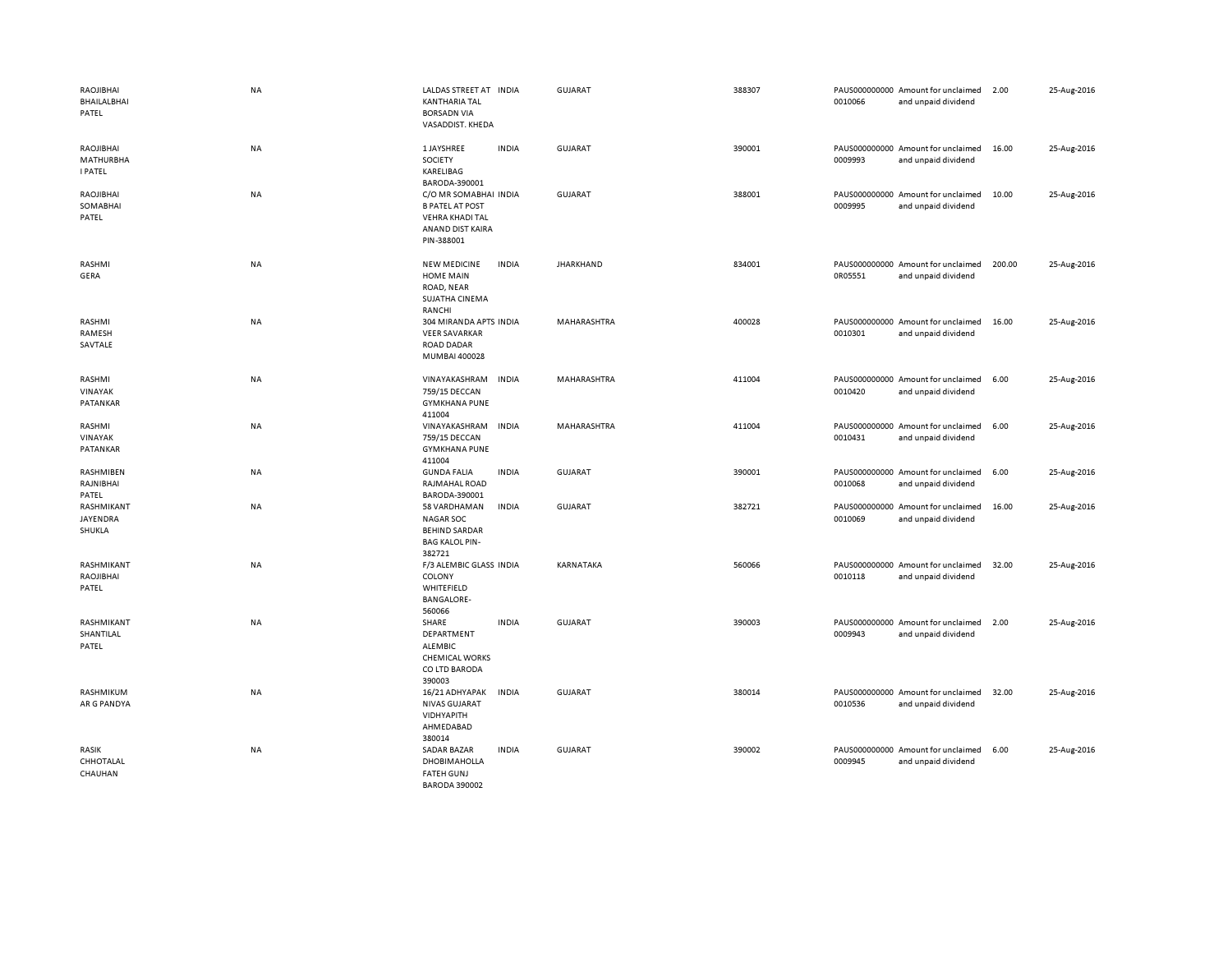| RAOJIBHAI<br>BHAILALBHAI<br>PATEL               | NA        | LALDAS STREET AT INDIA<br><b>KANTHARIA TAL</b><br><b>BORSADN VIA</b><br>VASADDIST. KHEDA             |              | <b>GUJARAT</b>   | 388307 | 0010066 | PAUS000000000 Amount for unclaimed<br>and unpaid dividend | 2.00   | 25-Aug-2016 |
|-------------------------------------------------|-----------|------------------------------------------------------------------------------------------------------|--------------|------------------|--------|---------|-----------------------------------------------------------|--------|-------------|
| RAOJIBHAI<br><b>MATHURBHA</b><br><b>I PATEL</b> | NA        | 1 JAYSHREE<br>SOCIETY<br>KARELIBAG<br>BARODA-390001                                                  | <b>INDIA</b> | <b>GUJARAT</b>   | 390001 | 0009993 | PAUS000000000 Amount for unclaimed<br>and unpaid dividend | 16.00  | 25-Aug-2016 |
| RAOJIBHAI<br>SOMABHAI<br>PATEL                  | <b>NA</b> | C/O MR SOMABHAI INDIA<br><b>B PATEL AT POST</b><br>VEHRA KHADI TAL<br>ANAND DIST KAIRA<br>PIN-388001 |              | GUJARAT          | 388001 | 0009995 | PAUS000000000 Amount for unclaimed<br>and unpaid dividend | 10.00  | 25-Aug-2016 |
| RASHMI<br>GERA                                  | NA        | <b>NEW MEDICINE</b><br><b>HOME MAIN</b><br>ROAD, NEAR<br>SUJATHA CINEMA<br>RANCHI                    | <b>INDIA</b> | <b>JHARKHAND</b> | 834001 | 0R05551 | PAUS000000000 Amount for unclaimed<br>and unpaid dividend | 200.00 | 25-Aug-2016 |
| RASHMI<br>RAMESH<br>SAVTALE                     | NA        | 304 MIRANDA APTS INDIA<br><b>VEER SAVARKAR</b><br><b>ROAD DADAR</b><br>MUMBAI 400028                 |              | MAHARASHTRA      | 400028 | 0010301 | PAUS000000000 Amount for unclaimed<br>and unpaid dividend | 16.00  | 25-Aug-2016 |
| RASHMI<br>VINAYAK<br>PATANKAR                   | NA        | VINAYAKASHRAM<br>759/15 DECCAN<br><b>GYMKHANA PUNE</b><br>411004                                     | <b>INDIA</b> | MAHARASHTRA      | 411004 | 0010420 | PAUS000000000 Amount for unclaimed<br>and unpaid dividend | 6.00   | 25-Aug-2016 |
| RASHMI<br>VINAYAK<br>PATANKAR                   | NA        | VINAYAKASHRAM<br>759/15 DECCAN<br><b>GYMKHANA PUNE</b><br>411004                                     | <b>INDIA</b> | MAHARASHTRA      | 411004 | 0010431 | PAUS000000000 Amount for unclaimed<br>and unpaid dividend | 6.00   | 25-Aug-2016 |
| RASHMIBEN<br>RAJNIBHAI<br>PATEL                 | NA        | <b>GUNDA FALIA</b><br>RAJMAHAL ROAD<br>BARODA-390001                                                 | <b>INDIA</b> | <b>GUJARAT</b>   | 390001 | 0010068 | PAUS000000000 Amount for unclaimed<br>and unpaid dividend | 6.00   | 25-Aug-2016 |
| RASHMIKANT<br>JAYENDRA<br>SHUKLA                | NA        | 58 VARDHAMAN<br><b>NAGAR SOC</b><br><b>BEHIND SARDAR</b><br><b>BAG KALOL PIN-</b><br>382721          | <b>INDIA</b> | <b>GUJARAT</b>   | 382721 | 0010069 | PAUS000000000 Amount for unclaimed<br>and unpaid dividend | 16.00  | 25-Aug-2016 |
| RASHMIKANT<br>RAOJIBHAI<br>PATEL                | NA        | F/3 ALEMBIC GLASS INDIA<br>COLONY<br>WHITEFIELD<br><b>BANGALORE-</b><br>560066                       |              | KARNATAKA        | 560066 | 0010118 | PAUS000000000 Amount for unclaimed<br>and unpaid dividend | 32.00  | 25-Aug-2016 |
| RASHMIKANT<br>SHANTILAL<br>PATEL                | NA        | SHARE<br>DEPARTMENT<br>ALEMBIC<br><b>CHEMICAL WORKS</b><br>CO LTD BARODA<br>390003                   | <b>INDIA</b> | <b>GUJARAT</b>   | 390003 | 0009943 | PAUS000000000 Amount for unclaimed<br>and unpaid dividend | 2.00   | 25-Aug-2016 |
| RASHMIKUM<br>AR G PANDYA                        | NA        | 16/21 ADHYAPAK<br><b>NIVAS GUJARAT</b><br>VIDHYAPITH<br>AHMEDABAD<br>380014                          | <b>INDIA</b> | <b>GUJARAT</b>   | 380014 | 0010536 | PAUS000000000 Amount for unclaimed<br>and unpaid dividend | 32.00  | 25-Aug-2016 |
| RASIK<br>CHHOTALAL<br>CHAUHAN                   | <b>NA</b> | <b>SADAR BAZAR</b><br><b>DHOBIMAHOLLA</b><br><b>FATEH GUNJ</b><br><b>BARODA 390002</b>               | <b>INDIA</b> | <b>GUJARAT</b>   | 390002 | 0009945 | PAUS000000000 Amount for unclaimed<br>and unpaid dividend | 6.00   | 25-Aug-2016 |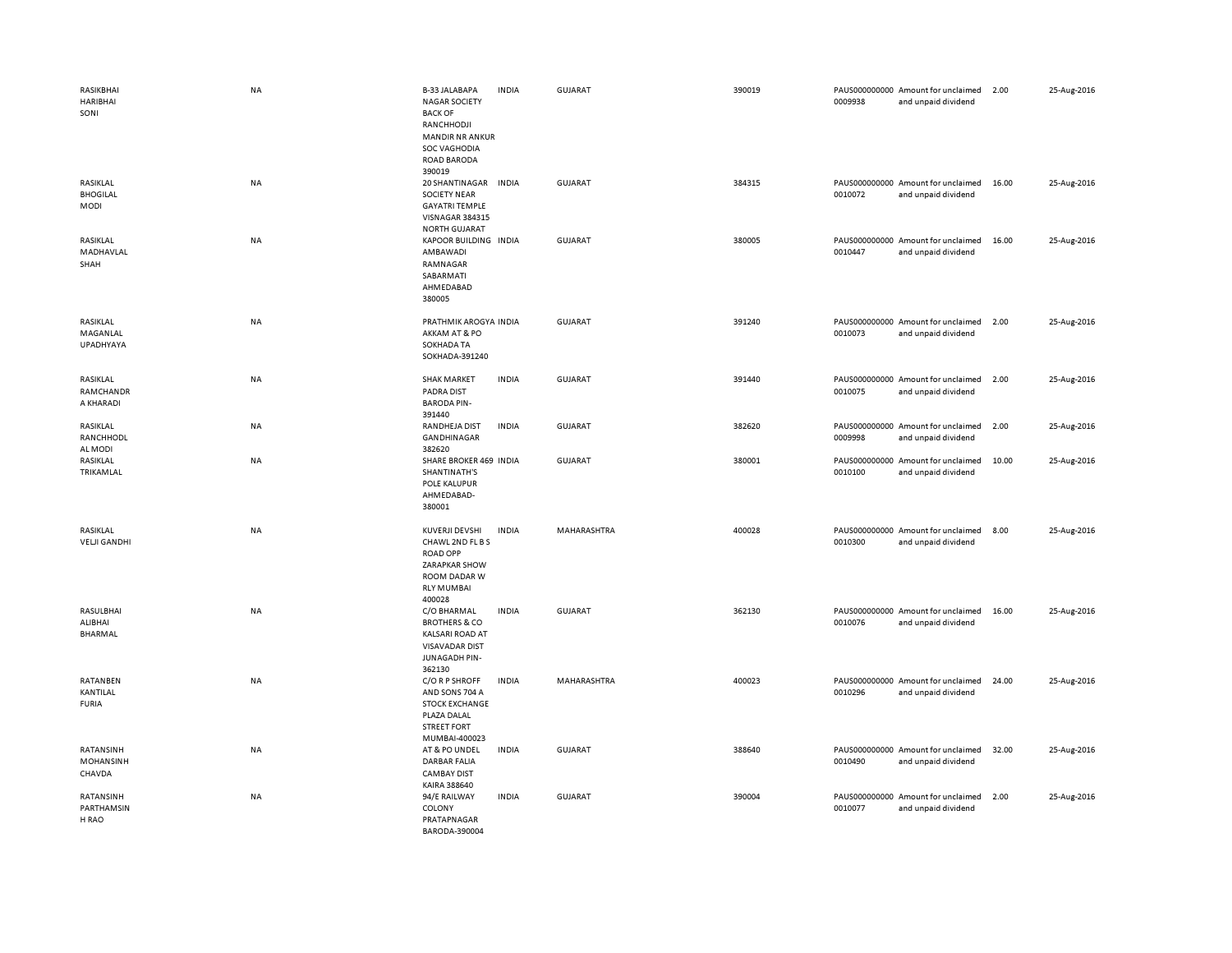| RASIKBHAI<br><b>HARIBHAI</b><br>SONI     | <b>NA</b> | <b>B-33 JALABAPA</b><br><b>NAGAR SOCIETY</b><br><b>BACK OF</b><br>RANCHHODJI<br><b>MANDIR NR ANKUR</b><br><b>SOC VAGHODIA</b><br>ROAD BARODA<br>390019 | <b>INDIA</b> | <b>GUJARAT</b> | 390019 | 0009938 | PAUS000000000 Amount for unclaimed<br>and unpaid dividend | 2.00  | 25-Aug-2016 |
|------------------------------------------|-----------|--------------------------------------------------------------------------------------------------------------------------------------------------------|--------------|----------------|--------|---------|-----------------------------------------------------------|-------|-------------|
| RASIKLAL<br><b>BHOGILAL</b><br>MODI      | NA        | 20 SHANTINAGAR<br><b>SOCIETY NEAR</b><br><b>GAYATRI TEMPLE</b><br>VISNAGAR 384315<br><b>NORTH GUJARAT</b>                                              | <b>INDIA</b> | <b>GUJARAT</b> | 384315 | 0010072 | PAUS000000000 Amount for unclaimed<br>and unpaid dividend | 16.00 | 25-Aug-2016 |
| RASIKLAL<br>MADHAVLAL<br>SHAH            | NA        | KAPOOR BUILDING INDIA<br>AMBAWADI<br>RAMNAGAR<br>SABARMATI<br>AHMEDABAD<br>380005                                                                      |              | <b>GUJARAT</b> | 380005 | 0010447 | PAUS000000000 Amount for unclaimed<br>and unpaid dividend | 16.00 | 25-Aug-2016 |
| RASIKLAL<br>MAGANLAL<br><b>UPADHYAYA</b> | NA        | PRATHMIK AROGYA INDIA<br>AKKAM AT & PO<br>SOKHADA TA<br>SOKHADA-391240                                                                                 |              | <b>GUJARAT</b> | 391240 | 0010073 | PAUS000000000 Amount for unclaimed<br>and unpaid dividend | 2.00  | 25-Aug-2016 |
| RASIKLAL<br>RAMCHANDR<br>A KHARADI       | <b>NA</b> | <b>SHAK MARKET</b><br><b>PADRA DIST</b><br><b>BARODA PIN-</b><br>391440                                                                                | <b>INDIA</b> | <b>GUJARAT</b> | 391440 | 0010075 | PAUS000000000 Amount for unclaimed<br>and unpaid dividend | 2.00  | 25-Aug-2016 |
| RASIKLAL<br>RANCHHODL<br>AL MODI         | NA        | RANDHEJA DIST<br><b>GANDHINAGAR</b><br>382620                                                                                                          | <b>INDIA</b> | GUJARAT        | 382620 | 0009998 | PAUS000000000 Amount for unclaimed<br>and unpaid dividend | 2.00  | 25-Aug-2016 |
| RASIKLAL<br>TRIKAMLAL                    | NA        | SHARE BROKER 469 INDIA<br>SHANTINATH'S<br>POLE KALUPUR<br>AHMEDABAD-<br>380001                                                                         |              | <b>GUJARAT</b> | 380001 | 0010100 | PAUS000000000 Amount for unclaimed<br>and unpaid dividend | 10.00 | 25-Aug-2016 |
| RASIKLAL<br><b>VELJI GANDHI</b>          | NA        | KUVERJI DEVSHI<br>CHAWL 2ND FL B S<br><b>ROAD OPP</b><br><b>ZARAPKAR SHOW</b><br>ROOM DADAR W<br><b>RLY MUMBAI</b><br>400028                           | <b>INDIA</b> | MAHARASHTRA    | 400028 | 0010300 | PAUS000000000 Amount for unclaimed<br>and unpaid dividend | 8.00  | 25-Aug-2016 |
| RASULBHAI<br>ALIBHAI<br><b>BHARMAL</b>   | NA        | C/O BHARMAL<br><b>BROTHERS &amp; CO</b><br><b>KALSARI ROAD AT</b><br><b>VISAVADAR DIST</b><br>JUNAGADH PIN-<br>362130                                  | <b>INDIA</b> | <b>GUJARAT</b> | 362130 | 0010076 | PAUS000000000 Amount for unclaimed<br>and unpaid dividend | 16.00 | 25-Aug-2016 |
| RATANBEN<br>KANTILAL<br><b>FURIA</b>     | NA        | C/O R P SHROFF<br>AND SONS 704 A<br><b>STOCK EXCHANGE</b><br>PLAZA DALAL<br><b>STREET FORT</b><br>MUMBAI-400023                                        | <b>INDIA</b> | MAHARASHTRA    | 400023 | 0010296 | PAUS000000000 Amount for unclaimed<br>and unpaid dividend | 24.00 | 25-Aug-2016 |
| RATANSINH<br>MOHANSINH<br>CHAVDA         | <b>NA</b> | AT & PO UNDEL<br><b>DARBAR FALIA</b><br><b>CAMBAY DIST</b><br>KAIRA 388640                                                                             | INDIA        | <b>GUJARAT</b> | 388640 | 0010490 | PAUS000000000 Amount for unclaimed<br>and unpaid dividend | 32.00 | 25-Aug-2016 |
| RATANSINH<br>PARTHAMSIN<br>H RAO         | NA        | 94/E RAILWAY<br>COLONY<br>PRATAPNAGAR<br>BARODA-390004                                                                                                 | <b>INDIA</b> | GUJARAT        | 390004 | 0010077 | PAUS000000000 Amount for unclaimed<br>and unpaid dividend | 2.00  | 25-Aug-2016 |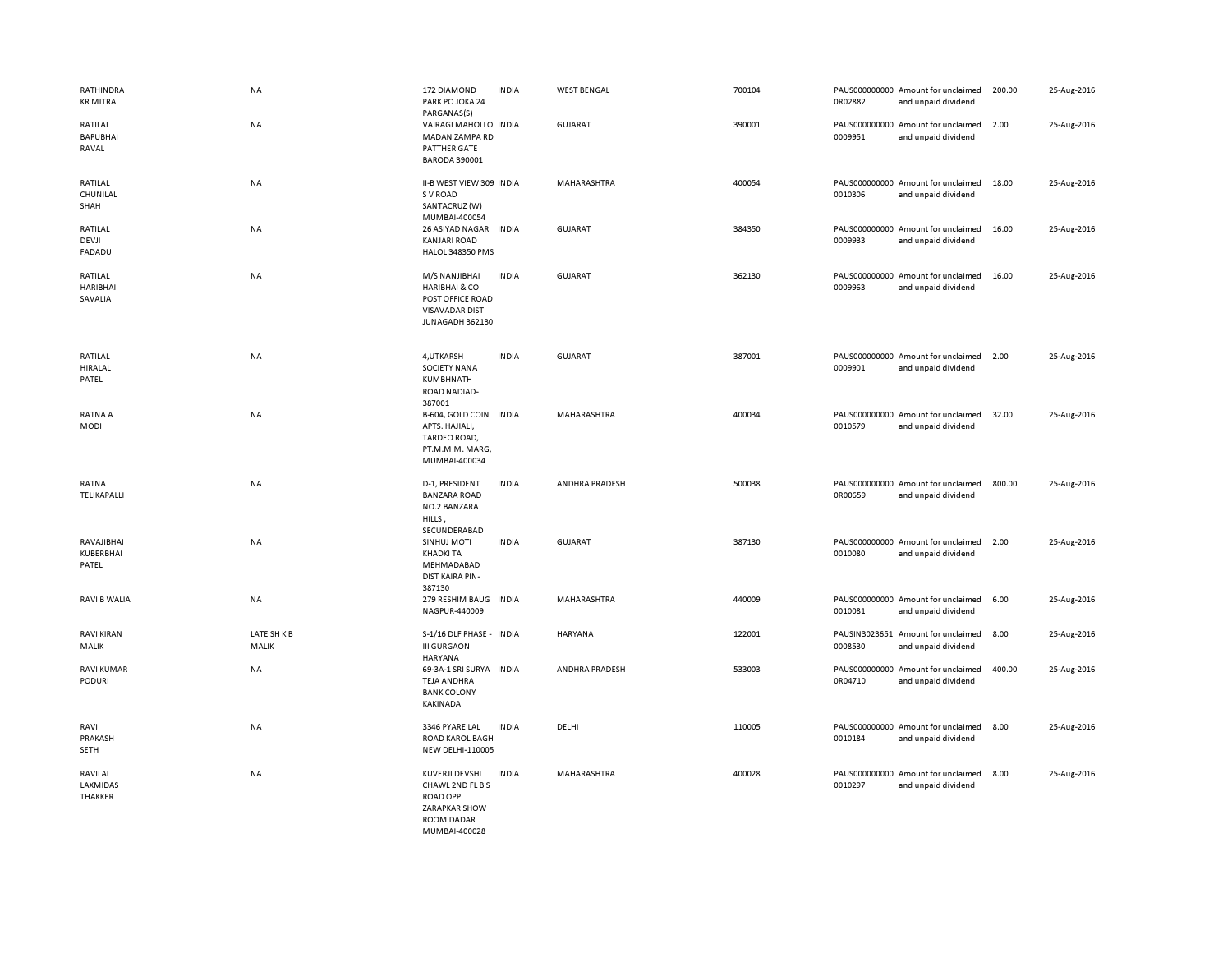| RATHINDRA<br><b>KR MITRA</b>          | NA                 | 172 DIAMOND<br>PARK PO JOKA 24<br>PARGANAS(S)                                                               | <b>INDIA</b> | <b>WEST BENGAL</b> | 700104 | 0R02882 | PAUS000000000 Amount for unclaimed<br>and unpaid dividend | 200.00 | 25-Aug-2016 |
|---------------------------------------|--------------------|-------------------------------------------------------------------------------------------------------------|--------------|--------------------|--------|---------|-----------------------------------------------------------|--------|-------------|
| RATILAL<br><b>BAPUBHAI</b><br>RAVAL   | NA                 | VAIRAGI MAHOLLO INDIA<br>MADAN ZAMPA RD<br>PATTHER GATE<br><b>BARODA 390001</b>                             |              | <b>GUJARAT</b>     | 390001 | 0009951 | PAUS000000000 Amount for unclaimed<br>and unpaid dividend | 2.00   | 25-Aug-2016 |
| RATILAL<br>CHUNILAL<br>SHAH           | NA                 | II-B WEST VIEW 309 INDIA<br>S V ROAD<br>SANTACRUZ (W)<br>MUMBAI-400054                                      |              | MAHARASHTRA        | 400054 | 0010306 | PAUS000000000 Amount for unclaimed<br>and unpaid dividend | 18.00  | 25-Aug-2016 |
| RATILAL<br>DEVJI<br>FADADU            | NA                 | 26 ASIYAD NAGAR<br><b>KANJARI ROAD</b><br><b>HALOL 348350 PMS</b>                                           | <b>INDIA</b> | <b>GUJARAT</b>     | 384350 | 0009933 | PAUS000000000 Amount for unclaimed<br>and unpaid dividend | 16.00  | 25-Aug-2016 |
| RATILAL<br><b>HARIBHAI</b><br>SAVALIA | <b>NA</b>          | M/S NANJIBHAI<br><b>HARIBHAI &amp; CO</b><br>POST OFFICE ROAD<br><b>VISAVADAR DIST</b><br>JUNAGADH 362130   | <b>INDIA</b> | GUJARAT            | 362130 | 0009963 | PAUS000000000 Amount for unclaimed<br>and unpaid dividend | 16.00  | 25-Aug-2016 |
| RATILAL<br><b>HIRALAL</b><br>PATEL    | NA                 | 4, UTKARSH<br>SOCIETY NANA<br>KUMBHNATH<br><b>ROAD NADIAD-</b><br>387001                                    | <b>INDIA</b> | <b>GUJARAT</b>     | 387001 | 0009901 | PAUS000000000 Amount for unclaimed<br>and unpaid dividend | 2.00   | 25-Aug-2016 |
| RATNA A<br>MODI                       | NA                 | B-604, GOLD COIN INDIA<br>APTS. HAJIALI,<br>TARDEO ROAD,<br>PT.M.M.M. MARG,<br>MUMBAI-400034                |              | MAHARASHTRA        | 400034 | 0010579 | PAUS000000000 Amount for unclaimed<br>and unpaid dividend | 32.00  | 25-Aug-2016 |
| RATNA<br>TELIKAPALLI                  | NA                 | D-1, PRESIDENT<br><b>BANZARA ROAD</b><br>NO.2 BANZARA<br>HILLS,<br>SECUNDERABAD                             | <b>INDIA</b> | ANDHRA PRADESH     | 500038 | 0R00659 | PAUS000000000 Amount for unclaimed<br>and unpaid dividend | 800.00 | 25-Aug-2016 |
| RAVAJIBHAI<br>KUBERBHAI<br>PATEL      | NA                 | SINHUJ MOTI<br><b>KHADKI TA</b><br>MEHMADABAD<br><b>DIST KAIRA PIN-</b><br>387130                           | <b>INDIA</b> | <b>GUJARAT</b>     | 387130 | 0010080 | PAUS000000000 Amount for unclaimed<br>and unpaid dividend | 2.00   | 25-Aug-2016 |
| <b>RAVI B WALIA</b>                   | ΝA                 | 279 RESHIM BAUG INDIA<br>NAGPUR-440009                                                                      |              | MAHARASHTRA        | 440009 | 0010081 | PAUS000000000 Amount for unclaimed<br>and unpaid dividend | 6.00   | 25-Aug-2016 |
| <b>RAVI KIRAN</b><br>MALIK            | LATE SHKB<br>MALIK | S-1/16 DLF PHASE - INDIA<br><b>III GURGAON</b><br><b>HARYANA</b>                                            |              | <b>HARYANA</b>     | 122001 | 0008530 | PAUSIN3023651 Amount for unclaimed<br>and unpaid dividend | 8.00   | 25-Aug-2016 |
| RAVI KUMAR<br><b>PODURI</b>           | NA                 | 69-3A-1 SRI SURYA INDIA<br><b>TEJA ANDHRA</b><br><b>BANK COLONY</b><br><b>KAKINADA</b>                      |              | ANDHRA PRADESH     | 533003 | 0R04710 | PAUS000000000 Amount for unclaimed<br>and unpaid dividend | 400.00 | 25-Aug-2016 |
| RAVI<br>PRAKASH<br>SETH               | NA                 | 3346 PYARE LAL<br><b>ROAD KAROL BAGH</b><br><b>NEW DELHI-110005</b>                                         | <b>INDIA</b> | DELHI              | 110005 | 0010184 | PAUS000000000 Amount for unclaimed<br>and unpaid dividend | 8.00   | 25-Aug-2016 |
| RAVILAL<br>LAXMIDAS<br>THAKKER        | NA                 | KUVERJI DEVSHI<br>CHAWL 2ND FL B S<br><b>ROAD OPP</b><br>ZARAPKAR SHOW<br><b>ROOM DADAR</b><br>MUMBAL400028 | <b>INDIA</b> | MAHARASHTRA        | 400028 | 0010297 | PAUS000000000 Amount for unclaimed<br>and unpaid dividend | 8.00   | 25-Aug-2016 |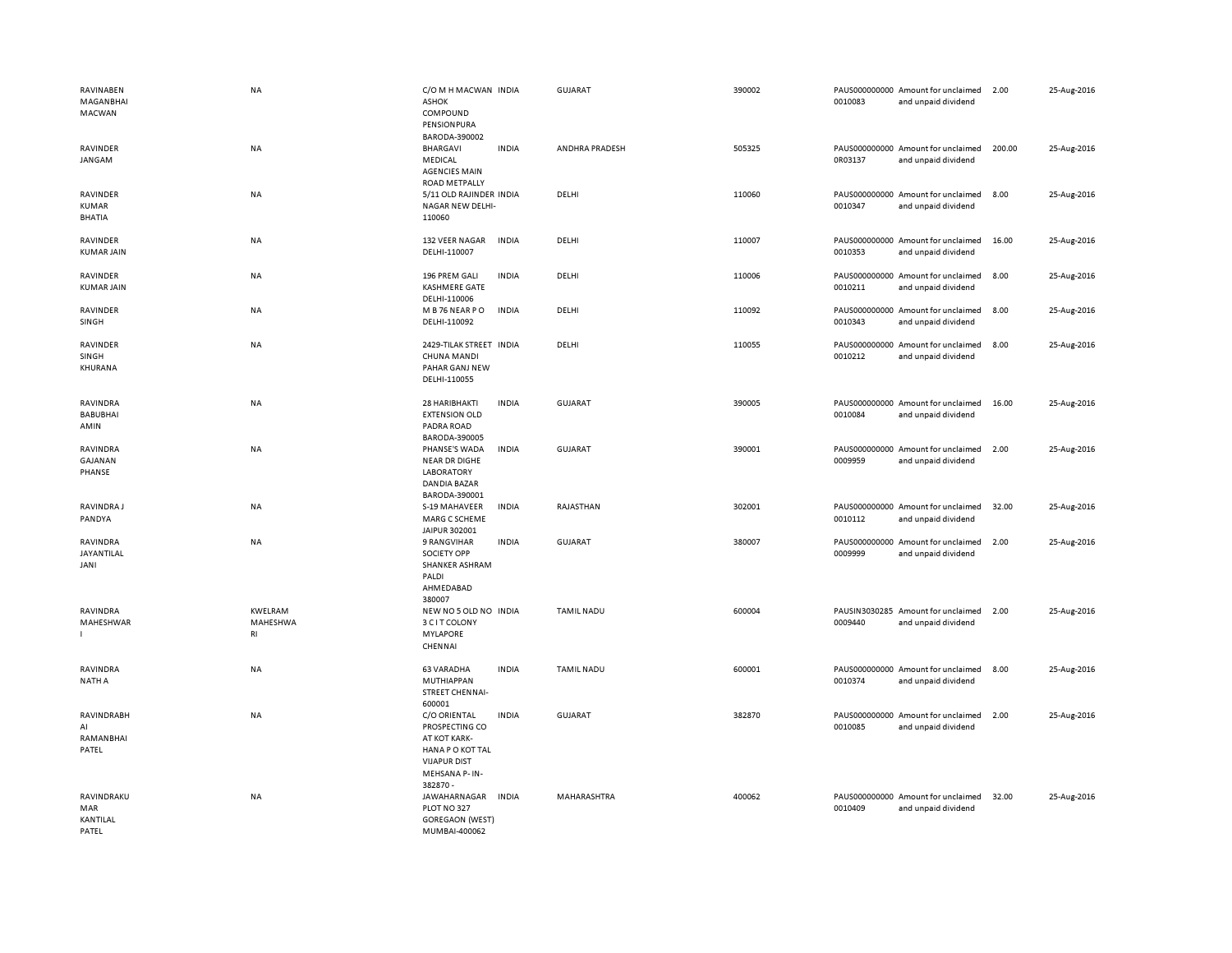| RAVINABEN<br>MAGANBHAI<br>MACWAN          | NA                        | C/O M H MACWAN INDIA<br><b>ASHOK</b><br>COMPOUND<br>PENSIONPURA                                                                 |              | GUJARAT           | 390002 | 0010083 | PAUS000000000 Amount for unclaimed<br>and unpaid dividend | 2.00   | 25-Aug-2016 |
|-------------------------------------------|---------------------------|---------------------------------------------------------------------------------------------------------------------------------|--------------|-------------------|--------|---------|-----------------------------------------------------------|--------|-------------|
| RAVINDER<br>JANGAM                        | NA                        | BARODA-390002<br><b>BHARGAVI</b><br>MEDICAL<br><b>AGENCIES MAIN</b><br>ROAD METPALLY                                            | <b>INDIA</b> | ANDHRA PRADESH    | 505325 | 0R03137 | PAUS000000000 Amount for unclaimed<br>and unpaid dividend | 200.00 | 25-Aug-2016 |
| RAVINDER<br><b>KUMAR</b><br><b>BHATIA</b> | <b>NA</b>                 | 5/11 OLD RAJINDER INDIA<br>NAGAR NEW DELHI-<br>110060                                                                           |              | DELHI             | 110060 | 0010347 | PAUS000000000 Amount for unclaimed<br>and unpaid dividend | 8.00   | 25-Aug-2016 |
| RAVINDER<br><b>KUMAR JAIN</b>             | NA                        | 132 VEER NAGAR<br>DELHI-110007                                                                                                  | <b>INDIA</b> | DELHI             | 110007 | 0010353 | PAUS000000000 Amount for unclaimed<br>and unpaid dividend | 16.00  | 25-Aug-2016 |
| <b>RAVINDER</b><br><b>KUMAR JAIN</b>      | <b>NA</b>                 | 196 PREM GALI<br><b>KASHMERE GATE</b><br>DELHI-110006                                                                           | <b>INDIA</b> | DELHI             | 110006 | 0010211 | PAUS000000000 Amount for unclaimed<br>and unpaid dividend | 8.00   | 25-Aug-2016 |
| RAVINDER<br>SINGH                         | NA                        | M B 76 NEAR PO<br>DELHI-110092                                                                                                  | <b>INDIA</b> | DELHI             | 110092 | 0010343 | PAUS000000000 Amount for unclaimed<br>and unpaid dividend | 8.00   | 25-Aug-2016 |
| RAVINDER<br>SINGH<br>KHURANA              | NA                        | 2429-TILAK STREET INDIA<br>CHUNA MANDI<br>PAHAR GANJ NEW<br>DELHI-110055                                                        |              | DELHI             | 110055 | 0010212 | PAUS000000000 Amount for unclaimed<br>and unpaid dividend | 8.00   | 25-Aug-2016 |
| RAVINDRA<br><b>BABUBHAI</b><br>AMIN       | NA                        | 28 HARIBHAKTI<br><b>EXTENSION OLD</b><br>PADRA ROAD<br>BARODA-390005                                                            | <b>INDIA</b> | <b>GUJARAT</b>    | 390005 | 0010084 | PAUS000000000 Amount for unclaimed<br>and unpaid dividend | 16.00  | 25-Aug-2016 |
| RAVINDRA<br>GAJANAN<br>PHANSE             | <b>NA</b>                 | PHANSE'S WADA<br><b>NEAR DR DIGHE</b><br>LABORATORY<br><b>DANDIA BAZAR</b><br>BARODA-390001                                     | <b>INDIA</b> | <b>GUJARAT</b>    | 390001 | 0009959 | PAUS000000000 Amount for unclaimed<br>and unpaid dividend | 2.00   | 25-Aug-2016 |
| RAVINDRA J<br>PANDYA                      | <b>NA</b>                 | S-19 MAHAVEER<br>MARG C SCHEME<br>JAIPUR 302001                                                                                 | <b>INDIA</b> | RAJASTHAN         | 302001 | 0010112 | PAUS000000000 Amount for unclaimed<br>and unpaid dividend | 32.00  | 25-Aug-2016 |
| RAVINDRA<br>JAYANTILAL<br>JANI            | NA                        | 9 RANGVIHAR<br><b>SOCIETY OPP</b><br>SHANKER ASHRAM<br>PALDI<br>AHMEDABAD<br>380007                                             | <b>INDIA</b> | <b>GUJARAT</b>    | 380007 | 0009999 | PAUS000000000 Amount for unclaimed<br>and unpaid dividend | 2.00   | 25-Aug-2016 |
| RAVINDRA<br>MAHESHWAR                     | KWELRAM<br>MAHESHWA<br>RI | NEW NO 5 OLD NO INDIA<br>3 C I T COLONY<br><b>MYLAPORE</b><br>CHENNAI                                                           |              | <b>TAMIL NADU</b> | 600004 | 0009440 | PAUSIN3030285 Amount for unclaimed<br>and unpaid dividend | 2.00   | 25-Aug-2016 |
| RAVINDRA<br><b>NATH A</b>                 | NA                        | 63 VARADHA<br>MUTHIAPPAN<br>STREET CHENNAI-                                                                                     | <b>INDIA</b> | <b>TAMIL NADU</b> | 600001 | 0010374 | PAUS000000000 Amount for unclaimed<br>and unpaid dividend | 8.00   | 25-Aug-2016 |
| RAVINDRABH<br>AI<br>RAMANBHAI<br>PATEL    | NA                        | 600001<br>C/O ORIENTAL<br>PROSPECTING CO<br>AT KOT KARK-<br>HANA PO KOT TAL<br><b>VIJAPUR DIST</b><br>MEHSANA P-IN-<br>382870 - | <b>INDIA</b> | <b>GUJARAT</b>    | 382870 | 0010085 | PAUS000000000 Amount for unclaimed<br>and unpaid dividend | 2.00   | 25-Aug-2016 |
| RAVINDRAKU<br>MAR<br>KANTILAL<br>PATEL    | <b>NA</b>                 | JAWAHARNAGAR<br>PLOT NO 327<br><b>GOREGAON (WEST)</b><br>MUMBAI-400062                                                          | <b>INDIA</b> | MAHARASHTRA       | 400062 | 0010409 | PAUS000000000 Amount for unclaimed<br>and unpaid dividend | 32.00  | 25-Aug-2016 |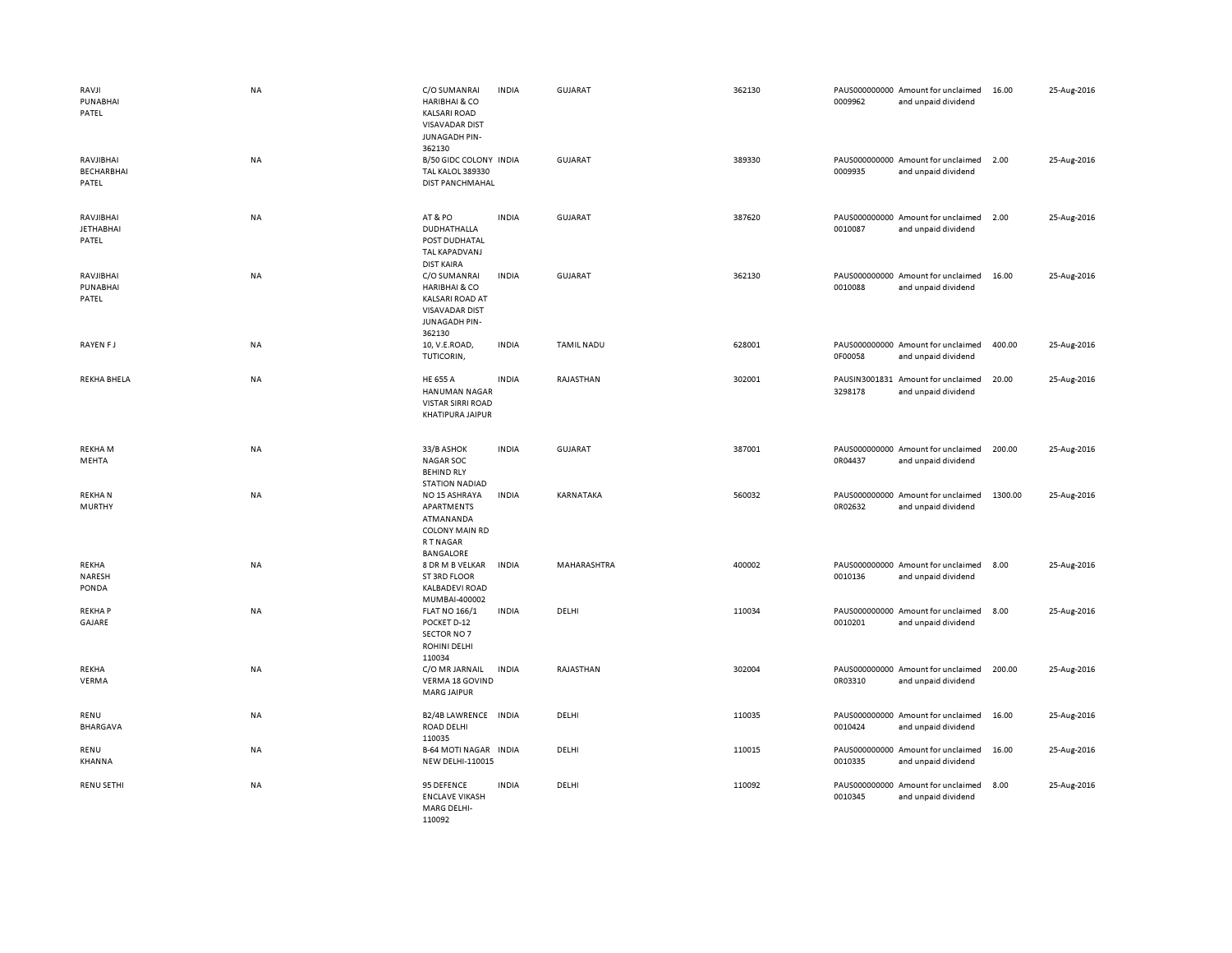| RAVJI<br>PUNABHAI<br>PATEL              | <b>NA</b> | C/O SUMANRAI<br><b>HARIBHAI &amp; CO</b><br><b>KALSARI ROAD</b><br><b>VISAVADAR DIST</b><br>JUNAGADH PIN-<br>362130    | <b>INDIA</b> | <b>GUJARAT</b>    | 362130 | 0009962                  | PAUS000000000 Amount for unclaimed<br>and unpaid dividend | 16.00   | 25-Aug-2016 |
|-----------------------------------------|-----------|------------------------------------------------------------------------------------------------------------------------|--------------|-------------------|--------|--------------------------|-----------------------------------------------------------|---------|-------------|
| RAVJIBHAI<br><b>BECHARBHAI</b><br>PATEL | NA        | B/50 GIDC COLONY INDIA<br><b>TAL KALOL 389330</b><br><b>DIST PANCHMAHAL</b>                                            |              | <b>GUJARAT</b>    | 389330 | 0009935                  | PAUS000000000 Amount for unclaimed<br>and unpaid dividend | 2.00    | 25-Aug-2016 |
| RAVJIBHAI<br><b>JETHABHAI</b><br>PATEL  | NA        | AT&PO<br>DUDHATHALLA<br>POST DUDHATAL<br>TAL KAPADVANJ<br><b>DIST KAIRA</b>                                            | <b>INDIA</b> | <b>GUJARAT</b>    | 387620 | 0010087                  | PAUS000000000 Amount for unclaimed<br>and unpaid dividend | 2.00    | 25-Aug-2016 |
| RAVJIBHAI<br>PUNABHAI<br>PATEL          | NA        | C/O SUMANRAI<br><b>HARIBHAI &amp; CO</b><br><b>KALSARI ROAD AT</b><br><b>VISAVADAR DIST</b><br>JUNAGADH PIN-<br>362130 | <b>INDIA</b> | GUJARAT           | 362130 | 0010088                  | PAUS000000000 Amount for unclaimed<br>and unpaid dividend | 16.00   | 25-Aug-2016 |
| RAYEN FJ                                | <b>NA</b> | 10, V.E.ROAD,<br>TUTICORIN,                                                                                            | <b>INDIA</b> | <b>TAMIL NADU</b> | 628001 | 0F00058                  | PAUS000000000 Amount for unclaimed<br>and unpaid dividend | 400.00  | 25-Aug-2016 |
| <b>REKHA BHELA</b>                      | <b>NA</b> | <b>HE 655 A</b><br><b>HANUMAN NAGAR</b><br><b>VISTAR SIRRI ROAD</b><br>KHATIPURA JAIPUR                                | <b>INDIA</b> | RAJASTHAN         | 302001 | PAUSIN3001831<br>3298178 | Amount for unclaimed<br>and unpaid dividend               | 20.00   | 25-Aug-2016 |
| <b>REKHAM</b><br>MEHTA                  | NA        | 33/B ASHOK<br><b>NAGAR SOC</b><br><b>BEHIND RLY</b><br><b>STATION NADIAD</b>                                           | <b>INDIA</b> | <b>GUJARAT</b>    | 387001 | 0R04437                  | PAUS000000000 Amount for unclaimed<br>and unpaid dividend | 200.00  | 25-Aug-2016 |
| <b>REKHAN</b><br><b>MURTHY</b>          | NA        | NO 15 ASHRAYA<br>APARTMENTS<br>ATMANANDA<br><b>COLONY MAIN RD</b><br><b>RTNAGAR</b><br>BANGALORE                       | <b>INDIA</b> | KARNATAKA         | 560032 | 0R02632                  | PAUS000000000 Amount for unclaimed<br>and unpaid dividend | 1300.00 | 25-Aug-2016 |
| REKHA<br>NARESH<br>PONDA                | NA        | 8 DR M B VELKAR<br>ST 3RD FLOOR<br><b>KALBADEVI ROAD</b><br>MUMBAI-400002                                              | <b>INDIA</b> | MAHARASHTRA       | 400002 | 0010136                  | PAUS000000000 Amount for unclaimed<br>and unpaid dividend | 8.00    | 25-Aug-2016 |
| <b>REKHAP</b><br>GAJARE                 | NA        | <b>FLAT NO 166/1</b><br>POCKET D-12<br>SECTOR NO 7<br><b>ROHINI DELHI</b><br>110034                                    | <b>INDIA</b> | DELHI             | 110034 | 0010201                  | PAUS000000000 Amount for unclaimed<br>and unpaid dividend | 8.00    | 25-Aug-2016 |
| REKHA<br>VERMA                          | <b>NA</b> | C/O MR JARNAIL<br>VERMA 18 GOVIND<br><b>MARG JAIPUR</b>                                                                | <b>INDIA</b> | RAJASTHAN         | 302004 | 0R03310                  | PAUS000000000 Amount for unclaimed<br>and unpaid dividend | 200.00  | 25-Aug-2016 |
| RENU<br><b>BHARGAVA</b>                 | NA        | B2/4B LAWRENCE INDIA<br><b>ROAD DELHI</b><br>110035                                                                    |              | DELHI             | 110035 | 0010424                  | PAUS000000000 Amount for unclaimed<br>and unpaid dividend | 16.00   | 25-Aug-2016 |
| RENU<br>KHANNA                          | NA        | <b>B-64 MOTI NAGAR INDIA</b><br><b>NEW DELHI-110015</b>                                                                |              | DELHI             | 110015 | 0010335                  | PAUS000000000 Amount for unclaimed<br>and unpaid dividend | 16.00   | 25-Aug-2016 |
| RENU SETHI                              | NA        | 95 DEFENCE<br><b>ENCLAVE VIKASH</b><br><b>MARG DELHI-</b><br>110092                                                    | <b>INDIA</b> | DELHI             | 110092 | 0010345                  | PAUS000000000 Amount for unclaimed<br>and unpaid dividend | 8.00    | 25-Aug-2016 |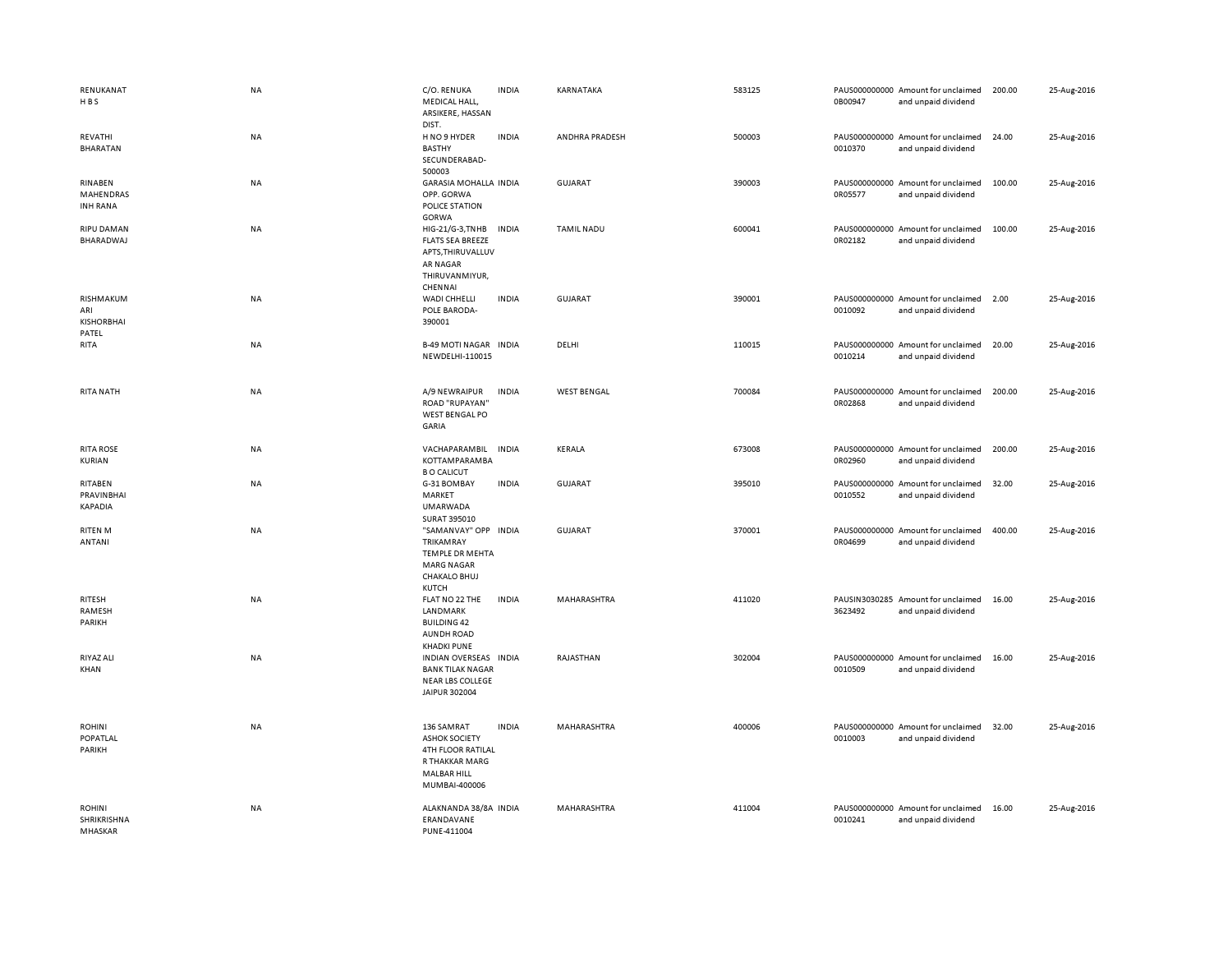| RENUKANAT<br>HBS                               | <b>NA</b> | C/O. RENUKA<br>MEDICAL HALL,<br>ARSIKERE, HASSAN<br>DIST.                                                               | <b>INDIA</b> | KARNATAKA          | 583125 | 0B00947 | PAUS000000000 Amount for unclaimed<br>and unpaid dividend | 200.00 | 25-Aug-2016 |
|------------------------------------------------|-----------|-------------------------------------------------------------------------------------------------------------------------|--------------|--------------------|--------|---------|-----------------------------------------------------------|--------|-------------|
| REVATHI<br><b>BHARATAN</b>                     | NA        | H NO 9 HYDER<br><b>BASTHY</b><br>SECUNDERABAD-<br>500003                                                                | <b>INDIA</b> | ANDHRA PRADESH     | 500003 | 0010370 | PAUS000000000 Amount for unclaimed<br>and unpaid dividend | 24.00  | 25-Aug-2016 |
| RINABEN<br>MAHENDRAS<br><b>INH RANA</b>        | NA        | <b>GARASIA MOHALLA INDIA</b><br>OPP. GORWA<br>POLICE STATION<br>GORWA                                                   |              | <b>GUJARAT</b>     | 390003 | 0R05577 | PAUS000000000 Amount for unclaimed<br>and unpaid dividend | 100.00 | 25-Aug-2016 |
| <b>RIPU DAMAN</b><br>BHARADWAJ                 | <b>NA</b> | HIG-21/G-3, TNHB<br><b>FLATS SEA BREEZE</b><br>APTS, THIRUVALLUV<br><b>AR NAGAR</b><br>THIRUVANMIYUR,<br>CHENNAI        | <b>INDIA</b> | <b>TAMIL NADU</b>  | 600041 | 0R02182 | PAUS000000000 Amount for unclaimed<br>and unpaid dividend | 100.00 | 25-Aug-2016 |
| RISHMAKUM<br>ARI<br><b>KISHORBHAI</b><br>PATEL | NA        | WADI CHHELLI<br>POLE BARODA-<br>390001                                                                                  | <b>INDIA</b> | <b>GUJARAT</b>     | 390001 | 0010092 | PAUS000000000 Amount for unclaimed<br>and unpaid dividend | 2.00   | 25-Aug-2016 |
| RITA                                           | NA        | <b>B-49 MOTI NAGAR INDIA</b><br>NEWDELHI-110015                                                                         |              | DELHI              | 110015 | 0010214 | PAUS000000000 Amount for unclaimed<br>and unpaid dividend | 20.00  | 25-Aug-2016 |
| RITA NATH                                      | <b>NA</b> | A/9 NEWRAIPUR<br>ROAD "RUPAYAN"<br>WEST BENGAL PO<br>GARIA                                                              | <b>INDIA</b> | <b>WEST BENGAL</b> | 700084 | 0R02868 | PAUS000000000 Amount for unclaimed<br>and unpaid dividend | 200.00 | 25-Aug-2016 |
| <b>RITA ROSE</b><br>KURIAN                     | <b>NA</b> | VACHAPARAMBIL<br>KOTTAMPARAMBA<br><b>B O CALICUT</b>                                                                    | <b>INDIA</b> | KERALA             | 673008 | 0R02960 | PAUS000000000 Amount for unclaimed<br>and unpaid dividend | 200.00 | 25-Aug-2016 |
| RITABEN<br>PRAVINBHAI<br><b>KAPADIA</b>        | NA        | G-31 BOMBAY<br>MARKET<br><b>UMARWADA</b><br>SURAT 395010                                                                | <b>INDIA</b> | <b>GUJARAT</b>     | 395010 | 0010552 | PAUS000000000 Amount for unclaimed<br>and unpaid dividend | 32.00  | 25-Aug-2016 |
| <b>RITEN M</b><br>ANTANI                       | NA        | "SAMANVAY" OPP INDIA<br>TRIKAMRAY<br><b>TEMPLE DR MEHTA</b><br><b>MARG NAGAR</b><br>CHAKALO BHUJ<br>KUTCH               |              | <b>GUJARAT</b>     | 370001 | 0R04699 | PAUS000000000 Amount for unclaimed<br>and unpaid dividend | 400.00 | 25-Aug-2016 |
| RITESH<br>RAMESH<br>PARIKH                     | NA        | FLAT NO 22 THE<br>LANDMARK<br><b>BUILDING 42</b><br><b>AUNDH ROAD</b><br><b>KHADKI PUNE</b>                             | <b>INDIA</b> | MAHARASHTRA        | 411020 | 3623492 | PAUSIN3030285 Amount for unclaimed<br>and unpaid dividend | 16.00  | 25-Aug-2016 |
| RIYAZ ALI<br>KHAN                              | NA        | INDIAN OVERSEAS INDIA<br><b>BANK TILAK NAGAR</b><br><b>NEAR LBS COLLEGE</b><br>JAIPUR 302004                            |              | RAJASTHAN          | 302004 | 0010509 | PAUS000000000 Amount for unclaimed<br>and unpaid dividend | 16.00  | 25-Aug-2016 |
| <b>ROHINI</b><br>POPATLAL<br>PARIKH            | <b>NA</b> | 136 SAMRAT<br><b>ASHOK SOCIETY</b><br><b>4TH FLOOR RATILAL</b><br>R THAKKAR MARG<br><b>MALBAR HILL</b><br>MUMBAI-400006 | <b>INDIA</b> | MAHARASHTRA        | 400006 | 0010003 | PAUS000000000 Amount for unclaimed<br>and unpaid dividend | 32.00  | 25-Aug-2016 |
| <b>ROHINI</b><br>SHRIKRISHNA<br>MHASKAR        | NA        | ALAKNANDA 38/8A INDIA<br>ERANDAVANE<br>PUNE-411004                                                                      |              | <b>MAHARASHTRA</b> | 411004 | 0010241 | PAUS000000000 Amount for unclaimed<br>and unpaid dividend | 16.00  | 25-Aug-2016 |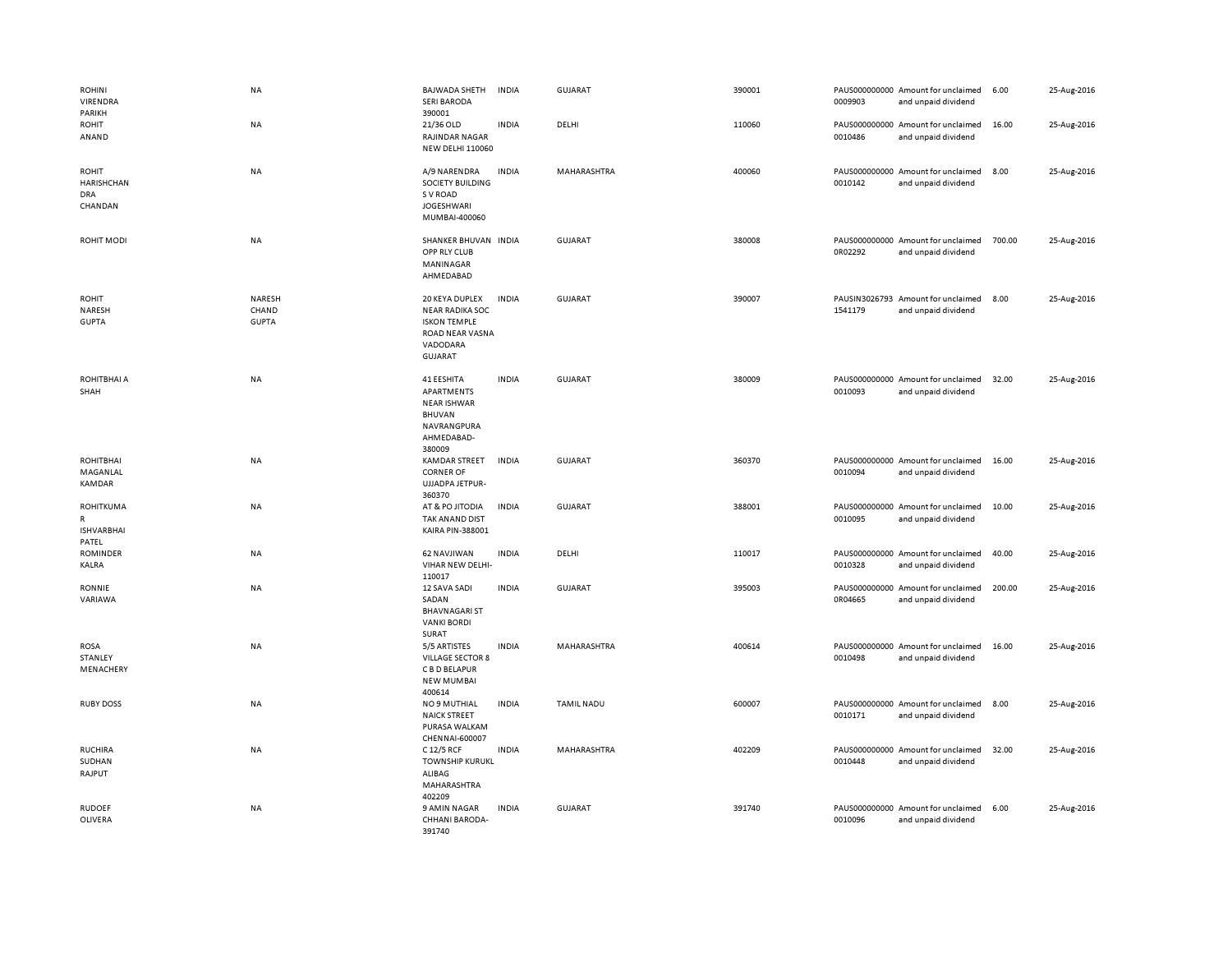| <b>ROHINI</b><br>VIRENDRA<br>PARIKH                         | <b>NA</b>                       | <b>BAJWADA SHETH</b><br><b>SERI BARODA</b><br>390001                                                             | <b>INDIA</b> | <b>GUJARAT</b>     | 390001 | 0009903 | PAUS000000000 Amount for unclaimed<br>and unpaid dividend | 6.00   | 25-Aug-2016 |
|-------------------------------------------------------------|---------------------------------|------------------------------------------------------------------------------------------------------------------|--------------|--------------------|--------|---------|-----------------------------------------------------------|--------|-------------|
| <b>ROHIT</b><br>ANAND                                       | <b>NA</b>                       | 21/36 OLD<br>RAJINDAR NAGAR<br><b>NEW DELHI 110060</b>                                                           | <b>INDIA</b> | DELHI              | 110060 | 0010486 | PAUS000000000 Amount for unclaimed<br>and unpaid dividend | 16.00  | 25-Aug-2016 |
| <b>ROHIT</b><br><b>HARISHCHAN</b><br><b>DRA</b><br>CHANDAN  | <b>NA</b>                       | A/9 NARENDRA<br>SOCIETY BUILDING<br>S V ROAD<br><b>JOGESHWARI</b><br>MUMBAI-400060                               | <b>INDIA</b> | MAHARASHTRA        | 400060 | 0010142 | PAUS000000000 Amount for unclaimed<br>and unpaid dividend | 8.00   | 25-Aug-2016 |
| ROHIT MODI                                                  | NA                              | SHANKER BHUVAN INDIA<br>OPP RLY CLUB<br>MANINAGAR<br>AHMEDABAD                                                   |              | <b>GUJARAT</b>     | 380008 | 0R02292 | PAUS000000000 Amount for unclaimed<br>and unpaid dividend | 700.00 | 25-Aug-2016 |
| <b>ROHIT</b><br>NARESH<br><b>GUPTA</b>                      | NARESH<br>CHAND<br><b>GUPTA</b> | 20 KEYA DUPLEX<br><b>NEAR RADIKA SOC</b><br><b>ISKON TEMPLE</b><br>ROAD NEAR VASNA<br>VADODARA<br><b>GUJARAT</b> | <b>INDIA</b> | <b>GUJARAT</b>     | 390007 | 1541179 | PAUSIN3026793 Amount for unclaimed<br>and unpaid dividend | 8.00   | 25-Aug-2016 |
| ROHITBHAI A<br>SHAH                                         | NA                              | 41 EESHITA<br>APARTMENTS<br><b>NEAR ISHWAR</b><br><b>BHUVAN</b><br>NAVRANGPURA<br>AHMEDABAD-<br>380009           | <b>INDIA</b> | <b>GUJARAT</b>     | 380009 | 0010093 | PAUS000000000 Amount for unclaimed<br>and unpaid dividend | 32.00  | 25-Aug-2016 |
| <b>ROHITBHAI</b><br>MAGANLAL<br><b>KAMDAR</b>               | NA                              | KAMDAR STREET<br><b>CORNER OF</b><br>UJJADPA JETPUR-<br>360370                                                   | <b>INDIA</b> | <b>GUJARAT</b>     | 360370 | 0010094 | PAUS000000000 Amount for unclaimed<br>and unpaid dividend | 16.00  | 25-Aug-2016 |
| <b>ROHITKUMA</b><br>${\sf R}$<br><b>ISHVARBHAI</b><br>PATEL | NA                              | AT & PO JITODIA<br>TAK ANAND DIST<br>KAIRA PIN-388001                                                            | <b>INDIA</b> | GUJARAT            | 388001 | 0010095 | PAUS000000000 Amount for unclaimed<br>and unpaid dividend | 10.00  | 25-Aug-2016 |
| <b>ROMINDER</b><br>KALRA                                    | NA                              | 62 NAVJIWAN<br>VIHAR NEW DELHI-<br>110017                                                                        | <b>INDIA</b> | DELHI              | 110017 | 0010328 | PAUS000000000 Amount for unclaimed<br>and unpaid dividend | 40.00  | 25-Aug-2016 |
| RONNIE<br>VARIAWA                                           | NA                              | 12 SAVA SADI<br>SADAN<br><b>BHAVNAGARI ST</b><br><b>VANKI BORDI</b><br>SURAT                                     | <b>INDIA</b> | GUJARAT            | 395003 | 0R04665 | PAUS000000000 Amount for unclaimed<br>and unpaid dividend | 200.00 | 25-Aug-2016 |
| <b>ROSA</b><br>STANLEY<br>MENACHERY                         | NA                              | 5/5 ARTISTES<br><b>VILLAGE SECTOR 8</b><br>C B D BELAPUR<br><b>NEW MUMBAI</b><br>400614                          | <b>INDIA</b> | MAHARASHTRA        | 400614 | 0010498 | PAUS000000000 Amount for unclaimed<br>and unpaid dividend | 16.00  | 25-Aug-2016 |
| <b>RUBY DOSS</b>                                            | NA                              | NO 9 MUTHIAL<br><b>NAICK STREET</b><br>PURASA WALKAM<br>CHENNAI-600007                                           | <b>INDIA</b> | <b>TAMIL NADU</b>  | 600007 | 0010171 | PAUS000000000 Amount for unclaimed<br>and unpaid dividend | 8.00   | 25-Aug-2016 |
| <b>RUCHIRA</b><br>SUDHAN<br>RAJPUT                          | <b>NA</b>                       | C 12/5 RCF<br><b>TOWNSHIP KURUKL</b><br>ALIBAG<br>MAHARASHTRA<br>402209                                          | <b>INDIA</b> | <b>MAHARASHTRA</b> | 402209 | 0010448 | PAUS000000000 Amount for unclaimed<br>and unpaid dividend | 32.00  | 25-Aug-2016 |
| <b>RUDOEF</b><br>OLIVERA                                    | <b>NA</b>                       | 9 AMIN NAGAR<br>CHHANI BARODA-<br>391740                                                                         | <b>INDIA</b> | <b>GUJARAT</b>     | 391740 | 0010096 | PAUS000000000 Amount for unclaimed<br>and unpaid dividend | 6.00   | 25-Aug-2016 |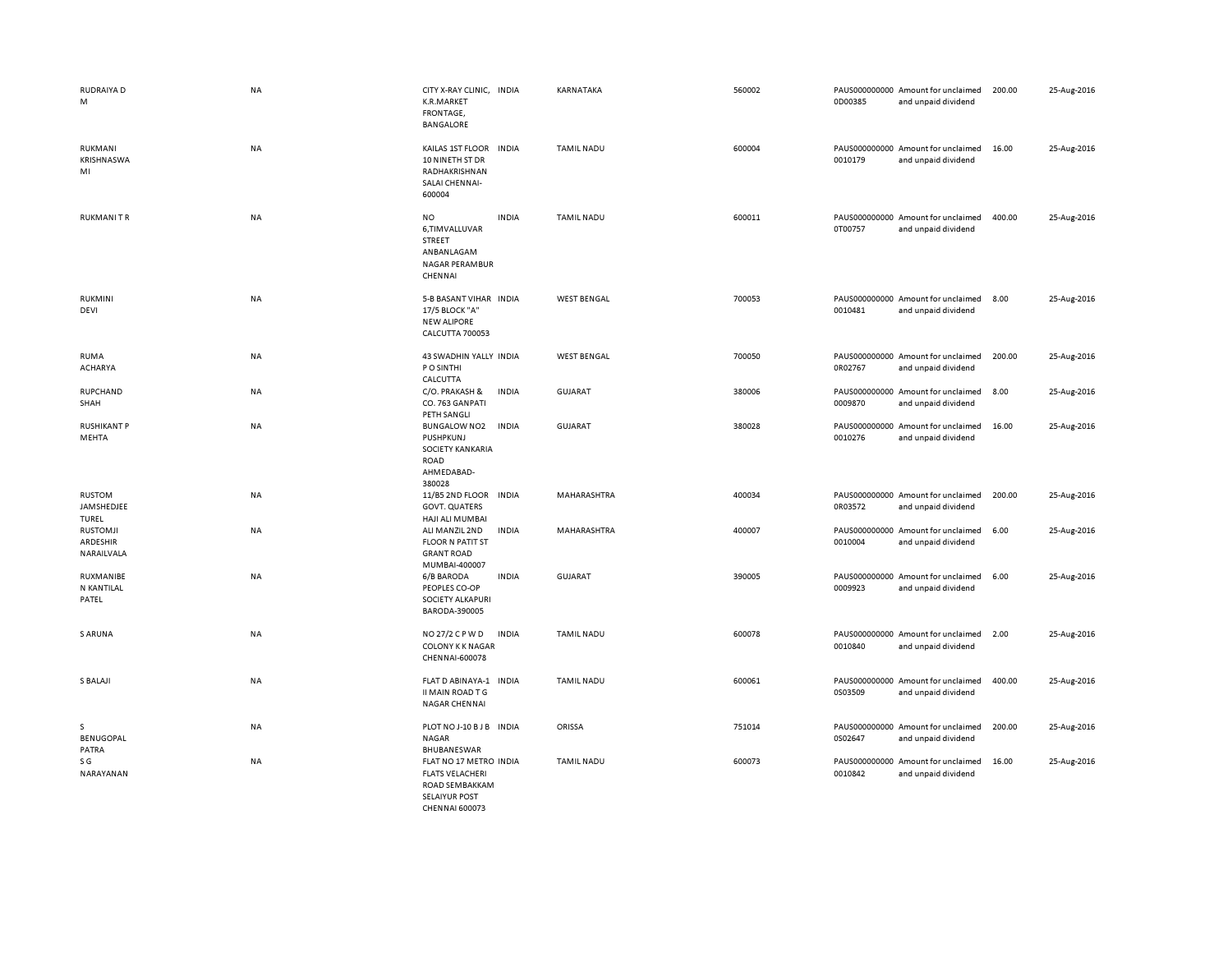| RUDRAIYA D<br>M                           | <b>NA</b> | CITY X-RAY CLINIC, INDIA<br>K.R.MARKET<br>FRONTAGE,<br><b>BANGALORE</b>                                | KARNATAKA          | 560002 | PAUS000000000 Amount for unclaimed<br>0D00385<br>and unpaid dividend    | 200.00 | 25-Aug-2016 |
|-------------------------------------------|-----------|--------------------------------------------------------------------------------------------------------|--------------------|--------|-------------------------------------------------------------------------|--------|-------------|
| RUKMANI<br>KRISHNASWA<br>MI               | NA        | <b>INDIA</b><br>KAILAS 1ST FLOOR<br>10 NINETH ST DR<br>RADHAKRISHNAN<br>SALAI CHENNAI-<br>600004       | <b>TAMIL NADU</b>  | 600004 | PAUS000000000 Amount for unclaimed<br>0010179<br>and unpaid dividend    | 16.00  | 25-Aug-2016 |
| <b>RUKMANITR</b>                          | <b>NA</b> | <b>NO</b><br><b>INDIA</b><br>6,TIMVALLUVAR<br>STREET<br>ANBANLAGAM<br><b>NAGAR PERAMBUR</b><br>CHENNAI | <b>TAMIL NADU</b>  | 600011 | PAUS000000000 Amount for unclaimed<br>0T00757<br>and unpaid dividend    | 400.00 | 25-Aug-2016 |
| RUKMINI<br>DEVI                           | NA        | 5-B BASANT VIHAR INDIA<br>17/5 BLOCK "A"<br><b>NEW ALIPORE</b><br>CALCUTTA 700053                      | <b>WEST BENGAL</b> | 700053 | PAUS000000000 Amount for unclaimed<br>0010481<br>and unpaid dividend    | 8.00   | 25-Aug-2016 |
| <b>RUMA</b><br><b>ACHARYA</b>             | NA        | 43 SWADHIN YALLY INDIA<br>P O SINTHI<br>CALCUTTA                                                       | <b>WEST BENGAL</b> | 700050 | PAUS000000000 Amount for unclaimed<br>0R02767<br>and unpaid dividend    | 200.00 | 25-Aug-2016 |
| <b>RUPCHAND</b><br>SHAH                   | NA        | C/O. PRAKASH &<br><b>INDIA</b><br>CO. 763 GANPATI<br>PETH SANGLI                                       | <b>GUJARAT</b>     | 380006 | PAUS000000000 Amount for unclaimed<br>0009870<br>and unpaid dividend    | 8.00   | 25-Aug-2016 |
| <b>RUSHIKANT P</b><br>MEHTA               | <b>NA</b> | <b>INDIA</b><br><b>BUNGALOW NO2</b><br>PUSHPKUNJ<br>SOCIETY KANKARIA<br>ROAD<br>AHMEDABAD-<br>380028   | <b>GUJARAT</b>     | 380028 | PAUS000000000<br>Amount for unclaimed<br>0010276<br>and unpaid dividend | 16.00  | 25-Aug-2016 |
| <b>RUSTOM</b><br>JAMSHEDJEE<br>TUREL      | <b>NA</b> | 11/B5 2ND FLOOR<br><b>INDIA</b><br><b>GOVT. QUATERS</b><br>HAJI ALI MUMBAI                             | <b>MAHARASHTRA</b> | 400034 | PAUS000000000 Amount for unclaimed<br>0R03572<br>and unpaid dividend    | 200.00 | 25-Aug-2016 |
| <b>RUSTOMJI</b><br>ARDESHIR<br>NARAILVALA | NA        | <b>INDIA</b><br>ALI MANZIL 2ND<br><b>FLOOR N PATIT ST</b><br><b>GRANT ROAD</b><br>MUMBAI-400007        | MAHARASHTRA        | 400007 | PAUS000000000 Amount for unclaimed<br>0010004<br>and unpaid dividend    | 6.00   | 25-Aug-2016 |
| RUXMANIBE<br>N KANTILAL<br>PATEL          | NA        | <b>INDIA</b><br>6/B BARODA<br>PEOPLES CO-OP<br>SOCIETY ALKAPURI<br>BARODA-390005                       | <b>GUJARAT</b>     | 390005 | PAUS000000000 Amount for unclaimed<br>0009923<br>and unpaid dividend    | 6.00   | 25-Aug-2016 |
| S ARUNA                                   | NA        | <b>INDIA</b><br>NO 27/2 C P W D<br>COLONY K K NAGAR<br>CHENNAI-600078                                  | <b>TAMIL NADU</b>  | 600078 | PAUS000000000 Amount for unclaimed<br>0010840<br>and unpaid dividend    | 2.00   | 25-Aug-2016 |
| S BALAJI                                  | <b>NA</b> | FLAT D ABINAYA-1<br><b>INDIA</b><br>II MAIN ROAD T G<br><b>NAGAR CHENNAI</b>                           | <b>TAMIL NADU</b>  | 600061 | PAUS000000000 Amount for unclaimed<br>0S03509<br>and unpaid dividend    | 400.00 | 25-Aug-2016 |
| s<br>BENUGOPAL<br>PATRA                   | <b>NA</b> | PLOT NO J-10 B J B INDIA<br>NAGAR<br>BHUBANESWAR                                                       | ORISSA             | 751014 | PAUS000000000 Amount for unclaimed<br>0S02647<br>and unpaid dividend    | 200.00 | 25-Aug-2016 |
| S G<br>NARAYANAN                          | <b>NA</b> | FLAT NO 17 METRO INDIA<br><b>FLATS VELACHERI</b><br>ROAD SEMBAKKAM<br><b>SELAIYUR POST</b>             | <b>TAMIL NADU</b>  | 600073 | PAUS000000000 Amount for unclaimed<br>0010842<br>and unpaid dividend    | 16.00  | 25-Aug-2016 |

CHENNAI 600073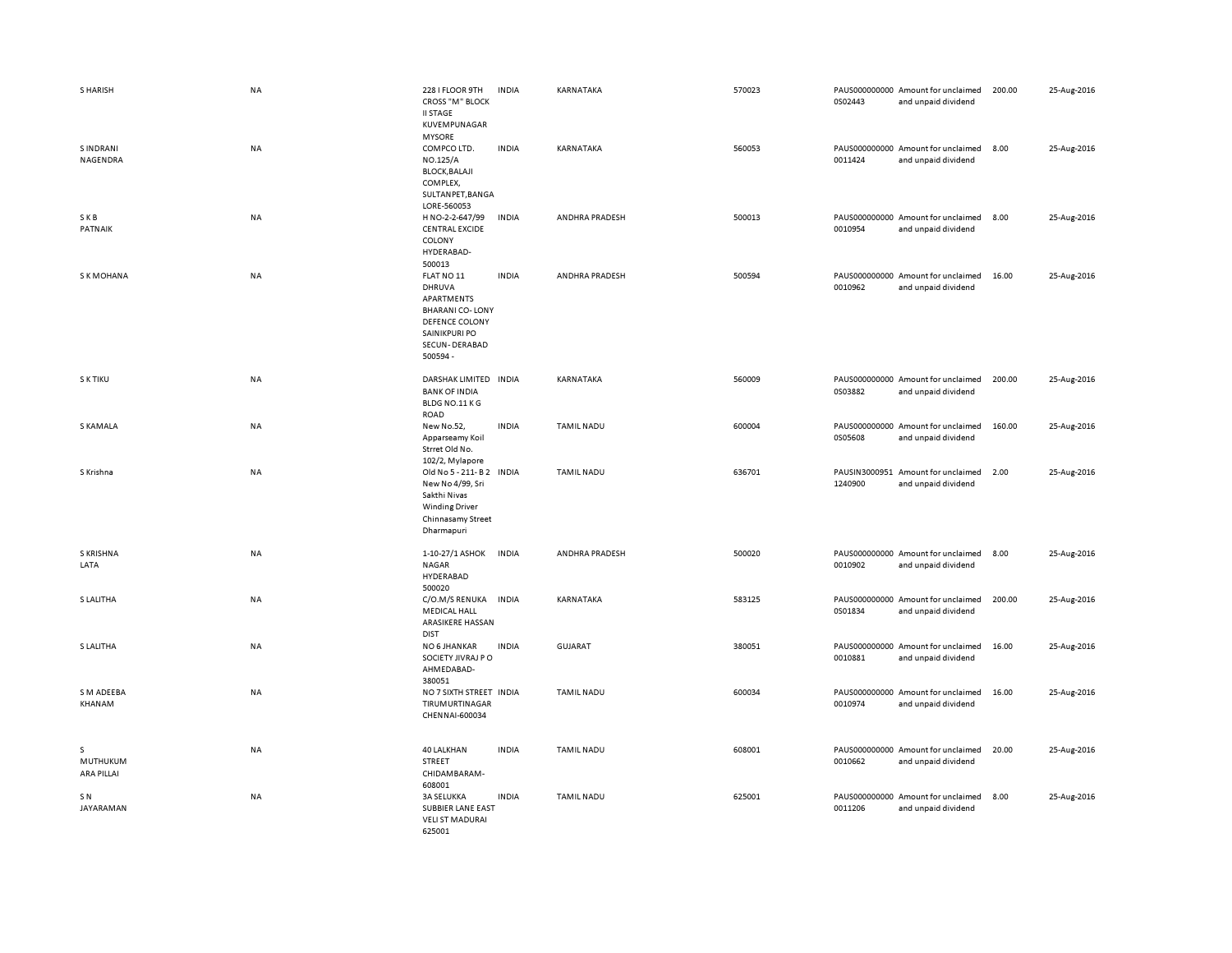| <b>S HARISH</b>                    | <b>NA</b> | 228 I FLOOR 9TH<br><b>CROSS "M" BLOCK</b><br><b>II STAGE</b><br>KUVEMPUNAGAR                                                 | <b>INDIA</b> | KARNATAKA         | 570023 | 0S02443 | PAUS000000000 Amount for unclaimed<br>and unpaid dividend | 200.00 | 25-Aug-2016 |
|------------------------------------|-----------|------------------------------------------------------------------------------------------------------------------------------|--------------|-------------------|--------|---------|-----------------------------------------------------------|--------|-------------|
| S INDRANI<br>NAGENDRA              | <b>NA</b> | <b>MYSORE</b><br>COMPCO LTD.<br>NO.125/A<br><b>BLOCK, BALAJI</b><br>COMPLEX,<br>SULTANPET, BANGA<br>LORE-560053              | <b>INDIA</b> | KARNATAKA         | 560053 | 0011424 | PAUS000000000 Amount for unclaimed<br>and unpaid dividend | 8.00   | 25-Aug-2016 |
| SKB<br>PATNAIK                     | NA        | H NO-2-2-647/99<br><b>CENTRAL EXCIDE</b><br>COLONY<br>HYDERABAD-<br>500013                                                   | INDIA        | ANDHRA PRADESH    | 500013 | 0010954 | PAUS000000000 Amount for unclaimed<br>and unpaid dividend | 8.00   | 25-Aug-2016 |
| S K MOHANA                         | <b>NA</b> | FLAT NO 11<br>DHRUVA<br>APARTMENTS<br><b>BHARANI CO-LONY</b><br>DEFENCE COLONY<br>SAINIKPURI PO<br>SECUN-DERABAD<br>500594 - | <b>INDIA</b> | ANDHRA PRADESH    | 500594 | 0010962 | PAUS000000000 Amount for unclaimed<br>and unpaid dividend | 16.00  | 25-Aug-2016 |
| S K TIKU                           | <b>NA</b> | DARSHAK LIMITED INDIA<br><b>BANK OF INDIA</b><br>BLDG NO.11 KG<br>ROAD                                                       |              | KARNATAKA         | 560009 | 0S03882 | PAUS000000000 Amount for unclaimed<br>and unpaid dividend | 200.00 | 25-Aug-2016 |
| S KAMALA                           | <b>NA</b> | New No.52,<br>Apparseamy Koil<br>Strret Old No.<br>102/2, Mylapore                                                           | <b>INDIA</b> | <b>TAMIL NADU</b> | 600004 | 0S05608 | PAUS000000000 Amount for unclaimed<br>and unpaid dividend | 160.00 | 25-Aug-2016 |
| S Krishna                          | <b>NA</b> | Old No 5 - 211- B 2 INDIA<br>New No 4/99, Sri<br>Sakthi Nivas<br><b>Winding Driver</b><br>Chinnasamy Street<br>Dharmapuri    |              | <b>TAMIL NADU</b> | 636701 | 1240900 | PAUSIN3000951 Amount for unclaimed<br>and unpaid dividend | 2.00   | 25-Aug-2016 |
| <b>S KRISHNA</b><br>LATA           | <b>NA</b> | 1-10-27/1 ASHOK<br><b>NAGAR</b><br>HYDERABAD<br>500020                                                                       | <b>INDIA</b> | ANDHRA PRADESH    | 500020 | 0010902 | PAUS000000000 Amount for unclaimed<br>and unpaid dividend | 8.00   | 25-Aug-2016 |
| S LALITHA                          | <b>NA</b> | C/O.M/S RENUKA<br><b>MEDICAL HALL</b><br>ARASIKERE HASSAN<br><b>DIST</b>                                                     | <b>INDIA</b> | KARNATAKA         | 583125 | 0S01834 | PAUS000000000 Amount for unclaimed<br>and unpaid dividend | 200.00 | 25-Aug-2016 |
| S LALITHA                          | <b>NA</b> | NO 6 JHANKAR<br>SOCIETY JIVRAJ PO<br>AHMEDABAD-<br>380051                                                                    | <b>INDIA</b> | <b>GUJARAT</b>    | 380051 | 0010881 | PAUS000000000 Amount for unclaimed<br>and unpaid dividend | 16.00  | 25-Aug-2016 |
| S M ADEEBA<br>KHANAM               | <b>NA</b> | NO 7 SIXTH STREET INDIA<br><b>TIRUMURTINAGAR</b><br>CHENNAI-600034                                                           |              | <b>TAMIL NADU</b> | 600034 | 0010974 | PAUS000000000 Amount for unclaimed<br>and unpaid dividend | 16.00  | 25-Aug-2016 |
| s<br>MUTHUKUM<br><b>ARA PILLAI</b> | <b>NA</b> | 40 LALKHAN<br><b>STREET</b><br>CHIDAMBARAM-<br>608001                                                                        | <b>INDIA</b> | <b>TAMIL NADU</b> | 608001 | 0010662 | PAUS000000000 Amount for unclaimed<br>and unpaid dividend | 20.00  | 25-Aug-2016 |
| S N<br>JAYARAMAN                   | <b>NA</b> | <b>3A SELUKKA</b><br><b>SUBBIER LANE EAST</b><br><b>VELI ST MADURAI</b><br>625001                                            | <b>INDIA</b> | TAMIL NADU        | 625001 | 0011206 | PAUS000000000 Amount for unclaimed<br>and unpaid dividend | 8.00   | 25-Aug-2016 |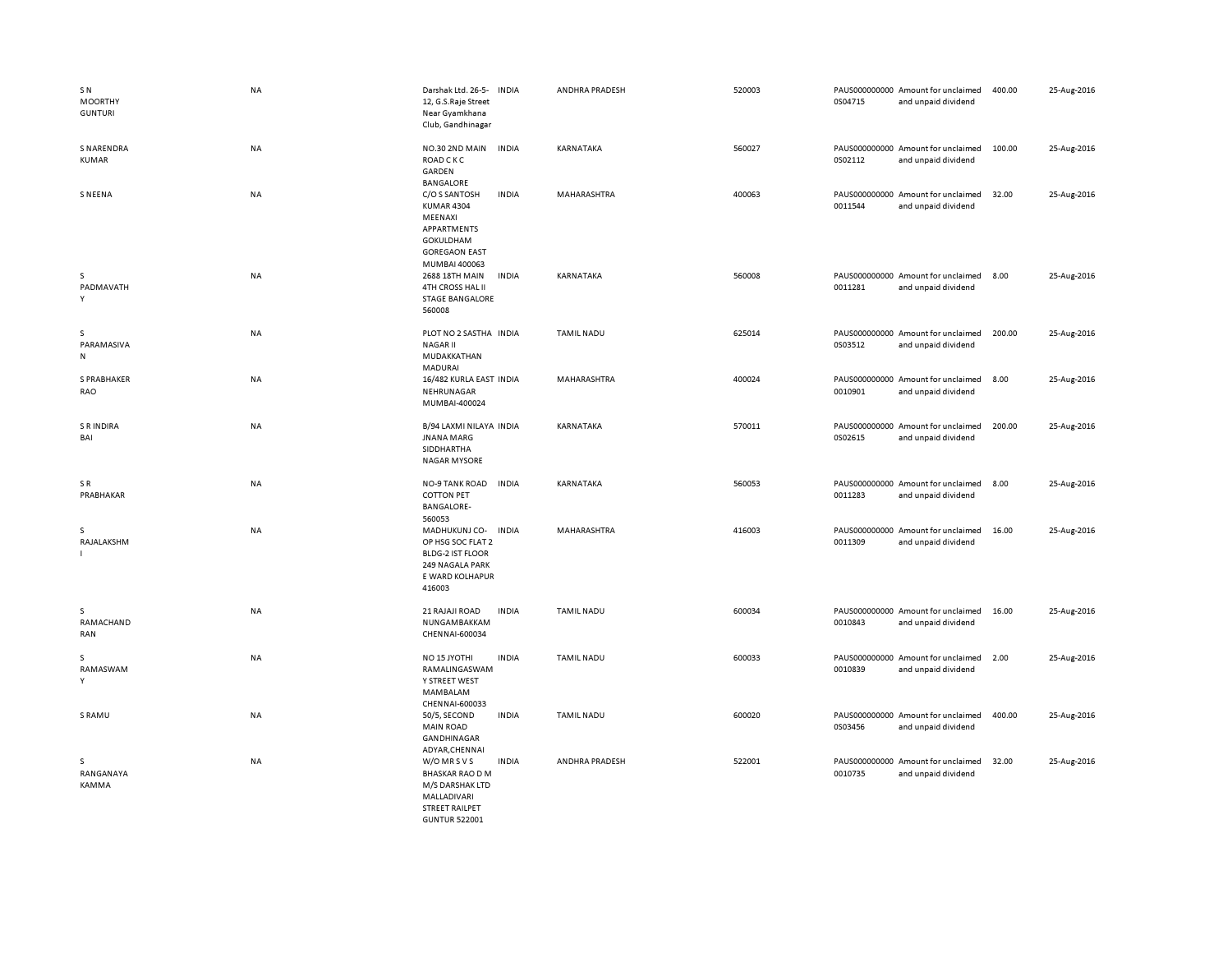| SN<br><b>MOORTHY</b><br><b>GUNTURI</b> | <b>NA</b> | Darshak Ltd. 26-5-<br><b>INDIA</b><br>12, G.S.Raje Street<br>Near Gyamkhana<br>Club, Gandhinagar                                          | ANDHRA PRADESH    | 520003 | 0S04715 | PAUS000000000 Amount for unclaimed<br>and unpaid dividend | 400.00 | 25-Aug-2016 |
|----------------------------------------|-----------|-------------------------------------------------------------------------------------------------------------------------------------------|-------------------|--------|---------|-----------------------------------------------------------|--------|-------------|
| <b>S NARENDRA</b><br><b>KUMAR</b>      | NA        | NO.30 2ND MAIN<br><b>INDIA</b><br>ROAD C K C<br>GARDEN<br><b>BANGALORE</b>                                                                | KARNATAKA         | 560027 | 0S02112 | PAUS000000000 Amount for unclaimed<br>and unpaid dividend | 100.00 | 25-Aug-2016 |
| <b>SNEENA</b>                          | NA        | C/O S SANTOSH<br><b>INDIA</b><br><b>KUMAR 4304</b><br>MEENAXI<br>APPARTMENTS<br><b>GOKULDHAM</b><br><b>GOREGAON EAST</b><br>MUMBAI 400063 | MAHARASHTRA       | 400063 | 0011544 | PAUS000000000 Amount for unclaimed<br>and unpaid dividend | 32.00  | 25-Aug-2016 |
| s<br>PADMAVATH<br>Y                    | NA        | 2688 18TH MAIN<br><b>INDIA</b><br>4TH CROSS HAL II<br><b>STAGE BANGALORE</b><br>560008                                                    | KARNATAKA         | 560008 | 0011281 | PAUS000000000 Amount for unclaimed<br>and unpaid dividend | 8.00   | 25-Aug-2016 |
| s<br>PARAMASIVA<br>N                   | NA        | PLOT NO 2 SASTHA INDIA<br><b>NAGAR II</b><br>MUDAKKATHAN<br>MADURAI                                                                       | <b>TAMIL NADU</b> | 625014 | 0S03512 | PAUS000000000 Amount for unclaimed<br>and unpaid dividend | 200.00 | 25-Aug-2016 |
| S PRABHAKER<br>RAO                     | <b>NA</b> | 16/482 KURLA EAST INDIA<br>NEHRUNAGAR<br>MUMBAI-400024                                                                                    | MAHARASHTRA       | 400024 | 0010901 | PAUS000000000 Amount for unclaimed<br>and unpaid dividend | 8.00   | 25-Aug-2016 |
| <b>S R INDIRA</b><br>BAI               | NA        | B/94 LAXMI NILAYA INDIA<br>JNANA MARG<br>SIDDHARTHA<br><b>NAGAR MYSORE</b>                                                                | KARNATAKA         | 570011 | 0S02615 | PAUS000000000 Amount for unclaimed<br>and unpaid dividend | 200.00 | 25-Aug-2016 |
| SR<br>PRABHAKAR                        | <b>NA</b> | NO-9 TANK ROAD<br><b>INDIA</b><br><b>COTTON PET</b><br><b>BANGALORE-</b><br>560053                                                        | KARNATAKA         | 560053 | 0011283 | PAUS000000000 Amount for unclaimed<br>and unpaid dividend | 8.00   | 25-Aug-2016 |
| s<br>RAJALAKSHM                        | NA        | MADHUKUNJ CO-<br><b>INDIA</b><br>OP HSG SOC FLAT 2<br><b>BLDG-2 IST FLOOR</b><br>249 NAGALA PARK<br>E WARD KOLHAPUR<br>416003             | MAHARASHTRA       | 416003 | 0011309 | PAUS000000000 Amount for unclaimed<br>and unpaid dividend | 16.00  | 25-Aug-2016 |
| s<br>RAMACHAND<br>RAN                  | NA        | 21 RAJAJI ROAD<br><b>INDIA</b><br>NUNGAMBAKKAM<br>CHENNAI-600034                                                                          | <b>TAMIL NADU</b> | 600034 | 0010843 | PAUS000000000 Amount for unclaimed<br>and unpaid dividend | 16.00  | 25-Aug-2016 |
| s<br>RAMASWAM<br>Υ                     | <b>NA</b> | <b>INDIA</b><br>NO <sub>15</sub> JYOTHI<br>RAMALINGASWAM<br>Y STREET WEST<br>MAMBALAM<br>CHENNAI-600033                                   | <b>TAMIL NADU</b> | 600033 | 0010839 | PAUS000000000 Amount for unclaimed<br>and unpaid dividend | 2.00   | 25-Aug-2016 |
| S RAMU                                 | <b>NA</b> | 50/5, SECOND<br><b>INDIA</b><br><b>MAIN ROAD</b><br>GANDHINAGAR<br>ADYAR, CHENNAI                                                         | <b>TAMIL NADU</b> | 600020 | 0S03456 | PAUS000000000 Amount for unclaimed<br>and unpaid dividend | 400.00 | 25-Aug-2016 |
| s<br>RANGANAYA<br><b>KAMMA</b>         | NA        | W/O MR S V S<br><b>INDIA</b><br><b>BHASKAR RAO D M</b><br>M/S DARSHAK LTD<br>MALLADIVARI<br><b>STREET RAILPET</b>                         | ANDHRA PRADESH    | 522001 | 0010735 | PAUS000000000 Amount for unclaimed<br>and unpaid dividend | 32.00  | 25-Aug-2016 |

GUNTUR 522001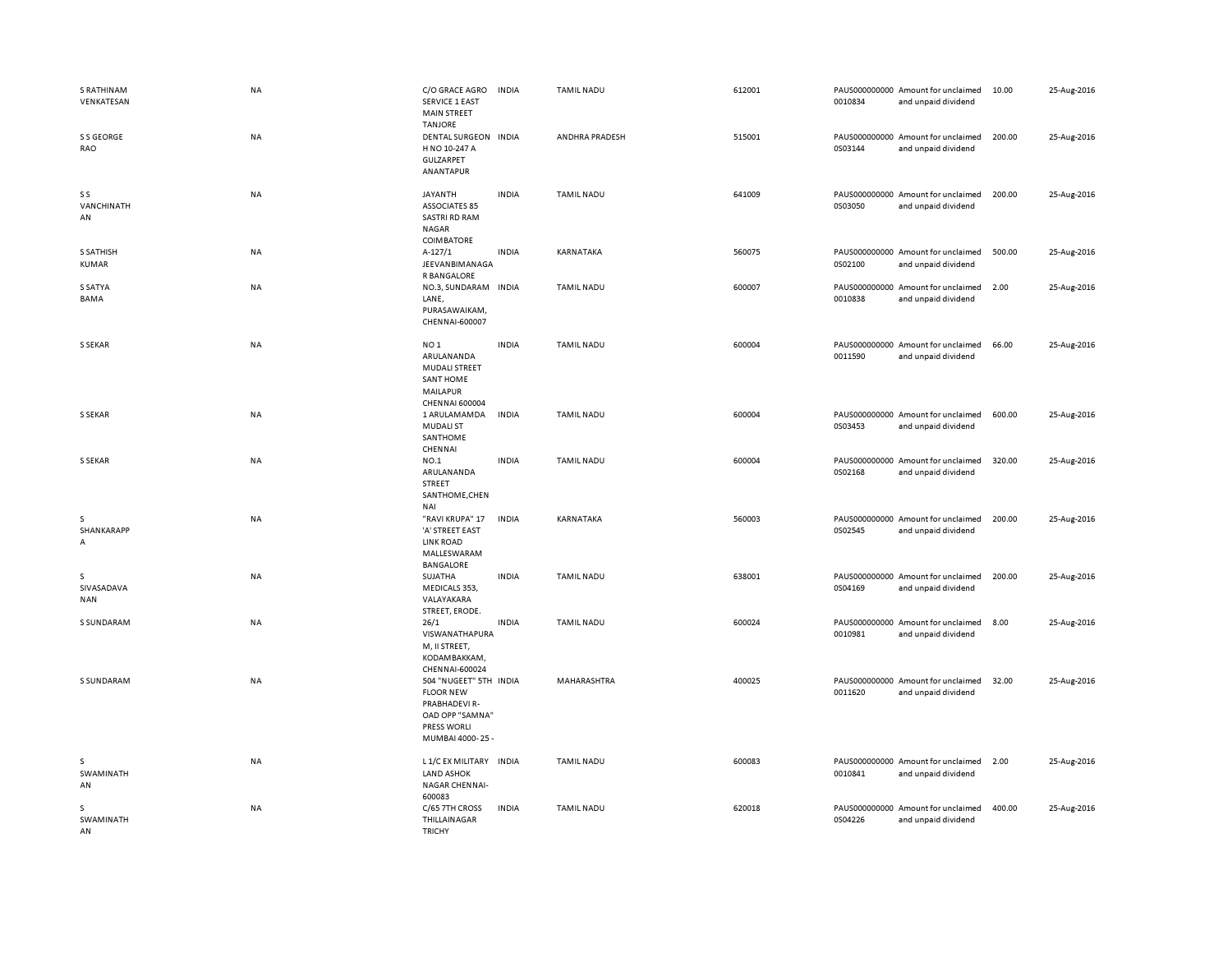| <b>S RATHINAM</b><br>VENKATESAN | NA        | C/O GRACE AGRO<br><b>SERVICE 1 EAST</b><br><b>MAIN STREET</b>                                                    | <b>INDIA</b> | <b>TAMIL NADU</b> | 612001 | 0010834 | PAUS000000000 Amount for unclaimed<br>and unpaid dividend | 10.00  | 25-Aug-2016 |
|---------------------------------|-----------|------------------------------------------------------------------------------------------------------------------|--------------|-------------------|--------|---------|-----------------------------------------------------------|--------|-------------|
| S S GEORGE<br>RAO               | NA        | <b>TANJORE</b><br>DENTAL SURGEON INDIA<br>H NO 10-247 A<br>GULZARPET<br>ANANTAPUR                                |              | ANDHRA PRADESH    | 515001 | 0S03144 | PAUS000000000 Amount for unclaimed<br>and unpaid dividend | 200.00 | 25-Aug-2016 |
| S S<br>VANCHINATH<br>AN         | NA        | JAYANTH<br><b>ASSOCIATES 85</b><br>SASTRI RD RAM<br>NAGAR<br>COIMBATORE                                          | <b>INDIA</b> | TAMIL NADU        | 641009 | 0S03050 | PAUS000000000 Amount for unclaimed<br>and unpaid dividend | 200.00 | 25-Aug-2016 |
| <b>S SATHISH</b><br>KUMAR       | NA        | $A-127/1$<br>JEEVANBIMANAGA<br>R BANGALORE                                                                       | <b>INDIA</b> | KARNATAKA         | 560075 | 0S02100 | PAUS000000000 Amount for unclaimed<br>and unpaid dividend | 500.00 | 25-Aug-2016 |
| S SATYA<br>BAMA                 | <b>NA</b> | NO.3, SUNDARAM INDIA<br>LANE,<br>PURASAWAIKAM,<br>CHENNAI-600007                                                 |              | <b>TAMIL NADU</b> | 600007 | 0010838 | PAUS000000000 Amount for unclaimed<br>and unpaid dividend | 2.00   | 25-Aug-2016 |
| S SEKAR                         | <b>NA</b> | NO <sub>1</sub><br>ARULANANDA<br>MUDALI STREET<br><b>SANT HOME</b><br>MAILAPUR<br><b>CHENNAI 600004</b>          | <b>INDIA</b> | <b>TAMIL NADU</b> | 600004 | 0011590 | PAUS000000000 Amount for unclaimed<br>and unpaid dividend | 66.00  | 25-Aug-2016 |
| S SEKAR                         | NA        | 1 ARULAMAMDA<br><b>MUDALI ST</b><br>SANTHOME<br>CHENNAI                                                          | <b>INDIA</b> | <b>TAMIL NADU</b> | 600004 | 0S03453 | PAUS000000000 Amount for unclaimed<br>and unpaid dividend | 600.00 | 25-Aug-2016 |
| S SEKAR                         | <b>NA</b> | NO.1<br>ARULANANDA<br><b>STREET</b><br>SANTHOME, CHEN<br><b>NAI</b>                                              | <b>INDIA</b> | <b>TAMIL NADU</b> | 600004 | 0S02168 | PAUS000000000 Amount for unclaimed<br>and unpaid dividend | 320.00 | 25-Aug-2016 |
| s<br>SHANKARAPP<br>А            | <b>NA</b> | "RAVI KRUPA" 17<br>'A' STREET EAST<br><b>LINK ROAD</b><br>MALLESWARAM<br>BANGALORE                               | <b>INDIA</b> | KARNATAKA         | 560003 | 0S02545 | PAUS000000000 Amount for unclaimed<br>and unpaid dividend | 200.00 | 25-Aug-2016 |
| s<br>SIVASADAVA<br><b>NAN</b>   | NA        | SUJATHA<br>MEDICALS 353,<br>VALAYAKARA<br>STREET, ERODE.                                                         | <b>INDIA</b> | <b>TAMIL NADU</b> | 638001 | 0S04169 | PAUS000000000 Amount for unclaimed<br>and unpaid dividend | 200.00 | 25-Aug-2016 |
| S SUNDARAM                      | <b>NA</b> | 26/1<br>VISWANATHAPURA<br>M, II STREET,<br>KODAMBAKKAM,<br>CHENNAI-600024                                        | <b>INDIA</b> | <b>TAMIL NADU</b> | 600024 | 0010981 | PAUS000000000 Amount for unclaimed<br>and unpaid dividend | 8.00   | 25-Aug-2016 |
| S SUNDARAM                      | NA        | 504 "NUGEET" 5TH INDIA<br><b>FLOOR NEW</b><br>PRABHADEVI R-<br>OAD OPP "SAMNA"<br>PRESS WORLI<br>MUMBAI 4000-25- |              | MAHARASHTRA       | 400025 | 0011620 | PAUS000000000 Amount for unclaimed<br>and unpaid dividend | 32.00  | 25-Aug-2016 |
| s<br>SWAMINATH<br>AN            | NA        | L 1/C EX MILITARY INDIA<br><b>LAND ASHOK</b><br><b>NAGAR CHENNAI-</b><br>600083                                  |              | <b>TAMIL NADU</b> | 600083 | 0010841 | PAUS000000000 Amount for unclaimed<br>and unpaid dividend | 2.00   | 25-Aug-2016 |
| s<br>SWAMINATH<br>AN            | <b>NA</b> | C/65 7TH CROSS<br>THILLAINAGAR<br><b>TRICHY</b>                                                                  | <b>INDIA</b> | <b>TAMIL NADU</b> | 620018 | 0S04226 | PAUS000000000 Amount for unclaimed<br>and unpaid dividend | 400.00 | 25-Aug-2016 |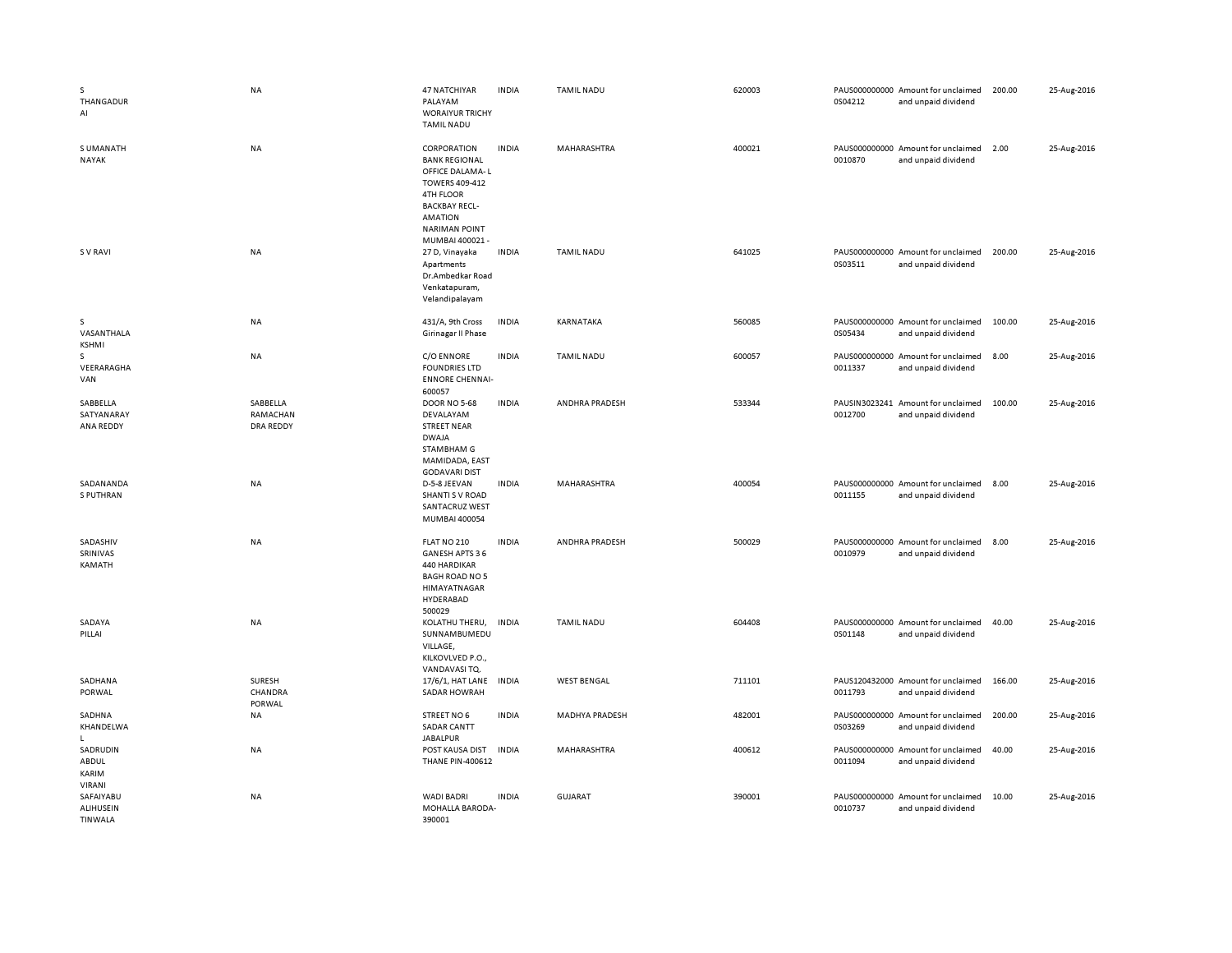| s<br>THANGADUR<br>AI                     | NA                                | 47 NATCHIYAR<br>PALAYAM<br><b>WORAIYUR TRICHY</b><br><b>TAMIL NADU</b>                                                                                                           | <b>INDIA</b> | <b>TAMIL NADU</b>     | 620003 | 0S04212                  | PAUS000000000 Amount for unclaimed<br>and unpaid dividend | 200.00 | 25-Aug-2016 |
|------------------------------------------|-----------------------------------|----------------------------------------------------------------------------------------------------------------------------------------------------------------------------------|--------------|-----------------------|--------|--------------------------|-----------------------------------------------------------|--------|-------------|
| <b>SUMANATH</b><br>NAYAK                 | <b>NA</b>                         | CORPORATION<br><b>BANK REGIONAL</b><br>OFFICE DALAMA-L<br>TOWERS 409-412<br><b>4TH FLOOR</b><br><b>BACKBAY RECL-</b><br><b>AMATION</b><br><b>NARIMAN POINT</b><br>MUMBAI 400021- | <b>INDIA</b> | <b>MAHARASHTRA</b>    | 400021 | 0010870                  | PAUS000000000 Amount for unclaimed<br>and unpaid dividend | 2.00   | 25-Aug-2016 |
| <b>SV RAVI</b>                           | <b>NA</b>                         | 27 D, Vinayaka<br>Apartments<br>Dr.Ambedkar Road<br>Venkatapuram,<br>Velandipalayam                                                                                              | <b>INDIA</b> | <b>TAMIL NADU</b>     | 641025 | 0S03511                  | PAUS000000000 Amount for unclaimed<br>and unpaid dividend | 200.00 | 25-Aug-2016 |
| s<br>VASANTHALA<br><b>KSHMI</b>          | NA                                | 431/A, 9th Cross<br>Girinagar II Phase                                                                                                                                           | <b>INDIA</b> | KARNATAKA             | 560085 | 0S05434                  | PAUS000000000 Amount for unclaimed<br>and unpaid dividend | 100.00 | 25-Aug-2016 |
| s<br>VEERARAGHA<br>VAN                   | NA                                | C/O ENNORE<br><b>FOUNDRIES LTD</b><br><b>ENNORE CHENNAI-</b><br>600057                                                                                                           | <b>INDIA</b> | <b>TAMIL NADU</b>     | 600057 | 0011337                  | PAUS000000000 Amount for unclaimed<br>and unpaid dividend | 8.00   | 25-Aug-2016 |
| SABBELLA<br>SATYANARAY<br>ANA REDDY      | SABBELLA<br>RAMACHAN<br>DRA REDDY | <b>DOOR NO 5-68</b><br>DEVALAYAM<br><b>STREET NEAR</b><br><b>DWAJA</b><br>STAMBHAM G<br>MAMIDADA, EAST<br><b>GODAVARI DIST</b>                                                   | <b>INDIA</b> | ANDHRA PRADESH        | 533344 | 0012700                  | PAUSIN3023241 Amount for unclaimed<br>and unpaid dividend | 100.00 | 25-Aug-2016 |
| SADANANDA<br>S PUTHRAN                   | <b>NA</b>                         | D-5-8 JEEVAN<br><b>SHANTI S V ROAD</b><br>SANTACRUZ WEST<br>MUMBAI 400054                                                                                                        | <b>INDIA</b> | MAHARASHTRA           | 400054 | 0011155                  | PAUS000000000 Amount for unclaimed<br>and unpaid dividend | 8.00   | 25-Aug-2016 |
| SADASHIV<br>SRINIVAS<br>KAMATH           | NA                                | FLAT NO 210<br>GANESH APTS 36<br>440 HARDIKAR<br><b>BAGH ROAD NO 5</b><br>HIMAYATNAGAR<br>HYDERABAD<br>500029                                                                    | <b>INDIA</b> | ANDHRA PRADESH        | 500029 | 0010979                  | PAUS000000000 Amount for unclaimed<br>and unpaid dividend | 8.00   | 25-Aug-2016 |
| SADAYA<br>PILLAI                         | NA                                | KOLATHU THERU,<br>SUNNAMBUMEDU<br>VILLAGE,<br>KILKOVLVED P.O.,<br>VANDAVASI TQ.                                                                                                  | <b>INDIA</b> | <b>TAMIL NADU</b>     | 604408 | 0S01148                  | PAUS000000000 Amount for unclaimed<br>and unpaid dividend | 40.00  | 25-Aug-2016 |
| SADHANA<br>PORWAL                        | SURESH<br>CHANDRA<br>PORWAL       | 17/6/1, HAT LANE<br><b>SADAR HOWRAH</b>                                                                                                                                          | <b>INDIA</b> | <b>WEST BENGAL</b>    | 711101 | 0011793                  | PAUS120432000 Amount for unclaimed<br>and unpaid dividend | 166.00 | 25-Aug-2016 |
| SADHNA<br>KHANDELWA<br>L.                | NA                                | STREET NO 6<br><b>SADAR CANTT</b><br><b>JABALPUR</b>                                                                                                                             | <b>INDIA</b> | <b>MADHYA PRADESH</b> | 482001 | 0S03269                  | PAUS000000000 Amount for unclaimed<br>and unpaid dividend | 200.00 | 25-Aug-2016 |
| SADRUDIN<br>ABDUL<br>KARIM<br>VIRANI     | NA                                | POST KAUSA DIST<br><b>THANE PIN-400612</b>                                                                                                                                       | <b>INDIA</b> | MAHARASHTRA           | 400612 | 0011094                  | PAUS000000000 Amount for unclaimed<br>and unpaid dividend | 40.00  | 25-Aug-2016 |
| SAFAIYABU<br><b>ALIHUSEIN</b><br>TINWALA | NA                                | <b>WADI BADRI</b><br>MOHALLA BARODA-<br>390001                                                                                                                                   | <b>INDIA</b> | <b>GUJARAT</b>        | 390001 | PAUS000000000<br>0010737 | Amount for unclaimed<br>and unpaid dividend               | 10.00  | 25-Aug-2016 |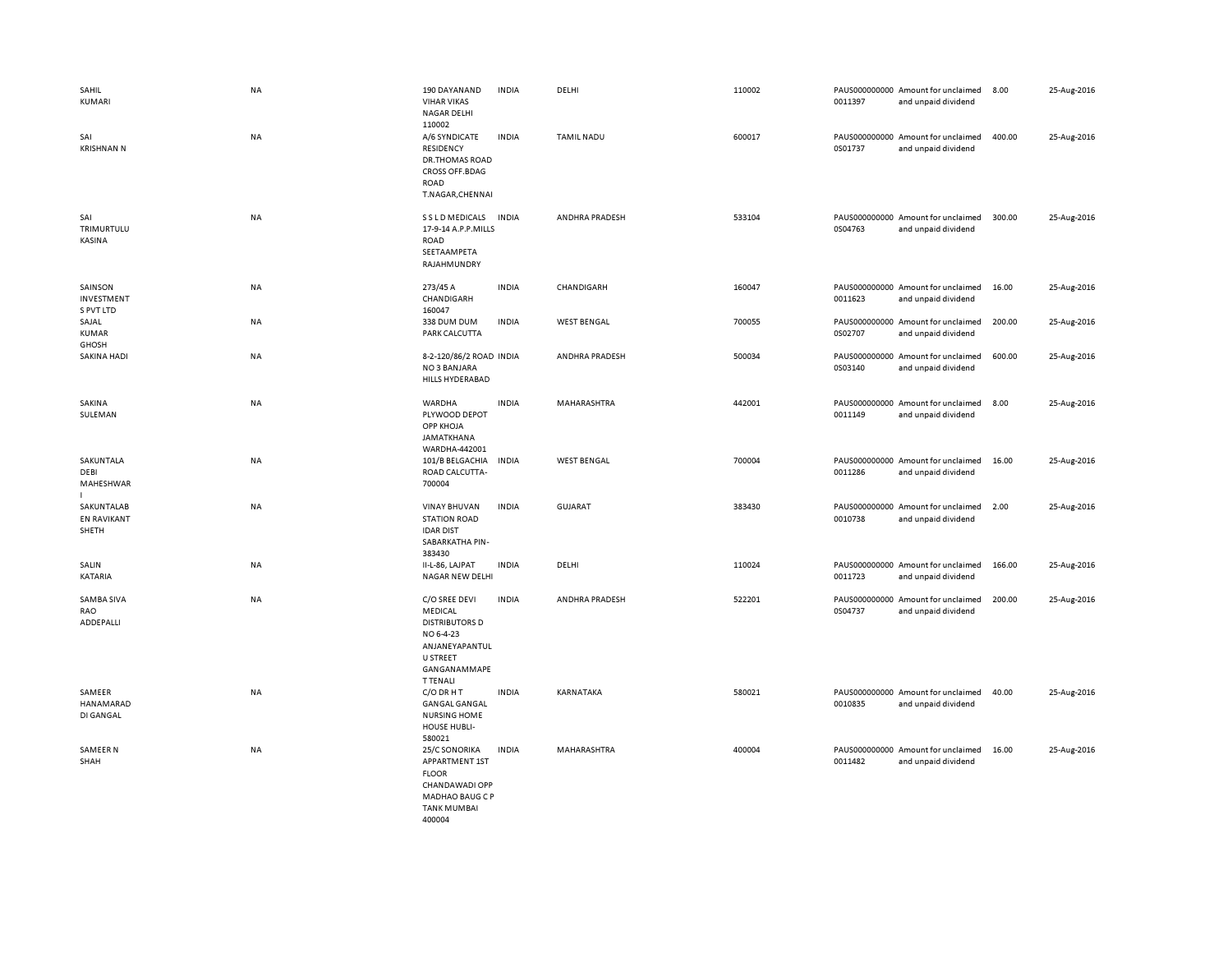| SAHIL<br><b>KUMARI</b>                    | <b>NA</b> | 190 DAYANAND<br><b>VIHAR VIKAS</b><br><b>NAGAR DELHI</b><br>110002                                                              | <b>INDIA</b> | DELHI              | 110002 | 0011397 | PAUS000000000 Amount for unclaimed<br>and unpaid dividend | 8.00   | 25-Aug-2016 |
|-------------------------------------------|-----------|---------------------------------------------------------------------------------------------------------------------------------|--------------|--------------------|--------|---------|-----------------------------------------------------------|--------|-------------|
| SAI<br><b>KRISHNAN N</b>                  | <b>NA</b> | A/6 SYNDICATE<br>RESIDENCY<br>DR.THOMAS ROAD<br>CROSS OFF.BDAG<br>ROAD<br>T.NAGAR, CHENNAI                                      | <b>INDIA</b> | <b>TAMIL NADU</b>  | 600017 | 0S01737 | PAUS000000000 Amount for unclaimed<br>and unpaid dividend | 400.00 | 25-Aug-2016 |
| SAI<br>TRIMURTULU<br>KASINA               | NA        | S S L D MEDICALS<br>17-9-14 A.P.P.MILLS<br>ROAD<br>SEETAAMPETA<br>RAJAHMUNDRY                                                   | <b>INDIA</b> | ANDHRA PRADESH     | 533104 | 0S04763 | PAUS000000000 Amount for unclaimed<br>and unpaid dividend | 300.00 | 25-Aug-2016 |
| SAINSON<br>INVESTMENT<br>S PVT LTD        | NA        | 273/45 A<br>CHANDIGARH<br>160047                                                                                                | <b>INDIA</b> | <b>CHANDIGARH</b>  | 160047 | 0011623 | PAUS000000000 Amount for unclaimed<br>and unpaid dividend | 16.00  | 25-Aug-2016 |
| SAJAL<br><b>KUMAR</b><br><b>GHOSH</b>     | <b>NA</b> | 338 DUM DUM<br>PARK CALCUTTA                                                                                                    | <b>INDIA</b> | <b>WEST BENGAL</b> | 700055 | 0S02707 | PAUS000000000 Amount for unclaimed<br>and unpaid dividend | 200.00 | 25-Aug-2016 |
| <b>SAKINA HADI</b>                        | NA        | 8-2-120/86/2 ROAD INDIA<br>NO 3 BANJARA<br><b>HILLS HYDERABAD</b>                                                               |              | ANDHRA PRADESH     | 500034 | 0S03140 | PAUS000000000 Amount for unclaimed<br>and unpaid dividend | 600.00 | 25-Aug-2016 |
| SAKINA<br>SULEMAN                         | <b>NA</b> | WARDHA<br>PLYWOOD DEPOT<br>OPP KHOJA<br>JAMATKHANA<br>WARDHA-442001                                                             | <b>INDIA</b> | MAHARASHTRA        | 442001 | 0011149 | PAUS000000000 Amount for unclaimed<br>and unpaid dividend | 8.00   | 25-Aug-2016 |
| SAKUNTALA<br>DEBI<br>MAHESHWAR            | <b>NA</b> | 101/B BELGACHIA<br>ROAD CALCUTTA-<br>700004                                                                                     | <b>INDIA</b> | <b>WEST BENGAL</b> | 700004 | 0011286 | PAUS000000000 Amount for unclaimed<br>and unpaid dividend | 16.00  | 25-Aug-2016 |
| SAKUNTALAB<br><b>EN RAVIKANT</b><br>SHETH | <b>NA</b> | <b>VINAY BHUVAN</b><br><b>STATION ROAD</b><br><b>IDAR DIST</b><br>SABARKATHA PIN-<br>383430                                     | <b>INDIA</b> | <b>GUJARAT</b>     | 383430 | 0010738 | PAUS000000000 Amount for unclaimed<br>and unpaid dividend | 2.00   | 25-Aug-2016 |
| SALIN<br>KATARIA                          | NA        | II-L-86, LAJPAT<br>NAGAR NEW DELHI                                                                                              | <b>INDIA</b> | DELHI              | 110024 | 0011723 | PAUS000000000 Amount for unclaimed<br>and unpaid dividend | 166.00 | 25-Aug-2016 |
| SAMBA SIVA<br>RAO<br>ADDEPALLI            | <b>NA</b> | C/O SREE DEVI<br>MEDICAL<br><b>DISTRIBUTORS D</b><br>NO 6-4-23<br>ANJANEYAPANTUL<br>U STREET<br>GANGANAMMAPE<br><b>T TENALI</b> | <b>INDIA</b> | ANDHRA PRADESH     | 522201 | 0S04737 | PAUS000000000 Amount for unclaimed<br>and unpaid dividend | 200.00 | 25-Aug-2016 |
| SAMEER<br>HANAMARAD<br>DI GANGAL          | <b>NA</b> | C/O DR H T<br><b>GANGAL GANGAL</b><br><b>NURSING HOME</b><br><b>HOUSE HUBLI-</b><br>580021                                      | <b>INDIA</b> | KARNATAKA          | 580021 | 0010835 | PAUS000000000 Amount for unclaimed<br>and unpaid dividend | 40.00  | 25-Aug-2016 |
| SAMEER N<br>SHAH                          | <b>NA</b> | 25/C SONORIKA<br>APPARTMENT 1ST<br><b>FLOOR</b><br>CHANDAWADI OPP<br><b>MADHAO BAUG C P</b><br><b>TANK MUMBAI</b><br>400004     | <b>INDIA</b> | MAHARASHTRA        | 400004 | 0011482 | PAUS000000000 Amount for unclaimed<br>and unpaid dividend | 16.00  | 25-Aug-2016 |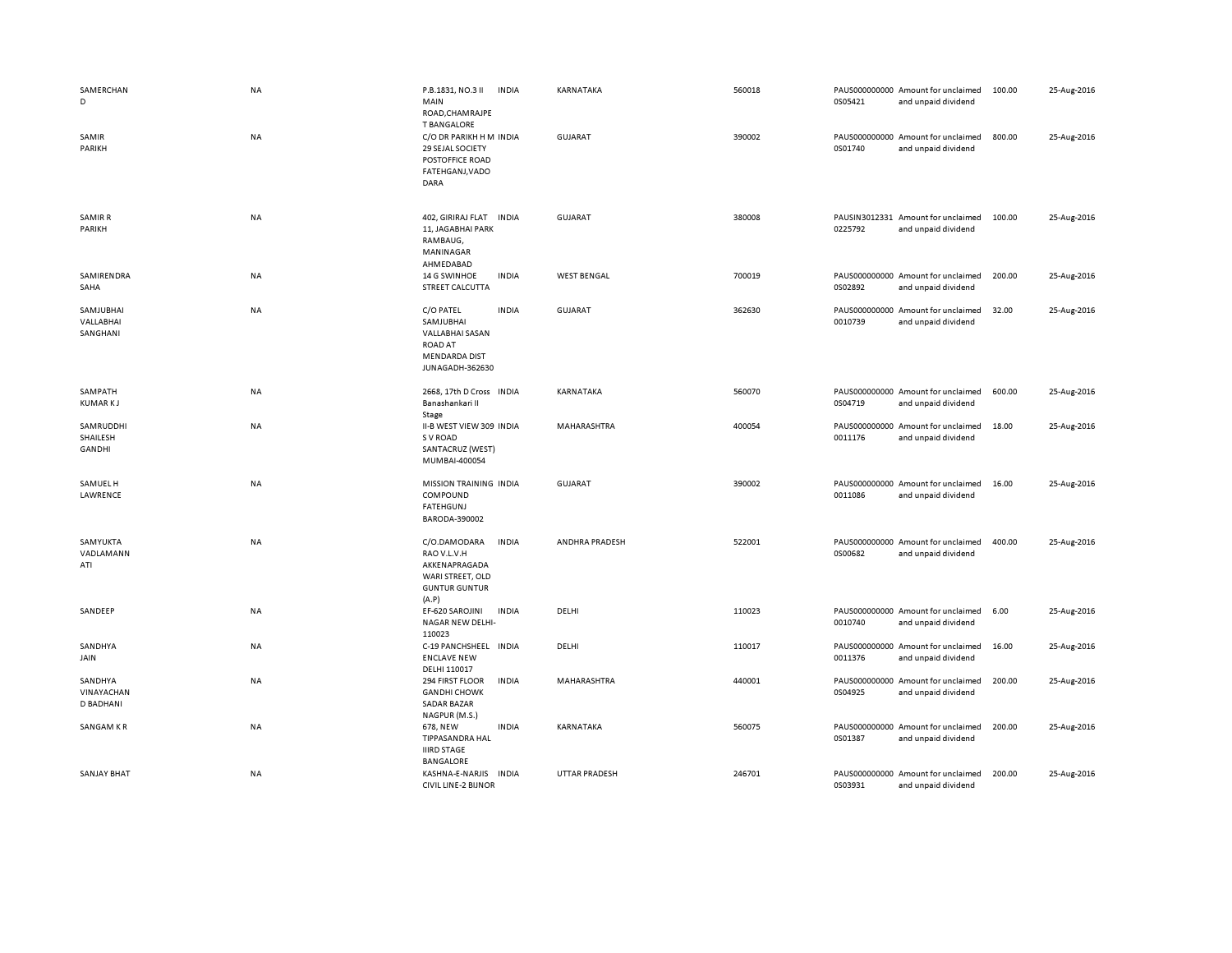| SAMERCHAN<br>D                            | <b>NA</b> | P.B.1831, NO.3 II<br><b>INDIA</b><br>MAIN<br>ROAD, CHAMRAJPE<br><b>T BANGALORE</b>                                     | KARNATAKA            | 560018 | 0S05421 | PAUS000000000 Amount for unclaimed<br>and unpaid dividend | 100.00 | 25-Aug-2016 |
|-------------------------------------------|-----------|------------------------------------------------------------------------------------------------------------------------|----------------------|--------|---------|-----------------------------------------------------------|--------|-------------|
| SAMIR<br>PARIKH                           | NA        | C/O DR PARIKH H M INDIA<br>29 SEJAL SOCIETY<br>POSTOFFICE ROAD<br>FATEHGANJ, VADO<br>DARA                              | GUJARAT              | 390002 | 0S01740 | PAUS000000000 Amount for unclaimed<br>and unpaid dividend | 800.00 | 25-Aug-2016 |
| <b>SAMIR R</b><br>PARIKH                  | NA        | 402, GIRIRAJ FLAT<br><b>INDIA</b><br>11, JAGABHAI PARK<br>RAMBAUG,<br>MANINAGAR<br>AHMEDABAD                           | <b>GUJARAT</b>       | 380008 | 0225792 | PAUSIN3012331 Amount for unclaimed<br>and unpaid dividend | 100.00 | 25-Aug-2016 |
| SAMIRENDRA<br>SAHA                        | <b>NA</b> | <b>INDIA</b><br>14 G SWINHOE<br>STREET CALCUTTA                                                                        | <b>WEST BENGAL</b>   | 700019 | 0S02892 | PAUS000000000 Amount for unclaimed<br>and unpaid dividend | 200.00 | 25-Aug-2016 |
| SAMJUBHAI<br>VALLABHAI<br>SANGHANI        | NA        | C/O PATEL<br><b>INDIA</b><br>SAMJUBHAI<br>VALLABHAI SASAN<br><b>ROAD AT</b><br><b>MENDARDA DIST</b><br>JUNAGADH-362630 | <b>GUJARAT</b>       | 362630 | 0010739 | PAUS000000000 Amount for unclaimed<br>and unpaid dividend | 32.00  | 25-Aug-2016 |
| SAMPATH<br><b>KUMARKJ</b>                 | NA        | 2668, 17th D Cross INDIA<br>Banashankari II<br>Stage                                                                   | KARNATAKA            | 560070 | 0S04719 | PAUS000000000 Amount for unclaimed<br>and unpaid dividend | 600.00 | 25-Aug-2016 |
| SAMRUDDHI<br>SHAILESH<br>GANDHI           | NA        | II-B WEST VIEW 309 INDIA<br>S V ROAD<br>SANTACRUZ (WEST)<br>MUMBAI-400054                                              | MAHARASHTRA          | 400054 | 0011176 | PAUS000000000 Amount for unclaimed<br>and unpaid dividend | 18.00  | 25-Aug-2016 |
| SAMUEL H<br>LAWRENCE                      | NA        | MISSION TRAINING INDIA<br>COMPOUND<br><b>FATEHGUNJ</b><br>BARODA-390002                                                | <b>GUJARAT</b>       | 390002 | 0011086 | PAUS000000000 Amount for unclaimed<br>and unpaid dividend | 16.00  | 25-Aug-2016 |
| SAMYUKTA<br>VADLAMANN<br>ATI              | <b>NA</b> | C/O.DAMODARA<br><b>INDIA</b><br>RAO V.L.V.H<br>AKKENAPRAGADA<br>WARI STREET, OLD<br><b>GUNTUR GUNTUR</b><br>(A.P)      | ANDHRA PRADESH       | 522001 | 0S00682 | PAUS000000000 Amount for unclaimed<br>and unpaid dividend | 400.00 | 25-Aug-2016 |
| SANDEEP                                   | <b>NA</b> | EF-620 SAROJINI<br><b>INDIA</b><br>NAGAR NEW DELHI-<br>110023                                                          | DELHI                | 110023 | 0010740 | PAUS000000000 Amount for unclaimed<br>and unpaid dividend | 6.00   | 25-Aug-2016 |
| SANDHYA<br>JAIN                           | NA        | C-19 PANCHSHEEL INDIA<br><b>ENCLAVE NEW</b><br>DELHI 110017                                                            | DELHI                | 110017 | 0011376 | PAUS000000000 Amount for unclaimed<br>and unpaid dividend | 16.00  | 25-Aug-2016 |
| SANDHYA<br>VINAYACHAN<br><b>D BADHANI</b> | NA        | 294 FIRST FLOOR<br><b>INDIA</b><br><b>GANDHI CHOWK</b><br><b>SADAR BAZAR</b><br>NAGPUR (M.S.)                          | MAHARASHTRA          | 440001 | 0S04925 | PAUS000000000 Amount for unclaimed<br>and unpaid dividend | 200.00 | 25-Aug-2016 |
| SANGAM KR                                 | NA        | <b>INDIA</b><br>678, NEW<br>TIPPASANDRA HAL<br><b>IIIRD STAGE</b><br><b>BANGALORE</b>                                  | KARNATAKA            | 560075 | 0S01387 | PAUS000000000 Amount for unclaimed<br>and unpaid dividend | 200.00 | 25-Aug-2016 |
| <b>SANJAY BHAT</b>                        | NA        | <b>INDIA</b><br>KASHNA-E-NARJIS<br><b>CIVIL LINE-2 BIJNOR</b>                                                          | <b>UTTAR PRADESH</b> | 246701 | 0S03931 | PAUS000000000 Amount for unclaimed<br>and unpaid dividend | 200.00 | 25-Aug-2016 |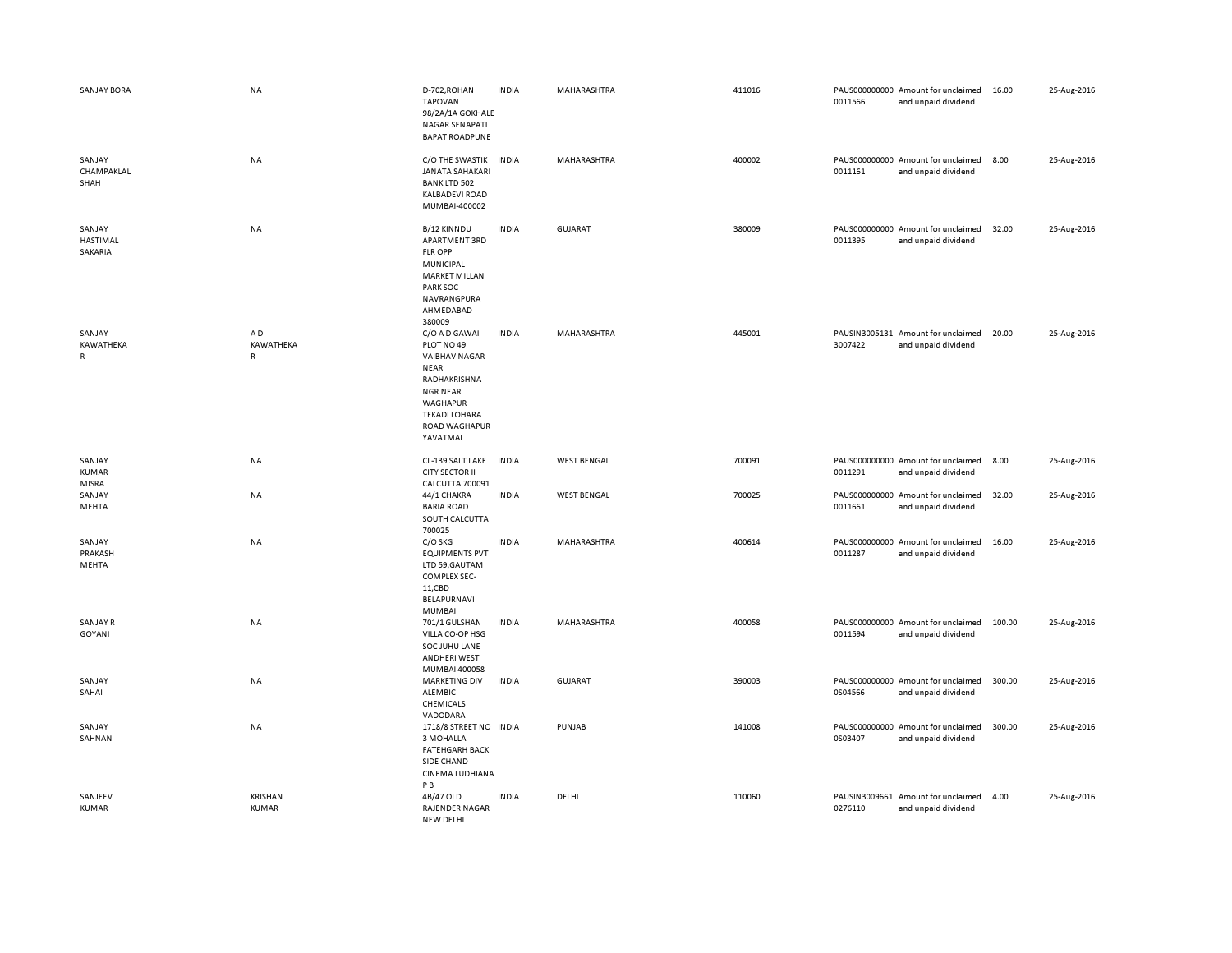| <b>SANJAY BORA</b>                 | NA                              | D-702, ROHAN<br><b>TAPOVAN</b><br>98/2A/1A GOKHALE<br>NAGAR SENAPATI<br><b>BAPAT ROADPUNE</b>                                                                                 | <b>INDIA</b> | MAHARASHTRA        | 411016 | 0011566 | PAUS000000000 Amount for unclaimed<br>and unpaid dividend | 16.00  | 25-Aug-2016 |
|------------------------------------|---------------------------------|-------------------------------------------------------------------------------------------------------------------------------------------------------------------------------|--------------|--------------------|--------|---------|-----------------------------------------------------------|--------|-------------|
| SANJAY<br>CHAMPAKLAL<br>SHAH       | NA                              | C/O THE SWASTIK<br><b>JANATA SAHAKARI</b><br><b>BANK LTD 502</b><br>KALBADEVI ROAD<br>MUMBAI-400002                                                                           | <b>INDIA</b> | MAHARASHTRA        | 400002 | 0011161 | PAUS000000000 Amount for unclaimed<br>and unpaid dividend | 8.00   | 25-Aug-2016 |
| SANJAY<br>HASTIMAL<br>SAKARIA      | <b>NA</b>                       | B/12 KINNDU<br>APARTMENT 3RD<br>FLR OPP<br>MUNICIPAL<br><b>MARKET MILLAN</b><br>PARK SOC<br>NAVRANGPURA<br>AHMEDABAD<br>380009                                                | <b>INDIA</b> | <b>GUJARAT</b>     | 380009 | 0011395 | PAUS000000000 Amount for unclaimed<br>and unpaid dividend | 32.00  | 25-Aug-2016 |
| SANJAY<br>KAWATHEKA<br>$\mathsf R$ | AD<br>KAWATHEKA<br>$\mathsf{R}$ | C/O A D GAWAI<br>PLOT NO 49<br><b>VAIBHAV NAGAR</b><br><b>NEAR</b><br>RADHAKRISHNA<br><b>NGR NEAR</b><br><b>WAGHAPUR</b><br><b>TEKADI LOHARA</b><br>ROAD WAGHAPUR<br>YAVATMAL | <b>INDIA</b> | MAHARASHTRA        | 445001 | 3007422 | PAUSIN3005131 Amount for unclaimed<br>and unpaid dividend | 20.00  | 25-Aug-2016 |
| SANJAY<br><b>KUMAR</b><br>MISRA    | NA                              | CL-139 SALT LAKE<br><b>CITY SECTOR II</b><br>CALCUTTA 700091                                                                                                                  | <b>INDIA</b> | <b>WEST BENGAL</b> | 700091 | 0011291 | PAUS000000000 Amount for unclaimed<br>and unpaid dividend | 8.00   | 25-Aug-2016 |
| SANJAY<br>MEHTA                    | NA                              | 44/1 CHAKRA<br><b>BARIA ROAD</b><br>SOUTH CALCUTTA<br>700025                                                                                                                  | <b>INDIA</b> | <b>WEST BENGAL</b> | 700025 | 0011661 | PAUS000000000 Amount for unclaimed<br>and unpaid dividend | 32.00  | 25-Aug-2016 |
| SANJAY<br>PRAKASH<br>MEHTA         | NA                              | C/O SKG<br><b>EQUIPMENTS PVT</b><br>LTD 59, GAUTAM<br>COMPLEX SEC-<br>11,CBD<br>BELAPURNAVI<br>MUMBAI                                                                         | <b>INDIA</b> | MAHARASHTRA        | 400614 | 0011287 | PAUS000000000 Amount for unclaimed<br>and unpaid dividend | 16.00  | 25-Aug-2016 |
| SANJAY R<br>GOYANI                 | NA                              | 701/1 GULSHAN<br>VILLA CO-OP HSG<br>SOC JUHU LANE<br>ANDHERI WEST<br>MUMBAI 400058                                                                                            | <b>INDIA</b> | MAHARASHTRA        | 400058 | 0011594 | PAUS000000000 Amount for unclaimed<br>and unpaid dividend | 100.00 | 25-Aug-2016 |
| SANJAY<br>SAHAI                    | NA                              | <b>MARKETING DIV</b><br>ALEMBIC<br>CHEMICALS<br>VADODARA                                                                                                                      | <b>INDIA</b> | <b>GUJARAT</b>     | 390003 | 0S04566 | PAUS000000000 Amount for unclaimed<br>and unpaid dividend | 300.00 | 25-Aug-2016 |
| SANJAY<br>SAHNAN                   | <b>NA</b>                       | 1718/8 STREET NO INDIA<br>3 MOHALLA<br><b>FATEHGARH BACK</b><br>SIDE CHAND<br>CINEMA LUDHIANA<br>PB                                                                           |              | PUNJAB             | 141008 | 0S03407 | PAUS000000000 Amount for unclaimed<br>and unpaid dividend | 300.00 | 25-Aug-2016 |
| SANJEEV<br><b>KUMAR</b>            | <b>KRISHAN</b><br>KUMAR         | 4B/47 OLD<br>RAJENDER NAGAR<br>NEW DELHI                                                                                                                                      | <b>INDIA</b> | DELHI              | 110060 | 0276110 | PAUSIN3009661 Amount for unclaimed<br>and unpaid dividend | 4.00   | 25-Aug-2016 |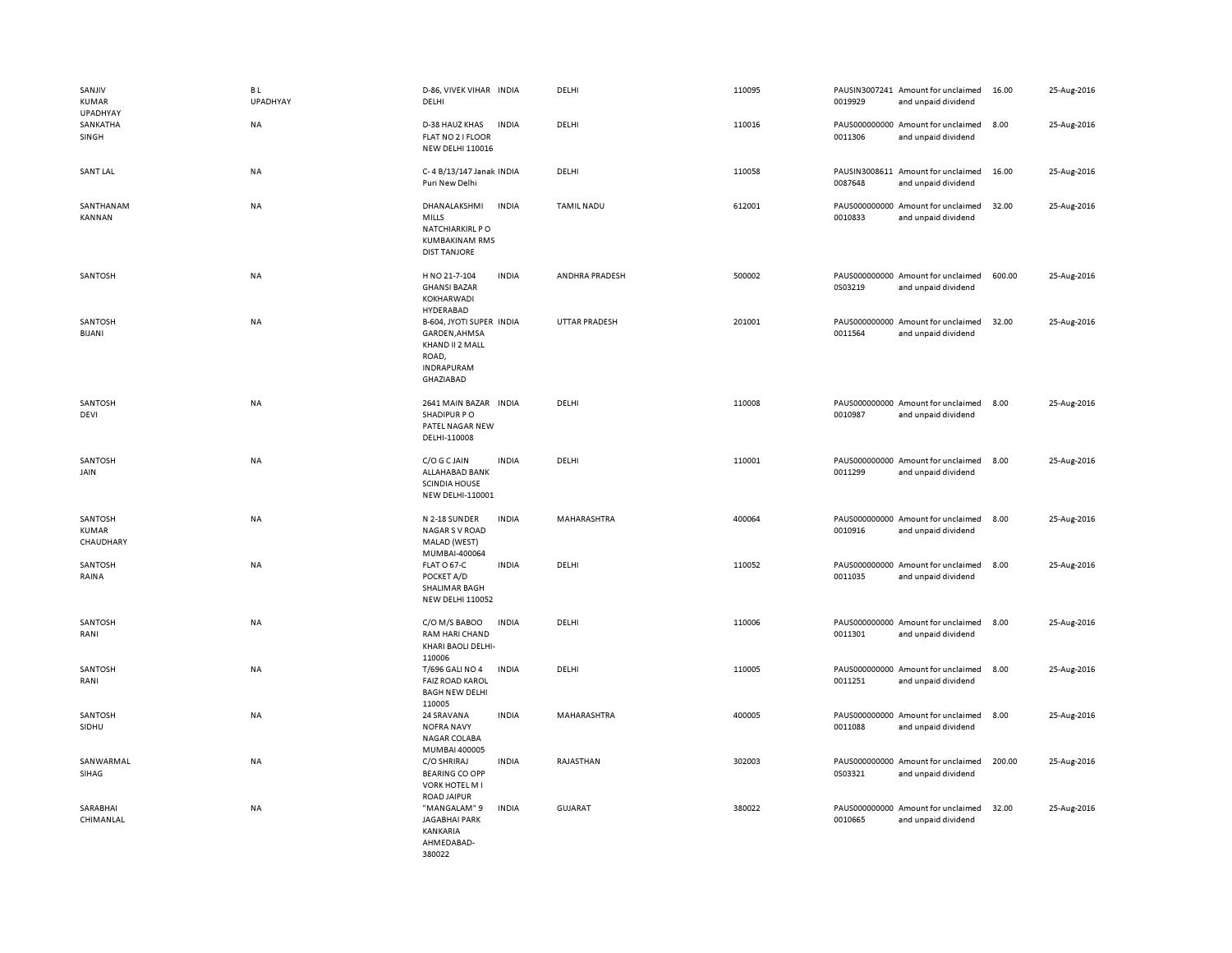| SANJIV<br><b>KUMAR</b><br>UPADHYAY   | B L<br><b>UPADHYAY</b> | D-86, VIVEK VIHAR INDIA<br>DELHI                                                                                | DELHI             | 110095 | 0019929 | PAUSIN3007241 Amount for unclaimed<br>and unpaid dividend | 16.00  | 25-Aug-2016 |
|--------------------------------------|------------------------|-----------------------------------------------------------------------------------------------------------------|-------------------|--------|---------|-----------------------------------------------------------|--------|-------------|
| SANKATHA<br>SINGH                    | NA                     | D-38 HAUZ KHAS<br><b>INDIA</b><br>FLAT NO 2 I FLOOR<br><b>NEW DELHI 110016</b>                                  | DELHI             | 110016 | 0011306 | PAUS000000000 Amount for unclaimed<br>and unpaid dividend | 8.00   | 25-Aug-2016 |
| <b>SANT LAL</b>                      | NA                     | C-4 B/13/147 Janak INDIA<br>Puri New Delhi                                                                      | DELHI             | 110058 | 0087648 | PAUSIN3008611 Amount for unclaimed<br>and unpaid dividend | 16.00  | 25-Aug-2016 |
| SANTHANAM<br>KANNAN                  | <b>NA</b>              | DHANALAKSHMI<br><b>INDIA</b><br><b>MILLS</b><br>NATCHIARKIRL PO<br><b>KUMBAKINAM RMS</b><br><b>DIST TANJORE</b> | <b>TAMIL NADU</b> | 612001 | 0010833 | PAUS000000000 Amount for unclaimed<br>and unpaid dividend | 32.00  | 25-Aug-2016 |
| SANTOSH                              | NA                     | H NO 21-7-104<br><b>INDIA</b><br><b>GHANSI BAZAR</b><br>KOKHARWADI<br>HYDERABAD                                 | ANDHRA PRADESH    | 500002 | 0S03219 | PAUS000000000 Amount for unclaimed<br>and unpaid dividend | 600.00 | 25-Aug-2016 |
| SANTOSH<br><b>BIJANI</b>             | <b>NA</b>              | B-604, JYOTI SUPER INDIA<br>GARDEN, AHMSA<br>KHAND II 2 MALL<br>ROAD,<br><b>INDRAPURAM</b><br><b>GHAZIABAD</b>  | UTTAR PRADESH     | 201001 | 0011564 | PAUS000000000 Amount for unclaimed<br>and unpaid dividend | 32.00  | 25-Aug-2016 |
| SANTOSH<br>DEVI                      | <b>NA</b>              | 2641 MAIN BAZAR INDIA<br>SHADIPUR PO<br>PATEL NAGAR NEW<br>DELHI-110008                                         | DELHI             | 110008 | 0010987 | PAUS000000000 Amount for unclaimed<br>and unpaid dividend | 8.00   | 25-Aug-2016 |
| SANTOSH<br>JAIN                      | NA                     | C/O G C JAIN<br><b>INDIA</b><br>ALLAHABAD BANK<br><b>SCINDIA HOUSE</b><br>NEW DELHI-110001                      | DELHI             | 110001 | 0011299 | PAUS000000000 Amount for unclaimed<br>and unpaid dividend | 8.00   | 25-Aug-2016 |
| SANTOSH<br><b>KUMAR</b><br>CHAUDHARY | NA                     | N 2-18 SUNDER<br><b>INDIA</b><br><b>NAGAR S V ROAD</b><br>MALAD (WEST)<br>MUMBAI-400064                         | MAHARASHTRA       | 400064 | 0010916 | PAUS000000000 Amount for unclaimed<br>and unpaid dividend | 8.00   | 25-Aug-2016 |
| SANTOSH<br>RAINA                     | <b>NA</b>              | FLAT O 67-C<br><b>INDIA</b><br>POCKET A/D<br>SHALIMAR BAGH<br><b>NEW DELHI 110052</b>                           | DELHI             | 110052 | 0011035 | PAUS000000000 Amount for unclaimed<br>and unpaid dividend | 8.00   | 25-Aug-2016 |
| SANTOSH<br>RANI                      | NA                     | C/O M/S BABOO<br><b>INDIA</b><br>RAM HARI CHAND<br>KHARI BAOLI DELHI-<br>110006                                 | DELHI             | 110006 | 0011301 | PAUS000000000 Amount for unclaimed<br>and unpaid dividend | 8.00   | 25-Aug-2016 |
| SANTOSH<br>RANI                      | NA                     | <b>INDIA</b><br>T/696 GALI NO 4<br><b>FAIZ ROAD KAROL</b><br><b>BAGH NEW DELHI</b><br>110005                    | DELHI             | 110005 | 0011251 | PAUS000000000 Amount for unclaimed<br>and unpaid dividend | 8.00   | 25-Aug-2016 |
| SANTOSH<br>SIDHU                     | <b>NA</b>              | 24 SRAVANA<br><b>INDIA</b><br><b>NOFRA NAVY</b><br>NAGAR COLABA<br>MUMBAI 400005                                | MAHARASHTRA       | 400005 | 0011088 | PAUS000000000 Amount for unclaimed<br>and unpaid dividend | 8.00   | 25-Aug-2016 |
| SANWARMAL<br>SIHAG                   | NA                     | <b>INDIA</b><br>C/O SHRIRAJ<br><b>BEARING CO OPP</b><br><b>VORK HOTEL M I</b><br><b>ROAD JAIPUR</b>             | RAJASTHAN         | 302003 | 0S03321 | PAUS000000000 Amount for unclaimed<br>and unpaid dividend | 200.00 | 25-Aug-2016 |
| SARABHAI<br>CHIMANLAL                | <b>NA</b>              | "MANGALAM" 9<br><b>INDIA</b><br><b>JAGABHAI PARK</b><br><b>KANKARIA</b><br>AHMEDABAD-<br>380022                 | <b>GUJARAT</b>    | 380022 | 0010665 | PAUS000000000 Amount for unclaimed<br>and unpaid dividend | 32.00  | 25-Aug-2016 |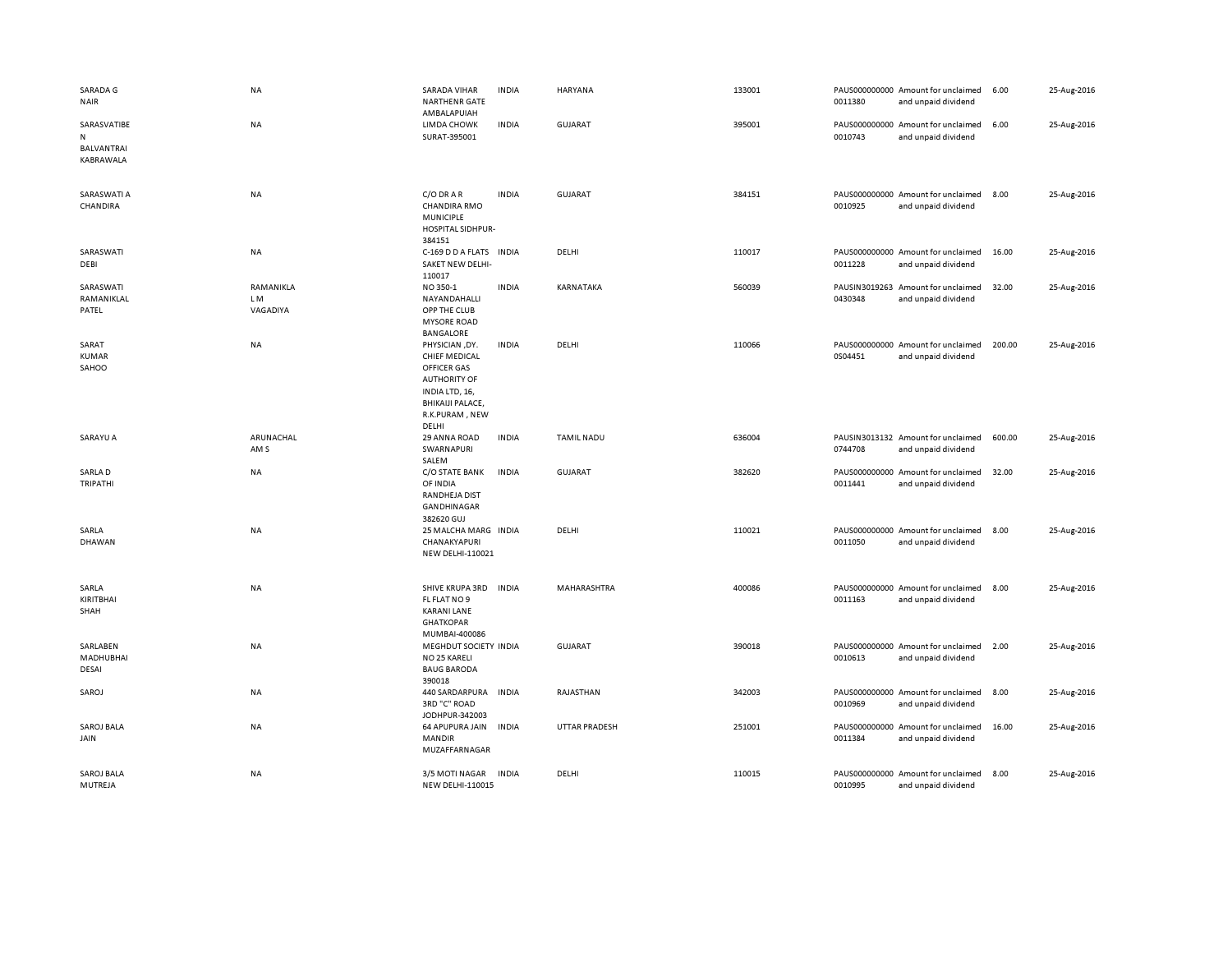| SARADA G<br><b>NAIR</b>          | NA                           | <b>SARADA VIHAR</b><br><b>NARTHENR GATE</b><br>AMBALAPUIAH                                                                                           | <b>INDIA</b> | <b>HARYANA</b>       | 133001 | 0011380                  | PAUS000000000 Amount for unclaimed<br>and unpaid dividend | 6.00   | 25-Aug-2016 |
|----------------------------------|------------------------------|------------------------------------------------------------------------------------------------------------------------------------------------------|--------------|----------------------|--------|--------------------------|-----------------------------------------------------------|--------|-------------|
| SARASVATIBE<br>N                 | NA                           | LIMDA CHOWK<br>SURAT-395001                                                                                                                          | <b>INDIA</b> | <b>GUJARAT</b>       | 395001 | 0010743                  | PAUS000000000 Amount for unclaimed<br>and unpaid dividend | 6.00   | 25-Aug-2016 |
| <b>BALVANTRAI</b><br>KABRAWALA   |                              |                                                                                                                                                      |              |                      |        |                          |                                                           |        |             |
| SARASWATI A<br>CHANDIRA          | NA                           | C/O DRAR<br><b>CHANDIRA RMO</b><br><b>MUNICIPLE</b><br>HOSPITAL SIDHPUR-<br>384151                                                                   | <b>INDIA</b> | <b>GUJARAT</b>       | 384151 | 0010925                  | PAUS000000000 Amount for unclaimed<br>and unpaid dividend | 8.00   | 25-Aug-2016 |
| SARASWATI<br>DEBI                | NA                           | C-169 D D A FLATS INDIA<br>SAKET NEW DELHI-<br>110017                                                                                                |              | DELHI                | 110017 | 0011228                  | PAUS000000000 Amount for unclaimed<br>and unpaid dividend | 16.00  | 25-Aug-2016 |
| SARASWATI<br>RAMANIKLAL<br>PATEL | RAMANIKLA<br>LM.<br>VAGADIYA | NO 350-1<br>NAYANDAHALLI<br>OPP THE CLUB<br><b>MYSORE ROAD</b><br><b>BANGALORE</b>                                                                   | <b>INDIA</b> | KARNATAKA            | 560039 | PAUSIN3019263<br>0430348 | Amount for unclaimed<br>and unpaid dividend               | 32.00  | 25-Aug-2016 |
| SARAT<br>KUMAR<br>SAHOO          | <b>NA</b>                    | PHYSICIAN, DY.<br><b>CHIEF MEDICAL</b><br>OFFICER GAS<br><b>AUTHORITY OF</b><br>INDIA LTD, 16,<br><b>BHIKAIJI PALACE,</b><br>R.K.PURAM, NEW<br>DELHI | <b>INDIA</b> | DELHI                | 110066 | 0S04451                  | PAUS000000000 Amount for unclaimed<br>and unpaid dividend | 200.00 | 25-Aug-2016 |
| SARAYU A                         | ARUNACHAL<br>AM <sub>S</sub> | 29 ANNA ROAD<br>SWARNAPURI<br>SALEM                                                                                                                  | <b>INDIA</b> | <b>TAMIL NADU</b>    | 636004 | 0744708                  | PAUSIN3013132 Amount for unclaimed<br>and unpaid dividend | 600.00 | 25-Aug-2016 |
| SARLA D<br>TRIPATHI              | NA                           | C/O STATE BANK<br>OF INDIA<br><b>RANDHEJA DIST</b><br>GANDHINAGAR<br>382620 GUJ                                                                      | <b>INDIA</b> | <b>GUJARAT</b>       | 382620 | 0011441                  | PAUS000000000 Amount for unclaimed<br>and unpaid dividend | 32.00  | 25-Aug-2016 |
| SARLA<br>DHAWAN                  | NA                           | 25 MALCHA MARG INDIA<br>CHANAKYAPURI<br>NEW DELHI-110021                                                                                             |              | DELHI                | 110021 | 0011050                  | PAUS000000000 Amount for unclaimed<br>and unpaid dividend | 8.00   | 25-Aug-2016 |
| SARLA<br>KIRITBHAI<br>SHAH       | NA                           | SHIVE KRUPA 3RD<br>FL FLAT NO 9<br><b>KARANI LANE</b><br><b>GHATKOPAR</b><br>MUMBAI-400086                                                           | <b>INDIA</b> | <b>MAHARASHTRA</b>   | 400086 | 0011163                  | PAUS000000000 Amount for unclaimed<br>and unpaid dividend | 8.00   | 25-Aug-2016 |
| SARLABEN<br>MADHUBHAI<br>DESAI   | NA                           | MEGHDUT SOCIETY INDIA<br>NO 25 KARELI<br><b>BAUG BARODA</b><br>390018                                                                                |              | GUJARAT              | 390018 | 0010613                  | PAUS000000000 Amount for unclaimed<br>and unpaid dividend | 2.00   | 25-Aug-2016 |
| SAROJ                            | NA                           | 440 SARDARPURA<br>3RD "C" ROAD<br>JODHPUR-342003                                                                                                     | <b>INDIA</b> | RAJASTHAN            | 342003 | 0010969                  | PAUS000000000 Amount for unclaimed<br>and unpaid dividend | 8.00   | 25-Aug-2016 |
| <b>SAROJ BALA</b><br>JAIN        | NA                           | 64 APUPURA JAIN<br>MANDIR<br>MUZAFFARNAGAR                                                                                                           | INDIA        | <b>UTTAR PRADESH</b> | 251001 | 0011384                  | PAUS000000000 Amount for unclaimed<br>and unpaid dividend | 16.00  | 25-Aug-2016 |
| <b>SAROJ BALA</b><br>MUTREJA     | NA                           | 3/5 MOTI NAGAR<br><b>NEW DELHI-110015</b>                                                                                                            | <b>INDIA</b> | DELHI                | 110015 | 0010995                  | PAUS000000000 Amount for unclaimed<br>and unpaid dividend | 8.00   | 25-Aug-2016 |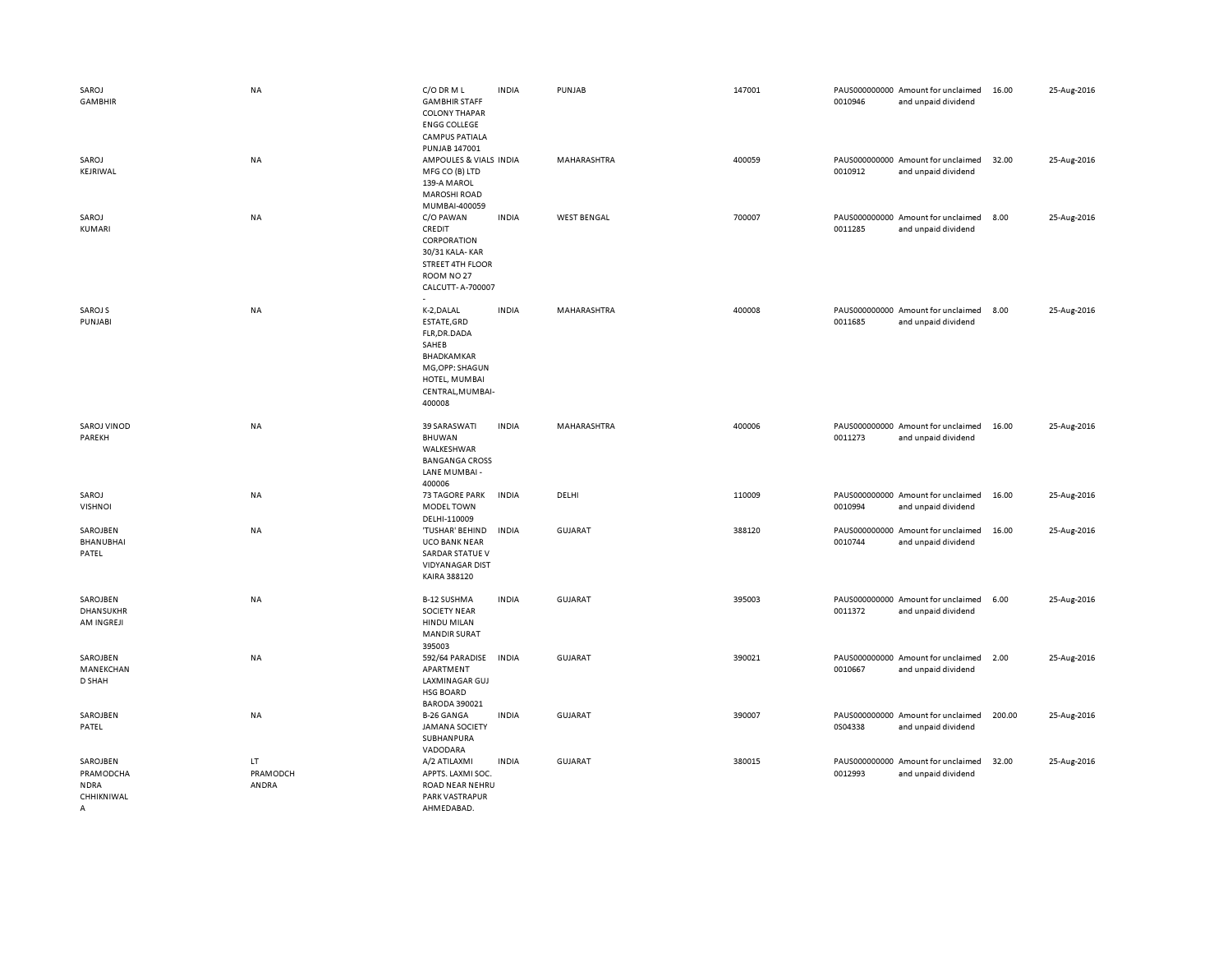| SAROJ<br><b>GAMBHIR</b>                                 | <b>NA</b>               | C/O DR M L<br><b>GAMBHIR STAFF</b><br><b>COLONY THAPAR</b><br><b>ENGG COLLEGE</b><br><b>CAMPUS PATIALA</b><br>PUNJAB 147001         | <b>INDIA</b> | PUNJAB             | 147001 | 0010946 | PAUS000000000 Amount for unclaimed<br>and unpaid dividend | 16.00  | 25-Aug-2016 |
|---------------------------------------------------------|-------------------------|-------------------------------------------------------------------------------------------------------------------------------------|--------------|--------------------|--------|---------|-----------------------------------------------------------|--------|-------------|
| SAROJ<br>KEJRIWAL                                       | NA                      | AMPOULES & VIALS INDIA<br>MFG CO (B) LTD<br>139-A MAROL<br><b>MAROSHI ROAD</b><br>MUMBAI-400059                                     |              | MAHARASHTRA        | 400059 | 0010912 | PAUS000000000 Amount for unclaimed<br>and unpaid dividend | 32.00  | 25-Aug-2016 |
| SAROJ<br>KUMARI                                         | NA                      | C/O PAWAN<br>CREDIT<br>CORPORATION<br>30/31 KALA-KAR<br><b>STREET 4TH FLOOR</b><br>ROOM NO <sub>27</sub><br>CALCUTT- A-700007       | <b>INDIA</b> | <b>WEST BENGAL</b> | 700007 | 0011285 | PAUS000000000 Amount for unclaimed<br>and unpaid dividend | 8.00   | 25-Aug-2016 |
| SAROJ S<br>PUNJABI                                      | <b>NA</b>               | K-2, DALAL<br>ESTATE, GRD<br>FLR, DR. DADA<br>SAHEB<br>BHADKAMKAR<br>MG, OPP: SHAGUN<br>HOTEL, MUMBAI<br>CENTRAL, MUMBAI-<br>400008 | <b>INDIA</b> | MAHARASHTRA        | 400008 | 0011685 | PAUS000000000 Amount for unclaimed<br>and unpaid dividend | 8.00   | 25-Aug-2016 |
| <b>SAROJ VINOD</b><br>PAREKH                            | <b>NA</b>               | 39 SARASWATI<br>BHUWAN<br>WALKESHWAR<br><b>BANGANGA CROSS</b><br>LANE MUMBAI -<br>400006                                            | <b>INDIA</b> | <b>MAHARASHTRA</b> | 400006 | 0011273 | PAUS000000000 Amount for unclaimed<br>and unpaid dividend | 16.00  | 25-Aug-2016 |
| SAROJ<br><b>VISHNOI</b>                                 | NA                      | <b>73 TAGORE PARK</b><br><b>MODEL TOWN</b><br>DELHI-110009                                                                          | <b>INDIA</b> | DELHI              | 110009 | 0010994 | PAUS000000000 Amount for unclaimed<br>and unpaid dividend | 16.00  | 25-Aug-2016 |
| SAROJBEN<br>BHANUBHAI<br>PATEL                          | NA                      | 'TUSHAR' BEHIND<br><b>UCO BANK NEAR</b><br>SARDAR STATUE V<br><b>VIDYANAGAR DIST</b><br>KAIRA 388120                                | <b>INDIA</b> | <b>GUJARAT</b>     | 388120 | 0010744 | PAUS000000000 Amount for unclaimed<br>and unpaid dividend | 16.00  | 25-Aug-2016 |
| SAROJBEN<br><b>DHANSUKHR</b><br>AM INGREJI              | <b>NA</b>               | <b>B-12 SUSHMA</b><br><b>SOCIETY NEAR</b><br><b>HINDU MILAN</b><br><b>MANDIR SURAT</b><br>395003                                    | <b>INDIA</b> | <b>GUJARAT</b>     | 395003 | 0011372 | PAUS000000000 Amount for unclaimed<br>and unpaid dividend | 6.00   | 25-Aug-2016 |
| SAROJBEN<br>MANEKCHAN<br>D SHAH                         | <b>NA</b>               | 592/64 PARADISE<br>APARTMENT<br>LAXMINAGAR GUJ<br><b>HSG BOARD</b><br><b>BARODA 390021</b>                                          | <b>INDIA</b> | <b>GUJARAT</b>     | 390021 | 0010667 | PAUS000000000 Amount for unclaimed<br>and unpaid dividend | 2.00   | 25-Aug-2016 |
| SAROJBEN<br>PATEL                                       | NA                      | <b>B-26 GANGA</b><br><b>JAMANA SOCIETY</b><br>SUBHANPURA<br>VADODARA                                                                | <b>INDIA</b> | GUJARAT            | 390007 | 0S04338 | PAUS000000000 Amount for unclaimed<br>and unpaid dividend | 200.00 | 25-Aug-2016 |
| SAROJBEN<br>PRAMODCHA<br><b>NDRA</b><br>CHHIKNIWAL<br>Α | LT<br>PRAMODCH<br>ANDRA | A/2 ATILAXMI<br>APPTS. LAXMI SOC.<br>ROAD NEAR NEHRU<br>PARK VASTRAPUR<br>AHMFDARAD                                                 | <b>INDIA</b> | <b>GUJARAT</b>     | 380015 | 0012993 | PAUS000000000 Amount for unclaimed<br>and unpaid dividend | 32.00  | 25-Aug-2016 |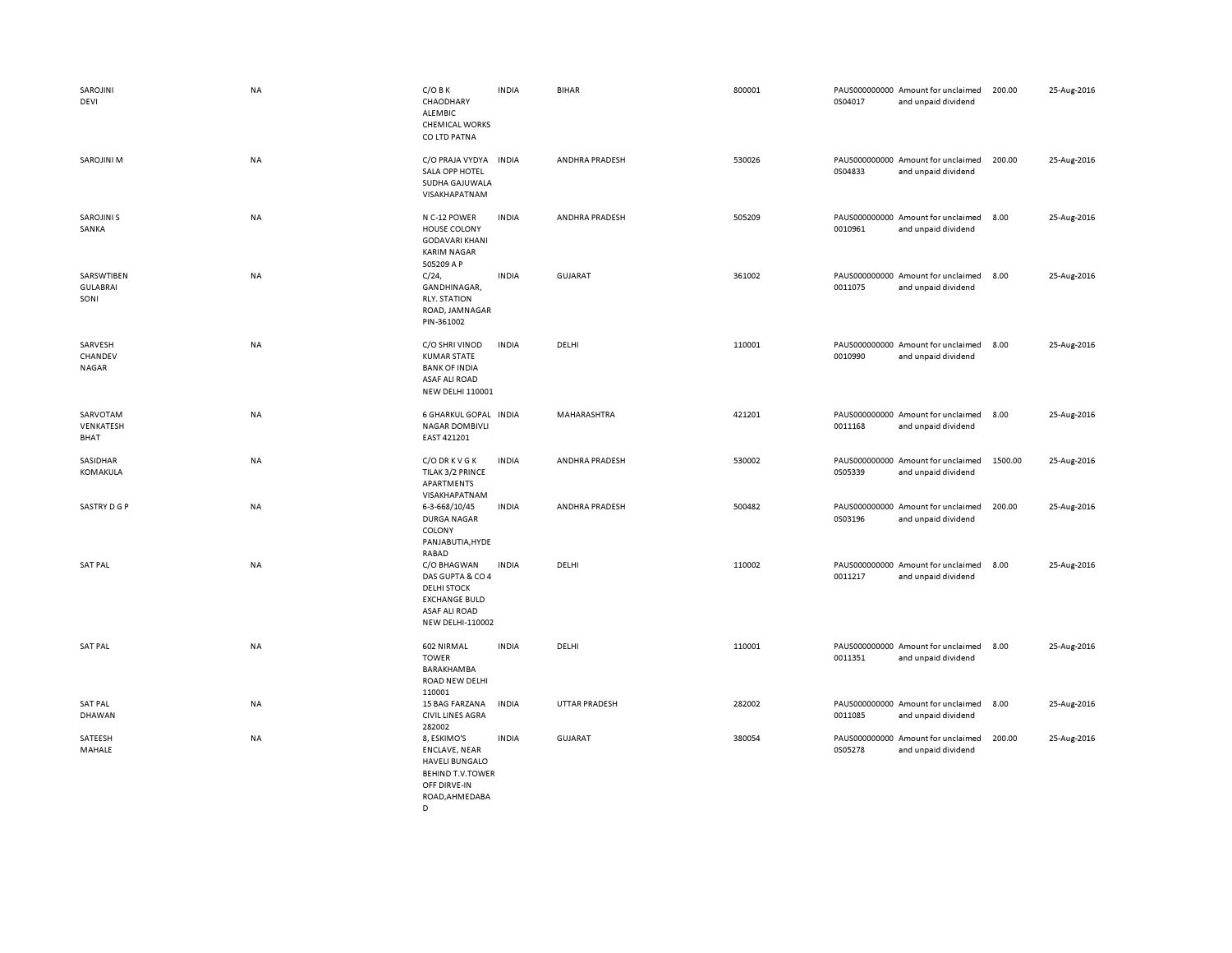| SAROJINI<br>DEVI                      | <b>NA</b> | $C/O$ B K<br>CHAODHARY<br>ALEMBIC<br><b>CHEMICAL WORKS</b><br>CO LTD PATNA                                                       | <b>INDIA</b> | <b>BIHAR</b>         | 800001 | 0S04017 | PAUS000000000 Amount for unclaimed<br>and unpaid dividend | 200.00  | 25-Aug-2016 |
|---------------------------------------|-----------|----------------------------------------------------------------------------------------------------------------------------------|--------------|----------------------|--------|---------|-----------------------------------------------------------|---------|-------------|
| <b>SAROJINI M</b>                     | NA        | C/O PRAJA VYDYA<br>SALA OPP HOTEL<br>SUDHA GAJUWALA<br>VISAKHAPATNAM                                                             | <b>INDIA</b> | ANDHRA PRADESH       | 530026 | 0S04833 | PAUS000000000 Amount for unclaimed<br>and unpaid dividend | 200.00  | 25-Aug-2016 |
| <b>SAROJINI S</b><br>SANKA            | <b>NA</b> | N C-12 POWER<br><b>HOUSE COLONY</b><br><b>GODAVARI KHANI</b><br><b>KARIM NAGAR</b><br>505209 A P                                 | <b>INDIA</b> | ANDHRA PRADESH       | 505209 | 0010961 | PAUS000000000 Amount for unclaimed<br>and unpaid dividend | 8.00    | 25-Aug-2016 |
| SARSWTIBEN<br><b>GULABRAI</b><br>SONI | NA        | $C/24$ ,<br>GANDHINAGAR,<br><b>RLY. STATION</b><br>ROAD, JAMNAGAR<br>PIN-361002                                                  | <b>INDIA</b> | <b>GUJARAT</b>       | 361002 | 0011075 | PAUS000000000 Amount for unclaimed<br>and unpaid dividend | 8.00    | 25-Aug-2016 |
| SARVESH<br>CHANDEV<br>NAGAR           | <b>NA</b> | C/O SHRI VINOD<br><b>KUMAR STATE</b><br><b>BANK OF INDIA</b><br>ASAF ALI ROAD<br><b>NEW DELHI 110001</b>                         | <b>INDIA</b> | DELHI                | 110001 | 0010990 | PAUS000000000 Amount for unclaimed<br>and unpaid dividend | 8.00    | 25-Aug-2016 |
| SARVOTAM<br>VENKATESH<br>BHAT         | NA        | 6 GHARKUL GOPAL INDIA<br><b>NAGAR DOMBIVLI</b><br>EAST 421201                                                                    |              | <b>MAHARASHTRA</b>   | 421201 | 0011168 | PAUS000000000 Amount for unclaimed<br>and unpaid dividend | 8.00    | 25-Aug-2016 |
| SASIDHAR<br>KOMAKULA                  | <b>NA</b> | C/O DR K V G K<br>TILAK 3/2 PRINCE<br>APARTMENTS<br>VISAKHAPATNAM                                                                | <b>INDIA</b> | ANDHRA PRADESH       | 530002 | 0S05339 | PAUS000000000 Amount for unclaimed<br>and unpaid dividend | 1500.00 | 25-Aug-2016 |
| SASTRY D G P                          | <b>NA</b> | 6-3-668/10/45<br><b>DURGA NAGAR</b><br>COLONY<br>PANJABUTIA, HYDE<br><b>RABAD</b>                                                | <b>INDIA</b> | ANDHRA PRADESH       | 500482 | 0S03196 | PAUS000000000 Amount for unclaimed<br>and unpaid dividend | 200.00  | 25-Aug-2016 |
| <b>SAT PAL</b>                        | <b>NA</b> | C/O BHAGWAN<br>DAS GUPTA & CO 4<br><b>DELHI STOCK</b><br><b>EXCHANGE BULD</b><br><b>ASAF ALI ROAD</b><br><b>NEW DELHI-110002</b> | <b>INDIA</b> | DELHI                | 110002 | 0011217 | PAUS000000000 Amount for unclaimed<br>and unpaid dividend | 8.00    | 25-Aug-2016 |
| <b>SAT PAL</b>                        | <b>NA</b> | 602 NIRMAL<br><b>TOWER</b><br><b>BARAKHAMBA</b><br>ROAD NEW DELHI<br>110001                                                      | <b>INDIA</b> | DELHI                | 110001 | 0011351 | PAUS000000000 Amount for unclaimed<br>and unpaid dividend | 8.00    | 25-Aug-2016 |
| <b>SAT PAL</b><br>DHAWAN              | NA        | 15 BAG FARZANA<br><b>CIVIL LINES AGRA</b><br>282002                                                                              | <b>INDIA</b> | <b>UTTAR PRADESH</b> | 282002 | 0011085 | PAUS000000000 Amount for unclaimed<br>and unpaid dividend | 8.00    | 25-Aug-2016 |
| SATEESH<br>MAHALE                     | NA        | 8, ESKIMO'S<br><b>ENCLAVE, NEAR</b><br><b>HAVELI BUNGALO</b><br><b>BEHIND T.V.TOWER</b><br>OFF DIRVE-IN<br>ROAD.AHMEDABA         | <b>INDIA</b> | <b>GUJARAT</b>       | 380054 | 0S05278 | PAUS000000000 Amount for unclaimed<br>and unpaid dividend | 200.00  | 25-Aug-2016 |

 $\overline{D}$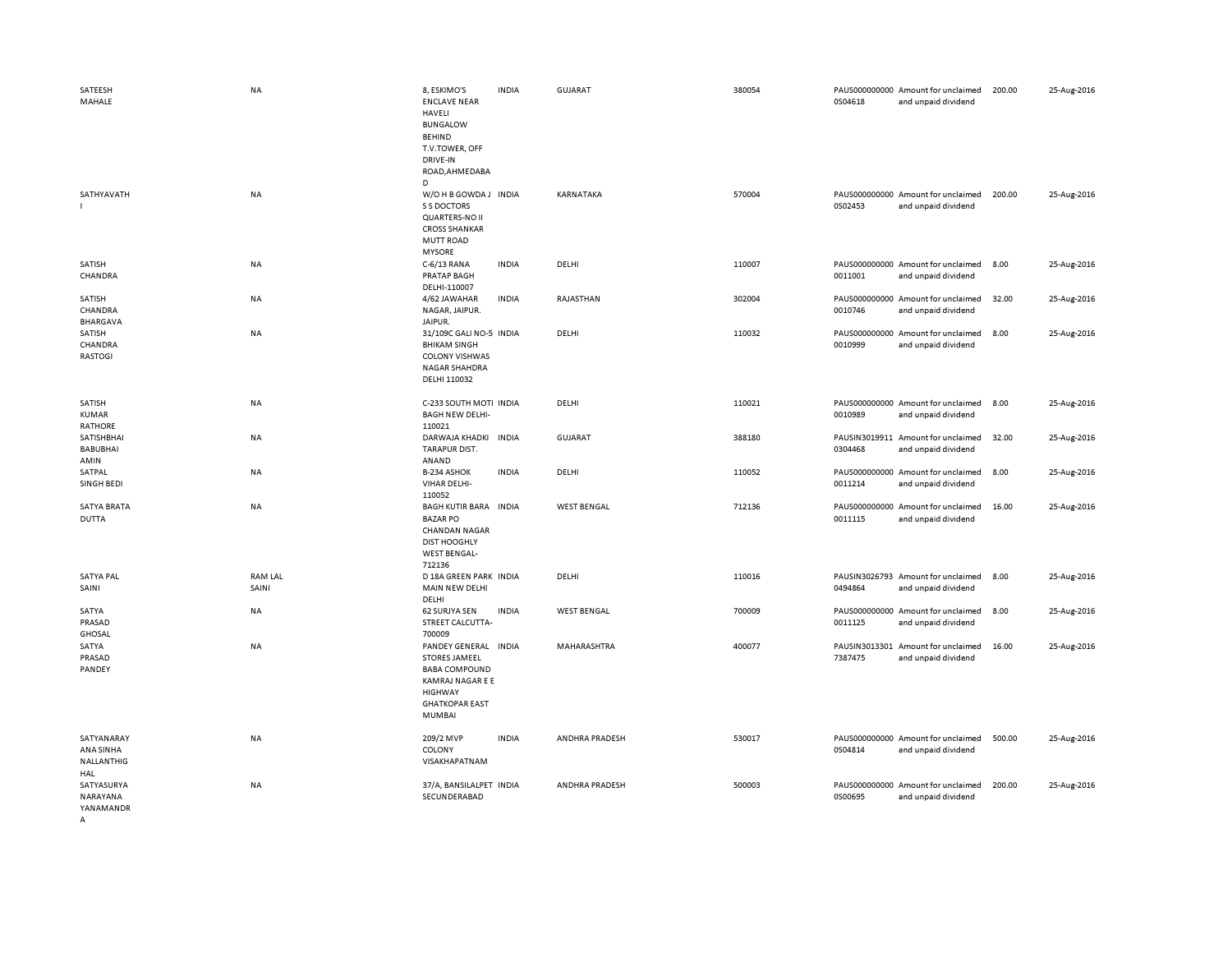| SATEESH<br>MAHALE                            | <b>NA</b>               | 8, ESKIMO'S<br><b>ENCLAVE NEAR</b><br>HAVELI<br><b>BUNGALOW</b><br><b>BEHIND</b><br>T.V.TOWER, OFF<br>DRIVE-IN<br>ROAD, AHMEDABA<br>D         | <b>INDIA</b> | GUJARAT            | 380054 | 0S04618                  | PAUS000000000 Amount for unclaimed<br>and unpaid dividend | 200.00 | 25-Aug-2016 |
|----------------------------------------------|-------------------------|-----------------------------------------------------------------------------------------------------------------------------------------------|--------------|--------------------|--------|--------------------------|-----------------------------------------------------------|--------|-------------|
| SATHYAVATH                                   | NA                      | W/OHB GOWDA J INDIA<br>S S DOCTORS<br><b>QUARTERS-NO II</b><br><b>CROSS SHANKAR</b><br><b>MUTT ROAD</b><br><b>MYSORE</b>                      |              | KARNATAKA          | 570004 | 0S02453                  | PAUS000000000 Amount for unclaimed<br>and unpaid dividend | 200.00 | 25-Aug-2016 |
| SATISH<br>CHANDRA                            | NA                      | C-6/13 RANA<br><b>PRATAP BAGH</b><br>DELHI-110007                                                                                             | <b>INDIA</b> | DELHI              | 110007 | 0011001                  | PAUS000000000 Amount for unclaimed<br>and unpaid dividend | 8.00   | 25-Aug-2016 |
| SATISH<br>CHANDRA<br><b>BHARGAVA</b>         | NA                      | 4/62 JAWAHAR<br>NAGAR, JAIPUR.<br>JAIPUR.                                                                                                     | <b>INDIA</b> | RAJASTHAN          | 302004 | 0010746                  | PAUS000000000 Amount for unclaimed<br>and unpaid dividend | 32.00  | 25-Aug-2016 |
| SATISH<br>CHANDRA<br><b>RASTOGI</b>          | <b>NA</b>               | 31/109C GALI NO-5 INDIA<br><b>BHIKAM SINGH</b><br><b>COLONY VISHWAS</b><br>NAGAR SHAHDRA<br>DELHI 110032                                      |              | DELHI              | 110032 | 0010999                  | PAUS000000000 Amount for unclaimed<br>and unpaid dividend | 8.00   | 25-Aug-2016 |
| SATISH<br>KUMAR<br>RATHORE                   | NA                      | C-233 SOUTH MOTI INDIA<br><b>BAGH NEW DELHI-</b><br>110021                                                                                    |              | DELHI              | 110021 | 0010989                  | PAUS000000000 Amount for unclaimed<br>and unpaid dividend | 8.00   | 25-Aug-2016 |
| SATISHBHAI<br><b>BABUBHAI</b><br>AMIN        | NA                      | DARWAJA KHADKI<br><b>TARAPUR DIST.</b><br>ANAND                                                                                               | <b>INDIA</b> | GUJARAT            | 388180 | 0304468                  | PAUSIN3019911 Amount for unclaimed<br>and unpaid dividend | 32.00  | 25-Aug-2016 |
| SATPAL<br>SINGH BEDI                         | <b>NA</b>               | B-234 ASHOK<br>VIHAR DELHI-<br>110052                                                                                                         | <b>INDIA</b> | DELHI              | 110052 | 0011214                  | PAUS000000000 Amount for unclaimed<br>and unpaid dividend | 8.00   | 25-Aug-2016 |
| <b>SATYA BRATA</b><br><b>DUTTA</b>           | NA                      | <b>BAGH KUTIR BARA</b><br><b>BAZAR PO</b><br><b>CHANDAN NAGAR</b><br><b>DIST HOOGHLY</b><br><b>WEST BENGAL-</b><br>712136                     | <b>INDIA</b> | <b>WEST BENGAL</b> | 712136 | 0011115                  | PAUS000000000 Amount for unclaimed<br>and unpaid dividend | 16.00  | 25-Aug-2016 |
| <b>SATYA PAL</b><br>SAINI                    | <b>RAM LAL</b><br>SAINI | D 18A GREEN PARK INDIA<br>MAIN NEW DELHI<br>DELHI                                                                                             |              | DELHI              | 110016 | 0494864                  | PAUSIN3026793 Amount for unclaimed<br>and unpaid dividend | 8.00   | 25-Aug-2016 |
| SATYA<br>PRASAD<br><b>GHOSAL</b>             | <b>NA</b>               | 62 SURJYA SEN<br>STREET CALCUTTA-<br>700009                                                                                                   | <b>INDIA</b> | <b>WEST BENGAL</b> | 700009 | 0011125                  | PAUS000000000 Amount for unclaimed<br>and unpaid dividend | 8.00   | 25-Aug-2016 |
| SATYA<br>PRASAD<br>PANDEY                    | NA                      | PANDEY GENERAL INDIA<br><b>STORES JAMEEL</b><br><b>BABA COMPOUND</b><br>KAMRAJ NAGAR E E<br>HIGHWAY<br><b>GHATKOPAR EAST</b><br><b>MUMBAI</b> |              | MAHARASHTRA        | 400077 | PAUSIN3013301<br>7387475 | Amount for unclaimed<br>and unpaid dividend               | 16.00  | 25-Aug-2016 |
| SATYANARAY<br>ANA SINHA<br>NALLANTHIG<br>HAL | NA                      | 209/2 MVP<br>COLONY<br>VISAKHAPATNAM                                                                                                          | <b>INDIA</b> | ANDHRA PRADESH     | 530017 | 0S04814                  | PAUS000000000 Amount for unclaimed<br>and unpaid dividend | 500.00 | 25-Aug-2016 |
| SATYASURYA<br>NARAYANA<br>YANAMANDR          | NA                      | 37/A, BANSILALPET INDIA<br>SECUNDERABAD                                                                                                       |              | ANDHRA PRADESH     | 500003 | 0S00695                  | PAUS000000000 Amount for unclaimed<br>and unpaid dividend | 200.00 | 25-Aug-2016 |

A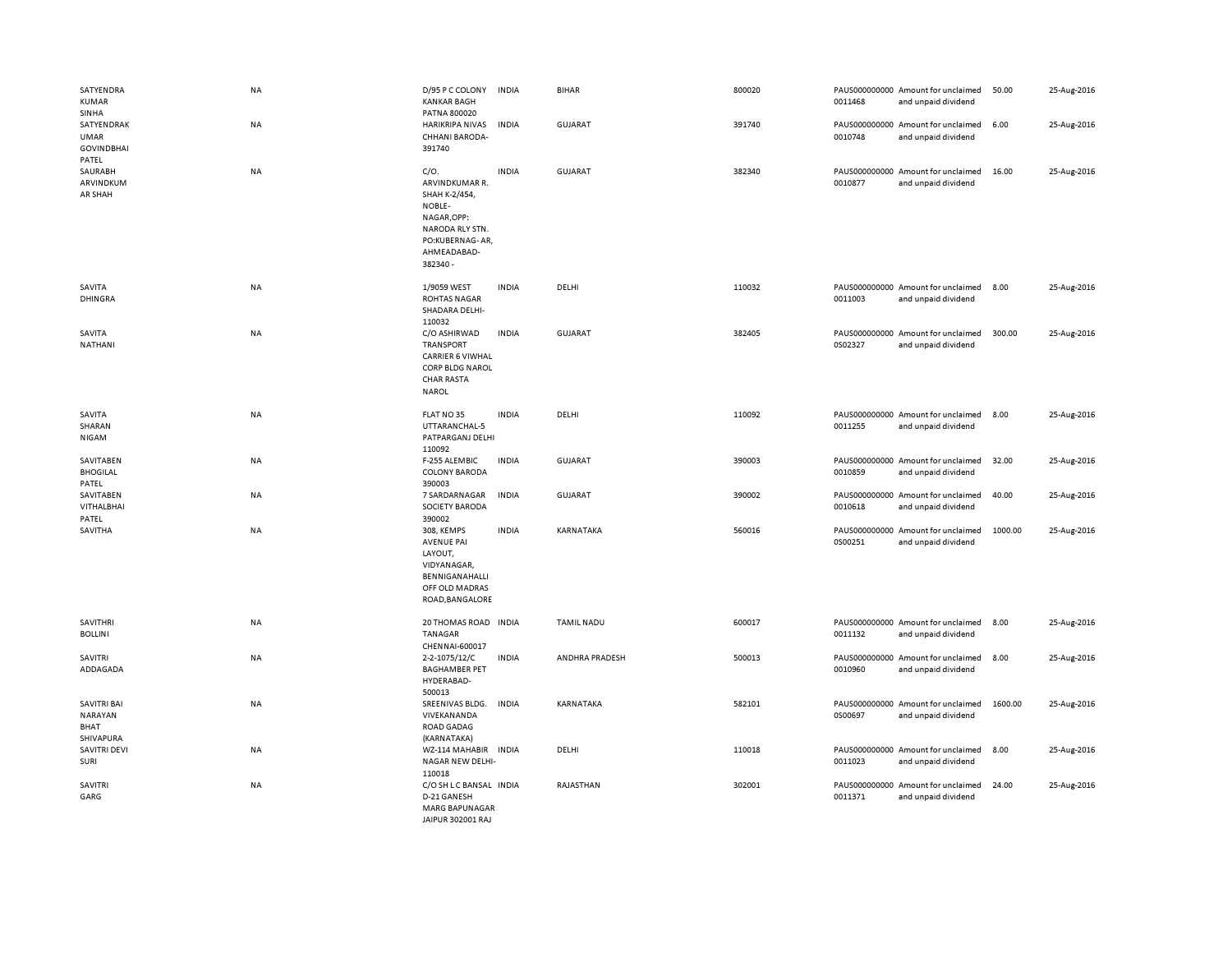| SATYENDRA<br><b>KUMAR</b><br>SINHA                      | NA        | D/95 P C COLONY<br><b>KANKAR BAGH</b><br>PATNA 800020                                                                             | <b>INDIA</b> | <b>BIHAR</b>      | 800020 | 0011468 | PAUS000000000 Amount for unclaimed<br>and unpaid dividend | 50.00   | 25-Aug-2016 |
|---------------------------------------------------------|-----------|-----------------------------------------------------------------------------------------------------------------------------------|--------------|-------------------|--------|---------|-----------------------------------------------------------|---------|-------------|
| SATYENDRAK<br><b>UMAR</b><br><b>GOVINDBHAI</b><br>PATEL | NA        | <b>HARIKRIPA NIVAS</b><br>CHHANI BARODA-<br>391740                                                                                | <b>INDIA</b> | GUJARAT           | 391740 | 0010748 | PAUS000000000 Amount for unclaimed<br>and unpaid dividend | 6.00    | 25-Aug-2016 |
| SAURABH<br>ARVINDKUM<br>AR SHAH                         | NA        | C/O.<br>ARVINDKUMAR R.<br>SHAH K-2/454,<br>NOBLE-<br>NAGAR, OPP:<br>NARODA RLY STN.<br>PO:KUBERNAG-AR,<br>AHMEADABAD-<br>382340 - | <b>INDIA</b> | <b>GUJARAT</b>    | 382340 | 0010877 | PAUS000000000 Amount for unclaimed<br>and unpaid dividend | 16.00   | 25-Aug-2016 |
| SAVITA<br><b>DHINGRA</b>                                | <b>NA</b> | 1/9059 WEST<br><b>ROHTAS NAGAR</b><br>SHADARA DELHI-<br>110032                                                                    | <b>INDIA</b> | DELHI             | 110032 | 0011003 | PAUS000000000 Amount for unclaimed<br>and unpaid dividend | 8.00    | 25-Aug-2016 |
| SAVITA<br>NATHANI                                       | NA        | C/O ASHIRWAD<br><b>TRANSPORT</b><br><b>CARRIER 6 VIWHAL</b><br>CORP BLDG NAROL<br><b>CHAR RASTA</b><br><b>NAROL</b>               | <b>INDIA</b> | <b>GUJARAT</b>    | 382405 | 0S02327 | PAUS000000000 Amount for unclaimed<br>and unpaid dividend | 300.00  | 25-Aug-2016 |
| SAVITA<br>SHARAN<br>NIGAM                               | <b>NA</b> | FLAT NO 35<br>UTTARANCHAL-5<br>PATPARGANJ DELHI<br>110092                                                                         | <b>INDIA</b> | DELHI             | 110092 | 0011255 | PAUS000000000 Amount for unclaimed<br>and unpaid dividend | 8.00    | 25-Aug-2016 |
| SAVITABEN<br><b>BHOGILAL</b><br>PATEL                   | NA        | F-255 ALEMBIC<br><b>COLONY BARODA</b><br>390003                                                                                   | <b>INDIA</b> | <b>GUJARAT</b>    | 390003 | 0010859 | PAUS000000000 Amount for unclaimed<br>and unpaid dividend | 32.00   | 25-Aug-2016 |
| SAVITABEN<br>VITHALBHAI<br>PATEL                        | NA        | 7 SARDARNAGAR<br>SOCIETY BARODA<br>390002                                                                                         | <b>INDIA</b> | <b>GUJARAT</b>    | 390002 | 0010618 | PAUS000000000 Amount for unclaimed<br>and unpaid dividend | 40.00   | 25-Aug-2016 |
| SAVITHA                                                 | NA        | 308, KEMPS<br><b>AVENUE PAI</b><br>LAYOUT,<br>VIDYANAGAR,<br>BENNIGANAHALLI<br>OFF OLD MADRAS<br>ROAD, BANGALORE                  | <b>INDIA</b> | KARNATAKA         | 560016 | 0S00251 | PAUS000000000 Amount for unclaimed<br>and unpaid dividend | 1000.00 | 25-Aug-2016 |
| <b>SAVITHRI</b><br><b>BOLLINI</b>                       | NA        | 20 THOMAS ROAD INDIA<br>TANAGAR<br>CHENNAI-600017                                                                                 |              | <b>TAMIL NADU</b> | 600017 | 0011132 | PAUS000000000 Amount for unclaimed<br>and unpaid dividend | 8.00    | 25-Aug-2016 |
| SAVITRI<br>ADDAGADA                                     | NA        | 2-2-1075/12/C<br><b>BAGHAMBER PET</b><br>HYDERABAD-<br>500013                                                                     | <b>INDIA</b> | ANDHRA PRADESH    | 500013 | 0010960 | PAUS000000000 Amount for unclaimed<br>and unpaid dividend | 8.00    | 25-Aug-2016 |
| SAVITRI BAI<br>NARAYAN<br>BHAT<br>SHIVAPURA             | NA        | SREENIVAS BLDG.<br>VIVEKANANDA<br>ROAD GADAG<br>(KARNATAKA)                                                                       | INDIA        | KARNATAKA         | 582101 | 0S00697 | PAUS000000000 Amount for unclaimed<br>and unpaid dividend | 1600.00 | 25-Aug-2016 |
| <b>SAVITRI DEVI</b><br>SURI                             | NA        | WZ-114 MAHABIR INDIA<br>NAGAR NEW DELHI-<br>110018                                                                                |              | DELHI             | 110018 | 0011023 | PAUS000000000 Amount for unclaimed<br>and unpaid dividend | 8.00    | 25-Aug-2016 |
| <b>SAVITRI</b><br>GARG                                  | NA        | C/O SH L C BANSAL INDIA<br>D-21 GANESH<br><b>MARG BAPUNAGAR</b><br>JAIPUR 302001 RAJ                                              |              | RAJASTHAN         | 302001 | 0011371 | PAUS000000000 Amount for unclaimed<br>and unpaid dividend | 24.00   | 25-Aug-2016 |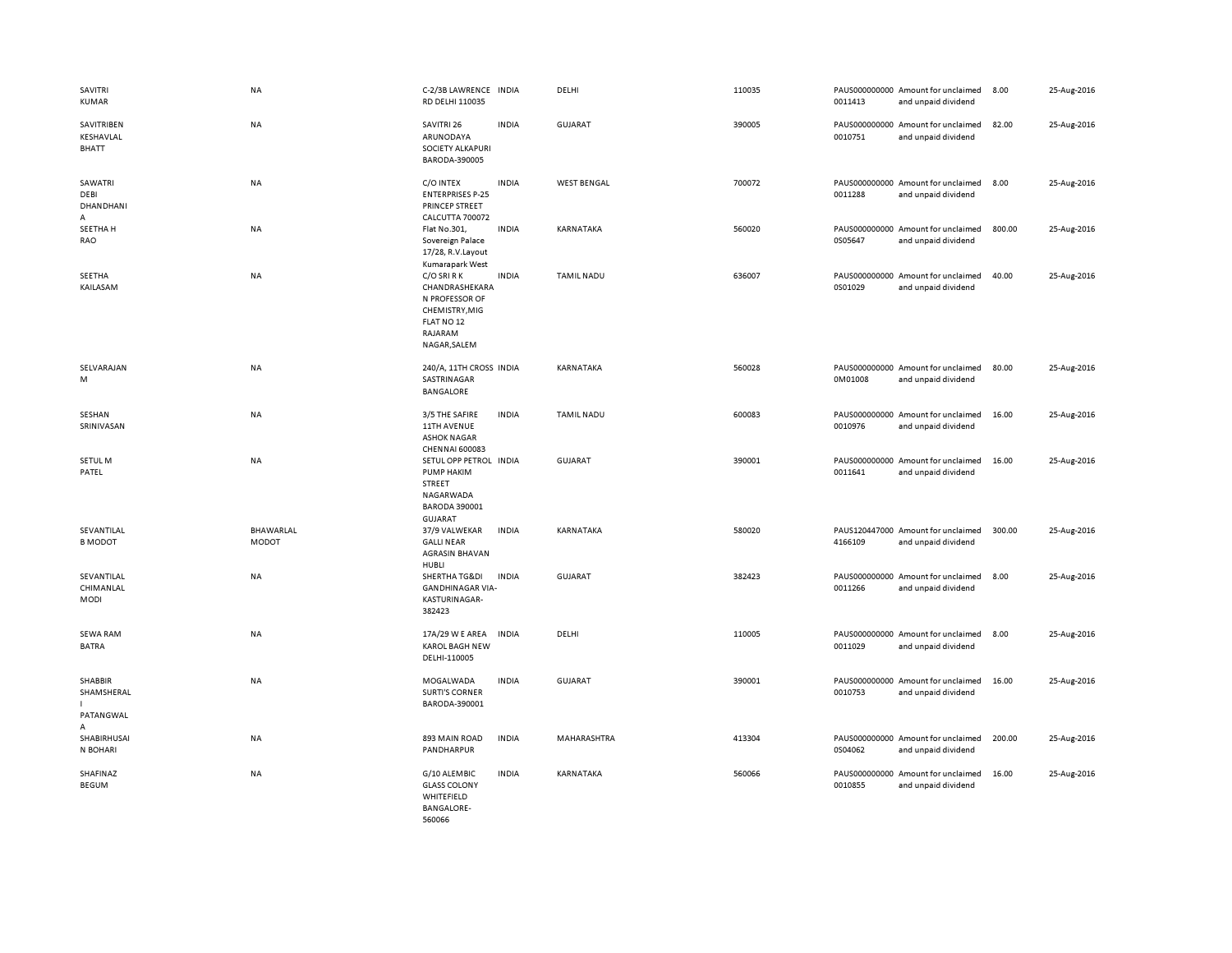| SAVITRI<br><b>KUMAR</b>                  | NA                        | C-2/3B LAWRENCE INDIA<br>RD DELHI 110035                                                                                  | DELHI              | 110035 | PAUS000000000 Amount for unclaimed<br>0011413 | and unpaid dividend                         | 8.00   | 25-Aug-2016 |
|------------------------------------------|---------------------------|---------------------------------------------------------------------------------------------------------------------------|--------------------|--------|-----------------------------------------------|---------------------------------------------|--------|-------------|
| SAVITRIBEN<br>KESHAVLAL<br><b>BHATT</b>  | NA                        | <b>INDIA</b><br>SAVITRI 26<br>ARUNODAYA<br>SOCIETY ALKAPURI<br>BARODA-390005                                              | GUJARAT            | 390005 | PAUS000000000 Amount for unclaimed<br>0010751 | and unpaid dividend                         | 82.00  | 25-Aug-2016 |
| SAWATRI<br>DEBI<br><b>DHANDHANI</b><br>A | NA                        | C/O INTEX<br><b>INDIA</b><br><b>ENTERPRISES P-25</b><br>PRINCEP STREET<br>CALCUTTA 700072                                 | <b>WEST BENGAL</b> | 700072 | PAUS000000000 Amount for unclaimed<br>0011288 | and unpaid dividend                         | 8.00   | 25-Aug-2016 |
| SEETHA H<br>RAO                          | NA                        | Flat No.301,<br><b>INDIA</b><br>Sovereign Palace<br>17/28, R.V.Layout<br>Kumarapark West                                  | KARNATAKA          | 560020 | PAUS000000000 Amount for unclaimed<br>0S05647 | and unpaid dividend                         | 800.00 | 25-Aug-2016 |
| SEETHA<br>KAILASAM                       | NA                        | C/O SRI R K<br><b>INDIA</b><br>CHANDRASHEKARA<br>N PROFESSOR OF<br>CHEMISTRY.MIG<br>FLAT NO 12<br>RAJARAM<br>NAGAR, SALEM | <b>TAMIL NADU</b>  | 636007 | PAUS000000000 Amount for unclaimed<br>0S01029 | and unpaid dividend                         | 40.00  | 25-Aug-2016 |
| SELVARAJAN<br>M                          | NA                        | 240/A, 11TH CROSS INDIA<br>SASTRINAGAR<br><b>BANGALORE</b>                                                                | KARNATAKA          | 560028 | PAUS000000000 Amount for unclaimed<br>0M01008 | and unpaid dividend                         | 80.00  | 25-Aug-2016 |
| SESHAN<br>SRINIVASAN                     | <b>NA</b>                 | <b>INDIA</b><br>3/5 THE SAFIRE<br><b>11TH AVENUE</b><br><b>ASHOK NAGAR</b><br>CHENNAI 600083                              | <b>TAMIL NADU</b>  | 600083 | PAUS000000000 Amount for unclaimed<br>0010976 | and unpaid dividend                         | 16.00  | 25-Aug-2016 |
| SETUL M<br>PATEL                         | NA                        | SETUL OPP PETROL INDIA<br>PUMP HAKIM<br>STREET<br>NAGARWADA<br><b>BARODA 390001</b><br>GUJARAT                            | GUJARAT            | 390001 | PAUS000000000 Amount for unclaimed<br>0011641 | and unpaid dividend                         | 16.00  | 25-Aug-2016 |
| SEVANTILAL<br><b>B MODOT</b>             | BHAWARLAL<br><b>MODOT</b> | 37/9 VALWEKAR<br><b>INDIA</b><br><b>GALLI NEAR</b><br><b>AGRASIN BHAVAN</b><br>HUBLI                                      | KARNATAKA          | 580020 | PAUS120447000 Amount for unclaimed<br>4166109 | and unpaid dividend                         | 300.00 | 25-Aug-2016 |
| SEVANTILAL<br>CHIMANLAL<br>MODI          | NA                        | SHERTHA TG&DI<br><b>INDIA</b><br><b>GANDHINAGAR VIA-</b><br>KASTURINAGAR-<br>382423                                       | <b>GUJARAT</b>     | 382423 | PAUS000000000<br>0011266                      | Amount for unclaimed<br>and unpaid dividend | 8.00   | 25-Aug-2016 |
| <b>SEWA RAM</b><br><b>BATRA</b>          | NA                        | <b>INDIA</b><br>17A/29 W E AREA<br><b>KAROL BAGH NEW</b><br>DELHI-110005                                                  | DELHI              | 110005 | PAUS000000000 Amount for unclaimed<br>0011029 | and unpaid dividend                         | 8.00   | 25-Aug-2016 |
| SHABBIR<br>SHAMSHERAL<br>PATANGWAL<br>A  | <b>NA</b>                 | MOGALWADA<br><b>INDIA</b><br><b>SURTI'S CORNER</b><br>BARODA-390001                                                       | <b>GUJARAT</b>     | 390001 | PAUS000000000 Amount for unclaimed<br>0010753 | and unpaid dividend                         | 16.00  | 25-Aug-2016 |
| SHABIRHUSAI<br>N BOHARI                  | NA                        | <b>INDIA</b><br>893 MAIN ROAD<br>PANDHARPUR                                                                               | MAHARASHTRA        | 413304 | PAUS000000000 Amount for unclaimed<br>0S04062 | and unpaid dividend                         | 200.00 | 25-Aug-2016 |
| SHAFINAZ<br><b>BEGUM</b>                 | NA                        | G/10 ALEMBIC<br><b>INDIA</b><br><b>GLASS COLONY</b><br>WHITEFIELD<br><b>BANGALORE-</b><br>560066                          | KARNATAKA          | 560066 | PAUS000000000 Amount for unclaimed<br>0010855 | and unpaid dividend                         | 16.00  | 25-Aug-2016 |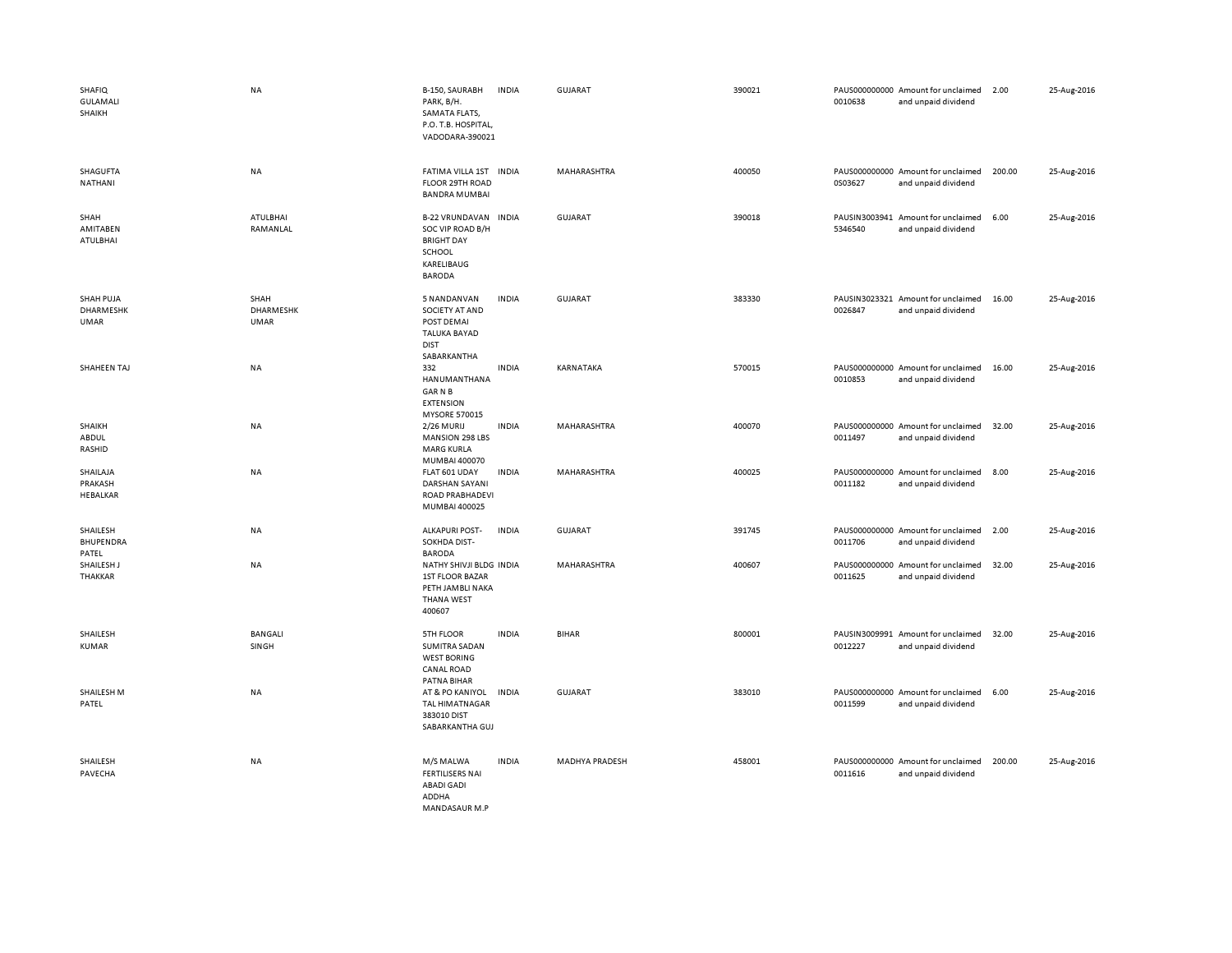| <b>SHAFIQ</b><br><b>GULAMALI</b><br>SHAIKH | <b>NA</b>                        | B-150, SAURABH<br>PARK, B/H.<br>SAMATA FLATS,<br>P.O. T.B. HOSPITAL,<br>VADODARA-390021                 | <b>INDIA</b> | GUJARAT            | 390021 | 0010638 | PAUS000000000 Amount for unclaimed<br>and unpaid dividend | 2.00   | 25-Aug-2016 |
|--------------------------------------------|----------------------------------|---------------------------------------------------------------------------------------------------------|--------------|--------------------|--------|---------|-----------------------------------------------------------|--------|-------------|
| SHAGUFTA<br>NATHANI                        | NA                               | FATIMA VILLA 1ST INDIA<br>FLOOR 29TH ROAD<br><b>BANDRA MUMBAI</b>                                       |              | MAHARASHTRA        | 400050 | 0S03627 | PAUS000000000 Amount for unclaimed<br>and unpaid dividend | 200.00 | 25-Aug-2016 |
| SHAH<br>AMITABEN<br><b>ATULBHAI</b>        | ATULBHAI<br>RAMANLAL             | <b>B-22 VRUNDAVAN</b><br>SOC VIP ROAD B/H<br><b>BRIGHT DAY</b><br>SCHOOL<br>KARELIBAUG<br><b>BARODA</b> | <b>INDIA</b> | GUJARAT            | 390018 | 5346540 | PAUSIN3003941 Amount for unclaimed<br>and unpaid dividend | 6.00   | 25-Aug-2016 |
| SHAH PUJA<br>DHARMESHK<br><b>UMAR</b>      | SHAH<br>DHARMESHK<br><b>UMAR</b> | 5 NANDANVAN<br>SOCIETY AT AND<br>POST DEMAI<br><b>TALUKA BAYAD</b><br><b>DIST</b><br>SABARKANTHA        | <b>INDIA</b> | <b>GUJARAT</b>     | 383330 | 0026847 | PAUSIN3023321 Amount for unclaimed<br>and unpaid dividend | 16.00  | 25-Aug-2016 |
| SHAHEEN TAJ                                | <b>NA</b>                        | 332<br>HANUMANTHANA<br><b>GARNB</b><br><b>EXTENSION</b><br>MYSORE 570015                                | <b>INDIA</b> | KARNATAKA          | 570015 | 0010853 | PAUS000000000 Amount for unclaimed<br>and unpaid dividend | 16.00  | 25-Aug-2016 |
| SHAIKH<br>ABDUL<br>RASHID                  | NA                               | 2/26 MURIJ<br><b>MANSION 298 LBS</b><br><b>MARG KURLA</b><br>MUMBAI 400070                              | <b>INDIA</b> | MAHARASHTRA        | 400070 | 0011497 | PAUS000000000 Amount for unclaimed<br>and unpaid dividend | 32.00  | 25-Aug-2016 |
| SHAILAJA<br>PRAKASH<br>HEBALKAR            | <b>NA</b>                        | FLAT 601 UDAY<br>DARSHAN SAYANI<br>ROAD PRABHADEVI<br>MUMBAI 400025                                     | <b>INDIA</b> | <b>MAHARASHTRA</b> | 400025 | 0011182 | PAUS000000000 Amount for unclaimed<br>and unpaid dividend | 8.00   | 25-Aug-2016 |
| SHAILESH<br>BHUPENDRA<br>PATEL             | NA                               | <b>ALKAPURI POST-</b><br>SOKHDA DIST-<br><b>BARODA</b>                                                  | <b>INDIA</b> | <b>GUJARAT</b>     | 391745 | 0011706 | PAUS000000000 Amount for unclaimed<br>and unpaid dividend | 2.00   | 25-Aug-2016 |
| SHAILESH J<br>THAKKAR                      | NA                               | NATHY SHIVJI BLDG INDIA<br><b>1ST FLOOR BAZAR</b><br>PETH JAMBLI NAKA<br><b>THANA WEST</b><br>400607    |              | MAHARASHTRA        | 400607 | 0011625 | PAUS000000000 Amount for unclaimed<br>and unpaid dividend | 32.00  | 25-Aug-2016 |
| SHAILESH<br><b>KUMAR</b>                   | <b>BANGALI</b><br>SINGH          | 5TH FLOOR<br>SUMITRA SADAN<br><b>WEST BORING</b><br>CANAL ROAD                                          | <b>INDIA</b> | <b>BIHAR</b>       | 800001 | 0012227 | PAUSIN3009991 Amount for unclaimed<br>and unpaid dividend | 32.00  | 25-Aug-2016 |
| SHAILESH M<br>PATEL                        | NA                               | PATNA BIHAR<br>AT & PO KANIYOL<br><b>TAL HIMATNAGAR</b><br>383010 DIST<br>SABARKANTHA GUJ               | <b>INDIA</b> | <b>GUJARAT</b>     | 383010 | 0011599 | PAUS000000000 Amount for unclaimed<br>and unpaid dividend | 6.00   | 25-Aug-2016 |
| SHAILESH<br>PAVECHA                        | NA                               | M/S MALWA<br><b>FERTILISERS NAI</b><br><b>ABADI GADI</b><br>ADDHA<br>MANDASAUR M P                      | <b>INDIA</b> | MADHYA PRADESH     | 458001 | 0011616 | PAUS000000000 Amount for unclaimed<br>and unpaid dividend | 200.00 | 25-Aug-2016 |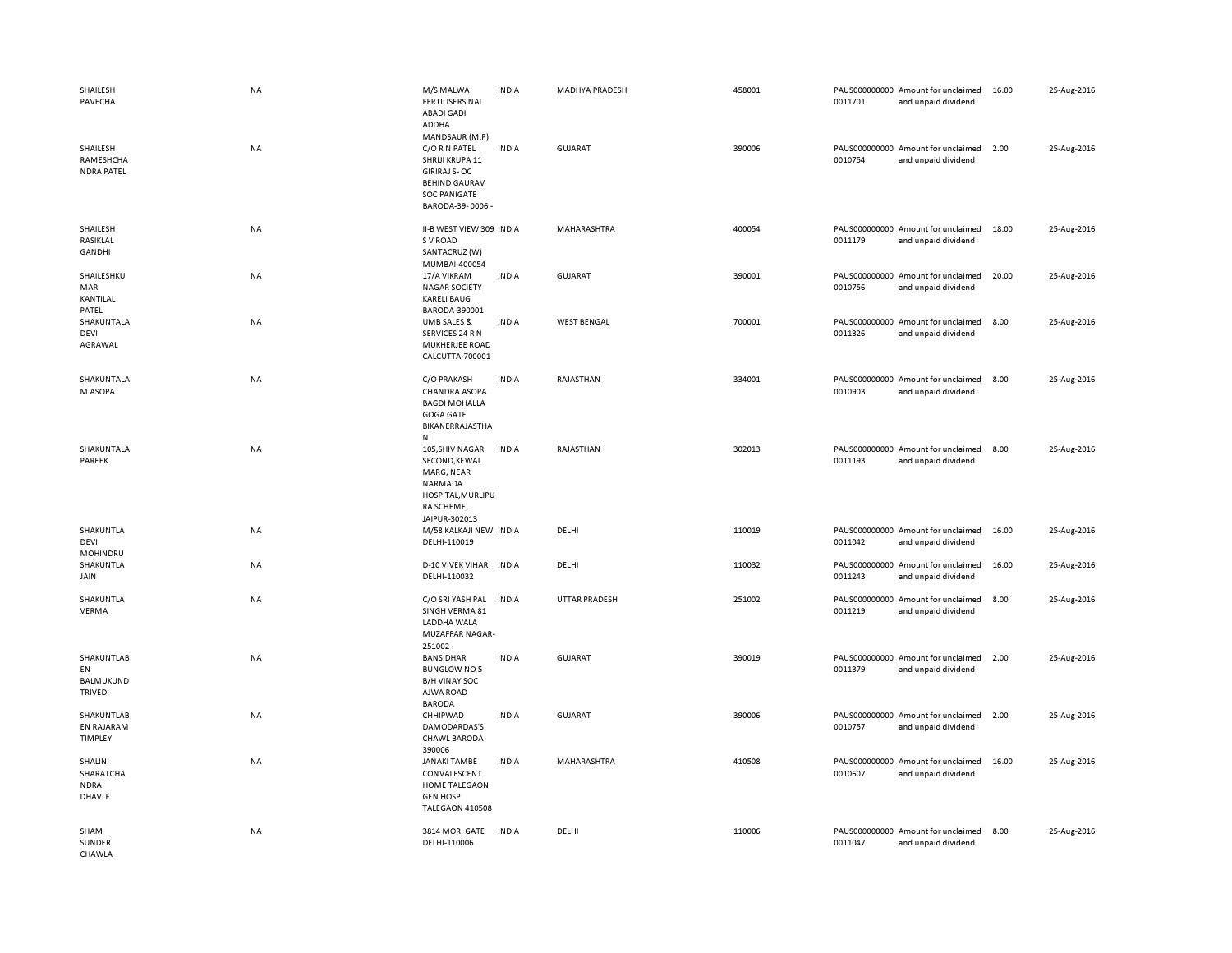| SHAILESH<br>PAVECHA                                    | <b>NA</b> | M/S MALWA<br><b>FERTILISERS NAI</b><br><b>ABADI GADI</b><br>ADDHA                                                                           | <b>INDIA</b> | <b>MADHYA PRADESH</b> | 458001 | 0011701 | PAUS000000000 Amount for unclaimed<br>and unpaid dividend | 16.00 | 25-Aug-2016 |
|--------------------------------------------------------|-----------|---------------------------------------------------------------------------------------------------------------------------------------------|--------------|-----------------------|--------|---------|-----------------------------------------------------------|-------|-------------|
| SHAILESH<br>RAMESHCHA<br><b>NDRA PATEL</b>             | NA        | MANDSAUR (M.P)<br>C/O R N PATEL<br>SHRIJI KRUPA 11<br><b>GIRIRAJ S-OC</b><br><b>BEHIND GAURAV</b><br><b>SOC PANIGATE</b><br>BARODA-39-0006- | <b>INDIA</b> | <b>GUJARAT</b>        | 390006 | 0010754 | PAUS000000000 Amount for unclaimed<br>and unpaid dividend | 2.00  | 25-Aug-2016 |
| SHAILESH<br>RASIKLAL<br>GANDHI                         | <b>NA</b> | II-B WEST VIEW 309 INDIA<br>S V ROAD<br>SANTACRUZ (W)                                                                                       |              | MAHARASHTRA           | 400054 | 0011179 | PAUS000000000 Amount for unclaimed<br>and unpaid dividend | 18.00 | 25-Aug-2016 |
| SHAILESHKU<br>MAR<br>KANTILAL                          | <b>NA</b> | MUMBAI-400054<br>17/A VIKRAM<br><b>NAGAR SOCIETY</b><br><b>KARELI BAUG</b>                                                                  | <b>INDIA</b> | GUJARAT               | 390001 | 0010756 | PAUS000000000 Amount for unclaimed<br>and unpaid dividend | 20.00 | 25-Aug-2016 |
| PATEL<br>SHAKUNTALA<br>DEVI<br>AGRAWAL                 | <b>NA</b> | BARODA-390001<br>UMB SALES &<br>SERVICES 24 R N<br>MUKHERJEE ROAD<br>CALCUTTA-700001                                                        | <b>INDIA</b> | <b>WEST BENGAL</b>    | 700001 | 0011326 | PAUS000000000 Amount for unclaimed<br>and unpaid dividend | 8.00  | 25-Aug-2016 |
| SHAKUNTALA<br>M ASOPA                                  | NA        | C/O PRAKASH<br><b>CHANDRA ASOPA</b><br><b>BAGDI MOHALLA</b><br><b>GOGA GATE</b><br>BIKANERRAJASTHA<br>N                                     | <b>INDIA</b> | RAJASTHAN             | 334001 | 0010903 | PAUS000000000 Amount for unclaimed<br>and unpaid dividend | 8.00  | 25-Aug-2016 |
| SHAKUNTALA<br>PAREEK                                   | NA        | 105, SHIV NAGAR<br>SECOND, KEWAL<br>MARG, NEAR<br>NARMADA<br>HOSPITAL, MURLIPU<br>RA SCHEME,<br>JAIPUR-302013                               | <b>INDIA</b> | RAJASTHAN             | 302013 | 0011193 | PAUS000000000 Amount for unclaimed<br>and unpaid dividend | 8.00  | 25-Aug-2016 |
| SHAKUNTLA<br>DEVI<br>MOHINDRU                          | NA        | M/58 KALKAJI NEW INDIA<br>DELHI-110019                                                                                                      |              | DELHI                 | 110019 | 0011042 | PAUS000000000 Amount for unclaimed<br>and unpaid dividend | 16.00 | 25-Aug-2016 |
| SHAKUNTLA<br>JAIN                                      | <b>NA</b> | <b>D-10 VIVEK VIHAR</b><br>DELHI-110032                                                                                                     | <b>INDIA</b> | DELHI                 | 110032 | 0011243 | PAUS000000000 Amount for unclaimed<br>and unpaid dividend | 16.00 | 25-Aug-2016 |
| SHAKUNTLA<br><b>VERMA</b>                              | NA        | C/O SRI YASH PAL<br>SINGH VERMA 81<br>LADDHA WALA<br><b>MUZAFFAR NAGAR-</b><br>251002                                                       | <b>INDIA</b> | <b>UTTAR PRADESH</b>  | 251002 | 0011219 | PAUS000000000 Amount for unclaimed<br>and unpaid dividend | 8.00  | 25-Aug-2016 |
| SHAKUNTLAB<br>EN<br><b>BALMUKUND</b><br><b>TRIVEDI</b> | <b>NA</b> | <b>BANSIDHAR</b><br><b>BUNGLOW NO 5</b><br><b>B/H VINAY SOC</b><br>AJWA ROAD<br><b>BARODA</b>                                               | <b>INDIA</b> | <b>GUJARAT</b>        | 390019 | 0011379 | PAUS000000000 Amount for unclaimed<br>and unpaid dividend | 2.00  | 25-Aug-2016 |
| SHAKUNTLAB<br>EN RAJARAM<br><b>TIMPLEY</b>             | <b>NA</b> | CHHIPWAD<br>DAMODARDAS'S<br>CHAWL BARODA-                                                                                                   | <b>INDIA</b> | <b>GUJARAT</b>        | 390006 | 0010757 | PAUS000000000 Amount for unclaimed<br>and unpaid dividend | 2.00  | 25-Aug-2016 |
| SHALINI<br>SHARATCHA<br><b>NDRA</b><br>DHAVLE          | <b>NA</b> | 390006<br><b>JANAKI TAMBE</b><br>CONVALESCENT<br>HOME TALEGAON<br><b>GEN HOSP</b><br>TALEGAON 410508                                        | <b>INDIA</b> | MAHARASHTRA           | 410508 | 0010607 | PAUS000000000 Amount for unclaimed<br>and unpaid dividend | 16.00 | 25-Aug-2016 |
| SHAM<br>SUNDER<br>CHAWI A                              | NA        | 3814 MORI GATE<br>DELHI-110006                                                                                                              | <b>INDIA</b> | DELHI                 | 110006 | 0011047 | PAUS000000000 Amount for unclaimed<br>and unpaid dividend | 8.00  | 25-Aug-2016 |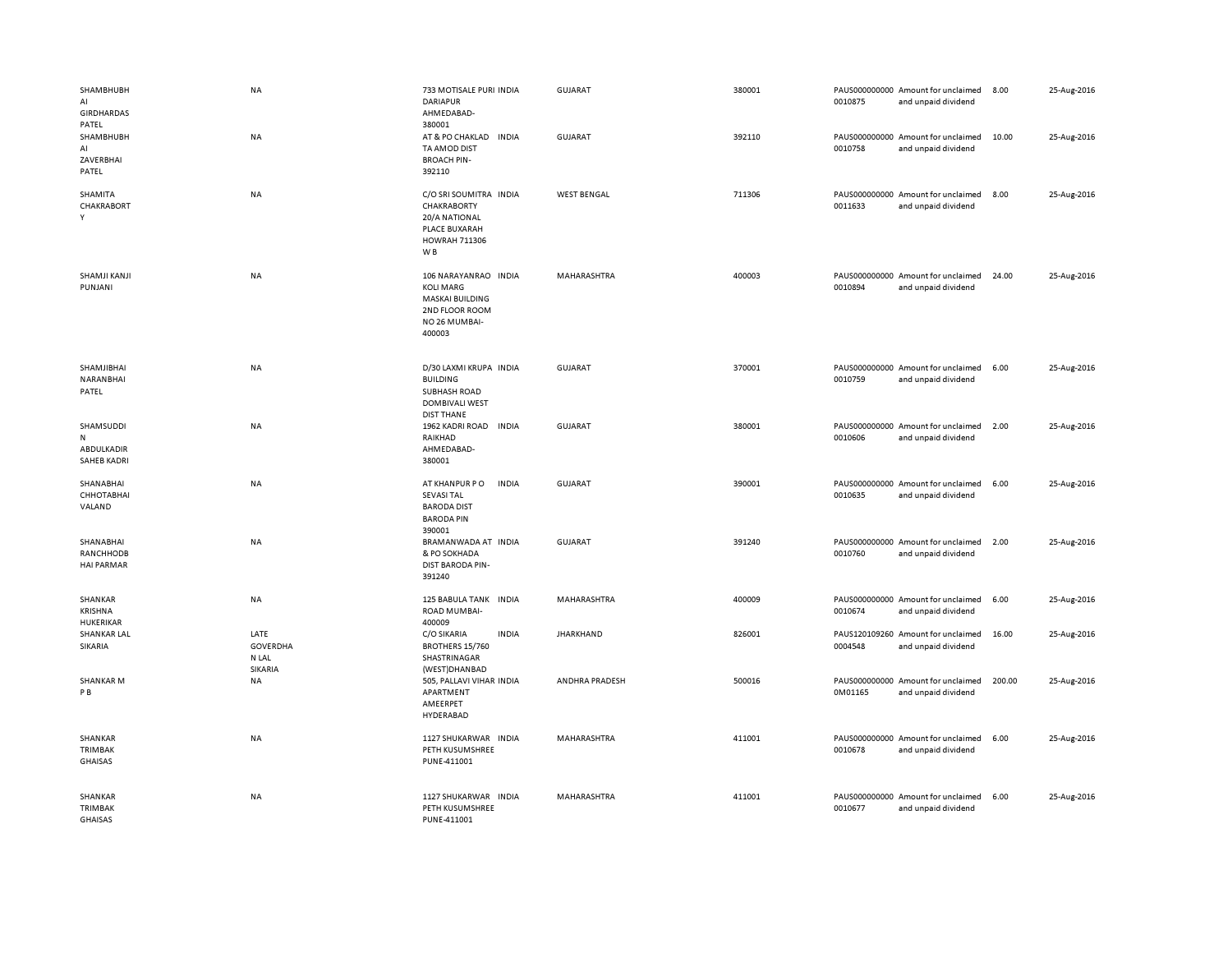| SHAMBHUBH<br>AI<br><b>GIRDHARDAS</b>               | NA                                   | 733 MOTISALE PURI INDIA<br><b>DARIAPUR</b><br>AHMEDABAD-                                                          | <b>GUJARAT</b>     | 380001 | 0010875 | PAUS000000000 Amount for unclaimed<br>and unpaid dividend | 8.00   | 25-Aug-2016 |
|----------------------------------------------------|--------------------------------------|-------------------------------------------------------------------------------------------------------------------|--------------------|--------|---------|-----------------------------------------------------------|--------|-------------|
| PATEL<br>SHAMBHUBH<br>AI<br>ZAVERBHAI<br>PATEL     | NA                                   | 380001<br>AT & PO CHAKLAD<br><b>INDIA</b><br>TA AMOD DIST<br><b>BROACH PIN-</b><br>392110                         | <b>GUJARAT</b>     | 392110 | 0010758 | PAUS000000000 Amount for unclaimed<br>and unpaid dividend | 10.00  | 25-Aug-2016 |
| SHAMITA<br>CHAKRABORT<br>Y                         | NA                                   | C/O SRI SOUMITRA INDIA<br>CHAKRABORTY<br>20/A NATIONAL<br>PLACE BUXARAH<br><b>HOWRAH 711306</b><br>W <sub>B</sub> | <b>WEST BENGAL</b> | 711306 | 0011633 | PAUS000000000 Amount for unclaimed<br>and unpaid dividend | 8.00   | 25-Aug-2016 |
| SHAMJI KANJI<br>PUNJANI                            | NA                                   | 106 NARAYANRAO INDIA<br><b>KOLI MARG</b><br>MASKAI BUILDING<br>2ND FLOOR ROOM<br>NO 26 MUMBAI-<br>400003          | MAHARASHTRA        | 400003 | 0010894 | PAUS000000000 Amount for unclaimed<br>and unpaid dividend | 24.00  | 25-Aug-2016 |
| SHAMJIBHAI<br>NARANBHAI<br>PATEL                   | NA                                   | D/30 LAXMI KRUPA INDIA<br><b>BUILDING</b><br>SUBHASH ROAD<br><b>DOMBIVALI WEST</b><br><b>DIST THANE</b>           | <b>GUJARAT</b>     | 370001 | 0010759 | PAUS000000000 Amount for unclaimed<br>and unpaid dividend | 6.00   | 25-Aug-2016 |
| SHAMSUDDI<br>N<br>ABDULKADIR<br><b>SAHEB KADRI</b> | <b>NA</b>                            | 1962 KADRI ROAD<br><b>INDIA</b><br>RAIKHAD<br>AHMEDABAD-<br>380001                                                | <b>GUJARAT</b>     | 380001 | 0010606 | PAUS000000000 Amount for unclaimed<br>and unpaid dividend | 2.00   | 25-Aug-2016 |
| SHANABHAI<br>СННОТАВНАІ<br>VALAND                  | NA                                   | <b>INDIA</b><br>AT KHANPUR PO<br><b>SEVASI TAL</b><br><b>BARODA DIST</b><br><b>BARODA PIN</b><br>390001           | <b>GUJARAT</b>     | 390001 | 0010635 | PAUS000000000 Amount for unclaimed<br>and unpaid dividend | 6.00   | 25-Aug-2016 |
| SHANABHAI<br>RANCHHODB<br><b>HAI PARMAR</b>        | NA                                   | BRAMANWADA AT INDIA<br>& PO SOKHADA<br>DIST BARODA PIN-<br>391240                                                 | <b>GUJARAT</b>     | 391240 | 0010760 | PAUS000000000 Amount for unclaimed<br>and unpaid dividend | 2.00   | 25-Aug-2016 |
| SHANKAR<br><b>KRISHNA</b>                          | NA                                   | 125 BABULA TANK INDIA<br>ROAD MUMBAI-                                                                             | MAHARASHTRA        | 400009 | 0010674 | PAUS000000000 Amount for unclaimed<br>and unpaid dividend | 6.00   | 25-Aug-2016 |
| HUKERIKAR<br><b>SHANKAR LAL</b><br>SIKARIA         | LATE<br>GOVERDHA<br>N LAL<br>SIKARIA | 400009<br>C/O SIKARIA<br><b>INDIA</b><br>BROTHERS 15/760<br>SHASTRINAGAR<br>(WEST)DHANBAD                         | <b>JHARKHAND</b>   | 826001 | 0004548 | PAUS120109260 Amount for unclaimed<br>and unpaid dividend | 16.00  | 25-Aug-2016 |
| <b>SHANKAR M</b><br>P B                            | NA                                   | 505, PALLAVI VIHAR INDIA<br>APARTMENT<br>AMEERPET<br>HYDERABAD                                                    | ANDHRA PRADESH     | 500016 | 0M01165 | PAUS000000000 Amount for unclaimed<br>and unpaid dividend | 200.00 | 25-Aug-2016 |
| SHANKAR<br>TRIMBAK<br><b>GHAISAS</b>               | <b>NA</b>                            | 1127 SHUKARWAR INDIA<br>PETH KUSUMSHREE<br>PUNE-411001                                                            | MAHARASHTRA        | 411001 | 0010678 | PAUS000000000 Amount for unclaimed<br>and unpaid dividend | 6.00   | 25-Aug-2016 |
| SHANKAR<br><b>TRIMBAK</b><br><b>GHAISAS</b>        | <b>NA</b>                            | 1127 SHUKARWAR INDIA<br>PETH KUSUMSHREE<br>PUNE-411001                                                            | MAHARASHTRA        | 411001 | 0010677 | PAUS000000000 Amount for unclaimed<br>and unpaid dividend | 6.00   | 25-Aug-2016 |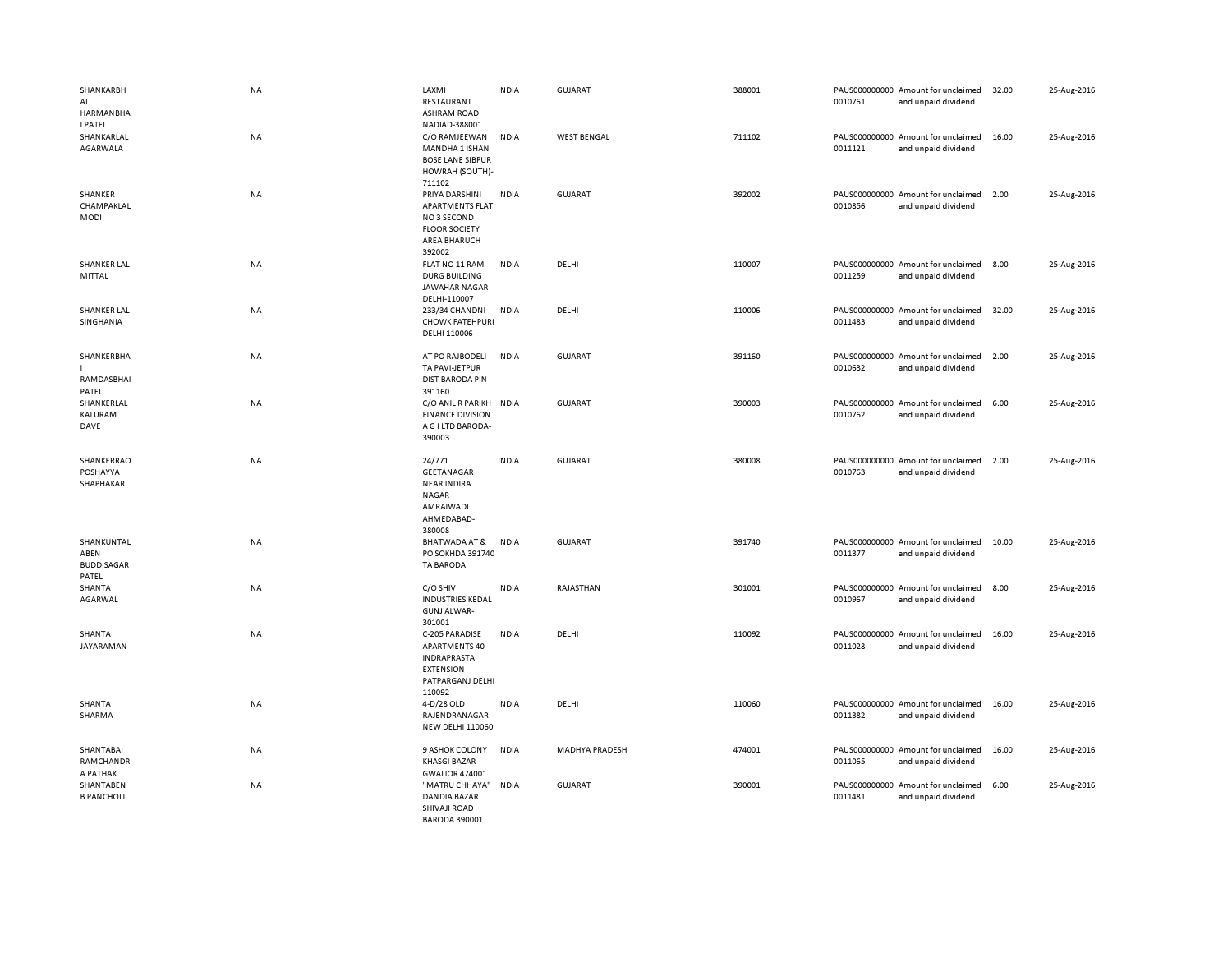| SHANKARBH<br>AI<br>HARMANBHA                     | NA        | LAXMI<br>RESTAURANT<br><b>ASHRAM ROAD</b>                                                                       | <b>INDIA</b> | <b>GUJARAT</b>        | 388001 | 0010761 | PAUS000000000 Amount for unclaimed<br>and unpaid dividend | 32.00 | 25-Aug-2016 |
|--------------------------------------------------|-----------|-----------------------------------------------------------------------------------------------------------------|--------------|-----------------------|--------|---------|-----------------------------------------------------------|-------|-------------|
| <b>I PATEL</b><br>SHANKARLAL<br>AGARWALA         | NA        | NADIAD-388001<br>C/O RAMJEEWAN<br>MANDHA 1 ISHAN<br><b>BOSE LANE SIBPUR</b><br>HOWRAH (SOUTH)-<br>711102        | <b>INDIA</b> | <b>WEST BENGAL</b>    | 711102 | 0011121 | PAUS000000000 Amount for unclaimed<br>and unpaid dividend | 16.00 | 25-Aug-2016 |
| SHANKER<br>CHAMPAKLAL<br>MODI                    | NA        | PRIYA DARSHINI<br><b>APARTMENTS FLAT</b><br>NO3 SECOND<br><b>FLOOR SOCIETY</b><br><b>AREA BHARUCH</b><br>392002 | <b>INDIA</b> | GUJARAT               | 392002 | 0010856 | PAUS000000000 Amount for unclaimed<br>and unpaid dividend | 2.00  | 25-Aug-2016 |
| <b>SHANKER LAL</b><br>MITTAL                     | <b>NA</b> | FLAT NO 11 RAM<br>DURG BUILDING<br><b>JAWAHAR NAGAR</b><br>DELHI-110007                                         | <b>INDIA</b> | DELHI                 | 110007 | 0011259 | PAUS000000000 Amount for unclaimed<br>and unpaid dividend | 8.00  | 25-Aug-2016 |
| <b>SHANKER LAL</b><br>SINGHANIA                  | NA        | 233/34 CHANDNI<br><b>CHOWK FATEHPURI</b><br>DELHI 110006                                                        | INDIA        | DELHI                 | 110006 | 0011483 | PAUS000000000 Amount for unclaimed<br>and unpaid dividend | 32.00 | 25-Aug-2016 |
| SHANKERBHA<br>RAMDASBHAI<br>PATEL                | <b>NA</b> | AT PO RAJBODELI<br>TA PAVI-JETPUR<br><b>DIST BARODA PIN</b><br>391160                                           | <b>INDIA</b> | <b>GUJARAT</b>        | 391160 | 0010632 | PAUS000000000 Amount for unclaimed<br>and unpaid dividend | 2.00  | 25-Aug-2016 |
| SHANKERLAL<br>KALURAM<br>DAVE                    | NA        | C/O ANIL R PARIKH INDIA<br><b>FINANCE DIVISION</b><br>A G I LTD BARODA-<br>390003                               |              | <b>GUJARAT</b>        | 390003 | 0010762 | PAUS000000000 Amount for unclaimed<br>and unpaid dividend | 6.00  | 25-Aug-2016 |
| SHANKERRAO<br>POSHAYYA<br>SHAPHAKAR              | NA        | 24/771<br>GEETANAGAR<br><b>NEAR INDIRA</b><br>NAGAR<br>AMRAIWADI<br>AHMEDABAD-<br>380008                        | <b>INDIA</b> | <b>GUJARAT</b>        | 380008 | 0010763 | PAUS000000000 Amount for unclaimed<br>and unpaid dividend | 2.00  | 25-Aug-2016 |
| SHANKUNTAL<br>ABEN<br><b>BUDDISAGAR</b><br>PATEL | NA        | BHATWADA AT &<br>PO SOKHDA 391740<br><b>TA BARODA</b>                                                           | <b>INDIA</b> | <b>GUJARAT</b>        | 391740 | 0011377 | PAUS000000000 Amount for unclaimed<br>and unpaid dividend | 10.00 | 25-Aug-2016 |
| SHANTA<br>AGARWAL                                | NA        | C/O SHIV<br><b>INDUSTRIES KEDAL</b><br><b>GUNJ ALWAR-</b><br>301001                                             | <b>INDIA</b> | RAJASTHAN             | 301001 | 0010967 | PAUS000000000 Amount for unclaimed<br>and unpaid dividend | 8.00  | 25-Aug-2016 |
| SHANTA<br>JAYARAMAN                              | NA        | C-205 PARADISE<br>APARTMENTS 40<br><b>INDRAPRASTA</b><br><b>EXTENSION</b><br>PATPARGANJ DELHI<br>110092         | <b>INDIA</b> | DELHI                 | 110092 | 0011028 | PAUS000000000 Amount for unclaimed<br>and unpaid dividend | 16.00 | 25-Aug-2016 |
| SHANTA<br>SHARMA                                 | NA        | 4-D/28 OLD<br>RAJENDRANAGAR<br><b>NEW DELHI 110060</b>                                                          | <b>INDIA</b> | DELHI                 | 110060 | 0011382 | PAUS000000000 Amount for unclaimed<br>and unpaid dividend | 16.00 | 25-Aug-2016 |
| SHANTABAI<br>RAMCHANDR<br>A PATHAK               | NA        | 9 ASHOK COLONY<br><b>KHASGI BAZAR</b><br><b>GWALIOR 474001</b>                                                  | <b>INDIA</b> | <b>MADHYA PRADESH</b> | 474001 | 0011065 | PAUS000000000 Amount for unclaimed<br>and unpaid dividend | 16.00 | 25-Aug-2016 |
| SHANTABEN<br><b>B PANCHOLI</b>                   | NA        | "MATRU CHHAYA"<br><b>DANDIA BAZAR</b><br>SHIVAJI ROAD<br><b>BARODA 390001</b>                                   | <b>INDIA</b> | GUJARAT               | 390001 | 0011481 | PAUS000000000 Amount for unclaimed<br>and unpaid dividend | 6.00  | 25-Aug-2016 |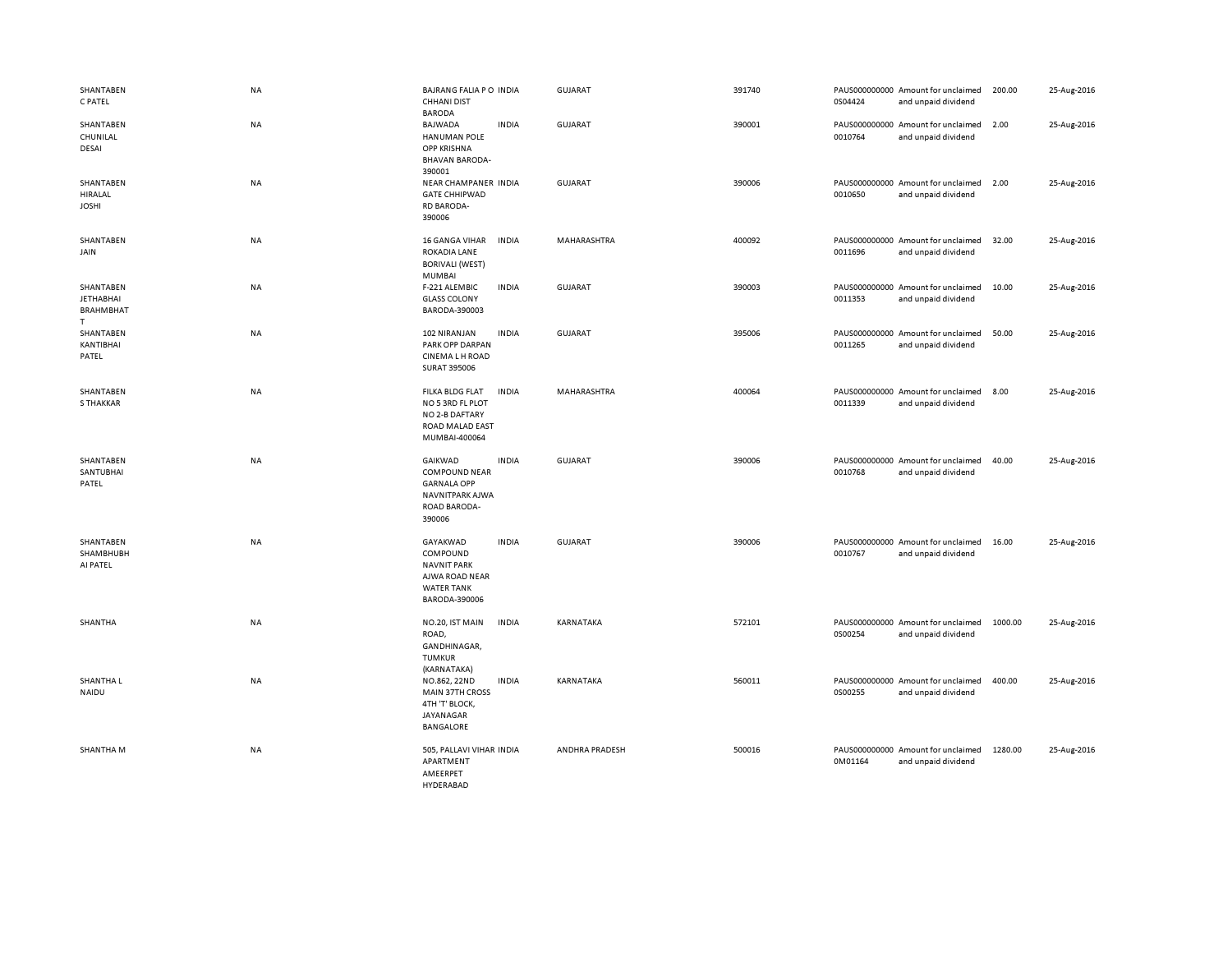| SHANTABEN<br>C PATEL                                   | NA        | BAJRANG FALIA PO INDIA<br><b>CHHANI DIST</b><br><b>BARODA</b>                                                      | GUJARAT        | 391740 | 0S04424 | PAUS000000000 Amount for unclaimed<br>and unpaid dividend | 200.00  | 25-Aug-2016 |
|--------------------------------------------------------|-----------|--------------------------------------------------------------------------------------------------------------------|----------------|--------|---------|-----------------------------------------------------------|---------|-------------|
| SHANTABEN<br>CHUNILAL<br>DESAI                         | <b>NA</b> | <b>BAJWADA</b><br><b>INDIA</b><br>HANUMAN POLE<br><b>OPP KRISHNA</b><br><b>BHAVAN BARODA-</b><br>390001            | GUJARAT        | 390001 | 0010764 | PAUS000000000 Amount for unclaimed<br>and unpaid dividend | 2.00    | 25-Aug-2016 |
| SHANTABEN<br>HIRALAL<br><b>JOSHI</b>                   | NA        | NEAR CHAMPANER INDIA<br><b>GATE CHHIPWAD</b><br><b>RD BARODA-</b><br>390006                                        | <b>GUJARAT</b> | 390006 | 0010650 | PAUS000000000 Amount for unclaimed<br>and unpaid dividend | 2.00    | 25-Aug-2016 |
| SHANTABEN<br>JAIN                                      | NA        | 16 GANGA VIHAR<br><b>INDIA</b><br>ROKADIA LANE<br><b>BORIVALI (WEST)</b><br><b>MUMBAI</b>                          | MAHARASHTRA    | 400092 | 0011696 | PAUS000000000 Amount for unclaimed<br>and unpaid dividend | 32.00   | 25-Aug-2016 |
| SHANTABEN<br><b>JETHABHAI</b><br><b>BRAHMBHAT</b><br>T | NA        | <b>INDIA</b><br>F-221 ALEMBIC<br><b>GLASS COLONY</b><br>BARODA-390003                                              | <b>GUJARAT</b> | 390003 | 0011353 | PAUS000000000 Amount for unclaimed<br>and unpaid dividend | 10.00   | 25-Aug-2016 |
| SHANTABEN<br>KANTIBHAI<br>PATEL                        | NA        | <b>INDIA</b><br>102 NIRANJAN<br>PARK OPP DARPAN<br><b>CINEMALH ROAD</b><br><b>SURAT 395006</b>                     | <b>GUJARAT</b> | 395006 | 0011265 | PAUS000000000 Amount for unclaimed<br>and unpaid dividend | 50.00   | 25-Aug-2016 |
| SHANTABEN<br>S THAKKAR                                 | NA        | <b>INDIA</b><br>FILKA BLDG FLAT<br>NO 5 3RD FL PLOT<br>NO 2-B DAFTARY<br>ROAD MALAD EAST<br>MUMBAI-400064          | MAHARASHTRA    | 400064 | 0011339 | PAUS000000000 Amount for unclaimed<br>and unpaid dividend | 8.00    | 25-Aug-2016 |
| SHANTABEN<br>SANTUBHAI<br>PATEL                        | NA        | GAIKWAD<br><b>INDIA</b><br><b>COMPOUND NEAR</b><br><b>GARNALA OPP</b><br>NAVNITPARK AJWA<br>ROAD BARODA-<br>390006 | <b>GUJARAT</b> | 390006 | 0010768 | PAUS000000000 Amount for unclaimed<br>and unpaid dividend | 40.00   | 25-Aug-2016 |
| SHANTABEN<br>SHAMBHUBH<br>AI PATEL                     | NA        | GAYAKWAD<br><b>INDIA</b><br>COMPOUND<br><b>NAVNIT PARK</b><br>AJWA ROAD NEAR<br><b>WATER TANK</b><br>BARODA-390006 | <b>GUJARAT</b> | 390006 | 0010767 | PAUS000000000 Amount for unclaimed<br>and unpaid dividend | 16.00   | 25-Aug-2016 |
| SHANTHA                                                | NA        | NO.20, IST MAIN<br><b>INDIA</b><br>ROAD,<br>GANDHINAGAR,<br><b>TUMKUR</b><br>(KARNATAKA)                           | KARNATAKA      | 572101 | 0S00254 | PAUS000000000 Amount for unclaimed<br>and unpaid dividend | 1000.00 | 25-Aug-2016 |
| SHANTHA L<br>NAIDU                                     | NA        | <b>INDIA</b><br>NO.862, 22ND<br><b>MAIN 37TH CROSS</b><br>4TH 'T' BLOCK,<br>JAYANAGAR<br><b>BANGALORE</b>          | KARNATAKA      | 560011 | 0S00255 | PAUS000000000 Amount for unclaimed<br>and unpaid dividend | 400.00  | 25-Aug-2016 |
| SHANTHA M                                              | NA        | 505, PALLAVI VIHAR INDIA<br>APARTMENT<br>AMEERPET<br><b>HYDERABAD</b>                                              | ANDHRA PRADESH | 500016 | 0M01164 | PAUS000000000 Amount for unclaimed<br>and unpaid dividend | 1280.00 | 25-Aug-2016 |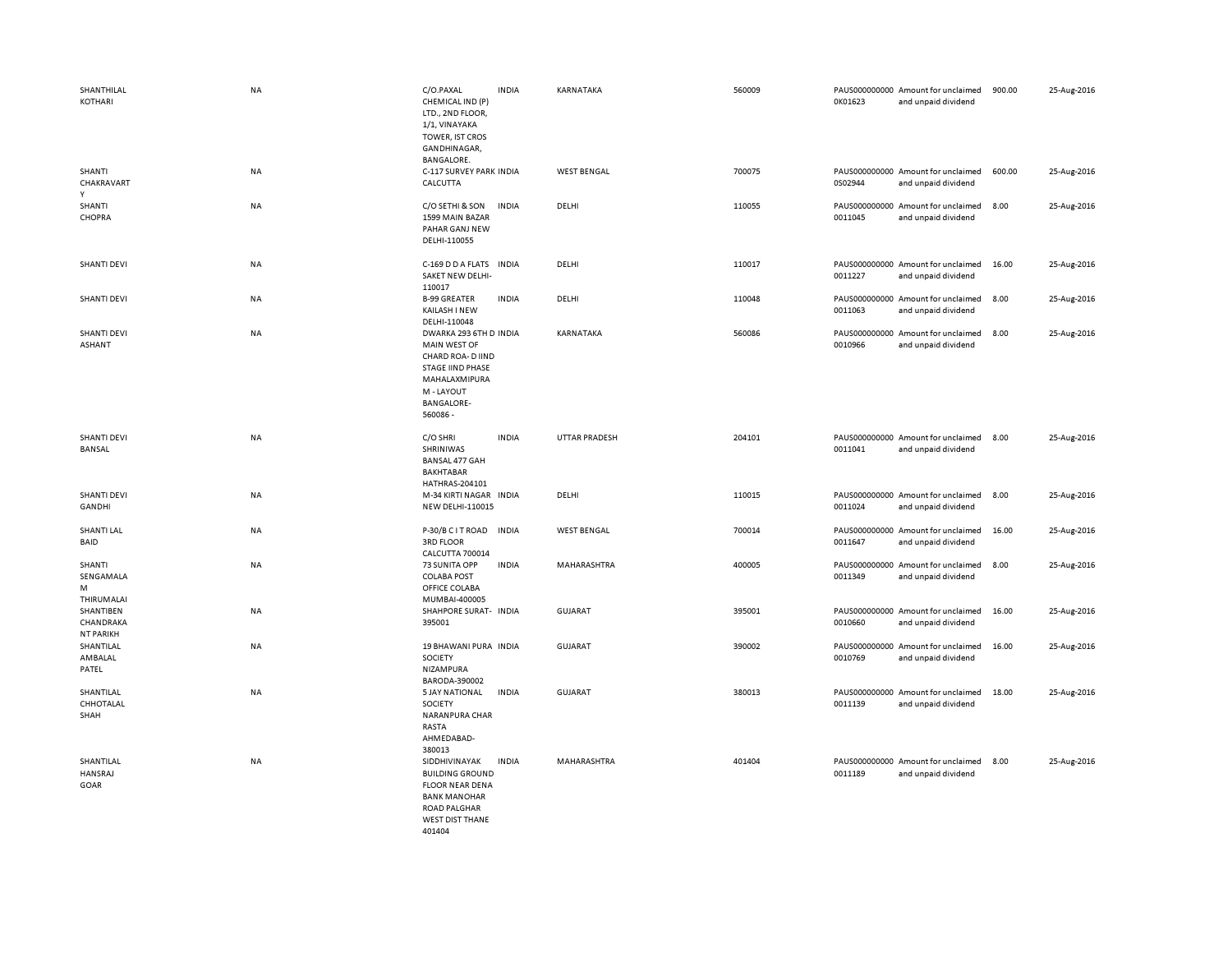| SHANTHILAL<br>KOTHARI                      | NA        | C/O.PAXAL<br>CHEMICAL IND (P)<br>LTD., 2ND FLOOR,<br>1/1, VINAYAKA<br>TOWER, IST CROS<br>GANDHINAGAR,<br>BANGALORE.                                    | <b>INDIA</b> | KARNATAKA            | 560009 | 0K01623 | PAUS000000000 Amount for unclaimed<br>and unpaid dividend | 900.00 | 25-Aug-2016 |
|--------------------------------------------|-----------|--------------------------------------------------------------------------------------------------------------------------------------------------------|--------------|----------------------|--------|---------|-----------------------------------------------------------|--------|-------------|
| SHANTI<br>CHAKRAVART<br>Y                  | NA        | C-117 SURVEY PARK INDIA<br>CALCUTTA                                                                                                                    |              | <b>WEST BENGAL</b>   | 700075 | 0S02944 | PAUS000000000 Amount for unclaimed<br>and unpaid dividend | 600.00 | 25-Aug-2016 |
| SHANTI<br>CHOPRA                           | <b>NA</b> | C/O SETHI & SON<br>1599 MAIN BAZAR<br>PAHAR GANJ NEW<br>DELHI-110055                                                                                   | <b>INDIA</b> | DELHI                | 110055 | 0011045 | PAUS000000000 Amount for unclaimed<br>and unpaid dividend | 8.00   | 25-Aug-2016 |
| <b>SHANTI DEVI</b>                         | NA        | C-169 D D A FLATS<br>SAKET NEW DELHI-<br>110017                                                                                                        | <b>INDIA</b> | DELHI                | 110017 | 0011227 | PAUS000000000 Amount for unclaimed<br>and unpaid dividend | 16.00  | 25-Aug-2016 |
| <b>SHANTI DEVI</b>                         | <b>NA</b> | <b>B-99 GREATER</b><br>KAILASH I NEW<br>DELHI-110048                                                                                                   | <b>INDIA</b> | DELHI                | 110048 | 0011063 | PAUS000000000 Amount for unclaimed<br>and unpaid dividend | 8.00   | 25-Aug-2016 |
| <b>SHANTI DEVI</b><br><b>ASHANT</b>        | <b>NA</b> | DWARKA 293 6TH D INDIA<br>MAIN WEST OF<br>CHARD ROA- D IIND<br><b>STAGE IIND PHASE</b><br>MAHALAXMIPURA<br>M - LAYOUT<br><b>BANGALORE-</b><br>560086 - |              | KARNATAKA            | 560086 | 0010966 | PAUS000000000 Amount for unclaimed<br>and unpaid dividend | 8.00   | 25-Aug-2016 |
| <b>SHANTI DEVI</b><br><b>BANSAL</b>        | <b>NA</b> | C/O SHRI<br>SHRINIWAS<br>BANSAL 477 GAH<br><b>BAKHTABAR</b><br>HATHRAS-204101                                                                          | <b>INDIA</b> | <b>UTTAR PRADESH</b> | 204101 | 0011041 | PAUS000000000 Amount for unclaimed<br>and unpaid dividend | 8.00   | 25-Aug-2016 |
| <b>SHANTI DEVI</b><br>GANDHI               | NA        | M-34 KIRTI NAGAR INDIA<br><b>NEW DELHI-110015</b>                                                                                                      |              | DELHI                | 110015 | 0011024 | PAUS000000000 Amount for unclaimed<br>and unpaid dividend | 8.00   | 25-Aug-2016 |
| <b>SHANTI LAL</b><br>BAID                  | NA        | P-30/B C I T ROAD<br><b>3RD FLOOR</b><br>CALCUTTA 700014                                                                                               | <b>INDIA</b> | <b>WEST BENGAL</b>   | 700014 | 0011647 | PAUS000000000 Amount for unclaimed<br>and unpaid dividend | 16.00  | 25-Aug-2016 |
| SHANTI<br>SENGAMALA<br>M<br>THIRUMALAI     | NA        | 73 SUNITA OPP<br><b>COLABA POST</b><br>OFFICE COLABA<br>MUMBAI-400005                                                                                  | <b>INDIA</b> | MAHARASHTRA          | 400005 | 0011349 | PAUS000000000 Amount for unclaimed<br>and unpaid dividend | 8.00   | 25-Aug-2016 |
| SHANTIBEN<br>CHANDRAKA<br><b>NT PARIKH</b> | NA        | SHAHPORE SURAT- INDIA<br>395001                                                                                                                        |              | GUJARAT              | 395001 | 0010660 | PAUS000000000 Amount for unclaimed<br>and unpaid dividend | 16.00  | 25-Aug-2016 |
| SHANTILAL<br>AMBALAL<br>PATEL              | <b>NA</b> | 19 BHAWANI PURA INDIA<br><b>SOCIETY</b><br>NIZAMPURA<br>BARODA-390002                                                                                  |              | <b>GUJARAT</b>       | 390002 | 0010769 | PAUS000000000 Amount for unclaimed<br>and unpaid dividend | 16.00  | 25-Aug-2016 |
| SHANTILAL<br>CHHOTALAL<br>SHAH             | NA        | 5 JAY NATIONAL<br>SOCIETY<br>NARANPURA CHAR<br>RASTA<br>AHMEDABAD-<br>380013                                                                           | <b>INDIA</b> | <b>GUJARAT</b>       | 380013 | 0011139 | PAUS000000000 Amount for unclaimed<br>and unpaid dividend | 18.00  | 25-Aug-2016 |
| SHANTILAL<br>HANSRAJ<br>GOAR               | NA        | SIDDHIVINAYAK<br><b>BUILDING GROUND</b><br><b>FLOOR NEAR DENA</b><br><b>BANK MANOHAR</b><br><b>ROAD PALGHAR</b><br><b>WEST DIST THANE</b><br>401404    | <b>INDIA</b> | MAHARASHTRA          | 401404 | 0011189 | PAUS000000000 Amount for unclaimed<br>and unpaid dividend | 8.00   | 25-Aug-2016 |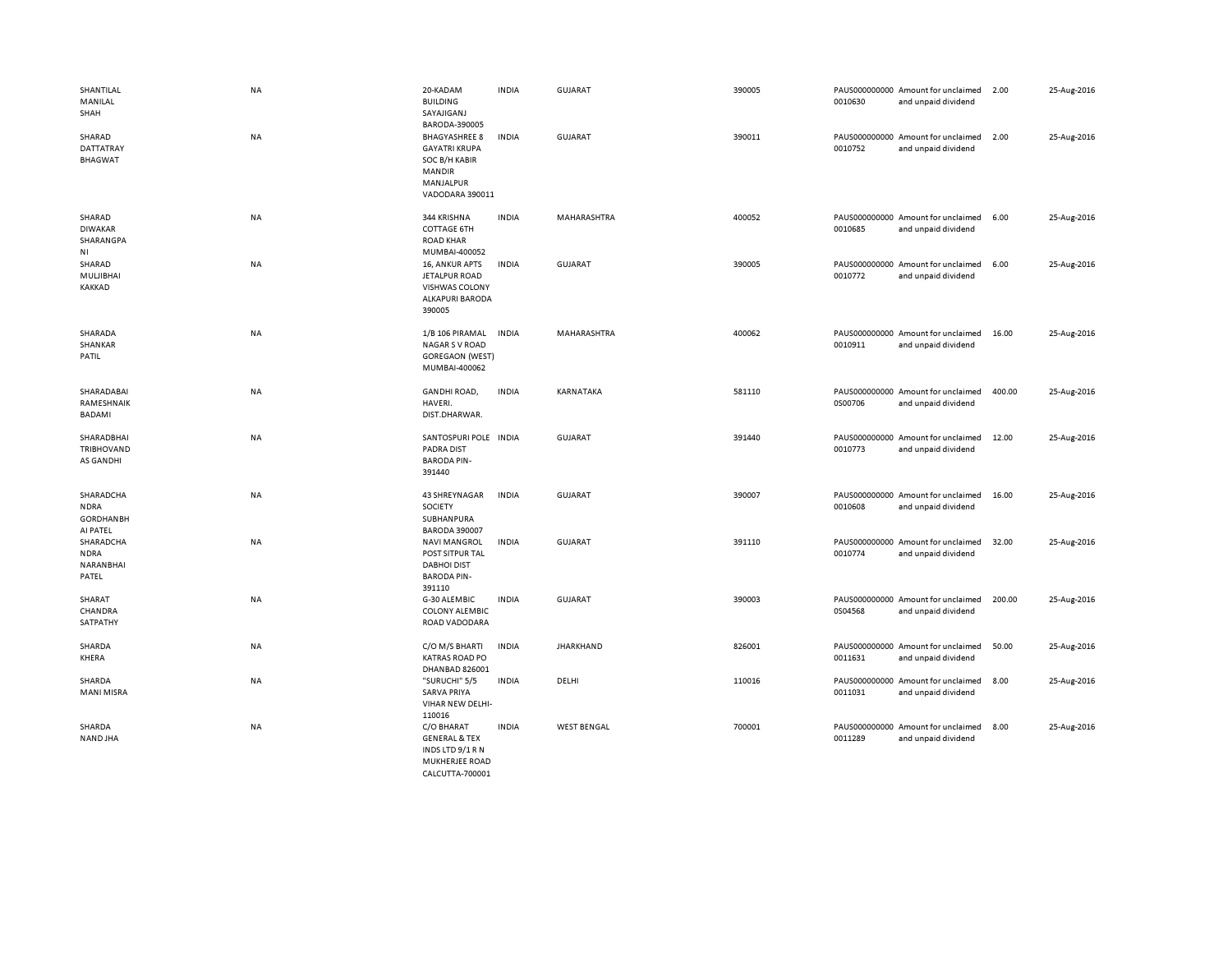| SHANTILAL<br>MANILAL<br>SHAH                             | <b>NA</b> | 20-KADAM<br><b>BUILDING</b><br>SAYAJIGANJ<br>BARODA-390005                                              | <b>INDIA</b> | <b>GUJARAT</b>     | 390005 | 0010630 | PAUS000000000 Amount for unclaimed<br>and unpaid dividend | 2.00   | 25-Aug-2016 |
|----------------------------------------------------------|-----------|---------------------------------------------------------------------------------------------------------|--------------|--------------------|--------|---------|-----------------------------------------------------------|--------|-------------|
| SHARAD<br>DATTATRAY<br><b>BHAGWAT</b>                    | <b>NA</b> | <b>BHAGYASHREE 8</b><br><b>GAYATRI KRUPA</b><br>SOC B/H KABIR<br>MANDIR<br>MANJALPUR<br>VADODARA 390011 | <b>INDIA</b> | <b>GUJARAT</b>     | 390011 | 0010752 | PAUS000000000 Amount for unclaimed<br>and unpaid dividend | 2.00   | 25-Aug-2016 |
| SHARAD<br><b>DIWAKAR</b><br>SHARANGPA<br>NI              | NA        | 344 KRISHNA<br><b>COTTAGE 6TH</b><br><b>ROAD KHAR</b><br>MUMBAI-400052                                  | <b>INDIA</b> | <b>MAHARASHTRA</b> | 400052 | 0010685 | PAUS000000000 Amount for unclaimed<br>and unpaid dividend | 6.00   | 25-Aug-2016 |
| SHARAD<br>MULJIBHAI<br><b>KAKKAD</b>                     | NA        | 16, ANKUR APTS<br>JETALPUR ROAD<br><b>VISHWAS COLONY</b><br><b>ALKAPURI BARODA</b><br>390005            | <b>INDIA</b> | <b>GUJARAT</b>     | 390005 | 0010772 | PAUS000000000 Amount for unclaimed<br>and unpaid dividend | 6.00   | 25-Aug-2016 |
| SHARADA<br>SHANKAR<br>PATIL                              | NA        | 1/B 106 PIRAMAL<br><b>NAGAR S V ROAD</b><br><b>GOREGAON (WEST)</b><br>MUMBAI-400062                     | <b>INDIA</b> | MAHARASHTRA        | 400062 | 0010911 | PAUS000000000 Amount for unclaimed<br>and unpaid dividend | 16.00  | 25-Aug-2016 |
| SHARADABAI<br>RAMESHNAIK<br>BADAMI                       | <b>NA</b> | <b>GANDHI ROAD,</b><br>HAVERI.<br>DIST.DHARWAR.                                                         | <b>INDIA</b> | KARNATAKA          | 581110 | 0S00706 | PAUS000000000 Amount for unclaimed<br>and unpaid dividend | 400.00 | 25-Aug-2016 |
| SHARADBHAI<br>TRIBHOVAND<br>AS GANDHI                    | NA        | SANTOSPURI POLE INDIA<br><b>PADRA DIST</b><br><b>BARODA PIN-</b><br>391440                              |              | <b>GUJARAT</b>     | 391440 | 0010773 | PAUS000000000 Amount for unclaimed<br>and unpaid dividend | 12.00  | 25-Aug-2016 |
| SHARADCHA<br><b>NDRA</b><br><b>GORDHANBH</b><br>AI PATEL | NA        | 43 SHREYNAGAR<br>SOCIETY<br>SUBHANPURA<br><b>BARODA 390007</b>                                          | <b>INDIA</b> | <b>GUJARAT</b>     | 390007 | 0010608 | PAUS000000000 Amount for unclaimed<br>and unpaid dividend | 16.00  | 25-Aug-2016 |
| SHARADCHA<br><b>NDRA</b><br>NARANBHAI<br>PATEL           | NA        | <b>NAVI MANGROL</b><br>POST SITPUR TAL<br><b>DABHOI DIST</b><br><b>BARODA PIN-</b><br>391110            | <b>INDIA</b> | <b>GUJARAT</b>     | 391110 | 0010774 | PAUS000000000 Amount for unclaimed<br>and unpaid dividend | 32.00  | 25-Aug-2016 |
| SHARAT<br>CHANDRA<br>SATPATHY                            | NA        | G-30 ALEMBIC<br><b>COLONY ALEMBIC</b><br>ROAD VADODARA                                                  | <b>INDIA</b> | <b>GUJARAT</b>     | 390003 | 0S04568 | PAUS000000000 Amount for unclaimed<br>and unpaid dividend | 200.00 | 25-Aug-2016 |
| SHARDA<br>KHERA                                          | NA        | C/O M/S BHARTI<br><b>KATRAS ROAD PO</b><br>DHANBAD 826001                                               | <b>INDIA</b> | <b>JHARKHAND</b>   | 826001 | 0011631 | PAUS000000000 Amount for unclaimed<br>and unpaid dividend | 50.00  | 25-Aug-2016 |
| SHARDA<br>MANI MISRA                                     | NA        | "SURUCHI" 5/5<br><b>SARVA PRIYA</b><br>VIHAR NEW DELHI-<br>110016                                       | <b>INDIA</b> | DELHI              | 110016 | 0011031 | PAUS000000000 Amount for unclaimed<br>and unpaid dividend | 8.00   | 25-Aug-2016 |
| SHARDA<br>NAND JHA                                       | NA        | C/O BHARAT<br><b>GENERAL &amp; TEX</b><br>INDS LTD 9/1 R N<br>MUKHERJEE ROAD<br>CALCUTTA-700001         | <b>INDIA</b> | <b>WEST BENGAL</b> | 700001 | 0011289 | PAUS000000000 Amount for unclaimed<br>and unpaid dividend | 8.00   | 25-Aug-2016 |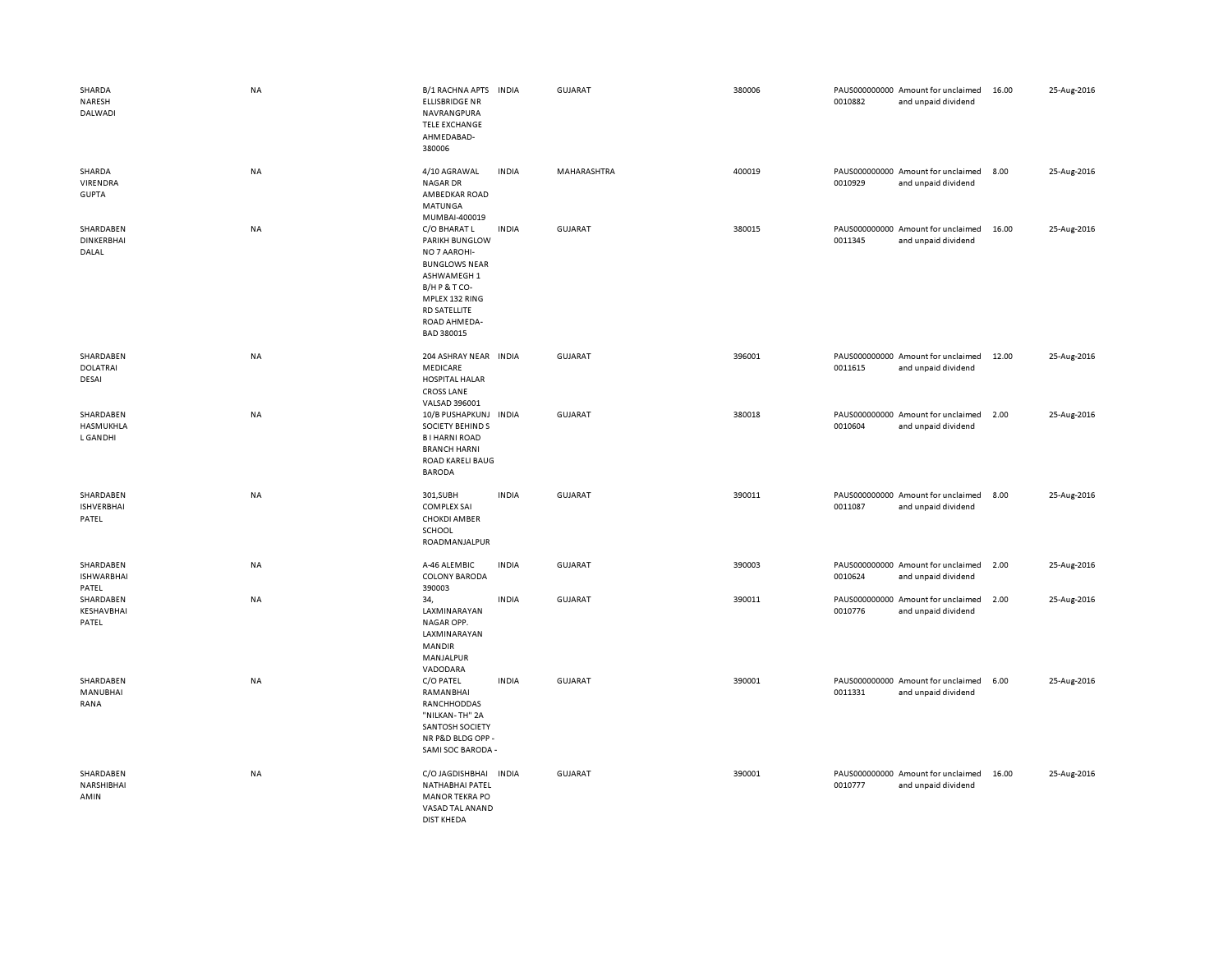| SHARDA<br>NARESH<br>DALWADI             | <b>NA</b> | B/1 RACHNA APTS<br><b>ELLISBRIDGE NR</b><br>NAVRANGPURA<br><b>TELE EXCHANGE</b><br>AHMEDABAD-<br>380006                                                                   | <b>INDIA</b> | <b>GUJARAT</b> | 380006 | 0010882 | PAUS000000000 Amount for unclaimed<br>and unpaid dividend | 16.00 | 25-Aug-2016 |
|-----------------------------------------|-----------|---------------------------------------------------------------------------------------------------------------------------------------------------------------------------|--------------|----------------|--------|---------|-----------------------------------------------------------|-------|-------------|
| SHARDA<br>VIRENDRA<br><b>GUPTA</b>      | <b>NA</b> | 4/10 AGRAWAL<br><b>NAGAR DR</b><br>AMBEDKAR ROAD<br>MATUNGA<br>MUMBAI-400019                                                                                              | <b>INDIA</b> | MAHARASHTRA    | 400019 | 0010929 | PAUS000000000 Amount for unclaimed<br>and unpaid dividend | 8.00  | 25-Aug-2016 |
| SHARDABEN<br><b>DINKERBHAI</b><br>DALAL | NA        | C/O BHARAT L<br>PARIKH BUNGLOW<br>NO 7 AAROHI-<br><b>BUNGLOWS NEAR</b><br>ASHWAMEGH 1<br>B/HP&TCO-<br>MPLEX 132 RING<br><b>RD SATELLITE</b><br>ROAD AHMEDA-<br>BAD 380015 | <b>INDIA</b> | <b>GUJARAT</b> | 380015 | 0011345 | PAUS000000000 Amount for unclaimed<br>and unpaid dividend | 16.00 | 25-Aug-2016 |
| SHARDABEN<br><b>DOLATRAI</b><br>DESAI   | <b>NA</b> | 204 ASHRAY NEAR INDIA<br>MEDICARE<br><b>HOSPITAL HALAR</b><br><b>CROSS LANE</b><br>VALSAD 396001                                                                          |              | <b>GUJARAT</b> | 396001 | 0011615 | PAUS000000000 Amount for unclaimed<br>and unpaid dividend | 12.00 | 25-Aug-2016 |
| SHARDABEN<br>HASMUKHLA<br>L GANDHI      | NA        | 10/B PUSHAPKUNJ INDIA<br><b>SOCIETY BEHINDS</b><br><b>BI HARNI ROAD</b><br><b>BRANCH HARNI</b><br>ROAD KARELI BAUG<br><b>BARODA</b>                                       |              | GUJARAT        | 380018 | 0010604 | PAUS000000000 Amount for unclaimed<br>and unpaid dividend | 2.00  | 25-Aug-2016 |
| SHARDABEN<br><b>ISHVERBHAI</b><br>PATEL | NA        | 301,SUBH<br><b>COMPLEX SAI</b><br><b>CHOKDI AMBER</b><br>SCHOOL<br>ROADMANJALPUR                                                                                          | <b>INDIA</b> | <b>GUJARAT</b> | 390011 | 0011087 | PAUS000000000 Amount for unclaimed<br>and unpaid dividend | 8.00  | 25-Aug-2016 |
| SHARDABEN<br><b>ISHWARBHAI</b><br>PATEL | NA        | A-46 ALEMBIC<br><b>COLONY BARODA</b><br>390003                                                                                                                            | <b>INDIA</b> | <b>GUJARAT</b> | 390003 | 0010624 | PAUS000000000 Amount for unclaimed<br>and unpaid dividend | 2.00  | 25-Aug-2016 |
| SHARDABEN<br>KESHAVBHAI<br>PATEL        | NA        | 34,<br>LAXMINARAYAN<br>NAGAR OPP.<br>LAXMINARAYAN<br><b>MANDIR</b><br>MANJALPUR<br>VADODARA                                                                               | <b>INDIA</b> | <b>GUJARAT</b> | 390011 | 0010776 | PAUS000000000 Amount for unclaimed<br>and unpaid dividend | 2.00  | 25-Aug-2016 |
| SHARDABEN<br>MANUBHAI<br>RANA           | <b>NA</b> | C/O PATEL<br>RAMANBHAI<br>RANCHHODDAS<br>"NILKAN-TH" 2A<br>SANTOSH SOCIETY<br>NR P&D BLDG OPP-<br>SAMI SOC BARODA -                                                       | <b>INDIA</b> | GUJARAT        | 390001 | 0011331 | PAUS000000000 Amount for unclaimed<br>and unpaid dividend | 6.00  | 25-Aug-2016 |
| SHARDABEN<br>NARSHIBHAI<br>AMIN         | NA        | C/O JAGDISHBHAI INDIA<br>NATHABHAI PATEL<br><b>MANOR TEKRA PO</b><br>VASAD TAL ANAND<br><b>DIST KHEDA</b>                                                                 |              | <b>GUJARAT</b> | 390001 | 0010777 | PAUS000000000 Amount for unclaimed<br>and unpaid dividend | 16.00 | 25-Aug-2016 |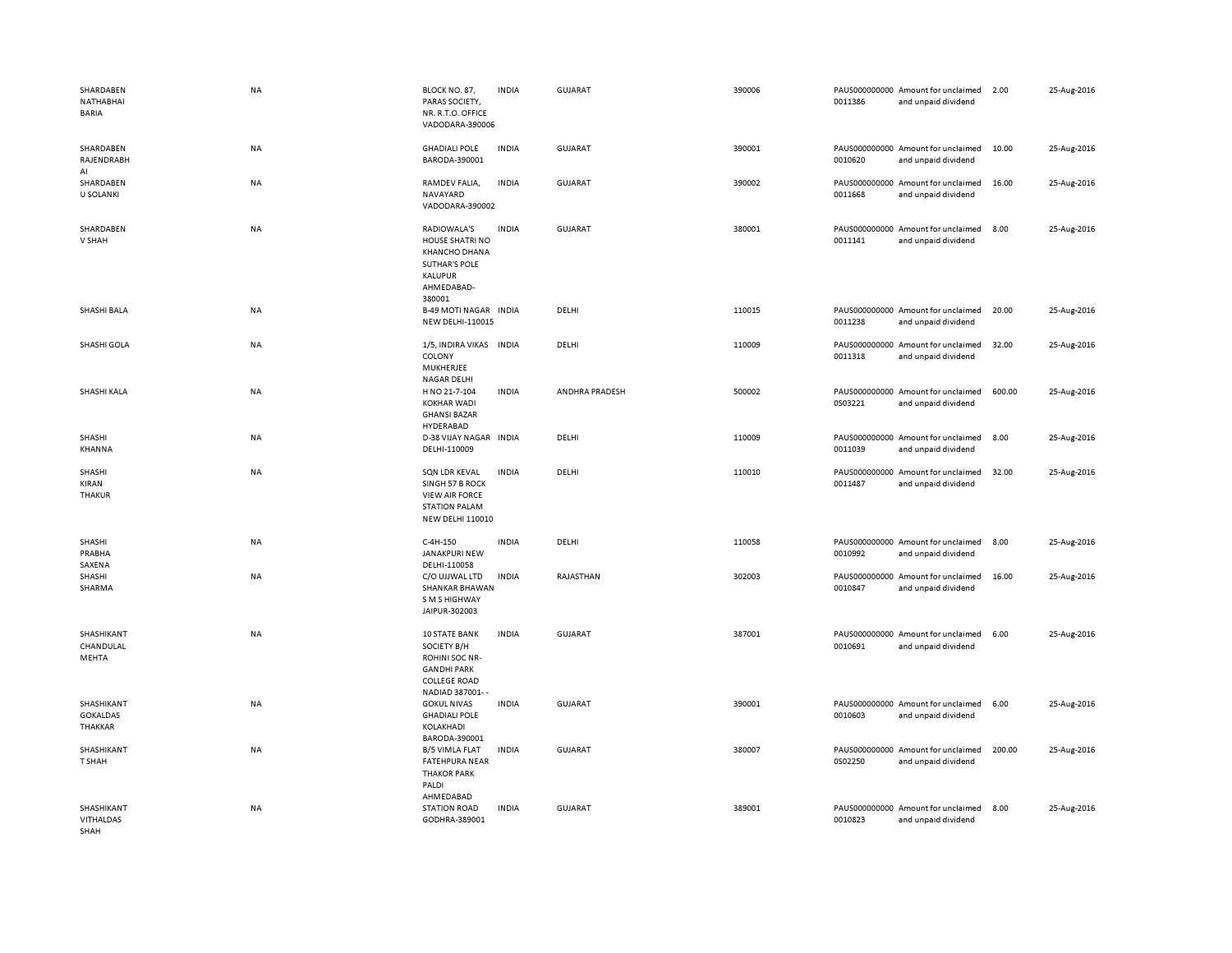| SHARDABEN<br>NATHABHAI<br><b>BARIA</b>        | <b>NA</b> | BLOCK NO. 87,<br>PARAS SOCIETY,<br>NR. R.T.O. OFFICE<br>VADODARA-390006                                               | <b>INDIA</b> | <b>GUJARAT</b> | 390006 | 0011386 | PAUS000000000 Amount for unclaimed<br>and unpaid dividend | 2.00   | 25-Aug-2016 |
|-----------------------------------------------|-----------|-----------------------------------------------------------------------------------------------------------------------|--------------|----------------|--------|---------|-----------------------------------------------------------|--------|-------------|
| SHARDABEN<br>RAJENDRABH<br>AI                 | <b>NA</b> | <b>GHADIALI POLE</b><br>BARODA-390001                                                                                 | <b>INDIA</b> | <b>GUJARAT</b> | 390001 | 0010620 | PAUS000000000 Amount for unclaimed<br>and unpaid dividend | 10.00  | 25-Aug-2016 |
| SHARDABEN<br><b>U SOLANKI</b>                 | NA        | RAMDEV FALIA,<br>NAVAYARD<br>VADODARA-390002                                                                          | <b>INDIA</b> | <b>GUJARAT</b> | 390002 | 0011668 | PAUS000000000 Amount for unclaimed<br>and unpaid dividend | 16.00  | 25-Aug-2016 |
| SHARDABEN<br>V SHAH                           | <b>NA</b> | RADIOWALA'S<br>HOUSE SHATRI NO<br><b>KHANCHO DHANA</b><br><b>SUTHAR'S POLE</b><br>KALUPUR<br>AHMEDABAD-<br>380001     | <b>INDIA</b> | <b>GUJARAT</b> | 380001 | 0011141 | PAUS000000000 Amount for unclaimed<br>and unpaid dividend | 8.00   | 25-Aug-2016 |
| SHASHI BALA                                   | <b>NA</b> | <b>B-49 MOTI NAGAR INDIA</b><br>NEW DELHI-110015                                                                      |              | DELHI          | 110015 | 0011238 | PAUS000000000 Amount for unclaimed<br>and unpaid dividend | 20.00  | 25-Aug-2016 |
| SHASHI GOLA                                   | <b>NA</b> | 1/5, INDIRA VIKAS INDIA<br>COLONY<br>MUKHERJEE<br><b>NAGAR DELHI</b>                                                  |              | DELHI          | 110009 | 0011318 | PAUS000000000 Amount for unclaimed<br>and unpaid dividend | 32.00  | 25-Aug-2016 |
| SHASHI KALA                                   | <b>NA</b> | H NO 21-7-104<br><b>KOKHAR WADI</b><br><b>GHANSI BAZAR</b><br>HYDERABAD                                               | <b>INDIA</b> | ANDHRA PRADESH | 500002 | 0S03221 | PAUS000000000 Amount for unclaimed<br>and unpaid dividend | 600.00 | 25-Aug-2016 |
| SHASHI<br>KHANNA                              | NA        | D-38 VIJAY NAGAR INDIA<br>DELHI-110009                                                                                |              | DELHI          | 110009 | 0011039 | PAUS000000000 Amount for unclaimed<br>and unpaid dividend | 8.00   | 25-Aug-2016 |
| SHASHI<br>KIRAN<br><b>THAKUR</b>              | <b>NA</b> | SQN LDR KEVAL<br>SINGH 57 B ROCK<br><b>VIEW AIR FORCE</b><br><b>STATION PALAM</b><br><b>NEW DELHI 110010</b>          | <b>INDIA</b> | DELHI          | 110010 | 0011487 | PAUS000000000 Amount for unclaimed<br>and unpaid dividend | 32.00  | 25-Aug-2016 |
| SHASHI<br>PRABHA<br>SAXENA                    | NA        | C-4H-150<br><b>JANAKPURI NEW</b><br>DELHI-110058                                                                      | <b>INDIA</b> | DELHI          | 110058 | 0010992 | PAUS000000000 Amount for unclaimed<br>and unpaid dividend | 8.00   | 25-Aug-2016 |
| SHASHI<br>SHARMA                              | NA        | C/O UJJWAL LTD<br><b>SHANKAR BHAWAN</b><br>S M S HIGHWAY<br>JAIPUR-302003                                             | <b>INDIA</b> | RAJASTHAN      | 302003 | 0010847 | PAUS000000000 Amount for unclaimed<br>and unpaid dividend | 16.00  | 25-Aug-2016 |
| SHASHIKANT<br>CHANDULAL<br>MEHTA              | <b>NA</b> | <b>10 STATE BANK</b><br>SOCIETY B/H<br>ROHINI SOC NR-<br><b>GANDHI PARK</b><br><b>COLLEGE ROAD</b><br>NADIAD 387001-- | <b>INDIA</b> | <b>GUJARAT</b> | 387001 | 0010691 | PAUS000000000 Amount for unclaimed<br>and unpaid dividend | 6.00   | 25-Aug-2016 |
| SHASHIKANT<br><b>GOKALDAS</b><br>THAKKAR      | NA        | <b>GOKUL NIVAS</b><br><b>GHADIALI POLE</b><br>KOLAKHADI<br>BARODA-390001                                              | <b>INDIA</b> | <b>GUJARAT</b> | 390001 | 0010603 | PAUS000000000 Amount for unclaimed<br>and unpaid dividend | 6.00   | 25-Aug-2016 |
| SHASHIKANT<br>T SHAH                          | NA        | <b>B/5 VIMLA FLAT</b><br><b>FATEHPURA NEAR</b><br><b>THAKOR PARK</b><br>PALDI<br>AHMEDABAD                            | <b>INDIA</b> | <b>GUJARAT</b> | 380007 | 0S02250 | PAUS000000000 Amount for unclaimed<br>and unpaid dividend | 200.00 | 25-Aug-2016 |
| SHASHIKANT<br><b>VITHALDAS</b><br><b>SHAH</b> | <b>NA</b> | <b>STATION ROAD</b><br>GODHRA-389001                                                                                  | <b>INDIA</b> | <b>GUJARAT</b> | 389001 | 0010823 | PAUS000000000 Amount for unclaimed<br>and unpaid dividend | 8.00   | 25-Aug-2016 |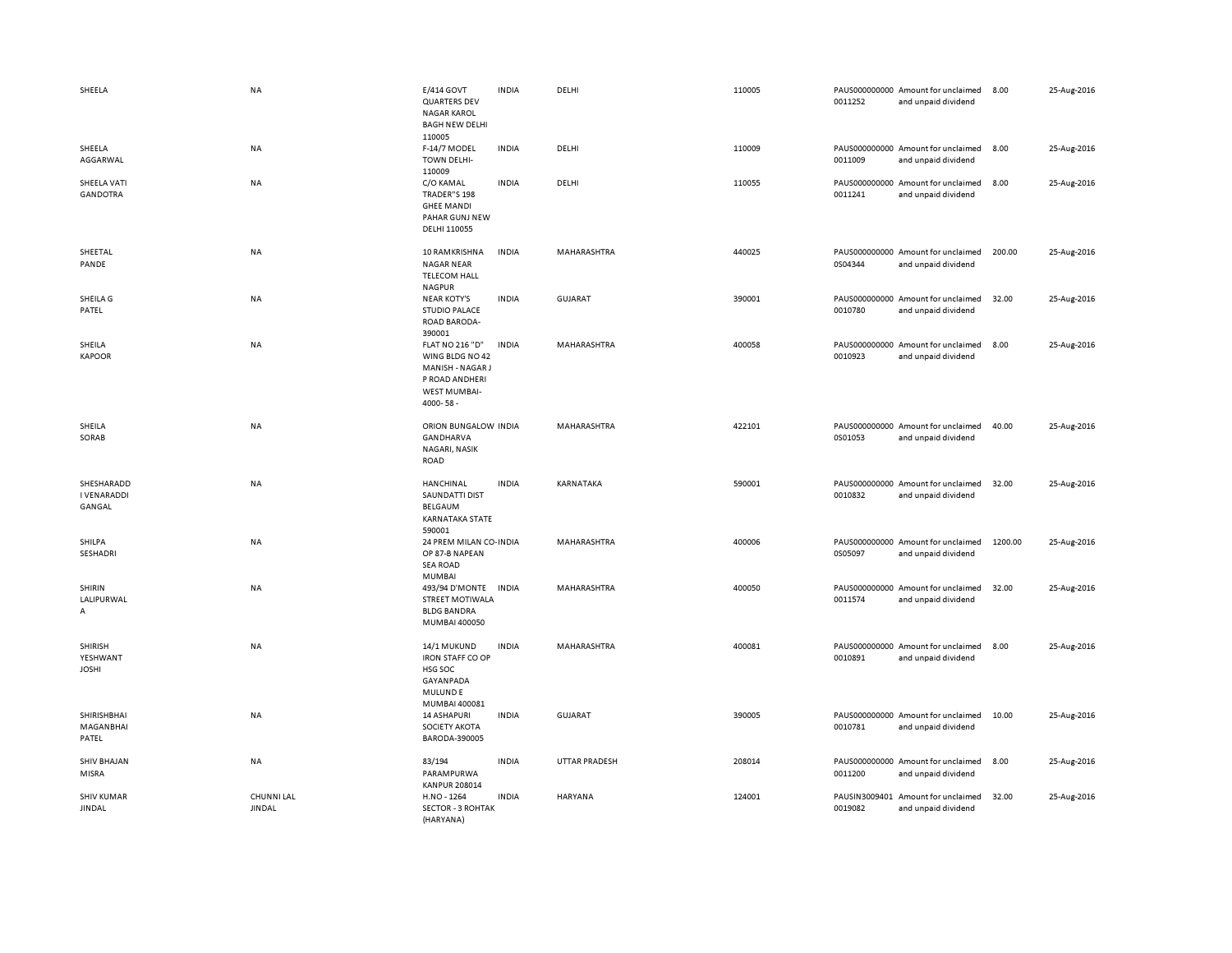| SHEELA                                     | <b>NA</b>                          | E/414 GOVT<br><b>QUARTERS DEV</b><br><b>NAGAR KAROL</b><br><b>BAGH NEW DELHI</b><br>110005                         | <b>INDIA</b> | DELHI                | 110005 | 0011252                  | PAUS000000000 Amount for unclaimed<br>and unpaid dividend | 8.00    | 25-Aug-2016 |
|--------------------------------------------|------------------------------------|--------------------------------------------------------------------------------------------------------------------|--------------|----------------------|--------|--------------------------|-----------------------------------------------------------|---------|-------------|
| SHEELA<br>AGGARWAL                         | NA                                 | F-14/7 MODEL<br><b>TOWN DELHI-</b><br>110009                                                                       | <b>INDIA</b> | DELHI                | 110009 | 0011009                  | PAUS000000000 Amount for unclaimed<br>and unpaid dividend | 8.00    | 25-Aug-2016 |
| SHEELA VATI<br><b>GANDOTRA</b>             | <b>NA</b>                          | C/O KAMAL<br>TRADER"S 198<br><b>GHEE MANDI</b><br>PAHAR GUNJ NEW<br>DELHI 110055                                   | <b>INDIA</b> | DELHI                | 110055 | 0011241                  | PAUS000000000 Amount for unclaimed<br>and unpaid dividend | 8.00    | 25-Aug-2016 |
| SHEETAL<br>PANDE                           | <b>NA</b>                          | 10 RAMKRISHNA<br><b>NAGAR NEAR</b><br><b>TELECOM HALL</b><br><b>NAGPUR</b>                                         | <b>INDIA</b> | MAHARASHTRA          | 440025 | 0S04344                  | PAUS000000000 Amount for unclaimed<br>and unpaid dividend | 200.00  | 25-Aug-2016 |
| SHEILA G<br>PATEL                          | <b>NA</b>                          | <b>NEAR KOTY'S</b><br><b>STUDIO PALACE</b><br>ROAD BARODA-<br>390001                                               | <b>INDIA</b> | <b>GUJARAT</b>       | 390001 | 0010780                  | PAUS000000000 Amount for unclaimed<br>and unpaid dividend | 32.00   | 25-Aug-2016 |
| SHEILA<br><b>KAPOOR</b>                    | NA                                 | <b>FLAT NO 216 "D"</b><br>WING BLDG NO 42<br>MANISH - NAGAR J<br>P ROAD ANDHERI<br><b>WEST MUMBAI-</b><br>4000-58- | <b>INDIA</b> | MAHARASHTRA          | 400058 | 0010923                  | PAUS000000000 Amount for unclaimed<br>and unpaid dividend | 8.00    | 25-Aug-2016 |
| SHEILA<br>SORAB                            | <b>NA</b>                          | ORION BUNGALOW INDIA<br>GANDHARVA<br>NAGARI, NASIK<br>ROAD                                                         |              | <b>MAHARASHTRA</b>   | 422101 | 0S01053                  | PAUS000000000 Amount for unclaimed<br>and unpaid dividend | 40.00   | 25-Aug-2016 |
| SHESHARADD<br><b>I VENARADDI</b><br>GANGAL | NA                                 | HANCHINAL<br>SAUNDATTI DIST<br>BELGAUM<br>KARNATAKA STATE<br>590001                                                | <b>INDIA</b> | KARNATAKA            | 590001 | 0010832                  | PAUS000000000 Amount for unclaimed<br>and unpaid dividend | 32.00   | 25-Aug-2016 |
| SHILPA<br>SESHADRI                         | <b>NA</b>                          | 24 PREM MILAN CO-INDIA<br>OP 87-B NAPEAN<br><b>SEA ROAD</b><br><b>MUMBAI</b>                                       |              | MAHARASHTRA          | 400006 | 0S05097                  | PAUS000000000 Amount for unclaimed<br>and unpaid dividend | 1200.00 | 25-Aug-2016 |
| SHIRIN<br>LALIPURWAL<br>Α                  | <b>NA</b>                          | 493/94 D'MONTE<br><b>STREET MOTIWALA</b><br><b>BLDG BANDRA</b><br>MUMBAI 400050                                    | <b>INDIA</b> | MAHARASHTRA          | 400050 | 0011574                  | PAUS000000000 Amount for unclaimed<br>and unpaid dividend | 32.00   | 25-Aug-2016 |
| <b>SHIRISH</b><br>YESHWANT<br><b>JOSHI</b> | NA                                 | 14/1 MUKUND<br><b>IRON STAFF CO OP</b><br>HSG SOC<br>GAYANPADA<br><b>MULUNDE</b><br>MUMBAI 400081                  | <b>INDIA</b> | MAHARASHTRA          | 400081 | 0010891                  | PAUS000000000 Amount for unclaimed<br>and unpaid dividend | 8.00    | 25-Aug-2016 |
| SHIRISHBHAI<br>MAGANBHAI<br>PATEL          | <b>NA</b>                          | <b>14 ASHAPURI</b><br><b>SOCIETY AKOTA</b><br>BARODA-390005                                                        | <b>INDIA</b> | <b>GUJARAT</b>       | 390005 | 0010781                  | PAUS000000000 Amount for unclaimed<br>and unpaid dividend | 10.00   | 25-Aug-2016 |
| <b>SHIV BHAJAN</b><br>MISRA                | <b>NA</b>                          | 83/194<br>PARAMPURWA<br><b>KANPUR 208014</b>                                                                       | <b>INDIA</b> | <b>UTTAR PRADESH</b> | 208014 | 0011200                  | PAUS000000000 Amount for unclaimed<br>and unpaid dividend | 8.00    | 25-Aug-2016 |
| <b>SHIV KUMAR</b><br><b>JINDAL</b>         | <b>CHUNNI LAL</b><br><b>JINDAL</b> | H.NO - 1264<br><b>SECTOR - 3 ROHTAK</b><br>(HARYANA)                                                               | <b>INDIA</b> | HARYANA              | 124001 | PAUSIN3009401<br>0019082 | Amount for unclaimed<br>and unpaid dividend               | 32.00   | 25-Aug-2016 |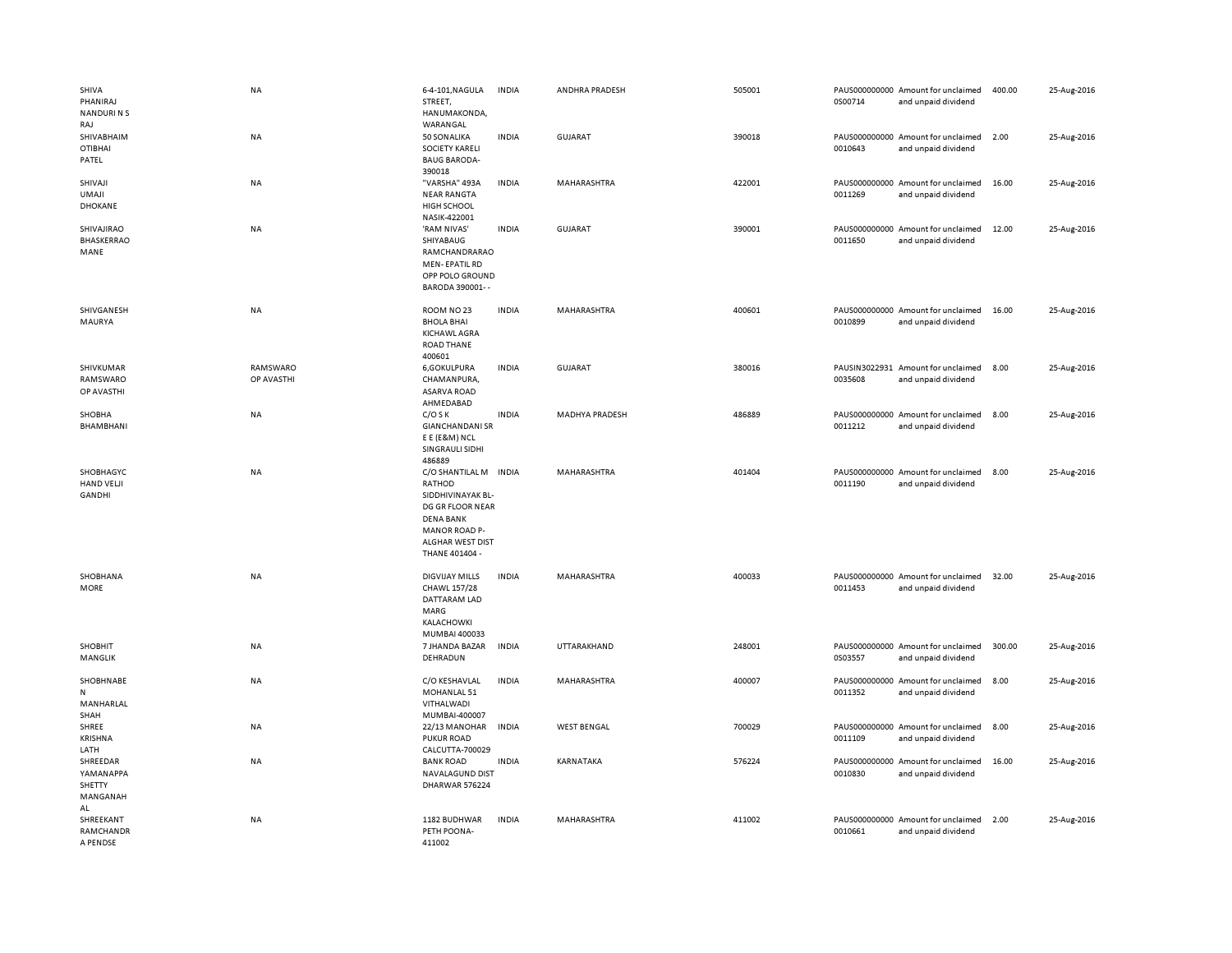| SHIVA<br>PHANIRAJ<br><b>NANDURINS</b><br>RAJ      | NA                     | 6-4-101, NAGULA<br>STREET,<br>HANUMAKONDA,<br>WARANGAL                                                                                                     | <b>INDIA</b> | ANDHRA PRADESH     | 505001 | 0S00714                  | PAUS000000000 Amount for unclaimed<br>and unpaid dividend | 400.00 | 25-Aug-2016 |
|---------------------------------------------------|------------------------|------------------------------------------------------------------------------------------------------------------------------------------------------------|--------------|--------------------|--------|--------------------------|-----------------------------------------------------------|--------|-------------|
| SHIVABHAIM<br><b>OTIBHAI</b><br>PATEL             | NA                     | 50 SONALIKA<br><b>SOCIETY KARELI</b><br><b>BAUG BARODA-</b><br>390018                                                                                      | <b>INDIA</b> | GUJARAT            | 390018 | 0010643                  | PAUS000000000 Amount for unclaimed<br>and unpaid dividend | 2.00   | 25-Aug-2016 |
| SHIVAJI<br><b>UMAJI</b><br><b>DHOKANE</b>         | NA                     | "VARSHA" 493A<br><b>NEAR RANGTA</b><br><b>HIGH SCHOOL</b><br>NASIK-422001                                                                                  | <b>INDIA</b> | MAHARASHTRA        | 422001 | PAUS000000000<br>0011269 | Amount for unclaimed<br>and unpaid dividend               | 16.00  | 25-Aug-2016 |
| SHIVAJIRAO<br><b>BHASKERRAO</b><br>MANE           | NA                     | 'RAM NIVAS'<br>SHIYABAUG<br>RAMCHANDRARAO<br><b>MEN-EPATIL RD</b><br>OPP POLO GROUND<br>BARODA 390001--                                                    | <b>INDIA</b> | GUJARAT            | 390001 | 0011650                  | PAUS000000000 Amount for unclaimed<br>and unpaid dividend | 12.00  | 25-Aug-2016 |
| SHIVGANESH<br>MAURYA                              | NA                     | ROOM NO 23<br><b>BHOLA BHAI</b><br>KICHAWL AGRA<br><b>ROAD THANE</b><br>400601                                                                             | <b>INDIA</b> | MAHARASHTRA        | 400601 | 0010899                  | PAUS000000000 Amount for unclaimed<br>and unpaid dividend | 16.00  | 25-Aug-2016 |
| SHIVKUMAR<br>RAMSWARO<br>OP AVASTHI               | RAMSWARO<br>OP AVASTHI | 6, GOKULPURA<br>CHAMANPURA,<br><b>ASARVA ROAD</b><br>AHMEDABAD                                                                                             | <b>INDIA</b> | <b>GUJARAT</b>     | 380016 | 0035608                  | PAUSIN3022931 Amount for unclaimed<br>and unpaid dividend | 8.00   | 25-Aug-2016 |
| SHOBHA<br>BHAMBHANI                               | NA                     | $C/O$ S K<br><b>GIANCHANDANI SR</b><br>E E (E&M) NCL<br>SINGRAULI SIDHI<br>486889                                                                          | <b>INDIA</b> | MADHYA PRADESH     | 486889 | 0011212                  | PAUS000000000 Amount for unclaimed<br>and unpaid dividend | 8.00   | 25-Aug-2016 |
| SHOBHAGYC<br>HAND VELJI<br><b>GANDHI</b>          | <b>NA</b>              | C/O SHANTILAL M INDIA<br>RATHOD<br>SIDDHIVINAYAK BL-<br>DG GR FLOOR NEAR<br><b>DENA BANK</b><br><b>MANOR ROAD P-</b><br>ALGHAR WEST DIST<br>THANE 401404 - |              | MAHARASHTRA        | 401404 | 0011190                  | PAUS000000000 Amount for unclaimed<br>and unpaid dividend | 8.00   | 25-Aug-2016 |
| SHOBHANA<br>MORE                                  | NA                     | <b>DIGVIJAY MILLS</b><br>CHAWL 157/28<br>DATTARAM LAD<br>MARG<br>KALACHOWKI<br>MUMBAI 400033                                                               | <b>INDIA</b> | MAHARASHTRA        | 400033 | 0011453                  | PAUS000000000 Amount for unclaimed<br>and unpaid dividend | 32.00  | 25-Aug-2016 |
| <b>SHOBHIT</b><br>MANGLIK                         | NA                     | 7 JHANDA BAZAR<br>DEHRADUN                                                                                                                                 | <b>INDIA</b> | UTTARAKHAND        | 248001 | 0S03557                  | PAUS000000000 Amount for unclaimed<br>and unpaid dividend | 300.00 | 25-Aug-2016 |
| SHOBHNABE<br>${\sf N}$<br>MANHARLAL<br>SHAH       | <b>NA</b>              | C/O KESHAVLAL<br>MOHANLAL 51<br>VITHALWADI<br>MUMBAI-400007                                                                                                | <b>INDIA</b> | MAHARASHTRA        | 400007 | 0011352                  | PAUS000000000 Amount for unclaimed<br>and unpaid dividend | 8.00   | 25-Aug-2016 |
| SHREE<br><b>KRISHNA</b><br>LATH                   | <b>NA</b>              | 22/13 MANOHAR<br><b>PUKUR ROAD</b><br>CALCUTTA-700029                                                                                                      | <b>INDIA</b> | <b>WEST BENGAL</b> | 700029 | 0011109                  | PAUS000000000 Amount for unclaimed<br>and unpaid dividend | 8.00   | 25-Aug-2016 |
| SHREEDAR<br>YAMANAPPA<br>SHETTY<br>MANGANAH<br>AL | NA                     | <b>BANK ROAD</b><br>NAVALAGUND DIST<br>DHARWAR 576224                                                                                                      | <b>INDIA</b> | KARNATAKA          | 576224 | 0010830                  | PAUS000000000 Amount for unclaimed<br>and unpaid dividend | 16.00  | 25-Aug-2016 |
| SHREEKANT<br>RAMCHANDR                            | <b>NA</b>              | 1182 BUDHWAR<br>PETH POONA-<br>411002                                                                                                                      | <b>INDIA</b> | <b>MAHARASHTRA</b> | 411002 | 0010661                  | PAUS000000000 Amount for unclaimed<br>and unpaid dividend | 2.00   | 25-Aug-2016 |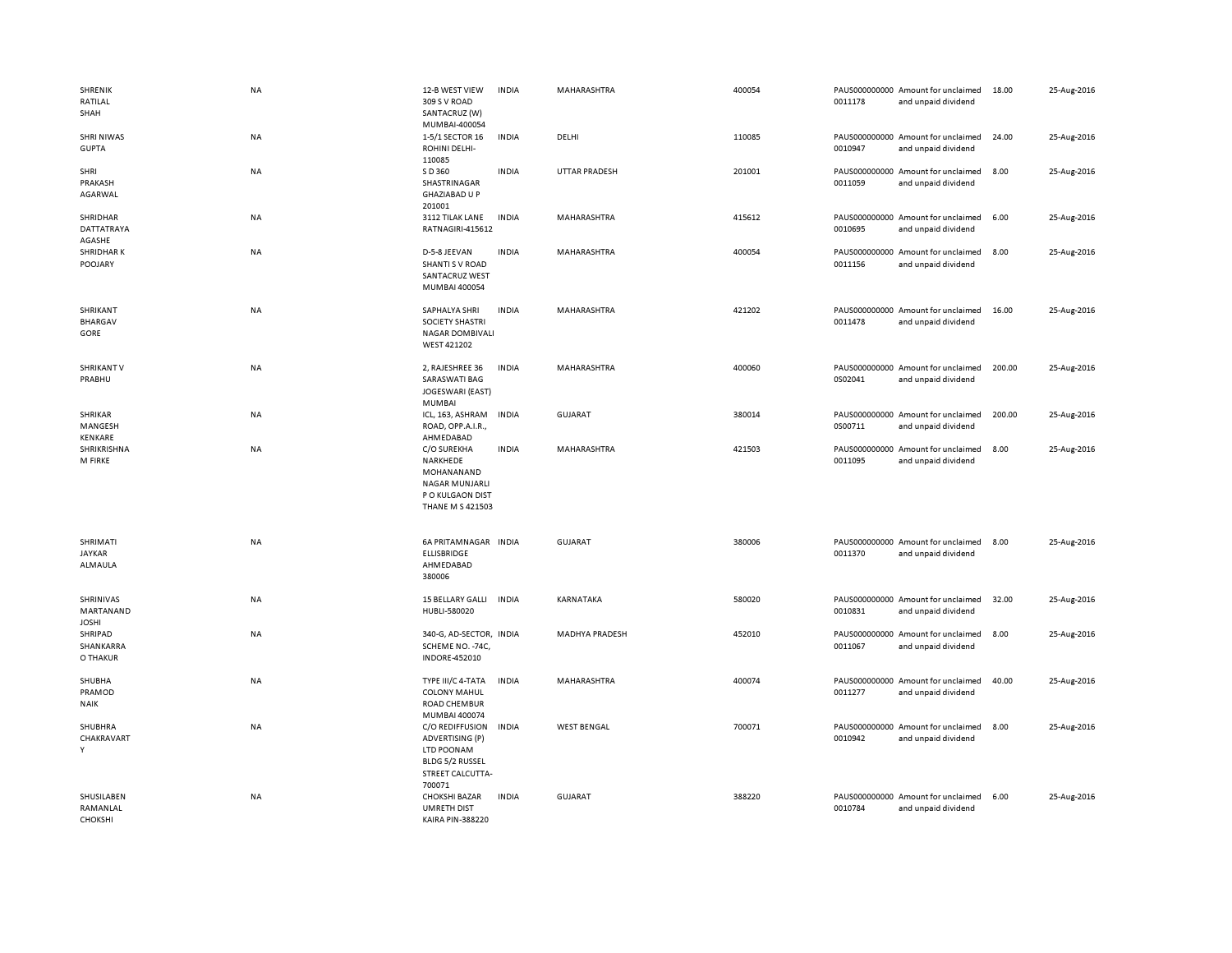| SHRENIK<br>RATILAL<br>SHAH               | NA        | 12-B WEST VIEW<br>309 S V ROAD<br>SANTACRUZ (W)<br>MUMBAI-400054                                              | <b>INDIA</b> | MAHARASHTRA          | 400054 | 0011178 | PAUS000000000 Amount for unclaimed<br>and unpaid dividend | 18.00  | 25-Aug-2016 |
|------------------------------------------|-----------|---------------------------------------------------------------------------------------------------------------|--------------|----------------------|--------|---------|-----------------------------------------------------------|--------|-------------|
| <b>SHRI NIWAS</b><br><b>GUPTA</b>        | NA        | 1-5/1 SECTOR 16<br>ROHINI DELHI-<br>110085                                                                    | <b>INDIA</b> | DELHI                | 110085 | 0010947 | PAUS000000000 Amount for unclaimed<br>and unpaid dividend | 24.00  | 25-Aug-2016 |
| SHRI<br>PRAKASH<br>AGARWAL               | NA        | S D 360<br>SHASTRINAGAR<br><b>GHAZIABAD U P</b><br>201001                                                     | <b>INDIA</b> | <b>UTTAR PRADESH</b> | 201001 | 0011059 | PAUS000000000 Amount for unclaimed<br>and unpaid dividend | 8.00   | 25-Aug-2016 |
| SHRIDHAR<br>DATTATRAYA<br>AGASHE         | NA        | 3112 TILAK LANE<br>RATNAGIRI-415612                                                                           | <b>INDIA</b> | MAHARASHTRA          | 415612 | 0010695 | PAUS000000000 Amount for unclaimed<br>and unpaid dividend | 6.00   | 25-Aug-2016 |
| <b>SHRIDHARK</b><br>POOJARY              | NA        | D-5-8 JEEVAN<br>SHANTI S V ROAD<br><b>SANTACRUZ WEST</b><br>MUMBAI 400054                                     | <b>INDIA</b> | MAHARASHTRA          | 400054 | 0011156 | PAUS000000000 Amount for unclaimed<br>and unpaid dividend | 8.00   | 25-Aug-2016 |
| SHRIKANT<br><b>BHARGAV</b><br>GORE       | <b>NA</b> | SAPHALYA SHRI<br><b>SOCIETY SHASTRI</b><br>NAGAR DOMBIVALI<br>WEST 421202                                     | <b>INDIA</b> | <b>MAHARASHTRA</b>   | 421202 | 0011478 | PAUS000000000 Amount for unclaimed<br>and unpaid dividend | 16.00  | 25-Aug-2016 |
| <b>SHRIKANT V</b><br>PRABHU              | <b>NA</b> | 2, RAJESHREE 36<br><b>SARASWATI BAG</b><br>JOGESWARI (EAST)<br>MUMBAI                                         | <b>INDIA</b> | MAHARASHTRA          | 400060 | 0S02041 | PAUS000000000 Amount for unclaimed<br>and unpaid dividend | 200.00 | 25-Aug-2016 |
| SHRIKAR<br>MANGESH<br>KENKARE            | NA        | ICL, 163, ASHRAM<br>ROAD, OPP.A.I.R.,<br>AHMEDABAD                                                            | <b>INDIA</b> | <b>GUJARAT</b>       | 380014 | 0S00711 | PAUS000000000 Amount for unclaimed<br>and unpaid dividend | 200.00 | 25-Aug-2016 |
| SHRIKRISHNA<br>M FIRKE                   | <b>NA</b> | C/O SUREKHA<br>NARKHEDE<br>MOHANANAND<br><b>NAGAR MUNJARLI</b><br>P O KULGAON DIST<br><b>THANE M S 421503</b> | <b>INDIA</b> | <b>MAHARASHTRA</b>   | 421503 | 0011095 | PAUS000000000 Amount for unclaimed<br>and unpaid dividend | 8.00   | 25-Aug-2016 |
| SHRIMATI<br><b>JAYKAR</b><br>ALMAULA     | NA        | 6A PRITAMNAGAR INDIA<br><b>ELLISBRIDGE</b><br>AHMEDABAD<br>380006                                             |              | <b>GUJARAT</b>       | 380006 | 0011370 | PAUS000000000 Amount for unclaimed<br>and unpaid dividend | 8.00   | 25-Aug-2016 |
| SHRINIVAS<br>MARTANAND<br><b>JOSHI</b>   | NA        | 15 BELLARY GALLI<br>HUBLI-580020                                                                              | <b>INDIA</b> | KARNATAKA            | 580020 | 0010831 | PAUS000000000 Amount for unclaimed<br>and unpaid dividend | 32.00  | 25-Aug-2016 |
| SHRIPAD<br>SHANKARRA<br>O THAKUR         | NA        | 340-G, AD-SECTOR,<br>SCHEME NO. - 74C,<br><b>INDORE-452010</b>                                                | <b>INDIA</b> | MADHYA PRADESH       | 452010 | 0011067 | PAUS000000000 Amount for unclaimed<br>and unpaid dividend | 8.00   | 25-Aug-2016 |
| SHUBHA<br>PRAMOD<br><b>NAIK</b>          | NA        | TYPE III/C 4-TATA<br><b>COLONY MAHUL</b><br>ROAD CHEMBUR<br>MUMBAI 400074                                     | <b>INDIA</b> | MAHARASHTRA          | 400074 | 0011277 | PAUS000000000 Amount for unclaimed<br>and unpaid dividend | 40.00  | 25-Aug-2016 |
| SHUBHRA<br>CHAKRAVART<br>Y               | NA        | C/O REDIFFUSION<br>ADVERTISING (P)<br>LTD POONAM<br>BLDG 5/2 RUSSEL<br>STREET CALCUTTA-<br>700071             | <b>INDIA</b> | <b>WEST BENGAL</b>   | 700071 | 0010942 | PAUS000000000 Amount for unclaimed<br>and unpaid dividend | 8.00   | 25-Aug-2016 |
| SHUSILABEN<br>RAMANLAL<br><b>CHOKSHI</b> | NA        | <b>CHOKSHI BAZAR</b><br><b>UMRETH DIST</b><br>KAIRA PIN-388220                                                | <b>INDIA</b> | <b>GUJARAT</b>       | 388220 | 0010784 | PAUS000000000 Amount for unclaimed<br>and unpaid dividend | 6.00   | 25-Aug-2016 |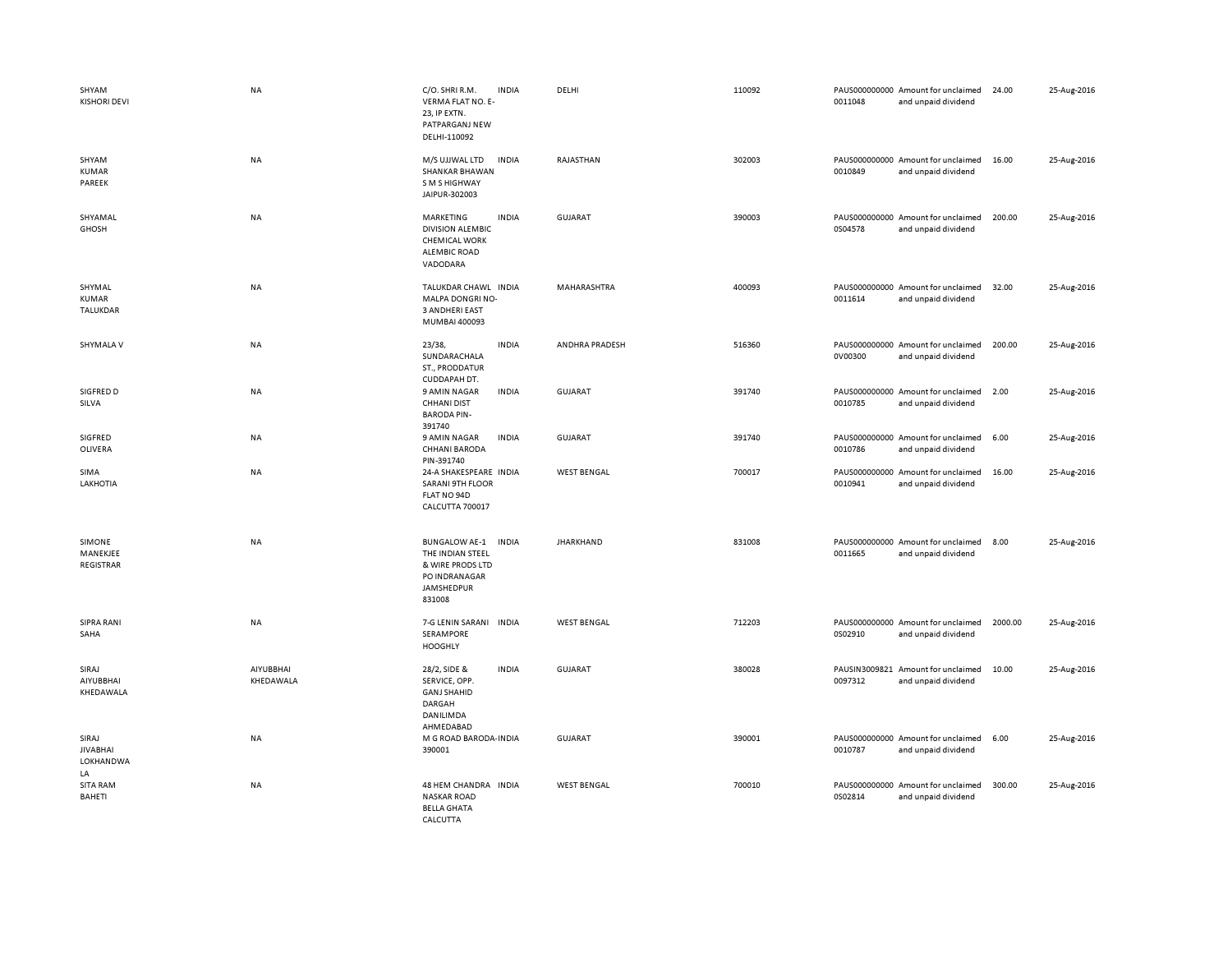| SHYAM<br><b>KISHORI DEVI</b>                | <b>NA</b>              | C/O. SHRI R.M.<br><b>INDIA</b><br>VERMA FLAT NO. E-<br>23, IP EXTN.<br>PATPARGANJ NEW<br>DELHI-110092                 | DELHI              | 110092 | PAUS000000000 Amount for unclaimed<br>0011048<br>and unpaid dividend | 25-Aug-2016<br>24.00   |
|---------------------------------------------|------------------------|-----------------------------------------------------------------------------------------------------------------------|--------------------|--------|----------------------------------------------------------------------|------------------------|
| SHYAM<br><b>KUMAR</b><br>PAREEK             | NA                     | M/S UJJWAL LTD<br><b>INDIA</b><br><b>SHANKAR BHAWAN</b><br>S M S HIGHWAY<br>JAIPUR-302003                             | RAJASTHAN          | 302003 | PAUS000000000 Amount for unclaimed<br>0010849<br>and unpaid dividend | 16.00<br>25-Aug-2016   |
| SHYAMAL<br><b>GHOSH</b>                     | NA                     | <b>INDIA</b><br>MARKETING<br><b>DIVISION ALEMBIC</b><br><b>CHEMICAL WORK</b><br><b>ALEMBIC ROAD</b><br>VADODARA       | GUJARAT            | 390003 | PAUS000000000 Amount for unclaimed<br>0S04578<br>and unpaid dividend | 200.00<br>25-Aug-2016  |
| SHYMAL<br>KUMAR<br>TALUKDAR                 | <b>NA</b>              | TALUKDAR CHAWL INDIA<br>MALPA DONGRI NO-<br>3 ANDHERI EAST<br>MUMBAI 400093                                           | MAHARASHTRA        | 400093 | PAUS000000000 Amount for unclaimed<br>0011614<br>and unpaid dividend | 25-Aug-2016<br>32.00   |
| SHYMALA V                                   | NA                     | 23/38,<br><b>INDIA</b><br>SUNDARACHALA<br>ST., PRODDATUR<br>CUDDAPAH DT.                                              | ANDHRA PRADESH     | 516360 | PAUS000000000 Amount for unclaimed<br>0V00300<br>and unpaid dividend | 200.00<br>25-Aug-2016  |
| SIGFRED D<br>SILVA                          | NA                     | 9 AMIN NAGAR<br><b>INDIA</b><br><b>CHHANI DIST</b><br><b>BARODA PIN-</b><br>391740                                    | <b>GUJARAT</b>     | 391740 | PAUS000000000 Amount for unclaimed<br>0010785<br>and unpaid dividend | 2.00<br>25-Aug-2016    |
| SIGFRED<br>OLIVERA                          | NA                     | 9 AMIN NAGAR<br><b>INDIA</b><br>CHHANI BARODA<br>PIN-391740                                                           | <b>GUJARAT</b>     | 391740 | PAUS000000000 Amount for unclaimed<br>0010786<br>and unpaid dividend | 6.00<br>25-Aug-2016    |
| SIMA<br>LAKHOTIA                            | NA                     | 24-A SHAKESPEARE INDIA<br><b>SARANI 9TH FLOOR</b><br>FLAT NO 94D<br>CALCUTTA 700017                                   | <b>WEST BENGAL</b> | 700017 | PAUS000000000 Amount for unclaimed<br>0010941<br>and unpaid dividend | 16.00<br>25-Aug-2016   |
| SIMONE<br>MANEKJEE<br>REGISTRAR             | NA                     | <b>BUNGALOW AE-1</b><br><b>INDIA</b><br>THE INDIAN STEEL<br>& WIRE PRODS LTD<br>PO INDRANAGAR<br>JAMSHEDPUR<br>831008 | <b>JHARKHAND</b>   | 831008 | PAUS000000000 Amount for unclaimed<br>0011665<br>and unpaid dividend | 8.00<br>25-Aug-2016    |
| <b>SIPRA RANI</b><br>SAHA                   | NA                     | 7-G LENIN SARANI INDIA<br>SERAMPORE<br><b>HOOGHLY</b>                                                                 | <b>WEST BENGAL</b> | 712203 | PAUS000000000 Amount for unclaimed<br>0S02910<br>and unpaid dividend | 2000.00<br>25-Aug-2016 |
| SIRAJ<br>AIYUBBHAI<br>KHEDAWALA             | AIYUBBHAI<br>KHEDAWALA | 28/2, SIDE &<br><b>INDIA</b><br>SERVICE, OPP.<br><b>GANJ SHAHID</b><br>DARGAH<br>DANILIMDA<br>AHMEDABAD               | <b>GUJARAT</b>     | 380028 | PAUSIN3009821 Amount for unclaimed<br>0097312<br>and unpaid dividend | 10.00<br>25-Aug-2016   |
| SIRAJ<br><b>JIVABHAI</b><br>LOKHANDWA<br>LA | NA                     | M G ROAD BARODA INDIA<br>390001                                                                                       | <b>GUJARAT</b>     | 390001 | PAUS000000000 Amount for unclaimed<br>0010787<br>and unpaid dividend | 6.00<br>25-Aug-2016    |
| <b>SITA RAM</b><br>BAHETI                   | NA                     | 48 HEM CHANDRA INDIA<br><b>NASKAR ROAD</b><br><b>BELLA GHATA</b><br>CALCUTTA                                          | <b>WEST BENGAL</b> | 700010 | PAUS000000000 Amount for unclaimed<br>0S02814<br>and unpaid dividend | 300.00<br>25-Aug-2016  |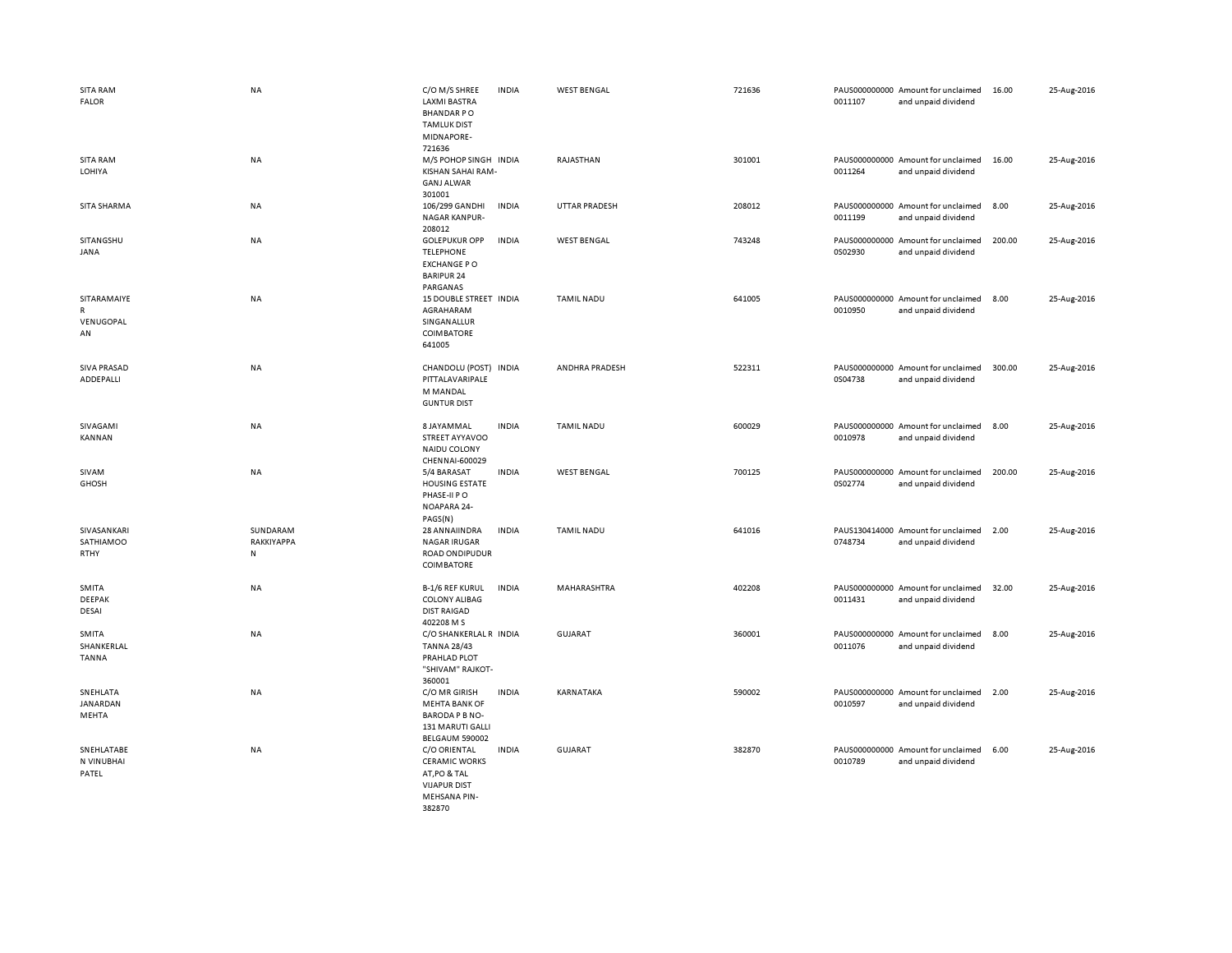| <b>SITA RAM</b><br><b>FALOR</b>                | <b>NA</b>                           | C/O M/S SHREE<br><b>LAXMI BASTRA</b><br><b>BHANDARPO</b><br><b>TAMLUK DIST</b><br>MIDNAPORE-<br>721636       | <b>INDIA</b> | <b>WEST BENGAL</b>   | 721636 | 0011107                  | PAUS000000000 Amount for unclaimed<br>and unpaid dividend | 16.00  | 25-Aug-2016 |
|------------------------------------------------|-------------------------------------|--------------------------------------------------------------------------------------------------------------|--------------|----------------------|--------|--------------------------|-----------------------------------------------------------|--------|-------------|
| <b>SITA RAM</b><br>LOHIYA                      | <b>NA</b>                           | M/S POHOP SINGH INDIA<br>KISHAN SAHAI RAM-<br><b>GANJ ALWAR</b><br>301001                                    |              | RAJASTHAN            | 301001 | 0011264                  | PAUS000000000 Amount for unclaimed<br>and unpaid dividend | 16.00  | 25-Aug-2016 |
| SITA SHARMA                                    | NA                                  | 106/299 GANDHI<br><b>NAGAR KANPUR-</b><br>208012                                                             | <b>INDIA</b> | <b>UTTAR PRADESH</b> | 208012 | 0011199                  | PAUS000000000 Amount for unclaimed<br>and unpaid dividend | 8.00   | 25-Aug-2016 |
| SITANGSHU<br>JANA                              | <b>NA</b>                           | <b>GOLEPUKUR OPP</b><br><b>TELEPHONE</b><br><b>EXCHANGE PO</b><br><b>BARIPUR 24</b><br>PARGANAS              | <b>INDIA</b> | <b>WEST BENGAL</b>   | 743248 | 0S02930                  | PAUS000000000 Amount for unclaimed<br>and unpaid dividend | 200.00 | 25-Aug-2016 |
| SITARAMAIYE<br>$\mathsf{R}$<br>VENUGOPAL<br>AN | <b>NA</b>                           | 15 DOUBLE STREET INDIA<br>AGRAHARAM<br>SINGANALLUR<br><b>COIMBATORE</b><br>641005                            |              | <b>TAMIL NADU</b>    | 641005 | 0010950                  | PAUS000000000 Amount for unclaimed<br>and unpaid dividend | 8.00   | 25-Aug-2016 |
| <b>SIVA PRASAD</b><br>ADDEPALLI                | <b>NA</b>                           | CHANDOLU (POST) INDIA<br>PITTALAVARIPALE<br>M MANDAL<br><b>GUNTUR DIST</b>                                   |              | ANDHRA PRADESH       | 522311 | 0S04738                  | PAUS000000000 Amount for unclaimed<br>and unpaid dividend | 300.00 | 25-Aug-2016 |
| SIVAGAMI<br>KANNAN                             | <b>NA</b>                           | 8 JAYAMMAL<br>STREET AYYAVOO<br>NAIDU COLONY<br>CHENNAI-600029                                               | <b>INDIA</b> | <b>TAMIL NADU</b>    | 600029 | 0010978                  | PAUS000000000 Amount for unclaimed<br>and unpaid dividend | 8.00   | 25-Aug-2016 |
| SIVAM<br><b>GHOSH</b>                          | <b>NA</b>                           | 5/4 BARASAT<br><b>HOUSING ESTATE</b><br>PHASE-II PO<br>NOAPARA 24-<br>PAGS(N)                                | <b>INDIA</b> | <b>WEST BENGAL</b>   | 700125 | PAUS000000000<br>0S02774 | Amount for unclaimed<br>and unpaid dividend               | 200.00 | 25-Aug-2016 |
| SIVASANKARI<br>SATHIAMOO<br>RTHY               | SUNDARAM<br>RAKKIYAPPA<br>${\sf N}$ | 28 ANN AIIN DRA<br><b>NAGAR IRUGAR</b><br><b>ROAD ONDIPUDUR</b><br><b>COIMBATORE</b>                         | <b>INDIA</b> | <b>TAMIL NADU</b>    | 641016 | 0748734                  | PAUS130414000 Amount for unclaimed<br>and unpaid dividend | 2.00   | 25-Aug-2016 |
| SMITA<br><b>DEEPAK</b><br>DESAI                | NA                                  | <b>B-1/6 REF KURUL</b><br><b>COLONY ALIBAG</b><br><b>DIST RAIGAD</b><br>402208 M S                           | <b>INDIA</b> | MAHARASHTRA          | 402208 | 0011431                  | PAUS000000000 Amount for unclaimed<br>and unpaid dividend | 32.00  | 25-Aug-2016 |
| SMITA<br>SHANKERLAL<br><b>TANNA</b>            | NA                                  | C/O SHANKERLAL R INDIA<br><b>TANNA 28/43</b><br>PRAHLAD PLOT<br>"SHIVAM" RAJKOT-<br>360001                   |              | <b>GUJARAT</b>       | 360001 | 0011076                  | PAUS000000000 Amount for unclaimed<br>and unpaid dividend | 8.00   | 25-Aug-2016 |
| SNEHLATA<br>JANARDAN<br>MEHTA                  | NA                                  | C/O MR GIRISH<br><b>MEHTA BANK OF</b><br>BARODA P B NO-<br>131 MARUTI GALLI<br>BELGAUM 590002                | <b>INDIA</b> | KARNATAKA            | 590002 | 0010597                  | PAUS000000000 Amount for unclaimed<br>and unpaid dividend | 2.00   | 25-Aug-2016 |
| SNEHLATABE<br>N VINUBHAI<br>PATEL              | <b>NA</b>                           | C/O ORIENTAL<br><b>CERAMIC WORKS</b><br>AT, PO & TAL<br><b>VIJAPUR DIST</b><br><b>MEHSANA PIN-</b><br>382870 | <b>INDIA</b> | <b>GUJARAT</b>       | 382870 | 0010789                  | PAUS000000000 Amount for unclaimed<br>and unpaid dividend | 6.00   | 25-Aug-2016 |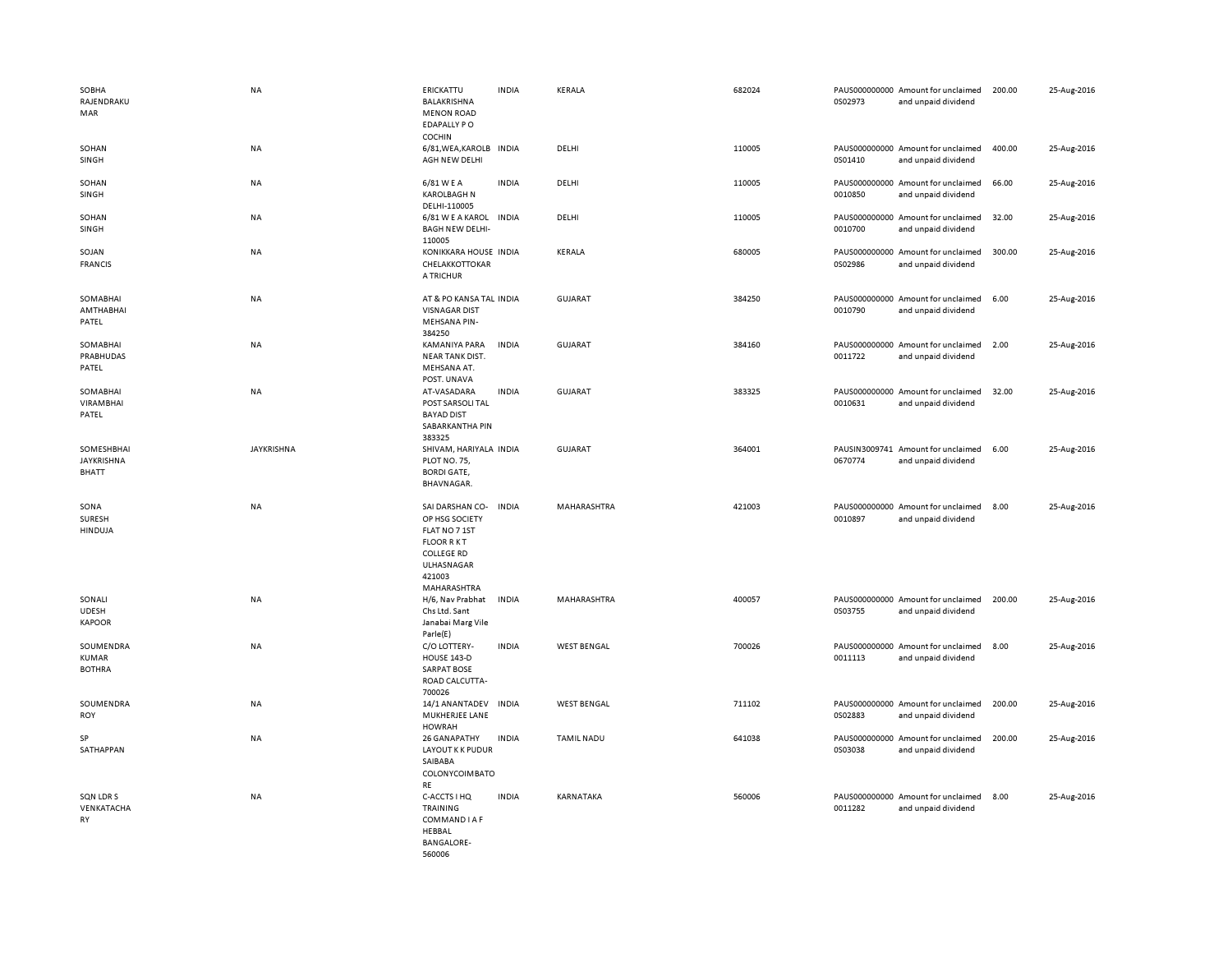| SOBHA<br>RAJENDRAKU<br>MAR                 | NA                | ERICKATTU<br>BALAKRISHNA<br><b>MENON ROAD</b><br><b>EDAPALLY PO</b>                                                                | <b>INDIA</b> | KERALA             | 682024 | 0S02973 | PAUS000000000 Amount for unclaimed<br>and unpaid dividend | 200.00 | 25-Aug-2016 |
|--------------------------------------------|-------------------|------------------------------------------------------------------------------------------------------------------------------------|--------------|--------------------|--------|---------|-----------------------------------------------------------|--------|-------------|
| SOHAN<br>SINGH                             | NA                | <b>COCHIN</b><br>6/81, WEA, KAROLB INDIA<br>AGH NEW DELHI                                                                          |              | DELHI              | 110005 | 0S01410 | PAUS000000000 Amount for unclaimed<br>and unpaid dividend | 400.00 | 25-Aug-2016 |
| SOHAN<br>SINGH                             | <b>NA</b>         | 6/81 W E A<br><b>KAROLBAGH N</b><br>DELHI-110005                                                                                   | <b>INDIA</b> | DELHI              | 110005 | 0010850 | PAUS000000000 Amount for unclaimed<br>and unpaid dividend | 66.00  | 25-Aug-2016 |
| SOHAN<br>SINGH                             | NA                | 6/81 W E A KAROL INDIA<br><b>BAGH NEW DELHI-</b><br>110005                                                                         |              | DELHI              | 110005 | 0010700 | PAUS000000000 Amount for unclaimed<br>and unpaid dividend | 32.00  | 25-Aug-2016 |
| SOJAN<br><b>FRANCIS</b>                    | <b>NA</b>         | KONIKKARA HOUSE INDIA<br>CHELAKKOTTOKAR<br>A TRICHUR                                                                               |              | KERALA             | 680005 | 0S02986 | PAUS000000000 Amount for unclaimed<br>and unpaid dividend | 300.00 | 25-Aug-2016 |
| SOMABHAI<br>AMTHABHAI<br>PATEL             | <b>NA</b>         | AT & PO KANSA TAL INDIA<br><b>VISNAGAR DIST</b><br><b>MEHSANA PIN-</b><br>384250                                                   |              | <b>GUJARAT</b>     | 384250 | 0010790 | PAUS000000000 Amount for unclaimed<br>and unpaid dividend | 6.00   | 25-Aug-2016 |
| SOMABHAI<br>PRABHUDAS<br>PATEL             | NA                | KAMANIYA PARA<br><b>NEAR TANK DIST.</b><br>MEHSANA AT.<br>POST. UNAVA                                                              | <b>INDIA</b> | GUJARAT            | 384160 | 0011722 | PAUS000000000 Amount for unclaimed<br>and unpaid dividend | 2.00   | 25-Aug-2016 |
| SOMABHAI<br><b>VIRAMBHAI</b><br>PATEL      | NA                | AT-VASADARA<br>POST SARSOLI TAL<br><b>BAYAD DIST</b><br>SABARKANTHA PIN<br>383325                                                  | <b>INDIA</b> | GUJARAT            | 383325 | 0010631 | PAUS000000000 Amount for unclaimed<br>and unpaid dividend | 32.00  | 25-Aug-2016 |
| SOMESHBHAI<br>JAYKRISHNA<br><b>BHATT</b>   | <b>JAYKRISHNA</b> | SHIVAM, HARIYALA INDIA<br>PLOT NO. 75,<br><b>BORDI GATE,</b><br>BHAVNAGAR.                                                         |              | <b>GUJARAT</b>     | 364001 | 0670774 | PAUSIN3009741 Amount for unclaimed<br>and unpaid dividend | 6.00   | 25-Aug-2016 |
| SONA<br>SURESH<br><b>HINDUJA</b>           | NA                | SAI DARSHAN CO-<br>OP HSG SOCIETY<br>FLAT NO 7 1ST<br><b>FLOOR RKT</b><br><b>COLLEGE RD</b><br>ULHASNAGAR<br>421003<br>MAHARASHTRA | <b>INDIA</b> | MAHARASHTRA        | 421003 | 0010897 | PAUS000000000 Amount for unclaimed<br>and unpaid dividend | 8.00   | 25-Aug-2016 |
| SONALI<br><b>UDESH</b><br><b>KAPOOR</b>    | <b>NA</b>         | H/6, Nav Prabhat<br>Chs Ltd. Sant<br>Janabai Marg Vile<br>Parle(E)                                                                 | <b>INDIA</b> | MAHARASHTRA        | 400057 | 0S03755 | PAUS000000000 Amount for unclaimed<br>and unpaid dividend | 200.00 | 25-Aug-2016 |
| SOUMENDRA<br><b>KUMAR</b><br><b>BOTHRA</b> | <b>NA</b>         | C/O LOTTERY-<br><b>HOUSE 143-D</b><br><b>SARPAT BOSE</b><br>ROAD CALCUTTA-<br>700026                                               | <b>INDIA</b> | <b>WEST BENGAL</b> | 700026 | 0011113 | PAUS000000000 Amount for unclaimed<br>and unpaid dividend | 8.00   | 25-Aug-2016 |
| SOUMENDRA<br><b>ROY</b>                    | <b>NA</b>         | 14/1 ANANTADEV<br>MUKHERJEE LANE<br>HOWRAH                                                                                         | <b>INDIA</b> | <b>WEST BENGAL</b> | 711102 | 0S02883 | PAUS000000000 Amount for unclaimed<br>and unpaid dividend | 200.00 | 25-Aug-2016 |
| SP<br>SATHAPPAN                            | <b>NA</b>         | 26 GANAPATHY<br><b>LAYOUT K K PUDUR</b><br>SAIBABA<br>COLONYCOIMBATO<br>RE                                                         | <b>INDIA</b> | <b>TAMIL NADU</b>  | 641038 | 0S03038 | PAUS000000000 Amount for unclaimed<br>and unpaid dividend | 200.00 | 25-Aug-2016 |
| SQN LDR S<br>VENKATACHA<br>RY              | NA                | C-ACCTS I HQ<br>TRAINING<br>COMMAND I A F<br>HEBBAL<br><b>BANGALORE-</b><br>560006                                                 | <b>INDIA</b> | KARNATAKA          | 560006 | 0011282 | PAUS000000000 Amount for unclaimed<br>and unpaid dividend | 8.00   | 25-Aug-2016 |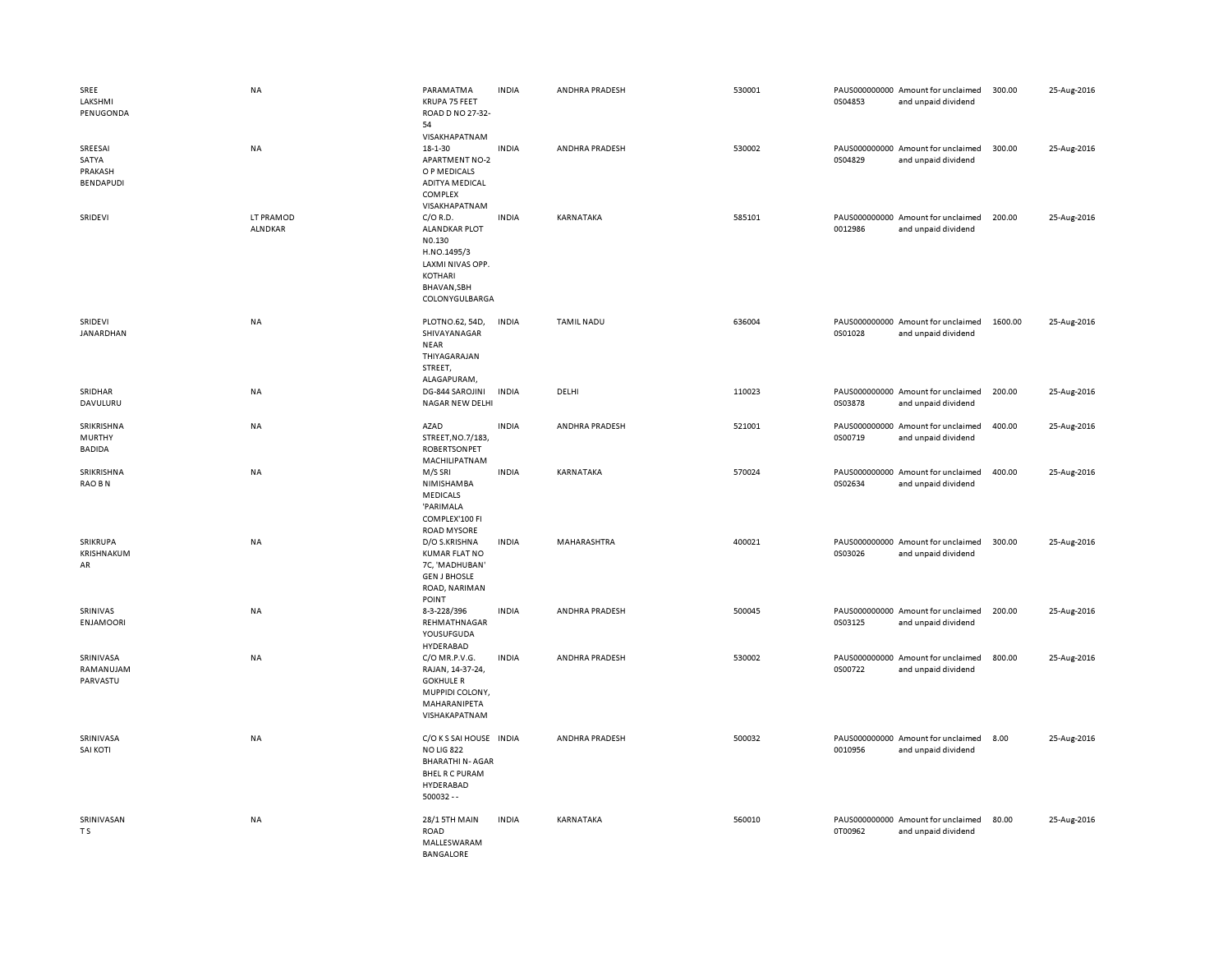| SREE<br>LAKSHMI<br>PENUGONDA                    | <b>NA</b>                   | PARAMATMA<br>KRUPA 75 FEET<br>ROAD D NO 27-32-<br>54                                                                          | <b>INDIA</b> | ANDHRA PRADESH    | 530001 | 0S04853 | PAUS000000000 Amount for unclaimed<br>and unpaid dividend | 300.00  | 25-Aug-2016 |
|-------------------------------------------------|-----------------------------|-------------------------------------------------------------------------------------------------------------------------------|--------------|-------------------|--------|---------|-----------------------------------------------------------|---------|-------------|
| SREESAI<br>SATYA<br>PRAKASH<br><b>BENDAPUDI</b> | <b>NA</b>                   | VISAKHAPATNAM<br>18-1-30<br><b>APARTMENT NO-2</b><br>O P MEDICALS<br><b>ADITYA MEDICAL</b><br>COMPLEX<br>VISAKHAPATNAM        | <b>INDIA</b> | ANDHRA PRADESH    | 530002 | 0S04829 | PAUS000000000 Amount for unclaimed<br>and unpaid dividend | 300.00  | 25-Aug-2016 |
| SRIDEVI                                         | LT PRAMOD<br><b>ALNDKAR</b> | $C/O$ R.D.<br><b>ALANDKAR PLOT</b><br>N0.130<br>H.NO.1495/3<br>LAXMI NIVAS OPP.<br>KOTHARI<br>BHAVAN, SBH<br>COLONYGULBARGA   | <b>INDIA</b> | KARNATAKA         | 585101 | 0012986 | PAUS000000000 Amount for unclaimed<br>and unpaid dividend | 200.00  | 25-Aug-2016 |
| SRIDEVI<br>JANARDHAN                            | NA                          | PLOTNO.62, 54D,<br>SHIVAYANAGAR<br><b>NEAR</b><br>THIYAGARAJAN<br>STREET,<br>ALAGAPURAM,                                      | <b>INDIA</b> | <b>TAMIL NADU</b> | 636004 | 0S01028 | PAUS000000000 Amount for unclaimed<br>and unpaid dividend | 1600.00 | 25-Aug-2016 |
| SRIDHAR<br>DAVULURU                             | <b>NA</b>                   | DG-844 SAROJINI<br>NAGAR NEW DELHI                                                                                            | <b>INDIA</b> | DELHI             | 110023 | 0S03878 | PAUS000000000 Amount for unclaimed<br>and unpaid dividend | 200.00  | 25-Aug-2016 |
| SRIKRISHNA<br><b>MURTHY</b><br><b>BADIDA</b>    | <b>NA</b>                   | AZAD<br>STREET, NO.7/183,<br><b>ROBERTSONPET</b><br>MACHILIPATNAM                                                             | <b>INDIA</b> | ANDHRA PRADESH    | 521001 | 0S00719 | PAUS000000000 Amount for unclaimed<br>and unpaid dividend | 400.00  | 25-Aug-2016 |
| SRIKRISHNA<br>RAO BN                            | NA                          | M/S SRI<br>NIMISHAMBA<br><b>MEDICALS</b><br>'PARIMALA<br>COMPLEX'100 FI<br><b>ROAD MYSORE</b>                                 | <b>INDIA</b> | KARNATAKA         | 570024 | 0S02634 | PAUS000000000 Amount for unclaimed<br>and unpaid dividend | 400.00  | 25-Aug-2016 |
| SRIKRUPA<br>KRISHNAKUM<br>AR                    | <b>NA</b>                   | D/O S.KRISHNA<br><b>KUMAR FLAT NO</b><br>7C, 'MADHUBAN'<br><b>GEN J BHOSLE</b><br>ROAD, NARIMAN<br>POINT                      | <b>INDIA</b> | MAHARASHTRA       | 400021 | 0S03026 | PAUS000000000 Amount for unclaimed<br>and unpaid dividend | 300.00  | 25-Aug-2016 |
| SRINIVAS<br><b>ENJAMOORI</b>                    | NA                          | 8-3-228/396<br>REHMATHNAGAR<br>YOUSUFGUDA<br>HYDERABAD                                                                        | <b>INDIA</b> | ANDHRA PRADESH    | 500045 | 0S03125 | PAUS000000000 Amount for unclaimed<br>and unpaid dividend | 200.00  | 25-Aug-2016 |
| SRINIVASA<br>RAMANUJAM<br>PARVASTU              | <b>NA</b>                   | C/O MR.P.V.G.<br>RAJAN, 14-37-24,<br><b>GOKHULE R</b><br>MUPPIDI COLONY,<br>MAHARANIPETA<br>VISHAKAPATNAM                     | <b>INDIA</b> | ANDHRA PRADESH    | 530002 | 0S00722 | PAUS000000000 Amount for unclaimed<br>and unpaid dividend | 800.00  | 25-Aug-2016 |
| SRINIVASA<br>SAI KOTI                           | NA                          | C/O K S SAI HOUSE IN DIA<br><b>NO LIG 822</b><br><b>BHARATHI N-AGAR</b><br><b>BHEL R C PURAM</b><br>HYDERABAD<br>$500032 - -$ |              | ANDHRA PRADESH    | 500032 | 0010956 | PAUS000000000 Amount for unclaimed<br>and unpaid dividend | 8.00    | 25-Aug-2016 |
| SRINIVASAN<br>$\top$ S                          | <b>NA</b>                   | 28/1 5TH MAIN<br>ROAD<br>MALLESWARAM<br>BANGALORE                                                                             | <b>INDIA</b> | KARNATAKA         | 560010 | 0T00962 | PAUS000000000 Amount for unclaimed<br>and unpaid dividend | 80.00   | 25-Aug-2016 |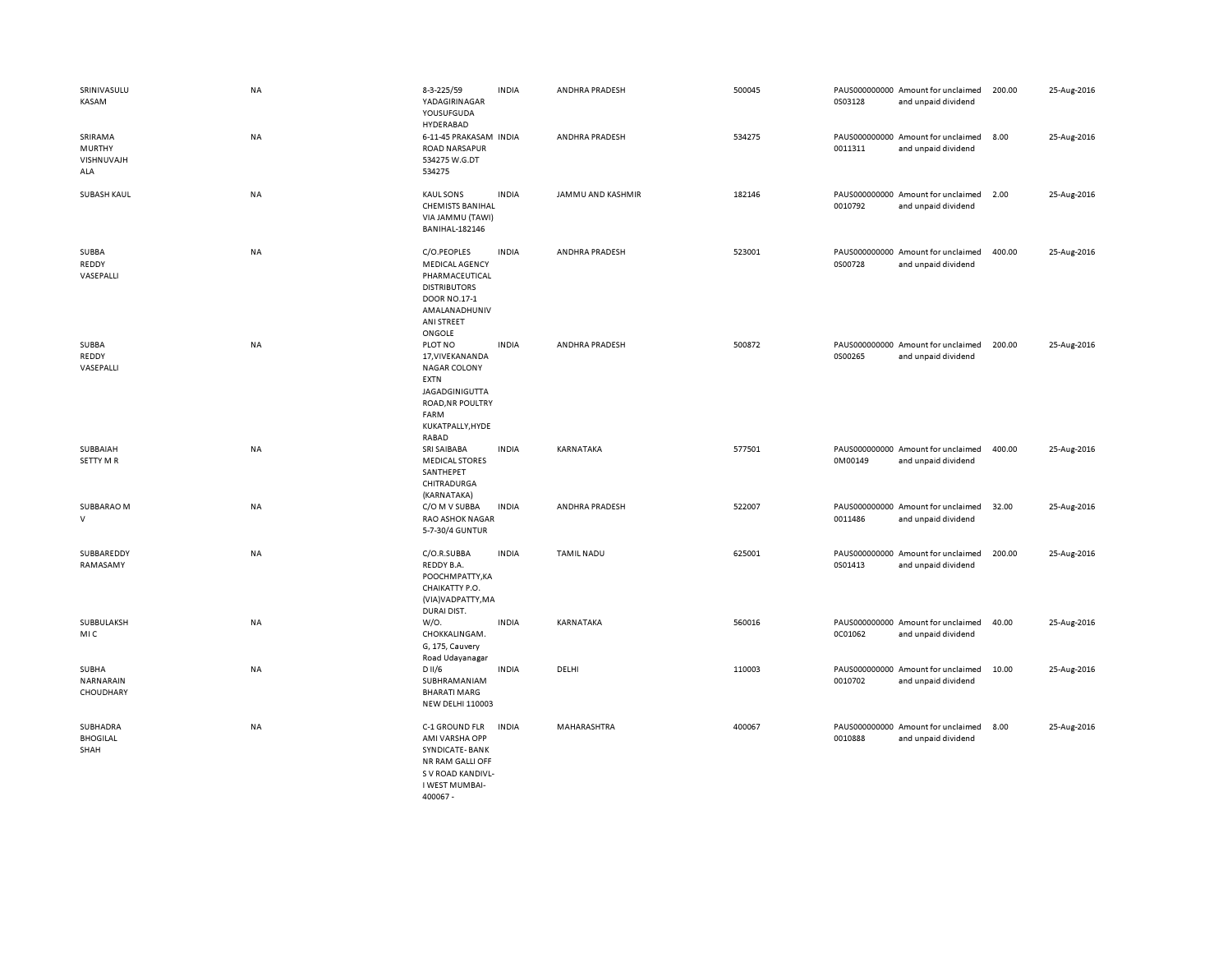| SRINIVASULU<br>KASAM                          | NA        | 8-3-225/59<br>YADAGIRINAGAR<br>YOUSUFGUDA                                                                                                      | <b>INDIA</b> | ANDHRA PRADESH        | 500045 | 0S03128 | PAUS000000000 Amount for unclaimed<br>and unpaid dividend | 200.00 | 25-Aug-2016 |
|-----------------------------------------------|-----------|------------------------------------------------------------------------------------------------------------------------------------------------|--------------|-----------------------|--------|---------|-----------------------------------------------------------|--------|-------------|
| SRIRAMA<br><b>MURTHY</b><br>VISHNUVAJH<br>ALA | <b>NA</b> | HYDERABAD<br>6-11-45 PRAKASAM INDIA<br><b>ROAD NARSAPUR</b><br>534275 W.G.DT<br>534275                                                         |              | <b>ANDHRA PRADESH</b> | 534275 | 0011311 | PAUS000000000 Amount for unclaimed<br>and unpaid dividend | 8.00   | 25-Aug-2016 |
| <b>SUBASH KAUL</b>                            | NA        | <b>KAUL SONS</b><br><b>CHEMISTS BANIHAL</b><br>VIA JAMMU (TAWI)<br><b>BANIHAL-182146</b>                                                       | <b>INDIA</b> | JAMMU AND KASHMIR     | 182146 | 0010792 | PAUS000000000 Amount for unclaimed<br>and unpaid dividend | 2.00   | 25-Aug-2016 |
| SUBBA<br>REDDY<br>VASEPALLI                   | NA        | C/O.PEOPLES<br><b>MEDICAL AGENCY</b><br>PHARMACEUTICAL<br><b>DISTRIBUTORS</b><br>DOOR NO.17-1<br>AMALANADHUNIV<br>ANI STREET<br>ONGOLE         | <b>INDIA</b> | ANDHRA PRADESH        | 523001 | 0S00728 | PAUS000000000 Amount for unclaimed<br>and unpaid dividend | 400.00 | 25-Aug-2016 |
| SUBBA<br>REDDY<br>VASEPALLI                   | NA        | PLOT NO<br>17, VIVE KAN AN DA<br><b>NAGAR COLONY</b><br><b>EXTN</b><br>JAGADGINIGUTTA<br>ROAD, NR POULTRY<br>FARM<br>KUKATPALLY, HYDE<br>RABAD | <b>INDIA</b> | ANDHRA PRADESH        | 500872 | 0S00265 | PAUS000000000 Amount for unclaimed<br>and unpaid dividend | 200.00 | 25-Aug-2016 |
| SUBBAIAH<br><b>SETTY MR</b>                   | <b>NA</b> | <b>SRI SAIBABA</b><br><b>MEDICAL STORES</b><br>SANTHEPET<br>CHITRADURGA<br>(KARNATAKA)                                                         | <b>INDIA</b> | KARNATAKA             | 577501 | 0M00149 | PAUS000000000 Amount for unclaimed<br>and unpaid dividend | 400.00 | 25-Aug-2016 |
| SUBBARAO M<br>$\vee$                          | NA        | C/O M V SUBBA<br><b>RAO ASHOK NAGAR</b><br>5-7-30/4 GUNTUR                                                                                     | <b>INDIA</b> | ANDHRA PRADESH        | 522007 | 0011486 | PAUS000000000 Amount for unclaimed<br>and unpaid dividend | 32.00  | 25-Aug-2016 |
| SUBBAREDDY<br>RAMASAMY                        | <b>NA</b> | C/O.R.SUBBA<br>REDDY B.A.<br>POOCHMPATTY, KA<br>CHAIKATTY P.O.<br>(VIA) VADPATTY, MA<br>DURAI DIST.                                            | <b>INDIA</b> | <b>TAMIL NADU</b>     | 625001 | 0S01413 | PAUS000000000 Amount for unclaimed<br>and unpaid dividend | 200.00 | 25-Aug-2016 |
| SUBBULAKSH<br><b>MIC</b>                      | <b>NA</b> | W/0.<br>CHOKKALINGAM.<br>G, 175, Cauvery<br>Road Udayanagar                                                                                    | <b>INDIA</b> | KARNATAKA             | 560016 | 0C01062 | PAUS000000000 Amount for unclaimed<br>and unpaid dividend | 40.00  | 25-Aug-2016 |
| SUBHA<br>NARNARAIN<br>CHOUDHARY               | NA        | D II/6<br>SUBHRAMANIAM<br><b>BHARATI MARG</b><br><b>NEW DELHI 110003</b>                                                                       | <b>INDIA</b> | DELHI                 | 110003 | 0010702 | PAUS000000000 Amount for unclaimed<br>and unpaid dividend | 10.00  | 25-Aug-2016 |
| SUBHADRA<br><b>BHOGILAL</b><br>SHAH           | NA        | C-1 GROUND FLR<br>AMI VARSHA OPP<br>SYNDICATE-BANK<br>NR RAM GALLI OFF<br>S V ROAD KANDIVL-<br>I WEST MUMBAI-                                  | <b>INDIA</b> | MAHARASHTRA           | 400067 | 0010888 | PAUS000000000 Amount for unclaimed<br>and unpaid dividend | 8.00   | 25-Aug-2016 |

400067 -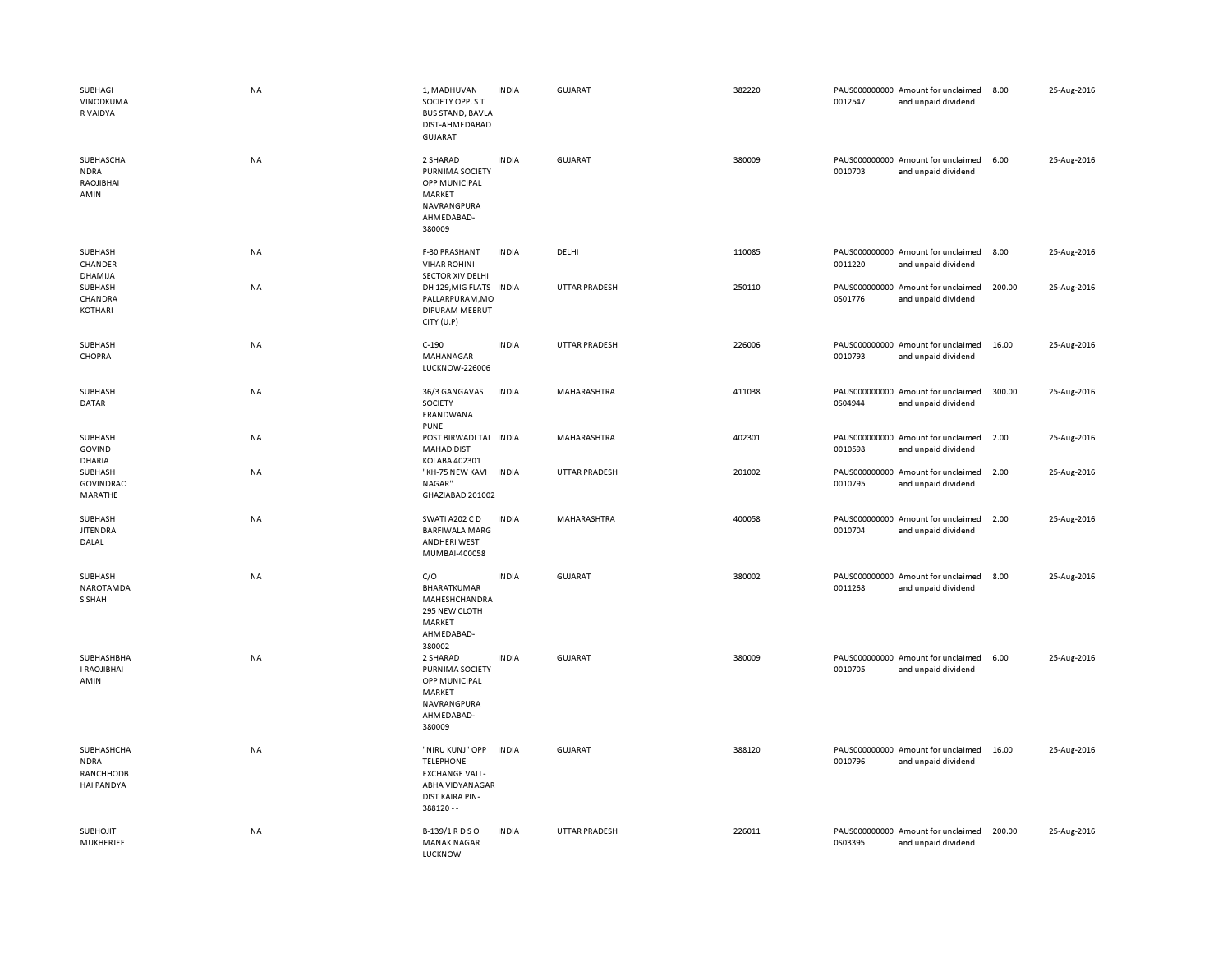| SUBHAGI<br>VINODKUMA<br>R VAIDYA                     | <b>NA</b> | 1, MADHUVAN<br>SOCIETY OPP. S T<br><b>BUS STAND, BAVLA</b><br>DIST-AHMEDABAD<br>GUJARAT                         | <b>INDIA</b> | <b>GUJARAT</b>       | 382220 | 0012547 | PAUS000000000 Amount for unclaimed<br>and unpaid dividend | 8.00   | 25-Aug-2016 |
|------------------------------------------------------|-----------|-----------------------------------------------------------------------------------------------------------------|--------------|----------------------|--------|---------|-----------------------------------------------------------|--------|-------------|
| SUBHASCHA<br><b>NDRA</b><br>RAOJIBHAI<br>AMIN        | NA        | 2 SHARAD<br>PURNIMA SOCIETY<br>OPP MUNICIPAL<br>MARKET<br>NAVRANGPURA<br>AHMEDABAD-<br>380009                   | <b>INDIA</b> | <b>GUJARAT</b>       | 380009 | 0010703 | PAUS000000000 Amount for unclaimed<br>and unpaid dividend | 6.00   | 25-Aug-2016 |
| SUBHASH<br>CHANDER<br>DHAMIJA                        | NA        | F-30 PRASHANT<br><b>VIHAR ROHINI</b><br>SECTOR XIV DELHI                                                        | <b>INDIA</b> | DELHI                | 110085 | 0011220 | PAUS000000000 Amount for unclaimed<br>and unpaid dividend | 8.00   | 25-Aug-2016 |
| SUBHASH<br>CHANDRA<br>KOTHARI                        | NA        | DH 129, MIG FLATS IN DIA<br>PALLARPURAM, MO<br>DIPURAM MEERUT<br>CITY (U.P)                                     |              | UTTAR PRADESH        | 250110 | 0S01776 | PAUS000000000 Amount for unclaimed<br>and unpaid dividend | 200.00 | 25-Aug-2016 |
| SUBHASH<br>CHOPRA                                    | <b>NA</b> | $C-190$<br>MAHANAGAR<br><b>LUCKNOW-226006</b>                                                                   | <b>INDIA</b> | <b>UTTAR PRADESH</b> | 226006 | 0010793 | PAUS000000000 Amount for unclaimed<br>and unpaid dividend | 16.00  | 25-Aug-2016 |
| SUBHASH<br>DATAR                                     | NA        | 36/3 GANGAVAS<br>SOCIETY<br>ERANDWANA<br><b>PUNE</b>                                                            | <b>INDIA</b> | MAHARASHTRA          | 411038 | 0S04944 | PAUS000000000 Amount for unclaimed<br>and unpaid dividend | 300.00 | 25-Aug-2016 |
| SUBHASH<br><b>GOVIND</b><br><b>DHARIA</b>            | NA        | POST BIRWADI TAL INDIA<br><b>MAHAD DIST</b><br>KOLABA 402301                                                    |              | MAHARASHTRA          | 402301 | 0010598 | PAUS000000000 Amount for unclaimed<br>and unpaid dividend | 2.00   | 25-Aug-2016 |
| SUBHASH<br><b>GOVINDRAO</b><br>MARATHE               | NA        | "KH-75 NEW KAVI INDIA<br>NAGAR"<br>GHAZIABAD 201002                                                             |              | UTTAR PRADESH        | 201002 | 0010795 | PAUS000000000 Amount for unclaimed<br>and unpaid dividend | 2.00   | 25-Aug-2016 |
| SUBHASH<br><b>JITENDRA</b><br>DALAL                  | NA        | SWATI A202 C D<br><b>BARFIWALA MARG</b><br>ANDHERI WEST<br>MUMBAI-400058                                        | <b>INDIA</b> | MAHARASHTRA          | 400058 | 0010704 | PAUS000000000 Amount for unclaimed<br>and unpaid dividend | 2.00   | 25-Aug-2016 |
| SUBHASH<br>NAROTAMDA<br>S SHAH                       | NA        | C/O<br>BHARATKUMAR<br>MAHESHCHANDRA<br>295 NEW CLOTH<br>MARKET<br>AHMEDABAD-<br>380002                          | <b>INDIA</b> | GUJARAT              | 380002 | 0011268 | PAUS000000000 Amount for unclaimed<br>and unpaid dividend | 8.00   | 25-Aug-2016 |
| SUBHASHBHA<br>I RAOJIBHAI<br>AMIN                    | NA        | 2 SHARAD<br>PURNIMA SOCIETY<br>OPP MUNICIPAL<br>MARKET<br>NAVRANGPURA<br>AHMEDABAD-<br>380009                   | <b>INDIA</b> | GUJARAT              | 380009 | 0010705 | PAUS000000000 Amount for unclaimed<br>and unpaid dividend | 6.00   | 25-Aug-2016 |
| SUBHASHCHA<br><b>NDRA</b><br>RANCHHODB<br>HAI PANDYA | <b>NA</b> | "NIRU KUNJ" OPP<br><b>TELEPHONE</b><br><b>EXCHANGE VALL-</b><br>ABHA VIDYANAGAR<br>DIST KAIRA PIN-<br>388120 -- | <b>INDIA</b> | <b>GUJARAT</b>       | 388120 | 0010796 | PAUS000000000 Amount for unclaimed<br>and unpaid dividend | 16.00  | 25-Aug-2016 |
| <b>SUBHOJIT</b><br>MUKHERJEE                         | NA        | B-139/1 R D S O<br><b>MANAK NAGAR</b><br>LUCKNOW                                                                | <b>INDIA</b> | UTTAR PRADESH        | 226011 | 0S03395 | PAUS000000000 Amount for unclaimed<br>and unpaid dividend | 200.00 | 25-Aug-2016 |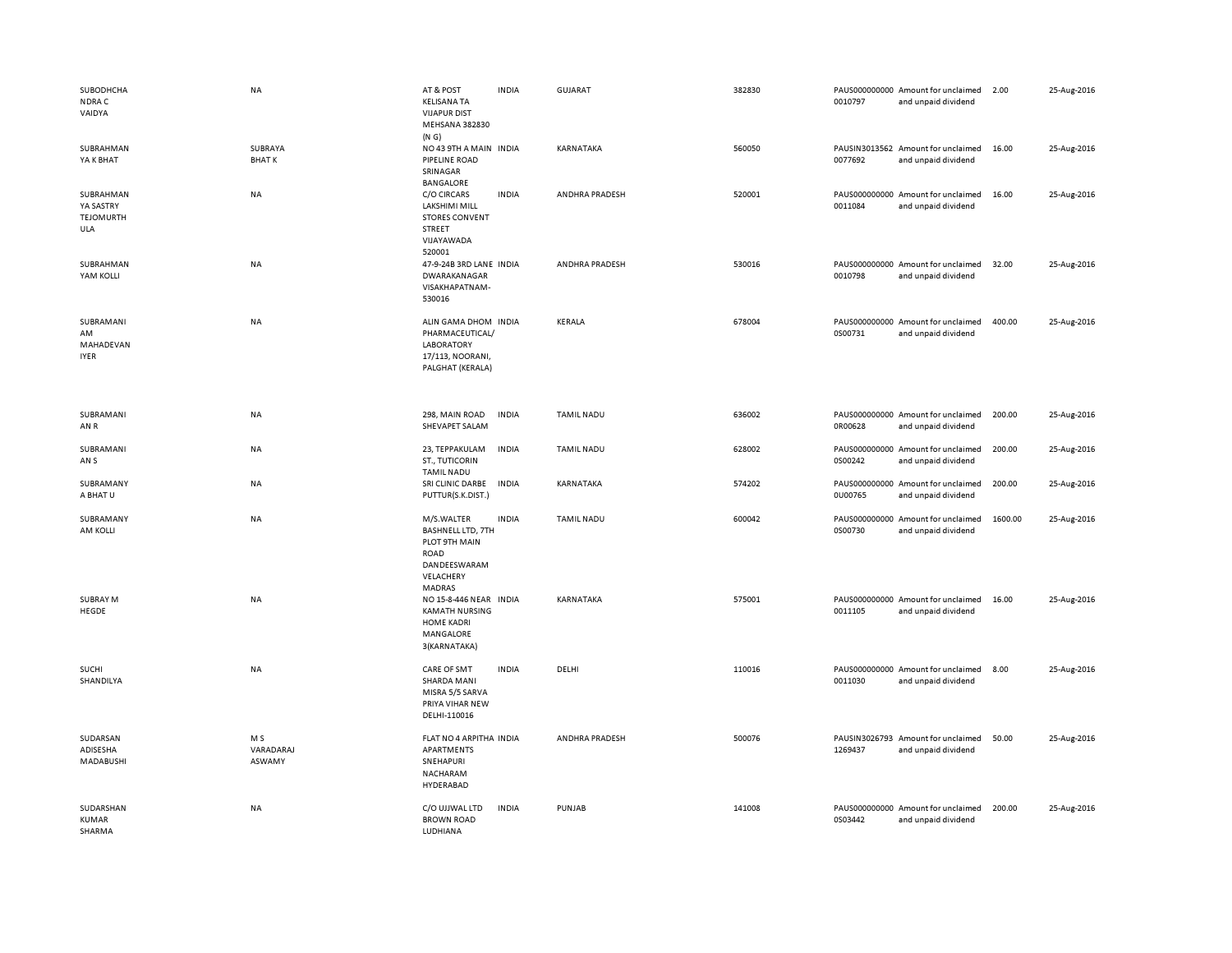| SUBODHCHA<br>NDRA C<br>VAIDYA                     | NA                         | AT & POST<br><b>KELISANA TA</b><br><b>VIJAPUR DIST</b><br>MEHSANA 382830<br>(N G)                             | <b>INDIA</b> | GUJARAT               | 382830 | 0010797 | PAUS000000000 Amount for unclaimed<br>and unpaid dividend | 2.00    | 25-Aug-2016 |
|---------------------------------------------------|----------------------------|---------------------------------------------------------------------------------------------------------------|--------------|-----------------------|--------|---------|-----------------------------------------------------------|---------|-------------|
| SUBRAHMAN<br>YA K BHAT                            | SUBRAYA<br><b>BHATK</b>    | NO 43 9TH A MAIN INDIA<br>PIPELINE ROAD<br>SRINAGAR<br><b>BANGALORE</b>                                       |              | KARNATAKA             | 560050 | 0077692 | PAUSIN3013562 Amount for unclaimed<br>and unpaid dividend | 16.00   | 25-Aug-2016 |
| SUBRAHMAN<br>YA SASTRY<br><b>TEJOMURTH</b><br>ULA | NA                         | C/O CIRCARS<br>LAKSHIMI MILL<br><b>STORES CONVENT</b><br>STREET<br>VIJAYAWADA<br>520001                       | <b>INDIA</b> | ANDHRA PRADESH        | 520001 | 0011084 | PAUS000000000 Amount for unclaimed<br>and unpaid dividend | 16.00   | 25-Aug-2016 |
| SUBRAHMAN<br>YAM KOLLI                            | NA                         | 47-9-24B 3RD LANE INDIA<br>DWARAKANAGAR<br>VISAKHAPATNAM-<br>530016                                           |              | <b>ANDHRA PRADESH</b> | 530016 | 0010798 | PAUS000000000 Amount for unclaimed<br>and unpaid dividend | 32.00   | 25-Aug-2016 |
| SUBRAMANI<br>AM<br>MAHADEVAN<br><b>IYER</b>       | NA                         | ALIN GAMA DHOM INDIA<br>PHARMACEUTICAL/<br><b>LABORATORY</b><br>17/113, NOORANI,<br>PALGHAT (KERALA)          |              | KERALA                | 678004 | 0S00731 | PAUS000000000 Amount for unclaimed<br>and unpaid dividend | 400.00  | 25-Aug-2016 |
| SUBRAMANI<br>AN R                                 | NA                         | 298, MAIN ROAD<br>SHEVAPET SALAM                                                                              | <b>INDIA</b> | <b>TAMIL NADU</b>     | 636002 | 0R00628 | PAUS000000000 Amount for unclaimed<br>and unpaid dividend | 200.00  | 25-Aug-2016 |
| SUBRAMANI<br>AN <sub>S</sub>                      | NA                         | 23, TEPPAKULAM<br>ST., TUTICORIN<br><b>TAMIL NADU</b>                                                         | <b>INDIA</b> | <b>TAMIL NADU</b>     | 628002 | 0S00242 | PAUS000000000 Amount for unclaimed<br>and unpaid dividend | 200.00  | 25-Aug-2016 |
| SUBRAMANY<br>A BHAT U                             | <b>NA</b>                  | SRI CLINIC DARBE<br>PUTTUR(S.K.DIST.)                                                                         | <b>INDIA</b> | KARNATAKA             | 574202 | 0U00765 | PAUS000000000 Amount for unclaimed<br>and unpaid dividend | 200.00  | 25-Aug-2016 |
| SUBRAMANY<br>AM KOLLI                             | NA                         | M/S.WALTER<br><b>BASHNELL LTD, 7TH</b><br>PLOT 9TH MAIN<br>ROAD<br>DANDEESWARAM<br>VELACHERY<br><b>MADRAS</b> | <b>INDIA</b> | <b>TAMIL NADU</b>     | 600042 | 0S00730 | PAUS000000000 Amount for unclaimed<br>and unpaid dividend | 1600.00 | 25-Aug-2016 |
| <b>SUBRAY M</b><br>HEGDE                          | NA                         | NO 15-8-446 NEAR INDIA<br><b>KAMATH NURSING</b><br><b>HOME KADRI</b><br>MANGALORE<br>3(KARNATAKA)             |              | KARNATAKA             | 575001 | 0011105 | PAUS000000000 Amount for unclaimed<br>and unpaid dividend | 16.00   | 25-Aug-2016 |
| SUCHI<br>SHANDILYA                                | <b>NA</b>                  | CARE OF SMT<br>SHARDA MANI<br>MISRA 5/5 SARVA<br>PRIYA VIHAR NEW<br>DELHI-110016                              | <b>INDIA</b> | DELHI                 | 110016 | 0011030 | PAUS000000000 Amount for unclaimed<br>and unpaid dividend | 8.00    | 25-Aug-2016 |
| SUDARSAN<br>ADISESHA<br>MADABUSHI                 | M S<br>VARADARAJ<br>ASWAMY | FLAT NO 4 ARPITHA INDIA<br>APARTMENTS<br>SNEHAPURI<br>NACHARAM<br>HYDERABAD                                   |              | ANDHRA PRADESH        | 500076 | 1269437 | PAUSIN3026793 Amount for unclaimed<br>and unpaid dividend | 50.00   | 25-Aug-2016 |
| SUDARSHAN<br>KUMAR<br>SHARMA                      | NA                         | C/O UJJWAL LTD<br><b>BROWN ROAD</b><br>LUDHIANA                                                               | <b>INDIA</b> | PUNJAB                | 141008 | 0S03442 | PAUS000000000 Amount for unclaimed<br>and unpaid dividend | 200.00  | 25-Aug-2016 |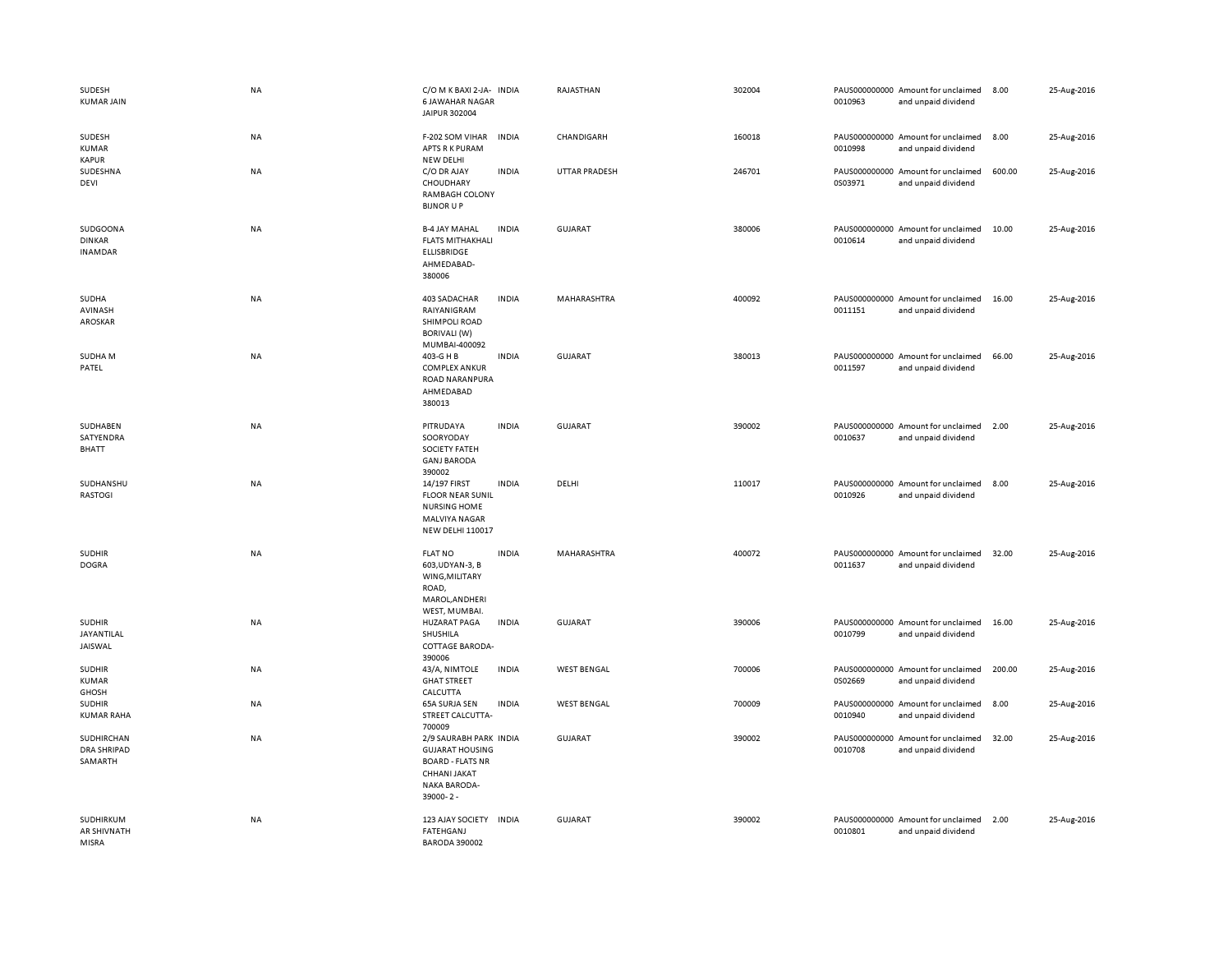| SUDESH<br><b>KUMAR JAIN</b>                   | <b>NA</b> | C/O M K BAXI 2-JA- INDIA<br><b>6 JAWAHAR NAGAR</b><br>JAIPUR 302004                                                            |              | RAJASTHAN            | 302004 | 0010963 | PAUS000000000 Amount for unclaimed<br>and unpaid dividend | 8.00   | 25-Aug-2016 |
|-----------------------------------------------|-----------|--------------------------------------------------------------------------------------------------------------------------------|--------------|----------------------|--------|---------|-----------------------------------------------------------|--------|-------------|
| SUDESH<br><b>KUMAR</b><br><b>KAPUR</b>        | NA        | F-202 SOM VIHAR<br>APTS R K PURAM<br><b>NEW DELHI</b>                                                                          | <b>INDIA</b> | CHANDIGARH           | 160018 | 0010998 | PAUS000000000 Amount for unclaimed<br>and unpaid dividend | 8.00   | 25-Aug-2016 |
| SUDESHNA<br>DEVI                              | NA        | C/O DR AJAY<br>CHOUDHARY<br>RAMBAGH COLONY<br><b>BIJNOR U P</b>                                                                | <b>INDIA</b> | <b>UTTAR PRADESH</b> | 246701 | 0S03971 | PAUS000000000 Amount for unclaimed<br>and unpaid dividend | 600.00 | 25-Aug-2016 |
| SUDGOONA<br><b>DINKAR</b><br><b>INAMDAR</b>   | NA        | <b>B-4 JAY MAHAL</b><br><b>FLATS MITHAKHALI</b><br>ELLISBRIDGE<br>AHMEDABAD-<br>380006                                         | <b>INDIA</b> | <b>GUJARAT</b>       | 380006 | 0010614 | PAUS000000000 Amount for unclaimed<br>and unpaid dividend | 10.00  | 25-Aug-2016 |
| SUDHA<br>AVINASH<br>AROSKAR                   | <b>NA</b> | 403 SADACHAR<br>RAIYANIGRAM<br>SHIMPOLI ROAD<br><b>BORIVALI (W)</b><br>MUMBAI-400092                                           | <b>INDIA</b> | MAHARASHTRA          | 400092 | 0011151 | PAUS000000000 Amount for unclaimed<br>and unpaid dividend | 16.00  | 25-Aug-2016 |
| SUDHA M<br>PATEL                              | <b>NA</b> | 403-G H B<br><b>COMPLEX ANKUR</b><br><b>ROAD NARANPURA</b><br>AHMEDABAD<br>380013                                              | <b>INDIA</b> | <b>GUJARAT</b>       | 380013 | 0011597 | PAUS000000000 Amount for unclaimed<br>and unpaid dividend | 66.00  | 25-Aug-2016 |
| SUDHABEN<br>SATYENDRA<br><b>BHATT</b>         | NA        | PITRUDAYA<br>SOORYODAY<br><b>SOCIETY FATEH</b><br><b>GANJ BARODA</b><br>390002                                                 | <b>INDIA</b> | <b>GUJARAT</b>       | 390002 | 0010637 | PAUS000000000 Amount for unclaimed<br>and unpaid dividend | 2.00   | 25-Aug-2016 |
| SUDHANSHU<br><b>RASTOGI</b>                   | NA        | 14/197 FIRST<br><b>FLOOR NEAR SUNIL</b><br><b>NURSING HOME</b><br><b>MALVIYA NAGAR</b><br><b>NEW DELHI 110017</b>              | <b>INDIA</b> | DELHI                | 110017 | 0010926 | PAUS000000000 Amount for unclaimed<br>and unpaid dividend | 8.00   | 25-Aug-2016 |
| <b>SUDHIR</b><br><b>DOGRA</b>                 | NA        | <b>FLAT NO</b><br>603, UDYAN-3, B<br>WING, MILITARY<br>ROAD,<br>MAROL, ANDHERI<br>WEST, MUMBAI.                                | <b>INDIA</b> | MAHARASHTRA          | 400072 | 0011637 | PAUS000000000 Amount for unclaimed<br>and unpaid dividend | 32.00  | 25-Aug-2016 |
| <b>SUDHIR</b><br>JAYANTILAL<br>JAISWAL        | NA        | <b>HUZARAT PAGA</b><br>SHUSHILA<br><b>COTTAGE BARODA-</b><br>390006                                                            | <b>INDIA</b> | <b>GUJARAT</b>       | 390006 | 0010799 | PAUS000000000 Amount for unclaimed<br>and unpaid dividend | 16.00  | 25-Aug-2016 |
| <b>SUDHIR</b><br><b>KUMAR</b><br><b>GHOSH</b> | <b>NA</b> | 43/A, NIMTOLE<br><b>GHAT STREET</b><br>CALCUTTA                                                                                | <b>INDIA</b> | <b>WEST BENGAL</b>   | 700006 | 0S02669 | PAUS000000000 Amount for unclaimed<br>and unpaid dividend | 200.00 | 25-Aug-2016 |
| <b>SUDHIR</b><br><b>KUMAR RAHA</b>            | NA        | 65A SURJA SEN<br>STREET CALCUTTA-<br>700009                                                                                    | <b>INDIA</b> | <b>WEST BENGAL</b>   | 700009 | 0010940 | PAUS000000000 Amount for unclaimed<br>and unpaid dividend | 8.00   | 25-Aug-2016 |
| SUDHIRCHAN<br><b>DRA SHRIPAD</b><br>SAMARTH   | NA        | 2/9 SAURABH PARK INDIA<br><b>GUJARAT HOUSING</b><br><b>BOARD - FLATS NR</b><br>CHHANI JAKAT<br><b>NAKA BARODA-</b><br>39000-2- |              | <b>GUJARAT</b>       | 390002 | 0010708 | PAUS000000000 Amount for unclaimed<br>and unpaid dividend | 32.00  | 25-Aug-2016 |
| SUDHIRKUM<br><b>AR SHIVNATH</b><br>MISRA      | ΝA        | 123 AJAY SOCIETY<br><b>FATEHGANJ</b><br><b>BARODA 390002</b>                                                                   | <b>INDIA</b> | <b>GUJARAT</b>       | 390002 | 0010801 | PAUS000000000 Amount for unclaimed<br>and unpaid dividend | 2.00   | 25-Aug-2016 |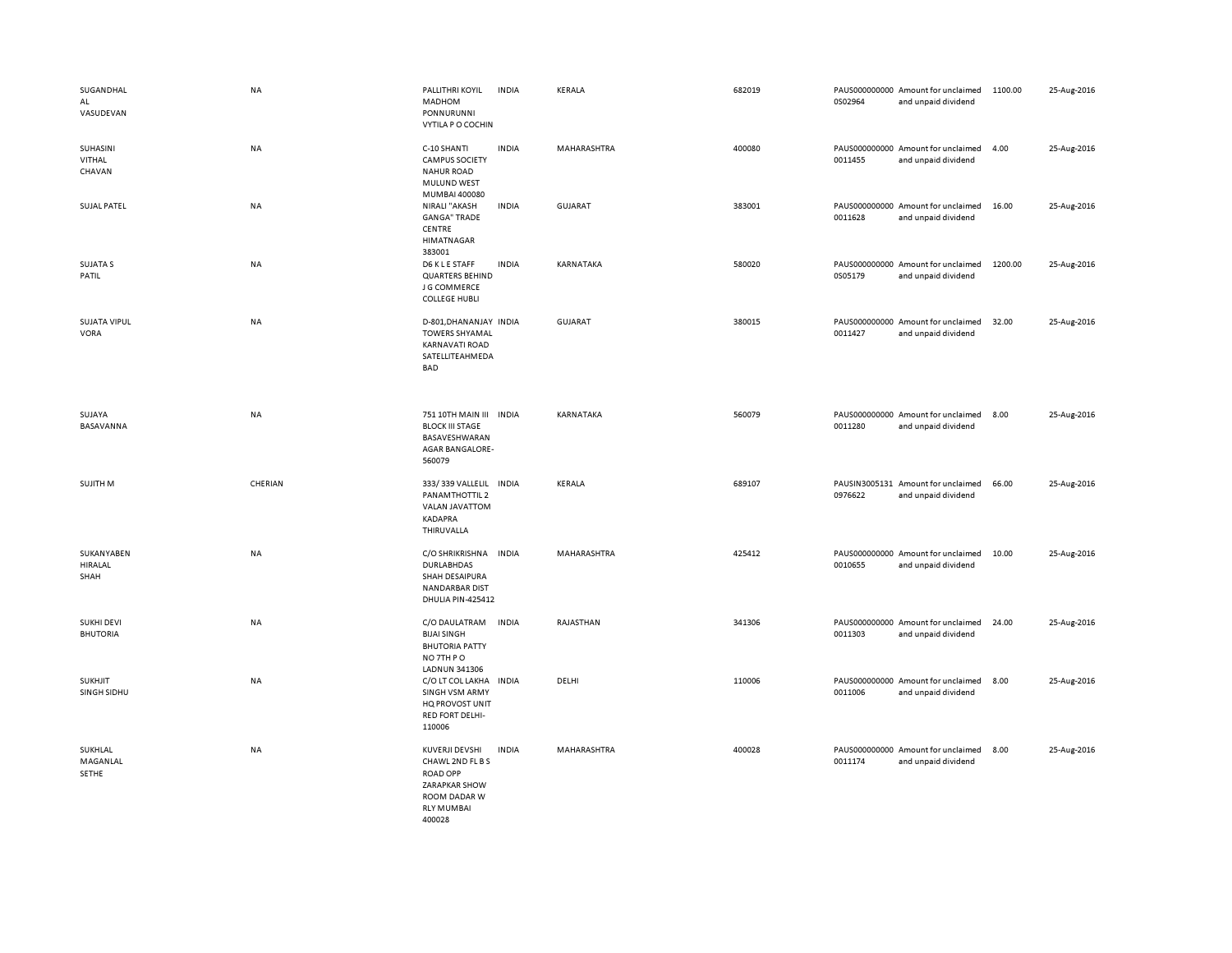| SUGANDHAL<br>AL<br>VASUDEVAN         | NA        | PALLITHRI KOYIL<br>MADHOM<br>PONNURUNNI<br>VYTILA P O COCHIN                                                          | <b>INDIA</b> | KERALA         | 682019 | 0S02964 | PAUS000000000 Amount for unclaimed<br>and unpaid dividend | 1100.00 | 25-Aug-2016 |
|--------------------------------------|-----------|-----------------------------------------------------------------------------------------------------------------------|--------------|----------------|--------|---------|-----------------------------------------------------------|---------|-------------|
| SUHASINI<br>VITHAL<br>CHAVAN         | NA        | C-10 SHANTI<br><b>CAMPUS SOCIETY</b><br><b>NAHUR ROAD</b><br>MULUND WEST<br>MUMBAI 400080                             | <b>INDIA</b> | MAHARASHTRA    | 400080 | 0011455 | PAUS000000000 Amount for unclaimed<br>and unpaid dividend | 4.00    | 25-Aug-2016 |
| <b>SUJAL PATEL</b>                   | <b>NA</b> | NIRALI "AKASH<br><b>GANGA" TRADE</b><br>CENTRE<br><b>HIMATNAGAR</b><br>383001                                         | <b>INDIA</b> | GUJARAT        | 383001 | 0011628 | PAUS000000000 Amount for unclaimed<br>and unpaid dividend | 16.00   | 25-Aug-2016 |
| <b>SUJATA S</b><br>PATIL             | NA        | D6 K L E STAFF<br><b>QUARTERS BEHIND</b><br>J G COMMERCE<br><b>COLLEGE HUBLI</b>                                      | <b>INDIA</b> | KARNATAKA      | 580020 | 0S05179 | PAUS000000000 Amount for unclaimed<br>and unpaid dividend | 1200.00 | 25-Aug-2016 |
| <b>SUJATA VIPUL</b><br>VORA          | NA        | D-801, DHANANJAY INDIA<br><b>TOWERS SHYAMAL</b><br><b>KARNAVATI ROAD</b><br>SATELLITEAHMEDA<br><b>BAD</b>             |              | <b>GUJARAT</b> | 380015 | 0011427 | PAUS000000000 Amount for unclaimed<br>and unpaid dividend | 32.00   | 25-Aug-2016 |
| SUJAYA<br>BASAVANNA                  | NA        | 751 10TH MAIN III<br><b>BLOCK III STAGE</b><br>BASAVESHWARAN<br>AGAR BANGALORE-<br>560079                             | <b>INDIA</b> | KARNATAKA      | 560079 | 0011280 | PAUS000000000 Amount for unclaimed<br>and unpaid dividend | 8.00    | 25-Aug-2016 |
| SUJITH M                             | CHERIAN   | 333/339 VALLELIL INDIA<br>PANAMTHOTTIL 2<br>VALAN JAVATTOM<br><b>KADAPRA</b><br>THIRUVALLA                            |              | KERALA         | 689107 | 0976622 | PAUSIN3005131 Amount for unclaimed<br>and unpaid dividend | 66.00   | 25-Aug-2016 |
| SUKANYABEN<br>HIRALAL<br>SHAH        | NA        | C/O SHRIKRISHNA<br><b>DURLABHDAS</b><br>SHAH DESAIPURA<br><b>NANDARBAR DIST</b><br>DHULIA PIN-425412                  | <b>INDIA</b> | MAHARASHTRA    | 425412 | 0010655 | PAUS000000000 Amount for unclaimed<br>and unpaid dividend | 10.00   | 25-Aug-2016 |
| <b>SUKHI DEVI</b><br><b>BHUTORIA</b> | NA        | C/O DAULATRAM<br><b>BIJAI SINGH</b><br><b>BHUTORIA PATTY</b><br>NO 7TH PO<br>LADNUN 341306                            | <b>INDIA</b> | RAJASTHAN      | 341306 | 0011303 | PAUS000000000 Amount for unclaimed<br>and unpaid dividend | 24.00   | 25-Aug-2016 |
| <b>SUKHJIT</b><br>SINGH SIDHU        | <b>NA</b> | C/O LT COL LAKHA INDIA<br>SINGH VSM ARMY<br>HQ PROVOST UNIT<br><b>RED FORT DELHI-</b><br>110006                       |              | DELHI          | 110006 | 0011006 | PAUS000000000 Amount for unclaimed<br>and unpaid dividend | 8.00    | 25-Aug-2016 |
| SUKHLAL<br>MAGANLAL<br>SETHE         | <b>NA</b> | KUVERJI DEVSHI<br>CHAWL 2ND FL B S<br><b>ROAD OPP</b><br>ZARAPKAR SHOW<br>ROOM DADAR W<br><b>RLY MUMBAI</b><br>400028 | <b>INDIA</b> | MAHARASHTRA    | 400028 | 0011174 | PAUS000000000 Amount for unclaimed<br>and unpaid dividend | 8.00    | 25-Aug-2016 |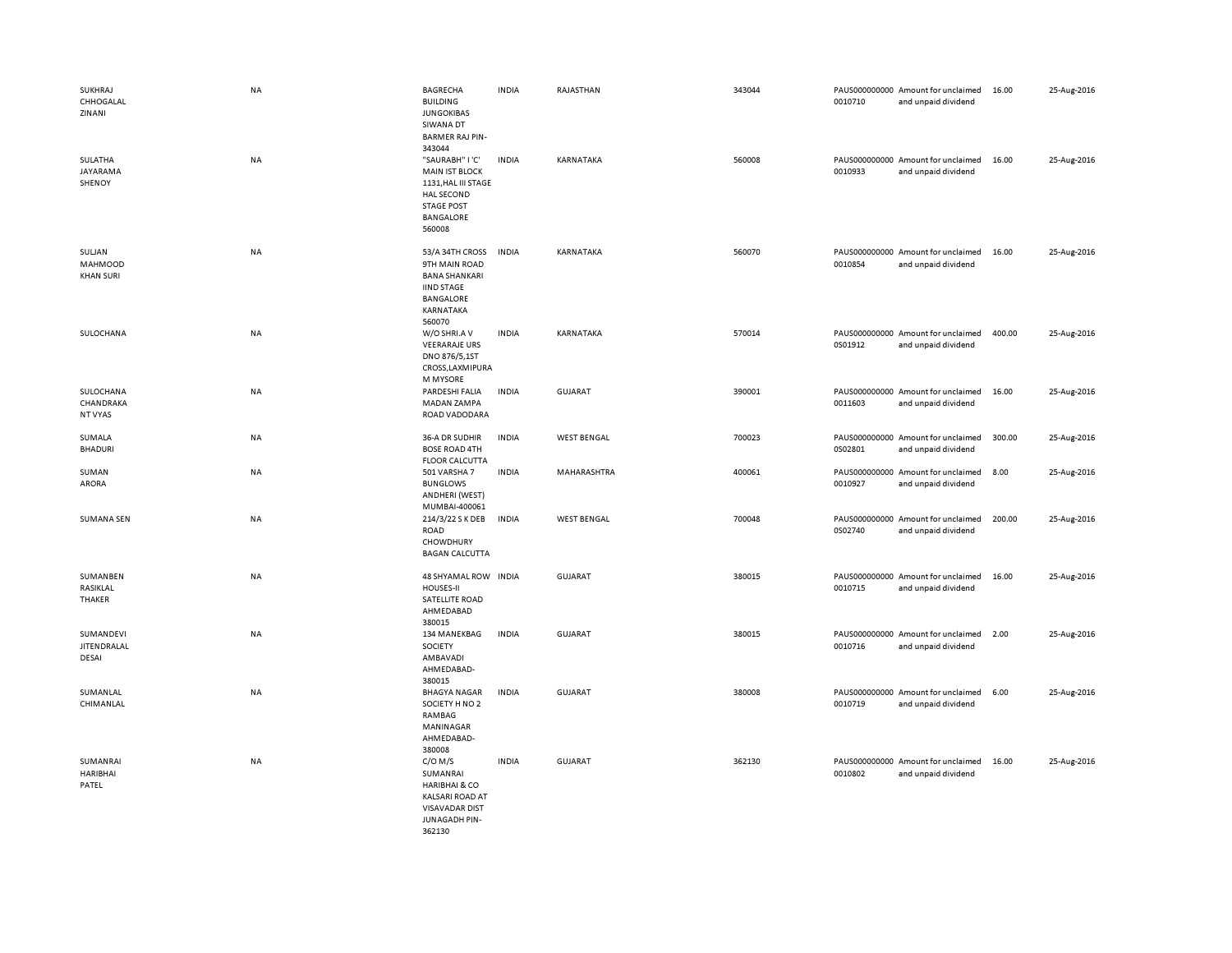| SUKHRAJ<br>CHHOGALAL<br>ZINANI               | <b>NA</b> | <b>BAGRECHA</b><br><b>BUILDING</b><br><b>JUNGOKIBAS</b><br>SIWANA DT<br><b>BARMER RAJ PIN-</b>                                            | <b>INDIA</b> | RAJASTHAN          | 343044 | 0010710 | PAUS000000000 Amount for unclaimed<br>and unpaid dividend | 16.00  | 25-Aug-2016 |
|----------------------------------------------|-----------|-------------------------------------------------------------------------------------------------------------------------------------------|--------------|--------------------|--------|---------|-----------------------------------------------------------|--------|-------------|
| SULATHA<br>JAYARAMA<br>SHENOY                | NA        | 343044<br>"SAURABH" I'C'<br><b>MAIN IST BLOCK</b><br>1131, HAL III STAGE<br>HAL SECOND<br><b>STAGE POST</b><br><b>BANGALORE</b><br>560008 | <b>INDIA</b> | KARNATAKA          | 560008 | 0010933 | PAUS000000000 Amount for unclaimed<br>and unpaid dividend | 16.00  | 25-Aug-2016 |
| SULJAN<br><b>MAHMOOD</b><br><b>KHAN SURI</b> | NA        | 53/A 34TH CROSS<br>9TH MAIN ROAD<br><b>BANA SHANKARI</b><br><b>IIND STAGE</b><br><b>BANGALORE</b><br>KARNATAKA<br>560070                  | <b>INDIA</b> | KARNATAKA          | 560070 | 0010854 | PAUS000000000 Amount for unclaimed<br>and unpaid dividend | 16.00  | 25-Aug-2016 |
| SULOCHANA                                    | NA        | W/O SHRI.A V<br><b>VEERARAJE URS</b><br>DNO 876/5,1ST<br>CROSS,LAXMIPURA<br>M MYSORE                                                      | <b>INDIA</b> | KARNATAKA          | 570014 | 0S01912 | PAUS000000000 Amount for unclaimed<br>and unpaid dividend | 400.00 | 25-Aug-2016 |
| SULOCHANA<br>CHANDRAKA<br>NT VYAS            | NA        | PARDESHI FALIA<br>MADAN ZAMPA<br>ROAD VADODARA                                                                                            | <b>INDIA</b> | <b>GUJARAT</b>     | 390001 | 0011603 | PAUS000000000 Amount for unclaimed<br>and unpaid dividend | 16.00  | 25-Aug-2016 |
| SUMALA<br><b>BHADURI</b>                     | NA        | 36-A DR SUDHIR<br><b>BOSE ROAD 4TH</b><br><b>FLOOR CALCUTTA</b>                                                                           | <b>INDIA</b> | <b>WEST BENGAL</b> | 700023 | 0S02801 | PAUS000000000 Amount for unclaimed<br>and unpaid dividend | 300.00 | 25-Aug-2016 |
| SUMAN<br>ARORA                               | NA        | 501 VARSHA 7<br><b>BUNGLOWS</b><br>ANDHERI (WEST)<br>MUMBAI-400061                                                                        | <b>INDIA</b> | MAHARASHTRA        | 400061 | 0010927 | PAUS000000000 Amount for unclaimed<br>and unpaid dividend | 8.00   | 25-Aug-2016 |
| <b>SUMANA SEN</b>                            | <b>NA</b> | 214/3/22 S K DEB<br><b>ROAD</b><br>CHOWDHURY<br><b>BAGAN CALCUTTA</b>                                                                     | <b>INDIA</b> | <b>WEST BENGAL</b> | 700048 | 0S02740 | PAUS000000000 Amount for unclaimed<br>and unpaid dividend | 200.00 | 25-Aug-2016 |
| SUMANBEN<br>RASIKLAL<br>THAKER               | NA        | 48 SHYAMAL ROW INDIA<br>HOUSES-II<br>SATELLITE ROAD<br>AHMEDABAD<br>380015                                                                |              | <b>GUJARAT</b>     | 380015 | 0010715 | PAUS000000000 Amount for unclaimed<br>and unpaid dividend | 16.00  | 25-Aug-2016 |
| SUMANDEVI<br><b>JITEN DRALAL</b><br>DESAI    | NA        | 134 MANEKBAG<br>SOCIETY<br>AMBAVADI<br>AHMEDABAD-<br>380015                                                                               | <b>INDIA</b> | <b>GUJARAT</b>     | 380015 | 0010716 | PAUS000000000 Amount for unclaimed<br>and unpaid dividend | 2.00   | 25-Aug-2016 |
| SUMANLAL<br>CHIMANLAL                        | NA        | <b>BHAGYA NAGAR</b><br>SOCIETY H NO 2<br>RAMBAG<br>MANINAGAR<br>AHMEDABAD-<br>380008                                                      | <b>INDIA</b> | <b>GUJARAT</b>     | 380008 | 0010719 | PAUS000000000 Amount for unclaimed<br>and unpaid dividend | 6.00   | 25-Aug-2016 |
| SUMANRAI<br><b>HARIBHAI</b><br>PATEL         | NA        | $C/O$ M/S<br>SUMANRAI<br><b>HARIBHAI &amp; CO</b><br><b>KALSARI ROAD AT</b><br><b>VISAVADAR DIST</b><br><b>JUNAGADH PIN-</b><br>362130    | <b>INDIA</b> | <b>GUJARAT</b>     | 362130 | 0010802 | PAUS000000000 Amount for unclaimed<br>and unpaid dividend | 16.00  | 25-Aug-2016 |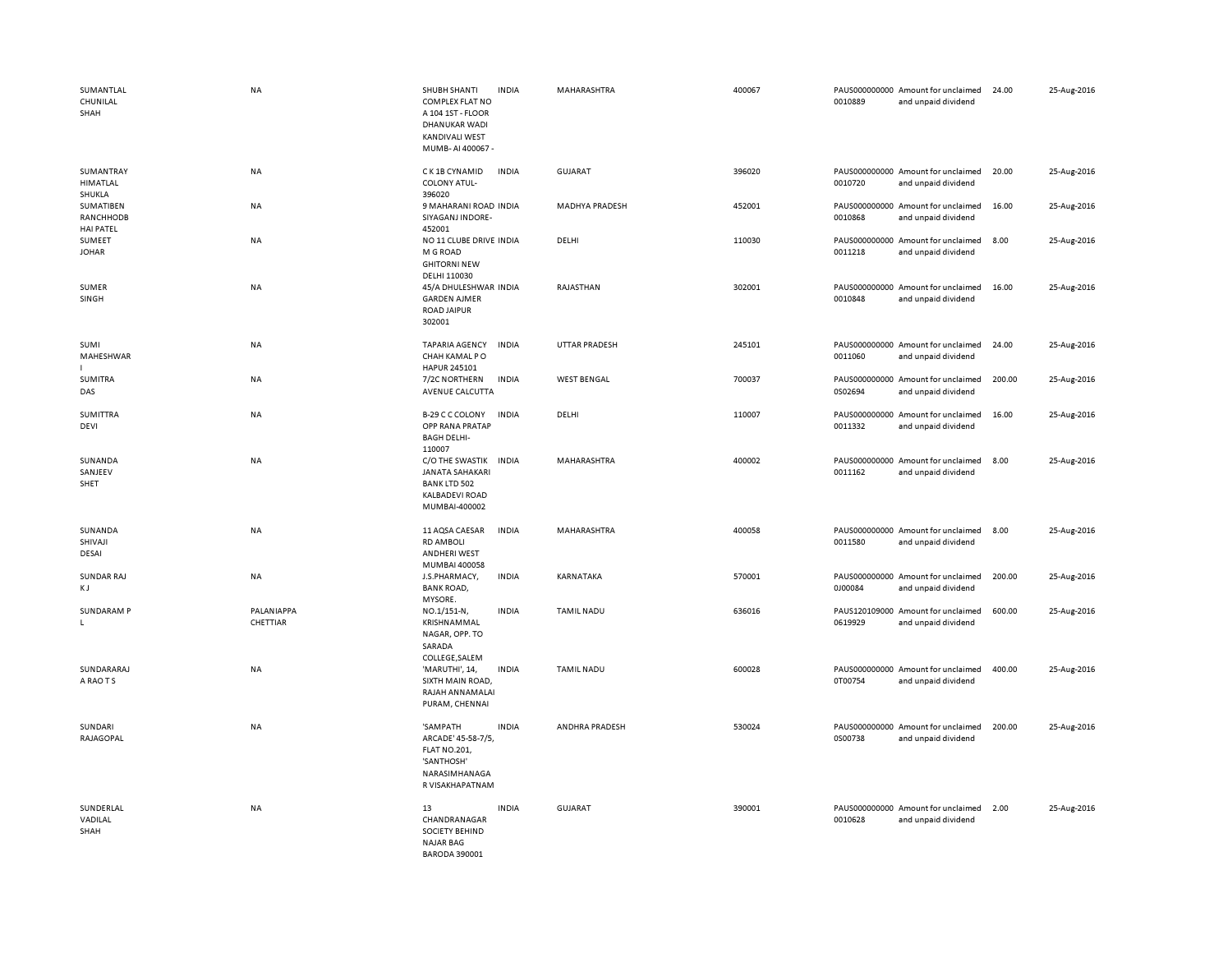| SUMANTLAL<br>CHUNILAL<br>SHAH              | <b>NA</b>              | SHUBH SHANTI<br><b>INDIA</b><br><b>COMPLEX FLAT NO</b><br>A 104 1ST - FLOOR<br><b>DHANUKAR WADI</b><br>KANDIVALI WEST<br>MUMB-AI 400067 - | MAHARASHTRA           | 400067 | 0010889 | PAUS000000000 Amount for unclaimed<br>and unpaid dividend | 24.00  | 25-Aug-2016 |
|--------------------------------------------|------------------------|-------------------------------------------------------------------------------------------------------------------------------------------|-----------------------|--------|---------|-----------------------------------------------------------|--------|-------------|
| SUMANTRAY<br>HIMATLAL<br>SHUKLA            | NA                     | C K 1B CYNAMID<br><b>INDIA</b><br><b>COLONY ATUL-</b><br>396020                                                                           | GUJARAT               | 396020 | 0010720 | PAUS000000000 Amount for unclaimed<br>and unpaid dividend | 20.00  | 25-Aug-2016 |
| SUMATIBEN<br>RANCHHODB<br><b>HAI PATEL</b> | NA                     | 9 MAHARANI ROAD INDIA<br>SIYAGANJ INDORE-<br>452001                                                                                       | <b>MADHYA PRADESH</b> | 452001 | 0010868 | PAUS000000000 Amount for unclaimed<br>and unpaid dividend | 16.00  | 25-Aug-2016 |
| SUMEET<br><b>JOHAR</b>                     | NA                     | NO 11 CLUBE DRIVE INDIA<br>M G ROAD<br><b>GHITORNI NEW</b><br>DELHI 110030                                                                | DELHI                 | 110030 | 0011218 | PAUS000000000 Amount for unclaimed<br>and unpaid dividend | 8.00   | 25-Aug-2016 |
| SUMER<br>SINGH                             | <b>NA</b>              | 45/A DHULESHWAR INDIA<br><b>GARDEN AJMER</b><br><b>ROAD JAIPUR</b><br>302001                                                              | RAJASTHAN             | 302001 | 0010848 | PAUS000000000 Amount for unclaimed<br>and unpaid dividend | 16.00  | 25-Aug-2016 |
| SUMI<br>MAHESHWAR                          | NA                     | <b>TAPARIA AGENCY</b><br><b>INDIA</b><br>CHAH KAMAL PO<br>HAPUR 245101                                                                    | <b>UTTAR PRADESH</b>  | 245101 | 0011060 | PAUS000000000 Amount for unclaimed<br>and unpaid dividend | 24.00  | 25-Aug-2016 |
| SUMITRA<br>DAS                             | NA                     | 7/2C NORTHERN<br><b>INDIA</b><br>AVENUE CALCUTTA                                                                                          | <b>WEST BENGAL</b>    | 700037 | 0S02694 | PAUS000000000 Amount for unclaimed<br>and unpaid dividend | 200.00 | 25-Aug-2016 |
| <b>SUMITTRA</b><br>DEVI                    | NA                     | B-29 C C COLONY<br><b>INDIA</b><br>OPP RANA PRATAP<br><b>BAGH DELHI-</b><br>110007                                                        | DELHI                 | 110007 | 0011332 | PAUS000000000 Amount for unclaimed<br>and unpaid dividend | 16.00  | 25-Aug-2016 |
| SUNANDA<br>SANJEEV<br>SHET                 | NA                     | C/O THE SWASTIK<br><b>INDIA</b><br><b>JANATA SAHAKARI</b><br><b>BANK LTD 502</b><br><b>KALBADEVI ROAD</b><br>MUMBAI-400002                | MAHARASHTRA           | 400002 | 0011162 | PAUS000000000 Amount for unclaimed<br>and unpaid dividend | 8.00   | 25-Aug-2016 |
| SUNANDA<br>SHIVAJI<br>DESAI                | NA                     | 11 AQSA CAESAR<br><b>INDIA</b><br><b>RD AMBOLI</b><br>ANDHERI WEST<br>MUMBAI 400058                                                       | MAHARASHTRA           | 400058 | 0011580 | PAUS000000000 Amount for unclaimed<br>and unpaid dividend | 8.00   | 25-Aug-2016 |
| <b>SUNDAR RAJ</b><br>КJ                    | NA                     | J.S.PHARMACY,<br><b>INDIA</b><br><b>BANK ROAD,</b><br>MYSORE.                                                                             | KARNATAKA             | 570001 | 0J00084 | PAUS000000000 Amount for unclaimed<br>and unpaid dividend | 200.00 | 25-Aug-2016 |
| SUNDARAM P<br>L                            | PALANIAPPA<br>CHETTIAR | NO.1/151-N,<br><b>INDIA</b><br>KRISHNAMMAL<br>NAGAR, OPP. TO<br>SARADA<br>COLLEGE, SALEM                                                  | <b>TAMIL NADU</b>     | 636016 | 0619929 | PAUS120109000 Amount for unclaimed<br>and unpaid dividend | 600.00 | 25-Aug-2016 |
| SUNDARARAJ<br>A RAO T S                    | NA                     | <b>INDIA</b><br>'MARUTHI', 14,<br>SIXTH MAIN ROAD,<br>RAJAH ANNAMALAI<br>PURAM, CHENNAI                                                   | <b>TAMIL NADU</b>     | 600028 | 0T00754 | PAUS000000000 Amount for unclaimed<br>and unpaid dividend | 400.00 | 25-Aug-2016 |
| SUNDARI<br>RAJAGOPAL                       | <b>NA</b>              | 'SAMPATH<br><b>INDIA</b><br>ARCADE' 45-58-7/5,<br><b>FLAT NO.201,</b><br>'SANTHOSH'<br>NARASIMHANAGA<br>R VISAKHAPATNAM                   | ANDHRA PRADESH        | 530024 | 0S00738 | PAUS000000000 Amount for unclaimed<br>and unpaid dividend | 200.00 | 25-Aug-2016 |
| SUNDERLAL<br>VADILAL<br>SHAH               | <b>NA</b>              | 13<br><b>INDIA</b><br>CHANDRANAGAR<br>SOCIETY BEHIND<br><b>NAJAR BAG</b><br><b>BARODA 390001</b>                                          | <b>GUJARAT</b>        | 390001 | 0010628 | PAUS000000000 Amount for unclaimed<br>and unpaid dividend | 2.00   | 25-Aug-2016 |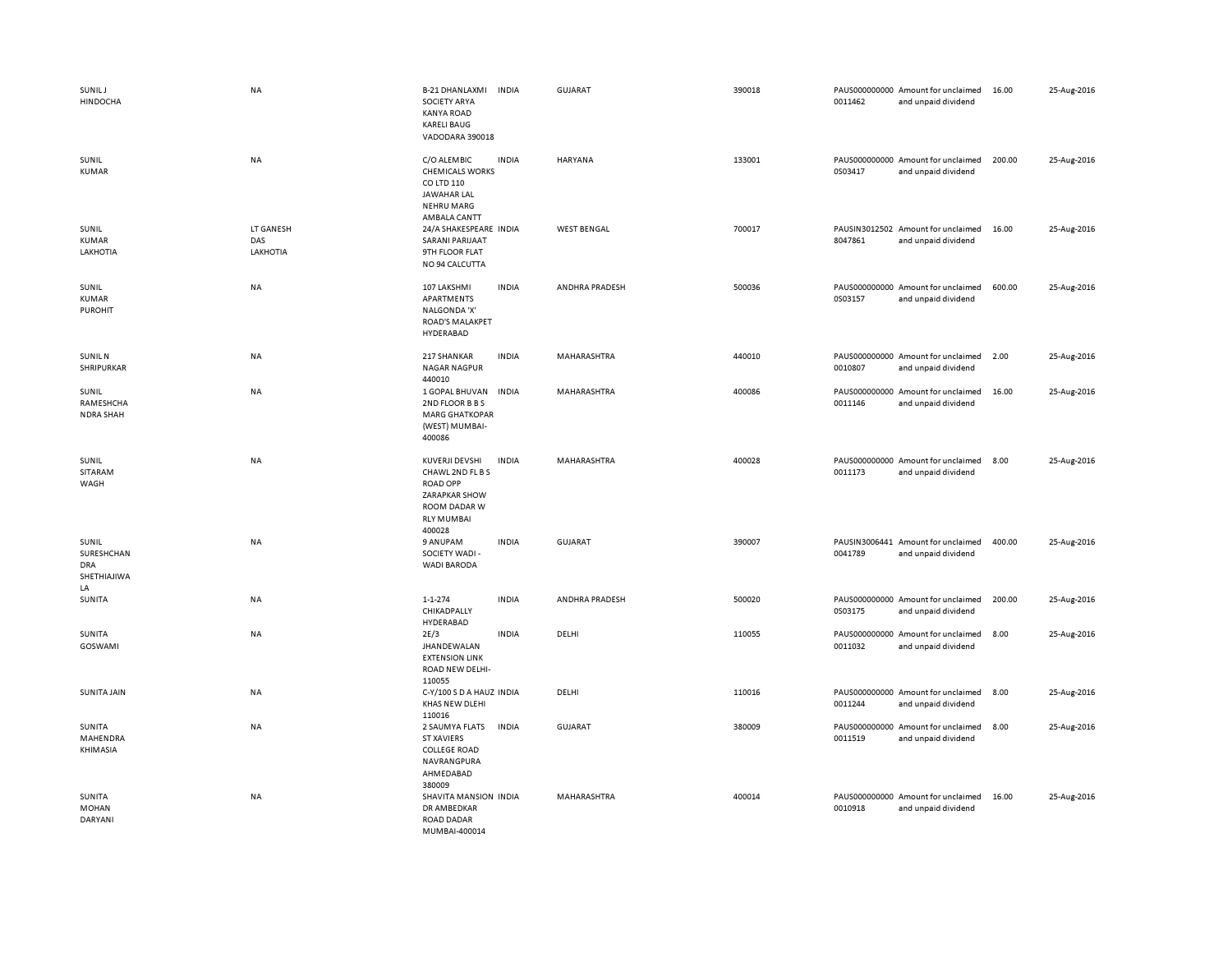| SUNIL J<br><b>HINDOCHA</b>                      | NA                           | <b>B-21 DHANLAXMI</b><br><b>SOCIETY ARYA</b><br><b>KANYA ROAD</b><br><b>KARELI BAUG</b><br>VADODARA 390018                   | <b>INDIA</b> | <b>GUJARAT</b>     | 390018 | 0011462 | PAUS000000000 Amount for unclaimed<br>and unpaid dividend | 16.00  | 25-Aug-2016 |
|-------------------------------------------------|------------------------------|------------------------------------------------------------------------------------------------------------------------------|--------------|--------------------|--------|---------|-----------------------------------------------------------|--------|-------------|
| SUNIL<br><b>KUMAR</b>                           | NA                           | C/O ALEMBIC<br><b>CHEMICALS WORKS</b><br>CO LTD 110<br>JAWAHAR LAL<br><b>NEHRU MARG</b><br>AMBALA CANTT                      | <b>INDIA</b> | <b>HARYANA</b>     | 133001 | 0S03417 | PAUS000000000 Amount for unclaimed<br>and unpaid dividend | 200.00 | 25-Aug-2016 |
| SUNIL<br><b>KUMAR</b><br>LAKHOTIA               | LT GANESH<br>DAS<br>LAKHOTIA | 24/A SHAKESPEARE INDIA<br><b>SARANI PARIJAAT</b><br>9TH FLOOR FLAT<br>NO 94 CALCUTTA                                         |              | <b>WEST BENGAL</b> | 700017 | 8047861 | PAUSIN3012502 Amount for unclaimed<br>and unpaid dividend | 16.00  | 25-Aug-2016 |
| SUNIL<br><b>KUMAR</b><br><b>PUROHIT</b>         | NA                           | 107 LAKSHMI<br>APARTMENTS<br>NALGONDA 'X'<br>ROAD'S MALAKPET<br>HYDERABAD                                                    | <b>INDIA</b> | ANDHRA PRADESH     | 500036 | 0S03157 | PAUS000000000 Amount for unclaimed<br>and unpaid dividend | 600.00 | 25-Aug-2016 |
| <b>SUNIL N</b><br>SHRIPURKAR                    | NA                           | 217 SHANKAR<br><b>NAGAR NAGPUR</b><br>440010                                                                                 | <b>INDIA</b> | MAHARASHTRA        | 440010 | 0010807 | PAUS000000000 Amount for unclaimed<br>and unpaid dividend | 2.00   | 25-Aug-2016 |
| SUNIL<br>RAMESHCHA<br><b>NDRA SHAH</b>          | NA                           | 1 GOPAL BHUVAN<br>2ND FLOOR B B S<br><b>MARG GHATKOPAR</b><br>(WEST) MUMBAI-<br>400086                                       | <b>INDIA</b> | MAHARASHTRA        | 400086 | 0011146 | PAUS000000000 Amount for unclaimed<br>and unpaid dividend | 16.00  | 25-Aug-2016 |
| SUNIL<br><b>SITARAM</b><br>WAGH                 | NA                           | KUVERJI DEVSHI<br>CHAWL 2ND FL B S<br><b>ROAD OPP</b><br><b>ZARAPKAR SHOW</b><br>ROOM DADAR W<br><b>RLY MUMBAI</b><br>400028 | <b>INDIA</b> | MAHARASHTRA        | 400028 | 0011173 | PAUS000000000 Amount for unclaimed<br>and unpaid dividend | 8.00   | 25-Aug-2016 |
| SUNIL<br>SURESHCHAN<br>DRA<br>SHETHIAJIWA<br>LA | NA                           | 9 ANUPAM<br>SOCIETY WADI -<br><b>WADI BARODA</b>                                                                             | <b>INDIA</b> | <b>GUJARAT</b>     | 390007 | 0041789 | PAUSIN3006441 Amount for unclaimed<br>and unpaid dividend | 400.00 | 25-Aug-2016 |
| SUNITA                                          | NA                           | $1 - 1 - 274$<br>CHIKADPALLY<br>HYDERABAD                                                                                    | <b>INDIA</b> | ANDHRA PRADESH     | 500020 | 0S03175 | PAUS000000000 Amount for unclaimed<br>and unpaid dividend | 200.00 | 25-Aug-2016 |
| SUNITA<br>GOSWAMI                               | NA                           | 2E/3<br>JHANDEWALAN<br><b>EXTENSION LINK</b><br>ROAD NEW DELHI-<br>110055                                                    | <b>INDIA</b> | DELHI              | 110055 | 0011032 | PAUS000000000 Amount for unclaimed<br>and unpaid dividend | 8.00   | 25-Aug-2016 |
| <b>SUNITA JAIN</b>                              | NA                           | C-Y/100 S D A HAUZ INDIA<br>KHAS NEW DLEHI<br>110016                                                                         |              | DELHI              | 110016 | 0011244 | PAUS000000000 Amount for unclaimed<br>and unpaid dividend | 8.00   | 25-Aug-2016 |
| SUNITA<br>MAHENDRA<br>KHIMASIA                  | NA                           | 2 SAUMYA FLATS<br><b>ST XAVIERS</b><br><b>COLLEGE ROAD</b><br>NAVRANGPURA<br>AHMEDABAD<br>380009                             | <b>INDIA</b> | <b>GUJARAT</b>     | 380009 | 0011519 | PAUS000000000 Amount for unclaimed<br>and unpaid dividend | 8.00   | 25-Aug-2016 |
| SUNITA<br><b>MOHAN</b><br><b>DARYANI</b>        | NA                           | SHAVITA MANSION INDIA<br>DR AMBEDKAR<br>ROAD DADAR<br>MUMBAL400014                                                           |              | MAHARASHTRA        | 400014 | 0010918 | PAUS000000000 Amount for unclaimed<br>and unpaid dividend | 16.00  | 25-Aug-2016 |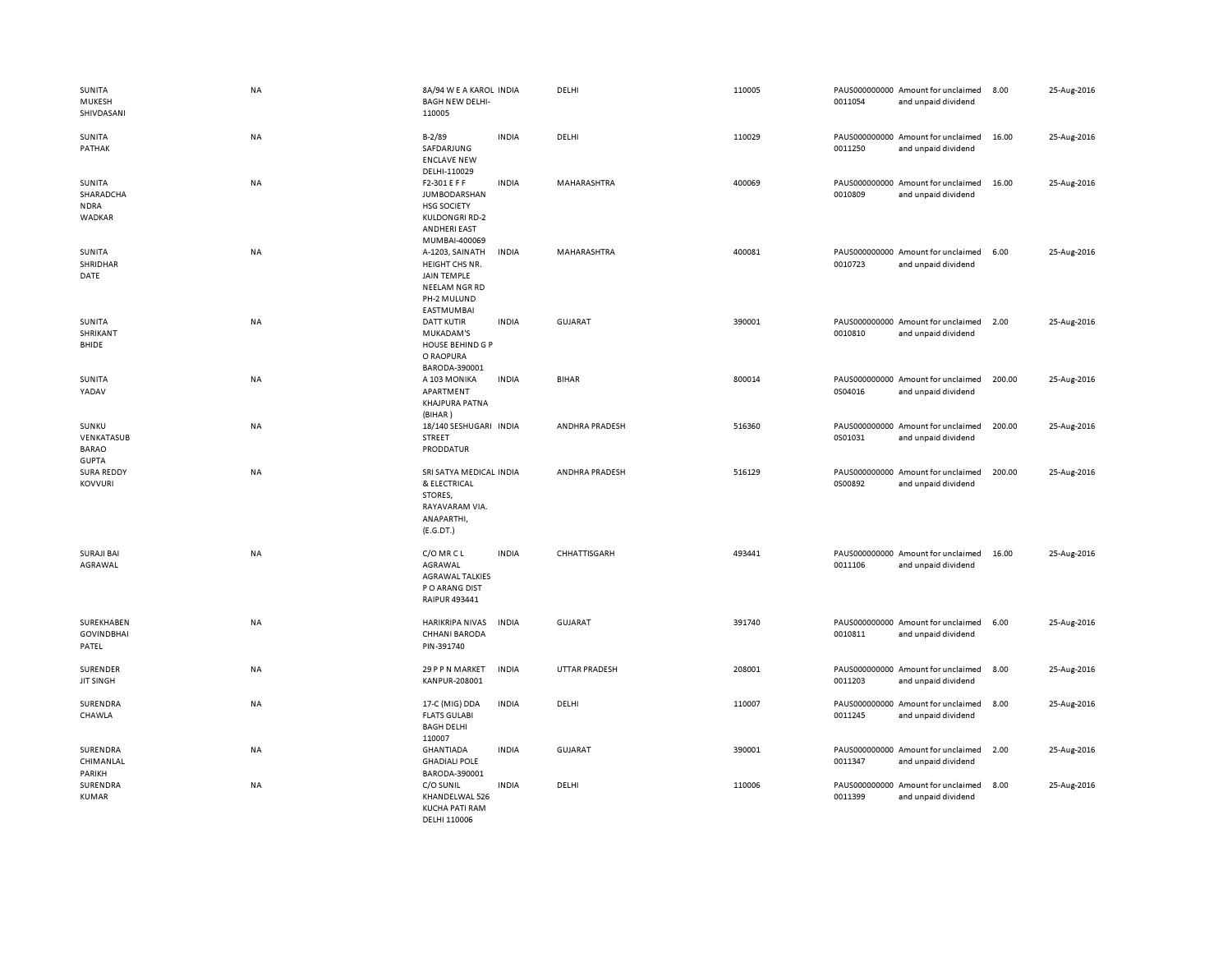| SUNITA<br>MUKESH<br>SHIVDASANI                      | NA        | 8A/94 W E A KAROL INDIA<br><b>BAGH NEW DELHI-</b><br>110005                                                                |              | DELHI                | 110005 | 0011054 | PAUS000000000 Amount for unclaimed<br>and unpaid dividend | 8.00   | 25-Aug-2016 |
|-----------------------------------------------------|-----------|----------------------------------------------------------------------------------------------------------------------------|--------------|----------------------|--------|---------|-----------------------------------------------------------|--------|-------------|
| SUNITA<br>PATHAK                                    | NA        | $B - 2/89$<br>SAFDARJUNG<br><b>ENCLAVE NEW</b><br>DELHI-110029                                                             | <b>INDIA</b> | DELHI                | 110029 | 0011250 | PAUS000000000 Amount for unclaimed<br>and unpaid dividend | 16.00  | 25-Aug-2016 |
| SUNITA<br>SHARADCHA<br><b>NDRA</b><br>WADKAR        | NA        | F2-301 E F F<br><b>JUMBODARSHAN</b><br><b>HSG SOCIETY</b><br><b>KULDONGRI RD-2</b><br><b>ANDHERI EAST</b><br>MUMBAI-400069 | <b>INDIA</b> | MAHARASHTRA          | 400069 | 0010809 | PAUS000000000 Amount for unclaimed<br>and unpaid dividend | 16.00  | 25-Aug-2016 |
| SUNITA<br>SHRIDHAR<br>DATE                          | NA        | A-1203, SAINATH<br>HEIGHT CHS NR.<br><b>JAIN TEMPLE</b><br>NEELAM NGR RD<br>PH-2 MULUND<br>EASTMUMBAI                      | <b>INDIA</b> | MAHARASHTRA          | 400081 | 0010723 | PAUS000000000 Amount for unclaimed<br>and unpaid dividend | 6.00   | 25-Aug-2016 |
| SUNITA<br>SHRIKANT<br>BHIDE                         | NA        | <b>DATT KUTIR</b><br>MUKADAM'S<br>HOUSE BEHIND G P<br>O RAOPURA<br>BARODA-390001                                           | <b>INDIA</b> | GUJARAT              | 390001 | 0010810 | PAUS000000000 Amount for unclaimed<br>and unpaid dividend | 2.00   | 25-Aug-2016 |
| SUNITA<br>YADAV                                     | NA        | A 103 MONIKA<br>APARTMENT<br>KHAJPURA PATNA<br>(BIHAR)                                                                     | <b>INDIA</b> | <b>BIHAR</b>         | 800014 | 0S04016 | PAUS000000000 Amount for unclaimed<br>and unpaid dividend | 200.00 | 25-Aug-2016 |
| SUNKU<br>VENKATASUB<br><b>BARAO</b><br><b>GUPTA</b> | <b>NA</b> | 18/140 SESHUGARI INDIA<br><b>STREET</b><br>PRODDATUR                                                                       |              | ANDHRA PRADESH       | 516360 | 0S01031 | PAUS000000000 Amount for unclaimed<br>and unpaid dividend | 200.00 | 25-Aug-2016 |
| <b>SURA REDDY</b><br><b>KOVVURI</b>                 | NA        | SRI SATYA MEDICAL INDIA<br>& ELECTRICAL<br>STORES,<br>RAYAVARAM VIA.<br>ANAPARTHI,<br>(E.G.DT.)                            |              | ANDHRA PRADESH       | 516129 | 0S00892 | PAUS000000000 Amount for unclaimed<br>and unpaid dividend | 200.00 | 25-Aug-2016 |
| <b>SURAJI BAI</b><br>AGRAWAL                        | NA        | C/O MR C L<br>AGRAWAL<br><b>AGRAWAL TALKIES</b><br>PO ARANG DIST<br>RAIPUR 493441                                          | <b>INDIA</b> | CHHATTISGARH         | 493441 | 0011106 | PAUS000000000 Amount for unclaimed<br>and unpaid dividend | 16.00  | 25-Aug-2016 |
| SUREKHABEN<br><b>GOVINDBHAI</b><br>PATEL            | NA        | <b>HARIKRIPA NIVAS</b><br><b>CHHANI BARODA</b><br>PIN-391740                                                               | <b>INDIA</b> | <b>GUJARAT</b>       | 391740 | 0010811 | PAUS000000000 Amount for unclaimed<br>and unpaid dividend | 6.00   | 25-Aug-2016 |
| SURENDER<br><b>JIT SINGH</b>                        | NA        | 29 P P N MARKET<br>KANPUR-208001                                                                                           | <b>INDIA</b> | <b>UTTAR PRADESH</b> | 208001 | 0011203 | PAUS000000000 Amount for unclaimed<br>and unpaid dividend | 8.00   | 25-Aug-2016 |
| SURENDRA<br>CHAWLA                                  | NA        | 17-C (MIG) DDA<br><b>FLATS GULABI</b><br><b>BAGH DELHI</b><br>110007                                                       | <b>INDIA</b> | DELHI                | 110007 | 0011245 | PAUS000000000 Amount for unclaimed<br>and unpaid dividend | 8.00   | 25-Aug-2016 |
| SURENDRA<br>CHIMANLAL<br>PARIKH                     | NA        | <b>GHANTIADA</b><br><b>GHADIALI POLE</b><br>BARODA-390001                                                                  | <b>INDIA</b> | GUJARAT              | 390001 | 0011347 | PAUS000000000 Amount for unclaimed<br>and unpaid dividend | 2.00   | 25-Aug-2016 |
| SURENDRA<br><b>KUMAR</b>                            | NA        | C/O SUNIL<br>KHANDELWAL 526<br><b>KUCHA PATI RAM</b><br>DELHI 110006                                                       | <b>INDIA</b> | DELHI                | 110006 | 0011399 | PAUS000000000 Amount for unclaimed<br>and unpaid dividend | 8.00   | 25-Aug-2016 |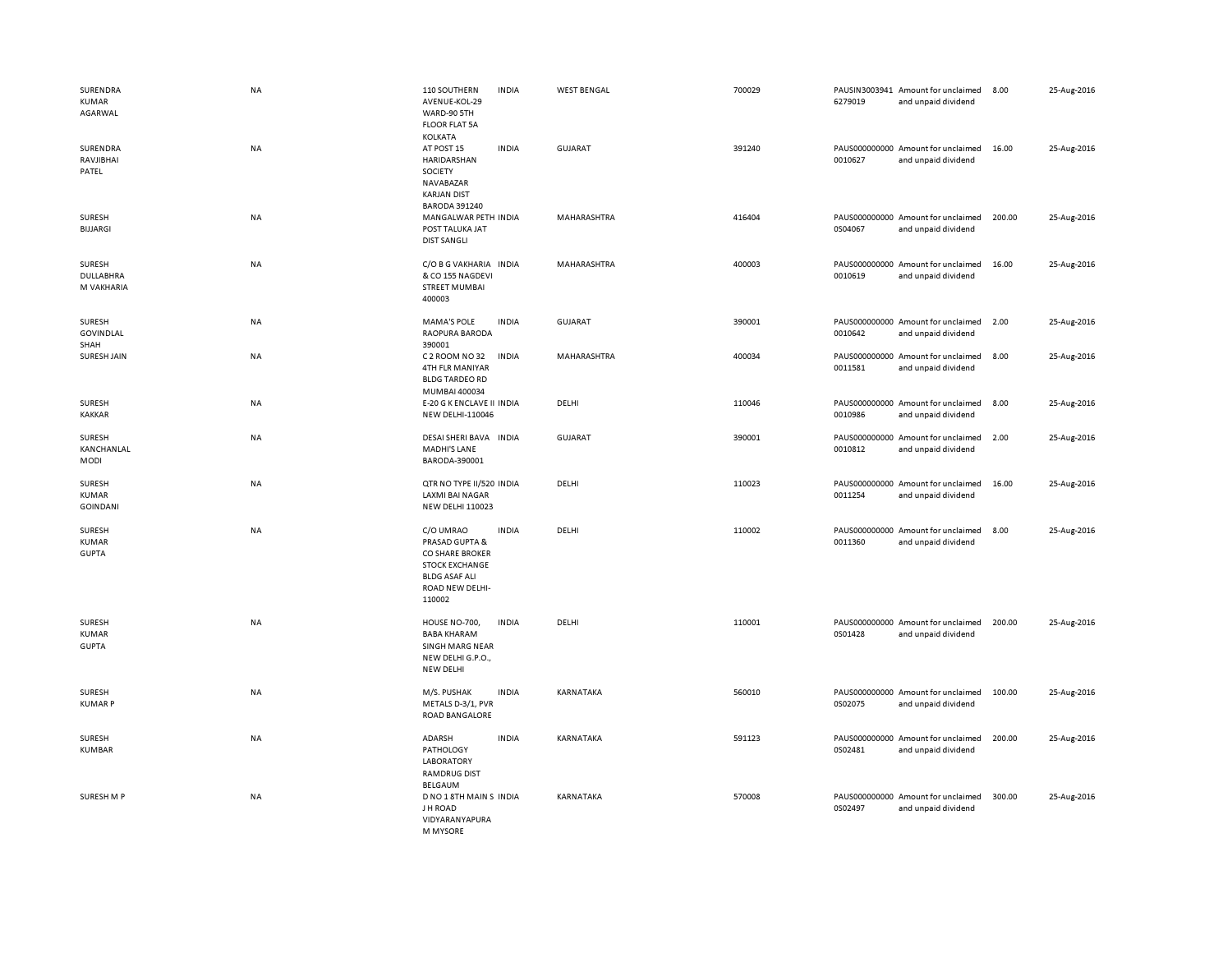| SURENDRA<br>KUMAR<br>AGARWAL           | <b>NA</b> | 110 SOUTHERN<br><b>INDIA</b><br>AVENUE-KOL-29<br>WARD-90 5TH<br><b>FLOOR FLAT 5A</b><br>KOLKATA                                              | <b>WEST BENGAL</b> | 700029 | PAUSIN3003941 Amount for unclaimed<br>6279019<br>and unpaid dividend | 8.00   | 25-Aug-2016 |
|----------------------------------------|-----------|----------------------------------------------------------------------------------------------------------------------------------------------|--------------------|--------|----------------------------------------------------------------------|--------|-------------|
| SURENDRA<br>RAVJIBHAI<br>PATEL         | <b>NA</b> | AT POST 15<br><b>INDIA</b><br>HARIDARSHAN<br><b>SOCIETY</b><br>NAVABAZAR<br><b>KARJAN DIST</b><br><b>BARODA 391240</b>                       | GUJARAT            | 391240 | PAUS000000000 Amount for unclaimed<br>0010627<br>and unpaid dividend | 16.00  | 25-Aug-2016 |
| SURESH<br><b>BIJJARGI</b>              | NA        | MANGALWAR PETH INDIA<br>POST TALUKA JAT<br><b>DIST SANGLI</b>                                                                                | MAHARASHTRA        | 416404 | PAUS000000000 Amount for unclaimed<br>0S04067<br>and unpaid dividend | 200.00 | 25-Aug-2016 |
| SURESH<br>DULLABHRA<br>M VAKHARIA      | NA        | C/O B G VAKHARIA INDIA<br>& CO 155 NAGDEVI<br><b>STREET MUMBAI</b><br>400003                                                                 | MAHARASHTRA        | 400003 | PAUS000000000 Amount for unclaimed<br>0010619<br>and unpaid dividend | 16.00  | 25-Aug-2016 |
| <b>SURESH</b><br>GOVINDLAL<br>SHAH     | <b>NA</b> | <b>MAMA'S POLE</b><br><b>INDIA</b><br>RAOPURA BARODA<br>390001                                                                               | <b>GUJARAT</b>     | 390001 | PAUS000000000 Amount for unclaimed<br>0010642<br>and unpaid dividend | 2.00   | 25-Aug-2016 |
| SURESH JAIN                            | <b>NA</b> | C 2 ROOM NO 32<br><b>INDIA</b><br>4TH FLR MANIYAR<br><b>BLDG TARDEO RD</b><br>MUMBAI 400034                                                  | MAHARASHTRA        | 400034 | PAUS000000000 Amount for unclaimed<br>0011581<br>and unpaid dividend | 8.00   | 25-Aug-2016 |
| <b>SURESH</b><br><b>KAKKAR</b>         | NA        | E-20 G K ENCLAVE II INDIA<br><b>NEW DELHI-110046</b>                                                                                         | DELHI              | 110046 | PAUS000000000 Amount for unclaimed<br>0010986<br>and unpaid dividend | 8.00   | 25-Aug-2016 |
| SURESH<br>KANCHANLAL<br>MODI           | NA        | DESAI SHERI BAVA INDIA<br><b>MADHI'S LANE</b><br>BARODA-390001                                                                               | <b>GUJARAT</b>     | 390001 | PAUS000000000 Amount for unclaimed<br>0010812<br>and unpaid dividend | 2.00   | 25-Aug-2016 |
| SURESH<br>KUMAR<br><b>GOINDANI</b>     | NA        | QTR NO TYPE II/520 INDIA<br><b>LAXMI BAI NAGAR</b><br><b>NEW DELHI 110023</b>                                                                | DELHI              | 110023 | PAUS000000000 Amount for unclaimed<br>0011254<br>and unpaid dividend | 16.00  | 25-Aug-2016 |
| SURESH<br><b>KUMAR</b><br><b>GUPTA</b> | NA        | C/O UMRAO<br><b>INDIA</b><br>PRASAD GUPTA &<br>CO SHARE BROKER<br><b>STOCK EXCHANGE</b><br><b>BLDG ASAF ALI</b><br>ROAD NEW DELHI-<br>110002 | DELHI              | 110002 | PAUS000000000 Amount for unclaimed<br>0011360<br>and unpaid dividend | 8.00   | 25-Aug-2016 |
| SURESH<br><b>KUMAR</b><br><b>GUPTA</b> | <b>NA</b> | HOUSE NO-700,<br><b>INDIA</b><br><b>BABA KHARAM</b><br>SINGH MARG NEAR<br>NEW DELHI G.P.O.,<br>NEW DELHI                                     | DELHI              | 110001 | PAUS000000000 Amount for unclaimed<br>0S01428<br>and unpaid dividend | 200.00 | 25-Aug-2016 |
| SURESH<br><b>KUMARP</b>                | <b>NA</b> | M/S. PUSHAK<br><b>INDIA</b><br>METALS D-3/1, PVR<br>ROAD BANGALORE                                                                           | KARNATAKA          | 560010 | PAUS000000000 Amount for unclaimed<br>0S02075<br>and unpaid dividend | 100.00 | 25-Aug-2016 |
| <b>SURESH</b><br><b>KUMBAR</b>         | NA        | <b>INDIA</b><br>ADARSH<br><b>PATHOLOGY</b><br><b>LABORATORY</b><br><b>RAMDRUG DIST</b><br>BELGAUM                                            | KARNATAKA          | 591123 | PAUS000000000 Amount for unclaimed<br>0S02481<br>and unpaid dividend | 200.00 | 25-Aug-2016 |
| SURESH M P                             | NA        | D NO 1 8TH MAIN S INDIA<br>J H ROAD<br>VIDYARANYAPURA<br><b>M MYSORE</b>                                                                     | KARNATAKA          | 570008 | PAUS000000000 Amount for unclaimed<br>0S02497<br>and unpaid dividend | 300.00 | 25-Aug-2016 |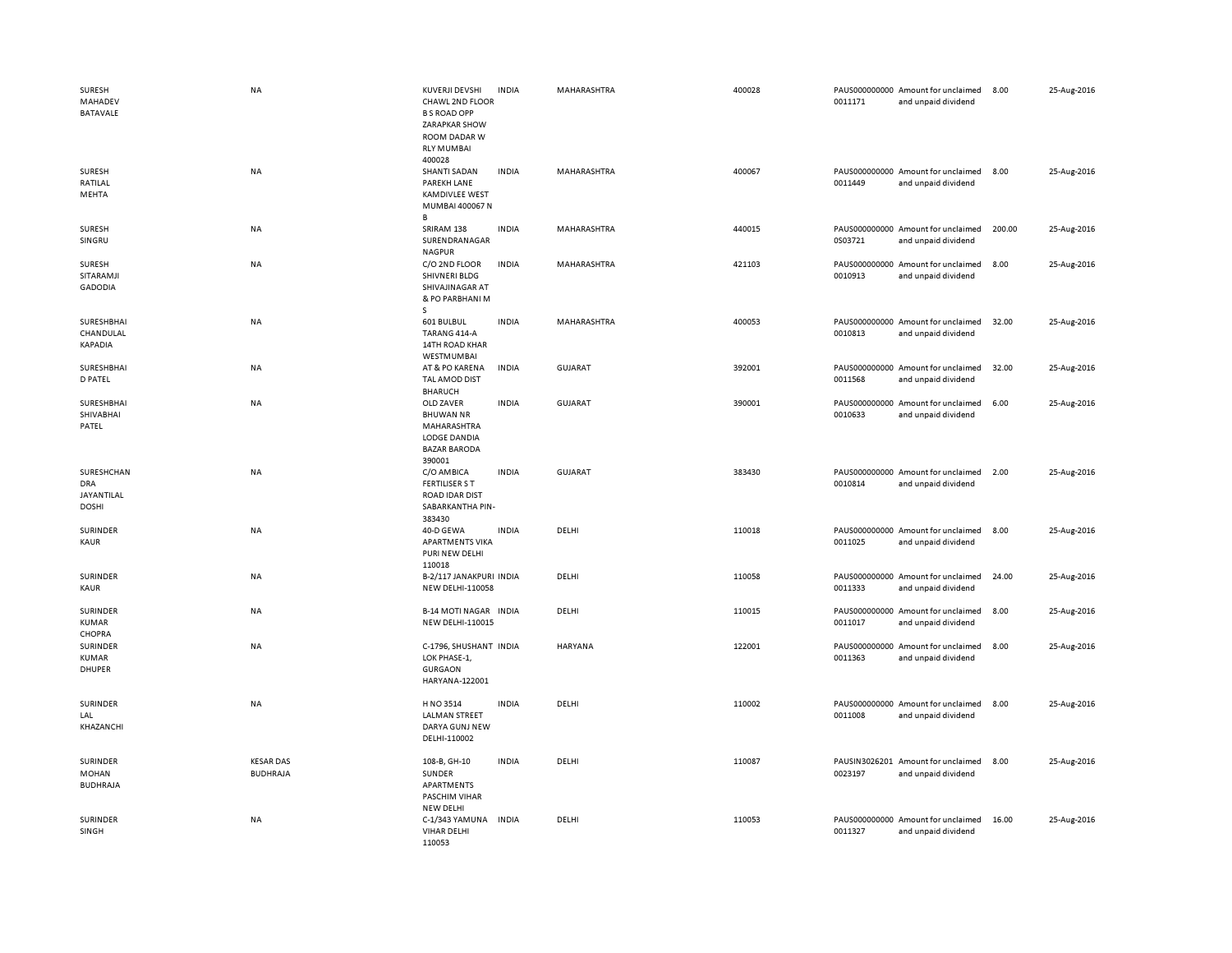| SURESH<br>MAHADEV<br><b>BATAVALE</b>                   | <b>NA</b>                           | KUVERJI DEVSHI<br>CHAWL 2ND FLOOR<br><b>B S ROAD OPP</b><br>ZARAPKAR SHOW<br>ROOM DADAR W<br><b>RLY MUMBAI</b><br>400028 | <b>INDIA</b> | MAHARASHTRA    | 400028 | 0011171                  | PAUS000000000 Amount for unclaimed<br>and unpaid dividend | 8.00   | 25-Aug-2016 |
|--------------------------------------------------------|-------------------------------------|--------------------------------------------------------------------------------------------------------------------------|--------------|----------------|--------|--------------------------|-----------------------------------------------------------|--------|-------------|
| SURESH<br>RATILAL<br>MEHTA                             | <b>NA</b>                           | <b>SHANTI SADAN</b><br>PAREKH LANE<br><b>KAMDIVLEE WEST</b><br>MUMBAI 400067 N<br>В                                      | <b>INDIA</b> | MAHARASHTRA    | 400067 | 0011449                  | PAUS000000000 Amount for unclaimed<br>and unpaid dividend | 8.00   | 25-Aug-2016 |
| SURESH<br>SINGRU                                       | NA                                  | SRIRAM 138<br>SURENDRANAGAR<br><b>NAGPUR</b>                                                                             | <b>INDIA</b> | MAHARASHTRA    | 440015 | 0S03721                  | PAUS000000000 Amount for unclaimed<br>and unpaid dividend | 200.00 | 25-Aug-2016 |
| SURESH<br>SITARAMJI<br><b>GADODIA</b>                  | NA                                  | C/O 2ND FLOOR<br>SHIVNERI BLDG<br>SHIVAJINAGAR AT<br>& PO PARBHANI M<br>s                                                | INDIA        | MAHARASHTRA    | 421103 | PAUS000000000<br>0010913 | Amount for unclaimed<br>and unpaid dividend               | 8.00   | 25-Aug-2016 |
| SURESHBHAI<br>CHANDULAL<br>KAPADIA                     | NA                                  | 601 BULBUL<br>TARANG 414-A<br>14TH ROAD KHAR<br>WESTMUMBAI                                                               | <b>INDIA</b> | MAHARASHTRA    | 400053 | 0010813                  | PAUS000000000 Amount for unclaimed<br>and unpaid dividend | 32.00  | 25-Aug-2016 |
| SURESHBHAI<br><b>D PATEL</b>                           | NA                                  | AT & PO KARENA<br>TAL AMOD DIST<br><b>BHARUCH</b>                                                                        | INDIA        | <b>GUJARAT</b> | 392001 | 0011568                  | PAUS000000000 Amount for unclaimed<br>and unpaid dividend | 32.00  | 25-Aug-2016 |
| SURESHBHAI<br>SHIVABHAI<br>PATEL                       | NA                                  | OLD ZAVER<br><b>BHUWAN NR</b><br>MAHARASHTRA<br>LODGE DANDIA<br><b>BAZAR BARODA</b><br>390001                            | <b>INDIA</b> | <b>GUJARAT</b> | 390001 | 0010633                  | PAUS000000000 Amount for unclaimed<br>and unpaid dividend | 6.00   | 25-Aug-2016 |
| SURESHCHAN<br><b>DRA</b><br>JAYANTILAL<br><b>DOSHI</b> | <b>NA</b>                           | C/O AMBICA<br><b>FERTILISER S T</b><br><b>ROAD IDAR DIST</b><br>SABARKANTHA PIN-<br>383430                               | <b>INDIA</b> | GUJARAT        | 383430 | 0010814                  | PAUS000000000 Amount for unclaimed<br>and unpaid dividend | 2.00   | 25-Aug-2016 |
|                                                        |                                     |                                                                                                                          |              |                |        |                          |                                                           |        |             |
| SURINDER<br>KAUR                                       | NA                                  | 40-D GEWA<br><b>APARTMENTS VIKA</b><br>PURI NEW DELHI                                                                    | <b>INDIA</b> | DELHI          | 110018 | 0011025                  | PAUS000000000 Amount for unclaimed<br>and unpaid dividend | 8.00   | 25-Aug-2016 |
| SURINDER<br>KAUR                                       | NA                                  | 110018<br>B-2/117 JANAKPURI INDIA<br>NEW DELHI-110058                                                                    |              | DELHI          | 110058 | 0011333                  | PAUS000000000 Amount for unclaimed<br>and unpaid dividend | 24.00  | 25-Aug-2016 |
| SURINDER<br>KUMAR                                      | <b>NA</b>                           | <b>B-14 MOTI NAGAR INDIA</b><br><b>NEW DELHI-110015</b>                                                                  |              | DELHI          | 110015 | 0011017                  | PAUS000000000 Amount for unclaimed<br>and unpaid dividend | 8.00   | 25-Aug-2016 |
| CHOPRA<br>SURINDER<br>KUMAR<br>DHUPER                  | NA                                  | C-1796, SHUSHANT INDIA<br>LOK PHASE-1,<br><b>GURGAON</b><br>HARYANA-122001                                               |              | HARYANA        | 122001 | 0011363                  | PAUS000000000 Amount for unclaimed<br>and unpaid dividend | 8.00   | 25-Aug-2016 |
| SURINDER<br>LAL<br>KHAZANCHI                           | NA                                  | H NO 3514<br><b>LALMAN STREET</b><br>DARYA GUNJ NEW<br>DELHI-110002                                                      | <b>INDIA</b> | DELHI          | 110002 | 0011008                  | PAUS000000000 Amount for unclaimed<br>and unpaid dividend | 8.00   | 25-Aug-2016 |
| SURINDER<br>MOHAN<br><b>BUDHRAJA</b>                   | <b>KESAR DAS</b><br><b>BUDHRAJA</b> | 108-B, GH-10<br>SUNDER<br>APARTMENTS<br>PASCHIM VIHAR<br>NEW DELHI                                                       | <b>INDIA</b> | DELHI          | 110087 | 0023197                  | PAUSIN3026201 Amount for unclaimed<br>and unpaid dividend | 8.00   | 25-Aug-2016 |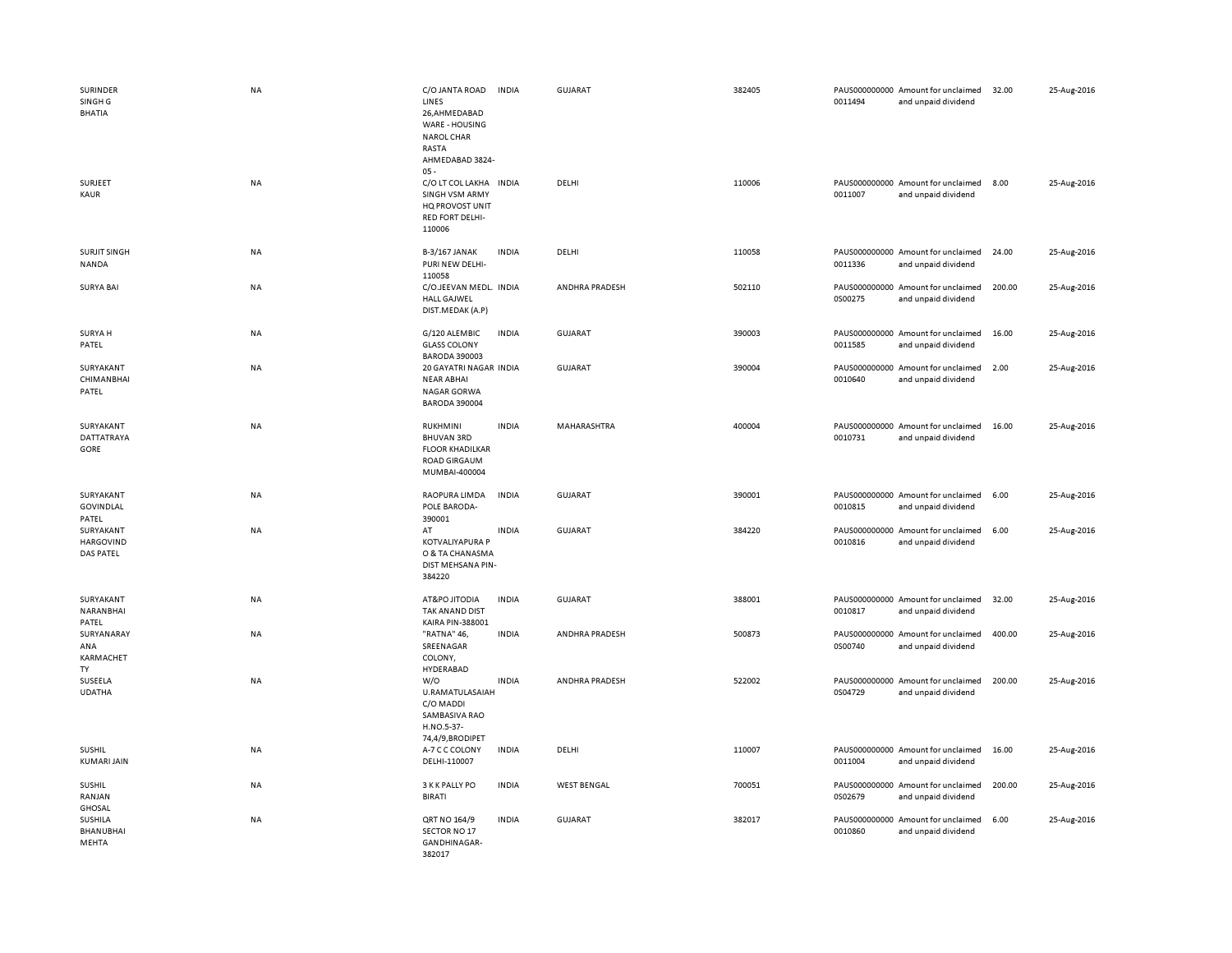| SURINDER<br>SINGH <sub>G</sub><br><b>BHATIA</b> | NA        | C/O JANTA ROAD<br>LINES<br>26,AHMEDABAD<br>WARE - HOUSING<br><b>NAROL CHAR</b><br>RASTA<br>AHMEDABAD 3824- | <b>INDIA</b> | <b>GUJARAT</b>     | 382405 | 0011494 | PAUS000000000 Amount for unclaimed<br>and unpaid dividend | 32.00  | 25-Aug-2016 |
|-------------------------------------------------|-----------|------------------------------------------------------------------------------------------------------------|--------------|--------------------|--------|---------|-----------------------------------------------------------|--------|-------------|
| SURJEET<br>KAUR                                 | NA        | $05 -$<br>C/O LT COL LAKHA<br><b>SINGH VSM ARMY</b><br>HQ PROVOST UNIT<br><b>RED FORT DELHI-</b><br>110006 | <b>INDIA</b> | DELHI              | 110006 | 0011007 | PAUS000000000 Amount for unclaimed<br>and unpaid dividend | 8.00   | 25-Aug-2016 |
| <b>SURJIT SINGH</b><br>NANDA                    | NA        | B-3/167 JANAK<br>PURI NEW DELHI-<br>110058                                                                 | <b>INDIA</b> | DELHI              | 110058 | 0011336 | PAUS000000000 Amount for unclaimed<br>and unpaid dividend | 24.00  | 25-Aug-2016 |
| <b>SURYA BAI</b>                                | <b>NA</b> | C/O.JEEVAN MEDL. INDIA<br><b>HALL GAJWEL</b><br>DIST.MEDAK (A.P)                                           |              | ANDHRA PRADESH     | 502110 | 0S00275 | PAUS000000000 Amount for unclaimed<br>and unpaid dividend | 200.00 | 25-Aug-2016 |
| <b>SURYA H</b><br>PATEL                         | NA        | G/120 ALEMBIC<br><b>GLASS COLONY</b><br><b>BARODA 390003</b>                                               | <b>INDIA</b> | <b>GUJARAT</b>     | 390003 | 0011585 | PAUS000000000 Amount for unclaimed<br>and unpaid dividend | 16.00  | 25-Aug-2016 |
| SURYAKANT<br>CHIMANBHAI<br>PATEL                | NA        | 20 GAYATRI NAGAR INDIA<br><b>NEAR ABHAI</b><br><b>NAGAR GORWA</b><br><b>BARODA 390004</b>                  |              | <b>GUJARAT</b>     | 390004 | 0010640 | PAUS000000000 Amount for unclaimed<br>and unpaid dividend | 2.00   | 25-Aug-2016 |
| SURYAKANT<br>DATTATRAYA<br>GORE                 | NA        | <b>RUKHMINI</b><br><b>BHUVAN 3RD</b><br><b>FLOOR KHADILKAR</b><br><b>ROAD GIRGAUM</b><br>MUMBAI-400004     | <b>INDIA</b> | MAHARASHTRA        | 400004 | 0010731 | PAUS000000000 Amount for unclaimed<br>and unpaid dividend | 16.00  | 25-Aug-2016 |
| SURYAKANT<br>GOVINDLAL<br>PATEL                 | NA        | RAOPURA LIMDA<br>POLE BARODA-<br>390001                                                                    | <b>INDIA</b> | <b>GUJARAT</b>     | 390001 | 0010815 | PAUS000000000 Amount for unclaimed<br>and unpaid dividend | 6.00   | 25-Aug-2016 |
| SURYAKANT<br><b>HARGOVIND</b><br>DAS PATEL      | NA        | AT<br><b>KOTVALIYAPURA P</b><br>O & TA CHANASMA<br>DIST MEHSANA PIN-<br>384220                             | <b>INDIA</b> | <b>GUJARAT</b>     | 384220 | 0010816 | PAUS000000000 Amount for unclaimed<br>and unpaid dividend | 6.00   | 25-Aug-2016 |
| SURYAKANT<br>NARANBHAI<br>PATEL                 | NA        | AT&PO JITODIA<br>TAK ANAND DIST<br>KAIRA PIN-388001                                                        | <b>INDIA</b> | <b>GUJARAT</b>     | 388001 | 0010817 | PAUS000000000 Amount for unclaimed<br>and unpaid dividend | 32.00  | 25-Aug-2016 |
| SURYANARAY<br>ANA<br>KARMACHET<br>TY            | <b>NA</b> | "RATNA" 46,<br>SREENAGAR<br>COLONY,<br>HYDERABAD                                                           | <b>INDIA</b> | ANDHRA PRADESH     | 500873 | 0S00740 | PAUS000000000 Amount for unclaimed<br>and unpaid dividend | 400.00 | 25-Aug-2016 |
| SUSEELA<br><b>UDATHA</b>                        | <b>NA</b> | W/O<br>U.RAMATULASAIAH<br>C/O MADDI<br>SAMBASIVA RAO<br>H.NO.5-37-<br>74,4/9,BRODIPET                      | <b>INDIA</b> | ANDHRA PRADESH     | 522002 | 0S04729 | PAUS000000000 Amount for unclaimed<br>and unpaid dividend | 200.00 | 25-Aug-2016 |
| SUSHIL<br><b>KUMARI JAIN</b>                    | NA        | A-7 C C COLONY<br>DELHI-110007                                                                             | <b>INDIA</b> | DELHI              | 110007 | 0011004 | PAUS000000000 Amount for unclaimed<br>and unpaid dividend | 16.00  | 25-Aug-2016 |
| SUSHIL<br>RANJAN<br><b>GHOSAL</b>               | NA        | 3 K K PALLY PO<br>BIRATI                                                                                   | <b>INDIA</b> | <b>WEST BENGAL</b> | 700051 | 0S02679 | PAUS000000000 Amount for unclaimed<br>and unpaid dividend | 200.00 | 25-Aug-2016 |
| SUSHILA<br><b>BHANUBHAI</b><br>MEHTA            | NA        | QRT NO 164/9<br>SECTOR NO 17<br>GANDHINAGAR-<br>382017                                                     | <b>INDIA</b> | <b>GUJARAT</b>     | 382017 | 0010860 | PAUS000000000 Amount for unclaimed<br>and unpaid dividend | 6.00   | 25-Aug-2016 |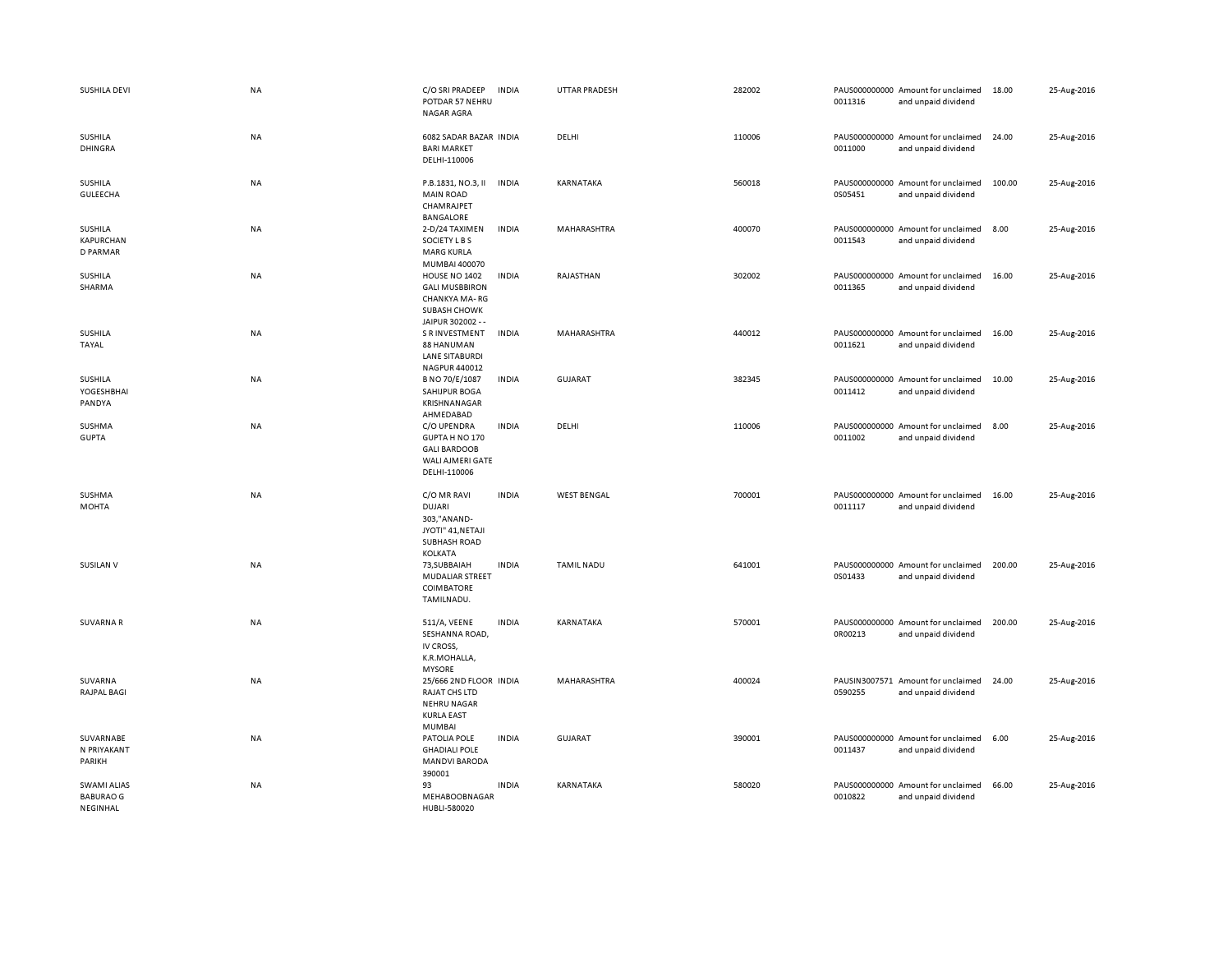| SUSHILA DEVI                                       | NA        | C/O SRI PRADEEP<br>POTDAR 57 NEHRU<br><b>NAGAR AGRA</b>                                                   | <b>INDIA</b> | <b>UTTAR PRADESH</b> | 282002 | 0011316 | PAUS000000000 Amount for unclaimed<br>and unpaid dividend | 18.00  | 25-Aug-2016 |
|----------------------------------------------------|-----------|-----------------------------------------------------------------------------------------------------------|--------------|----------------------|--------|---------|-----------------------------------------------------------|--------|-------------|
| SUSHILA<br><b>DHINGRA</b>                          | NA        | 6082 SADAR BAZAR INDIA<br><b>BARI MARKET</b><br>DELHI-110006                                              |              | DELHI                | 110006 | 0011000 | PAUS000000000 Amount for unclaimed<br>and unpaid dividend | 24.00  | 25-Aug-2016 |
| SUSHILA<br>GULEECHA                                | NA        | P.B.1831, NO.3, II<br><b>MAIN ROAD</b><br>CHAMRAJPET<br><b>BANGALORE</b>                                  | <b>INDIA</b> | KARNATAKA            | 560018 | 0S05451 | PAUS000000000 Amount for unclaimed<br>and unpaid dividend | 100.00 | 25-Aug-2016 |
| SUSHILA<br><b>KAPURCHAN</b><br>D PARMAR            | NA        | 2-D/24 TAXIMEN<br>SOCIETY L B S<br><b>MARG KURLA</b><br>MUMBAI 400070                                     | <b>INDIA</b> | MAHARASHTRA          | 400070 | 0011543 | PAUS000000000 Amount for unclaimed<br>and unpaid dividend | 8.00   | 25-Aug-2016 |
| <b>SUSHILA</b><br>SHARMA                           | <b>NA</b> | HOUSE NO 1402<br><b>GALI MUSBBIRON</b><br>CHANKYA MA-RG<br><b>SUBASH CHOWK</b><br>JAIPUR 302002 - -       | <b>INDIA</b> | RAJASTHAN            | 302002 | 0011365 | PAUS000000000 Amount for unclaimed<br>and unpaid dividend | 16.00  | 25-Aug-2016 |
| <b>SUSHILA</b><br>TAYAL                            | <b>NA</b> | <b>S R INVESTMENT</b><br>88 HANUMAN<br><b>LANE SITABURDI</b><br>NAGPUR 440012                             | <b>INDIA</b> | MAHARASHTRA          | 440012 | 0011621 | PAUS000000000 Amount for unclaimed<br>and unpaid dividend | 16.00  | 25-Aug-2016 |
| SUSHILA<br>YOGESHBHAI<br>PANDYA                    | NA        | B NO 70/E/1087<br>SAHIJPUR BOGA<br>KRISHNANAGAR<br>AHMEDABAD                                              | <b>INDIA</b> | <b>GUJARAT</b>       | 382345 | 0011412 | PAUS000000000 Amount for unclaimed<br>and unpaid dividend | 10.00  | 25-Aug-2016 |
| <b>SUSHMA</b><br><b>GUPTA</b>                      | NA        | C/O UPENDRA<br>GUPTA H NO 170<br><b>GALI BARDOOB</b><br>WALI AJMERI GATE<br>DELHI-110006                  | <b>INDIA</b> | DELHI                | 110006 | 0011002 | PAUS000000000 Amount for unclaimed<br>and unpaid dividend | 8.00   | 25-Aug-2016 |
| SUSHMA<br><b>MOHTA</b>                             | <b>NA</b> | C/O MR RAVI<br><b>DUJARI</b><br>303,"ANAND-<br>JYOTI" 41, NETAJI<br><b>SUBHASH ROAD</b><br><b>KOLKATA</b> | <b>INDIA</b> | <b>WEST BENGAL</b>   | 700001 | 0011117 | PAUS000000000 Amount for unclaimed<br>and unpaid dividend | 16.00  | 25-Aug-2016 |
| <b>SUSILAN V</b>                                   | NA        | 73, SUBBAIAH<br><b>MUDALIAR STREET</b><br><b>COIMBATORE</b><br>TAMILNADU.                                 | <b>INDIA</b> | <b>TAMIL NADU</b>    | 641001 | 0S01433 | PAUS000000000 Amount for unclaimed<br>and unpaid dividend | 200.00 | 25-Aug-2016 |
| <b>SUVARNAR</b>                                    | NA        | 511/A, VEENE<br>SESHANNA ROAD,<br>IV CROSS,<br>K.R.MOHALLA,<br><b>MYSORE</b>                              | <b>INDIA</b> | KARNATAKA            | 570001 | 0R00213 | PAUS000000000 Amount for unclaimed<br>and unpaid dividend | 200.00 | 25-Aug-2016 |
| SUVARNA<br><b>RAJPAL BAGI</b>                      | NA        | 25/666 2ND FLOOR INDIA<br>RAJAT CHS LTD<br><b>NEHRU NAGAR</b><br><b>KURLA EAST</b><br><b>MUMBAI</b>       |              | MAHARASHTRA          | 400024 | 0590255 | PAUSIN3007571 Amount for unclaimed<br>and unpaid dividend | 24.00  | 25-Aug-2016 |
| SUVARNABE<br>N PRIYAKANT<br>PARIKH                 | <b>NA</b> | PATOLIA POLE<br><b>GHADIALI POLE</b><br><b>MANDVI BARODA</b><br>390001                                    | <b>INDIA</b> | <b>GUJARAT</b>       | 390001 | 0011437 | PAUS000000000 Amount for unclaimed<br>and unpaid dividend | 6.00   | 25-Aug-2016 |
| <b>SWAMI ALIAS</b><br><b>BABURAO G</b><br>NEGINHAL | NA        | 93<br>MEHABOOBNAGAR<br>HUBLI-580020                                                                       | <b>INDIA</b> | KARNATAKA            | 580020 | 0010822 | PAUS000000000 Amount for unclaimed<br>and unpaid dividend | 66.00  | 25-Aug-2016 |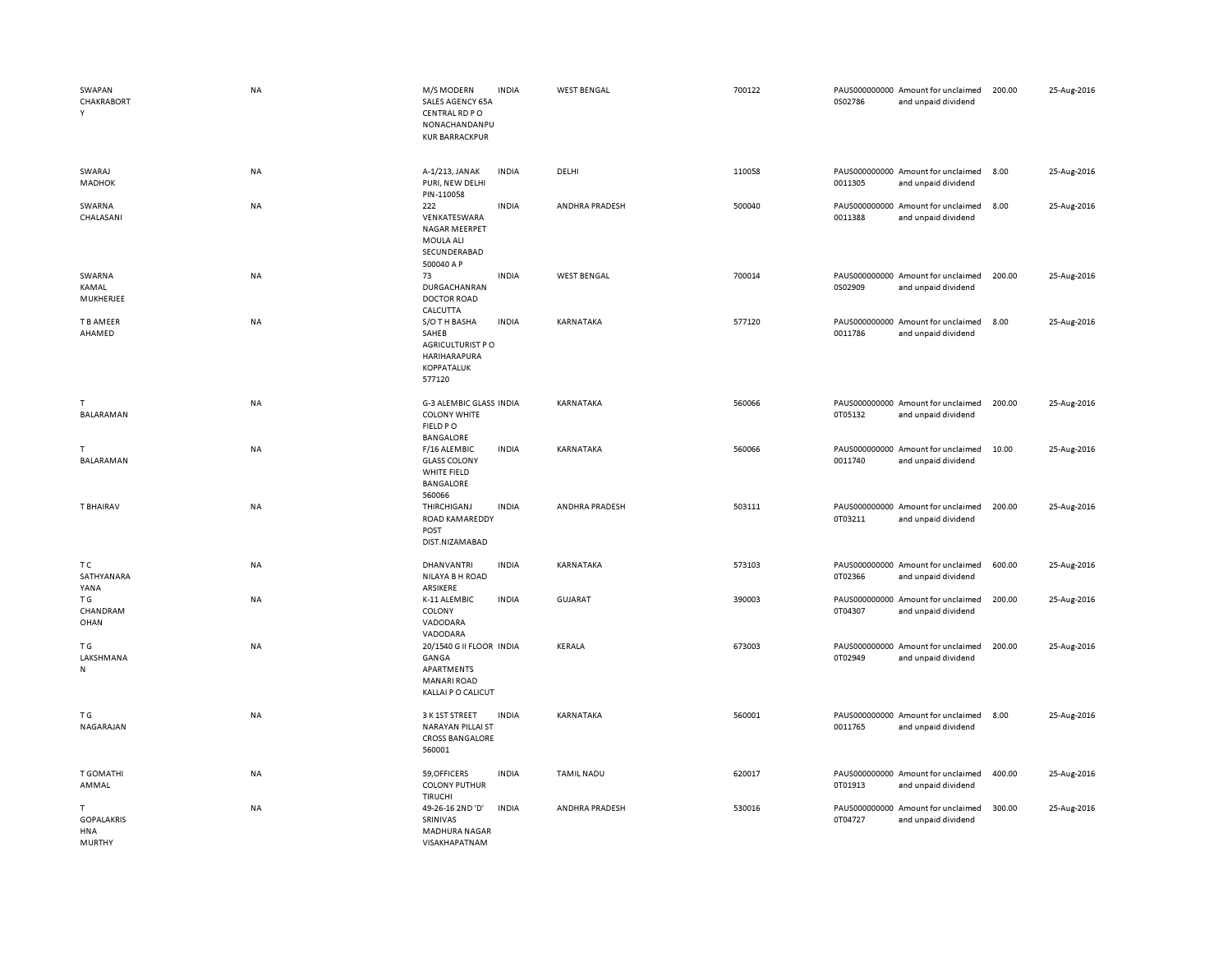| SWAPAN<br>CHAKRABORT<br>Y                              | <b>NA</b> | M/S MODERN<br>SALES AGENCY 65A<br>CENTRAL RD PO<br>NONACHANDANPU<br><b>KUR BARRACKPUR</b>   | <b>INDIA</b> | <b>WEST BENGAL</b> | 700122 | 0S02786 | PAUS000000000 Amount for unclaimed<br>and unpaid dividend | 200.00 | 25-Aug-2016 |
|--------------------------------------------------------|-----------|---------------------------------------------------------------------------------------------|--------------|--------------------|--------|---------|-----------------------------------------------------------|--------|-------------|
| SWARAJ<br><b>MADHOK</b>                                | <b>NA</b> | A-1/213, JANAK<br>PURI, NEW DELHI<br>PIN-110058                                             | <b>INDIA</b> | DELHI              | 110058 | 0011305 | PAUS000000000 Amount for unclaimed<br>and unpaid dividend | 8.00   | 25-Aug-2016 |
| SWARNA<br>CHALASANI                                    | NA        | 222<br>VENKATESWARA<br>NAGAR MEERPET<br>MOULA ALI<br>SECUNDERABAD<br>500040 A P             | <b>INDIA</b> | ANDHRA PRADESH     | 500040 | 0011388 | PAUS000000000 Amount for unclaimed<br>and unpaid dividend | 8.00   | 25-Aug-2016 |
| SWARNA<br>KAMAL<br>MUKHERJEE                           | <b>NA</b> | 73<br>DURGACHANRAN<br><b>DOCTOR ROAD</b><br>CALCUTTA                                        | <b>INDIA</b> | <b>WEST BENGAL</b> | 700014 | 0S02909 | PAUS000000000 Amount for unclaimed<br>and unpaid dividend | 200.00 | 25-Aug-2016 |
| T B AMEER<br>AHAMED                                    | <b>NA</b> | S/O TH BASHA<br>SAHEB<br>AGRICULTURIST PO<br>HARIHARAPURA<br>KOPPATALUK<br>577120           | <b>INDIA</b> | KARNATAKA          | 577120 | 0011786 | PAUS000000000 Amount for unclaimed<br>and unpaid dividend | 8.00   | 25-Aug-2016 |
| T.<br>BALARAMAN                                        | <b>NA</b> | G-3 ALEMBIC GLASS INDIA<br><b>COLONY WHITE</b><br>FIELD PO<br>BANGALORE                     |              | KARNATAKA          | 560066 | 0T05132 | PAUS000000000 Amount for unclaimed<br>and unpaid dividend | 200.00 | 25-Aug-2016 |
| т<br>BALARAMAN                                         | <b>NA</b> | F/16 ALEMBIC<br><b>GLASS COLONY</b><br>WHITE FIELD<br>BANGALORE<br>560066                   | <b>INDIA</b> | KARNATAKA          | 560066 | 0011740 | PAUS000000000 Amount for unclaimed<br>and unpaid dividend | 10.00  | 25-Aug-2016 |
| T BHAIRAV                                              | NA        | THIRCHIGANJ<br>ROAD KAMAREDDY<br>POST<br>DIST.NIZAMABAD                                     | <b>INDIA</b> | ANDHRA PRADESH     | 503111 | 0T03211 | PAUS000000000 Amount for unclaimed<br>and unpaid dividend | 200.00 | 25-Aug-2016 |
| тc<br>SATHYANARA<br>YANA                               | <b>NA</b> | <b>DHANVANTRI</b><br>NILAYA B H ROAD<br>ARSIKERE                                            | <b>INDIA</b> | KARNATAKA          | 573103 | 0T02366 | PAUS000000000 Amount for unclaimed<br>and unpaid dividend | 600.00 | 25-Aug-2016 |
| T G<br>CHANDRAM<br>OHAN                                | <b>NA</b> | K-11 ALEMBIC<br>COLONY<br>VADODARA<br>VADODARA                                              | <b>INDIA</b> | <b>GUJARAT</b>     | 390003 | 0T04307 | PAUS000000000 Amount for unclaimed<br>and unpaid dividend | 200.00 | 25-Aug-2016 |
| ΤG<br>LAKSHMANA<br>N                                   | NA        | 20/1540 G II FLOOR INDIA<br>GANGA<br>APARTMENTS<br><b>MANARI ROAD</b><br>KALLAI P O CALICUT |              | KERALA             | 673003 | 0T02949 | PAUS000000000 Amount for unclaimed<br>and unpaid dividend | 200.00 | 25-Aug-2016 |
| T G<br>NAGARAJAN                                       | <b>NA</b> | 3 K 1ST STREET<br>NARAYAN PILLAI ST<br><b>CROSS BANGALORE</b><br>560001                     | <b>INDIA</b> | KARNATAKA          | 560001 | 0011765 | PAUS000000000 Amount for unclaimed<br>and unpaid dividend | 8.00   | 25-Aug-2016 |
| T GOMATHI<br>AMMAL                                     | NA        | 59, OFFICERS<br><b>COLONY PUTHUR</b><br>TIRUCHI                                             | <b>INDIA</b> | <b>TAMIL NADU</b>  | 620017 | 0T01913 | PAUS000000000 Amount for unclaimed<br>and unpaid dividend | 400.00 | 25-Aug-2016 |
| T.<br><b>GOPALAKRIS</b><br><b>HNA</b><br><b>MURTHY</b> | <b>NA</b> | 49-26-16 2ND 'D'<br>SRINIVAS<br><b>MADHURA NAGAR</b><br>VISAKHAPATNAM                       | <b>INDIA</b> | ANDHRA PRADESH     | 530016 | 0T04727 | PAUS000000000 Amount for unclaimed<br>and unpaid dividend | 300.00 | 25-Aug-2016 |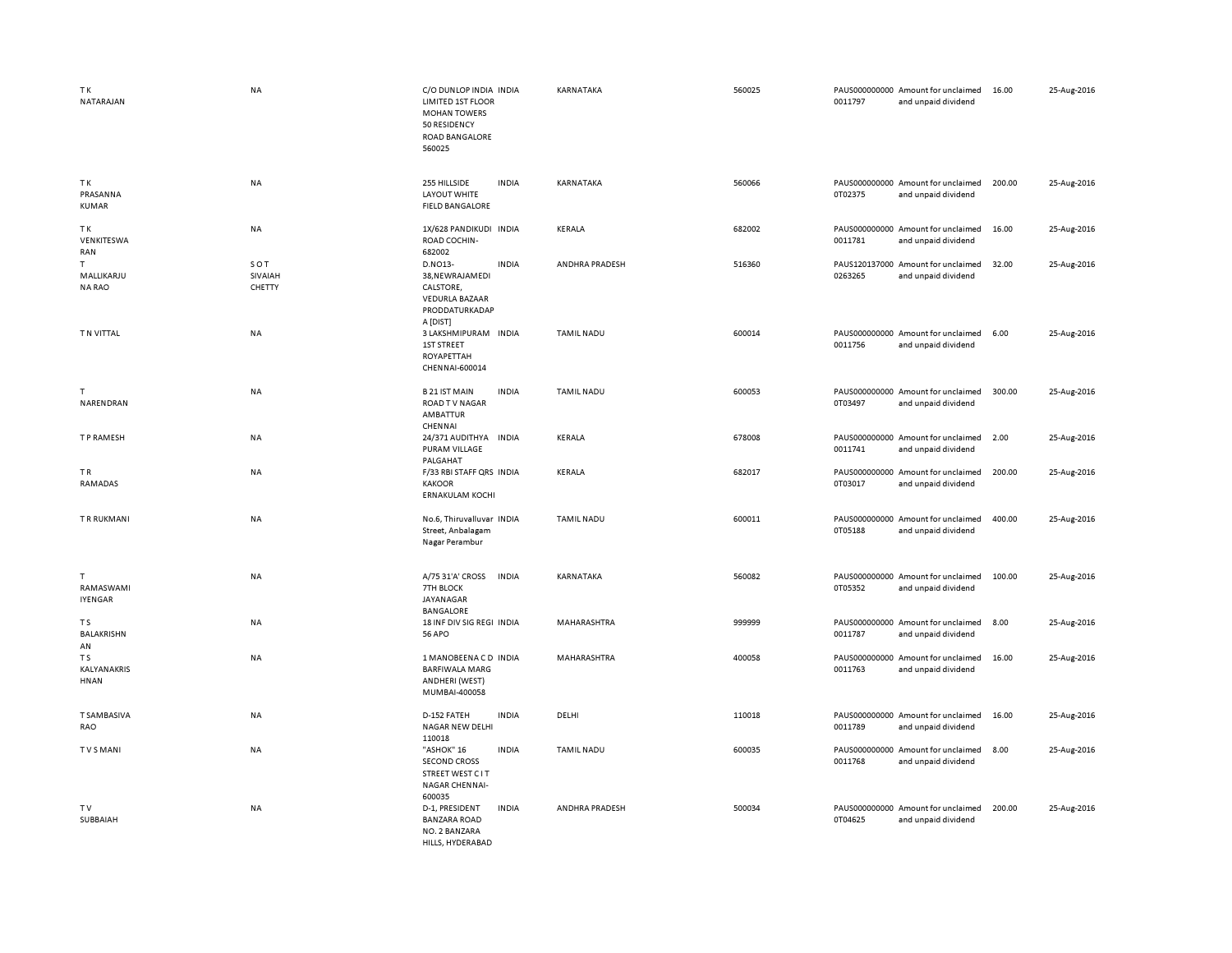| TK<br>NATARAJAN                   | <b>NA</b>                | C/O DUNLOP INDIA INDIA<br>LIMITED 1ST FLOOR<br><b>MOHAN TOWERS</b><br>50 RESIDENCY<br><b>ROAD BANGALORE</b><br>560025 |              | KARNATAKA         | 560025 | 0011797                  | PAUS000000000 Amount for unclaimed<br>and unpaid dividend | 16.00  | 25-Aug-2016 |
|-----------------------------------|--------------------------|-----------------------------------------------------------------------------------------------------------------------|--------------|-------------------|--------|--------------------------|-----------------------------------------------------------|--------|-------------|
| TK<br>PRASANNA<br><b>KUMAR</b>    | <b>NA</b>                | 255 HILLSIDE<br><b>LAYOUT WHITE</b><br><b>FIELD BANGALORE</b>                                                         | <b>INDIA</b> | KARNATAKA         | 560066 | 0T02375                  | PAUS000000000 Amount for unclaimed<br>and unpaid dividend | 200.00 | 25-Aug-2016 |
| TK<br>VENKITESWA<br>RAN           | <b>NA</b>                | 1X/628 PANDIKUDI INDIA<br>ROAD COCHIN-<br>682002                                                                      |              | KERALA            | 682002 | 0011781                  | PAUS000000000 Amount for unclaimed<br>and unpaid dividend | 16.00  | 25-Aug-2016 |
| T.<br>MALLIKARJU<br><b>NARAO</b>  | SOT<br>SIVAIAH<br>CHETTY | D.NO13-<br>38, NEWRAJAMEDI<br>CALSTORE,<br><b>VEDURLA BAZAAR</b><br>PRODDATURKADAP<br>A [DIST]                        | <b>INDIA</b> | ANDHRA PRADESH    | 516360 | PAUS120137000<br>0263265 | Amount for unclaimed<br>and unpaid dividend               | 32.00  | 25-Aug-2016 |
| T N VITTAL                        | <b>NA</b>                | 3 LAKSHMIPURAM INDIA<br>1ST STREET<br>ROYAPETTAH<br>CHENNAI-600014                                                    |              | <b>TAMIL NADU</b> | 600014 | 0011756                  | PAUS000000000 Amount for unclaimed<br>and unpaid dividend | 6.00   | 25-Aug-2016 |
| $\mathsf{T}$<br>NARENDRAN         | NA                       | <b>B21 IST MAIN</b><br><b>ROAD TV NAGAR</b><br>AMBATTUR<br>CHENNAI                                                    | <b>INDIA</b> | <b>TAMIL NADU</b> | 600053 | 0T03497                  | PAUS000000000 Amount for unclaimed<br>and unpaid dividend | 300.00 | 25-Aug-2016 |
| T P RAMESH                        | NA                       | 24/371 AUDITHYA<br><b>PURAM VILLAGE</b><br>PALGAHAT                                                                   | <b>INDIA</b> | KERALA            | 678008 | 0011741                  | PAUS000000000 Amount for unclaimed<br>and unpaid dividend | 2.00   | 25-Aug-2016 |
| TR.<br>RAMADAS                    | <b>NA</b>                | F/33 RBI STAFF QRS INDIA<br><b>KAKOOR</b><br><b>ERNAKULAM KOCHI</b>                                                   |              | <b>KERALA</b>     | 682017 | 0T03017                  | PAUS000000000 Amount for unclaimed<br>and unpaid dividend | 200.00 | 25-Aug-2016 |
| <b>TRRUKMANI</b>                  | <b>NA</b>                | No.6, Thiruvalluvar INDIA<br>Street, Anbalagam<br>Nagar Perambur                                                      |              | <b>TAMIL NADU</b> | 600011 | 0T05188                  | PAUS000000000 Amount for unclaimed<br>and unpaid dividend | 400.00 | 25-Aug-2016 |
| т<br>RAMASWAMI<br><b>IYENGAR</b>  | <b>NA</b>                | A/75 31'A' CROSS<br>7TH BLOCK<br>JAYANAGAR<br>BANGALORE                                                               | <b>INDIA</b> | KARNATAKA         | 560082 | 0T05352                  | PAUS000000000 Amount for unclaimed<br>and unpaid dividend | 100.00 | 25-Aug-2016 |
| T S<br>BALAKRISHN<br>AN           | NA                       | 18 INF DIV SIG REGI INDIA<br><b>56 APO</b>                                                                            |              | MAHARASHTRA       | 999999 | 0011787                  | PAUS000000000 Amount for unclaimed<br>and unpaid dividend | 8.00   | 25-Aug-2016 |
| T S<br>KALYANAKRIS<br><b>HNAN</b> | <b>NA</b>                | 1 MANOBEENACD INDIA<br><b>BARFIWALA MARG</b><br>ANDHERI (WEST)<br>MUMBAI-400058                                       |              | MAHARASHTRA       | 400058 | 0011763                  | PAUS000000000 Amount for unclaimed<br>and unpaid dividend | 16.00  | 25-Aug-2016 |
| <b>T SAMBASIVA</b><br>RAO         | NA                       | D-152 FATEH<br><b>NAGAR NEW DELHI</b><br>110018                                                                       | <b>INDIA</b> | DELHI             | 110018 | 0011789                  | PAUS000000000 Amount for unclaimed<br>and unpaid dividend | 16.00  | 25-Aug-2016 |
| <b>TVSMANI</b>                    | NA                       | "ASHOK" 16<br><b>SECOND CROSS</b><br>STREET WEST C IT<br>NAGAR CHENNAI-<br>600035                                     | <b>INDIA</b> | <b>TAMIL NADU</b> | 600035 | 0011768                  | PAUS000000000 Amount for unclaimed<br>and unpaid dividend | 8.00   | 25-Aug-2016 |
| T V<br>SUBBAIAH                   | NA                       | D-1, PRESIDENT<br><b>BANZARA ROAD</b><br>NO. 2 BANZARA<br>HILLS, HYDERABAD                                            | <b>INDIA</b> | ANDHRA PRADESH    | 500034 | 0T04625                  | PAUS000000000 Amount for unclaimed<br>and unpaid dividend | 200.00 | 25-Aug-2016 |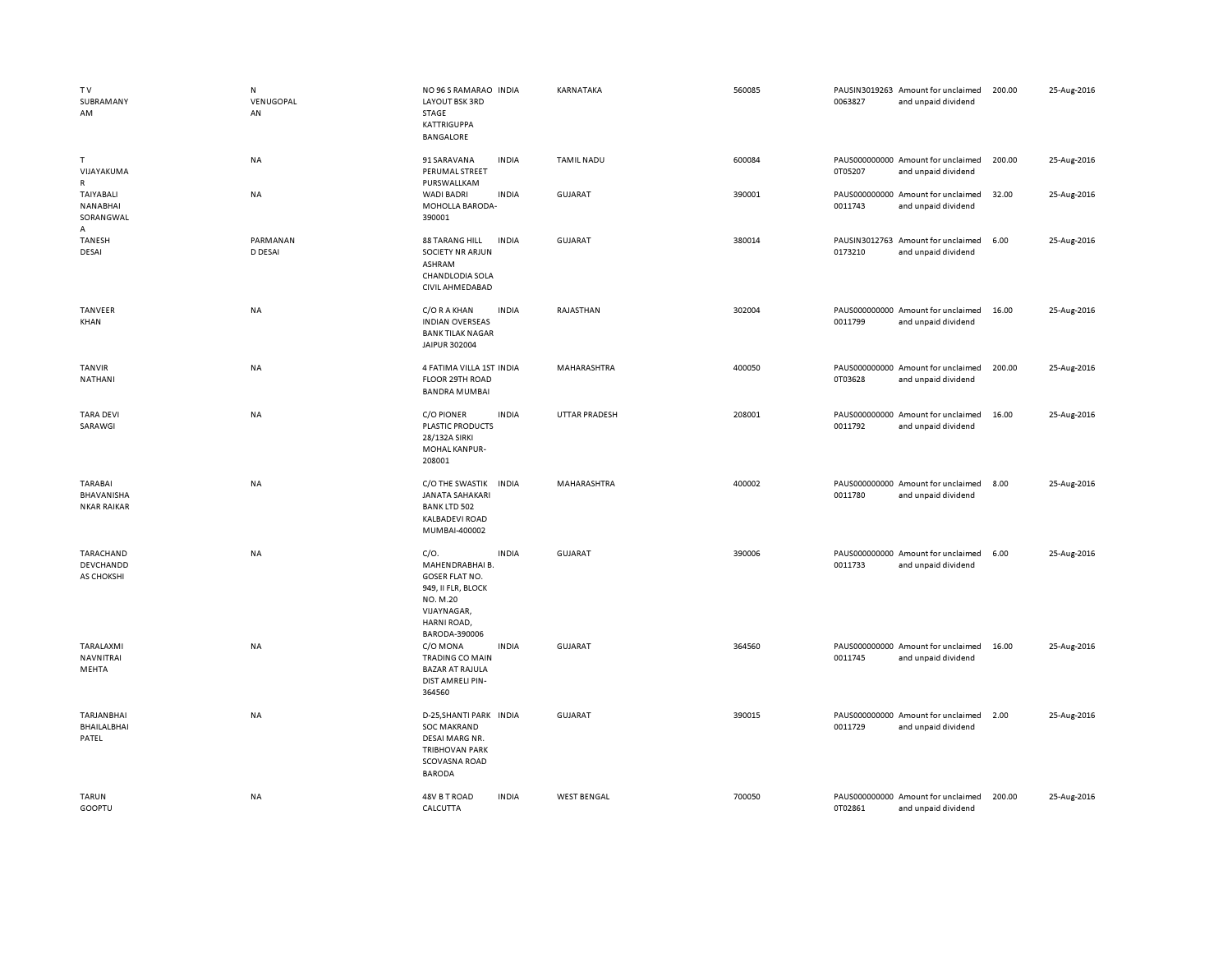| TV<br>SUBRAMANY<br>AM                              | N<br>VENUGOPAL<br>AN | NO 96 S RAMARAO INDIA<br>LAYOUT BSK 3RD<br>STAGE<br><b>KATTRIGUPPA</b><br><b>BANGALORE</b>                                 |              | KARNATAKA            | 560085 | 0063827 | PAUSIN3019263 Amount for unclaimed<br>and unpaid dividend | 200.00 | 25-Aug-2016 |
|----------------------------------------------------|----------------------|----------------------------------------------------------------------------------------------------------------------------|--------------|----------------------|--------|---------|-----------------------------------------------------------|--------|-------------|
| $\mathsf{T}$<br>VIJAYAKUMA<br>$\mathsf{R}$         | NA                   | 91 SARAVANA<br>PERUMAL STREET<br>PURSWALLKAM                                                                               | <b>INDIA</b> | <b>TAMIL NADU</b>    | 600084 | 0T05207 | PAUS000000000 Amount for unclaimed<br>and unpaid dividend | 200.00 | 25-Aug-2016 |
| TAIYABALI<br><b>NANABHAI</b><br>SORANGWAL<br>А     | NA                   | WADI BADRI<br>MOHOLLA BARODA-<br>390001                                                                                    | <b>INDIA</b> | GUJARAT              | 390001 | 0011743 | PAUS000000000 Amount for unclaimed<br>and unpaid dividend | 32.00  | 25-Aug-2016 |
| <b>TANESH</b><br>DESAI                             | PARMANAN<br>D DESAI  | <b>88 TARANG HILL</b><br>SOCIETY NR ARJUN<br>ASHRAM<br>CHANDLODIA SOLA<br>CIVIL AHMEDABAD                                  | <b>INDIA</b> | GUJARAT              | 380014 | 0173210 | PAUSIN3012763 Amount for unclaimed<br>and unpaid dividend | 6.00   | 25-Aug-2016 |
| TANVEER<br>KHAN                                    | NA                   | C/O R A KHAN<br><b>INDIAN OVERSEAS</b><br><b>BANK TILAK NAGAR</b><br>JAIPUR 302004                                         | <b>INDIA</b> | RAJASTHAN            | 302004 | 0011799 | PAUS000000000 Amount for unclaimed<br>and unpaid dividend | 16.00  | 25-Aug-2016 |
| TANVIR<br>NATHANI                                  | NA                   | 4 FATIMA VILLA 1ST INDIA<br>FLOOR 29TH ROAD<br><b>BANDRA MUMBAI</b>                                                        |              | MAHARASHTRA          | 400050 | 0T03628 | PAUS000000000 Amount for unclaimed<br>and unpaid dividend | 200.00 | 25-Aug-2016 |
| <b>TARA DEVI</b><br>SARAWGI                        | NA                   | <b>C/O PIONER</b><br><b>PLASTIC PRODUCTS</b><br>28/132A SIRKI<br>MOHAL KANPUR-<br>208001                                   | <b>INDIA</b> | <b>UTTAR PRADESH</b> | 208001 | 0011792 | PAUS000000000 Amount for unclaimed<br>and unpaid dividend | 16.00  | 25-Aug-2016 |
| <b>TARABAI</b><br>BHAVANISHA<br><b>NKAR RAIKAR</b> | NA                   | C/O THE SWASTIK<br><b>INDIA</b><br><b>JANATA SAHAKARI</b><br><b>BANK LTD 502</b><br><b>KALBADEVI ROAD</b><br>MUMBAI-400002 |              | MAHARASHTRA          | 400002 | 0011780 | PAUS000000000 Amount for unclaimed<br>and unpaid dividend | 8.00   | 25-Aug-2016 |
| TARACHAND<br>DEVCHANDD<br>AS CHOKSHI               | NA                   | C/O.<br>MAHENDRABHAI B.<br>GOSER FLAT NO.<br>949, II FLR, BLOCK<br>NO. M.20<br>VIJAYNAGAR,<br>HARNI ROAD,<br>BARODA-390006 | <b>INDIA</b> | <b>GUJARAT</b>       | 390006 | 0011733 | PAUS000000000 Amount for unclaimed<br>and unpaid dividend | 6.00   | 25-Aug-2016 |
| TARALAXMI<br>NAVNITRAI<br>MEHTA                    | NA                   | C/O MONA<br><b>TRADING CO MAIN</b><br><b>BAZAR AT RAJULA</b><br>DIST AMRELI PIN-<br>364560                                 | <b>INDIA</b> | <b>GUJARAT</b>       | 364560 | 0011745 | PAUS000000000 Amount for unclaimed<br>and unpaid dividend | 16.00  | 25-Aug-2016 |
| TARJANBHAI<br>BHAILALBHAI<br>PATEL                 | NA                   | D-25, SHANTI PARK INDIA<br><b>SOC MAKRAND</b><br>DESAI MARG NR.<br><b>TRIBHOVAN PARK</b><br>SCOVASNA ROAD<br><b>BARODA</b> |              | <b>GUJARAT</b>       | 390015 | 0011729 | PAUS000000000 Amount for unclaimed<br>and unpaid dividend | 2.00   | 25-Aug-2016 |
| <b>TARUN</b><br>GOOPTU                             | NA                   | 48V B T ROAD<br>CALCUTTA                                                                                                   | <b>INDIA</b> | <b>WEST BENGAL</b>   | 700050 | 0T02861 | PAUS000000000 Amount for unclaimed<br>and unpaid dividend | 200.00 | 25-Aug-2016 |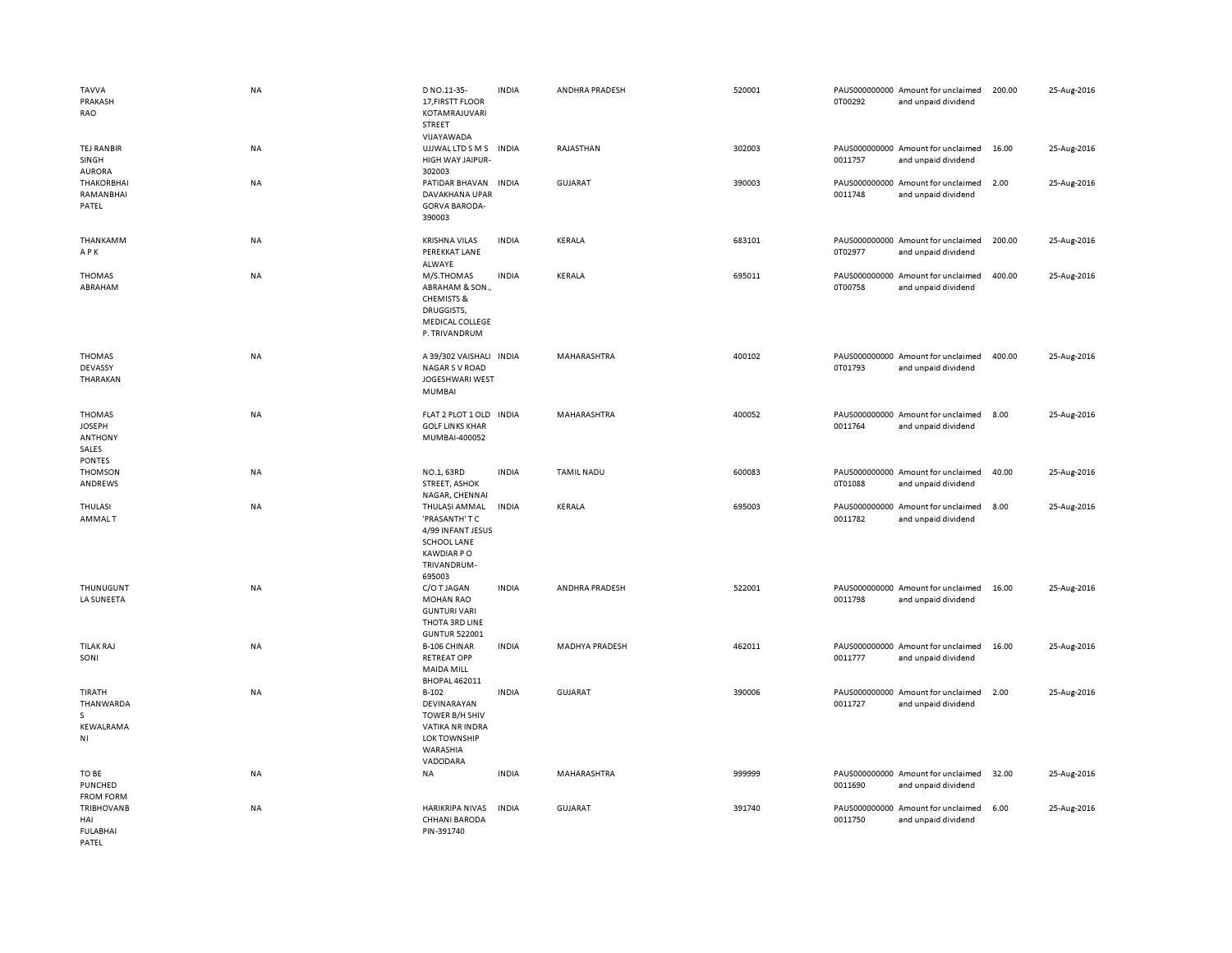| <b>TAVVA</b><br>PRAKASH<br>RAO                                             | <b>NA</b> | D NO.11-35-<br>17, FIRSTT FLOOR<br>KOTAMRAJUVARI<br>STREET<br>VIJAYAWADA                                                 | <b>INDIA</b> | ANDHRA PRADESH        | 520001 | 0T00292 | PAUS000000000 Amount for unclaimed<br>and unpaid dividend | 200.00 | 25-Aug-2016 |
|----------------------------------------------------------------------------|-----------|--------------------------------------------------------------------------------------------------------------------------|--------------|-----------------------|--------|---------|-----------------------------------------------------------|--------|-------------|
| TEJ RANBIR<br>SINGH<br><b>AURORA</b>                                       | NA        | UJJWAL LTD S M S INDIA<br>HIGH WAY JAIPUR-<br>302003                                                                     |              | RAJASTHAN             | 302003 | 0011757 | PAUS000000000 Amount for unclaimed<br>and unpaid dividend | 16.00  | 25-Aug-2016 |
| <b>THAKORBHAI</b><br>RAMANBHAI<br>PATEL                                    | <b>NA</b> | PATIDAR BHAVAN<br>DAVAKHANA UPAR<br><b>GORVA BARODA-</b><br>390003                                                       | <b>INDIA</b> | <b>GUJARAT</b>        | 390003 | 0011748 | PAUS000000000 Amount for unclaimed<br>and unpaid dividend | 2.00   | 25-Aug-2016 |
| THANKAMM<br>APK                                                            | NA        | <b>KRISHNA VILAS</b><br>PEREKKAT LANE<br>ALWAYE                                                                          | <b>INDIA</b> | KERALA                | 683101 | 0T02977 | PAUS000000000 Amount for unclaimed<br>and unpaid dividend | 200.00 | 25-Aug-2016 |
| <b>THOMAS</b><br>ABRAHAM                                                   | NA        | M/S.THOMAS<br>ABRAHAM & SON.,<br><b>CHEMISTS &amp;</b><br>DRUGGISTS,<br><b>MEDICAL COLLEGE</b><br>P. TRIVANDRUM          | <b>INDIA</b> | KERALA                | 695011 | 0T00758 | PAUS000000000 Amount for unclaimed<br>and unpaid dividend | 400.00 | 25-Aug-2016 |
| <b>THOMAS</b><br>DEVASSY<br>THARAKAN                                       | <b>NA</b> | A 39/302 VAISHALI INDIA<br><b>NAGAR S V ROAD</b><br>JOGESHWARI WEST<br><b>MUMBAI</b>                                     |              | MAHARASHTRA           | 400102 | 0T01793 | PAUS000000000 Amount for unclaimed<br>and unpaid dividend | 400.00 | 25-Aug-2016 |
| <b>THOMAS</b><br><b>JOSEPH</b><br><b>ANTHONY</b><br>SALES<br><b>PONTES</b> | <b>NA</b> | FLAT 2 PLOT 1 OLD INDIA<br><b>GOLF LINKS KHAR</b><br>MUMBAI-400052                                                       |              | <b>MAHARASHTRA</b>    | 400052 | 0011764 | PAUS000000000 Amount for unclaimed<br>and unpaid dividend | 8.00   | 25-Aug-2016 |
| <b>THOMSON</b><br>ANDREWS                                                  | NA        | NO.1, 63RD<br><b>STREET, ASHOK</b><br>NAGAR, CHENNAI                                                                     | <b>INDIA</b> | <b>TAMIL NADU</b>     | 600083 | 0T01088 | PAUS000000000 Amount for unclaimed<br>and unpaid dividend | 40.00  | 25-Aug-2016 |
| THULASI<br><b>AMMALT</b>                                                   | <b>NA</b> | THULASI AMMAL<br>'PRASANTH' T C<br>4/99 INFANT JESUS<br><b>SCHOOL LANE</b><br><b>KAWDIAR PO</b><br>TRIVANDRUM-<br>695003 | <b>INDIA</b> | KERALA                | 695003 | 0011782 | PAUS000000000 Amount for unclaimed<br>and unpaid dividend | 8.00   | 25-Aug-2016 |
| THUNUGUNT<br>LA SUNEETA                                                    | <b>NA</b> | C/O T JAGAN<br><b>MOHAN RAO</b><br><b>GUNTURI VARI</b><br>THOTA 3RD LINE<br><b>GUNTUR 522001</b>                         | <b>INDIA</b> | ANDHRA PRADESH        | 522001 | 0011798 | PAUS000000000 Amount for unclaimed<br>and unpaid dividend | 16.00  | 25-Aug-2016 |
| <b>TILAK RAJ</b><br>SONI                                                   | <b>NA</b> | <b>B-106 CHINAR</b><br><b>RETREAT OPP</b><br><b>MAIDA MILL</b><br><b>BHOPAL 462011</b>                                   | <b>INDIA</b> | <b>MADHYA PRADESH</b> | 462011 | 0011777 | PAUS000000000 Amount for unclaimed<br>and unpaid dividend | 16.00  | 25-Aug-2016 |
| TIRATH<br>THANWARDA<br>s<br>KEWALRAMA<br>NI                                | <b>NA</b> | $B-102$<br>DEVINARAYAN<br>TOWER B/H SHIV<br><b>VATIKA NR INDRA</b><br><b>LOK TOWNSHIP</b><br>WARASHIA<br>VADODARA        | <b>INDIA</b> | <b>GUJARAT</b>        | 390006 | 0011727 | PAUS000000000 Amount for unclaimed<br>and unpaid dividend | 2.00   | 25-Aug-2016 |
| TO BE<br>PUNCHED<br><b>FROM FORM</b>                                       | <b>NA</b> | NA                                                                                                                       | <b>INDIA</b> | MAHARASHTRA           | 999999 | 0011690 | PAUS000000000 Amount for unclaimed<br>and unpaid dividend | 32.00  | 25-Aug-2016 |
| <b>TRIBHOVANB</b><br>HAI<br><b>FULABHAI</b><br>PATFI                       | <b>NA</b> | <b>HARIKRIPA NIVAS</b><br><b>CHHANI BARODA</b><br>PIN-391740                                                             | <b>INDIA</b> | <b>GUJARAT</b>        | 391740 | 0011750 | PAUS000000000 Amount for unclaimed<br>and unpaid dividend | 6.00   | 25-Aug-2016 |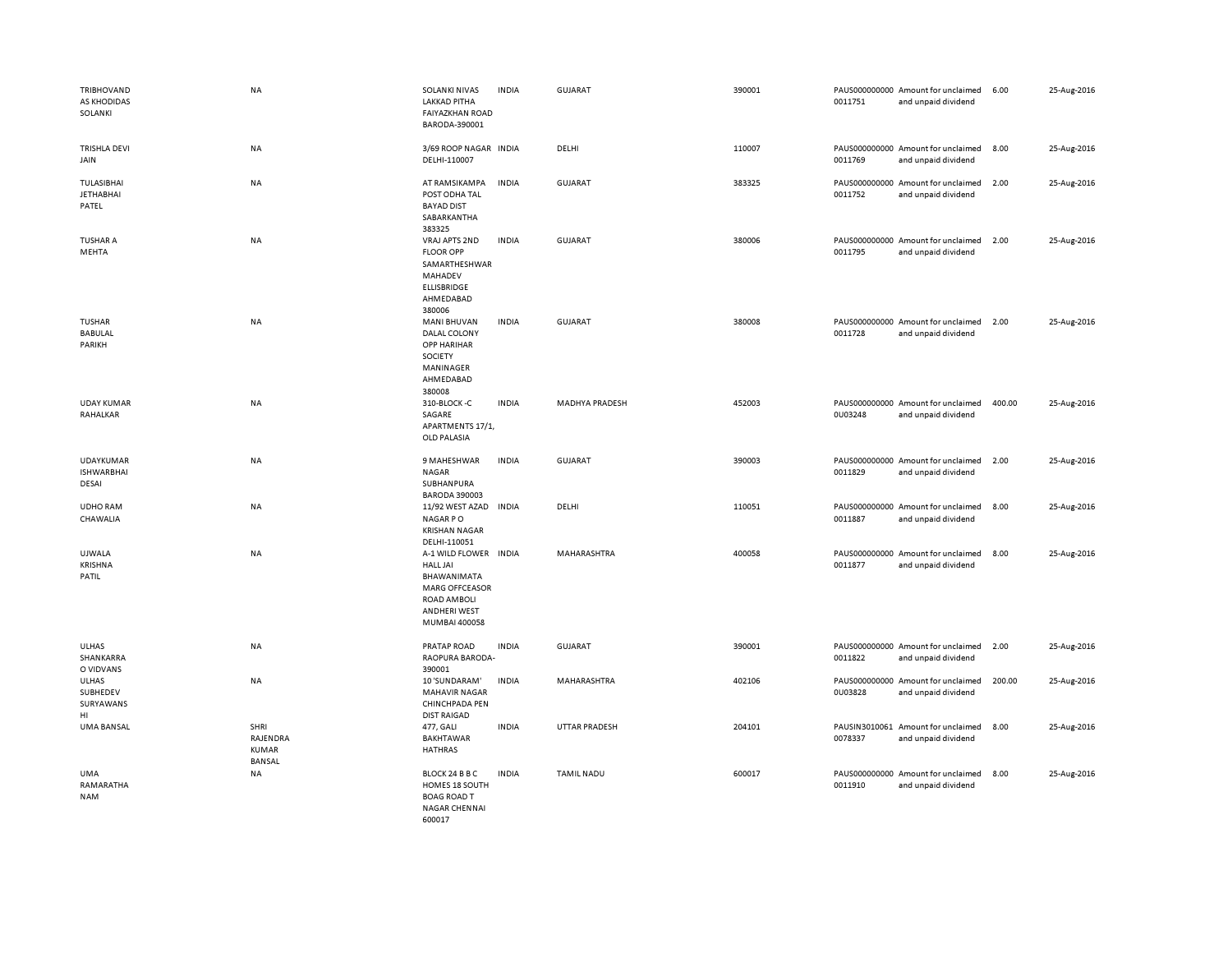| TRIBHOVAND<br>AS KHODIDAS<br>SOLANKI           | NA                                                | SOLANKI NIVAS<br><b>LAKKAD PITHA</b><br><b>FAIYAZKHAN ROAD</b><br>BARODA-390001                                                         | <b>INDIA</b> | <b>GUJARAT</b>        | 390001 | 0011751 | PAUS000000000 Amount for unclaimed<br>and unpaid dividend | 6.00   | 25-Aug-2016 |
|------------------------------------------------|---------------------------------------------------|-----------------------------------------------------------------------------------------------------------------------------------------|--------------|-----------------------|--------|---------|-----------------------------------------------------------|--------|-------------|
| <b>TRISHLA DEVI</b><br>JAIN                    | NA                                                | 3/69 ROOP NAGAR INDIA<br>DELHI-110007                                                                                                   |              | DELHI                 | 110007 | 0011769 | PAUS000000000 Amount for unclaimed<br>and unpaid dividend | 8.00   | 25-Aug-2016 |
| TULASIBHAI<br><b>JETHABHAI</b><br>PATEL        | NA                                                | AT RAMSIKAMPA<br>POST ODHA TAL<br><b>BAYAD DIST</b><br>SABARKANTHA<br>383325                                                            | <b>INDIA</b> | <b>GUJARAT</b>        | 383325 | 0011752 | PAUS000000000 Amount for unclaimed<br>and unpaid dividend | 2.00   | 25-Aug-2016 |
| <b>TUSHAR A</b><br>MEHTA                       | NA                                                | VRAJ APTS 2ND<br><b>FLOOR OPP</b><br>SAMARTHESHWAR<br>MAHADEV<br><b>ELLISBRIDGE</b><br>AHMEDABAD<br>380006                              | <b>INDIA</b> | <b>GUJARAT</b>        | 380006 | 0011795 | PAUS000000000 Amount for unclaimed<br>and unpaid dividend | 2.00   | 25-Aug-2016 |
| TUSHAR<br><b>BABULAL</b><br>PARIKH             | NA                                                | <b>MANI BHUVAN</b><br>DALAL COLONY<br>OPP HARIHAR<br>SOCIETY<br>MANINAGER<br>AHMEDABAD<br>380008                                        | <b>INDIA</b> | <b>GUJARAT</b>        | 380008 | 0011728 | PAUS000000000 Amount for unclaimed<br>and unpaid dividend | 2.00   | 25-Aug-2016 |
| <b>UDAY KUMAR</b><br>RAHALKAR                  | NA                                                | 310-BLOCK-C<br>SAGARE<br>APARTMENTS 17/1,<br><b>OLD PALASIA</b>                                                                         | <b>INDIA</b> | <b>MADHYA PRADESH</b> | 452003 | 0U03248 | PAUS000000000 Amount for unclaimed<br>and unpaid dividend | 400.00 | 25-Aug-2016 |
| <b>UDAYKUMAR</b><br><b>ISHWARBHAI</b><br>DESAI | NA                                                | 9 MAHESHWAR<br><b>NAGAR</b><br>SUBHANPURA<br><b>BARODA 390003</b>                                                                       | <b>INDIA</b> | <b>GUJARAT</b>        | 390003 | 0011829 | PAUS000000000 Amount for unclaimed<br>and unpaid dividend | 2.00   | 25-Aug-2016 |
| <b>UDHO RAM</b><br>CHAWALIA                    | NA                                                | 11/92 WEST AZAD<br>NAGAR PO<br><b>KRISHAN NAGAR</b><br>DELHI-110051                                                                     | INDIA        | DELHI                 | 110051 | 0011887 | PAUS000000000 Amount for unclaimed<br>and unpaid dividend | 8.00   | 25-Aug-2016 |
| UJWALA<br><b>KRISHNA</b><br>PATIL              | NA                                                | A-1 WILD FLOWER INDIA<br><b>HALL JAI</b><br>BHAWANIMATA<br>MARG OFFCEASOR<br><b>ROAD AMBOLI</b><br><b>ANDHERI WEST</b><br>MUMBAI 400058 |              | MAHARASHTRA           | 400058 | 0011877 | PAUS000000000 Amount for unclaimed<br>and unpaid dividend | 8.00   | 25-Aug-2016 |
| ULHAS<br>SHANKARRA<br>O VIDVANS                | NA                                                | PRATAP ROAD<br>RAOPURA BARODA-<br>390001                                                                                                | <b>INDIA</b> | <b>GUJARAT</b>        | 390001 | 0011822 | PAUS000000000 Amount for unclaimed<br>and unpaid dividend | 2.00   | 25-Aug-2016 |
| ULHAS<br>SUBHEDEV<br>SURYAWANS<br>HI           | NA                                                | 10 'SUNDARAM'<br><b>MAHAVIR NAGAR</b><br>CHINCHPADA PEN<br><b>DIST RAIGAD</b>                                                           | <b>INDIA</b> | MAHARASHTRA           | 402106 | 0U03828 | PAUS000000000 Amount for unclaimed<br>and unpaid dividend | 200.00 | 25-Aug-2016 |
| UMA BANSAL                                     | SHRI<br>RAJENDRA<br><b>KUMAR</b><br><b>BANSAL</b> | 477, GALI<br><b>BAKHTAWAR</b><br><b>HATHRAS</b>                                                                                         | <b>INDIA</b> | <b>UTTAR PRADESH</b>  | 204101 | 0078337 | PAUSIN3010061 Amount for unclaimed<br>and unpaid dividend | 8.00   | 25-Aug-2016 |
| <b>UMA</b><br>RAMARATHA<br><b>NAM</b>          | NA                                                | BLOCK 24 B B C<br>HOMES 18 SOUTH<br><b>BOAG ROAD T</b><br><b>NAGAR CHENNAI</b><br>600017                                                | <b>INDIA</b> | <b>TAMIL NADU</b>     | 600017 | 0011910 | PAUS000000000 Amount for unclaimed<br>and unpaid dividend | 8.00   | 25-Aug-2016 |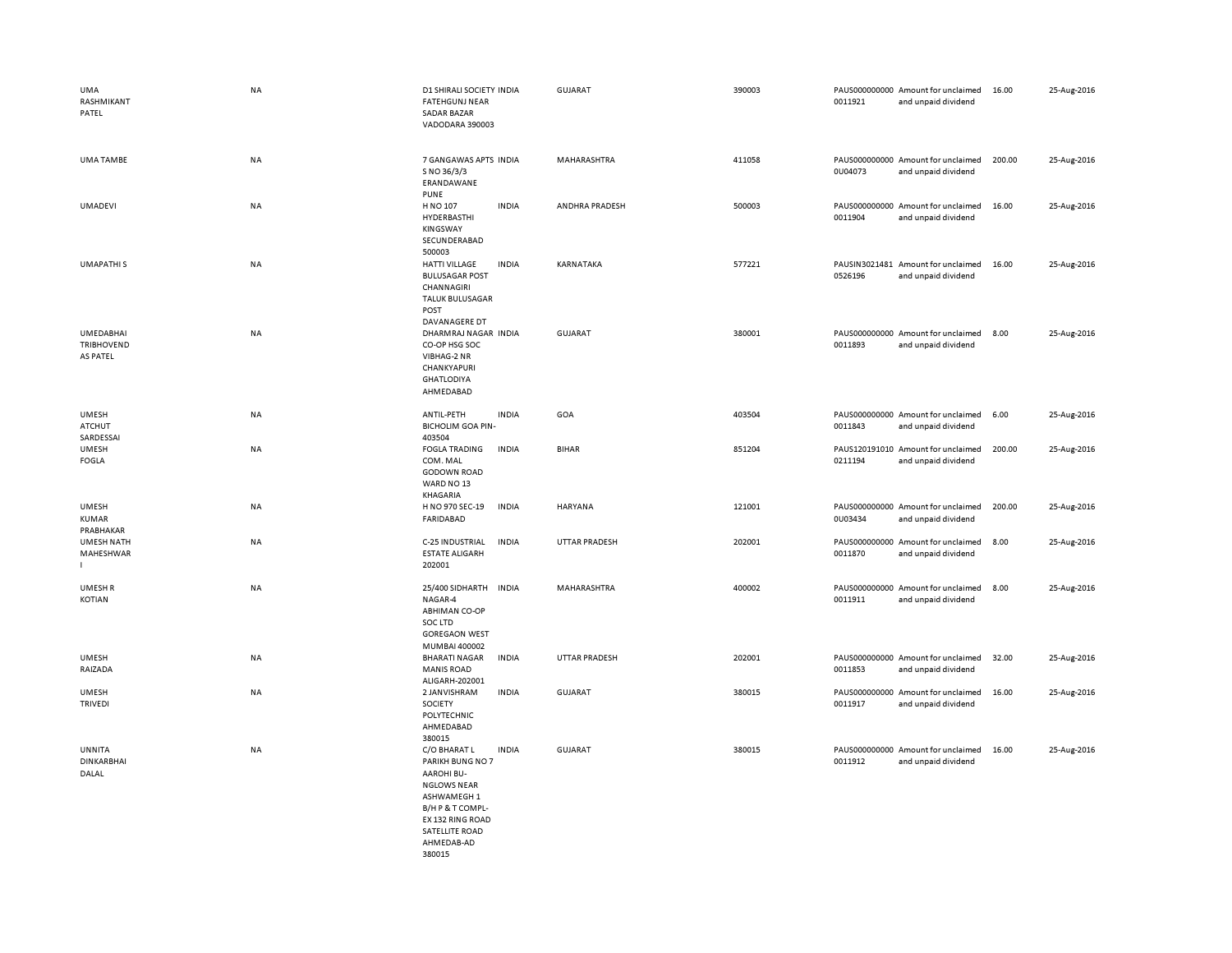| UMA<br>RASHMIKANT<br>PATEL                     | <b>NA</b> | D1 SHIRALI SOCIETY INDIA<br><b>FATEHGUNJ NEAR</b><br><b>SADAR BAZAR</b><br>VADODARA 390003                                                                                                   | <b>GUJARAT</b> | 390003 | PAUS000000000 Amount for unclaimed<br>0011921<br>and unpaid dividend | 16.00  | 25-Aug-2016 |
|------------------------------------------------|-----------|----------------------------------------------------------------------------------------------------------------------------------------------------------------------------------------------|----------------|--------|----------------------------------------------------------------------|--------|-------------|
| UMA TAMBE                                      | NA        | 7 GANGAWAS APTS INDIA<br>S NO 36/3/3<br>ERANDAWANE<br><b>PUNE</b>                                                                                                                            | MAHARASHTRA    | 411058 | PAUS000000000 Amount for unclaimed<br>0U04073<br>and unpaid dividend | 200.00 | 25-Aug-2016 |
| UMADEVI                                        | NA        | H NO 107<br><b>INDIA</b><br>HYDERBASTHI<br>KINGSWAY<br>SECUNDERABAD<br>500003                                                                                                                | ANDHRA PRADESH | 500003 | PAUS000000000 Amount for unclaimed<br>0011904<br>and unpaid dividend | 16.00  | 25-Aug-2016 |
| <b>UMAPATHIS</b>                               | NA        | <b>HATTI VILLAGE</b><br><b>INDIA</b><br><b>BULUSAGAR POST</b><br>CHANNAGIRI<br><b>TALUK BULUSAGAR</b><br>POST<br>DAVANAGERE DT                                                               | KARNATAKA      | 577221 | PAUSIN3021481 Amount for unclaimed<br>0526196<br>and unpaid dividend | 16.00  | 25-Aug-2016 |
| UMEDABHAI<br><b>TRIBHOVEND</b><br>AS PATEL     | NA        | DHARMRAJ NAGAR INDIA<br>CO-OP HSG SOC<br>VIBHAG-2 NR<br>CHANKYAPURI<br><b>GHATLODIYA</b><br>AHMEDABAD                                                                                        | GUJARAT        | 380001 | PAUS000000000 Amount for unclaimed<br>0011893<br>and unpaid dividend | 8.00   | 25-Aug-2016 |
| <b>UMESH</b><br><b>ATCHUT</b><br>SARDESSAI     | <b>NA</b> | ANTIL-PETH<br><b>INDIA</b><br><b>BICHOLIM GOA PIN-</b><br>403504                                                                                                                             | GOA            | 403504 | PAUS000000000 Amount for unclaimed<br>0011843<br>and unpaid dividend | 6.00   | 25-Aug-2016 |
| <b>UMESH</b><br><b>FOGLA</b>                   | NA        | <b>INDIA</b><br><b>FOGLA TRADING</b><br>COM. MAL<br><b>GODOWN ROAD</b><br>WARD NO 13<br>KHAGARIA                                                                                             | <b>BIHAR</b>   | 851204 | PAUS120191010 Amount for unclaimed<br>0211194<br>and unpaid dividend | 200.00 | 25-Aug-2016 |
| <b>UMESH</b><br><b>KUMAR</b><br>PRABHAKAR      | NA        | H NO 970 SEC-19<br><b>INDIA</b><br>FARIDABAD                                                                                                                                                 | HARYANA        | 121001 | PAUS000000000 Amount for unclaimed<br>0U03434<br>and unpaid dividend | 200.00 | 25-Aug-2016 |
| <b>UMESH NATH</b><br>MAHESHWAR<br>$\mathbf{L}$ | <b>NA</b> | C-25 INDUSTRIAL<br><b>INDIA</b><br><b>ESTATE ALIGARH</b><br>202001                                                                                                                           | UTTAR PRADESH  | 202001 | PAUS000000000 Amount for unclaimed<br>0011870<br>and unpaid dividend | 8.00   | 25-Aug-2016 |
| <b>UMESHR</b><br><b>KOTIAN</b>                 | NA        | 25/400 SIDHARTH<br><b>INDIA</b><br>NAGAR-4<br><b>ABHIMAN CO-OP</b><br>SOC LTD<br><b>GOREGAON WEST</b><br>MUMBAI 400002                                                                       | MAHARASHTRA    | 400002 | PAUS000000000 Amount for unclaimed<br>0011911<br>and unpaid dividend | 8.00   | 25-Aug-2016 |
| <b>UMESH</b><br>RAIZADA                        | NA        | <b>INDIA</b><br><b>BHARATI NAGAR</b><br><b>MANIS ROAD</b><br>ALIGARH-202001                                                                                                                  | UTTAR PRADESH  | 202001 | PAUS000000000 Amount for unclaimed<br>0011853<br>and unpaid dividend | 32.00  | 25-Aug-2016 |
| <b>UMESH</b><br><b>TRIVEDI</b>                 | NA        | 2 JANVISHRAM<br><b>INDIA</b><br>SOCIETY<br>POLYTECHNIC<br>AHMEDABAD<br>380015                                                                                                                | GUJARAT        | 380015 | PAUS000000000 Amount for unclaimed<br>0011917<br>and unpaid dividend | 16.00  | 25-Aug-2016 |
| UNNITA<br><b>DINKARBHAI</b><br>DALAL           | <b>NA</b> | <b>INDIA</b><br>C/O BHARAT L<br>PARIKH BUNG NO 7<br><b>AAROHI BU-</b><br><b>NGLOWS NEAR</b><br>ASHWAMEGH 1<br>B/H P & T COMPL-<br>EX 132 RING ROAD<br>SATELLITE ROAD<br>AHMEDAB-AD<br>380015 | <b>GUJARAT</b> | 380015 | PAUS000000000 Amount for unclaimed<br>0011912<br>and unpaid dividend | 16.00  | 25-Aug-2016 |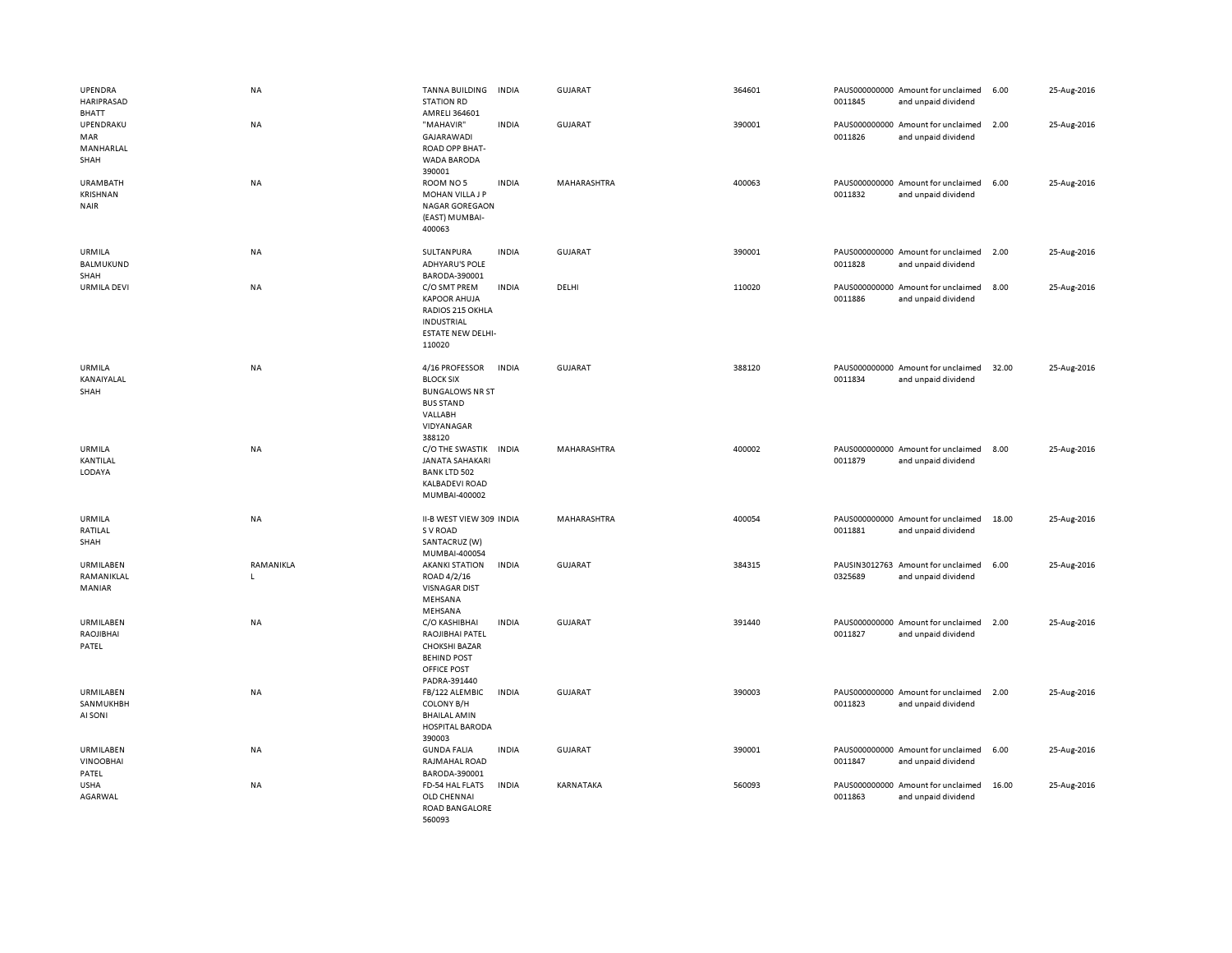| UPENDRA<br>HARIPRASAD<br>BHATT             | NA             | TANNA BUILDING<br><b>STATION RD</b><br>AMRELI 364601                                                                 | <b>INDIA</b> | <b>GUJARAT</b>     | 364601 | 0011845 | PAUS000000000 Amount for unclaimed<br>and unpaid dividend | 6.00  | 25-Aug-2016 |
|--------------------------------------------|----------------|----------------------------------------------------------------------------------------------------------------------|--------------|--------------------|--------|---------|-----------------------------------------------------------|-------|-------------|
| UPENDRAKU<br>MAR<br>MANHARLAL<br>SHAH      | NA             | "MAHAVIR"<br>GAJARAWADI<br>ROAD OPP BHAT-<br><b>WADA BARODA</b><br>390001                                            | <b>INDIA</b> | GUJARAT            | 390001 | 0011826 | PAUS000000000 Amount for unclaimed<br>and unpaid dividend | 2.00  | 25-Aug-2016 |
| <b>URAMBATH</b><br>KRISHNAN<br><b>NAIR</b> | <b>NA</b>      | ROOM NO 5<br>MOHAN VILLA J P<br><b>NAGAR GOREGAON</b><br>(EAST) MUMBAI-<br>400063                                    | <b>INDIA</b> | <b>MAHARASHTRA</b> | 400063 | 0011832 | PAUS000000000 Amount for unclaimed<br>and unpaid dividend | 6.00  | 25-Aug-2016 |
| URMILA<br><b>BALMUKUND</b><br>SHAH         | <b>NA</b>      | SULTANPURA<br><b>ADHYARU'S POLE</b><br>BARODA-390001                                                                 | <b>INDIA</b> | <b>GUJARAT</b>     | 390001 | 0011828 | PAUS000000000 Amount for unclaimed<br>and unpaid dividend | 2.00  | 25-Aug-2016 |
| <b>URMILA DEVI</b>                         | NA             | C/O SMT PREM<br><b>KAPOOR AHUJA</b><br>RADIOS 215 OKHLA<br>INDUSTRIAL<br><b>ESTATE NEW DELHI-</b><br>110020          | <b>INDIA</b> | DELHI              | 110020 | 0011886 | PAUS000000000 Amount for unclaimed<br>and unpaid dividend | 8.00  | 25-Aug-2016 |
| URMILA<br>KANAIYALAL<br>SHAH               | NA             | 4/16 PROFESSOR<br><b>BLOCK SIX</b><br><b>BUNGALOWS NR ST</b><br><b>BUS STAND</b><br>VALLABH<br>VIDYANAGAR<br>388120  | <b>INDIA</b> | <b>GUJARAT</b>     | 388120 | 0011834 | PAUS000000000 Amount for unclaimed<br>and unpaid dividend | 32.00 | 25-Aug-2016 |
| URMILA<br>KANTILAL<br>LODAYA               | <b>NA</b>      | C/O THE SWASTIK INDIA<br>JANATA SAHAKARI<br><b>BANK LTD 502</b><br><b>KALBADEVI ROAD</b><br>MUMBAI-400002            |              | MAHARASHTRA        | 400002 | 0011879 | PAUS000000000 Amount for unclaimed<br>and unpaid dividend | 8.00  | 25-Aug-2016 |
| URMILA<br>RATILAL<br>SHAH                  | NA             | II-B WEST VIEW 309 INDIA<br>S V ROAD<br>SANTACRUZ (W)<br>MUMBAI-400054                                               |              | MAHARASHTRA        | 400054 | 0011881 | PAUS000000000 Amount for unclaimed<br>and unpaid dividend | 18.00 | 25-Aug-2016 |
| URMILABEN<br>RAMANIKLAL<br>MANIAR          | RAMANIKLA<br>L | <b>AKANKI STATION</b><br>ROAD 4/2/16<br><b>VISNAGAR DIST</b><br>MEHSANA<br>MEHSANA                                   | <b>INDIA</b> | <b>GUJARAT</b>     | 384315 | 0325689 | PAUSIN3012763 Amount for unclaimed<br>and unpaid dividend | 6.00  | 25-Aug-2016 |
| URMILABEN<br>RAOJIBHAI<br>PATEL            | NA             | C/O KASHIBHAI<br>RAOJIBHAI PATEL<br><b>CHOKSHI BAZAR</b><br><b>BEHIND POST</b><br><b>OFFICE POST</b><br>PADRA-391440 | <b>INDIA</b> | GUJARAT            | 391440 | 0011827 | PAUS000000000 Amount for unclaimed<br>and unpaid dividend | 2.00  | 25-Aug-2016 |
| URMILABEN<br>SANMUKHBH<br>AI SONI          | NA             | FB/122 ALEMBIC<br><b>COLONY B/H</b><br><b>BHAILAL AMIN</b><br>HOSPITAL BARODA<br>390003                              | <b>INDIA</b> | GUJARAT            | 390003 | 0011823 | PAUS000000000 Amount for unclaimed<br>and unpaid dividend | 2.00  | 25-Aug-2016 |
| URMILABEN<br><b>VINOOBHAI</b><br>PATEL     | NA             | <b>GUNDA FALIA</b><br>RAJMAHAL ROAD<br>BARODA-390001                                                                 | <b>INDIA</b> | GUJARAT            | 390001 | 0011847 | PAUS000000000 Amount for unclaimed<br>and unpaid dividend | 6.00  | 25-Aug-2016 |
| <b>USHA</b><br>AGARWAL                     | NA             | FD-54 HAL FLATS<br>OLD CHENNAI<br><b>ROAD BANGALORE</b><br>560093                                                    | <b>INDIA</b> | KARNATAKA          | 560093 | 0011863 | PAUS000000000 Amount for unclaimed<br>and unpaid dividend | 16.00 | 25-Aug-2016 |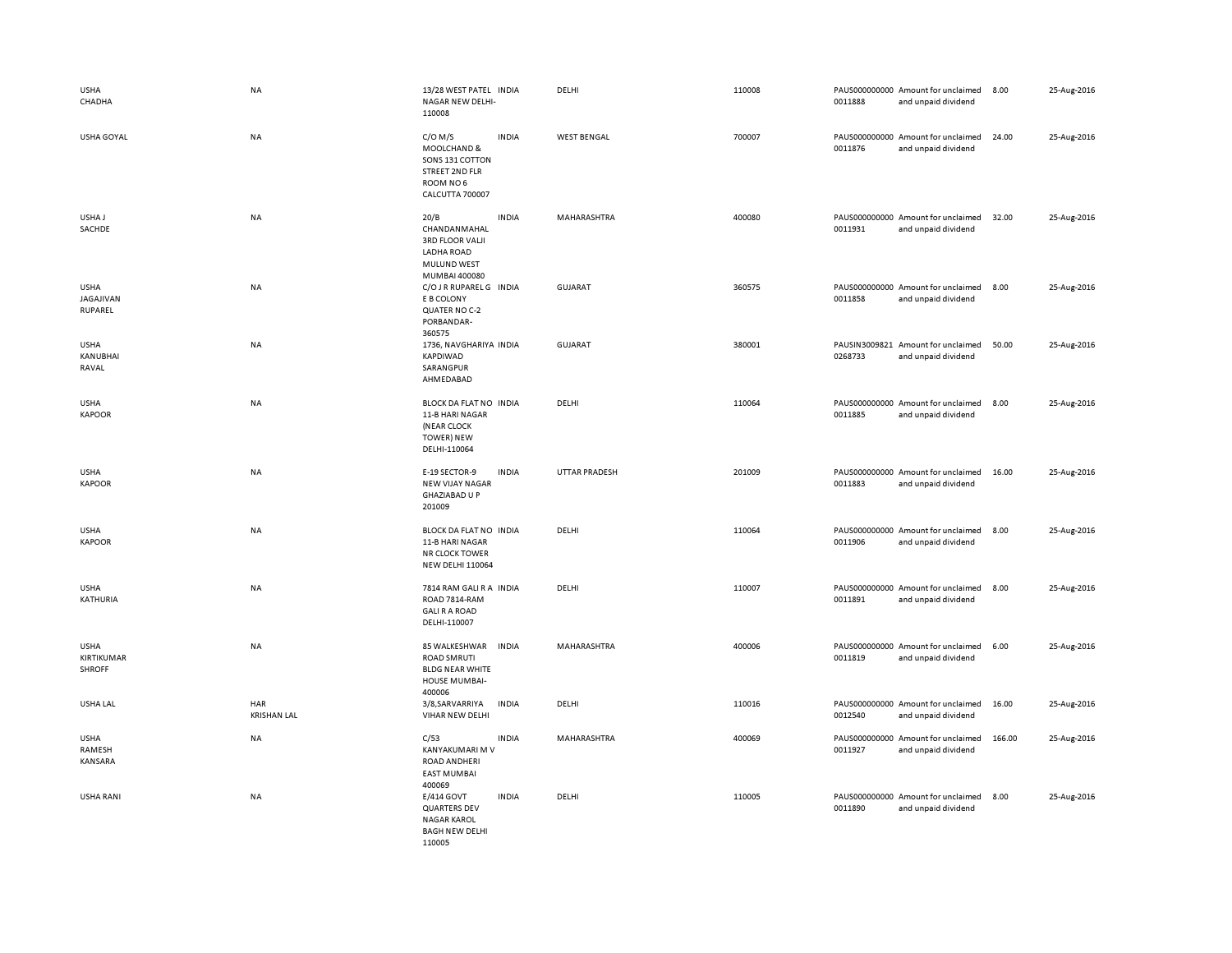| <b>USHA</b><br>CHADHA                      | <b>NA</b>                 | 13/28 WEST PATEL INDIA<br>NAGAR NEW DELHI-<br>110008                                                  |              | DELHI              | 110008 | 0011888                  | PAUS000000000 Amount for unclaimed<br>and unpaid dividend | 8.00   | 25-Aug-2016 |
|--------------------------------------------|---------------------------|-------------------------------------------------------------------------------------------------------|--------------|--------------------|--------|--------------------------|-----------------------------------------------------------|--------|-------------|
| USHA GOYAL                                 | <b>NA</b>                 | $C/O$ M/S<br>MOOLCHAND &<br>SONS 131 COTTON<br>STREET 2ND FLR<br>ROOM NO6<br><b>CALCUTTA 700007</b>   | <b>INDIA</b> | <b>WEST BENGAL</b> | 700007 | 0011876                  | PAUS000000000 Amount for unclaimed<br>and unpaid dividend | 24.00  | 25-Aug-2016 |
| USHA J<br>SACHDE                           | <b>NA</b>                 | 20/B<br>CHANDANMAHAL<br><b>3RD FLOOR VALJI</b><br>LADHA ROAD<br>MULUND WEST<br>MUMBAI 400080          | <b>INDIA</b> | MAHARASHTRA        | 400080 | 0011931                  | PAUS000000000 Amount for unclaimed<br>and unpaid dividend | 32.00  | 25-Aug-2016 |
| <b>USHA</b><br>JAGAJIVAN<br>RUPAREL        | <b>NA</b>                 | C/O J R RUPAREL G INDIA<br>E B COLONY<br>QUATER NO C-2<br>PORBANDAR-<br>360575                        |              | <b>GUJARAT</b>     | 360575 | 0011858                  | PAUS000000000 Amount for unclaimed<br>and unpaid dividend | 8.00   | 25-Aug-2016 |
| <b>USHA</b><br>KANUBHAI<br>RAVAL           | <b>NA</b>                 | 1736, NAVGHARIYA INDIA<br>KAPDIWAD<br>SARANGPUR<br>AHMEDABAD                                          |              | <b>GUJARAT</b>     | 380001 | 0268733                  | PAUSIN3009821 Amount for unclaimed<br>and unpaid dividend | 50.00  | 25-Aug-2016 |
| <b>USHA</b><br><b>KAPOOR</b>               | NA                        | BLOCK DA FLAT NO INDIA<br>11-B HARI NAGAR<br>(NEAR CLOCK<br><b>TOWER) NEW</b><br>DELHI-110064         |              | DELHI              | 110064 | 0011885                  | PAUS000000000 Amount for unclaimed<br>and unpaid dividend | 8.00   | 25-Aug-2016 |
| <b>USHA</b><br><b>KAPOOR</b>               | NA                        | E-19 SECTOR-9<br>NEW VIJAY NAGAR<br><b>GHAZIABAD U P</b><br>201009                                    | <b>INDIA</b> | UTTAR PRADESH      | 201009 | 0011883                  | PAUS000000000 Amount for unclaimed<br>and unpaid dividend | 16.00  | 25-Aug-2016 |
| <b>USHA</b><br><b>KAPOOR</b>               | <b>NA</b>                 | BLOCK DA FLAT NO INDIA<br>11-B HARI NAGAR<br><b>NR CLOCK TOWER</b><br><b>NEW DELHI 110064</b>         |              | DELHI              | 110064 | PAUS000000000<br>0011906 | Amount for unclaimed<br>and unpaid dividend               | 8.00   | 25-Aug-2016 |
| <b>USHA</b><br>KATHURIA                    | <b>NA</b>                 | 7814 RAM GALI R A INDIA<br>ROAD 7814-RAM<br><b>GALI R A ROAD</b><br>DELHI-110007                      |              | DELHI              | 110007 | 0011891                  | PAUS000000000 Amount for unclaimed<br>and unpaid dividend | 8.00   | 25-Aug-2016 |
| <b>USHA</b><br>KIRTIKUMAR<br><b>SHROFF</b> | <b>NA</b>                 | 85 WALKESHWAR INDIA<br><b>ROAD SMRUTI</b><br><b>BLDG NEAR WHITE</b><br><b>HOUSE MUMBAI-</b><br>400006 |              | MAHARASHTRA        | 400006 | 0011819                  | PAUS000000000 Amount for unclaimed<br>and unpaid dividend | 6.00   | 25-Aug-2016 |
| USHA LAL                                   | HAR<br><b>KRISHAN LAL</b> | 3/8, SARVARRIYA<br>VIHAR NEW DELHI                                                                    | <b>INDIA</b> | DELHI              | 110016 | 0012540                  | PAUS000000000 Amount for unclaimed<br>and unpaid dividend | 16.00  | 25-Aug-2016 |
| <b>USHA</b><br>RAMESH<br>KANSARA           | <b>NA</b>                 | C/53<br>KANYAKUMARI M V<br><b>ROAD ANDHERI</b><br><b>EAST MUMBAI</b><br>400069                        | <b>INDIA</b> | MAHARASHTRA        | 400069 | 0011927                  | PAUS000000000 Amount for unclaimed<br>and unpaid dividend | 166.00 | 25-Aug-2016 |
| USHA RANI                                  | NA                        | E/414 GOVT<br>QUARTERS DEV<br><b>NAGAR KAROL</b><br><b>BAGH NEW DELHI</b><br>110005                   | <b>INDIA</b> | DELHI              | 110005 | 0011890                  | PAUS000000000 Amount for unclaimed<br>and unpaid dividend | 8.00   | 25-Aug-2016 |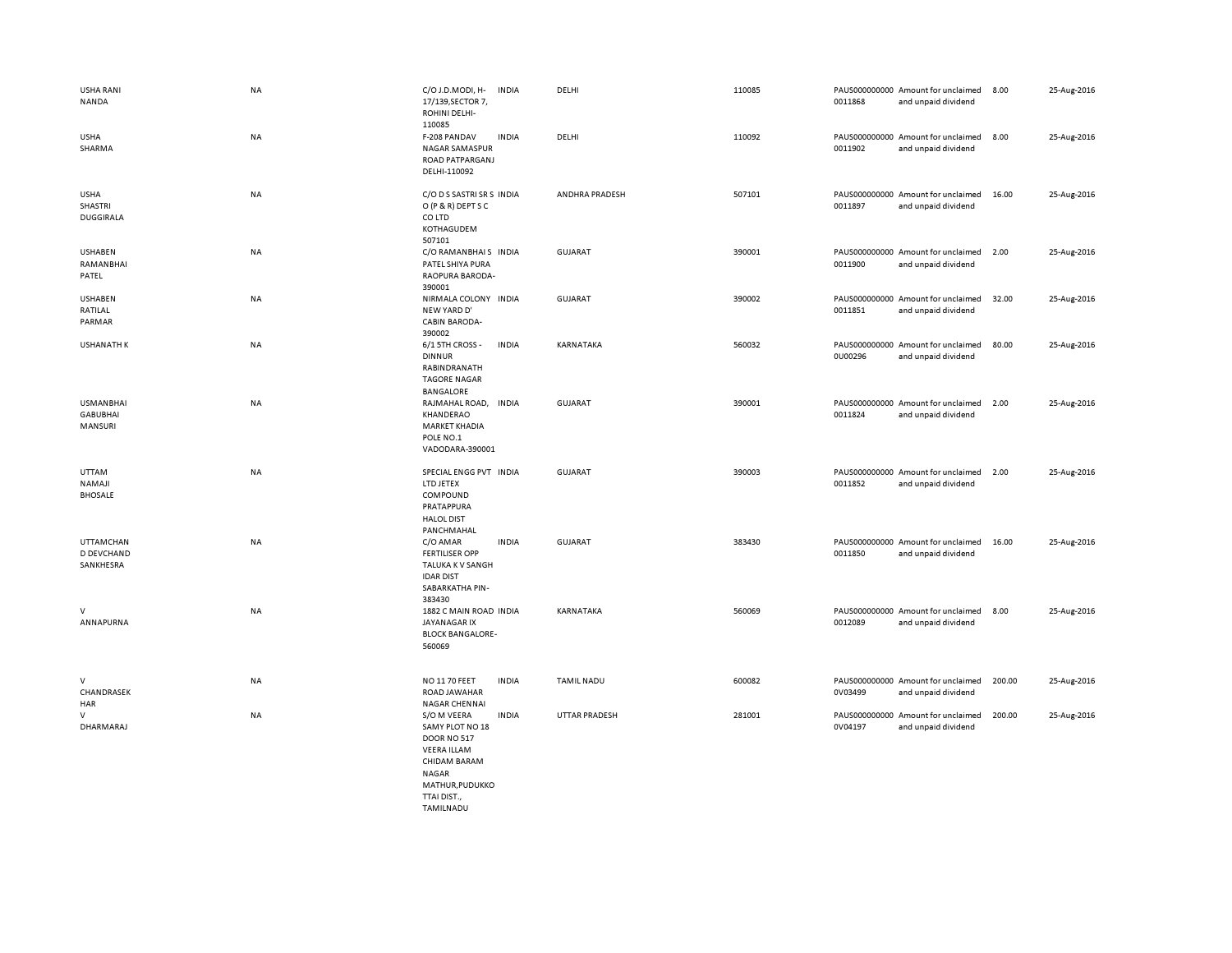| USHA RANI<br>NANDA                             | NA        | C/O J.D.MODI, H-<br><b>INDIA</b><br>17/139, SECTOR 7,<br>ROHINI DELHI-<br>110085                                                              | DELHI             | 110085 | PAUS000000000 Amount for unclaimed<br>0011868<br>and unpaid dividend | 8.00<br>25-Aug-2016   |  |
|------------------------------------------------|-----------|-----------------------------------------------------------------------------------------------------------------------------------------------|-------------------|--------|----------------------------------------------------------------------|-----------------------|--|
| <b>USHA</b><br>SHARMA                          | NA        | F-208 PANDAV<br><b>INDIA</b><br>NAGAR SAMASPUR<br>ROAD PATPARGANJ<br>DELHI-110092                                                             | DELHI             | 110092 | PAUS000000000 Amount for unclaimed<br>0011902<br>and unpaid dividend | 8.00<br>25-Aug-2016   |  |
| <b>USHA</b><br>SHASTRI<br><b>DUGGIRALA</b>     | NA        | C/O D S SASTRI SR S INDIA<br>O (P & R) DEPT S C<br>CO LTD<br>KOTHAGUDEM<br>507101                                                             | ANDHRA PRADESH    | 507101 | PAUS000000000 Amount for unclaimed<br>0011897<br>and unpaid dividend | 25-Aug-2016<br>16.00  |  |
| USHABEN<br>RAMANBHAI<br>PATEL                  | NA        | C/O RAMANBHAIS INDIA<br>PATEL SHIYA PURA<br>RAOPURA BARODA-<br>390001                                                                         | <b>GUJARAT</b>    | 390001 | PAUS000000000 Amount for unclaimed<br>0011900<br>and unpaid dividend | 2.00<br>25-Aug-2016   |  |
| <b>USHABEN</b><br>RATILAL<br>PARMAR            | NA        | NIRMALA COLONY INDIA<br>NEW YARD D'<br>CABIN BARODA-<br>390002                                                                                | <b>GUJARAT</b>    | 390002 | PAUS000000000 Amount for unclaimed<br>0011851<br>and unpaid dividend | 32.00<br>25-Aug-2016  |  |
| <b>USHANATH K</b>                              | NA        | 6/1 5TH CROSS -<br><b>INDIA</b><br><b>DINNUR</b><br>RABINDRANATH<br><b>TAGORE NAGAR</b><br>BANGALORE                                          | KARNATAKA         | 560032 | PAUS000000000 Amount for unclaimed<br>0U00296<br>and unpaid dividend | 80.00<br>25-Aug-2016  |  |
| <b>USMANBHAI</b><br><b>GABUBHAI</b><br>MANSURI | NA        | RAJMAHAL ROAD, INDIA<br>KHANDERAO<br><b>MARKET KHADIA</b><br>POLE NO.1<br>VADODARA-390001                                                     | <b>GUJARAT</b>    | 390001 | PAUS000000000 Amount for unclaimed<br>0011824<br>and unpaid dividend | 25-Aug-2016<br>2.00   |  |
| <b>UTTAM</b><br>NAMAJI<br><b>BHOSALE</b>       | NA        | SPECIAL ENGG PVT INDIA<br>LTD JETEX<br>COMPOUND<br>PRATAPPURA<br><b>HALOL DIST</b><br>PANCHMAHAL                                              | <b>GUJARAT</b>    | 390003 | PAUS000000000 Amount for unclaimed<br>0011852<br>and unpaid dividend | 2.00<br>25-Aug-2016   |  |
| <b>UTTAMCHAN</b><br>D DEVCHAND<br>SANKHESRA    | <b>NA</b> | <b>INDIA</b><br>C/O AMAR<br><b>FERTILISER OPP</b><br>TALUKA K V SANGH<br><b>IDAR DIST</b><br>SABARKATHA PIN-<br>383430                        | <b>GUJARAT</b>    | 383430 | PAUS000000000 Amount for unclaimed<br>0011850<br>and unpaid dividend | 16.00<br>25-Aug-2016  |  |
| V<br>ANNAPURNA                                 | NA        | 1882 C MAIN ROAD INDIA<br>JAYANAGAR IX<br><b>BLOCK BANGALORE-</b><br>560069                                                                   | KARNATAKA         | 560069 | PAUS000000000 Amount for unclaimed<br>0012089<br>and unpaid dividend | 25-Aug-2016<br>8.00   |  |
| V<br>CHANDRASEK<br>HAR                         | NA        | <b>NO 1170 FEET</b><br><b>INDIA</b><br>ROAD JAWAHAR<br><b>NAGAR CHENNAI</b>                                                                   | <b>TAMIL NADU</b> | 600082 | PAUS000000000 Amount for unclaimed<br>0V03499<br>and unpaid dividend | 200.00<br>25-Aug-2016 |  |
| V<br>DHARMARAJ                                 | NA        | S/O M VEERA<br><b>INDIA</b><br>SAMY PLOT NO 18<br><b>DOOR NO 517</b><br><b>VEERA ILLAM</b><br>CHIDAM BARAM<br><b>NAGAR</b><br>MATHUR, PUDUKKO | UTTAR PRADESH     | 281001 | PAUS000000000 Amount for unclaimed<br>0V04197<br>and unpaid dividend | 200.00<br>25-Aug-2016 |  |

TTAI DIST., **TAMILNADU**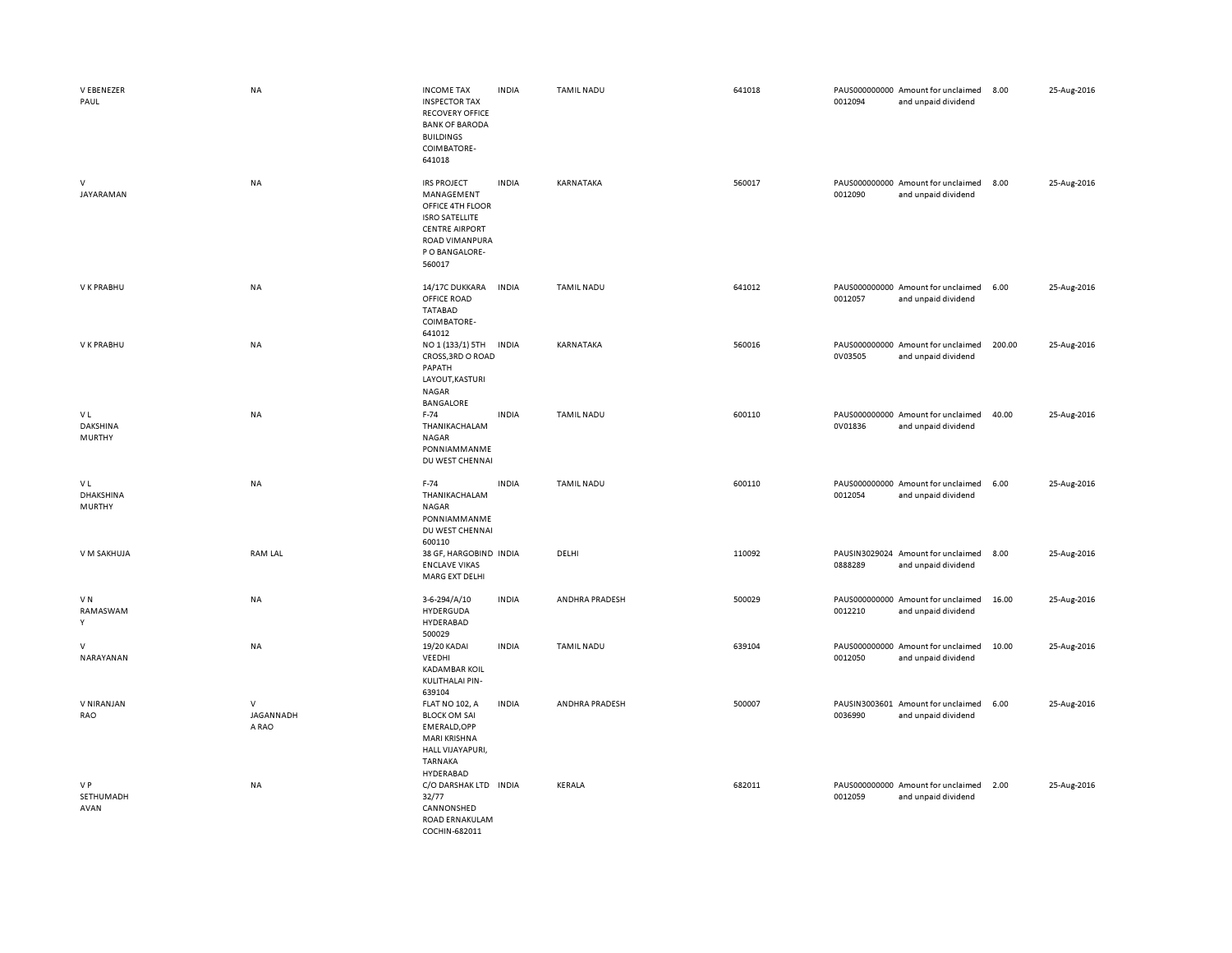| V EBENEZER<br>PAUL                      | NA                           | <b>INCOME TAX</b><br><b>INSPECTOR TAX</b><br><b>RECOVERY OFFICE</b><br><b>BANK OF BARODA</b><br><b>BUILDINGS</b><br>COIMBATORE-<br>641018                   | <b>INDIA</b> | <b>TAMIL NADU</b> | 641018 | 0012094 | PAUS000000000 Amount for unclaimed<br>and unpaid dividend | 8.00   | 25-Aug-2016 |
|-----------------------------------------|------------------------------|-------------------------------------------------------------------------------------------------------------------------------------------------------------|--------------|-------------------|--------|---------|-----------------------------------------------------------|--------|-------------|
| V<br>JAYARAMAN                          | NA                           | <b>IRS PROJECT</b><br>MANAGEMENT<br>OFFICE 4TH FLOOR<br><b>ISRO SATELLITE</b><br><b>CENTRE AIRPORT</b><br><b>ROAD VIMANPURA</b><br>P O BANGALORE-<br>560017 | <b>INDIA</b> | KARNATAKA         | 560017 | 0012090 | PAUS000000000 Amount for unclaimed<br>and unpaid dividend | 8.00   | 25-Aug-2016 |
| V K PRABHU                              | NA                           | 14/17C DUKKARA<br>OFFICE ROAD<br><b>TATABAD</b><br>COIMBATORE-                                                                                              | <b>INDIA</b> | <b>TAMIL NADU</b> | 641012 | 0012057 | PAUS000000000 Amount for unclaimed<br>and unpaid dividend | 6.00   | 25-Aug-2016 |
| V K PRABHU                              | NA                           | 641012<br>NO 1 (133/1) 5TH<br>CROSS, 3RD O ROAD<br>PAPATH<br>LAYOUT, KASTURI<br>NAGAR<br><b>BANGALORE</b>                                                   | <b>INDIA</b> | KARNATAKA         | 560016 | 0V03505 | PAUS000000000 Amount for unclaimed<br>and unpaid dividend | 200.00 | 25-Aug-2016 |
| V L<br><b>DAKSHINA</b><br><b>MURTHY</b> | NA                           | $F-74$<br>THANIKACHALAM<br>NAGAR<br>PONNIAMMANME<br>DU WEST CHENNAI                                                                                         | <b>INDIA</b> | TAMIL NADU        | 600110 | 0V01836 | PAUS000000000 Amount for unclaimed<br>and unpaid dividend | 40.00  | 25-Aug-2016 |
| V L<br>DHAKSHINA<br><b>MURTHY</b>       | NA                           | $F-74$<br>THANIKACHALAM<br>NAGAR<br>PONNIAMMANME<br>DU WEST CHENNAI<br>600110                                                                               | <b>INDIA</b> | <b>TAMIL NADU</b> | 600110 | 0012054 | PAUS000000000 Amount for unclaimed<br>and unpaid dividend | 6.00   | 25-Aug-2016 |
| V M SAKHUJA                             | <b>RAM LAL</b>               | 38 GF, HARGOBIND INDIA<br><b>ENCLAVE VIKAS</b><br>MARG EXT DELHI                                                                                            |              | DELHI             | 110092 | 0888289 | PAUSIN3029024 Amount for unclaimed<br>and unpaid dividend | 8.00   | 25-Aug-2016 |
| VN<br>RAMASWAM<br>Y                     | NA                           | 3-6-294/A/10<br>HYDERGUDA<br>HYDERABAD<br>500029                                                                                                            | <b>INDIA</b> | ANDHRA PRADESH    | 500029 | 0012210 | PAUS000000000 Amount for unclaimed<br>and unpaid dividend | 16.00  | 25-Aug-2016 |
| v<br>NARAYANAN                          | <b>NA</b>                    | 19/20 KADAI<br>VEEDHI<br><b>KADAMBAR KOIL</b><br>KULITHALAI PIN-<br>639104                                                                                  | <b>INDIA</b> | <b>TAMIL NADU</b> | 639104 | 0012050 | PAUS000000000 Amount for unclaimed<br>and unpaid dividend | 10.00  | 25-Aug-2016 |
| V NIRANJAN<br>RAO                       | $\vee$<br>JAGANNADH<br>A RAO | <b>FLAT NO 102, A</b><br><b>BLOCK OM SAI</b><br>EMERALD, OPP<br>MARI KRISHNA<br>HALL VIJAYAPURI,<br><b>TARNAKA</b><br>HYDERABAD                             | <b>INDIA</b> | ANDHRA PRADESH    | 500007 | 0036990 | PAUSIN3003601 Amount for unclaimed<br>and unpaid dividend | 6.00   | 25-Aug-2016 |
| V P<br>SETHUMADH<br>AVAN                | NA                           | C/O DARSHAK LTD INDIA<br>32/77<br>CANNONSHED<br>ROAD ERNAKULAM<br>COCHIN-682011                                                                             |              | KERALA            | 682011 | 0012059 | PAUS000000000 Amount for unclaimed<br>and unpaid dividend | 2.00   | 25-Aug-2016 |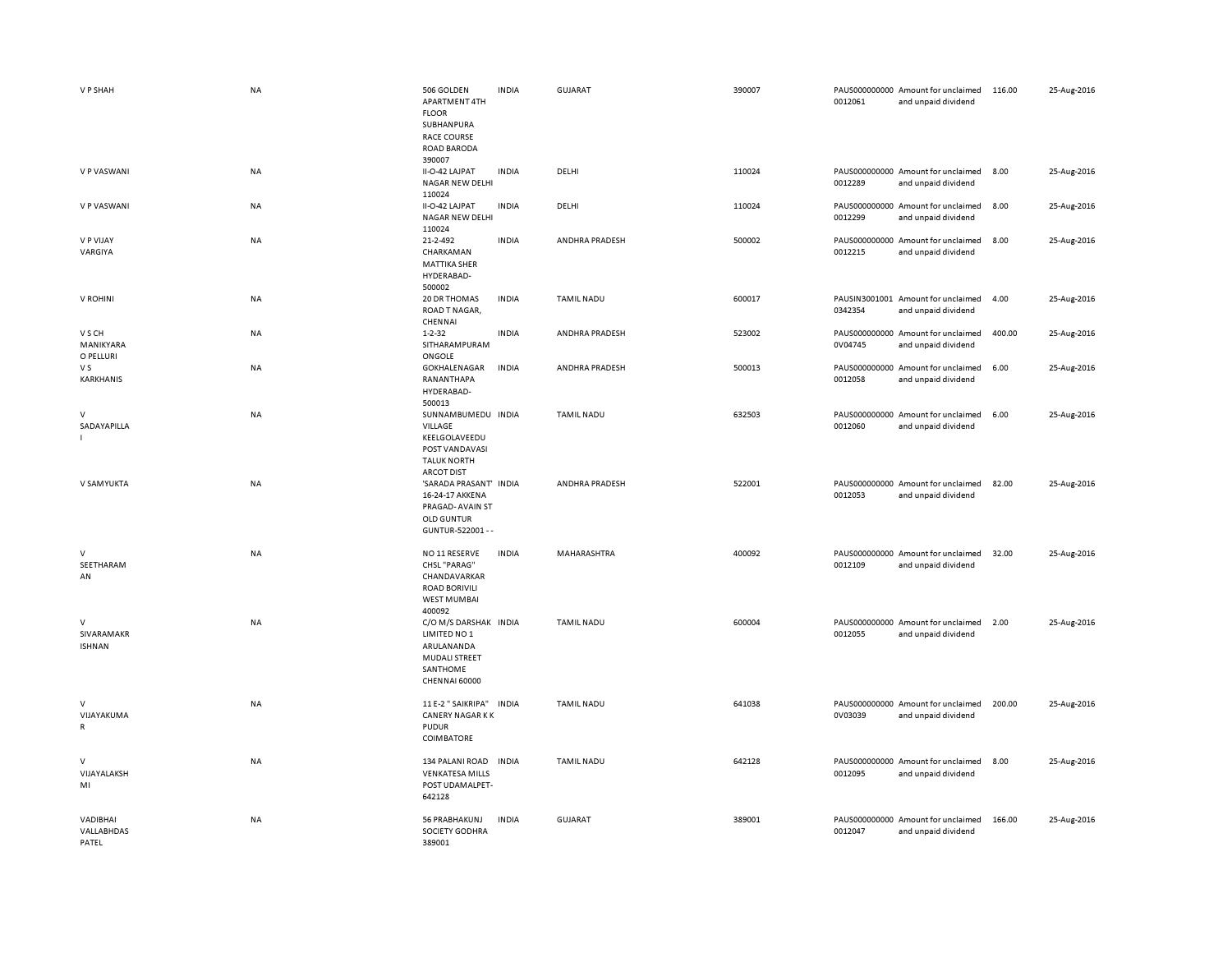| V P SHAH                               | <b>NA</b> | 506 GOLDEN<br>APARTMENT 4TH<br><b>FLOOR</b><br>SUBHANPURA<br><b>RACE COURSE</b><br><b>ROAD BARODA</b>       | <b>INDIA</b> | GUJARAT           | 390007 | 0012061 | PAUS000000000 Amount for unclaimed<br>and unpaid dividend | 116.00 | 25-Aug-2016 |
|----------------------------------------|-----------|-------------------------------------------------------------------------------------------------------------|--------------|-------------------|--------|---------|-----------------------------------------------------------|--------|-------------|
| V P VASWANI                            | NA        | 390007<br>II-O-42 LAJPAT<br><b>NAGAR NEW DELHI</b><br>110024                                                | <b>INDIA</b> | DELHI             | 110024 | 0012289 | PAUS000000000 Amount for unclaimed<br>and unpaid dividend | 8.00   | 25-Aug-2016 |
| V P VASWANI                            | <b>NA</b> | II-O-42 LAJPAT<br><b>NAGAR NEW DELHI</b><br>110024                                                          | <b>INDIA</b> | DELHI             | 110024 | 0012299 | PAUS000000000 Amount for unclaimed<br>and unpaid dividend | 8.00   | 25-Aug-2016 |
| V P VIJAY<br>VARGIYA                   | NA        | 21-2-492<br>CHARKAMAN<br><b>MATTIKA SHER</b><br>HYDERABAD-<br>500002                                        | <b>INDIA</b> | ANDHRA PRADESH    | 500002 | 0012215 | PAUS000000000 Amount for unclaimed<br>and unpaid dividend | 8.00   | 25-Aug-2016 |
| V ROHINI                               | NA        | 20 DR THOMAS<br>ROAD T NAGAR,<br>CHENNAI                                                                    | INDIA        | <b>TAMIL NADU</b> | 600017 | 0342354 | PAUSIN3001001 Amount for unclaimed<br>and unpaid dividend | 4.00   | 25-Aug-2016 |
| V S CH<br>MANIKYARA<br>O PELLURI       | <b>NA</b> | $1 - 2 - 32$<br>SITHARAMPURAM<br>ONGOLE                                                                     | <b>INDIA</b> | ANDHRA PRADESH    | 523002 | 0V04745 | PAUS000000000 Amount for unclaimed<br>and unpaid dividend | 400.00 | 25-Aug-2016 |
| V S<br>KARKHANIS                       | NA        | GOKHALENAGAR<br>RANANTHAPA<br>HYDERABAD-<br>500013                                                          | <b>INDIA</b> | ANDHRA PRADESH    | 500013 | 0012058 | PAUS000000000 Amount for unclaimed<br>and unpaid dividend | 6.00   | 25-Aug-2016 |
| $\mathsf{V}$<br>SADAYAPILLA            | NA        | SUNNAMBUMEDU INDIA<br>VILLAGE<br>KEELGOLAVEEDU<br>POST VANDAVASI<br><b>TALUK NORTH</b><br><b>ARCOT DIST</b> |              | <b>TAMIL NADU</b> | 632503 | 0012060 | PAUS000000000 Amount for unclaimed<br>and unpaid dividend | 6.00   | 25-Aug-2016 |
| V SAMYUKTA                             | <b>NA</b> | 'SARADA PRASANT' INDIA<br>16-24-17 AKKENA<br>PRAGAD-AVAIN ST<br><b>OLD GUNTUR</b><br>GUNTUR-522001 - -      |              | ANDHRA PRADESH    | 522001 | 0012053 | PAUS000000000 Amount for unclaimed<br>and unpaid dividend | 82.00  | 25-Aug-2016 |
| V<br>SEETHARAM<br>AN                   | NA        | NO 11 RESERVE<br>CHSL "PARAG"<br>CHANDAVARKAR<br><b>ROAD BORIVILI</b><br><b>WEST MUMBAI</b><br>400092       | <b>INDIA</b> | MAHARASHTRA       | 400092 | 0012109 | PAUS000000000 Amount for unclaimed<br>and unpaid dividend | 32.00  | 25-Aug-2016 |
| $\vee$<br>SIVARAMAKR<br><b>ISHNAN</b>  | <b>NA</b> | C/O M/S DARSHAK INDIA<br>LIMITED NO 1<br>ARULANANDA<br>MUDALI STREET<br>SANTHOME<br>CHENNAI 60000           |              | <b>TAMIL NADU</b> | 600004 | 0012055 | PAUS000000000 Amount for unclaimed<br>and unpaid dividend | 2.00   | 25-Aug-2016 |
| $\vee$<br>VIJAYAKUMA<br>$\mathsf{R}$   | NA        | 11 E-2 " SAIKRIPA"<br><b>CANERY NAGAR KK</b><br><b>PUDUR</b><br><b>COIMBATORE</b>                           | <b>INDIA</b> | <b>TAMIL NADU</b> | 641038 | 0V03039 | PAUS000000000 Amount for unclaimed<br>and unpaid dividend | 200.00 | 25-Aug-2016 |
| $\mathsf{V}$<br>VIJAYALAKSH<br>MI      | <b>NA</b> | 134 PALANI ROAD<br><b>VENKATESA MILLS</b><br>POST UDAMALPET-<br>642128                                      | <b>INDIA</b> | <b>TAMIL NADU</b> | 642128 | 0012095 | PAUS000000000 Amount for unclaimed<br>and unpaid dividend | 8.00   | 25-Aug-2016 |
| VADIBHAI<br><b>VALLABHDAS</b><br>PATEL | ΝA        | 56 PRABHAKUNJ<br>SOCIETY GODHRA<br>389001                                                                   | <b>INDIA</b> | <b>GUJARAT</b>    | 389001 | 0012047 | PAUS000000000 Amount for unclaimed<br>and unpaid dividend | 166.00 | 25-Aug-2016 |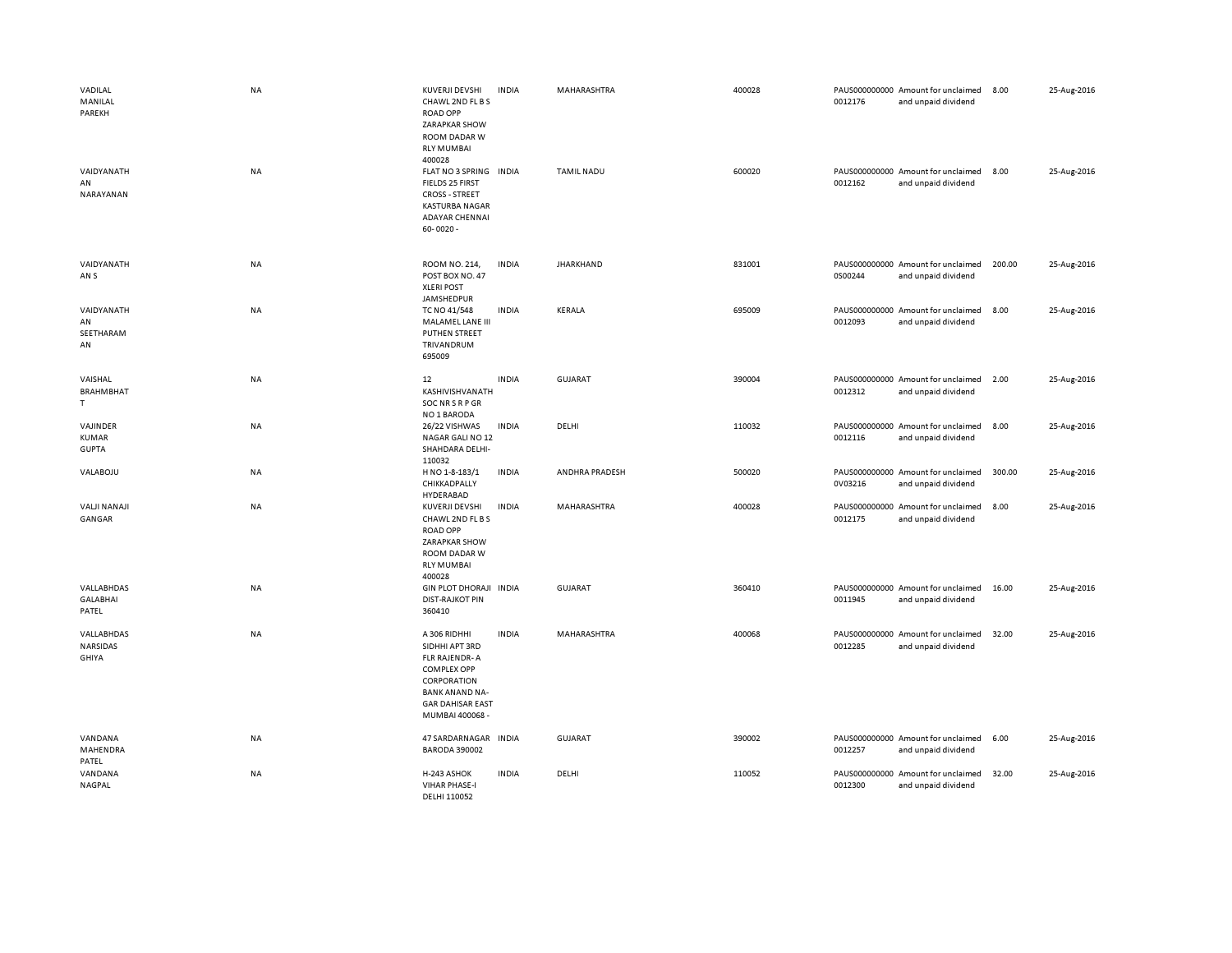| VADILAL<br>MANILAL<br>PAREKH<br>VAIDYANATH<br>AN<br>NARAYANAN | <b>NA</b><br><b>NA</b> | KUVERJI DEVSHI<br>CHAWL 2ND FL B S<br><b>ROAD OPP</b><br>ZARAPKAR SHOW<br>ROOM DADAR W<br><b>RLY MUMBAI</b><br>400028<br>FLAT NO 3 SPRING INDIA<br><b>FIELDS 25 FIRST</b><br><b>CROSS - STREET</b><br><b>KASTURBA NAGAR</b><br><b>ADAYAR CHENNAI</b><br>$60 - 0020 -$ | <b>INDIA</b> | MAHARASHTRA<br><b>TAMIL NADU</b> | 400028<br>600020 | 0012176<br>0012162 | PAUS000000000 Amount for unclaimed<br>and unpaid dividend<br>PAUS000000000 Amount for unclaimed<br>and unpaid dividend | 8.00<br>8.00 | 25-Aug-2016<br>25-Aug-2016 |
|---------------------------------------------------------------|------------------------|-----------------------------------------------------------------------------------------------------------------------------------------------------------------------------------------------------------------------------------------------------------------------|--------------|----------------------------------|------------------|--------------------|------------------------------------------------------------------------------------------------------------------------|--------------|----------------------------|
| VAIDYANATH<br>AN <sub>S</sub>                                 | NA                     | ROOM NO. 214,<br>POST BOX NO. 47<br><b>XLERI POST</b><br>JAMSHEDPUR                                                                                                                                                                                                   | <b>INDIA</b> | <b>JHARKHAND</b>                 | 831001           | 0S00244            | PAUS000000000 Amount for unclaimed<br>and unpaid dividend                                                              | 200.00       | 25-Aug-2016                |
| VAIDYANATH<br>AN<br>SEETHARAM<br>AN                           | NA                     | TC NO 41/548<br>MALAMEL LANE III<br>PUTHEN STREET<br>TRIVANDRUM<br>695009                                                                                                                                                                                             | <b>INDIA</b> | KERALA                           | 695009           | 0012093            | PAUS000000000 Amount for unclaimed<br>and unpaid dividend                                                              | 8.00         | 25-Aug-2016                |
| VAISHAL<br><b>BRAHMBHAT</b><br>T.                             | NA                     | 12<br>KASHIVISHVANATH<br>SOC NR S R P GR<br>NO 1 BARODA                                                                                                                                                                                                               | <b>INDIA</b> | <b>GUJARAT</b>                   | 390004           | 0012312            | PAUS000000000 Amount for unclaimed<br>and unpaid dividend                                                              | 2.00         | 25-Aug-2016                |
| VAJINDER<br><b>KUMAR</b><br><b>GUPTA</b>                      | NA                     | 26/22 VISHWAS<br>NAGAR GALI NO 12<br>SHAHDARA DELHI-<br>110032                                                                                                                                                                                                        | <b>INDIA</b> | DELHI                            | 110032           | 0012116            | PAUS000000000 Amount for unclaimed<br>and unpaid dividend                                                              | 8.00         | 25-Aug-2016                |
| VALABOJU                                                      | NA                     | H NO 1-8-183/1<br>CHIKKADPALLY<br>HYDERABAD                                                                                                                                                                                                                           | <b>INDIA</b> | ANDHRA PRADESH                   | 500020           | 0V03216            | PAUS000000000 Amount for unclaimed<br>and unpaid dividend                                                              | 300.00       | 25-Aug-2016                |
| <b>VALJI NANAJI</b><br>GANGAR                                 | NA                     | KUVERJI DEVSHI<br>CHAWL 2ND FL B S<br><b>ROAD OPP</b><br><b>ZARAPKAR SHOW</b><br>ROOM DADAR W<br><b>RLY MUMBAI</b><br>400028                                                                                                                                          | <b>INDIA</b> | MAHARASHTRA                      | 400028           | 0012175            | PAUS000000000 Amount for unclaimed<br>and unpaid dividend                                                              | 8.00         | 25-Aug-2016                |
| VALLABHDAS<br><b>GALABHAI</b><br>PATEL                        | <b>NA</b>              | GIN PLOT DHORAJI INDIA<br><b>DIST-RAJKOT PIN</b><br>360410                                                                                                                                                                                                            |              | <b>GUJARAT</b>                   | 360410           | 0011945            | PAUS000000000 Amount for unclaimed<br>and unpaid dividend                                                              | 16.00        | 25-Aug-2016                |
| VALLABHDAS<br>NARSIDAS<br>GHIYA                               | NA                     | A 306 RIDHHI<br>SIDHHI APT 3RD<br>FLR RAJENDR-A<br><b>COMPLEX OPP</b><br>CORPORATION<br><b>BANK ANAND NA-</b><br><b>GAR DAHISAR EAST</b><br>MUMBAI 400068 -                                                                                                           | <b>INDIA</b> | MAHARASHTRA                      | 400068           | 0012285            | PAUS000000000 Amount for unclaimed<br>and unpaid dividend                                                              | 32.00        | 25-Aug-2016                |
| VANDANA<br>MAHENDRA<br>PATEL                                  | <b>NA</b>              | 47 SARDARNAGAR INDIA<br><b>BARODA 390002</b>                                                                                                                                                                                                                          |              | <b>GUJARAT</b>                   | 390002           | 0012257            | PAUS000000000 Amount for unclaimed<br>and unpaid dividend                                                              | 6.00         | 25-Aug-2016                |
| VANDANA<br><b>NAGPAL</b>                                      | <b>NA</b>              | H-243 ASHOK<br><b>VIHAR PHASE-I</b><br>DELHI 110052                                                                                                                                                                                                                   | <b>INDIA</b> | DELHI                            | 110052           | 0012300            | PAUS000000000 Amount for unclaimed<br>and unpaid dividend                                                              | 32.00        | 25-Aug-2016                |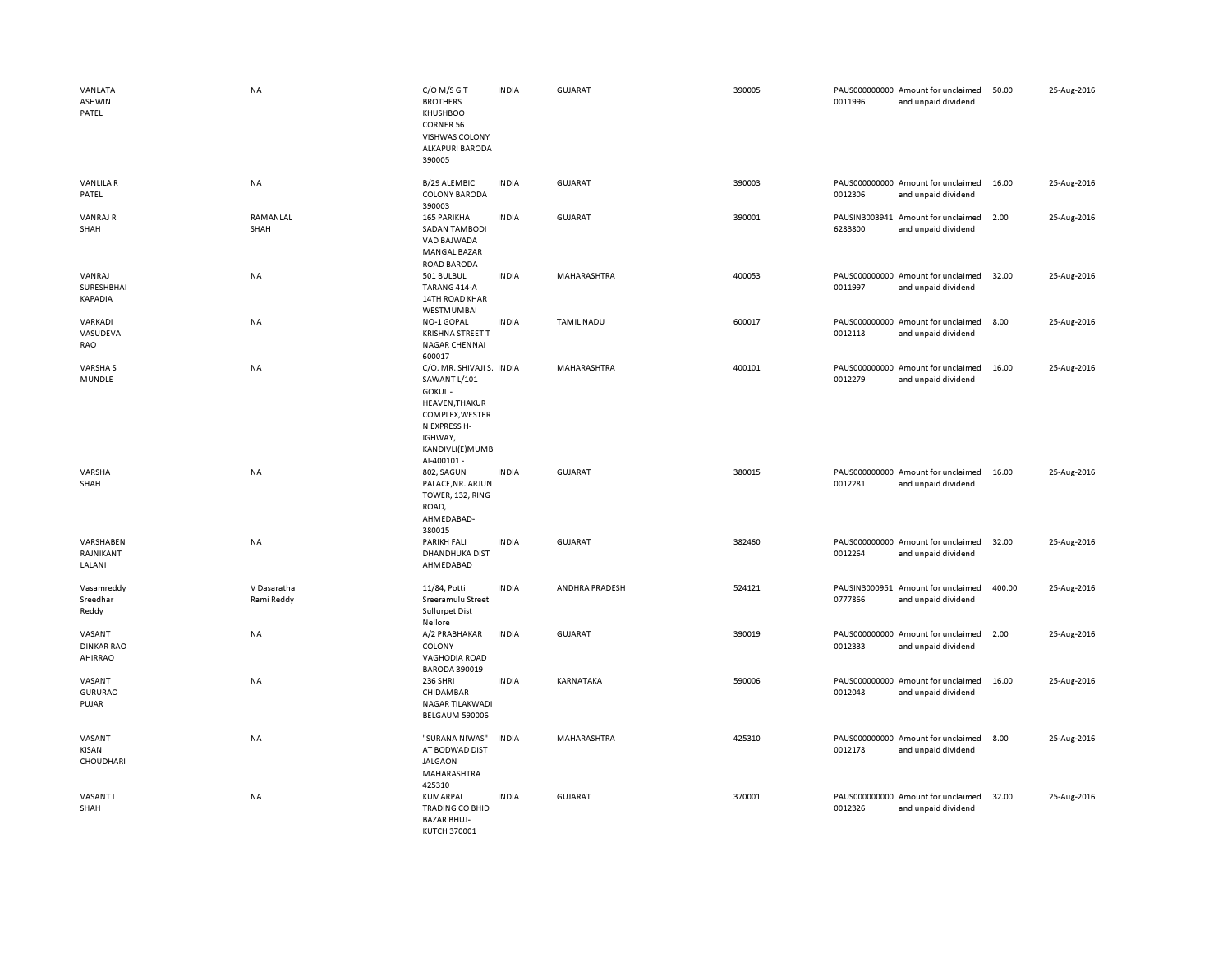| VANLATA<br>ASHWIN<br>PATEL             | <b>NA</b>                 | C/O M/S G T<br><b>BROTHERS</b><br>KHUSHBOO<br><b>CORNER 56</b><br>VISHWAS COLONY<br>ALKAPURI BARODA<br>390005                                                | <b>INDIA</b> | <b>GUJARAT</b>    | 390005 | 0011996 | PAUS000000000 Amount for unclaimed<br>and unpaid dividend | 50.00  | 25-Aug-2016 |
|----------------------------------------|---------------------------|--------------------------------------------------------------------------------------------------------------------------------------------------------------|--------------|-------------------|--------|---------|-----------------------------------------------------------|--------|-------------|
| <b>VANLILAR</b><br>PATEL               | NA                        | B/29 ALEMBIC<br><b>COLONY BARODA</b><br>390003                                                                                                               | <b>INDIA</b> | <b>GUJARAT</b>    | 390003 | 0012306 | PAUS000000000 Amount for unclaimed<br>and unpaid dividend | 16.00  | 25-Aug-2016 |
| <b>VANRAJ R</b><br>SHAH                | RAMANLAL<br>SHAH          | 165 PARIKHA<br><b>SADAN TAMBODI</b><br>VAD BAJWADA<br>MANGAL BAZAR<br><b>ROAD BARODA</b>                                                                     | INDIA        | GUJARAT           | 390001 | 6283800 | PAUSIN3003941 Amount for unclaimed<br>and unpaid dividend | 2.00   | 25-Aug-2016 |
| VANRAJ<br>SURESHBHAI<br>KAPADIA        | <b>NA</b>                 | 501 BULBUL<br>TARANG 414-A<br>14TH ROAD KHAR<br>WESTMUMBAI                                                                                                   | <b>INDIA</b> | MAHARASHTRA       | 400053 | 0011997 | PAUS000000000 Amount for unclaimed<br>and unpaid dividend | 32.00  | 25-Aug-2016 |
| VARKADI<br>VASUDEVA<br>RAO             | NA                        | NO-1 GOPAL<br><b>KRISHNA STREET T</b><br>NAGAR CHENNAI<br>600017                                                                                             | <b>INDIA</b> | <b>TAMIL NADU</b> | 600017 | 0012118 | PAUS000000000 Amount for unclaimed<br>and unpaid dividend | 8.00   | 25-Aug-2016 |
| VARSHA S<br>MUNDLE                     | <b>NA</b>                 | C/O. MR. SHIVAJI S. INDIA<br>SAWANT L/101<br>GOKUL-<br><b>HEAVEN, THAKUR</b><br>COMPLEX, WESTER<br>N EXPRESS H-<br>IGHWAY,<br>KANDIVLI(E)MUMB<br>Al-400101 - |              | MAHARASHTRA       | 400101 | 0012279 | PAUS000000000 Amount for unclaimed<br>and unpaid dividend | 16.00  | 25-Aug-2016 |
| VARSHA<br>SHAH                         | <b>NA</b>                 | 802, SAGUN<br>PALACE, NR. ARJUN<br>TOWER, 132, RING<br>ROAD,<br>AHMEDABAD-<br>380015                                                                         | <b>INDIA</b> | <b>GUJARAT</b>    | 380015 | 0012281 | PAUS000000000 Amount for unclaimed<br>and unpaid dividend | 16.00  | 25-Aug-2016 |
| VARSHABEN<br>RAJNIKANT<br>LALANI       | <b>NA</b>                 | <b>PARIKH FALI</b><br>DHANDHUKA DIST<br>AHMEDABAD                                                                                                            | <b>INDIA</b> | <b>GUJARAT</b>    | 382460 | 0012264 | PAUS000000000 Amount for unclaimed<br>and unpaid dividend | 32.00  | 25-Aug-2016 |
| Vasamreddy<br>Sreedhar<br>Reddy        | V Dasaratha<br>Rami Reddy | 11/84. Potti<br>Sreeramulu Street<br><b>Sullurpet Dist</b><br>Nellore                                                                                        | <b>INDIA</b> | ANDHRA PRADESH    | 524121 | 0777866 | PAUSIN3000951 Amount for unclaimed<br>and unpaid dividend | 400.00 | 25-Aug-2016 |
| VASANT<br><b>DINKAR RAO</b><br>AHIRRAO | NA                        | A/2 PRABHAKAR<br>COLONY<br><b>VAGHODIA ROAD</b><br><b>BARODA 390019</b>                                                                                      | <b>INDIA</b> | <b>GUJARAT</b>    | 390019 | 0012333 | PAUS000000000 Amount for unclaimed<br>and unpaid dividend | 2.00   | 25-Aug-2016 |
| VASANT<br><b>GURURAO</b><br>PUJAR      | NA                        | <b>236 SHRI</b><br>CHIDAMBAR<br>NAGAR TILAKWADI<br><b>BELGAUM 590006</b>                                                                                     | INDIA        | KARNATAKA         | 590006 | 0012048 | PAUS000000000 Amount for unclaimed<br>and unpaid dividend | 16.00  | 25-Aug-2016 |
| VASANT<br>KISAN<br>CHOUDHARI           | <b>NA</b>                 | "SURANA NIWAS"<br>AT BODWAD DIST<br><b>JALGAON</b><br>MAHARASHTRA<br>425310                                                                                  | <b>INDIA</b> | MAHARASHTRA       | 425310 | 0012178 | PAUS000000000 Amount for unclaimed<br>and unpaid dividend | 8.00   | 25-Aug-2016 |
| VASANT L<br>SHAH                       | NA                        | KUMARPAL<br><b>TRADING CO BHID</b><br><b>BAZAR BHUJ-</b><br>KUTCH 370001                                                                                     | <b>INDIA</b> | GUJARAT           | 370001 | 0012326 | PAUS000000000 Amount for unclaimed<br>and unpaid dividend | 32.00  | 25-Aug-2016 |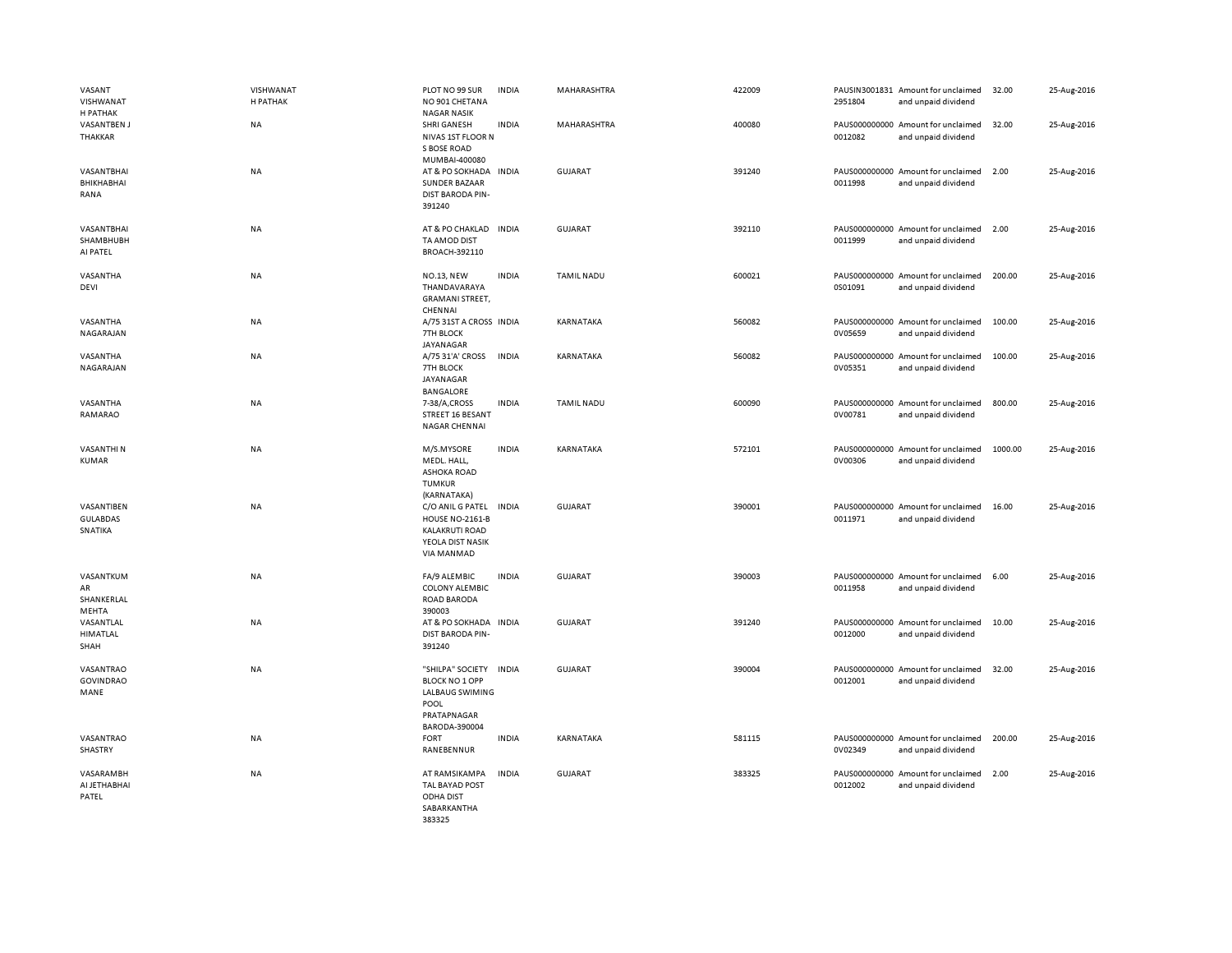| VASANT<br>VISHWANAT<br>H PATHAK          | VISHWANAT<br>H PATHAK | PLOT NO 99 SUR<br>NO 901 CHETANA<br><b>NAGAR NASIK</b>                                                            | <b>INDIA</b> | MAHARASHTRA       | 422009 | 2951804 | PAUSIN3001831 Amount for unclaimed<br>and unpaid dividend | 32.00   | 25-Aug-2016 |
|------------------------------------------|-----------------------|-------------------------------------------------------------------------------------------------------------------|--------------|-------------------|--------|---------|-----------------------------------------------------------|---------|-------------|
| <b>VASANTBEN J</b><br>THAKKAR            | <b>NA</b>             | <b>SHRI GANESH</b><br>NIVAS 1ST FLOOR N<br>S BOSE ROAD<br>MUMBAI-400080                                           | <b>INDIA</b> | MAHARASHTRA       | 400080 | 0012082 | PAUS000000000 Amount for unclaimed<br>and unpaid dividend | 32.00   | 25-Aug-2016 |
| VASANTBHAI<br>BHIKHABHAI<br>RANA         | <b>NA</b>             | AT & PO SOKHADA INDIA<br><b>SUNDER BAZAAR</b><br>DIST BARODA PIN-<br>391240                                       |              | <b>GUJARAT</b>    | 391240 | 0011998 | PAUS000000000 Amount for unclaimed<br>and unpaid dividend | 2.00    | 25-Aug-2016 |
| VASANTBHAI<br>SHAMBHUBH<br>AI PATEL      | NA                    | AT & PO CHAKLAD<br>TA AMOD DIST<br>BROACH-392110                                                                  | <b>INDIA</b> | <b>GUJARAT</b>    | 392110 | 0011999 | PAUS000000000 Amount for unclaimed<br>and unpaid dividend | 2.00    | 25-Aug-2016 |
| VASANTHA<br>DEVI                         | NA                    | <b>NO.13, NEW</b><br>THANDAVARAYA<br><b>GRAMANI STREET,</b><br>CHENNAI                                            | <b>INDIA</b> | <b>TAMIL NADU</b> | 600021 | 0S01091 | PAUS000000000 Amount for unclaimed<br>and unpaid dividend | 200.00  | 25-Aug-2016 |
| VASANTHA<br>NAGARAJAN                    | <b>NA</b>             | A/75 31ST A CROSS INDIA<br>7TH BLOCK<br>JAYANAGAR                                                                 |              | KARNATAKA         | 560082 | 0V05659 | PAUS000000000 Amount for unclaimed<br>and unpaid dividend | 100.00  | 25-Aug-2016 |
| VASANTHA<br>NAGARAJAN                    | NA                    | A/75 31'A' CROSS<br>7TH BLOCK<br>JAYANAGAR<br><b>BANGALORE</b>                                                    | <b>INDIA</b> | KARNATAKA         | 560082 | 0V05351 | PAUS000000000 Amount for unclaimed<br>and unpaid dividend | 100.00  | 25-Aug-2016 |
| VASANTHA<br>RAMARAO                      | NA                    | 7-38/A,CROSS<br>STREET 16 BESANT<br>NAGAR CHENNAI                                                                 | <b>INDIA</b> | <b>TAMIL NADU</b> | 600090 | 0V00781 | PAUS000000000 Amount for unclaimed<br>and unpaid dividend | 800.00  | 25-Aug-2016 |
| VASANTHI N<br><b>KUMAR</b>               | NA                    | M/S.MYSORE<br>MEDL. HALL,<br><b>ASHOKA ROAD</b><br><b>TUMKUR</b><br>(KARNATAKA)                                   | <b>INDIA</b> | KARNATAKA         | 572101 | 0V00306 | PAUS000000000 Amount for unclaimed<br>and unpaid dividend | 1000.00 | 25-Aug-2016 |
| VASANTIBEN<br><b>GULABDAS</b><br>SNATIKA | <b>NA</b>             | C/O ANIL G PATEL<br>HOUSE NO-2161-B<br><b>KALAKRUTI ROAD</b><br>YEOLA DIST NASIK<br>VIA MANMAD                    | <b>INDIA</b> | <b>GUJARAT</b>    | 390001 | 0011971 | PAUS000000000 Amount for unclaimed<br>and unpaid dividend | 16.00   | 25-Aug-2016 |
| VASANTKUM<br>AR<br>SHANKERLAL<br>MEHTA   | <b>NA</b>             | FA/9 ALEMBIC<br><b>COLONY ALEMBIC</b><br>ROAD BARODA<br>390003                                                    | <b>INDIA</b> | <b>GUJARAT</b>    | 390003 | 0011958 | PAUS000000000 Amount for unclaimed<br>and unpaid dividend | 6.00    | 25-Aug-2016 |
| VASANTLAL<br>HIMATLAL<br>SHAH            | NA                    | AT & PO SOKHADA IN DIA<br>DIST BARODA PIN-<br>391240                                                              |              | <b>GUJARAT</b>    | 391240 | 0012000 | PAUS000000000 Amount for unclaimed<br>and unpaid dividend | 10.00   | 25-Aug-2016 |
| VASANTRAO<br><b>GOVINDRAO</b><br>MANE    | <b>NA</b>             | "SHILPA" SOCIETY INDIA<br><b>BLOCK NO 1 OPP</b><br><b>LALBAUG SWIMING</b><br>POOL<br>PRATAPNAGAR<br>BARODA-390004 |              | GUJARAT           | 390004 | 0012001 | PAUS000000000 Amount for unclaimed<br>and unpaid dividend | 32.00   | 25-Aug-2016 |
| VASANTRAO<br>SHASTRY                     | NA                    | <b>FORT</b><br>RANEBENNUR                                                                                         | <b>INDIA</b> | KARNATAKA         | 581115 | 0V02349 | PAUS000000000 Amount for unclaimed<br>and unpaid dividend | 200.00  | 25-Aug-2016 |
| VASARAMBH<br>AI JETHABHAI<br>PATEL       | NA                    | AT RAMSIKAMPA<br><b>TAL BAYAD POST</b><br><b>ODHA DIST</b><br>SABARKANTHA<br>383325                               | <b>INDIA</b> | GUJARAT           | 383325 | 0012002 | PAUS000000000 Amount for unclaimed<br>and unpaid dividend | 2.00    | 25-Aug-2016 |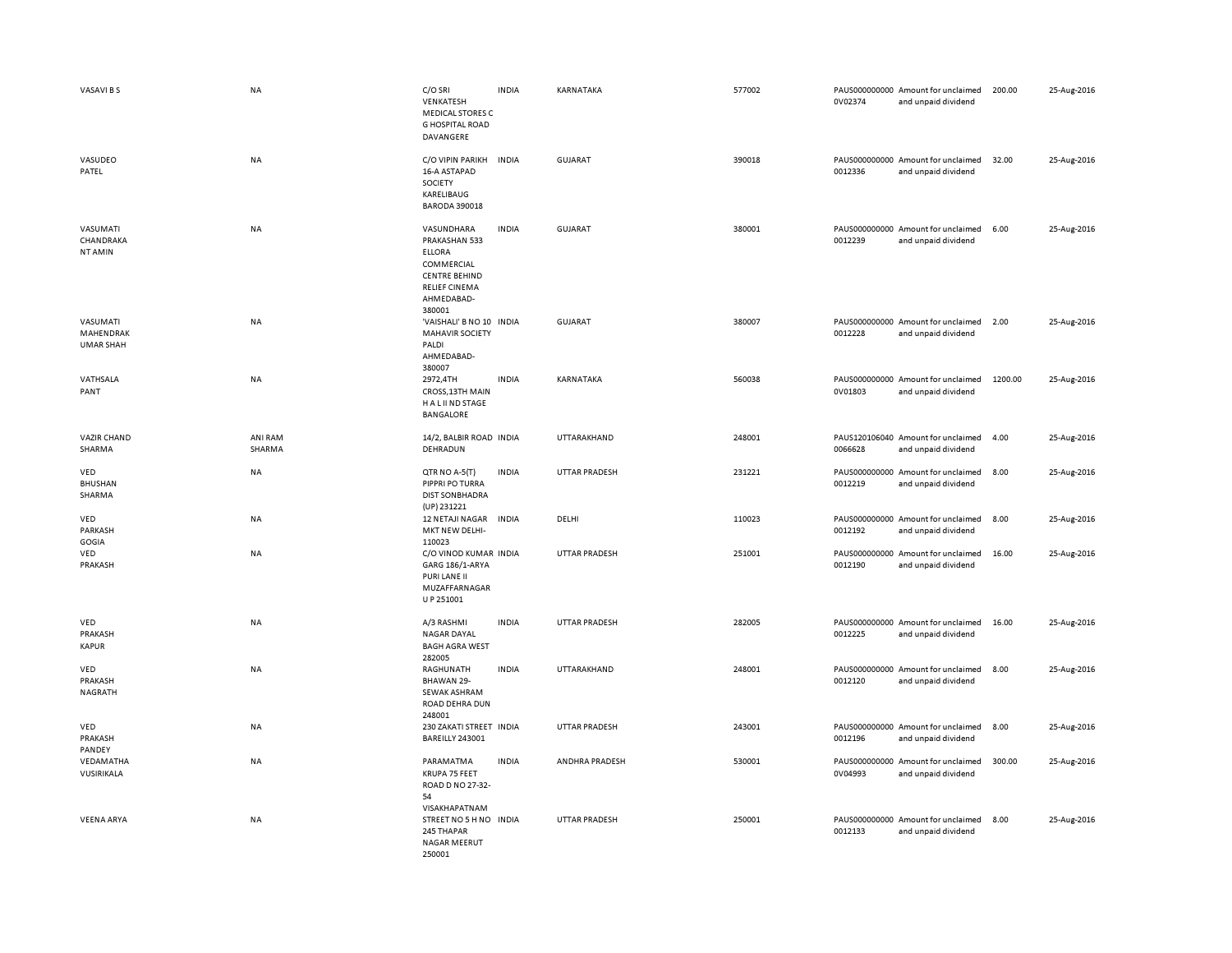| VASAVI B S                                | <b>NA</b>         | C/O SRI<br>VENKATESH<br><b>MEDICAL STORES C</b><br><b>G HOSPITAL ROAD</b><br>DAVANGERE                                             | <b>INDIA</b> | KARNATAKA      | 577002 | 0V02374 | PAUS000000000 Amount for unclaimed<br>and unpaid dividend | 200.00  | 25-Aug-2016 |
|-------------------------------------------|-------------------|------------------------------------------------------------------------------------------------------------------------------------|--------------|----------------|--------|---------|-----------------------------------------------------------|---------|-------------|
| VASUDEO<br>PATEL                          | <b>NA</b>         | C/O VIPIN PARIKH<br>16-A ASTAPAD<br>SOCIETY<br>KARELIBAUG<br><b>BARODA 390018</b>                                                  | <b>INDIA</b> | <b>GUJARAT</b> | 390018 | 0012336 | PAUS000000000 Amount for unclaimed<br>and unpaid dividend | 32.00   | 25-Aug-2016 |
| VASUMATI<br>CHANDRAKA<br>NT AMIN          | NA                | VASUNDHARA<br>PRAKASHAN 533<br><b>ELLORA</b><br>COMMERCIAL<br><b>CENTRE BEHIND</b><br><b>RELIEF CINEMA</b><br>AHMEDABAD-<br>380001 | <b>INDIA</b> | <b>GUJARAT</b> | 380001 | 0012239 | PAUS000000000 Amount for unclaimed<br>and unpaid dividend | 6.00    | 25-Aug-2016 |
| VASUMATI<br>MAHENDRAK<br><b>UMAR SHAH</b> | <b>NA</b>         | 'VAISHALI' B NO 10 INDIA<br><b>MAHAVIR SOCIETY</b><br>PALDI<br>AHMEDABAD-<br>380007                                                |              | GUJARAT        | 380007 | 0012228 | PAUS000000000 Amount for unclaimed<br>and unpaid dividend | 2.00    | 25-Aug-2016 |
| VATHSALA<br>PANT                          | <b>NA</b>         | 2972,4TH<br>CROSS, 13TH MAIN<br>H A L II ND STAGE<br>BANGALORE                                                                     | <b>INDIA</b> | KARNATAKA      | 560038 | 0V01803 | PAUS000000000 Amount for unclaimed<br>and unpaid dividend | 1200.00 | 25-Aug-2016 |
| <b>VAZIR CHAND</b><br>SHARMA              | ANI RAM<br>SHARMA | 14/2, BALBIR ROAD INDIA<br>DEHRADUN                                                                                                |              | UTTARAKHAND    | 248001 | 0066628 | PAUS120106040 Amount for unclaimed<br>and unpaid dividend | 4.00    | 25-Aug-2016 |
| VED<br><b>BHUSHAN</b><br>SHARMA           | <b>NA</b>         | QTR NO A-5(T)<br>PIPPRI PO TURRA<br><b>DIST SON BHADRA</b><br>(UP) 231221                                                          | <b>INDIA</b> | UTTAR PRADESH  | 231221 | 0012219 | PAUS000000000 Amount for unclaimed<br>and unpaid dividend | 8.00    | 25-Aug-2016 |
| VED<br>PARKASH<br>GOGIA                   | <b>NA</b>         | 12 NETAJI NAGAR<br>MKT NEW DELHI-<br>110023                                                                                        | <b>INDIA</b> | DELHI          | 110023 | 0012192 | PAUS000000000 Amount for unclaimed<br>and unpaid dividend | 8.00    | 25-Aug-2016 |
| VED<br>PRAKASH                            | <b>NA</b>         | C/O VINOD KUMAR INDIA<br>GARG 186/1-ARYA<br>PURI LANE II<br>MUZAFFARNAGAR<br>U P 251001                                            |              | UTTAR PRADESH  | 251001 | 0012190 | PAUS000000000 Amount for unclaimed<br>and unpaid dividend | 16.00   | 25-Aug-2016 |
| VED<br>PRAKASH<br><b>KAPUR</b>            | NA                | A/3 RASHMI<br>NAGAR DAYAL<br><b>BAGH AGRA WEST</b><br>282005                                                                       | <b>INDIA</b> | UTTAR PRADESH  | 282005 | 0012225 | PAUS000000000 Amount for unclaimed<br>and unpaid dividend | 16.00   | 25-Aug-2016 |
| VED<br>PRAKASH<br>NAGRATH                 | <b>NA</b>         | RAGHUNATH<br>BHAWAN 29-<br>SEWAK ASHRAM<br>ROAD DEHRA DUN<br>248001                                                                | <b>INDIA</b> | UTTARAKHAND    | 248001 | 0012120 | PAUS000000000 Amount for unclaimed<br>and unpaid dividend | 8.00    | 25-Aug-2016 |
| VED<br>PRAKASH<br>PANDEY                  | NA                | 230 ZAKATI STREET INDIA<br>BAREILLY 243001                                                                                         |              | UTTAR PRADESH  | 243001 | 0012196 | PAUS000000000 Amount for unclaimed<br>and unpaid dividend | 8.00    | 25-Aug-2016 |
| VEDAMATHA<br>VUSIRIKALA                   | <b>NA</b>         | PARAMATMA<br>KRUPA 75 FEET<br>ROAD D NO 27-32-<br>54<br>VISAKHAPATNAM                                                              | <b>INDIA</b> | ANDHRA PRADESH | 530001 | 0V04993 | PAUS000000000 Amount for unclaimed<br>and unpaid dividend | 300.00  | 25-Aug-2016 |
| <b>VEENA ARYA</b>                         | NA                | STREET NO 5 H NO INDIA<br>245 THAPAR<br>NAGAR MEERUT<br>250001                                                                     |              | UTTAR PRADESH  | 250001 | 0012133 | PAUS000000000 Amount for unclaimed<br>and unpaid dividend | 8.00    | 25-Aug-2016 |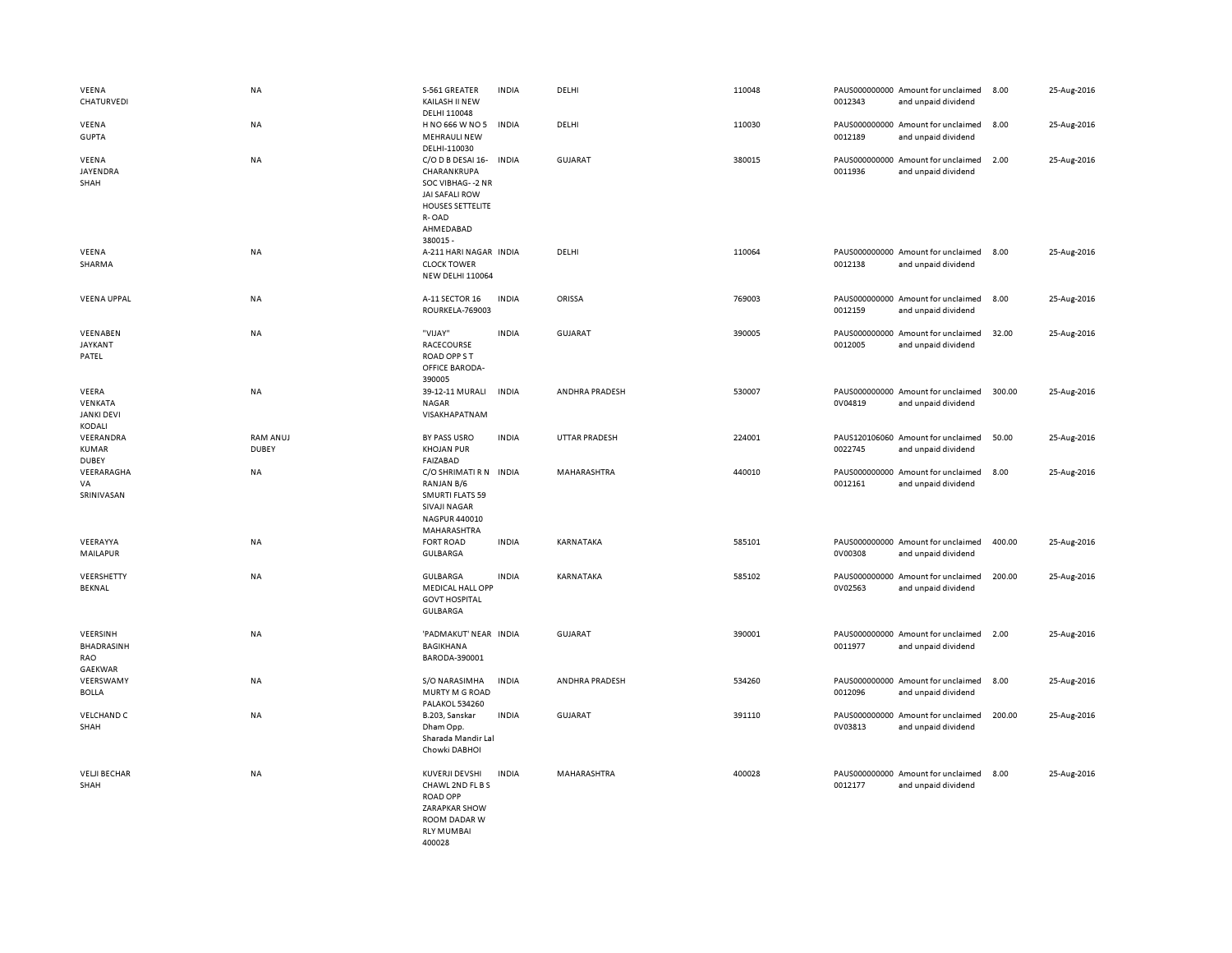| VEENA<br>CHATURVEDI                             | NA                              | S-561 GREATER<br>KAILASH II NEW<br>DELHI 110048                                                                                            | <b>INDIA</b> | DELHI                | 110048 | 0012343 | PAUS000000000 Amount for unclaimed<br>and unpaid dividend | 8.00   | 25-Aug-2016 |
|-------------------------------------------------|---------------------------------|--------------------------------------------------------------------------------------------------------------------------------------------|--------------|----------------------|--------|---------|-----------------------------------------------------------|--------|-------------|
| VEENA<br><b>GUPTA</b>                           | NA                              | H NO 666 W NO 5<br><b>MEHRAULI NEW</b><br>DELHI-110030                                                                                     | <b>INDIA</b> | DELHI                | 110030 | 0012189 | PAUS000000000 Amount for unclaimed<br>and unpaid dividend | 8.00   | 25-Aug-2016 |
| VEENA<br>JAYENDRA<br>SHAH                       | NA                              | C/O D B DESAI 16-<br>CHARANKRUPA<br>SOC VIBHAG--2 NR<br><b>JAI SAFALI ROW</b><br><b>HOUSES SETTELITE</b><br>R-OAD<br>AHMEDABAD<br>380015 - | <b>INDIA</b> | <b>GUJARAT</b>       | 380015 | 0011936 | PAUS000000000 Amount for unclaimed<br>and unpaid dividend | 2.00   | 25-Aug-2016 |
| VEENA<br>SHARMA                                 | <b>NA</b>                       | A-211 HARI NAGAR INDIA<br><b>CLOCK TOWER</b><br><b>NEW DELHI 110064</b>                                                                    |              | DELHI                | 110064 | 0012138 | PAUS000000000 Amount for unclaimed<br>and unpaid dividend | 8.00   | 25-Aug-2016 |
| <b>VEENA UPPAL</b>                              | NA                              | A-11 SECTOR 16<br>ROURKELA-769003                                                                                                          | <b>INDIA</b> | ORISSA               | 769003 | 0012159 | PAUS000000000 Amount for unclaimed<br>and unpaid dividend | 8.00   | 25-Aug-2016 |
| VEENABEN<br><b>JAYKANT</b><br>PATEL             | NA                              | "VIJAY"<br>RACECOURSE<br>ROAD OPP ST<br>OFFICE BARODA-<br>390005                                                                           | <b>INDIA</b> | GUJARAT              | 390005 | 0012005 | PAUS000000000 Amount for unclaimed<br>and unpaid dividend | 32.00  | 25-Aug-2016 |
| VEERA<br>VENKATA<br><b>JANKI DEVI</b><br>KODALI | <b>NA</b>                       | 39-12-11 MURALI<br><b>NAGAR</b><br>VISAKHAPATNAM                                                                                           | <b>INDIA</b> | ANDHRA PRADESH       | 530007 | 0V04819 | PAUS000000000 Amount for unclaimed<br>and unpaid dividend | 300.00 | 25-Aug-2016 |
| VEERANDRA<br><b>KUMAR</b><br><b>DUBEY</b>       | <b>RAM ANUJ</b><br><b>DUBEY</b> | BY PASS USRO<br><b>KHOJAN PUR</b><br>FAIZABAD                                                                                              | <b>INDIA</b> | <b>UTTAR PRADESH</b> | 224001 | 0022745 | PAUS120106060 Amount for unclaimed<br>and unpaid dividend | 50.00  | 25-Aug-2016 |
| VEERARAGHA<br>VA<br>SRINIVASAN                  | NA                              | C/O SHRIMATI R N<br>RANJAN B/6<br><b>SMURTI FLATS 59</b><br>SIVAJI NAGAR<br>NAGPUR 440010<br>MAHARASHTRA                                   | <b>INDIA</b> | MAHARASHTRA          | 440010 | 0012161 | PAUS000000000 Amount for unclaimed<br>and unpaid dividend | 8.00   | 25-Aug-2016 |
| VEERAYYA<br>MAILAPUR                            | NA                              | <b>FORT ROAD</b><br><b>GULBARGA</b>                                                                                                        | <b>INDIA</b> | KARNATAKA            | 585101 | 0V00308 | PAUS000000000 Amount for unclaimed<br>and unpaid dividend | 400.00 | 25-Aug-2016 |
| VEERSHETTY<br><b>BEKNAL</b>                     | <b>NA</b>                       | <b>GULBARGA</b><br><b>MEDICAL HALL OPP</b><br><b>GOVT HOSPITAL</b><br>GULBARGA                                                             | <b>INDIA</b> | KARNATAKA            | 585102 | 0V02563 | PAUS000000000 Amount for unclaimed<br>and unpaid dividend | 200.00 | 25-Aug-2016 |
| VEERSINH<br><b>BHADRASINH</b><br>RAO<br>GAEKWAR | <b>NA</b>                       | 'PADMAKUT' NEAR INDIA<br><b>BAGIKHANA</b><br>BARODA-390001                                                                                 |              | <b>GUJARAT</b>       | 390001 | 0011977 | PAUS000000000 Amount for unclaimed<br>and unpaid dividend | 2.00   | 25-Aug-2016 |
| VEERSWAMY<br><b>BOLLA</b>                       | NA                              | S/O NARASIMHA<br>MURTY M G ROAD<br><b>PALAKOL 534260</b>                                                                                   | <b>INDIA</b> | ANDHRA PRADESH       | 534260 | 0012096 | PAUS000000000 Amount for unclaimed<br>and unpaid dividend | 8.00   | 25-Aug-2016 |
| <b>VELCHAND C</b><br>SHAH                       | NA                              | B.203, Sanskar<br>Dham Opp.<br>Sharada Mandir Lal<br>Chowki DABHOI                                                                         | <b>INDIA</b> | <b>GUJARAT</b>       | 391110 | 0V03813 | PAUS000000000 Amount for unclaimed<br>and unpaid dividend | 200.00 | 25-Aug-2016 |
| <b>VELJI BECHAR</b><br>SHAH                     | NA                              | KUVERJI DEVSHI<br>CHAWL 2ND FL B S<br><b>ROAD OPP</b><br>ZARAPKAR SHOW<br>ROOM DADAR W<br><b>RIY MUMBAL</b>                                | <b>INDIA</b> | MAHARASHTRA          | 400028 | 0012177 | PAUS000000000 Amount for unclaimed<br>and unpaid dividend | 8.00   | 25-Aug-2016 |

400028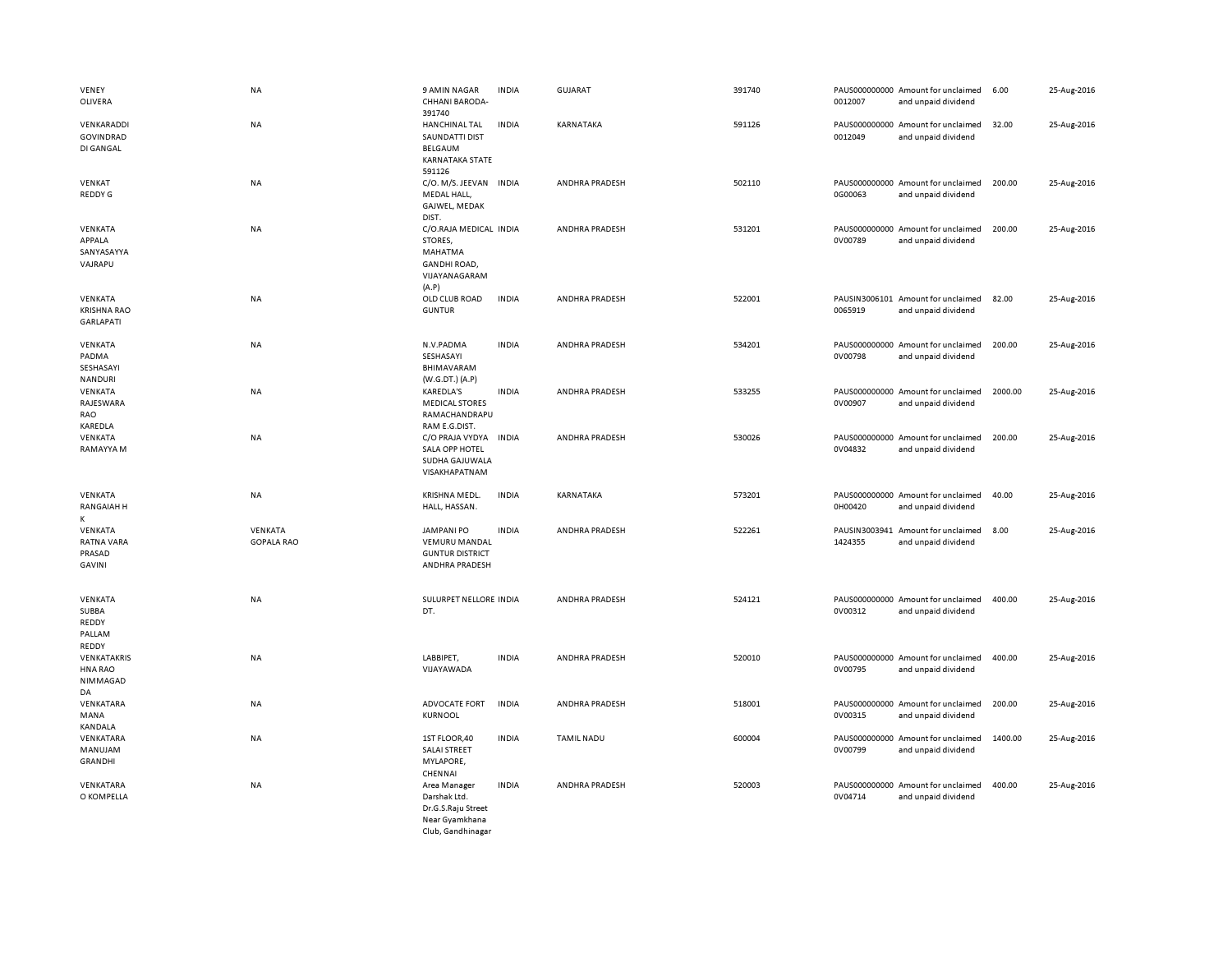| VENEY<br>OLIVERA                                  | <b>NA</b>                    | 9 AMIN NAGAR<br>CHHANI BARODA-<br>391740                                                      | <b>INDIA</b> | <b>GUJARAT</b>        | 391740 | 0012007 | PAUS000000000 Amount for unclaimed<br>and unpaid dividend | 6.00    | 25-Aug-2016 |
|---------------------------------------------------|------------------------------|-----------------------------------------------------------------------------------------------|--------------|-----------------------|--------|---------|-----------------------------------------------------------|---------|-------------|
| VENKARADDI<br>GOVINDRAD<br>DI GANGAL              | <b>NA</b>                    | <b>HANCHINAL TAL</b><br><b>SAUNDATTI DIST</b><br><b>BELGAUM</b><br>KARNATAKA STATE<br>591126  | <b>INDIA</b> | KARNATAKA             | 591126 | 0012049 | PAUS000000000 Amount for unclaimed<br>and unpaid dividend | 32.00   | 25-Aug-2016 |
| VENKAT<br>REDDY G                                 | <b>NA</b>                    | C/O. M/S. JEEVAN INDIA<br>MEDAL HALL,<br>GAJWEL, MEDAK<br>DIST.                               |              | ANDHRA PRADESH        | 502110 | 0G00063 | PAUS000000000 Amount for unclaimed<br>and unpaid dividend | 200.00  | 25-Aug-2016 |
| VENKATA<br>APPALA<br>SANYASAYYA<br>VAJRAPU        | <b>NA</b>                    | C/O.RAJA MEDICAL INDIA<br>STORES,<br>MAHATMA<br><b>GANDHI ROAD.</b><br>VIJAYANAGARAM<br>(A.P) |              | ANDHRA PRADESH        | 531201 | 0V00789 | PAUS000000000 Amount for unclaimed<br>and unpaid dividend | 200.00  | 25-Aug-2016 |
| VENKATA<br><b>KRISHNA RAO</b><br><b>GARLAPATI</b> | NA                           | OLD CLUB ROAD<br><b>GUNTUR</b>                                                                | <b>INDIA</b> | ANDHRA PRADESH        | 522001 | 0065919 | PAUSIN3006101 Amount for unclaimed<br>and unpaid dividend | 82.00   | 25-Aug-2016 |
| VENKATA<br>PADMA<br>SESHASAYI<br>NANDURI          | <b>NA</b>                    | N.V.PADMA<br>SESHASAYI<br>BHIMAVARAM<br>(W.G.DT.) (A.P)                                       | <b>INDIA</b> | ANDHRA PRADESH        | 534201 | 0V00798 | PAUS000000000 Amount for unclaimed<br>and unpaid dividend | 200.00  | 25-Aug-2016 |
| VENKATA<br>RAJESWARA<br>RAO<br>KAREDLA            | <b>NA</b>                    | <b>KAREDLA'S</b><br><b>MEDICAL STORES</b><br>RAMACHANDRAPU<br>RAM E.G.DIST.                   | <b>INDIA</b> | ANDHRA PRADESH        | 533255 | 0V00907 | PAUS000000000 Amount for unclaimed<br>and unpaid dividend | 2000.00 | 25-Aug-2016 |
| VENKATA<br>RAMAYYA M                              | <b>NA</b>                    | C/O PRAJA VYDYA INDIA<br>SALA OPP HOTEL<br>SUDHA GAJUWALA<br>VISAKHAPATNAM                    |              | ANDHRA PRADESH        | 530026 | 0V04832 | PAUS000000000 Amount for unclaimed<br>and unpaid dividend | 200.00  | 25-Aug-2016 |
| VENKATA<br><b>RANGAIAH H</b><br>K                 | <b>NA</b>                    | KRISHNA MEDL.<br>HALL, HASSAN.                                                                | <b>INDIA</b> | KARNATAKA             | 573201 | 0H00420 | PAUS000000000 Amount for unclaimed<br>and unpaid dividend | 40.00   | 25-Aug-2016 |
| VENKATA<br>RATNA VARA<br>PRASAD<br>GAVINI         | VENKATA<br><b>GOPALA RAO</b> | <b>JAMPANI PO</b><br><b>VEMURU MANDAL</b><br><b>GUNTUR DISTRICT</b><br>ANDHRA PRADESH         | <b>INDIA</b> | ANDHRA PRADESH        | 522261 | 1424355 | PAUSIN3003941 Amount for unclaimed<br>and unpaid dividend | 8.00    | 25-Aug-2016 |
| VENKATA<br>SUBBA<br>REDDY<br>PALLAM<br>REDDY      | <b>NA</b>                    | SULURPET NELLORE INDIA<br>DT.                                                                 |              | <b>ANDHRA PRADESH</b> | 524121 | 0V00312 | PAUS000000000 Amount for unclaimed<br>and unpaid dividend | 400.00  | 25-Aug-2016 |
| VENKATAKRIS<br>HNA RAO<br>NIMMAGAD<br>DA          | NA                           | LABBIPET,<br>VIJAYAWADA                                                                       | <b>INDIA</b> | ANDHRA PRADESH        | 520010 | 0V00795 | PAUS000000000 Amount for unclaimed<br>and unpaid dividend | 400.00  | 25-Aug-2016 |
| VENKATARA<br>MANA<br>KANDALA                      | NA                           | ADVOCATE FORT<br><b>KURNOOL</b>                                                               | <b>INDIA</b> | ANDHRA PRADESH        | 518001 | 0V00315 | PAUS000000000 Amount for unclaimed<br>and unpaid dividend | 200.00  | 25-Aug-2016 |
| VENKATARA<br>MANUJAM<br>GRANDHI                   | NA                           | 1ST FLOOR,40<br>SALAI STREET<br>MYLAPORE,<br>CHENNAI                                          | <b>INDIA</b> | <b>TAMIL NADU</b>     | 600004 | 0V00799 | PAUS000000000 Amount for unclaimed<br>and unpaid dividend | 1400.00 | 25-Aug-2016 |
| VENKATARA<br>O KOMPELLA                           | NA                           | Area Manager<br>Darshak Ltd.<br>Dr.G.S.Raju Street<br>Near Gyamkhana<br>Club, Gandhinagar     | <b>INDIA</b> | ANDHRA PRADESH        | 520003 | 0V04714 | PAUS000000000 Amount for unclaimed<br>and unpaid dividend | 400.00  | 25-Aug-2016 |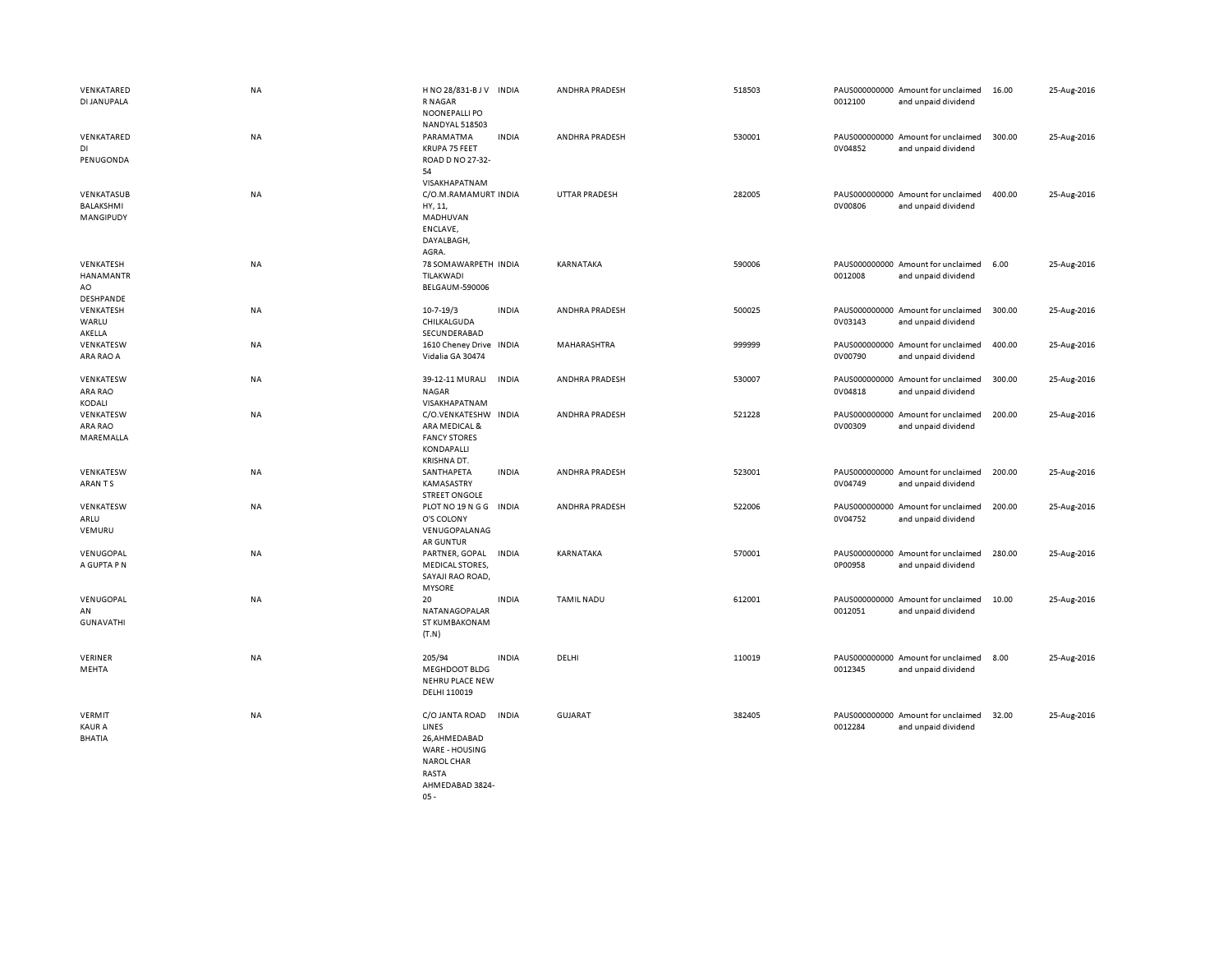| VENKATARED<br>DI JANUPALA                       | NA        | H NO 28/831-B J V<br>R NAGAR<br>NOONEPALLI PO                                                               | <b>INDIA</b> | ANDHRA PRADESH        | 518503 | 0012100 | PAUS000000000 Amount for unclaimed<br>and unpaid dividend | 16.00  | 25-Aug-2016 |
|-------------------------------------------------|-----------|-------------------------------------------------------------------------------------------------------------|--------------|-----------------------|--------|---------|-----------------------------------------------------------|--------|-------------|
| VENKATARED<br>DI<br>PENUGONDA                   | NA        | <b>NANDYAL 518503</b><br>PARAMATMA<br>KRUPA 75 FEET<br>ROAD D NO 27-32-<br>54<br>VISAKHAPATNAM              | <b>INDIA</b> | ANDHRA PRADESH        | 530001 | 0V04852 | PAUS000000000 Amount for unclaimed<br>and unpaid dividend | 300.00 | 25-Aug-2016 |
| VENKATASUB<br>BALAKSHMI<br>MANGIPUDY            | NA        | C/O.M.RAMAMURT INDIA<br>HY, 11,<br>MADHUVAN<br>ENCLAVE,<br>DAYALBAGH,<br>AGRA.                              |              | <b>UTTAR PRADESH</b>  | 282005 | 0V00806 | PAUS000000000 Amount for unclaimed<br>and unpaid dividend | 400.00 | 25-Aug-2016 |
| VENKATESH<br>HANAMANTR<br>AO<br>DESHPANDE       | NA        | 78 SOMAWARPETH INDIA<br>TILAKWADI<br><b>BELGAUM-590006</b>                                                  |              | KARNATAKA             | 590006 | 0012008 | PAUS000000000 Amount for unclaimed<br>and unpaid dividend | 6.00   | 25-Aug-2016 |
| VENKATESH<br>WARLU<br>AKELLA                    | <b>NA</b> | $10 - 7 - 19/3$<br>CHILKALGUDA<br>SECUNDERABAD                                                              | <b>INDIA</b> | ANDHRA PRADESH        | 500025 | 0V03143 | PAUS000000000 Amount for unclaimed<br>and unpaid dividend | 300.00 | 25-Aug-2016 |
| VENKATESW<br>ARA RAO A                          | NA        | 1610 Cheney Drive<br>Vidalia GA 30474                                                                       | INDIA        | MAHARASHTRA           | 999999 | 0V00790 | PAUS000000000 Amount for unclaimed<br>and unpaid dividend | 400.00 | 25-Aug-2016 |
| VENKATESW<br>ARA RAO<br>KODALI                  | NA        | 39-12-11 MURALI<br><b>NAGAR</b><br>VISAKHAPATNAM                                                            | <b>INDIA</b> | ANDHRA PRADESH        | 530007 | 0V04818 | PAUS000000000 Amount for unclaimed<br>and unpaid dividend | 300.00 | 25-Aug-2016 |
| VENKATESW<br>ARA RAO<br>MAREMALLA               | NA        | C/O.VENKATESHW INDIA<br>ARA MEDICAL &<br><b>FANCY STORES</b><br>KONDAPALLI<br>KRISHNA DT.                   |              | ANDHRA PRADESH        | 521228 | 0V00309 | PAUS000000000 Amount for unclaimed<br>and unpaid dividend | 200.00 | 25-Aug-2016 |
| VENKATESW<br>ARAN TS                            | <b>NA</b> | SANTHAPETA<br>KAMASASTRY<br><b>STREET ONGOLE</b>                                                            | <b>INDIA</b> | <b>ANDHRA PRADESH</b> | 523001 | 0V04749 | PAUS000000000 Amount for unclaimed<br>and unpaid dividend | 200.00 | 25-Aug-2016 |
| VENKATESW<br>ARLU<br>VEMURU                     | NA        | PLOT NO 19 N G G INDIA<br>O'S COLONY<br>VENUGOPALANAG<br>AR GUNTUR                                          |              | ANDHRA PRADESH        | 522006 | 0V04752 | PAUS000000000 Amount for unclaimed<br>and unpaid dividend | 200.00 | 25-Aug-2016 |
| VENUGOPAL<br>A GUPTA P N                        | NA        | PARTNER, GOPAL<br><b>MEDICAL STORES,</b><br>SAYAJI RAO ROAD,<br><b>MYSORE</b>                               | <b>INDIA</b> | KARNATAKA             | 570001 | 0P00958 | PAUS000000000 Amount for unclaimed<br>and unpaid dividend | 280.00 | 25-Aug-2016 |
| VENUGOPAL<br>AN<br><b>GUNAVATHI</b>             | NA        | 20<br>NATANAGOPALAR<br>ST KUMBAKONAM<br>(T.N)                                                               | <b>INDIA</b> | <b>TAMIL NADU</b>     | 612001 | 0012051 | PAUS000000000 Amount for unclaimed<br>and unpaid dividend | 10.00  | 25-Aug-2016 |
| VERINER<br>MEHTA                                | NA        | 205/94<br>MEGHDOOT BLDG<br>NEHRU PLACE NEW<br>DELHI 110019                                                  | <b>INDIA</b> | DELHI                 | 110019 | 0012345 | PAUS000000000 Amount for unclaimed<br>and unpaid dividend | 8.00   | 25-Aug-2016 |
| <b>VERMIT</b><br><b>KAUR A</b><br><b>BHATIA</b> | NA        | C/O JANTA ROAD<br>LINES<br>26, AHMEDABAD<br>WARE - HOUSING<br><b>NAROL CHAR</b><br>RASTA<br>AHMEDABAD 3824- | <b>INDIA</b> | <b>GUJARAT</b>        | 382405 | 0012284 | PAUS000000000 Amount for unclaimed<br>and unpaid dividend | 32.00  | 25-Aug-2016 |

05 -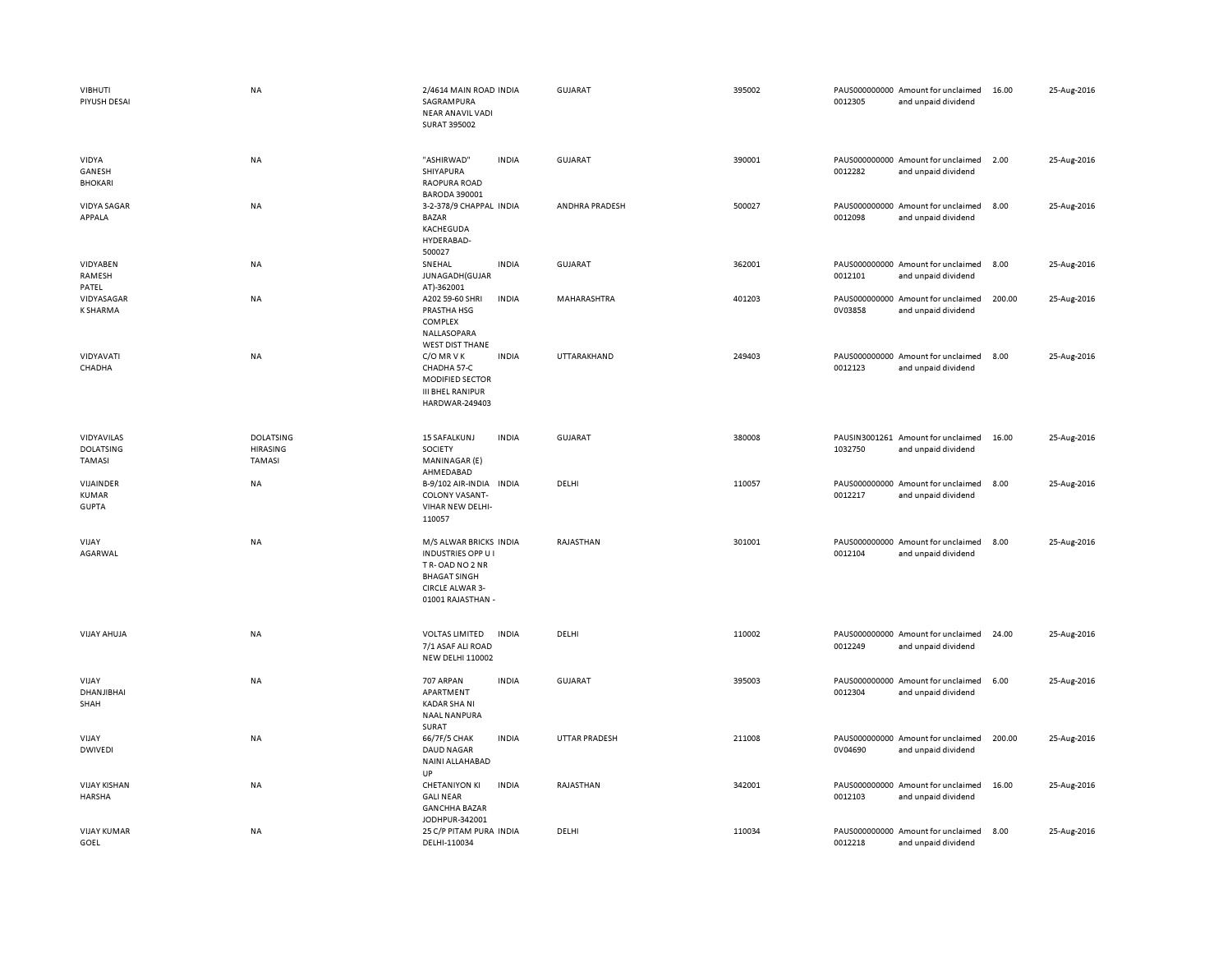| <b>VIBHUTI</b><br>PIYUSH DESAI           | <b>NA</b>                                            | 2/4614 MAIN ROAD INDIA<br>SAGRAMPURA<br>NEAR ANAVIL VADI<br><b>SURAT 395002</b>                                                      |              | GUJARAT              | 395002 | 0012305 | PAUS000000000 Amount for unclaimed<br>and unpaid dividend | 16.00  | 25-Aug-2016 |
|------------------------------------------|------------------------------------------------------|--------------------------------------------------------------------------------------------------------------------------------------|--------------|----------------------|--------|---------|-----------------------------------------------------------|--------|-------------|
| VIDYA<br>GANESH<br><b>BHOKARI</b>        | <b>NA</b>                                            | "ASHIRWAD"<br>SHIYAPURA<br>RAOPURA ROAD<br><b>BARODA 390001</b>                                                                      | <b>INDIA</b> | GUJARAT              | 390001 | 0012282 | PAUS000000000 Amount for unclaimed<br>and unpaid dividend | 2.00   | 25-Aug-2016 |
| VIDYA SAGAR<br>APPALA                    | <b>NA</b>                                            | 3-2-378/9 CHAPPAL INDIA<br><b>BAZAR</b><br>KACHEGUDA<br>HYDERABAD-<br>500027                                                         |              | ANDHRA PRADESH       | 500027 | 0012098 | PAUS000000000 Amount for unclaimed<br>and unpaid dividend | 8.00   | 25-Aug-2016 |
| VIDYABEN<br>RAMESH<br>PATEL              | NA                                                   | SNEHAL<br>JUNAGADH (GUJAR<br>AT)-362001                                                                                              | <b>INDIA</b> | <b>GUJARAT</b>       | 362001 | 0012101 | PAUS000000000 Amount for unclaimed<br>and unpaid dividend | 8.00   | 25-Aug-2016 |
| VIDYASAGAR<br><b>K SHARMA</b>            | <b>NA</b>                                            | A202 59-60 SHRI<br>PRASTHA HSG<br>COMPLEX<br>NALLASOPARA<br><b>WEST DIST THANE</b>                                                   | <b>INDIA</b> | MAHARASHTRA          | 401203 | 0V03858 | PAUS000000000 Amount for unclaimed<br>and unpaid dividend | 200.00 | 25-Aug-2016 |
| VIDYAVATI<br>CHADHA                      | <b>NA</b>                                            | C/O MRVK<br>CHADHA 57-C<br>MODIFIED SECTOR<br><b>III BHEL RANIPUR</b><br>HARDWAR-249403                                              | <b>INDIA</b> | UTTARAKHAND          | 249403 | 0012123 | PAUS000000000 Amount for unclaimed<br>and unpaid dividend | 8.00   | 25-Aug-2016 |
| VIDYAVILAS<br><b>DOLATSING</b><br>TAMASI | <b>DOLATSING</b><br><b>HIRASING</b><br><b>TAMASI</b> | <b>15 SAFALKUNJ</b><br>SOCIETY<br>MANINAGAR (E)<br>AHMEDABAD                                                                         | <b>INDIA</b> | GUJARAT              | 380008 | 1032750 | PAUSIN3001261 Amount for unclaimed<br>and unpaid dividend | 16.00  | 25-Aug-2016 |
| VIJAINDER<br>KUMAR<br><b>GUPTA</b>       | NA                                                   | B-9/102 AIR-INDIA INDIA<br>COLONY VASANT-<br>VIHAR NEW DELHI-<br>110057                                                              |              | DELHI                | 110057 | 0012217 | PAUS000000000 Amount for unclaimed<br>and unpaid dividend | 8.00   | 25-Aug-2016 |
| VIJAY<br>AGARWAL                         | <b>NA</b>                                            | M/S ALWAR BRICKS INDIA<br><b>INDUSTRIES OPP U I</b><br>TR-OAD NO 2 NR<br><b>BHAGAT SINGH</b><br>CIRCLE ALWAR 3-<br>01001 RAJASTHAN - |              | RAJASTHAN            | 301001 | 0012104 | PAUS000000000 Amount for unclaimed<br>and unpaid dividend | 8.00   | 25-Aug-2016 |
| VIJAY AHUJA                              | <b>NA</b>                                            | <b>VOLTAS LIMITED</b><br>7/1 ASAF ALI ROAD<br><b>NEW DELHI 110002</b>                                                                | <b>INDIA</b> | DELHI                | 110002 | 0012249 | PAUS000000000 Amount for unclaimed<br>and unpaid dividend | 24.00  | 25-Aug-2016 |
| VIJAY<br>DHANJIBHAI<br>SHAH              | <b>NA</b>                                            | 707 ARPAN<br>APARTMENT<br>KADAR SHA NI<br><b>NAAL NANPURA</b><br>SURAT                                                               | <b>INDIA</b> | <b>GUJARAT</b>       | 395003 | 0012304 | PAUS000000000 Amount for unclaimed<br>and unpaid dividend | 6.00   | 25-Aug-2016 |
| VIJAY<br><b>DWIVEDI</b>                  | <b>NA</b>                                            | 66/7F/5 CHAK<br>DAUD NAGAR<br>NAINI ALLAHABAD<br>UP                                                                                  | <b>INDIA</b> | <b>UTTAR PRADESH</b> | 211008 | 0V04690 | PAUS000000000 Amount for unclaimed<br>and unpaid dividend | 200.00 | 25-Aug-2016 |
| <b>VIJAY KISHAN</b><br><b>HARSHA</b>     | <b>NA</b>                                            | <b>CHETANIYON KI</b><br><b>GALINEAR</b><br><b>GANCHHA BAZAR</b><br>JODHPUR-342001                                                    | <b>INDIA</b> | RAJASTHAN            | 342001 | 0012103 | PAUS000000000 Amount for unclaimed<br>and unpaid dividend | 16.00  | 25-Aug-2016 |
| <b>VIJAY KUMAR</b><br>GOEL               | <b>NA</b>                                            | 25 C/P PITAM PURA INDIA<br>DELHI-110034                                                                                              |              | DELHI                | 110034 | 0012218 | PAUS000000000 Amount for unclaimed<br>and unpaid dividend | 8.00   | 25-Aug-2016 |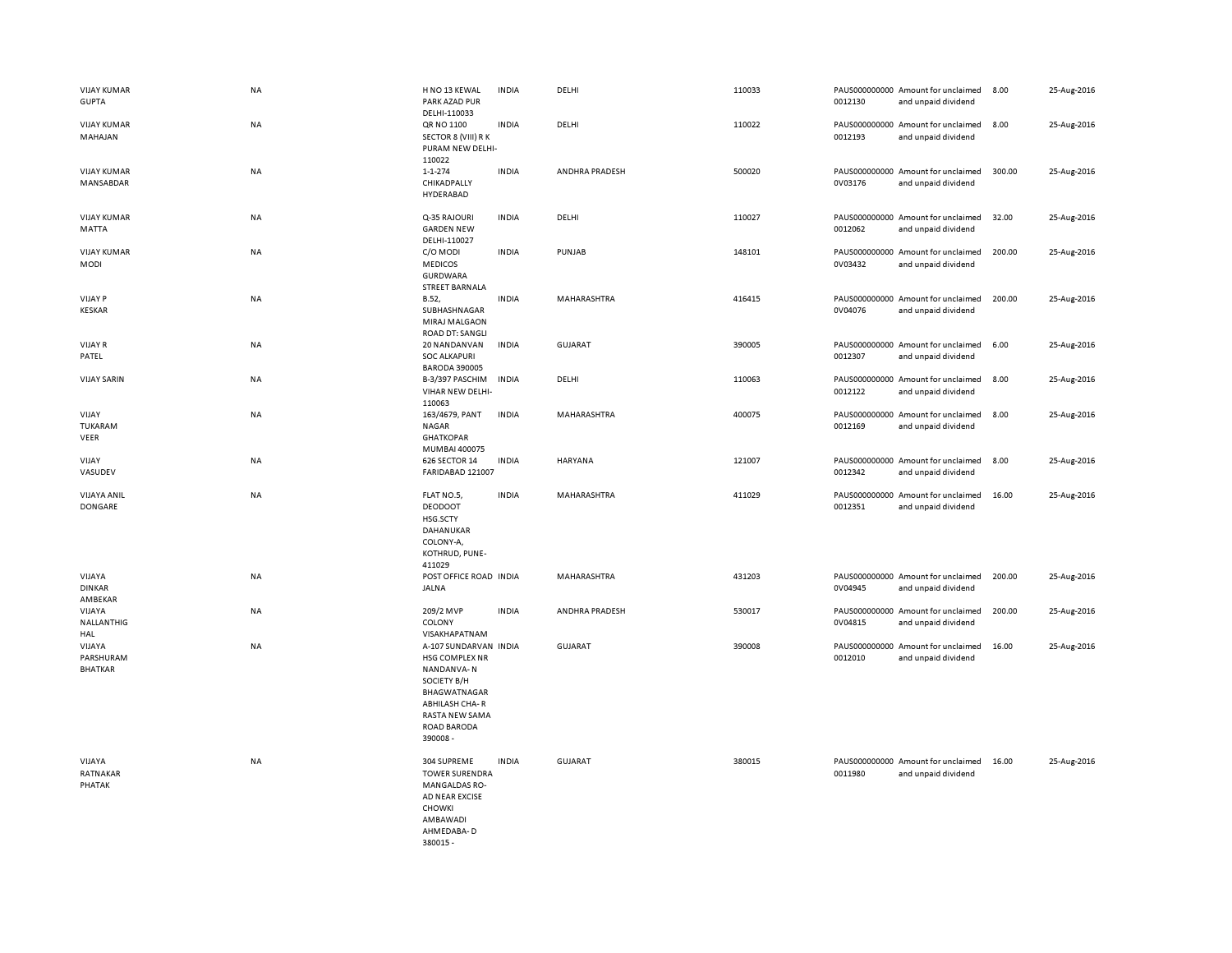| <b>VIJAY KUMAR</b><br><b>GUPTA</b>    | NA        | H NO 13 KEWAL<br>PARK AZAD PUR<br>DELHI-110033                                                                                                            | <b>INDIA</b> | DELHI          | 110033 | 0012130 | PAUS000000000 Amount for unclaimed<br>and unpaid dividend | 8.00   | 25-Aug-2016 |
|---------------------------------------|-----------|-----------------------------------------------------------------------------------------------------------------------------------------------------------|--------------|----------------|--------|---------|-----------------------------------------------------------|--------|-------------|
| <b>VIJAY KUMAR</b><br>MAHAJAN         | <b>NA</b> | QR NO 1100<br>SECTOR 8 (VIII) R K<br>PURAM NEW DELHI-<br>110022                                                                                           | <b>INDIA</b> | DELHI          | 110022 | 0012193 | PAUS000000000 Amount for unclaimed<br>and unpaid dividend | 8.00   | 25-Aug-2016 |
| <b>VIJAY KUMAR</b><br>MANSABDAR       | <b>NA</b> | $1 - 1 - 274$<br>CHIKADPALLY<br>HYDERABAD                                                                                                                 | <b>INDIA</b> | ANDHRA PRADESH | 500020 | 0V03176 | PAUS000000000 Amount for unclaimed<br>and unpaid dividend | 300.00 | 25-Aug-2016 |
| <b>VIJAY KUMAR</b><br>MATTA           | NA        | Q-35 RAJOURI<br><b>GARDEN NEW</b><br>DELHI-110027                                                                                                         | <b>INDIA</b> | DELHI          | 110027 | 0012062 | PAUS000000000 Amount for unclaimed<br>and unpaid dividend | 32.00  | 25-Aug-2016 |
| <b>VIJAY KUMAR</b><br>MODI            | <b>NA</b> | C/O MODI<br><b>MEDICOS</b><br>GURDWARA<br><b>STREET BARNALA</b>                                                                                           | <b>INDIA</b> | PUNJAB         | 148101 | 0V03432 | PAUS000000000 Amount for unclaimed<br>and unpaid dividend | 200.00 | 25-Aug-2016 |
| <b>VIJAY P</b><br><b>KESKAR</b>       | NA        | B.52,<br>SUBHASHNAGAR<br>MIRAJ MALGAON<br><b>ROAD DT: SANGLI</b>                                                                                          | <b>INDIA</b> | MAHARASHTRA    | 416415 | 0V04076 | PAUS000000000 Amount for unclaimed<br>and unpaid dividend | 200.00 | 25-Aug-2016 |
| <b>VIJAY R</b><br>PATEL               | <b>NA</b> | 20 NANDANVAN<br><b>SOC ALKAPURI</b><br><b>BARODA 390005</b>                                                                                               | <b>INDIA</b> | <b>GUJARAT</b> | 390005 | 0012307 | PAUS000000000 Amount for unclaimed<br>and unpaid dividend | 6.00   | 25-Aug-2016 |
| <b>VIJAY SARIN</b>                    | <b>NA</b> | B-3/397 PASCHIM<br>VIHAR NEW DELHI-<br>110063                                                                                                             | <b>INDIA</b> | DELHI          | 110063 | 0012122 | PAUS000000000 Amount for unclaimed<br>and unpaid dividend | 8.00   | 25-Aug-2016 |
| VIJAY<br>TUKARAM<br>VEER              | NA        | 163/4679, PANT<br><b>NAGAR</b><br><b>GHATKOPAR</b><br>MUMBAI 400075                                                                                       | <b>INDIA</b> | MAHARASHTRA    | 400075 | 0012169 | PAUS000000000 Amount for unclaimed<br>and unpaid dividend | 8.00   | 25-Aug-2016 |
| VIJAY<br>VASUDEV                      | NA        | 626 SECTOR 14<br>FARIDABAD 121007                                                                                                                         | <b>INDIA</b> | HARYANA        | 121007 | 0012342 | PAUS000000000 Amount for unclaimed<br>and unpaid dividend | 8.00   | 25-Aug-2016 |
| VIJAYA ANIL<br>DONGARE                | NA        | FLAT NO.5,<br><b>DEODOOT</b><br>HSG.SCTY<br>DAHANUKAR<br>COLONY-A,<br>KOTHRUD, PUNE-<br>411029                                                            | <b>INDIA</b> | MAHARASHTRA    | 411029 | 0012351 | PAUS000000000 Amount for unclaimed<br>and unpaid dividend | 16.00  | 25-Aug-2016 |
| VIJAYA<br><b>DINKAR</b><br>AMBEKAR    | <b>NA</b> | POST OFFICE ROAD INDIA<br><b>JALNA</b>                                                                                                                    |              | MAHARASHTRA    | 431203 | 0V04945 | PAUS000000000 Amount for unclaimed<br>and unpaid dividend | 200.00 | 25-Aug-2016 |
| VIJAYA<br>NALLANTHIG<br>HAL           | <b>NA</b> | 209/2 MVP<br>COLONY<br>VISAKHAPATNAM                                                                                                                      | <b>INDIA</b> | ANDHRA PRADESH | 530017 | 0V04815 | PAUS000000000 Amount for unclaimed<br>and unpaid dividend | 200.00 | 25-Aug-2016 |
| VIJAYA<br>PARSHURAM<br><b>BHATKAR</b> | NA        | A-107 SUNDARVAN INDIA<br>HSG COMPLEX NR<br>NANDANVA-N<br>SOCIETY B/H<br>BHAGWATNAGAR<br><b>ABHILASH CHA-R</b><br>RASTA NEW SAMA<br>ROAD BARODA<br>390008- |              | <b>GUJARAT</b> | 390008 | 0012010 | PAUS000000000 Amount for unclaimed<br>and unpaid dividend | 16.00  | 25-Aug-2016 |
| VIJAYA<br>RATNAKAR<br>PHATAK          | <b>NA</b> | 304 SUPREME<br><b>TOWER SURENDRA</b><br><b>MANGALDAS RO-</b><br>AD NEAR EXCISE<br>CHOWKI<br>AMBAWADI<br>AHMEDABA-D<br>380015-                             | <b>INDIA</b> | <b>GUJARAT</b> | 380015 | 0011980 | PAUS000000000 Amount for unclaimed<br>and unpaid dividend | 16.00  | 25-Aug-2016 |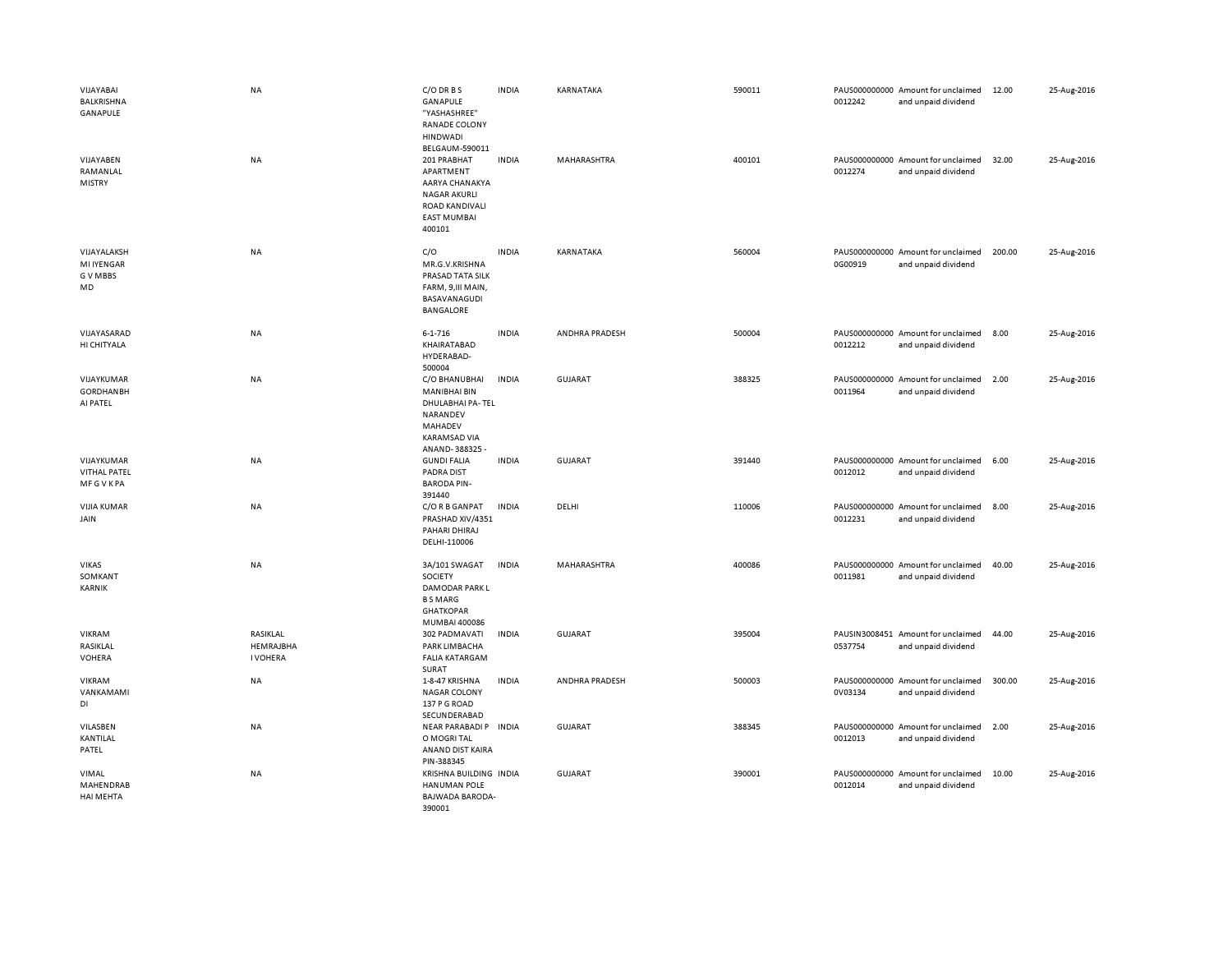| VIJAYABAI<br>BALKRISHNA<br>GANAPULE                 | <b>NA</b>                                | C/O DR B S<br><b>GANAPULE</b><br>"YASHASHREE"<br>RANADE COLONY<br><b>HINDWADI</b><br>BELGAUM-590011                    | <b>INDIA</b> | KARNATAKA      | 590011 | 0012242 | PAUS000000000 Amount for unclaimed<br>and unpaid dividend | 12.00  | 25-Aug-2016 |
|-----------------------------------------------------|------------------------------------------|------------------------------------------------------------------------------------------------------------------------|--------------|----------------|--------|---------|-----------------------------------------------------------|--------|-------------|
| VIJAYABEN<br>RAMANLAL<br><b>MISTRY</b>              | <b>NA</b>                                | 201 PRABHAT<br>APARTMENT<br>AARYA CHANAKYA<br><b>NAGAR AKURLI</b><br>ROAD KANDIVALI<br><b>EAST MUMBAI</b><br>400101    | <b>INDIA</b> | MAHARASHTRA    | 400101 | 0012274 | PAUS000000000 Amount for unclaimed<br>and unpaid dividend | 32.00  | 25-Aug-2016 |
| VIJAYALAKSH<br><b>MI IYENGAR</b><br>G V MBBS<br>MD  | NA                                       | C/O<br>MR.G.V.KRISHNA<br>PRASAD TATA SILK<br>FARM, 9, III MAIN,<br>BASAVANAGUDI<br><b>BANGALORE</b>                    | <b>INDIA</b> | KARNATAKA      | 560004 | 0G00919 | PAUS000000000 Amount for unclaimed<br>and unpaid dividend | 200.00 | 25-Aug-2016 |
| VIJAYASARAD<br>HI CHITYALA                          | NA                                       | $6 - 1 - 716$<br>KHAIRATABAD<br>HYDERABAD-<br>500004                                                                   | <b>INDIA</b> | ANDHRA PRADESH | 500004 | 0012212 | PAUS000000000 Amount for unclaimed<br>and unpaid dividend | 8.00   | 25-Aug-2016 |
| VIJAYKUMAR<br><b>GORDHANBH</b><br>AI PATEL          | NA                                       | C/O BHANUBHAI<br><b>MANIBHAI BIN</b><br>DHULABHAI PA-TEL<br>NARANDEV<br>MAHADEV<br><b>KARAMSAD VIA</b><br>ANAND-388325 | <b>INDIA</b> | <b>GUJARAT</b> | 388325 | 0011964 | PAUS000000000 Amount for unclaimed<br>and unpaid dividend | 2.00   | 25-Aug-2016 |
| VIJAYKUMAR<br><b>VITHAL PATEL</b><br><b>MFGVKPA</b> | NA                                       | <b>GUNDI FALIA</b><br><b>PADRA DIST</b><br><b>BARODA PIN-</b><br>391440                                                | <b>INDIA</b> | <b>GUJARAT</b> | 391440 | 0012012 | PAUS000000000 Amount for unclaimed<br>and unpaid dividend | 6.00   | 25-Aug-2016 |
| <b>VIJIA KUMAR</b><br>JAIN                          | <b>NA</b>                                | C/O R B GANPAT<br>PRASHAD XIV/4351<br>PAHARI DHIRAJ<br>DELHI-110006                                                    | <b>INDIA</b> | DELHI          | 110006 | 0012231 | PAUS000000000 Amount for unclaimed<br>and unpaid dividend | 8.00   | 25-Aug-2016 |
| <b>VIKAS</b><br>SOMKANT<br><b>KARNIK</b>            | <b>NA</b>                                | 3A/101 SWAGAT<br><b>SOCIETY</b><br>DAMODAR PARK L<br><b>BSMARG</b><br><b>GHATKOPAR</b><br>MUMBAI 400086                | <b>INDIA</b> | MAHARASHTRA    | 400086 | 0011981 | PAUS000000000 Amount for unclaimed<br>and unpaid dividend | 40.00  | 25-Aug-2016 |
| VIKRAM<br>RASIKLAL<br><b>VOHERA</b>                 | RASIKLAL<br>HEMRAJBHA<br><b>I VOHERA</b> | 302 PADMAVATI<br>PARK LIMBACHA<br><b>FALIA KATARGAM</b><br>SURAT                                                       | <b>INDIA</b> | GUJARAT        | 395004 | 0537754 | PAUSIN3008451 Amount for unclaimed<br>and unpaid dividend | 44.00  | 25-Aug-2016 |
| VIKRAM<br>VANKAMAMI<br>DI                           | <b>NA</b>                                | 1-8-47 KRISHNA<br><b>NAGAR COLONY</b><br>137 P G ROAD<br>SECUNDERABAD                                                  | <b>INDIA</b> | ANDHRA PRADESH | 500003 | 0V03134 | PAUS000000000 Amount for unclaimed<br>and unpaid dividend | 300.00 | 25-Aug-2016 |
| VILASBEN<br>KANTILAL<br>PATEL                       | NA                                       | NEAR PARABADI P INDIA<br>O MOGRI TAL<br>ANAND DIST KAIRA<br>PIN-388345                                                 |              | <b>GUJARAT</b> | 388345 | 0012013 | PAUS000000000 Amount for unclaimed<br>and unpaid dividend | 2.00   | 25-Aug-2016 |
| VIMAL<br>MAHENDRAB<br>HAI MEHTA                     | <b>NA</b>                                | KRISHNA BUILDING INDIA<br><b>HANUMAN POLE</b><br>BAJWADA BARODA-<br>390001                                             |              | GUJARAT        | 390001 | 0012014 | PAUS000000000 Amount for unclaimed<br>and unpaid dividend | 10.00  | 25-Aug-2016 |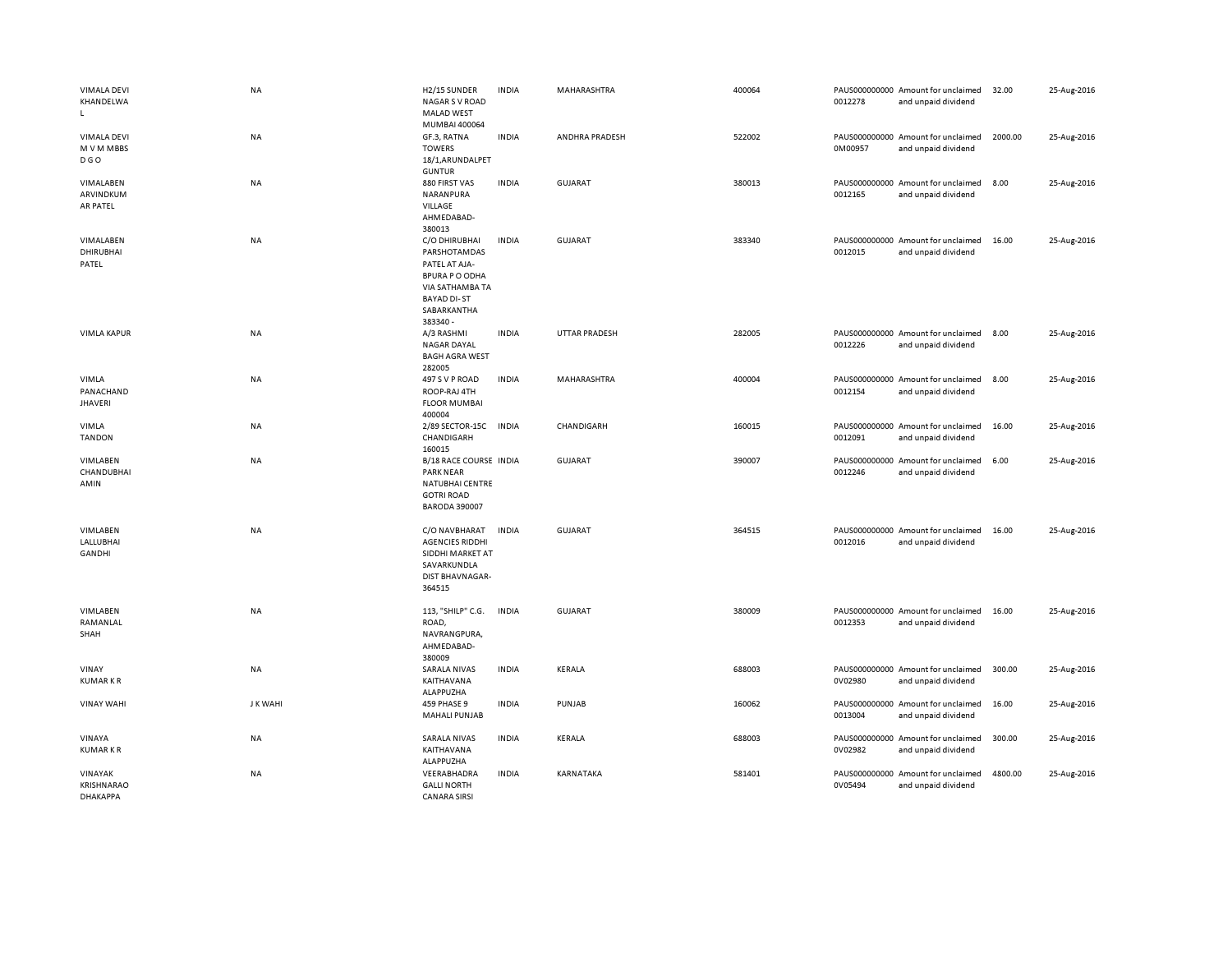| <b>VIMALA DEVI</b><br>KHANDELWA<br>$\mathsf{L}$ | <b>NA</b> | H2/15 SUNDER<br><b>NAGAR S V ROAD</b><br><b>MALAD WEST</b><br>MUMBAI 400064                                                                 | <b>INDIA</b> | MAHARASHTRA          | 400064 | 0012278                  | PAUS000000000 Amount for unclaimed<br>and unpaid dividend | 32.00   | 25-Aug-2016 |
|-------------------------------------------------|-----------|---------------------------------------------------------------------------------------------------------------------------------------------|--------------|----------------------|--------|--------------------------|-----------------------------------------------------------|---------|-------------|
| <b>VIMALA DEVI</b><br>M V M MBBS<br><b>DGO</b>  | NA        | GF.3, RATNA<br><b>TOWERS</b><br>18/1, ARUNDALPET<br><b>GUNTUR</b>                                                                           | <b>INDIA</b> | ANDHRA PRADESH       | 522002 | 0M00957                  | PAUS000000000 Amount for unclaimed<br>and unpaid dividend | 2000.00 | 25-Aug-2016 |
| VIMALABEN<br>ARVINDKUM<br>AR PATEL              | <b>NA</b> | 880 FIRST VAS<br>NARANPURA<br>VILLAGE<br>AHMEDABAD-<br>380013                                                                               | <b>INDIA</b> | <b>GUJARAT</b>       | 380013 | 0012165                  | PAUS000000000 Amount for unclaimed<br>and unpaid dividend | 8.00    | 25-Aug-2016 |
| VIMALABEN<br><b>DHIRUBHAI</b><br>PATEL          | <b>NA</b> | C/O DHIRUBHAI<br>PARSHOTAMDAS<br>PATEL AT AJA-<br><b>BPURA P O ODHA</b><br>VIA SATHAMBA TA<br><b>BAYAD DI-ST</b><br>SABARKANTHA<br>383340 - | <b>INDIA</b> | <b>GUJARAT</b>       | 383340 | 0012015                  | PAUS000000000 Amount for unclaimed<br>and unpaid dividend | 16.00   | 25-Aug-2016 |
| <b>VIMLA KAPUR</b>                              | NA        | A/3 RASHMI<br><b>NAGAR DAYAL</b><br><b>BAGH AGRA WEST</b><br>282005                                                                         | <b>INDIA</b> | <b>UTTAR PRADESH</b> | 282005 | 0012226                  | PAUS000000000 Amount for unclaimed<br>and unpaid dividend | 8.00    | 25-Aug-2016 |
| VIMLA<br>PANACHAND<br>JHAVERI                   | NA        | 497 S V P ROAD<br>ROOP-RAJ 4TH<br><b>FLOOR MUMBAI</b><br>400004                                                                             | <b>INDIA</b> | MAHARASHTRA          | 400004 | 0012154                  | PAUS000000000 Amount for unclaimed<br>and unpaid dividend | 8.00    | 25-Aug-2016 |
| VIMLA<br><b>TANDON</b>                          | NA        | 2/89 SECTOR-15C<br>CHANDIGARH<br>160015                                                                                                     | <b>INDIA</b> | CHANDIGARH           | 160015 | 0012091                  | PAUS000000000 Amount for unclaimed<br>and unpaid dividend | 16.00   | 25-Aug-2016 |
| VIMLABEN<br>CHANDUBHAI<br>AMIN                  | NA        | B/18 RACE COURSE INDIA<br><b>PARK NEAR</b><br>NATUBHAI CENTRE<br><b>GOTRI ROAD</b><br><b>BARODA 390007</b>                                  |              | GUJARAT              | 390007 | PAUS000000000<br>0012246 | Amount for unclaimed<br>and unpaid dividend               | 6.00    | 25-Aug-2016 |
| VIMLABEN<br>LALLUBHAI<br><b>GANDHI</b>          | <b>NA</b> | C/O NAVBHARAT<br><b>AGENCIES RIDDHI</b><br>SIDDHI MARKET AT<br>SAVARKUNDLA<br>DIST BHAVNAGAR-<br>364515                                     | <b>INDIA</b> | <b>GUJARAT</b>       | 364515 | 0012016                  | PAUS000000000 Amount for unclaimed<br>and unpaid dividend | 16.00   | 25-Aug-2016 |
| VIMLABEN<br>RAMANLAL<br>SHAH                    | NA        | 113, "SHILP" C.G.<br>ROAD,<br>NAVRANGPURA,<br>AHMEDABAD-<br>380009                                                                          | <b>INDIA</b> | <b>GUJARAT</b>       | 380009 | 0012353                  | PAUS000000000 Amount for unclaimed<br>and unpaid dividend | 16.00   | 25-Aug-2016 |
| VINAY<br><b>KUMARKR</b>                         | NA        | <b>SARALA NIVAS</b><br>KAITHAVANA<br>ALAPPUZHA                                                                                              | <b>INDIA</b> | KERALA               | 688003 | 0V02980                  | PAUS000000000 Amount for unclaimed<br>and unpaid dividend | 300.00  | 25-Aug-2016 |
| <b>VINAY WAHI</b>                               | J K WAHI  | 459 PHASE 9<br><b>MAHALI PUNJAB</b>                                                                                                         | <b>INDIA</b> | PUNJAB               | 160062 | 0013004                  | PAUS000000000 Amount for unclaimed<br>and unpaid dividend | 16.00   | 25-Aug-2016 |
| VINAYA<br><b>KUMARKR</b>                        | NA        | <b>SARALA NIVAS</b><br>KAITHAVANA<br>ALAPPUZHA                                                                                              | <b>INDIA</b> | KERALA               | 688003 | 0V02982                  | PAUS000000000 Amount for unclaimed<br>and unpaid dividend | 300.00  | 25-Aug-2016 |
| VINAYAK<br><b>KRISHNARAO</b><br><b>DHAKAPPA</b> | NA        | VEERABHADRA<br><b>GALLI NORTH</b><br><b>CANARA SIRSI</b>                                                                                    | <b>INDIA</b> | KARNATAKA            | 581401 | PAUS000000000<br>0V05494 | Amount for unclaimed<br>and unpaid dividend               | 4800.00 | 25-Aug-2016 |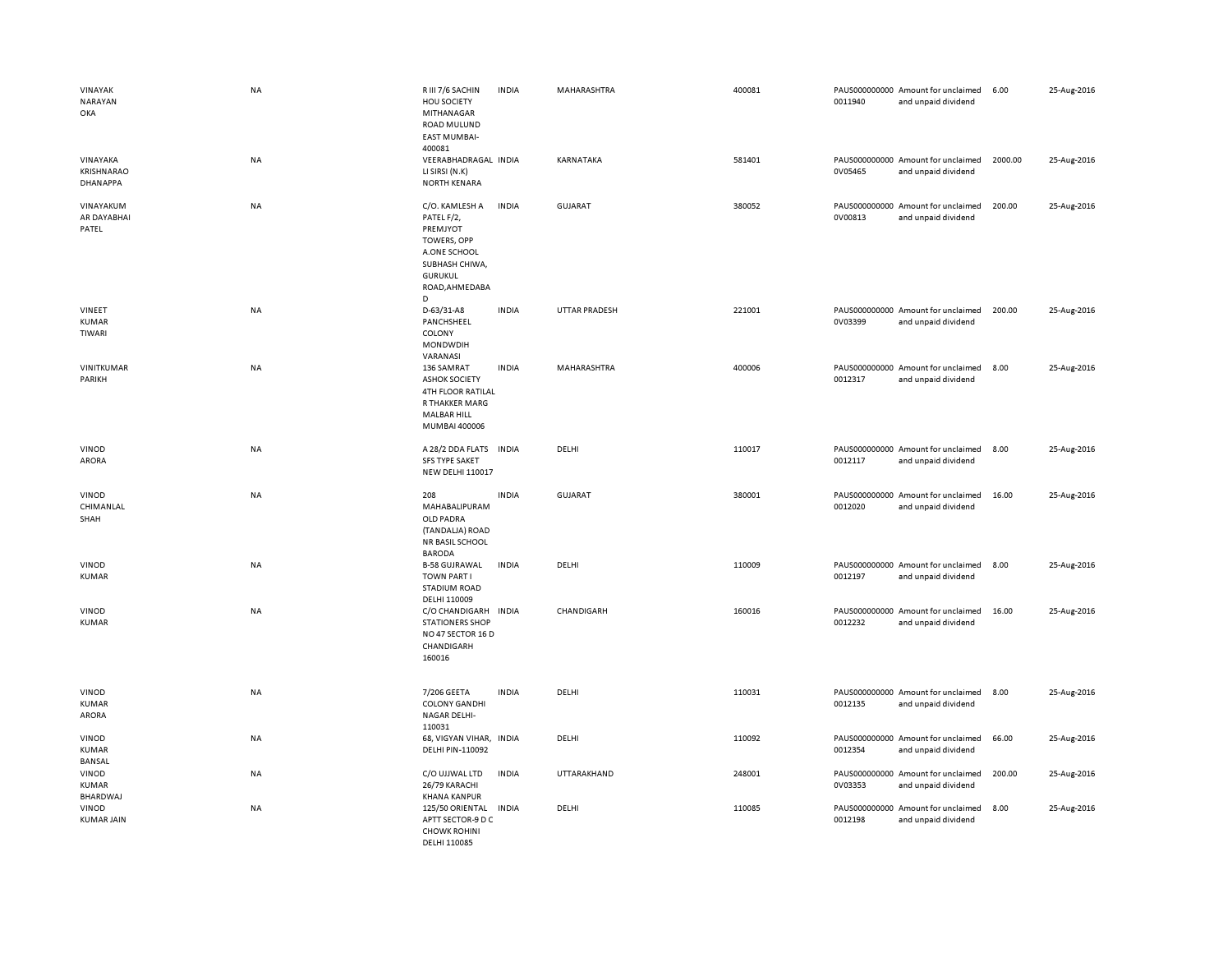| VINAYAK<br>NARAYAN<br>OKA          | <b>NA</b> | R III 7/6 SACHIN<br>HOU SOCIETY<br>MITHANAGAR<br>ROAD MULUND<br><b>EAST MUMBAI-</b><br>400081                                                 | <b>INDIA</b> | MAHARASHTRA    | 400081 | PAUS000000000 Amount for unclaimed<br>0011940<br>and unpaid dividend | 6.00    | 25-Aug-2016 |
|------------------------------------|-----------|-----------------------------------------------------------------------------------------------------------------------------------------------|--------------|----------------|--------|----------------------------------------------------------------------|---------|-------------|
| VINAYAKA<br>KRISHNARAO<br>DHANAPPA | <b>NA</b> | VEERABHADRAGAL INDIA<br>LI SIRSI (N.K)<br><b>NORTH KENARA</b>                                                                                 |              | KARNATAKA      | 581401 | PAUS000000000 Amount for unclaimed<br>0V05465<br>and unpaid dividend | 2000.00 | 25-Aug-2016 |
| VINAYAKUM<br>AR DAYABHAI<br>PATEL  | NA        | C/O. KAMLESH A<br>PATEL F/2,<br>PREMJYOT<br>TOWERS, OPP<br>A.ONE SCHOOL<br>SUBHASH CHIWA,<br><b>GURUKUL</b><br>ROAD, AHMEDABA<br><sub>D</sub> | <b>INDIA</b> | <b>GUJARAT</b> | 380052 | PAUS000000000 Amount for unclaimed<br>0V00813<br>and unpaid dividend | 200.00  | 25-Aug-2016 |
| VINEET<br><b>KUMAR</b><br>TIWARI   | <b>NA</b> | D-63/31-A8<br>PANCHSHEEL<br>COLONY<br>MONDWDIH<br>VARANASI                                                                                    | <b>INDIA</b> | UTTAR PRADESH  | 221001 | PAUS000000000 Amount for unclaimed<br>0V03399<br>and unpaid dividend | 200.00  | 25-Aug-2016 |
| VINITKUMAR<br>PARIKH               | NA        | 136 SAMRAT<br><b>ASHOK SOCIETY</b><br>4TH FLOOR RATILAL<br>R THAKKER MARG<br><b>MALBAR HILL</b><br>MUMBAI 400006                              | <b>INDIA</b> | MAHARASHTRA    | 400006 | PAUS000000000 Amount for unclaimed<br>0012317<br>and unpaid dividend | 8.00    | 25-Aug-2016 |
| VINOD<br>ARORA                     | NA        | A 28/2 DDA FLATS<br><b>SFS TYPE SAKET</b><br><b>NEW DELHI 110017</b>                                                                          | <b>INDIA</b> | DELHI          | 110017 | PAUS000000000 Amount for unclaimed<br>0012117<br>and unpaid dividend | 8.00    | 25-Aug-2016 |
| VINOD<br>CHIMANLAL<br>SHAH         | NA        | 208<br>MAHABALIPURAM<br>OLD PADRA<br>(TANDALJA) ROAD<br>NR BASIL SCHOOL<br><b>BARODA</b>                                                      | <b>INDIA</b> | <b>GUJARAT</b> | 380001 | PAUS000000000 Amount for unclaimed<br>0012020<br>and unpaid dividend | 16.00   | 25-Aug-2016 |
| VINOD<br><b>KUMAR</b>              | NA        | <b>B-58 GUJRAWAL</b><br><b>TOWN PART I</b><br><b>STADIUM ROAD</b><br>DELHI 110009                                                             | <b>INDIA</b> | DELHI          | 110009 | PAUS000000000 Amount for unclaimed<br>0012197<br>and unpaid dividend | 8.00    | 25-Aug-2016 |
| VINOD<br><b>KUMAR</b>              | NA        | C/O CHANDIGARH INDIA<br><b>STATIONERS SHOP</b><br>NO 47 SECTOR 16 D<br>CHANDIGARH<br>160016                                                   |              | CHANDIGARH     | 160016 | PAUS000000000 Amount for unclaimed<br>0012232<br>and unpaid dividend | 16.00   | 25-Aug-2016 |
| VINOD<br><b>KUMAR</b><br>ARORA     | NA        | 7/206 GEETA<br><b>COLONY GANDHI</b><br>NAGAR DELHI-<br>110031                                                                                 | <b>INDIA</b> | DELHI          | 110031 | PAUS000000000 Amount for unclaimed<br>0012135<br>and unpaid dividend | 8.00    | 25-Aug-2016 |
| VINOD<br>KUMAR<br>BANSAL           | NA        | 68, VIGYAN VIHAR, INDIA<br>DELHI PIN-110092                                                                                                   |              | DELHI          | 110092 | PAUS000000000 Amount for unclaimed<br>0012354<br>and unpaid dividend | 66.00   | 25-Aug-2016 |
| VINOD<br><b>KUMAR</b><br>BHARDWAJ  | NA        | C/O UJJWAL LTD<br>26/79 KARACHI<br><b>KHANA KANPUR</b>                                                                                        | <b>INDIA</b> | UTTARAKHAND    | 248001 | PAUS000000000 Amount for unclaimed<br>0V03353<br>and unpaid dividend | 200.00  | 25-Aug-2016 |
| VINOD<br><b>KUMAR JAIN</b>         | NA        | 125/50 ORIENTAL<br>APTT SECTOR-9 D C<br><b>CHOWK ROHINI</b><br>DELHI 110085                                                                   | <b>INDIA</b> | DELHI          | 110085 | PAUS000000000 Amount for unclaimed<br>0012198<br>and unpaid dividend | 8.00    | 25-Aug-2016 |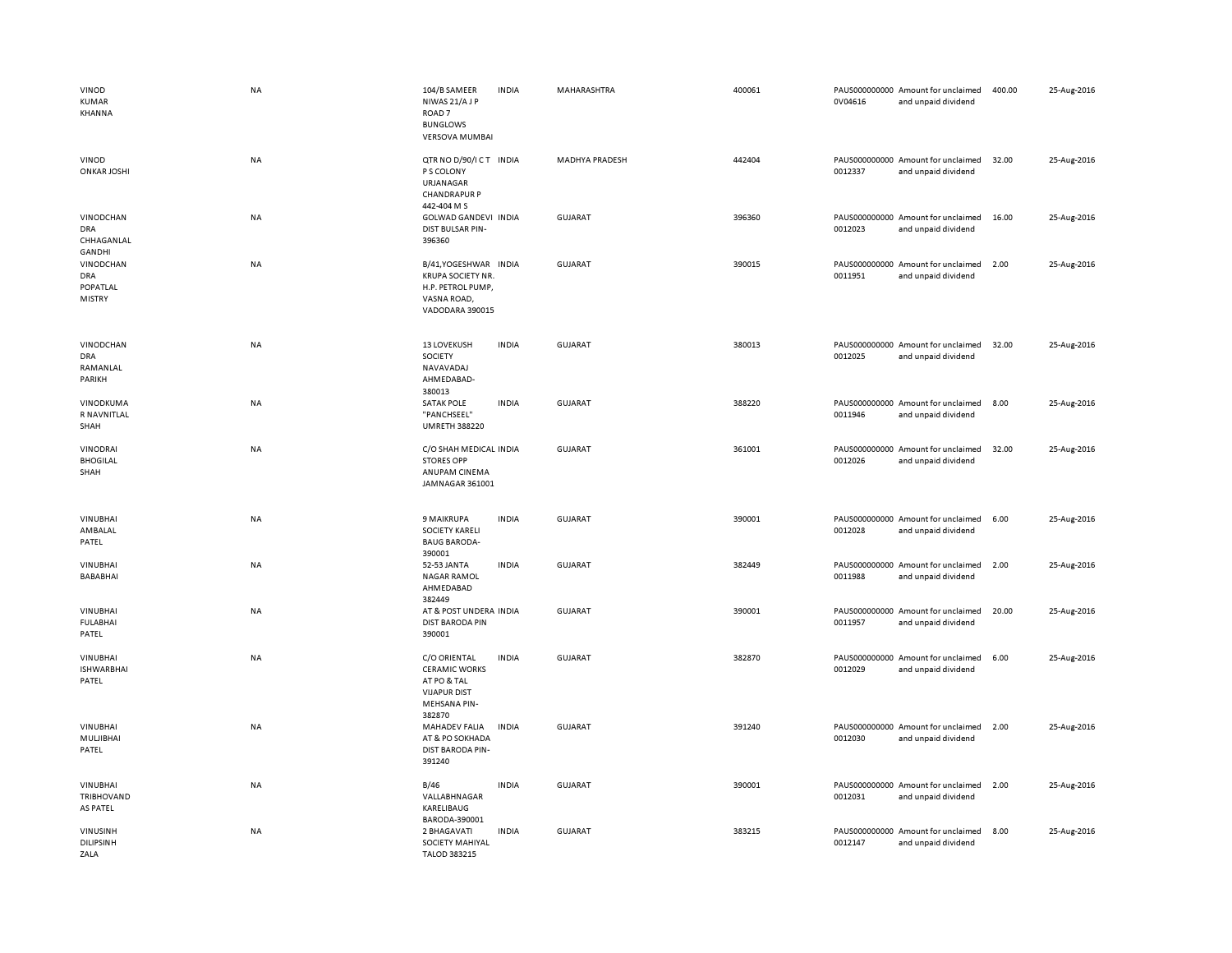| VINOD<br>KUMAR<br><b>KHANNA</b>               | <b>NA</b> | 104/B SAMEER<br>NIWAS 21/AJP<br>ROAD <sub>7</sub><br><b>BUNGLOWS</b><br><b>VERSOVA MUMBAI</b>               | <b>INDIA</b> | MAHARASHTRA           | 400061 | 0V04616 | PAUS000000000 Amount for unclaimed<br>and unpaid dividend | 400.00 | 25-Aug-2016 |
|-----------------------------------------------|-----------|-------------------------------------------------------------------------------------------------------------|--------------|-----------------------|--------|---------|-----------------------------------------------------------|--------|-------------|
| <b>VINOD</b><br><b>ONKAR JOSHI</b>            | NA        | QTR NO D/90/ICT INDIA<br>P S COLONY<br>URJANAGAR<br><b>CHANDRAPUR P</b><br>442-404 M S                      |              | <b>MADHYA PRADESH</b> | 442404 | 0012337 | PAUS000000000 Amount for unclaimed<br>and unpaid dividend | 32.00  | 25-Aug-2016 |
| VINODCHAN<br>DRA<br>CHHAGANLAL<br>GANDHI      | NA        | GOLWAD GANDEVI INDIA<br>DIST BULSAR PIN-<br>396360                                                          |              | <b>GUJARAT</b>        | 396360 | 0012023 | PAUS000000000 Amount for unclaimed<br>and unpaid dividend | 16.00  | 25-Aug-2016 |
| VINODCHAN<br>DRA<br>POPATLAL<br><b>MISTRY</b> | NA        | B/41, YOGESHWAR INDIA<br><b>KRUPA SOCIETY NR.</b><br>H.P. PETROL PUMP,<br>VASNA ROAD,<br>VADODARA 390015    |              | <b>GUJARAT</b>        | 390015 | 0011951 | PAUS000000000 Amount for unclaimed<br>and unpaid dividend | 2.00   | 25-Aug-2016 |
| VINODCHAN<br><b>DRA</b><br>RAMANLAL<br>PARIKH | NA        | <b>13 LOVEKUSH</b><br>SOCIETY<br>NAVAVADAJ<br>AHMEDABAD-<br>380013                                          | <b>INDIA</b> | <b>GUJARAT</b>        | 380013 | 0012025 | PAUS000000000 Amount for unclaimed<br>and unpaid dividend | 32.00  | 25-Aug-2016 |
| VINODKUMA<br>R NAVNITLAL<br>SHAH              | NA        | <b>SATAK POLE</b><br>"PANCHSEEL"<br><b>UMRETH 388220</b>                                                    | <b>INDIA</b> | <b>GUJARAT</b>        | 388220 | 0011946 | PAUS000000000 Amount for unclaimed<br>and unpaid dividend | 8.00   | 25-Aug-2016 |
| <b>VINODRAI</b><br><b>BHOGILAL</b><br>SHAH    | NA        | C/O SHAH MEDICAL INDIA<br><b>STORES OPP</b><br>ANUPAM CINEMA<br>JAMNAGAR 361001                             |              | <b>GUJARAT</b>        | 361001 | 0012026 | PAUS000000000 Amount for unclaimed<br>and unpaid dividend | 32.00  | 25-Aug-2016 |
| <b>VINUBHAI</b><br>AMBALAL<br>PATEL           | NA        | 9 MAIKRUPA<br><b>SOCIETY KARELI</b><br><b>BAUG BARODA-</b><br>390001                                        | <b>INDIA</b> | <b>GUJARAT</b>        | 390001 | 0012028 | PAUS000000000 Amount for unclaimed<br>and unpaid dividend | 6.00   | 25-Aug-2016 |
| <b>VINUBHAI</b><br>BABABHAI                   | NA        | 52-53 JANTA<br><b>NAGAR RAMOL</b><br>AHMEDABAD<br>382449                                                    | <b>INDIA</b> | GUJARAT               | 382449 | 0011988 | PAUS000000000 Amount for unclaimed<br>and unpaid dividend | 2.00   | 25-Aug-2016 |
| VINUBHAI<br><b>FULABHAI</b><br>PATEL          | NA        | AT & POST UNDERA INDIA<br><b>DIST BARODA PIN</b><br>390001                                                  |              | <b>GUJARAT</b>        | 390001 | 0011957 | PAUS000000000 Amount for unclaimed<br>and unpaid dividend | 20.00  | 25-Aug-2016 |
| <b>VINUBHAI</b><br><b>ISHWARBHAI</b><br>PATEL | <b>NA</b> | C/O ORIENTAL<br><b>CERAMIC WORKS</b><br>AT PO & TAL<br><b>VIJAPUR DIST</b><br><b>MEHSANA PIN-</b><br>382870 | <b>INDIA</b> | <b>GUJARAT</b>        | 382870 | 0012029 | PAUS000000000 Amount for unclaimed<br>and unpaid dividend | 6.00   | 25-Aug-2016 |
| VINUBHAI<br>MULJIBHAI<br>PATEL                | NA        | MAHADEV FALIA<br>AT & PO SOKHADA<br><b>DIST BARODA PIN-</b><br>391240                                       | <b>INDIA</b> | GUJARAT               | 391240 | 0012030 | PAUS000000000 Amount for unclaimed<br>and unpaid dividend | 2.00   | 25-Aug-2016 |
| VINUBHAI<br>TRIBHOVAND<br>AS PATEL            | NA        | B/46<br>VALLABHNAGAR<br>KARELIBAUG<br>BARODA-390001                                                         | <b>INDIA</b> | <b>GUJARAT</b>        | 390001 | 0012031 | PAUS000000000 Amount for unclaimed<br>and unpaid dividend | 2.00   | 25-Aug-2016 |
| VINUSINH<br>DILIPSINH<br>ZALA                 | NA        | 2 BHAGAVATI<br>SOCIETY MAHIYAL<br><b>TALOD 383215</b>                                                       | <b>INDIA</b> | <b>GUJARAT</b>        | 383215 | 0012147 | PAUS000000000 Amount for unclaimed<br>and unpaid dividend | 8.00   | 25-Aug-2016 |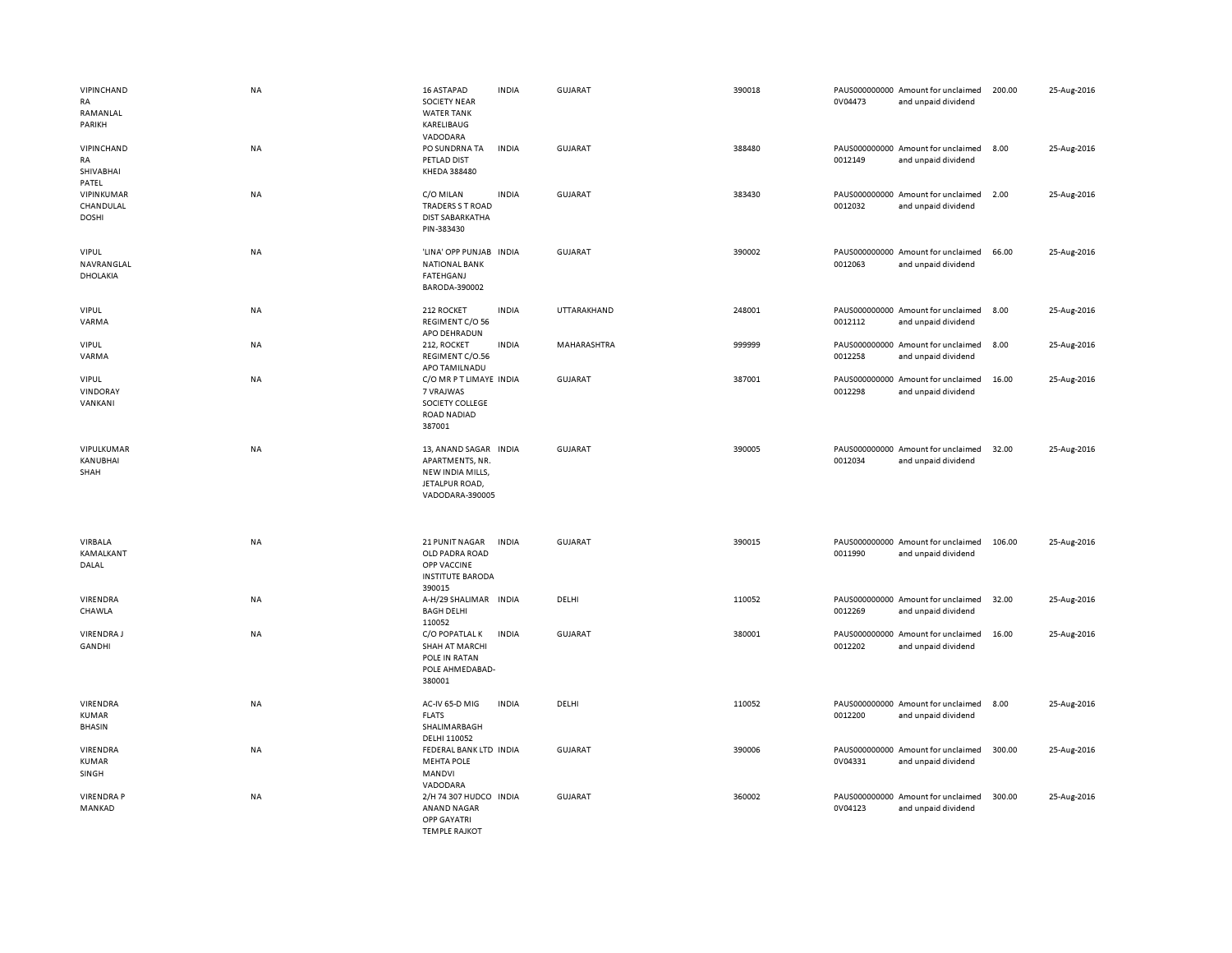| VIPINCHAND<br>RA<br>RAMANLAL<br>PARIKH    | NA        | 16 ASTAPAD<br><b>SOCIETY NEAR</b><br><b>WATER TANK</b><br>KARELIBAUG<br>VADODARA                  | <b>INDIA</b> | <b>GUJARAT</b> | 390018 | 0V04473 | PAUS000000000 Amount for unclaimed<br>and unpaid dividend | 200.00 | 25-Aug-2016 |
|-------------------------------------------|-----------|---------------------------------------------------------------------------------------------------|--------------|----------------|--------|---------|-----------------------------------------------------------|--------|-------------|
| VIPINCHAND<br>RA<br>SHIVABHAI<br>PATEL    | NA        | PO SUNDRNA TA<br>PETLAD DIST<br>KHEDA 388480                                                      | <b>INDIA</b> | GUJARAT        | 388480 | 0012149 | PAUS000000000 Amount for unclaimed<br>and unpaid dividend | 8.00   | 25-Aug-2016 |
| VIPINKUMAR<br>CHANDULAL<br><b>DOSHI</b>   | NA        | C/O MILAN<br><b>TRADERS S T ROAD</b><br><b>DIST SABARKATHA</b><br>PIN-383430                      | <b>INDIA</b> | <b>GUJARAT</b> | 383430 | 0012032 | PAUS000000000 Amount for unclaimed<br>and unpaid dividend | 2.00   | 25-Aug-2016 |
| <b>VIPUL</b><br>NAVRANGLAL<br>DHOLAKIA    | NA        | 'LINA' OPP PUNJAB INDIA<br><b>NATIONAL BANK</b><br><b>FATEHGANJ</b><br>BARODA-390002              |              | <b>GUJARAT</b> | 390002 | 0012063 | PAUS000000000 Amount for unclaimed<br>and unpaid dividend | 66.00  | 25-Aug-2016 |
| <b>VIPUL</b><br>VARMA                     | NA        | 212 ROCKET<br>REGIMENT C/O 56<br>APO DEHRADUN                                                     | <b>INDIA</b> | UTTARAKHAND    | 248001 | 0012112 | PAUS000000000 Amount for unclaimed<br>and unpaid dividend | 8.00   | 25-Aug-2016 |
| <b>VIPUL</b><br>VARMA                     | NA        | 212, ROCKET<br>REGIMENT C/O.56<br>APO TAMILNADU                                                   | <b>INDIA</b> | MAHARASHTRA    | 999999 | 0012258 | PAUS000000000 Amount for unclaimed<br>and unpaid dividend | 8.00   | 25-Aug-2016 |
| <b>VIPUL</b><br>VINDORAY<br>VANKANI       | <b>NA</b> | C/O MR P T LIMAYE INDIA<br>7 VRAJWAS<br>SOCIETY COLLEGE<br><b>ROAD NADIAD</b><br>387001           |              | <b>GUJARAT</b> | 387001 | 0012298 | PAUS000000000 Amount for unclaimed<br>and unpaid dividend | 16.00  | 25-Aug-2016 |
| VIPULKUMAR<br>KANUBHAI<br>SHAH            | NA        | 13, ANAND SAGAR INDIA<br>APARTMENTS, NR.<br>NEW INDIA MILLS,<br>JETALPUR ROAD,<br>VADODARA-390005 |              | <b>GUJARAT</b> | 390005 | 0012034 | PAUS000000000 Amount for unclaimed<br>and unpaid dividend | 32.00  | 25-Aug-2016 |
| VIRBALA<br>KAMALKANT<br>DALAL             | NA        | 21 PUNIT NAGAR<br>OLD PADRA ROAD<br>OPP VACCINE<br><b>INSTITUTE BARODA</b><br>390015              | <b>INDIA</b> | <b>GUJARAT</b> | 390015 | 0011990 | PAUS000000000 Amount for unclaimed<br>and unpaid dividend | 106.00 | 25-Aug-2016 |
| VIRENDRA<br>CHAWLA                        | NA        | A-H/29 SHALIMAR INDIA<br><b>BAGH DELHI</b><br>110052                                              |              | DELHI          | 110052 | 0012269 | PAUS000000000 Amount for unclaimed<br>and unpaid dividend | 32.00  | 25-Aug-2016 |
| <b>VIRENDRAJ</b><br>GANDHI                | NA        | C/O POPATLAL K<br><b>SHAH AT MARCHI</b><br>POLE IN RATAN<br>POLE AHMEDABAD-<br>380001             | <b>INDIA</b> | GUJARAT        | 380001 | 0012202 | PAUS000000000 Amount for unclaimed<br>and unpaid dividend | 16.00  | 25-Aug-2016 |
| VIRENDRA<br><b>KUMAR</b><br><b>BHASIN</b> | NA        | AC-IV 65-D MIG<br><b>FLATS</b><br>SHALIMARBAGH<br>DELHI 110052                                    | <b>INDIA</b> | DELHI          | 110052 | 0012200 | PAUS000000000 Amount for unclaimed<br>and unpaid dividend | 8.00   | 25-Aug-2016 |
| VIRENDRA<br><b>KUMAR</b><br>SINGH         | NA        | FEDERAL BANK LTD INDIA<br><b>MEHTA POLE</b><br>MANDVI<br>VADODARA                                 |              | <b>GUJARAT</b> | 390006 | 0V04331 | PAUS000000000 Amount for unclaimed<br>and unpaid dividend | 300.00 | 25-Aug-2016 |
| <b>VIRENDRA P</b><br>MANKAD               | NA        | 2/H 74 307 HUDCO INDIA<br>ANAND NAGAR<br>OPP GAYATRI<br>TEMPLE RAIKOT                             |              | <b>GUJARAT</b> | 360002 | 0V04123 | PAUS000000000 Amount for unclaimed<br>and unpaid dividend | 300.00 | 25-Aug-2016 |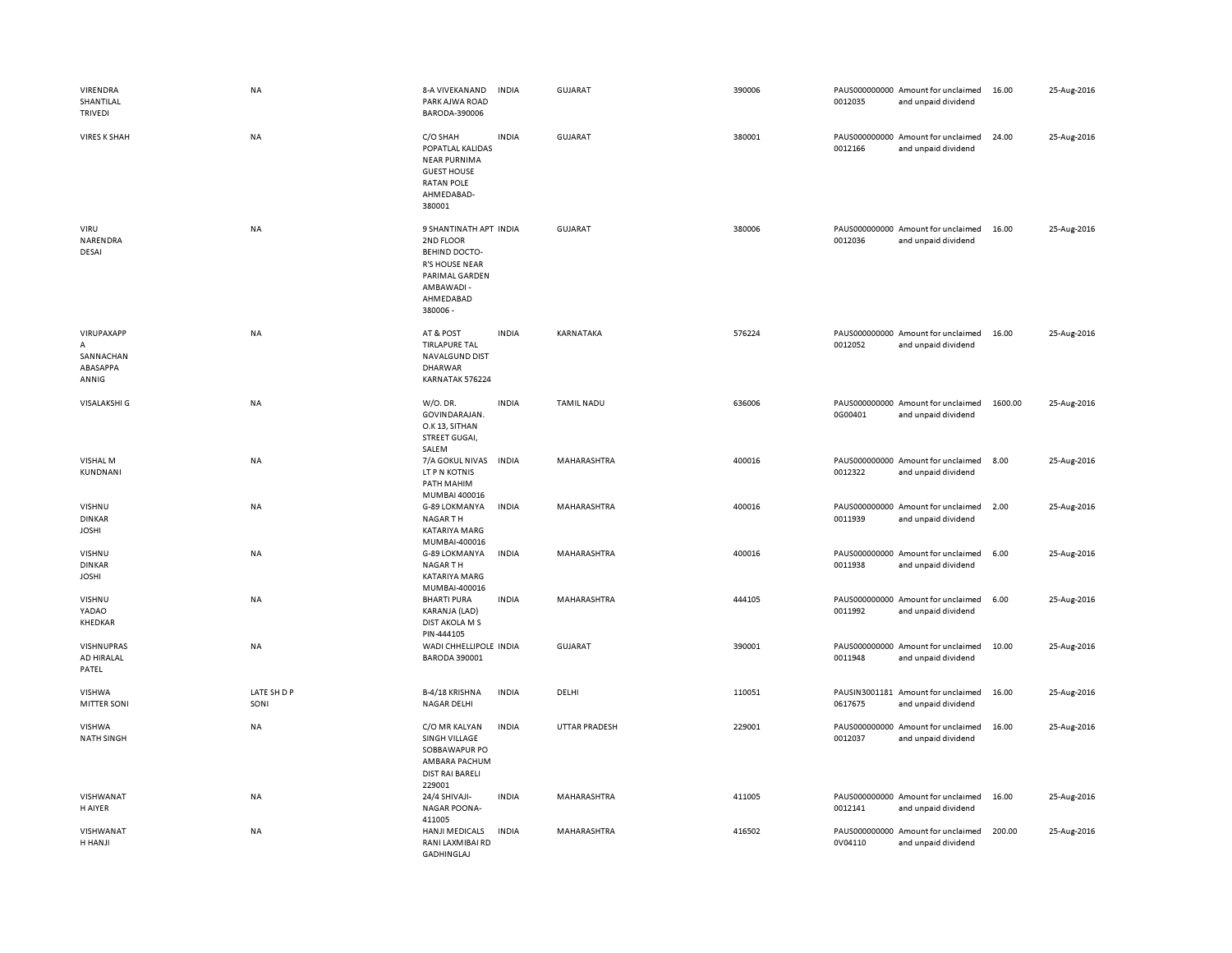| VIRENDRA<br>SHANTILAL<br>TRIVEDI                               | NA                  | 8-A VIVEKANAND<br>PARK AJWA ROAD<br>BARODA-390006                                                                                            | <b>INDIA</b> | <b>GUJARAT</b>       | 390006 | 0012035 | PAUS000000000 Amount for unclaimed<br>and unpaid dividend | 16.00   | 25-Aug-2016 |
|----------------------------------------------------------------|---------------------|----------------------------------------------------------------------------------------------------------------------------------------------|--------------|----------------------|--------|---------|-----------------------------------------------------------|---------|-------------|
| <b>VIRES K SHAH</b>                                            | <b>NA</b>           | C/O SHAH<br>POPATLAL KALIDAS<br><b>NEAR PURNIMA</b><br><b>GUEST HOUSE</b><br><b>RATAN POLE</b><br>AHMEDABAD-<br>380001                       | <b>INDIA</b> | <b>GUJARAT</b>       | 380001 | 0012166 | PAUS000000000 Amount for unclaimed<br>and unpaid dividend | 24.00   | 25-Aug-2016 |
| VIRU<br>NARENDRA<br>DESAI                                      | <b>NA</b>           | 9 SHANTINATH APT INDIA<br>2ND FLOOR<br><b>BEHIND DOCTO-</b><br><b>R'S HOUSE NEAR</b><br>PARIMAL GARDEN<br>AMBAWADI -<br>AHMEDABAD<br>380006- |              | GUJARAT              | 380006 | 0012036 | PAUS000000000 Amount for unclaimed<br>and unpaid dividend | 16.00   | 25-Aug-2016 |
| VIRUPAXAPP<br>$\overline{A}$<br>SANNACHAN<br>ABASAPPA<br>ANNIG | NA                  | AT & POST<br><b>TIRLAPURE TAL</b><br>NAVALGUND DIST<br><b>DHARWAR</b><br>KARNATAK 576224                                                     | <b>INDIA</b> | KARNATAKA            | 576224 | 0012052 | PAUS000000000 Amount for unclaimed<br>and unpaid dividend | 16.00   | 25-Aug-2016 |
| <b>VISALAKSHI G</b>                                            | NA                  | W/O. DR.<br>GOVINDARAJAN.<br>O.K 13, SITHAN<br>STREET GUGAI,<br>SALEM                                                                        | <b>INDIA</b> | <b>TAMIL NADU</b>    | 636006 | 0G00401 | PAUS000000000 Amount for unclaimed<br>and unpaid dividend | 1600.00 | 25-Aug-2016 |
| VISHAL M<br>KUNDNANI                                           | <b>NA</b>           | 7/A GOKUL NIVAS<br>LT P N KOTNIS<br>PATH MAHIM<br>MUMBAI 400016                                                                              | <b>INDIA</b> | MAHARASHTRA          | 400016 | 0012322 | PAUS000000000 Amount for unclaimed<br>and unpaid dividend | 8.00    | 25-Aug-2016 |
| VISHNU<br><b>DINKAR</b><br><b>JOSHI</b>                        | NA                  | G-89 LOKMANYA<br><b>NAGARTH</b><br>KATARIYA MARG<br>MUMBAI-400016                                                                            | <b>INDIA</b> | MAHARASHTRA          | 400016 | 0011939 | PAUS000000000 Amount for unclaimed<br>and unpaid dividend | 2.00    | 25-Aug-2016 |
| VISHNU<br><b>DINKAR</b><br><b>JOSHI</b>                        | NA                  | G-89 LOKMANYA<br><b>NAGARTH</b><br>KATARIYA MARG<br>MUMBAI-400016                                                                            | <b>INDIA</b> | MAHARASHTRA          | 400016 | 0011938 | PAUS000000000 Amount for unclaimed<br>and unpaid dividend | 6.00    | 25-Aug-2016 |
| VISHNU<br>YADAO<br>KHEDKAR                                     | <b>NA</b>           | <b>BHARTI PURA</b><br>KARANJA (LAD)<br><b>DIST AKOLA M S</b><br>PIN-444105                                                                   | <b>INDIA</b> | <b>MAHARASHTRA</b>   | 444105 | 0011992 | PAUS000000000 Amount for unclaimed<br>and unpaid dividend | 6.00    | 25-Aug-2016 |
| VISHNUPRAS<br>AD HIRALAL<br>PATEL                              | NA                  | WADI CHHELLIPOLE INDIA<br><b>BARODA 390001</b>                                                                                               |              | <b>GUJARAT</b>       | 390001 | 0011948 | PAUS000000000 Amount for unclaimed<br>and unpaid dividend | 10.00   | 25-Aug-2016 |
| VISHWA<br><b>MITTER SONI</b>                                   | LATE SH D P<br>SONI | B-4/18 KRISHNA<br>NAGAR DELHI                                                                                                                | <b>INDIA</b> | DELHI                | 110051 | 0617675 | PAUSIN3001181 Amount for unclaimed<br>and unpaid dividend | 16.00   | 25-Aug-2016 |
| VISHWA<br><b>NATH SINGH</b>                                    | <b>NA</b>           | C/O MR KALYAN<br>SINGH VILLAGE<br>SOBBAWAPUR PO<br>AMBARA PACHUM<br><b>DIST RAI BARELI</b><br>229001                                         | <b>INDIA</b> | <b>UTTAR PRADESH</b> | 229001 | 0012037 | PAUS000000000 Amount for unclaimed<br>and unpaid dividend | 16.00   | 25-Aug-2016 |
| VISHWANAT<br>H AIYER                                           | NA                  | 24/4 SHIVAJI-<br><b>NAGAR POONA-</b><br>411005                                                                                               | <b>INDIA</b> | MAHARASHTRA          | 411005 | 0012141 | PAUS000000000 Amount for unclaimed<br>and unpaid dividend | 16.00   | 25-Aug-2016 |
| VISHWANAT<br>H HANJI                                           | <b>NA</b>           | HANJI MEDICALS<br>RANI LAXMIBAI RD<br>GADHINGLAJ                                                                                             | <b>INDIA</b> | MAHARASHTRA          | 416502 | 0V04110 | PAUS000000000 Amount for unclaimed<br>and unpaid dividend | 200.00  | 25-Aug-2016 |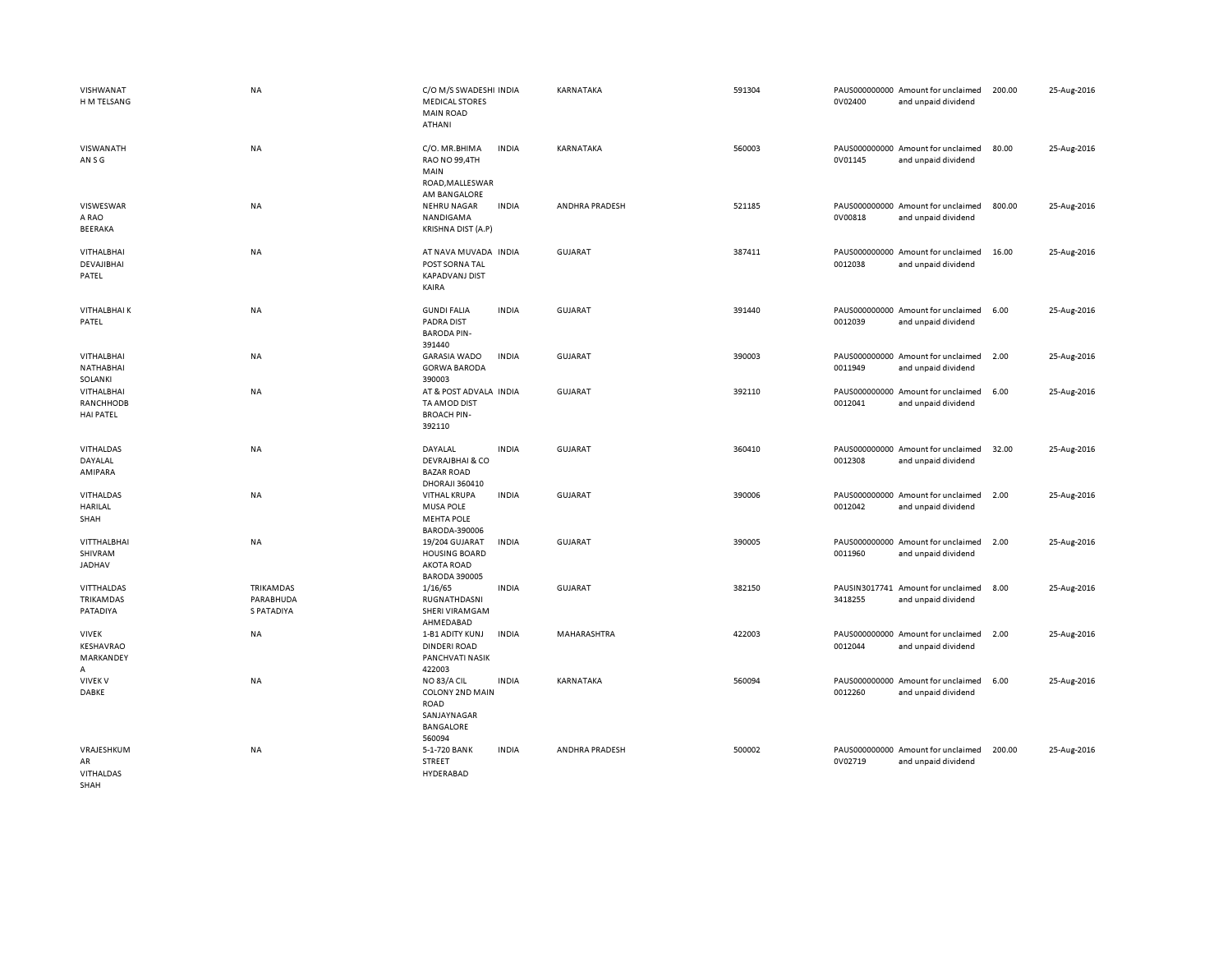| VISHWANAT<br>H M TELSANG                           | <b>NA</b>                                          | C/O M/S SWADESHI INDIA<br><b>MEDICAL STORES</b><br><b>MAIN ROAD</b><br><b>ATHANI</b> |              | KARNATAKA      | 591304 | 0V02400 | PAUS000000000 Amount for unclaimed<br>and unpaid dividend | 200.00 | 25-Aug-2016 |
|----------------------------------------------------|----------------------------------------------------|--------------------------------------------------------------------------------------|--------------|----------------|--------|---------|-----------------------------------------------------------|--------|-------------|
| VISWANATH<br>AN S G                                | <b>NA</b>                                          | C/O. MR.BHIMA<br>RAO NO 99,4TH<br>MAIN<br>ROAD, MALLESWAR<br>AM BANGALORE            | <b>INDIA</b> | KARNATAKA      | 560003 | 0V01145 | PAUS000000000 Amount for unclaimed<br>and unpaid dividend | 80.00  | 25-Aug-2016 |
| VISWESWAR<br>A RAO<br>BEERAKA                      | <b>NA</b>                                          | <b>NEHRU NAGAR</b><br>NANDIGAMA<br>KRISHNA DIST (A.P)                                | <b>INDIA</b> | ANDHRA PRADESH | 521185 | 0V00818 | PAUS000000000 Amount for unclaimed<br>and unpaid dividend | 800.00 | 25-Aug-2016 |
| <b>VITHALBHAI</b><br>DEVAJIBHAI<br>PATEL           | <b>NA</b>                                          | AT NAVA MUVADA INDIA<br>POST SORNA TAL<br><b>KAPADVANJ DIST</b><br>KAIRA             |              | <b>GUJARAT</b> | 387411 | 0012038 | PAUS000000000 Amount for unclaimed<br>and unpaid dividend | 16.00  | 25-Aug-2016 |
| <b>VITHALBHAIK</b><br>PATEL                        | <b>NA</b>                                          | <b>GUNDI FALIA</b><br>PADRA DIST<br><b>BARODA PIN-</b><br>391440                     | <b>INDIA</b> | <b>GUJARAT</b> | 391440 | 0012039 | PAUS000000000 Amount for unclaimed<br>and unpaid dividend | 6.00   | 25-Aug-2016 |
| <b>VITHALBHAI</b><br>NATHABHAI<br>SOLANKI          | <b>NA</b>                                          | <b>GARASIA WADO</b><br><b>GORWA BARODA</b><br>390003                                 | <b>INDIA</b> | <b>GUJARAT</b> | 390003 | 0011949 | PAUS000000000 Amount for unclaimed<br>and unpaid dividend | 2.00   | 25-Aug-2016 |
| VITHALBHAI<br><b>RANCHHODB</b><br><b>HAI PATEL</b> | <b>NA</b>                                          | AT & POST ADVALA INDIA<br>TA AMOD DIST<br><b>BROACH PIN-</b><br>392110               |              | GUJARAT        | 392110 | 0012041 | PAUS000000000 Amount for unclaimed<br>and unpaid dividend | 6.00   | 25-Aug-2016 |
| VITHALDAS<br>DAYALAL<br>AMIPARA                    | <b>NA</b>                                          | DAYALAL<br><b>DEVRAJBHAI &amp; CO</b><br><b>BAZAR ROAD</b><br><b>DHORAJI 360410</b>  | <b>INDIA</b> | <b>GUJARAT</b> | 360410 | 0012308 | PAUS000000000 Amount for unclaimed<br>and unpaid dividend | 32.00  | 25-Aug-2016 |
| VITHALDAS<br><b>HARILAL</b><br>SHAH                | NA                                                 | <b>VITHAL KRUPA</b><br><b>MUSA POLE</b><br><b>MEHTA POLE</b><br>BARODA-390006        | <b>INDIA</b> | <b>GUJARAT</b> | 390006 | 0012042 | PAUS000000000 Amount for unclaimed<br>and unpaid dividend | 2.00   | 25-Aug-2016 |
| VITTHALBHAI<br>SHIVRAM<br>JADHAV                   | NA                                                 | 19/204 GUJARAT<br><b>HOUSING BOARD</b><br><b>AKOTA ROAD</b><br><b>BARODA 390005</b>  | <b>INDIA</b> | <b>GUJARAT</b> | 390005 | 0011960 | PAUS000000000 Amount for unclaimed<br>and unpaid dividend | 2.00   | 25-Aug-2016 |
| <b>VITTHALDAS</b><br>TRIKAMDAS<br>PATADIYA         | <b>TRIKAMDAS</b><br>PARABHUDA<br><b>S PATADIYA</b> | 1/16/65<br>RUGNATHDASNI<br><b>SHERI VIRAMGAM</b><br>AHMEDABAD                        | <b>INDIA</b> | <b>GUJARAT</b> | 382150 | 3418255 | PAUSIN3017741 Amount for unclaimed<br>and unpaid dividend | 8.00   | 25-Aug-2016 |
| <b>VIVEK</b><br>KESHAVRAO<br>MARKANDEY<br>A        | NA                                                 | 1-B1 ADITY KUNJ<br><b>DINDERI ROAD</b><br><b>PANCHVATI NASIK</b><br>422003           | <b>INDIA</b> | MAHARASHTRA    | 422003 | 0012044 | PAUS000000000 Amount for unclaimed<br>and unpaid dividend | 2.00   | 25-Aug-2016 |
| <b>VIVEK V</b><br><b>DABKE</b>                     | NA                                                 | NO 83/A CIL<br>COLONY 2ND MAIN<br><b>ROAD</b><br>SANJAYNAGAR<br>BANGALORE<br>560094  | <b>INDIA</b> | KARNATAKA      | 560094 | 0012260 | PAUS000000000 Amount for unclaimed<br>and unpaid dividend | 6.00   | 25-Aug-2016 |
| VRAJESHKUM<br>AR<br>VITHALDAS<br>SHAH              | NA                                                 | 5-1-720 BANK<br>STREET<br>HYDERABAD                                                  | <b>INDIA</b> | ANDHRA PRADESH | 500002 | 0V02719 | PAUS000000000 Amount for unclaimed<br>and unpaid dividend | 200.00 | 25-Aug-2016 |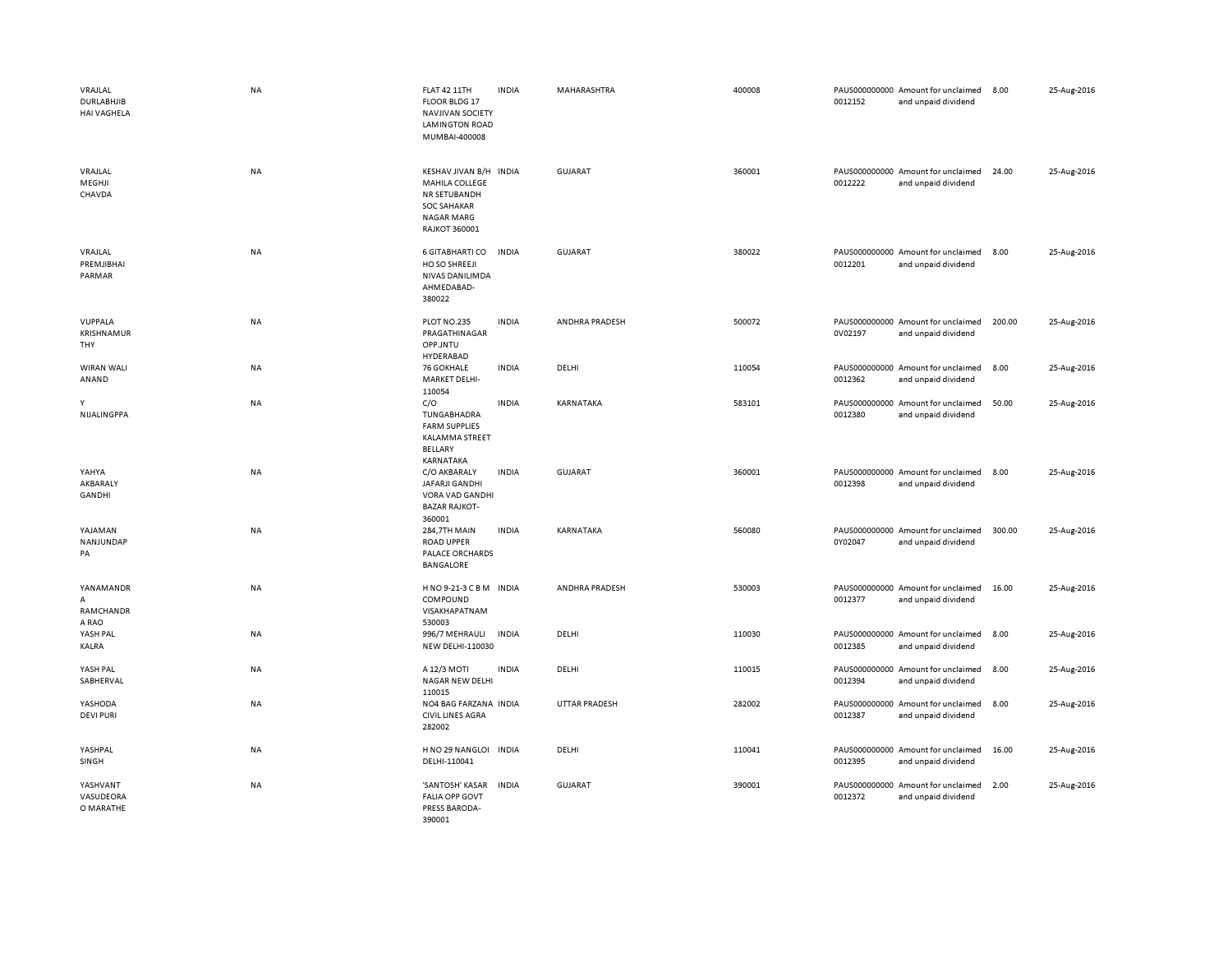| VRAJLAL<br><b>DURLABHJIB</b><br><b>HAI VAGHELA</b> | <b>NA</b> | <b>FLAT 42 11TH</b><br>FLOOR BLDG 17<br><b>NAVJIVAN SOCIETY</b><br><b>LAMINGTON ROAD</b><br>MUMBAI-400008                   | <b>INDIA</b> | MAHARASHTRA          | 400008 | 0012152 | PAUS000000000 Amount for unclaimed<br>and unpaid dividend | 8.00   | 25-Aug-2016 |
|----------------------------------------------------|-----------|-----------------------------------------------------------------------------------------------------------------------------|--------------|----------------------|--------|---------|-----------------------------------------------------------|--------|-------------|
| VRAJLAL<br>MEGHJI<br>CHAVDA                        | NA        | KESHAV JIVAN B/H INDIA<br>MAHILA COLLEGE<br>NR SETUBANDH<br><b>SOC SAHAKAR</b><br><b>NAGAR MARG</b><br><b>RAJKOT 360001</b> |              | <b>GUJARAT</b>       | 360001 | 0012222 | PAUS000000000 Amount for unclaimed<br>and unpaid dividend | 24.00  | 25-Aug-2016 |
| VRAJLAL<br>PREMJIBHAI<br>PARMAR                    | <b>NA</b> | 6 GITABHARTI CO<br>HO SO SHREEJI<br>NIVAS DANILIMDA<br>AHMEDABAD-<br>380022                                                 | <b>INDIA</b> | GUJARAT              | 380022 | 0012201 | PAUS000000000 Amount for unclaimed<br>and unpaid dividend | 8.00   | 25-Aug-2016 |
| VUPPALA<br><b>KRISHNAMUR</b><br>THY                | NA        | PLOT NO.235<br>PRAGATHINAGAR<br>OPP.JNTU<br>HYDERABAD                                                                       | <b>INDIA</b> | ANDHRA PRADESH       | 500072 | 0V02197 | PAUS000000000 Amount for unclaimed<br>and unpaid dividend | 200.00 | 25-Aug-2016 |
| WIRAN WALI<br>ANAND                                | <b>NA</b> | 76 GOKHALE<br><b>MARKET DELHI-</b><br>110054                                                                                | <b>INDIA</b> | DELHI                | 110054 | 0012362 | PAUS000000000 Amount for unclaimed<br>and unpaid dividend | 8.00   | 25-Aug-2016 |
| Υ<br>NIJALINGPPA                                   | NA        | C/O<br>TUNGABHADRA<br><b>FARM SUPPLIES</b><br><b>KALAMMA STREET</b><br><b>BELLARY</b><br>KARNATAKA                          | <b>INDIA</b> | KARNATAKA            | 583101 | 0012380 | PAUS000000000 Amount for unclaimed<br>and unpaid dividend | 50.00  | 25-Aug-2016 |
| YAHYA<br>AKBARALY<br>GANDHI                        | NA        | C/O AKBARALY<br>JAFARJI GANDHI<br>VORA VAD GANDHI<br><b>BAZAR RAJKOT-</b><br>360001                                         | <b>INDIA</b> | <b>GUJARAT</b>       | 360001 | 0012398 | PAUS000000000 Amount for unclaimed<br>and unpaid dividend | 8.00   | 25-Aug-2016 |
| YAJAMAN<br>NANJUNDAP<br>PA                         | NA        | 284,7TH MAIN<br><b>ROAD UPPER</b><br>PALACE ORCHARDS<br><b>BANGALORE</b>                                                    | <b>INDIA</b> | KARNATAKA            | 560080 | 0Y02047 | PAUS000000000 Amount for unclaimed<br>and unpaid dividend | 300.00 | 25-Aug-2016 |
| YANAMANDR<br>А<br>RAMCHANDR<br>A RAO               | NA        | HNO 9-21-3 C B M INDIA<br>COMPOUND<br>VISAKHAPATNAM<br>530003                                                               |              | ANDHRA PRADESH       | 530003 | 0012377 | PAUS000000000 Amount for unclaimed<br>and unpaid dividend | 16.00  | 25-Aug-2016 |
| YASH PAL<br>KALRA                                  | NA        | 996/7 MEHRAULI<br>NEW DELHI-110030                                                                                          | <b>INDIA</b> | DELHI                | 110030 | 0012385 | PAUS000000000 Amount for unclaimed<br>and unpaid dividend | 8.00   | 25-Aug-2016 |
| YASH PAL<br>SABHERVAL                              | NA        | A 12/3 MOTI<br><b>NAGAR NEW DELHI</b><br>110015                                                                             | <b>INDIA</b> | DELHI                | 110015 | 0012394 | PAUS000000000 Amount for unclaimed<br>and unpaid dividend | 8.00   | 25-Aug-2016 |
| YASHODA<br><b>DEVI PURI</b>                        | <b>NA</b> | NO4 BAG FARZANA INDIA<br><b>CIVIL LINES AGRA</b><br>282002                                                                  |              | <b>UTTAR PRADESH</b> | 282002 | 0012387 | PAUS000000000 Amount for unclaimed<br>and unpaid dividend | 8.00   | 25-Aug-2016 |
| YASHPAL<br>SINGH                                   | NA        | H NO 29 NANGLOI INDIA<br>DELHI-110041                                                                                       |              | DELHI                | 110041 | 0012395 | PAUS000000000 Amount for unclaimed<br>and unpaid dividend | 16.00  | 25-Aug-2016 |
| YASHVANT<br>VASUDEORA<br>O MARATHE                 | NA        | 'SANTOSH' KASAR<br><b>FALIA OPP GOVT</b><br>PRESS BARODA-<br>390001                                                         | <b>INDIA</b> | <b>GUJARAT</b>       | 390001 | 0012372 | PAUS000000000 Amount for unclaimed<br>and unpaid dividend | 2.00   | 25-Aug-2016 |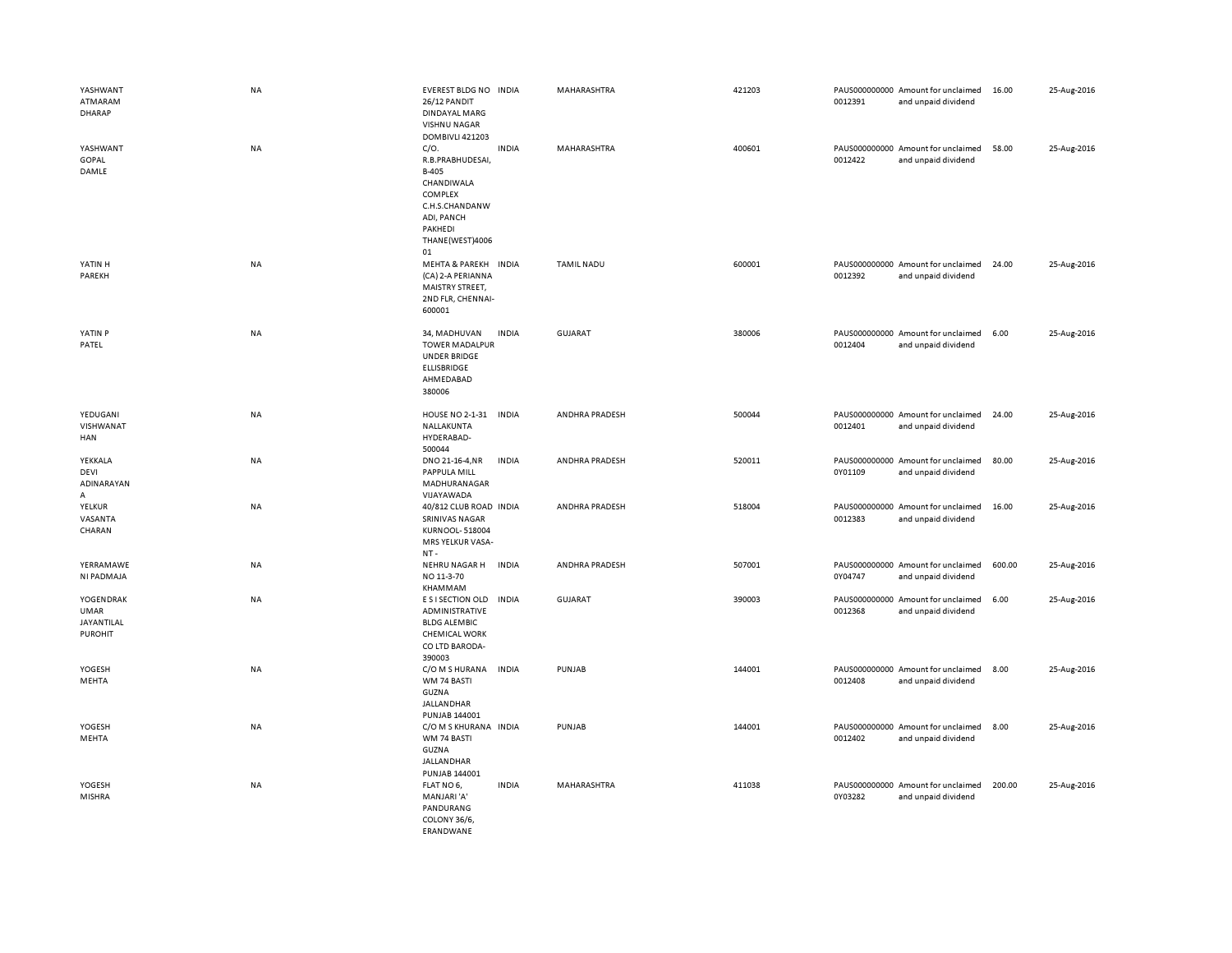| YASHWANT<br>ATMARAM<br><b>DHARAP</b>              | <b>NA</b> | EVEREST BLDG NO INDIA<br>26/12 PANDIT<br>DINDAYAL MARG<br>VISHNU NAGAR<br>DOMBIVLI 421203                                      |              | MAHARASHTRA       | 421203 | 0012391 | PAUS000000000 Amount for unclaimed<br>and unpaid dividend | 16.00  | 25-Aug-2016 |
|---------------------------------------------------|-----------|--------------------------------------------------------------------------------------------------------------------------------|--------------|-------------------|--------|---------|-----------------------------------------------------------|--------|-------------|
| YASHWANT<br>GOPAL<br>DAMLE                        | <b>NA</b> | C/O.<br>R.B.PRABHUDESAI,<br>B-405<br>CHANDIWALA<br>COMPLEX<br>C.H.S.CHANDANW<br>ADI, PANCH<br>PAKHEDI<br>THANE(WEST)4006<br>01 | <b>INDIA</b> | MAHARASHTRA       | 400601 | 0012422 | PAUS000000000 Amount for unclaimed<br>and unpaid dividend | 58.00  | 25-Aug-2016 |
| YATIN H<br>PAREKH                                 | <b>NA</b> | MEHTA & PAREKH INDIA<br>(CA) 2-A PERIANNA<br>MAISTRY STREET,<br>2ND FLR, CHENNAI-<br>600001                                    |              | <b>TAMIL NADU</b> | 600001 | 0012392 | PAUS000000000 Amount for unclaimed<br>and unpaid dividend | 24.00  | 25-Aug-2016 |
| YATIN P<br>PATEL                                  | <b>NA</b> | 34, MADHUVAN<br><b>TOWER MADALPUR</b><br><b>UNDER BRIDGE</b><br>ELLISBRIDGE<br>AHMEDABAD<br>380006                             | <b>INDIA</b> | <b>GUJARAT</b>    | 380006 | 0012404 | PAUS000000000 Amount for unclaimed<br>and unpaid dividend | 6.00   | 25-Aug-2016 |
| YEDUGANI<br>VISHWANAT<br>HAN                      | NA        | HOUSE NO 2-1-31 INDIA<br>NALLAKUNTA<br>HYDERABAD-<br>500044                                                                    |              | ANDHRA PRADESH    | 500044 | 0012401 | PAUS000000000 Amount for unclaimed<br>and unpaid dividend | 24.00  | 25-Aug-2016 |
| YEKKALA<br><b>DEVI</b><br>ADINARAYAN<br>А         | <b>NA</b> | DNO 21-16-4, NR<br>PAPPULA MILL<br>MADHURANAGAR<br>VIJAYAWADA                                                                  | <b>INDIA</b> | ANDHRA PRADESH    | 520011 | 0Y01109 | PAUS000000000 Amount for unclaimed<br>and unpaid dividend | 80.00  | 25-Aug-2016 |
| YELKUR<br>VASANTA<br>CHARAN                       | <b>NA</b> | 40/812 CLUB ROAD INDIA<br><b>SRINIVAS NAGAR</b><br>KURNOOL-518004<br>MRS YELKUR VASA-<br>NT-                                   |              | ANDHRA PRADESH    | 518004 | 0012383 | PAUS000000000 Amount for unclaimed<br>and unpaid dividend | 16.00  | 25-Aug-2016 |
| YERRAMAWE<br>NI PADMAJA                           | <b>NA</b> | NEHRU NAGAR H<br>NO 11-3-70<br>KHAMMAM                                                                                         | <b>INDIA</b> | ANDHRA PRADESH    | 507001 | 0Y04747 | PAUS000000000 Amount for unclaimed<br>and unpaid dividend | 600.00 | 25-Aug-2016 |
| YOGENDRAK<br>UMAR<br>JAYANTILAL<br><b>PUROHIT</b> | NA        | E S I SECTION OLD<br>ADMINISTRATIVE<br><b>BLDG ALEMBIC</b><br><b>CHEMICAL WORK</b><br>CO LTD BARODA-<br>390003                 | <b>INDIA</b> | <b>GUJARAT</b>    | 390003 | 0012368 | PAUS000000000 Amount for unclaimed<br>and unpaid dividend | 6.00   | 25-Aug-2016 |
| YOGESH<br>MEHTA                                   | <b>NA</b> | C/O M S HURANA<br>WM 74 BASTI<br>GUZNA<br><b>JALLANDHAR</b><br>PUNJAB 144001                                                   | <b>INDIA</b> | PUNJAB            | 144001 | 0012408 | PAUS000000000 Amount for unclaimed<br>and unpaid dividend | 8.00   | 25-Aug-2016 |
| YOGESH<br>MEHTA                                   | NA        | C/O M S KHURANA INDIA<br>WM 74 BASTI<br>GUZNA<br><b>JALLANDHAR</b><br>PUNJAB 144001                                            |              | PUNJAB            | 144001 | 0012402 | PAUS000000000 Amount for unclaimed<br>and unpaid dividend | 8.00   | 25-Aug-2016 |
| YOGESH<br><b>MISHRA</b>                           | <b>NA</b> | FLAT NO 6,<br>MANJARI'A'<br>PANDURANG<br>COLONY 36/6,<br><b>FRANDWANE</b>                                                      | <b>INDIA</b> | MAHARASHTRA       | 411038 | 0Y03282 | PAUS000000000 Amount for unclaimed<br>and unpaid dividend | 200.00 | 25-Aug-2016 |